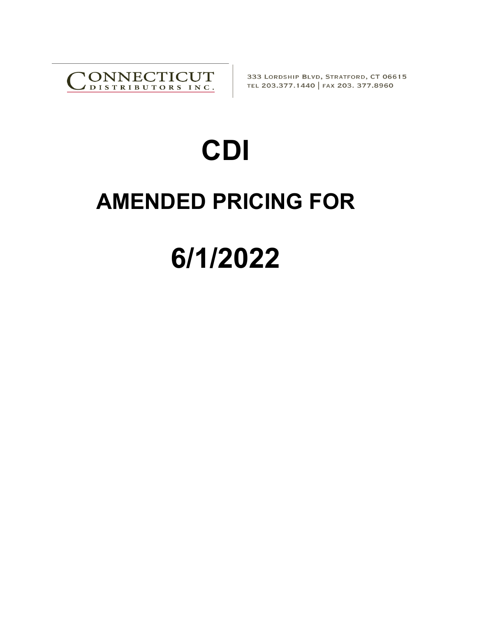

333 LORDSHIP BLVD, STRATFORD, CT 06615 TEL 203.377.1440 | FAX 203. 377.8960

## **CDI**

## **AMENDED PRICING FOR**

## **6/1/2022**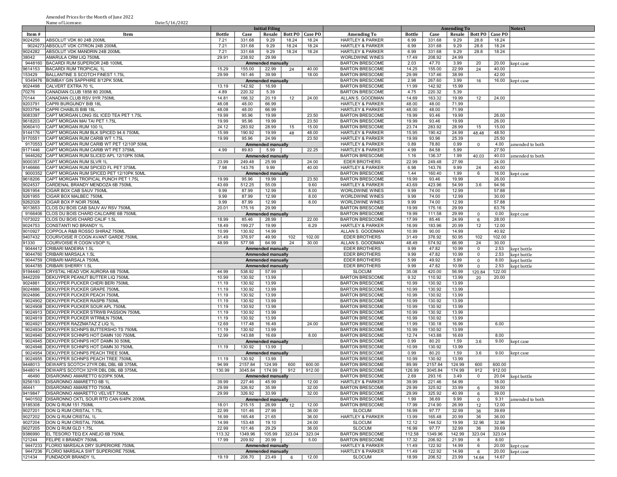Amended Prices for the Month of June 2022 Name of Licensee: Date:5/16/2022

|         | ічанне от пісеньее.<br>Date.J/ $10/2022$        |               |         |                                                      |                 |         |                             |        |         |                    |                          |        |                 |
|---------|-------------------------------------------------|---------------|---------|------------------------------------------------------|-----------------|---------|-----------------------------|--------|---------|--------------------|--------------------------|--------|-----------------|
|         |                                                 |               |         | <b>Initial Filing</b>                                |                 |         |                             |        |         | <b>Amending To</b> |                          |        | Notes1          |
| Item#   | Item                                            | <b>Bottle</b> | Case    | <b>Resale</b>                                        | <b>Bott PO</b>  | Case PO | <b>Amending To</b>          | Bottle | Case    | Resale             | <b>Bott PO   Case PO</b> |        |                 |
| 9024256 | ABSOLUT VDK 80 24B 200ML                        | 7.21          | 331.68  | 9.29                                                 | 18.24           | 18.24   | <b>HARTLEY &amp; PARKER</b> | 6.99   | 331.68  | 9.29               | 28.8                     | 18.24  |                 |
|         | 9024273 ABSOLUT VDK CITRON 24B 200ML            | 7.21          | 331.68  | 9.29                                                 | 18.24           | 18.24   | <b>HARTLEY &amp; PARKER</b> | 6.99   | 331.68  | 9.29               | 28.8                     | 18.24  |                 |
| 9024282 | ABSOLUT VDK MANDRIN 24B 200ML                   | 7.21          | 331.68  | 9.29                                                 | 18.24           | 18.24   | <b>HARTLEY &amp; PARKER</b> | 6.99   | 331.68  | 9.29               | 28.8                     | 18.24  |                 |
| 38042   | AMARULA CRM LIQ 750ML                           | 29.91         | 238.92  | 29.99                                                |                 |         | WORLDWINE WINES             | 17.49  | 208.92  | 24.99              |                          |        |                 |
| 9448160 | BACARDI RUM SUPERIOR 24B 100ML                  |               |         | <b>Ammended manually</b>                             |                 |         | <b>BARTON BRESCOME</b>      | 2.03   | 47.70   | 3.99               | 20                       | 20.00  | kept case       |
| 9614153 | <b>BACARDI RUM TROPICAL 1I</b>                  | 15.29         | 155.00  | 22.99                                                | 24              | 40.00   | <b>BARTON BRESCOME</b>      | 14.25  | 155.00  | 22.99              | 24                       | 40.00  |                 |
| 153429  | BALLANTINE S SCOTCH FINEST 1.75L                | 29.99         | 161.46  | 39.99                                                |                 | 18.00   | <b>BARTON BRESCOME</b>      | 29.99  | 137.46  | 38.99              |                          | 42.00  |                 |
| 9349476 | BOMBAY GIN SAPPHIRE 8/12PK 50ML                 |               |         | <b>Ammended manually</b>                             |                 |         | <b>BARTON BRESCOME</b>      | 2.98   | 267.60  | 3.99               | 16                       | 16.00  | kept case       |
| 9024498 | CALVERT EXTRA 70 1L                             | 13.19         | 142.92  | 16.99                                                |                 |         | <b>BARTON BRESCOME</b>      | 11.99  | 142.92  | 15.99              |                          |        |                 |
| 70276   | CANADIAN CLUB 1858 80 200ML                     | 4.89          | 220.32  | 5.39                                                 |                 |         | <b>BARTON BRESCOME</b>      | 4.75   | 220.32  | 5.39               |                          |        |                 |
| 70144   | CANADIAN CLUB RSV 9YR 750ML                     | 14.81         | 166.32  | 20.19                                                | 12              | 24.00   | ALLAN S. GOODMAN            | 14.69  | 163.32  | 19.99              | 12                       | 24.00  |                 |
| 9203791 | CAPRI BURGUNDY BIB 18L                          | 48.08         | 48.00   | 66.99                                                |                 |         | <b>HARTLEY &amp; PARKER</b> | 48.00  | 48.00   | 71.99              |                          |        |                 |
| 9203794 | <b>CAPRI CHABLIS BIB 18L</b>                    | 48.08         | 48.00   | 66.99                                                |                 |         | <b>HARTLEY &amp; PARKER</b> | 48.00  | 48.00   | 71.99              |                          |        |                 |
| 9083397 | CAPT MORGAN LONG ISL ICED TEA PET 1.75L         | 19.99         | 95.96   | 19.99                                                |                 | 23.50   | <b>BARTON BRESCOME</b>      | 19.99  | 93.46   | 19.99              |                          | 26.00  |                 |
| 9618203 | CAPT MORGAN MAI TAI PET 1.75L                   | 19.99         | 95.96   | 19.99                                                |                 | 23.50   | <b>BARTON BRESCOME</b>      | 19.99  | 93.46   | 19.99              |                          | 26.00  |                 |
| 9060410 | CAPT MORGAN RUM 100 1L                          | 24.12         | 283.92  | 28.99                                                | 15              | 15.00   | <b>BARTON BRESCOME</b>      | 23.74  | 283.92  | 28.99              | 15                       | 15.00  |                 |
| 9144176 | CAPT MORGAN RUM BLK SPICED 94.6 750ML           | 15.99         | 190.92  | 19.99                                                | 48              | 48.00   | <b>HARTLEY &amp; PARKER</b> | 15.95  | 190.42  | 24.99              | 48.48                    | 48.50  |                 |
| 9170551 | CAPT MORGAN RUM CARIB WT 1.75L                  | 19.99         | 95.96   | 24.99                                                |                 | 23.50   | <b>HARTLEY &amp; PARKER</b> | 19.99  | 93.96   | 25.39              |                          | 25.50  |                 |
| 9170553 | CAPT MORGAN RUM CARIB WT PET 12/10P 50ML        |               |         | <b>Ammended manually</b>                             |                 |         | <b>HARTLEY &amp; PARKER</b> | 0.89   | 78.80   | 0.99               | 0                        | 4.00   | amended to both |
| 9171446 | CAPT MORGAN RUM CARIB WT PET 375ML              | 4.99          | 89.83   | 5.99                                                 |                 | 22.25   | <b>HARTLEY &amp; PARKER</b> | 4.99   | 84.58   | 5.99               |                          | 27.50  |                 |
| 9446262 | CAPT MORGAN RUM SLICED APL 12/10PK 50ML         |               |         | Ammended manually                                    |                 |         | <b>BARTON BRESCOME</b>      | 1.16   | 136.37  | 1.99               | 40.03                    | 40.03  | amended to both |
| 9000357 | CAPT MORGAN RUM SLVR 1L                         | 23.99         | 249.48  | 25.99                                                |                 | 24.00   | <b>EDER BROTHERS</b>        | 22.99  | 249.48  | 27.99              |                          | 24.00  |                 |
| 9146666 | CAPT MORGAN RUM SPICED FL PET 375ML             | 7.98          | 143.76  | 9.99                                                 |                 | 40.00   | <b>HARTLEY &amp; PARKER</b> | 6.98   | 143.76  | 9.99               | 24                       | 40.00  |                 |
| 9000352 | CAPT MORGAN RUM SPICED PET 12/10PK 50ML         |               |         | <b>Ammended manually</b>                             |                 |         | <b>BARTON BRESCOME</b>      | 1.44   | 160.40  | 1.99               | 6                        | 16.00  | kept case       |
| 9618206 | CAPT MORGAN TROPICAL PUNCH PET 1.75L            | 19.99         | 95.96   | 19.99                                                |                 | 23.50   | <b>BARTON BRESCOME</b>      | 19.99  | 93.46   | 19.99              |                          | 26.00  |                 |
| 9024537 | CARDENAL BRANDY MENDOZA 6B 750ML                | 43.69         | 512.25  | 55.09                                                |                 | 9.60    | <b>HARTLEY &amp; PARKER</b> | 43.69  | 423.96  | 54.99              | 3.6                      | 94.56  |                 |
| 9261954 | CIGAR BOX CAB SAUV 750ML                        | 9.99          | 87.99   | 12.99                                                |                 | 8.00    | WORLDWINE WINES             | 9.99   | 74.00   | 12.99              |                          | 57.88  |                 |
| 9261955 | CIGAR BOX MALBEC 750ML                          | 9.99          | 87.99   | 12.99                                                |                 | 8.00    | <b>WORLDWINE WINES</b>      | 9.99   | 74.00   | 12.99              |                          | 30.00  |                 |
| 9262028 | CIGAR BOX P NOIR 750ML                          | 9.99          | 87.99   | 12.99                                                |                 | 8.00    | WORLDWINE WINES             | 9.99   | 74.00   | 12.99              |                          | 57.88  |                 |
| 9013653 | CLOS DU BOIS CAB SAUV AV RSV 750ML              | 20.01         | 175.16  | 29.99                                                |                 |         | <b>BARTON BRESCOME</b>      | 19.99  | 175.16  | 29.99              |                          | 63.76  |                 |
| 9166406 | CLOS DU BOIS CHARD CALCAIRE 6B 750ML            |               |         | <b>Ammended manually</b>                             |                 |         | <b>BARTON BRESCOME</b>      | 19.99  | 111.58  | 29.99              | $\mathbf 0$              | 0.00   | kept case       |
| 1073022 | CLOS DU BOIS CHARD CALIF 1.5L                   | 18.99         | 85.46   | 28.99                                                |                 | 22.00   | <b>BARTON BRESCOME</b>      | 17.99  | 85.46   | 24.99              | 6                        | 28.00  |                 |
| 9024753 | CONSTANTI NO BRANDY 1L                          | 18.49         | 199.27  | 19.99                                                |                 | 6.29    | <b>HARTLEY &amp; PARKER</b> | 16.99  | 183.96  | 20.99              | 12                       | 12.00  |                 |
| 9010927 | COPPOLA R&B ROSSO SHIRAZ 750ML                  | 10.99         | 130.92  | 14.99                                                |                 |         | ALLAN S. GOODMAN            | 10.99  | 90.00   | 14.99              |                          | 40.92  |                 |
| 9407432 | COURVOISIE R COGN AVANT GARDE 750ML             | 31.49         | 376.97  | 49.99                                                | 102             | 102.00  | <b>EDER BROTHERS</b>        | 31.49  | 376.92  | 50.95              | 102                      | 102.00 |                 |
| 91330   | COURVOISIE R COGN VSOP 1L                       | 48.99         | 577.98  | 64.99                                                | 24              | 30.00   | ALLAN S. GOODMAN            | 48.49  | 574.92  | 66.99              | 24                       | 30.00  |                 |
| 9044412 | CRIBARI MADEIRA 1.5L                            |               |         | <b>Ammended manually</b>                             |                 |         | <b>EDER BROTHERS</b>        | 9.99   | 47.82   | 10.99              | $\mathbf 0$              | 2.53   | kept bottle     |
| 9044760 | CRIBARI MARSALA 1.5L                            |               |         | <b>Ammended manually</b>                             |                 |         | <b>EDER BROTHERS</b>        | 9.99   | 47.82   | 10.99              | $\mathbf 0$              | 2.53   | kept bottle     |
| 9044759 | CRIBARI MARSALA 750ML                           |               |         |                                                      |                 |         | <b>EDER BROTHERS</b>        | 5.99   | 49.92   | 5.99               | $\mathbf 0$              | 8.00   |                 |
| 9044785 | <b>CRIBARI SHERRY 1.5L</b>                      |               |         | <b>Ammended manually</b><br><b>Ammended manually</b> |                 |         | <b>EDER BROTHERS</b>        | 9.99   | 47.82   | 10.99              | $\mathbf 0$              | 2.53   | kept bottle     |
| 9194440 | CRYSTAL HEAD VDK AURORA 6B 750ML                | 44.99         | 538.92  | 57.99                                                |                 |         | <b>SLOCUM</b>               | 35.08  | 420.00  | 56.99              | 120.84                   | 122.00 | kept bottle     |
| 9442209 | DEKUYPER PEANUT BUTTER LIQ 750ML                | 10.99         | 130.92  | 13.99                                                |                 |         | <b>BARTON BRESCOME</b>      | 9.32   | 110.92  | 13.99              |                          |        |                 |
|         |                                                 |               |         |                                                      |                 |         |                             |        |         |                    | 20                       | 20.00  |                 |
| 9024881 | DEKUYPER PUCKER CHERI BERI 750ML                | 11.19         | 130.92  | 13.99                                                |                 |         | <b>BARTON BRESCOME</b>      | 10.99  | 130.92  | 13.99              |                          |        |                 |
| 9024886 | <b>DEKUYPER PUCKER GRAPE 750ML</b>              | 11.19         | 130.92  | 13.99                                                |                 |         | <b>BARTON BRESCOME</b>      | 10.99  | 130.92  | 13.99              |                          |        |                 |
| 9024896 | <b>DEKUYPER PUCKER PEACH 750ML</b>              | 11.19         | 130.92  | 13.99                                                |                 |         | <b>BARTON BRESCOME</b>      | 10.99  | 130.92  | 13.99              |                          |        |                 |
| 9024902 | <b>DEKUYPER PUCKER RASPB 750MI</b>              | 11.19         | 130.92  | 13.99                                                |                 |         | <b>BARTON BRESCOME</b>      | 10.99  | 130.92  | 13.99              |                          |        |                 |
| 9024908 | DEKUYPER PUCKER SOUR APL 750ML                  | 11.19         | 130.92  | 13.99                                                |                 |         | <b>BARTON BRESCOME</b>      | 10.99  | 130.92  | 13.99              |                          |        |                 |
| 9024913 | DEKUYPER PUCKER STRWB PASSION 750ML             | 11.19         | 130.92  | 13.99                                                |                 |         | <b>BARTON BRESCOME</b>      | 10.99  | 130.92  | 13.99              |                          |        |                 |
| 9024919 | <b>DEKUYPER PUCKER WTRMLN 750ML</b>             | 11.19         | 130.92  | 13.99                                                |                 |         | <b>BARTON BRESCOME</b>      | 10.99  | 130.92  | 13.99              |                          |        |                 |
| 9024921 | DEKUYPER RAZZMATAZ Z LIQ 1L                     | 12.69         | 117.48  | 16.49                                                |                 | 24.00   | <b>BARTON BRESCOME</b>      | 11.99  | 130.18  | 16.99              |                          | 6.00   |                 |
| 9024934 | DEKUYPER SCHNPS BUTTERSHO TS 750ML              | 11.19         | 130.92  | 13.99                                                |                 |         | <b>BARTON BRESCOME</b>      | 10.99  | 130.92  | 13.99              |                          |        |                 |
| 9024940 | DEKUYPER SCHNPS HOT DAMN 100 750ML              | 12.99         | 143.88  | 16.69                                                |                 | 8.00    | <b>BARTON BRESCOME</b>      | 12.74  | 143.88  | 16.69              |                          | 8.00   |                 |
| 9024945 | DEKUYPER SCHNPS HOT DAMN 30 50ML                |               |         | <b>Ammended manually</b>                             |                 |         | <b>BARTON BRESCOME</b>      | 0.99   | 80.20   | 1.59               | 3.6                      | 9.00   | kept case       |
| 9024946 | DEKUYPER SCHNPS HOT DAMN 30 750ML               | 11.19         | 130.92  | 13.99                                                |                 |         | <b>BARTON BRESCOME</b>      | 10.99  | 130.92  | 13.99              |                          |        |                 |
| 9024954 | DEKUYPER SCHNPS PEACH TREE 50ML                 |               |         | <b>Ammended manually</b>                             |                 |         | <b>BARTON BRESCOME</b>      | 0.99   | 80.20   | 1.59               | 3.6                      | 9.00   | kept case       |
| 9024955 | DEKUYPER SCHNPS PEACH TREE 750ML                | 11.19         | 130.92  | 13.99                                                |                 |         | <b>BARTON BRESCOME</b>      | 10.99  | 130.92  | 13.99              |                          |        |                 |
| 9448013 | DEWAR'S SCOTCH 27YR DBL DBL 6B 375ML            | 94.99         | 2157.84 | 124.99                                               | 600             | 600.00  | <b>BARTON BRESCOME</b>      | 89.99  | 2157.84 | 124.99             | 600                      | 600.00 |                 |
| 9448014 | DEWAR'S SCOTCH 32YR DBL DBL 6B 375ML            | 130.99        | 3045.84 | 174.99                                               | 912             | 912.00  | <b>BARTON BRESCOME</b>      | 126.99 | 3045.84 | 174.99             | 912                      | 912.00 |                 |
| 46490   | DISARONNO AMARETTO 6/20PK 50ML                  |               |         | Ammended manually                                    |                 |         | <b>BARTON BRESCOME</b>      | 2.69   | 293.16  | 3.49               | $\mathbf 0$              | 20.04  | kept bottle     |
| 9256193 | DISARONNO AMARETTO 6B 1L                        | 39.99         | 227.46  | 45.99                                                |                 | 12.00   | HARTLEY & PARKER            | 39.99  | 221.46  | 54.99              |                          | 18.00  |                 |
| 46441   | DISARONNO AMARETTO 750ML                        | 29.99         | 326.92  | 35.99                                                |                 | 32.00   | <b>BARTON BRESCOME</b>      | 29.99  | 325.92  | 33.99              | 6                        | 39.00  |                 |
| 9419847 | DISARONNO AMARETTO VELVET 750ML                 | 29.99         | 326.92  | 33.99                                                |                 | 32.00   | <b>BARTON BRESCOME</b>      | 29.99  | 325.92  | 40.99              | 6                        | 39.00  |                 |
|         | 9401502 DISARONNO CKTL SOUR RTD CAN 6/4PK 200ML |               |         | <b>Ammended manually</b>                             |                 |         | <b>BARTON BRESCOME</b>      | 1.99   | 36.69   | 9.99               | $\mathbf 0$              | 9.31   | amended to both |
| 9185308 | DON Q RUM 151 750ML                             | 18.01         | 215.15  | 26.99                                                | 12              | 12.00   | <b>BARTON BRESCOME</b>      | 17.99  | 214.90  | 26.99              | 12                       | 12.00  |                 |
| 9027201 | DON Q RUM CRISTAL 1.75L                         | 22.99         | 101.46  | 27.99                                                |                 | 36.00   | <b>SLOCUM</b>               | 16.99  | 97.77   | 32.99              | 36                       | 39.69  |                 |
| 9027202 | DON Q RUM CRISTAL 1L                            | 16.99         | 165.48  | 21.65                                                |                 | 36.00   | HARTLEY & PARKER            | 13.99  | 165.48  | 20.99              | 36                       | 36.00  |                 |
| 9027204 | DON Q RUM CRISTAL 750ML                         | 14.99         | 153.48  | 19.10                                                |                 | 24.00   | <b>SLOCUM</b>               | 12.12  | 144.52  | 19.99              | 32.96                    | 32.96  |                 |
| 9027205 | DON Q RUM GLD 1.75L                             | 22.99         | 101.46  | 29.29                                                |                 | 36.00   | <b>SLOCUM</b>               | 16.99  | 97.77   | 32.99              | 36                       | 39.69  |                 |
| 9386990 | EL TESORO TEQ EX ANEJO 6B 750ML                 | 113.32        | 1349.96 | 105.99                                               | 323.04          | 323.04  | <b>BARTON BRESCOME</b>      | 112.58 | 1349.96 | 142.99             | 323.04                   | 323.04 |                 |
| 121244  | <b>FELIPE II BRANDY 750ML</b>                   | 17.99         | 209.92  | 20.99                                                |                 | 5.00    | <b>BARTON BRESCOME</b>      | 17.32  | 206.92  | 21.99              | 8                        | 8.00   |                 |
|         | 9447233 FLORIO MARSALA DRY SUPERIORE 750ML      |               |         | <b>Ammended manually</b>                             |                 |         | <b>HARTLEY &amp; PARKER</b> | 11.49  | 122.92  | 14.99              | 6                        | 20.00  | kept case       |
|         | 9447236 FLORIO MARSALA SWT SUPERIORE 750ML      |               |         | <b>Ammended manually</b>                             |                 |         | <b>HARTLEY &amp; PARKER</b> | 11.49  | 122.92  | 14.99              | 6                        | 20.00  | kept case       |
|         | 121434 FUNDADOR BRANDY 1L                       | 19.19         |         | 208.70 23.49                                         | $6\overline{6}$ | 12.00   | <b>SLOCUM</b>               | 18.99  | 206.52  | 23.99              | 14.64                    | 14.67  |                 |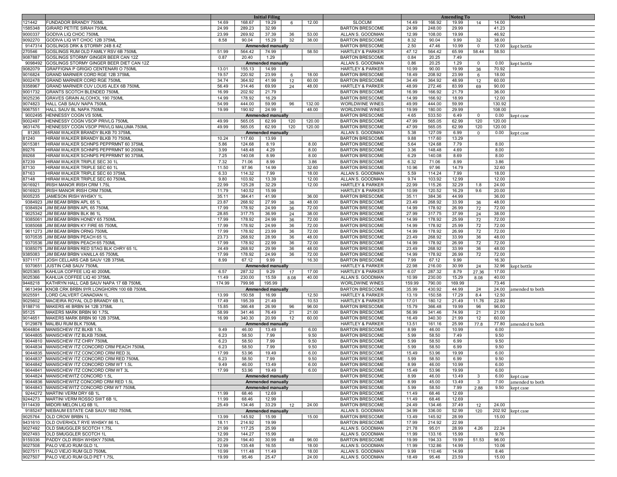|                    |                                                                                   |                 |                  | <b>Initial Filing</b>             |          |                |                                                       |                 |                  | <b>Amending To</b> |                |                | Notes1           |
|--------------------|-----------------------------------------------------------------------------------|-----------------|------------------|-----------------------------------|----------|----------------|-------------------------------------------------------|-----------------|------------------|--------------------|----------------|----------------|------------------|
| 121442             | <b>FUNDADOR BRANDY 750ML</b>                                                      | 14.69           | 168.67           | 19.29                             | 6        | 12.00          | <b>SLOCUM</b>                                         | 14.49           | 166.92           | 19.99              | 14             | 14.00          |                  |
| 1585348            | <b>GIRARD PETITE SIRAH 750ML</b><br>GODIVA LIQ CHOC 750ML                         | 24.99<br>23.99  | 289.23<br>269.92 | 32.99<br>37.39                    | 36       | 53.00          | <b>BARTON BRESCOME</b><br>ALLAN S. GOODMAN            | 24.99<br>12.99  | 248.00           | 29.99<br>19.99     |                | 41.23<br>46.92 |                  |
| 9000337<br>9092270 | GODIVA LIQ WT CHOC 12B 375ML                                                      | 8.58            | 90.04            | 15.29                             | 32       | 38.00          | <b>BARTON BRESCOME</b>                                | 8.32            | 108.00<br>90.04  | 9.99               | 32             | 38.00          |                  |
|                    | 9147314 GOSLINGS DRK & STORMY 24B 8.4Z                                            |                 |                  | <b>Ammended manually</b>          |          |                | <b>BARTON BRESCOME</b>                                | 2.50            | 47.46            | 10.99              | $\overline{0}$ | 12.00          | kept bottle      |
| 270546             | GOSLINGS RUM OLD FAMILY RSV 6B 750ML                                              | 51.99           | 564.42           | 74.99                             |          | 58.50          | <b>HARTLEY &amp; PARKER</b>                           | 47.12           | 564.42           | 65.99              | 58.44          | 58.50          |                  |
| 9087887            | GOSLINGS STORMY GINGER BEER CAN 12Z                                               | 0.87            | 20.40            | 1.29                              |          |                | <b>BARTON BRESCOME</b>                                | 0.84            | 20.25            | 7.49               |                |                |                  |
| 9098492            | GOSLINGS STORMY GINGER BEER DIET CAN 12Z                                          |                 |                  | Ammended manually                 |          |                | ALLAN S. GOODMAN                                      | 0.86            | 20.25            | 1.29               | $\mathbf 0$    | 0.00           | kept bottle      |
| 9082079            | GRAFFIGNA P GRIGIO CENTENARI O 750ML                                              | 13.01           | 155.13           | 14.99                             |          |                | <b>HARTLEY &amp; PARKER</b>                           | 10.99           | 90.00            | 19.99              | 36             | 70.92          |                  |
| 9016824            | GRAND MARNIER CORD RGE 12B 375ML                                                  | 19.57           | 220.92           | 23.99                             | 6        | 18.00          | <b>BARTON BRESCOME</b>                                | 18.49           | 208.92           | 23.99              | 6              | 18.00          |                  |
| 9002478            | GRAND MARNIER CORD RGE 750ML                                                      | 34.74           | 364.92           | 41.99                             | 12       | 60.00          | <b>BARTON BRESCOME</b>                                | 34.49           | 364.92           | 48.99              | 12             | 60.00          |                  |
| 9358967            | GRAND MARNIER CUV LOUIS ALEX 6B 750ML                                             | 56.49           | 314.46           | 69.99                             | 24       | 48.00          | <b>HARTLEY &amp; PARKER</b>                           | 48.99           | 272.46           | 83.99              | 69             | 90.00          |                  |
| 9001732<br>9025236 | <b>GRANTS SCOTCH BLENDED 750ML</b><br>GRAVES GRAIN ALCOHOL 190 750ML              | 16.99<br>14.99  | 202.92<br>178.92 | 21.79<br>16.29                    |          |                | <b>BARTON BRESCOME</b><br><b>BARTON BRESCOME</b>      | 16.99<br>14.99  | 166.92<br>166.92 | 21.79<br>18.99     |                | 36.00<br>12.00 |                  |
| 9074823            | HALL CAB SAUV NAPA 750ML                                                          | 54.99           | 444.00           | 59.99                             | 96       | 132.00         | <b>WORLDWINE WINES</b>                                | 49.99           | 444.00           | 59.99              |                | 130.92         |                  |
| 9067551            | HALL SAUV BL NAPA 750ML                                                           | 19.99           | 190.92           | 24.99                             |          | 48.00          | WORLDWINE WINES                                       | 19.99           | 180.00           | 29.99              |                | 108.00         |                  |
| 9002495            | HENNESSY COGN VS 50ML                                                             |                 |                  | <b>Ammended manually</b>          |          |                | <b>BARTON BRESCOME</b>                                | 4.65            | 533.50           | 6.49               | $\mathbf 0$    | 0.00           | kept case        |
| 9002497            | HENNESSY COGN VSOP PRIVLG 750ML                                                   | 49.99           | 565.05           | 62.99                             | 120      | 120.00         | <b>BARTON BRESCOME</b>                                | 47.99           | 565.05           | 62.99              | 120            | 120.00         |                  |
| 9631476            | HENNESSY COGN VSOP PRIVLG MALUMA 750ML                                            | 49.99           | 565.05           | 62.99                             | 120      | 120.00         | <b>BARTON BRESCOME</b>                                | 47.99           | 565.05           | 62.99              | 120            | 120.00         |                  |
| 81265              | HIRAM WALKER BRANDY BLKB 70 375ML                                                 |                 |                  | <b>Ammended manually</b>          |          |                | ALLAN S. GOODMAN                                      | 5.38            | 127.09           | 6.99               | $\mathbf 0$    | 0.00           | kept case        |
| 81240              | HIRAM WALKER BRANDY BLKB 70 750ML                                                 | 10.24           | 117.60           | 13.99                             |          |                | <b>BARTON BRESCOME</b>                                | 9.88            | 117.60           | 13.29              |                |                |                  |
| 9015381<br>89276   | HIRAM WALKER SCHNPS PEPPRMNT 60 375ML<br>HIRAM WALKER SCHNPS PEPPRMNT 90 200ML    | 5.86<br>3.99    | 124.68<br>148.48 | 8.19<br>4.29                      |          | 8.00<br>8.00   | <b>BARTON BRESCOME</b><br><b>BARTON BRESCOME</b>      | 5.64<br>3.36    | 124.68<br>148.48 | 7.79<br>4.69       |                | 8.00<br>8.00   |                  |
| 89268              | HIRAM WALKER SCHNPS PEPPRMNT 90 375ML                                             | 7.25            | 140.08           | 8.99                              |          | 8.00           | <b>BARTON BRESCOME</b>                                | 6.29            | 140.08           | 8.69               |                | 8.00           |                  |
| 87239              | HIRAM WALKER TRIPLE SEC 30 1L                                                     | 7.32            | 71.06            | 8.99                              |          | 3.86           | <b>BARTON BRESCOME</b>                                | 6.32            | 71.06            | 8.99               |                | 3.86           |                  |
| 87130              | HIRAM WALKER TRIPLE SEC 60 1L                                                     | 11.50           | 97.96            | 14.99                             |          | 32.60          | <b>BARTON BRESCOME</b>                                | 10.96           | 97.96            | 14.79              |                | 32.60          |                  |
| 87163              | HIRAM WALKER TRIPLE SEC 60 375ML                                                  | 6.33            | 114.32           | 7.99                              |          | 18.00          | ALLAN S. GOODMAN                                      | 5.59            | 114.24           | 7.99               |                | 18.00          |                  |
| 87148              | HIRAM WALKER TRIPLE SEC 60 750ML                                                  | 9.80            | 103.92           | 13.39                             |          | 12.00          | ALLAN S. GOODMAN                                      | 9.74            | 103.92           | 12.99              |                | 12.00          |                  |
| 9016921            | <b>IRISH MANOR IRISH CRM 1.75L</b>                                                | 22.99           | 125.28           | 32.29                             |          | 12.00          | <b>HARTLEY &amp; PARKER</b>                           | 22.99           | 115.26           | 32.29              | 1.8            | 24.00          |                  |
| 9016923            | IRISH MANOR IRISH CRM 750ML                                                       | 11.79           | 140.52           | 15.99                             |          |                | <b>HARTLEY &amp; PARKER</b>                           | 10.99           | 120.52           | 16.29              | 9.6            | 20.00          |                  |
| 9005235<br>9384923 | JAMESON IRISH WHSKY 1L<br>JIM BEAM BRBN APL 65 1L                                 | 35.11<br>23.87  | 384.41<br>268.92 | 41.99<br>27.99                    | 36       | 36.00<br>48.00 | <b>BARTON BRESCOME</b><br><b>BARTON BRESCOME</b>      | 35.11<br>23.49  | 384.36<br>268.92 | 44.99<br>33.99     |                | 36.00<br>48.00 |                  |
| 9384924            | JIM BEAM BRBN APL 65 750ML                                                        | 17.99           | 178.92           | 24.99                             | 36       | 72.00          | <b>BARTON BRESCOME</b>                                | 14.99           | 178.92           | 26.99              | 36<br>72       | 72.00          |                  |
|                    | 9025342 JIM BEAM BRBN BLK 86 1L                                                   | 28.85           | 317.75           | 36.99                             | 24       | 38.00          | <b>BARTON BRESCOME</b>                                | 27.99           | 317.75           | 37.99              | 24             | 38.00          |                  |
| 9385061            | JIM BEAM BRBN HONEY 65 750ML                                                      | 17.99           | 178.92           | 24.99                             | 36       | 72.00          | <b>BARTON BRESCOME</b>                                | 14.99           | 178.92           | 25.99              | 72             | 72.00          |                  |
|                    | 9385068 JIM BEAM BRBN KY FIRE 65 750ML                                            | 17.99           | 178.92           | 24.99                             | 36       | 72.00          | <b>BARTON BRESCOME</b>                                | 14.99           | 178.92           | 25.99              | 72             | 72.00          |                  |
|                    | 9611273 JIM BEAM BRBN ORNG 750ML                                                  | 17.99           | 178.92           | 23.99                             | 36       | 72.00          | <b>BARTON BRESCOME</b>                                | 14.99           | 178.92           | 26.99              | 72             | 72.00          |                  |
|                    | 9370535 JIM BEAM BRBN PEACH 65 1L<br>9370536 JIM BEAM BRBN PEACH 65 750ML         | 23.73<br>17.99  | 268.92<br>178.92 | 28.99<br>22.99                    | 36<br>36 | 48.00<br>72.00 | <b>BARTON BRESCOME</b><br><b>BARTON BRESCOME</b>      | 23.49<br>14.99  | 268.92<br>178.92 | 33.99<br>26.99     | 36<br>72       | 48.00<br>72.00 |                  |
|                    | 9385075 JIM BEAM BRBN RED STAG BLK CHRY 65 1L                                     | 24.49           | 268.92           | 29.99                             | 36       | 48.00          | <b>BARTON BRESCOME</b>                                | 23.49           | 268.92           | 33.99              | 36             | 48.00          |                  |
| 9385083            | JIM BEAM BRBN VANILLA 65 750ML                                                    | 17.99           | 178.92           | 24.99                             | 36       | 72.00          | <b>BARTON BRESCOME</b>                                | 14.99           | 178.92           | 26.99              | 72             | 72.00          |                  |
| 9371117            | JOSH CELLARS CAB SAUV 12B 375ML                                                   | 8.99            | 67.12            | 9.99                              |          | 16.30          | <b>BARTON BRESCOME</b>                                | 7.99            | 67.12            | 9.99               |                | 16.30          |                  |
| 9370651            | JUSTIN CAB SAUV 750ML                                                             |                 |                  | <b>Ammended manually</b>          |          |                | <b>HARTLEY &amp; PARKER</b>                           | 22.98           | 216.00           | 30.99              | 24             | 32.96          | kept bottle      |
| 9025365            | KAHLUA COFFEE LIQ 40 200ML                                                        | 6.57            | 287.32           | 9.29                              | 17       | 17.00          | <b>HARTLEY &amp; PARKER</b>                           | 6.07            | 287.32           | 8.79               | 27.36          | 17.00          |                  |
| 9025366<br>9448218 | KAHLUA COFFEE LIQ 40 375ML                                                        | 11.49<br>174.99 | 230.00<br>799.98 | 15.59<br>195.99                   | 8.08     | 40.00          | ALLAN S. GOODMAN<br><b>WORLDWINE WINES</b>            | 10.99<br>159.99 | 230.00           | 15.29<br>169.99    | 8.08           | 40.00<br>73.46 |                  |
| 9613494            | KATHRYN HALL CAB SAUV NAPA 17 6B 750ML<br>KNOB CRK BRBN 9YR LONGHORN 100 6B 750ML |                 |                  | <b>Ammended manually</b>          |          |                | <b>BARTON BRESCOME</b>                                | 35.99           | 790.00<br>430.92 | 44.99              | 24             | 24.00          | amended to both  |
| 9025591            | LORD CALVERT CANADIAN 1L                                                          | 13.99           | 150.58           | 16.99                             |          | 12.50          | <b>HARTLEY &amp; PARKER</b>                           | 13.19           | 150.58           | 17.29              | 8.4            | 12.50          |                  |
| 9025602            | MACIEIRA ROYAL OLD BRANDY 6B 1L                                                   | 17.49           | 195.39           | 21.49                             |          | 10.53          | <b>HARTLEY &amp; PARKER</b>                           | 17.01           | 180.12           | 21.49              | 11.76          | 22.80          |                  |
| 9188716            | MAKERS 46 BRBN 94 12B 375ML                                                       | 15.85           | 366.48           | 26.99                             | 96       | 96.00          | <b>BARTON BRESCOME</b>                                | 15.79           | 366.48           | 19.99              | 96             | 96.00          |                  |
| 95125              | MAKERS MARK BRBN 90 1.75L                                                         | 58.99           | 341.46           | 76.49                             | 21       | 21.00          | <b>BARTON BRESCOME</b>                                | 56.99           | 341.46           | 74.99              | 21             | 21.00          |                  |
| 9014651            | MAKERS MARK BRBN 90 12B 375ML                                                     | 16.99           | 340.30           | 20.99                             | 12       | 60.00          | <b>BARTON BRESCOME</b>                                | 16.49           | 340.30           | 21.99              | 12             | 60.00          |                  |
| 9129878<br>9044804 | MALIBU RUM BLK 750ML<br>MANISCHEW ITZ BLKB 1.5L                                   | 9.49            | 46.00            | <b>Ammended manually</b><br>13.49 |          | 6.00           | <b>HARTLEY &amp; PARKER</b><br><b>BARTON BRESCOME</b> | 13.51<br>8.99   | 161.16<br>46.00  | 25.99<br>10.99     | 77.8           | 77.80<br>6.00  | amended to both  |
| 9044805            | MANISCHEW ITZ BLKB 750ML                                                          | 6.23            | 58.50            | 7.99                              |          | 9.50           | <b>BARTON BRESCOME</b>                                | 5.99            | 58.50            | 7.49               |                | 9.50           |                  |
| 9044810            | MANISCHEW ITZ CHRY 750ML                                                          | 6.23            | 58.50            | 7.99                              |          | 9.50           | <b>BARTON BRESCOME</b>                                | 5.99            | 58.50            | 6.99               |                | 9.50           |                  |
|                    | 9044834 MANISCHEW ITZ CONCORD CRM PEACH 750ML                                     | 6.23            | 58.50            | 7.99                              |          | 9.50           | <b>BARTON BRESCOME</b>                                | 5.99            | 58.50            | 6.99               |                | 9.50           |                  |
|                    | 9044835 MANISCHEW ITZ CONCORD CRM RED 3L                                          | 17.99           | 53.96            | 19.49                             |          | 6.00           | <b>BARTON BRESCOME</b>                                | 15.49           | 53.96            | 19.99              |                | 6.00           |                  |
|                    | 9044837 MANISCHEW ITZ CONCORD CRM RED 750ML                                       | 6.23            | 58.50            | 7.99                              |          | 9.50           | <b>BARTON BRESCOME</b>                                | 5.99            | 58.50            | 6.99               |                | 9.50           |                  |
|                    | 9044842 MANISCHEW ITZ CONCORD CRM WT 1.5L                                         | 9.49            | 46.00            | 13.49                             |          | 6.00           | <b>BARTON BRESCOME</b><br><b>BARTON BRESCOME</b>      | 8.99            | 46.00            | 10.99              |                | 6.00           |                  |
|                    | 9044841 MANISCHEW ITZ CONCORD CRM WT 3L<br>9044824 MANISCHEWITZ CONCORD 1.5L      | 17.99           | 53.96            | 19.49<br><b>Ammended manually</b> |          | 6.00           | <b>BARTON BRESCOME</b>                                | 15.49<br>8.99   | 53.96<br>46.00   | 19.99<br>13.49     | 3              | 6.00<br>6.00   | kept case        |
|                    | 9044836 MANISCHEWITZ CONCORD CRM RED 1.5L                                         |                 |                  | <b>Ammended manually</b>          |          |                | <b>BARTON BRESCOME</b>                                | 8.99            | 45.00            | 13.49              | 3              | 7.00           | amended to both  |
|                    | 9044843 MANISCHEWITZ CONCORD CRM WT 750ML                                         |                 |                  | <b>Ammended manually</b>          |          |                | <b>BARTON BRESCOME</b>                                | 5.99            | 58.50            | 7.99               | 2.88           | 9.50           | kept case        |
|                    | 9244272 MARTINI VERM DRY 6B 1L                                                    | 11.99           | 68.46            | 12.69                             |          |                | <b>BARTON BRESCOME</b>                                | 11.49           | 68.46            | 12.69              |                |                |                  |
| 9244273            | MARTINI VERM ROSSO SWT 6B 1L                                                      | 11.99           | 68.46            | 12.99                             |          |                | <b>BARTON BRESCOME</b>                                | 11.49           | 68.46            | 12.69              |                |                |                  |
| 9114439            | MIDORI MELON LIQ 6B 1L                                                            | 25.49           | 134.46           | 33.29                             | 12       | 24.00          | <b>BARTON BRESCOME</b>                                | 24.49           | 134.46           | 37.49              | 12             | 24.00          |                  |
| 9025764            | 9185247 NIEBAUM ESTATE CAB SAUV 1882 750ML<br>OLD CROW BRBN 1L                    | 13.99           | 145.92           | <b>Ammended manually</b><br>15.99 |          | 15.00          | ALLAN S. GOODMAN<br><b>BARTON BRESCOME</b>            | 34.99<br>13.49  | 336.00<br>145.92 | 52.99<br>28.99     | 120            | 15.00          | 202.92 kept case |
| 9431610            | OLD OVERHOLT RYE WHSKY 86 1L                                                      | 18.11           | 214.92           | 19.99                             |          |                | <b>BARTON BRESCOME</b>                                | 17.99           | 214.92           | 22.99              |                |                |                  |
| 9027492            | OLD SMUGGLER SCOTCH 1.75L                                                         | 21.99           | 117.25           | 25.99                             |          |                | ALLAN S. GOODMAN                                      | 21.78           | 95.01            | 28.99              | 4.26           | 22.24          |                  |
| 9027493            | OLD SMUGGLER SCOTCH 1L                                                            | 12.99           | 144.27           | 15.99                             |          |                | ALLAN S. GOODMAN                                      | 11.99           | 133.16           | 15.99              |                | 9.76           |                  |
| 9159336            | PADDY OLD IRISH WHSKY 750ML                                                       | 20.29           | 194.40           | 30.99                             | 48       | 96.00          | <b>BARTON BRESCOME</b>                                | 19.99           | 194.33           | 19.99              | 51.53          | 96.00          |                  |
| 9027508            | PALO VIEJO RUM GLD 1L                                                             | 12.99           | 135.48           | 16.55                             |          | 18.00          | ALLAN S. GOODMAN                                      | 11.99           | 132.86           | 14.99              |                | 10.06          |                  |
| 9027511            | PALO VIEJO RUM GLD 750ML<br>9027507 PALO VIEJO RUM GLD PET 1.75L                  | 10.99<br>19.99  | 111.48<br>95.46  | 11.49<br>25.47                    |          | 18.00<br>24.00 | ALLAN S. GOODMAN<br>ALLAN S. GOODMAN                  | 9.99<br>18.49   | 110.46<br>95.46  | 14.99<br>23.59     |                | 8.46<br>15.00  |                  |
|                    |                                                                                   |                 |                  |                                   |          |                |                                                       |                 |                  |                    |                |                |                  |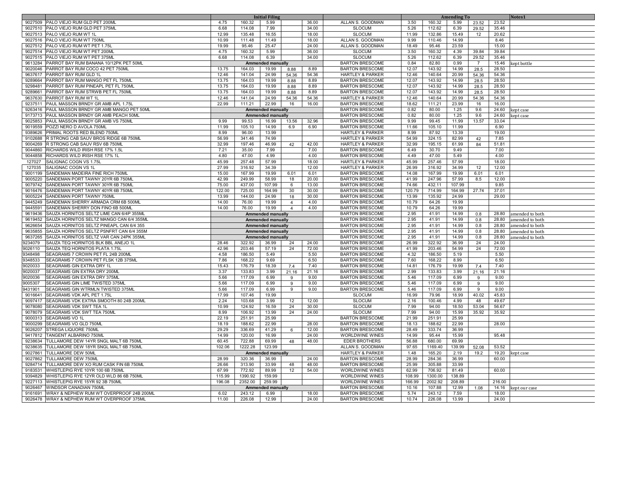|         | <b>Initial Filing</b>                            |        |         |                          |                |       |                             |        | <b>Amending To</b> |        |                | Notes1         |                 |
|---------|--------------------------------------------------|--------|---------|--------------------------|----------------|-------|-----------------------------|--------|--------------------|--------|----------------|----------------|-----------------|
|         | 9027509 PALO VIEJO RUM GLD PET 200ML             | 4.75   | 160.32  | 5.99                     |                | 36.00 | ALLAN S. GOODMAN            | 3.50   | 160.32             | 5.99   | 23.52          | 23.52          |                 |
|         | 9027510 PALO VIEJO RUM GLD PET 375ML             | 6.68   | 114.08  | 7.99                     |                | 34.00 | <b>SLOCUM</b>               | 5.26   | 112.62             | 6.39   | 29.52          | 35.46          |                 |
|         | 9027513 PALO VIEJO RUM WT 1L                     | 12.99  | 135.48  | 16.55                    |                | 18.00 | <b>SLOCUM</b>               | 11.99  | 132.86             | 15.49  | 12             | 20.62          |                 |
|         | 9027516 PALO VIEJO RUM WT 750ML                  | 10.99  | 111.48  | 11.49                    |                | 18.00 | ALLAN S. GOODMAN            | 9.99   | 110.46             | 14.99  |                | 8.46           |                 |
|         | 9027512 PALO VIEJO RUM WT PET 1.75L              | 19.99  | 95.46   | 25.47                    |                | 24.00 | ALLAN S. GOODMAN            | 18.49  | 95.46              | 23.59  |                | 15.00          |                 |
|         | 9027514 PALO VIEJO RUM WT PET 200ML              | 4.75   | 160.32  | 5.99                     |                | 36.00 | <b>SLOCUM</b>               | 3.50   | 160.32             | 4.39   | 39.84          | 39.84          |                 |
| 9027515 | PALO VIEJO RUM WT PET 375ML                      | 6.68   | 114.08  | 6.39                     |                | 34.00 | <b>SLOCUM</b>               | 5.26   | 112.62             | 6.39   | 29.52          | 35.46          |                 |
| 9613284 | PARROT BAY RUM BANANA 10/12PK PET 50ML           |        |         | <b>Ammended manually</b> |                |       | <b>BARTON BRESCOME</b>      | 0.84   | 82.80              | 0.99   | $\overline{7}$ | 15.46          |                 |
| 9020046 | PARROT BAY RUM COCO 42 PET 750ML                 | 13.75  | 164.03  | 19.99                    | 8.88           | 8.89  | <b>BARTON BRESCOME</b>      | 12.07  | 143.92             | 14.99  | 28.5           | 28.50          | kept bottle     |
| 9637617 | PARROT BAY RUM GLD 1L                            | 12.46  | 141.04  | 24.99                    | 54.36          | 54.36 | <b>HARTLEY &amp; PARKER</b> | 12.46  | 140.64             | 20.99  | 54.36          | 54.36          |                 |
| 9289664 | PARROT BAY RUM MANGO PET FL 750ML                | 13.75  | 164.03  | 19.99                    | 8.88           | 8.89  | <b>BARTON BRESCOME</b>      | 12.07  | 143.92             | 14.99  | 28.5           | 28.50          |                 |
| 9298481 | PARROT BAY RUM PINEAPL PET FL 750ML              |        | 164.03  | 19.99                    |                |       | <b>BARTON BRESCOME</b>      | 12.07  | 143.92             | 14.99  |                | 28.50          |                 |
|         |                                                  | 13.75  |         |                          | 8.88           | 8.89  |                             |        |                    |        | 28.5           |                |                 |
| 9289661 | PARROT BAY RUM STRWB PET FL 750ML                | 13.75  | 164.03  | 19.99                    | 8.88           | 8.89  | <b>BARTON BRESCOME</b>      | 12.07  | 143.92             | 14.99  | 28.5           | 28.50          |                 |
| 9637630 | PARROT BAY RUM WT 1L                             | 12.46  | 141.04  | 24.99                    | 54.36          | 54.36 | <b>HARTLEY &amp; PARKER</b> | 12.46  | 140.64             | 20.99  | 54.36          | 54.36          |                 |
| 9237511 | PAUL MASSON BRNDY GR AMB APL 1.75L               | 22.99  | 111.21  | 22.99                    | 16             | 16.00 | <b>BARTON BRESCOME</b>      | 18.62  | 111.21             | 23.99  | 16             | 16.00          |                 |
| 9263416 | PAUL MASSON BRNDY GR AMB MANGO PET 50ML          |        |         | <b>Ammended manually</b> |                |       | <b>BARTON BRESCOME</b>      | 0.82   | 80.00              | 1.25   | 9.6            | 24.60          | ept case        |
|         | 9173713 PAUL MASSON BRNDY GR AMB PEACH 50ML      |        |         | <b>Ammended manually</b> |                |       | <b>BARTON BRESCOME</b>      | 0.82   | 80.00              | 1.25   | 9.6            | 24.60          | cept case       |
|         | 9025853 PAUL MASSON BRNDY GR AMB VS 750ML        | 9.99   | 99.53   | 16.99                    | 13.56          | 32.96 | <b>BARTON BRESCOME</b>      | 9.99   | 99.45              | 11.99  | 13.57          | 33.04          |                 |
|         | 9019559 POZZI NERO D AVOLA 750ML                 | 11.99  | 105.10  | 14.99                    | 6.9            | 6.90  | <b>BARTON BRESCOME</b>      | 11.66  | 105.10             | 11.99  |                | 6.90           |                 |
| 9389626 | PRIMAL ROOTS RED BLEND 750ML                     | 8.99   | 96.00   | 13.99                    |                |       | <b>HARTLEY &amp; PARKER</b> | 8.99   | 87.92              | 13.39  |                | 19.00          |                 |
| 9102688 | R STRONG CAB SAUV BROS RIDGE 6B 750ML            | 56.99  | 341.46  | 74.99                    |                |       | <b>HARTLEY &amp; PARKER</b> | 54.99  | 324.15             | 82.99  | 42             | 7.85           |                 |
|         | 9004269 R STRONG CAB SAUV RSV 6B 750ML           | 32.99  | 197.46  | 46.99                    | 42             | 42.00 | <b>HARTLEY &amp; PARKER</b> | 32.99  | 195.15             | 61.99  | 84             | 51.81          |                 |
|         | 9044860 RICHARDS WILD IRISH RSE 17% 1.5L         | 7.21   | 35.00   | 7.99                     |                | 7.00  | <b>BARTON BRESCOME</b>      | 6.49   | 30.70              | 9.49   |                | 7.00           |                 |
| 9044858 | RICHARDS WILD IRISH RSE 17% 1L                   | 4.80   | 47.00   | 4.99                     |                | 4.00  | <b>BARTON BRESCOME</b>      | 4.49   | 47.00              | 5.49   |                | 4.00           |                 |
| 127027  | SALIGNAC COGN VS 1.75L                           | 45.99  | 257.48  | 57.99                    |                | 18.00 | <b>HARTLEY &amp; PARKER</b> | 45.99  | 257.46             | 57.99  |                | 18.00          |                 |
| 127035  | SALIGNAC COGN VS 1L                              | 27.99  | 316.92  | 34.39                    |                | 12.00 | <b>HARTLEY &amp; PARKER</b> | 26.99  | 316.92             | 34.99  | 12             | 12.00          |                 |
| 9001199 | SANDEMAN MADEIRA FINE RICH 750ML                 | 15.00  | 167.99  | 19.99                    | 6.01           | 6.01  | <b>BARTON BRESCOME</b>      | 14.08  | 167.99             | 19.99  | 6.01           | 6.01           |                 |
| 9005220 | SANDEMAN PORT TAWNY 20YR 6B 750ML                | 42.99  | 249.99  | 58.99                    | 18             | 20.00 | <b>BARTON BRESCOME</b>      | 41.99  | 247.96             | 57.99  | 8.5            | 12.00          |                 |
| 9079742 | SANDEMAN PORT TAWNY 30YR 6B 750ML                | 75.00  | 437.00  | 107.99                   | 6              | 13.00 | <b>BARTON BRESCOME</b>      | 74.66  | 432.11             | 107.99 |                | 9.85           |                 |
|         | 9016476 SANDEMAN PORT TAWNY 40YR 6B 750ML        | 122.00 | 725.00  | 164.99                   | 30             | 30.00 | <b>BARTON BRESCOME</b>      | 120.79 | 714.99             | 164.99 | 27.74          | 37.01          |                 |
| 9005224 | SANDEMAN PORT TAWNY 750ML                        | 13.99  | 144.00  | 24.99                    | 18             | 30.00 | <b>BARTON BRESCOME</b>      | 13.99  | 135.92             | 24.99  |                | 29.00          |                 |
| 9445249 | SANDEMAN SHERRY ARMADA CRM 6B 500ML              | 14.00  | 76.00   | 19.99                    | $\overline{a}$ | 4.00  | <b>BARTON BRESCOME</b>      | 10.79  | 64.26              | 19.99  |                |                |                 |
| 9445591 | SANDEMAN SHERRY DON FINO 6B 500ML                | 14.00  | 76.00   | 19.99                    | $\overline{4}$ | 4.00  | <b>BARTON BRESCOME</b>      | 10.79  | 64.26              | 19.99  |                |                |                 |
| 9619436 | SAUZA HORNITOS SELTZ LIME CAN 6/4P 355MI         |        |         | Ammended manually        |                |       | <b>BARTON BRESCOME</b>      | 2.95   | 41.91              | 14.99  | 0.8            | 28.80          | amended to both |
| 9619452 | SAUZA HORNITOS SELTZ MANGO CAN 6/4 355ML         |        |         |                          |                |       | <b>BARTON BRESCOME</b>      | 2.95   | 41.91              | 14.99  | 0.8            | 28.80          |                 |
|         | 9626654 SAUZA HORNITOS SELTZ PINEAPL CAN 6/4 355 |        |         | Ammended manually        |                |       | <b>BARTON BRESCOME</b>      | 2.95   | 41.91              | 14.99  | 0.8            | 28.80          | amended to both |
| 9635855 | SAUZA HORNITOS SELTZ PSNFRT CAN 6/4 355M         |        |         | Ammended manually        |                |       | <b>BARTON BRESCOME</b>      | 2.95   | 41.91              | 14.99  |                |                | amended to both |
| 9637265 | SAUZA HORNITOS SELTZ VAR CAN 24PK 355ML          |        |         | <b>Ammended manually</b> |                |       | <b>BARTON BRESCOME</b>      | 2.95   | 41.91              | 14.99  | 0.8            | 28.80<br>28.80 | amended to both |
|         |                                                  |        |         | Ammended manually        |                |       |                             |        |                    |        | 0.8            |                | amended to both |
| 9234079 | SAUZA TEQ HORNITOS BLK BBL ANEJO 1L              | 28.46  | 322.92  | 36.99                    | 24             | 24.00 | <b>BARTON BRESCOME</b>      | 26.99  | 322.92             | 36.99  | 24             | 24.00          |                 |
| 9026110 | SAUZA TEQ HORNITOS PLATA 1.75L                   | 42.96  | 203.46  | 57.19                    | 24             | 72.00 | <b>BARTON BRESCOME</b>      | 41.99  | 203.46             | 54.99  | 24             | 72.00          |                 |
| 9348498 | SEAGRAMS 7 CROWN PET FL 24B 200ML                | 4.58   | 186.50  | 5.49                     |                | 5.50  | <b>BARTON BRESCOME</b>      | 4.32   | 186.50             | 5.19   |                | 5.50           |                 |
| 9348533 | SEAGRAMS 7 CROWN PET FLSK 12B 375ML              | 7.86   | 168.22  | 9.69                     |                | 6.50  | <b>BARTON BRESCOME</b>      | 7.60   | 168.22             | 8.99   |                | 6.50           |                 |
| 9020033 | SEAGRAMS GIN EXTRA DRY 1L                        | 15.43  | 176.79  | 18.39                    | 7.4            | 7.40  | <b>BARTON BRESCOME</b>      | 14.81  | 176.79             | 19.99  | 7.4            | 7.40           |                 |
| 9020037 | SEAGRAMS GIN EXTRA DRY 200ML                     | 3.37   | 133.83  | 3.99                     | 21.16          | 21.16 | <b>BARTON BRESCOME</b>      | 2.99   | 133.83             | 3.99   | 21.16          | 21.16          |                 |
| 9020036 | SEAGRAMS GIN EXTRA DRY 375ML                     | 5.66   | 117.09  | 6.99                     | 9              | 9.00  | <b>BARTON BRESCOME</b>      | 5.46   | 117.09             | 6.99   | 9              | 9.00           |                 |
| 9005307 | SEAGRAMS GIN LIME TWISTED 375ML                  | 5.66   | 117.09  | 6.99                     | 9              | 9.00  | <b>BARTON BRESCOME</b>      | 5.46   | 117.09             | 6.99   | 9              | 9.00           |                 |
| 9431901 | SEAGRAMS GIN WTRMLN TWISTED 375ML                | 5.66   | 117.09  | 6.99                     | 9              | 9.00  | <b>BARTON BRESCOME</b>      | 5.46   | 117.09             | 6.99   | 9              | 9.00           |                 |
| 9016641 | SEAGRAMS VDK APL PET 1.75L                       | 17.99  | 107.46  | 19.99                    |                |       | <b>SLOCUM</b>               | 16.99  | 79.96              | 18.99  | 40.02          | 45.83          |                 |
| 9097417 | SEAGRAMS VDK EXTRA SMOOTH 80 24B 200ML           | 2.24   | 103.68  | 3.99                     | 12             | 12.00 | <b>SLOCUM</b>               | 2.16   | 100.46             | 4.99   | 48             | 49.67          |                 |
| 9078080 | SEAGRAMS VDK SWT TEA 1L                          | 10.99  | 124.92  | 16.59                    | 24             | 30.00 | <b>SLOCUM</b>               | 7.99   | 94.00              | 18.50  | 53.04          | 56.67          |                 |
|         | 9078079 SEAGRAMS VDK SWT TEA 750ML               | 8.99   | 106.92  | 13.99                    | 24             | 24.00 | <b>SLOCUM</b>               | 7.99   | 94.00              | 15.99  | 35.92          | 35.92          |                 |
| 9000313 | <b>SEAGRAMS VO 1L</b>                            | 22.19  | 251.91  | 25.99                    |                |       | <b>BARTON BRESCOME</b>      | 21.99  | 251.91             | 25.99  |                |                |                 |
| 9000299 | SEAGRAMS VO GLD 750ML                            | 18.19  | 188.62  | 22.99                    |                | 28.00 | <b>BARTON BRESCOME</b>      | 18.13  | 188.62             | 22.99  |                | 28.00          |                 |
| 9026207 | <b>STREGA LIQUORE 750ML</b>                      | 29.29  | 336.69  | 41.29                    | 6              | 12.00 | <b>BARTON BRESCOME</b>      | 28.49  | 333.74             | 36.99  |                |                |                 |
| 9417812 | <b>TANGENT ALBARINO 750ML</b>                    | 14.99  | 120.00  | 16.99                    |                | 24.00 | <b>WORLDWINE WINES</b>      | 14.99  | 95.44              | 15.99  |                | 95.48          |                 |
| 9238634 | TULLAMORE DEW 14YR SNGL MALT 6B 750ML            | 60.45  | 722.88  | 69.99                    | 48             | 48.00 | <b>EDER BROTHERS</b>        | 56.88  | 680.00             | 69.99  |                |                |                 |
| 9238635 | TULLAMORE DEW 18YR SNGL MALT 6B 750ML            | 102.06 | 1222.28 | 123.99                   |                |       | ALLAN S. GOODMAN            | 97.65  | 1169.40            | 139.99 | 52.08          | 53.52          |                 |
| 9027861 | <b>TULLAMORE DEW 50ML</b>                        |        |         | <b>Ammended manually</b> |                |       | <b>HARTLEY &amp; PARKER</b> | 1.48   | 165.20             | 2.19   | 19.2           | 19.20          | kept case       |
|         | 9027862 TULLAMORE DEW 750ML                      | 28.99  | 320.36  | 36.99                    |                | 24.00 | <b>BARTON BRESCOME</b>      | 28.99  | 284.36             | 36.99  |                | 60.00          |                 |
|         | 9284714 TULLAMORE DEW XO RUM CASK FIN 6B 750ML   | 26.66  | 313.90  | 33.99                    | 48             | 48.00 | <b>BARTON BRESCOME</b>      | 25.99  | 305.88             | 33.99  |                |                |                 |
|         | 9183531 WHISTLEPIG RYE 10YR 100 6B 750ML         | 67.99  | 772.92  | 89.99                    | 12             | 54.00 | <b>WORLDWINE WINES</b>      | 62.99  | 706.92             | 81.49  |                | 60.00          |                 |
|         | 9394829 WHISTLEPIG RYE 12YR OLD WLD 86 6B 750ML  | 115.99 | 1390.92 | 159.99                   |                |       | <b>WORLDWINE WINES</b>      | 108.99 | 1300.00            | 138.89 |                |                |                 |
|         | 9227113 WHISTLEPIG RYE 15YR 92 3B 750ML          | 196.08 | 2352.00 | 259.99                   |                |       | <b>WORLDWINE WINES</b>      | 166.99 | 2002.92            | 208.89 |                | 216.00         |                 |
|         | 9026467 WINDSOR CANADIAN 750ML                   |        |         | <b>Ammended manually</b> |                |       | <b>BARTON BRESCOME</b>      | 10.16  | 107.88             | 12.99  | 1.08           | 14.16          | kept our case   |
|         | 9161691 WRAY & NEPHEW RUM WT OVERPROOF 24B 200ML | 6.02   | 243.12  | 6.99                     |                | 18.00 | <b>BARTON BRESCOME</b>      | 5.74   | 243.12             | 7.59   |                | 18.00          |                 |
|         | 9026478 WRAY & NEPHEW RUM WT OVERPROOF 375ML     | 11.00  | 226.08  | 12.99                    |                | 24.00 | <b>BARTON BRESCOME</b>      | 10.74  | 226.08             | 13.99  |                | 24.00          |                 |
|         |                                                  |        |         |                          |                |       |                             |        |                    |        |                |                |                 |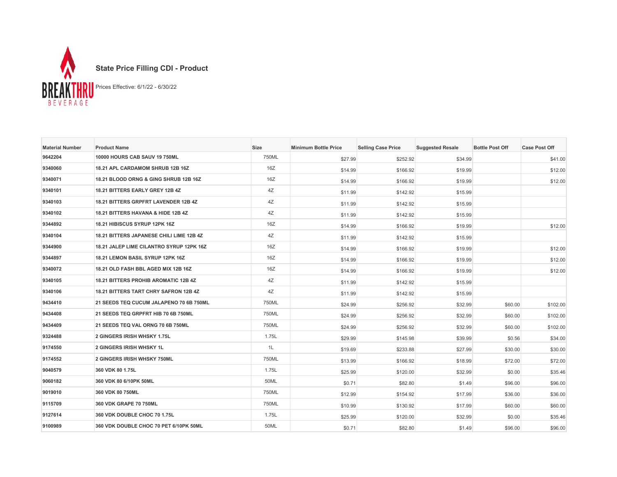

| <b>Material Number</b> | <b>Product Name</b>                              | <b>Size</b> | <b>Minimum Bottle Price</b> | <b>Selling Case Price</b> | <b>Suggested Resale</b> | <b>Bottle Post Off</b> | <b>Case Post Off</b> |
|------------------------|--------------------------------------------------|-------------|-----------------------------|---------------------------|-------------------------|------------------------|----------------------|
| 9642204                | 10000 HOURS CAB SAUV 19 750ML                    | 750ML       | \$27.99                     | \$252.92                  | \$34.99                 |                        | \$41.00              |
| 9340060                | 18.21 APL CARDAMOM SHRUB 12B 16Z                 | 16Z         | \$14.99                     | \$166.92                  | \$19.99                 |                        | \$12.00              |
| 9340071                | <b>18.21 BLOOD ORNG &amp; GING SHRUB 12B 16Z</b> | 16Z         | \$14.99                     | \$166.92                  | \$19.99                 |                        | \$12.00              |
| 9340101                | 18.21 BITTERS EARLY GREY 12B 4Z                  | 4Z          | \$11.99                     | \$142.92                  | \$15.99                 |                        |                      |
| 9340103                | <b>18.21 BITTERS GRPFRT LAVENDER 12B 4Z</b>      | 4Z          | \$11.99                     | \$142.92                  | \$15.99                 |                        |                      |
| 9340102                | 18.21 BITTERS HAVANA & HIDE 12B 4Z               | 4Z          | \$11.99                     | \$142.92                  | \$15.99                 |                        |                      |
| 9344892                | 18.21 HIBISCUS SYRUP 12PK 16Z                    | 16Z         | \$14.99                     | \$166.92                  | \$19.99                 |                        | \$12.00              |
| 9340104                | <b>18.21 BITTERS JAPANESE CHILI LIME 12B 4Z</b>  | 4Z          | \$11.99                     | \$142.92                  | \$15.99                 |                        |                      |
| 9344900                | 18.21 JALEP LIME CILANTRO SYRUP 12PK 16Z         | 16Z         | \$14.99                     | \$166.92                  | \$19.99                 |                        | \$12.00              |
| 9344897                | 18.21 LEMON BASIL SYRUP 12PK 16Z                 | 16Z         | \$14.99                     | \$166.92                  | \$19.99                 |                        | \$12.00              |
| 9340072                | 18.21 OLD FASH BBL AGED MIX 12B 16Z              | 16Z         | \$14.99                     | \$166.92                  | \$19.99                 |                        | \$12.00              |
| 9340105                | <b>18.21 BITTERS PROHIB AROMATIC 12B 4Z</b>      | 4Z          | \$11.99                     | \$142.92                  | \$15.99                 |                        |                      |
| 9340106                | 18.21 BITTERS TART CHRY SAFRON 12B 4Z            | 4Z          | \$11.99                     | \$142.92                  | \$15.99                 |                        |                      |
| 9434410                | 21 SEEDS TEQ CUCUM JALAPENO 70 6B 750ML          | 750ML       | \$24.99                     | \$256.92                  | \$32.99                 | \$60.00                | \$102.00             |
| 9434408                | 21 SEEDS TEQ GRPFRT HIB 70 6B 750ML              | 750ML       | \$24.99                     | \$256.92                  | \$32.99                 | \$60.00                | \$102.00             |
| 9434409                | 21 SEEDS TEQ VAL ORNG 70 6B 750ML                | 750ML       | \$24.99                     | \$256.92                  | \$32.99                 | \$60.00                | \$102.00             |
| 9324488                | 2 GINGERS IRISH WHSKY 1.75L                      | 1.75L       | \$29.99                     | \$145.98                  | \$39.99                 | \$0.56                 | \$34.00              |
| 9174550                | <b>2 GINGERS IRISH WHSKY 1L</b>                  | 1L          | \$19.69                     | \$233.88                  | \$27.99                 | \$30.00                | \$30.00              |
| 9174552                | 2 GINGERS IRISH WHSKY 750ML                      | 750ML       | \$13.99                     | \$166.92                  | \$18.99                 | \$72.00                | \$72.00              |
| 9040579                | 360 VDK 80 1.75L                                 | 1.75L       | \$25.99                     | \$120.00                  | \$32.99                 | \$0.00                 | \$35.46              |
| 9060182                | 360 VDK 80 6/10PK 50ML                           | 50ML        | \$0.71                      | \$82.80                   | \$1.49                  | \$96.00                | \$96.00              |
| 9019010                | <b>360 VDK 80 750ML</b>                          | 750ML       | \$12.99                     | \$154.92                  | \$17.99                 | \$36.00                | \$36.00              |
| 9115709                | 360 VDK GRAPE 70 750ML                           | 750ML       | \$10.99                     | \$130.92                  | \$17.99                 | \$60.00                | \$60.00              |
| 9127614                | <b>360 VDK DOUBLE CHOC 70 1.75L</b>              | 1.75L       | \$25.99                     | \$120.00                  | \$32.99                 | \$0.00                 | \$35.46              |
| 9100989                | 360 VDK DOUBLE CHOC 70 PET 6/10PK 50ML           | 50ML        | \$0.71                      | \$82.80                   | \$1.49                  | \$96.00                | \$96.00              |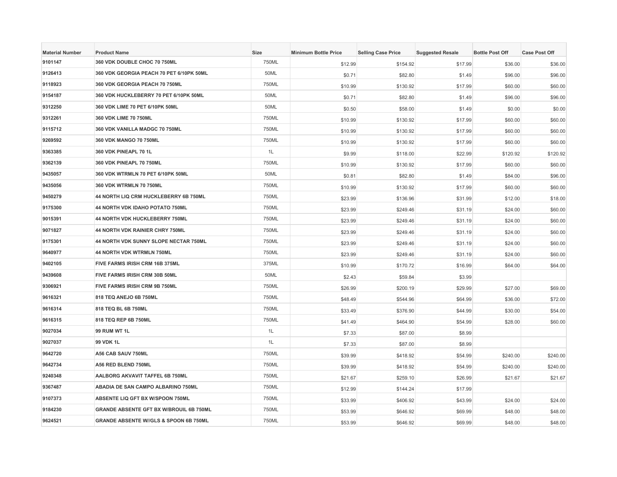| <b>Material Number</b> | <b>Product Name</b>                               | Size  | <b>Minimum Bottle Price</b> | <b>Selling Case Price</b> | <b>Suggested Resale</b> | <b>Bottle Post Off</b> | <b>Case Post Off</b> |
|------------------------|---------------------------------------------------|-------|-----------------------------|---------------------------|-------------------------|------------------------|----------------------|
| 9101147                | 360 VDK DOUBLE CHOC 70 750ML                      | 750ML | \$12.99                     | \$154.92                  | \$17.99                 | \$36.00                | \$36.00              |
| 9126413                | 360 VDK GEORGIA PEACH 70 PET 6/10PK 50ML          | 50ML  | \$0.71                      | \$82.80                   | \$1.49                  | \$96.00                | \$96.00              |
| 9118923                | 360 VDK GEORGIA PEACH 70 750ML                    | 750ML | \$10.99                     | \$130.92                  | \$17.99                 | \$60.00                | \$60.00              |
| 9154187                | 360 VDK HUCKLEBERRY 70 PET 6/10PK 50ML            | 50ML  | \$0.71                      | \$82.80                   | \$1.49                  | \$96.00                | \$96.00              |
| 9312250                | 360 VDK LIME 70 PET 6/10PK 50ML                   | 50ML  | \$0.50                      | \$58.00                   | \$1.49                  | \$0.00                 | \$0.00               |
| 9312261                | 360 VDK LIME 70 750ML                             | 750ML | \$10.99                     | \$130.92                  | \$17.99                 | \$60.00                | \$60.00              |
| 9115712                | 360 VDK VANILLA MADGC 70 750ML                    | 750ML | \$10.99                     | \$130.92                  | \$17.99                 | \$60.00                | \$60.00              |
| 9269592                | 360 VDK MANGO 70 750ML                            | 750ML | \$10.99                     | \$130.92                  | \$17.99                 | \$60.00                | \$60.00              |
| 9363385                | 360 VDK PINEAPL 70 1L                             | 1L    | \$9.99                      | \$118.00                  | \$22.99                 | \$120.92               | \$120.92             |
| 9362139                | 360 VDK PINEAPL 70 750ML                          | 750ML | \$10.99                     | \$130.92                  | \$17.99                 | \$60.00                | \$60.00              |
| 9435057                | 360 VDK WTRMLN 70 PET 6/10PK 50ML                 | 50ML  | \$0.81                      | \$82.80                   | \$1.49                  | \$84.00                | \$96.00              |
| 9435056                | 360 VDK WTRMLN 70 750ML                           | 750ML | \$10.99                     | \$130.92                  | \$17.99                 | \$60.00                | \$60.00              |
| 9450279                | 44 NORTH LIQ CRM HUCKLEBERRY 6B 750ML             | 750ML | \$23.99                     | \$136.96                  | \$31.99                 | \$12.00                | \$18.00              |
| 9175300                | 44 NORTH VDK IDAHO POTATO 750ML                   | 750ML | \$23.99                     | \$249.46                  | \$31.19                 | \$24.00                | \$60.00              |
| 9015391                | 44 NORTH VDK HUCKLEBERRY 750ML                    | 750ML | \$23.99                     | \$249.46                  | \$31.19                 | \$24.00                | \$60.00              |
| 9071827                | 44 NORTH VDK RAINIER CHRY 750ML                   | 750ML | \$23.99                     | \$249.46                  | \$31.19                 | \$24.00                | \$60.00              |
| 9175301                | 44 NORTH VDK SUNNY SLOPE NECTAR 750ML             | 750ML | \$23.99                     | \$249.46                  | \$31.19                 | \$24.00                | \$60.00              |
| 9640977                | 44 NORTH VDK WTRMLN 750ML                         | 750ML | \$23.99                     | \$249.46                  | \$31.19                 | \$24.00                | \$60.00              |
| 9402105                | FIVE FARMS IRISH CRM 16B 375ML                    | 375ML | \$10.99                     | \$170.72                  | \$16.99                 | \$64.00                | \$64.00              |
| 9439608                | FIVE FARMS IRISH CRM 30B 50ML                     | 50ML  | \$2.43                      | \$59.84                   | \$3.99                  |                        |                      |
| 9306921                | FIVE FARMS IRISH CRM 9B 750ML                     | 750ML | \$26.99                     | \$200.19                  | \$29.99                 | \$27.00                | \$69.00              |
| 9616321                | 818 TEQ ANEJO 6B 750ML                            | 750ML | \$48.49                     | \$544.96                  | \$64.99                 | \$36.00                | \$72.00              |
| 9616314                | 818 TEQ BL 6B 750ML                               | 750ML | \$33.49                     | \$376.90                  | \$44.99                 | \$30.00                | \$54.00              |
| 9616315                | 818 TEQ REP 6B 750ML                              | 750ML | \$41.49                     | \$464.90                  | \$54.99                 | \$28.00                | \$60.00              |
| 9027034                | 99 RUM WT 1L                                      | 1L    | \$7.33                      | \$87.00                   | \$8.99                  |                        |                      |
| 9027037                | 99 VDK 1L                                         | 1L    | \$7.33                      | \$87.00                   | \$8.99                  |                        |                      |
| 9642720                | A56 CAB SAUV 750ML                                | 750ML | \$39.99                     | \$418.92                  | \$54.99                 | \$240.00               | \$240.00             |
| 9642734                | A56 RED BLEND 750ML                               | 750ML | \$39.99                     | \$418.92                  | \$54.99                 | \$240.00               | \$240.00             |
| 9240348                | AALBORG AKVAVIT TAFFEL 6B 750ML                   | 750ML | \$21.67                     | \$259.10                  | \$26.99                 | \$21.67                | \$21.67              |
| 9367487                | ABADIA DE SAN CAMPO ALBARINO 750ML                | 750ML | \$12.99                     | \$144.24                  | \$17.99                 |                        |                      |
| 9107373                | ABSENTE LIQ GFT BX W/SPOON 750ML                  | 750ML | \$33.99                     | \$406.92                  | \$43.99                 | \$24.00                | \$24.00              |
| 9184230                | <b>GRANDE ABSENTE GFT BX W/BROUIL 6B 750ML</b>    | 750ML | \$53.99                     | \$646.92                  | \$69.99                 | \$48.00                | \$48.00              |
| 9624521                | <b>GRANDE ABSENTE W//GLS &amp; SPOON 6B 750ML</b> | 750ML | \$53.99                     | \$646.92                  | \$69.99                 | \$48.00                | \$48.00              |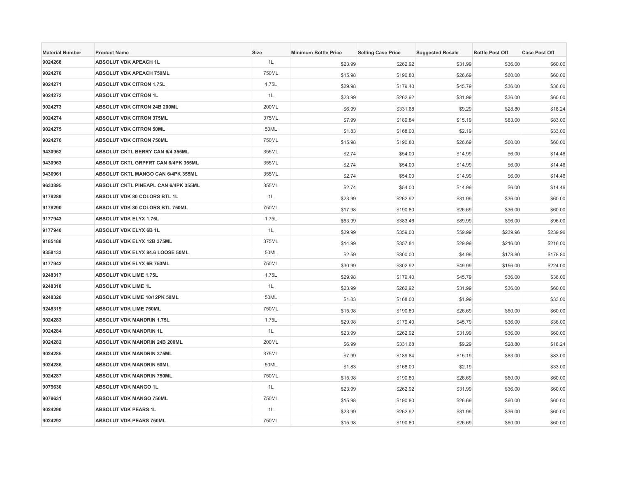| <b>Material Number</b> | <b>Product Name</b>                  | Size  | <b>Minimum Bottle Price</b> | <b>Selling Case Price</b> | <b>Suggested Resale</b> | <b>Bottle Post Off</b> | <b>Case Post Off</b> |
|------------------------|--------------------------------------|-------|-----------------------------|---------------------------|-------------------------|------------------------|----------------------|
| 9024268                | <b>ABSOLUT VDK APEACH 1L</b>         | 1L    | \$23.99                     | \$262.92                  | \$31.99                 | \$36.00                | \$60.00              |
| 9024270                | <b>ABSOLUT VDK APEACH 750ML</b>      | 750ML | \$15.98                     | \$190.80                  | \$26.69                 | \$60.00                | \$60.00              |
| 9024271                | <b>ABSOLUT VDK CITRON 1.75L</b>      | 1.75L | \$29.98                     | \$179.40                  | \$45.79                 | \$36.00                | \$36.00              |
| 9024272                | <b>ABSOLUT VDK CITRON 1L</b>         | 1L    | \$23.99                     | \$262.92                  | \$31.99                 | \$36.00                | \$60.00              |
| 9024273                | ABSOLUT VDK CITRON 24B 200ML         | 200ML | \$6.99                      | \$331.68                  | \$9.29                  | \$28.80                | \$18.24              |
| 9024274                | <b>ABSOLUT VDK CITRON 375ML</b>      | 375ML | \$7.99                      | \$189.84                  | \$15.19                 | \$83.00                | \$83.00              |
| 9024275                | <b>ABSOLUT VDK CITRON 50ML</b>       | 50ML  | \$1.83                      | \$168.00                  | \$2.19                  |                        | \$33.00              |
| 9024276                | ABSOLUT VDK CITRON 750ML             | 750ML | \$15.98                     | \$190.80                  | \$26.69                 | \$60.00                | \$60.00              |
| 9430962                | ABSOLUT CKTL BERRY CAN 6/4 355ML     | 355ML | \$2.74                      | \$54.00                   | \$14.99                 | \$6.00                 | \$14.46              |
| 9430963                | ABSOLUT CKTL GRPFRT CAN 6/4PK 355ML  | 355ML | \$2.74                      | \$54.00                   | \$14.99                 | \$6.00                 | \$14.46              |
| 9430961                | ABSOLUT CKTL MANGO CAN 6/4PK 355ML   | 355ML | \$2.74                      | \$54.00                   | \$14.99                 | \$6.00                 | \$14.46              |
| 9633895                | ABSOLUT CKTL PINEAPL CAN 6/4PK 355ML | 355ML | \$2.74                      | \$54.00                   | \$14.99                 | \$6.00                 | \$14.46              |
| 9178289                | ABSOLUT VDK 80 COLORS BTL 1L         | 1L    | \$23.99                     | \$262.92                  | \$31.99                 | \$36.00                | \$60.00              |
| 9178290                | ABSOLUT VDK 80 COLORS BTL 750ML      | 750ML | \$17.98                     | \$190.80                  | \$26.69                 | \$36.00                | \$60.00              |
| 9177943                | <b>ABSOLUT VDK ELYX 1.75L</b>        | 1.75L | \$63.99                     | \$383.46                  | \$89.99                 | \$96.00                | \$96.00              |
| 9177940                | ABSOLUT VDK ELYX 6B 1L               | 1L    | \$29.99                     | \$359.00                  | \$59.99                 | \$239.96               | \$239.96             |
| 9185188                | ABSOLUT VDK ELYX 12B 375ML           | 375ML | \$14.99                     | \$357.84                  | \$29.99                 | \$216.00               | \$216.00             |
| 9358133                | ABSOLUT VDK ELYX 84.6 LOOSE 50ML     | 50ML  | \$2.59                      | \$300.00                  | \$4.99                  | \$178.80               | \$178.80             |
| 9177942                | ABSOLUT VDK ELYX 6B 750ML            | 750ML | \$30.99                     | \$302.92                  | \$49.99                 | \$156.00               | \$224.00             |
| 9248317                | <b>ABSOLUT VDK LIME 1.75L</b>        | 1.75L | \$29.98                     | \$179.40                  | \$45.79                 | \$36.00                | \$36.00              |
| 9248318                | <b>ABSOLUT VDK LIME 1L</b>           | 1L    | \$23.99                     | \$262.92                  | \$31.99                 | \$36.00                | \$60.00              |
| 9248320                | ABSOLUT VDK LIME 10/12PK 50ML        | 50ML  | \$1.83                      | \$168.00                  | \$1.99                  |                        | \$33.00              |
| 9248319                | <b>ABSOLUT VDK LIME 750ML</b>        | 750ML | \$15.98                     | \$190.80                  | \$26.69                 | \$60.00                | \$60.00              |
| 9024283                | <b>ABSOLUT VDK MANDRIN 1.75L</b>     | 1.75L | \$29.98                     | \$179.40                  | \$45.79                 | \$36.00                | \$36.00              |
| 9024284                | <b>ABSOLUT VDK MANDRIN 1L</b>        | 1L    | \$23.99                     | \$262.92                  | \$31.99                 | \$36.00                | \$60.00              |
| 9024282                | ABSOLUT VDK MANDRIN 24B 200ML        | 200ML | \$6.99                      | \$331.68                  | \$9.29                  | \$28.80                | \$18.24              |
| 9024285                | <b>ABSOLUT VDK MANDRIN 375ML</b>     | 375ML | \$7.99                      | \$189.84                  | \$15.19                 | \$83.00                | \$83.00              |
| 9024286                | ABSOLUT VDK MANDRIN 50ML             | 50ML  | \$1.83                      | \$168.00                  | \$2.19                  |                        | \$33.00              |
| 9024287                | <b>ABSOLUT VDK MANDRIN 750ML</b>     | 750ML | \$15.98                     | \$190.80                  | \$26.69                 | \$60.00                | \$60.00              |
| 9079630                | <b>ABSOLUT VDK MANGO 1L</b>          | 1L    | \$23.99                     | \$262.92                  | \$31.99                 | \$36.00                | \$60.00              |
| 9079631                | ABSOLUT VDK MANGO 750ML              | 750ML | \$15.98                     | \$190.80                  | \$26.69                 | \$60.00                | \$60.00              |
| 9024290                | <b>ABSOLUT VDK PEARS 1L</b>          | 1L    | \$23.99                     | \$262.92                  | \$31.99                 | \$36.00                | \$60.00              |
| 9024292                | <b>ABSOLUT VDK PEARS 750ML</b>       | 750ML | \$15.98                     | \$190.80                  | \$26.69                 | \$60.00                | \$60.00              |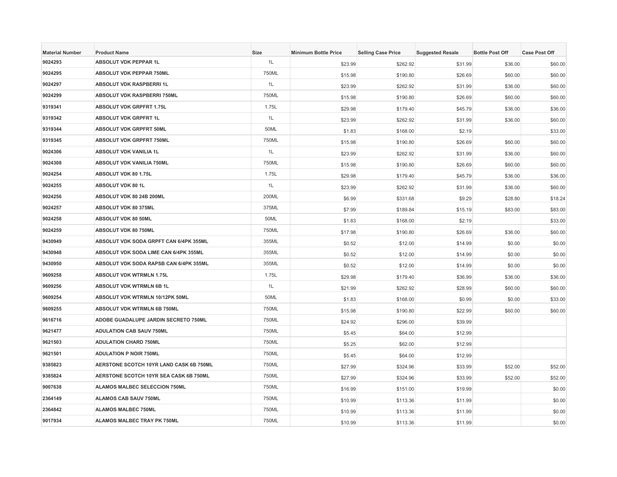| <b>Material Number</b> | <b>Product Name</b>                     | Size  | <b>Minimum Bottle Price</b> | <b>Selling Case Price</b> | <b>Suggested Resale</b> | <b>Bottle Post Off</b> | <b>Case Post Off</b> |
|------------------------|-----------------------------------------|-------|-----------------------------|---------------------------|-------------------------|------------------------|----------------------|
| 9024293                | ABSOLUT VDK PEPPAR 1L                   | 1L    | \$23.99                     | \$262.92                  | \$31.99                 | \$36.00                | \$60.00              |
| 9024295                | <b>ABSOLUT VDK PEPPAR 750ML</b>         | 750ML | \$15.98                     | \$190.80                  | \$26.69                 | \$60.00                | \$60.00              |
| 9024297                | ABSOLUT VDK RASPBERRI 1L                | 1L    | \$23.99                     | \$262.92                  | \$31.99                 | \$36.00                | \$60.00              |
| 9024299                | ABSOLUT VDK RASPBERRI 750ML             | 750ML | \$15.98                     | \$190.80                  | \$26.69                 | \$60.00                | \$60.00              |
| 9319341                | <b>ABSOLUT VDK GRPFRT 1.75L</b>         | 1.75L | \$29.98                     | \$179.40                  | \$45.79                 | \$36.00                | \$36.00              |
| 9319342                | <b>ABSOLUT VDK GRPFRT 1L</b>            | 1L    | \$23.99                     | \$262.92                  | \$31.99                 | \$36.00                | \$60.00              |
| 9319344                | <b>ABSOLUT VDK GRPFRT 50ML</b>          | 50ML  | \$1.83                      | \$168.00                  | \$2.19                  |                        | \$33.00              |
| 9319345                | ABSOLUT VDK GRPFRT 750ML                | 750ML | \$15.98                     | \$190.80                  | \$26.69                 | \$60.00                | \$60.00              |
| 9024306                | ABSOLUT VDK VANILIA 1L                  | 1L    | \$23.99                     | \$262.92                  | \$31.99                 | \$36.00                | \$60.00              |
| 9024308                | ABSOLUT VDK VANILIA 750ML               | 750ML | \$15.98                     | \$190.80                  | \$26.69                 | \$60.00                | \$60.00              |
| 9024254                | ABSOLUT VDK 80 1.75L                    | 1.75L | \$29.98                     | \$179.40                  | \$45.79                 | \$36.00                | \$36.00              |
| 9024255                | ABSOLUT VDK 80 1L                       | 1L    | \$23.99                     | \$262.92                  | \$31.99                 | \$36.00                | \$60.00              |
| 9024256                | ABSOLUT VDK 80 24B 200ML                | 200ML | \$6.99                      | \$331.68                  | \$9.29                  | \$28.80                | \$18.24              |
| 9024257                | ABSOLUT VDK 80 375ML                    | 375ML | \$7.99                      | \$189.84                  | \$15.19                 | \$83.00                | \$83.00              |
| 9024258                | <b>ABSOLUT VDK 80 50ML</b>              | 50ML  | \$1.83                      | \$168.00                  | \$2.19                  |                        | \$33.00              |
| 9024259                | ABSOLUT VDK 80 750ML                    | 750ML | \$17.98                     | \$190.80                  | \$26.69                 | \$36.00                | \$60.00              |
| 9430949                | ABSOLUT VDK SODA GRPFT CAN 6/4PK 355ML  | 355ML | \$0.52                      | \$12.00                   | \$14.99                 | \$0.00                 | \$0.00               |
| 9430948                | ABSOLUT VDK SODA LIME CAN 6/4PK 355ML   | 355ML | \$0.52                      | \$12.00                   | \$14.99                 | \$0.00                 | \$0.00               |
| 9430950                | ABSOLUT VDK SODA RAPSB CAN 6/4PK 355ML  | 355ML | \$0.52                      | \$12.00                   | \$14.99                 | \$0.00                 | \$0.00               |
| 9609258                | <b>ABSOLUT VDK WTRMLN 1.75L</b>         | 1.75L | \$29.98                     | \$179.40                  | \$36.99                 | \$36.00                | \$36.00              |
| 9609256                | ABSOLUT VDK WTRMLN 6B 1L                | 1L    | \$21.99                     | \$262.92                  | \$28.99                 | \$60.00                | \$60.00              |
| 9609254                | ABSOLUT VDK WTRMLN 10/12PK 50ML         | 50ML  | \$1.83                      | \$168.00                  | \$0.99                  | \$0.00                 | \$33.00              |
| 9609255                | ABSOLUT VDK WTRMLN 6B 750ML             | 750ML | \$15.98                     | \$190.80                  | \$22.99                 | \$60.00                | \$60.00              |
| 9616716                | ADOBE GUADALUPE JARDIN SECRETO 750ML    | 750ML | \$24.92                     | \$296.00                  | \$39.99                 |                        |                      |
| 9621477                | <b>ADULATION CAB SAUV 750ML</b>         | 750ML | \$5.45                      | \$64.00                   | \$12.99                 |                        |                      |
| 9621503                | <b>ADULATION CHARD 750ML</b>            | 750ML | \$5.25                      | \$62.00                   | \$12.99                 |                        |                      |
| 9621501                | <b>ADULATION P NOIR 750ML</b>           | 750ML | \$5.45                      | \$64.00                   | \$12.99                 |                        |                      |
| 9385823                | AERSTONE SCOTCH 10YR LAND CASK 6B 750ML | 750ML | \$27.99                     | \$324.96                  | \$33.99                 | \$52.00                | \$52.00              |
| 9385824                | AERSTONE SCOTCH 10YR SEA CASK 6B 750ML  | 750ML | \$27.99                     | \$324.96                  | \$33.99                 | \$52.00                | \$52.00              |
| 9007638                | ALAMOS MALBEC SELECCION 750ML           | 750ML | \$16.99                     | \$151.00                  | \$19.99                 |                        | \$0.00               |
| 2364149                | ALAMOS CAB SAUV 750ML                   | 750ML | \$10.99                     | \$113.36                  | \$11.99                 |                        | \$0.00               |
| 2364842                | <b>ALAMOS MALBEC 750ML</b>              | 750ML | \$10.99                     | \$113.36                  | \$11.99                 |                        | \$0.00               |
| 9017934                | ALAMOS MALBEC TRAY PK 750ML             | 750ML | \$10.99                     | \$113.36                  | \$11.99                 |                        | \$0.00               |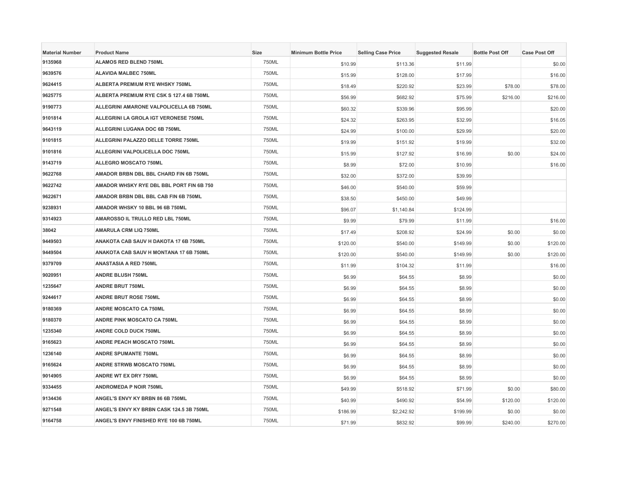| <b>Material Number</b> | <b>Product Name</b>                      | Size  | <b>Minimum Bottle Price</b> | <b>Selling Case Price</b> | <b>Suggested Resale</b> | <b>Bottle Post Off</b> | <b>Case Post Off</b> |
|------------------------|------------------------------------------|-------|-----------------------------|---------------------------|-------------------------|------------------------|----------------------|
| 9135968                | <b>ALAMOS RED BLEND 750ML</b>            | 750ML | \$10.99                     | \$113.36                  | \$11.99                 |                        | \$0.00               |
| 9639576                | <b>ALAVIDA MALBEC 750ML</b>              | 750ML | \$15.99                     | \$128.00                  | \$17.99                 |                        | \$16.00              |
| 9624415                | ALBERTA PREMIUM RYE WHSKY 750ML          | 750ML | \$18.49                     | \$220.92                  | \$23.99                 | \$78.00                | \$78.00              |
| 9625775                | ALBERTA PREMIUM RYE CSK S 127.4 6B 750ML | 750ML | \$56.99                     | \$682.92                  | \$75.99                 | \$216.00               | \$216.00             |
| 9190773                | ALLEGRINI AMARONE VALPOLICELLA 6B 750ML  | 750ML | \$60.32                     | \$339.96                  | \$95.99                 |                        | \$20.00              |
| 9101814                | ALLEGRINI LA GROLA IGT VERONESE 750ML    | 750ML | \$24.32                     | \$263.95                  | \$32.99                 |                        | \$16.05              |
| 9643119                | ALLEGRINI LUGANA DOC 6B 750ML            | 750ML | \$24.99                     | \$100.00                  | \$29.99                 |                        | \$20.00              |
| 9101815                | ALLEGRINI PALAZZO DELLE TORRE 750ML      | 750ML | \$19.99                     | \$151.92                  | \$19.99                 |                        | \$32.00              |
| 9101816                | ALLEGRINI VALPOLICELLA DOC 750ML         | 750ML | \$15.99                     | \$127.92                  | \$16.99                 | \$0.00                 | \$24.00              |
| 9143719                | ALLEGRO MOSCATO 750ML                    | 750ML | \$8.99                      | \$72.00                   | \$10.99                 |                        | \$16.00              |
| 9622768                | AMADOR BRBN DBL BBL CHARD FIN 6B 750ML   | 750ML | \$32.00                     | \$372.00                  | \$39.99                 |                        |                      |
| 9622742                | AMADOR WHSKY RYE DBL BBL PORT FIN 6B 750 | 750ML | \$46.00                     | \$540.00                  | \$59.99                 |                        |                      |
| 9622671                | AMADOR BRBN DBL BBL CAB FIN 6B 750ML     | 750ML | \$38.50                     | \$450.00                  | \$49.99                 |                        |                      |
| 9238931                | AMADOR WHSKY 10 BBL 96 6B 750ML          | 750ML | \$96.07                     | \$1,140.84                | \$124.99                |                        |                      |
| 9314923                | AMAROSSO IL TRULLO RED LBL 750ML         | 750ML | \$9.99                      | \$79.99                   | \$11.99                 |                        | \$16.00              |
| 38042                  | AMARULA CRM LIQ 750ML                    | 750ML | \$17.49                     | \$208.92                  | \$24.99                 | \$0.00                 | \$0.00               |
| 9449503                | ANAKOTA CAB SAUV H DAKOTA 17 6B 750ML    | 750ML | \$120.00                    | \$540.00                  | \$149.99                | \$0.00                 | \$120.00             |
| 9449504                | ANAKOTA CAB SAUV H MONTANA 17 6B 750ML   | 750ML | \$120.00                    | \$540.00                  | \$149.99                | \$0.00                 | \$120.00             |
| 9379709                | ANASTASIA A RED 750ML                    | 750ML | \$11.99                     | \$104.32                  | \$11.99                 |                        | \$16.00              |
| 9020951                | <b>ANDRE BLUSH 750ML</b>                 | 750ML | \$6.99                      | \$64.55                   | \$8.99                  |                        | \$0.00               |
| 1235647                | <b>ANDRE BRUT 750ML</b>                  | 750ML | \$6.99                      | \$64.55                   | \$8.99                  |                        | \$0.00               |
| 9244617                | <b>ANDRE BRUT ROSE 750ML</b>             | 750ML | \$6.99                      | \$64.55                   | \$8.99                  |                        | \$0.00               |
| 9180369                | <b>ANDRE MOSCATO CA 750ML</b>            | 750ML | \$6.99                      | \$64.55                   | \$8.99                  |                        | \$0.00               |
| 9180370                | <b>ANDRE PINK MOSCATO CA 750ML</b>       | 750ML | \$6.99                      | \$64.55                   | \$8.99                  |                        | \$0.00               |
| 1235340                | ANDRE COLD DUCK 750ML                    | 750ML | \$6.99                      | \$64.55                   | \$8.99                  |                        | \$0.00               |
| 9165623                | <b>ANDRE PEACH MOSCATO 750ML</b>         | 750ML | \$6.99                      | \$64.55                   | \$8.99                  |                        | \$0.00               |
| 1236140                | <b>ANDRE SPUMANTE 750ML</b>              | 750ML | \$6.99                      | \$64.55                   | \$8.99                  |                        | \$0.00               |
| 9165624                | ANDRE STRWB MOSCATO 750ML                | 750ML | \$6.99                      | \$64.55                   | \$8.99                  |                        | \$0.00               |
| 9014905                | ANDRE WT EX DRY 750ML                    | 750ML | \$6.99                      | \$64.55                   | \$8.99                  |                        | \$0.00               |
| 9334455                | <b>ANDROMEDA P NOIR 750ML</b>            | 750ML | \$49.99                     | \$518.92                  | \$71.99                 | \$0.00                 | \$80.00              |
| 9134436                | ANGEL'S ENVY KY BRBN 86 6B 750ML         | 750ML | \$40.99                     | \$490.92                  | \$54.99                 | \$120.00               | \$120.00             |
| 9271548                | ANGEL'S ENVY KY BRBN CASK 124.5 3B 750ML | 750ML | \$186.99                    | \$2,242.92                | \$199.99                | \$0.00                 | \$0.00               |
| 9164758                | ANGEL'S ENVY FINISHED RYE 100 6B 750ML   | 750ML | \$71.99                     | \$832.92                  | \$99.99                 | \$240.00               | \$270.00             |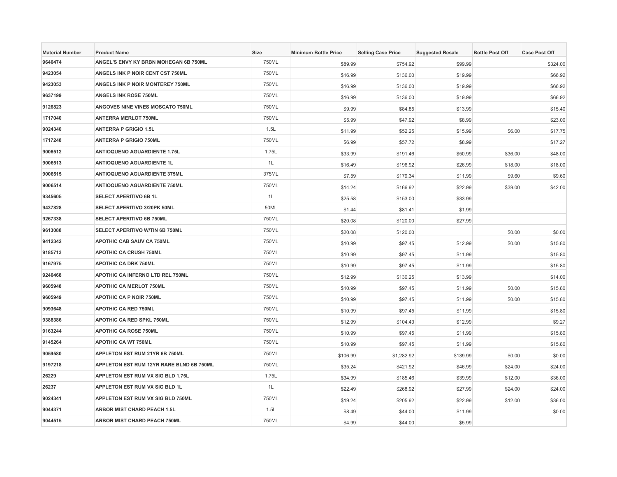| <b>Material Number</b> | <b>Product Name</b>                      | <b>Size</b> | <b>Minimum Bottle Price</b> | <b>Selling Case Price</b> | <b>Suggested Resale</b> | <b>Bottle Post Off</b> | <b>Case Post Off</b> |
|------------------------|------------------------------------------|-------------|-----------------------------|---------------------------|-------------------------|------------------------|----------------------|
| 9640474                | ANGEL'S ENVY KY BRBN MOHEGAN 6B 750ML    | 750ML       | \$89.99                     | \$754.92                  | \$99.99                 |                        | \$324.00             |
| 9423054                | ANGELS INK P NOIR CENT CST 750ML         | 750ML       | \$16.99                     | \$136.00                  | \$19.99                 |                        | \$66.92              |
| 9423053                | ANGELS INK P NOIR MONTEREY 750ML         | 750ML       | \$16.99                     | \$136.00                  | \$19.99                 |                        | \$66.92              |
| 9637199                | ANGELS INK ROSE 750ML                    | 750ML       | \$16.99                     | \$136.00                  | \$19.99                 |                        | \$66.92              |
| 9126823                | ANGOVES NINE VINES MOSCATO 750ML         | 750ML       | \$9.99                      | \$84.85                   | \$13.99                 |                        | \$15.40              |
| 1717040                | <b>ANTERRA MERLOT 750ML</b>              | 750ML       | \$5.99                      | \$47.92                   | \$8.99                  |                        | \$23.00              |
| 9024340                | <b>ANTERRA P GRIGIO 1.5L</b>             | 1.5L        | \$11.99                     | \$52.25                   | \$15.99                 | \$6.00                 | \$17.75              |
| 1717248                | <b>ANTERRA P GRIGIO 750ML</b>            | 750ML       | \$6.99                      | \$57.72                   | \$8.99                  |                        | \$17.27              |
| 9006512                | <b>ANTIOQUENO AGUARDIENTE 1.75L</b>      | 1.75L       | \$33.99                     | \$191.46                  | \$50.99                 | \$36.00                | \$48.00              |
| 9006513                | <b>ANTIOQUENO AGUARDIENTE 1L</b>         | 1L          | \$16.49                     | \$196.92                  | \$26.99                 | \$18.00                | \$18.00              |
| 9006515                | <b>ANTIOQUENO AGUARDIENTE 375ML</b>      | 375ML       | \$7.59                      | \$179.34                  | \$11.99                 | \$9.60                 | \$9.60               |
| 9006514                | <b>ANTIOQUENO AGUARDIENTE 750ML</b>      | 750ML       | \$14.24                     | \$166.92                  | \$22.99                 | \$39.00                | \$42.00              |
| 9345605                | SELECT APERITIVO 6B 1L                   | 1L          | \$25.58                     | \$153.00                  | \$33.99                 |                        |                      |
| 9437828                | SELECT APERITIVO 3/20PK 50ML             | 50ML        | \$1.44                      | \$81.41                   | \$1.99                  |                        |                      |
| 9267338                | SELECT APERITIVO 6B 750ML                | 750ML       | \$20.08                     | \$120.00                  | \$27.99                 |                        |                      |
| 9613088                | SELECT APERITIVO W/TIN 6B 750ML          | 750ML       | \$20.08                     | \$120.00                  |                         | \$0.00                 | \$0.00               |
| 9412342                | APOTHIC CAB SAUV CA 750ML                | 750ML       | \$10.99                     | \$97.45                   | \$12.99                 | \$0.00                 | \$15.80              |
| 9185713                | <b>APOTHIC CA CRUSH 750ML</b>            | 750ML       | \$10.99                     | \$97.45                   | \$11.99                 |                        | \$15.80              |
| 9167975                | <b>APOTHIC CA DRK 750ML</b>              | 750ML       | \$10.99                     | \$97.45                   | \$11.99                 |                        | \$15.80              |
| 9240468                | APOTHIC CA INFERNO LTD REL 750ML         | 750ML       | \$12.99                     | \$130.25                  | \$13.99                 |                        | \$14.00              |
| 9605948                | APOTHIC CA MERLOT 750ML                  | 750ML       | \$10.99                     | \$97.45                   | \$11.99                 | \$0.00                 | \$15.80              |
| 9605949                | <b>APOTHIC CA P NOIR 750ML</b>           | 750ML       | \$10.99                     | \$97.45                   | \$11.99                 | \$0.00                 | \$15.80              |
| 9093648                | <b>APOTHIC CA RED 750ML</b>              | 750ML       | \$10.99                     | \$97.45                   | \$11.99                 |                        | \$15.80              |
| 9388386                | <b>APOTHIC CA RED SPKL 750ML</b>         | 750ML       | \$12.99                     | \$104.43                  | \$12.99                 |                        | \$9.27               |
| 9163244                | <b>APOTHIC CA ROSE 750ML</b>             | 750ML       | \$10.99                     | \$97.45                   | \$11.99                 |                        | \$15.80              |
| 9145264                | <b>APOTHIC CA WT 750ML</b>               | 750ML       | \$10.99                     | \$97.45                   | \$11.99                 |                        | \$15.80              |
| 9059580                | APPLETON EST RUM 21YR 6B 750ML           | 750ML       | \$106.99                    | \$1,282.92                | \$139.99                | \$0.00                 | \$0.00               |
| 9197218                | APPLETON EST RUM 12YR RARE BLND 6B 750ML | 750ML       | \$35.24                     | \$421.92                  | \$46.99                 | \$24.00                | \$24.00              |
| 26229                  | APPLETON EST RUM VX SIG BLD 1.75L        | 1.75L       | \$34.99                     | \$185.46                  | \$39.99                 | \$12.00                | \$36.00              |
| 26237                  | APPLETON EST RUM VX SIG BLD 1L           | 1L          | \$22.49                     | \$268.92                  | \$27.99                 | \$24.00                | \$24.00              |
| 9024341                | APPLETON EST RUM VX SIG BLD 750ML        | 750ML       | \$19.24                     | \$205.92                  | \$22.99                 | \$12.00                | \$36.00              |
| 9044371                | <b>ARBOR MIST CHARD PEACH 1.5L</b>       | 1.5L        | \$8.49                      | \$44.00                   | \$11.99                 |                        | \$0.00               |
| 9044515                | ARBOR MIST CHARD PEACH 750ML             | 750ML       | \$4.99                      | \$44.00                   | \$5.99                  |                        |                      |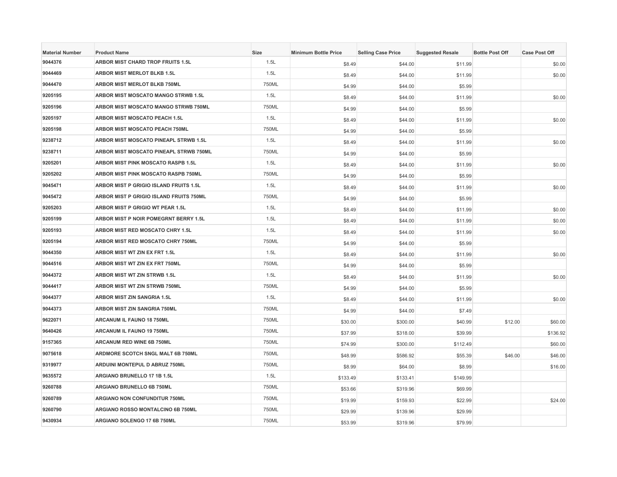| <b>Material Number</b> | <b>Product Name</b>                     | Size  | <b>Minimum Bottle Price</b> | <b>Selling Case Price</b> | <b>Suggested Resale</b> | <b>Bottle Post Off</b> | <b>Case Post Off</b> |
|------------------------|-----------------------------------------|-------|-----------------------------|---------------------------|-------------------------|------------------------|----------------------|
| 9044376                | ARBOR MIST CHARD TROP FRUITS 1.5L       | 1.5L  | \$8.49                      | \$44.00                   | \$11.99                 |                        | \$0.00               |
| 9044469                | <b>ARBOR MIST MERLOT BLKB 1.5L</b>      | 1.5L  | \$8.49                      | \$44.00                   | \$11.99                 |                        | \$0.00               |
| 9044470                | ARBOR MIST MERLOT BLKB 750ML            | 750ML | \$4.99                      | \$44.00                   | \$5.99                  |                        |                      |
| 9205195                | ARBOR MIST MOSCATO MANGO STRWB 1.5L     | 1.5L  | \$8.49                      | \$44.00                   | \$11.99                 |                        | \$0.00               |
| 9205196                | ARBOR MIST MOSCATO MANGO STRWB 750ML    | 750ML | \$4.99                      | \$44.00                   | \$5.99                  |                        |                      |
| 9205197                | ARBOR MIST MOSCATO PEACH 1.5L           | 1.5L  | \$8.49                      | \$44.00                   | \$11.99                 |                        | \$0.00               |
| 9205198                | <b>ARBOR MIST MOSCATO PEACH 750ML</b>   | 750ML | \$4.99                      | \$44.00                   | \$5.99                  |                        |                      |
| 9238712                | ARBOR MIST MOSCATO PINEAPL STRWB 1.5L   | 1.5L  | \$8.49                      | \$44.00                   | \$11.99                 |                        | \$0.00               |
| 9238711                | ARBOR MIST MOSCATO PINEAPL STRWB 750ML  | 750ML | \$4.99                      | \$44.00                   | \$5.99                  |                        |                      |
| 9205201                | ARBOR MIST PINK MOSCATO RASPB 1.5L      | 1.5L  | \$8.49                      | \$44.00                   | \$11.99                 |                        | \$0.00               |
| 9205202                | ARBOR MIST PINK MOSCATO RASPB 750ML     | 750ML | \$4.99                      | \$44.00                   | \$5.99                  |                        |                      |
| 9045471                | ARBOR MIST P GRIGIO ISLAND FRUITS 1.5L  | 1.5L  | \$8.49                      | \$44.00                   | \$11.99                 |                        | \$0.00               |
| 9045472                | ARBOR MIST P GRIGIO ISLAND FRUITS 750ML | 750ML | \$4.99                      | \$44.00                   | \$5.99                  |                        |                      |
| 9205203                | ARBOR MIST P GRIGIO WT PEAR 1.5L        | 1.5L  | \$8.49                      | \$44.00                   | \$11.99                 |                        | \$0.00               |
| 9205199                | ARBOR MIST P NOIR POMEGRNT BERRY 1.5L   | 1.5L  | \$8.49                      | \$44.00                   | \$11.99                 |                        | \$0.00               |
| 9205193                | ARBOR MIST RED MOSCATO CHRY 1.5L        | 1.5L  | \$8.49                      | \$44.00                   | \$11.99                 |                        | \$0.00               |
| 9205194                | ARBOR MIST RED MOSCATO CHRY 750ML       | 750ML | \$4.99                      | \$44.00                   | \$5.99                  |                        |                      |
| 9044350                | ARBOR MIST WT ZIN EX FRT 1.5L           | 1.5L  | \$8.49                      | \$44.00                   | \$11.99                 |                        | \$0.00               |
| 9044516                | ARBOR MIST WT ZIN EX FRT 750ML          | 750ML | \$4.99                      | \$44.00                   | \$5.99                  |                        |                      |
| 9044372                | ARBOR MIST WT ZIN STRWB 1.5L            | 1.5L  | \$8.49                      | \$44.00                   | \$11.99                 |                        | \$0.00               |
| 9044417                | ARBOR MIST WT ZIN STRWB 750ML           | 750ML | \$4.99                      | \$44.00                   | \$5.99                  |                        |                      |
| 9044377                | <b>ARBOR MIST ZIN SANGRIA 1.5L</b>      | 1.5L  | \$8.49                      | \$44.00                   | \$11.99                 |                        | \$0.00               |
| 9044373                | ARBOR MIST ZIN SANGRIA 750ML            | 750ML | \$4.99                      | \$44.00                   | \$7.49                  |                        |                      |
| 9622071                | ARCANUM IL FAUNO 18 750ML               | 750ML | \$30.00                     | \$300.00                  | \$40.99                 | \$12.00                | \$60.00              |
| 9640426                | ARCANUM IL FAUNO 19 750ML               | 750ML | \$37.99                     | \$318.00                  | \$39.99                 |                        | \$136.92             |
| 9157365                | ARCANUM RED WINE 6B 750ML               | 750ML | \$74.99                     | \$300.00                  | \$112.49                |                        | \$60.00              |
| 9075618                | ARDMORE SCOTCH SNGL MALT 6B 750ML       | 750ML | \$48.99                     | \$586.92                  | \$55.39                 | \$46.00                | \$46.00              |
| 9319977                | ARDUINI MONTEPUL D ABRUZ 750ML          | 750ML | \$8.99                      | \$64.00                   | \$8.99                  |                        | \$16.00              |
| 9635572                | ARGIANO BRUNELLO 17 1B 1.5L             | 1.5L  | \$133.49                    | \$133.41                  | \$149.99                |                        |                      |
| 9260788                | ARGIANO BRUNELLO 6B 750ML               | 750ML | \$53.66                     | \$319.96                  | \$69.99                 |                        |                      |
| 9260789                | ARGIANO NON CONFUNDITUR 750ML           | 750ML | \$19.99                     | \$159.93                  | \$22.99                 |                        | \$24.00              |
| 9260790                | ARGIANO ROSSO MONTALCINO 6B 750ML       | 750ML | \$29.99                     | \$139.96                  | \$29.99                 |                        |                      |
| 9430934                | ARGIANO SOLENGO 17 6B 750ML             | 750ML | \$53.99                     | \$319.96                  | \$79.99                 |                        |                      |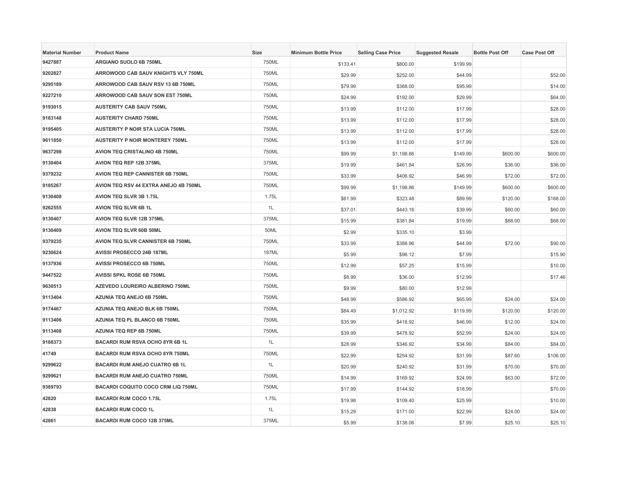| <b>Material Number</b> | <b>Product Name</b>                       | <b>Size</b>  | <b>Minimum Bottle Price</b> | <b>Selling Case Price</b> | <b>Suggested Resale</b> | <b>Bottle Post Off</b> | <b>Case Post Off</b> |
|------------------------|-------------------------------------------|--------------|-----------------------------|---------------------------|-------------------------|------------------------|----------------------|
| 9427887                | ARGIANO SUOLO 6B 750ML                    | 750ML        | \$133.41                    | \$800.00                  | \$199.99                |                        |                      |
| 9202827                | ARROWOOD CAB SAUV KNIGHTS VLY 750ML       | 750ML        | \$29.99                     | \$252.00                  | \$44.99                 |                        | \$52.00              |
| 9295189                | ARROWOOD CAB SAUV RSV 13 6B 750ML         | 750ML        | \$79.99                     | \$368.00                  | \$95.99                 |                        | \$14.00              |
| 9227210                | ARROWOOD CAB SAUV SON EST 750ML           | 750ML        | \$24.99                     | \$192.00                  | \$29.99                 |                        | \$64.00              |
| 9193015                | <b>AUSTERITY CAB SAUV 750ML</b>           | 750ML        | \$13.99                     | \$112.00                  | \$17.99                 |                        | \$28.00              |
| 9183148                | <b>AUSTERITY CHARD 750ML</b>              | 750ML        | \$13.99                     | \$112.00                  | \$17.99                 |                        | \$28.00              |
| 9195405                | <b>AUSTERITY P NOIR STA LUCIA 750ML</b>   | 750ML        | \$13.99                     | \$112.00                  | \$17.99                 |                        | \$28.00              |
| 9611850                | <b>AUSTERITY P NOIR MONTEREY 750ML</b>    | 750ML        | \$13.99                     | \$112.00                  | \$17.99                 |                        | \$28.00              |
| 9637298                | AVION TEQ CRISTALINO 4B 750ML             | 750ML        | \$99.99                     | \$1,198.86                | \$149.99                | \$600.00               | \$600.00             |
| 9130404                | AVION TEQ REP 12B 375ML                   | 375ML        | \$19.99                     | \$461.84                  | \$26.99                 | \$36.00                | \$36.00              |
| 9379232                | AVION TEQ REP CANNISTER 6B 750ML          | 750ML        | \$33.99                     | \$406.92                  | \$46.99                 | \$72.00                | \$72.00              |
| 9185267                | AVION TEQ RSV 44 EXTRA ANEJO 4B 750ML     | 750ML        | \$99.99                     | \$1,198.86                | \$149.99                | \$600.00               | \$600.00             |
| 9130408                | AVION TEQ SLVR 3B 1.75L                   | 1.75L        | \$61.99                     | \$323.48                  | \$89.99                 | \$120.00               | \$168.00             |
| 9262555                | <b>AVION TEQ SLVR 6B 1L</b>               | 1L           | \$37.01                     | \$443.16                  | \$39.99                 | \$60.00                | \$60.00              |
| 9130407                | <b>AVION TEQ SLVR 12B 375ML</b>           | 375ML        | \$15.99                     | \$381.84                  | \$19.99                 | \$68.00                | \$68.00              |
| 9130409                | AVION TEQ SLVR 60B 50ML                   | 50ML         | \$2.99                      | \$335.10                  | \$3.99                  |                        |                      |
| 9379235                | AVION TEQ SLVR CANNISTER 6B 750ML         | 750ML        | \$33.99                     | \$388.96                  | \$44.99                 | \$72.00                | \$90.00              |
| 9230624                | AVISSI PROSECCO 24B 187ML                 | <b>187ML</b> | \$5.99                      | \$96.12                   | \$7.99                  |                        | \$15.90              |
| 9137936                | AVISSI PROSECCO 6B 750ML                  | 750ML        | \$12.99                     | \$57.25                   | \$15.99                 |                        | \$10.00              |
| 9447522                | AVISSI SPKL ROSE 6B 750ML                 | 750ML        | \$8.99                      | \$36.00                   | \$12.99                 |                        | \$17.46              |
| 9630513                | AZEVEDO LOUREIRO ALBERINO 750ML           | 750ML        | \$9.99                      | \$80.00                   | \$12.99                 |                        |                      |
| 9113404                | AZUNIA TEQ ANEJO 6B 750ML                 | 750ML        | \$48.99                     | \$586.92                  | \$65.99                 | \$24.00                | \$24.00              |
| 9174467                | AZUNIA TEQ ANEJO BLK 6B 750ML             | 750ML        | \$84.49                     | \$1,012.92                | \$119.99                | \$120.00               | \$120.00             |
| 9113406                | AZUNIA TEQ PL BLANCO 6B 750ML             | 750ML        | \$35.99                     | \$418.92                  | \$46.99                 | \$12.00                | \$24.00              |
| 9113408                | AZUNIA TEQ REP 6B 750ML                   | 750ML        | \$39.99                     | \$478.92                  | \$52.99                 | \$24.00                | \$24.00              |
| 9188373                | BACARDI RUM RSVA OCHO 8YR 6B 1L           | 1L           | \$28.99                     | \$346.92                  | \$34.99                 | \$84.00                | \$84.00              |
| 41749                  | <b>BACARDI RUM RSVA OCHO 8YR 750ML</b>    | 750ML        | \$22.99                     | \$254.92                  | \$31.99                 | \$87.60                | \$106.00             |
| 9299622                | BACARDI RUM ANEJO CUATRO 6B 1L            | 1L           | \$20.99                     | \$240.92                  | \$31.99                 | \$70.00                | \$70.00              |
| 9299621                | BACARDI RUM ANEJO CUATRO 750ML            | 750ML        | \$14.99                     | \$169.92                  | \$24.99                 | \$63.00                | \$72.00              |
| 9389793                | <b>BACARDI COQUITO COCO CRM LIQ 750ML</b> | 750ML        | \$17.99                     | \$144.92                  | \$18.99                 |                        | \$70.00              |
| 42820                  | <b>BACARDI RUM COCO 1.75L</b>             | 1.75L        | \$19.98                     | \$109.40                  | \$25.99                 |                        | \$10.00              |
| 42838                  | <b>BACARDI RUM COCO 1L</b>                | 1L           | \$15.29                     | \$171.00                  | \$22.99                 | \$24.00                | \$24.00              |
| 42861                  | BACARDI RUM COCO 12B 375ML                | 375ML        | \$5.99                      | \$138.06                  | \$7.99                  | \$25.10                | \$25.10              |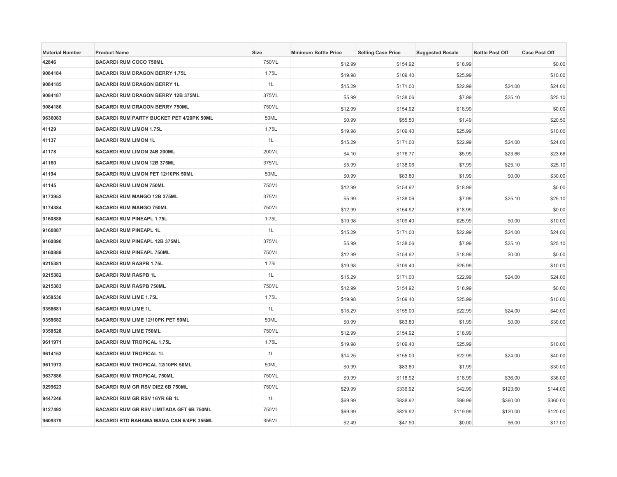| <b>Material Number</b> | <b>Product Name</b>                      | Size  | <b>Minimum Bottle Price</b> | <b>Selling Case Price</b> | <b>Suggested Resale</b> | <b>Bottle Post Off</b> | <b>Case Post Off</b> |
|------------------------|------------------------------------------|-------|-----------------------------|---------------------------|-------------------------|------------------------|----------------------|
| 42846                  | <b>BACARDI RUM COCO 750ML</b>            | 750ML | \$12.99                     | \$154.92                  | \$18.99                 |                        | \$0.00               |
| 9084184                | <b>BACARDI RUM DRAGON BERRY 1.75L</b>    | 1.75L | \$19.98                     | \$109.40                  | \$25.99                 |                        | \$10.00              |
| 9084185                | <b>BACARDI RUM DRAGON BERRY 1L</b>       | 1L    | \$15.29                     | \$171.00                  | \$22.99                 | \$24.00                | \$24.00              |
| 9084187                | BACARDI RUM DRAGON BERRY 12B 375ML       | 375ML | \$5.99                      | \$138.06                  | \$7.99                  | \$25.10                | \$25.10              |
| 9084186                | <b>BACARDI RUM DRAGON BERRY 750ML</b>    | 750ML | \$12.99                     | \$154.92                  | \$18.99                 |                        | \$0.00               |
| 9636083                | BACARDI RUM PARTY BUCKET PET 4/20PK 50ML | 50ML  | \$0.99                      | \$55.50                   | \$1.49                  |                        | \$20.50              |
| 41129                  | <b>BACARDI RUM LIMON 1.75L</b>           | 1.75L | \$19.98                     | \$109.40                  | \$25.99                 |                        | \$10.00              |
| 41137                  | <b>BACARDI RUM LIMON 1L</b>              | 1L    | \$15.29                     | \$171.00                  | \$22.99                 | \$24.00                | \$24.00              |
| 41178                  | <b>BACARDI RUM LIMON 24B 200ML</b>       | 200ML | \$4.10                      | \$176.77                  | \$5.99                  | \$23.66                | \$23.66              |
| 41160                  | <b>BACARDI RUM LIMON 12B 375ML</b>       | 375ML | \$5.99                      | \$138.06                  | \$7.99                  | \$25.10                | \$25.10              |
| 41194                  | BACARDI RUM LIMON PET 12/10PK 50ML       | 50ML  | \$0.99                      | \$83.80                   | \$1.99                  | \$0.00                 | \$30.00              |
| 41145                  | <b>BACARDI RUM LIMON 750ML</b>           | 750ML | \$12.99                     | \$154.92                  | \$18.99                 |                        | \$0.00               |
| 9173952                | BACARDI RUM MANGO 12B 375ML              | 375ML | \$5.99                      | \$138.06                  | \$7.99                  | \$25.10                | \$25.10              |
| 9174384                | <b>BACARDI RUM MANGO 750ML</b>           | 750ML | \$12.99                     | \$154.92                  | \$18.99                 |                        | \$0.00               |
| 9160888                | <b>BACARDI RUM PINEAPL 1.75L</b>         | 1.75L | \$19.98                     | \$109.40                  | \$25.99                 | \$0.00                 | \$10.00              |
| 9160887                | <b>BACARDI RUM PINEAPL 1L</b>            | 1L    | \$15.29                     | \$171.00                  | \$22.99                 | \$24.00                | \$24.00              |
| 9160890                | BACARDI RUM PINEAPL 12B 375ML            | 375ML | \$5.99                      | \$138.06                  | \$7.99                  | \$25.10                | \$25.10              |
| 9160889                | <b>BACARDI RUM PINEAPL 750ML</b>         | 750ML | \$12.99                     | \$154.92                  | \$18.99                 | \$0.00                 | \$0.00               |
| 9215381                | <b>BACARDI RUM RASPB 1.75L</b>           | 1.75L | \$19.98                     | \$109.40                  | \$25.99                 |                        | \$10.00              |
| 9215382                | <b>BACARDI RUM RASPB 1L</b>              | 1L    | \$15.29                     | \$171.00                  | \$22.99                 | \$24.00                | \$24.00              |
| 9215383                | <b>BACARDI RUM RASPB 750ML</b>           | 750ML | \$12.99                     | \$154.92                  | \$18.99                 |                        | \$0.00               |
| 9358530                | <b>BACARDI RUM LIME 1.75L</b>            | 1.75L | \$19.98                     | \$109.40                  | \$25.99                 |                        | \$10.00              |
| 9358681                | <b>BACARDI RUM LIME 1L</b>               | 1L    | \$15.29                     | \$155.00                  | \$22.99                 | \$24.00                | \$40.00              |
| 9358682                | BACARDI RUM LIME 12/10PK PET 50ML        | 50ML  | \$0.99                      | \$83.80                   | \$1.99                  | \$0.00                 | \$30.00              |
| 9358528                | <b>BACARDI RUM LIME 750ML</b>            | 750ML | \$12.99                     | \$154.92                  | \$18.99                 |                        |                      |
| 9611971                | <b>BACARDI RUM TROPICAL 1.75L</b>        | 1.75L | \$19.98                     | \$109.40                  | \$25.99                 |                        | \$10.00              |
| 9614153                | <b>BACARDI RUM TROPICAL 1L</b>           | 1L    | \$14.25                     | \$155.00                  | \$22.99                 | \$24.00                | \$40.00              |
| 9611973                | BACARDI RUM TROPICAL 12/10PK 50ML        | 50ML  | \$0.99                      | \$83.80                   | \$1.99                  |                        | \$30.00              |
| 9637886                | <b>BACARDI RUM TROPICAL 750ML</b>        | 750ML | \$9.99                      | \$118.92                  | \$18.99                 | \$36.00                | \$36.00              |
| 9299623                | BACARDI RUM GR RSV DIEZ 6B 750ML         | 750ML | \$29.99                     | \$336.92                  | \$42.99                 | \$123.60               | \$144.00             |
| 9447246                | BACARDI RUM GR RSV 16YR 6B 1L            | 1L    | \$69.99                     | \$838.92                  | \$99.99                 | \$360.00               | \$360.00             |
| 9127492                | BACARDI RUM GR RSV LIMITADA GFT 6B 750ML | 750ML | \$69.99                     | \$829.92                  | \$119.99                | \$120.00               | \$120.00             |
| 9609379                | BACARDI RTD BAHAMA MAMA CAN 6/4PK 355ML  | 355ML | \$2.49                      | \$47.90                   | \$0.00                  | \$6.00                 | \$17.00              |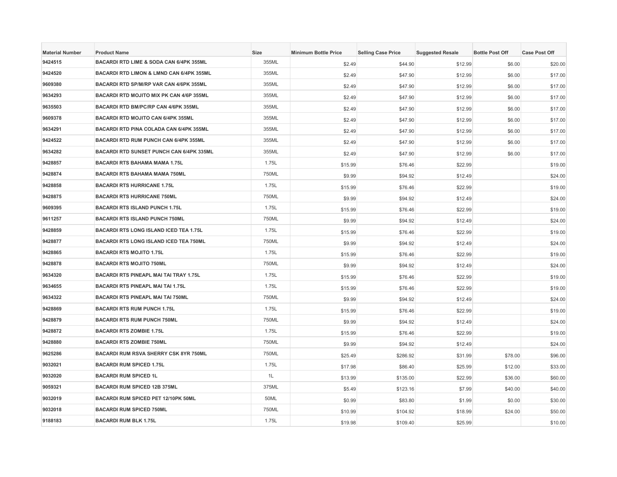| <b>Material Number</b> | <b>Product Name</b>                                 | <b>Size</b> | <b>Minimum Bottle Price</b> | <b>Selling Case Price</b> | <b>Suggested Resale</b> | <b>Bottle Post Off</b> | <b>Case Post Off</b> |
|------------------------|-----------------------------------------------------|-------------|-----------------------------|---------------------------|-------------------------|------------------------|----------------------|
| 9424515                | BACARDI RTD LIME & SODA CAN 6/4PK 355ML             | 355ML       | \$2.49                      | \$44.90                   | \$12.99                 | \$6.00                 | \$20.00              |
| 9424520                | <b>BACARDI RTD LIMON &amp; LMND CAN 6/4PK 355ML</b> | 355ML       | \$2.49                      | \$47.90                   | \$12.99                 | \$6.00                 | \$17.00              |
| 9609380                | BACARDI RTD SP/M/RP VAR CAN 4/6PK 355ML             | 355ML       | \$2.49                      | \$47.90                   | \$12.99                 | \$6.00                 | \$17.00              |
| 9634293                | BACARDI RTD MOJITO MIX PK CAN 4/6P 355ML            | 355ML       | \$2.49                      | \$47.90                   | \$12.99                 | \$6.00                 | \$17.00              |
| 9635503                | BACARDI RTD BM/PC/RP CAN 4/6PK 355ML                | 355ML       | \$2.49                      | \$47.90                   | \$12.99                 | \$6.00                 | \$17.00              |
| 9609378                | <b>BACARDI RTD MOJITO CAN 6/4PK 355ML</b>           | 355ML       | \$2.49                      | \$47.90                   | \$12.99                 | \$6.00                 | \$17.00              |
| 9634291                | <b>BACARDI RTD PINA COLADA CAN 6/4PK 355ML</b>      | 355ML       | \$2.49                      | \$47.90                   | \$12.99                 | \$6.00                 | \$17.00              |
| 9424522                | <b>BACARDI RTD RUM PUNCH CAN 6/4PK 355ML</b>        | 355ML       | \$2.49                      | \$47.90                   | \$12.99                 | \$6.00                 | \$17.00              |
| 9634282                | <b>BACARDI RTD SUNSET PUNCH CAN 6/4PK 335ML</b>     | 355ML       | \$2.49                      | \$47.90                   | \$12.99                 | \$6.00                 | \$17.00              |
| 9428857                | <b>BACARDI RTS BAHAMA MAMA 1.75L</b>                | 1.75L       | \$15.99                     | \$76.46                   | \$22.99                 |                        | \$19.00              |
| 9428874                | <b>BACARDI RTS BAHAMA MAMA 750ML</b>                | 750ML       | \$9.99                      | \$94.92                   | \$12.49                 |                        | \$24.00              |
| 9428858                | <b>BACARDI RTS HURRICANE 1.75L</b>                  | 1.75L       | \$15.99                     | \$76.46                   | \$22.99                 |                        | \$19.00              |
| 9428875                | <b>BACARDI RTS HURRICANE 750ML</b>                  | 750ML       | \$9.99                      | \$94.92                   | \$12.49                 |                        | \$24.00              |
| 9609395                | <b>BACARDI RTS ISLAND PUNCH 1.75L</b>               | 1.75L       | \$15.99                     | \$76.46                   | \$22.99                 |                        | \$19.00              |
| 9611257                | <b>BACARDI RTS ISLAND PUNCH 750ML</b>               | 750ML       | \$9.99                      | \$94.92                   | \$12.49                 |                        | \$24.00              |
| 9428859                | BACARDI RTS LONG ISLAND ICED TEA 1.75L              | 1.75L       | \$15.99                     | \$76.46                   | \$22.99                 |                        | \$19.00              |
| 9428877                | BACARDI RTS LONG ISLAND ICED TEA 750ML              | 750ML       | \$9.99                      | \$94.92                   | \$12.49                 |                        | \$24.00              |
| 9428865                | <b>BACARDI RTS MOJITO 1.75L</b>                     | 1.75L       | \$15.99                     | \$76.46                   | \$22.99                 |                        | \$19.00              |
| 9428878                | <b>BACARDI RTS MOJITO 750ML</b>                     | 750ML       | \$9.99                      | \$94.92                   | \$12.49                 |                        | \$24.00              |
| 9634320                | BACARDI RTS PINEAPL MAI TAI TRAY 1.75L              | 1.75L       | \$15.99                     | \$76.46                   | \$22.99                 |                        | \$19.00              |
| 9634655                | <b>BACARDI RTS PINEAPL MAI TAI 1.75L</b>            | 1.75L       | \$15.99                     | \$76.46                   | \$22.99                 |                        | \$19.00              |
| 9634322                | <b>BACARDI RTS PINEAPL MAI TAI 750ML</b>            | 750ML       | \$9.99                      | \$94.92                   | \$12.49                 |                        | \$24.00              |
| 9428869                | <b>BACARDI RTS RUM PUNCH 1.75L</b>                  | 1.75L       | \$15.99                     | \$76.46                   | \$22.99                 |                        | \$19.00              |
| 9428879                | <b>BACARDI RTS RUM PUNCH 750ML</b>                  | 750ML       | \$9.99                      | \$94.92                   | \$12.49                 |                        | \$24.00              |
| 9428872                | <b>BACARDI RTS ZOMBIE 1.75L</b>                     | 1.75L       | \$15.99                     | \$76.46                   | \$22.99                 |                        | \$19.00              |
| 9428880                | <b>BACARDI RTS ZOMBIE 750ML</b>                     | 750ML       | \$9.99                      | \$94.92                   | \$12.49                 |                        | \$24.00              |
| 9625286                | <b>BACARDI RUM RSVA SHERRY CSK 8YR 750ML</b>        | 750ML       | \$25.49                     | \$286.92                  | \$31.99                 | \$78.00                | \$96.00              |
| 9032021                | <b>BACARDI RUM SPICED 1.75L</b>                     | 1.75L       | \$17.98                     | \$86.40                   | \$25.99                 | \$12.00                | \$33.00              |
| 9032020                | <b>BACARDI RUM SPICED 1L</b>                        | 1L          | \$13.99                     | \$135.00                  | \$22.99                 | \$36.00                | \$60.00              |
| 9059321                | <b>BACARDI RUM SPICED 12B 375ML</b>                 | 375ML       | \$5.49                      | \$123.16                  | \$7.99                  | \$40.00                | \$40.00              |
| 9032019                | BACARDI RUM SPICED PET 12/10PK 50ML                 | 50ML        | \$0.99                      | \$83.80                   | \$1.99                  | \$0.00                 | \$30.00              |
| 9032018                | <b>BACARDI RUM SPICED 750ML</b>                     | 750ML       | \$10.99                     | \$104.92                  | \$18.99                 | \$24.00                | \$50.00              |
| 9188183                | <b>BACARDI RUM BLK 1.75L</b>                        | 1.75L       | \$19.98                     | \$109.40                  | \$25.99                 |                        | \$10.00              |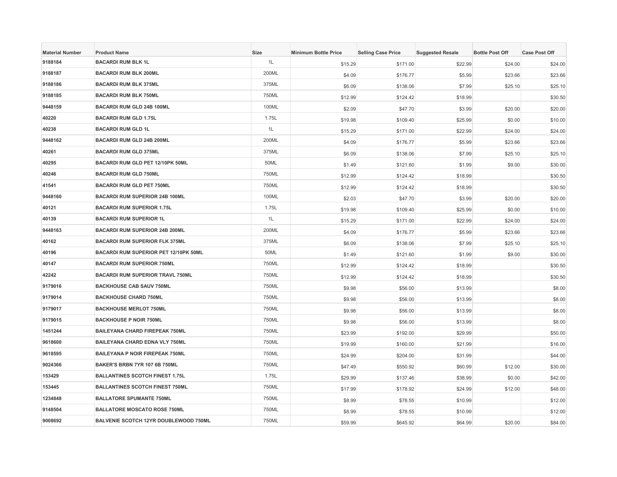| <b>Material Number</b> | <b>Product Name</b>                     | <b>Size</b> | <b>Minimum Bottle Price</b> | <b>Selling Case Price</b> | <b>Suggested Resale</b> | <b>Bottle Post Off</b> | <b>Case Post Off</b> |
|------------------------|-----------------------------------------|-------------|-----------------------------|---------------------------|-------------------------|------------------------|----------------------|
| 9188184                | <b>BACARDI RUM BLK 1L</b>               | 1L          | \$15.29                     | \$171.00                  | \$22.99                 | \$24.00                | \$24.00              |
| 9188187                | <b>BACARDI RUM BLK 200ML</b>            | 200ML       | \$4.09                      | \$176.77                  | \$5.99                  | \$23.66                | \$23.66              |
| 9188186                | <b>BACARDI RUM BLK 375ML</b>            | 375ML       | \$6.09                      | \$138.06                  | \$7.99                  | \$25.10                | \$25.10              |
| 9188185                | <b>BACARDI RUM BLK 750ML</b>            | 750ML       | \$12.99                     | \$124.42                  | \$18.99                 |                        | \$30.50              |
| 9448159                | BACARDI RUM GLD 24B 100ML               | 100ML       | \$2.09                      | \$47.70                   | \$3.99                  | \$20.00                | \$20.00              |
| 40220                  | <b>BACARDI RUM GLD 1.75L</b>            | 1.75L       | \$19.98                     | \$109.40                  | \$25.99                 | \$0.00                 | \$10.00              |
| 40238                  | <b>BACARDI RUM GLD 1L</b>               | 1L          | \$15.29                     | \$171.00                  | \$22.99                 | \$24.00                | \$24.00              |
| 9448162                | <b>BACARDI RUM GLD 24B 200ML</b>        | 200ML       | \$4.09                      | \$176.77                  | \$5.99                  | \$23.66                | \$23.66              |
| 40261                  | <b>BACARDI RUM GLD 375ML</b>            | 375ML       | \$6.09                      | \$138.06                  | \$7.99                  | \$25.10                | \$25.10              |
| 40295                  | BACARDI RUM GLD PET 12/10PK 50ML        | 50ML        | \$1.49                      | \$121.60                  | \$1.99                  | \$9.00                 | \$30.00              |
| 40246                  | <b>BACARDI RUM GLD 750ML</b>            | 750ML       | \$12.99                     | \$124.42                  | \$18.99                 |                        | \$30.50              |
| 41541                  | <b>BACARDI RUM GLD PET 750ML</b>        | 750ML       | \$12.99                     | \$124.42                  | \$18.99                 |                        | \$30.50              |
| 9448160                | <b>BACARDI RUM SUPERIOR 24B 100ML</b>   | 100ML       | \$2.03                      | \$47.70                   | \$3.99                  | \$20.00                | \$20.00              |
| 40121                  | <b>BACARDI RUM SUPERIOR 1.75L</b>       | 1.75L       | \$19.98                     | \$109.40                  | \$25.99                 | \$0.00                 | \$10.00              |
| 40139                  | <b>BACARDI RUM SUPERIOR 1L</b>          | 1L          | \$15.29                     | \$171.00                  | \$22.99                 | \$24.00                | \$24.00              |
| 9448163                | <b>BACARDI RUM SUPERIOR 24B 200ML</b>   | 200ML       | \$4.09                      | \$176.77                  | \$5.99                  | \$23.66                | \$23.66              |
| 40162                  | <b>BACARDI RUM SUPERIOR FLK 375ML</b>   | 375ML       | \$6.09                      | \$138.06                  | \$7.99                  | \$25.10                | \$25.10              |
| 40196                  | BACARDI RUM SUPERIOR PET 12/10PK 50ML   | 50ML        | \$1.49                      | \$121.60                  | \$1.99                  | \$9.00                 | \$30.00              |
| 40147                  | <b>BACARDI RUM SUPERIOR 750ML</b>       | 750ML       | \$12.99                     | \$124.42                  | \$18.99                 |                        | \$30.50              |
| 42242                  | <b>BACARDI RUM SUPERIOR TRAVL 750ML</b> | 750ML       | \$12.99                     | \$124.42                  | \$18.99                 |                        | \$30.50              |
| 9179016                | <b>BACKHOUSE CAB SAUV 750ML</b>         | 750ML       | \$9.98                      | \$56.00                   | \$13.99                 |                        | \$8.00               |
| 9179014                | <b>BACKHOUSE CHARD 750ML</b>            | 750ML       | \$9.98                      | \$56.00                   | \$13.99                 |                        | \$8.00               |
| 9179017                | <b>BACKHOUSE MERLOT 750ML</b>           | 750ML       | \$9.98                      | \$56.00                   | \$13.99                 |                        | \$8.00               |
| 9179015                | <b>BACKHOUSE P NOIR 750ML</b>           | 750ML       | \$9.98                      | \$56.00                   | \$13.99                 |                        | \$8.00               |
| 1451244                | <b>BAILEYANA CHARD FIREPEAK 750ML</b>   | 750ML       | \$23.99                     | \$192.00                  | \$29.99                 |                        | \$50.00              |
| 9618600                | <b>BAILEYANA CHARD EDNA VLY 750ML</b>   | 750ML       | \$19.99                     | \$160.00                  | \$21.99                 |                        | \$16.00              |
| 9618595                | <b>BAILEYANA P NOIR FIREPEAK 750ML</b>  | 750ML       | \$24.99                     | \$204.00                  | \$31.99                 |                        | \$44.00              |
| 9024366                | BAKER'S BRBN 7YR 107 6B 750ML           | 750ML       | \$47.49                     | \$550.92                  | \$60.99                 | \$12.00                | \$30.00              |
| 153429                 | <b>BALLANTINES SCOTCH FINEST 1.75L</b>  | 1.75L       | \$29.99                     | \$137.46                  | \$38.99                 | \$0.00                 | \$42.00              |
| 153445                 | <b>BALLANTINES SCOTCH FINEST 750ML</b>  | 750ML       | \$17.99                     | \$178.92                  | \$24.99                 | \$12.00                | \$48.00              |
| 1234848                | <b>BALLATORE SPUMANTE 750ML</b>         | 750ML       | \$8.99                      | \$78.55                   | \$10.99                 |                        | \$12.00              |
| 9148504                | <b>BALLATORE MOSCATO ROSE 750ML</b>     | 750ML       | \$8.99                      | \$78.55                   | \$10.99                 |                        | \$12.00              |
| 9008692                | BALVENIE SCOTCH 12YR DOUBLEWOOD 750ML   | 750ML       | \$59.99                     | \$645.92                  | \$64.99                 | \$20.00                | \$84.00              |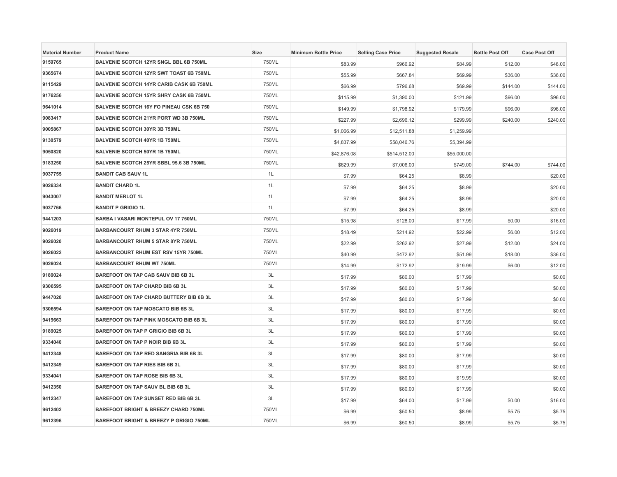| <b>Material Number</b> | <b>Product Name</b>                             | Size  | <b>Minimum Bottle Price</b> | <b>Selling Case Price</b> | <b>Suggested Resale</b> | <b>Bottle Post Off</b> | <b>Case Post Off</b> |
|------------------------|-------------------------------------------------|-------|-----------------------------|---------------------------|-------------------------|------------------------|----------------------|
| 9159765                | BALVENIE SCOTCH 12YR SNGL BBL 6B 750ML          | 750ML | \$83.99                     | \$966.92                  | \$84.99                 | \$12.00                | \$48.00              |
| 9365674                | BALVENIE SCOTCH 12YR SWT TOAST 6B 750ML         | 750ML | \$55.99                     | \$667.84                  | \$69.99                 | \$36.00                | \$36.00              |
| 9115429                | <b>BALVENIE SCOTCH 14YR CARIB CASK 6B 750ML</b> | 750ML | \$66.99                     | \$796.68                  | \$69.99                 | \$144.00               | \$144.00             |
| 9176256                | BALVENIE SCOTCH 15YR SHRY CASK 6B 750ML         | 750ML | \$115.99                    | \$1,390.00                | \$121.99                | \$96.00                | \$96.00              |
| 9641014                | <b>BALVENIE SCOTCH 16Y FO PINEAU CSK 6B 750</b> | 750ML | \$149.99                    | \$1,798.92                | \$179.99                | \$96.00                | \$96.00              |
| 9083417                | <b>BALVENIE SCOTCH 21YR PORT WD 3B 750ML</b>    | 750ML | \$227.99                    | \$2,696.12                | \$299.99                | \$240.00               | \$240.00             |
| 9005867                | BALVENIE SCOTCH 30YR 3B 750ML                   | 750ML | \$1,066.99                  | \$12,511.88               | \$1,259.99              |                        |                      |
| 9130579                | <b>BALVENIE SCOTCH 40YR 1B 750ML</b>            | 750ML | \$4,837.99                  | \$58,046.76               | \$5,394.99              |                        |                      |
| 9050820                | <b>BALVENIE SCOTCH 50YR 1B 750ML</b>            | 750ML | \$42,876.08                 | \$514,512.00              | \$55,000.00             |                        |                      |
| 9183250                | BALVENIE SCOTCH 25YR SBBL 95.6 3B 750ML         | 750ML | \$629.99                    | \$7,006.00                | \$749.00                | \$744.00               | \$744.00             |
| 9037755                | <b>BANDIT CAB SAUV 1L</b>                       | 1L    | \$7.99                      | \$64.25                   | \$8.99                  |                        | \$20.00              |
| 9026334                | <b>BANDIT CHARD 1L</b>                          | 1L    | \$7.99                      | \$64.25                   | \$8.99                  |                        | \$20.00              |
| 9043007                | <b>BANDIT MERLOT 1L</b>                         | 1L    | \$7.99                      | \$64.25                   | \$8.99                  |                        | \$20.00              |
| 9037766                | <b>BANDIT P GRIGIO 1L</b>                       | 1L    | \$7.99                      | \$64.25                   | \$8.99                  |                        | \$20.00              |
| 9441203                | BARBA I VASARI MONTEPUL OV 17 750ML             | 750ML | \$15.98                     | \$128.00                  | \$17.99                 | \$0.00                 | \$16.00              |
| 9026019                | <b>BARBANCOURT RHUM 3 STAR 4YR 750ML</b>        | 750ML | \$18.49                     | \$214.92                  | \$22.99                 | \$6.00                 | \$12.00              |
| 9026020                | <b>BARBANCOURT RHUM 5 STAR 8YR 750ML</b>        | 750ML | \$22.99                     | \$262.92                  | \$27.99                 | \$12.00                | \$24.00              |
| 9026022                | <b>BARBANCOURT RHUM EST RSV 15YR 750ML</b>      | 750ML | \$40.99                     | \$472.92                  | \$51.99                 | \$18.00                | \$36.00              |
| 9026024                | <b>BARBANCOURT RHUM WT 750ML</b>                | 750ML | \$14.99                     | \$172.92                  | \$19.99                 | \$6.00                 | \$12.00              |
| 9189024                | BAREFOOT ON TAP CAB SAUV BIB 6B 3L              | 3L    | \$17.99                     | \$80.00                   | \$17.99                 |                        | \$0.00               |
| 9306595                | BAREFOOT ON TAP CHARD BIB 6B 3L                 | 3L    | \$17.99                     | \$80.00                   | \$17.99                 |                        | \$0.00               |
| 9447020                | BAREFOOT ON TAP CHARD BUTTERY BIB 6B 3L         | 3L    | \$17.99                     | \$80.00                   | \$17.99                 |                        | \$0.00               |
| 9306594                | <b>BAREFOOT ON TAP MOSCATO BIB 6B 3L</b>        | 3L    | \$17.99                     | \$80.00                   | \$17.99                 |                        | \$0.00               |
| 9419663                | BAREFOOT ON TAP PINK MOSCATO BIB 6B 3L          | 3L    | \$17.99                     | \$80.00                   | \$17.99                 |                        | \$0.00               |
| 9189025                | BAREFOOT ON TAP P GRIGIO BIB 6B 3L              | 3L    | \$17.99                     | \$80.00                   | \$17.99                 |                        | \$0.00               |
| 9334040                | BAREFOOT ON TAP P NOIR BIB 6B 3L                | 3L    | \$17.99                     | \$80.00                   | \$17.99                 |                        | \$0.00               |
| 9412348                | BAREFOOT ON TAP RED SANGRIA BIB 6B 3L           | 3L    | \$17.99                     | \$80.00                   | \$17.99                 |                        | \$0.00               |
| 9412349                | BAREFOOT ON TAP RIES BIB 6B 3L                  | 3L    | \$17.99                     | \$80.00                   | \$17.99                 |                        | \$0.00               |
| 9334041                | BAREFOOT ON TAP ROSE BIB 6B 3L                  | 3L    | \$17.99                     | \$80.00                   | \$19.99                 |                        | \$0.00               |
| 9412350                | BAREFOOT ON TAP SAUV BL BIB 6B 3L               | 3L    | \$17.99                     | \$80.00                   | \$17.99                 |                        | \$0.00               |
| 9412347                | BAREFOOT ON TAP SUNSET RED BIB 6B 3L            | 3L    | \$17.99                     | \$64.00                   | \$17.99                 | \$0.00                 | \$16.00              |
| 9612402                | <b>BAREFOOT BRIGHT &amp; BREEZY CHARD 750ML</b> | 750ML | \$6.99                      | \$50.50                   | \$8.99                  | \$5.75                 | \$5.75               |
| 9612396                | BAREFOOT BRIGHT & BREEZY P GRIGIO 750ML         | 750ML | \$6.99                      | \$50.50                   | \$8.99                  | \$5.75                 | \$5.75               |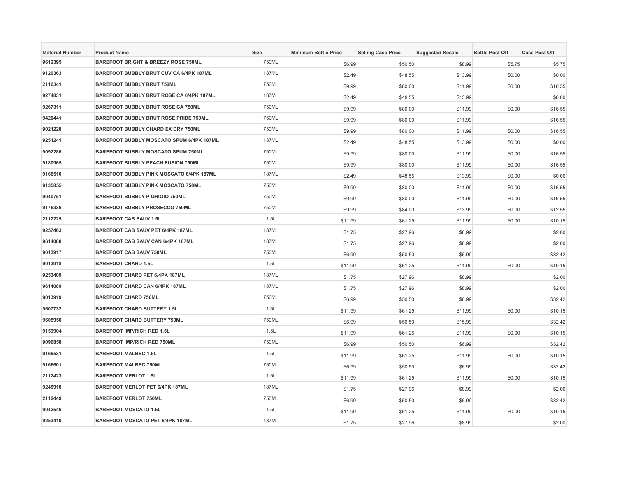| <b>Material Number</b> | <b>Product Name</b>                            | Size         | <b>Minimum Bottle Price</b> | <b>Selling Case Price</b> | <b>Suggested Resale</b> | <b>Bottle Post Off</b> | <b>Case Post Off</b> |
|------------------------|------------------------------------------------|--------------|-----------------------------|---------------------------|-------------------------|------------------------|----------------------|
| 9612395                | <b>BAREFOOT BRIGHT &amp; BREEZY ROSE 750ML</b> | 750ML        | \$6.99                      | \$50.50                   | \$8.99                  | \$5.75                 | \$5.75               |
| 9120363                | BAREFOOT BUBBLY BRUT CUV CA 6/4PK 187ML        | <b>187ML</b> | \$2.49                      | \$48.55                   | \$13.99                 | \$0.00                 | \$0.00               |
| 2116341                | <b>BAREFOOT BUBBLY BRUT 750ML</b>              | 750ML        | \$9.99                      | \$80.00                   | \$11.99                 | \$0.00                 | \$16.55              |
| 9274831                | BAREFOOT BUBBLY BRUT ROSE CA 6/4PK 187ML       | <b>187ML</b> | \$2.49                      | \$48.55                   | \$13.99                 |                        | \$0.00               |
| 9267311                | BAREFOOT BUBBLY BRUT ROSE CA 750ML             | 750ML        | \$9.99                      | \$80.00                   | \$11.99                 | \$0.00                 | \$16.55              |
| 9420441                | BAREFOOT BUBBLY BRUT ROSE PRIDE 750ML          | 750ML        | \$9.99                      | \$80.00                   | \$11.99                 |                        | \$16.55              |
| 9021228                | <b>BAREFOOT BUBBLY CHARD EX DRY 750ML</b>      | 750ML        | \$9.99                      | \$80.00                   | \$11.99                 | \$0.00                 | \$16.55              |
| 9251241                | BAREFOOT BUBBLY MOSCATO SPUM 6/4PK 187ML       | 187ML        | \$2.49                      | \$48.55                   | \$13.99                 | \$0.00                 | \$0.00               |
| 9092286                | <b>BAREFOOT BUBBLY MOSCATO SPUM 750ML</b>      | 750ML        | \$9.99                      | \$80.00                   | \$11.99                 | \$0.00                 | \$16.55              |
| 9180965                | <b>BAREFOOT BUBBLY PEACH FUSION 750ML</b>      | 750ML        | \$9.99                      | \$80.00                   | \$11.99                 | \$0.00                 | \$16.55              |
| 9168510                | BAREFOOT BUBBLY PINK MOSCATO 6/4PK 187ML       | <b>187ML</b> | \$2.49                      | \$48.55                   | \$13.99                 | \$0.00                 | \$0.00               |
| 9135855                | BAREFOOT BUBBLY PINK MOSCATO 750ML             | 750ML        | \$9.99                      | \$80.00                   | \$11.99                 | \$0.00                 | \$16.55              |
| 9040751                | <b>BAREFOOT BUBBLY P GRIGIO 750ML</b>          | 750ML        | \$9.99                      | \$80.00                   | \$11.99                 | \$0.00                 | \$16.55              |
| 9176336                | <b>BAREFOOT BUBBLY PROSECCO 750ML</b>          | 750ML        | \$9.99                      | \$84.00                   | \$13.99                 | \$0.00                 | \$12.55              |
| 2112225                | <b>BAREFOOT CAB SAUV 1.5L</b>                  | 1.5L         | \$11.99                     | \$61.25                   | \$11.99                 | \$0.00                 | \$10.15              |
| 9257463                | BAREFOOT CAB SAUV PET 6/4PK 187ML              | 187ML        | \$1.75                      | \$27.96                   | \$8.99                  |                        | \$2.00               |
| 9614088                | BAREFOOT CAB SAUV CAN 6/4PK 187ML              | <b>187ML</b> | \$1.75                      | \$27.96                   | \$8.99                  |                        | \$2.00               |
| 9013917                | <b>BAREFOOT CAB SAUV 750ML</b>                 | 750ML        | \$6.99                      | \$50.50                   | \$6.99                  |                        | \$32.42              |
| 9013918                | <b>BAREFOOT CHARD 1.5L</b>                     | 1.5L         | \$11.99                     | \$61.25                   | \$11.99                 | \$0.00                 | \$10.15              |
| 9253409                | BAREFOOT CHARD PET 6/4PK 187ML                 | <b>187ML</b> | \$1.75                      | \$27.96                   | \$8.99                  |                        | \$2.00               |
| 9614089                | <b>BAREFOOT CHARD CAN 6/4PK 187ML</b>          | 187ML        | \$1.75                      | \$27.96                   | \$8.99                  |                        | \$2.00               |
| 9013919                | <b>BAREFOOT CHARD 750ML</b>                    | 750ML        | \$6.99                      | \$50.50                   | \$6.99                  |                        | \$32.42              |
| 9607732                | <b>BAREFOOT CHARD BUTTERY 1.5L</b>             | 1.5L         | \$11.99                     | \$61.25                   | \$11.99                 | \$0.00                 | \$10.15              |
| 9605950                | <b>BAREFOOT CHARD BUTTERY 750ML</b>            | 750ML        | \$6.99                      | \$50.50                   | \$15.99                 |                        | \$32.42              |
| 9159904                | <b>BAREFOOT IMP/RICH RED 1.5L</b>              | 1.5L         | \$11.99                     | \$61.25                   | \$11.99                 | \$0.00                 | \$10.15              |
| 9096858                | <b>BAREFOOT IMP/RICH RED 750ML</b>             | 750ML        | \$6.99                      | \$50.50                   | \$6.99                  |                        | \$32.42              |
| 9166531                | <b>BAREFOOT MALBEC 1.5L</b>                    | 1.5L         | \$11.99                     | \$61.25                   | \$11.99                 | \$0.00                 | \$10.15              |
| 9166601                | <b>BAREFOOT MALBEC 750ML</b>                   | 750ML        | \$6.99                      | \$50.50                   | \$6.99                  |                        | \$32.42              |
| 2112423                | <b>BAREFOOT MERLOT 1.5L</b>                    | 1.5L         | \$11.99                     | \$61.25                   | \$11.99                 | \$0.00                 | \$10.15              |
| 9245918                | BAREFOOT MERLOT PET 6/4PK 187ML                | <b>187ML</b> | \$1.75                      | \$27.96                   | \$8.99                  |                        | \$2.00               |
| 2112449                | <b>BAREFOOT MERLOT 750ML</b>                   | 750ML        | \$6.99                      | \$50.50                   | \$6.99                  |                        | \$32.42              |
| 9042546                | <b>BAREFOOT MOSCATO 1.5L</b>                   | 1.5L         | \$11.99                     | \$61.25                   | \$11.99                 | \$0.00                 | \$10.15              |
| 9253410                | BAREFOOT MOSCATO PET 6/4PK 187ML               | <b>187ML</b> | \$1.75                      | \$27.96                   | \$8.99                  |                        | \$2.00               |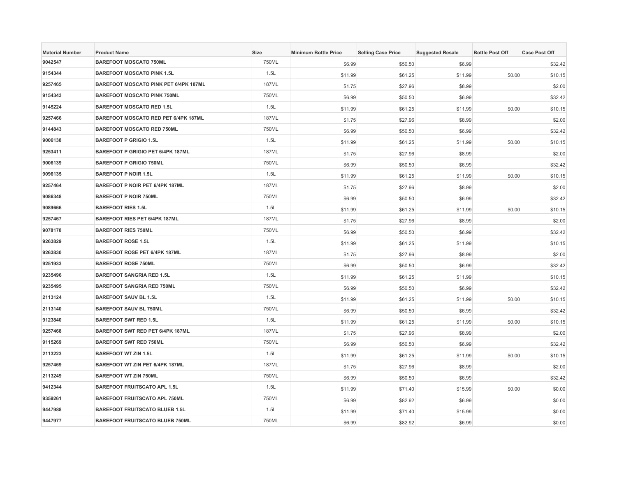| <b>Material Number</b> | <b>Product Name</b>                          | <b>Size</b>  | <b>Minimum Bottle Price</b> | <b>Selling Case Price</b> | <b>Suggested Resale</b> | <b>Bottle Post Off</b> | <b>Case Post Off</b> |
|------------------------|----------------------------------------------|--------------|-----------------------------|---------------------------|-------------------------|------------------------|----------------------|
| 9042547                | <b>BAREFOOT MOSCATO 750ML</b>                | 750ML        | \$6.99                      | \$50.50                   | \$6.99                  |                        | \$32.42              |
| 9154344                | <b>BAREFOOT MOSCATO PINK 1.5L</b>            | 1.5L         | \$11.99                     | \$61.25                   | \$11.99                 | \$0.00                 | \$10.15              |
| 9257465                | <b>BAREFOOT MOSCATO PINK PET 6/4PK 187ML</b> | 187ML        | \$1.75                      | \$27.96                   | \$8.99                  |                        | \$2.00               |
| 9154343                | <b>BAREFOOT MOSCATO PINK 750ML</b>           | 750ML        | \$6.99                      | \$50.50                   | \$6.99                  |                        | \$32.42              |
| 9145224                | <b>BAREFOOT MOSCATO RED 1.5L</b>             | 1.5L         | \$11.99                     | \$61.25                   | \$11.99                 | \$0.00                 | \$10.15              |
| 9257466                | BAREFOOT MOSCATO RED PET 6/4PK 187ML         | <b>187ML</b> | \$1.75                      | \$27.96                   | \$8.99                  |                        | \$2.00               |
| 9144843                | <b>BAREFOOT MOSCATO RED 750ML</b>            | 750ML        | \$6.99                      | \$50.50                   | \$6.99                  |                        | \$32.42              |
| 9006138                | <b>BAREFOOT P GRIGIO 1.5L</b>                | 1.5L         | \$11.99                     | \$61.25                   | \$11.99                 | \$0.00                 | \$10.15              |
| 9253411                | BAREFOOT P GRIGIO PET 6/4PK 187ML            | <b>187ML</b> | \$1.75                      | \$27.96                   | \$8.99                  |                        | \$2.00               |
| 9006139                | <b>BAREFOOT P GRIGIO 750ML</b>               | 750ML        | \$6.99                      | \$50.50                   | \$6.99                  |                        | \$32.42              |
| 9096135                | <b>BAREFOOT P NOIR 1.5L</b>                  | 1.5L         | \$11.99                     | \$61.25                   | \$11.99                 | \$0.00                 | \$10.15              |
| 9257464                | BAREFOOT P NOIR PET 6/4PK 187ML              | <b>187ML</b> | \$1.75                      | \$27.96                   | \$8.99                  |                        | \$2.00               |
| 9086348                | <b>BAREFOOT P NOIR 750ML</b>                 | 750ML        | \$6.99                      | \$50.50                   | \$6.99                  |                        | \$32.42              |
| 9089666                | <b>BAREFOOT RIES 1.5L</b>                    | 1.5L         | \$11.99                     | \$61.25                   | \$11.99                 | \$0.00                 | \$10.15              |
| 9257467                | BAREFOOT RIES PET 6/4PK 187ML                | <b>187ML</b> | \$1.75                      | \$27.96                   | \$8.99                  |                        | \$2.00               |
| 9078178                | <b>BAREFOOT RIES 750ML</b>                   | 750ML        | \$6.99                      | \$50.50                   | \$6.99                  |                        | \$32.42              |
| 9263829                | <b>BAREFOOT ROSE 1.5L</b>                    | 1.5L         | \$11.99                     | \$61.25                   | \$11.99                 |                        | \$10.15              |
| 9263830                | BAREFOOT ROSE PET 6/4PK 187ML                | <b>187ML</b> | \$1.75                      | \$27.96                   | \$8.99                  |                        | \$2.00               |
| 9251933                | <b>BAREFOOT ROSE 750ML</b>                   | 750ML        | \$6.99                      | \$50.50                   | \$6.99                  |                        | \$32.42              |
| 9235496                | <b>BAREFOOT SANGRIA RED 1.5L</b>             | 1.5L         | \$11.99                     | \$61.25                   | \$11.99                 |                        | \$10.15              |
| 9235495                | <b>BAREFOOT SANGRIA RED 750ML</b>            | 750ML        | \$6.99                      | \$50.50                   | \$6.99                  |                        | \$32.42              |
| 2113124                | <b>BAREFOOT SAUV BL 1.5L</b>                 | 1.5L         | \$11.99                     | \$61.25                   | \$11.99                 | \$0.00                 | \$10.15              |
| 2113140                | <b>BAREFOOT SAUV BL 750ML</b>                | 750ML        | \$6.99                      | \$50.50                   | \$6.99                  |                        | \$32.42              |
| 9123840                | <b>BAREFOOT SWT RED 1.5L</b>                 | 1.5L         | \$11.99                     | \$61.25                   | \$11.99                 | \$0.00                 | \$10.15              |
| 9257468                | BAREFOOT SWT RED PET 6/4PK 187ML             | <b>187ML</b> | \$1.75                      | \$27.96                   | \$8.99                  |                        | \$2.00               |
| 9115269                | <b>BAREFOOT SWT RED 750ML</b>                | 750ML        | \$6.99                      | \$50.50                   | \$6.99                  |                        | \$32.42              |
| 2113223                | <b>BAREFOOT WT ZIN 1.5L</b>                  | 1.5L         | \$11.99                     | \$61.25                   | \$11.99                 | \$0.00                 | \$10.15              |
| 9257469                | BAREFOOT WT ZIN PET 6/4PK 187ML              | <b>187ML</b> | \$1.75                      | \$27.96                   | \$8.99                  |                        | \$2.00               |
| 2113249                | <b>BAREFOOT WT ZIN 750ML</b>                 | 750ML        | \$6.99                      | \$50.50                   | \$6.99                  |                        | \$32.42              |
| 9412344                | <b>BAREFOOT FRUITSCATO APL 1.5L</b>          | 1.5L         | \$11.99                     | \$71.40                   | \$15.99                 | \$0.00                 | \$0.00               |
| 9359261                | <b>BAREFOOT FRUITSCATO APL 750ML</b>         | 750ML        | \$6.99                      | \$82.92                   | \$6.99                  |                        | \$0.00               |
| 9447988                | <b>BAREFOOT FRUITSCATO BLUEB 1.5L</b>        | 1.5L         | \$11.99                     | \$71.40                   | \$15.99                 |                        | \$0.00               |
| 9447977                | <b>BAREFOOT FRUITSCATO BLUEB 750ML</b>       | 750ML        | \$6.99                      | \$82.92                   | \$6.99                  |                        | \$0.00               |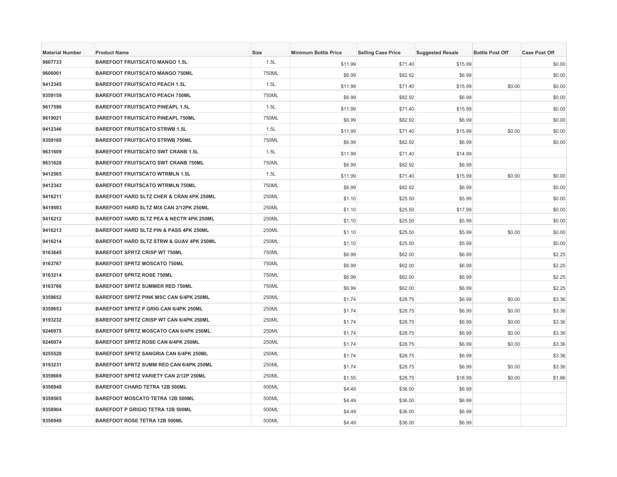| <b>Material Number</b> | <b>Product Name</b>                            | <b>Size</b> | <b>Minimum Bottle Price</b> | <b>Selling Case Price</b> | <b>Suggested Resale</b> | <b>Bottle Post Off</b> | <b>Case Post Off</b> |
|------------------------|------------------------------------------------|-------------|-----------------------------|---------------------------|-------------------------|------------------------|----------------------|
| 9607733                | <b>BAREFOOT FRUITSCATO MANGO 1.5L</b>          | 1.5L        | \$11.99                     | \$71.40                   | \$15.99                 |                        | \$0.00               |
| 9606001                | <b>BAREFOOT FRUITSCATO MANGO 750ML</b>         | 750ML       | \$6.99                      | \$82.92                   | \$6.99                  |                        | \$0.00               |
| 9412345                | <b>BAREFOOT FRUITSCATO PEACH 1.5L</b>          | 1.5L        | \$11.99                     | \$71.40                   | \$15.99                 | \$0.00                 | \$0.00               |
| 9359159                | <b>BAREFOOT FRUITSCATO PEACH 750ML</b>         | 750ML       | \$6.99                      | \$82.92                   | \$6.99                  |                        | \$0.00               |
| 9617596                | <b>BAREFOOT FRUITSCATO PINEAPL 1.5L</b>        | 1.5L        | \$11.99                     | \$71.40                   | \$15.99                 |                        | \$0.00               |
| 9619021                | <b>BAREFOOT FRUITSCATO PINEAPL 750ML</b>       | 750ML       | \$6.99                      | \$82.92                   | \$6.99                  |                        | \$0.00               |
| 9412346                | <b>BAREFOOT FRUITSCATO STRWB 1.5L</b>          | 1.5L        | \$11.99                     | \$71.40                   | \$15.99                 | \$0.00                 | \$0.00               |
| 9359160                | <b>BAREFOOT FRUITSCATO STRWB 750ML</b>         | 750ML       | \$6.99                      | \$82.92                   | \$6.99                  |                        | \$0.00               |
| 9631609                | <b>BAREFOOT FRUITSCATO SWT CRANB 1.5L</b>      | 1.5L        | \$11.99                     | \$71.40                   | \$14.99                 |                        |                      |
| 9631628                | <b>BAREFOOT FRUITSCATO SWT CRANB 750ML</b>     | 750ML       | \$6.99                      | \$82.92                   | \$6.99                  |                        |                      |
| 9412565                | <b>BAREFOOT FRUITSCATO WTRMLN 1.5L</b>         | 1.5L        | \$11.99                     | \$71.40                   | \$15.99                 | \$0.00                 | \$0.00               |
| 9412343                | <b>BAREFOOT FRUITSCATO WTRMLN 750ML</b>        | 750ML       | \$6.99                      | \$82.92                   | \$6.99                  |                        | \$0.00               |
| 9416211                | BAREFOOT HARD SLTZ CHER & CRAN 4PK 250ML       | 250ML       | \$1.10                      | \$25.50                   | \$5.99                  |                        | \$0.00               |
| 9419593                | BAREFOOT HARD SLTZ MIX CAN 2/12PK 250ML        | 250ML       | \$1.10                      | \$25.50                   | \$17.99                 |                        | \$0.00               |
| 9416212                | BAREFOOT HARD SLTZ PEA & NECTR 4PK 250ML       | 250ML       | \$1.10                      | \$25.50                   | \$5.99                  |                        | \$0.00               |
| 9416213                | BAREFOOT HARD SLTZ PIN & PASS 4PK 250ML        | 250ML       | \$1.10                      | \$25.50                   | \$5.99                  | \$0.00                 | \$0.00               |
| 9416214                | BAREFOOT HARD SLTZ STRW & GUAV 4PK 250ML       | 250ML       | \$1.10                      | \$25.50                   | \$5.99                  |                        | \$0.00               |
| 9163645                | <b>BAREFOOT SPRTZ CRISP WT 750ML</b>           | 750ML       | \$6.99                      | \$62.00                   | \$6.99                  |                        | \$2.25               |
| 9163767                | <b>BAREFOOT SPRTZ MOSCATO 750ML</b>            | 750ML       | \$6.99                      | \$62.00                   | \$6.99                  |                        | \$2.25               |
| 9163214                | <b>BAREFOOT SPRTZ ROSE 750ML</b>               | 750ML       | \$6.99                      | \$62.00                   | \$6.99                  |                        | \$2.25               |
| 9163766                | <b>BAREFOOT SPRTZ SUMMER RED 750ML</b>         | 750ML       | \$6.99                      | \$62.00                   | \$6.99                  |                        | \$2.25               |
| 9359652                | <b>BAREFOOT SPRTZ PINK MSC CAN 6/4PK 250ML</b> | 250ML       | \$1.74                      | \$28.75                   | \$6.99                  | \$0.00                 | \$3.36               |
| 9359653                | BAREFOOT SPRTZ P GRIG CAN 6/4PK 250ML          | 250ML       | \$1.74                      | \$28.75                   | \$6.99                  | \$0.00                 | \$3.36               |
| 9193232                | BAREFOOT SPRTZ CRISP WT CAN 6/4PK 250ML        | 250ML       | \$1.74                      | \$28.75                   | \$6.99                  | \$0.00                 | \$3.36               |
| 9246975                | BAREFOOT SPRTZ MOSCATO CAN 6/4PK 250ML         | 250ML       | \$1.74                      | \$28.75                   | \$6.99                  | \$0.00                 | \$3.36               |
| 9246974                | <b>BAREFOOT SPRTZ ROSE CAN 6/4PK 250ML</b>     | 250ML       | \$1.74                      | \$28.75                   | \$6.99                  | \$0.00                 | \$3.36               |
| 9255520                | BAREFOOT SPRTZ SANGRIA CAN 6/4PK 250ML         | 250ML       | \$1.74                      | \$28.75                   | \$6.99                  |                        | \$3.36               |
| 9193231                | BAREFOOT SPRTZ SUMM RED CAN 6/4PK 250ML        | 250ML       | \$1.74                      | \$28.75                   | \$6.99                  | \$0.00                 | \$3.36               |
| 9359669                | BAREFOOT SPRTZ VARIETY CAN 2/12P 250ML         | 250ML       | \$1.55                      | \$28.75                   | \$18.99                 | \$0.00                 | \$1.86               |
| 9356948                | <b>BAREFOOT CHARD TETRA 12B 500ML</b>          | 500ML       | \$4.49                      | \$36.00                   | \$6.99                  |                        |                      |
| 9359565                | BAREFOOT MOSCATO TETRA 12B 500ML               | 500ML       | \$4.49                      | \$36.00                   | \$6.99                  |                        |                      |
| 9358904                | <b>BAREFOOT P GRIGIO TETRA 12B 500ML</b>       | 500ML       | \$4.49                      | \$36.00                   | \$6.99                  |                        |                      |
| 9356949                | <b>BAREFOOT ROSE TETRA 12B 500ML</b>           | 500ML       | \$4.49                      | \$36.00                   | \$6.99                  |                        |                      |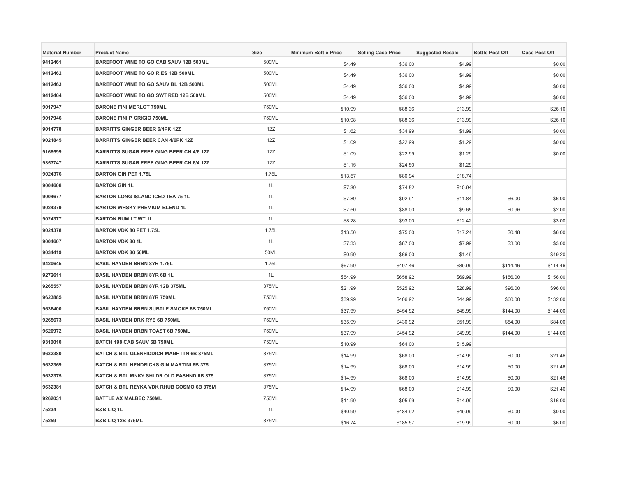| <b>Material Number</b> | <b>Product Name</b>                                 | Size  | <b>Minimum Bottle Price</b> | <b>Selling Case Price</b> | <b>Suggested Resale</b> | <b>Bottle Post Off</b> | <b>Case Post Off</b> |
|------------------------|-----------------------------------------------------|-------|-----------------------------|---------------------------|-------------------------|------------------------|----------------------|
| 9412461                | BAREFOOT WINE TO GO CAB SAUV 12B 500ML              | 500ML | \$4.49                      | \$36.00                   | \$4.99                  |                        | \$0.00               |
| 9412462                | BAREFOOT WINE TO GO RIES 12B 500ML                  | 500ML | \$4.49                      | \$36.00                   | \$4.99                  |                        | \$0.00               |
| 9412463                | BAREFOOT WINE TO GO SAUV BL 12B 500ML               | 500ML | \$4.49                      | \$36.00                   | \$4.99                  |                        | \$0.00               |
| 9412464                | BAREFOOT WINE TO GO SWT RED 12B 500ML               | 500ML | \$4.49                      | \$36.00                   | \$4.99                  |                        | \$0.00               |
| 9017947                | <b>BARONE FINI MERLOT 750ML</b>                     | 750ML | \$10.99                     | \$88.36                   | \$13.99                 |                        | \$26.10              |
| 9017946                | <b>BARONE FINI P GRIGIO 750ML</b>                   | 750ML | \$10.98                     | \$88.36                   | \$13.99                 |                        | \$26.10              |
| 9014778                | <b>BARRITTS GINGER BEER 6/4PK 12Z</b>               | 12Z   | \$1.62                      | \$34.99                   | \$1.99                  |                        | \$0.00               |
| 9021845                | <b>BARRITTS GINGER BEER CAN 4/6PK 12Z</b>           | 12Z   | \$1.09                      | \$22.99                   | \$1.29                  |                        | \$0.00               |
| 9168599                | BARRITTS SUGAR FREE GING BEER CN 4/6 12Z            | 12Z   | \$1.09                      | \$22.99                   | \$1.29                  |                        | \$0.00               |
| 9353747                | <b>BARRITTS SUGAR FREE GING BEER CN 6/4 12Z</b>     | 12Z   | \$1.15                      | \$24.50                   | \$1.29                  |                        |                      |
| 9024376                | <b>BARTON GIN PET 1.75L</b>                         | 1.75L | \$13.57                     | \$80.94                   | \$18.74                 |                        |                      |
| 9004608                | <b>BARTON GIN 1L</b>                                | 1L    | \$7.39                      | \$74.52                   | \$10.94                 |                        |                      |
| 9004677                | <b>BARTON LONG ISLAND ICED TEA 75 1L</b>            | 1L    | \$7.89                      | \$92.91                   | \$11.84                 | \$6.00                 | \$6.00               |
| 9024379                | <b>BARTON WHSKY PREMIUM BLEND 1L</b>                | 1L    | \$7.50                      | \$88.00                   | \$9.65                  | \$0.96                 | \$2.00               |
| 9024377                | <b>BARTON RUM LT WT 1L</b>                          | 1L    | \$8.28                      | \$93.00                   | \$12.42                 |                        | \$3.00               |
| 9024378                | BARTON VDK 80 PET 1.75L                             | 1.75L | \$13.50                     | \$75.00                   | \$17.24                 | \$0.48                 | \$6.00               |
| 9004607                | <b>BARTON VDK 80 1L</b>                             | 1L    | \$7.33                      | \$87.00                   | \$7.99                  | \$3.00                 | \$3.00               |
| 9034419                | <b>BARTON VDK 80 50ML</b>                           | 50ML  | \$0.99                      | \$66.00                   | \$1.49                  |                        | \$49.20              |
| 9420645                | <b>BASIL HAYDEN BRBN 8YR 1.75L</b>                  | 1.75L | \$67.99                     | \$407.46                  | \$89.99                 | \$114.46               | \$114.46             |
| 9272611                | <b>BASIL HAYDEN BRBN 8YR 6B 1L</b>                  | 1L    | \$54.99                     | \$658.92                  | \$69.99                 | \$156.00               | \$156.00             |
| 9265557                | <b>BASIL HAYDEN BRBN 8YR 12B 375ML</b>              | 375ML | \$21.99                     | \$525.92                  | \$28.99                 | \$96.00                | \$96.00              |
| 9623885                | <b>BASIL HAYDEN BRBN 8YR 750ML</b>                  | 750ML | \$39.99                     | \$406.92                  | \$44.99                 | \$60.00                | \$132.00             |
| 9636400                | BASIL HAYDEN BRBN SUBTLE SMOKE 6B 750ML             | 750ML | \$37.99                     | \$454.92                  | \$45.99                 | \$144.00               | \$144.00             |
| 9265673                | <b>BASIL HAYDEN DRK RYE 6B 750ML</b>                | 750ML | \$35.99                     | \$430.92                  | \$51.99                 | \$84.00                | \$84.00              |
| 9620972                | <b>BASIL HAYDEN BRBN TOAST 6B 750ML</b>             | 750ML | \$37.99                     | \$454.92                  | \$49.99                 | \$144.00               | \$144.00             |
| 9310010                | BATCH 198 CAB SAUV 6B 750ML                         | 750ML | \$10.99                     | \$64.00                   | \$15.99                 |                        |                      |
| 9632380                | <b>BATCH &amp; BTL GLENFIDDICH MANHTTN 6B 375ML</b> | 375ML | \$14.99                     | \$68.00                   | \$14.99                 | \$0.00                 | \$21.46              |
| 9632369                | <b>BATCH &amp; BTL HENDRICKS GIN MARTINI 6B 375</b> | 375ML | \$14.99                     | \$68.00                   | \$14.99                 | \$0.00                 | \$21.46              |
| 9632375                | BATCH & BTL MNKY SHLDR OLD FASHND 6B 375            | 375ML | \$14.99                     | \$68.00                   | \$14.99                 | \$0.00                 | \$21.46              |
| 9632381                | BATCH & BTL REYKA VDK RHUB COSMO 6B 375M            | 375ML | \$14.99                     | \$68.00                   | \$14.99                 | \$0.00                 | \$21.46              |
| 9262031                | <b>BATTLE AX MALBEC 750ML</b>                       | 750ML | \$11.99                     | \$95.99                   | \$14.99                 |                        | \$16.00              |
| 75234                  | <b>B&amp;B LIQ 1L</b>                               | 1L    | \$40.99                     | \$484.92                  | \$49.99                 | \$0.00                 | \$0.00               |
| 75259                  | <b>B&amp;B LIQ 12B 375ML</b>                        | 375ML | \$16.74                     | \$185.57                  | \$19.99                 | \$0.00                 | \$6.00               |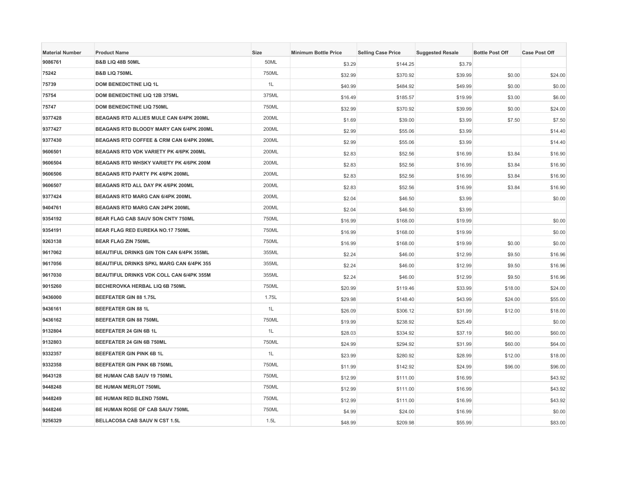| <b>Material Number</b> | <b>Product Name</b>                             | <b>Size</b> | <b>Minimum Bottle Price</b> | <b>Selling Case Price</b> | <b>Suggested Resale</b> | <b>Bottle Post Off</b> | <b>Case Post Off</b> |
|------------------------|-------------------------------------------------|-------------|-----------------------------|---------------------------|-------------------------|------------------------|----------------------|
| 9086761                | <b>B&amp;B LIQ 48B 50ML</b>                     | 50ML        | \$3.29                      | \$144.25                  | \$3.79                  |                        |                      |
| 75242                  | <b>B&amp;B LIQ 750ML</b>                        | 750ML       | \$32.99                     | \$370.92                  | \$39.99                 | \$0.00                 | \$24.00              |
| 75739                  | <b>DOM BENEDICTINE LIQ 1L</b>                   | 1L          | \$40.99                     | \$484.92                  | \$49.99                 | \$0.00                 | \$0.00               |
| 75754                  | DOM BENEDICTINE LIQ 12B 375ML                   | 375ML       | \$16.49                     | \$185.57                  | \$19.99                 | \$3.00                 | \$6.00               |
| 75747                  | <b>DOM BENEDICTINE LIQ 750ML</b>                | 750ML       | \$32.99                     | \$370.92                  | \$39.99                 | \$0.00                 | \$24.00              |
| 9377428                | BEAGANS RTD ALLIES MULE CAN 6/4PK 200ML         | 200ML       | \$1.69                      | \$39.00                   | \$3.99                  | \$7.50                 | \$7.50               |
| 9377427                | <b>BEAGANS RTD BLOODY MARY CAN 6/4PK 200ML</b>  | 200ML       | \$2.99                      | \$55.06                   | \$3.99                  |                        | \$14.40              |
| 9377430                | BEAGANS RTD COFFEE & CRM CAN 6/4PK 200ML        | 200ML       | \$2.99                      | \$55.06                   | \$3.99                  |                        | \$14.40              |
| 9606501                | BEAGANS RTD VDK VARIETY PK 4/6PK 200ML          | 200ML       | \$2.83                      | \$52.56                   | \$16.99                 | \$3.84                 | \$16.90              |
| 9606504                | BEAGANS RTD WHSKY VARIETY PK 4/6PK 200M         | 200ML       | \$2.83                      | \$52.56                   | \$16.99                 | \$3.84                 | \$16.90              |
| 9606506                | BEAGANS RTD PARTY PK 4/6PK 200ML                | 200ML       | \$2.83                      | \$52.56                   | \$16.99                 | \$3.84                 | \$16.90              |
| 9606507                | BEAGANS RTD ALL DAY PK 4/6PK 200ML              | 200ML       | \$2.83                      | \$52.56                   | \$16.99                 | \$3.84                 | \$16.90              |
| 9377424                | BEAGANS RTD MARG CAN 6/4PK 200ML                | 200ML       | \$2.04                      | \$46.50                   | \$3.99                  |                        | \$0.00               |
| 9404761                | BEAGANS RTD MARG CAN 24PK 200ML                 | 200ML       | \$2.04                      | \$46.50                   | \$3.99                  |                        |                      |
| 9354192                | BEAR FLAG CAB SAUV SON CNTY 750ML               | 750ML       | \$16.99                     | \$168.00                  | \$19.99                 |                        | \$0.00               |
| 9354191                | BEAR FLAG RED EUREKA NO.17 750ML                | 750ML       | \$16.99                     | \$168.00                  | \$19.99                 |                        | \$0.00               |
| 9263138                | <b>BEAR FLAG ZIN 750ML</b>                      | 750ML       | \$16.99                     | \$168.00                  | \$19.99                 | \$0.00                 | \$0.00               |
| 9617062                | BEAUTIFUL DRINKS GIN TON CAN 6/4PK 355ML        | 355ML       | \$2.24                      | \$46.00                   | \$12.99                 | \$9.50                 | \$16.96              |
| 9617056                | <b>BEAUTIFUL DRINKS SPKL MARG CAN 6/4PK 355</b> | 355ML       | \$2.24                      | \$46.00                   | \$12.99                 | \$9.50                 | \$16.96              |
| 9617030                | BEAUTIFUL DRINKS VDK COLL CAN 6/4PK 355M        | 355ML       | \$2.24                      | \$46.00                   | \$12.99                 | \$9.50                 | \$16.96              |
| 9015260                | BECHEROVKA HERBAL LIQ 6B 750ML                  | 750ML       | \$20.99                     | \$119.46                  | \$33.99                 | \$18.00                | \$24.00              |
| 9436000                | BEEFEATER GIN 88 1.75L                          | 1.75L       | \$29.98                     | \$148.40                  | \$43.99                 | \$24.00                | \$55.00              |
| 9436161                | <b>BEEFEATER GIN 88 1L</b>                      | 1L          | \$26.09                     | \$306.12                  | \$31.99                 | \$12.00                | \$18.00              |
| 9436162                | <b>BEEFEATER GIN 88 750ML</b>                   | 750ML       | \$19.99                     | \$238.92                  | \$25.49                 |                        | \$0.00               |
| 9132804                | BEEFEATER 24 GIN 6B 1L                          | 1L          | \$28.03                     | \$334.92                  | \$37.19                 | \$60.00                | \$60.00              |
| 9132803                | BEEFEATER 24 GIN 6B 750ML                       | 750ML       | \$24.99                     | \$294.92                  | \$31.99                 | \$60.00                | \$64.00              |
| 9332357                | BEEFEATER GIN PINK 6B 1L                        | 1L          | \$23.99                     | \$280.92                  | \$28.99                 | \$12.00                | \$18.00              |
| 9332358                | BEEFEATER GIN PINK 6B 750ML                     | 750ML       | \$11.99                     | \$142.92                  | \$24.99                 | \$96.00                | \$96.00              |
| 9643128                | BE HUMAN CAB SAUV 19 750ML                      | 750ML       | \$12.99                     | \$111.00                  | \$16.99                 |                        | \$43.92              |
| 9448248                | <b>BE HUMAN MERLOT 750ML</b>                    | 750ML       | \$12.99                     | \$111.00                  | \$16.99                 |                        | \$43.92              |
| 9448249                | BE HUMAN RED BLEND 750ML                        | 750ML       | \$12.99                     | \$111.00                  | \$16.99                 |                        | \$43.92              |
| 9448246                | BE HUMAN ROSE OF CAB SAUV 750ML                 | 750ML       | \$4.99                      | \$24.00                   | \$16.99                 |                        | \$0.00               |
| 9256329                | BELLACOSA CAB SAUV N CST 1.5L                   | 1.5L        | \$48.99                     | \$209.98                  | \$55.99                 |                        | \$83.00              |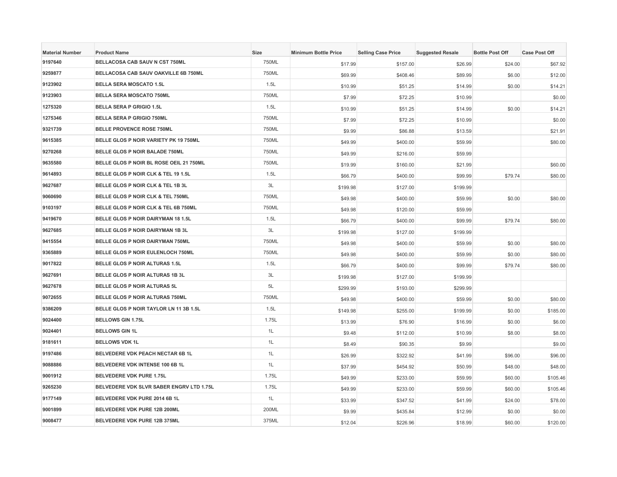| <b>Material Number</b> | <b>Product Name</b>                             | <b>Size</b> | <b>Minimum Bottle Price</b> | <b>Selling Case Price</b> | <b>Suggested Resale</b> | <b>Bottle Post Off</b> | <b>Case Post Off</b> |
|------------------------|-------------------------------------------------|-------------|-----------------------------|---------------------------|-------------------------|------------------------|----------------------|
| 9197640                | BELLACOSA CAB SAUV N CST 750ML                  | 750ML       | \$17.99                     | \$157.00                  | \$26.99                 | \$24.00                | \$67.92              |
| 9259877                | BELLACOSA CAB SAUV OAKVILLE 6B 750ML            | 750ML       | \$69.99                     | \$408.46                  | \$89.99                 | \$6.00                 | \$12.00              |
| 9123902                | <b>BELLA SERA MOSCATO 1.5L</b>                  | 1.5L        | \$10.99                     | \$51.25                   | \$14.99                 | \$0.00                 | \$14.21              |
| 9123903                | <b>BELLA SERA MOSCATO 750ML</b>                 | 750ML       | \$7.99                      | \$72.25                   | \$10.99                 |                        | \$0.00               |
| 1275320                | <b>BELLA SERA P GRIGIO 1.5L</b>                 | 1.5L        | \$10.99                     | \$51.25                   | \$14.99                 | \$0.00                 | \$14.21              |
| 1275346                | <b>BELLA SERA P GRIGIO 750ML</b>                | 750ML       | \$7.99                      | \$72.25                   | \$10.99                 |                        | \$0.00               |
| 9321739                | <b>BELLE PROVENCE ROSE 750ML</b>                | 750ML       | \$9.99                      | \$86.88                   | \$13.59                 |                        | \$21.91              |
| 9615385                | BELLE GLOS P NOIR VARIETY PK 19 750ML           | 750ML       | \$49.99                     | \$400.00                  | \$59.99                 |                        | \$80.00              |
| 9270268                | BELLE GLOS P NOIR BALADE 750ML                  | 750ML       | \$49.99                     | \$216.00                  | \$59.99                 |                        |                      |
| 9635580                | BELLE GLOS P NOIR BL ROSE OEIL 21 750ML         | 750ML       | \$19.99                     | \$160.00                  | \$21.99                 |                        | \$60.00              |
| 9614893                | BELLE GLOS P NOIR CLK & TEL 19 1.5L             | 1.5L        | \$66.79                     | \$400.00                  | \$99.99                 | \$79.74                | \$80.00              |
| 9627687                | BELLE GLOS P NOIR CLK & TEL 1B 3L               | 3L          | \$199.98                    | \$127.00                  | \$199.99                |                        |                      |
| 9060690                | BELLE GLOS P NOIR CLK & TEL 750ML               | 750ML       | \$49.98                     | \$400.00                  | \$59.99                 | \$0.00                 | \$80.00              |
| 9103197                | BELLE GLOS P NOIR CLK & TEL 6B 750ML            | 750ML       | \$49.98                     | \$120.00                  | \$59.99                 |                        |                      |
| 9419670                | BELLE GLOS P NOIR DAIRYMAN 18 1.5L              | 1.5L        | \$66.79                     | \$400.00                  | \$99.99                 | \$79.74                | \$80.00              |
| 9627685                | BELLE GLOS P NOIR DAIRYMAN 1B 3L                | 3L          | \$199.98                    | \$127.00                  | \$199.99                |                        |                      |
| 9415554                | BELLE GLOS P NOIR DAIRYMAN 750ML                | 750ML       | \$49.98                     | \$400.00                  | \$59.99                 | \$0.00                 | \$80.00              |
| 9365889                | BELLE GLOS P NOIR EULENLOCH 750ML               | 750ML       | \$49.98                     | \$400.00                  | \$59.99                 | \$0.00                 | \$80.00              |
| 9017822                | BELLE GLOS P NOIR ALTURAS 1.5L                  | 1.5L        | \$66.79                     | \$400.00                  | \$99.99                 | \$79.74                | \$80.00              |
| 9627691                | BELLE GLOS P NOIR ALTURAS 1B 3L                 | 3L          | \$199.98                    | \$127.00                  | \$199.99                |                        |                      |
| 9627678                | BELLE GLOS P NOIR ALTURAS 5L                    | 5L          | \$299.99                    | \$193.00                  | \$299.99                |                        |                      |
| 9072655                | <b>BELLE GLOS P NOIR ALTURAS 750ML</b>          | 750ML       | \$49.98                     | \$400.00                  | \$59.99                 | \$0.00                 | \$80.00              |
| 9386209                | BELLE GLOS P NOIR TAYLOR LN 11 3B 1.5L          | 1.5L        | \$149.98                    | \$255.00                  | \$199.99                | \$0.00                 | \$185.00             |
| 9024400                | <b>BELLOWS GIN 1.75L</b>                        | 1.75L       | \$13.99                     | \$76.90                   | \$16.99                 | \$0.00                 | \$6.00               |
| 9024401                | <b>BELLOWS GIN 1L</b>                           | 1L          | \$9.48                      | \$112.00                  | \$10.99                 | \$8.00                 | \$8.00               |
| 9181611                | <b>BELLOWS VDK 1L</b>                           | 1L          | \$8.49                      | \$90.35                   | \$9.99                  |                        | \$9.00               |
| 9197486                | BELVEDERE VDK PEACH NECTAR 6B 1L                | 1L          | \$26.99                     | \$322.92                  | \$41.99                 | \$96.00                | \$96.00              |
| 9088886                | BELVEDERE VDK INTENSE 100 6B 1L                 | 1L          | \$37.99                     | \$454.92                  | \$50.99                 | \$48.00                | \$48.00              |
| 9001912                | <b>BELVEDERE VDK PURE 1.75L</b>                 | 1.75L       | \$49.99                     | \$233.00                  | \$59.99                 | \$60.00                | \$105.46             |
| 9265230                | <b>BELVEDERE VDK SLVR SABER ENGRV LTD 1.75L</b> | 1.75L       | \$49.99                     | \$233.00                  | \$59.99                 | \$60.00                | \$105.46             |
| 9177149                | BELVEDERE VDK PURE 2014 6B 1L                   | 1L          | \$33.99                     | \$347.52                  | \$41.99                 | \$24.00                | \$78.00              |
| 9001899                | BELVEDERE VDK PURE 12B 200ML                    | 200ML       | \$9.99                      | \$435.84                  | \$12.99                 | \$0.00                 | \$0.00               |
| 9008477                | BELVEDERE VDK PURE 12B 375ML                    | 375ML       | \$12.04                     | \$226.96                  | \$18.99                 | \$60.00                | \$120.00             |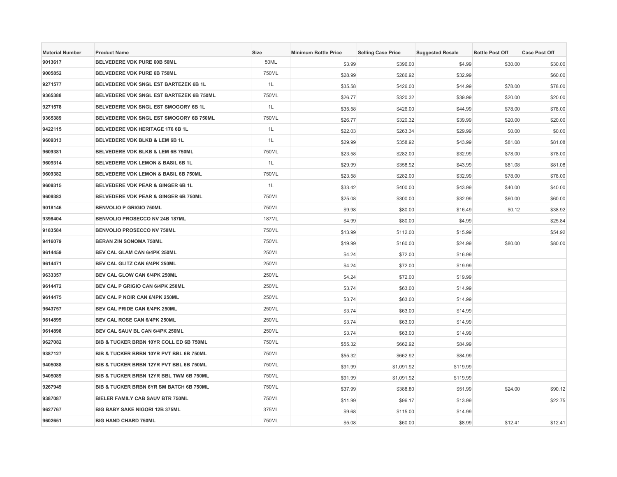| <b>Material Number</b> | <b>Product Name</b>                      | Size         | <b>Minimum Bottle Price</b> | <b>Selling Case Price</b> | <b>Suggested Resale</b> | <b>Bottle Post Off</b> | <b>Case Post Off</b> |
|------------------------|------------------------------------------|--------------|-----------------------------|---------------------------|-------------------------|------------------------|----------------------|
| 9013617                | BELVEDERE VDK PURE 60B 50ML              | 50ML         | \$3.99                      | \$396.00                  | \$4.99                  | \$30.00                | \$30.00              |
| 9005852                | <b>BELVEDERE VDK PURE 6B 750ML</b>       | 750ML        | \$28.99                     | \$286.92                  | \$32.99                 |                        | \$60.00              |
| 9271577                | BELVEDERE VDK SNGL EST BARTEZEK 6B 1L    | 1L           | \$35.58                     | \$426.00                  | \$44.99                 | \$78.00                | \$78.00              |
| 9365388                | BELVEDERE VDK SNGL EST BARTEZEK 6B 750ML | 750ML        | \$26.77                     | \$320.32                  | \$39.99                 | \$20.00                | \$20.00              |
| 9271578                | BELVEDERE VDK SNGL EST SMOGORY 6B 1L     | 1L           | \$35.58                     | \$426.00                  | \$44.99                 | \$78.00                | \$78.00              |
| 9365389                | BELVEDERE VDK SNGL EST SMOGORY 6B 750ML  | 750ML        | \$26.77                     | \$320.32                  | \$39.99                 | \$20.00                | \$20.00              |
| 9422115                | <b>BELVEDERE VDK HERITAGE 176 6B 1L</b>  | 1L           | \$22.03                     | \$263.34                  | \$29.99                 | \$0.00                 | \$0.00               |
| 9609313                | BELVEDERE VDK BLKB & LEM 6B 1L           | 1L           | \$29.99                     | \$358.92                  | \$43.99                 | \$81.08                | \$81.08              |
| 9609381                | BELVEDERE VDK BLKB & LEM 6B 750ML        | 750ML        | \$23.58                     | \$282.00                  | \$32.99                 | \$78.00                | \$78.00              |
| 9609314                | BELVEDERE VDK LEMON & BASIL 6B 1L        | 1L           | \$29.99                     | \$358.92                  | \$43.99                 | \$81.08                | \$81.08              |
| 9609382                | BELVEDERE VDK LEMON & BASIL 6B 750ML     | 750ML        | \$23.58                     | \$282.00                  | \$32.99                 | \$78.00                | \$78.00              |
| 9609315                | BELVEDERE VDK PEAR & GINGER 6B 1L        | 1L           | \$33.42                     | \$400.00                  | \$43.99                 | \$40.00                | \$40.00              |
| 9609383                | BELVEDERE VDK PEAR & GINGER 6B 750ML     | 750ML        | \$25.08                     | \$300.00                  | \$32.99                 | \$60.00                | \$60.00              |
| 9018146                | <b>BENVOLIO P GRIGIO 750ML</b>           | 750ML        | \$9.98                      | \$80.00                   | \$16.49                 | \$0.12                 | \$38.92              |
| 9398404                | BENVOLIO PROSECCO NV 24B 187ML           | <b>187ML</b> | \$4.99                      | \$80.00                   | \$4.99                  |                        | \$25.84              |
| 9183584                | BENVOLIO PROSECCO NV 750ML               | 750ML        | \$13.99                     | \$112.00                  | \$15.99                 |                        | \$54.92              |
| 9416079                | <b>BERAN ZIN SONOMA 750ML</b>            | 750ML        | \$19.99                     | \$160.00                  | \$24.99                 | \$80.00                | \$80.00              |
| 9614459                | BEV CAL GLAM CAN 6/4PK 250ML             | 250ML        | \$4.24                      | \$72.00                   | \$16.99                 |                        |                      |
| 9614471                | BEV CAL GLITZ CAN 6/4PK 250ML            | 250ML        | \$4.24                      | \$72.00                   | \$19.99                 |                        |                      |
| 9633357                | BEV CAL GLOW CAN 6/4PK 250ML             | 250ML        | \$4.24                      | \$72.00                   | \$19.99                 |                        |                      |
| 9614472                | BEV CAL P GRIGIO CAN 6/4PK 250ML         | 250ML        | \$3.74                      | \$63.00                   | \$14.99                 |                        |                      |
| 9614475                | BEV CAL P NOIR CAN 6/4PK 250ML           | 250ML        | \$3.74                      | \$63.00                   | \$14.99                 |                        |                      |
| 9643757                | BEV CAL PRIDE CAN 6/4PK 250ML            | 250ML        | \$3.74                      | \$63.00                   | \$14.99                 |                        |                      |
| 9614899                | BEV CAL ROSE CAN 6/4PK 250ML             | 250ML        | \$3.74                      | \$63.00                   | \$14.99                 |                        |                      |
| 9614898                | BEV CAL SAUV BL CAN 6/4PK 250ML          | 250ML        | \$3.74                      | \$63.00                   | \$14.99                 |                        |                      |
| 9627082                | BIB & TUCKER BRBN 10YR COLL ED 6B 750ML  | 750ML        | \$55.32                     | \$662.92                  | \$84.99                 |                        |                      |
| 9387127                | BIB & TUCKER BRBN 10YR PVT BBL 6B 750ML  | 750ML        | \$55.32                     | \$662.92                  | \$84.99                 |                        |                      |
| 9405088                | BIB & TUCKER BRBN 12YR PVT BBL 6B 750ML  | 750ML        | \$91.99                     | \$1,091.92                | \$119.99                |                        |                      |
| 9405089                | BIB & TUCKER BRBN 12YR BBL TWM 6B 750ML  | 750ML        | \$91.99                     | \$1,091.92                | \$119.99                |                        |                      |
| 9267949                | BIB & TUCKER BRBN 6YR SM BATCH 6B 750ML  | 750ML        | \$37.99                     | \$388.80                  | \$51.99                 | \$24.00                | \$90.12              |
| 9387087                | BIELER FAMILY CAB SAUV BTR 750ML         | 750ML        | \$11.99                     | \$96.17                   | \$13.99                 |                        | \$22.75              |
| 9627767                | BIG BABY SAKE NIGORI 12B 375ML           | 375ML        | \$9.68                      | \$115.00                  | \$14.99                 |                        |                      |
| 9602651                | <b>BIG HAND CHARD 750ML</b>              | 750ML        | \$5.08                      | \$60.00                   | \$8.99                  | \$12.41                | \$12.41              |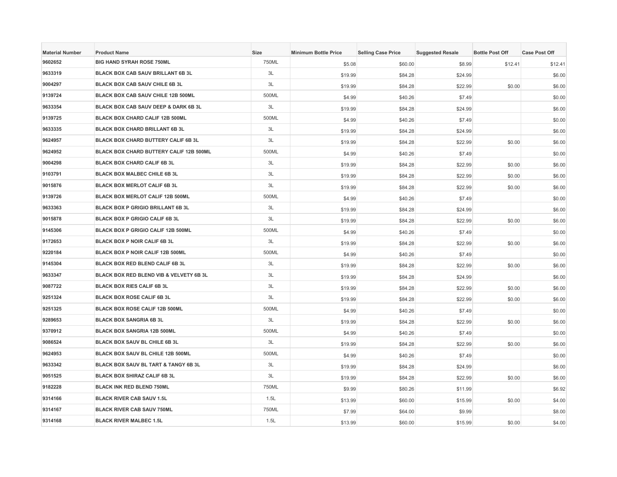| <b>Material Number</b> | <b>Product Name</b>                       | Size  | <b>Minimum Bottle Price</b> | <b>Selling Case Price</b> | <b>Suggested Resale</b> | <b>Bottle Post Off</b> | <b>Case Post Off</b> |
|------------------------|-------------------------------------------|-------|-----------------------------|---------------------------|-------------------------|------------------------|----------------------|
| 9602652                | <b>BIG HAND SYRAH ROSE 750ML</b>          | 750ML | \$5.08                      | \$60.00                   | \$8.99                  | \$12.41                | \$12.41              |
| 9633319                | <b>BLACK BOX CAB SAUV BRILLANT 6B 3L</b>  | 3L    | \$19.99                     | \$84.28                   | \$24.99                 |                        | \$6.00               |
| 9004297                | <b>BLACK BOX CAB SAUV CHILE 6B 3L</b>     | 3L    | \$19.99                     | \$84.28                   | \$22.99                 | \$0.00                 | \$6.00               |
| 9139724                | BLACK BOX CAB SAUV CHILE 12B 500ML        | 500ML | \$4.99                      | \$40.26                   | \$7.49                  |                        | \$0.00               |
| 9633354                | BLACK BOX CAB SAUV DEEP & DARK 6B 3L      | 3L    | \$19.99                     | \$84.28                   | \$24.99                 |                        | \$6.00               |
| 9139725                | BLACK BOX CHARD CALIF 12B 500ML           | 500ML | \$4.99                      | \$40.26                   | \$7.49                  |                        | \$0.00               |
| 9633335                | <b>BLACK BOX CHARD BRILLANT 6B 3L</b>     | 3L    | \$19.99                     | \$84.28                   | \$24.99                 |                        | \$6.00               |
| 9624957                | BLACK BOX CHARD BUTTERY CALIF 6B 3L       | 3L    | \$19.99                     | \$84.28                   | \$22.99                 | \$0.00                 | \$6.00               |
| 9624952                | BLACK BOX CHARD BUTTERY CALIF 12B 500ML   | 500ML | \$4.99                      | \$40.26                   | \$7.49                  |                        | \$0.00               |
| 9004298                | BLACK BOX CHARD CALIF 6B 3L               | 3L    | \$19.99                     | \$84.28                   | \$22.99                 | \$0.00                 | \$6.00               |
| 9103791                | <b>BLACK BOX MALBEC CHILE 6B 3L</b>       | 3L    | \$19.99                     | \$84.28                   | \$22.99                 | \$0.00                 | \$6.00               |
| 9015876                | <b>BLACK BOX MERLOT CALIF 6B 3L</b>       | 3L    | \$19.99                     | \$84.28                   | \$22.99                 | \$0.00                 | \$6.00               |
| 9139726                | BLACK BOX MERLOT CALIF 12B 500ML          | 500ML | \$4.99                      | \$40.26                   | \$7.49                  |                        | \$0.00               |
| 9633363                | <b>BLACK BOX P GRIGIO BRILLANT 6B 3L</b>  | 3L    | \$19.99                     | \$84.28                   | \$24.99                 |                        | \$6.00               |
| 9015878                | <b>BLACK BOX P GRIGIO CALIF 6B 3L</b>     | 3L    | \$19.99                     | \$84.28                   | \$22.99                 | \$0.00                 | \$6.00               |
| 9145306                | <b>BLACK BOX P GRIGIO CALIF 12B 500ML</b> | 500ML | \$4.99                      | \$40.26                   | \$7.49                  |                        | \$0.00               |
| 9172653                | BLACK BOX P NOIR CALIF 6B 3L              | 3L    | \$19.99                     | \$84.28                   | \$22.99                 | \$0.00                 | \$6.00               |
| 9220184                | BLACK BOX P NOIR CALIF 12B 500ML          | 500ML | \$4.99                      | \$40.26                   | \$7.49                  |                        | \$0.00               |
| 9145304                | <b>BLACK BOX RED BLEND CALIF 6B 3L</b>    | 3L    | \$19.99                     | \$84.28                   | \$22.99                 | \$0.00                 | \$6.00               |
| 9633347                | BLACK BOX RED BLEND VIB & VELVETY 6B 3L   | 3L    | \$19.99                     | \$84.28                   | \$24.99                 |                        | \$6.00               |
| 9087722                | <b>BLACK BOX RIES CALIF 6B 3L</b>         | 3L    | \$19.99                     | \$84.28                   | \$22.99                 | \$0.00                 | \$6.00               |
| 9251324                | <b>BLACK BOX ROSE CALIF 6B 3L</b>         | 3L    | \$19.99                     | \$84.28                   | \$22.99                 | \$0.00                 | \$6.00               |
| 9251325                | BLACK BOX ROSE CALIF 12B 500ML            | 500ML | \$4.99                      | \$40.26                   | \$7.49                  |                        | \$0.00               |
| 9289653                | <b>BLACK BOX SANGRIA 6B 3L</b>            | 3L    | \$19.99                     | \$84.28                   | \$22.99                 | \$0.00                 | \$6.00               |
| 9370912                | <b>BLACK BOX SANGRIA 12B 500ML</b>        | 500ML | \$4.99                      | \$40.26                   | \$7.49                  |                        | \$0.00               |
| 9086524                | BLACK BOX SAUV BL CHILE 6B 3L             | 3L    | \$19.99                     | \$84.28                   | \$22.99                 | \$0.00                 | \$6.00               |
| 9624953                | BLACK BOX SAUV BL CHILE 12B 500ML         | 500ML | \$4.99                      | \$40.26                   | \$7.49                  |                        | \$0.00               |
| 9633342                | BLACK BOX SAUV BL TART & TANGY 6B 3L      | 3L    | \$19.99                     | \$84.28                   | \$24.99                 |                        | \$6.00               |
| 9051525                | BLACK BOX SHIRAZ CALIF 6B 3L              | 3L    | \$19.99                     | \$84.28                   | \$22.99                 | \$0.00                 | \$6.00               |
| 9182228                | <b>BLACK INK RED BLEND 750ML</b>          | 750ML | \$9.99                      | \$80.26                   | \$11.99                 |                        | \$6.92               |
| 9314166                | <b>BLACK RIVER CAB SAUV 1.5L</b>          | 1.5L  | \$13.99                     | \$60.00                   | \$15.99                 | \$0.00                 | \$4.00               |
| 9314167                | <b>BLACK RIVER CAB SAUV 750ML</b>         | 750ML | \$7.99                      | \$64.00                   | \$9.99                  |                        | \$8.00               |
| 9314168                | <b>BLACK RIVER MALBEC 1.5L</b>            | 1.5L  | \$13.99                     | \$60.00                   | \$15.99                 | \$0.00                 | \$4.00               |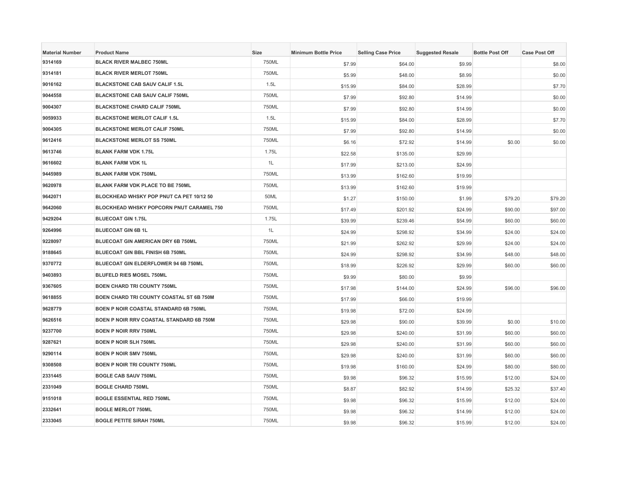| <b>Material Number</b> | <b>Product Name</b>                             | <b>Size</b> | <b>Minimum Bottle Price</b> | <b>Selling Case Price</b> | <b>Suggested Resale</b> | <b>Bottle Post Off</b> | <b>Case Post Off</b> |
|------------------------|-------------------------------------------------|-------------|-----------------------------|---------------------------|-------------------------|------------------------|----------------------|
| 9314169                | <b>BLACK RIVER MALBEC 750ML</b>                 | 750ML       | \$7.99                      | \$64.00                   | \$9.99                  |                        | \$8.00               |
| 9314181                | <b>BLACK RIVER MERLOT 750ML</b>                 | 750ML       | \$5.99                      | \$48.00                   | \$8.99                  |                        | \$0.00               |
| 9016162                | <b>BLACKSTONE CAB SAUV CALIF 1.5L</b>           | 1.5L        | \$15.99                     | \$84.00                   | \$28.99                 |                        | \$7.70               |
| 9044558                | <b>BLACKSTONE CAB SAUV CALIF 750ML</b>          | 750ML       | \$7.99                      | \$92.80                   | \$14.99                 |                        | \$0.00               |
| 9004307                | <b>BLACKSTONE CHARD CALIF 750ML</b>             | 750ML       | \$7.99                      | \$92.80                   | \$14.99                 |                        | \$0.00               |
| 9059933                | <b>BLACKSTONE MERLOT CALIF 1.5L</b>             | 1.5L        | \$15.99                     | \$84.00                   | \$28.99                 |                        | \$7.70               |
| 9004305                | <b>BLACKSTONE MERLOT CALIF 750ML</b>            | 750ML       | \$7.99                      | \$92.80                   | \$14.99                 |                        | \$0.00               |
| 9612416                | <b>BLACKSTONE MERLOT SS 750ML</b>               | 750ML       | \$6.16                      | \$72.92                   | \$14.99                 | \$0.00                 | \$0.00               |
| 9613746                | <b>BLANK FARM VDK 1.75L</b>                     | 1.75L       | \$22.58                     | \$135.00                  | \$29.99                 |                        |                      |
| 9616602                | <b>BLANK FARM VDK 1L</b>                        | 1L          | \$17.99                     | \$213.00                  | \$24.99                 |                        |                      |
| 9445989                | <b>BLANK FARM VDK 750ML</b>                     | 750ML       | \$13.99                     | \$162.60                  | \$19.99                 |                        |                      |
| 9620978                | <b>BLANK FARM VDK PLACE TO BE 750ML</b>         | 750ML       | \$13.99                     | \$162.60                  | \$19.99                 |                        |                      |
| 9642071                | BLOCKHEAD WHSKY POP PNUT CA PET 10/12 50        | 50ML        | \$1.27                      | \$150.00                  | \$1.99                  | \$79.20                | \$79.20              |
| 9642060                | <b>BLOCKHEAD WHSKY POPCORN PNUT CARAMEL 750</b> | 750ML       | \$17.49                     | \$201.92                  | \$24.99                 | \$90.00                | \$97.00              |
| 9429204                | <b>BLUECOAT GIN 1.75L</b>                       | 1.75L       | \$39.99                     | \$239.46                  | \$54.99                 | \$60.00                | \$60.00              |
| 9264996                | <b>BLUECOAT GIN 6B 1L</b>                       | 1L          | \$24.99                     | \$298.92                  | \$34.99                 | \$24.00                | \$24.00              |
| 9228097                | BLUECOAT GIN AMERICAN DRY 6B 750ML              | 750ML       | \$21.99                     | \$262.92                  | \$29.99                 | \$24.00                | \$24.00              |
| 9188645                | <b>BLUECOAT GIN BBL FINISH 6B 750ML</b>         | 750ML       | \$24.99                     | \$298.92                  | \$34.99                 | \$48.00                | \$48.00              |
| 9370772                | BLUECOAT GIN ELDERFLOWER 94 6B 750ML            | 750ML       | \$18.99                     | \$226.92                  | \$29.99                 | \$60.00                | \$60.00              |
| 9403893                | <b>BLUFELD RIES MOSEL 750ML</b>                 | 750ML       | \$9.99                      | \$80.00                   | \$9.99                  |                        |                      |
| 9367605                | <b>BOEN CHARD TRI COUNTY 750ML</b>              | 750ML       | \$17.98                     | \$144.00                  | \$24.99                 | \$96.00                | \$96.00              |
| 9618855                | BOEN CHARD TRI COUNTY COASTAL ST 6B 750M        | 750ML       | \$17.99                     | \$66.00                   | \$19.99                 |                        |                      |
| 9628779                | BOEN P NOIR COASTAL STANDARD 6B 750ML           | 750ML       | \$19.98                     | \$72.00                   | \$24.99                 |                        |                      |
| 9626516                | BOEN P NOIR RRV COASTAL STANDARD 6B 750M        | 750ML       | \$29.98                     | \$90.00                   | \$39.99                 | \$0.00                 | \$10.00              |
| 9237700                | <b>BOEN P NOIR RRV 750ML</b>                    | 750ML       | \$29.98                     | \$240.00                  | \$31.99                 | \$60.00                | \$60.00              |
| 9287621                | <b>BOEN P NOIR SLH 750ML</b>                    | 750ML       | \$29.98                     | \$240.00                  | \$31.99                 | \$60.00                | \$60.00              |
| 9290114                | <b>BOEN P NOIR SMV 750ML</b>                    | 750ML       | \$29.98                     | \$240.00                  | \$31.99                 | \$60.00                | \$60.00              |
| 9308508                | <b>BOEN P NOIR TRI COUNTY 750ML</b>             | 750ML       | \$19.98                     | \$160.00                  | \$24.99                 | \$80.00                | \$80.00              |
| 2331445                | <b>BOGLE CAB SAUV 750ML</b>                     | 750ML       | \$9.98                      | \$96.32                   | \$15.99                 | \$12.00                | \$24.00              |
| 2331049                | <b>BOGLE CHARD 750ML</b>                        | 750ML       | \$8.87                      | \$82.92                   | \$14.99                 | \$25.32                | \$37.40              |
| 9151018                | <b>BOGLE ESSENTIAL RED 750ML</b>                | 750ML       | \$9.98                      | \$96.32                   | \$15.99                 | \$12.00                | \$24.00              |
| 2332641                | <b>BOGLE MERLOT 750ML</b>                       | 750ML       | \$9.98                      | \$96.32                   | \$14.99                 | \$12.00                | \$24.00              |
| 2333045                | <b>BOGLE PETITE SIRAH 750ML</b>                 | 750ML       | \$9.98                      | \$96.32                   | \$15.99                 | \$12.00                | \$24.00              |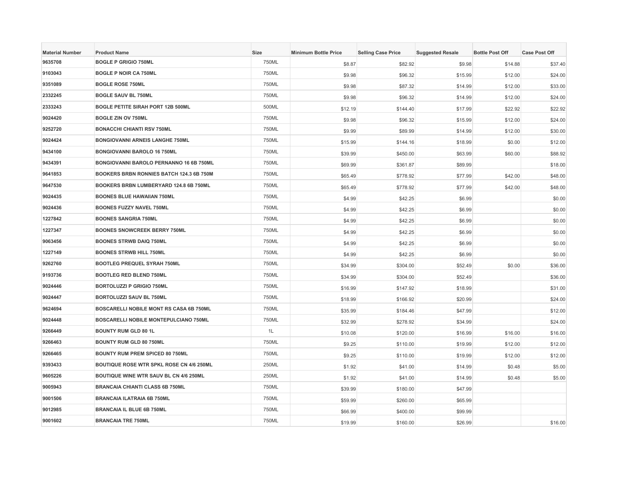| <b>Material Number</b> | <b>Product Name</b>                            | <b>Size</b> | <b>Minimum Bottle Price</b> | <b>Selling Case Price</b> | <b>Suggested Resale</b> | <b>Bottle Post Off</b> | <b>Case Post Off</b> |
|------------------------|------------------------------------------------|-------------|-----------------------------|---------------------------|-------------------------|------------------------|----------------------|
| 9635708                | <b>BOGLE P GRIGIO 750ML</b>                    | 750ML       | \$8.87                      | \$82.92                   | \$9.98                  | \$14.88                | \$37.40              |
| 9103043                | <b>BOGLE P NOIR CA 750ML</b>                   | 750ML       | \$9.98                      | \$96.32                   | \$15.99                 | \$12.00                | \$24.00              |
| 9351089                | <b>BOGLE ROSE 750ML</b>                        | 750ML       | \$9.98                      | \$87.32                   | \$14.99                 | \$12.00                | \$33.00              |
| 2332245                | <b>BOGLE SAUV BL 750ML</b>                     | 750ML       | \$9.98                      | \$96.32                   | \$14.99                 | \$12.00                | \$24.00              |
| 2333243                | <b>BOGLE PETITE SIRAH PORT 12B 500ML</b>       | 500ML       | \$12.19                     | \$144.40                  | \$17.99                 | \$22.92                | \$22.92              |
| 9024420                | <b>BOGLE ZIN OV 750ML</b>                      | 750ML       | \$9.98                      | \$96.32                   | \$15.99                 | \$12.00                | \$24.00              |
| 9252720                | <b>BONACCHI CHIANTI RSV 750ML</b>              | 750ML       | \$9.99                      | \$89.99                   | \$14.99                 | \$12.00                | \$30.00              |
| 9024424                | <b>BONGIOVANNI ARNEIS LANGHE 750ML</b>         | 750ML       | \$15.99                     | \$144.16                  | \$18.99                 | \$0.00                 | \$12.00              |
| 9434100                | <b>BONGIOVANNI BAROLO 16 750ML</b>             | 750ML       | \$39.99                     | \$450.00                  | \$63.99                 | \$60.00                | \$88.92              |
| 9434391                | BONGIOVANNI BAROLO PERNANNO 16 6B 750ML        | 750ML       | \$69.99                     | \$361.87                  | \$89.99                 |                        | \$18.00              |
| 9641853                | BOOKERS BRBN RONNIES BATCH 124.3 6B 750M       | 750ML       | \$65.49                     | \$778.92                  | \$77.99                 | \$42.00                | \$48.00              |
| 9647530                | BOOKERS BRBN LUMBERYARD 124.8 6B 750ML         | 750ML       | \$65.49                     | \$778.92                  | \$77.99                 | \$42.00                | \$48.00              |
| 9024435                | <b>BOONES BLUE HAWAIIAN 750ML</b>              | 750ML       | \$4.99                      | \$42.25                   | \$6.99                  |                        | \$0.00               |
| 9024436                | <b>BOONES FUZZY NAVEL 750ML</b>                | 750ML       | \$4.99                      | \$42.25                   | \$6.99                  |                        | \$0.00               |
| 1227842                | <b>BOONES SANGRIA 750ML</b>                    | 750ML       | \$4.99                      | \$42.25                   | \$6.99                  |                        | \$0.00               |
| 1227347                | <b>BOONES SNOWCREEK BERRY 750ML</b>            | 750ML       | \$4.99                      | \$42.25                   | \$6.99                  |                        | \$0.00               |
| 9063456                | <b>BOONES STRWB DAIQ 750ML</b>                 | 750ML       | \$4.99                      | \$42.25                   | \$6.99                  |                        | \$0.00               |
| 1227149                | <b>BOONES STRWB HILL 750ML</b>                 | 750ML       | \$4.99                      | \$42.25                   | \$6.99                  |                        | \$0.00               |
| 9262760                | BOOTLEG PREQUEL SYRAH 750ML                    | 750ML       | \$34.99                     | \$304.00                  | \$52.49                 | \$0.00                 | \$36.00              |
| 9193736                | <b>BOOTLEG RED BLEND 750ML</b>                 | 750ML       | \$34.99                     | \$304.00                  | \$52.49                 |                        | \$36.00              |
| 9024446                | <b>BORTOLUZZI P GRIGIO 750ML</b>               | 750ML       | \$16.99                     | \$147.92                  | \$18.99                 |                        | \$31.00              |
| 9024447                | BORTOLUZZI SAUV BL 750ML                       | 750ML       | \$18.99                     | \$166.92                  | \$20.99                 |                        | \$24.00              |
| 9624694                | <b>BOSCARELLI NOBILE MONT RS CASA 6B 750ML</b> | 750ML       | \$35.99                     | \$184.46                  | \$47.99                 |                        | \$12.00              |
| 9024448                | BOSCARELLI NOBILE MONTEPULCIANO 750ML          | 750ML       | \$32.99                     | \$278.92                  | \$34.99                 |                        | \$24.00              |
| 9266449                | <b>BOUNTY RUM GLD 80 1L</b>                    | 1L          | \$10.08                     | \$120.00                  | \$16.99                 | \$16.00                | \$16.00              |
| 9266463                | <b>BOUNTY RUM GLD 80 750ML</b>                 | 750ML       | \$9.25                      | \$110.00                  | \$19.99                 | \$12.00                | \$12.00              |
| 9266465                | BOUNTY RUM PREM SPICED 80 750ML                | 750ML       | \$9.25                      | \$110.00                  | \$19.99                 | \$12.00                | \$12.00              |
| 9393433                | BOUTIQUE ROSE WTR SPKL ROSE CN 4/6 250ML       | 250ML       | \$1.92                      | \$41.00                   | \$14.99                 | \$0.48                 | \$5.00               |
| 9605226                | BOUTIQUE WINE WTR SAUV BL CN 4/6 250ML         | 250ML       | \$1.92                      | \$41.00                   | \$14.99                 | \$0.48                 | \$5.00               |
| 9005943                | <b>BRANCAIA CHIANTI CLASS 6B 750ML</b>         | 750ML       | \$39.99                     | \$180.00                  | \$47.99                 |                        |                      |
| 9001506                | <b>BRANCAIA ILATRAIA 6B 750ML</b>              | 750ML       | \$59.99                     | \$260.00                  | \$65.99                 |                        |                      |
| 9012985                | <b>BRANCAIA IL BLUE 6B 750ML</b>               | 750ML       | \$66.99                     | \$400.00                  | \$99.99                 |                        |                      |
| 9001602                | <b>BRANCAIA TRE 750ML</b>                      | 750ML       | \$19.99                     | \$160.00                  | \$26.99                 |                        | \$16.00              |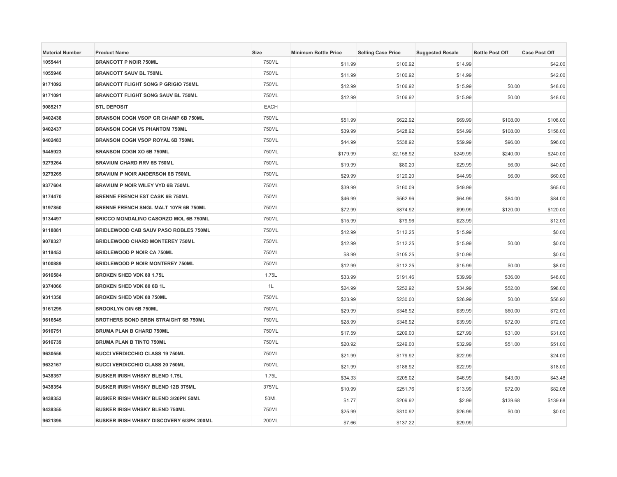| <b>Material Number</b> | <b>Product Name</b>                          | <b>Size</b> | <b>Minimum Bottle Price</b> | <b>Selling Case Price</b> | <b>Suggested Resale</b> | <b>Bottle Post Off</b> | <b>Case Post Off</b> |
|------------------------|----------------------------------------------|-------------|-----------------------------|---------------------------|-------------------------|------------------------|----------------------|
| 1055441                | <b>BRANCOTT P NOIR 750ML</b>                 | 750ML       | \$11.99                     | \$100.92                  | \$14.99                 |                        | \$42.00              |
| 1055946                | <b>BRANCOTT SAUV BL 750ML</b>                | 750ML       | \$11.99                     | \$100.92                  | \$14.99                 |                        | \$42.00              |
| 9171092                | <b>BRANCOTT FLIGHT SONG P GRIGIO 750ML</b>   | 750ML       | \$12.99                     | \$106.92                  | \$15.99                 | \$0.00                 | \$48.00              |
| 9171091                | <b>BRANCOTT FLIGHT SONG SAUV BL 750ML</b>    | 750ML       | \$12.99                     | \$106.92                  | \$15.99                 | \$0.00                 | \$48.00              |
| 9085217                | <b>BTL DEPOSIT</b>                           | EACH        |                             |                           |                         |                        |                      |
| 9402438                | <b>BRANSON COGN VSOP GR CHAMP 6B 750ML</b>   | 750ML       | \$51.99                     | \$622.92                  | \$69.99                 | \$108.00               | \$108.00             |
| 9402437                | <b>BRANSON COGN VS PHANTOM 750ML</b>         | 750ML       | \$39.99                     | \$428.92                  | \$54.99                 | \$108.00               | \$158.00             |
| 9402483                | <b>BRANSON COGN VSOP ROYAL 6B 750ML</b>      | 750ML       | \$44.99                     | \$538.92                  | \$59.99                 | \$96.00                | \$96.00              |
| 9445923                | <b>BRANSON COGN XO 6B 750ML</b>              | 750ML       | \$179.99                    | \$2,158.92                | \$249.99                | \$240.00               | \$240.00             |
| 9279264                | <b>BRAVIUM CHARD RRV 6B 750ML</b>            | 750ML       | \$19.99                     | \$80.20                   | \$29.99                 | \$6.00                 | \$40.00              |
| 9279265                | <b>BRAVIUM P NOIR ANDERSON 6B 750ML</b>      | 750ML       | \$29.99                     | \$120.20                  | \$44.99                 | \$6.00                 | \$60.00              |
| 9377604                | BRAVIUM P NOIR WILEY VYD 6B 750ML            | 750ML       | \$39.99                     | \$160.09                  | \$49.99                 |                        | \$65.00              |
| 9174470                | <b>BRENNE FRENCH EST CASK 6B 750ML</b>       | 750ML       | \$46.99                     | \$562.96                  | \$64.99                 | \$84.00                | \$84.00              |
| 9197850                | BRENNE FRENCH SNGL MALT 10YR 6B 750ML        | 750ML       | \$72.99                     | \$874.92                  | \$99.99                 | \$120.00               | \$120.00             |
| 9134497                | <b>BRICCO MONDALINO CASORZO MOL 6B 750ML</b> | 750ML       | \$15.99                     | \$79.96                   | \$23.99                 |                        | \$12.00              |
| 9118881                | BRIDLEWOOD CAB SAUV PASO ROBLES 750ML        | 750ML       | \$12.99                     | \$112.25                  | \$15.99                 |                        | \$0.00               |
| 9078327                | <b>BRIDLEWOOD CHARD MONTEREY 750ML</b>       | 750ML       | \$12.99                     | \$112.25                  | \$15.99                 | \$0.00                 | \$0.00               |
| 9118453                | <b>BRIDLEWOOD P NOIR CA 750ML</b>            | 750ML       | \$8.99                      | \$105.25                  | \$10.99                 |                        | \$0.00               |
| 9100889                | <b>BRIDLEWOOD P NOIR MONTEREY 750ML</b>      | 750ML       | \$12.99                     | \$112.25                  | \$15.99                 | \$0.00                 | \$8.00               |
| 9616584                | BROKEN SHED VDK 80 1.75L                     | 1.75L       | \$33.99                     | \$191.46                  | \$39.99                 | \$36.00                | \$48.00              |
| 9374066                | BROKEN SHED VDK 80 6B 1L                     | 1L          | \$24.99                     | \$252.92                  | \$34.99                 | \$52.00                | \$98.00              |
| 9311358                | <b>BROKEN SHED VDK 80 750ML</b>              | 750ML       | \$23.99                     | \$230.00                  | \$26.99                 | \$0.00                 | \$56.92              |
| 9161295                | <b>BROOKLYN GIN 6B 750ML</b>                 | 750ML       | \$29.99                     | \$346.92                  | \$39.99                 | \$60.00                | \$72.00              |
| 9616545                | BROTHERS BOND BRBN STRAIGHT 6B 750ML         | 750ML       | \$28.99                     | \$346.92                  | \$39.99                 | \$72.00                | \$72.00              |
| 9616751                | <b>BRUMA PLAN B CHARD 750ML</b>              | 750ML       | \$17.59                     | \$209.00                  | \$27.99                 | \$31.00                | \$31.00              |
| 9616739                | <b>BRUMA PLAN B TINTO 750ML</b>              | 750ML       | \$20.92                     | \$249.00                  | \$32.99                 | \$51.00                | \$51.00              |
| 9630556                | <b>BUCCI VERDICCHIO CLASS 19 750ML</b>       | 750ML       | \$21.99                     | \$179.92                  | \$22.99                 |                        | \$24.00              |
| 9632167                | <b>BUCCI VERDICCHIO CLASS 20 750ML</b>       | 750ML       | \$21.99                     | \$186.92                  | \$22.99                 |                        | \$18.00              |
| 9438357                | <b>BUSKER IRISH WHSKY BLEND 1.75L</b>        | 1.75L       | \$34.33                     | \$205.02                  | \$46.99                 | \$43.00                | \$43.48              |
| 9438354                | <b>BUSKER IRISH WHSKY BLEND 12B 375ML</b>    | 375ML       | \$10.99                     | \$251.76                  | \$13.99                 | \$72.00                | \$82.08              |
| 9438353                | BUSKER IRISH WHSKY BLEND 3/20PK 50ML         | 50ML        | \$1.77                      | \$209.92                  | \$2.99                  | \$139.68               | \$139.68             |
| 9438355                | <b>BUSKER IRISH WHSKY BLEND 750ML</b>        | 750ML       | \$25.99                     | \$310.92                  | \$26.99                 | \$0.00                 | \$0.00               |
| 9621395                | BUSKER IRISH WHSKY DISCOVERY 6/3PK 200ML     | 200ML       | \$7.66                      | \$137.22                  | \$29.99                 |                        |                      |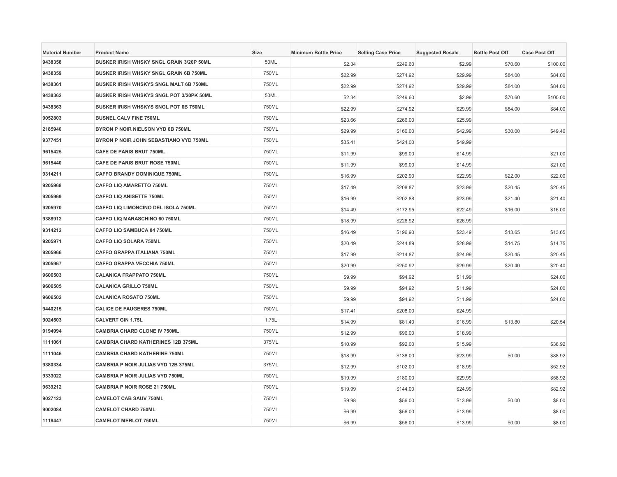| <b>Material Number</b> | <b>Product Name</b>                           | <b>Size</b> | <b>Minimum Bottle Price</b> | <b>Selling Case Price</b> | <b>Suggested Resale</b> | <b>Bottle Post Off</b> | <b>Case Post Off</b> |
|------------------------|-----------------------------------------------|-------------|-----------------------------|---------------------------|-------------------------|------------------------|----------------------|
| 9438358                | BUSKER IRISH WHSKY SNGL GRAIN 3/20P 50ML      | 50ML        | \$2.34                      | \$249.60                  | \$2.99                  | \$70.60                | \$100.00             |
| 9438359                | BUSKER IRISH WHSKY SNGL GRAIN 6B 750ML        | 750ML       | \$22.99                     | \$274.92                  | \$29.99                 | \$84.00                | \$84.00              |
| 9438361                | <b>BUSKER IRISH WHSKYS SNGL MALT 6B 750ML</b> | 750ML       | \$22.99                     | \$274.92                  | \$29.99                 | \$84.00                | \$84.00              |
| 9438362                | BUSKER IRISH WHSKYS SNGL POT 3/20PK 50ML      | 50ML        | \$2.34                      | \$249.60                  | \$2.99                  | \$70.60                | \$100.00             |
| 9438363                | BUSKER IRISH WHSKYS SNGL POT 6B 750ML         | 750ML       | \$22.99                     | \$274.92                  | \$29.99                 | \$84.00                | \$84.00              |
| 9052803                | <b>BUSNEL CALV FINE 750ML</b>                 | 750ML       | \$23.66                     | \$266.00                  | \$25.99                 |                        |                      |
| 2185940                | BYRON P NOIR NIELSON VYD 6B 750ML             | 750ML       | \$29.99                     | \$160.00                  | \$42.99                 | \$30.00                | \$49.46              |
| 9377451                | BYRON P NOIR JOHN SEBASTIANO VYD 750ML        | 750ML       | \$35.41                     | \$424.00                  | \$49.99                 |                        |                      |
| 9615425                | CAFE DE PARIS BRUT 750ML                      | 750ML       | \$11.99                     | \$99.00                   | \$14.99                 |                        | \$21.00              |
| 9615440                | CAFE DE PARIS BRUT ROSE 750ML                 | 750ML       | \$11.99                     | \$99.00                   | \$14.99                 |                        | \$21.00              |
| 9314211                | <b>CAFFO BRANDY DOMINIQUE 750ML</b>           | 750ML       | \$16.99                     | \$202.90                  | \$22.99                 | \$22.00                | \$22.00              |
| 9205968                | CAFFO LIQ AMARETTO 750ML                      | 750ML       | \$17.49                     | \$208.87                  | \$23.99                 | \$20.45                | \$20.45              |
| 9205969                | <b>CAFFO LIQ ANISETTE 750ML</b>               | 750ML       | \$16.99                     | \$202.88                  | \$23.99                 | \$21.40                | \$21.40              |
| 9205970                | <b>CAFFO LIQ LIMONCINO DEL ISOLA 750ML</b>    | 750ML       | \$14.49                     | \$172.95                  | \$22.49                 | \$16.00                | \$16.00              |
| 9388912                | <b>CAFFO LIQ MARASCHINO 60 750ML</b>          | 750ML       | \$18.99                     | \$226.92                  | \$26.99                 |                        |                      |
| 9314212                | CAFFO LIQ SAMBUCA 84 750ML                    | 750ML       | \$16.49                     | \$196.90                  | \$23.49                 | \$13.65                | \$13.65              |
| 9205971                | CAFFO LIQ SOLARA 750ML                        | 750ML       | \$20.49                     | \$244.89                  | \$28.99                 | \$14.75                | \$14.75              |
| 9205966                | <b>CAFFO GRAPPA ITALIANA 750ML</b>            | 750ML       | \$17.99                     | \$214.87                  | \$24.99                 | \$20.45                | \$20.45              |
| 9205967                | <b>CAFFO GRAPPA VECCHIA 750ML</b>             | 750ML       | \$20.99                     | \$250.92                  | \$29.99                 | \$20.40                | \$20.40              |
| 9606503                | <b>CALANICA FRAPPATO 750ML</b>                | 750ML       | \$9.99                      | \$94.92                   | \$11.99                 |                        | \$24.00              |
| 9606505                | <b>CALANICA GRILLO 750ML</b>                  | 750ML       | \$9.99                      | \$94.92                   | \$11.99                 |                        | \$24.00              |
| 9606502                | <b>CALANICA ROSATO 750ML</b>                  | 750ML       | \$9.99                      | \$94.92                   | \$11.99                 |                        | \$24.00              |
| 9440215                | <b>CALICE DE FAUGERES 750ML</b>               | 750ML       | \$17.41                     | \$208.00                  | \$24.99                 |                        |                      |
| 9024503                | <b>CALVERT GIN 1.75L</b>                      | 1.75L       | \$14.99                     | \$81.40                   | \$16.99                 | \$13.80                | \$20.54              |
| 9194994                | <b>CAMBRIA CHARD CLONE IV 750ML</b>           | 750ML       | \$12.99                     | \$96.00                   | \$18.99                 |                        |                      |
| 1111061                | <b>CAMBRIA CHARD KATHERINES 12B 375ML</b>     | 375ML       | \$10.99                     | \$92.00                   | \$15.99                 |                        | \$38.92              |
| 1111046                | <b>CAMBRIA CHARD KATHERINE 750ML</b>          | 750ML       | \$18.99                     | \$138.00                  | \$23.99                 | \$0.00                 | \$88.92              |
| 9380334                | CAMBRIA P NOIR JULIAS VYD 12B 375ML           | 375ML       | \$12.99                     | \$102.00                  | \$18.99                 |                        | \$52.92              |
| 9333022                | CAMBRIA P NOIR JULIAS VYD 750ML               | 750ML       | \$19.99                     | \$180.00                  | \$29.99                 |                        | \$58.92              |
| 9639212                | <b>CAMBRIA P NOIR ROSE 21 750ML</b>           | 750ML       | \$19.99                     | \$144.00                  | \$24.99                 |                        | \$82.92              |
| 9027123                | <b>CAMELOT CAB SAUV 750ML</b>                 | 750ML       | \$9.98                      | \$56.00                   | \$13.99                 | \$0.00                 | \$8.00               |
| 9002084                | <b>CAMELOT CHARD 750ML</b>                    | 750ML       | \$6.99                      | \$56.00                   | \$13.99                 |                        | \$8.00               |
| 1118447                | <b>CAMELOT MERLOT 750ML</b>                   | 750ML       | \$6.99                      | \$56.00                   | \$13.99                 | \$0.00                 | \$8.00               |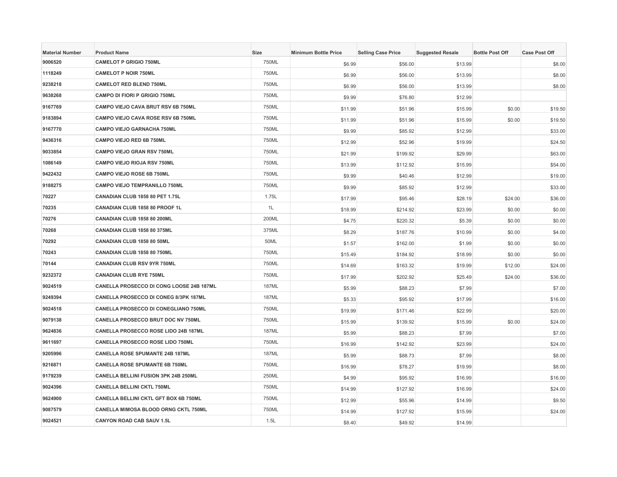| <b>Material Number</b> | <b>Product Name</b>                          | <b>Size</b>  | <b>Minimum Bottle Price</b> | <b>Selling Case Price</b> | <b>Suggested Resale</b> | <b>Bottle Post Off</b> | <b>Case Post Off</b> |
|------------------------|----------------------------------------------|--------------|-----------------------------|---------------------------|-------------------------|------------------------|----------------------|
| 9006520                | <b>CAMELOT P GRIGIO 750ML</b>                | 750ML        | \$6.99                      | \$56.00                   | \$13.99                 |                        | \$8.00               |
| 1118249                | <b>CAMELOT P NOIR 750ML</b>                  | 750ML        | \$6.99                      | \$56.00                   | \$13.99                 |                        | \$8.00               |
| 9238218                | <b>CAMELOT RED BLEND 750ML</b>               | 750ML        | \$6.99                      | \$56.00                   | \$13.99                 |                        | \$8.00               |
| 9638268                | <b>CAMPO DI FIORI P GRIGIO 750ML</b>         | 750ML        | \$9.99                      | \$76.80                   | \$12.99                 |                        |                      |
| 9167769                | CAMPO VIEJO CAVA BRUT RSV 6B 750ML           | 750ML        | \$11.99                     | \$51.96                   | \$15.99                 | \$0.00                 | \$19.50              |
| 9183894                | CAMPO VIEJO CAVA ROSE RSV 6B 750ML           | 750ML        | \$11.99                     | \$51.96                   | \$15.99                 | \$0.00                 | \$19.50              |
| 9167770                | <b>CAMPO VIEJO GARNACHA 750ML</b>            | 750ML        | \$9.99                      | \$85.92                   | \$12.99                 |                        | \$33.00              |
| 9436316                | <b>CAMPO VIEJO RED 6B 750ML</b>              | 750ML        | \$12.99                     | \$52.96                   | \$19.99                 |                        | \$24.50              |
| 9033854                | <b>CAMPO VIEJO GRAN RSV 750ML</b>            | 750ML        | \$21.99                     | \$199.92                  | \$29.99                 |                        | \$63.00              |
| 1086149                | CAMPO VIEJO RIOJA RSV 750ML                  | 750ML        | \$13.99                     | \$112.92                  | \$15.99                 |                        | \$54.00              |
| 9422432                | <b>CAMPO VIEJO ROSE 6B 750ML</b>             | 750ML        | \$9.99                      | \$40.46                   | \$12.99                 |                        | \$19.00              |
| 9188275                | <b>CAMPO VIEJO TEMPRANILLO 750ML</b>         | 750ML        | \$9.99                      | \$85.92                   | \$12.99                 |                        | \$33.00              |
| 70227                  | CANADIAN CLUB 1858 80 PET 1.75L              | 1.75L        | \$17.99                     | \$95.46                   | \$28.19                 | \$24.00                | \$36.00              |
| 70235                  | CANADIAN CLUB 1858 80 PROOF 1L               | 1L           | \$18.99                     | \$214.92                  | \$23.99                 | \$0.00                 | \$0.00               |
| 70276                  | CANADIAN CLUB 1858 80 200ML                  | 200ML        | \$4.75                      | \$220.32                  | \$5.39                  | \$0.00                 | \$0.00               |
| 70268                  | CANADIAN CLUB 1858 80 375ML                  | 375ML        | \$8.29                      | \$187.76                  | \$10.99                 | \$0.00                 | \$4.00               |
| 70292                  | CANADIAN CLUB 1858 80 50ML                   | 50ML         | \$1.57                      | \$162.00                  | \$1.99                  | \$0.00                 | \$0.00               |
| 70243                  | CANADIAN CLUB 1858 80 750ML                  | 750ML        | \$15.49                     | \$184.92                  | \$18.99                 | \$0.00                 | \$0.00               |
| 70144                  | <b>CANADIAN CLUB RSV 9YR 750ML</b>           | 750ML        | \$14.69                     | \$163.32                  | \$19.99                 | \$12.00                | \$24.00              |
| 9232372                | <b>CANADIAN CLUB RYE 750ML</b>               | 750ML        | \$17.99                     | \$202.92                  | \$25.49                 | \$24.00                | \$36.00              |
| 9024519                | CANELLA PROSECCO DI CONG LOOSE 24B 187ML     | 187ML        | \$5.99                      | \$88.23                   | \$7.99                  |                        | \$7.00               |
| 9249394                | <b>CANELLA PROSECCO DI CONEG 8/3PK 187ML</b> | <b>187ML</b> | \$5.33                      | \$95.92                   | \$17.99                 |                        | \$16.00              |
| 9024518                | CANELLA PROSECCO DI CONEGLIANO 750ML         | 750ML        | \$19.99                     | \$171.46                  | \$22.99                 |                        | \$20.00              |
| 9079138                | <b>CANELLA PROSECCO BRUT DOC NV 750ML</b>    | 750ML        | \$15.99                     | \$139.92                  | \$15.99                 | \$0.00                 | \$24.00              |
| 9624836                | CANELLA PROSECCO ROSE LIDO 24B 187ML         | <b>187ML</b> | \$5.99                      | \$88.23                   | \$7.99                  |                        | \$7.00               |
| 9611697                | CANELLA PROSECCO ROSE LIDO 750ML             | 750ML        | \$16.99                     | \$142.92                  | \$23.99                 |                        | \$24.00              |
| 9205996                | <b>CANELLA ROSE SPUMANTE 24B 187ML</b>       | <b>187ML</b> | \$5.99                      | \$88.73                   | \$7.99                  |                        | \$8.00               |
| 9216871                | <b>CANELLA ROSE SPUMANTE 6B 750ML</b>        | 750ML        | \$16.99                     | \$78.27                   | \$19.99                 |                        | \$8.00               |
| 9179239                | <b>CANELLA BELLINI FUSION 3PK 24B 250ML</b>  | 250ML        | \$4.99                      | \$95.92                   | \$16.99                 |                        | \$16.00              |
| 9024396                | <b>CANELLA BELLINI CKTL 750ML</b>            | 750ML        | \$14.99                     | \$127.92                  | \$16.99                 |                        | \$24.00              |
| 9624900                | CANELLA BELLINI CKTL GFT BOX 6B 750ML        | 750ML        | \$12.99                     | \$55.96                   | \$14.99                 |                        | \$9.50               |
| 9087579                | <b>CANELLA MIMOSA BLOOD ORNG CKTL 750ML</b>  | 750ML        | \$14.99                     | \$127.92                  | \$15.99                 |                        | \$24.00              |
| 9024521                | <b>CANYON ROAD CAB SAUV 1.5L</b>             | 1.5L         | \$8.40                      | \$49.92                   | \$14.99                 |                        |                      |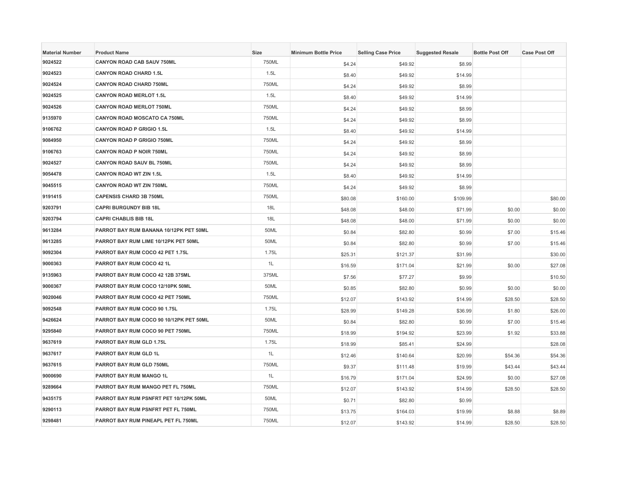| <b>Material Number</b> | <b>Product Name</b>                     | Size  | <b>Minimum Bottle Price</b> | <b>Selling Case Price</b> | <b>Suggested Resale</b> | <b>Bottle Post Off</b> | <b>Case Post Off</b> |
|------------------------|-----------------------------------------|-------|-----------------------------|---------------------------|-------------------------|------------------------|----------------------|
| 9024522                | <b>CANYON ROAD CAB SAUV 750ML</b>       | 750ML | \$4.24                      | \$49.92                   | \$8.99                  |                        |                      |
| 9024523                | <b>CANYON ROAD CHARD 1.5L</b>           | 1.5L  | \$8.40                      | \$49.92                   | \$14.99                 |                        |                      |
| 9024524                | <b>CANYON ROAD CHARD 750ML</b>          | 750ML | \$4.24                      | \$49.92                   | \$8.99                  |                        |                      |
| 9024525                | <b>CANYON ROAD MERLOT 1.5L</b>          | 1.5L  | \$8.40                      | \$49.92                   | \$14.99                 |                        |                      |
| 9024526                | <b>CANYON ROAD MERLOT 750ML</b>         | 750ML | \$4.24                      | \$49.92                   | \$8.99                  |                        |                      |
| 9135970                | <b>CANYON ROAD MOSCATO CA 750ML</b>     | 750ML | \$4.24                      | \$49.92                   | \$8.99                  |                        |                      |
| 9106762                | <b>CANYON ROAD P GRIGIO 1.5L</b>        | 1.5L  | \$8.40                      | \$49.92                   | \$14.99                 |                        |                      |
| 9084950                | <b>CANYON ROAD P GRIGIO 750ML</b>       | 750ML | \$4.24                      | \$49.92                   | \$8.99                  |                        |                      |
| 9106763                | <b>CANYON ROAD P NOIR 750ML</b>         | 750ML | \$4.24                      | \$49.92                   | \$8.99                  |                        |                      |
| 9024527                | <b>CANYON ROAD SAUV BL 750ML</b>        | 750ML | \$4.24                      | \$49.92                   | \$8.99                  |                        |                      |
| 9054478                | <b>CANYON ROAD WT ZIN 1.5L</b>          | 1.5L  | \$8.40                      | \$49.92                   | \$14.99                 |                        |                      |
| 9045515                | <b>CANYON ROAD WT ZIN 750ML</b>         | 750ML | \$4.24                      | \$49.92                   | \$8.99                  |                        |                      |
| 9191415                | <b>CAPENSIS CHARD 3B 750ML</b>          | 750ML | \$80.08                     | \$160.00                  | \$109.99                |                        | \$80.00              |
| 9203791                | <b>CAPRI BURGUNDY BIB 18L</b>           | 18L   | \$48.08                     | \$48.00                   | \$71.99                 | \$0.00                 | \$0.00               |
| 9203794                | <b>CAPRI CHABLIS BIB 18L</b>            | 18L   | \$48.08                     | \$48.00                   | \$71.99                 | \$0.00                 | \$0.00               |
| 9613284                | PARROT BAY RUM BANANA 10/12PK PET 50ML  | 50ML  | \$0.84                      | \$82.80                   | \$0.99                  | \$7.00                 | \$15.46              |
| 9613285                | PARROT BAY RUM LIME 10/12PK PET 50ML    | 50ML  | \$0.84                      | \$82.80                   | \$0.99                  | \$7.00                 | \$15.46              |
| 9092304                | PARROT BAY RUM COCO 42 PET 1.75L        | 1.75L | \$25.31                     | \$121.37                  | \$31.99                 |                        | \$30.00              |
| 9000363                | PARROT BAY RUM COCO 42 1L               | 1L    | \$16.59                     | \$171.04                  | \$21.99                 | \$0.00                 | \$27.08              |
| 9135963                | PARROT BAY RUM COCO 42 12B 375ML        | 375ML | \$7.56                      | \$77.27                   | \$9.99                  |                        | \$10.50              |
| 9000367                | PARROT BAY RUM COCO 12/10PK 50ML        | 50ML  | \$0.85                      | \$82.80                   | \$0.99                  | \$0.00                 | \$0.00               |
| 9020046                | PARROT BAY RUM COCO 42 PET 750ML        | 750ML | \$12.07                     | \$143.92                  | \$14.99                 | \$28.50                | \$28.50              |
| 9092548                | PARROT BAY RUM COCO 90 1.75L            | 1.75L | \$28.99                     | \$149.28                  | \$36.99                 | \$1.80                 | \$26.00              |
| 9426624                | PARROT BAY RUM COCO 90 10/12PK PET 50ML | 50ML  | \$0.84                      | \$82.80                   | \$0.99                  | \$7.00                 | \$15.46              |
| 9295840                | PARROT BAY RUM COCO 90 PET 750ML        | 750ML | \$18.99                     | \$194.92                  | \$23.99                 | \$1.92                 | \$33.88              |
| 9637619                | PARROT BAY RUM GLD 1.75L                | 1.75L | \$18.99                     | \$85.41                   | \$24.99                 |                        | \$28.08              |
| 9637617                | PARROT BAY RUM GLD 1L                   | 1L    | \$12.46                     | \$140.64                  | \$20.99                 | \$54.36                | \$54.36              |
| 9637615                | PARROT BAY RUM GLD 750ML                | 750ML | \$9.37                      | \$111.48                  | \$19.99                 | \$43.44                | \$43.44              |
| 9000690                | PARROT BAY RUM MANGO 1L                 | 1L    | \$16.79                     | \$171.04                  | \$24.99                 | \$0.00                 | \$27.08              |
| 9289664                | PARROT BAY RUM MANGO PET FL 750ML       | 750ML | \$12.07                     | \$143.92                  | \$14.99                 | \$28.50                | \$28.50              |
| 9435175                | PARROT BAY RUM PSNFRT PET 10/12PK 50ML  | 50ML  | \$0.71                      | \$82.80                   | \$0.99                  |                        |                      |
| 9290113                | PARROT BAY RUM PSNFRT PET FL 750ML      | 750ML | \$13.75                     | \$164.03                  | \$19.99                 | \$8.88                 | \$8.89               |
| 9298481                | PARROT BAY RUM PINEAPL PET FL 750ML     | 750ML | \$12.07                     | \$143.92                  | \$14.99                 | \$28.50                | \$28.50              |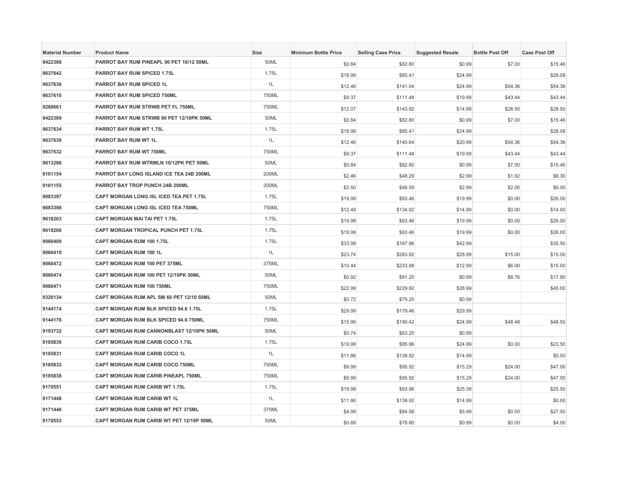| <b>Material Number</b> | <b>Product Name</b>                       | Size  | <b>Minimum Bottle Price</b> | <b>Selling Case Price</b> | <b>Suggested Resale</b> | <b>Bottle Post Off</b> | <b>Case Post Off</b> |
|------------------------|-------------------------------------------|-------|-----------------------------|---------------------------|-------------------------|------------------------|----------------------|
| 9422388                | PARROT BAY RUM PINEAPL 90 PET 10/12 50ML  | 50ML  | \$0.84                      | \$82.80                   | \$0.99                  | \$7.00                 | \$15.46              |
| 9637642                | <b>PARROT BAY RUM SPICED 1.75L</b>        | 1.75L | \$18.99                     | \$85.41                   | \$24.99                 |                        | \$28.08              |
| 9637636                | PARROT BAY RUM SPICED 1L                  | 1L    | \$12.46                     | \$141.04                  | \$24.99                 | \$54.36                | \$54.36              |
| 9637610                | PARROT BAY RUM SPICED 750ML               | 750ML | \$9.37                      | \$111.48                  | \$19.99                 | \$43.44                | \$43.44              |
| 9289661                | PARROT BAY RUM STRWB PET FL 750ML         | 750ML | \$12.07                     | \$143.92                  | \$14.99                 | \$28.50                | \$28.50              |
| 9422389                | PARROT BAY RUM STRWB 90 PET 12/10PK 50ML  | 50ML  | \$0.84                      | \$82.80                   | \$0.99                  | \$7.00                 | \$15.46              |
| 9637634                | <b>PARROT BAY RUM WT 1.75L</b>            | 1.75L | \$18.99                     | \$85.41                   | \$24.99                 |                        | \$28.08              |
| 9637630                | PARROT BAY RUM WT 1L                      | 1L    | \$12.46                     | \$140.64                  | \$20.99                 | \$54.36                | \$54.36              |
| 9637632                | PARROT BAY RUM WT 750ML                   | 750ML | \$9.37                      | \$111.48                  | \$19.99                 | \$43.44                | \$43.44              |
| 9613286                | PARROT BAY RUM WTRMLN 10/12PK PET 50ML    | 50ML  | \$0.84                      | \$82.80                   | \$0.99                  | \$7.00                 | \$15.46              |
| 9161154                | PARROT BAY LONG ISLAND ICE TEA 24B 200ML  | 200ML | \$2.46                      | \$48.29                   | \$2.99                  | \$1.92                 | \$6.30               |
| 9161155                | PARROT BAY TROP PUNCH 24B 200ML           | 200ML | \$2.50                      | \$48.59                   | \$2.99                  | \$2.00                 | \$6.00               |
| 9083397                | CAPT MORGAN LONG ISL ICED TEA PET 1.75L   | 1.75L | \$19.99                     | \$93.46                   | \$19.99                 | \$0.00                 | \$26.00              |
| 9083398                | CAPT MORGAN LONG ISL ICED TEA 750ML       | 750ML | \$12.49                     | \$134.92                  | \$14.99                 | \$0.00                 | \$14.00              |
| 9618203                | <b>CAPT MORGAN MAI TAI PET 1.75L</b>      | 1.75L | \$19.99                     | \$93.46                   | \$19.99                 | \$0.00                 | \$26.00              |
| 9618206                | CAPT MORGAN TROPICAL PUNCH PET 1.75L      | 1.75L | \$19.99                     | \$93.46                   | \$19.99                 | \$0.00                 | \$26.00              |
| 9060409                | CAPT MORGAN RUM 100 1.75L                 | 1.75L | \$33.99                     | \$167.96                  | \$42.99                 |                        | \$35.50              |
| 9060410                | <b>CAPT MORGAN RUM 100 1L</b>             | 1L    | \$23.74                     | \$283.92                  | \$28.99                 | \$15.00                | \$15.00              |
| 9060472                | <b>CAPT MORGAN RUM 100 PET 375ML</b>      | 375ML | \$10.44                     | \$233.88                  | \$12.99                 | \$6.00                 | \$15.00              |
| 9060474                | CAPT MORGAN RUM 100 PET 12/10PK 50ML      | 50ML  | \$0.92                      | \$91.20                   | \$0.99                  | \$8.76                 | \$17.90              |
| 9060471                | CAPT MORGAN RUM 100 750ML                 | 750ML | \$22.99                     | \$229.92                  | \$28.99                 |                        | \$45.00              |
| 9320134                | CAPT MORGAN RUM APL SM 60 PET 12/10 50ML  | 50ML  | \$0.72                      | \$79.20                   | \$0.99                  |                        |                      |
| 9144174                | CAPT MORGAN RUM BLK SPICED 94.6 1.75L     | 1.75L | \$29.99                     | \$179.46                  | \$29.99                 |                        |                      |
| 9144176                | CAPT MORGAN RUM BLK SPICED 94.6 750ML     | 750ML | \$15.95                     | \$190.42                  | \$24.99                 | \$48.48                | \$48.50              |
| 9193732                | CAPT MORGAN RUM CANNONBLAST 12/10PK 50ML  | 50ML  | \$0.74                      | \$83.20                   | \$0.99                  |                        |                      |
| 9185836                | CAPT MORGAN RUM CARIB COCO 1.75L          | 1.75L | \$19.99                     | \$95.96                   | \$24.99                 | \$0.00                 | \$23.50              |
| 9185831                | <b>CAPT MORGAN RUM CARIB COCO 1L</b>      | 1L    | \$11.86                     | \$139.92                  | \$14.99                 |                        | \$0.00               |
| 9185832                | CAPT MORGAN RUM CARIB COCO 750ML          | 750ML | \$9.99                      | \$95.92                   | \$15.29                 | \$24.00                | \$47.00              |
| 9185838                | CAPT MORGAN RUM CARIB PINEAPL 750ML       | 750ML | \$9.99                      | \$95.92                   | \$15.29                 | \$24.00                | \$47.00              |
| 9170551                | CAPT MORGAN RUM CARIB WT 1.75L            | 1.75L | \$19.99                     | \$93.96                   | \$25.39                 |                        | \$25.50              |
| 9171448                | CAPT MORGAN RUM CARIB WT 1L               | 1L    | \$11.86                     | \$139.92                  | \$14.99                 |                        | \$0.00               |
| 9171446                | <b>CAPT MORGAN RUM CARIB WT PET 375ML</b> | 375ML | \$4.99                      | \$84.58                   | \$5.99                  | \$0.00                 | \$27.50              |
| 9170553                | CAPT MORGAN RUM CARIB WT PET 12/10P 50ML  | 50ML  | \$0.89                      | \$78.80                   | \$0.99                  | \$0.00                 | \$4.00               |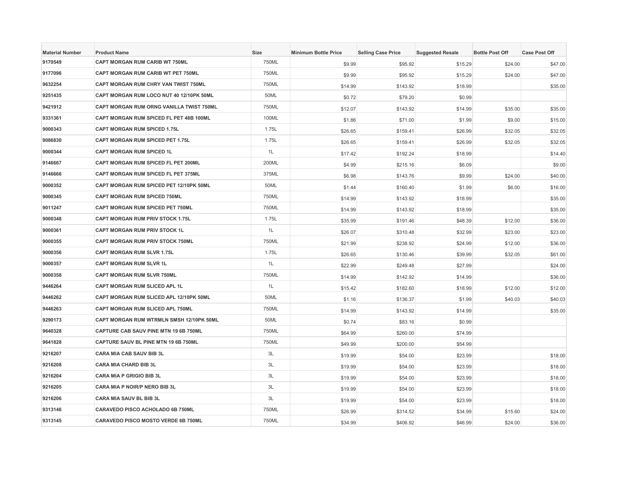| <b>Material Number</b> | <b>Product Name</b>                         | Size  | <b>Minimum Bottle Price</b> | <b>Selling Case Price</b> | <b>Suggested Resale</b> | <b>Bottle Post Off</b> | <b>Case Post Off</b> |
|------------------------|---------------------------------------------|-------|-----------------------------|---------------------------|-------------------------|------------------------|----------------------|
| 9170549                | CAPT MORGAN RUM CARIB WT 750ML              | 750ML | \$9.99                      | \$95.92                   | \$15.29                 | \$24.00                | \$47.00              |
| 9177096                | CAPT MORGAN RUM CARIB WT PET 750ML          | 750ML | \$9.99                      | \$95.92                   | \$15.29                 | \$24.00                | \$47.00              |
| 9632254                | <b>CAPT MORGAN RUM CHRY VAN TWIST 750ML</b> | 750ML | \$14.99                     | \$143.92                  | \$18.99                 |                        | \$35.00              |
| 9251435                | CAPT MORGAN RUM LOCO NUT 40 12/10PK 50ML    | 50ML  | \$0.72                      | \$79.20                   | \$0.99                  |                        |                      |
| 9421912                | CAPT MORGAN RUM ORNG VANILLA TWIST 750ML    | 750ML | \$12.07                     | \$143.92                  | \$14.99                 | \$35.00                | \$35.00              |
| 9331361                | CAPT MORGAN RUM SPICED FL PET 48B 100ML     | 100ML | \$1.86                      | \$71.00                   | \$1.99                  | \$9.00                 | \$15.00              |
| 9000343                | <b>CAPT MORGAN RUM SPICED 1.75L</b>         | 1.75L | \$26.65                     | \$159.41                  | \$26.99                 | \$32.05                | \$32.05              |
| 9086830                | CAPT MORGAN RUM SPICED PET 1.75L            | 1.75L | \$26.65                     | \$159.41                  | \$26.99                 | \$32.05                | \$32.05              |
| 9000344                | <b>CAPT MORGAN RUM SPICED 1L</b>            | 1L    | \$17.42                     | \$192.24                  | \$18.99                 |                        | \$14.40              |
| 9146667                | CAPT MORGAN RUM SPICED FL PET 200ML         | 200ML | \$4.99                      | \$215.16                  | \$6.09                  |                        | \$9.00               |
| 9146666                | CAPT MORGAN RUM SPICED FL PET 375ML         | 375ML | \$6.98                      | \$143.76                  | \$9.99                  | \$24.00                | \$40.00              |
| 9000352                | CAPT MORGAN RUM SPICED PET 12/10PK 50ML     | 50ML  | \$1.44                      | \$160.40                  | \$1.99                  | \$6.00                 | \$16.00              |
| 9000345                | CAPT MORGAN RUM SPICED 750ML                | 750ML | \$14.99                     | \$143.92                  | \$18.99                 |                        | \$35.00              |
| 9011247                | CAPT MORGAN RUM SPICED PET 750ML            | 750ML | \$14.99                     | \$143.92                  | \$18.99                 |                        | \$35.00              |
| 9000348                | CAPT MORGAN RUM PRIV STOCK 1.75L            | 1.75L | \$35.99                     | \$191.46                  | \$48.39                 | \$12.00                | \$36.00              |
| 9000361                | CAPT MORGAN RUM PRIV STOCK 1L               | 1L    | \$26.07                     | \$310.48                  | \$32.99                 | \$23.00                | \$23.00              |
| 9000355                | CAPT MORGAN RUM PRIV STOCK 750ML            | 750ML | \$21.99                     | \$238.92                  | \$24.99                 | \$12.00                | \$36.00              |
| 9000356                | <b>CAPT MORGAN RUM SLVR 1.75L</b>           | 1.75L | \$26.65                     | \$130.46                  | \$39.99                 | \$32.05                | \$61.00              |
| 9000357                | <b>CAPT MORGAN RUM SLVR 1L</b>              | 1L    | \$22.99                     | \$249.48                  | \$27.99                 |                        | \$24.00              |
| 9000358                | CAPT MORGAN RUM SLVR 750ML                  | 750ML | \$14.99                     | \$142.92                  | \$14.99                 |                        | \$36.00              |
| 9446264                | CAPT MORGAN RUM SLICED APL 1L               | 1L    | \$15.42                     | \$182.60                  | \$18.99                 | \$12.00                | \$12.00              |
| 9446262                | CAPT MORGAN RUM SLICED APL 12/10PK 50ML     | 50ML  | \$1.16                      | \$136.37                  | \$1.99                  | \$40.03                | \$40.03              |
| 9446263                | CAPT MORGAN RUM SLICED APL 750ML            | 750ML | \$14.99                     | \$143.92                  | \$14.99                 |                        | \$35.00              |
| 9290173                | CAPT MORGAN RUM WTRMLN SMSH 12/10PK 50ML    | 50ML  | \$0.74                      | \$83.16                   | \$0.99                  |                        |                      |
| 9640328                | CAPTURE CAB SAUV PINE MTN 19 6B 750ML       | 750ML | \$64.99                     | \$260.00                  | \$74.99                 |                        |                      |
| 9641828                | CAPTURE SAUV BL PINE MTN 19 6B 750ML        | 750ML | \$49.99                     | \$200.00                  | \$54.99                 |                        |                      |
| 9216207                | <b>CARA MIA CAB SAUV BIB 3L</b>             | 3L    | \$19.99                     | \$54.00                   | \$23.99                 |                        | \$18.00              |
| 9216208                | <b>CARA MIA CHARD BIB 3L</b>                | 3L    | \$19.99                     | \$54.00                   | \$23.99                 |                        | \$18.00              |
| 9216204                | <b>CARA MIA P GRIGIO BIB 3L</b>             | 3L    | \$19.99                     | \$54.00                   | \$23.99                 |                        | \$18.00              |
| 9216205                | CARA MIA P NOIR/P NERO BIB 3L               | 3L    | \$19.99                     | \$54.00                   | \$23.99                 |                        | \$18.00              |
| 9216206                | CARA MIA SAUV BL BIB 3L                     | 3L    | \$19.99                     | \$54.00                   | \$23.99                 |                        | \$18.00              |
| 9313146                | <b>CARAVEDO PISCO ACHOLADO 6B 750ML</b>     | 750ML | \$26.99                     | \$314.52                  | \$34.99                 | \$15.60                | \$24.00              |
| 9313145                | CARAVEDO PISCO MOSTO VERDE 6B 750ML         | 750ML | \$34.99                     | \$406.92                  | \$46.99                 | \$24.00                | \$36.00              |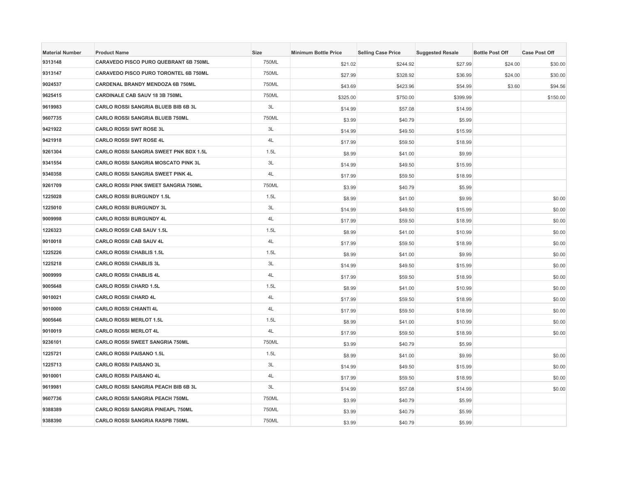| <b>Material Number</b> | <b>Product Name</b>                          | Size  | <b>Minimum Bottle Price</b> | <b>Selling Case Price</b> | <b>Suggested Resale</b> | <b>Bottle Post Off</b> | <b>Case Post Off</b> |
|------------------------|----------------------------------------------|-------|-----------------------------|---------------------------|-------------------------|------------------------|----------------------|
| 9313148                | CARAVEDO PISCO PURO QUEBRANT 6B 750ML        | 750ML | \$21.02                     | \$244.92                  | \$27.99                 | \$24.00                | \$30.00              |
| 9313147                | <b>CARAVEDO PISCO PURO TORONTEL 6B 750ML</b> | 750ML | \$27.99                     | \$328.92                  | \$36.99                 | \$24.00                | \$30.00              |
| 9024537                | <b>CARDENAL BRANDY MENDOZA 6B 750ML</b>      | 750ML | \$43.69                     | \$423.96                  | \$54.99                 | \$3.60                 | \$94.56              |
| 9625415                | CARDINALE CAB SAUV 18 3B 750ML               | 750ML | \$325.00                    | \$750.00                  | \$399.99                |                        | \$150.00             |
| 9619983                | CARLO ROSSI SANGRIA BLUEB BIB 6B 3L          | 3L    | \$14.99                     | \$57.08                   | \$14.99                 |                        |                      |
| 9607735                | CARLO ROSSI SANGRIA BLUEB 750ML              | 750ML | \$3.99                      | \$40.79                   | \$5.99                  |                        |                      |
| 9421922                | <b>CARLO ROSSI SWT ROSE 3L</b>               | 3L    | \$14.99                     | \$49.50                   | \$15.99                 |                        |                      |
| 9421918                | <b>CARLO ROSSI SWT ROSE 4L</b>               | $4L$  | \$17.99                     | \$59.50                   | \$18.99                 |                        |                      |
| 9261304                | CARLO ROSSI SANGRIA SWEET PNK BDX 1.5L       | 1.5L  | \$8.99                      | \$41.00                   | \$9.99                  |                        |                      |
| 9341554                | CARLO ROSSI SANGRIA MOSCATO PINK 3L          | 3L    | \$14.99                     | \$49.50                   | \$15.99                 |                        |                      |
| 9340358                | <b>CARLO ROSSI SANGRIA SWEET PINK 4L</b>     | 4L    | \$17.99                     | \$59.50                   | \$18.99                 |                        |                      |
| 9261709                | CARLO ROSSI PINK SWEET SANGRIA 750ML         | 750ML | \$3.99                      | \$40.79                   | \$5.99                  |                        |                      |
| 1225028                | <b>CARLO ROSSI BURGUNDY 1.5L</b>             | 1.5L  | \$8.99                      | \$41.00                   | \$9.99                  |                        | \$0.00               |
| 1225010                | <b>CARLO ROSSI BURGUNDY 3L</b>               | 3L    | \$14.99                     | \$49.50                   | \$15.99                 |                        | \$0.00               |
| 9009998                | <b>CARLO ROSSI BURGUNDY 4L</b>               | 4L    | \$17.99                     | \$59.50                   | \$18.99                 |                        | \$0.00               |
| 1226323                | <b>CARLO ROSSI CAB SAUV 1.5L</b>             | 1.5L  | \$8.99                      | \$41.00                   | \$10.99                 |                        | \$0.00               |
| 9010018                | CARLO ROSSI CAB SAUV 4L                      | 4L    | \$17.99                     | \$59.50                   | \$18.99                 |                        | \$0.00               |
| 1225226                | <b>CARLO ROSSI CHABLIS 1.5L</b>              | 1.5L  | \$8.99                      | \$41.00                   | \$9.99                  |                        | \$0.00               |
| 1225218                | <b>CARLO ROSSI CHABLIS 3L</b>                | 3L    | \$14.99                     | \$49.50                   | \$15.99                 |                        | \$0.00               |
| 9009999                | <b>CARLO ROSSI CHABLIS 4L</b>                | 4L    | \$17.99                     | \$59.50                   | \$18.99                 |                        | \$0.00               |
| 9005648                | <b>CARLO ROSSI CHARD 1.5L</b>                | 1.5L  | \$8.99                      | \$41.00                   | \$10.99                 |                        | \$0.00               |
| 9010021                | <b>CARLO ROSSI CHARD 4L</b>                  | 4L    | \$17.99                     | \$59.50                   | \$18.99                 |                        | \$0.00               |
| 9010000                | <b>CARLO ROSSI CHIANTI 4L</b>                | 4L    | \$17.99                     | \$59.50                   | \$18.99                 |                        | \$0.00               |
| 9005646                | <b>CARLO ROSSI MERLOT 1.5L</b>               | 1.5L  | \$8.99                      | \$41.00                   | \$10.99                 |                        | \$0.00               |
| 9010019                | <b>CARLO ROSSI MERLOT 4L</b>                 | 4L    | \$17.99                     | \$59.50                   | \$18.99                 |                        | \$0.00               |
| 9236101                | <b>CARLO ROSSI SWEET SANGRIA 750ML</b>       | 750ML | \$3.99                      | \$40.79                   | \$5.99                  |                        |                      |
| 1225721                | <b>CARLO ROSSI PAISANO 1.5L</b>              | 1.5L  | \$8.99                      | \$41.00                   | \$9.99                  |                        | \$0.00               |
| 1225713                | <b>CARLO ROSSI PAISANO 3L</b>                | 3L    | \$14.99                     | \$49.50                   | \$15.99                 |                        | \$0.00               |
| 9010001                | <b>CARLO ROSSI PAISANO 4L</b>                | 4L    | \$17.99                     | \$59.50                   | \$18.99                 |                        | \$0.00               |
| 9619981                | <b>CARLO ROSSI SANGRIA PEACH BIB 6B 3L</b>   | 3L    | \$14.99                     | \$57.08                   | \$14.99                 |                        | \$0.00               |
| 9607736                | CARLO ROSSI SANGRIA PEACH 750ML              | 750ML | \$3.99                      | \$40.79                   | \$5.99                  |                        |                      |
| 9388389                | CARLO ROSSI SANGRIA PINEAPL 750ML            | 750ML | \$3.99                      | \$40.79                   | \$5.99                  |                        |                      |
| 9388390                | <b>CARLO ROSSI SANGRIA RASPB 750ML</b>       | 750ML | \$3.99                      | \$40.79                   | \$5.99                  |                        |                      |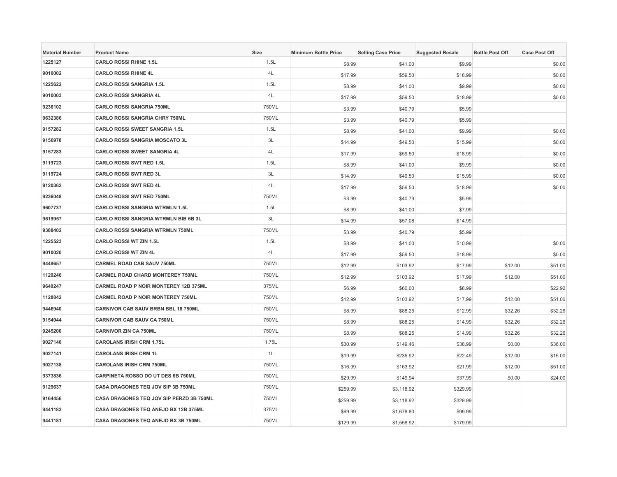| <b>Material Number</b> | <b>Product Name</b>                          | <b>Size</b> | <b>Minimum Bottle Price</b> | <b>Selling Case Price</b> | <b>Suggested Resale</b> | <b>Bottle Post Off</b> | <b>Case Post Off</b> |
|------------------------|----------------------------------------------|-------------|-----------------------------|---------------------------|-------------------------|------------------------|----------------------|
| 1225127                | <b>CARLO ROSSI RHINE 1.5L</b>                | 1.5L        | \$8.99                      | \$41.00                   | \$9.99                  |                        | \$0.00               |
| 9010002                | <b>CARLO ROSSI RHINE 4L</b>                  | 4L          | \$17.99                     | \$59.50                   | \$18.99                 |                        | \$0.00               |
| 1225622                | <b>CARLO ROSSI SANGRIA 1.5L</b>              | 1.5L        | \$8.99                      | \$41.00                   | \$9.99                  |                        | \$0.00               |
| 9010003                | <b>CARLO ROSSI SANGRIA 4L</b>                | 4L          | \$17.99                     | \$59.50                   | \$18.99                 |                        | \$0.00               |
| 9236102                | <b>CARLO ROSSI SANGRIA 750ML</b>             | 750ML       | \$3.99                      | \$40.79                   | \$5.99                  |                        |                      |
| 9632386                | <b>CARLO ROSSI SANGRIA CHRY 750ML</b>        | 750ML       | \$3.99                      | \$40.79                   | \$5.99                  |                        |                      |
| 9157282                | <b>CARLO ROSSI SWEET SANGRIA 1.5L</b>        | 1.5L        | \$8.99                      | \$41.00                   | \$9.99                  |                        | \$0.00               |
| 9156978                | <b>CARLO ROSSI SANGRIA MOSCATO 3L</b>        | 3L          | \$14.99                     | \$49.50                   | \$15.99                 |                        | \$0.00               |
| 9157283                | <b>CARLO ROSSI SWEET SANGRIA 4L</b>          | 4L          | \$17.99                     | \$59.50                   | \$18.99                 |                        | \$0.00               |
| 9119723                | <b>CARLO ROSSI SWT RED 1.5L</b>              | 1.5L        | \$8.99                      | \$41.00                   | \$9.99                  |                        | \$0.00               |
| 9119724                | <b>CARLO ROSSI SWT RED 3L</b>                | 3L          | \$14.99                     | \$49.50                   | \$15.99                 |                        | \$0.00               |
| 9120362                | <b>CARLO ROSSI SWT RED 4L</b>                | 4L          | \$17.99                     | \$59.50                   | \$18.99                 |                        | \$0.00               |
| 9236048                | <b>CARLO ROSSI SWT RED 750ML</b>             | 750ML       | \$3.99                      | \$40.79                   | \$5.99                  |                        |                      |
| 9607737                | <b>CARLO ROSSI SANGRIA WTRMLN 1.5L</b>       | 1.5L        | \$8.99                      | \$41.00                   | \$7.99                  |                        |                      |
| 9619957                | <b>CARLO ROSSI SANGRIA WTRMLN BIB 6B 3L</b>  | 3L          | \$14.99                     | \$57.08                   | \$14.99                 |                        |                      |
| 9388402                | <b>CARLO ROSSI SANGRIA WTRMLN 750ML</b>      | 750ML       | \$3.99                      | \$40.79                   | \$5.99                  |                        |                      |
| 1225523                | <b>CARLO ROSSI WT ZIN 1.5L</b>               | 1.5L        | \$8.99                      | \$41.00                   | \$10.99                 |                        | \$0.00               |
| 9010020                | <b>CARLO ROSSI WT ZIN 4L</b>                 | 4L          | \$17.99                     | \$59.50                   | \$18.99                 |                        | \$0.00               |
| 9449657                | <b>CARMEL ROAD CAB SAUV 750ML</b>            | 750ML       | \$12.99                     | \$103.92                  | \$17.99                 | \$12.00                | \$51.00              |
| 1129246                | <b>CARMEL ROAD CHARD MONTEREY 750ML</b>      | 750ML       | \$12.99                     | \$103.92                  | \$17.99                 | \$12.00                | \$51.00              |
| 9640247                | <b>CARMEL ROAD P NOIR MONTEREY 12B 375ML</b> | 375ML       | \$6.99                      | \$60.00                   | \$8.99                  |                        | \$22.92              |
| 1128842                | <b>CARMEL ROAD P NOIR MONTEREY 750ML</b>     | 750ML       | \$12.99                     | \$103.92                  | \$17.99                 | \$12.00                | \$51.00              |
| 9446940                | CARNIVOR CAB SAUV BRBN BBL 18 750ML          | 750ML       | \$8.99                      | \$88.25                   | \$12.99                 | \$32.26                | \$32.26              |
| 9154944                | <b>CARNIVOR CAB SAUV CA 750ML</b>            | 750ML       | \$8.99                      | \$88.25                   | \$14.99                 | \$32.26                | \$32.26              |
| 9245200                | <b>CARNIVOR ZIN CA 750ML</b>                 | 750ML       | \$8.99                      | \$88.25                   | \$14.99                 | \$32.26                | \$32.26              |
| 9027140                | <b>CAROLANS IRISH CRM 1.75L</b>              | 1.75L       | \$30.99                     | \$149.46                  | \$38.99                 | \$0.00                 | \$36.00              |
| 9027141                | <b>CAROLANS IRISH CRM 1L</b>                 | 1L          | \$19.99                     | \$235.92                  | \$22.49                 | \$12.00                | \$15.00              |
| 9027138                | <b>CAROLANS IRISH CRM 750ML</b>              | 750ML       | \$16.99                     | \$163.92                  | \$21.99                 | \$12.00                | \$51.00              |
| 9373836                | CARPINETA ROSSO DO UT DES 6B 750ML           | 750ML       | \$29.99                     | \$149.94                  | \$37.99                 | \$0.00                 | \$24.00              |
| 9129637                | <b>CASA DRAGONES TEQ JOV SIP 3B 750ML</b>    | 750ML       | \$259.99                    | \$3,118.92                | \$329.99                |                        |                      |
| 9164456                | CASA DRAGONES TEQ JOV SIP PERZD 3B 750ML     | 750ML       | \$259.99                    | \$3,118.92                | \$329.99                |                        |                      |
| 9441183                | CASA DRAGONES TEQ ANEJO BX 12B 375ML         | 375ML       | \$69.99                     | \$1,678.80                | \$99.99                 |                        |                      |
| 9441181                | CASA DRAGONES TEQ ANEJO BX 3B 750ML          | 750ML       | \$129.99                    | \$1,558.92                | \$179.99                |                        |                      |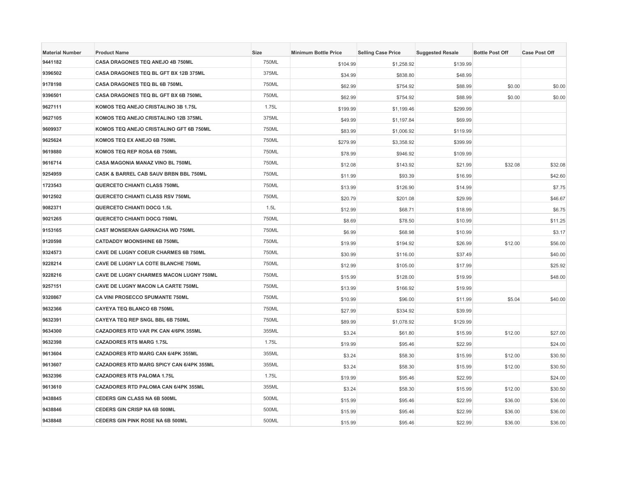| <b>Material Number</b> | <b>Product Name</b>                         | Size  | <b>Minimum Bottle Price</b> | <b>Selling Case Price</b> | <b>Suggested Resale</b> | <b>Bottle Post Off</b> | <b>Case Post Off</b> |
|------------------------|---------------------------------------------|-------|-----------------------------|---------------------------|-------------------------|------------------------|----------------------|
| 9441182                | CASA DRAGONES TEQ ANEJO 4B 750ML            | 750ML | \$104.99                    | \$1,258.92                | \$139.99                |                        |                      |
| 9396502                | CASA DRAGONES TEQ BL GFT BX 12B 375ML       | 375ML | \$34.99                     | \$838.80                  | \$48.99                 |                        |                      |
| 9178198                | <b>CASA DRAGONES TEQ BL 6B 750ML</b>        | 750ML | \$62.99                     | \$754.92                  | \$88.99                 | \$0.00                 | \$0.00               |
| 9396501                | CASA DRAGONES TEQ BL GFT BX 6B 750ML        | 750ML | \$62.99                     | \$754.92                  | \$88.99                 | \$0.00                 | \$0.00               |
| 9627111                | KOMOS TEQ ANEJO CRISTALINO 3B 1.75L         | 1.75L | \$199.99                    | \$1,199.46                | \$299.99                |                        |                      |
| 9627105                | KOMOS TEQ ANEJO CRISTALINO 12B 375ML        | 375ML | \$49.99                     | \$1,197.84                | \$69.99                 |                        |                      |
| 9609937                | KOMOS TEQ ANEJO CRISTALINO GFT 6B 750ML     | 750ML | \$83.99                     | \$1,006.92                | \$119.99                |                        |                      |
| 9625624                | KOMOS TEQ EX ANEJO 6B 750ML                 | 750ML | \$279.99                    | \$3,358.92                | \$399.99                |                        |                      |
| 9619880                | KOMOS TEQ REP ROSA 6B 750ML                 | 750ML | \$78.99                     | \$946.92                  | \$109.99                |                        |                      |
| 9616714                | CASA MAGONIA MANAZ VINO BL 750ML            | 750ML | \$12.08                     | \$143.92                  | \$21.99                 | \$32.08                | \$32.08              |
| 9254959                | CASK & BARREL CAB SAUV BRBN BBL 750ML       | 750ML | \$11.99                     | \$93.39                   | \$16.99                 |                        | \$42.60              |
| 1723543                | QUERCETO CHIANTI CLASS 750ML                | 750ML | \$13.99                     | \$126.90                  | \$14.99                 |                        | \$7.75               |
| 9012502                | QUERCETO CHIANTI CLASS RSV 750ML            | 750ML | \$20.79                     | \$201.08                  | \$29.99                 |                        | \$46.67              |
| 9082371                | <b>QUERCETO CHIANTI DOCG 1.5L</b>           | 1.5L  | \$12.99                     | \$68.71                   | \$18.99                 |                        | \$6.75               |
| 9021265                | QUERCETO CHIANTI DOCG 750ML                 | 750ML | \$8.69                      | \$78.50                   | \$10.99                 |                        | \$11.25              |
| 9153165                | <b>CAST MONSERAN GARNACHA WD 750ML</b>      | 750ML | \$6.99                      | \$68.98                   | \$10.99                 |                        | \$3.17               |
| 9120598                | <b>CATDADDY MOONSHINE 6B 750ML</b>          | 750ML | \$19.99                     | \$194.92                  | \$26.99                 | \$12.00                | \$56.00              |
| 9324573                | CAVE DE LUGNY COEUR CHARMES 6B 750ML        | 750ML | \$30.99                     | \$116.00                  | \$37.49                 |                        | \$40.00              |
| 9228214                | CAVE DE LUGNY LA COTE BLANCHE 750ML         | 750ML | \$12.99                     | \$105.00                  | \$17.99                 |                        | \$25.92              |
| 9228216                | CAVE DE LUGNY CHARMES MACON LUGNY 750ML     | 750ML | \$15.99                     | \$128.00                  | \$19.99                 |                        | \$48.00              |
| 9257151                | CAVE DE LUGNY MACON LA CARTE 750ML          | 750ML | \$13.99                     | \$166.92                  | \$19.99                 |                        |                      |
| 9320867                | CA VINI PROSECCO SPUMANTE 750ML             | 750ML | \$10.99                     | \$96.00                   | \$11.99                 | \$5.04                 | \$40.00              |
| 9632366                | <b>CAYEYA TEQ BLANCO 6B 750ML</b>           | 750ML | \$27.99                     | \$334.92                  | \$39.99                 |                        |                      |
| 9632391                | CAYEYA TEQ REP SNGL BBL 6B 750ML            | 750ML | \$89.99                     | \$1,078.92                | \$129.99                |                        |                      |
| 9634300                | CAZADORES RTD VAR PK CAN 4/6PK 355ML        | 355ML | \$3.24                      | \$61.80                   | \$15.99                 | \$12.00                | \$27.00              |
| 9632398                | <b>CAZADORES RTS MARG 1.75L</b>             | 1.75L | \$19.99                     | \$95.46                   | \$22.99                 |                        | \$24.00              |
| 9613604                | <b>CAZADORES RTD MARG CAN 6/4PK 355ML</b>   | 355ML | \$3.24                      | \$58.30                   | \$15.99                 | \$12.00                | \$30.50              |
| 9613607                | CAZADORES RTD MARG SPICY CAN 6/4PK 355ML    | 355ML | \$3.24                      | \$58.30                   | \$15.99                 | \$12.00                | \$30.50              |
| 9632396                | <b>CAZADORES RTS PALOMA 1.75L</b>           | 1.75L | \$19.99                     | \$95.46                   | \$22.99                 |                        | \$24.00              |
| 9613610                | <b>CAZADORES RTD PALOMA CAN 6/4PK 355ML</b> | 355ML | \$3.24                      | \$58.30                   | \$15.99                 | \$12.00                | \$30.50              |
| 9438845                | CEDERS GIN CLASS NA 6B 500ML                | 500ML | \$15.99                     | \$95.46                   | \$22.99                 | \$36.00                | \$36.00              |
| 9438846                | <b>CEDERS GIN CRISP NA 6B 500ML</b>         | 500ML | \$15.99                     | \$95.46                   | \$22.99                 | \$36.00                | \$36.00              |
| 9438848                | CEDERS GIN PINK ROSE NA 6B 500ML            | 500ML | \$15.99                     | \$95.46                   | \$22.99                 | \$36.00                | \$36.00              |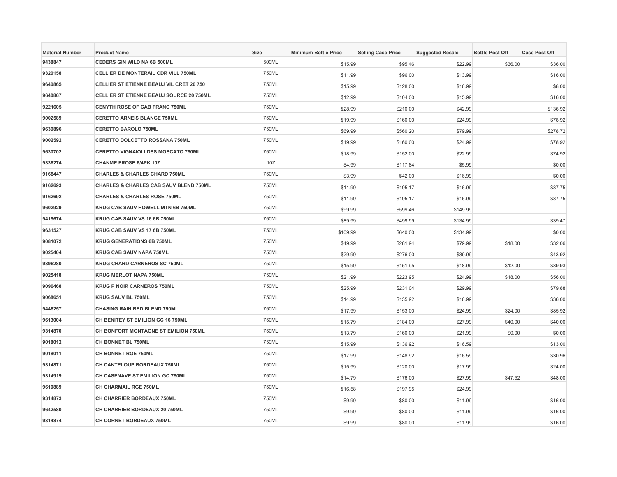| <b>Material Number</b> | <b>Product Name</b>                        | <b>Size</b> | <b>Minimum Bottle Price</b> | <b>Selling Case Price</b> | <b>Suggested Resale</b> | <b>Bottle Post Off</b> | <b>Case Post Off</b> |
|------------------------|--------------------------------------------|-------------|-----------------------------|---------------------------|-------------------------|------------------------|----------------------|
| 9438847                | CEDERS GIN WILD NA 6B 500ML                | 500ML       | \$15.99                     | \$95.46                   | \$22.99                 | \$36.00                | \$36.00              |
| 9320158                | <b>CELLIER DE MONTERAIL CDR VILL 750ML</b> | 750ML       | \$11.99                     | \$96.00                   | \$13.99                 |                        | \$16.00              |
| 9640865                | CELLIER ST ETIENNE BEAUJ VIL CRET 20 750   | 750ML       | \$15.99                     | \$128.00                  | \$16.99                 |                        | \$8.00               |
| 9640867                | CELLIER ST ETIENNE BEAUJ SOURCE 20 750ML   | 750ML       | \$12.99                     | \$104.00                  | \$15.99                 |                        | \$16.00              |
| 9221605                | CENYTH ROSE OF CAB FRANC 750ML             | 750ML       | \$28.99                     | \$210.00                  | \$42.99                 |                        | \$136.92             |
| 9002589                | <b>CERETTO ARNEIS BLANGE 750ML</b>         | 750ML       | \$19.99                     | \$160.00                  | \$24.99                 |                        | \$78.92              |
| 9630896                | <b>CERETTO BAROLO 750ML</b>                | 750ML       | \$69.99                     | \$560.20                  | \$79.99                 |                        | \$278.72             |
| 9002592                | CERETTO DOLCETTO ROSSANA 750ML             | 750ML       | \$19.99                     | \$160.00                  | \$24.99                 |                        | \$78.92              |
| 9630702                | CERETTO VIGNAIOLI DSS MOSCATO 750ML        | 750ML       | \$18.99                     | \$152.00                  | \$22.99                 |                        | \$74.92              |
| 9336274                | <b>CHANME FROSE 6/4PK 10Z</b>              | 10Z         | \$4.99                      | \$117.84                  | \$5.99                  |                        | \$0.00               |
| 9168447                | <b>CHARLES &amp; CHARLES CHARD 750ML</b>   | 750ML       | \$3.99                      | \$42.00                   | \$16.99                 |                        | \$0.00               |
| 9162693                | CHARLES & CHARLES CAB SAUV BLEND 750ML     | 750ML       | \$11.99                     | \$105.17                  | \$16.99                 |                        | \$37.75              |
| 9162692                | <b>CHARLES &amp; CHARLES ROSE 750ML</b>    | 750ML       | \$11.99                     | \$105.17                  | \$16.99                 |                        | \$37.75              |
| 9602929                | KRUG CAB SAUV HOWELL MTN 6B 750ML          | 750ML       | \$99.99                     | \$599.46                  | \$149.99                |                        |                      |
| 9415674                | KRUG CAB SAUV VS 16 6B 750ML               | 750ML       | \$89.99                     | \$499.99                  | \$134.99                |                        | \$39.47              |
| 9631527                | KRUG CAB SAUV VS 17 6B 750ML               | 750ML       | \$109.99                    | \$640.00                  | \$134.99                |                        | \$0.00               |
| 9081072                | <b>KRUG GENERATIONS 6B 750ML</b>           | 750ML       | \$49.99                     | \$281.94                  | \$79.99                 | \$18.00                | \$32.06              |
| 9025404                | KRUG CAB SAUV NAPA 750ML                   | 750ML       | \$29.99                     | \$276.00                  | \$39.99                 |                        | \$43.92              |
| 9396280                | <b>KRUG CHARD CARNEROS SC 750ML</b>        | 750ML       | \$15.99                     | \$151.95                  | \$18.99                 | \$12.00                | \$39.93              |
| 9025418                | <b>KRUG MERLOT NAPA 750ML</b>              | 750ML       | \$21.99                     | \$223.95                  | \$24.99                 | \$18.00                | \$56.00              |
| 9090468                | <b>KRUG P NOIR CARNEROS 750ML</b>          | 750ML       | \$25.99                     | \$231.04                  | \$29.99                 |                        | \$79.88              |
| 9068651                | <b>KRUG SAUV BL 750ML</b>                  | 750ML       | \$14.99                     | \$135.92                  | \$16.99                 |                        | \$36.00              |
| 9448257                | <b>CHASING RAIN RED BLEND 750ML</b>        | 750ML       | \$17.99                     | \$153.00                  | \$24.99                 | \$24.00                | \$85.92              |
| 9613004                | CH BENITEY ST EMILION GC 16 750ML          | 750ML       | \$15.79                     | \$184.00                  | \$27.99                 | \$40.00                | \$40.00              |
| 9314870                | CH BONFORT MONTAGNE ST EMILION 750ML       | 750ML       | \$13.79                     | \$160.00                  | \$21.99                 | \$0.00                 | \$0.00               |
| 9018012                | CH BONNET BL 750ML                         | 750ML       | \$15.99                     | \$136.92                  | \$16.59                 |                        | \$13.00              |
| 9018011                | <b>CH BONNET RGE 750ML</b>                 | 750ML       | \$17.99                     | \$148.92                  | \$16.59                 |                        | \$30.96              |
| 9314871                | CH CANTELOUP BORDEAUX 750ML                | 750ML       | \$15.99                     | \$120.00                  | \$17.99                 |                        | \$24.00              |
| 9314919                | CH CASENAVE ST EMILION GC 750ML            | 750ML       | \$14.79                     | \$176.00                  | \$27.99                 | \$47.52                | \$48.00              |
| 9610889                | CH CHARMAIL RGE 750ML                      | 750ML       | \$16.58                     | \$197.95                  | \$24.99                 |                        |                      |
| 9314873                | CH CHARRIER BORDEAUX 750ML                 | 750ML       | \$9.99                      | \$80.00                   | \$11.99                 |                        | \$16.00              |
| 9642580                | CH CHARRIER BORDEAUX 20 750ML              | 750ML       | \$9.99                      | \$80.00                   | \$11.99                 |                        | \$16.00              |
| 9314874                | CH CORNET BORDEAUX 750ML                   | 750ML       | \$9.99                      | \$80.00                   | \$11.99                 |                        | \$16.00              |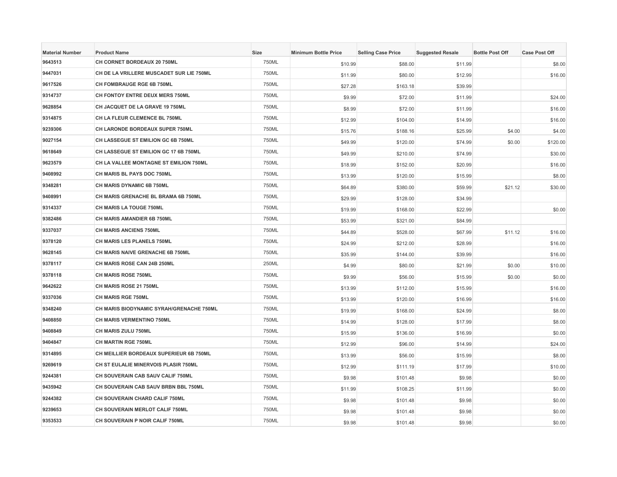| <b>Material Number</b> | <b>Product Name</b>                      | Size  | <b>Minimum Bottle Price</b> | <b>Selling Case Price</b> | <b>Suggested Resale</b> | <b>Bottle Post Off</b> | <b>Case Post Off</b> |
|------------------------|------------------------------------------|-------|-----------------------------|---------------------------|-------------------------|------------------------|----------------------|
| 9643513                | CH CORNET BORDEAUX 20 750ML              | 750ML | \$10.99                     | \$88.00                   | \$11.99                 |                        | \$8.00               |
| 9447031                | CH DE LA VRILLERE MUSCADET SUR LIE 750ML | 750ML | \$11.99                     | \$80.00                   | \$12.99                 |                        | \$16.00              |
| 9617526                | CH FOMBRAUGE RGE 6B 750ML                | 750ML | \$27.28                     | \$163.18                  | \$39.99                 |                        |                      |
| 9314737                | CH FONTOY ENTRE DEUX MERS 750ML          | 750ML | \$9.99                      | \$72.00                   | \$11.99                 |                        | \$24.00              |
| 9628854                | CH JACQUET DE LA GRAVE 19 750ML          | 750ML | \$8.99                      | \$72.00                   | \$11.99                 |                        | \$16.00              |
| 9314875                | CH LA FLEUR CLEMENCE BL 750ML            | 750ML | \$12.99                     | \$104.00                  | \$14.99                 |                        | \$16.00              |
| 9239306                | CH LARONDE BORDEAUX SUPER 750ML          | 750ML | \$15.76                     | \$188.16                  | \$25.99                 | \$4.00                 | \$4.00               |
| 9027154                | CH LASSEGUE ST EMILION GC 6B 750ML       | 750ML | \$49.99                     | \$120.00                  | \$74.99                 | \$0.00                 | \$120.00             |
| 9618649                | CH LASSEGUE ST EMILION GC 17 6B 750ML    | 750ML | \$49.99                     | \$210.00                  | \$74.99                 |                        | \$30.00              |
| 9623579                | CH LA VALLEE MONTAGNE ST EMILION 750ML   | 750ML | \$18.99                     | \$152.00                  | \$20.99                 |                        | \$16.00              |
| 9408992                | CH MARIS BL PAYS DOC 750ML               | 750ML | \$13.99                     | \$120.00                  | \$15.99                 |                        | \$8.00               |
| 9348281                | CH MARIS DYNAMIC 6B 750ML                | 750ML | \$64.89                     | \$380.00                  | \$59.99                 | \$21.12                | \$30.00              |
| 9408991                | CH MARIS GRENACHE BL BRAMA 6B 750ML      | 750ML | \$29.99                     | \$128.00                  | \$34.99                 |                        |                      |
| 9314337                | <b>CH MARIS LA TOUGE 750ML</b>           | 750ML | \$19.99                     | \$168.00                  | \$22.99                 |                        | \$0.00               |
| 9382486                | CH MARIS AMANDIER 6B 750ML               | 750ML | \$53.99                     | \$321.00                  | \$84.99                 |                        |                      |
| 9337037                | <b>CH MARIS ANCIENS 750ML</b>            | 750ML | \$44.89                     | \$528.00                  | \$67.99                 | \$11.12                | \$16.00              |
| 9378120                | CH MARIS LES PLANELS 750ML               | 750ML | \$24.99                     | \$212.00                  | \$28.99                 |                        | \$16.00              |
| 9628145                | CH MARIS NAIVE GRENACHE 6B 750ML         | 750ML | \$35.99                     | \$144.00                  | \$39.99                 |                        | \$16.00              |
| 9378117                | CH MARIS ROSE CAN 24B 250ML              | 250ML | \$4.99                      | \$80.00                   | \$21.99                 | \$0.00                 | \$10.00              |
| 9378118                | CH MARIS ROSE 750ML                      | 750ML | \$9.99                      | \$56.00                   | \$15.99                 | \$0.00                 | \$0.00               |
| 9642622                | CH MARIS ROSE 21 750ML                   | 750ML | \$13.99                     | \$112.00                  | \$15.99                 |                        | \$16.00              |
| 9337036                | <b>CH MARIS RGE 750ML</b>                | 750ML | \$13.99                     | \$120.00                  | \$16.99                 |                        | \$16.00              |
| 9348240                | CH MARIS BIODYNAMIC SYRAH/GRENACHE 750ML | 750ML | \$19.99                     | \$168.00                  | \$24.99                 |                        | \$8.00               |
| 9408850                | <b>CH MARIS VERMENTINO 750ML</b>         | 750ML | \$14.99                     | \$128.00                  | \$17.99                 |                        | \$8.00               |
| 9408849                | CH MARIS ZULU 750ML                      | 750ML | \$15.99                     | \$136.00                  | \$16.99                 |                        | \$0.00               |
| 9404847                | CH MARTIN RGE 750ML                      | 750ML | \$12.99                     | \$96.00                   | \$14.99                 |                        | \$24.00              |
| 9314895                | CH MEILLIER BORDEAUX SUPERIEUR 6B 750ML  | 750ML | \$13.99                     | \$56.00                   | \$15.99                 |                        | \$8.00               |
| 9269619                | CH ST EULALIE MINERVOIS PLASIR 750ML     | 750ML | \$12.99                     | \$111.19                  | \$17.99                 |                        | \$10.00              |
| 9244381                | CH SOUVERAIN CAB SAUV CALIF 750ML        | 750ML | \$9.98                      | \$101.48                  | \$9.98                  |                        | \$0.00               |
| 9435942                | CH SOUVERAIN CAB SAUV BRBN BBL 750ML     | 750ML | \$11.99                     | \$108.25                  | \$11.99                 |                        | \$0.00               |
| 9244382                | CH SOUVERAIN CHARD CALIF 750ML           | 750ML | \$9.98                      | \$101.48                  | \$9.98                  |                        | \$0.00               |
| 9239653                | CH SOUVERAIN MERLOT CALIF 750ML          | 750ML | \$9.98                      | \$101.48                  | \$9.98                  |                        | \$0.00               |
| 9353533                | CH SOUVERAIN P NOIR CALIF 750ML          | 750ML | \$9.98                      | \$101.48                  | \$9.98                  |                        | \$0.00               |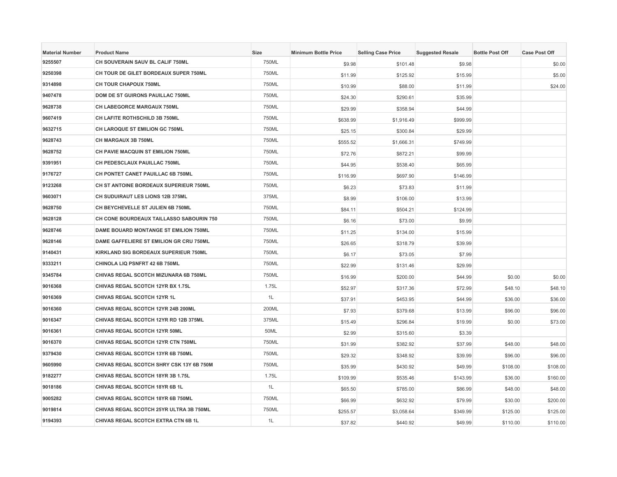| <b>Material Number</b> | <b>Product Name</b>                      | Size  | <b>Minimum Bottle Price</b> | <b>Selling Case Price</b> | <b>Suggested Resale</b> | <b>Bottle Post Off</b> | <b>Case Post Off</b> |
|------------------------|------------------------------------------|-------|-----------------------------|---------------------------|-------------------------|------------------------|----------------------|
| 9255507                | CH SOUVERAIN SAUV BL CALIF 750ML         | 750ML | \$9.98                      | \$101.48                  | \$9.98                  |                        | \$0.00               |
| 9250398                | CH TOUR DE GILET BORDEAUX SUPER 750ML    | 750ML | \$11.99                     | \$125.92                  | \$15.99                 |                        | \$5.00               |
| 9314898                | <b>CH TOUR CHAPOUX 750ML</b>             | 750ML | \$10.99                     | \$88.00                   | \$11.99                 |                        | \$24.00              |
| 9407478                | DOM DE ST GUIRONS PAUILLAC 750ML         | 750ML | \$24.30                     | \$290.61                  | \$35.99                 |                        |                      |
| 9628738                | CH LABEGORCE MARGAUX 750ML               | 750ML | \$29.99                     | \$358.94                  | \$44.99                 |                        |                      |
| 9607419                | CH LAFITE ROTHSCHILD 3B 750ML            | 750ML | \$638.99                    | \$1,916.49                | \$999.99                |                        |                      |
| 9632715                | <b>CH LAROQUE ST EMILION GC 750ML</b>    | 750ML | \$25.15                     | \$300.84                  | \$29.99                 |                        |                      |
| 9628743                | CH MARGAUX 3B 750ML                      | 750ML | \$555.52                    | \$1,666.31                | \$749.99                |                        |                      |
| 9628752                | CH PAVIE MACQUIN ST EMILION 750ML        | 750ML | \$72.76                     | \$872.21                  | \$99.99                 |                        |                      |
| 9391951                | CH PEDESCLAUX PAUILLAC 750ML             | 750ML | \$44.95                     | \$538.40                  | \$65.99                 |                        |                      |
| 9176727                | CH PONTET CANET PAUILLAC 6B 750ML        | 750ML | \$116.99                    | \$697.90                  | \$146.99                |                        |                      |
| 9123268                | CH ST ANTOINE BORDEAUX SUPERIEUR 750ML   | 750ML | \$6.23                      | \$73.83                   | \$11.99                 |                        |                      |
| 9603071                | CH SUDUIRAUT LES LIONS 12B 375ML         | 375ML | \$8.99                      | \$106.00                  | \$13.99                 |                        |                      |
| 9628750                | CH BEYCHEVELLE ST JULIEN 6B 750ML        | 750ML | \$84.11                     | \$504.21                  | \$124.99                |                        |                      |
| 9628128                | CH CONE BOURDEAUX TAILLASSO SABOURIN 750 | 750ML | \$6.16                      | \$73.00                   | \$9.99                  |                        |                      |
| 9628746                | DAME BOUARD MONTANGE ST EMILION 750ML    | 750ML | \$11.25                     | \$134.00                  | \$15.99                 |                        |                      |
| 9628146                | DAME GAFFELIERE ST EMILION GR CRU 750ML  | 750ML | \$26.65                     | \$318.79                  | \$39.99                 |                        |                      |
| 9140431                | KIRKLAND SIG BORDEAUX SUPERIEUR 750ML    | 750ML | \$6.17                      | \$73.05                   | \$7.99                  |                        |                      |
| 9333211                | <b>CHINOLA LIQ PSNFRT 42 6B 750ML</b>    | 750ML | \$22.99                     | \$131.46                  | \$29.99                 |                        |                      |
| 9345784                | CHIVAS REGAL SCOTCH MIZUNARA 6B 750ML    | 750ML | \$16.99                     | \$200.00                  | \$44.99                 | \$0.00                 | \$0.00               |
| 9016368                | CHIVAS REGAL SCOTCH 12YR BX 1.75L        | 1.75L | \$52.97                     | \$317.36                  | \$72.99                 | \$48.10                | \$48.10              |
| 9016369                | CHIVAS REGAL SCOTCH 12YR 1L              | 1L    | \$37.91                     | \$453.95                  | \$44.99                 | \$36.00                | \$36.00              |
| 9016360                | CHIVAS REGAL SCOTCH 12YR 24B 200ML       | 200ML | \$7.93                      | \$379.68                  | \$13.99                 | \$96.00                | \$96.00              |
| 9016347                | CHIVAS REGAL SCOTCH 12YR RD 12B 375ML    | 375ML | \$15.49                     | \$296.84                  | \$19.99                 | \$0.00                 | \$73.00              |
| 9016361                | CHIVAS REGAL SCOTCH 12YR 50ML            | 50ML  | \$2.99                      | \$315.60                  | \$3.39                  |                        |                      |
| 9016370                | CHIVAS REGAL SCOTCH 12YR CTN 750ML       | 750ML | \$31.99                     | \$382.92                  | \$37.99                 | \$48.00                | \$48.00              |
| 9379430                | CHIVAS REGAL SCOTCH 13YR 6B 750ML        | 750ML | \$29.32                     | \$348.92                  | \$39.99                 | \$96.00                | \$96.00              |
| 9605990                | CHIVAS REGAL SCOTCH SHRY CSK 13Y 6B 750M | 750ML | \$35.99                     | \$430.92                  | \$49.99                 | \$108.00               | \$108.00             |
| 9182277                | CHIVAS REGAL SCOTCH 18YR 3B 1.75L        | 1.75L | \$109.99                    | \$535.46                  | \$143.99                | \$36.00                | \$160.00             |
| 9018186                | CHIVAS REGAL SCOTCH 18YR 6B 1L           | 1L    | \$65.50                     | \$785.00                  | \$86.99                 | \$48.00                | \$48.00              |
| 9005282                | CHIVAS REGAL SCOTCH 18YR 6B 750ML        | 750ML | \$66.99                     | \$632.92                  | \$79.99                 | \$30.00                | \$200.00             |
| 9019814                | CHIVAS REGAL SCOTCH 25YR ULTRA 3B 750ML  | 750ML | \$255.57                    | \$3,058.64                | \$349.99                | \$125.00               | \$125.00             |
| 9194393                | CHIVAS REGAL SCOTCH EXTRA CTN 6B 1L      | 1L    | \$37.82                     | \$440.92                  | \$49.99                 | \$110.00               | \$110.00             |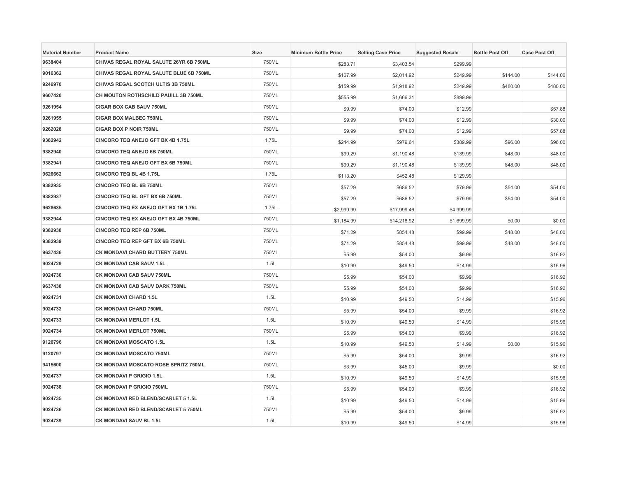| <b>Material Number</b> | <b>Product Name</b>                         | Size  | <b>Minimum Bottle Price</b> | <b>Selling Case Price</b> | <b>Suggested Resale</b> | <b>Bottle Post Off</b> | <b>Case Post Off</b> |
|------------------------|---------------------------------------------|-------|-----------------------------|---------------------------|-------------------------|------------------------|----------------------|
| 9638404                | CHIVAS REGAL ROYAL SALUTE 26YR 6B 750ML     | 750ML | \$283.71                    | \$3,403.54                | \$299.99                |                        |                      |
| 9016362                | CHIVAS REGAL ROYAL SALUTE BLUE 6B 750ML     | 750ML | \$167.99                    | \$2,014.92                | \$249.99                | \$144.00               | \$144.00             |
| 9246970                | CHIVAS REGAL SCOTCH ULTIS 3B 750ML          | 750ML | \$159.99                    | \$1,918.92                | \$249.99                | \$480.00               | \$480.00             |
| 9607420                | CH MOUTON ROTHSCHILD PAUILL 3B 750ML        | 750ML | \$555.99                    | \$1,666.31                | \$899.99                |                        |                      |
| 9261954                | <b>CIGAR BOX CAB SAUV 750ML</b>             | 750ML | \$9.99                      | \$74.00                   | \$12.99                 |                        | \$57.88              |
| 9261955                | <b>CIGAR BOX MALBEC 750ML</b>               | 750ML | \$9.99                      | \$74.00                   | \$12.99                 |                        | \$30.00              |
| 9262028                | <b>CIGAR BOX P NOIR 750ML</b>               | 750ML | \$9.99                      | \$74.00                   | \$12.99                 |                        | \$57.88              |
| 9382942                | CINCORO TEQ ANEJO GFT BX 4B 1.75L           | 1.75L | \$244.99                    | \$979.64                  | \$389.99                | \$96.00                | \$96.00              |
| 9382940                | <b>CINCORO TEQ ANEJO 6B 750ML</b>           | 750ML | \$99.29                     | \$1,190.48                | \$139.99                | \$48.00                | \$48.00              |
| 9382941                | CINCORO TEQ ANEJO GFT BX 6B 750ML           | 750ML | \$99.29                     | \$1,190.48                | \$139.99                | \$48.00                | \$48.00              |
| 9626662                | CINCORO TEQ BL 4B 1.75L                     | 1.75L | \$113.20                    | \$452.48                  | \$129.99                |                        |                      |
| 9382935                | <b>CINCORO TEQ BL 6B 750ML</b>              | 750ML | \$57.29                     | \$686.52                  | \$79.99                 | \$54.00                | \$54.00              |
| 9382937                | CINCORO TEQ BL GFT BX 6B 750ML              | 750ML | \$57.29                     | \$686.52                  | \$79.99                 | \$54.00                | \$54.00              |
| 9628635                | CINCORO TEQ EX ANEJO GFT BX 1B 1.75L        | 1.75L | \$2,999.99                  | \$17,999.46               | \$4,999.99              |                        |                      |
| 9382944                | <b>CINCORO TEQ EX ANEJO GFT BX 4B 750ML</b> | 750ML | \$1,184.99                  | \$14,218.92               | \$1,699.99              | \$0.00                 | \$0.00               |
| 9382938                | <b>CINCORO TEQ REP 6B 750ML</b>             | 750ML | \$71.29                     | \$854.48                  | \$99.99                 | \$48.00                | \$48.00              |
| 9382939                | CINCORO TEQ REP GFT BX 6B 750ML             | 750ML | \$71.29                     | \$854.48                  | \$99.99                 | \$48.00                | \$48.00              |
| 9637436                | CK MONDAVI CHARD BUTTERY 750ML              | 750ML | \$5.99                      | \$54.00                   | \$9.99                  |                        | \$16.92              |
| 9024729                | <b>CK MONDAVI CAB SAUV 1.5L</b>             | 1.5L  | \$10.99                     | \$49.50                   | \$14.99                 |                        | \$15.96              |
| 9024730                | CK MONDAVI CAB SAUV 750ML                   | 750ML | \$5.99                      | \$54.00                   | \$9.99                  |                        | \$16.92              |
| 9637438                | CK MONDAVI CAB SAUV DARK 750ML              | 750ML | \$5.99                      | \$54.00                   | \$9.99                  |                        | \$16.92              |
| 9024731                | <b>CK MONDAVI CHARD 1.5L</b>                | 1.5L  | \$10.99                     | \$49.50                   | \$14.99                 |                        | \$15.96              |
| 9024732                | <b>CK MONDAVI CHARD 750ML</b>               | 750ML | \$5.99                      | \$54.00                   | \$9.99                  |                        | \$16.92              |
| 9024733                | <b>CK MONDAVI MERLOT 1.5L</b>               | 1.5L  | \$10.99                     | \$49.50                   | \$14.99                 |                        | \$15.96              |
| 9024734                | CK MONDAVI MERLOT 750ML                     | 750ML | \$5.99                      | \$54.00                   | \$9.99                  |                        | \$16.92              |
| 9120796                | <b>CK MONDAVI MOSCATO 1.5L</b>              | 1.5L  | \$10.99                     | \$49.50                   | \$14.99                 | \$0.00                 | \$15.96              |
| 9120797                | <b>CK MONDAVI MOSCATO 750ML</b>             | 750ML | \$5.99                      | \$54.00                   | \$9.99                  |                        | \$16.92              |
| 9415600                | CK MONDAVI MOSCATO ROSE SPRITZ 750ML        | 750ML | \$3.99                      | \$45.00                   | \$9.99                  |                        | \$0.00               |
| 9024737                | <b>CK MONDAVI P GRIGIO 1.5L</b>             | 1.5L  | \$10.99                     | \$49.50                   | \$14.99                 |                        | \$15.96              |
| 9024738                | <b>CK MONDAVI P GRIGIO 750ML</b>            | 750ML | \$5.99                      | \$54.00                   | \$9.99                  |                        | \$16.92              |
| 9024735                | CK MONDAVI RED BLEND/SCARLET 5 1.5L         | 1.5L  | \$10.99                     | \$49.50                   | \$14.99                 |                        | \$15.96              |
| 9024736                | CK MONDAVI RED BLEND/SCARLET 5 750ML        | 750ML | \$5.99                      | \$54.00                   | \$9.99                  |                        | \$16.92              |
| 9024739                | CK MONDAVI SAUV BL 1.5L                     | 1.5L  | \$10.99                     | \$49.50                   | \$14.99                 |                        | \$15.96              |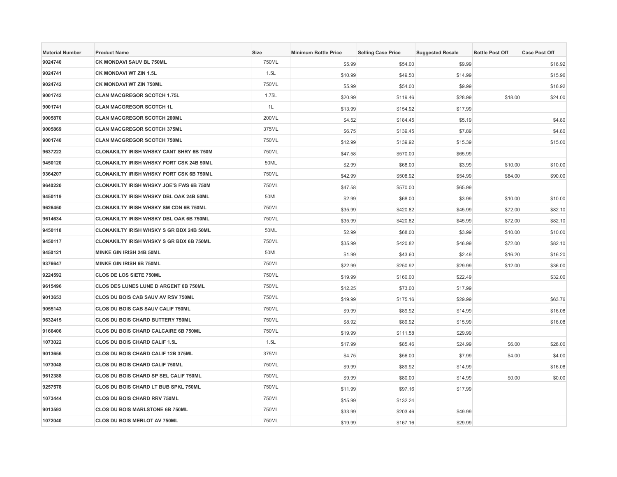| <b>Material Number</b> | <b>Product Name</b>                             | Size  | <b>Minimum Bottle Price</b> | <b>Selling Case Price</b> | <b>Suggested Resale</b> | <b>Bottle Post Off</b> | <b>Case Post Off</b> |
|------------------------|-------------------------------------------------|-------|-----------------------------|---------------------------|-------------------------|------------------------|----------------------|
| 9024740                | CK MONDAVI SAUV BL 750ML                        | 750ML | \$5.99                      | \$54.00                   | \$9.99                  |                        | \$16.92              |
| 9024741                | CK MONDAVI WT ZIN 1.5L                          | 1.5L  | \$10.99                     | \$49.50                   | \$14.99                 |                        | \$15.96              |
| 9024742                | <b>CK MONDAVI WT ZIN 750ML</b>                  | 750ML | \$5.99                      | \$54.00                   | \$9.99                  |                        | \$16.92              |
| 9001742                | <b>CLAN MACGREGOR SCOTCH 1.75L</b>              | 1.75L | \$20.99                     | \$119.46                  | \$28.99                 | \$18.00                | \$24.00              |
| 9001741                | <b>CLAN MACGREGOR SCOTCH 1L</b>                 | 1L    | \$13.99                     | \$154.92                  | \$17.99                 |                        |                      |
| 9005870                | <b>CLAN MACGREGOR SCOTCH 200ML</b>              | 200ML | \$4.52                      | \$184.45                  | \$5.19                  |                        | \$4.80               |
| 9005869                | <b>CLAN MACGREGOR SCOTCH 375ML</b>              | 375ML | \$6.75                      | \$139.45                  | \$7.89                  |                        | \$4.80               |
| 9001740                | <b>CLAN MACGREGOR SCOTCH 750ML</b>              | 750ML | \$12.99                     | \$139.92                  | \$15.39                 |                        | \$15.00              |
| 9637222                | <b>CLONAKILTY IRISH WHSKY CANT SHRY 6B 750M</b> | 750ML | \$47.58                     | \$570.00                  | \$65.99                 |                        |                      |
| 9450120                | <b>CLONAKILTY IRISH WHSKY PORT CSK 24B 50ML</b> | 50ML  | \$2.99                      | \$68.00                   | \$3.99                  | \$10.00                | \$10.00              |
| 9364207                | <b>CLONAKILTY IRISH WHSKY PORT CSK 6B 750ML</b> | 750ML | \$42.99                     | \$508.92                  | \$54.99                 | \$84.00                | \$90.00              |
| 9640220                | <b>CLONAKILTY IRISH WHSKY JOE'S FWS 6B 750M</b> | 750ML | \$47.58                     | \$570.00                  | \$65.99                 |                        |                      |
| 9450119                | <b>CLONAKILTY IRISH WHSKY DBL OAK 24B 50ML</b>  | 50ML  | \$2.99                      | \$68.00                   | \$3.99                  | \$10.00                | \$10.00              |
| 9626450                | <b>CLONAKILTY IRISH WHSKY SM CDN 6B 750ML</b>   | 750ML | \$35.99                     | \$420.82                  | \$45.99                 | \$72.00                | \$82.10              |
| 9614634                | CLONAKILTY IRISH WHSKY DBL OAK 6B 750ML         | 750ML | \$35.99                     | \$420.82                  | \$45.99                 | \$72.00                | \$82.10              |
| 9450118                | CLONAKILTY IRISH WHSKY S GR BDX 24B 50ML        | 50ML  | \$2.99                      | \$68.00                   | \$3.99                  | \$10.00                | \$10.00              |
| 9450117                | <b>CLONAKILTY IRISH WHSKY S GR BDX 6B 750ML</b> | 750ML | \$35.99                     | \$420.82                  | \$46.99                 | \$72.00                | \$82.10              |
| 9450121                | MINKE GIN IRISH 24B 50ML                        | 50ML  | \$1.99                      | \$43.60                   | \$2.49                  | \$16.20                | \$16.20              |
| 9376647                | MINKE GIN IRISH 6B 750ML                        | 750ML | \$22.99                     | \$250.92                  | \$29.99                 | \$12.00                | \$36.00              |
| 9224592                | CLOS DE LOS SIETE 750ML                         | 750ML | \$19.99                     | \$160.00                  | \$22.49                 |                        | \$32.00              |
| 9615496                | <b>CLOS DES LUNES LUNE D ARGENT 6B 750ML</b>    | 750ML | \$12.25                     | \$73.00                   | \$17.99                 |                        |                      |
| 9013653                | <b>CLOS DU BOIS CAB SAUV AV RSV 750ML</b>       | 750ML | \$19.99                     | \$175.16                  | \$29.99                 |                        | \$63.76              |
| 9055143                | <b>CLOS DU BOIS CAB SAUV CALIF 750ML</b>        | 750ML | \$9.99                      | \$89.92                   | \$14.99                 |                        | \$16.08              |
| 9632415                | CLOS DU BOIS CHARD BUTTERY 750ML                | 750ML | \$8.92                      | \$89.92                   | \$15.99                 |                        | \$16.08              |
| 9166406                | CLOS DU BOIS CHARD CALCAIRE 6B 750ML            | 750ML | \$19.99                     | \$111.58                  | \$29.99                 |                        |                      |
| 1073022                | CLOS DU BOIS CHARD CALIF 1.5L                   | 1.5L  | \$17.99                     | \$85.46                   | \$24.99                 | \$6.00                 | \$28.00              |
| 9013656                | CLOS DU BOIS CHARD CALIF 12B 375ML              | 375ML | \$4.75                      | \$56.00                   | \$7.99                  | \$4.00                 | \$4.00               |
| 1073048                | CLOS DU BOIS CHARD CALIF 750ML                  | 750ML | \$9.99                      | \$89.92                   | \$14.99                 |                        | \$16.08              |
| 9612388                | CLOS DU BOIS CHARD SP SEL CALIF 750ML           | 750ML | \$9.99                      | \$80.00                   | \$14.99                 | \$0.00                 | \$0.00               |
| 9257578                | CLOS DU BOIS CHARD LT BUB SPKL 750ML            | 750ML | \$11.99                     | \$97.16                   | \$17.99                 |                        |                      |
| 1073444                | CLOS DU BOIS CHARD RRV 750ML                    | 750ML | \$15.99                     | \$132.24                  |                         |                        |                      |
| 9013593                | <b>CLOS DU BOIS MARLSTONE 6B 750ML</b>          | 750ML | \$33.99                     | \$203.46                  | \$49.99                 |                        |                      |
| 1072040                | <b>CLOS DU BOIS MERLOT AV 750ML</b>             | 750ML | \$19.99                     | \$167.16                  | \$29.99                 |                        |                      |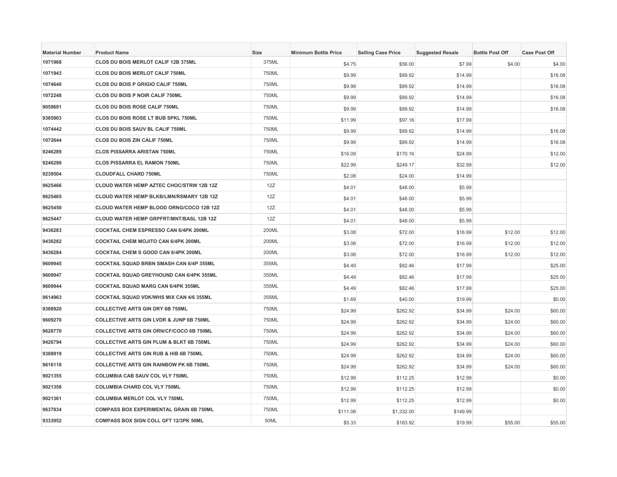| <b>Material Number</b> | <b>Product Name</b>                                 | Size  | <b>Minimum Bottle Price</b> | <b>Selling Case Price</b> | <b>Suggested Resale</b> | <b>Bottle Post Off</b> | <b>Case Post Off</b> |
|------------------------|-----------------------------------------------------|-------|-----------------------------|---------------------------|-------------------------|------------------------|----------------------|
| 1071968                | CLOS DU BOIS MERLOT CALIF 12B 375ML                 | 375ML | \$4.75                      | \$56.00                   | \$7.99                  | \$4.00                 | \$4.00               |
| 1071943                | CLOS DU BOIS MERLOT CALIF 750ML                     | 750ML | \$9.99                      | \$89.92                   | \$14.99                 |                        | \$16.08              |
| 1074640                | <b>CLOS DU BOIS P GRIGIO CALIF 750ML</b>            | 750ML | \$9.99                      | \$89.92                   | \$14.99                 |                        | \$16.08              |
| 1072248                | CLOS DU BOIS P NOIR CALIF 750ML                     | 750ML | \$9.99                      | \$89.92                   | \$14.99                 |                        | \$16.08              |
| 9059691                | CLOS DU BOIS ROSE CALIF 750ML                       | 750ML | \$9.99                      | \$89.92                   | \$14.99                 |                        | \$16.08              |
| 9385903                | CLOS DU BOIS ROSE LT BUB SPKL 750ML                 | 750ML | \$11.99                     | \$97.16                   | \$17.99                 |                        |                      |
| 1074442                | CLOS DU BOIS SAUV BL CALIF 750ML                    | 750ML | \$9.99                      | \$89.92                   | \$14.99                 |                        | \$16.08              |
| 1072644                | <b>CLOS DU BOIS ZIN CALIF 750ML</b>                 | 750ML | \$9.99                      | \$89.92                   | \$14.99                 |                        | \$16.08              |
| 9246289                | <b>CLOS PISSARRA ARISTAN 750ML</b>                  | 750ML | \$16.09                     | \$170.16                  | \$24.99                 |                        | \$12.00              |
| 9246290                | <b>CLOS PISSARRA EL RAMON 750ML</b>                 | 750ML | \$22.99                     | \$249.17                  | \$32.99                 |                        | \$12.00              |
| 9239504                | <b>CLOUDFALL CHARD 750ML</b>                        | 750ML | \$2.08                      | \$24.00                   | \$14.99                 |                        |                      |
| 9625466                | CLOUD WATER HEMP AZTEC CHOC/STRW 12B 12Z            | 12Z   | \$4.01                      | \$48.00                   | \$5.99                  |                        |                      |
| 9625465                | CLOUD WATER HEMP BLKB/LMN/RSMARY 12B 12Z            | 12Z   | \$4.01                      | \$48.00                   | \$5.99                  |                        |                      |
| 9625450                | CLOUD WATER HEMP BLOOD ORNG/COCO 12B 12Z            | 12Z   | \$4.01                      | \$48.00                   | \$5.99                  |                        |                      |
| 9625447                | <b>CLOUD WATER HEMP GRPFRT/MNT/BASL 12B 12Z</b>     | 12Z   | \$4.01                      | \$48.00                   | \$5.99                  |                        |                      |
| 9436283                | COCKTAIL CHEM ESPRESSO CAN 6/4PK 200ML              | 200ML | \$3.08                      | \$72.00                   | \$16.99                 | \$12.00                | \$12.00              |
| 9436282                | <b>COCKTAIL CHEM MOJITO CAN 6/4PK 200ML</b>         | 200ML | \$3.08                      | \$72.00                   | \$16.99                 | \$12.00                | \$12.00              |
| 9436284                | <b>COCKTAIL CHEM S GOOD CAN 6/4PK 200ML</b>         | 200ML | \$3.08                      | \$72.00                   | \$16.99                 | \$12.00                | \$12.00              |
| 9609945                | <b>COCKTAIL SQUAD BRBN SMASH CAN 6/4P 355ML</b>     | 355ML | \$4.49                      | \$82.46                   | \$17.99                 |                        | \$25.00              |
| 9609947                | <b>COCKTAIL SQUAD GREYHOUND CAN 6/4PK 355ML</b>     | 355ML | \$4.49                      | \$82.46                   | \$17.99                 |                        | \$25.00              |
| 9609944                | COCKTAIL SQUAD MARG CAN 6/4PK 355ML                 | 355ML | \$4.49                      | \$82.46                   | \$17.99                 |                        | \$25.00              |
| 9614963                | <b>COCKTAIL SQUAD VDK/WHS MIX CAN 4/6 355ML</b>     | 355ML | \$1.69                      | \$40.00                   | \$19.99                 |                        | \$0.00               |
| 9388920                | <b>COLLECTIVE ARTS GIN DRY 6B 750ML</b>             | 750ML | \$24.99                     | \$262.92                  | \$34.99                 | \$24.00                | \$60.00              |
| 9609270                | <b>COLLECTIVE ARTS GIN LVDR &amp; JUNP 6B 750ML</b> | 750ML | \$24.99                     | \$262.92                  | \$34.99                 | \$24.00                | \$60.00              |
| 9628770                | COLLECTIVE ARTS GIN ORN/CF/COCO 6B 750ML            | 750ML | \$24.99                     | \$262.92                  | \$34.99                 | \$24.00                | \$60.00              |
| 9426794                | <b>COLLECTIVE ARTS GIN PLUM &amp; BLKT 6B 750ML</b> | 750ML | \$24.99                     | \$262.92                  | \$34.99                 | \$24.00                | \$60.00              |
| 9388919                | <b>COLLECTIVE ARTS GIN RUB &amp; HIB 6B 750ML</b>   | 750ML | \$24.99                     | \$262.92                  | \$34.99                 | \$24.00                | \$60.00              |
| 9616118                | <b>COLLECTIVE ARTS GIN RAINBOW PK 6B 750ML</b>      | 750ML | \$24.99                     | \$262.92                  | \$34.99                 | \$24.00                | \$60.00              |
| 9021355                | COLUMBIA CAB SAUV COL VLY 750ML                     | 750ML | \$12.99                     | \$112.25                  | \$12.99                 |                        | \$0.00               |
| 9021358                | <b>COLUMBIA CHARD COL VLY 750ML</b>                 | 750ML | \$12.99                     | \$112.25                  | \$12.99                 |                        | \$0.00               |
| 9021361                | <b>COLUMBIA MERLOT COL VLY 750ML</b>                | 750ML | \$12.99                     | \$112.25                  | \$12.99                 |                        | \$0.00               |
| 9637834                | <b>COMPASS BOX EXPERIMENTAL GRAIN 6B 750ML</b>      | 750ML | \$111.08                    | \$1,332.00                | \$149.99                |                        |                      |
| 9333952                | COMPASS BOX SIGN COLL GFT 12/3PK 50ML               | 50ML  | \$5.33                      | \$183.92                  | \$19.99                 | \$55.00                | \$55.00              |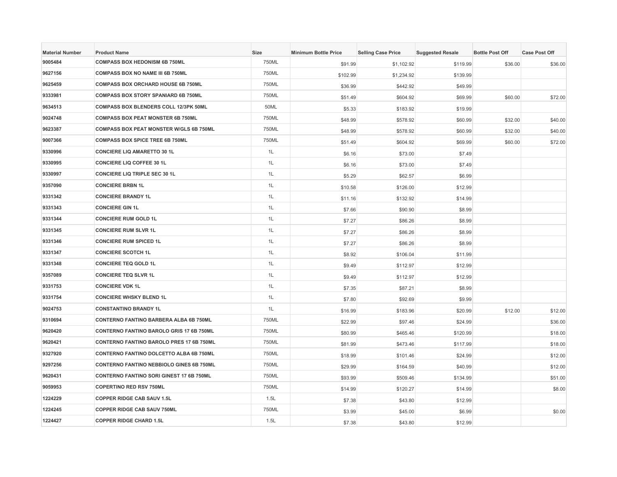| <b>Material Number</b> | <b>Product Name</b>                             | <b>Size</b> | <b>Minimum Bottle Price</b> | <b>Selling Case Price</b> | <b>Suggested Resale</b> | <b>Bottle Post Off</b> | <b>Case Post Off</b> |
|------------------------|-------------------------------------------------|-------------|-----------------------------|---------------------------|-------------------------|------------------------|----------------------|
| 9005484                | <b>COMPASS BOX HEDONISM 6B 750ML</b>            | 750ML       | \$91.99                     | \$1,102.92                | \$119.99                | \$36.00                | \$36.00              |
| 9627156                | COMPASS BOX NO NAME III 6B 750ML                | 750ML       | \$102.99                    | \$1,234.92                | \$139.99                |                        |                      |
| 9625459                | <b>COMPASS BOX ORCHARD HOUSE 6B 750ML</b>       | 750ML       | \$36.99                     | \$442.92                  | \$49.99                 |                        |                      |
| 9333981                | COMPASS BOX STORY SPANIARD 6B 750ML             | 750ML       | \$51.49                     | \$604.92                  | \$69.99                 | \$60.00                | \$72.00              |
| 9634513                | COMPASS BOX BLENDERS COLL 12/3PK 50ML           | 50ML        | \$5.33                      | \$183.92                  | \$19.99                 |                        |                      |
| 9024748                | <b>COMPASS BOX PEAT MONSTER 6B 750ML</b>        | 750ML       | \$48.99                     | \$578.92                  | \$60.99                 | \$32.00                | \$40.00              |
| 9623387                | COMPASS BOX PEAT MONSTER W/GLS 6B 750ML         | 750ML       | \$48.99                     | \$578.92                  | \$60.99                 | \$32.00                | \$40.00              |
| 9007366                | <b>COMPASS BOX SPICE TREE 6B 750ML</b>          | 750ML       | \$51.49                     | \$604.92                  | \$69.99                 | \$60.00                | \$72.00              |
| 9330996                | <b>CONCIERE LIQ AMARETTO 30 1L</b>              | 1L          | \$6.16                      | \$73.00                   | \$7.49                  |                        |                      |
| 9330995                | <b>CONCIERE LIQ COFFEE 30 1L</b>                | 1L          | \$6.16                      | \$73.00                   | \$7.49                  |                        |                      |
| 9330997                | <b>CONCIERE LIQ TRIPLE SEC 30 1L</b>            | 1L          | \$5.29                      | \$62.57                   | \$6.99                  |                        |                      |
| 9357090                | <b>CONCIERE BRBN 1L</b>                         | 1L          | \$10.58                     | \$126.00                  | \$12.99                 |                        |                      |
| 9331342                | <b>CONCIERE BRANDY 1L</b>                       | 1L          | \$11.16                     | \$132.92                  | \$14.99                 |                        |                      |
| 9331343                | <b>CONCIERE GIN 1L</b>                          | 1L          | \$7.66                      | \$90.90                   | \$8.99                  |                        |                      |
| 9331344                | <b>CONCIERE RUM GOLD 1L</b>                     | 1L          | \$7.27                      | \$86.26                   | \$8.99                  |                        |                      |
| 9331345                | <b>CONCIERE RUM SLVR 1L</b>                     | 1L          | \$7.27                      | \$86.26                   | \$8.99                  |                        |                      |
| 9331346                | <b>CONCIERE RUM SPICED 1L</b>                   | 1L          | \$7.27                      | \$86.26                   | \$8.99                  |                        |                      |
| 9331347                | <b>CONCIERE SCOTCH 1L</b>                       | 1L          | \$8.92                      | \$106.04                  | \$11.99                 |                        |                      |
| 9331348                | <b>CONCIERE TEQ GOLD 1L</b>                     | 1L          | \$9.49                      | \$112.97                  | \$12.99                 |                        |                      |
| 9357089                | <b>CONCIERE TEQ SLVR 1L</b>                     | 1L          | \$9.49                      | \$112.97                  | \$12.99                 |                        |                      |
| 9331753                | <b>CONCIERE VDK 1L</b>                          | 1L          | \$7.35                      | \$87.21                   | \$8.99                  |                        |                      |
| 9331754                | <b>CONCIERE WHSKY BLEND 1L</b>                  | 1L          | \$7.80                      | \$92.69                   | \$9.99                  |                        |                      |
| 9024753                | <b>CONSTANTINO BRANDY 1L</b>                    | 1L          | \$16.99                     | \$183.96                  | \$20.99                 | \$12.00                | \$12.00              |
| 9310694                | CONTERNO FANTINO BARBERA ALBA 6B 750ML          | 750ML       | \$22.99                     | \$97.46                   | \$24.99                 |                        | \$36.00              |
| 9620420                | CONTERNO FANTINO BAROLO GRIS 17 6B 750ML        | 750ML       | \$80.99                     | \$465.46                  | \$120.99                |                        | \$18.00              |
| 9620421                | CONTERNO FANTINO BAROLO PRES 17 6B 750ML        | 750ML       | \$81.99                     | \$473.46                  | \$117.99                |                        | \$18.00              |
| 9327920                | <b>CONTERNO FANTINO DOLCETTO ALBA 6B 750ML</b>  | 750ML       | \$18.99                     | \$101.46                  | \$24.99                 |                        | \$12.00              |
| 9297256                | <b>CONTERNO FANTINO NEBBIOLO GINES 6B 750ML</b> | 750ML       | \$29.99                     | \$164.59                  | \$40.99                 |                        | \$12.00              |
| 9620431                | CONTERNO FANTINO SORI GINEST 17 6B 750ML        | 750ML       | \$93.99                     | \$509.46                  | \$134.99                |                        | \$51.00              |
| 9059953                | <b>COPERTINO RED RSV 750ML</b>                  | 750ML       | \$14.99                     | \$120.27                  | \$14.99                 |                        | \$8.00               |
| 1224229                | <b>COPPER RIDGE CAB SAUV 1.5L</b>               | 1.5L        | \$7.38                      | \$43.80                   | \$12.99                 |                        |                      |
| 1224245                | <b>COPPER RIDGE CAB SAUV 750ML</b>              | 750ML       | \$3.99                      | \$45.00                   | \$6.99                  |                        | \$0.00               |
| 1224427                | <b>COPPER RIDGE CHARD 1.5L</b>                  | 1.5L        | \$7.38                      | \$43.80                   | \$12.99                 |                        |                      |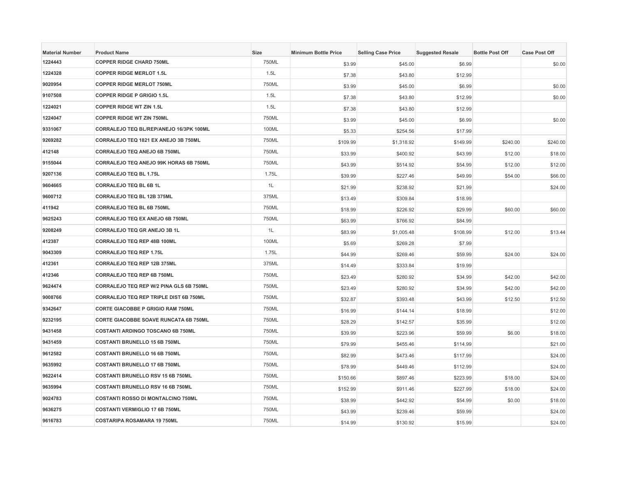| <b>Material Number</b> | <b>Product Name</b>                           | Size  | <b>Minimum Bottle Price</b> | <b>Selling Case Price</b> | <b>Suggested Resale</b> | <b>Bottle Post Off</b> | <b>Case Post Off</b> |
|------------------------|-----------------------------------------------|-------|-----------------------------|---------------------------|-------------------------|------------------------|----------------------|
| 1224443                | <b>COPPER RIDGE CHARD 750ML</b>               | 750ML | \$3.99                      | \$45.00                   | \$6.99                  |                        | \$0.00               |
| 1224328                | <b>COPPER RIDGE MERLOT 1.5L</b>               | 1.5L  | \$7.38                      | \$43.80                   | \$12.99                 |                        |                      |
| 9020954                | <b>COPPER RIDGE MERLOT 750ML</b>              | 750ML | \$3.99                      | \$45.00                   | \$6.99                  |                        | \$0.00               |
| 9107508                | <b>COPPER RIDGE P GRIGIO 1.5L</b>             | 1.5L  | \$7.38                      | \$43.80                   | \$12.99                 |                        | \$0.00               |
| 1224021                | <b>COPPER RIDGE WT ZIN 1.5L</b>               | 1.5L  | \$7.38                      | \$43.80                   | \$12.99                 |                        |                      |
| 1224047                | <b>COPPER RIDGE WT ZIN 750ML</b>              | 750ML | \$3.99                      | \$45.00                   | \$6.99                  |                        | \$0.00               |
| 9331067                | CORRALEJO TEQ BL/REP/ANEJO 16/3PK 100ML       | 100ML | \$5.33                      | \$254.56                  | \$17.99                 |                        |                      |
| 9269282                | CORRALEJO TEQ 1821 EX ANEJO 3B 750ML          | 750ML | \$109.99                    | \$1,318.92                | \$149.99                | \$240.00               | \$240.00             |
| 412148                 | CORRALEJO TEQ ANEJO 6B 750ML                  | 750ML | \$33.99                     | \$400.92                  | \$43.99                 | \$12.00                | \$18.00              |
| 9155044                | CORRALEJO TEQ ANEJO 99K HORAS 6B 750ML        | 750ML | \$43.99                     | \$514.92                  | \$54.99                 | \$12.00                | \$12.00              |
| 9207136                | <b>CORRALEJO TEQ BL 1.75L</b>                 | 1.75L | \$39.99                     | \$227.46                  | \$49.99                 | \$54.00                | \$66.00              |
| 9604665                | CORRALEJO TEQ BL 6B 1L                        | 1L    | \$21.99                     | \$238.92                  | \$21.99                 |                        | \$24.00              |
| 9600712                | CORRALEJO TEQ BL 12B 375ML                    | 375ML | \$13.49                     | \$309.84                  | \$18.99                 |                        |                      |
| 411942                 | CORRALEJO TEQ BL 6B 750ML                     | 750ML | \$18.99                     | \$226.92                  | \$29.99                 | \$60.00                | \$60.00              |
| 9625243                | <b>CORRALEJO TEQ EX ANEJO 6B 750ML</b>        | 750ML | \$63.99                     | \$766.92                  | \$84.99                 |                        |                      |
| 9208249                | CORRALEJO TEQ GR ANEJO 3B 1L                  | 1L    | \$83.99                     | \$1,005.48                | \$108.99                | \$12.00                | \$13.44              |
| 412387                 | CORRALEJO TEQ REP 48B 100ML                   | 100ML | \$5.69                      | \$269.28                  | \$7.99                  |                        |                      |
| 9043309                | <b>CORRALEJO TEQ REP 1.75L</b>                | 1.75L | \$44.99                     | \$269.46                  | \$59.99                 | \$24.00                | \$24.00              |
| 412361                 | CORRALEJO TEQ REP 12B 375ML                   | 375ML | \$14.49                     | \$333.84                  | \$19.99                 |                        |                      |
| 412346                 | CORRALEJO TEQ REP 6B 750ML                    | 750ML | \$23.49                     | \$280.92                  | \$34.99                 | \$42.00                | \$42.00              |
| 9624474                | CORRALEJO TEQ REP W/2 PINA GLS 6B 750ML       | 750ML | \$23.49                     | \$280.92                  | \$34.99                 | \$42.00                | \$42.00              |
| 9008766                | <b>CORRALEJO TEQ REP TRIPLE DIST 6B 750ML</b> | 750ML | \$32.87                     | \$393.48                  | \$43.99                 | \$12.50                | \$12.50              |
| 9342647                | <b>CORTE GIACOBBE P GRIGIO RAM 750ML</b>      | 750ML | \$16.99                     | \$144.14                  | \$18.99                 |                        | \$12.00              |
| 9232195                | <b>CORTE GIACOBBE SOAVE RUNCATA 6B 750ML</b>  | 750ML | \$28.29                     | \$142.57                  | \$35.99                 |                        | \$12.00              |
| 9431458                | <b>COSTANTI ARDINGO TOSCANO 6B 750ML</b>      | 750ML | \$39.99                     | \$223.96                  | \$59.99                 | \$6.00                 | \$18.00              |
| 9431459                | <b>COSTANTI BRUNELLO 15 6B 750ML</b>          | 750ML | \$79.99                     | \$455.46                  | \$114.99                |                        | \$21.00              |
| 9612582                | <b>COSTANTI BRUNELLO 16 6B 750ML</b>          | 750ML | \$82.99                     | \$473.46                  | \$117.99                |                        | \$24.00              |
| 9635992                | <b>COSTANTI BRUNELLO 17 6B 750ML</b>          | 750ML | \$78.99                     | \$449.46                  | \$112.99                |                        | \$24.00              |
| 9622414                | <b>COSTANTI BRUNELLO RSV 15 6B 750ML</b>      | 750ML | \$150.66                    | \$897.46                  | \$223.99                | \$18.00                | \$24.00              |
| 9635994                | <b>COSTANTI BRUNELLO RSV 16 6B 750ML</b>      | 750ML | \$152.99                    | \$911.46                  | \$227.99                | \$18.00                | \$24.00              |
| 9024783                | COSTANTI ROSSO DI MONTALCINO 750ML            | 750ML | \$38.99                     | \$442.92                  | \$54.99                 | \$0.00                 | \$18.00              |
| 9636275                | <b>COSTANTI VERMIGLIO 17 6B 750ML</b>         | 750ML | \$43.99                     | \$239.46                  | \$59.99                 |                        | \$24.00              |
| 9616783                | <b>COSTARIPA ROSAMARA 19 750ML</b>            | 750ML | \$14.99                     | \$130.92                  | \$15.99                 |                        | \$24.00              |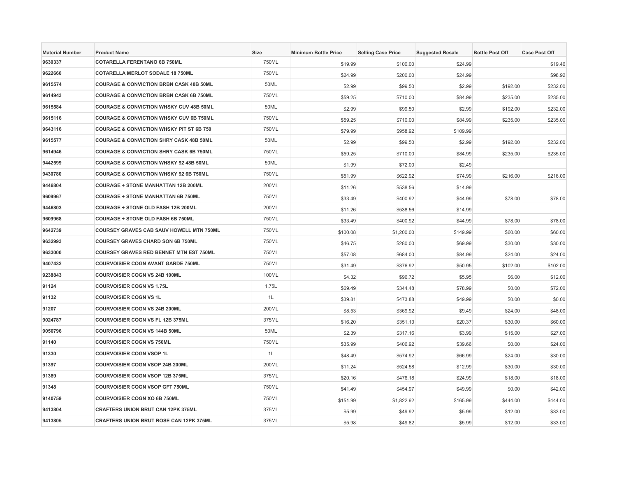| <b>Material Number</b> | <b>Product Name</b>                                 | Size  | <b>Minimum Bottle Price</b> | <b>Selling Case Price</b> | <b>Suggested Resale</b> | <b>Bottle Post Off</b> | <b>Case Post Off</b> |
|------------------------|-----------------------------------------------------|-------|-----------------------------|---------------------------|-------------------------|------------------------|----------------------|
| 9630337                | <b>COTARELLA FERENTANO 6B 750ML</b>                 | 750ML | \$19.99                     | \$100.00                  | \$24.99                 |                        | \$19.46              |
| 9622660                | <b>COTARELLA MERLOT SODALE 18 750ML</b>             | 750ML | \$24.99                     | \$200.00                  | \$24.99                 |                        | \$98.92              |
| 9615574                | <b>COURAGE &amp; CONVICTION BRBN CASK 48B 50ML</b>  | 50ML  | \$2.99                      | \$99.50                   | \$2.99                  | \$192.00               | \$232.00             |
| 9614943                | <b>COURAGE &amp; CONVICTION BRBN CASK 6B 750ML</b>  | 750ML | \$59.25                     | \$710.00                  | \$84.99                 | \$235.00               | \$235.00             |
| 9615584                | <b>COURAGE &amp; CONVICTION WHSKY CUV 48B 50ML</b>  | 50ML  | \$2.99                      | \$99.50                   | \$2.99                  | \$192.00               | \$232.00             |
| 9615116                | <b>COURAGE &amp; CONVICTION WHSKY CUV 6B 750ML</b>  | 750ML | \$59.25                     | \$710.00                  | \$84.99                 | \$235.00               | \$235.00             |
| 9643116                | <b>COURAGE &amp; CONVICTION WHSKY PIT ST 6B 750</b> | 750ML | \$79.99                     | \$958.92                  | \$109.99                |                        |                      |
| 9615577                | <b>COURAGE &amp; CONVICTION SHRY CASK 48B 50ML</b>  | 50ML  | \$2.99                      | \$99.50                   | \$2.99                  | \$192.00               | \$232.00             |
| 9614946                | <b>COURAGE &amp; CONVICTION SHRY CASK 6B 750ML</b>  | 750ML | \$59.25                     | \$710.00                  | \$84.99                 | \$235.00               | \$235.00             |
| 9442599                | <b>COURAGE &amp; CONVICTION WHSKY 92 48B 50ML</b>   | 50ML  | \$1.99                      | \$72.00                   | \$2.49                  |                        |                      |
| 9430780                | <b>COURAGE &amp; CONVICTION WHSKY 92 6B 750ML</b>   | 750ML | \$51.99                     | \$622.92                  | \$74.99                 | \$216.00               | \$216.00             |
| 9446804                | <b>COURAGE + STONE MANHATTAN 12B 200ML</b>          | 200ML | \$11.26                     | \$538.56                  | \$14.99                 |                        |                      |
| 9609967                | <b>COURAGE + STONE MANHATTAN 6B 750ML</b>           | 750ML | \$33.49                     | \$400.92                  | \$44.99                 | \$78.00                | \$78.00              |
| 9446803                | COURAGE + STONE OLD FASH 12B 200ML                  | 200ML | \$11.26                     | \$538.56                  | \$14.99                 |                        |                      |
| 9609968                | <b>COURAGE + STONE OLD FASH 6B 750ML</b>            | 750ML | \$33.49                     | \$400.92                  | \$44.99                 | \$78.00                | \$78.00              |
| 9642739                | <b>COURSEY GRAVES CAB SAUV HOWELL MTN 750ML</b>     | 750ML | \$100.08                    | \$1,200.00                | \$149.99                | \$60.00                | \$60.00              |
| 9632993                | <b>COURSEY GRAVES CHARD SON 6B 750ML</b>            | 750ML | \$46.75                     | \$280.00                  | \$69.99                 | \$30.00                | \$30.00              |
| 9633000                | <b>COURSEY GRAVES RED BENNET MTN EST 750ML</b>      | 750ML | \$57.08                     | \$684.00                  | \$84.99                 | \$24.00                | \$24.00              |
| 9407432                | <b>COURVOISIER COGN AVANT GARDE 750ML</b>           | 750ML | \$31.49                     | \$376.92                  | \$50.95                 | \$102.00               | \$102.00             |
| 9238843                | <b>COURVOISIER COGN VS 24B 100ML</b>                | 100ML | \$4.32                      | \$96.72                   | \$5.95                  | \$6.00                 | \$12.00              |
| 91124                  | <b>COURVOISIER COGN VS 1.75L</b>                    | 1.75L | \$69.49                     | \$344.48                  | \$78.99                 | \$0.00                 | \$72.00              |
| 91132                  | <b>COURVOISIER COGN VS 1L</b>                       | 1L    | \$39.81                     | \$473.88                  | \$49.99                 | \$0.00                 | \$0.00               |
| 91207                  | <b>COURVOISIER COGN VS 24B 200ML</b>                | 200ML | \$8.53                      | \$369.92                  | \$9.49                  | \$24.00                | \$48.00              |
| 9024787                | <b>COURVOISIER COGN VS FL 12B 375ML</b>             | 375ML | \$16.20                     | \$351.13                  | \$20.37                 | \$30.00                | \$60.00              |
| 9050796                | <b>COURVOISIER COGN VS 144B 50ML</b>                | 50ML  | \$2.39                      | \$317.16                  | \$3.99                  | \$15.00                | \$27.00              |
| 91140                  | <b>COURVOISIER COGN VS 750ML</b>                    | 750ML | \$35.99                     | \$406.92                  | \$39.66                 | \$0.00                 | \$24.00              |
| 91330                  | <b>COURVOISIER COGN VSOP 1L</b>                     | 1L    | \$48.49                     | \$574.92                  | \$66.99                 | \$24.00                | \$30.00              |
| 91397                  | COURVOISIER COGN VSOP 24B 200ML                     | 200ML | \$11.24                     | \$524.58                  | \$12.99                 | \$30.00                | \$30.00              |
| 91389                  | <b>COURVOISIER COGN VSOP 12B 375ML</b>              | 375ML | \$20.16                     | \$476.18                  | \$24.99                 | \$18.00                | \$18.00              |
| 91348                  | <b>COURVOISIER COGN VSOP GFT 750ML</b>              | 750ML | \$41.49                     | \$454.97                  | \$49.99                 | \$0.00                 | \$42.00              |
| 9140759                | <b>COURVOISIER COGN XO 6B 750ML</b>                 | 750ML | \$151.99                    | \$1,822.92                | \$165.99                | \$444.00               | \$444.00             |
| 9413804                | <b>CRAFTERS UNION BRUT CAN 12PK 375ML</b>           | 375ML | \$5.99                      | \$49.92                   | \$5.99                  | \$12.00                | \$33.00              |
| 9413805                | <b>CRAFTERS UNION BRUT ROSE CAN 12PK 375ML</b>      | 375ML | \$5.98                      | \$49.82                   | \$5.99                  | \$12.00                | \$33.00              |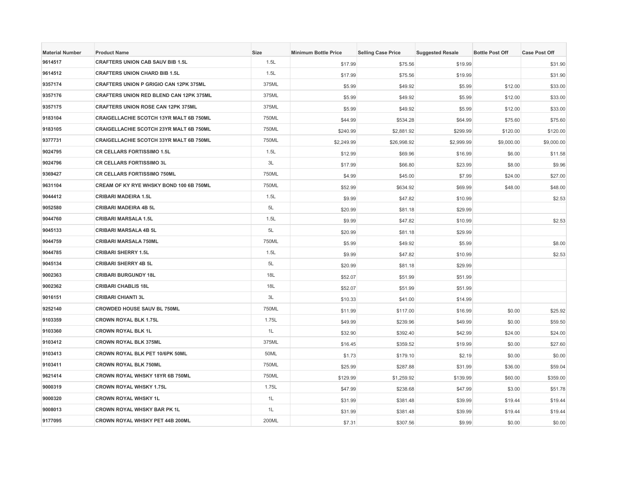| <b>Material Number</b> | <b>Product Name</b>                            | Size  | <b>Minimum Bottle Price</b> | <b>Selling Case Price</b> | <b>Suggested Resale</b> | <b>Bottle Post Off</b> | <b>Case Post Off</b> |
|------------------------|------------------------------------------------|-------|-----------------------------|---------------------------|-------------------------|------------------------|----------------------|
| 9614517                | <b>CRAFTERS UNION CAB SAUV BIB 1.5L</b>        | 1.5L  | \$17.99                     | \$75.56                   | \$19.99                 |                        | \$31.90              |
| 9614512                | <b>CRAFTERS UNION CHARD BIB 1.5L</b>           | 1.5L  | \$17.99                     | \$75.56                   | \$19.99                 |                        | \$31.90              |
| 9357174                | <b>CRAFTERS UNION P GRIGIO CAN 12PK 375ML</b>  | 375ML | \$5.99                      | \$49.92                   | \$5.99                  | \$12.00                | \$33.00              |
| 9357176                | CRAFTERS UNION RED BLEND CAN 12PK 375ML        | 375ML | \$5.99                      | \$49.92                   | \$5.99                  | \$12.00                | \$33.00              |
| 9357175                | <b>CRAFTERS UNION ROSE CAN 12PK 375ML</b>      | 375ML | \$5.99                      | \$49.92                   | \$5.99                  | \$12.00                | \$33.00              |
| 9183104                | <b>CRAIGELLACHIE SCOTCH 13YR MALT 6B 750ML</b> | 750ML | \$44.99                     | \$534.28                  | \$64.99                 | \$75.60                | \$75.60              |
| 9183105                | <b>CRAIGELLACHIE SCOTCH 23YR MALT 6B 750ML</b> | 750ML | \$240.99                    | \$2,881.92                | \$299.99                | \$120.00               | \$120.00             |
| 9377731                | <b>CRAIGELLACHIE SCOTCH 33YR MALT 6B 750ML</b> | 750ML | \$2,249.99                  | \$26,998.92               | \$2,999.99              | \$9,000.00             | \$9,000.00           |
| 9024795                | <b>CR CELLARS FORTISSIMO 1.5L</b>              | 1.5L  | \$12.99                     | \$69.96                   | \$16.99                 | \$6.00                 | \$11.58              |
| 9024796                | <b>CR CELLARS FORTISSIMO 3L</b>                | 3L    | \$17.99                     | \$66.80                   | \$23.99                 | \$8.00                 | \$9.96               |
| 9369427                | <b>CR CELLARS FORTISSIMO 750ML</b>             | 750ML | \$4.99                      | \$45.00                   | \$7.99                  | \$24.00                | \$27.00              |
| 9631104                | CREAM OF KY RYE WHSKY BOND 100 6B 750ML        | 750ML | \$52.99                     | \$634.92                  | \$69.99                 | \$48.00                | \$48.00              |
| 9044412                | <b>CRIBARI MADEIRA 1.5L</b>                    | 1.5L  | \$9.99                      | \$47.82                   | \$10.99                 |                        | \$2.53               |
| 9052580                | <b>CRIBARI MADEIRA 4B 5L</b>                   | 5L    | \$20.99                     | \$81.18                   | \$29.99                 |                        |                      |
| 9044760                | <b>CRIBARI MARSALA 1.5L</b>                    | 1.5L  | \$9.99                      | \$47.82                   | \$10.99                 |                        | \$2.53               |
| 9045133                | <b>CRIBARI MARSALA 4B 5L</b>                   | 5L    | \$20.99                     | \$81.18                   | \$29.99                 |                        |                      |
| 9044759                | <b>CRIBARI MARSALA 750ML</b>                   | 750ML | \$5.99                      | \$49.92                   | \$5.99                  |                        | \$8.00               |
| 9044785                | <b>CRIBARI SHERRY 1.5L</b>                     | 1.5L  | \$9.99                      | \$47.82                   | \$10.99                 |                        | \$2.53               |
| 9045134                | <b>CRIBARI SHERRY 4B 5L</b>                    | 5L    | \$20.99                     | \$81.18                   | \$29.99                 |                        |                      |
| 9002363                | <b>CRIBARI BURGUNDY 18L</b>                    | 18L   | \$52.07                     | \$51.99                   | \$51.99                 |                        |                      |
| 9002362                | <b>CRIBARI CHABLIS 18L</b>                     | 18L   | \$52.07                     | \$51.99                   | \$51.99                 |                        |                      |
| 9016151                | <b>CRIBARI CHIANTI 3L</b>                      | 3L    | \$10.33                     | \$41.00                   | \$14.99                 |                        |                      |
| 9252140                | <b>CROWDED HOUSE SAUV BL 750ML</b>             | 750ML | \$11.99                     | \$117.00                  | \$16.99                 | \$0.00                 | \$25.92              |
| 9103359                | <b>CROWN ROYAL BLK 1.75L</b>                   | 1.75L | \$49.99                     | \$239.96                  | \$49.99                 | \$0.00                 | \$59.50              |
| 9103360                | <b>CROWN ROYAL BLK 1L</b>                      | 1L    | \$32.90                     | \$392.40                  | \$42.99                 | \$24.00                | \$24.00              |
| 9103412                | <b>CROWN ROYAL BLK 375ML</b>                   | 375ML | \$16.45                     | \$359.52                  | \$19.99                 | \$0.00                 | \$27.60              |
| 9103413                | CROWN ROYAL BLK PET 10/6PK 50ML                | 50ML  | \$1.73                      | \$179.10                  | \$2.19                  | \$0.00                 | \$0.00               |
| 9103411                | <b>CROWN ROYAL BLK 750ML</b>                   | 750ML | \$25.99                     | \$287.88                  | \$31.99                 | \$36.00                | \$59.04              |
| 9621414                | CROWN ROYAL WHSKY 18YR 6B 750ML                | 750ML | \$129.99                    | \$1,259.92                | \$139.99                | \$60.00                | \$359.00             |
| 9000319                | <b>CROWN ROYAL WHSKY 1.75L</b>                 | 1.75L | \$47.99                     | \$238.68                  | \$47.99                 | \$3.00                 | \$51.78              |
| 9000320                | <b>CROWN ROYAL WHSKY 1L</b>                    | 1L    | \$31.99                     | \$381.48                  | \$39.99                 | \$19.44                | \$19.44              |
| 9008013                | <b>CROWN ROYAL WHSKY BAR PK 1L</b>             | 1L    | \$31.99                     | \$381.48                  | \$39.99                 | \$19.44                | \$19.44              |
| 9177095                | CROWN ROYAL WHSKY PET 44B 200ML                | 200ML | \$7.31                      | \$307.56                  | \$9.99                  | \$0.00                 | \$0.00               |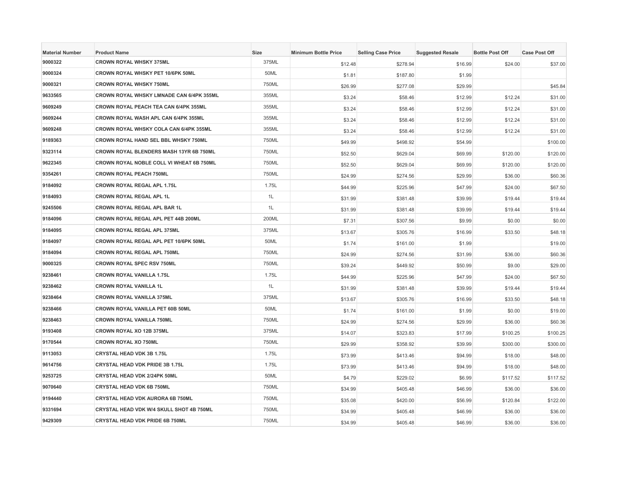| <b>Material Number</b> | <b>Product Name</b>                           | Size  | <b>Minimum Bottle Price</b> | <b>Selling Case Price</b> | <b>Suggested Resale</b> | <b>Bottle Post Off</b> | <b>Case Post Off</b> |
|------------------------|-----------------------------------------------|-------|-----------------------------|---------------------------|-------------------------|------------------------|----------------------|
| 9000322                | <b>CROWN ROYAL WHSKY 375ML</b>                | 375ML | \$12.48                     | \$278.94                  | \$16.99                 | \$24.00                | \$37.00              |
| 9000324                | CROWN ROYAL WHSKY PET 10/6PK 50ML             | 50ML  | \$1.81                      | \$187.80                  | \$1.99                  |                        |                      |
| 9000321                | <b>CROWN ROYAL WHSKY 750ML</b>                | 750ML | \$26.99                     | \$277.08                  | \$29.99                 |                        | \$45.84              |
| 9633565                | CROWN ROYAL WHSKY LMNADE CAN 6/4PK 355ML      | 355ML | \$3.24                      | \$58.46                   | \$12.99                 | \$12.24                | \$31.00              |
| 9609249                | CROWN ROYAL PEACH TEA CAN 6/4PK 355ML         | 355ML | \$3.24                      | \$58.46                   | \$12.99                 | \$12.24                | \$31.00              |
| 9609244                | CROWN ROYAL WASH APL CAN 6/4PK 355ML          | 355ML | \$3.24                      | \$58.46                   | \$12.99                 | \$12.24                | \$31.00              |
| 9609248                | <b>CROWN ROYAL WHSKY COLA CAN 6/4PK 355ML</b> | 355ML | \$3.24                      | \$58.46                   | \$12.99                 | \$12.24                | \$31.00              |
| 9189363                | CROWN ROYAL HAND SEL BBL WHSKY 750ML          | 750ML | \$49.99                     | \$498.92                  | \$54.99                 |                        | \$100.00             |
| 9323114                | CROWN ROYAL BLENDERS MASH 13YR 6B 750ML       | 750ML | \$52.50                     | \$629.04                  | \$69.99                 | \$120.00               | \$120.00             |
| 9622345                | CROWN ROYAL NOBLE COLL VI WHEAT 6B 750ML      | 750ML | \$52.50                     | \$629.04                  | \$69.99                 | \$120.00               | \$120.00             |
| 9354261                | <b>CROWN ROYAL PEACH 750ML</b>                | 750ML | \$24.99                     | \$274.56                  | \$29.99                 | \$36.00                | \$60.36              |
| 9184092                | <b>CROWN ROYAL REGAL APL 1.75L</b>            | 1.75L | \$44.99                     | \$225.96                  | \$47.99                 | \$24.00                | \$67.50              |
| 9184093                | CROWN ROYAL REGAL APL 1L                      | 1L    | \$31.99                     | \$381.48                  | \$39.99                 | \$19.44                | \$19.44              |
| 9245506                | CROWN ROYAL REGAL APL BAR 1L                  | 1L    | \$31.99                     | \$381.48                  | \$39.99                 | \$19.44                | \$19.44              |
| 9184096                | <b>CROWN ROYAL REGAL APL PET 44B 200ML</b>    | 200ML | \$7.31                      | \$307.56                  | \$9.99                  | \$0.00                 | \$0.00               |
| 9184095                | <b>CROWN ROYAL REGAL APL 375ML</b>            | 375ML | \$13.67                     | \$305.76                  | \$16.99                 | \$33.50                | \$48.18              |
| 9184097                | CROWN ROYAL REGAL APL PET 10/6PK 50ML         | 50ML  | \$1.74                      | \$161.00                  | \$1.99                  |                        | \$19.00              |
| 9184094                | CROWN ROYAL REGAL APL 750ML                   | 750ML | \$24.99                     | \$274.56                  | \$31.99                 | \$36.00                | \$60.36              |
| 9000325                | <b>CROWN ROYAL SPEC RSV 750ML</b>             | 750ML | \$39.24                     | \$449.92                  | \$50.99                 | \$9.00                 | \$29.00              |
| 9238461                | <b>CROWN ROYAL VANILLA 1.75L</b>              | 1.75L | \$44.99                     | \$225.96                  | \$47.99                 | \$24.00                | \$67.50              |
| 9238462                | <b>CROWN ROYAL VANILLA 1L</b>                 | 1L    | \$31.99                     | \$381.48                  | \$39.99                 | \$19.44                | \$19.44              |
| 9238464                | <b>CROWN ROYAL VANILLA 375ML</b>              | 375ML | \$13.67                     | \$305.76                  | \$16.99                 | \$33.50                | \$48.18              |
| 9238466                | CROWN ROYAL VANILLA PET 60B 50ML              | 50ML  | \$1.74                      | \$161.00                  | \$1.99                  | \$0.00                 | \$19.00              |
| 9238463                | <b>CROWN ROYAL VANILLA 750ML</b>              | 750ML | \$24.99                     | \$274.56                  | \$29.99                 | \$36.00                | \$60.36              |
| 9193408                | CROWN ROYAL XO 12B 375ML                      | 375ML | \$14.07                     | \$323.83                  | \$17.99                 | \$100.25               | \$100.25             |
| 9170544                | <b>CROWN ROYAL XO 750ML</b>                   | 750ML | \$29.99                     | \$358.92                  | \$39.99                 | \$300.00               | \$300.00             |
| 9113053                | <b>CRYSTAL HEAD VDK 3B 1.75L</b>              | 1.75L | \$73.99                     | \$413.46                  | \$94.99                 | \$18.00                | \$48.00              |
| 9614756                | CRYSTAL HEAD VDK PRIDE 3B 1.75L               | 1.75L | \$73.99                     | \$413.46                  | \$94.99                 | \$18.00                | \$48.00              |
| 9253725                | CRYSTAL HEAD VDK 2/24PK 50ML                  | 50ML  | \$4.79                      | \$229.02                  | \$6.99                  | \$117.52               | \$117.52             |
| 9070640                | CRYSTAL HEAD VDK 6B 750ML                     | 750ML | \$34.99                     | \$405.48                  | \$46.99                 | \$36.00                | \$36.00              |
| 9194440                | CRYSTAL HEAD VDK AURORA 6B 750ML              | 750ML | \$35.08                     | \$420.00                  | \$56.99                 | \$120.84               | \$122.00             |
| 9331694                | CRYSTAL HEAD VDK W/4 SKULL SHOT 4B 750ML      | 750ML | \$34.99                     | \$405.48                  | \$46.99                 | \$36.00                | \$36.00              |
| 9429309                | CRYSTAL HEAD VDK PRIDE 6B 750ML               | 750ML | \$34.99                     | \$405.48                  | \$46.99                 | \$36.00                | \$36.00              |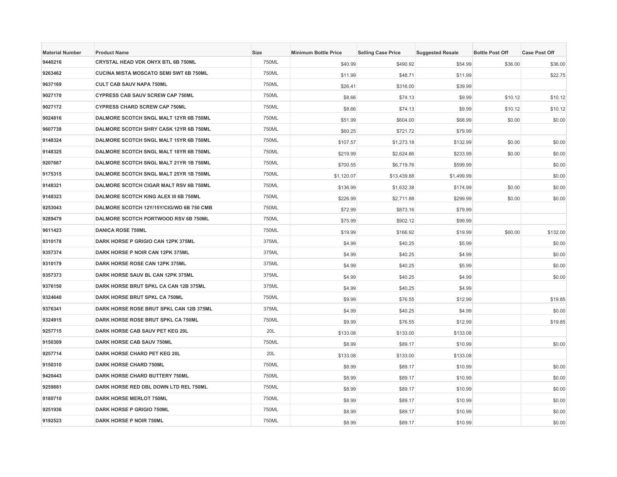| <b>Material Number</b> | <b>Product Name</b>                           | <b>Size</b>  | <b>Minimum Bottle Price</b> | <b>Selling Case Price</b> | <b>Suggested Resale</b> | <b>Bottle Post Off</b> | <b>Case Post Off</b> |
|------------------------|-----------------------------------------------|--------------|-----------------------------|---------------------------|-------------------------|------------------------|----------------------|
| 9440216                | CRYSTAL HEAD VDK ONYX BTL 6B 750ML            | 750ML        | \$40.99                     | \$490.92                  | \$54.99                 | \$36.00                | \$36.00              |
| 9263462                | <b>CUCINA MISTA MOSCATO SEMI SWT 6B 750ML</b> | 750ML        | \$11.99                     | \$48.71                   | \$11.99                 |                        | \$22.75              |
| 9637169                | <b>CULT CAB SAUV NAPA 750ML</b>               | 750ML        | \$26.41                     | \$316.00                  | \$39.99                 |                        |                      |
| 9027170                | CYPRESS CAB SAUV SCREW CAP 750ML              | 750ML        | \$8.66                      | \$74.13                   | \$9.99                  | \$10.12                | \$10.12              |
| 9027172                | <b>CYPRESS CHARD SCREW CAP 750ML</b>          | 750ML        | \$8.66                      | \$74.13                   | \$9.99                  | \$10.12                | \$10.12              |
| 9024816                | DALMORE SCOTCH SNGL MALT 12YR 6B 750ML        | 750ML        | \$51.99                     | \$604.00                  | \$68.99                 | \$0.00                 | \$0.00               |
| 9607738                | DALMORE SCOTCH SHRY CASK 12YR 6B 750ML        | 750ML        | \$60.25                     | \$721.72                  | \$79.99                 |                        |                      |
| 9148324                | DALMORE SCOTCH SNGL MALT 15YR 6B 750ML        | 750ML        | \$107.57                    | \$1,273.18                | \$132.99                | \$0.00                 | \$0.00               |
| 9148325                | DALMORE SCOTCH SNGL MALT 18YR 6B 750ML        | 750ML        | \$219.99                    | \$2,624.86                | \$233.99                | \$0.00                 | \$0.00               |
| 9207667                | DALMORE SCOTCH SNGL MALT 21YR 1B 750ML        | 750ML        | \$700.55                    | \$6,719.76                | \$599.99                |                        | \$0.00               |
| 9175315                | DALMORE SCOTCH SNGL MALT 25YR 1B 750ML        | 750ML        | \$1,120.07                  | \$13,439.88               | \$1,499.99              |                        | \$0.00               |
| 9148321                | DALMORE SCOTCH CIGAR MALT RSV 6B 750ML        | 750ML        | \$136.99                    | \$1,632.38                | \$174.99                | \$0.00                 | \$0.00               |
| 9148323                | DALMORE SCOTCH KING ALEX III 6B 750ML         | 750ML        | \$226.99                    | \$2,711.88                | \$299.99                | \$0.00                 | \$0.00               |
| 9253043                | DALMORE SCOTCH 12Y/15Y/CIG/WD 6B 750 CMB      | 750ML        | \$72.99                     | \$873.16                  | \$79.99                 |                        |                      |
| 9289479                | DALMORE SCOTCH PORTWOOD RSV 6B 750ML          | 750ML        | \$75.99                     | \$902.12                  | \$99.99                 |                        |                      |
| 9611423                | <b>DANICA ROSE 750ML</b>                      | 750ML        | \$19.99                     | \$166.92                  | \$19.99                 | \$60.00                | \$132.00             |
| 9310178                | DARK HORSE P GRIGIO CAN 12PK 375ML            | 375ML        | \$4.99                      | \$40.25                   | \$5.99                  |                        | \$0.00               |
| 9357374                | DARK HORSE P NOIR CAN 12PK 375ML              | 375ML        | \$4.99                      | \$40.25                   | \$4.99                  |                        | \$0.00               |
| 9310179                | DARK HORSE ROSE CAN 12PK 375ML                | 375ML        | \$4.99                      | \$40.25                   | \$5.99                  |                        | \$0.00               |
| 9357373                | DARK HORSE SAUV BL CAN 12PK 375ML             | 375ML        | \$4.99                      | \$40.25                   | \$4.99                  |                        | \$0.00               |
| 9376150                | DARK HORSE BRUT SPKL CA CAN 12B 375ML         | 375ML        | \$4.99                      | \$40.25                   | \$4.99                  |                        |                      |
| 9324640                | <b>DARK HORSE BRUT SPKL CA 750ML</b>          | 750ML        | \$9.99                      | \$76.55                   | \$12.99                 |                        | \$19.85              |
| 9376341                | DARK HORSE ROSE BRUT SPKL CAN 12B 375ML       | 375ML        | \$4.99                      | \$40.25                   | \$4.99                  |                        | \$0.00               |
| 9324915                | DARK HORSE ROSE BRUT SPKL CA 750ML            | 750ML        | \$9.99                      | \$76.55                   | \$12.99                 |                        | \$19.85              |
| 9257715                | DARK HORSE CAB SAUV PET KEG 20L               | 20L          | \$133.08                    | \$133.00                  | \$133.08                |                        |                      |
| 9150309                | DARK HORSE CAB SAUV 750ML                     | 750ML        | \$8.99                      | \$89.17                   | \$10.99                 |                        | \$0.00               |
| 9257714                | DARK HORSE CHARD PET KEG 20L                  | 20L          | \$133.08                    | \$133.00                  | \$133.08                |                        |                      |
| 9150310                | <b>DARK HORSE CHARD 750ML</b>                 | 750ML        | \$8.99                      | \$89.17                   | \$10.99                 |                        | \$0.00               |
| 9420443                | <b>DARK HORSE CHARD BUTTERY 750ML</b>         | 750ML        | \$8.99                      | \$89.17                   | \$10.99                 |                        | \$0.00               |
| 9259881                | DARK HORSE RED DBL DOWN LTD REL 750ML         | 750ML        | \$8.99                      | \$89.17                   | \$10.99                 |                        | \$0.00               |
| 9180710                | <b>DARK HORSE MERLOT 750ML</b>                | 750ML        | \$8.99                      | \$89.17                   | \$10.99                 |                        | \$0.00               |
| 9251936                | DARK HORSE P GRIGIO 750ML                     | 750ML        | \$8.99                      | \$89.17                   | \$10.99                 |                        | \$0.00               |
| 9192523                | <b>DARK HORSE P NOIR 750ML</b>                | <b>750ML</b> | \$8.99                      | \$89.17                   | \$10.99                 |                        | \$0.00               |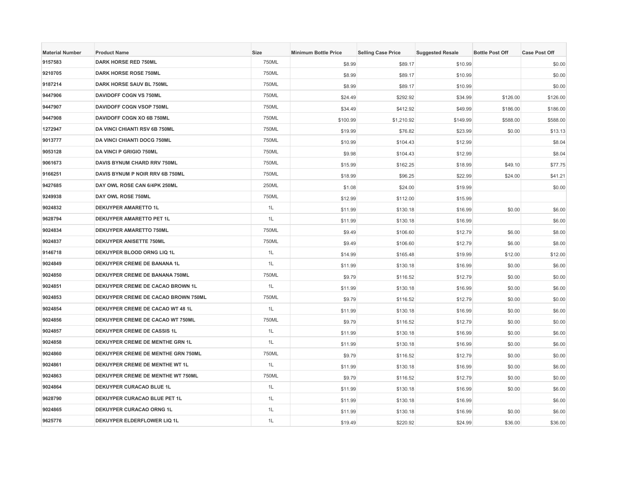| <b>Material Number</b> | <b>Product Name</b>                  | <b>Size</b> | <b>Minimum Bottle Price</b> | <b>Selling Case Price</b> | <b>Suggested Resale</b> | <b>Bottle Post Off</b> | <b>Case Post Off</b> |
|------------------------|--------------------------------------|-------------|-----------------------------|---------------------------|-------------------------|------------------------|----------------------|
| 9157583                | DARK HORSE RED 750ML                 | 750ML       | \$8.99                      | \$89.17                   | \$10.99                 |                        | \$0.00               |
| 9210705                | <b>DARK HORSE ROSE 750ML</b>         | 750ML       | \$8.99                      | \$89.17                   | \$10.99                 |                        | \$0.00               |
| 9187214                | DARK HORSE SAUV BL 750ML             | 750ML       | \$8.99                      | \$89.17                   | \$10.99                 |                        | \$0.00               |
| 9447906                | <b>DAVIDOFF COGN VS 750ML</b>        | 750ML       | \$24.49                     | \$292.92                  | \$34.99                 | \$126.00               | \$126.00             |
| 9447907                | DAVIDOFF COGN VSOP 750ML             | 750ML       | \$34.49                     | \$412.92                  | \$49.99                 | \$186.00               | \$186.00             |
| 9447908                | DAVIDOFF COGN XO 6B 750ML            | 750ML       | \$100.99                    | \$1,210.92                | \$149.99                | \$588.00               | \$588.00             |
| 1272947                | <b>DA VINCI CHIANTI RSV 6B 750ML</b> | 750ML       | \$19.99                     | \$76.82                   | \$23.99                 | \$0.00                 | \$13.13              |
| 9013777                | DA VINCI CHIANTI DOCG 750ML          | 750ML       | \$10.99                     | \$104.43                  | \$12.99                 |                        | \$8.04               |
| 9053128                | <b>DA VINCI P GRIGIO 750ML</b>       | 750ML       | \$9.98                      | \$104.43                  | \$12.99                 |                        | \$8.04               |
| 9061673                | DAVIS BYNUM CHARD RRV 750ML          | 750ML       | \$15.99                     | \$162.25                  | \$18.99                 | \$49.10                | \$77.75              |
| 9166251                | DAVIS BYNUM P NOIR RRV 6B 750ML      | 750ML       | \$18.99                     | \$96.25                   | \$22.99                 | \$24.00                | \$41.21              |
| 9427685                | DAY OWL ROSE CAN 6/4PK 250ML         | 250ML       | \$1.08                      | \$24.00                   | \$19.99                 |                        | \$0.00               |
| 9249938                | DAY OWL ROSE 750ML                   | 750ML       | \$12.99                     | \$112.00                  | \$15.99                 |                        |                      |
| 9024832                | <b>DEKUYPER AMARETTO 1L</b>          | 1L          | \$11.99                     | \$130.18                  | \$16.99                 | \$0.00                 | \$6.00               |
| 9628794                | <b>DEKUYPER AMARETTO PET 1L</b>      | 1L          | \$11.99                     | \$130.18                  | \$16.99                 |                        | \$6.00               |
| 9024834                | <b>DEKUYPER AMARETTO 750ML</b>       | 750ML       | \$9.49                      | \$106.60                  | \$12.79                 | \$6.00                 | \$8.00               |
| 9024837                | <b>DEKUYPER ANISETTE 750ML</b>       | 750ML       | \$9.49                      | \$106.60                  | \$12.79                 | \$6.00                 | \$8.00               |
| 9146718                | DEKUYPER BLOOD ORNG LIQ 1L           | 1L          | \$14.99                     | \$165.48                  | \$19.99                 | \$12.00                | \$12.00              |
| 9024849                | DEKUYPER CREME DE BANANA 1L          | 1L          | \$11.99                     | \$130.18                  | \$16.99                 | \$0.00                 | \$6.00               |
| 9024850                | DEKUYPER CREME DE BANANA 750ML       | 750ML       | \$9.79                      | \$116.52                  | \$12.79                 | \$0.00                 | \$0.00               |
| 9024851                | DEKUYPER CREME DE CACAO BROWN 1L     | 1L          | \$11.99                     | \$130.18                  | \$16.99                 | \$0.00                 | \$6.00               |
| 9024853                | DEKUYPER CREME DE CACAO BROWN 750ML  | 750ML       | \$9.79                      | \$116.52                  | \$12.79                 | \$0.00                 | \$0.00               |
| 9024854                | DEKUYPER CREME DE CACAO WT 48 1L     | 1L          | \$11.99                     | \$130.18                  | \$16.99                 | \$0.00                 | \$6.00               |
| 9024856                | DEKUYPER CREME DE CACAO WT 750ML     | 750ML       | \$9.79                      | \$116.52                  | \$12.79                 | \$0.00                 | \$0.00               |
| 9024857                | DEKUYPER CREME DE CASSIS 1L          | 1L          | \$11.99                     | \$130.18                  | \$16.99                 | \$0.00                 | \$6.00               |
| 9024858                | DEKUYPER CREME DE MENTHE GRN 1L      | 1L          | \$11.99                     | \$130.18                  | \$16.99                 | \$0.00                 | \$6.00               |
| 9024860                | DEKUYPER CREME DE MENTHE GRN 750ML   | 750ML       | \$9.79                      | \$116.52                  | \$12.79                 | \$0.00                 | \$0.00               |
| 9024861                | DEKUYPER CREME DE MENTHE WT 1L       | 1L          | \$11.99                     | \$130.18                  | \$16.99                 | \$0.00                 | \$6.00               |
| 9024863                | DEKUYPER CREME DE MENTHE WT 750ML    | 750ML       | \$9.79                      | \$116.52                  | \$12.79                 | \$0.00                 | \$0.00               |
| 9024864                | DEKUYPER CURACAO BLUE 1L             | 1L          | \$11.99                     | \$130.18                  | \$16.99                 | \$0.00                 | \$6.00               |
| 9628790                | DEKUYPER CURACAO BLUE PET 1L         | 1L          | \$11.99                     | \$130.18                  | \$16.99                 |                        | \$6.00               |
| 9024865                | DEKUYPER CURACAO ORNG 1L             | 1L          | \$11.99                     | \$130.18                  | \$16.99                 | \$0.00                 | \$6.00               |
| 9625776                | DEKUYPER ELDERFLOWER LIQ 1L          | 1L          | \$19.49                     | \$220.92                  | \$24.99                 | \$36.00                | \$36.00              |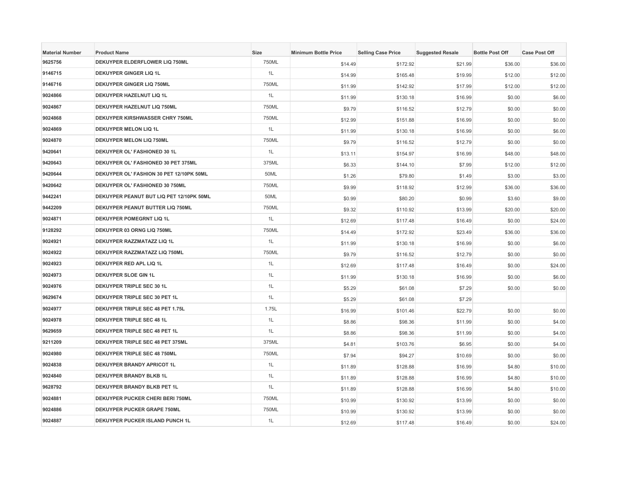| <b>Material Number</b> | <b>Product Name</b>                      | Size  | <b>Minimum Bottle Price</b> | <b>Selling Case Price</b> | <b>Suggested Resale</b> | <b>Bottle Post Off</b> | <b>Case Post Off</b> |
|------------------------|------------------------------------------|-------|-----------------------------|---------------------------|-------------------------|------------------------|----------------------|
| 9625756                | DEKUYPER ELDERFLOWER LIQ 750ML           | 750ML | \$14.49                     | \$172.92                  | \$21.99                 | \$36.00                | \$36.00              |
| 9146715                | <b>DEKUYPER GINGER LIQ 1L</b>            | 1L    | \$14.99                     | \$165.48                  | \$19.99                 | \$12.00                | \$12.00              |
| 9146716                | <b>DEKUYPER GINGER LIQ 750ML</b>         | 750ML | \$11.99                     | \$142.92                  | \$17.99                 | \$12.00                | \$12.00              |
| 9024866                | DEKUYPER HAZELNUT LIQ 1L                 | 1L    | \$11.99                     | \$130.18                  | \$16.99                 | \$0.00                 | \$6.00               |
| 9024867                | DEKUYPER HAZELNUT LIQ 750ML              | 750ML | \$9.79                      | \$116.52                  | \$12.79                 | \$0.00                 | \$0.00               |
| 9024868                | <b>DEKUYPER KIRSHWASSER CHRY 750ML</b>   | 750ML | \$12.99                     | \$151.88                  | \$16.99                 | \$0.00                 | \$0.00               |
| 9024869                | <b>DEKUYPER MELON LIQ 1L</b>             | 1L    | \$11.99                     | \$130.18                  | \$16.99                 | \$0.00                 | \$6.00               |
| 9024870                | <b>DEKUYPER MELON LIQ 750ML</b>          | 750ML | \$9.79                      | \$116.52                  | \$12.79                 | \$0.00                 | \$0.00               |
| 9420641                | DEKUYPER OL' FASHIONED 30 1L             | 1L    | \$13.11                     | \$154.97                  | \$16.99                 | \$48.00                | \$48.00              |
| 9420643                | DEKUYPER OL' FASHIONED 30 PET 375ML      | 375ML | \$6.33                      | \$144.10                  | \$7.99                  | \$12.00                | \$12.00              |
| 9420644                | DEKUYPER OL' FASHION 30 PET 12/10PK 50ML | 50ML  | \$1.26                      | \$79.80                   | \$1.49                  | \$3.00                 | \$3.00               |
| 9420642                | DEKUYPER OL' FASHIONED 30 750ML          | 750ML | \$9.99                      | \$118.92                  | \$12.99                 | \$36.00                | \$36.00              |
| 9442241                | DEKUYPER PEANUT BUT LIQ PET 12/10PK 50ML | 50ML  | \$0.99                      | \$80.20                   | \$0.99                  | \$3.60                 | \$9.00               |
| 9442209                | DEKUYPER PEANUT BUTTER LIQ 750ML         | 750ML | \$9.32                      | \$110.92                  | \$13.99                 | \$20.00                | \$20.00              |
| 9024871                | <b>DEKUYPER POMEGRNT LIQ 1L</b>          | 1L    | \$12.69                     | \$117.48                  | \$16.49                 | \$0.00                 | \$24.00              |
| 9128292                | DEKUYPER 03 ORNG LIQ 750ML               | 750ML | \$14.49                     | \$172.92                  | \$23.49                 | \$36.00                | \$36.00              |
| 9024921                | DEKUYPER RAZZMATAZZ LIQ 1L               | 1L    | \$11.99                     | \$130.18                  | \$16.99                 | \$0.00                 | \$6.00               |
| 9024922                | DEKUYPER RAZZMATAZZ LIQ 750ML            | 750ML | \$9.79                      | \$116.52                  | \$12.79                 | \$0.00                 | \$0.00               |
| 9024923                | DEKUYPER RED APL LIQ 1L                  | 1L    | \$12.69                     | \$117.48                  | \$16.49                 | \$0.00                 | \$24.00              |
| 9024973                | DEKUYPER SLOE GIN 1L                     | 1L    | \$11.99                     | \$130.18                  | \$16.99                 | \$0.00                 | \$6.00               |
| 9024976                | DEKUYPER TRIPLE SEC 30 1L                | 1L    | \$5.29                      | \$61.08                   | \$7.29                  | \$0.00                 | \$0.00               |
| 9629674                | DEKUYPER TRIPLE SEC 30 PET 1L            | 1L    | \$5.29                      | \$61.08                   | \$7.29                  |                        |                      |
| 9024977                | DEKUYPER TRIPLE SEC 48 PET 1.75L         | 1.75L | \$16.99                     | \$101.46                  | \$22.79                 | \$0.00                 | \$0.00               |
| 9024978                | DEKUYPER TRIPLE SEC 48 1L                | 1L    | \$8.86                      | \$98.36                   | \$11.99                 | \$0.00                 | \$4.00               |
| 9629659                | DEKUYPER TRIPLE SEC 48 PET 1L            | 1L    | \$8.86                      | \$98.36                   | \$11.99                 | \$0.00                 | \$4.00               |
| 9211209                | DEKUYPER TRIPLE SEC 48 PET 375ML         | 375ML | \$4.81                      | \$103.76                  | \$6.95                  | \$0.00                 | \$4.00               |
| 9024980                | DEKUYPER TRIPLE SEC 48 750ML             | 750ML | \$7.94                      | \$94.27                   | \$10.69                 | \$0.00                 | \$0.00               |
| 9024838                | DEKUYPER BRANDY APRICOT 1L               | 1L    | \$11.89                     | \$128.88                  | \$16.99                 | \$4.80                 | \$10.00              |
| 9024840                | DEKUYPER BRANDY BLKB 1L                  | 1L    | \$11.89                     | \$128.88                  | \$16.99                 | \$4.80                 | \$10.00              |
| 9628792                | DEKUYPER BRANDY BLKB PET 1L              | 1L    | \$11.89                     | \$128.88                  | \$16.99                 | \$4.80                 | \$10.00              |
| 9024881                | DEKUYPER PUCKER CHERI BERI 750ML         | 750ML | \$10.99                     | \$130.92                  | \$13.99                 | \$0.00                 | \$0.00               |
| 9024886                | <b>DEKUYPER PUCKER GRAPE 750ML</b>       | 750ML | \$10.99                     | \$130.92                  | \$13.99                 | \$0.00                 | \$0.00               |
| 9024887                | DEKUYPER PUCKER ISLAND PUNCH 1L          | 1L    | \$12.69                     | \$117.48                  | \$16.49                 | \$0.00                 | \$24.00              |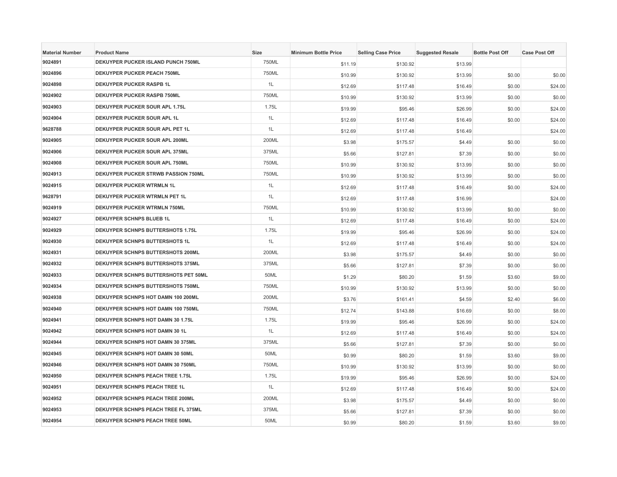| <b>Material Number</b> | <b>Product Name</b>                    | <b>Size</b> | <b>Minimum Bottle Price</b> | <b>Selling Case Price</b> | <b>Suggested Resale</b> | <b>Bottle Post Off</b> | <b>Case Post Off</b> |
|------------------------|----------------------------------------|-------------|-----------------------------|---------------------------|-------------------------|------------------------|----------------------|
| 9024891                | DEKUYPER PUCKER ISLAND PUNCH 750ML     | 750ML       | \$11.19                     | \$130.92                  | \$13.99                 |                        |                      |
| 9024896                | <b>DEKUYPER PUCKER PEACH 750ML</b>     | 750ML       | \$10.99                     | \$130.92                  | \$13.99                 | \$0.00                 | \$0.00               |
| 9024898                | <b>DEKUYPER PUCKER RASPB 1L</b>        | 1L          | \$12.69                     | \$117.48                  | \$16.49                 | \$0.00                 | \$24.00              |
| 9024902                | <b>DEKUYPER PUCKER RASPB 750ML</b>     | 750ML       | \$10.99                     | \$130.92                  | \$13.99                 | \$0.00                 | \$0.00               |
| 9024903                | DEKUYPER PUCKER SOUR APL 1.75L         | 1.75L       | \$19.99                     | \$95.46                   | \$26.99                 | \$0.00                 | \$24.00              |
| 9024904                | DEKUYPER PUCKER SOUR APL 1L            | 1L          | \$12.69                     | \$117.48                  | \$16.49                 | \$0.00                 | \$24.00              |
| 9628788                | DEKUYPER PUCKER SOUR APL PET 1L        | 1L          | \$12.69                     | \$117.48                  | \$16.49                 |                        | \$24.00              |
| 9024905                | DEKUYPER PUCKER SOUR APL 200ML         | 200ML       | \$3.98                      | \$175.57                  | \$4.49                  | \$0.00                 | \$0.00               |
| 9024906                | DEKUYPER PUCKER SOUR APL 375ML         | 375ML       | \$5.66                      | \$127.81                  | \$7.39                  | \$0.00                 | \$0.00               |
| 9024908                | DEKUYPER PUCKER SOUR APL 750ML         | 750ML       | \$10.99                     | \$130.92                  | \$13.99                 | \$0.00                 | \$0.00               |
| 9024913                | DEKUYPER PUCKER STRWB PASSION 750ML    | 750ML       | \$10.99                     | \$130.92                  | \$13.99                 | \$0.00                 | \$0.00               |
| 9024915                | <b>DEKUYPER PUCKER WTRMLN 1L</b>       | 1L          | \$12.69                     | \$117.48                  | \$16.49                 | \$0.00                 | \$24.00              |
| 9628791                | DEKUYPER PUCKER WTRMLN PET 1L          | 1L          | \$12.69                     | \$117.48                  | \$16.99                 |                        | \$24.00              |
| 9024919                | DEKUYPER PUCKER WTRMLN 750ML           | 750ML       | \$10.99                     | \$130.92                  | \$13.99                 | \$0.00                 | \$0.00               |
| 9024927                | <b>DEKUYPER SCHNPS BLUEB 1L</b>        | 1L          | \$12.69                     | \$117.48                  | \$16.49                 | \$0.00                 | \$24.00              |
| 9024929                | DEKUYPER SCHNPS BUTTERSHOTS 1.75L      | 1.75L       | \$19.99                     | \$95.46                   | \$26.99                 | \$0.00                 | \$24.00              |
| 9024930                | DEKUYPER SCHNPS BUTTERSHOTS 1L         | 1L          | \$12.69                     | \$117.48                  | \$16.49                 | \$0.00                 | \$24.00              |
| 9024931                | DEKUYPER SCHNPS BUTTERSHOTS 200ML      | 200ML       | \$3.98                      | \$175.57                  | \$4.49                  | \$0.00                 | \$0.00               |
| 9024932                | DEKUYPER SCHNPS BUTTERSHOTS 375ML      | 375ML       | \$5.66                      | \$127.81                  | \$7.39                  | \$0.00                 | \$0.00               |
| 9024933                | DEKUYPER SCHNPS BUTTERSHOTS PET 50ML   | 50ML        | \$1.29                      | \$80.20                   | \$1.59                  | \$3.60                 | \$9.00               |
| 9024934                | DEKUYPER SCHNPS BUTTERSHOTS 750ML      | 750ML       | \$10.99                     | \$130.92                  | \$13.99                 | \$0.00                 | \$0.00               |
| 9024938                | DEKUYPER SCHNPS HOT DAMN 100 200ML     | 200ML       | \$3.76                      | \$161.41                  | \$4.59                  | \$2.40                 | \$6.00               |
| 9024940                | DEKUYPER SCHNPS HOT DAMN 100 750ML     | 750ML       | \$12.74                     | \$143.88                  | \$16.69                 | \$0.00                 | \$8.00               |
| 9024941                | DEKUYPER SCHNPS HOT DAMN 30 1.75L      | 1.75L       | \$19.99                     | \$95.46                   | \$26.99                 | \$0.00                 | \$24.00              |
| 9024942                | DEKUYPER SCHNPS HOT DAMN 30 1L         | 1L          | \$12.69                     | \$117.48                  | \$16.49                 | \$0.00                 | \$24.00              |
| 9024944                | DEKUYPER SCHNPS HOT DAMN 30 375ML      | 375ML       | \$5.66                      | \$127.81                  | \$7.39                  | \$0.00                 | \$0.00               |
| 9024945                | DEKUYPER SCHNPS HOT DAMN 30 50ML       | 50ML        | \$0.99                      | \$80.20                   | \$1.59                  | \$3.60                 | \$9.00               |
| 9024946                | DEKUYPER SCHNPS HOT DAMN 30 750ML      | 750ML       | \$10.99                     | \$130.92                  | \$13.99                 | \$0.00                 | \$0.00               |
| 9024950                | DEKUYPER SCHNPS PEACH TREE 1.75L       | 1.75L       | \$19.99                     | \$95.46                   | \$26.99                 | \$0.00                 | \$24.00              |
| 9024951                | <b>DEKUYPER SCHNPS PEACH TREE 1L</b>   | 1L          | \$12.69                     | \$117.48                  | \$16.49                 | \$0.00                 | \$24.00              |
| 9024952                | DEKUYPER SCHNPS PEACH TREE 200ML       | 200ML       | \$3.98                      | \$175.57                  | \$4.49                  | \$0.00                 | \$0.00               |
| 9024953                | DEKUYPER SCHNPS PEACH TREE FL 375ML    | 375ML       | \$5.66                      | \$127.81                  | \$7.39                  | \$0.00                 | \$0.00               |
| 9024954                | <b>DEKUYPER SCHNPS PEACH TREE 50ML</b> | 50ML        | \$0.99                      | \$80.20                   | \$1.59                  | \$3.60                 | \$9.00               |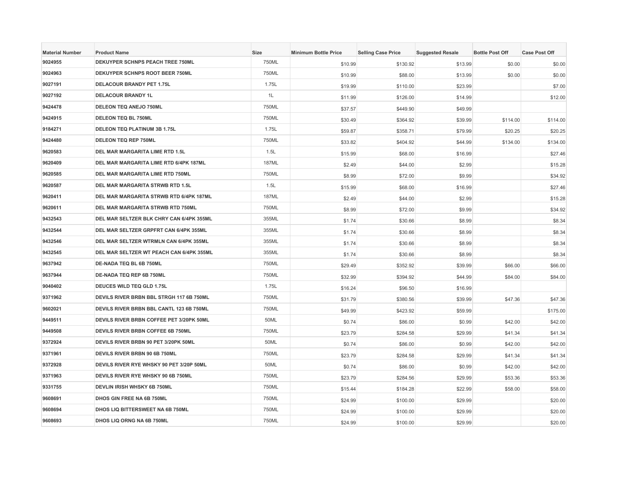| <b>Material Number</b> | <b>Product Name</b>                      | Size         | <b>Minimum Bottle Price</b> | <b>Selling Case Price</b> | <b>Suggested Resale</b> | <b>Bottle Post Off</b> | <b>Case Post Off</b> |
|------------------------|------------------------------------------|--------------|-----------------------------|---------------------------|-------------------------|------------------------|----------------------|
| 9024955                | DEKUYPER SCHNPS PEACH TREE 750ML         | 750ML        | \$10.99                     | \$130.92                  | \$13.99                 | \$0.00                 | \$0.00               |
| 9024963                | DEKUYPER SCHNPS ROOT BEER 750ML          | 750ML        | \$10.99                     | \$88.00                   | \$13.99                 | \$0.00                 | \$0.00               |
| 9027191                | <b>DELACOUR BRANDY PET 1.75L</b>         | 1.75L        | \$19.99                     | \$110.00                  | \$23.99                 |                        | \$7.00               |
| 9027192                | <b>DELACOUR BRANDY 1L</b>                | 1L           | \$11.99                     | \$126.00                  | \$14.99                 |                        | \$12.00              |
| 9424478                | DELEON TEQ ANEJO 750ML                   | 750ML        | \$37.57                     | \$449.90                  | \$49.99                 |                        |                      |
| 9424915                | <b>DELEON TEQ BL 750ML</b>               | 750ML        | \$30.49                     | \$364.92                  | \$39.99                 | \$114.00               | \$114.00             |
| 9184271                | <b>DELEON TEQ PLATINUM 3B 1.75L</b>      | 1.75L        | \$59.87                     | \$358.71                  | \$79.99                 | \$20.25                | \$20.25              |
| 9424480                | <b>DELEON TEQ REP 750ML</b>              | 750ML        | \$33.82                     | \$404.92                  | \$44.99                 | \$134.00               | \$134.00             |
| 9620583                | DEL MAR MARGARITA LIME RTD 1.5L          | 1.5L         | \$15.99                     | \$68.00                   | \$16.99                 |                        | \$27.46              |
| 9620409                | DEL MAR MARGARITA LIME RTD 6/4PK 187ML   | <b>187ML</b> | \$2.49                      | \$44.00                   | \$2.99                  |                        | \$15.28              |
| 9620585                | DEL MAR MARGARITA LIME RTD 750ML         | 750ML        | \$8.99                      | \$72.00                   | \$9.99                  |                        | \$34.92              |
| 9620587                | DEL MAR MARGARITA STRWB RTD 1.5L         | 1.5L         | \$15.99                     | \$68.00                   | \$16.99                 |                        | \$27.46              |
| 9620411                | DEL MAR MARGARITA STRWB RTD 6/4PK 187ML  | 187ML        | \$2.49                      | \$44.00                   | \$2.99                  |                        | \$15.28              |
| 9620611                | DEL MAR MARGARITA STRWB RTD 750ML        | 750ML        | \$8.99                      | \$72.00                   | \$9.99                  |                        | \$34.92              |
| 9432543                | DEL MAR SELTZER BLK CHRY CAN 6/4PK 355ML | 355ML        | \$1.74                      | \$30.66                   | \$8.99                  |                        | \$8.34               |
| 9432544                | DEL MAR SELTZER GRPFRT CAN 6/4PK 355ML   | 355ML        | \$1.74                      | \$30.66                   | \$8.99                  |                        | \$8.34               |
| 9432546                | DEL MAR SELTZER WTRMLN CAN 6/4PK 355ML   | 355ML        | \$1.74                      | \$30.66                   | \$8.99                  |                        | \$8.34               |
| 9432545                | DEL MAR SELTZER WT PEACH CAN 6/4PK 355ML | 355ML        | \$1.74                      | \$30.66                   | \$8.99                  |                        | \$8.34               |
| 9637942                | DE-NADA TEQ BL 6B 750ML                  | 750ML        | \$29.49                     | \$352.92                  | \$39.99                 | \$66.00                | \$66.00              |
| 9637944                | DE-NADA TEQ REP 6B 750ML                 | 750ML        | \$32.99                     | \$394.92                  | \$44.99                 | \$84.00                | \$84.00              |
| 9040402                | DEUCES WILD TEQ GLD 1.75L                | 1.75L        | \$16.24                     | \$96.50                   | \$16.99                 |                        |                      |
| 9371962                | DEVILS RIVER BRBN BBL STRGH 117 6B 750ML | 750ML        | \$31.79                     | \$380.56                  | \$39.99                 | \$47.36                | \$47.36              |
| 9602021                | DEVILS RIVER BRBN BBL CANTL 123 6B 750ML | 750ML        | \$49.99                     | \$423.92                  | \$59.99                 |                        | \$175.00             |
| 9449511                | DEVILS RIVER BRBN COFFEE PET 3/20PK 50ML | 50ML         | \$0.74                      | \$86.00                   | \$0.99                  | \$42.00                | \$42.00              |
| 9449508                | DEVILS RIVER BRBN COFFEE 6B 750ML        | 750ML        | \$23.79                     | \$284.58                  | \$29.99                 | \$41.34                | \$41.34              |
| 9372924                | DEVILS RIVER BRBN 90 PET 3/20PK 50ML     | 50ML         | \$0.74                      | \$86.00                   | \$0.99                  | \$42.00                | \$42.00              |
| 9371961                | DEVILS RIVER BRBN 90 6B 750ML            | 750ML        | \$23.79                     | \$284.58                  | \$29.99                 | \$41.34                | \$41.34              |
| 9372928                | DEVILS RIVER RYE WHSKY 90 PET 3/20P 50ML | 50ML         | \$0.74                      | \$86.00                   | \$0.99                  | \$42.00                | \$42.00              |
| 9371963                | DEVILS RIVER RYE WHSKY 90 6B 750ML       | 750ML        | \$23.79                     | \$284.56                  | \$29.99                 | \$53.36                | \$53.36              |
| 9331755                | <b>DEVLIN IRISH WHSKY 6B 750ML</b>       | 750ML        | \$15.44                     | \$184.28                  | \$22.99                 | \$58.00                | \$58.00              |
| 9608691                | DHOS GIN FREE NA 6B 750ML                | 750ML        | \$24.99                     | \$100.00                  | \$29.99                 |                        | \$20.00              |
| 9608694                | DHOS LIQ BITTERSWEET NA 6B 750ML         | 750ML        | \$24.99                     | \$100.00                  | \$29.99                 |                        | \$20.00              |
| 9608693                | DHOS LIQ ORNG NA 6B 750ML                | 750ML        | \$24.99                     | \$100.00                  | \$29.99                 |                        | \$20.00              |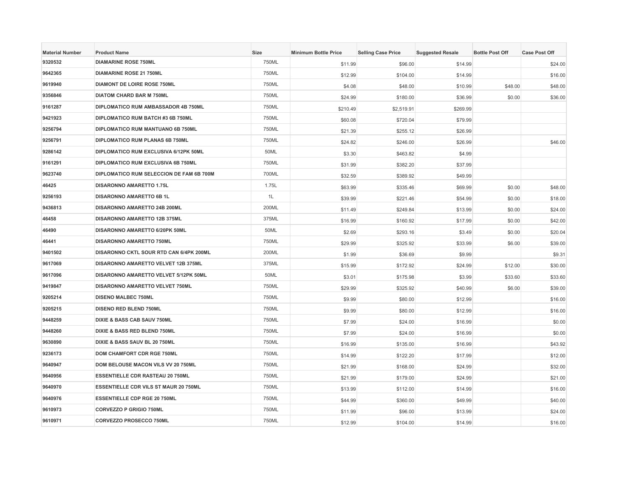| <b>Material Number</b> | <b>Product Name</b>                          | Size  | <b>Minimum Bottle Price</b> | <b>Selling Case Price</b> | <b>Suggested Resale</b> | <b>Bottle Post Off</b> | <b>Case Post Off</b> |
|------------------------|----------------------------------------------|-------|-----------------------------|---------------------------|-------------------------|------------------------|----------------------|
| 9320532                | <b>DIAMARINE ROSE 750ML</b>                  | 750ML | \$11.99                     | \$96.00                   | \$14.99                 |                        | \$24.00              |
| 9642365                | <b>DIAMARINE ROSE 21 750ML</b>               | 750ML | \$12.99                     | \$104.00                  | \$14.99                 |                        | \$16.00              |
| 9619940                | <b>DIAMONT DE LOIRE ROSE 750ML</b>           | 750ML | \$4.08                      | \$48.00                   | \$10.99                 | \$48.00                | \$48.00              |
| 9356846                | <b>DIATOM CHARD BAR M 750ML</b>              | 750ML | \$24.99                     | \$180.00                  | \$36.99                 | \$0.00                 | \$36.00              |
| 9161287                | DIPLOMATICO RUM AMBASSADOR 4B 750ML          | 750ML | \$210.49                    | \$2,519.91                | \$269.99                |                        |                      |
| 9421923                | DIPLOMATICO RUM BATCH #3 6B 750ML            | 750ML | \$60.08                     | \$720.04                  | \$79.99                 |                        |                      |
| 9256794                | DIPLOMATICO RUM MANTUANO 6B 750ML            | 750ML | \$21.39                     | \$255.12                  | \$26.99                 |                        |                      |
| 9256791                | DIPLOMATICO RUM PLANAS 6B 750ML              | 750ML | \$24.82                     | \$246.00                  | \$26.99                 |                        | \$46.00              |
| 9286142                | DIPLOMATICO RUM EXCLUSIVA 6/12PK 50ML        | 50ML  | \$3.30                      | \$463.82                  | \$4.99                  |                        |                      |
| 9161291                | DIPLOMATICO RUM EXCLUSIVA 6B 750ML           | 750ML | \$31.99                     | \$382.20                  | \$37.99                 |                        |                      |
| 9623740                | DIPLOMATICO RUM SELECCION DE FAM 6B 700M     | 700ML | \$32.59                     | \$389.92                  | \$49.99                 |                        |                      |
| 46425                  | <b>DISARONNO AMARETTO 1.75L</b>              | 1.75L | \$63.99                     | \$335.46                  | \$69.99                 | \$0.00                 | \$48.00              |
| 9256193                | <b>DISARONNO AMARETTO 6B 1L</b>              | 1L    | \$39.99                     | \$221.46                  | \$54.99                 | \$0.00                 | \$18.00              |
| 9436813                | <b>DISARONNO AMARETTO 24B 200ML</b>          | 200ML | \$11.49                     | \$249.84                  | \$13.99                 | \$0.00                 | \$24.00              |
| 46458                  | DISARONNO AMARETTO 12B 375ML                 | 375ML | \$16.99                     | \$160.92                  | \$17.99                 | \$0.00                 | \$42.00              |
| 46490                  | DISARONNO AMARETTO 6/20PK 50ML               | 50ML  | \$2.69                      | \$293.16                  | \$3.49                  | \$0.00                 | \$20.04              |
| 46441                  | <b>DISARONNO AMARETTO 750ML</b>              | 750ML | \$29.99                     | \$325.92                  | \$33.99                 | \$6.00                 | \$39.00              |
| 9401502                | DISARONNO CKTL SOUR RTD CAN 6/4PK 200ML      | 200ML | \$1.99                      | \$36.69                   | \$9.99                  |                        | \$9.31               |
| 9617069                | DISARONNO AMARETTO VELVET 12B 375ML          | 375ML | \$15.99                     | \$172.92                  | \$24.99                 | \$12.00                | \$30.00              |
| 9617096                | DISARONNO AMARETTO VELVET 5/12PK 50ML        | 50ML  | \$3.01                      | \$175.98                  | \$3.99                  | \$33.60                | \$33.60              |
| 9419847                | DISARONNO AMARETTO VELVET 750ML              | 750ML | \$29.99                     | \$325.92                  | \$40.99                 | \$6.00                 | \$39.00              |
| 9205214                | <b>DISENO MALBEC 750ML</b>                   | 750ML | \$9.99                      | \$80.00                   | \$12.99                 |                        | \$16.00              |
| 9205215                | <b>DISENO RED BLEND 750ML</b>                | 750ML | \$9.99                      | \$80.00                   | \$12.99                 |                        | \$16.00              |
| 9448259                | DIXIE & BASS CAB SAUV 750ML                  | 750ML | \$7.99                      | \$24.00                   | \$16.99                 |                        | \$0.00               |
| 9448260                | DIXIE & BASS RED BLEND 750ML                 | 750ML | \$7.99                      | \$24.00                   | \$16.99                 |                        | \$0.00               |
| 9630890                | DIXIE & BASS SAUV BL 20 750ML                | 750ML | \$16.99                     | \$135.00                  | \$16.99                 |                        | \$43.92              |
| 9236173                | DOM CHAMFORT CDR RGE 750ML                   | 750ML | \$14.99                     | \$122.20                  | \$17.99                 |                        | \$12.00              |
| 9640947                | DOM BELOUSE MACON VILS VV 20 750ML           | 750ML | \$21.99                     | \$168.00                  | \$24.99                 |                        | \$32.00              |
| 9640956                | <b>ESSENTIELLE CDR RASTEAU 20 750ML</b>      | 750ML | \$21.99                     | \$179.00                  | \$24.99                 |                        | \$21.00              |
| 9640970                | <b>ESSENTIELLE CDR VILS ST MAUR 20 750ML</b> | 750ML | \$13.99                     | \$112.00                  | \$14.99                 |                        | \$16.00              |
| 9640976                | <b>ESSENTIELLE CDP RGE 20 750ML</b>          | 750ML | \$44.99                     | \$360.00                  | \$49.99                 |                        | \$40.00              |
| 9610973                | <b>CORVEZZO P GRIGIO 750ML</b>               | 750ML | \$11.99                     | \$96.00                   | \$13.99                 |                        | \$24.00              |
| 9610971                | CORVEZZO PROSECCO 750ML                      | 750ML | \$12.99                     | \$104.00                  | \$14.99                 |                        | \$16.00              |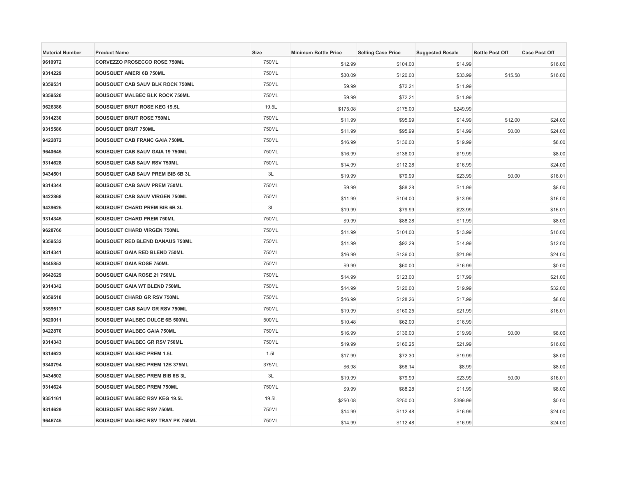| <b>Material Number</b> | <b>Product Name</b>                      | <b>Size</b> | <b>Minimum Bottle Price</b> | <b>Selling Case Price</b> | <b>Suggested Resale</b> | <b>Bottle Post Off</b> | <b>Case Post Off</b> |
|------------------------|------------------------------------------|-------------|-----------------------------|---------------------------|-------------------------|------------------------|----------------------|
| 9610972                | CORVEZZO PROSECCO ROSE 750ML             | 750ML       | \$12.99                     | \$104.00                  | \$14.99                 |                        | \$16.00              |
| 9314229                | <b>BOUSQUET AMERI 6B 750ML</b>           | 750ML       | \$30.09                     | \$120.00                  | \$33.99                 | \$15.58                | \$16.00              |
| 9359531                | <b>BOUSQUET CAB SAUV BLK ROCK 750ML</b>  | 750ML       | \$9.99                      | \$72.21                   | \$11.99                 |                        |                      |
| 9359520                | <b>BOUSQUET MALBEC BLK ROCK 750ML</b>    | 750ML       | \$9.99                      | \$72.21                   | \$11.99                 |                        |                      |
| 9626386                | <b>BOUSQUET BRUT ROSE KEG 19.5L</b>      | 19.5L       | \$175.08                    | \$175.00                  | \$249.99                |                        |                      |
| 9314230                | <b>BOUSQUET BRUT ROSE 750ML</b>          | 750ML       | \$11.99                     | \$95.99                   | \$14.99                 | \$12.00                | \$24.00              |
| 9315586                | <b>BOUSQUET BRUT 750ML</b>               | 750ML       | \$11.99                     | \$95.99                   | \$14.99                 | \$0.00                 | \$24.00              |
| 9422872                | <b>BOUSQUET CAB FRANC GAIA 750ML</b>     | 750ML       | \$16.99                     | \$136.00                  | \$19.99                 |                        | \$8.00               |
| 9640645                | <b>BOUSQUET CAB SAUV GAIA 19 750ML</b>   | 750ML       | \$16.99                     | \$136.00                  | \$19.99                 |                        | \$8.00               |
| 9314628                | <b>BOUSQUET CAB SAUV RSV 750ML</b>       | 750ML       | \$14.99                     | \$112.28                  | \$16.99                 |                        | \$24.00              |
| 9434501                | <b>BOUSQUET CAB SAUV PREM BIB 6B 3L</b>  | 3L          | \$19.99                     | \$79.99                   | \$23.99                 | \$0.00                 | \$16.01              |
| 9314344                | BOUSQUET CAB SAUV PREM 750ML             | 750ML       | \$9.99                      | \$88.28                   | \$11.99                 |                        | \$8.00               |
| 9422868                | BOUSQUET CAB SAUV VIRGEN 750ML           | 750ML       | \$11.99                     | \$104.00                  | \$13.99                 |                        | \$16.00              |
| 9439625                | <b>BOUSQUET CHARD PREM BIB 6B 3L</b>     | 3L          | \$19.99                     | \$79.99                   | \$23.99                 |                        | \$16.01              |
| 9314345                | <b>BOUSQUET CHARD PREM 750ML</b>         | 750ML       | \$9.99                      | \$88.28                   | \$11.99                 |                        | \$8.00               |
| 9628766                | <b>BOUSQUET CHARD VIRGEN 750ML</b>       | 750ML       | \$11.99                     | \$104.00                  | \$13.99                 |                        | \$16.00              |
| 9359532                | <b>BOUSQUET RED BLEND DANAUS 750ML</b>   | 750ML       | \$11.99                     | \$92.29                   | \$14.99                 |                        | \$12.00              |
| 9314341                | <b>BOUSQUET GAIA RED BLEND 750ML</b>     | 750ML       | \$16.99                     | \$136.00                  | \$21.99                 |                        | \$24.00              |
| 9445853                | <b>BOUSQUET GAIA ROSE 750ML</b>          | 750ML       | \$9.99                      | \$60.00                   | \$16.99                 |                        | \$0.00               |
| 9642629                | <b>BOUSQUET GAIA ROSE 21 750ML</b>       | 750ML       | \$14.99                     | \$123.00                  | \$17.99                 |                        | \$21.00              |
| 9314342                | <b>BOUSQUET GAIA WT BLEND 750ML</b>      | 750ML       | \$14.99                     | \$120.00                  | \$19.99                 |                        | \$32.00              |
| 9359518                | <b>BOUSQUET CHARD GR RSV 750ML</b>       | 750ML       | \$16.99                     | \$128.26                  | \$17.99                 |                        | \$8.00               |
| 9359517                | <b>BOUSQUET CAB SAUV GR RSV 750ML</b>    | 750ML       | \$19.99                     | \$160.25                  | \$21.99                 |                        | \$16.01              |
| 9620011                | <b>BOUSQUET MALBEC DULCE 6B 500ML</b>    | 500ML       | \$10.48                     | \$62.00                   | \$16.99                 |                        |                      |
| 9422870                | <b>BOUSQUET MALBEC GAIA 750ML</b>        | 750ML       | \$16.99                     | \$136.00                  | \$19.99                 | \$0.00                 | \$8.00               |
| 9314343                | <b>BOUSQUET MALBEC GR RSV 750ML</b>      | 750ML       | \$19.99                     | \$160.25                  | \$21.99                 |                        | \$16.00              |
| 9314623                | <b>BOUSQUET MALBEC PREM 1.5L</b>         | 1.5L        | \$17.99                     | \$72.30                   | \$19.99                 |                        | \$8.00               |
| 9340794                | <b>BOUSQUET MALBEC PREM 12B 375ML</b>    | 375ML       | \$6.98                      | \$56.14                   | \$8.99                  |                        | \$8.00               |
| 9434502                | <b>BOUSQUET MALBEC PREM BIB 6B 3L</b>    | 3L          | \$19.99                     | \$79.99                   | \$23.99                 | \$0.00                 | \$16.01              |
| 9314624                | <b>BOUSQUET MALBEC PREM 750ML</b>        | 750ML       | \$9.99                      | \$88.28                   | \$11.99                 |                        | \$8.00               |
| 9351161                | <b>BOUSQUET MALBEC RSV KEG 19.5L</b>     | 19.5L       | \$250.08                    | \$250.00                  | \$399.99                |                        | \$0.00               |
| 9314629                | <b>BOUSQUET MALBEC RSV 750ML</b>         | 750ML       | \$14.99                     | \$112.48                  | \$16.99                 |                        | \$24.00              |
| 9646745                | <b>BOUSQUET MALBEC RSV TRAY PK 750ML</b> | 750ML       | \$14.99                     | \$112.48                  | \$16.99                 |                        | \$24.00              |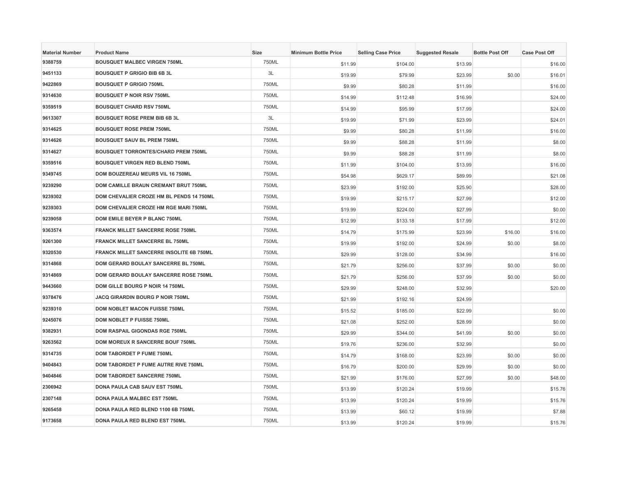| <b>Material Number</b> | <b>Product Name</b>                          | Size  | <b>Minimum Bottle Price</b> | <b>Selling Case Price</b> | <b>Suggested Resale</b> | <b>Bottle Post Off</b> | <b>Case Post Off</b> |
|------------------------|----------------------------------------------|-------|-----------------------------|---------------------------|-------------------------|------------------------|----------------------|
| 9388759                | <b>BOUSQUET MALBEC VIRGEN 750ML</b>          | 750ML | \$11.99                     | \$104.00                  | \$13.99                 |                        | \$16.00              |
| 9451133                | <b>BOUSQUET P GRIGIO BIB 6B 3L</b>           | 3L    | \$19.99                     | \$79.99                   | \$23.99                 | \$0.00                 | \$16.01              |
| 9422869                | <b>BOUSQUET P GRIGIO 750ML</b>               | 750ML | \$9.99                      | \$80.28                   | \$11.99                 |                        | \$16.00              |
| 9314630                | <b>BOUSQUET P NOIR RSV 750ML</b>             | 750ML | \$14.99                     | \$112.48                  | \$16.99                 |                        | \$24.00              |
| 9359519                | <b>BOUSQUET CHARD RSV 750ML</b>              | 750ML | \$14.99                     | \$95.99                   | \$17.99                 |                        | \$24.00              |
| 9613307                | <b>BOUSQUET ROSE PREM BIB 6B 3L</b>          | 3L    | \$19.99                     | \$71.99                   | \$23.99                 |                        | \$24.01              |
| 9314625                | <b>BOUSQUET ROSE PREM 750ML</b>              | 750ML | \$9.99                      | \$80.28                   | \$11.99                 |                        | \$16.00              |
| 9314626                | <b>BOUSQUET SAUV BL PREM 750ML</b>           | 750ML | \$9.99                      | \$88.28                   | \$11.99                 |                        | \$8.00               |
| 9314627                | <b>BOUSQUET TORRONTES/CHARD PREM 750ML</b>   | 750ML | \$9.99                      | \$88.28                   | \$11.99                 |                        | \$8.00               |
| 9359516                | <b>BOUSQUET VIRGEN RED BLEND 750ML</b>       | 750ML | \$11.99                     | \$104.00                  | \$13.99                 |                        | \$16.00              |
| 9349745                | DOM BOUZEREAU MEURS VIL 16 750ML             | 750ML | \$54.98                     | \$629.17                  | \$89.99                 |                        | \$21.08              |
| 9239290                | DOM CAMILLE BRAUN CREMANT BRUT 750ML         | 750ML | \$23.99                     | \$192.00                  | \$25.90                 |                        | \$28.00              |
| 9239302                | DOM CHEVALIER CROZE HM BL PENDS 14 750ML     | 750ML | \$19.99                     | \$215.17                  | \$27.99                 |                        | \$12.00              |
| 9239303                | <b>DOM CHEVALIER CROZE HM RGE MARI 750ML</b> | 750ML | \$19.99                     | \$224.00                  | \$27.99                 |                        | \$0.00               |
| 9239058                | <b>DOM EMILE BEYER P BLANC 750ML</b>         | 750ML | \$12.99                     | \$133.18                  | \$17.99                 |                        | \$12.00              |
| 9363574                | <b>FRANCK MILLET SANCERRE ROSE 750ML</b>     | 750ML | \$14.79                     | \$175.99                  | \$23.99                 | \$16.00                | \$16.00              |
| 9261300                | <b>FRANCK MILLET SANCERRE BL 750ML</b>       | 750ML | \$19.99                     | \$192.00                  | \$24.99                 | \$0.00                 | \$8.00               |
| 9320530                | FRANCK MILLET SANCERRE INSOLITE 6B 750ML     | 750ML | \$29.99                     | \$128.00                  | \$34.99                 |                        | \$16.00              |
| 9314868                | DOM GERARD BOULAY SANCERRE BL 750ML          | 750ML | \$21.79                     | \$256.00                  | \$37.99                 | \$0.00                 | \$0.00               |
| 9314869                | DOM GERARD BOULAY SANCERRE ROSE 750ML        | 750ML | \$21.79                     | \$256.00                  | \$37.99                 | \$0.00                 | \$0.00               |
| 9443660                | DOM GILLE BOURG P NOIR 14 750ML              | 750ML | \$29.99                     | \$248.00                  | \$32.99                 |                        | \$20.00              |
| 9378476                | JACQ GIRARDIN BOURG P NOIR 750ML             | 750ML | \$21.99                     | \$192.16                  | \$24.99                 |                        |                      |
| 9239310                | <b>DOM NOBLET MACON FUISSE 750ML</b>         | 750ML | \$15.52                     | \$185.00                  | \$22.99                 |                        | \$0.00               |
| 9245076                | DOM NOBLET P FUISSE 750ML                    | 750ML | \$21.08                     | \$252.00                  | \$28.99                 |                        | \$0.00               |
| 9382931                | DOM RASPAIL GIGONDAS RGE 750ML               | 750ML | \$29.99                     | \$344.00                  | \$41.99                 | \$0.00                 | \$0.00               |
| 9263562                | DOM MOREUX R SANCERRE BOUF 750ML             | 750ML | \$19.76                     | \$236.00                  | \$32.99                 |                        | \$0.00               |
| 9314735                | <b>DOM TABORDET P FUME 750ML</b>             | 750ML | \$14.79                     | \$168.00                  | \$23.99                 | \$0.00                 | \$0.00               |
| 9404843                | DOM TABORDET P FUME AUTRE RIVE 750ML         | 750ML | \$16.79                     | \$200.00                  | \$29.99                 | \$0.00                 | \$0.00               |
| 9404846                | <b>DOM TABORDET SANCERRE 750ML</b>           | 750ML | \$21.99                     | \$176.00                  | \$27.99                 | \$0.00                 | \$48.00              |
| 2306942                | DONA PAULA CAB SAUV EST 750ML                | 750ML | \$13.99                     | \$120.24                  | \$19.99                 |                        | \$15.76              |
| 2307148                | <b>DONA PAULA MALBEC EST 750ML</b>           | 750ML | \$13.99                     | \$120.24                  | \$19.99                 |                        | \$15.76              |
| 9265458                | DONA PAULA RED BLEND 1100 6B 750ML           | 750ML | \$13.99                     | \$60.12                   | \$19.99                 |                        | \$7.88               |
| 9173658                | DONA PAULA RED BLEND EST 750ML               | 750ML | \$13.99                     | \$120.24                  | \$19.99                 |                        | \$15.76              |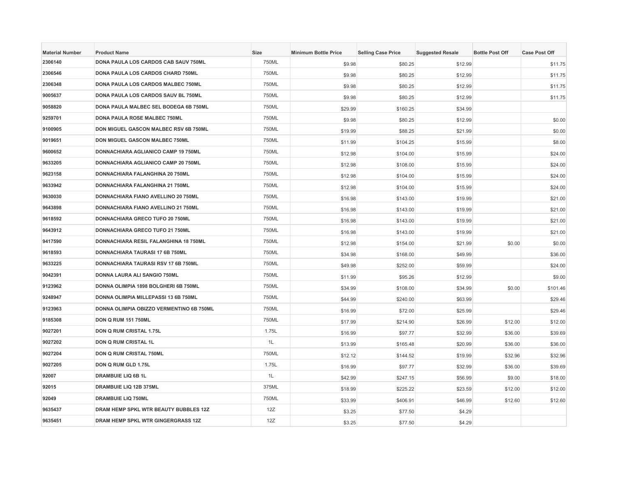| <b>Material Number</b> | <b>Product Name</b>                       | Size  | <b>Minimum Bottle Price</b> | <b>Selling Case Price</b> | <b>Suggested Resale</b> | <b>Bottle Post Off</b> | <b>Case Post Off</b> |
|------------------------|-------------------------------------------|-------|-----------------------------|---------------------------|-------------------------|------------------------|----------------------|
| 2306140                | DONA PAULA LOS CARDOS CAB SAUV 750ML      | 750ML | \$9.98                      | \$80.25                   | \$12.99                 |                        | \$11.75              |
| 2306546                | DONA PAULA LOS CARDOS CHARD 750ML         | 750ML | \$9.98                      | \$80.25                   | \$12.99                 |                        | \$11.75              |
| 2306348                | DONA PAULA LOS CARDOS MALBEC 750ML        | 750ML | \$9.98                      | \$80.25                   | \$12.99                 |                        | \$11.75              |
| 9005637                | DONA PAULA LOS CARDOS SAUV BL 750ML       | 750ML | \$9.98                      | \$80.25                   | \$12.99                 |                        | \$11.75              |
| 9058820                | DONA PAULA MALBEC SEL BODEGA 6B 750ML     | 750ML | \$29.99                     | \$160.25                  | \$34.99                 |                        |                      |
| 9259701                | <b>DONA PAULA ROSE MALBEC 750ML</b>       | 750ML | \$9.98                      | \$80.25                   | \$12.99                 |                        | \$0.00               |
| 9100905                | DON MIGUEL GASCON MALBEC RSV 6B 750ML     | 750ML | \$19.99                     | \$88.25                   | \$21.99                 |                        | \$0.00               |
| 9019651                | DON MIGUEL GASCON MALBEC 750ML            | 750ML | \$11.99                     | \$104.25                  | \$15.99                 |                        | \$8.00               |
| 9600652                | DONNACHIARA AGLIANICO CAMP 19 750ML       | 750ML | \$12.98                     | \$104.00                  | \$15.99                 |                        | \$24.00              |
| 9633205                | DONNACHIARA AGLIANICO CAMP 20 750ML       | 750ML | \$12.98                     | \$108.00                  | \$15.99                 |                        | \$24.00              |
| 9623158                | DONNACHIARA FALANGHINA 20 750ML           | 750ML | \$12.98                     | \$104.00                  | \$15.99                 |                        | \$24.00              |
| 9633942                | DONNACHIARA FALANGHINA 21 750ML           | 750ML | \$12.98                     | \$104.00                  | \$15.99                 |                        | \$24.00              |
| 9630030                | DONNACHIARA FIANO AVELLINO 20 750ML       | 750ML | \$16.98                     | \$143.00                  | \$19.99                 |                        | \$21.00              |
| 9643898                | DONNACHIARA FIANO AVELLINO 21 750ML       | 750ML | \$16.98                     | \$143.00                  | \$19.99                 |                        | \$21.00              |
| 9618592                | DONNACHIARA GRECO TUFO 20 750ML           | 750ML | \$16.98                     | \$143.00                  | \$19.99                 |                        | \$21.00              |
| 9643912                | DONNACHIARA GRECO TUFO 21 750ML           | 750ML | \$16.98                     | \$143.00                  | \$19.99                 |                        | \$21.00              |
| 9417590                | DONNACHIARA RESIL FALANGHINA 18 750ML     | 750ML | \$12.98                     | \$154.00                  | \$21.99                 | \$0.00                 | \$0.00               |
| 9618593                | DONNACHIARA TAURASI 17 6B 750ML           | 750ML | \$34.98                     | \$168.00                  | \$49.99                 |                        | \$36.00              |
| 9633225                | DONNACHIARA TAURASI RSV 17 6B 750ML       | 750ML | \$49.98                     | \$252.00                  | \$59.99                 |                        | \$24.00              |
| 9042391                | DONNA LAURA ALI SANGIO 750ML              | 750ML | \$11.99                     | \$95.26                   | \$12.99                 |                        | \$9.00               |
| 9123962                | DONNA OLIMPIA 1898 BOLGHERI 6B 750ML      | 750ML | \$34.99                     | \$108.00                  | \$34.99                 | \$0.00                 | \$101.46             |
| 9248947                | DONNA OLIMPIA MILLEPASSI 13 6B 750ML      | 750ML | \$44.99                     | \$240.00                  | \$63.99                 |                        | \$29.46              |
| 9123963                | DONNA OLIMPIA OBIZZO VERMENTINO 6B 750ML  | 750ML | \$16.99                     | \$72.00                   | \$25.99                 |                        | \$29.46              |
| 9185308                | <b>DON Q RUM 151 750ML</b>                | 750ML | \$17.99                     | \$214.90                  | \$26.99                 | \$12.00                | \$12.00              |
| 9027201                | <b>DON Q RUM CRISTAL 1.75L</b>            | 1.75L | \$16.99                     | \$97.77                   | \$32.99                 | \$36.00                | \$39.69              |
| 9027202                | <b>DON Q RUM CRISTAL 1L</b>               | 1L    | \$13.99                     | \$165.48                  | \$20.99                 | \$36.00                | \$36.00              |
| 9027204                | DON Q RUM CRISTAL 750ML                   | 750ML | \$12.12                     | \$144.52                  | \$19.99                 | \$32.96                | \$32.96              |
| 9027205                | DON Q RUM GLD 1.75L                       | 1.75L | \$16.99                     | \$97.77                   | \$32.99                 | \$36.00                | \$39.69              |
| 92007                  | <b>DRAMBUIE LIQ 6B 1L</b>                 | 1L    | \$42.99                     | \$247.15                  | \$56.99                 | \$9.00                 | \$18.00              |
| 92015                  | DRAMBUIE LIQ 12B 375ML                    | 375ML | \$18.99                     | \$225.22                  | \$23.59                 | \$12.00                | \$12.00              |
| 92049                  | <b>DRAMBUIE LIQ 750ML</b>                 | 750ML | \$33.99                     | \$406.91                  | \$46.99                 | \$12.60                | \$12.60              |
| 9635437                | DRAM HEMP SPKL WTR BEAUTY BUBBLES 12Z     | 12Z   | \$3.25                      | \$77.50                   | \$4.29                  |                        |                      |
| 9635451                | <b>DRAM HEMP SPKL WTR GINGERGRASS 12Z</b> | 12Z   | \$3.25                      | \$77.50                   | \$4.29                  |                        |                      |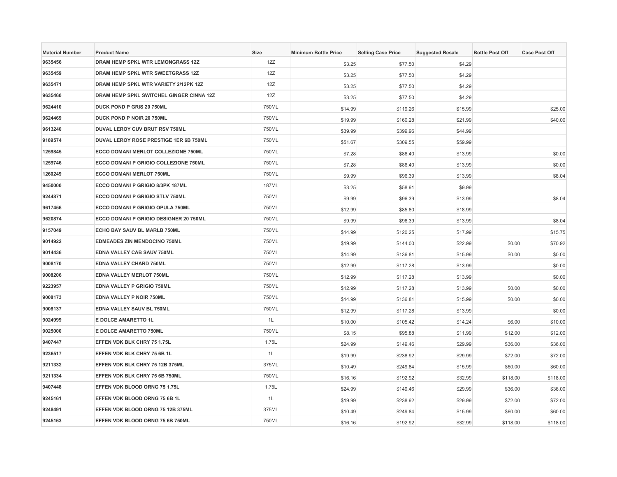| <b>Material Number</b> | <b>Product Name</b>                      | Size         | <b>Minimum Bottle Price</b> | <b>Selling Case Price</b> | <b>Suggested Resale</b> | <b>Bottle Post Off</b> | <b>Case Post Off</b> |
|------------------------|------------------------------------------|--------------|-----------------------------|---------------------------|-------------------------|------------------------|----------------------|
| 9635456                | DRAM HEMP SPKL WTR LEMONGRASS 12Z        | 12Z          | \$3.25                      | \$77.50                   | \$4.29                  |                        |                      |
| 9635459                | <b>DRAM HEMP SPKL WTR SWEETGRASS 12Z</b> | 12Z          | \$3.25                      | \$77.50                   | \$4.29                  |                        |                      |
| 9635471                | DRAM HEMP SPKL WTR VARIETY 2/12PK 12Z    | 12Z          | \$3.25                      | \$77.50                   | \$4.29                  |                        |                      |
| 9635460                | DRAM HEMP SPKL SWITCHEL GINGER CINNA 12Z | 12Z          | \$3.25                      | \$77.50                   | \$4.29                  |                        |                      |
| 9624410                | DUCK POND P GRIS 20 750ML                | 750ML        | \$14.99                     | \$119.26                  | \$15.99                 |                        | \$25.00              |
| 9624469                | <b>DUCK POND P NOIR 20 750ML</b>         | 750ML        | \$19.99                     | \$160.28                  | \$21.99                 |                        | \$40.00              |
| 9613240                | <b>DUVAL LEROY CUV BRUT RSV 750ML</b>    | 750ML        | \$39.99                     | \$399.96                  | \$44.99                 |                        |                      |
| 9189574                | DUVAL LEROY ROSE PRESTIGE 1ER 6B 750ML   | 750ML        | \$51.67                     | \$309.55                  | \$59.99                 |                        |                      |
| 1259845                | ECCO DOMANI MERLOT COLLEZIONE 750ML      | 750ML        | \$7.28                      | \$86.40                   | \$13.99                 |                        | \$0.00               |
| 1259746                | ECCO DOMANI P GRIGIO COLLEZIONE 750ML    | 750ML        | \$7.28                      | \$86.40                   | \$13.99                 |                        | \$0.00               |
| 1260249                | <b>ECCO DOMANI MERLOT 750ML</b>          | 750ML        | \$9.99                      | \$96.39                   | \$13.99                 |                        | \$8.04               |
| 9450000                | ECCO DOMANI P GRIGIO 8/3PK 187ML         | <b>187ML</b> | \$3.25                      | \$58.91                   | \$9.99                  |                        |                      |
| 9244871                | ECCO DOMANI P GRIGIO STLV 750ML          | 750ML        | \$9.99                      | \$96.39                   | \$13.99                 |                        | \$8.04               |
| 9617456                | ECCO DOMANI P GRIGIO OPULA 750ML         | 750ML        | \$12.99                     | \$85.80                   | \$18.99                 |                        |                      |
| 9620874                | ECCO DOMANI P GRIGIO DESIGNER 20 750ML   | 750ML        | \$9.99                      | \$96.39                   | \$13.99                 |                        | \$8.04               |
| 9157049                | ECHO BAY SAUV BL MARLB 750ML             | 750ML        | \$14.99                     | \$120.25                  | \$17.99                 |                        | \$15.75              |
| 9014922                | <b>EDMEADES ZIN MENDOCINO 750ML</b>      | 750ML        | \$19.99                     | \$144.00                  | \$22.99                 | \$0.00                 | \$70.92              |
| 9014436                | EDNA VALLEY CAB SAUV 750ML               | 750ML        | \$14.99                     | \$136.81                  | \$15.99                 | \$0.00                 | \$0.00               |
| 9008170                | <b>EDNA VALLEY CHARD 750ML</b>           | 750ML        | \$12.99                     | \$117.28                  | \$13.99                 |                        | \$0.00               |
| 9008206                | <b>EDNA VALLEY MERLOT 750ML</b>          | 750ML        | \$12.99                     | \$117.28                  | \$13.99                 |                        | \$0.00               |
| 9223957                | EDNA VALLEY P GRIGIO 750ML               | 750ML        | \$12.99                     | \$117.28                  | \$13.99                 | \$0.00                 | \$0.00               |
| 9008173                | EDNA VALLEY P NOIR 750ML                 | 750ML        | \$14.99                     | \$136.81                  | \$15.99                 | \$0.00                 | \$0.00               |
| 9008137                | EDNA VALLEY SAUV BL 750ML                | 750ML        | \$12.99                     | \$117.28                  | \$13.99                 |                        | \$0.00               |
| 9024999                | E DOLCE AMARETTO 1L                      | 1L           | \$10.00                     | \$105.42                  | \$14.24                 | \$6.00                 | \$10.00              |
| 9025000                | E DOLCE AMARETTO 750ML                   | 750ML        | \$8.15                      | \$95.88                   | \$11.99                 | \$12.00                | \$12.00              |
| 9407447                | EFFEN VDK BLK CHRY 75 1.75L              | 1.75L        | \$24.99                     | \$149.46                  | \$29.99                 | \$36.00                | \$36.00              |
| 9236517                | EFFEN VDK BLK CHRY 75 6B 1L              | 1L           | \$19.99                     | \$238.92                  | \$29.99                 | \$72.00                | \$72.00              |
| 9211332                | EFFEN VDK BLK CHRY 75 12B 375ML          | 375ML        | \$10.49                     | \$249.84                  | \$15.99                 | \$60.00                | \$60.00              |
| 9211334                | EFFEN VDK BLK CHRY 75 6B 750ML           | 750ML        | \$16.16                     | \$192.92                  | \$32.99                 | \$118.00               | \$118.00             |
| 9407448                | EFFEN VDK BLOOD ORNG 75 1.75L            | 1.75L        | \$24.99                     | \$149.46                  | \$29.99                 | \$36.00                | \$36.00              |
| 9245161                | EFFEN VDK BLOOD ORNG 75 6B 1L            | 1L           | \$19.99                     | \$238.92                  | \$29.99                 | \$72.00                | \$72.00              |
| 9248491                | EFFEN VDK BLOOD ORNG 75 12B 375ML        | 375ML        | \$10.49                     | \$249.84                  | \$15.99                 | \$60.00                | \$60.00              |
| 9245163                | EFFEN VDK BLOOD ORNG 75 6B 750ML         | 750ML        | \$16.16                     | \$192.92                  | \$32.99                 | \$118.00               | \$118.00             |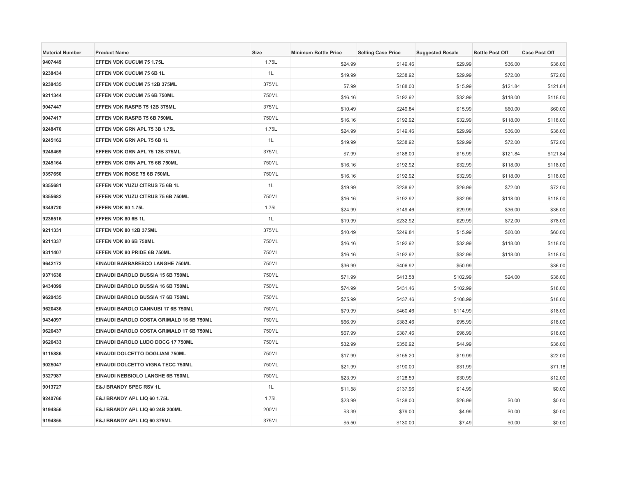| <b>Material Number</b> | <b>Product Name</b>                      | Size  | <b>Minimum Bottle Price</b> | <b>Selling Case Price</b> | <b>Suggested Resale</b> | <b>Bottle Post Off</b> | <b>Case Post Off</b> |
|------------------------|------------------------------------------|-------|-----------------------------|---------------------------|-------------------------|------------------------|----------------------|
| 9407449                | EFFEN VDK CUCUM 75 1.75L                 | 1.75L | \$24.99                     | \$149.46                  | \$29.99                 | \$36.00                | \$36.00              |
| 9238434                | EFFEN VDK CUCUM 75 6B 1L                 | 1L    | \$19.99                     | \$238.92                  | \$29.99                 | \$72.00                | \$72.00              |
| 9238435                | EFFEN VDK CUCUM 75 12B 375ML             | 375ML | \$7.99                      | \$188.00                  | \$15.99                 | \$121.84               | \$121.84             |
| 9211344                | EFFEN VDK CUCUM 75 6B 750ML              | 750ML | \$16.16                     | \$192.92                  | \$32.99                 | \$118.00               | \$118.00             |
| 9047447                | EFFEN VDK RASPB 75 12B 375ML             | 375ML | \$10.49                     | \$249.84                  | \$15.99                 | \$60.00                | \$60.00              |
| 9047417                | EFFEN VDK RASPB 75 6B 750ML              | 750ML | \$16.16                     | \$192.92                  | \$32.99                 | \$118.00               | \$118.00             |
| 9248470                | EFFEN VDK GRN APL 75 3B 1.75L            | 1.75L | \$24.99                     | \$149.46                  | \$29.99                 | \$36.00                | \$36.00              |
| 9245162                | EFFEN VDK GRN APL 75 6B 1L               | 1L    | \$19.99                     | \$238.92                  | \$29.99                 | \$72.00                | \$72.00              |
| 9248469                | EFFEN VDK GRN APL 75 12B 375ML           | 375ML | \$7.99                      | \$188.00                  | \$15.99                 | \$121.84               | \$121.84             |
| 9245164                | EFFEN VDK GRN APL 75 6B 750ML            | 750ML | \$16.16                     | \$192.92                  | \$32.99                 | \$118.00               | \$118.00             |
| 9357650                | EFFEN VDK ROSE 75 6B 750ML               | 750ML | \$16.16                     | \$192.92                  | \$32.99                 | \$118.00               | \$118.00             |
| 9355681                | EFFEN VDK YUZU CITRUS 75 6B 1L           | 1L    | \$19.99                     | \$238.92                  | \$29.99                 | \$72.00                | \$72.00              |
| 9355682                | EFFEN VDK YUZU CITRUS 75 6B 750ML        | 750ML | \$16.16                     | \$192.92                  | \$32.99                 | \$118.00               | \$118.00             |
| 9349720                | EFFEN VDK 80 1.75L                       | 1.75L | \$24.99                     | \$149.46                  | \$29.99                 | \$36.00                | \$36.00              |
| 9236516                | EFFEN VDK 80 6B 1L                       | 1L    | \$19.99                     | \$232.92                  | \$29.99                 | \$72.00                | \$78.00              |
| 9211331                | EFFEN VDK 80 12B 375ML                   | 375ML | \$10.49                     | \$249.84                  | \$15.99                 | \$60.00                | \$60.00              |
| 9211337                | EFFEN VDK 80 6B 750ML                    | 750ML | \$16.16                     | \$192.92                  | \$32.99                 | \$118.00               | \$118.00             |
| 9311407                | EFFEN VDK 80 PRIDE 6B 750ML              | 750ML | \$16.16                     | \$192.92                  | \$32.99                 | \$118.00               | \$118.00             |
| 9642172                | EINAUDI BARBARESCO LANGHE 750ML          | 750ML | \$36.99                     | \$406.92                  | \$50.99                 |                        | \$36.00              |
| 9371638                | EINAUDI BAROLO BUSSIA 15 6B 750ML        | 750ML | \$71.99                     | \$413.58                  | \$102.99                | \$24.00                | \$36.00              |
| 9434099                | EINAUDI BAROLO BUSSIA 16 6B 750ML        | 750ML | \$74.99                     | \$431.46                  | \$102.99                |                        | \$18.00              |
| 9620435                | EINAUDI BAROLO BUSSIA 17 6B 750ML        | 750ML | \$75.99                     | \$437.46                  | \$108.99                |                        | \$18.00              |
| 9620436                | EINAUDI BAROLO CANNUBI 17 6B 750ML       | 750ML | \$79.99                     | \$460.46                  | \$114.99                |                        | \$18.00              |
| 9434097                | EINAUDI BAROLO COSTA GRIMALD 16 6B 750ML | 750ML | \$66.99                     | \$383.46                  | \$95.99                 |                        | \$18.00              |
| 9620437                | EINAUDI BAROLO COSTA GRIMALD 17 6B 750ML | 750ML | \$67.99                     | \$387.46                  | \$96.99                 |                        | \$18.00              |
| 9620433                | EINAUDI BAROLO LUDO DOCG 17 750ML        | 750ML | \$32.99                     | \$356.92                  | \$44.99                 |                        | \$36.00              |
| 9115886                | EINAUDI DOLCETTO DOGLIANI 750ML          | 750ML | \$17.99                     | \$155.20                  | \$19.99                 |                        | \$22.00              |
| 9025047                | EINAUDI DOLCETTO VIGNA TECC 750ML        | 750ML | \$21.99                     | \$190.00                  | \$31.99                 |                        | \$71.18              |
| 9327987                | EINAUDI NEBBIOLO LANGHE 6B 750ML         | 750ML | \$23.99                     | \$128.59                  | \$30.99                 |                        | \$12.00              |
| 9013727                | <b>E&amp;J BRANDY SPEC RSV 1L</b>        | 1L    | \$11.58                     | \$137.96                  | \$14.99                 |                        | \$0.00               |
| 9240766                | E&J BRANDY APL LIQ 60 1.75L              | 1.75L | \$23.99                     | \$138.00                  | \$26.99                 | \$0.00                 | \$0.00               |
| 9194856                | E&J BRANDY APL LIQ 60 24B 200ML          | 200ML | \$3.39                      | \$79.00                   | \$4.99                  | \$0.00                 | \$0.00               |
| 9194855                | E&J BRANDY APL LIQ 60 375ML              | 375ML | \$5.50                      | \$130.00                  | \$7.49                  | \$0.00                 | \$0.00               |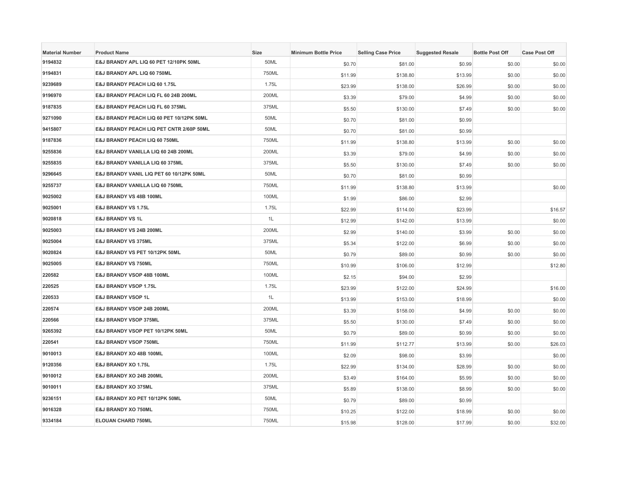| <b>Material Number</b> | <b>Product Name</b>                      | <b>Size</b> | <b>Minimum Bottle Price</b> | <b>Selling Case Price</b> | <b>Suggested Resale</b> | <b>Bottle Post Off</b> | <b>Case Post Off</b> |
|------------------------|------------------------------------------|-------------|-----------------------------|---------------------------|-------------------------|------------------------|----------------------|
| 9194832                | E&J BRANDY APL LIQ 60 PET 12/10PK 50ML   | 50ML        | \$0.70                      | \$81.00                   | \$0.99                  | \$0.00                 | \$0.00               |
| 9194831                | E&J BRANDY APL LIQ 60 750ML              | 750ML       | \$11.99                     | \$138.80                  | \$13.99                 | \$0.00                 | \$0.00               |
| 9239689                | E&J BRANDY PEACH LIQ 60 1.75L            | 1.75L       | \$23.99                     | \$138.00                  | \$26.99                 | \$0.00                 | \$0.00               |
| 9196970                | E&J BRANDY PEACH LIQ FL 60 24B 200ML     | 200ML       | \$3.39                      | \$79.00                   | \$4.99                  | \$0.00                 | \$0.00               |
| 9187835                | E&J BRANDY PEACH LIQ FL 60 375ML         | 375ML       | \$5.50                      | \$130.00                  | \$7.49                  | \$0.00                 | \$0.00               |
| 9271090                | E&J BRANDY PEACH LIQ 60 PET 10/12PK 50ML | 50ML        | \$0.70                      | \$81.00                   | \$0.99                  |                        |                      |
| 9415807                | E&J BRANDY PEACH LIQ PET CNTR 2/60P 50ML | 50ML        | \$0.70                      | \$81.00                   | \$0.99                  |                        |                      |
| 9187836                | E&J BRANDY PEACH LIQ 60 750ML            | 750ML       | \$11.99                     | \$138.80                  | \$13.99                 | \$0.00                 | \$0.00               |
| 9255836                | E&J BRANDY VANILLA LIQ 60 24B 200ML      | 200ML       | \$3.39                      | \$79.00                   | \$4.99                  | \$0.00                 | \$0.00               |
| 9255835                | E&J BRANDY VANILLA LIQ 60 375ML          | 375ML       | \$5.50                      | \$130.00                  | \$7.49                  | \$0.00                 | \$0.00               |
| 9296645                | E&J BRANDY VANIL LIQ PET 60 10/12PK 50ML | 50ML        | \$0.70                      | \$81.00                   | \$0.99                  |                        |                      |
| 9255737                | E&J BRANDY VANILLA LIQ 60 750ML          | 750ML       | \$11.99                     | \$138.80                  | \$13.99                 |                        | \$0.00               |
| 9025002                | E&J BRANDY VS 48B 100ML                  | 100ML       | \$1.99                      | \$86.00                   | \$2.99                  |                        |                      |
| 9025001                | E&J BRANDY VS 1.75L                      | 1.75L       | \$22.99                     | \$114.00                  | \$23.99                 |                        | \$16.57              |
| 9020818                | <b>E&amp;J BRANDY VS 1L</b>              | 1L          | \$12.99                     | \$142.00                  | \$13.99                 |                        | \$0.00               |
| 9025003                | E&J BRANDY VS 24B 200ML                  | 200ML       | \$2.99                      | \$140.00                  | \$3.99                  | \$0.00                 | \$0.00               |
| 9025004                | E&J BRANDY VS 375ML                      | 375ML       | \$5.34                      | \$122.00                  | \$6.99                  | \$0.00                 | \$0.00               |
| 9020824                | E&J BRANDY VS PET 10/12PK 50ML           | 50ML        | \$0.79                      | \$89.00                   | \$0.99                  | \$0.00                 | \$0.00               |
| 9025005                | E&J BRANDY VS 750ML                      | 750ML       | \$10.99                     | \$106.00                  | \$12.99                 |                        | \$12.80              |
| 220582                 | E&J BRANDY VSOP 48B 100ML                | 100ML       | \$2.15                      | \$94.00                   | \$2.99                  |                        |                      |
| 220525                 | E&J BRANDY VSOP 1.75L                    | 1.75L       | \$23.99                     | \$122.00                  | \$24.99                 |                        | \$16.00              |
| 220533                 | <b>E&amp;J BRANDY VSOP 1L</b>            | 1L          | \$13.99                     | \$153.00                  | \$18.99                 |                        | \$0.00               |
| 220574                 | E&J BRANDY VSOP 24B 200ML                | 200ML       | \$3.39                      | \$158.00                  | \$4.99                  | \$0.00                 | \$0.00               |
| 220566                 | E&J BRANDY VSOP 375ML                    | 375ML       | \$5.50                      | \$130.00                  | \$7.49                  | \$0.00                 | \$0.00               |
| 9265392                | E&J BRANDY VSOP PET 10/12PK 50ML         | 50ML        | \$0.79                      | \$89.00                   | \$0.99                  | \$0.00                 | \$0.00               |
| 220541                 | <b>E&amp;J BRANDY VSOP 750ML</b>         | 750ML       | \$11.99                     | \$112.77                  | \$13.99                 | \$0.00                 | \$26.03              |
| 9010013                | E&J BRANDY XO 48B 100ML                  | 100ML       | \$2.09                      | \$98.00                   | \$3.99                  |                        | \$0.00               |
| 9120356                | E&J BRANDY XO 1.75L                      | 1.75L       | \$22.99                     | \$134.00                  | \$28.99                 | \$0.00                 | \$0.00               |
| 9010012                | E&J BRANDY XO 24B 200ML                  | 200ML       | \$3.49                      | \$164.00                  | \$5.99                  | \$0.00                 | \$0.00               |
| 9010011                | E&J BRANDY XO 375ML                      | 375ML       | \$5.89                      | \$138.00                  | \$8.99                  | \$0.00                 | \$0.00               |
| 9236151                | E&J BRANDY XO PET 10/12PK 50ML           | 50ML        | \$0.79                      | \$89.00                   | \$0.99                  |                        |                      |
| 9016328                | E&J BRANDY XO 750ML                      | 750ML       | \$10.25                     | \$122.00                  | \$18.99                 | \$0.00                 | \$0.00               |
| 9334184                | ELOUAN CHARD 750ML                       | 750ML       | \$15.98                     | \$128.00                  | \$17.99                 | \$0.00                 | \$32.00              |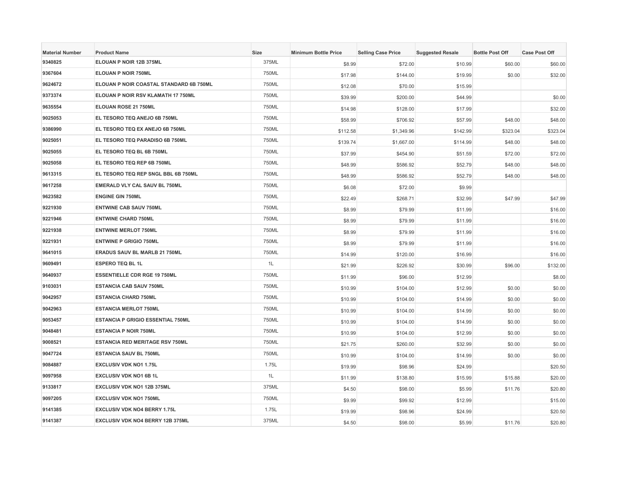| <b>Material Number</b> | <b>Product Name</b>                      | <b>Size</b> | <b>Minimum Bottle Price</b> | <b>Selling Case Price</b> | <b>Suggested Resale</b> | <b>Bottle Post Off</b> | <b>Case Post Off</b> |
|------------------------|------------------------------------------|-------------|-----------------------------|---------------------------|-------------------------|------------------------|----------------------|
| 9340825                | ELOUAN P NOIR 12B 375ML                  | 375ML       | \$8.99                      | \$72.00                   | \$10.99                 | \$60.00                | \$60.00              |
| 9367604                | <b>ELOUAN P NOIR 750ML</b>               | 750ML       | \$17.98                     | \$144.00                  | \$19.99                 | \$0.00                 | \$32.00              |
| 9624672                | ELOUAN P NOIR COASTAL STANDARD 6B 750ML  | 750ML       | \$12.08                     | \$70.00                   | \$15.99                 |                        |                      |
| 9373374                | ELOUAN P NOIR RSV KLAMATH 17 750ML       | 750ML       | \$39.99                     | \$200.00                  | \$44.99                 |                        | \$0.00               |
| 9635554                | ELOUAN ROSE 21 750ML                     | 750ML       | \$14.98                     | \$128.00                  | \$17.99                 |                        | \$32.00              |
| 9025053                | EL TESORO TEQ ANEJO 6B 750ML             | 750ML       | \$58.99                     | \$706.92                  | \$57.99                 | \$48.00                | \$48.00              |
| 9386990                | EL TESORO TEQ EX ANEJO 6B 750ML          | 750ML       | \$112.58                    | \$1,349.96                | \$142.99                | \$323.04               | \$323.04             |
| 9025051                | EL TESORO TEQ PARADISO 6B 750ML          | 750ML       | \$139.74                    | \$1,667.00                | \$114.99                | \$48.00                | \$48.00              |
| 9025055                | EL TESORO TEQ BL 6B 750ML                | 750ML       | \$37.99                     | \$454.90                  | \$51.59                 | \$72.00                | \$72.00              |
| 9025058                | EL TESORO TEQ REP 6B 750ML               | 750ML       | \$48.99                     | \$586.92                  | \$52.79                 | \$48.00                | \$48.00              |
| 9613315                | EL TESORO TEQ REP SNGL BBL 6B 750ML      | 750ML       | \$48.99                     | \$586.92                  | \$52.79                 | \$48.00                | \$48.00              |
| 9617258                | EMERALD VLY CAL SAUV BL 750ML            | 750ML       | \$6.08                      | \$72.00                   | \$9.99                  |                        |                      |
| 9623582                | <b>ENGINE GIN 750ML</b>                  | 750ML       | \$22.49                     | \$268.71                  | \$32.99                 | \$47.99                | \$47.99              |
| 9221930                | <b>ENTWINE CAB SAUV 750ML</b>            | 750ML       | \$8.99                      | \$79.99                   | \$11.99                 |                        | \$16.00              |
| 9221946                | <b>ENTWINE CHARD 750ML</b>               | 750ML       | \$8.99                      | \$79.99                   | \$11.99                 |                        | \$16.00              |
| 9221938                | <b>ENTWINE MERLOT 750ML</b>              | 750ML       | \$8.99                      | \$79.99                   | \$11.99                 |                        | \$16.00              |
| 9221931                | <b>ENTWINE P GRIGIO 750ML</b>            | 750ML       | \$8.99                      | \$79.99                   | \$11.99                 |                        | \$16.00              |
| 9641015                | ERADUS SAUV BL MARLB 21 750ML            | 750ML       | \$14.99                     | \$120.00                  | \$16.99                 |                        | \$16.00              |
| 9609491                | <b>ESPERO TEQ BL 1L</b>                  | 1L          | \$21.99                     | \$226.92                  | \$30.99                 | \$96.00                | \$132.00             |
| 9640937                | <b>ESSENTIELLE CDR RGE 19 750ML</b>      | 750ML       | \$11.99                     | \$96.00                   | \$12.99                 |                        | \$8.00               |
| 9103031                | <b>ESTANCIA CAB SAUV 750ML</b>           | 750ML       | \$10.99                     | \$104.00                  | \$12.99                 | \$0.00                 | \$0.00               |
| 9042957                | <b>ESTANCIA CHARD 750ML</b>              | 750ML       | \$10.99                     | \$104.00                  | \$14.99                 | \$0.00                 | \$0.00               |
| 9042963                | <b>ESTANCIA MERLOT 750ML</b>             | 750ML       | \$10.99                     | \$104.00                  | \$14.99                 | \$0.00                 | \$0.00               |
| 9053457                | <b>ESTANCIA P GRIGIO ESSENTIAL 750ML</b> | 750ML       | \$10.99                     | \$104.00                  | \$14.99                 | \$0.00                 | \$0.00               |
| 9048481                | <b>ESTANCIA P NOIR 750ML</b>             | 750ML       | \$10.99                     | \$104.00                  | \$12.99                 | \$0.00                 | \$0.00               |
| 9008521                | <b>ESTANCIA RED MERITAGE RSV 750ML</b>   | 750ML       | \$21.75                     | \$260.00                  | \$32.99                 | \$0.00                 | \$0.00               |
| 9047724                | <b>ESTANCIA SAUV BL 750ML</b>            | 750ML       | \$10.99                     | \$104.00                  | \$14.99                 | \$0.00                 | \$0.00               |
| 9084887                | <b>EXCLUSIV VDK NO1 1.75L</b>            | 1.75L       | \$19.99                     | \$98.96                   | \$24.99                 |                        | \$20.50              |
| 9097958                | <b>EXCLUSIV VDK NO1 6B 1L</b>            | 1L          | \$11.99                     | \$138.80                  | \$15.99                 | \$15.88                | \$20.00              |
| 9133817                | <b>EXCLUSIV VDK NO1 12B 375ML</b>        | 375ML       | \$4.50                      | \$98.00                   | \$5.99                  | \$11.76                | \$20.80              |
| 9097205                | <b>EXCLUSIV VDK NO1 750ML</b>            | 750ML       | \$9.99                      | \$99.92                   | \$12.99                 |                        | \$15.00              |
| 9141385                | <b>EXCLUSIV VDK NO4 BERRY 1.75L</b>      | 1.75L       | \$19.99                     | \$98.96                   | \$24.99                 |                        | \$20.50              |
| 9141387                | EXCLUSIV VDK NO4 BERRY 12B 375ML         | 375ML       | \$4.50                      | \$98.00                   | \$5.99                  | \$11.76                | \$20.80              |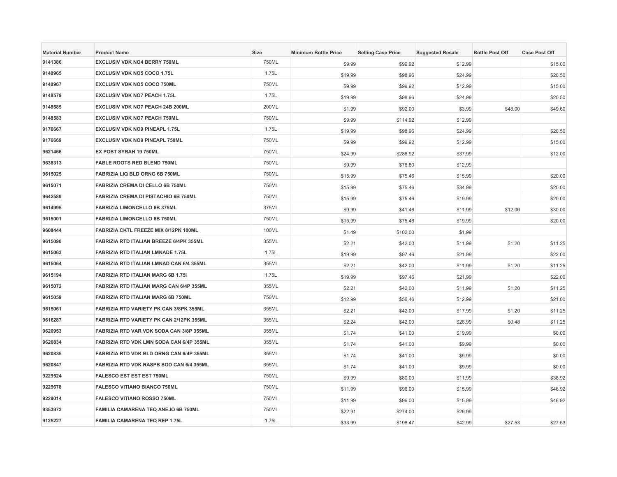| <b>Material Number</b> | <b>Product Name</b>                        | <b>Size</b> | <b>Minimum Bottle Price</b> | <b>Selling Case Price</b> | <b>Suggested Resale</b> | <b>Bottle Post Off</b> | <b>Case Post Off</b> |
|------------------------|--------------------------------------------|-------------|-----------------------------|---------------------------|-------------------------|------------------------|----------------------|
| 9141386                | <b>EXCLUSIV VDK NO4 BERRY 750ML</b>        | 750ML       | \$9.99                      | \$99.92                   | \$12.99                 |                        | \$15.00              |
| 9140965                | <b>EXCLUSIV VDK NO5 COCO 1.75L</b>         | 1.75L       | \$19.99                     | \$98.96                   | \$24.99                 |                        | \$20.50              |
| 9140967                | <b>EXCLUSIV VDK NO5 COCO 750ML</b>         | 750ML       | \$9.99                      | \$99.92                   | \$12.99                 |                        | \$15.00              |
| 9148579                | <b>EXCLUSIV VDK NO7 PEACH 1.75L</b>        | 1.75L       | \$19.99                     | \$98.96                   | \$24.99                 |                        | \$20.50              |
| 9148585                | EXCLUSIV VDK NO7 PEACH 24B 200ML           | 200ML       | \$1.99                      | \$92.00                   | \$3.99                  | \$48.00                | \$49.60              |
| 9148583                | <b>EXCLUSIV VDK NO7 PEACH 750ML</b>        | 750ML       | \$9.99                      | \$114.92                  | \$12.99                 |                        |                      |
| 9176667                | <b>EXCLUSIV VDK NO9 PINEAPL 1.75L</b>      | 1.75L       | \$19.99                     | \$98.96                   | \$24.99                 |                        | \$20.50              |
| 9176669                | <b>EXCLUSIV VDK NO9 PINEAPL 750ML</b>      | 750ML       | \$9.99                      | \$99.92                   | \$12.99                 |                        | \$15.00              |
| 9621466                | EX POST SYRAH 19 750ML                     | 750ML       | \$24.99                     | \$286.92                  | \$37.99                 |                        | \$12.00              |
| 9638313                | FABLE ROOTS RED BLEND 750ML                | 750ML       | \$9.99                      | \$76.80                   | \$12.99                 |                        |                      |
| 9615025                | FABRIZIA LIQ BLD ORNG 6B 750ML             | 750ML       | \$15.99                     | \$75.46                   | \$15.99                 |                        | \$20.00              |
| 9615071                | FABRIZIA CREMA DI CELLO 6B 750ML           | 750ML       | \$15.99                     | \$75.46                   | \$34.99                 |                        | \$20.00              |
| 9642589                | FABRIZIA CREMA DI PISTACHIO 6B 750ML       | 750ML       | \$15.99                     | \$75.46                   | \$19.99                 |                        | \$20.00              |
| 9614995                | <b>FABRIZIA LIMONCELLO 6B 375ML</b>        | 375ML       | \$9.99                      | \$41.46                   | \$11.99                 | \$12.00                | \$30.00              |
| 9615001                | FABRIZIA LIMONCELLO 6B 750ML               | 750ML       | \$15.99                     | \$75.46                   | \$19.99                 |                        | \$20.00              |
| 9608444                | FABRIZIA CKTL FREEZE MIX 8/12PK 100ML      | 100ML       | \$1.49                      | \$102.00                  | \$1.99                  |                        |                      |
| 9615090                | FABRIZIA RTD ITALIAN BREEZE 6/4PK 355ML    | 355ML       | \$2.21                      | \$42.00                   | \$11.99                 | \$1.20                 | \$11.25              |
| 9615063                | FABRIZIA RTD ITALIAN LMNADE 1.75L          | 1.75L       | \$19.99                     | \$97.46                   | \$21.99                 |                        | \$22.00              |
| 9615064                | FABRIZIA RTD ITALIAN LMNAD CAN 6/4 355ML   | 355ML       | \$2.21                      | \$42.00                   | \$11.99                 | \$1.20                 | \$11.25              |
| 9615194                | FABRIZIA RTD ITALIAN MARG 6B 1.75I         | 1.75L       | \$19.99                     | \$97.46                   | \$21.99                 |                        | \$22.00              |
| 9615072                | FABRIZIA RTD ITALIAN MARG CAN 6/4P 355ML   | 355ML       | \$2.21                      | \$42.00                   | \$11.99                 | \$1.20                 | \$11.25              |
| 9615059                | <b>FABRIZIA RTD ITALIAN MARG 6B 750ML</b>  | 750ML       | \$12.99                     | \$56.46                   | \$12.99                 |                        | \$21.00              |
| 9615061                | FABRIZIA RTD VARIETY PK CAN 3/8PK 355ML    | 355ML       | \$2.21                      | \$42.00                   | \$17.99                 | \$1.20                 | \$11.25              |
| 9616287                | FABRIZIA RTD VARIETY PK CAN 2/12PK 355ML   | 355ML       | \$2.24                      | \$42.00                   | \$26.99                 | \$0.48                 | \$11.25              |
| 9620953                | FABRIZIA RTD VAR VDK SODA CAN 3/8P 355ML   | 355ML       | \$1.74                      | \$41.00                   | \$19.99                 |                        | \$0.00               |
| 9620834                | FABRIZIA RTD VDK LMN SODA CAN 6/4P 355ML   | 355ML       | \$1.74                      | \$41.00                   | \$9.99                  |                        | \$0.00               |
| 9620835                | FABRIZIA RTD VDK BLD ORNG CAN 6/4P 355ML   | 355ML       | \$1.74                      | \$41.00                   | \$9.99                  |                        | \$0.00               |
| 9620847                | FABRIZIA RTD VDK RASPB SOD CAN 6/4 355ML   | 355ML       | \$1.74                      | \$41.00                   | \$9.99                  |                        | \$0.00               |
| 9229524                | <b>FALESCO EST EST EST 750ML</b>           | 750ML       | \$9.99                      | \$80.00                   | \$11.99                 |                        | \$38.92              |
| 9229678                | <b>FALESCO VITIANO BIANCO 750ML</b>        | 750ML       | \$11.99                     | \$96.00                   | \$15.99                 |                        | \$46.92              |
| 9229014                | FALESCO VITIANO ROSSO 750ML                | 750ML       | \$11.99                     | \$96.00                   | \$15.99                 |                        | \$46.92              |
| 9353973                | <b>FAMILIA CAMARENA TEQ ANEJO 6B 750ML</b> | 750ML       | \$22.91                     | \$274.00                  | \$29.99                 |                        |                      |
| 9125227                | FAMILIA CAMARENA TEQ REP 1.75L             | 1.75L       | \$33.99                     | \$198.47                  | \$42.99                 | \$27.53                | \$27.53              |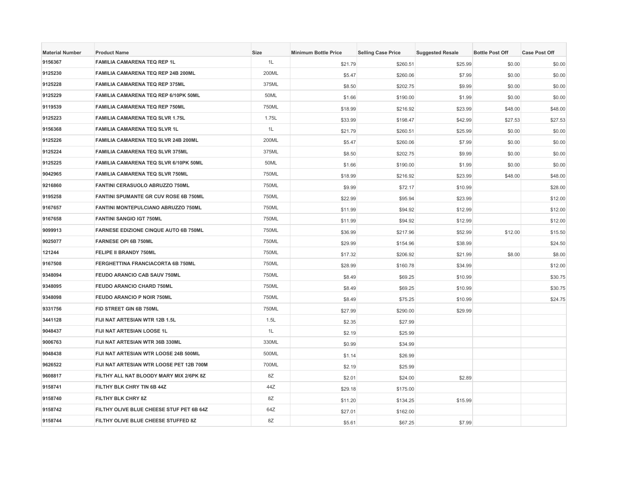| <b>Material Number</b> | <b>Product Name</b>                          | Size  | <b>Minimum Bottle Price</b> | <b>Selling Case Price</b> | <b>Suggested Resale</b> | <b>Bottle Post Off</b> | <b>Case Post Off</b> |
|------------------------|----------------------------------------------|-------|-----------------------------|---------------------------|-------------------------|------------------------|----------------------|
| 9156367                | FAMILIA CAMARENA TEQ REP 1L                  | 1L    | \$21.79                     | \$260.51                  | \$25.99                 | \$0.00                 | \$0.00               |
| 9125230                | FAMILIA CAMARENA TEQ REP 24B 200ML           | 200ML | \$5.47                      | \$260.06                  | \$7.99                  | \$0.00                 | \$0.00               |
| 9125228                | <b>FAMILIA CAMARENA TEQ REP 375ML</b>        | 375ML | \$8.50                      | \$202.75                  | \$9.99                  | \$0.00                 | \$0.00               |
| 9125229                | FAMILIA CAMARENA TEQ REP 6/10PK 50ML         | 50ML  | \$1.66                      | \$190.00                  | \$1.99                  | \$0.00                 | \$0.00               |
| 9119539                | <b>FAMILIA CAMARENA TEQ REP 750ML</b>        | 750ML | \$18.99                     | \$216.92                  | \$23.99                 | \$48.00                | \$48.00              |
| 9125223                | <b>FAMILIA CAMARENA TEQ SLVR 1.75L</b>       | 1.75L | \$33.99                     | \$198.47                  | \$42.99                 | \$27.53                | \$27.53              |
| 9156368                | <b>FAMILIA CAMARENA TEQ SLVR 1L</b>          | 1L    | \$21.79                     | \$260.51                  | \$25.99                 | \$0.00                 | \$0.00               |
| 9125226                | FAMILIA CAMARENA TEQ SLVR 24B 200ML          | 200ML | \$5.47                      | \$260.06                  | \$7.99                  | \$0.00                 | \$0.00               |
| 9125224                | <b>FAMILIA CAMARENA TEQ SLVR 375ML</b>       | 375ML | \$8.50                      | \$202.75                  | \$9.99                  | \$0.00                 | \$0.00               |
| 9125225                | FAMILIA CAMARENA TEQ SLVR 6/10PK 50ML        | 50ML  | \$1.66                      | \$190.00                  | \$1.99                  | \$0.00                 | \$0.00               |
| 9042965                | <b>FAMILIA CAMARENA TEQ SLVR 750ML</b>       | 750ML | \$18.99                     | \$216.92                  | \$23.99                 | \$48.00                | \$48.00              |
| 9216860                | FANTINI CERASUOLO ABRUZZO 750ML              | 750ML | \$9.99                      | \$72.17                   | \$10.99                 |                        | \$28.00              |
| 9195258                | FANTINI SPUMANTE GR CUV ROSE 6B 750ML        | 750ML | \$22.99                     | \$95.94                   | \$23.99                 |                        | \$12.00              |
| 9167657                | FANTINI MONTEPULCIANO ABRUZZO 750ML          | 750ML | \$11.99                     | \$94.92                   | \$12.99                 |                        | \$12.00              |
| 9167658                | <b>FANTINI SANGIO IGT 750ML</b>              | 750ML | \$11.99                     | \$94.92                   | \$12.99                 |                        | \$12.00              |
| 9099913                | <b>FARNESE EDIZIONE CINQUE AUTO 6B 750ML</b> | 750ML | \$36.99                     | \$217.96                  | \$52.99                 | \$12.00                | \$15.50              |
| 9025077                | <b>FARNESE OPI 6B 750ML</b>                  | 750ML | \$29.99                     | \$154.96                  | \$38.99                 |                        | \$24.50              |
| 121244                 | <b>FELIPE II BRANDY 750ML</b>                | 750ML | \$17.32                     | \$206.92                  | \$21.99                 | \$8.00                 | \$8.00               |
| 9167508                | FERGHETTINA FRANCIACORTA 6B 750ML            | 750ML | \$28.99                     | \$160.78                  | \$34.99                 |                        | \$12.00              |
| 9348094                | FEUDO ARANCIO CAB SAUV 750ML                 | 750ML | \$8.49                      | \$69.25                   | \$10.99                 |                        | \$30.75              |
| 9348095                | FEUDO ARANCIO CHARD 750ML                    | 750ML | \$8.49                      | \$69.25                   | \$10.99                 |                        | \$30.75              |
| 9348098                | <b>FEUDO ARANCIO P NOIR 750ML</b>            | 750ML | \$8.49                      | \$75.25                   | \$10.99                 |                        | \$24.75              |
| 9331756                | FID STREET GIN 6B 750ML                      | 750ML | \$27.99                     | \$290.00                  | \$29.99                 |                        |                      |
| 3441128                | FIJI NAT ARTESIAN WTR 12B 1.5L               | 1.5L  | \$2.35                      | \$27.99                   |                         |                        |                      |
| 9048437                | FIJI NAT ARTESIAN LOOSE 1L                   | 1L    | \$2.19                      | \$25.99                   |                         |                        |                      |
| 9006763                | FIJI NAT ARTESIAN WTR 36B 330ML              | 330ML | \$0.99                      | \$34.99                   |                         |                        |                      |
| 9048438                | FIJI NAT ARTESIAN WTR LOOSE 24B 500ML        | 500ML | \$1.14                      | \$26.99                   |                         |                        |                      |
| 9626522                | FIJI NAT ARTESIAN WTR LOOSE PET 12B 700M     | 700ML | \$2.19                      | \$25.99                   |                         |                        |                      |
| 9608817                | FILTHY ALL NAT BLOODY MARY MIX 2/6PK 8Z      | 8Z    | \$2.01                      | \$24.00                   | \$2.89                  |                        |                      |
| 9158741                | FILTHY BLK CHRY TIN 6B 44Z                   | 44Z   | \$29.18                     | \$175.00                  |                         |                        |                      |
| 9158740                | FILTHY BLK CHRY 8Z                           | 8Z    | \$11.20                     | \$134.25                  | \$15.99                 |                        |                      |
| 9158742                | FILTHY OLIVE BLUE CHEESE STUF PET 6B 64Z     | 64Z   | \$27.01                     | \$162.00                  |                         |                        |                      |
| 9158744                | FILTHY OLIVE BLUE CHEESE STUFFED 8Z          | 8Z    | \$5.61                      | \$67.25                   | \$7.99                  |                        |                      |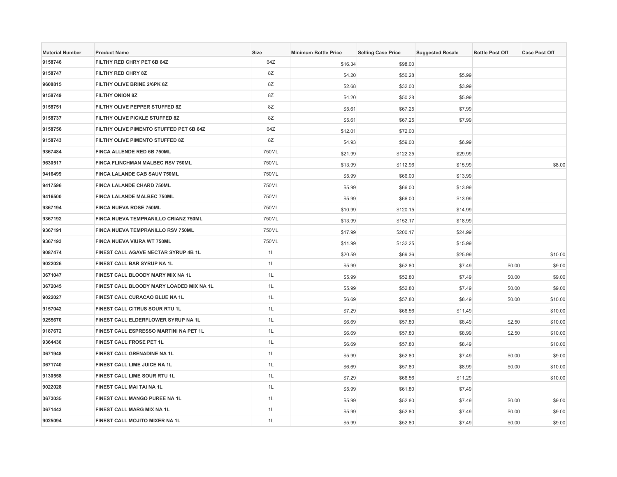| <b>Material Number</b> | <b>Product Name</b>                      | Size  | <b>Minimum Bottle Price</b> | <b>Selling Case Price</b> | <b>Suggested Resale</b> | <b>Bottle Post Off</b> | <b>Case Post Off</b> |
|------------------------|------------------------------------------|-------|-----------------------------|---------------------------|-------------------------|------------------------|----------------------|
| 9158746                | FILTHY RED CHRY PET 6B 64Z               | 64Z   | \$16.34                     | \$98.00                   |                         |                        |                      |
| 9158747                | FILTHY RED CHRY 8Z                       | 8Z    | \$4.20                      | \$50.28                   | \$5.99                  |                        |                      |
| 9608815                | FILTHY OLIVE BRINE 2/6PK 8Z              | 8Z    | \$2.68                      | \$32.00                   | \$3.99                  |                        |                      |
| 9158749                | FILTHY ONION 8Z                          | 8Z    | \$4.20                      | \$50.28                   | \$5.99                  |                        |                      |
| 9158751                | FILTHY OLIVE PEPPER STUFFED 8Z           | 8Z    | \$5.61                      | \$67.25                   | \$7.99                  |                        |                      |
| 9158737                | FILTHY OLIVE PICKLE STUFFED 8Z           | 8Z    | \$5.61                      | \$67.25                   | \$7.99                  |                        |                      |
| 9158756                | FILTHY OLIVE PIMENTO STUFFED PET 6B 64Z  | 64Z   | \$12.01                     | \$72.00                   |                         |                        |                      |
| 9158743                | FILTHY OLIVE PIMENTO STUFFED 8Z          | 8Z    | \$4.93                      | \$59.00                   | \$6.99                  |                        |                      |
| 9367484                | FINCA ALLENDE RED 6B 750ML               | 750ML | \$21.99                     | \$122.25                  | \$29.99                 |                        |                      |
| 9630517                | FINCA FLINCHMAN MALBEC RSV 750ML         | 750ML | \$13.99                     | \$112.96                  | \$15.99                 |                        | \$8.00               |
| 9416499                | FINCA LALANDE CAB SAUV 750ML             | 750ML | \$5.99                      | \$66.00                   | \$13.99                 |                        |                      |
| 9417596                | FINCA LALANDE CHARD 750ML                | 750ML | \$5.99                      | \$66.00                   | \$13.99                 |                        |                      |
| 9416500                | FINCA LALANDE MALBEC 750ML               | 750ML | \$5.99                      | \$66.00                   | \$13.99                 |                        |                      |
| 9367194                | <b>FINCA NUEVA ROSE 750ML</b>            | 750ML | \$10.99                     | \$120.15                  | \$14.99                 |                        |                      |
| 9367192                | FINCA NUEVA TEMPRANILLO CRIANZ 750ML     | 750ML | \$13.99                     | \$152.17                  | \$18.99                 |                        |                      |
| 9367191                | FINCA NUEVA TEMPRANILLO RSV 750ML        | 750ML | \$17.99                     | \$200.17                  | \$24.99                 |                        |                      |
| 9367193                | FINCA NUEVA VIURA WT 750ML               | 750ML | \$11.99                     | \$132.25                  | \$15.99                 |                        |                      |
| 9087474                | FINEST CALL AGAVE NECTAR SYRUP 4B 1L     | 1L    | \$20.59                     | \$69.36                   | \$25.99                 |                        | \$10.00              |
| 9022026                | FINEST CALL BAR SYRUP NA 1L              | 1L    | \$5.99                      | \$52.80                   | \$7.49                  | \$0.00                 | \$9.00               |
| 3671047                | FINEST CALL BLOODY MARY MIX NA 1L        | 1L    | \$5.99                      | \$52.80                   | \$7.49                  | \$0.00                 | \$9.00               |
| 3672045                | FINEST CALL BLOODY MARY LOADED MIX NA 1L | 1L    | \$5.99                      | \$52.80                   | \$7.49                  | \$0.00                 | \$9.00               |
| 9022027                | FINEST CALL CURACAO BLUE NA 1L           | 1L    | \$6.69                      | \$57.80                   | \$8.49                  | \$0.00                 | \$10.00              |
| 9157042                | FINEST CALL CITRUS SOUR RTU 1L           | 1L    | \$7.29                      | \$66.56                   | \$11.49                 |                        | \$10.00              |
| 9255670                | FINEST CALL ELDERFLOWER SYRUP NA 1L      | 1L    | \$6.69                      | \$57.80                   | \$8.49                  | \$2.50                 | \$10.00              |
| 9187672                | FINEST CALL ESPRESSO MARTINI NA PET 1L   | 1L    | \$6.69                      | \$57.80                   | \$8.99                  | \$2.50                 | \$10.00              |
| 9364430                | FINEST CALL FROSE PET 1L                 | 1L    | \$6.69                      | \$57.80                   | \$8.49                  |                        | \$10.00              |
| 3671948                | FINEST CALL GRENADINE NA 1L              | 1L    | \$5.99                      | \$52.80                   | \$7.49                  | \$0.00                 | \$9.00               |
| 3671740                | FINEST CALL LIME JUICE NA 1L             | 1L    | \$6.69                      | \$57.80                   | \$8.99                  | \$0.00                 | \$10.00              |
| 9130558                | FINEST CALL LIME SOUR RTU 1L             | 1L    | \$7.29                      | \$66.56                   | \$11.29                 |                        | \$10.00              |
| 9022028                | FINEST CALL MAI TAI NA 1L                | 1L    | \$5.99                      | \$61.80                   | \$7.49                  |                        |                      |
| 3673035                | FINEST CALL MANGO PUREE NA 1L            | 1L    | \$5.99                      | \$52.80                   | \$7.49                  | \$0.00                 | \$9.00               |
| 3671443                | FINEST CALL MARG MIX NA 1L               | 1L    | \$5.99                      | \$52.80                   | \$7.49                  | \$0.00                 | \$9.00               |
| 9025094                | FINEST CALL MOJITO MIXER NA 1L           | 1L    | \$5.99                      | \$52.80                   | \$7.49                  | \$0.00                 | \$9.00               |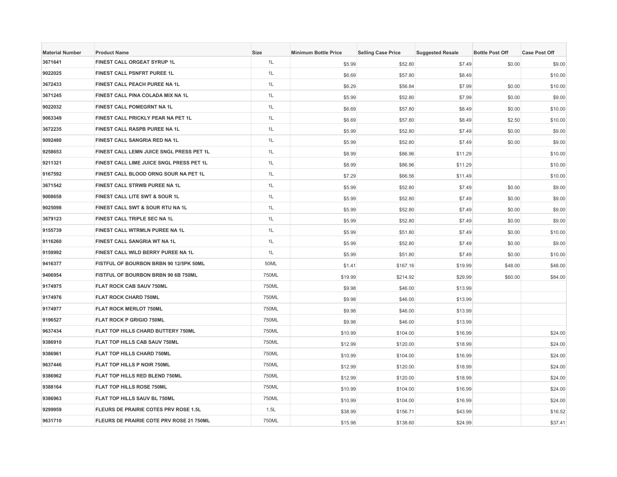| <b>Material Number</b> | <b>Product Name</b>                      | Size  | <b>Minimum Bottle Price</b> | <b>Selling Case Price</b> | <b>Suggested Resale</b> | <b>Bottle Post Off</b> | <b>Case Post Off</b> |
|------------------------|------------------------------------------|-------|-----------------------------|---------------------------|-------------------------|------------------------|----------------------|
| 3671641                | FINEST CALL ORGEAT SYRUP 1L              | 1L    | \$5.99                      | \$52.80                   | \$7.49                  | \$0.00                 | \$9.00               |
| 9022025                | <b>FINEST CALL PSNFRT PUREE 1L</b>       | 1L    | \$6.69                      | \$57.80                   | \$8.49                  |                        | \$10.00              |
| 3672433                | FINEST CALL PEACH PUREE NA 1L            | 1L    | \$6.29                      | \$56.84                   | \$7.99                  | \$0.00                 | \$10.00              |
| 3671245                | FINEST CALL PINA COLADA MIX NA 1L        | 1L    | \$5.99                      | \$52.80                   | \$7.99                  | \$0.00                 | \$9.00               |
| 9022032                | FINEST CALL POMEGRNT NA 1L               | 1L    | \$6.69                      | \$57.80                   | \$8.49                  | \$0.00                 | \$10.00              |
| 9063349                | FINEST CALL PRICKLY PEAR NA PET 1L       | 1L    | \$6.69                      | \$57.80                   | \$8.49                  | \$2.50                 | \$10.00              |
| 3672235                | FINEST CALL RASPB PUREE NA 1L            | 1L    | \$5.99                      | \$52.80                   | \$7.49                  | \$0.00                 | \$9.00               |
| 9092480                | FINEST CALL SANGRIA RED NA 1L            | 1L    | \$5.99                      | \$52.80                   | \$7.49                  | \$0.00                 | \$9.00               |
| 9258653                | FINEST CALL LEMN JUICE SNGL PRESS PET 1L | 1L    | \$8.99                      | \$86.96                   | \$11.29                 |                        | \$10.00              |
| 9211321                | FINEST CALL LIME JUICE SNGL PRESS PET 1L | 1L    | \$8.99                      | \$86.96                   | \$11.29                 |                        | \$10.00              |
| 9167592                | FINEST CALL BLOOD ORNG SOUR NA PET 1L    | 1L    | \$7.29                      | \$66.56                   | \$11.49                 |                        | \$10.00              |
| 3671542                | FINEST CALL STRWB PUREE NA 1L            | 1L    | \$5.99                      | \$52.80                   | \$7.49                  | \$0.00                 | \$9.00               |
| 9008658                | FINEST CALL LITE SWT & SOUR 1L           | 1L    | \$5.99                      | \$52.80                   | \$7.49                  | \$0.00                 | \$9.00               |
| 9025098                | FINEST CALL SWT & SOUR RTU NA 1L         | 1L    | \$5.99                      | \$52.80                   | \$7.49                  | \$0.00                 | \$9.00               |
| 3679123                | FINEST CALL TRIPLE SEC NA 1L             | 1L    | \$5.99                      | \$52.80                   | \$7.49                  | \$0.00                 | \$9.00               |
| 9155739                | FINEST CALL WTRMLN PUREE NA 1L           | 1L    | \$5.99                      | \$51.80                   | \$7.49                  | \$0.00                 | \$10.00              |
| 9116260                | FINEST CALL SANGRIA WT NA 1L             | 1L    | \$5.99                      | \$52.80                   | \$7.49                  | \$0.00                 | \$9.00               |
| 9159992                | FINEST CALL WILD BERRY PUREE NA 1L       | 1L    | \$5.99                      | \$51.80                   | \$7.49                  | \$0.00                 | \$10.00              |
| 9416377                | FISTFUL OF BOURBON BRBN 90 12/5PK 50ML   | 50ML  | \$1.41                      | \$167.16                  | \$19.99                 | \$48.00                | \$48.00              |
| 9406954                | FISTFUL OF BOURBON BRBN 90 6B 750ML      | 750ML | \$19.99                     | \$214.92                  | \$29.99                 | \$60.00                | \$84.00              |
| 9174975                | FLAT ROCK CAB SAUV 750ML                 | 750ML | \$9.98                      | \$46.00                   | \$13.99                 |                        |                      |
| 9174976                | <b>FLAT ROCK CHARD 750ML</b>             | 750ML | \$9.98                      | \$46.00                   | \$13.99                 |                        |                      |
| 9174977                | <b>FLAT ROCK MERLOT 750ML</b>            | 750ML | \$9.98                      | \$46.00                   | \$13.99                 |                        |                      |
| 9196527                | <b>FLAT ROCK P GRIGIO 750ML</b>          | 750ML | \$9.98                      | \$46.00                   | \$13.99                 |                        |                      |
| 9637434                | FLAT TOP HILLS CHARD BUTTERY 750ML       | 750ML | \$10.99                     | \$104.00                  | \$16.99                 |                        | \$24.00              |
| 9386910                | FLAT TOP HILLS CAB SAUV 750ML            | 750ML | \$12.99                     | \$120.00                  | \$18.99                 |                        | \$24.00              |
| 9386961                | FLAT TOP HILLS CHARD 750ML               | 750ML | \$10.99                     | \$104.00                  | \$16.99                 |                        | \$24.00              |
| 9637446                | FLAT TOP HILLS P NOIR 750ML              | 750ML | \$12.99                     | \$120.00                  | \$18.99                 |                        | \$24.00              |
| 9386962                | FLAT TOP HILLS RED BLEND 750ML           | 750ML | \$12.99                     | \$120.00                  | \$18.99                 |                        | \$24.00              |
| 9388164                | FLAT TOP HILLS ROSE 750ML                | 750ML | \$10.99                     | \$104.00                  | \$16.99                 |                        | \$24.00              |
| 9386963                | FLAT TOP HILLS SAUV BL 750ML             | 750ML | \$10.99                     | \$104.00                  | \$16.99                 |                        | \$24.00              |
| 9299959                | FLEURS DE PRAIRIE COTES PRV ROSE 1.5L    | 1.5L  | \$38.99                     | \$156.71                  | \$43.99                 |                        | \$16.52              |
| 9631710                | FLEURS DE PRAIRIE COTE PRV ROSE 21 750ML | 750ML | \$15.98                     | \$138.60                  | \$24.99                 |                        | \$37.41              |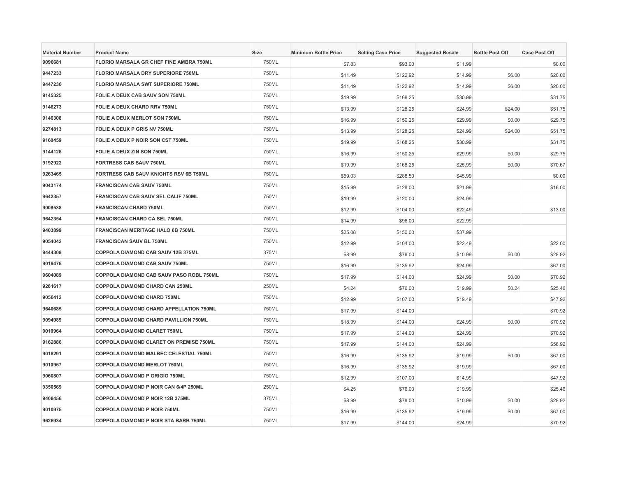| <b>Material Number</b> | <b>Product Name</b>                           | Size  | <b>Minimum Bottle Price</b> | <b>Selling Case Price</b> | <b>Suggested Resale</b> | <b>Bottle Post Off</b> | <b>Case Post Off</b> |
|------------------------|-----------------------------------------------|-------|-----------------------------|---------------------------|-------------------------|------------------------|----------------------|
| 9096681                | FLORIO MARSALA GR CHEF FINE AMBRA 750ML       | 750ML | \$7.83                      | \$93.00                   | \$11.99                 |                        | \$0.00               |
| 9447233                | <b>FLORIO MARSALA DRY SUPERIORE 750ML</b>     | 750ML | \$11.49                     | \$122.92                  | \$14.99                 | \$6.00                 | \$20.00              |
| 9447236                | <b>FLORIO MARSALA SWT SUPERIORE 750ML</b>     | 750ML | \$11.49                     | \$122.92                  | \$14.99                 | \$6.00                 | \$20.00              |
| 9145325                | FOLIE A DEUX CAB SAUV SON 750ML               | 750ML | \$19.99                     | \$168.25                  | \$30.99                 |                        | \$31.75              |
| 9146273                | FOLIE A DEUX CHARD RRV 750ML                  | 750ML | \$13.99                     | \$128.25                  | \$24.99                 | \$24.00                | \$51.75              |
| 9146308                | <b>FOLIE A DEUX MERLOT SON 750ML</b>          | 750ML | \$16.99                     | \$150.25                  | \$29.99                 | \$0.00                 | \$29.75              |
| 9274813                | FOLIE A DEUX P GRIS NV 750ML                  | 750ML | \$13.99                     | \$128.25                  | \$24.99                 | \$24.00                | \$51.75              |
| 9160459                | FOLIE A DEUX P NOIR SON CST 750ML             | 750ML | \$19.99                     | \$168.25                  | \$30.99                 |                        | \$31.75              |
| 9144126                | FOLIE A DEUX ZIN SON 750ML                    | 750ML | \$16.99                     | \$150.25                  | \$29.99                 | \$0.00                 | \$29.75              |
| 9192922                | <b>FORTRESS CAB SAUV 750ML</b>                | 750ML | \$19.99                     | \$168.25                  | \$25.99                 | \$0.00                 | \$70.67              |
| 9263465                | <b>FORTRESS CAB SAUV KNIGHTS RSV 6B 750ML</b> | 750ML | \$59.03                     | \$288.50                  | \$45.99                 |                        | \$0.00               |
| 9043174                | <b>FRANCISCAN CAB SAUV 750ML</b>              | 750ML | \$15.99                     | \$128.00                  | \$21.99                 |                        | \$16.00              |
| 9642357                | FRANCISCAN CAB SAUV SEL CALIF 750ML           | 750ML | \$19.99                     | \$120.00                  | \$24.99                 |                        |                      |
| 9008538                | <b>FRANCISCAN CHARD 750ML</b>                 | 750ML | \$12.99                     | \$104.00                  | \$22.49                 |                        | \$13.00              |
| 9642354                | <b>FRANCISCAN CHARD CA SEL 750ML</b>          | 750ML | \$14.99                     | \$96.00                   | \$22.99                 |                        |                      |
| 9403899                | <b>FRANCISCAN MERITAGE HALO 6B 750ML</b>      | 750ML | \$25.08                     | \$150.00                  | \$37.99                 |                        |                      |
| 9054042                | FRANCISCAN SAUV BL 750ML                      | 750ML | \$12.99                     | \$104.00                  | \$22.49                 |                        | \$22.00              |
| 9444309                | COPPOLA DIAMOND CAB SAUV 12B 375ML            | 375ML | \$8.99                      | \$78.00                   | \$10.99                 | \$0.00                 | \$28.92              |
| 9019476                | <b>COPPOLA DIAMOND CAB SAUV 750ML</b>         | 750ML | \$16.99                     | \$135.92                  | \$24.99                 |                        | \$67.00              |
| 9604089                | COPPOLA DIAMOND CAB SAUV PASO ROBL 750ML      | 750ML | \$17.99                     | \$144.00                  | \$24.99                 | \$0.00                 | \$70.92              |
| 9281617                | COPPOLA DIAMOND CHARD CAN 250ML               | 250ML | \$4.24                      | \$76.00                   | \$19.99                 | \$0.24                 | \$25.46              |
| 9056412                | COPPOLA DIAMOND CHARD 750ML                   | 750ML | \$12.99                     | \$107.00                  | \$19.49                 |                        | \$47.92              |
| 9640685                | COPPOLA DIAMOND CHARD APPELLATION 750ML       | 750ML | \$17.99                     | \$144.00                  |                         |                        | \$70.92              |
| 9094989                | COPPOLA DIAMOND CHARD PAVILLION 750ML         | 750ML | \$18.99                     | \$144.00                  | \$24.99                 | \$0.00                 | \$70.92              |
| 9010964                | COPPOLA DIAMOND CLARET 750ML                  | 750ML | \$17.99                     | \$144.00                  | \$24.99                 |                        | \$70.92              |
| 9162886                | COPPOLA DIAMOND CLARET ON PREMISE 750ML       | 750ML | \$17.99                     | \$144.00                  | \$24.99                 |                        | \$58.92              |
| 9018291                | COPPOLA DIAMOND MALBEC CELESTIAL 750ML        | 750ML | \$16.99                     | \$135.92                  | \$19.99                 | \$0.00                 | \$67.00              |
| 9010967                | COPPOLA DIAMOND MERLOT 750ML                  | 750ML | \$16.99                     | \$135.92                  | \$19.99                 |                        | \$67.00              |
| 9060807                | <b>COPPOLA DIAMOND P GRIGIO 750ML</b>         | 750ML | \$12.99                     | \$107.00                  | \$14.99                 |                        | \$47.92              |
| 9350569                | COPPOLA DIAMOND P NOIR CAN 6/4P 250ML         | 250ML | \$4.25                      | \$76.00                   | \$19.99                 |                        | \$25.46              |
| 9408456                | COPPOLA DIAMOND P NOIR 12B 375ML              | 375ML | \$8.99                      | \$78.00                   | \$10.99                 | \$0.00                 | \$28.92              |
| 9010975                | <b>COPPOLA DIAMOND P NOIR 750ML</b>           | 750ML | \$16.99                     | \$135.92                  | \$19.99                 | \$0.00                 | \$67.00              |
| 9626934                | COPPOLA DIAMOND P NOIR STA BARB 750ML         | 750ML | \$17.99                     | \$144.00                  | \$24.99                 |                        | \$70.92              |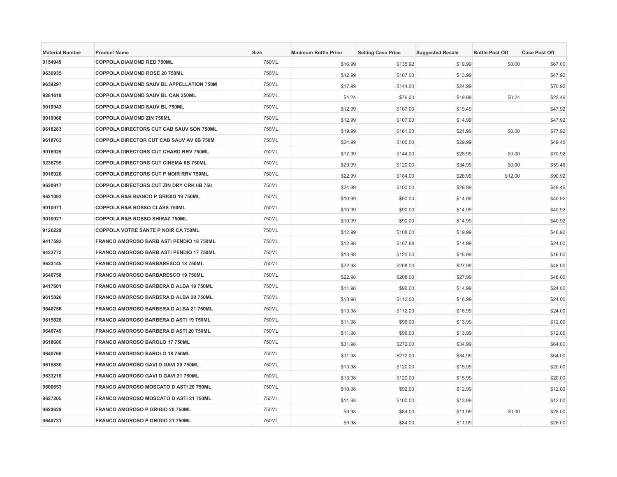| <b>Material Number</b> | <b>Product Name</b>                             | <b>Size</b> | <b>Minimum Bottle Price</b> | <b>Selling Case Price</b> | <b>Suggested Resale</b> | <b>Bottle Post Off</b> | <b>Case Post Off</b> |
|------------------------|-------------------------------------------------|-------------|-----------------------------|---------------------------|-------------------------|------------------------|----------------------|
| 9154949                | COPPOLA DIAMOND RED 750ML                       | 750ML       | \$16.99                     | \$135.92                  | \$19.99                 | \$0.00                 | \$67.00              |
| 9636935                | <b>COPPOLA DIAMOND ROSE 20 750ML</b>            | 750ML       | \$12.99                     | \$107.00                  | \$13.99                 |                        | \$47.92              |
| 9639297                | COPPOLA DIAMOND SAUV BL APPELLATION 750M        | 750ML       | \$17.99                     | \$144.00                  | \$24.99                 |                        | \$70.92              |
| 9281619                | COPPOLA DIAMOND SAUV BL CAN 250ML               | 250ML       | \$4.24                      | \$76.00                   | \$19.99                 | \$0.24                 | \$25.46              |
| 9010943                | COPPOLA DIAMOND SAUV BL 750ML                   | 750ML       | \$12.99                     | \$107.00                  | \$19.49                 |                        | \$47.92              |
| 9010968                | <b>COPPOLA DIAMOND ZIN 750ML</b>                | 750ML       | \$12.99                     | \$107.00                  | \$14.99                 |                        | \$47.92              |
| 9618283                | <b>COPPOLA DIRECTORS CUT CAB SAUV SON 750ML</b> | 750ML       | \$19.99                     | \$161.00                  | \$21.99                 | \$0.00                 | \$77.92              |
| 9618763                | COPPOLA DIRECTOR CUT CAB SAUV AV 6B 750M        | 750ML       | \$24.99                     | \$100.00                  | \$29.99                 |                        | \$49.46              |
| 9016925                | <b>COPPOLA DIRECTORS CUT CHARD RRV 750ML</b>    | 750ML       | \$17.99                     | \$144.00                  | \$28.99                 | \$0.00                 | \$70.92              |
| 9236795                | COPPOLA DIRECTORS CUT CINEMA 6B 750ML           | 750ML       | \$29.99                     | \$120.00                  | \$34.99                 | \$0.00                 | \$59.46              |
| 9016926                | <b>COPPOLA DIRECTORS CUT P NOIR RRV 750ML</b>   | 750ML       | \$22.99                     | \$184.00                  | \$28.99                 | \$12.00                | \$90.92              |
| 9630917                | COPPOLA DIRECTORS CUT ZIN DRY CRK 6B 750        | 750ML       | \$24.99                     | \$100.00                  | \$29.99                 |                        | \$49.46              |
| 9621093                | COPPOLA R&B BIANCO P GRIGIO 19 750ML            | 750ML       | \$10.99                     | \$90.00                   | \$14.99                 |                        | \$40.92              |
| 9010971                | COPPOLA R&B ROSSO CLASS 750ML                   | 750ML       | \$10.99                     | \$90.00                   | \$14.99                 |                        | \$40.92              |
| 9010927                | <b>COPPOLA R&amp;B ROSSO SHIRAZ 750ML</b>       | 750ML       | \$10.99                     | \$90.00                   | \$14.99                 |                        | \$40.92              |
| 9126229                | COPPOLA VOTRE SANTE P NOIR CA 750ML             | 750ML       | \$12.99                     | \$108.00                  | \$19.99                 |                        | \$46.92              |
| 9417593                | FRANCO AMOROSO BARB ASTI PENDIO 18 750ML        | 750ML       | \$12.98                     | \$107.88                  | \$14.99                 |                        | \$24.00              |
| 9423772                | FRANCO AMOROSO BARB ASTI PENDIO 17 750ML        | 750ML       | \$13.98                     | \$120.00                  | \$16.99                 |                        | \$16.00              |
| 9623145                | FRANCO AMOROSO BARBARESCO 18 750ML              | 750ML       | \$22.98                     | \$208.00                  | \$27.99                 |                        | \$48.00              |
| 9640758                | FRANCO AMOROSO BARBARESCO 19 750ML              | 750ML       | \$22.98                     | \$208.00                  | \$27.99                 |                        | \$48.00              |
| 9417601                | FRANCO AMOROSO BARBERA D ALBA 19 750ML          | 750ML       | \$11.98                     | \$96.00                   | \$14.99                 |                        | \$24.00              |
| 9615826                | FRANCO AMOROSO BARBERA D ALBA 20 750ML          | 750ML       | \$13.98                     | \$112.00                  | \$16.99                 |                        | \$24.00              |
| 9640756                | FRANCO AMOROSO BARBERA D ALBA 21 750ML          | 750ML       | \$13.98                     | \$112.00                  | \$16.99                 |                        | \$24.00              |
| 9615828                | FRANCO AMOROSO BARBERA D ASTI 19 750ML          | 750ML       | \$11.98                     | \$96.00                   | \$13.99                 |                        | \$12.00              |
| 9640749                | FRANCO AMOROSO BARBERA D ASTI 20 750ML          | 750ML       | \$11.98                     | \$96.00                   | \$13.99                 |                        | \$12.00              |
| 9618606                | FRANCO AMOROSO BAROLO 17 750ML                  | 750ML       | \$31.98                     | \$272.00                  | \$34.99                 |                        | \$64.00              |
| 9640768                | FRANCO AMOROSO BAROLO 18 750ML                  | 750ML       | \$31.98                     | \$272.00                  | \$34.99                 |                        | \$64.00              |
| 9615830                | FRANCO AMOROSO GAVI D GAVI 20 750ML             | 750ML       | \$13.98                     | \$120.00                  | \$15.99                 |                        | \$20.00              |
| 9633218                | FRANCO AMOROSO GAVI D GAVI 21 750ML             | 750ML       | \$13.98                     | \$120.00                  | \$15.99                 |                        | \$20.00              |
| 9600653                | FRANCO AMOROSO MOSCATO D ASTI 20 750ML          | 750ML       | \$10.98                     | \$92.00                   | \$12.99                 |                        | \$12.00              |
| 9627205                | FRANCO AMOROSO MOSCATO D ASTI 21 750ML          | 750ML       | \$11.98                     | \$100.00                  | \$13.99                 |                        | \$12.00              |
| 9620629                | FRANCO AMOROSO P GRIGIO 20 750ML                | 750ML       | \$9.98                      | \$84.00                   | \$11.99                 | \$0.00                 | \$28.00              |
| 9640731                | FRANCO AMOROSO P GRIGIO 21 750ML                | 750ML       | \$9.98                      | \$84.00                   | \$11.99                 |                        | \$28.00              |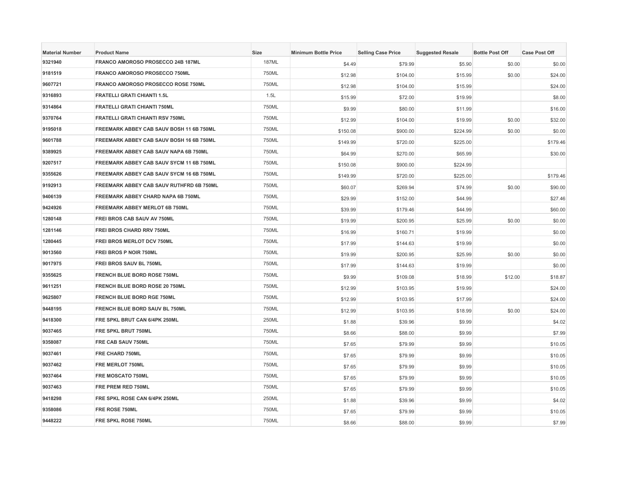| <b>Material Number</b> | <b>Product Name</b>                       | <b>Size</b>  | <b>Minimum Bottle Price</b> | <b>Selling Case Price</b> | <b>Suggested Resale</b> | <b>Bottle Post Off</b> | <b>Case Post Off</b> |
|------------------------|-------------------------------------------|--------------|-----------------------------|---------------------------|-------------------------|------------------------|----------------------|
| 9321940                | FRANCO AMOROSO PROSECCO 24B 187ML         | <b>187ML</b> | \$4.49                      | \$79.99                   | \$5.90                  | \$0.00                 | \$0.00               |
| 9181519                | FRANCO AMOROSO PROSECCO 750ML             | 750ML        | \$12.98                     | \$104.00                  | \$15.99                 | \$0.00                 | \$24.00              |
| 9607721                | <b>FRANCO AMOROSO PROSECCO ROSE 750ML</b> | 750ML        | \$12.98                     | \$104.00                  | \$15.99                 |                        | \$24.00              |
| 9316893                | <b>FRATELLI GRATI CHIANTI 1.5L</b>        | 1.5L         | \$15.99                     | \$72.00                   | \$19.99                 |                        | \$8.00               |
| 9314864                | <b>FRATELLI GRATI CHIANTI 750ML</b>       | 750ML        | \$9.99                      | \$80.00                   | \$11.99                 |                        | \$16.00              |
| 9370764                | <b>FRATELLI GRATI CHIANTI RSV 750ML</b>   | 750ML        | \$12.99                     | \$104.00                  | \$19.99                 | \$0.00                 | \$32.00              |
| 9195018                | FREEMARK ABBEY CAB SAUV BOSH 11 6B 750ML  | 750ML        | \$150.08                    | \$900.00                  | \$224.99                | \$0.00                 | \$0.00               |
| 9601788                | FREEMARK ABBEY CAB SAUV BOSH 16 6B 750ML  | 750ML        | \$149.99                    | \$720.00                  | \$225.00                |                        | \$179.46             |
| 9389925                | FREEMARK ABBEY CAB SAUV NAPA 6B 750ML     | 750ML        | \$64.99                     | \$270.00                  | \$65.99                 |                        | \$30.00              |
| 9207517                | FREEMARK ABBEY CAB SAUV SYCM 11 6B 750ML  | 750ML        | \$150.08                    | \$900.00                  | \$224.99                |                        |                      |
| 9355626                | FREEMARK ABBEY CAB SAUV SYCM 16 6B 750ML  | 750ML        | \$149.99                    | \$720.00                  | \$225.00                |                        | \$179.46             |
| 9192913                | FREEMARK ABBEY CAB SAUV RUTHFRD 6B 750ML  | 750ML        | \$60.07                     | \$269.94                  | \$74.99                 | \$0.00                 | \$90.00              |
| 9406139                | FREEMARK ABBEY CHARD NAPA 6B 750ML        | 750ML        | \$29.99                     | \$152.00                  | \$44.99                 |                        | \$27.46              |
| 9424926                | <b>FREEMARK ABBEY MERLOT 6B 750ML</b>     | 750ML        | \$39.99                     | \$179.46                  | \$44.99                 |                        | \$60.00              |
| 1280148                | FREI BROS CAB SAUV AV 750ML               | 750ML        | \$19.99                     | \$200.95                  | \$25.99                 | \$0.00                 | \$0.00               |
| 1281146                | FREI BROS CHARD RRV 750ML                 | 750ML        | \$16.99                     | \$160.71                  | \$19.99                 |                        | \$0.00               |
| 1280445                | FREI BROS MERLOT DCV 750ML                | 750ML        | \$17.99                     | \$144.63                  | \$19.99                 |                        | \$0.00               |
| 9013560                | <b>FREI BROS P NOIR 750ML</b>             | 750ML        | \$19.99                     | \$200.95                  | \$25.99                 | \$0.00                 | \$0.00               |
| 9017975                | FREI BROS SAUV BL 750ML                   | 750ML        | \$17.99                     | \$144.63                  | \$19.99                 |                        | \$0.00               |
| 9355625                | FRENCH BLUE BORD ROSE 750ML               | 750ML        | \$9.99                      | \$109.08                  | \$18.99                 | \$12.00                | \$18.87              |
| 9611251                | FRENCH BLUE BORD ROSE 20 750ML            | 750ML        | \$12.99                     | \$103.95                  | \$19.99                 |                        | \$24.00              |
| 9625807                | <b>FRENCH BLUE BORD RGE 750ML</b>         | 750ML        | \$12.99                     | \$103.95                  | \$17.99                 |                        | \$24.00              |
| 9448195                | FRENCH BLUE BORD SAUV BL 750ML            | 750ML        | \$12.99                     | \$103.95                  | \$18.99                 | \$0.00                 | \$24.00              |
| 9418300                | FRE SPKL BRUT CAN 6/4PK 250ML             | 250ML        | \$1.88                      | \$39.96                   | \$9.99                  |                        | \$4.02               |
| 9037465                | FRE SPKL BRUT 750ML                       | 750ML        | \$8.66                      | \$88.00                   | \$9.99                  |                        | \$7.99               |
| 9358087                | FRE CAB SAUV 750ML                        | 750ML        | \$7.65                      | \$79.99                   | \$9.99                  |                        | \$10.05              |
| 9037461                | FRE CHARD 750ML                           | 750ML        | \$7.65                      | \$79.99                   | \$9.99                  |                        | \$10.05              |
| 9037462                | FRE MERLOT 750ML                          | 750ML        | \$7.65                      | \$79.99                   | \$9.99                  |                        | \$10.05              |
| 9037464                | FRE MOSCATO 750ML                         | 750ML        | \$7.65                      | \$79.99                   | \$9.99                  |                        | \$10.05              |
| 9037463                | FRE PREM RED 750ML                        | 750ML        | \$7.65                      | \$79.99                   | \$9.99                  |                        | \$10.05              |
| 9418298                | FRE SPKL ROSE CAN 6/4PK 250ML             | 250ML        | \$1.88                      | \$39.96                   | \$9.99                  |                        | \$4.02               |
| 9358086                | FRE ROSE 750ML                            | 750ML        | \$7.65                      | \$79.99                   | \$9.99                  |                        | \$10.05              |
| 9448222                | FRE SPKL ROSE 750ML                       | 750ML        | \$8.66                      | \$88.00                   | \$9.99                  |                        | \$7.99               |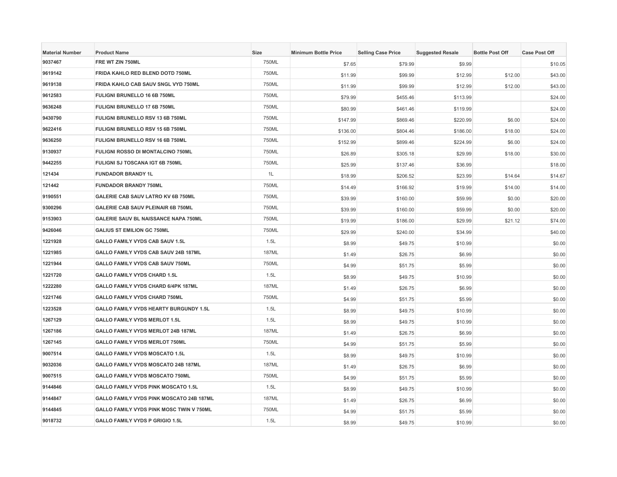| <b>Material Number</b> | <b>Product Name</b>                         | Size         | <b>Minimum Bottle Price</b> | <b>Selling Case Price</b> | <b>Suggested Resale</b> | <b>Bottle Post Off</b> | <b>Case Post Off</b> |
|------------------------|---------------------------------------------|--------------|-----------------------------|---------------------------|-------------------------|------------------------|----------------------|
| 9037467                | FRE WT ZIN 750ML                            | 750ML        | \$7.65                      | \$79.99                   | \$9.99                  |                        | \$10.05              |
| 9619142                | FRIDA KAHLO RED BLEND DOTD 750ML            | 750ML        | \$11.99                     | \$99.99                   | \$12.99                 | \$12.00                | \$43.00              |
| 9619138                | FRIDA KAHLO CAB SAUV SNGL VYD 750ML         | 750ML        | \$11.99                     | \$99.99                   | \$12.99                 | \$12.00                | \$43.00              |
| 9612583                | FULIGNI BRUNELLO 16 6B 750ML                | 750ML        | \$79.99                     | \$455.46                  | \$113.99                |                        | \$24.00              |
| 9636248                | FULIGNI BRUNELLO 17 6B 750ML                | 750ML        | \$80.99                     | \$461.46                  | \$119.99                |                        | \$24.00              |
| 9430790                | FULIGNI BRUNELLO RSV 13 6B 750ML            | 750ML        | \$147.99                    | \$869.46                  | \$220.99                | \$6.00                 | \$24.00              |
| 9622416                | FULIGNI BRUNELLO RSV 15 6B 750ML            | 750ML        | \$136.00                    | \$804.46                  | \$186.00                | \$18.00                | \$24.00              |
| 9636250                | FULIGNI BRUNELLO RSV 16 6B 750ML            | 750ML        | \$152.99                    | \$899.46                  | \$224.99                | \$6.00                 | \$24.00              |
| 9130937                | <b>FULIGNI ROSSO DI MONTALCINO 750ML</b>    | 750ML        | \$26.89                     | \$305.18                  | \$29.99                 | \$18.00                | \$30.00              |
| 9442255                | FULIGNI SJ TOSCANA IGT 6B 750ML             | 750ML        | \$25.99                     | \$137.46                  | \$36.99                 |                        | \$18.00              |
| 121434                 | <b>FUNDADOR BRANDY 1L</b>                   | 1L           | \$18.99                     | \$206.52                  | \$23.99                 | \$14.64                | \$14.67              |
| 121442                 | <b>FUNDADOR BRANDY 750ML</b>                | 750ML        | \$14.49                     | \$166.92                  | \$19.99                 | \$14.00                | \$14.00              |
| 9190551                | GALERIE CAB SAUV LATRO KV 6B 750ML          | 750ML        | \$39.99                     | \$160.00                  | \$59.99                 | \$0.00                 | \$20.00              |
| 9300296                | <b>GALERIE CAB SAUV PLEINAIR 6B 750ML</b>   | 750ML        | \$39.99                     | \$160.00                  | \$59.99                 | \$0.00                 | \$20.00              |
| 9153903                | <b>GALERIE SAUV BL NAISSANCE NAPA 750ML</b> | 750ML        | \$19.99                     | \$186.00                  | \$29.99                 | \$21.12                | \$74.00              |
| 9426046                | <b>GALIUS ST EMILION GC 750ML</b>           | 750ML        | \$29.99                     | \$240.00                  | \$34.99                 |                        | \$40.00              |
| 1221928                | GALLO FAMILY VYDS CAB SAUV 1.5L             | 1.5L         | \$8.99                      | \$49.75                   | \$10.99                 |                        | \$0.00               |
| 1221985                | GALLO FAMILY VYDS CAB SAUV 24B 187ML        | <b>187ML</b> | \$1.49                      | \$26.75                   | \$6.99                  |                        | \$0.00               |
| 1221944                | GALLO FAMILY VYDS CAB SAUV 750ML            | 750ML        | \$4.99                      | \$51.75                   | \$5.99                  |                        | \$0.00               |
| 1221720                | <b>GALLO FAMILY VYDS CHARD 1.5L</b>         | 1.5L         | \$8.99                      | \$49.75                   | \$10.99                 |                        | \$0.00               |
| 1222280                | GALLO FAMILY VYDS CHARD 6/4PK 187ML         | 187ML        | \$1.49                      | \$26.75                   | \$6.99                  |                        | \$0.00               |
| 1221746                | <b>GALLO FAMILY VYDS CHARD 750ML</b>        | 750ML        | \$4.99                      | \$51.75                   | \$5.99                  |                        | \$0.00               |
| 1223528                | GALLO FAMILY VYDS HEARTY BURGUNDY 1.5L      | 1.5L         | \$8.99                      | \$49.75                   | \$10.99                 |                        | \$0.00               |
| 1267129                | <b>GALLO FAMILY VYDS MERLOT 1.5L</b>        | 1.5L         | \$8.99                      | \$49.75                   | \$10.99                 |                        | \$0.00               |
| 1267186                | GALLO FAMILY VYDS MERLOT 24B 187ML          | <b>187ML</b> | \$1.49                      | \$26.75                   | \$6.99                  |                        | \$0.00               |
| 1267145                | <b>GALLO FAMILY VYDS MERLOT 750ML</b>       | 750ML        | \$4.99                      | \$51.75                   | \$5.99                  |                        | \$0.00               |
| 9007514                | <b>GALLO FAMILY VYDS MOSCATO 1.5L</b>       | 1.5L         | \$8.99                      | \$49.75                   | \$10.99                 |                        | \$0.00               |
| 9032036                | GALLO FAMILY VYDS MOSCATO 24B 187ML         | 187ML        | \$1.49                      | \$26.75                   | \$6.99                  |                        | \$0.00               |
| 9007515                | <b>GALLO FAMILY VYDS MOSCATO 750ML</b>      | 750ML        | \$4.99                      | \$51.75                   | \$5.99                  |                        | \$0.00               |
| 9144846                | <b>GALLO FAMILY VYDS PINK MOSCATO 1.5L</b>  | 1.5L         | \$8.99                      | \$49.75                   | \$10.99                 |                        | \$0.00               |
| 9144847                | GALLO FAMILY VYDS PINK MOSCATO 24B 187ML    | <b>187ML</b> | \$1.49                      | \$26.75                   | \$6.99                  |                        | \$0.00               |
| 9144845                | GALLO FAMILY VYDS PINK MOSC TWIN V 750ML    | 750ML        | \$4.99                      | \$51.75                   | \$5.99                  |                        | \$0.00               |
| 9018732                | <b>GALLO FAMILY VYDS P GRIGIO 1.5L</b>      | 1.5L         | \$8.99                      | \$49.75                   | \$10.99                 |                        | \$0.00               |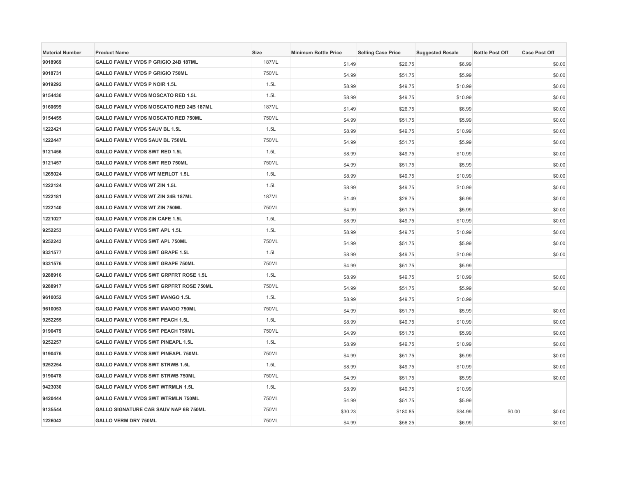| <b>Material Number</b> | <b>Product Name</b>                       | <b>Size</b>  | <b>Minimum Bottle Price</b> | <b>Selling Case Price</b> | <b>Suggested Resale</b> | <b>Bottle Post Off</b> | <b>Case Post Off</b> |
|------------------------|-------------------------------------------|--------------|-----------------------------|---------------------------|-------------------------|------------------------|----------------------|
| 9018969                | GALLO FAMILY VYDS P GRIGIO 24B 187ML      | <b>187ML</b> | \$1.49                      | \$26.75                   | \$6.99                  |                        | \$0.00               |
| 9018731                | <b>GALLO FAMILY VYDS P GRIGIO 750ML</b>   | 750ML        | \$4.99                      | \$51.75                   | \$5.99                  |                        | \$0.00               |
| 9019292                | <b>GALLO FAMILY VYDS P NOIR 1.5L</b>      | 1.5L         | \$8.99                      | \$49.75                   | \$10.99                 |                        | \$0.00               |
| 9154430                | GALLO FAMILY VYDS MOSCATO RED 1.5L        | 1.5L         | \$8.99                      | \$49.75                   | \$10.99                 |                        | \$0.00               |
| 9160699                | GALLO FAMILY VYDS MOSCATO RED 24B 187ML   | <b>187ML</b> | \$1.49                      | \$26.75                   | \$6.99                  |                        | \$0.00               |
| 9154455                | GALLO FAMILY VYDS MOSCATO RED 750ML       | 750ML        | \$4.99                      | \$51.75                   | \$5.99                  |                        | \$0.00               |
| 1222421                | GALLO FAMILY VYDS SAUV BL 1.5L            | 1.5L         | \$8.99                      | \$49.75                   | \$10.99                 |                        | \$0.00               |
| 1222447                | GALLO FAMILY VYDS SAUV BL 750ML           | 750ML        | \$4.99                      | \$51.75                   | \$5.99                  |                        | \$0.00               |
| 9121456                | GALLO FAMILY VYDS SWT RED 1.5L            | 1.5L         | \$8.99                      | \$49.75                   | \$10.99                 |                        | \$0.00               |
| 9121457                | GALLO FAMILY VYDS SWT RED 750ML           | 750ML        | \$4.99                      | \$51.75                   | \$5.99                  |                        | \$0.00               |
| 1265024                | <b>GALLO FAMILY VYDS WT MERLOT 1.5L</b>   | 1.5L         | \$8.99                      | \$49.75                   | \$10.99                 |                        | \$0.00               |
| 1222124                | <b>GALLO FAMILY VYDS WT ZIN 1.5L</b>      | 1.5L         | \$8.99                      | \$49.75                   | \$10.99                 |                        | \$0.00               |
| 1222181                | GALLO FAMILY VYDS WT ZIN 24B 187ML        | <b>187ML</b> | \$1.49                      | \$26.75                   | \$6.99                  |                        | \$0.00               |
| 1222140                | <b>GALLO FAMILY VYDS WT ZIN 750ML</b>     | 750ML        | \$4.99                      | \$51.75                   | \$5.99                  |                        | \$0.00               |
| 1221027                | <b>GALLO FAMILY VYDS ZIN CAFE 1.5L</b>    | 1.5L         | \$8.99                      | \$49.75                   | \$10.99                 |                        | \$0.00               |
| 9252253                | GALLO FAMILY VYDS SWT APL 1.5L            | 1.5L         | \$8.99                      | \$49.75                   | \$10.99                 |                        | \$0.00               |
| 9252243                | GALLO FAMILY VYDS SWT APL 750ML           | 750ML        | \$4.99                      | \$51.75                   | \$5.99                  |                        | \$0.00               |
| 9331577                | GALLO FAMILY VYDS SWT GRAPE 1.5L          | 1.5L         | \$8.99                      | \$49.75                   | \$10.99                 |                        | \$0.00               |
| 9331576                | GALLO FAMILY VYDS SWT GRAPE 750ML         | 750ML        | \$4.99                      | \$51.75                   | \$5.99                  |                        |                      |
| 9288916                | GALLO FAMILY VYDS SWT GRPFRT ROSE 1.5L    | 1.5L         | \$8.99                      | \$49.75                   | \$10.99                 |                        | \$0.00               |
| 9288917                | GALLO FAMILY VYDS SWT GRPFRT ROSE 750ML   | 750ML        | \$4.99                      | \$51.75                   | \$5.99                  |                        | \$0.00               |
| 9610052                | <b>GALLO FAMILY VYDS SWT MANGO 1.5L</b>   | 1.5L         | \$8.99                      | \$49.75                   | \$10.99                 |                        |                      |
| 9610053                | GALLO FAMILY VYDS SWT MANGO 750ML         | 750ML        | \$4.99                      | \$51.75                   | \$5.99                  |                        | \$0.00               |
| 9252255                | <b>GALLO FAMILY VYDS SWT PEACH 1.5L</b>   | 1.5L         | \$8.99                      | \$49.75                   | \$10.99                 |                        | \$0.00               |
| 9190479                | GALLO FAMILY VYDS SWT PEACH 750ML         | 750ML        | \$4.99                      | \$51.75                   | \$5.99                  |                        | \$0.00               |
| 9252257                | <b>GALLO FAMILY VYDS SWT PINEAPL 1.5L</b> | 1.5L         | \$8.99                      | \$49.75                   | \$10.99                 |                        | \$0.00               |
| 9190476                | GALLO FAMILY VYDS SWT PINEAPL 750ML       | 750ML        | \$4.99                      | \$51.75                   | \$5.99                  |                        | \$0.00               |
| 9252254                | <b>GALLO FAMILY VYDS SWT STRWB 1.5L</b>   | 1.5L         | \$8.99                      | \$49.75                   | \$10.99                 |                        | \$0.00               |
| 9190478                | <b>GALLO FAMILY VYDS SWT STRWB 750ML</b>  | 750ML        | \$4.99                      | \$51.75                   | \$5.99                  |                        | \$0.00               |
| 9423030                | <b>GALLO FAMILY VYDS SWT WTRMLN 1.5L</b>  | 1.5L         | \$8.99                      | \$49.75                   | \$10.99                 |                        |                      |
| 9420444                | GALLO FAMILY VYDS SWT WTRMLN 750ML        | 750ML        | \$4.99                      | \$51.75                   | \$5.99                  |                        |                      |
| 9135544                | GALLO SIGNATURE CAB SAUV NAP 6B 750ML     | 750ML        | \$30.23                     | \$180.85                  | \$34.99                 | \$0.00                 | \$0.00               |
| 1226042                | <b>GALLO VERM DRY 750ML</b>               | 750ML        | \$4.99                      | \$56.25                   | \$6.99                  |                        | \$0.00               |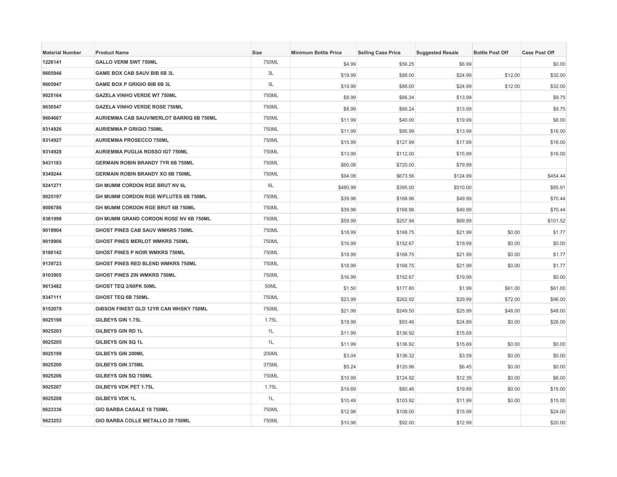| <b>Material Number</b> | <b>Product Name</b>                      | <b>Size</b> | <b>Minimum Bottle Price</b> | <b>Selling Case Price</b> | <b>Suggested Resale</b> | <b>Bottle Post Off</b> | <b>Case Post Off</b> |
|------------------------|------------------------------------------|-------------|-----------------------------|---------------------------|-------------------------|------------------------|----------------------|
| 1226141                | <b>GALLO VERM SWT 750ML</b>              | 750ML       | \$4.99                      | \$56.25                   | \$6.99                  |                        | \$0.00               |
| 9605946                | <b>GAME BOX CAB SAUV BIB 6B 3L</b>       | 3L          | \$19.99                     | \$88.00                   | \$24.99                 | \$12.00                | \$32.00              |
| 9605947                | GAME BOX P GRIGIO BIB 6B 3L              | 3L          | \$19.99                     | \$88.00                   | \$24.99                 | \$12.00                | \$32.00              |
| 9025164                | <b>GAZELA VINHO VERDE WT 750ML</b>       | 750ML       | \$8.99                      | \$66.24                   | \$13.99                 |                        | \$9.75               |
| 9630547                | <b>GAZELA VINHO VERDE ROSE 750ML</b>     | 750ML       | \$8.99                      | \$66.24                   | \$13.99                 |                        | \$9.75               |
| 9604667                | AURIEMMA CAB SAUV/MERLOT BARRIQ 6B 750ML | 750ML       | \$11.99                     | \$40.00                   | \$19.99                 |                        | \$8.00               |
| 9314926                | <b>AURIEMMA P GRIGIO 750ML</b>           | 750ML       | \$11.99                     | \$95.99                   | \$13.99                 |                        | \$16.00              |
| 9314927                | <b>AURIEMMA PROSECCO 750ML</b>           | 750ML       | \$15.99                     | \$127.99                  | \$17.99                 |                        | \$16.00              |
| 9314928                | AURIEMMA PUGLIA ROSSO IGT 750ML          | 750ML       | \$13.99                     | \$112.00                  | \$15.99                 |                        | \$16.00              |
| 9431183                | GERMAIN ROBIN BRANDY 7YR 6B 750ML        | 750ML       | \$60.08                     | \$720.00                  | \$79.99                 |                        |                      |
| 9349244                | <b>GERMAIN ROBIN BRANDY XO 6B 750ML</b>  | 750ML       | \$94.08                     | \$673.56                  | \$124.99                |                        | \$454.44             |
| 9241271                | GH MUMM CORDON RGE BRUT NV 6L            | 6L          | \$480.99                    | \$395.00                  | \$510.00                |                        | \$85.91              |
| 9025197                | GH MUMM CORDON RGE W/FLUTES 6B 750ML     | 750ML       | \$39.98                     | \$168.96                  | \$49.99                 |                        | \$70.44              |
| 9006786                | GH MUMM CORDON RGE BRUT 6B 750ML         | 750ML       | \$39.98                     | \$168.96                  | \$49.99                 |                        | \$70.44              |
| 9381998                | GH MUMM GRAND CORDON ROSE NV 6B 750ML    | 750ML       | \$59.99                     | \$257.94                  | \$69.99                 |                        | \$101.52             |
| 9019904                | GHOST PINES CAB SAUV WMKRS 750ML         | 750ML       | \$18.99                     | \$168.75                  | \$21.99                 | \$0.00                 | \$1.77               |
| 9019906                | GHOST PINES MERLOT WMKRS 750ML           | 750ML       | \$16.99                     | \$152.67                  | \$19.99                 | \$0.00                 | \$0.00               |
| 9180142                | GHOST PINES P NOIR WMKRS 750ML           | 750ML       | \$18.99                     | \$168.75                  | \$21.99                 | \$0.00                 | \$1.77               |
| 9139723                | GHOST PINES RED BLEND WMKRS 750ML        | 750ML       | \$18.99                     | \$168.75                  | \$21.99                 | \$0.00                 | \$1.77               |
| 9103905                | GHOST PINES ZIN WMKRS 750ML              | 750ML       | \$16.99                     | \$152.67                  | \$19.99                 |                        | \$0.00               |
| 9613482                | GHOST TEQ 2/60PK 50ML                    | 50ML        | \$1.50                      | \$177.80                  | \$1.99                  | \$61.00                | \$61.00              |
| 9347111                | GHOST TEQ 6B 750ML                       | 750ML       | \$23.99                     | \$262.92                  | \$29.99                 | \$72.00                | \$96.00              |
| 9152079                | GIBSON FINEST GLD 12YR CAN WHSKY 750ML   | 750ML       | \$21.99                     | \$249.50                  | \$25.99                 | \$48.00                | \$48.00              |
| 9025198                | GILBEYS GIN 1.75L                        | 1.75L       | \$19.99                     | \$93.46                   | \$24.89                 | \$0.00                 | \$26.00              |
| 9025203                | <b>GILBEYS GIN RD 1L</b>                 | 1L          | \$11.99                     | \$136.92                  | \$15.69                 |                        |                      |
| 9025205                | GILBEYS GIN SQ 1L                        | 1L          | \$11.99                     | \$136.92                  | \$15.69                 | \$0.00                 | \$0.00               |
| 9025199                | GILBEYS GIN 200ML                        | 200ML       | \$3.04                      | \$136.32                  | \$3.59                  | \$0.00                 | \$0.00               |
| 9025200                | <b>GILBEYS GIN 375ML</b>                 | 375ML       | \$5.24                      | \$120.96                  | \$6.45                  | \$0.00                 | \$0.00               |
| 9025206                | GILBEYS GIN SQ 750ML                     | 750ML       | \$10.99                     | \$124.92                  | \$12.39                 | \$0.00                 | \$6.00               |
| 9025207                | GILBEYS VDK PET 1.75L                    | 1.75L       | \$19.69                     | \$80.46                   | \$19.89                 | \$0.00                 | \$15.00              |
| 9025208                | <b>GILBEYS VDK 1L</b>                    | 1L          | \$10.49                     | \$103.92                  | \$11.99                 | \$0.00                 | \$15.00              |
| 9623336                | GIO BARBA CASALE 18 750ML                | 750ML       | \$12.98                     | \$108.00                  | \$15.99                 |                        | \$24.00              |
| 9623253                | GIO BARBA COLLE METALLO 20 750ML         | 750ML       | \$10.98                     | \$92.00                   | \$12.99                 |                        | \$20.00              |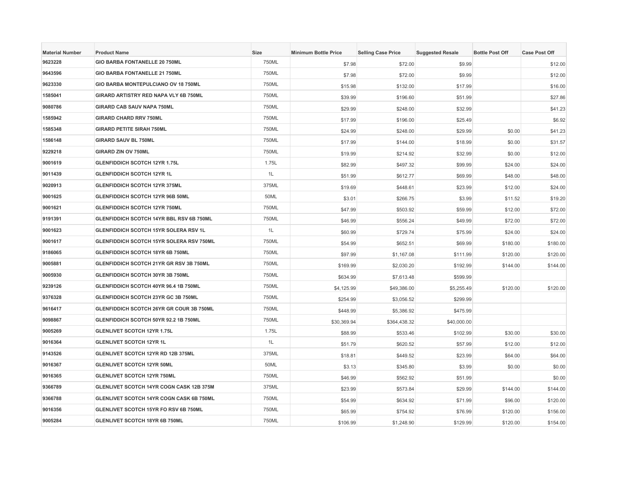| <b>Material Number</b> | <b>Product Name</b>                             | <b>Size</b> | <b>Minimum Bottle Price</b> | <b>Selling Case Price</b> | <b>Suggested Resale</b> | <b>Bottle Post Off</b> | <b>Case Post Off</b> |
|------------------------|-------------------------------------------------|-------------|-----------------------------|---------------------------|-------------------------|------------------------|----------------------|
| 9623228                | GIO BARBA FONTANELLE 20 750ML                   | 750ML       | \$7.98                      | \$72.00                   | \$9.99                  |                        | \$12.00              |
| 9643596                | <b>GIO BARBA FONTANELLE 21 750ML</b>            | 750ML       | \$7.98                      | \$72.00                   | \$9.99                  |                        | \$12.00              |
| 9623330                | GIO BARBA MONTEPULCIANO OV 18 750ML             | 750ML       | \$15.98                     | \$132.00                  | \$17.99                 |                        | \$16.00              |
| 1585041                | GIRARD ARTISTRY RED NAPA VLY 6B 750ML           | 750ML       | \$39.99                     | \$196.60                  | \$51.99                 |                        | \$27.86              |
| 9080786                | <b>GIRARD CAB SAUV NAPA 750ML</b>               | 750ML       | \$29.99                     | \$248.00                  | \$32.99                 |                        | \$41.23              |
| 1585942                | <b>GIRARD CHARD RRV 750ML</b>                   | 750ML       | \$17.99                     | \$196.00                  | \$25.49                 |                        | \$6.92               |
| 1585348                | <b>GIRARD PETITE SIRAH 750ML</b>                | 750ML       | \$24.99                     | \$248.00                  | \$29.99                 | \$0.00                 | \$41.23              |
| 1586148                | <b>GIRARD SAUV BL 750ML</b>                     | 750ML       | \$17.99                     | \$144.00                  | \$18.99                 | \$0.00                 | \$31.57              |
| 9229218                | <b>GIRARD ZIN OV 750ML</b>                      | 750ML       | \$19.99                     | \$214.92                  | \$32.99                 | \$0.00                 | \$12.00              |
| 9001619                | GLENFIDDICH SCOTCH 12YR 1.75L                   | 1.75L       | \$82.99                     | \$497.32                  | \$99.99                 | \$24.00                | \$24.00              |
| 9011439                | <b>GLENFIDDICH SCOTCH 12YR 1L</b>               | 1L          | \$51.99                     | \$612.77                  | \$69.99                 | \$48.00                | \$48.00              |
| 9020913                | <b>GLENFIDDICH SCOTCH 12YR 375ML</b>            | 375ML       | \$19.69                     | \$448.61                  | \$23.99                 | \$12.00                | \$24.00              |
| 9001625                | GLENFIDDICH SCOTCH 12YR 96B 50ML                | 50ML        | \$3.01                      | \$266.75                  | \$3.99                  | \$11.52                | \$19.20              |
| 9001621                | <b>GLENFIDDICH SCOTCH 12YR 750ML</b>            | 750ML       | \$47.99                     | \$503.92                  | \$59.99                 | \$12.00                | \$72.00              |
| 9191391                | <b>GLENFIDDICH SCOTCH 14YR BBL RSV 6B 750ML</b> | 750ML       | \$46.99                     | \$556.24                  | \$49.99                 | \$72.00                | \$72.00              |
| 9001623                | <b>GLENFIDDICH SCOTCH 15YR SOLERA RSV 1L</b>    | 1L          | \$60.99                     | \$729.74                  | \$75.99                 | \$24.00                | \$24.00              |
| 9001617                | GLENFIDDICH SCOTCH 15YR SOLERA RSV 750ML        | 750ML       | \$54.99                     | \$652.51                  | \$69.99                 | \$180.00               | \$180.00             |
| 9186065                | <b>GLENFIDDICH SCOTCH 18YR 6B 750ML</b>         | 750ML       | \$97.99                     | \$1,167.08                | \$111.99                | \$120.00               | \$120.00             |
| 9005881                | GLENFIDDICH SCOTCH 21YR GR RSV 3B 750ML         | 750ML       | \$169.99                    | \$2,030.20                | \$192.99                | \$144.00               | \$144.00             |
| 9005930                | GLENFIDDICH SCOTCH 30YR 3B 750ML                | 750ML       | \$634.99                    | \$7,613.48                | \$599.99                |                        |                      |
| 9239126                | GLENFIDDICH SCOTCH 40YR 96.4 1B 750ML           | 750ML       | \$4,125.99                  | \$49,386.00               | \$5,255.49              | \$120.00               | \$120.00             |
| 9376328                | <b>GLENFIDDICH SCOTCH 23YR GC 3B 750ML</b>      | 750ML       | \$254.99                    | \$3,056.52                | \$299.99                |                        |                      |
| 9616417                | GLENFIDDICH SCOTCH 26YR GR COUR 3B 750ML        | 750ML       | \$448.99                    | \$5,386.92                | \$475.99                |                        |                      |
| 9098867                | GLENFIDDICH SCOTCH 50YR 92.2 1B 750ML           | 750ML       | \$30,369.94                 | \$364,438.32              | \$40,000.00             |                        |                      |
| 9005269                | <b>GLENLIVET SCOTCH 12YR 1.75L</b>              | 1.75L       | \$88.99                     | \$533.46                  | \$102.99                | \$30.00                | \$30.00              |
| 9016364                | <b>GLENLIVET SCOTCH 12YR 1L</b>                 | 1L          | \$51.79                     | \$620.52                  | \$57.99                 | \$12.00                | \$12.00              |
| 9143526                | <b>GLENLIVET SCOTCH 12YR RD 12B 375ML</b>       | 375ML       | \$18.81                     | \$449.52                  | \$23.99                 | \$64.00                | \$64.00              |
| 9016367                | GLENLIVET SCOTCH 12YR 50ML                      | 50ML        | \$3.13                      | \$345.80                  | \$3.99                  | \$0.00                 | \$0.00               |
| 9016365                | <b>GLENLIVET SCOTCH 12YR 750ML</b>              | 750ML       | \$46.99                     | \$562.92                  | \$51.99                 |                        | \$0.00               |
| 9366789                | GLENLIVET SCOTCH 14YR COGN CASK 12B 375M        | 375ML       | \$23.99                     | \$573.84                  | \$29.99                 | \$144.00               | \$144.00             |
| 9366788                | GLENLIVET SCOTCH 14YR COGN CASK 6B 750ML        | 750ML       | \$54.99                     | \$634.92                  | \$71.99                 | \$96.00                | \$120.00             |
| 9016356                | GLENLIVET SCOTCH 15YR FO RSV 6B 750ML           | 750ML       | \$65.99                     | \$754.92                  | \$76.99                 | \$120.00               | \$156.00             |
| 9005284                | GLENLIVET SCOTCH 18YR 6B 750ML                  | 750ML       | \$106.99                    | \$1,248.90                | \$129.99                | \$120.00               | \$154.00             |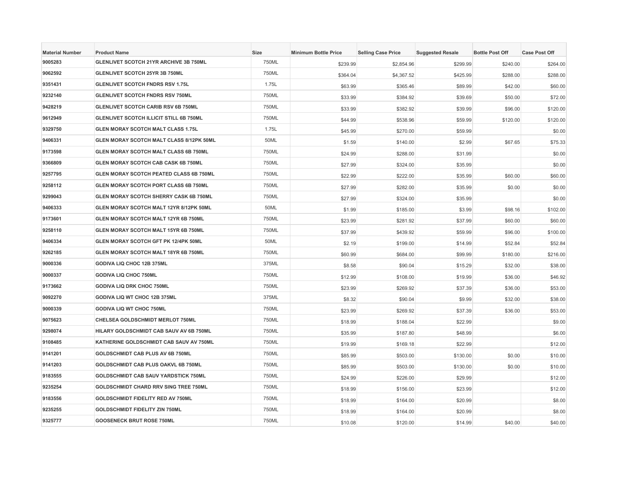| <b>Material Number</b> | <b>Product Name</b>                            | <b>Size</b> | <b>Minimum Bottle Price</b> | <b>Selling Case Price</b> | <b>Suggested Resale</b> | <b>Bottle Post Off</b> | <b>Case Post Off</b> |
|------------------------|------------------------------------------------|-------------|-----------------------------|---------------------------|-------------------------|------------------------|----------------------|
| 9005283                | GLENLIVET SCOTCH 21YR ARCHIVE 3B 750ML         | 750ML       | \$239.99                    | \$2,854.96                | \$299.99                | \$240.00               | \$264.00             |
| 9062592                | GLENLIVET SCOTCH 25YR 3B 750ML                 | 750ML       | \$364.04                    | \$4,367.52                | \$425.99                | \$288.00               | \$288.00             |
| 9351431                | <b>GLENLIVET SCOTCH FNDRS RSV 1.75L</b>        | 1.75L       | \$63.99                     | \$365.46                  | \$89.99                 | \$42.00                | \$60.00              |
| 9232140                | <b>GLENLIVET SCOTCH FNDRS RSV 750ML</b>        | 750ML       | \$33.99                     | \$384.92                  | \$39.69                 | \$50.00                | \$72.00              |
| 9428219                | <b>GLENLIVET SCOTCH CARIB RSV 6B 750ML</b>     | 750ML       | \$33.99                     | \$382.92                  | \$39.99                 | \$96.00                | \$120.00             |
| 9612949                | GLENLIVET SCOTCH ILLICIT STILL 6B 750ML        | 750ML       | \$44.99                     | \$538.96                  | \$59.99                 | \$120.00               | \$120.00             |
| 9329750                | <b>GLEN MORAY SCOTCH MALT CLASS 1.75L</b>      | 1.75L       | \$45.99                     | \$270.00                  | \$59.99                 |                        | \$0.00               |
| 9406331                | GLEN MORAY SCOTCH MALT CLASS 8/12PK 50ML       | 50ML        | \$1.59                      | \$140.00                  | \$2.99                  | \$67.65                | \$75.33              |
| 9173598                | GLEN MORAY SCOTCH MALT CLASS 6B 750ML          | 750ML       | \$24.99                     | \$288.00                  | \$31.99                 |                        | \$0.00               |
| 9366809                | <b>GLEN MORAY SCOTCH CAB CASK 6B 750ML</b>     | 750ML       | \$27.99                     | \$324.00                  | \$35.99                 |                        | \$0.00               |
| 9257795                | <b>GLEN MORAY SCOTCH PEATED CLASS 6B 750ML</b> | 750ML       | \$22.99                     | \$222.00                  | \$35.99                 | \$60.00                | \$60.00              |
| 9258112                | GLEN MORAY SCOTCH PORT CLASS 6B 750ML          | 750ML       | \$27.99                     | \$282.00                  | \$35.99                 | \$0.00                 | \$0.00               |
| 9299043                | GLEN MORAY SCOTCH SHERRY CASK 6B 750ML         | 750ML       | \$27.99                     | \$324.00                  | \$35.99                 |                        | \$0.00               |
| 9406333                | GLEN MORAY SCOTCH MALT 12YR 8/12PK 50ML        | 50ML        | \$1.99                      | \$185.00                  | \$3.99                  | \$98.16                | \$102.00             |
| 9173601                | <b>GLEN MORAY SCOTCH MALT 12YR 6B 750ML</b>    | 750ML       | \$23.99                     | \$281.92                  | \$37.99                 | \$60.00                | \$60.00              |
| 9258110                | GLEN MORAY SCOTCH MALT 15YR 6B 750ML           | 750ML       | \$37.99                     | \$439.92                  | \$59.99                 | \$96.00                | \$100.00             |
| 9406334                | GLEN MORAY SCOTCH GFT PK 12/4PK 50ML           | 50ML        | \$2.19                      | \$199.00                  | \$14.99                 | \$52.84                | \$52.84              |
| 9262185                | <b>GLEN MORAY SCOTCH MALT 18YR 6B 750ML</b>    | 750ML       | \$60.99                     | \$684.00                  | \$99.99                 | \$180.00               | \$216.00             |
| 9000336                | <b>GODIVA LIQ CHOC 12B 375ML</b>               | 375ML       | \$8.58                      | \$90.04                   | \$15.29                 | \$32.00                | \$38.00              |
| 9000337                | <b>GODIVA LIQ CHOC 750ML</b>                   | 750ML       | \$12.99                     | \$108.00                  | \$19.99                 | \$36.00                | \$46.92              |
| 9173662                | GODIVA LIQ DRK CHOC 750ML                      | 750ML       | \$23.99                     | \$269.92                  | \$37.39                 | \$36.00                | \$53.00              |
| 9092270                | GODIVA LIQ WT CHOC 12B 375ML                   | 375ML       | \$8.32                      | \$90.04                   | \$9.99                  | \$32.00                | \$38.00              |
| 9000339                | <b>GODIVA LIQ WT CHOC 750ML</b>                | 750ML       | \$23.99                     | \$269.92                  | \$37.39                 | \$36.00                | \$53.00              |
| 9075623                | CHELSEA GOLDSCHMIDT MERLOT 750ML               | 750ML       | \$18.99                     | \$188.04                  | \$22.99                 |                        | \$9.00               |
| 9298074                | HILARY GOLDSCHMIDT CAB SAUV AV 6B 750ML        | 750ML       | \$35.99                     | \$187.80                  | \$48.99                 |                        | \$6.00               |
| 9108485                | KATHERINE GOLDSCHMIDT CAB SAUV AV 750ML        | 750ML       | \$19.99                     | \$169.18                  | \$22.99                 |                        | \$12.00              |
| 9141201                | GOLDSCHMIDT CAB PLUS AV 6B 750ML               | 750ML       | \$85.99                     | \$503.00                  | \$130.00                | \$0.00                 | \$10.00              |
| 9141203                | GOLDSCHMIDT CAB PLUS OAKVL 6B 750ML            | 750ML       | \$85.99                     | \$503.00                  | \$130.00                | \$0.00                 | \$10.00              |
| 9183555                | GOLDSCHMIDT CAB SAUV YARDSTICK 750ML           | 750ML       | \$24.99                     | \$226.00                  | \$29.99                 |                        | \$12.00              |
| 9235254                | <b>GOLDSCHMIDT CHARD RRV SING TREE 750ML</b>   | 750ML       | \$18.99                     | \$156.00                  | \$23.99                 |                        | \$12.00              |
| 9183556                | GOLDSCHMIDT FIDELITY RED AV 750ML              | 750ML       | \$18.99                     | \$164.00                  | \$20.99                 |                        | \$8.00               |
| 9235255                | <b>GOLDSCHMIDT FIDELITY ZIN 750ML</b>          | 750ML       | \$18.99                     | \$164.00                  | \$20.99                 |                        | \$8.00               |
| 9325777                | <b>GOOSENECK BRUT ROSE 750ML</b>               | 750ML       | \$10.08                     | \$120.00                  | \$14.99                 | \$40.00                | \$40.00              |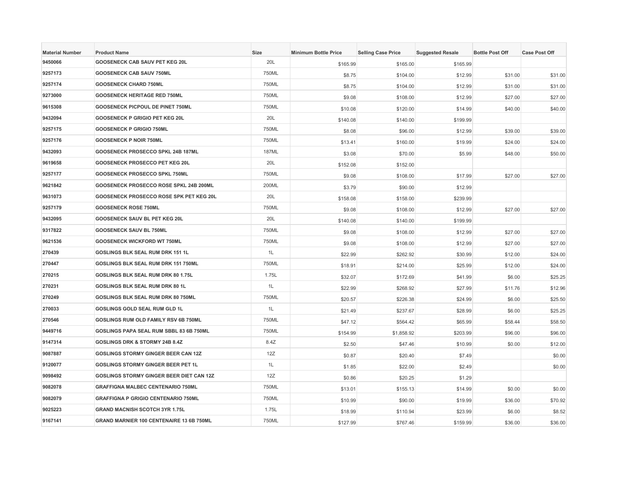| <b>Material Number</b> | <b>Product Name</b>                             | <b>Size</b>  | <b>Minimum Bottle Price</b> | <b>Selling Case Price</b> | <b>Suggested Resale</b> | <b>Bottle Post Off</b> | <b>Case Post Off</b> |
|------------------------|-------------------------------------------------|--------------|-----------------------------|---------------------------|-------------------------|------------------------|----------------------|
| 9450066                | GOOSENECK CAB SAUV PET KEG 20L                  | 20L          | \$165.99                    | \$165.00                  | \$165.99                |                        |                      |
| 9257173                | <b>GOOSENECK CAB SAUV 750ML</b>                 | 750ML        | \$8.75                      | \$104.00                  | \$12.99                 | \$31.00                | \$31.00              |
| 9257174                | <b>GOOSENECK CHARD 750ML</b>                    | 750ML        | \$8.75                      | \$104.00                  | \$12.99                 | \$31.00                | \$31.00              |
| 9273000                | <b>GOOSENECK HERITAGE RED 750ML</b>             | 750ML        | \$9.08                      | \$108.00                  | \$12.99                 | \$27.00                | \$27.00              |
| 9615308                | <b>GOOSENECK PICPOUL DE PINET 750ML</b>         | 750ML        | \$10.08                     | \$120.00                  | \$14.99                 | \$40.00                | \$40.00              |
| 9432094                | <b>GOOSENECK P GRIGIO PET KEG 20L</b>           | 20L          | \$140.08                    | \$140.00                  | \$199.99                |                        |                      |
| 9257175                | <b>GOOSENECK P GRIGIO 750ML</b>                 | 750ML        | \$8.08                      | \$96.00                   | \$12.99                 | \$39.00                | \$39.00              |
| 9257176                | <b>GOOSENECK P NOIR 750ML</b>                   | 750ML        | \$13.41                     | \$160.00                  | \$19.99                 | \$24.00                | \$24.00              |
| 9432093                | GOOSENECK PROSECCO SPKL 24B 187ML               | <b>187ML</b> | \$3.08                      | \$70.00                   | \$5.99                  | \$48.00                | \$50.00              |
| 9619658                | GOOSENECK PROSECCO PET KEG 20L                  | 20L          | \$152.08                    | \$152.00                  |                         |                        |                      |
| 9257177                | GOOSENECK PROSECCO SPKL 750ML                   | 750ML        | \$9.08                      | \$108.00                  | \$17.99                 | \$27.00                | \$27.00              |
| 9621842                | GOOSENECK PROSECCO ROSE SPKL 24B 200ML          | 200ML        | \$3.79                      | \$90.00                   | \$12.99                 |                        |                      |
| 9631073                | GOOSENECK PROSECCO ROSE SPK PET KEG 20L         | 20L          | \$158.08                    | \$158.00                  | \$239.99                |                        |                      |
| 9257179                | <b>GOOSENECK ROSE 750ML</b>                     | 750ML        | \$9.08                      | \$108.00                  | \$12.99                 | \$27.00                | \$27.00              |
| 9432095                | <b>GOOSENECK SAUV BL PET KEG 20L</b>            | 20L          | \$140.08                    | \$140.00                  | \$199.99                |                        |                      |
| 9317822                | <b>GOOSENECK SAUV BL 750ML</b>                  | 750ML        | \$9.08                      | \$108.00                  | \$12.99                 | \$27.00                | \$27.00              |
| 9621536                | <b>GOOSENECK WICKFORD WT 750ML</b>              | 750ML        | \$9.08                      | \$108.00                  | \$12.99                 | \$27.00                | \$27.00              |
| 270439                 | GOSLINGS BLK SEAL RUM DRK 151 1L                | 1L           | \$22.99                     | \$262.92                  | \$30.99                 | \$12.00                | \$24.00              |
| 270447                 | GOSLINGS BLK SEAL RUM DRK 151 750ML             | 750ML        | \$18.91                     | \$214.00                  | \$25.99                 | \$12.00                | \$24.00              |
| 270215                 | GOSLINGS BLK SEAL RUM DRK 80 1.75L              | 1.75L        | \$32.07                     | \$172.69                  | \$41.99                 | \$6.00                 | \$25.25              |
| 270231                 | GOSLINGS BLK SEAL RUM DRK 80 1L                 | 1L           | \$22.99                     | \$268.92                  | \$27.99                 | \$11.76                | \$12.96              |
| 270249                 | GOSLINGS BLK SEAL RUM DRK 80 750ML              | 750ML        | \$20.57                     | \$226.38                  | \$24.99                 | \$6.00                 | \$25.50              |
| 270033                 | GOSLINGS GOLD SEAL RUM GLD 1L                   | 1L           | \$21.49                     | \$237.67                  | \$28.99                 | \$6.00                 | \$25.25              |
| 270546                 | GOSLINGS RUM OLD FAMILY RSV 6B 750ML            | 750ML        | \$47.12                     | \$564.42                  | \$65.99                 | \$58.44                | \$58.50              |
| 9449716                | GOSLINGS PAPA SEAL RUM SBBL 83 6B 750ML         | 750ML        | \$154.99                    | \$1,858.92                | \$203.99                | \$96.00                | \$96.00              |
| 9147314                | <b>GOSLINGS DRK &amp; STORMY 24B 8.4Z</b>       | 8.4Z         | \$2.50                      | \$47.46                   | \$10.99                 | \$0.00                 | \$12.00              |
| 9087887                | <b>GOSLINGS STORMY GINGER BEER CAN 12Z</b>      | 12Z          | \$0.87                      | \$20.40                   | \$7.49                  |                        | \$0.00               |
| 9120077                | <b>GOSLINGS STORMY GINGER BEER PET 1L</b>       | 1L           | \$1.85                      | \$22.00                   | \$2.49                  |                        | \$0.00               |
| 9098492                | <b>GOSLINGS STORMY GINGER BEER DIET CAN 12Z</b> | 12Z          | \$0.86                      | \$20.25                   | \$1.29                  |                        |                      |
| 9082078                | <b>GRAFFIGNA MALBEC CENTENARIO 750ML</b>        | 750ML        | \$13.01                     | \$155.13                  | \$14.99                 | \$0.00                 | \$0.00               |
| 9082079                | GRAFFIGNA P GRIGIO CENTENARIO 750ML             | 750ML        | \$10.99                     | \$90.00                   | \$19.99                 | \$36.00                | \$70.92              |
| 9025223                | <b>GRAND MACNISH SCOTCH 3YR 1.75L</b>           | 1.75L        | \$18.99                     | \$110.94                  | \$23.99                 | \$6.00                 | \$8.52               |
| 9167141                | GRAND MARNIER 100 CENTENAIRE 13 6B 750ML        | 750ML        | \$127.99                    | \$767.46                  | \$159.99                | \$36.00                | \$36.00              |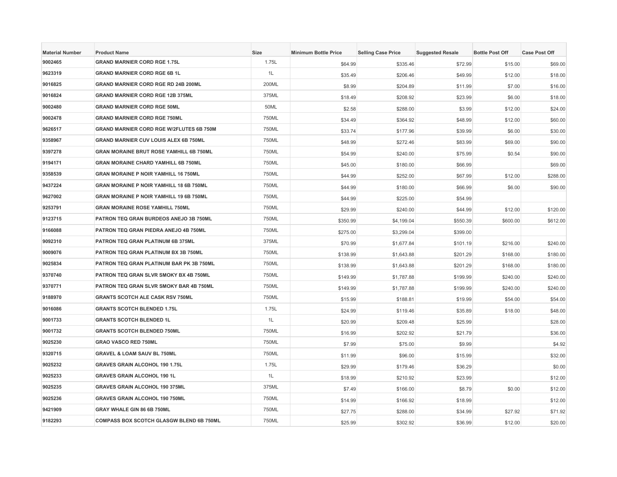| <b>Material Number</b> | <b>Product Name</b>                             | Size  | <b>Minimum Bottle Price</b> | <b>Selling Case Price</b> | <b>Suggested Resale</b> | <b>Bottle Post Off</b> | <b>Case Post Off</b> |
|------------------------|-------------------------------------------------|-------|-----------------------------|---------------------------|-------------------------|------------------------|----------------------|
| 9002465                | <b>GRAND MARNIER CORD RGE 1.75L</b>             | 1.75L | \$64.99                     | \$335.46                  | \$72.99                 | \$15.00                | \$69.00              |
| 9623319                | <b>GRAND MARNIER CORD RGE 6B 1L</b>             | 1L    | \$35.49                     | \$206.46                  | \$49.99                 | \$12.00                | \$18.00              |
| 9016825                | <b>GRAND MARNIER CORD RGE RD 24B 200ML</b>      | 200ML | \$8.99                      | \$204.89                  | \$11.99                 | \$7.00                 | \$16.00              |
| 9016824                | <b>GRAND MARNIER CORD RGE 12B 375ML</b>         | 375ML | \$18.49                     | \$208.92                  | \$23.99                 | \$6.00                 | \$18.00              |
| 9002480                | <b>GRAND MARNIER CORD RGE 50ML</b>              | 50ML  | \$2.58                      | \$288.00                  | \$3.99                  | \$12.00                | \$24.00              |
| 9002478                | <b>GRAND MARNIER CORD RGE 750ML</b>             | 750ML | \$34.49                     | \$364.92                  | \$48.99                 | \$12.00                | \$60.00              |
| 9626517                | <b>GRAND MARNIER CORD RGE W/2FLUTES 6B 750M</b> | 750ML | \$33.74                     | \$177.96                  | \$39.99                 | \$6.00                 | \$30.00              |
| 9358967                | <b>GRAND MARNIER CUV LOUIS ALEX 6B 750ML</b>    | 750ML | \$48.99                     | \$272.46                  | \$83.99                 | \$69.00                | \$90.00              |
| 9397278                | GRAN MORAINE BRUT ROSE YAMHILL 6B 750ML         | 750ML | \$54.99                     | \$240.00                  | \$75.99                 | \$0.54                 | \$90.00              |
| 9194171                | <b>GRAN MORAINE CHARD YAMHILL 6B 750ML</b>      | 750ML | \$45.00                     | \$180.00                  | \$66.99                 |                        | \$69.00              |
| 9358539                | <b>GRAN MORAINE P NOIR YAMHILL 16 750ML</b>     | 750ML | \$44.99                     | \$252.00                  | \$67.99                 | \$12.00                | \$288.00             |
| 9437224                | GRAN MORAINE P NOIR YAMHILL 18 6B 750ML         | 750ML | \$44.99                     | \$180.00                  | \$66.99                 | \$6.00                 | \$90.00              |
| 9627002                | <b>GRAN MORAINE P NOIR YAMHILL 19 6B 750ML</b>  | 750ML | \$44.99                     | \$225.00                  | \$54.99                 |                        |                      |
| 9253791                | <b>GRAN MORAINE ROSE YAMHILL 750ML</b>          | 750ML | \$29.99                     | \$240.00                  | \$44.99                 | \$12.00                | \$120.00             |
| 9123715                | PATRON TEQ GRAN BURDEOS ANEJO 3B 750ML          | 750ML | \$350.99                    | \$4,199.04                | \$550.39                | \$600.00               | \$612.00             |
| 9166088                | PATRON TEQ GRAN PIEDRA ANEJO 4B 750ML           | 750ML | \$275.00                    | \$3,299.04                | \$399.00                |                        |                      |
| 9092310                | PATRON TEQ GRAN PLATINUM 6B 375ML               | 375ML | \$70.99                     | \$1,677.84                | \$101.19                | \$216.00               | \$240.00             |
| 9009076                | PATRON TEQ GRAN PLATINUM BX 3B 750ML            | 750ML | \$138.99                    | \$1,643.88                | \$201.29                | \$168.00               | \$180.00             |
| 9025834                | PATRON TEQ GRAN PLATINUM BAR PK 3B 750ML        | 750ML | \$138.99                    | \$1,643.88                | \$201.29                | \$168.00               | \$180.00             |
| 9370740                | PATRON TEQ GRAN SLVR SMOKY BX 4B 750ML          | 750ML | \$149.99                    | \$1,787.88                | \$199.99                | \$240.00               | \$240.00             |
| 9370771                | PATRON TEQ GRAN SLVR SMOKY BAR 4B 750ML         | 750ML | \$149.99                    | \$1,787.88                | \$199.99                | \$240.00               | \$240.00             |
| 9188970                | <b>GRANTS SCOTCH ALE CASK RSV 750ML</b>         | 750ML | \$15.99                     | \$188.81                  | \$19.99                 | \$54.00                | \$54.00              |
| 9016086                | <b>GRANTS SCOTCH BLENDED 1.75L</b>              | 1.75L | \$24.99                     | \$119.46                  | \$35.89                 | \$18.00                | \$48.00              |
| 9001733                | <b>GRANTS SCOTCH BLENDED 1L</b>                 | 1L    | \$20.99                     | \$209.48                  | \$25.99                 |                        | \$28.00              |
| 9001732                | <b>GRANTS SCOTCH BLENDED 750ML</b>              | 750ML | \$16.99                     | \$202.92                  | \$21.79                 |                        | \$36.00              |
| 9025230                | <b>GRAO VASCO RED 750ML</b>                     | 750ML | \$7.99                      | \$75.00                   | \$9.99                  |                        | \$4.92               |
| 9320715                | <b>GRAVEL &amp; LOAM SAUV BL 750ML</b>          | 750ML | \$11.99                     | \$96.00                   | \$15.99                 |                        | \$32.00              |
| 9025232                | GRAVES GRAIN ALCOHOL 190 1.75L                  | 1.75L | \$29.99                     | \$179.46                  | \$36.29                 |                        | \$0.00               |
| 9025233                | <b>GRAVES GRAIN ALCOHOL 190 1L</b>              | 1L    | \$18.99                     | \$210.92                  | \$23.99                 |                        | \$12.00              |
| 9025235                | <b>GRAVES GRAIN ALCOHOL 190 375ML</b>           | 375ML | \$7.49                      | \$166.00                  | \$8.79                  | \$0.00                 | \$12.00              |
| 9025236                | <b>GRAVES GRAIN ALCOHOL 190 750ML</b>           | 750ML | \$14.99                     | \$166.92                  | \$18.99                 |                        | \$12.00              |
| 9421909                | GRAY WHALE GIN 86 6B 750ML                      | 750ML | \$27.75                     | \$288.00                  | \$34.99                 | \$27.92                | \$71.92              |
| 9182293                | COMPASS BOX SCOTCH GLASGW BLEND 6B 750ML        | 750ML | \$25.99                     | \$302.92                  | \$36.99                 | \$12.00                | \$20.00              |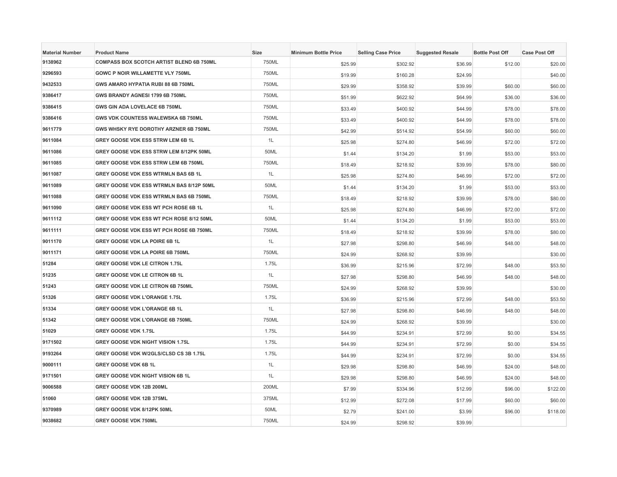| <b>Material Number</b> | <b>Product Name</b>                      | Size  | <b>Minimum Bottle Price</b> | <b>Selling Case Price</b> | <b>Suggested Resale</b> | <b>Bottle Post Off</b> | <b>Case Post Off</b> |
|------------------------|------------------------------------------|-------|-----------------------------|---------------------------|-------------------------|------------------------|----------------------|
| 9138962                | COMPASS BOX SCOTCH ARTIST BLEND 6B 750ML | 750ML | \$25.99                     | \$302.92                  | \$36.99                 | \$12.00                | \$20.00              |
| 9296593                | <b>GOWC P NOIR WILLAMETTE VLY 750ML</b>  | 750ML | \$19.99                     | \$160.28                  | \$24.99                 |                        | \$40.00              |
| 9432533                | GWS AMARO HYPATIA RUBI 88 6B 750ML       | 750ML | \$29.99                     | \$358.92                  | \$39.99                 | \$60.00                | \$60.00              |
| 9386417                | GWS BRANDY AGNESI 1799 6B 750ML          | 750ML | \$51.99                     | \$622.92                  | \$64.99                 | \$36.00                | \$36.00              |
| 9386415                | GWS GIN ADA LOVELACE 6B 750ML            | 750ML | \$33.49                     | \$400.92                  | \$44.99                 | \$78.00                | \$78.00              |
| 9386416                | GWS VDK COUNTESS WALEWSKA 6B 750ML       | 750ML | \$33.49                     | \$400.92                  | \$44.99                 | \$78.00                | \$78.00              |
| 9611779                | GWS WHSKY RYE DOROTHY ARZNER 6B 750ML    | 750ML | \$42.99                     | \$514.92                  | \$54.99                 | \$60.00                | \$60.00              |
| 9611084                | GREY GOOSE VDK ESS STRW LEM 6B 1L        | 1L    | \$25.98                     | \$274.80                  | \$46.99                 | \$72.00                | \$72.00              |
| 9611086                | GREY GOOSE VDK ESS STRW LEM 8/12PK 50ML  | 50ML  | \$1.44                      | \$134.20                  | \$1.99                  | \$53.00                | \$53.00              |
| 9611085                | GREY GOOSE VDK ESS STRW LEM 6B 750ML     | 750ML | \$18.49                     | \$218.92                  | \$39.99                 | \$78.00                | \$80.00              |
| 9611087                | GREY GOOSE VDK ESS WTRMLN BAS 6B 1L      | 1L    | \$25.98                     | \$274.80                  | \$46.99                 | \$72.00                | \$72.00              |
| 9611089                | GREY GOOSE VDK ESS WTRMLN BAS 8/12P 50ML | 50ML  | \$1.44                      | \$134.20                  | \$1.99                  | \$53.00                | \$53.00              |
| 9611088                | GREY GOOSE VDK ESS WTRMLN BAS 6B 750ML   | 750ML | \$18.49                     | \$218.92                  | \$39.99                 | \$78.00                | \$80.00              |
| 9611090                | GREY GOOSE VDK ESS WT PCH ROSE 6B 1L     | 1L    | \$25.98                     | \$274.80                  | \$46.99                 | \$72.00                | \$72.00              |
| 9611112                | GREY GOOSE VDK ESS WT PCH ROSE 8/12 50ML | 50ML  | \$1.44                      | \$134.20                  | \$1.99                  | \$53.00                | \$53.00              |
| 9611111                | GREY GOOSE VDK ESS WT PCH ROSE 6B 750ML  | 750ML | \$18.49                     | \$218.92                  | \$39.99                 | \$78.00                | \$80.00              |
| 9011170                | GREY GOOSE VDK LA POIRE 6B 1L            | 1L    | \$27.98                     | \$298.80                  | \$46.99                 | \$48.00                | \$48.00              |
| 9011171                | GREY GOOSE VDK LA POIRE 6B 750ML         | 750ML | \$24.99                     | \$268.92                  | \$39.99                 |                        | \$30.00              |
| 51284                  | <b>GREY GOOSE VDK LE CITRON 1.75L</b>    | 1.75L | \$36.99                     | \$215.96                  | \$72.99                 | \$48.00                | \$53.50              |
| 51235                  | GREY GOOSE VDK LE CITRON 6B 1L           | 1L    | \$27.98                     | \$298.80                  | \$46.99                 | \$48.00                | \$48.00              |
| 51243                  | GREY GOOSE VDK LE CITRON 6B 750ML        | 750ML | \$24.99                     | \$268.92                  | \$39.99                 |                        | \$30.00              |
| 51326                  | <b>GREY GOOSE VDK L'ORANGE 1.75L</b>     | 1.75L | \$36.99                     | \$215.96                  | \$72.99                 | \$48.00                | \$53.50              |
| 51334                  | <b>GREY GOOSE VDK L'ORANGE 6B 1L</b>     | 1L    | \$27.98                     | \$298.80                  | \$46.99                 | \$48.00                | \$48.00              |
| 51342                  | GREY GOOSE VDK L'ORANGE 6B 750ML         | 750ML | \$24.99                     | \$268.92                  | \$39.99                 |                        | \$30.00              |
| 51029                  | GREY GOOSE VDK 1.75L                     | 1.75L | \$44.99                     | \$234.91                  | \$72.99                 | \$0.00                 | \$34.55              |
| 9171502                | <b>GREY GOOSE VDK NIGHT VISION 1.75L</b> | 1.75L | \$44.99                     | \$234.91                  | \$72.99                 | \$0.00                 | \$34.55              |
| 9193264                | GREY GOOSE VDK W/2GLS/CLSD CS 3B 1.75L   | 1.75L | \$44.99                     | \$234.91                  | \$72.99                 | \$0.00                 | \$34.55              |
| 9000111                | GREY GOOSE VDK 6B 1L                     | 1L    | \$29.98                     | \$298.80                  | \$46.99                 | \$24.00                | \$48.00              |
| 9171501                | GREY GOOSE VDK NIGHT VISION 6B 1L        | 1L    | \$29.98                     | \$298.80                  | \$46.99                 | \$24.00                | \$48.00              |
| 9006588                | GREY GOOSE VDK 12B 200ML                 | 200ML | \$7.99                      | \$334.96                  | \$12.99                 | \$96.00                | \$122.00             |
| 51060                  | GREY GOOSE VDK 12B 375ML                 | 375ML | \$12.99                     | \$272.08                  | \$17.99                 | \$60.00                | \$60.00              |
| 9370989                | GREY GOOSE VDK 8/12PK 50ML               | 50ML  | \$2.79                      | \$241.00                  | \$3.99                  | \$96.00                | \$118.00             |
| 9038682                | <b>GREY GOOSE VDK 750ML</b>              | 750ML | \$24.99                     | \$298.92                  | \$39.99                 |                        |                      |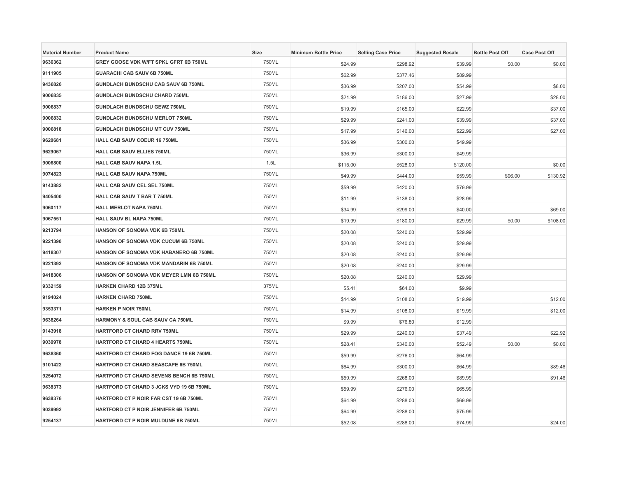| <b>Material Number</b> | <b>Product Name</b>                             | Size  | <b>Minimum Bottle Price</b> | <b>Selling Case Price</b> | <b>Suggested Resale</b> | <b>Bottle Post Off</b> | <b>Case Post Off</b> |
|------------------------|-------------------------------------------------|-------|-----------------------------|---------------------------|-------------------------|------------------------|----------------------|
| 9636362                | GREY GOOSE VDK W/FT SPKL GFRT 6B 750ML          | 750ML | \$24.99                     | \$298.92                  | \$39.99                 | \$0.00                 | \$0.00               |
| 9111905                | <b>GUARACHI CAB SAUV 6B 750ML</b>               | 750ML | \$62.99                     | \$377.46                  | \$89.99                 |                        |                      |
| 9436826                | GUNDLACH BUNDSCHU CAB SAUV 6B 750ML             | 750ML | \$36.99                     | \$207.00                  | \$54.99                 |                        | \$8.00               |
| 9006835                | GUNDLACH BUNDSCHU CHARD 750ML                   | 750ML | \$21.99                     | \$186.00                  | \$27.99                 |                        | \$28.00              |
| 9006837                | <b>GUNDLACH BUNDSCHU GEWZ 750ML</b>             | 750ML | \$19.99                     | \$165.00                  | \$22.99                 |                        | \$37.00              |
| 9006832                | <b>GUNDLACH BUNDSCHU MERLOT 750ML</b>           | 750ML | \$29.99                     | \$241.00                  | \$39.99                 |                        | \$37.00              |
| 9006818                | GUNDLACH BUNDSCHU MT CUV 750ML                  | 750ML | \$17.99                     | \$146.00                  | \$22.99                 |                        | \$27.00              |
| 9620681                | HALL CAB SAUV COEUR 16 750ML                    | 750ML | \$36.99                     | \$300.00                  | \$49.99                 |                        |                      |
| 9629067                | HALL CAB SAUV ELLIES 750ML                      | 750ML | \$36.99                     | \$300.00                  | \$49.99                 |                        |                      |
| 9006800                | <b>HALL CAB SAUV NAPA 1.5L</b>                  | 1.5L  | \$115.00                    | \$528.00                  | \$120.00                |                        | \$0.00               |
| 9074823                | HALL CAB SAUV NAPA 750ML                        | 750ML | \$49.99                     | \$444.00                  | \$59.99                 | \$96.00                | \$130.92             |
| 9143882                | HALL CAB SAUV CEL SEL 750ML                     | 750ML | \$59.99                     | \$420.00                  | \$79.99                 |                        |                      |
| 9405400                | HALL CAB SAUV T BAR T 750ML                     | 750ML | \$11.99                     | \$138.00                  | \$28.99                 |                        |                      |
| 9060117                | <b>HALL MERLOT NAPA 750ML</b>                   | 750ML | \$34.99                     | \$299.00                  | \$40.00                 |                        | \$69.00              |
| 9067551                | HALL SAUV BL NAPA 750ML                         | 750ML | \$19.99                     | \$180.00                  | \$29.99                 | \$0.00                 | \$108.00             |
| 9213794                | HANSON OF SONOMA VDK 6B 750ML                   | 750ML | \$20.08                     | \$240.00                  | \$29.99                 |                        |                      |
| 9221390                | HANSON OF SONOMA VDK CUCUM 6B 750ML             | 750ML | \$20.08                     | \$240.00                  | \$29.99                 |                        |                      |
| 9418307                | <b>HANSON OF SONOMA VDK HABANERO 6B 750ML</b>   | 750ML | \$20.08                     | \$240.00                  | \$29.99                 |                        |                      |
| 9221392                | HANSON OF SONOMA VDK MANDARIN 6B 750ML          | 750ML | \$20.08                     | \$240.00                  | \$29.99                 |                        |                      |
| 9418306                | HANSON OF SONOMA VDK MEYER LMN 6B 750ML         | 750ML | \$20.08                     | \$240.00                  | \$29.99                 |                        |                      |
| 9332159                | <b>HARKEN CHARD 12B 375ML</b>                   | 375ML | \$5.41                      | \$64.00                   | \$9.99                  |                        |                      |
| 9194024                | <b>HARKEN CHARD 750ML</b>                       | 750ML | \$14.99                     | \$108.00                  | \$19.99                 |                        | \$12.00              |
| 9353371                | <b>HARKEN P NOIR 750ML</b>                      | 750ML | \$14.99                     | \$108.00                  | \$19.99                 |                        | \$12.00              |
| 9638264                | HARMONY & SOUL CAB SAUV CA 750ML                | 750ML | \$9.99                      | \$76.80                   | \$12.99                 |                        |                      |
| 9143918                | <b>HARTFORD CT CHARD RRV 750ML</b>              | 750ML | \$29.99                     | \$240.00                  | \$37.49                 |                        | \$22.92              |
| 9039978                | <b>HARTFORD CT CHARD 4 HEARTS 750ML</b>         | 750ML | \$28.41                     | \$340.00                  | \$52.49                 | \$0.00                 | \$0.00               |
| 9638360                | <b>HARTFORD CT CHARD FOG DANCE 19 6B 750ML</b>  | 750ML | \$59.99                     | \$276.00                  | \$64.99                 |                        |                      |
| 9101422                | HARTFORD CT CHARD SEASCAPE 6B 750ML             | 750ML | \$64.99                     | \$300.00                  | \$64.99                 |                        | \$89.46              |
| 9254072                | HARTFORD CT CHARD SEVENS BENCH 6B 750ML         | 750ML | \$59.99                     | \$268.00                  | \$89.99                 |                        | \$91.46              |
| 9638373                | <b>HARTFORD CT CHARD 3 JCKS VYD 19 6B 750ML</b> | 750ML | \$59.99                     | \$276.00                  | \$65.99                 |                        |                      |
| 9638376                | HARTFORD CT P NOIR FAR CST 19 6B 750ML          | 750ML | \$64.99                     | \$288.00                  | \$69.99                 |                        |                      |
| 9039992                | HARTFORD CT P NOIR JENNIFER 6B 750ML            | 750ML | \$64.99                     | \$288.00                  | \$75.99                 |                        |                      |
| 9254137                | HARTFORD CT P NOIR MULDUNE 6B 750ML             | 750ML | \$52.08                     | \$288.00                  | \$74.99                 |                        | \$24.00              |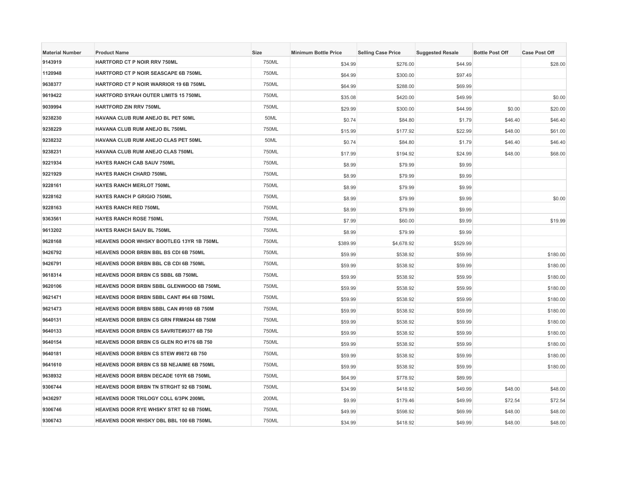| <b>Material Number</b> | <b>Product Name</b>                             | Size  | <b>Minimum Bottle Price</b> | <b>Selling Case Price</b> | <b>Suggested Resale</b> | <b>Bottle Post Off</b> | <b>Case Post Off</b> |
|------------------------|-------------------------------------------------|-------|-----------------------------|---------------------------|-------------------------|------------------------|----------------------|
| 9143919                | HARTFORD CT P NOIR RRV 750ML                    | 750ML | \$34.99                     | \$276.00                  | \$44.99                 |                        | \$28.00              |
| 1120948                | HARTFORD CT P NOIR SEASCAPE 6B 750ML            | 750ML | \$64.99                     | \$300.00                  | \$97.49                 |                        |                      |
| 9638377                | HARTFORD CT P NOIR WARRIOR 19 6B 750ML          | 750ML | \$64.99                     | \$288.00                  | \$69.99                 |                        |                      |
| 9619422                | HARTFORD SYRAH OUTER LIMITS 15 750ML            | 750ML | \$35.08                     | \$420.00                  | \$49.99                 |                        | \$0.00               |
| 9039994                | HARTFORD ZIN RRV 750ML                          | 750ML | \$29.99                     | \$300.00                  | \$44.99                 | \$0.00                 | \$20.00              |
| 9238230                | HAVANA CLUB RUM ANEJO BL PET 50ML               | 50ML  | \$0.74                      | \$84.80                   | \$1.79                  | \$46.40                | \$46.40              |
| 9238229                | HAVANA CLUB RUM ANEJO BL 750ML                  | 750ML | \$15.99                     | \$177.92                  | \$22.99                 | \$48.00                | \$61.00              |
| 9238232                | HAVANA CLUB RUM ANEJO CLAS PET 50ML             | 50ML  | \$0.74                      | \$84.80                   | \$1.79                  | \$46.40                | \$46.40              |
| 9238231                | HAVANA CLUB RUM ANEJO CLAS 750ML                | 750ML | \$17.99                     | \$194.92                  | \$24.99                 | \$48.00                | \$68.00              |
| 9221934                | HAYES RANCH CAB SAUV 750ML                      | 750ML | \$8.99                      | \$79.99                   | \$9.99                  |                        |                      |
| 9221929                | <b>HAYES RANCH CHARD 750ML</b>                  | 750ML | \$8.99                      | \$79.99                   | \$9.99                  |                        |                      |
| 9228161                | <b>HAYES RANCH MERLOT 750ML</b>                 | 750ML | \$8.99                      | \$79.99                   | \$9.99                  |                        |                      |
| 9228162                | HAYES RANCH P GRIGIO 750ML                      | 750ML | \$8.99                      | \$79.99                   | \$9.99                  |                        | \$0.00               |
| 9228163                | <b>HAYES RANCH RED 750ML</b>                    | 750ML | \$8.99                      | \$79.99                   | \$9.99                  |                        |                      |
| 9363561                | <b>HAYES RANCH ROSE 750ML</b>                   | 750ML | \$7.99                      | \$60.00                   | \$9.99                  |                        | \$19.99              |
| 9613202                | <b>HAYES RANCH SAUV BL 750ML</b>                | 750ML | \$8.99                      | \$79.99                   | \$9.99                  |                        |                      |
| 9628168                | HEAVENS DOOR WHSKY BOOTLEG 13YR 1B 750ML        | 750ML | \$389.99                    | \$4,678.92                | \$529.99                |                        |                      |
| 9426792                | HEAVENS DOOR BRBN BBL BS CDI 6B 750ML           | 750ML | \$59.99                     | \$538.92                  | \$59.99                 |                        | \$180.00             |
| 9426791                | <b>HEAVENS DOOR BRBN BBL CB CDI 6B 750ML</b>    | 750ML | \$59.99                     | \$538.92                  | \$59.99                 |                        | \$180.00             |
| 9618314                | HEAVENS DOOR BRBN CS SBBL 6B 750ML              | 750ML | \$59.99                     | \$538.92                  | \$59.99                 |                        | \$180.00             |
| 9620106                | HEAVENS DOOR BRBN SBBL GLENWOOD 6B 750ML        | 750ML | \$59.99                     | \$538.92                  | \$59.99                 |                        | \$180.00             |
| 9621471                | HEAVENS DOOR BRBN SBBL CANT #64 6B 750ML        | 750ML | \$59.99                     | \$538.92                  | \$59.99                 |                        | \$180.00             |
| 9621473                | HEAVENS DOOR BRBN SBBL CAN #9169 6B 750M        | 750ML | \$59.99                     | \$538.92                  | \$59.99                 |                        | \$180.00             |
| 9640131                | <b>HEAVENS DOOR BRBN CS GRN FRM#244 6B 750M</b> | 750ML | \$59.99                     | \$538.92                  | \$59.99                 |                        | \$180.00             |
| 9640133                | HEAVENS DOOR BRBN CS SAVRITE#9377 6B 750        | 750ML | \$59.99                     | \$538.92                  | \$59.99                 |                        | \$180.00             |
| 9640154                | HEAVENS DOOR BRBN CS GLEN RO #176 6B 750        | 750ML | \$59.99                     | \$538.92                  | \$59.99                 |                        | \$180.00             |
| 9640181                | <b>HEAVENS DOOR BRBN CS STEW #9872 6B 750</b>   | 750ML | \$59.99                     | \$538.92                  | \$59.99                 |                        | \$180.00             |
| 9641610                | HEAVENS DOOR BRBN CS SB NEJAIME 6B 750ML        | 750ML | \$59.99                     | \$538.92                  | \$59.99                 |                        | \$180.00             |
| 9638932                | HEAVENS DOOR BRBN DECADE 10YR 6B 750ML          | 750ML | \$64.99                     | \$778.92                  | \$89.99                 |                        |                      |
| 9306744                | <b>HEAVENS DOOR BRBN TN STRGHT 92 6B 750ML</b>  | 750ML | \$34.99                     | \$418.92                  | \$49.99                 | \$48.00                | \$48.00              |
| 9436297                | HEAVENS DOOR TRILOGY COLL 6/3PK 200ML           | 200ML | \$9.99                      | \$179.46                  | \$49.99                 | \$72.54                | \$72.54              |
| 9306746                | <b>HEAVENS DOOR RYE WHSKY STRT 92 6B 750ML</b>  | 750ML | \$49.99                     | \$598.92                  | \$69.99                 | \$48.00                | \$48.00              |
| 9306743                | HEAVENS DOOR WHSKY DBL BBL 100 6B 750ML         | 750ML | \$34.99                     | \$418.92                  | \$49.99                 | \$48.00                | \$48.00              |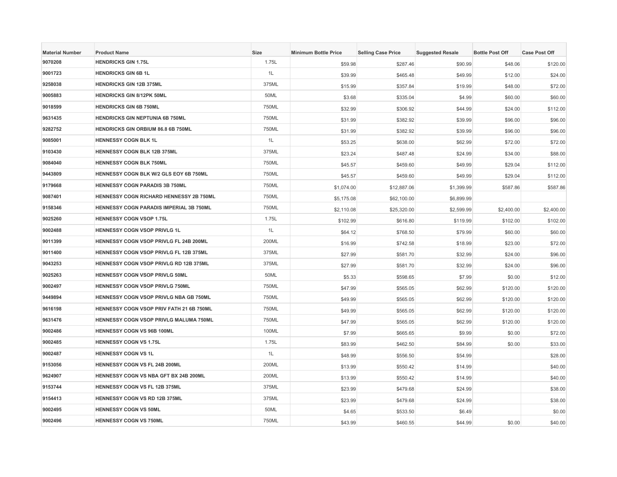| <b>Material Number</b> | <b>Product Name</b>                           | Size  | <b>Minimum Bottle Price</b> | <b>Selling Case Price</b> | <b>Suggested Resale</b> | <b>Bottle Post Off</b> | <b>Case Post Off</b> |
|------------------------|-----------------------------------------------|-------|-----------------------------|---------------------------|-------------------------|------------------------|----------------------|
| 9070208                | <b>HENDRICKS GIN 1.75L</b>                    | 1.75L | \$59.98                     | \$287.46                  | \$90.99                 | \$48.06                | \$120.00             |
| 9001723                | <b>HENDRICKS GIN 6B 1L</b>                    | 1L    | \$39.99                     | \$465.48                  | \$49.99                 | \$12.00                | \$24.00              |
| 9258038                | <b>HENDRICKS GIN 12B 375ML</b>                | 375ML | \$15.99                     | \$357.84                  | \$19.99                 | \$48.00                | \$72.00              |
| 9005883                | <b>HENDRICKS GIN 8/12PK 50ML</b>              | 50ML  | \$3.68                      | \$335.04                  | \$4.99                  | \$60.00                | \$60.00              |
| 9018599                | <b>HENDRICKS GIN 6B 750ML</b>                 | 750ML | \$32.99                     | \$306.92                  | \$44.99                 | \$24.00                | \$112.00             |
| 9631435                | <b>HENDRICKS GIN NEPTUNIA 6B 750ML</b>        | 750ML | \$31.99                     | \$382.92                  | \$39.99                 | \$96.00                | \$96.00              |
| 9282752                | <b>HENDRICKS GIN ORBIUM 86.8 6B 750ML</b>     | 750ML | \$31.99                     | \$382.92                  | \$39.99                 | \$96.00                | \$96.00              |
| 9085001                | <b>HENNESSY COGN BLK 1L</b>                   | 1L    | \$53.25                     | \$638.00                  | \$62.99                 | \$72.00                | \$72.00              |
| 9103430                | <b>HENNESSY COGN BLK 12B 375ML</b>            | 375ML | \$23.24                     | \$487.48                  | \$24.99                 | \$34.00                | \$88.00              |
| 9084040                | <b>HENNESSY COGN BLK 750ML</b>                | 750ML | \$45.57                     | \$459.60                  | \$49.99                 | \$29.04                | \$112.00             |
| 9443809                | HENNESSY COGN BLK W/2 GLS EOY 6B 750ML        | 750ML | \$45.57                     | \$459.60                  | \$49.99                 | \$29.04                | \$112.00             |
| 9179668                | <b>HENNESSY COGN PARADIS 3B 750ML</b>         | 750ML | \$1,074.00                  | \$12,887.06               | \$1,399.99              | \$587.86               | \$587.86             |
| 9087401                | HENNESSY COGN RICHARD HENNESSY 2B 750ML       | 750ML | \$5,175.08                  | \$62,100.00               | \$6,899.99              |                        |                      |
| 9158346                | HENNESSY COGN PARADIS IMPERIAL 3B 750ML       | 750ML | \$2,110.08                  | \$25,320.00               | \$2,599.99              | \$2,400.00             | \$2,400.00           |
| 9025260                | <b>HENNESSY COGN VSOP 1.75L</b>               | 1.75L | \$102.99                    | \$616.80                  | \$119.99                | \$102.00               | \$102.00             |
| 9002488                | HENNESSY COGN VSOP PRIVLG 1L                  | 1L    | \$64.12                     | \$768.50                  | \$79.99                 | \$60.00                | \$60.00              |
| 9011399                | HENNESSY COGN VSOP PRIVLG FL 24B 200ML        | 200ML | \$16.99                     | \$742.58                  | \$18.99                 | \$23.00                | \$72.00              |
| 9011400                | HENNESSY COGN VSOP PRIVLG FL 12B 375ML        | 375ML | \$27.99                     | \$581.70                  | \$32.99                 | \$24.00                | \$96.00              |
| 9043253                | <b>HENNESSY COGN VSOP PRIVLG RD 12B 375ML</b> | 375ML | \$27.99                     | \$581.70                  | \$32.99                 | \$24.00                | \$96.00              |
| 9025263                | <b>HENNESSY COGN VSOP PRIVLG 50ML</b>         | 50ML  | \$5.33                      | \$598.65                  | \$7.99                  | \$0.00                 | \$12.00              |
| 9002497                | HENNESSY COGN VSOP PRIVLG 750ML               | 750ML | \$47.99                     | \$565.05                  | \$62.99                 | \$120.00               | \$120.00             |
| 9449894                | HENNESSY COGN VSOP PRIVLG NBA GB 750ML        | 750ML | \$49.99                     | \$565.05                  | \$62.99                 | \$120.00               | \$120.00             |
| 9616198                | HENNESSY COGN VSOP PRIV FATH 21 6B 750ML      | 750ML | \$49.99                     | \$565.05                  | \$62.99                 | \$120.00               | \$120.00             |
| 9631476                | HENNESSY COGN VSOP PRIVLG MALUMA 750ML        | 750ML | \$47.99                     | \$565.05                  | \$62.99                 | \$120.00               | \$120.00             |
| 9002486                | HENNESSY COGN VS 96B 100ML                    | 100ML | \$7.99                      | \$665.65                  | \$9.99                  | \$0.00                 | \$72.00              |
| 9002485                | <b>HENNESSY COGN VS 1.75L</b>                 | 1.75L | \$83.99                     | \$462.50                  | \$84.99                 | \$0.00                 | \$33.00              |
| 9002487                | <b>HENNESSY COGN VS 1L</b>                    | 1L    | \$48.99                     | \$556.50                  | \$54.99                 |                        | \$28.00              |
| 9153056                | HENNESSY COGN VS FL 24B 200ML                 | 200ML | \$13.99                     | \$550.42                  | \$14.99                 |                        | \$40.00              |
| 9624907                | HENNESSY COGN VS NBA GFT BX 24B 200ML         | 200ML | \$13.99                     | \$550.42                  | \$14.99                 |                        | \$40.00              |
| 9153744                | HENNESSY COGN VS FL 12B 375ML                 | 375ML | \$23.99                     | \$479.68                  | \$24.99                 |                        | \$38.00              |
| 9154413                | HENNESSY COGN VS RD 12B 375ML                 | 375ML | \$23.99                     | \$479.68                  | \$24.99                 |                        | \$38.00              |
| 9002495                | <b>HENNESSY COGN VS 50ML</b>                  | 50ML  | \$4.65                      | \$533.50                  | \$6.49                  |                        | \$0.00               |
| 9002496                | <b>HENNESSY COGN VS 750ML</b>                 | 750ML | \$43.99                     | \$460.55                  | \$44.99                 | \$0.00                 | \$40.00              |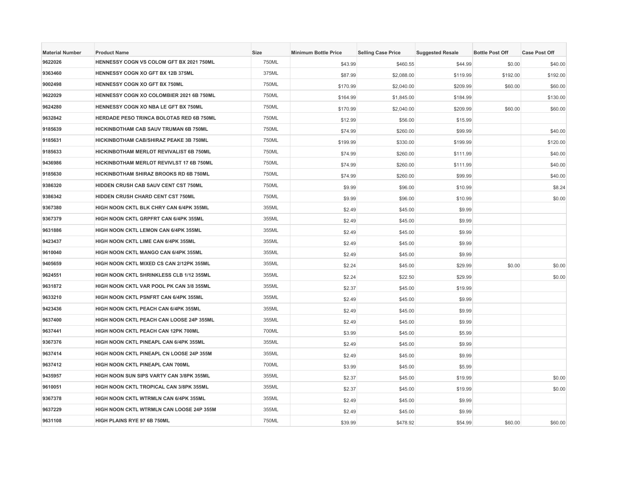| <b>Material Number</b> | <b>Product Name</b>                             | <b>Size</b> | <b>Minimum Bottle Price</b> | <b>Selling Case Price</b> | <b>Suggested Resale</b> | <b>Bottle Post Off</b> | <b>Case Post Off</b> |
|------------------------|-------------------------------------------------|-------------|-----------------------------|---------------------------|-------------------------|------------------------|----------------------|
| 9622026                | HENNESSY COGN VS COLOM GFT BX 2021 750ML        | 750ML       | \$43.99                     | \$460.55                  | \$44.99                 | \$0.00                 | \$40.00              |
| 9363460                | HENNESSY COGN XO GFT BX 12B 375ML               | 375ML       | \$87.99                     | \$2,088.00                | \$119.99                | \$192.00               | \$192.00             |
| 9002498                | HENNESSY COGN XO GFT BX 750ML                   | 750ML       | \$170.99                    | \$2,040.00                | \$209.99                | \$60.00                | \$60.00              |
| 9622029                | HENNESSY COGN XO COLOMBIER 2021 6B 750ML        | 750ML       | \$164.99                    | \$1,845.00                | \$184.99                |                        | \$130.00             |
| 9624280                | HENNESSY COGN XO NBA LE GFT BX 750ML            | 750ML       | \$170.99                    | \$2,040.00                | \$209.99                | \$60.00                | \$60.00              |
| 9632842                | <b>HERDADE PESO TRINCA BOLOTAS RED 6B 750ML</b> | 750ML       | \$12.99                     | \$56.00                   | \$15.99                 |                        |                      |
| 9185639                | HICKINBOTHAM CAB SAUV TRUMAN 6B 750ML           | 750ML       | \$74.99                     | \$260.00                  | \$99.99                 |                        | \$40.00              |
| 9185631                | HICKINBOTHAM CAB/SHIRAZ PEAKE 3B 750ML          | 750ML       | \$199.99                    | \$330.00                  | \$199.99                |                        | \$120.00             |
| 9185633                | HICKINBOTHAM MERLOT REVIVALIST 6B 750ML         | 750ML       | \$74.99                     | \$260.00                  | \$111.99                |                        | \$40.00              |
| 9436986                | HICKINBOTHAM MERLOT REVIVLST 17 6B 750ML        | 750ML       | \$74.99                     | \$260.00                  | \$111.99                |                        | \$40.00              |
| 9185630                | HICKINBOTHAM SHIRAZ BROOKS RD 6B 750ML          | 750ML       | \$74.99                     | \$260.00                  | \$99.99                 |                        | \$40.00              |
| 9386320                | HIDDEN CRUSH CAB SAUV CENT CST 750ML            | 750ML       | \$9.99                      | \$96.00                   | \$10.99                 |                        | \$8.24               |
| 9386342                | HIDDEN CRUSH CHARD CENT CST 750ML               | 750ML       | \$9.99                      | \$96.00                   | \$10.99                 |                        | \$0.00               |
| 9367380                | HIGH NOON CKTL BLK CHRY CAN 6/4PK 355ML         | 355ML       | \$2.49                      | \$45.00                   | \$9.99                  |                        |                      |
| 9367379                | HIGH NOON CKTL GRPFRT CAN 6/4PK 355ML           | 355ML       | \$2.49                      | \$45.00                   | \$9.99                  |                        |                      |
| 9631886                | HIGH NOON CKTL LEMON CAN 6/4PK 355ML            | 355ML       | \$2.49                      | \$45.00                   | \$9.99                  |                        |                      |
| 9423437                | HIGH NOON CKTL LIME CAN 6/4PK 355ML             | 355ML       | \$2.49                      | \$45.00                   | \$9.99                  |                        |                      |
| 9610040                | <b>HIGH NOON CKTL MANGO CAN 6/4PK 355ML</b>     | 355ML       | \$2.49                      | \$45.00                   | \$9.99                  |                        |                      |
| 9405659                | HIGH NOON CKTL MIXED CS CAN 2/12PK 355ML        | 355ML       | \$2.24                      | \$45.00                   | \$29.99                 | \$0.00                 | \$0.00               |
| 9624551                | HIGH NOON CKTL SHRINKLESS CLB 1/12 355ML        | 355ML       | \$2.24                      | \$22.50                   | \$29.99                 |                        | \$0.00               |
| 9631872                | HIGH NOON CKTL VAR POOL PK CAN 3/8 355ML        | 355ML       | \$2.37                      | \$45.00                   | \$19.99                 |                        |                      |
| 9633210                | HIGH NOON CKTL PSNFRT CAN 6/4PK 355ML           | 355ML       | \$2.49                      | \$45.00                   | \$9.99                  |                        |                      |
| 9423436                | HIGH NOON CKTL PEACH CAN 6/4PK 355ML            | 355ML       | \$2.49                      | \$45.00                   | \$9.99                  |                        |                      |
| 9637400                | HIGH NOON CKTL PEACH CAN LOOSE 24P 355ML        | 355ML       | \$2.49                      | \$45.00                   | \$9.99                  |                        |                      |
| 9637441                | HIGH NOON CKTL PEACH CAN 12PK 700ML             | 700ML       | \$3.99                      | \$45.00                   | \$5.99                  |                        |                      |
| 9367376                | HIGH NOON CKTL PINEAPL CAN 6/4PK 355ML          | 355ML       | \$2.49                      | \$45.00                   | \$9.99                  |                        |                      |
| 9637414                | HIGH NOON CKTL PINEAPL CN LOOSE 24P 355M        | 355ML       | \$2.49                      | \$45.00                   | \$9.99                  |                        |                      |
| 9637412                | HIGH NOON CKTL PINEAPL CAN 700ML                | 700ML       | \$3.99                      | \$45.00                   | \$5.99                  |                        |                      |
| 9435957                | HIGH NOON SUN SIPS VARTY CAN 3/8PK 355ML        | 355ML       | \$2.37                      | \$45.00                   | \$19.99                 |                        | \$0.00               |
| 9610051                | HIGH NOON CKTL TROPICAL CAN 3/8PK 355ML         | 355ML       | \$2.37                      | \$45.00                   | \$19.99                 |                        | \$0.00               |
| 9367378                | HIGH NOON CKTL WTRMLN CAN 6/4PK 355ML           | 355ML       | \$2.49                      | \$45.00                   | \$9.99                  |                        |                      |
| 9637229                | HIGH NOON CKTL WTRMLN CAN LOOSE 24P 355M        | 355ML       | \$2.49                      | \$45.00                   | \$9.99                  |                        |                      |
| 9631108                | HIGH PLAINS RYE 97 6B 750ML                     | 750ML       | \$39.99                     | \$478.92                  | \$54.99                 | \$60.00                | \$60.00              |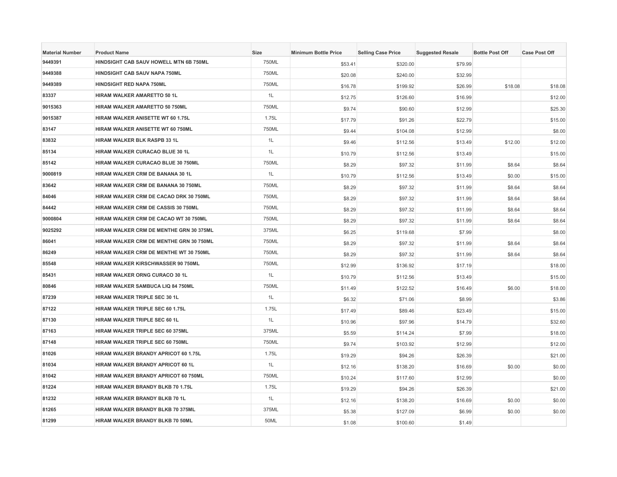| <b>Material Number</b> | <b>Product Name</b>                     | <b>Size</b> | <b>Minimum Bottle Price</b> | <b>Selling Case Price</b> | <b>Suggested Resale</b> | <b>Bottle Post Off</b> | <b>Case Post Off</b> |
|------------------------|-----------------------------------------|-------------|-----------------------------|---------------------------|-------------------------|------------------------|----------------------|
| 9449391                | HINDSIGHT CAB SAUV HOWELL MTN 6B 750ML  | 750ML       | \$53.41                     | \$320.00                  | \$79.99                 |                        |                      |
| 9449388                | <b>HINDSIGHT CAB SAUV NAPA 750ML</b>    | 750ML       | \$20.08                     | \$240.00                  | \$32.99                 |                        |                      |
| 9449389                | <b>HINDSIGHT RED NAPA 750ML</b>         | 750ML       | \$16.78                     | \$199.92                  | \$26.99                 | \$18.08                | \$18.08              |
| 83337                  | HIRAM WALKER AMARETTO 50 1L             | 1L          | \$12.75                     | \$126.60                  | \$16.99                 |                        | \$12.00              |
| 9015363                | HIRAM WALKER AMARETTO 50 750ML          | 750ML       | \$9.74                      | \$90.60                   | \$12.99                 |                        | \$25.30              |
| 9015387                | HIRAM WALKER ANISETTE WT 60 1.75L       | 1.75L       | \$17.79                     | \$91.26                   | \$22.79                 |                        | \$15.00              |
| 83147                  | HIRAM WALKER ANISETTE WT 60 750ML       | 750ML       | \$9.44                      | \$104.08                  | \$12.99                 |                        | \$8.00               |
| 83832                  | HIRAM WALKER BLK RASPB 33 1L            | 1L          | \$9.46                      | \$112.56                  | \$13.49                 | \$12.00                | \$12.00              |
| 85134                  | HIRAM WALKER CURACAO BLUE 30 1L         | 1L          | \$10.79                     | \$112.56                  | \$13.49                 |                        | \$15.00              |
| 85142                  | HIRAM WALKER CURACAO BLUE 30 750ML      | 750ML       | \$8.29                      | \$97.32                   | \$11.99                 | \$8.64                 | \$8.64               |
| 9000819                | HIRAM WALKER CRM DE BANANA 30 1L        | 1L          | \$10.79                     | \$112.56                  | \$13.49                 | \$0.00                 | \$15.00              |
| 83642                  | HIRAM WALKER CRM DE BANANA 30 750ML     | 750ML       | \$8.29                      | \$97.32                   | \$11.99                 | \$8.64                 | \$8.64               |
| 84046                  | HIRAM WALKER CRM DE CACAO DRK 30 750ML  | 750ML       | \$8.29                      | \$97.32                   | \$11.99                 | \$8.64                 | \$8.64               |
| 84442                  | HIRAM WALKER CRM DE CASSIS 30 750ML     | 750ML       | \$8.29                      | \$97.32                   | \$11.99                 | \$8.64                 | \$8.64               |
| 9000804                | HIRAM WALKER CRM DE CACAO WT 30 750ML   | 750ML       | \$8.29                      | \$97.32                   | \$11.99                 | \$8.64                 | \$8.64               |
| 9025292                | HIRAM WALKER CRM DE MENTHE GRN 30 375ML | 375ML       | \$6.25                      | \$119.68                  | \$7.99                  |                        | \$8.00               |
| 86041                  | HIRAM WALKER CRM DE MENTHE GRN 30 750ML | 750ML       | \$8.29                      | \$97.32                   | \$11.99                 | \$8.64                 | \$8.64               |
| 86249                  | HIRAM WALKER CRM DE MENTHE WT 30 750ML  | 750ML       | \$8.29                      | \$97.32                   | \$11.99                 | \$8.64                 | \$8.64               |
| 85548                  | HIRAM WALKER KIRSCHWASSER 90 750ML      | 750ML       | \$12.99                     | \$136.92                  | \$17.19                 |                        | \$18.00              |
| 85431                  | HIRAM WALKER ORNG CURACO 30 1L          | 1L          | \$10.79                     | \$112.56                  | \$13.49                 |                        | \$15.00              |
| 80846                  | HIRAM WALKER SAMBUCA LIQ 84 750ML       | 750ML       | \$11.49                     | \$122.52                  | \$16.49                 | \$6.00                 | \$18.00              |
| 87239                  | HIRAM WALKER TRIPLE SEC 30 1L           | 1L          | \$6.32                      | \$71.06                   | \$8.99                  |                        | \$3.86               |
| 87122                  | HIRAM WALKER TRIPLE SEC 60 1.75L        | 1.75L       | \$17.49                     | \$89.46                   | \$23.49                 |                        | \$15.00              |
| 87130                  | HIRAM WALKER TRIPLE SEC 60 1L           | 1L          | \$10.96                     | \$97.96                   | \$14.79                 |                        | \$32.60              |
| 87163                  | HIRAM WALKER TRIPLE SEC 60 375ML        | 375ML       | \$5.59                      | \$114.24                  | \$7.99                  |                        | \$18.00              |
| 87148                  | HIRAM WALKER TRIPLE SEC 60 750ML        | 750ML       | \$9.74                      | \$103.92                  | \$12.99                 |                        | \$12.00              |
| 81026                  | HIRAM WALKER BRANDY APRICOT 60 1.75L    | 1.75L       | \$19.29                     | \$94.26                   | \$26.39                 |                        | \$21.00              |
| 81034                  | HIRAM WALKER BRANDY APRICOT 60 1L       | 1L          | \$12.16                     | \$138.20                  | \$16.69                 | \$0.00                 | \$0.00               |
| 81042                  | HIRAM WALKER BRANDY APRICOT 60 750ML    | 750ML       | \$10.24                     | \$117.60                  | \$12.99                 |                        | \$0.00               |
| 81224                  | HIRAM WALKER BRANDY BLKB 70 1.75L       | 1.75L       | \$19.29                     | \$94.26                   | \$26.39                 |                        | \$21.00              |
| 81232                  | HIRAM WALKER BRANDY BLKB 70 1L          | 1L          | \$12.16                     | \$138.20                  | \$16.69                 | \$0.00                 | \$0.00               |
| 81265                  | HIRAM WALKER BRANDY BLKB 70 375ML       | 375ML       | \$5.38                      | \$127.09                  | \$6.99                  | \$0.00                 | \$0.00               |
| 81299                  | HIRAM WALKER BRANDY BLKB 70 50ML        | 50ML        | \$1.08                      | \$100.60                  | \$1.49                  |                        |                      |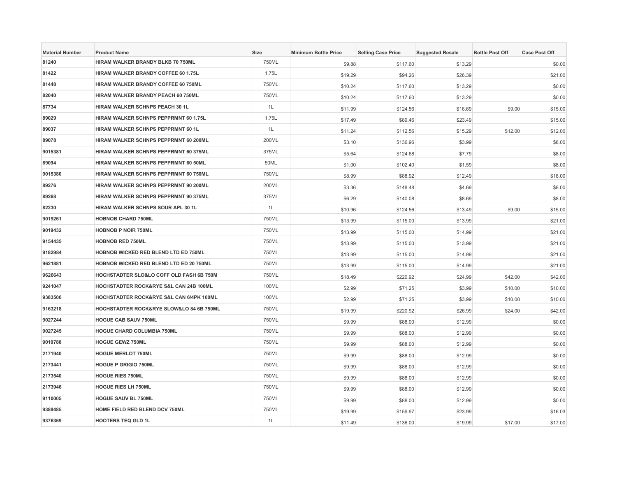| <b>Material Number</b> | <b>Product Name</b>                       | <b>Size</b> | <b>Minimum Bottle Price</b> | <b>Selling Case Price</b> | <b>Suggested Resale</b> | <b>Bottle Post Off</b> | <b>Case Post Off</b> |
|------------------------|-------------------------------------------|-------------|-----------------------------|---------------------------|-------------------------|------------------------|----------------------|
| 81240                  | HIRAM WALKER BRANDY BLKB 70 750ML         | 750ML       | \$9.88                      | \$117.60                  | \$13.29                 |                        | \$0.00               |
| 81422                  | HIRAM WALKER BRANDY COFFEE 60 1.75L       | 1.75L       | \$19.29                     | \$94.26                   | \$26.39                 |                        | \$21.00              |
| 81448                  | HIRAM WALKER BRANDY COFFEE 60 750ML       | 750ML       | \$10.24                     | \$117.60                  | \$13.29                 |                        | \$0.00               |
| 82040                  | HIRAM WALKER BRANDY PEACH 60 750ML        | 750ML       | \$10.24                     | \$117.60                  | \$13.29                 |                        | \$0.00               |
| 87734                  | HIRAM WALKER SCHNPS PEACH 30 1L           | 1L          | \$11.99                     | \$124.56                  | \$16.69                 | \$9.00                 | \$15.00              |
| 89029                  | HIRAM WALKER SCHNPS PEPPRMNT 60 1.75L     | 1.75L       | \$17.49                     | \$89.46                   | \$23.49                 |                        | \$15.00              |
| 89037                  | HIRAM WALKER SCHNPS PEPPRMNT 60 1L        | 1L          | \$11.24                     | \$112.56                  | \$15.29                 | \$12.00                | \$12.00              |
| 89078                  | HIRAM WALKER SCHNPS PEPPRMNT 60 200ML     | 200ML       | \$3.10                      | \$136.96                  | \$3.99                  |                        | \$8.00               |
| 9015381                | HIRAM WALKER SCHNPS PEPPRMNT 60 375ML     | 375ML       | \$5.64                      | \$124.68                  | \$7.79                  |                        | \$8.00               |
| 89094                  | HIRAM WALKER SCHNPS PEPPRMNT 60 50ML      | 50ML        | \$1.00                      | \$102.40                  | \$1.59                  |                        | \$8.00               |
| 9015380                | HIRAM WALKER SCHNPS PEPPRMNT 60 750ML     | 750ML       | \$8.99                      | \$88.92                   | \$12.49                 |                        | \$18.00              |
| 89276                  | HIRAM WALKER SCHNPS PEPPRMNT 90 200ML     | 200ML       | \$3.36                      | \$148.48                  | \$4.69                  |                        | \$8.00               |
| 89268                  | HIRAM WALKER SCHNPS PEPPRMNT 90 375ML     | 375ML       | \$6.29                      | \$140.08                  | \$8.69                  |                        | \$8.00               |
| 82230                  | <b>HIRAM WALKER SCHNPS SOUR APL 30 1L</b> | 1L          | \$10.96                     | \$124.56                  | \$13.49                 | \$9.00                 | \$15.00              |
| 9019261                | <b>HOBNOB CHARD 750ML</b>                 | 750ML       | \$13.99                     | \$115.00                  | \$13.99                 |                        | \$21.00              |
| 9019432                | <b>HOBNOB P NOIR 750ML</b>                | 750ML       | \$13.99                     | \$115.00                  | \$14.99                 |                        | \$21.00              |
| 9154435                | <b>HOBNOB RED 750ML</b>                   | 750ML       | \$13.99                     | \$115.00                  | \$13.99                 |                        | \$21.00              |
| 9182984                | HOBNOB WICKED RED BLEND LTD ED 750ML      | 750ML       | \$13.99                     | \$115.00                  | \$14.99                 |                        | \$21.00              |
| 9621881                | HOBNOB WICKED RED BLEND LTD ED 20 750ML   | 750ML       | \$13.99                     | \$115.00                  | \$14.99                 |                        | \$21.00              |
| 9626643                | HOCHSTADTER SLO&LO COFF OLD FASH 6B 750M  | 750ML       | \$18.49                     | \$220.92                  | \$24.99                 | \$42.00                | \$42.00              |
| 9241047                | HOCHSTADTER ROCK&RYE S&L CAN 24B 100ML    | 100ML       | \$2.99                      | \$71.25                   | \$3.99                  | \$10.00                | \$10.00              |
| 9383506                | HOCHSTADTER ROCK&RYE S&L CAN 6/4PK 100ML  | 100ML       | \$2.99                      | \$71.25                   | \$3.99                  | \$10.00                | \$10.00              |
| 9163218                | HOCHSTADTER ROCK&RYE SLOW&LO 84 6B 750ML  | 750ML       | \$19.99                     | \$220.92                  | \$26.99                 | \$24.00                | \$42.00              |
| 9027244                | <b>HOGUE CAB SAUV 750ML</b>               | 750ML       | \$9.99                      | \$88.00                   | \$12.99                 |                        | \$0.00               |
| 9027245                | HOGUE CHARD COLUMBIA 750ML                | 750ML       | \$9.99                      | \$88.00                   | \$12.99                 |                        | \$0.00               |
| 9010788                | <b>HOGUE GEWZ 750ML</b>                   | 750ML       | \$9.99                      | \$88.00                   | \$12.99                 |                        | \$0.00               |
| 2171940                | <b>HOGUE MERLOT 750ML</b>                 | 750ML       | \$9.99                      | \$88.00                   | \$12.99                 |                        | \$0.00               |
| 2173441                | <b>HOGUE P GRIGIO 750ML</b>               | 750ML       | \$9.99                      | \$88.00                   | \$12.99                 |                        | \$0.00               |
| 2173540                | <b>HOGUE RIES 750ML</b>                   | 750ML       | \$9.99                      | \$88.00                   | \$12.99                 |                        | \$0.00               |
| 2173946                | <b>HOGUE RIES LH 750ML</b>                | 750ML       | \$9.99                      | \$88.00                   | \$12.99                 |                        | \$0.00               |
| 9110005                | <b>HOGUE SAUV BL 750ML</b>                | 750ML       | \$9.99                      | \$88.00                   | \$12.99                 |                        | \$0.00               |
| 9389485                | HOME FIELD RED BLEND DCV 750ML            | 750ML       | \$19.99                     | \$159.97                  | \$23.99                 |                        | \$16.03              |
| 9376369                | <b>HOOTERS TEQ GLD 1L</b>                 | 1L          | \$11.49                     | \$136.00                  | \$19.99                 | \$17.00                | \$17.00              |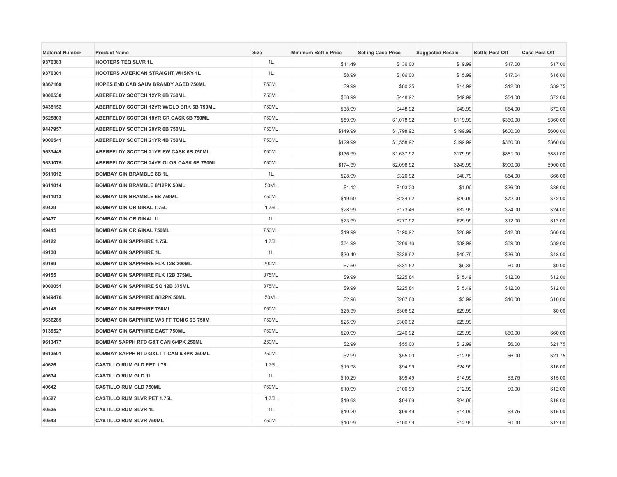| <b>Material Number</b> | <b>Product Name</b>                             | Size  | <b>Minimum Bottle Price</b> | <b>Selling Case Price</b> | <b>Suggested Resale</b> | <b>Bottle Post Off</b> | <b>Case Post Off</b> |
|------------------------|-------------------------------------------------|-------|-----------------------------|---------------------------|-------------------------|------------------------|----------------------|
| 9376383                | <b>HOOTERS TEQ SLVR 1L</b>                      | 1L    | \$11.49                     | \$136.00                  | \$19.99                 | \$17.00                | \$17.00              |
| 9376301                | <b>HOOTERS AMERICAN STRAIGHT WHSKY 1L</b>       | 1L    | \$8.99                      | \$106.00                  | \$15.99                 | \$17.04                | \$18.00              |
| 9367169                | <b>HOPES END CAB SAUV BRANDY AGED 750ML</b>     | 750ML | \$9.99                      | \$80.25                   | \$14.99                 | \$12.00                | \$39.75              |
| 9006530                | ABERFELDY SCOTCH 12YR 6B 750ML                  | 750ML | \$38.99                     | \$448.92                  | \$49.99                 | \$54.00                | \$72.00              |
| 9435152                | ABERFELDY SCOTCH 12YR W/GLD BRK 6B 750ML        | 750ML | \$38.99                     | \$448.92                  | \$49.99                 | \$54.00                | \$72.00              |
| 9625803                | ABERFELDY SCOTCH 18YR CR CASK 6B 750ML          | 750ML | \$89.99                     | \$1,078.92                | \$119.99                | \$360.00               | \$360.00             |
| 9447957                | ABERFELDY SCOTCH 20YR 6B 750ML                  | 750ML | \$149.99                    | \$1,798.92                | \$199.99                | \$600.00               | \$600.00             |
| 9006541                | ABERFELDY SCOTCH 21YR 4B 750ML                  | 750ML | \$129.99                    | \$1,558.92                | \$199.99                | \$360.00               | \$360.00             |
| 9633449                | ABERFELDY SCOTCH 21YR FW CASK 6B 750ML          | 750ML | \$136.99                    | \$1,637.92                | \$179.99                | \$881.00               | \$881.00             |
| 9631075                | ABERFELDY SCOTCH 24YR OLOR CASK 6B 750ML        | 750ML | \$174.99                    | \$2,098.92                | \$249.99                | \$900.00               | \$900.00             |
| 9611012                | <b>BOMBAY GIN BRAMBLE 6B 1L</b>                 | 1L    | \$28.99                     | \$320.92                  | \$40.79                 | \$54.00                | \$66.00              |
| 9611014                | <b>BOMBAY GIN BRAMBLE 8/12PK 50ML</b>           | 50ML  | \$1.12                      | \$103.20                  | \$1.99                  | \$36.00                | \$36.00              |
| 9611013                | <b>BOMBAY GIN BRAMBLE 6B 750ML</b>              | 750ML | \$19.99                     | \$234.92                  | \$29.99                 | \$72.00                | \$72.00              |
| 49429                  | <b>BOMBAY GIN ORIGINAL 1.75L</b>                | 1.75L | \$28.99                     | \$173.46                  | \$32.99                 | \$24.00                | \$24.00              |
| 49437                  | <b>BOMBAY GIN ORIGINAL 1L</b>                   | 1L    | \$23.99                     | \$277.92                  | \$29.99                 | \$12.00                | \$12.00              |
| 49445                  | <b>BOMBAY GIN ORIGINAL 750ML</b>                | 750ML | \$19.99                     | \$190.92                  | \$26.99                 | \$12.00                | \$60.00              |
| 49122                  | <b>BOMBAY GIN SAPPHIRE 1.75L</b>                | 1.75L | \$34.99                     | \$209.46                  | \$39.99                 | \$39.00                | \$39.00              |
| 49130                  | <b>BOMBAY GIN SAPPHIRE 1L</b>                   | 1L    | \$30.49                     | \$338.92                  | \$40.79                 | \$36.00                | \$48.00              |
| 49189                  | <b>BOMBAY GIN SAPPHIRE FLK 12B 200ML</b>        | 200ML | \$7.50                      | \$331.52                  | \$9.39                  | \$0.00                 | \$0.00               |
| 49155                  | <b>BOMBAY GIN SAPPHIRE FLK 12B 375ML</b>        | 375ML | \$9.99                      | \$225.84                  | \$15.49                 | \$12.00                | \$12.00              |
| 9000051                | <b>BOMBAY GIN SAPPHIRE SQ 12B 375ML</b>         | 375ML | \$9.99                      | \$225.84                  | \$15.49                 | \$12.00                | \$12.00              |
| 9349476                | <b>BOMBAY GIN SAPPHIRE 8/12PK 50ML</b>          | 50ML  | \$2.98                      | \$267.60                  | \$3.99                  | \$16.00                | \$16.00              |
| 49148                  | <b>BOMBAY GIN SAPPHIRE 750ML</b>                | 750ML | \$25.99                     | \$306.92                  | \$29.99                 |                        | \$0.00               |
| 9636285                | <b>BOMBAY GIN SAPPHIRE W/3 FT TONIC 6B 750M</b> | 750ML | \$25.99                     | \$306.92                  | \$29.99                 |                        |                      |
| 9135527                | <b>BOMBAY GIN SAPPHIRE EAST 750ML</b>           | 750ML | \$20.99                     | \$246.92                  | \$29.99                 | \$60.00                | \$60.00              |
| 9613477                | BOMBAY SAPPH RTD G&T CAN 6/4PK 250ML            | 250ML | \$2.99                      | \$55.00                   | \$12.99                 | \$6.00                 | \$21.75              |
| 9613501                | <b>BOMBAY SAPPH RTD G&lt; T CAN 6/4PK 250ML</b> | 250ML | \$2.99                      | \$55.00                   | \$12.99                 | \$6.00                 | \$21.75              |
| 40626                  | <b>CASTILLO RUM GLD PET 1.75L</b>               | 1.75L | \$19.98                     | \$94.99                   | \$24.99                 |                        | \$16.00              |
| 40634                  | <b>CASTILLO RUM GLD 1L</b>                      | 1L    | \$10.29                     | \$99.49                   | \$14.99                 | \$3.75                 | \$15.00              |
| 40642                  | <b>CASTILLO RUM GLD 750ML</b>                   | 750ML | \$10.99                     | \$100.99                  | \$12.99                 | \$0.00                 | \$12.00              |
| 40527                  | <b>CASTILLO RUM SLVR PET 1.75L</b>              | 1.75L | \$19.98                     | \$94.99                   | \$24.99                 |                        | \$16.00              |
| 40535                  | <b>CASTILLO RUM SLVR 1L</b>                     | 1L    | \$10.29                     | \$99.49                   | \$14.99                 | \$3.75                 | \$15.00              |
| 40543                  | <b>CASTILLO RUM SLVR 750ML</b>                  | 750ML | \$10.99                     | \$100.99                  | \$12.99                 | \$0.00                 | \$12.00              |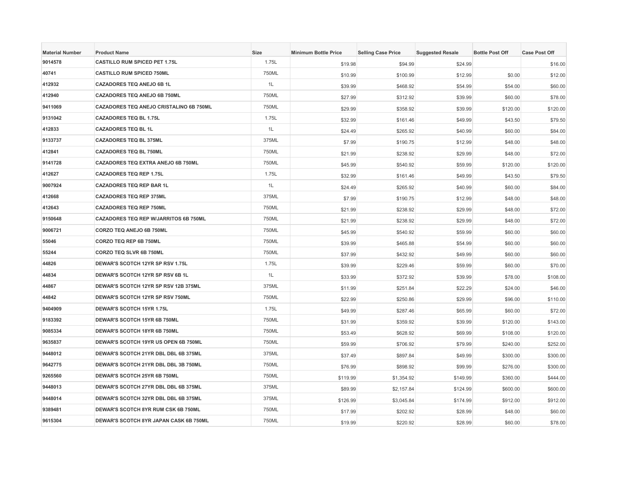| <b>Material Number</b> | <b>Product Name</b>                          | Size  | <b>Minimum Bottle Price</b> | <b>Selling Case Price</b> | <b>Suggested Resale</b> | <b>Bottle Post Off</b> | <b>Case Post Off</b> |
|------------------------|----------------------------------------------|-------|-----------------------------|---------------------------|-------------------------|------------------------|----------------------|
| 9014578                | <b>CASTILLO RUM SPICED PET 1.75L</b>         | 1.75L | \$19.98                     | \$94.99                   | \$24.99                 |                        | \$16.00              |
| 40741                  | <b>CASTILLO RUM SPICED 750ML</b>             | 750ML | \$10.99                     | \$100.99                  | \$12.99                 | \$0.00                 | \$12.00              |
| 412932                 | <b>CAZADORES TEQ ANEJO 6B 1L</b>             | 1L    | \$39.99                     | \$468.92                  | \$54.99                 | \$54.00                | \$60.00              |
| 412940                 | CAZADORES TEQ ANEJO 6B 750ML                 | 750ML | \$27.99                     | \$312.92                  | \$39.99                 | \$60.00                | \$78.00              |
| 9411069                | CAZADORES TEQ ANEJO CRISTALINO 6B 750ML      | 750ML | \$29.99                     | \$358.92                  | \$39.99                 | \$120.00               | \$120.00             |
| 9131042                | <b>CAZADORES TEQ BL 1.75L</b>                | 1.75L | \$32.99                     | \$161.46                  | \$49.99                 | \$43.50                | \$79.50              |
| 412833                 | <b>CAZADORES TEQ BL 1L</b>                   | 1L    | \$24.49                     | \$265.92                  | \$40.99                 | \$60.00                | \$84.00              |
| 9133737                | <b>CAZADORES TEQ BL 375ML</b>                | 375ML | \$7.99                      | \$190.75                  | \$12.99                 | \$48.00                | \$48.00              |
| 412841                 | <b>CAZADORES TEQ BL 750ML</b>                | 750ML | \$21.99                     | \$238.92                  | \$29.99                 | \$48.00                | \$72.00              |
| 9141728                | CAZADORES TEQ EXTRA ANEJO 6B 750ML           | 750ML | \$45.99                     | \$540.92                  | \$59.99                 | \$120.00               | \$120.00             |
| 412627                 | <b>CAZADORES TEQ REP 1.75L</b>               | 1.75L | \$32.99                     | \$161.46                  | \$49.99                 | \$43.50                | \$79.50              |
| 9007924                | <b>CAZADORES TEQ REP BAR 1L</b>              | 1L    | \$24.49                     | \$265.92                  | \$40.99                 | \$60.00                | \$84.00              |
| 412668                 | <b>CAZADORES TEQ REP 375ML</b>               | 375ML | \$7.99                      | \$190.75                  | \$12.99                 | \$48.00                | \$48.00              |
| 412643                 | <b>CAZADORES TEQ REP 750ML</b>               | 750ML | \$21.99                     | \$238.92                  | \$29.99                 | \$48.00                | \$72.00              |
| 9150648                | <b>CAZADORES TEQ REP W/JARRITOS 6B 750ML</b> | 750ML | \$21.99                     | \$238.92                  | \$29.99                 | \$48.00                | \$72.00              |
| 9006721                | CORZO TEQ ANEJO 6B 750ML                     | 750ML | \$45.99                     | \$540.92                  | \$59.99                 | \$60.00                | \$60.00              |
| 55046                  | CORZO TEQ REP 6B 750ML                       | 750ML | \$39.99                     | \$465.88                  | \$54.99                 | \$60.00                | \$60.00              |
| 55244                  | CORZO TEQ SLVR 6B 750ML                      | 750ML | \$37.99                     | \$432.92                  | \$49.99                 | \$60.00                | \$60.00              |
| 44826                  | DEWAR'S SCOTCH 12YR SP RSV 1.75L             | 1.75L | \$39.99                     | \$229.46                  | \$59.99                 | \$60.00                | \$70.00              |
| 44834                  | DEWAR'S SCOTCH 12YR SP RSV 6B 1L             | 1L    | \$33.99                     | \$372.92                  | \$39.99                 | \$78.00                | \$108.00             |
| 44867                  | DEWAR'S SCOTCH 12YR SP RSV 12B 375ML         | 375ML | \$11.99                     | \$251.84                  | \$22.29                 | \$24.00                | \$46.00              |
| 44842                  | DEWAR'S SCOTCH 12YR SP RSV 750ML             | 750ML | \$22.99                     | \$250.86                  | \$29.99                 | \$96.00                | \$110.00             |
| 9404909                | DEWAR'S SCOTCH 15YR 1.75L                    | 1.75L | \$49.99                     | \$287.46                  | \$65.99                 | \$60.00                | \$72.00              |
| 9183392                | DEWAR'S SCOTCH 15YR 6B 750ML                 | 750ML | \$31.99                     | \$359.92                  | \$39.99                 | \$120.00               | \$143.00             |
| 9085334                | DEWAR'S SCOTCH 18YR 6B 750ML                 | 750ML | \$53.49                     | \$628.92                  | \$69.99                 | \$108.00               | \$120.00             |
| 9635837                | DEWAR'S SCOTCH 19YR US OPEN 6B 750ML         | 750ML | \$59.99                     | \$706.92                  | \$79.99                 | \$240.00               | \$252.00             |
| 9448012                | DEWAR'S SCOTCH 21YR DBL DBL 6B 375ML         | 375ML | \$37.49                     | \$897.84                  | \$49.99                 | \$300.00               | \$300.00             |
| 9642775                | DEWAR'S SCOTCH 21YR DBL DBL 3B 750ML         | 750ML | \$76.99                     | \$898.92                  | \$99.99                 | \$276.00               | \$300.00             |
| 9265560                | DEWAR'S SCOTCH 25YR 6B 750ML                 | 750ML | \$119.99                    | \$1,354.92                | \$149.99                | \$360.00               | \$444.00             |
| 9448013                | DEWAR'S SCOTCH 27YR DBL DBL 6B 375ML         | 375ML | \$89.99                     | \$2,157.84                | \$124.99                | \$600.00               | \$600.00             |
| 9448014                | DEWAR'S SCOTCH 32YR DBL DBL 6B 375ML         | 375ML | \$126.99                    | \$3,045.84                | \$174.99                | \$912.00               | \$912.00             |
| 9389481                | DEWAR'S SCOTCH 8YR RUM CSK 6B 750ML          | 750ML | \$17.99                     | \$202.92                  | \$28.99                 | \$48.00                | \$60.00              |
| 9615304                | DEWAR'S SCOTCH 8YR JAPAN CASK 6B 750ML       | 750ML | \$19.99                     | \$220.92                  | \$28.99                 | \$60.00                | \$78.00              |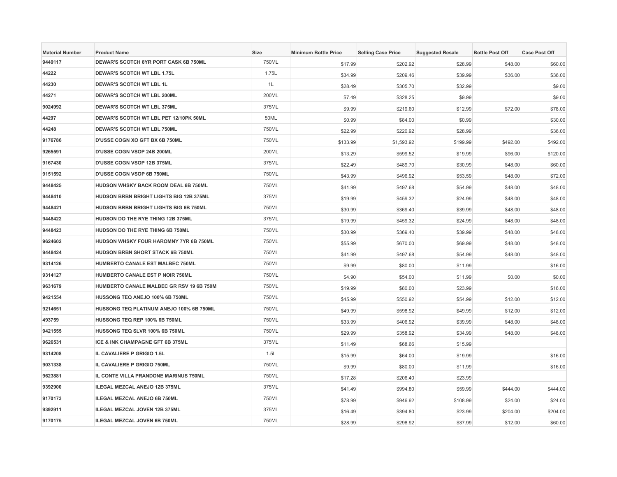| <b>Material Number</b> | <b>Product Name</b>                           | <b>Size</b> | <b>Minimum Bottle Price</b> | <b>Selling Case Price</b> | <b>Suggested Resale</b> | <b>Bottle Post Off</b> | <b>Case Post Off</b> |
|------------------------|-----------------------------------------------|-------------|-----------------------------|---------------------------|-------------------------|------------------------|----------------------|
| 9449117                | DEWAR'S SCOTCH 8YR PORT CASK 6B 750ML         | 750ML       | \$17.99                     | \$202.92                  | \$28.99                 | \$48.00                | \$60.00              |
| 44222                  | <b>DEWAR'S SCOTCH WT LBL 1.75L</b>            | 1.75L       | \$34.99                     | \$209.46                  | \$39.99                 | \$36.00                | \$36.00              |
| 44230                  | <b>DEWAR'S SCOTCH WT LBL 1L</b>               | 1L          | \$28.49                     | \$305.70                  | \$32.99                 |                        | \$9.00               |
| 44271                  | DEWAR'S SCOTCH WT LBL 200ML                   | 200ML       | \$7.49                      | \$328.25                  | \$9.99                  |                        | \$9.00               |
| 9024992                | DEWAR'S SCOTCH WT LBL 375ML                   | 375ML       | \$9.99                      | \$219.60                  | \$12.99                 | \$72.00                | \$78.00              |
| 44297                  | DEWAR'S SCOTCH WT LBL PET 12/10PK 50ML        | 50ML        | \$0.99                      | \$84.00                   | \$0.99                  |                        | \$30.00              |
| 44248                  | <b>DEWAR'S SCOTCH WT LBL 750ML</b>            | 750ML       | \$22.99                     | \$220.92                  | \$28.99                 |                        | \$36.00              |
| 9176786                | D'USSE COGN XO GFT BX 6B 750ML                | 750ML       | \$133.99                    | \$1,593.92                | \$199.99                | \$492.00               | \$492.00             |
| 9265591                | <b>D'USSE COGN VSOP 24B 200ML</b>             | 200ML       | \$13.29                     | \$599.52                  | \$19.99                 | \$96.00                | \$120.00             |
| 9167430                | D'USSE COGN VSOP 12B 375ML                    | 375ML       | \$22.49                     | \$489.70                  | \$30.99                 | \$48.00                | \$60.00              |
| 9151592                | D'USSE COGN VSOP 6B 750ML                     | 750ML       | \$43.99                     | \$496.92                  | \$53.59                 | \$48.00                | \$72.00              |
| 9448425                | HUDSON WHSKY BACK ROOM DEAL 6B 750ML          | 750ML       | \$41.99                     | \$497.68                  | \$54.99                 | \$48.00                | \$48.00              |
| 9448410                | HUDSON BRBN BRIGHT LIGHTS BIG 12B 375ML       | 375ML       | \$19.99                     | \$459.32                  | \$24.99                 | \$48.00                | \$48.00              |
| 9448421                | HUDSON BRBN BRIGHT LIGHTS BIG 6B 750ML        | 750ML       | \$30.99                     | \$369.40                  | \$39.99                 | \$48.00                | \$48.00              |
| 9448422                | <b>HUDSON DO THE RYE THING 12B 375ML</b>      | 375ML       | \$19.99                     | \$459.32                  | \$24.99                 | \$48.00                | \$48.00              |
| 9448423                | HUDSON DO THE RYE THING 6B 750ML              | 750ML       | \$30.99                     | \$369.40                  | \$39.99                 | \$48.00                | \$48.00              |
| 9624602                | <b>HUDSON WHSKY FOUR HAROMNY 7YR 6B 750ML</b> | 750ML       | \$55.99                     | \$670.00                  | \$69.99                 | \$48.00                | \$48.00              |
| 9448424                | HUDSON BRBN SHORT STACK 6B 750ML              | 750ML       | \$41.99                     | \$497.68                  | \$54.99                 | \$48.00                | \$48.00              |
| 9314126                | <b>HUMBERTO CANALE EST MALBEC 750ML</b>       | 750ML       | \$9.99                      | \$80.00                   | \$11.99                 |                        | \$16.00              |
| 9314127                | HUMBERTO CANALE EST P NOIR 750ML              | 750ML       | \$4.90                      | \$54.00                   | \$11.99                 | \$0.00                 | \$0.00               |
| 9631679                | HUMBERTO CANALE MALBEC GR RSV 19 6B 750M      | 750ML       | \$19.99                     | \$80.00                   | \$23.99                 |                        | \$16.00              |
| 9421554                | HUSSONG TEQ ANEJO 100% 6B 750ML               | 750ML       | \$45.99                     | \$550.92                  | \$54.99                 | \$12.00                | \$12.00              |
| 9214651                | HUSSONG TEQ PLATINUM ANEJO 100% 6B 750ML      | 750ML       | \$49.99                     | \$598.92                  | \$49.99                 | \$12.00                | \$12.00              |
| 493759                 | HUSSONG TEQ REP 100% 6B 750ML                 | 750ML       | \$33.99                     | \$406.92                  | \$39.99                 | \$48.00                | \$48.00              |
| 9421555                | HUSSONG TEQ SLVR 100% 6B 750ML                | 750ML       | \$29.99                     | \$358.92                  | \$34.99                 | \$48.00                | \$48.00              |
| 9626531                | ICE & INK CHAMPAGNE GFT 6B 375ML              | 375ML       | \$11.49                     | \$68.66                   | \$15.99                 |                        |                      |
| 9314208                | IL CAVALIERE P GRIGIO 1.5L                    | 1.5L        | \$15.99                     | \$64.00                   | \$19.99                 |                        | \$16.00              |
| 9031338                | IL CAVALIERE P GRIGIO 750ML                   | 750ML       | \$9.99                      | \$80.00                   | \$11.99                 |                        | \$16.00              |
| 9623881                | IL CONTE VILLA PRANDONE MARINUS 750ML         | 750ML       | \$17.28                     | \$206.40                  | \$23.99                 |                        |                      |
| 9392900                | ILEGAL MEZCAL ANEJO 12B 375ML                 | 375ML       | \$41.49                     | \$994.80                  | \$59.99                 | \$444.00               | \$444.00             |
| 9170173                | ILEGAL MEZCAL ANEJO 6B 750ML                  | 750ML       | \$78.99                     | \$946.92                  | \$108.99                | \$24.00                | \$24.00              |
| 9392911                | ILEGAL MEZCAL JOVEN 12B 375ML                 | 375ML       | \$16.49                     | \$394.80                  | \$23.99                 | \$204.00               | \$204.00             |
| 9170175                | ILEGAL MEZCAL JOVEN 6B 750ML                  | 750ML       | \$28.99                     | \$298.92                  | \$37.99                 | \$12.00                | \$60.00              |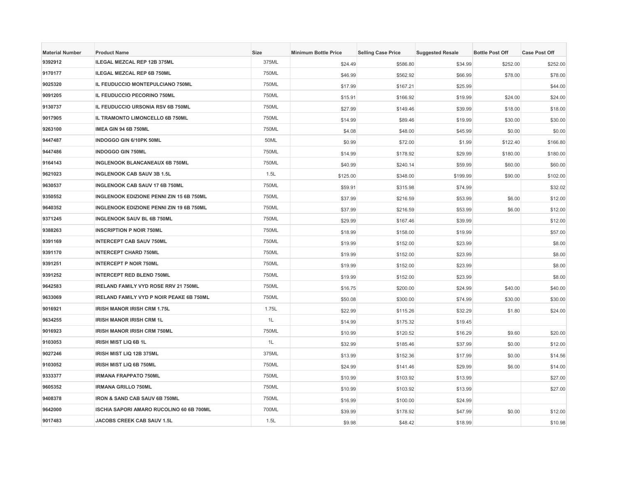| <b>Material Number</b> | <b>Product Name</b>                             | <b>Size</b> | <b>Minimum Bottle Price</b> | <b>Selling Case Price</b> | <b>Suggested Resale</b> | <b>Bottle Post Off</b> | <b>Case Post Off</b> |
|------------------------|-------------------------------------------------|-------------|-----------------------------|---------------------------|-------------------------|------------------------|----------------------|
| 9392912                | ILEGAL MEZCAL REP 12B 375ML                     | 375ML       | \$24.49                     | \$586.80                  | \$34.99                 | \$252.00               | \$252.00             |
| 9170177                | ILEGAL MEZCAL REP 6B 750ML                      | 750ML       | \$46.99                     | \$562.92                  | \$66.99                 | \$78.00                | \$78.00              |
| 9025320                | <b>IL FEUDUCCIO MONTEPULCIANO 750ML</b>         | 750ML       | \$17.99                     | \$167.21                  | \$25.99                 |                        | \$44.00              |
| 9091205                | IL FEUDUCCIO PECORINO 750ML                     | 750ML       | \$15.91                     | \$166.92                  | \$19.99                 | \$24.00                | \$24.00              |
| 9130737                | IL FEUDUCCIO URSONIA RSV 6B 750ML               | 750ML       | \$27.99                     | \$149.46                  | \$39.99                 | \$18.00                | \$18.00              |
| 9017905                | IL TRAMONTO LIMONCELLO 6B 750ML                 | 750ML       | \$14.99                     | \$89.46                   | \$19.99                 | \$30.00                | \$30.00              |
| 9263100                | IMEA GIN 94 6B 750ML                            | 750ML       | \$4.08                      | \$48.00                   | \$45.99                 | \$0.00                 | \$0.00               |
| 9447487                | <b>INDOGGO GIN 6/10PK 50ML</b>                  | 50ML        | \$0.99                      | \$72.00                   | \$1.99                  | \$122.40               | \$166.80             |
| 9447486                | <b>INDOGGO GIN 750ML</b>                        | 750ML       | \$14.99                     | \$178.92                  | \$29.99                 | \$180.00               | \$180.00             |
| 9164143                | <b>INGLENOOK BLANCANEAUX 6B 750ML</b>           | 750ML       | \$40.99                     | \$240.14                  | \$59.99                 | \$60.00                | \$60.00              |
| 9621023                | <b>INGLENOOK CAB SAUV 3B 1.5L</b>               | 1.5L        | \$125.00                    | \$348.00                  | \$199.99                | \$90.00                | \$102.00             |
| 9630537                | <b>INGLENOOK CAB SAUV 17 6B 750ML</b>           | 750ML       | \$59.91                     | \$315.98                  | \$74.99                 |                        | \$32.02              |
| 9350552                | INGLENOOK EDIZIONE PENNI ZIN 15 6B 750ML        | 750ML       | \$37.99                     | \$216.59                  | \$53.99                 | \$6.00                 | \$12.00              |
| 9640352                | INGLENOOK EDIZIONE PENNI ZIN 19 6B 750ML        | 750ML       | \$37.99                     | \$216.59                  | \$53.99                 | \$6.00                 | \$12.00              |
| 9371245                | <b>INGLENOOK SAUV BL 6B 750ML</b>               | 750ML       | \$29.99                     | \$167.46                  | \$39.99                 |                        | \$12.00              |
| 9388263                | <b>INSCRIPTION P NOIR 750ML</b>                 | 750ML       | \$18.99                     | \$158.00                  | \$19.99                 |                        | \$57.00              |
| 9391169                | <b>INTERCEPT CAB SAUV 750ML</b>                 | 750ML       | \$19.99                     | \$152.00                  | \$23.99                 |                        | \$8.00               |
| 9391170                | <b>INTERCEPT CHARD 750ML</b>                    | 750ML       | \$19.99                     | \$152.00                  | \$23.99                 |                        | \$8.00               |
| 9391251                | <b>INTERCEPT P NOIR 750ML</b>                   | 750ML       | \$19.99                     | \$152.00                  | \$23.99                 |                        | \$8.00               |
| 9391252                | <b>INTERCEPT RED BLEND 750ML</b>                | 750ML       | \$19.99                     | \$152.00                  | \$23.99                 |                        | \$8.00               |
| 9642583                | IRELAND FAMILY VYD ROSE RRV 21 750ML            | 750ML       | \$16.75                     | \$200.00                  | \$24.99                 | \$40.00                | \$40.00              |
| 9633069                | <b>IRELAND FAMILY VYD P NOIR PEAKE 6B 750ML</b> | 750ML       | \$50.08                     | \$300.00                  | \$74.99                 | \$30.00                | \$30.00              |
| 9016921                | <b>IRISH MANOR IRISH CRM 1.75L</b>              | 1.75L       | \$22.99                     | \$115.26                  | \$32.29                 | \$1.80                 | \$24.00              |
| 9634255                | <b>IRISH MANOR IRISH CRM 1L</b>                 | 1L          | \$14.99                     | \$175.32                  | \$19.45                 |                        |                      |
| 9016923                | IRISH MANOR IRISH CRM 750ML                     | 750ML       | \$10.99                     | \$120.52                  | \$16.29                 | \$9.60                 | \$20.00              |
| 9103053                | <b>IRISH MIST LIQ 6B 1L</b>                     | 1L          | \$32.99                     | \$185.46                  | \$37.99                 | \$0.00                 | \$12.00              |
| 9027246                | IRISH MIST LIQ 12B 375ML                        | 375ML       | \$13.99                     | \$152.36                  | \$17.99                 | \$0.00                 | \$14.56              |
| 9103052                | IRISH MIST LIQ 6B 750ML                         | 750ML       | \$24.99                     | \$141.46                  | \$29.99                 | \$6.00                 | \$14.00              |
| 9333377                | <b>IRMANA FRAPPATO 750ML</b>                    | 750ML       | \$10.99                     | \$103.92                  | \$13.99                 |                        | \$27.00              |
| 9605352                | <b>IRMANA GRILLO 750ML</b>                      | 750ML       | \$10.99                     | \$103.92                  | \$13.99                 |                        | \$27.00              |
| 9408378                | IRON & SAND CAB SAUV 6B 750ML                   | 750ML       | \$16.99                     | \$100.00                  | \$24.99                 |                        |                      |
| 9642000                | ISCHIA SAPORI AMARO RUCOLINO 60 6B 700ML        | 700ML       | \$39.99                     | \$178.92                  | \$47.99                 | \$0.00                 | \$12.00              |
| 9017483                | <b>JACOBS CREEK CAB SAUV 1.5L</b>               | 1.5L        | \$9.98                      | \$48.42                   | \$18.99                 |                        | \$10.98              |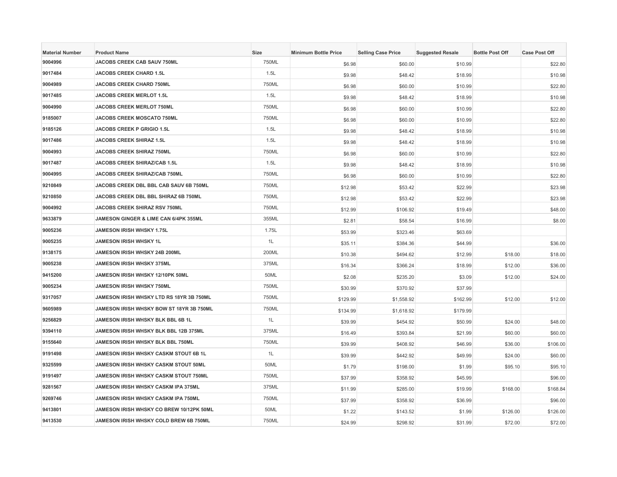| <b>Material Number</b> | <b>Product Name</b>                              | <b>Size</b> | <b>Minimum Bottle Price</b> | <b>Selling Case Price</b> | <b>Suggested Resale</b> | <b>Bottle Post Off</b> | <b>Case Post Off</b> |
|------------------------|--------------------------------------------------|-------------|-----------------------------|---------------------------|-------------------------|------------------------|----------------------|
| 9004996                | JACOBS CREEK CAB SAUV 750ML                      | 750ML       | \$6.98                      | \$60.00                   | \$10.99                 |                        | \$22.80              |
| 9017484                | <b>JACOBS CREEK CHARD 1.5L</b>                   | 1.5L        | \$9.98                      | \$48.42                   | \$18.99                 |                        | \$10.98              |
| 9004989                | <b>JACOBS CREEK CHARD 750ML</b>                  | 750ML       | \$6.98                      | \$60.00                   | \$10.99                 |                        | \$22.80              |
| 9017485                | JACOBS CREEK MERLOT 1.5L                         | 1.5L        | \$9.98                      | \$48.42                   | \$18.99                 |                        | \$10.98              |
| 9004990                | JACOBS CREEK MERLOT 750ML                        | 750ML       | \$6.98                      | \$60.00                   | \$10.99                 |                        | \$22.80              |
| 9185007                | <b>JACOBS CREEK MOSCATO 750ML</b>                | 750ML       | \$6.98                      | \$60.00                   | \$10.99                 |                        | \$22.80              |
| 9185126                | <b>JACOBS CREEK P GRIGIO 1.5L</b>                | 1.5L        | \$9.98                      | \$48.42                   | \$18.99                 |                        | \$10.98              |
| 9017486                | <b>JACOBS CREEK SHIRAZ 1.5L</b>                  | 1.5L        | \$9.98                      | \$48.42                   | \$18.99                 |                        | \$10.98              |
| 9004993                | <b>JACOBS CREEK SHIRAZ 750ML</b>                 | 750ML       | \$6.98                      | \$60.00                   | \$10.99                 |                        | \$22.80              |
| 9017487                | JACOBS CREEK SHIRAZ/CAB 1.5L                     | 1.5L        | \$9.98                      | \$48.42                   | \$18.99                 |                        | \$10.98              |
| 9004995                | JACOBS CREEK SHIRAZ/CAB 750ML                    | 750ML       | \$6.98                      | \$60.00                   | \$10.99                 |                        | \$22.80              |
| 9210849                | JACOBS CREEK DBL BBL CAB SAUV 6B 750ML           | 750ML       | \$12.98                     | \$53.42                   | \$22.99                 |                        | \$23.98              |
| 9210850                | JACOBS CREEK DBL BBL SHIRAZ 6B 750ML             | 750ML       | \$12.98                     | \$53.42                   | \$22.99                 |                        | \$23.98              |
| 9004992                | <b>JACOBS CREEK SHIRAZ RSV 750ML</b>             | 750ML       | \$12.99                     | \$106.92                  | \$19.49                 |                        | \$48.00              |
| 9633879                | <b>JAMESON GINGER &amp; LIME CAN 6/4PK 355ML</b> | 355ML       | \$2.81                      | \$58.54                   | \$16.99                 |                        | \$8.00               |
| 9005236                | <b>JAMESON IRISH WHSKY 1.75L</b>                 | 1.75L       | \$53.99                     | \$323.46                  | \$63.69                 |                        |                      |
| 9005235                | JAMESON IRISH WHSKY 1L                           | 1L          | \$35.11                     | \$384.36                  | \$44.99                 |                        | \$36.00              |
| 9138175                | JAMESON IRISH WHSKY 24B 200ML                    | 200ML       | \$10.38                     | \$494.62                  | \$12.99                 | \$18.00                | \$18.00              |
| 9005238                | <b>JAMESON IRISH WHSKY 375ML</b>                 | 375ML       | \$16.34                     | \$366.24                  | \$18.99                 | \$12.00                | \$36.00              |
| 9415200                | JAMESON IRISH WHSKY 12/10PK 50ML                 | 50ML        | \$2.08                      | \$235.20                  | \$3.09                  | \$12.00                | \$24.00              |
| 9005234                | JAMESON IRISH WHSKY 750ML                        | 750ML       | \$30.99                     | \$370.92                  | \$37.99                 |                        |                      |
| 9317057                | JAMESON IRISH WHSKY LTD RS 18YR 3B 750ML         | 750ML       | \$129.99                    | \$1,558.92                | \$162.99                | \$12.00                | \$12.00              |
| 9605989                | JAMESON IRISH WHSKY BOW ST 18YR 3B 750ML         | 750ML       | \$134.99                    | \$1,618.92                | \$179.99                |                        |                      |
| 9256829                | JAMESON IRISH WHSKY BLK BBL 6B 1L                | 1L          | \$39.99                     | \$454.92                  | \$50.99                 | \$24.00                | \$48.00              |
| 9394110                | JAMESON IRISH WHSKY BLK BBL 12B 375ML            | 375ML       | \$16.49                     | \$393.84                  | \$21.99                 | \$60.00                | \$60.00              |
| 9155640                | JAMESON IRISH WHSKY BLK BBL 750ML                | 750ML       | \$39.99                     | \$408.92                  | \$46.99                 | \$36.00                | \$106.00             |
| 9191498                | JAMESON IRISH WHSKY CASKM STOUT 6B 1L            | 1L          | \$39.99                     | \$442.92                  | \$49.99                 | \$24.00                | \$60.00              |
| 9325599                | JAMESON IRISH WHSKY CASKM STOUT 50ML             | 50ML        | \$1.79                      | \$198.00                  | \$1.99                  | \$95.10                | \$95.10              |
| 9191497                | JAMESON IRISH WHSKY CASKM STOUT 750ML            | 750ML       | \$37.99                     | \$358.92                  | \$45.99                 |                        | \$96.00              |
| 9281567                | JAMESON IRISH WHSKY CASKM IPA 375ML              | 375ML       | \$11.99                     | \$285.00                  | \$19.99                 | \$168.00               | \$168.84             |
| 9269746                | JAMESON IRISH WHSKY CASKM IPA 750ML              | 750ML       | \$37.99                     | \$358.92                  | \$36.99                 |                        | \$96.00              |
| 9413801                | JAMESON IRISH WHSKY CO BREW 10/12PK 50ML         | 50ML        | \$1.22                      | \$143.52                  | \$1.99                  | \$126.00               | \$126.00             |
| 9413530                | JAMESON IRISH WHSKY COLD BREW 6B 750ML           | 750ML       | \$24.99                     | \$298.92                  | \$31.99                 | \$72.00                | \$72.00              |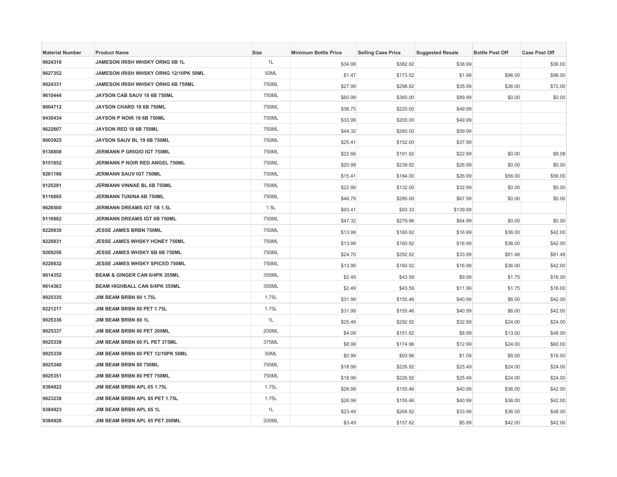| <b>Material Number</b> | <b>Product Name</b>                      | Size  | <b>Minimum Bottle Price</b> | <b>Selling Case Price</b> | <b>Suggested Resale</b> | <b>Bottle Post Off</b> | <b>Case Post Off</b> |
|------------------------|------------------------------------------|-------|-----------------------------|---------------------------|-------------------------|------------------------|----------------------|
| 9624318                | JAMESON IRISH WHSKY ORNG 6B 1L           | 1L    | \$34.99                     | \$382.92                  | \$38.99                 |                        | \$36.00              |
| 9627352                | JAMESON IRISH WHSKY ORNG 12/10PK 50ML    | 50ML  | \$1.47                      | \$173.52                  | \$1.99                  | \$96.00                | \$96.00              |
| 9624331                | JAMESON IRISH WHSKY ORNG 6B 750ML        | 750ML | \$27.99                     | \$298.92                  | \$35.99                 | \$36.00                | \$72.00              |
| 9610444                | JAYSON CAB SAUV 18 6B 750ML              | 750ML | \$60.99                     | \$360.00                  | \$89.99                 | \$0.00                 | \$0.00               |
| 9604712                | JAYSON CHARD 18 6B 750ML                 | 750ML | \$36.75                     | \$220.00                  | \$49.99                 |                        |                      |
| 9430434                | JAYSON P NOIR 18 6B 750ML                | 750ML | \$33.99                     | \$200.00                  | \$49.99                 |                        |                      |
| 9622607                | JAYSON RED 18 6B 750ML                   | 750ML | \$44.32                     | \$260.00                  | \$59.99                 |                        |                      |
| 9603925                | JAYSON SAUV BL 19 6B 750ML               | 750ML | \$25.41                     | \$152.00                  | \$37.99                 |                        |                      |
| 9138808                | <b>JERMANN P GRIGIO IGT 750ML</b>        | 750ML | \$22.66                     | \$191.92                  | \$22.99                 | \$0.00                 | \$8.08               |
| 9151852                | JERMANN P NOIR RED ANGEL 750ML           | 750ML | \$20.99                     | \$239.92                  | \$26.99                 | \$0.00                 | \$0.00               |
| 9261186                | JERMANN SAUV IGT 750ML                   | 750ML | \$15.41                     | \$184.00                  | \$26.99                 | \$56.00                | \$56.00              |
| 9125291                | JERMANN VINNAE BL 6B 750ML               | 750ML | \$22.99                     | \$132.00                  | \$32.99                 | \$0.00                 | \$0.00               |
| 9116885                | JERMANN TUNINA 6B 750ML                  | 750ML | \$46.79                     | \$280.00                  | \$67.99                 | \$0.00                 | \$0.00               |
| 9626500                | JERMANN DREAMS IGT 1B 1.5L               | 1.5L  | \$93.41                     | \$93.33                   | \$139.99                |                        |                      |
| 9116882                | <b>JERMANN DREAMS IGT 6B 750ML</b>       | 750ML | \$47.32                     | \$279.96                  | \$64.99                 | \$0.00                 | \$0.00               |
| 9220830                | <b>JESSE JAMES BRBN 750ML</b>            | 750ML | \$13.99                     | \$160.92                  | \$16.99                 | \$36.00                | \$42.00              |
| 9220831                | JESSE JAMES WHSKY HONEY 750ML            | 750ML | \$13.99                     | \$160.92                  | \$16.99                 | \$36.00                | \$42.00              |
| 9269256                | JESSE JAMES WHSKY SB 6B 750ML            | 750ML | \$24.70                     | \$292.92                  | \$33.99                 | \$81.48                | \$81.48              |
| 9220832                | <b>JESSE JAMES WHSKY SPICED 750ML</b>    | 750ML | \$13.99                     | \$160.92                  | \$16.99                 | \$36.00                | \$42.00              |
| 9614352                | <b>BEAM &amp; GINGER CAN 6/4PK 355ML</b> | 355ML | \$2.49                      | \$43.59                   | \$9.99                  | \$1.75                 | \$16.00              |
| 9614363                | <b>BEAM HIGHBALL CAN 6/4PK 355ML</b>     | 355ML | \$2.49                      | \$43.59                   | \$11.99                 | \$1.75                 | \$16.00              |
| 9025335                | JIM BEAM BRBN 80 1.75L                   | 1.75L | \$31.99                     | \$155.46                  | \$40.99                 | \$6.00                 | \$42.00              |
| 9221217                | JIM BEAM BRBN 80 PET 1.75L               | 1.75L | \$31.99                     | \$155.46                  | \$40.99                 | \$6.00                 | \$42.00              |
| 9025336                | <b>JIM BEAM BRBN 80 1L</b>               | 1L    | \$25.49                     | \$292.92                  | \$32.99                 | \$24.00                | \$24.00              |
| 9025337                | JIM BEAM BRBN 80 PET 200ML               | 200ML | \$4.09                      | \$151.82                  | \$8.99                  | \$13.00                | \$48.00              |
| 9025338                | JIM BEAM BRBN 80 FL PET 375ML            | 375ML | \$8.99                      | \$174.96                  | \$12.99                 | \$24.00                | \$60.00              |
| 9025339                | JIM BEAM BRBN 80 PET 12/10PK 50ML        | 50ML  | \$0.99                      | \$93.96                   | \$1.09                  | \$8.00                 | \$16.00              |
| 9025340                | JIM BEAM BRBN 80 750ML                   | 750ML | \$18.99                     | \$226.92                  | \$25.49                 | \$24.00                | \$24.00              |
| 9025351                | JIM BEAM BRBN 80 PET 750ML               | 750ML | \$18.99                     | \$226.92                  | \$25.49                 | \$24.00                | \$24.00              |
| 9384922                | JIM BEAM BRBN APL 65 1.75L               | 1.75L | \$26.99                     | \$155.46                  | \$40.99                 | \$36.00                | \$42.00              |
| 9623238                | JIM BEAM BRBN APL 65 PET 1.75L           | 1.75L | \$26.99                     | \$155.46                  | \$40.99                 | \$36.00                | \$42.00              |
| 9384923                | JIM BEAM BRBN APL 65 1L                  | 1L    | \$23.49                     | \$268.92                  | \$33.99                 | \$36.00                | \$48.00              |
| 9384926                | JIM BEAM BRBN APL 65 PET 200ML           | 200ML | \$3.49                      | \$157.82                  | \$5.99                  | \$42.00                | \$42.00              |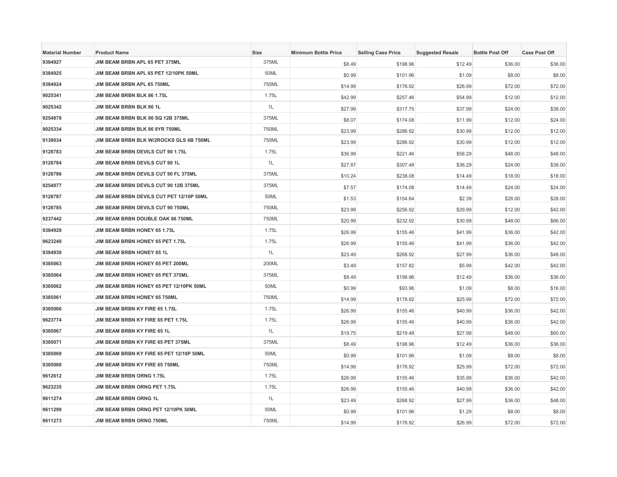| <b>Material Number</b> | <b>Product Name</b>                      | Size  | <b>Minimum Bottle Price</b> | <b>Selling Case Price</b> | <b>Suggested Resale</b> | <b>Bottle Post Off</b> | <b>Case Post Off</b> |
|------------------------|------------------------------------------|-------|-----------------------------|---------------------------|-------------------------|------------------------|----------------------|
| 9384927                | JIM BEAM BRBN APL 65 PET 375ML           | 375ML | \$8.49                      | \$198.96                  | \$12.49                 | \$36.00                | \$36.00              |
| 9384925                | JIM BEAM BRBN APL 65 PET 12/10PK 50ML    | 50ML  | \$0.99                      | \$101.96                  | \$1.09                  | \$8.00                 | \$8.00               |
| 9384924                | JIM BEAM BRBN APL 65 750ML               | 750ML | \$14.99                     | \$178.92                  | \$26.99                 | \$72.00                | \$72.00              |
| 9025341                | JIM BEAM BRBN BLK 86 1.75L               | 1.75L | \$42.99                     | \$257.46                  | \$54.99                 | \$12.00                | \$12.00              |
| 9025342                | JIM BEAM BRBN BLK 86 1L                  | 1L    | \$27.99                     | \$317.75                  | \$37.99                 | \$24.00                | \$38.00              |
| 9254878                | JIM BEAM BRBN BLK 86 SQ 12B 375ML        | 375ML | \$8.07                      | \$174.08                  | \$11.99                 | \$12.00                | \$24.00              |
| 9025334                | JIM BEAM BRBN BLK 86 8YR 750ML           | 750ML | \$23.99                     | \$286.92                  | \$30.99                 | \$12.00                | \$12.00              |
| 9138034                | JIM BEAM BRBN BLK W/2ROCKS GLS 6B 750ML  | 750ML | \$23.99                     | \$286.92                  | \$30.99                 | \$12.00                | \$12.00              |
| 9128783                | JIM BEAM BRBN DEVILS CUT 90 1.75L        | 1.75L | \$36.99                     | \$221.46                  | \$58.29                 | \$48.00                | \$48.00              |
| 9128784                | JIM BEAM BRBN DEVILS CUT 90 1L           | 1L    | \$27.87                     | \$307.48                  | \$36.29                 | \$24.00                | \$38.00              |
| 9128786                | JIM BEAM BRBN DEVILS CUT 90 FL 375ML     | 375ML | \$10.24                     | \$238.08                  | \$14.49                 | \$18.00                | \$18.00              |
| 9254877                | JIM BEAM BRBN DEVILS CUT 90 12B 375ML    | 375ML | \$7.57                      | \$174.08                  | \$14.49                 | \$24.00                | \$24.00              |
| 9128787                | JIM BEAM BRBN DEVILS CUT PET 12/10P 50ML | 50ML  | \$1.53                      | \$154.64                  | \$2.39                  | \$28.00                | \$28.00              |
| 9128785                | JIM BEAM BRBN DEVILS CUT 90 750ML        | 750ML | \$23.99                     | \$256.92                  | \$29.99                 | \$12.00                | \$42.00              |
| 9237442                | <b>JIM BEAM BRBN DOUBLE OAK 86 750ML</b> | 750ML | \$20.99                     | \$232.92                  | \$30.99                 | \$48.00                | \$66.00              |
| 9384929                | JIM BEAM BRBN HONEY 65 1.75L             | 1.75L | \$26.99                     | \$155.46                  | \$41.99                 | \$36.00                | \$42.00              |
| 9623240                | JIM BEAM BRBN HONEY 65 PET 1.75L         | 1.75L | \$26.99                     | \$155.46                  | \$41.99                 | \$36.00                | \$42.00              |
| 9384930                | JIM BEAM BRBN HONEY 65 1L                | 1L    | \$23.49                     | \$268.92                  | \$27.99                 | \$36.00                | \$48.00              |
| 9385063                | JIM BEAM BRBN HONEY 65 PET 200ML         | 200ML | \$3.49                      | \$157.82                  | \$5.99                  | \$42.00                | \$42.00              |
| 9385064                | JIM BEAM BRBN HONEY 65 PET 375ML         | 375ML | \$8.49                      | \$198.96                  | \$12.49                 | \$36.00                | \$36.00              |
| 9385062                | JIM BEAM BRBN HONEY 65 PET 12/10PK 50ML  | 50ML  | \$0.99                      | \$93.96                   | \$1.09                  | \$8.00                 | \$16.00              |
| 9385061                | <b>JIM BEAM BRBN HONEY 65 750ML</b>      | 750ML | \$14.99                     | \$178.92                  | \$25.99                 | \$72.00                | \$72.00              |
| 9385066                | JIM BEAM BRBN KY FIRE 65 1.75L           | 1.75L | \$26.99                     | \$155.46                  | \$40.99                 | \$36.00                | \$42.00              |
| 9623774                | JIM BEAM BRBN KY FIRE 65 PET 1.75L       | 1.75L | \$26.99                     | \$155.46                  | \$40.99                 | \$36.00                | \$42.00              |
| 9385067                | JIM BEAM BRBN KY FIRE 65 1L              | 1L    | \$19.75                     | \$219.48                  | \$27.99                 | \$48.00                | \$60.00              |
| 9385071                | JIM BEAM BRBN KY FIRE 65 PET 375ML       | 375ML | \$8.49                      | \$198.96                  | \$12.49                 | \$36.00                | \$36.00              |
| 9385069                | JIM BEAM BRBN KY FIRE 65 PET 12/10P 50ML | 50ML  | \$0.99                      | \$101.96                  | \$1.09                  | \$8.00                 | \$8.00               |
| 9385068                | JIM BEAM BRBN KY FIRE 65 750ML           | 750ML | \$14.99                     | \$178.92                  | \$25.99                 | \$72.00                | \$72.00              |
| 9612612                | JIM BEAM BRBN ORNG 1.75L                 | 1.75L | \$26.99                     | \$155.46                  | \$35.99                 | \$36.00                | \$42.00              |
| 9623235                | JIM BEAM BRBN ORNG PET 1.75L             | 1.75L | \$26.99                     | \$155.46                  | \$40.99                 | \$36.00                | \$42.00              |
| 9611274                | <b>JIM BEAM BRBN ORNG 1L</b>             | 1L    | \$23.49                     | \$268.92                  | \$27.99                 | \$36.00                | \$48.00              |
| 9611299                | JIM BEAM BRBN ORNG PET 12/10PK 50ML      | 50ML  | \$0.99                      | \$101.96                  | \$1.29                  | \$8.00                 | \$8.00               |
| 9611273                | JIM BEAM BRBN ORNG 750ML                 | 750ML | \$14.99                     | \$178.92                  | \$26.99                 | \$72.00                | \$72.00              |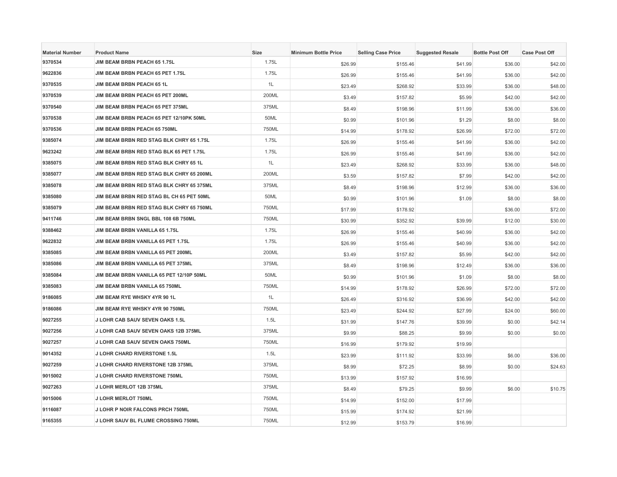| <b>Material Number</b> | <b>Product Name</b>                      | Size  | <b>Minimum Bottle Price</b> | <b>Selling Case Price</b> | <b>Suggested Resale</b> | <b>Bottle Post Off</b> | <b>Case Post Off</b> |
|------------------------|------------------------------------------|-------|-----------------------------|---------------------------|-------------------------|------------------------|----------------------|
| 9370534                | JIM BEAM BRBN PEACH 65 1.75L             | 1.75L | \$26.99                     | \$155.46                  | \$41.99                 | \$36.00                | \$42.00              |
| 9622836                | JIM BEAM BRBN PEACH 65 PET 1.75L         | 1.75L | \$26.99                     | \$155.46                  | \$41.99                 | \$36.00                | \$42.00              |
| 9370535                | <b>JIM BEAM BRBN PEACH 65 1L</b>         | 1L    | \$23.49                     | \$268.92                  | \$33.99                 | \$36.00                | \$48.00              |
| 9370539                | JIM BEAM BRBN PEACH 65 PET 200ML         | 200ML | \$3.49                      | \$157.82                  | \$5.99                  | \$42.00                | \$42.00              |
| 9370540                | JIM BEAM BRBN PEACH 65 PET 375ML         | 375ML | \$8.49                      | \$198.96                  | \$11.99                 | \$36.00                | \$36.00              |
| 9370538                | JIM BEAM BRBN PEACH 65 PET 12/10PK 50ML  | 50ML  | \$0.99                      | \$101.96                  | \$1.29                  | \$8.00                 | \$8.00               |
| 9370536                | JIM BEAM BRBN PEACH 65 750ML             | 750ML | \$14.99                     | \$178.92                  | \$26.99                 | \$72.00                | \$72.00              |
| 9385074                | JIM BEAM BRBN RED STAG BLK CHRY 65 1.75L | 1.75L | \$26.99                     | \$155.46                  | \$41.99                 | \$36.00                | \$42.00              |
| 9623242                | JIM BEAM BRBN RED STAG BLK 65 PET 1.75L  | 1.75L | \$26.99                     | \$155.46                  | \$41.99                 | \$36.00                | \$42.00              |
| 9385075                | JIM BEAM BRBN RED STAG BLK CHRY 65 1L    | 1L    | \$23.49                     | \$268.92                  | \$33.99                 | \$36.00                | \$48.00              |
| 9385077                | JIM BEAM BRBN RED STAG BLK CHRY 65 200ML | 200ML | \$3.59                      | \$157.82                  | \$7.99                  | \$42.00                | \$42.00              |
| 9385078                | JIM BEAM BRBN RED STAG BLK CHRY 65 375ML | 375ML | \$8.49                      | \$198.96                  | \$12.99                 | \$36.00                | \$36.00              |
| 9385080                | JIM BEAM BRBN RED STAG BL CH 65 PET 50ML | 50ML  | \$0.99                      | \$101.96                  | \$1.09                  | \$8.00                 | \$8.00               |
| 9385079                | JIM BEAM BRBN RED STAG BLK CHRY 65 750ML | 750ML | \$17.99                     | \$178.92                  |                         | \$36.00                | \$72.00              |
| 9411746                | JIM BEAM BRBN SNGL BBL 108 6B 750ML      | 750ML | \$30.99                     | \$352.92                  | \$39.99                 | \$12.00                | \$30.00              |
| 9388462                | JIM BEAM BRBN VANILLA 65 1.75L           | 1.75L | \$26.99                     | \$155.46                  | \$40.99                 | \$36.00                | \$42.00              |
| 9622832                | JIM BEAM BRBN VANILLA 65 PET 1.75L       | 1.75L | \$26.99                     | \$155.46                  | \$40.99                 | \$36.00                | \$42.00              |
| 9385085                | JIM BEAM BRBN VANILLA 65 PET 200ML       | 200ML | \$3.49                      | \$157.82                  | \$5.99                  | \$42.00                | \$42.00              |
| 9385086                | JIM BEAM BRBN VANILLA 65 PET 375ML       | 375ML | \$8.49                      | \$198.96                  | \$12.49                 | \$36.00                | \$36.00              |
| 9385084                | JIM BEAM BRBN VANILLA 65 PET 12/10P 50ML | 50ML  | \$0.99                      | \$101.96                  | \$1.09                  | \$8.00                 | \$8.00               |
| 9385083                | JIM BEAM BRBN VANILLA 65 750ML           | 750ML | \$14.99                     | \$178.92                  | \$26.99                 | \$72.00                | \$72.00              |
| 9186085                | JIM BEAM RYE WHSKY 4YR 90 1L             | 1L    | \$26.49                     | \$316.92                  | \$36.99                 | \$42.00                | \$42.00              |
| 9186086                | JIM BEAM RYE WHSKY 4YR 90 750ML          | 750ML | \$23.49                     | \$244.92                  | \$27.99                 | \$24.00                | \$60.00              |
| 9027255                | <b>J LOHR CAB SAUV SEVEN OAKS 1.5L</b>   | 1.5L  | \$31.99                     | \$147.76                  | \$39.99                 | \$0.00                 | \$42.14              |
| 9027256                | J LOHR CAB SAUV SEVEN OAKS 12B 375ML     | 375ML | \$9.99                      | \$88.25                   | \$9.99                  | \$0.00                 | \$0.00               |
| 9027257                | <b>J LOHR CAB SAUV SEVEN OAKS 750ML</b>  | 750ML | \$16.99                     | \$179.92                  | \$19.99                 |                        |                      |
| 9014352                | <b>J LOHR CHARD RIVERSTONE 1.5L</b>      | 1.5L  | \$23.99                     | \$111.92                  | \$33.99                 | \$6.00                 | \$36.00              |
| 9027259                | J LOHR CHARD RIVERSTONE 12B 375ML        | 375ML | \$8.99                      | \$72.25                   | \$8.99                  | \$0.00                 | \$24.63              |
| 9015002                | J LOHR CHARD RIVERSTONE 750ML            | 750ML | \$13.99                     | \$157.92                  | \$16.99                 |                        |                      |
| 9027263                | J LOHR MERLOT 12B 375ML                  | 375ML | \$8.49                      | \$79.25                   | \$9.99                  | \$6.00                 | \$10.75              |
| 9015006                | J LOHR MERLOT 750ML                      | 750ML | \$14.99                     | \$152.00                  | \$17.99                 |                        |                      |
| 9116087                | J LOHR P NOIR FALCONS PRCH 750ML         | 750ML | \$15.99                     | \$174.92                  | \$21.99                 |                        |                      |
| 9165355                | J LOHR SAUV BL FLUME CROSSING 750ML      | 750ML | \$12.99                     | \$153.79                  | \$16.99                 |                        |                      |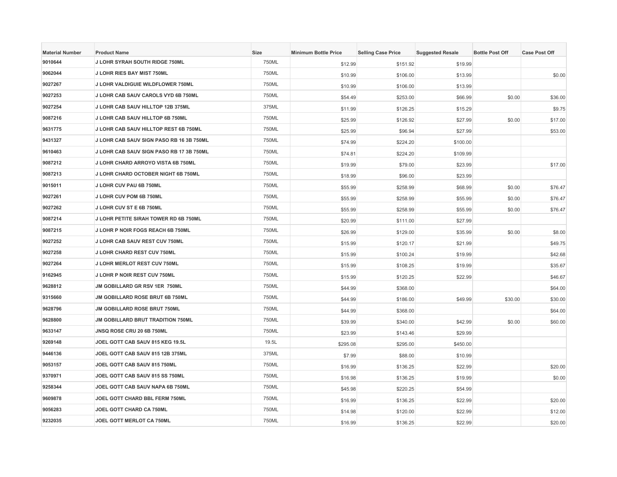| <b>Material Number</b> | <b>Product Name</b>                      | <b>Size</b> | <b>Minimum Bottle Price</b> | <b>Selling Case Price</b> | <b>Suggested Resale</b> | <b>Bottle Post Off</b> | <b>Case Post Off</b> |
|------------------------|------------------------------------------|-------------|-----------------------------|---------------------------|-------------------------|------------------------|----------------------|
| 9010644                | J LOHR SYRAH SOUTH RIDGE 750ML           | 750ML       | \$12.99                     | \$151.92                  | \$19.99                 |                        |                      |
| 9062044                | J LOHR RIES BAY MIST 750ML               | 750ML       | \$10.99                     | \$106.00                  | \$13.99                 |                        | \$0.00               |
| 9027267                | J LOHR VALDIGUIE WILDFLOWER 750ML        | 750ML       | \$10.99                     | \$106.00                  | \$13.99                 |                        |                      |
| 9027253                | J LOHR CAB SAUV CAROLS VYD 6B 750ML      | 750ML       | \$54.49                     | \$253.00                  | \$66.99                 | \$0.00                 | \$36.00              |
| 9027254                | J LOHR CAB SAUV HILLTOP 12B 375ML        | 375ML       | \$11.99                     | \$126.25                  | \$15.29                 |                        | \$9.75               |
| 9087216                | J LOHR CAB SAUV HILLTOP 6B 750ML         | 750ML       | \$25.99                     | \$126.92                  | \$27.99                 | \$0.00                 | \$17.00              |
| 9631775                | J LOHR CAB SAUV HILLTOP REST 6B 750ML    | 750ML       | \$25.99                     | \$96.94                   | \$27.99                 |                        | \$53.00              |
| 9431327                | J LOHR CAB SAUV SIGN PASO RB 16 3B 750ML | 750ML       | \$74.99                     | \$224.20                  | \$100.00                |                        |                      |
| 9610463                | J LOHR CAB SAUV SIGN PASO RB 17 3B 750ML | 750ML       | \$74.81                     | \$224.20                  | \$109.99                |                        |                      |
| 9087212                | J LOHR CHARD ARROYO VISTA 6B 750ML       | 750ML       | \$19.99                     | \$79.00                   | \$23.99                 |                        | \$17.00              |
| 9087213                | J LOHR CHARD OCTOBER NIGHT 6B 750ML      | 750ML       | \$18.99                     | \$96.00                   | \$23.99                 |                        |                      |
| 9015011                | J LOHR CUV PAU 6B 750ML                  | 750ML       | \$55.99                     | \$258.99                  | \$68.99                 | \$0.00                 | \$76.47              |
| 9027261                | J LOHR CUV POM 6B 750ML                  | 750ML       | \$55.99                     | \$258.99                  | \$55.99                 | \$0.00                 | \$76.47              |
| 9027262                | J LOHR CUV ST E 6B 750ML                 | 750ML       | \$55.99                     | \$258.99                  | \$55.99                 | \$0.00                 | \$76.47              |
| 9087214                | J LOHR PETITE SIRAH TOWER RD 6B 750ML    | 750ML       | \$20.99                     | \$111.00                  | \$27.99                 |                        |                      |
| 9087215                | J LOHR P NOIR FOGS REACH 6B 750ML        | 750ML       | \$26.99                     | \$129.00                  | \$35.99                 | \$0.00                 | \$8.00               |
| 9027252                | J LOHR CAB SAUV REST CUV 750ML           | 750ML       | \$15.99                     | \$120.17                  | \$21.99                 |                        | \$49.75              |
| 9027258                | J LOHR CHARD REST CUV 750ML              | 750ML       | \$15.99                     | \$100.24                  | \$19.99                 |                        | \$42.68              |
| 9027264                | J LOHR MERLOT REST CUV 750ML             | 750ML       | \$15.99                     | \$108.25                  | \$19.99                 |                        | \$35.67              |
| 9162945                | J LOHR P NOIR REST CUV 750ML             | 750ML       | \$15.99                     | \$120.25                  | \$22.99                 |                        | \$46.67              |
| 9628812                | JM GOBILLARD GR RSV 1ER 750ML            | 750ML       | \$44.99                     | \$368.00                  |                         |                        | \$64.00              |
| 9315660                | <b>JM GOBILLARD ROSE BRUT 6B 750ML</b>   | 750ML       | \$44.99                     | \$186.00                  | \$49.99                 | \$30.00                | \$30.00              |
| 9628796                | JM GOBILLARD ROSE BRUT 750ML             | 750ML       | \$44.99                     | \$368.00                  |                         |                        | \$64.00              |
| 9628800                | <b>JM GOBILLARD BRUT TRADITION 750ML</b> | 750ML       | \$39.99                     | \$340.00                  | \$42.99                 | \$0.00                 | \$60.00              |
| 9633147                | <b>JNSQ ROSE CRU 20 6B 750ML</b>         | 750ML       | \$23.99                     | \$143.46                  | \$29.99                 |                        |                      |
| 9269148                | JOEL GOTT CAB SAUV 815 KEG 19.5L         | 19.5L       | \$295.08                    | \$295.00                  | \$450.00                |                        |                      |
| 9446136                | JOEL GOTT CAB SAUV 815 12B 375ML         | 375ML       | \$7.99                      | \$88.00                   | \$10.99                 |                        |                      |
| 9053157                | JOEL GOTT CAB SAUV 815 750ML             | 750ML       | \$16.99                     | \$136.25                  | \$22.99                 |                        | \$20.00              |
| 9370971                | JOEL GOTT CAB SAUV 815 SS 750ML          | 750ML       | \$16.98                     | \$136.25                  | \$19.99                 |                        | \$0.00               |
| 9258344                | JOEL GOTT CAB SAUV NAPA 6B 750ML         | 750ML       | \$45.98                     | \$220.25                  | \$54.99                 |                        |                      |
| 9609878                | JOEL GOTT CHARD BBL FERM 750ML           | 750ML       | \$16.99                     | \$136.25                  | \$22.99                 |                        | \$20.00              |
| 9056283                | <b>JOEL GOTT CHARD CA 750ML</b>          | 750ML       | \$14.98                     | \$120.00                  | \$22.99                 |                        | \$12.00              |
| 9232035                | <b>JOEL GOTT MERLOT CA 750ML</b>         | 750ML       | \$16.99                     | \$136.25                  | \$22.99                 |                        | \$20.00              |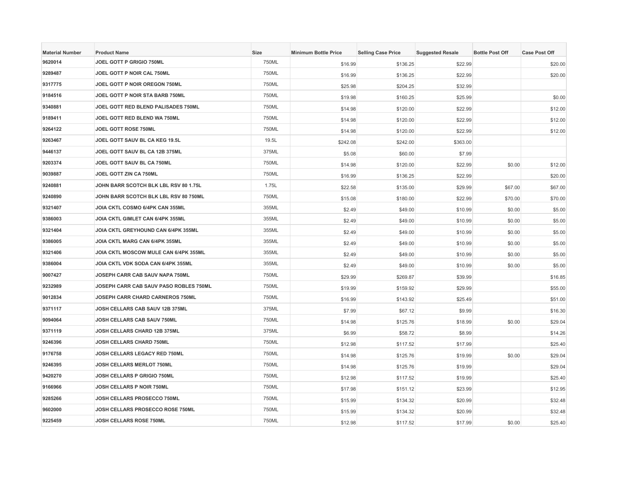| <b>Material Number</b> | <b>Product Name</b>                    | <b>Size</b> | <b>Minimum Bottle Price</b> | <b>Selling Case Price</b> | <b>Suggested Resale</b> | <b>Bottle Post Off</b> | <b>Case Post Off</b> |
|------------------------|----------------------------------------|-------------|-----------------------------|---------------------------|-------------------------|------------------------|----------------------|
| 9620014                | JOEL GOTT P GRIGIO 750ML               | 750ML       | \$16.99                     | \$136.25                  | \$22.99                 |                        | \$20.00              |
| 9289487                | JOEL GOTT P NOIR CAL 750ML             | 750ML       | \$16.99                     | \$136.25                  | \$22.99                 |                        | \$20.00              |
| 9317775                | JOEL GOTT P NOIR OREGON 750ML          | 750ML       | \$25.98                     | \$204.25                  | \$32.99                 |                        |                      |
| 9184516                | JOEL GOTT P NOIR STA BARB 750ML        | 750ML       | \$19.98                     | \$160.25                  | \$25.99                 |                        | \$0.00               |
| 9340881                | JOEL GOTT RED BLEND PALISADES 750ML    | 750ML       | \$14.98                     | \$120.00                  | \$22.99                 |                        | \$12.00              |
| 9189411                | JOEL GOTT RED BLEND WA 750ML           | 750ML       | \$14.98                     | \$120.00                  | \$22.99                 |                        | \$12.00              |
| 9264122                | <b>JOEL GOTT ROSE 750ML</b>            | 750ML       | \$14.98                     | \$120.00                  | \$22.99                 |                        | \$12.00              |
| 9263467                | <b>JOEL GOTT SAUV BL CA KEG 19.5L</b>  | 19.5L       | \$242.08                    | \$242.00                  | \$363.00                |                        |                      |
| 9446137                | JOEL GOTT SAUV BL CA 12B 375ML         | 375ML       | \$5.08                      | \$60.00                   | \$7.99                  |                        |                      |
| 9203374                | <b>JOEL GOTT SAUV BL CA 750ML</b>      | 750ML       | \$14.98                     | \$120.00                  | \$22.99                 | \$0.00                 | \$12.00              |
| 9039887                | <b>JOEL GOTT ZIN CA 750ML</b>          | 750ML       | \$16.99                     | \$136.25                  | \$22.99                 |                        | \$20.00              |
| 9240881                | JOHN BARR SCOTCH BLK LBL RSV 80 1.75L  | 1.75L       | \$22.58                     | \$135.00                  | \$29.99                 | \$67.00                | \$67.00              |
| 9240890                | JOHN BARR SCOTCH BLK LBL RSV 80 750ML  | 750ML       | \$15.08                     | \$180.00                  | \$22.99                 | \$70.00                | \$70.00              |
| 9321407                | <b>JOIA CKTL COSMO 6/4PK CAN 355ML</b> | 355ML       | \$2.49                      | \$49.00                   | \$10.99                 | \$0.00                 | \$5.00               |
| 9386003                | JOIA CKTL GIMLET CAN 6/4PK 355ML       | 355ML       | \$2.49                      | \$49.00                   | \$10.99                 | \$0.00                 | \$5.00               |
| 9321404                | JOIA CKTL GREYHOUND CAN 6/4PK 355ML    | 355ML       | \$2.49                      | \$49.00                   | \$10.99                 | \$0.00                 | \$5.00               |
| 9386005                | JOIA CKTL MARG CAN 6/4PK 355ML         | 355ML       | \$2.49                      | \$49.00                   | \$10.99                 | \$0.00                 | \$5.00               |
| 9321406                | JOIA CKTL MOSCOW MULE CAN 6/4PK 355ML  | 355ML       | \$2.49                      | \$49.00                   | \$10.99                 | \$0.00                 | \$5.00               |
| 9386004                | JOIA CKTL VDK SODA CAN 6/4PK 355ML     | 355ML       | \$2.49                      | \$49.00                   | \$10.99                 | \$0.00                 | \$5.00               |
| 9007427                | JOSEPH CARR CAB SAUV NAPA 750ML        | 750ML       | \$29.99                     | \$269.87                  | \$39.99                 |                        | \$16.85              |
| 9232989                | JOSEPH CARR CAB SAUV PASO ROBLES 750ML | 750ML       | \$19.99                     | \$159.92                  | \$29.99                 |                        | \$55.00              |
| 9012834                | JOSEPH CARR CHARD CARNEROS 750ML       | 750ML       | \$16.99                     | \$143.92                  | \$25.49                 |                        | \$51.00              |
| 9371117                | JOSH CELLARS CAB SAUV 12B 375ML        | 375ML       | \$7.99                      | \$67.12                   | \$9.99                  |                        | \$16.30              |
| 9094064                | JOSH CELLARS CAB SAUV 750ML            | 750ML       | \$14.98                     | \$125.76                  | \$18.99                 | \$0.00                 | \$29.04              |
| 9371119                | JOSH CELLARS CHARD 12B 375ML           | 375ML       | \$6.99                      | \$58.72                   | \$8.99                  |                        | \$14.26              |
| 9246396                | JOSH CELLARS CHARD 750ML               | 750ML       | \$12.98                     | \$117.52                  | \$17.99                 |                        | \$25.40              |
| 9176758                | JOSH CELLARS LEGACY RED 750ML          | 750ML       | \$14.98                     | \$125.76                  | \$19.99                 | \$0.00                 | \$29.04              |
| 9246395                | JOSH CELLARS MERLOT 750ML              | 750ML       | \$14.98                     | \$125.76                  | \$19.99                 |                        | \$29.04              |
| 9420270                | JOSH CELLARS P GRIGIO 750ML            | 750ML       | \$12.98                     | \$117.52                  | \$19.99                 |                        | \$25.40              |
| 9166966                | JOSH CELLARS P NOIR 750ML              | 750ML       | \$17.98                     | \$151.12                  | \$23.99                 |                        | \$12.95              |
| 9285266                | JOSH CELLARS PROSECCO 750ML            | 750ML       | \$15.99                     | \$134.32                  | \$20.99                 |                        | \$32.48              |
| 9602000                | JOSH CELLARS PROSECCO ROSE 750ML       | 750ML       | \$15.99                     | \$134.32                  | \$20.99                 |                        | \$32.48              |
| 9225459                | JOSH CELLARS ROSE 750ML                | 750ML       | \$12.98                     | \$117.52                  | \$17.99                 | \$0.00                 | \$25.40              |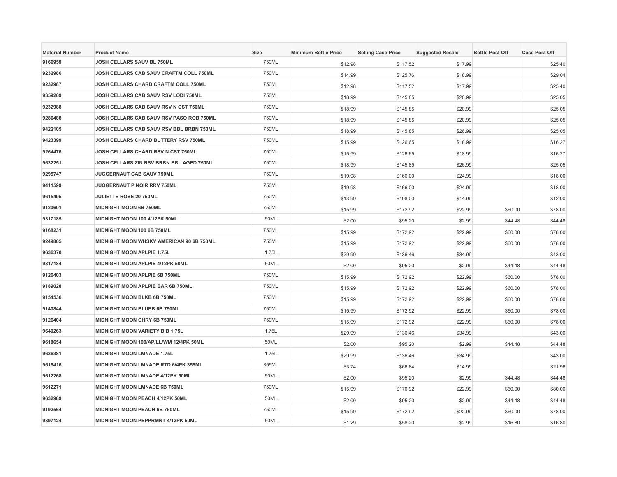| <b>Material Number</b> | <b>Product Name</b>                      | <b>Size</b> | <b>Minimum Bottle Price</b> | <b>Selling Case Price</b> | <b>Suggested Resale</b> | <b>Bottle Post Off</b> | <b>Case Post Off</b> |
|------------------------|------------------------------------------|-------------|-----------------------------|---------------------------|-------------------------|------------------------|----------------------|
| 9166959                | JOSH CELLARS SAUV BL 750ML               | 750ML       | \$12.98                     | \$117.52                  | \$17.99                 |                        | \$25.40              |
| 9232986                | JOSH CELLARS CAB SAUV CRAFTM COLL 750ML  | 750ML       | \$14.99                     | \$125.76                  | \$18.99                 |                        | \$29.04              |
| 9232987                | JOSH CELLARS CHARD CRAFTM COLL 750ML     | 750ML       | \$12.98                     | \$117.52                  | \$17.99                 |                        | \$25.40              |
| 9359269                | JOSH CELLARS CAB SAUV RSV LODI 750ML     | 750ML       | \$18.99                     | \$145.85                  | \$20.99                 |                        | \$25.05              |
| 9232988                | JOSH CELLARS CAB SAUV RSV N CST 750ML    | 750ML       | \$18.99                     | \$145.85                  | \$20.99                 |                        | \$25.05              |
| 9280488                | JOSH CELLARS CAB SAUV RSV PASO ROB 750ML | 750ML       | \$18.99                     | \$145.85                  | \$20.99                 |                        | \$25.05              |
| 9422105                | JOSH CELLARS CAB SAUV RSV BBL BRBN 750ML | 750ML       | \$18.99                     | \$145.85                  | \$26.99                 |                        | \$25.05              |
| 9423399                | JOSH CELLARS CHARD BUTTERY RSV 750ML     | 750ML       | \$15.99                     | \$126.65                  | \$18.99                 |                        | \$16.27              |
| 9264476                | JOSH CELLARS CHARD RSV N CST 750ML       | 750ML       | \$15.99                     | \$126.65                  | \$18.99                 |                        | \$16.27              |
| 9632251                | JOSH CELLARS ZIN RSV BRBN BBL AGED 750ML | 750ML       | \$18.99                     | \$145.85                  | \$26.99                 |                        | \$25.05              |
| 9295747                | JUGGERNAUT CAB SAUV 750ML                | 750ML       | \$19.98                     | \$166.00                  | \$24.99                 |                        | \$18.00              |
| 9411599                | <b>JUGGERNAUT P NOIR RRV 750ML</b>       | 750ML       | \$19.98                     | \$166.00                  | \$24.99                 |                        | \$18.00              |
| 9615495                | <b>JULIETTE ROSE 20 750ML</b>            | 750ML       | \$13.99                     | \$108.00                  | \$14.99                 |                        | \$12.00              |
| 9120601                | <b>MIDNIGHT MOON 6B 750ML</b>            | 750ML       | \$15.99                     | \$172.92                  | \$22.99                 | \$60.00                | \$78.00              |
| 9317185                | MIDNIGHT MOON 100 4/12PK 50ML            | 50ML        | \$2.00                      | \$95.20                   | \$2.99                  | \$44.48                | \$44.48              |
| 9168231                | MIDNIGHT MOON 100 6B 750ML               | 750ML       | \$15.99                     | \$172.92                  | \$22.99                 | \$60.00                | \$78.00              |
| 9249805                | MIDNIGHT MOON WHSKY AMERICAN 90 6B 750ML | 750ML       | \$15.99                     | \$172.92                  | \$22.99                 | \$60.00                | \$78.00              |
| 9636370                | <b>MIDNIGHT MOON APLPIE 1.75L</b>        | 1.75L       | \$29.99                     | \$136.46                  | \$34.99                 |                        | \$43.00              |
| 9317184                | <b>MIDNIGHT MOON APLPIE 4/12PK 50ML</b>  | 50ML        | \$2.00                      | \$95.20                   | \$2.99                  | \$44.48                | \$44.48              |
| 9126403                | <b>MIDNIGHT MOON APLPIE 6B 750ML</b>     | 750ML       | \$15.99                     | \$172.92                  | \$22.99                 | \$60.00                | \$78.00              |
| 9189028                | MIDNIGHT MOON APLPIE BAR 6B 750ML        | 750ML       | \$15.99                     | \$172.92                  | \$22.99                 | \$60.00                | \$78.00              |
| 9154536                | MIDNIGHT MOON BLKB 6B 750ML              | 750ML       | \$15.99                     | \$172.92                  | \$22.99                 | \$60.00                | \$78.00              |
| 9140844                | <b>MIDNIGHT MOON BLUEB 6B 750ML</b>      | 750ML       | \$15.99                     | \$172.92                  | \$22.99                 | \$60.00                | \$78.00              |
| 9126404                | <b>MIDNIGHT MOON CHRY 6B 750ML</b>       | 750ML       | \$15.99                     | \$172.92                  | \$22.99                 | \$60.00                | \$78.00              |
| 9640263                | <b>MIDNIGHT MOON VARIETY BIB 1.75L</b>   | 1.75L       | \$29.99                     | \$136.46                  | \$34.99                 |                        | \$43.00              |
| 9618654                | MIDNIGHT MOON 100/AP/LL/WM 12/4PK 50ML   | 50ML        | \$2.00                      | \$95.20                   | \$2.99                  | \$44.48                | \$44.48              |
| 9636381                | <b>MIDNIGHT MOON LMNADE 1.75L</b>        | 1.75L       | \$29.99                     | \$136.46                  | \$34.99                 |                        | \$43.00              |
| 9615416                | MIDNIGHT MOON LMNADE RTD 6/4PK 355ML     | 355ML       | \$3.74                      | \$66.84                   | \$14.99                 |                        | \$21.96              |
| 9612268                | MIDNIGHT MOON LMNADE 4/12PK 50ML         | 50ML        | \$2.00                      | \$95.20                   | \$2.99                  | \$44.48                | \$44.48              |
| 9612271                | MIDNIGHT MOON LMNADE 6B 750ML            | 750ML       | \$15.99                     | \$170.92                  | \$22.99                 | \$60.00                | \$80.00              |
| 9632989                | MIDNIGHT MOON PEACH 4/12PK 50ML          | 50ML        | \$2.00                      | \$95.20                   | \$2.99                  | \$44.48                | \$44.48              |
| 9192564                | <b>MIDNIGHT MOON PEACH 6B 750ML</b>      | 750ML       | \$15.99                     | \$172.92                  | \$22.99                 | \$60.00                | \$78.00              |
| 9397124                | MIDNIGHT MOON PEPPRMNT 4/12PK 50ML       | 50ML        | \$1.29                      | \$58.20                   | \$2.99                  | \$16.80                | \$16.80              |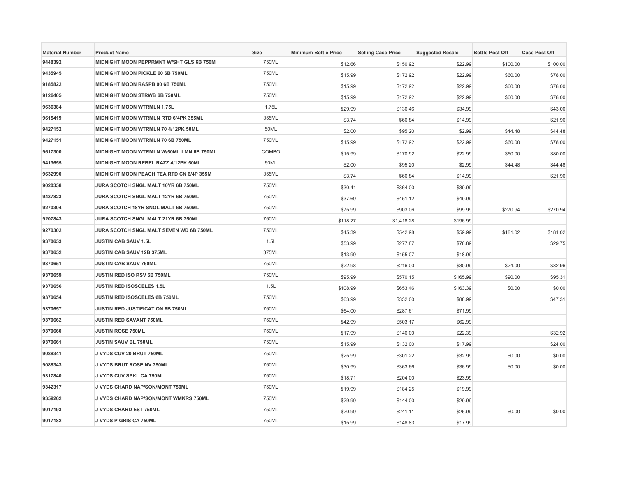| <b>Material Number</b> | <b>Product Name</b>                      | <b>Size</b> | <b>Minimum Bottle Price</b> | <b>Selling Case Price</b> | <b>Suggested Resale</b> | <b>Bottle Post Off</b> | <b>Case Post Off</b> |
|------------------------|------------------------------------------|-------------|-----------------------------|---------------------------|-------------------------|------------------------|----------------------|
| 9448392                | MIDNIGHT MOON PEPPRMNT W/SHT GLS 6B 750M | 750ML       | \$12.66                     | \$150.92                  | \$22.99                 | \$100.00               | \$100.00             |
| 9435945                | MIDNIGHT MOON PICKLE 60 6B 750ML         | 750ML       | \$15.99                     | \$172.92                  | \$22.99                 | \$60.00                | \$78.00              |
| 9185822                | MIDNIGHT MOON RASPB 90 6B 750ML          | 750ML       | \$15.99                     | \$172.92                  | \$22.99                 | \$60.00                | \$78.00              |
| 9126405                | MIDNIGHT MOON STRWB 6B 750ML             | 750ML       | \$15.99                     | \$172.92                  | \$22.99                 | \$60.00                | \$78.00              |
| 9636384                | <b>MIDNIGHT MOON WTRMLN 1.75L</b>        | 1.75L       | \$29.99                     | \$136.46                  | \$34.99                 |                        | \$43.00              |
| 9615419                | MIDNIGHT MOON WTRMLN RTD 6/4PK 355ML     | 355ML       | \$3.74                      | \$66.84                   | \$14.99                 |                        | \$21.96              |
| 9427152                | MIDNIGHT MOON WTRMLN 70 4/12PK 50ML      | 50ML        | \$2.00                      | \$95.20                   | \$2.99                  | \$44.48                | \$44.48              |
| 9427151                | MIDNIGHT MOON WTRMLN 70 6B 750ML         | 750ML       | \$15.99                     | \$172.92                  | \$22.99                 | \$60.00                | \$78.00              |
| 9617300                | MIDNIGHT MOON WTRMLN W/50ML LMN 6B 750ML | COMBO       | \$15.99                     | \$170.92                  | \$22.99                 | \$60.00                | \$80.00              |
| 9413655                | MIDNIGHT MOON REBEL RAZZ 4/12PK 50ML     | 50ML        | \$2.00                      | \$95.20                   | \$2.99                  | \$44.48                | \$44.48              |
| 9632990                | MIDNIGHT MOON PEACH TEA RTD CN 6/4P 355M | 355ML       | \$3.74                      | \$66.84                   | \$14.99                 |                        | \$21.96              |
| 9020358                | JURA SCOTCH SNGL MALT 10YR 6B 750ML      | 750ML       | \$30.41                     | \$364.00                  | \$39.99                 |                        |                      |
| 9437823                | JURA SCOTCH SNGL MALT 12YR 6B 750ML      | 750ML       | \$37.69                     | \$451.12                  | \$49.99                 |                        |                      |
| 9270304                | JURA SCOTCH 18YR SNGL MALT 6B 750ML      | 750ML       | \$75.99                     | \$903.06                  | \$99.99                 | \$270.94               | \$270.94             |
| 9207843                | JURA SCOTCH SNGL MALT 21YR 6B 750ML      | 750ML       | \$118.27                    | \$1,418.28                | \$196.99                |                        |                      |
| 9270302                | JURA SCOTCH SNGL MALT SEVEN WD 6B 750ML  | 750ML       | \$45.39                     | \$542.98                  | \$59.99                 | \$181.02               | \$181.02             |
| 9370653                | JUSTIN CAB SAUV 1.5L                     | 1.5L        | \$53.99                     | \$277.87                  | \$76.89                 |                        | \$29.75              |
| 9370652                | JUSTIN CAB SAUV 12B 375ML                | 375ML       | \$13.99                     | \$155.07                  | \$18.99                 |                        |                      |
| 9370651                | <b>JUSTIN CAB SAUV 750ML</b>             | 750ML       | \$22.98                     | \$216.00                  | \$30.99                 | \$24.00                | \$32.96              |
| 9370659                | JUSTIN RED ISO RSV 6B 750ML              | 750ML       | \$95.99                     | \$570.15                  | \$165.99                | \$90.00                | \$95.31              |
| 9370656                | JUSTIN RED ISOSCELES 1.5L                | 1.5L        | \$108.99                    | \$653.46                  | \$163.39                | \$0.00                 | \$0.00               |
| 9370654                | <b>JUSTIN RED ISOSCELES 6B 750ML</b>     | 750ML       | \$63.99                     | \$332.00                  | \$88.99                 |                        | \$47.31              |
| 9370657                | <b>JUSTIN RED JUSTIFICATION 6B 750ML</b> | 750ML       | \$64.00                     | \$287.61                  | \$71.99                 |                        |                      |
| 9370662                | JUSTIN RED SAVANT 750ML                  | 750ML       | \$42.99                     | \$503.17                  | \$62.99                 |                        |                      |
| 9370660                | <b>JUSTIN ROSE 750ML</b>                 | 750ML       | \$17.99                     | \$146.00                  | \$22.39                 |                        | \$32.92              |
| 9370661                | <b>JUSTIN SAUV BL 750ML</b>              | 750ML       | \$15.99                     | \$132.00                  | \$17.99                 |                        | \$24.00              |
| 9088341                | J VYDS CUV 20 BRUT 750ML                 | 750ML       | \$25.99                     | \$301.22                  | \$32.99                 | \$0.00                 | \$0.00               |
| 9088343                | J VYDS BRUT ROSE NV 750ML                | 750ML       | \$30.99                     | \$363.66                  | \$36.99                 | \$0.00                 | \$0.00               |
| 9317840                | <b>J VYDS CUV SPKL CA 750ML</b>          | 750ML       | \$18.71                     | \$204.00                  | \$23.99                 |                        |                      |
| 9342317                | J VYDS CHARD NAP/SON/MONT 750ML          | 750ML       | \$19.99                     | \$184.25                  | \$19.99                 |                        |                      |
| 9359262                | J VYDS CHARD NAP/SON/MONT WMKRS 750ML    | 750ML       | \$29.99                     | \$144.00                  | \$29.99                 |                        |                      |
| 9017193                | J VYDS CHARD EST 750ML                   | 750ML       | \$20.99                     | \$241.11                  | \$26.99                 | \$0.00                 | \$0.00               |
| 9017182                | J VYDS P GRIS CA 750ML                   | 750ML       | \$15.99                     | \$148.83                  | \$17.99                 |                        |                      |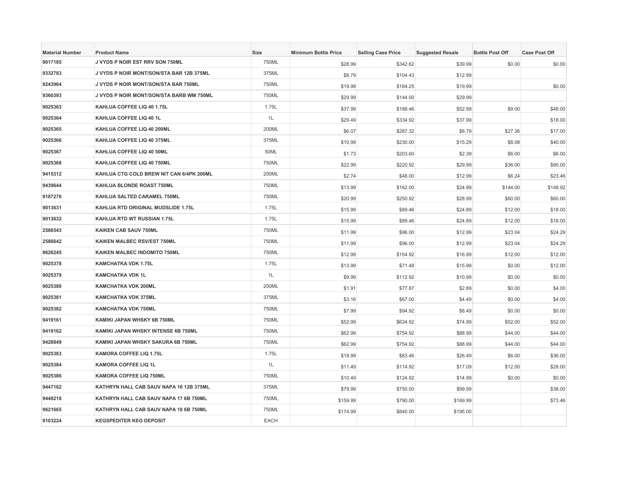| <b>Material Number</b> | <b>Product Name</b>                      | <b>Size</b> | <b>Minimum Bottle Price</b> | <b>Selling Case Price</b> | <b>Suggested Resale</b> | <b>Bottle Post Off</b> | <b>Case Post Off</b> |
|------------------------|------------------------------------------|-------------|-----------------------------|---------------------------|-------------------------|------------------------|----------------------|
| 9017185                | J VYDS P NOIR EST RRV SON 750ML          | 750ML       | \$28.99                     | \$342.62                  | \$39.99                 | \$0.00                 | \$0.00               |
| 9332783                | J VYDS P NOIR MONT/SON/STA BAR 12B 375ML | 375ML       | \$8.79                      | \$104.43                  | \$12.99                 |                        |                      |
| 9243964                | J VYDS P NOIR MONT/SON/STA BAR 750ML     | 750ML       | \$19.99                     | \$184.25                  | \$19.99                 |                        | \$0.00               |
| 9360393                | J VYDS P NOIR MONT/SON/STA BARB WM 750ML | 750ML       | \$29.99                     | \$144.00                  | \$29.99                 |                        |                      |
| 9025363                | KAHLUA COFFEE LIQ 40 1.75L               | 1.75L       | \$37.99                     | \$188.46                  | \$52.99                 | \$9.00                 | \$48.00              |
| 9025364                | KAHLUA COFFEE LIQ 40 1L                  | 1L          | \$29.49                     | \$334.92                  | \$37.99                 |                        | \$18.00              |
| 9025365                | KAHLUA COFFEE LIQ 40 200ML               | 200ML       | \$6.07                      | \$287.32                  | \$8.79                  | \$27.36                | \$17.00              |
| 9025366                | KAHLUA COFFEE LIQ 40 375ML               | 375ML       | \$10.99                     | \$230.00                  | \$15.29                 | \$8.08                 | \$40.00              |
| 9025367                | KAHLUA COFFEE LIQ 40 50ML                | 50ML        | \$1.73                      | \$203.60                  | \$2.39                  | \$6.00                 | \$6.00               |
| 9025368                | KAHLUA COFFEE LIQ 40 750ML               | 750ML       | \$22.99                     | \$220.92                  | \$29.99                 | \$36.00                | \$90.00              |
| 9415312                | KAHLUA CTG COLD BREW NIT CAN 6/4PK 200ML | 200ML       | \$2.74                      | \$48.00                   | \$12.99                 | \$6.24                 | \$23.46              |
| 9439644                | KAHLUA BLONDE ROAST 750ML                | 750ML       | \$13.99                     | \$162.00                  | \$24.99                 | \$144.00               | \$148.92             |
| 9187276                | KAHLUA SALTED CARAMEL 750ML              | 750ML       | \$20.99                     | \$250.92                  | \$28.99                 | \$60.00                | \$60.00              |
| 9013631                | KAHLUA RTD ORIGINAL MUDSLIDE 1.75L       | 1.75L       | \$15.99                     | \$89.46                   | \$24.89                 | \$12.00                | \$18.00              |
| 9013632                | KAHLUA RTD WT RUSSIAN 1.75L              | 1.75L       | \$15.99                     | \$89.46                   | \$24.89                 | \$12.00                | \$18.00              |
| 2586543                | KAIKEN CAB SAUV 750ML                    | 750ML       | \$11.99                     | \$96.00                   | \$12.99                 | \$23.04                | \$24.29              |
| 2586642                | KAIKEN MALBEC RSV/EST 750ML              | 750ML       | \$11.99                     | \$96.00                   | \$12.99                 | \$23.04                | \$24.29              |
| 9626245                | KAIKEN MALBEC INDOMITO 750ML             | 750ML       | \$12.99                     | \$154.92                  | \$16.99                 | \$12.00                | \$12.00              |
| 9025378                | KAMCHATKA VDK 1.75L                      | 1.75L       | \$13.99                     | \$71.48                   | \$15.99                 | \$0.00                 | \$12.00              |
| 9025379                | <b>KAMCHATKA VDK 1L</b>                  | 1L          | \$9.99                      | \$112.92                  | \$10.99                 | \$0.00                 | \$0.00               |
| 9025380                | <b>KAMCHATKA VDK 200ML</b>               | 200ML       | \$1.91                      | \$77.87                   | \$2.89                  | \$0.00                 | \$4.00               |
| 9025381                | <b>KAMCHATKA VDK 375ML</b>               | 375ML       | \$3.16                      | \$67.00                   | \$4.49                  | \$0.00                 | \$4.00               |
| 9025382                | <b>KAMCHATKA VDK 750ML</b>               | 750ML       | \$7.99                      | \$94.92                   | \$8.49                  | \$0.00                 | \$0.00               |
| 9419161                | KAMIKI JAPAN WHSKY 6B 750ML              | 750ML       | \$52.99                     | \$634.92                  | \$74.99                 | \$52.00                | \$52.00              |
| 9419162                | KAMIKI JAPAN WHSKY INTENSE 6B 750ML      | 750ML       | \$62.99                     | \$754.92                  | \$88.99                 | \$44.00                | \$44.00              |
| 9428849                | KAMIKI JAPAN WHSKY SAKURA 6B 750ML       | 750ML       | \$62.99                     | \$754.92                  | \$88.99                 | \$44.00                | \$44.00              |
| 9025383                | KAMORA COFFEE LIQ 1.75L                  | 1.75L       | \$18.99                     | \$83.46                   | \$26.49                 | \$6.00                 | \$36.00              |
| 9025384                | KAMORA COFFEE LIQ 1L                     | 1L          | \$11.49                     | \$114.92                  | \$17.09                 | \$12.00                | \$28.00              |
| 9025386                | KAMORA COFFEE LIQ 750ML                  | 750ML       | \$10.49                     | \$124.92                  | \$14.99                 | \$0.00                 | \$0.00               |
| 9447162                | KATHRYN HALL CAB SAUV NAPA 16 12B 375ML  | 375ML       | \$79.99                     | \$750.00                  | \$99.99                 |                        | \$38.00              |
| 9448218                | KATHRYN HALL CAB SAUV NAPA 17 6B 750ML   | 750ML       | \$159.99                    | \$790.00                  | \$169.99                |                        | \$73.46              |
| 9621665                | KATHRYN HALL CAB SAUV NAPA 18 6B 750ML   | 750ML       | \$174.99                    | \$840.00                  | \$195.00                |                        |                      |
| 9103224                | <b>KEGSPEDITER KEG DEPOSIT</b>           | <b>EACH</b> |                             |                           |                         |                        |                      |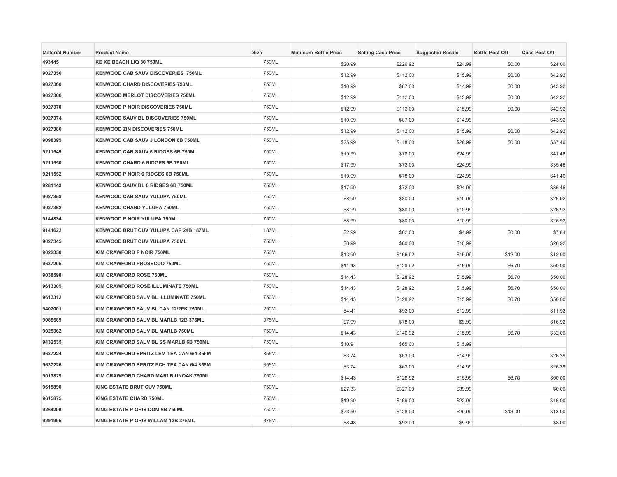| <b>Material Number</b> | <b>Product Name</b>                       | <b>Size</b>  | <b>Minimum Bottle Price</b> | <b>Selling Case Price</b> | <b>Suggested Resale</b> | <b>Bottle Post Off</b> | <b>Case Post Off</b> |
|------------------------|-------------------------------------------|--------------|-----------------------------|---------------------------|-------------------------|------------------------|----------------------|
| 493445                 | KE KE BEACH LIQ 30 750ML                  | 750ML        | \$20.99                     | \$226.92                  | \$24.99                 | \$0.00                 | \$24.00              |
| 9027356                | <b>KENWOOD CAB SAUV DISCOVERIES 750ML</b> | 750ML        | \$12.99                     | \$112.00                  | \$15.99                 | \$0.00                 | \$42.92              |
| 9027360                | <b>KENWOOD CHARD DISCOVERIES 750ML</b>    | 750ML        | \$10.99                     | \$87.00                   | \$14.99                 | \$0.00                 | \$43.92              |
| 9027366                | KENWOOD MERLOT DISCOVERIES 750ML          | 750ML        | \$12.99                     | \$112.00                  | \$15.99                 | \$0.00                 | \$42.92              |
| 9027370                | KENWOOD P NOIR DISCOVERIES 750ML          | 750ML        | \$12.99                     | \$112.00                  | \$15.99                 | \$0.00                 | \$42.92              |
| 9027374                | <b>KENWOOD SAUV BL DISCOVERIES 750ML</b>  | 750ML        | \$10.99                     | \$87.00                   | \$14.99                 |                        | \$43.92              |
| 9027386                | <b>KENWOOD ZIN DISCOVERIES 750ML</b>      | 750ML        | \$12.99                     | \$112.00                  | \$15.99                 | \$0.00                 | \$42.92              |
| 9098395                | KENWOOD CAB SAUV J LONDON 6B 750ML        | 750ML        | \$25.99                     | \$118.00                  | \$28.99                 | \$0.00                 | \$37.46              |
| 9211549                | KENWOOD CAB SAUV 6 RIDGES 6B 750ML        | 750ML        | \$19.99                     | \$78.00                   | \$24.99                 |                        | \$41.46              |
| 9211550                | KENWOOD CHARD 6 RIDGES 6B 750ML           | 750ML        | \$17.99                     | \$72.00                   | \$24.99                 |                        | \$35.46              |
| 9211552                | KENWOOD P NOIR 6 RIDGES 6B 750ML          | 750ML        | \$19.99                     | \$78.00                   | \$24.99                 |                        | \$41.46              |
| 9281143                | KENWOOD SAUV BL 6 RIDGES 6B 750ML         | 750ML        | \$17.99                     | \$72.00                   | \$24.99                 |                        | \$35.46              |
| 9027358                | KENWOOD CAB SAUV YULUPA 750ML             | 750ML        | \$8.99                      | \$80.00                   | \$10.99                 |                        | \$26.92              |
| 9027362                | <b>KENWOOD CHARD YULUPA 750ML</b>         | 750ML        | \$8.99                      | \$80.00                   | \$10.99                 |                        | \$26.92              |
| 9144834                | <b>KENWOOD P NOIR YULUPA 750ML</b>        | 750ML        | \$8.99                      | \$80.00                   | \$10.99                 |                        | \$26.92              |
| 9141622                | KENWOOD BRUT CUV YULUPA CAP 24B 187ML     | <b>187ML</b> | \$2.99                      | \$62.00                   | \$4.99                  | \$0.00                 | \$7.84               |
| 9027345                | KENWOOD BRUT CUV YULUPA 750ML             | 750ML        | \$8.99                      | \$80.00                   | \$10.99                 |                        | \$26.92              |
| 9022350                | KIM CRAWFORD P NOIR 750ML                 | 750ML        | \$13.99                     | \$166.92                  | \$15.99                 | \$12.00                | \$12.00              |
| 9637205                | KIM CRAWFORD PROSECCO 750ML               | 750ML        | \$14.43                     | \$128.92                  | \$15.99                 | \$6.70                 | \$50.00              |
| 9038598                | KIM CRAWFORD ROSE 750ML                   | 750ML        | \$14.43                     | \$128.92                  | \$15.99                 | \$6.70                 | \$50.00              |
| 9613305                | KIM CRAWFORD ROSE ILLUMINATE 750ML        | 750ML        | \$14.43                     | \$128.92                  | \$15.99                 | \$6.70                 | \$50.00              |
| 9613312                | KIM CRAWFORD SAUV BL ILLUMINATE 750ML     | 750ML        | \$14.43                     | \$128.92                  | \$15.99                 | \$6.70                 | \$50.00              |
| 9402001                | KIM CRAWFORD SAUV BL CAN 12/2PK 250ML     | 250ML        | \$4.41                      | \$92.00                   | \$12.99                 |                        | \$11.92              |
| 9085589                | KIM CRAWFORD SAUV BL MARLB 12B 375ML      | 375ML        | \$7.99                      | \$78.00                   | \$9.99                  |                        | \$16.92              |
| 9025362                | KIM CRAWFORD SAUV BL MARLB 750ML          | 750ML        | \$14.43                     | \$146.92                  | \$15.99                 | \$6.70                 | \$32.00              |
| 9432535                | KIM CRAWFORD SAUV BL SS MARLB 6B 750ML    | 750ML        | \$10.91                     | \$65.00                   | \$15.99                 |                        |                      |
| 9637224                | KIM CRAWFORD SPRITZ LEM TEA CAN 6/4 355M  | 355ML        | \$3.74                      | \$63.00                   | \$14.99                 |                        | \$26.39              |
| 9637226                | KIM CRAWFORD SPRITZ PCH TEA CAN 6/4 355M  | 355ML        | \$3.74                      | \$63.00                   | \$14.99                 |                        | \$26.39              |
| 9013829                | KIM CRAWFORD CHARD MARLB UNOAK 750ML      | 750ML        | \$14.43                     | \$128.92                  | \$15.99                 | \$6.70                 | \$50.00              |
| 9615890                | KING ESTATE BRUT CUV 750ML                | 750ML        | \$27.33                     | \$327.00                  | \$39.99                 |                        | \$0.00               |
| 9615875                | <b>KING ESTATE CHARD 750ML</b>            | 750ML        | \$19.99                     | \$169.00                  | \$22.99                 |                        | \$46.00              |
| 9264299                | KING ESTATE P GRIS DOM 6B 750ML           | 750ML        | \$23.50                     | \$128.00                  | \$29.99                 | \$13.00                | \$13.00              |
| 9291995                | KING ESTATE P GRIS WILLAM 12B 375ML       | 375ML        | \$8.48                      | \$92.00                   | \$9.99                  |                        | \$8.00               |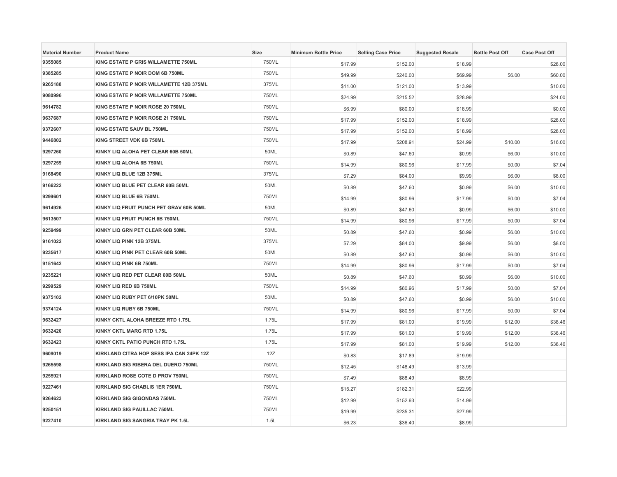| <b>Material Number</b> | <b>Product Name</b>                      | Size  | <b>Minimum Bottle Price</b> | <b>Selling Case Price</b> | <b>Suggested Resale</b> | <b>Bottle Post Off</b> | <b>Case Post Off</b> |
|------------------------|------------------------------------------|-------|-----------------------------|---------------------------|-------------------------|------------------------|----------------------|
| 9355085                | KING ESTATE P GRIS WILLAMETTE 750ML      | 750ML | \$17.99                     | \$152.00                  | \$18.99                 |                        | \$28.00              |
| 9385285                | KING ESTATE P NOIR DOM 6B 750ML          | 750ML | \$49.99                     | \$240.00                  | \$69.99                 | \$6.00                 | \$60.00              |
| 9265188                | KING ESTATE P NOIR WILLAMETTE 12B 375ML  | 375ML | \$11.00                     | \$121.00                  | \$13.99                 |                        | \$10.00              |
| 9080996                | KING ESTATE P NOIR WILLAMETTE 750ML      | 750ML | \$24.99                     | \$215.52                  | \$28.99                 |                        | \$24.00              |
| 9614782                | KING ESTATE P NOIR ROSE 20 750ML         | 750ML | \$6.99                      | \$80.00                   | \$18.99                 |                        | \$0.00               |
| 9637687                | KING ESTATE P NOIR ROSE 21 750ML         | 750ML | \$17.99                     | \$152.00                  | \$18.99                 |                        | \$28.00              |
| 9372607                | KING ESTATE SAUV BL 750ML                | 750ML | \$17.99                     | \$152.00                  | \$18.99                 |                        | \$28.00              |
| 9446802                | KING STREET VDK 6B 750ML                 | 750ML | \$17.99                     | \$208.91                  | \$24.99                 | \$10.00                | \$16.00              |
| 9297260                | KINKY LIQ ALOHA PET CLEAR 60B 50ML       | 50ML  | \$0.89                      | \$47.60                   | \$0.99                  | \$6.00                 | \$10.00              |
| 9297259                | KINKY LIQ ALOHA 6B 750ML                 | 750ML | \$14.99                     | \$80.96                   | \$17.99                 | \$0.00                 | \$7.04               |
| 9168490                | KINKY LIQ BLUE 12B 375ML                 | 375ML | \$7.29                      | \$84.00                   | \$9.99                  | \$6.00                 | \$8.00               |
| 9166222                | KINKY LIQ BLUE PET CLEAR 60B 50ML        | 50ML  | \$0.89                      | \$47.60                   | \$0.99                  | \$6.00                 | \$10.00              |
| 9299601                | KINKY LIQ BLUE 6B 750ML                  | 750ML | \$14.99                     | \$80.96                   | \$17.99                 | \$0.00                 | \$7.04               |
| 9614926                | KINKY LIQ FRUIT PUNCH PET GRAV 60B 50ML  | 50ML  | \$0.89                      | \$47.60                   | \$0.99                  | \$6.00                 | \$10.00              |
| 9613507                | KINKY LIQ FRUIT PUNCH 6B 750ML           | 750ML | \$14.99                     | \$80.96                   | \$17.99                 | \$0.00                 | \$7.04               |
| 9259499                | KINKY LIQ GRN PET CLEAR 60B 50ML         | 50ML  | \$0.89                      | \$47.60                   | \$0.99                  | \$6.00                 | \$10.00              |
| 9161022                | KINKY LIQ PINK 12B 375ML                 | 375ML | \$7.29                      | \$84.00                   | \$9.99                  | \$6.00                 | \$8.00               |
| 9235617                | KINKY LIQ PINK PET CLEAR 60B 50ML        | 50ML  | \$0.89                      | \$47.60                   | \$0.99                  | \$6.00                 | \$10.00              |
| 9151642                | KINKY LIQ PINK 6B 750ML                  | 750ML | \$14.99                     | \$80.96                   | \$17.99                 | \$0.00                 | \$7.04               |
| 9235221                | KINKY LIQ RED PET CLEAR 60B 50ML         | 50ML  | \$0.89                      | \$47.60                   | \$0.99                  | \$6.00                 | \$10.00              |
| 9299529                | KINKY LIQ RED 6B 750ML                   | 750ML | \$14.99                     | \$80.96                   | \$17.99                 | \$0.00                 | \$7.04               |
| 9375102                | KINKY LIQ RUBY PET 6/10PK 50ML           | 50ML  | \$0.89                      | \$47.60                   | \$0.99                  | \$6.00                 | \$10.00              |
| 9374124                | KINKY LIQ RUBY 6B 750ML                  | 750ML | \$14.99                     | \$80.96                   | \$17.99                 | \$0.00                 | \$7.04               |
| 9632427                | KINKY CKTL ALOHA BREEZE RTD 1.75L        | 1.75L | \$17.99                     | \$81.00                   | \$19.99                 | \$12.00                | \$38.46              |
| 9632420                | KINKY CKTL MARG RTD 1.75L                | 1.75L | \$17.99                     | \$81.00                   | \$19.99                 | \$12.00                | \$38.46              |
| 9632423                | KINKY CKTL PATIO PUNCH RTD 1.75L         | 1.75L | \$17.99                     | \$81.00                   | \$19.99                 | \$12.00                | \$38.46              |
| 9609019                | KIRKLAND CITRA HOP SESS IPA CAN 24PK 12Z | 12Z   | \$0.83                      | \$17.89                   | \$19.99                 |                        |                      |
| 9265598                | KIRKLAND SIG RIBERA DEL DUERO 750ML      | 750ML | \$12.45                     | \$148.49                  | \$13.99                 |                        |                      |
| 9255921                | KIRKLAND ROSE COTE D PROV 750ML          | 750ML | \$7.49                      | \$88.49                   | \$8.99                  |                        |                      |
| 9227461                | KIRKLAND SIG CHABLIS 1ER 750ML           | 750ML | \$15.27                     | \$182.31                  | \$22.99                 |                        |                      |
| 9264623                | <b>KIRKLAND SIG GIGONDAS 750ML</b>       | 750ML | \$12.99                     | \$152.93                  | \$14.99                 |                        |                      |
| 9250151                | <b>KIRKLAND SIG PAUILLAC 750ML</b>       | 750ML | \$19.99                     | \$235.31                  | \$27.99                 |                        |                      |
| 9227410                | KIRKLAND SIG SANGRIA TRAY PK 1.5L        | 1.5L  | \$6.23                      | \$36.40                   | \$8.99                  |                        |                      |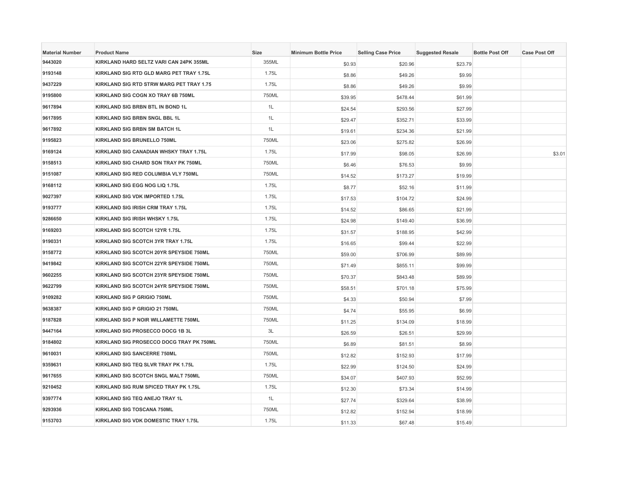| <b>Material Number</b> | <b>Product Name</b>                      | Size  | <b>Minimum Bottle Price</b> | <b>Selling Case Price</b> | <b>Suggested Resale</b> | <b>Bottle Post Off</b> | <b>Case Post Off</b> |
|------------------------|------------------------------------------|-------|-----------------------------|---------------------------|-------------------------|------------------------|----------------------|
| 9443020                | KIRKLAND HARD SELTZ VARI CAN 24PK 355ML  | 355ML | \$0.93                      | \$20.96                   | \$23.79                 |                        |                      |
| 9193148                | KIRKLAND SIG RTD GLD MARG PET TRAY 1.75L | 1.75L | \$8.86                      | \$49.26                   | \$9.99                  |                        |                      |
| 9437229                | KIRKLAND SIG RTD STRW MARG PET TRAY 1.75 | 1.75L | \$8.86                      | \$49.26                   | \$9.99                  |                        |                      |
| 9195800                | KIRKLAND SIG COGN XO TRAY 6B 750ML       | 750ML | \$39.95                     | \$478.44                  | \$61.99                 |                        |                      |
| 9617894                | KIRKLAND SIG BRBN BTL IN BOND 1L         | 1L    | \$24.54                     | \$293.56                  | \$27.99                 |                        |                      |
| 9617895                | KIRKLAND SIG BRBN SNGL BBL 1L            | 1L    | \$29.47                     | \$352.71                  | \$33.99                 |                        |                      |
| 9617892                | <b>KIRKLAND SIG BRBN SM BATCH 1L</b>     | 1L    | \$19.61                     | \$234.36                  | \$21.99                 |                        |                      |
| 9195823                | KIRKLAND SIG BRUNELLO 750ML              | 750ML | \$23.06                     | \$275.82                  | \$26.99                 |                        |                      |
| 9169124                | KIRKLAND SIG CANADIAN WHSKY TRAY 1.75L   | 1.75L | \$17.99                     | \$98.05                   | \$26.99                 |                        | \$3.01               |
| 9158513                | KIRKLAND SIG CHARD SON TRAY PK 750ML     | 750ML | \$6.46                      | \$76.53                   | \$9.99                  |                        |                      |
| 9151087                | KIRKLAND SIG RED COLUMBIA VLY 750ML      | 750ML | \$14.52                     | \$173.27                  | \$19.99                 |                        |                      |
| 9168112                | KIRKLAND SIG EGG NOG LIQ 1.75L           | 1.75L | \$8.77                      | \$52.16                   | \$11.99                 |                        |                      |
| 9027397                | KIRKLAND SIG VDK IMPORTED 1.75L          | 1.75L | \$17.53                     | \$104.72                  | \$24.99                 |                        |                      |
| 9193777                | KIRKLAND SIG IRISH CRM TRAY 1.75L        | 1.75L | \$14.52                     | \$86.65                   | \$21.99                 |                        |                      |
| 9286650                | KIRKLAND SIG IRISH WHSKY 1.75L           | 1.75L | \$24.98                     | \$149.40                  | \$36.99                 |                        |                      |
| 9169203                | KIRKLAND SIG SCOTCH 12YR 1.75L           | 1.75L | \$31.57                     | \$188.95                  | \$42.99                 |                        |                      |
| 9190331                | KIRKLAND SIG SCOTCH 3YR TRAY 1.75L       | 1.75L | \$16.65                     | \$99.44                   | \$22.99                 |                        |                      |
| 9158772                | KIRKLAND SIG SCOTCH 20YR SPEYSIDE 750ML  | 750ML | \$59.00                     | \$706.99                  | \$89.99                 |                        |                      |
| 9419842                | KIRKLAND SIG SCOTCH 22YR SPEYSIDE 750ML  | 750ML | \$71.49                     | \$855.11                  | \$99.99                 |                        |                      |
| 9602255                | KIRKLAND SIG SCOTCH 23YR SPEYSIDE 750ML  | 750ML | \$70.37                     | \$843.48                  | \$89.99                 |                        |                      |
| 9622799                | KIRKLAND SIG SCOTCH 24YR SPEYSIDE 750ML  | 750ML | \$58.51                     | \$701.18                  | \$75.99                 |                        |                      |
| 9109282                | <b>KIRKLAND SIG P GRIGIO 750ML</b>       | 750ML | \$4.33                      | \$50.94                   | \$7.99                  |                        |                      |
| 9638387                | KIRKLAND SIG P GRIGIO 21 750ML           | 750ML | \$4.74                      | \$55.95                   | \$6.99                  |                        |                      |
| 9187828                | KIRKLAND SIG P NOIR WILLAMETTE 750ML     | 750ML | \$11.25                     | \$134.09                  | \$18.99                 |                        |                      |
| 9447164                | KIRKLAND SIG PROSECCO DOCG 1B 3L         | 3L    | \$26.59                     | \$26.51                   | \$29.99                 |                        |                      |
| 9184802                | KIRKLAND SIG PROSECCO DOCG TRAY PK 750ML | 750ML | \$6.89                      | \$81.51                   | \$8.99                  |                        |                      |
| 9610031                | <b>KIRKLAND SIG SANCERRE 750ML</b>       | 750ML | \$12.82                     | \$152.93                  | \$17.99                 |                        |                      |
| 9359631                | KIRKLAND SIG TEQ SLVR TRAY PK 1.75L      | 1.75L | \$22.99                     | \$124.50                  | \$24.99                 |                        |                      |
| 9617655                | KIRKLAND SIG SCOTCH SNGL MALT 750ML      | 750ML | \$34.07                     | \$407.93                  | \$52.99                 |                        |                      |
| 9210452                | KIRKLAND SIG RUM SPICED TRAY PK 1.75L    | 1.75L | \$12.30                     | \$73.34                   | \$14.99                 |                        |                      |
| 9397774                | KIRKLAND SIG TEQ ANEJO TRAY 1L           | 1L    | \$27.74                     | \$329.64                  | \$38.99                 |                        |                      |
| 9293936                | <b>KIRKLAND SIG TOSCANA 750ML</b>        | 750ML | \$12.82                     | \$152.94                  | \$18.99                 |                        |                      |
| 9153703                | KIRKLAND SIG VDK DOMESTIC TRAY 1.75L     | 1.75L | \$11.33                     | \$67.48                   | \$15.49                 |                        |                      |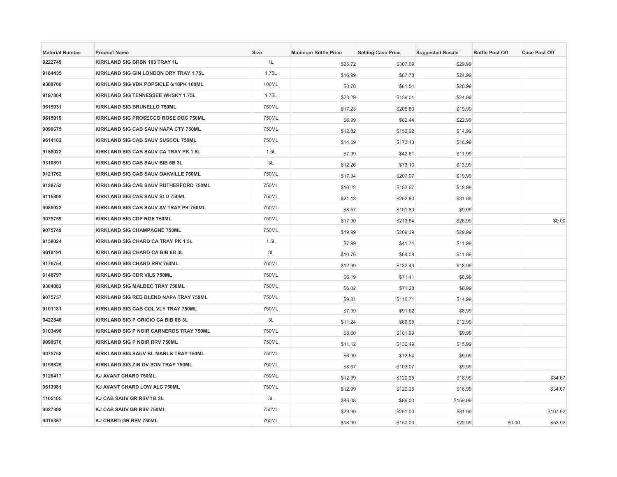| <b>Material Number</b> | <b>Product Name</b>                     | Size  | <b>Minimum Bottle Price</b> | <b>Selling Case Price</b> | <b>Suggested Resale</b> | <b>Bottle Post Off</b> | <b>Case Post Off</b> |
|------------------------|-----------------------------------------|-------|-----------------------------|---------------------------|-------------------------|------------------------|----------------------|
| 9222749                | KIRKLAND SIG BRBN 103 TRAY 1L           | 1L    | \$25.72                     | \$307.69                  | \$29.99                 |                        |                      |
| 9184435                | KIRKLAND SIG GIN LONDON DRY TRAY 1.75L  | 1.75L | \$16.99                     | \$87.78                   | \$24.99                 |                        |                      |
| 9388760                | KIRKLAND SIG VDK POPSICLE 6/18PK 100ML  | 100ML | \$0.78                      | \$81.54                   | \$20.99                 |                        |                      |
| 9197804                | KIRKLAND SIG TENNESSEE WHSKY 1.75L      | 1.75L | \$23.29                     | \$139.01                  | \$24.99                 |                        |                      |
| 9615931                | KIRKLAND SIG BRUNELLO 750ML             | 750ML | \$17.23                     | \$205.80                  | \$19.99                 |                        |                      |
| 9615919                | KIRKLAND SIG PROSECCO ROSE DOC 750ML    | 750ML | \$6.99                      | \$82.44                   | \$22.99                 |                        |                      |
| 9090675                | KIRKLAND SIG CAB SAUV NAPA CTY 750ML    | 750ML | \$12.82                     | \$152.92                  | \$14.99                 |                        |                      |
| 9614102                | KIRKLAND SIG CAB SAUV SUSCOL 750ML      | 750ML | \$14.59                     | \$173.43                  | \$16.99                 |                        |                      |
| 9158022                | KIRKLAND SIG CAB SAUV CA TRAY PK 1.5L   | 1.5L  | \$7.99                      | \$42.61                   | \$11.99                 |                        |                      |
| 9310891                | KIRKLAND SIG CAB SAUV BIB 6B 3L         | 3L    | \$12.26                     | \$73.10                   | \$13.99                 |                        |                      |
| 9121762                | KIRKLAND SIG CAB SAUV OAKVILLE 750ML    | 750ML | \$17.34                     | \$207.07                  | \$19.99                 |                        |                      |
| 9128753                | KIRKLAND SIG CAB SAUV RUTHERFORD 750ML  | 750ML | \$16.22                     | \$193.67                  | \$18.99                 |                        |                      |
| 9115808                | KIRKLAND SIG CAB SAUV SLD 750ML         | 750ML | \$21.13                     | \$252.60                  | \$31.99                 |                        |                      |
| 9085922                | KIRKLAND SIG CAB SAUV AV TRAY PK 750ML  | 750ML | \$8.57                      | \$101.89                  | \$9.99                  |                        |                      |
| 9075759                | <b>KIRKLAND SIG CDP RGE 750ML</b>       | 750ML | \$17.90                     | \$213.84                  | \$26.99                 |                        | \$0.00               |
| 9075749                | KIRKLAND SIG CHAMPAGNE 750ML            | 750ML | \$19.99                     | \$209.39                  | \$29.99                 |                        |                      |
| 9158024                | KIRKLAND SIG CHARD CA TRAY PK 1.5L      | 1.5L  | \$7.99                      | \$41.74                   | \$11.99                 |                        |                      |
| 9618191                | KIRKLAND SIG CHARD CA BIB 6B 3L         | 3L    | \$10.76                     | \$64.08                   | \$11.99                 |                        |                      |
| 9176754                | <b>KIRKLAND SIG CHARD RRV 750ML</b>     | 750ML | \$12.99                     | \$132.49                  | \$18.99                 |                        |                      |
| 9148797                | KIRKLAND SIG CDR VILS 750ML             | 750ML | \$6.19                      | \$71.41                   | \$6.99                  |                        |                      |
| 9304082                | KIRKLAND SIG MALBEC TRAY 750ML          | 750ML | \$6.02                      | \$71.28                   | \$8.99                  |                        |                      |
| 9075757                | KIRKLAND SIG RED BLEND NAPA TRAY 750ML  | 750ML | \$9.81                      | \$116.71                  | \$14.99                 |                        |                      |
| 9101181                | KIRKLAND SIG CAB COL VLY TRAY 750ML     | 750ML | \$7.99                      | \$91.62                   | \$8.99                  |                        |                      |
| 9422846                | KIRKLAND SIG P GRIGIO CA BIB 6B 3L      | 3L    | \$11.24                     | \$66.95                   | \$12.99                 |                        |                      |
| 9103496                | KIRKLAND SIG P NOIR CARNEROS TRAY 750ML | 750ML | \$8.60                      | \$101.99                  | \$9.99                  |                        |                      |
| 9090676                | KIRKLAND SIG P NOIR RRV 750ML           | 750ML | \$11.12                     | \$132.49                  | \$15.99                 |                        |                      |
| 9075758                | KIRKLAND SIG SAUV BL MARLB TRAY 750ML   | 750ML | \$6.99                      | \$72.54                   | \$9.99                  |                        |                      |
| 9159825                | KIRKLAND SIG ZIN OV SON TRAY 750ML      | 750ML | \$8.67                      | \$103.07                  | \$9.99                  |                        |                      |
| 9126417                | KJ AVANT CHARD 750ML                    | 750ML | \$12.99                     | \$120.25                  | \$16.99                 |                        | \$34.67              |
| 9613981                | KJ AVANT CHARD LOW ALC 750ML            | 750ML | \$12.99                     | \$120.25                  | \$16.99                 |                        | \$34.67              |
| 1105105                | KJ CAB SAUV GR RSV 1B 3L                | 3L    | \$86.08                     | \$86.00                   | \$159.99                |                        |                      |
| 9027398                | KJ CAB SAUV GR RSV 750ML                | 750ML | \$29.99                     | \$251.00                  | \$31.99                 |                        | \$107.92             |
| 9015367                | KJ CHARD GR RSV 750ML                   | 750ML | \$18.99                     | \$150.00                  | \$22.99                 | \$0.00                 | \$52.92              |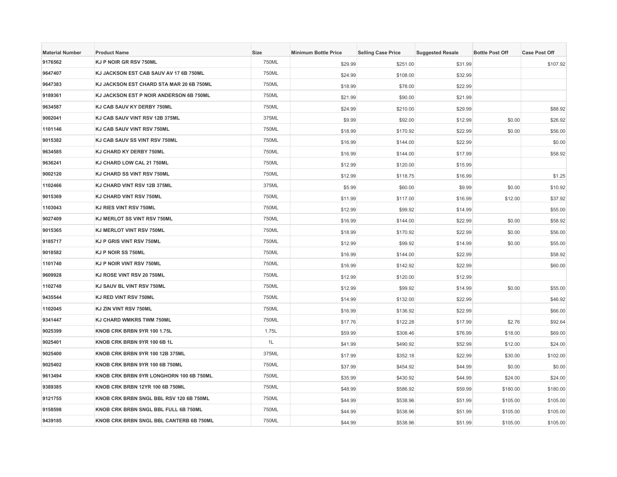| <b>Material Number</b> | <b>Product Name</b>                      | <b>Size</b> | <b>Minimum Bottle Price</b> | <b>Selling Case Price</b> | <b>Suggested Resale</b> | <b>Bottle Post Off</b> | <b>Case Post Off</b> |
|------------------------|------------------------------------------|-------------|-----------------------------|---------------------------|-------------------------|------------------------|----------------------|
| 9176562                | KJ P NOIR GR RSV 750ML                   | 750ML       | \$29.99                     | \$251.00                  | \$31.99                 |                        | \$107.92             |
| 9647407                | KJ JACKSON EST CAB SAUV AV 17 6B 750ML   | 750ML       | \$24.99                     | \$108.00                  | \$32.99                 |                        |                      |
| 9647383                | KJ JACKSON EST CHARD STA MAR 20 6B 750ML | 750ML       | \$18.99                     | \$78.00                   | \$22.99                 |                        |                      |
| 9189361                | KJ JACKSON EST P NOIR ANDERSON 6B 750ML  | 750ML       | \$21.99                     | \$90.00                   | \$21.99                 |                        |                      |
| 9634587                | KJ CAB SAUV KY DERBY 750ML               | 750ML       | \$24.99                     | \$210.00                  | \$29.99                 |                        | \$88.92              |
| 9002041                | KJ CAB SAUV VINT RSV 12B 375ML           | 375ML       | \$9.99                      | \$92.00                   | \$12.99                 | \$0.00                 | \$26.92              |
| 1101146                | KJ CAB SAUV VINT RSV 750ML               | 750ML       | \$18.99                     | \$170.92                  | \$22.99                 | \$0.00                 | \$56.00              |
| 9015382                | KJ CAB SAUV SS VINT RSV 750ML            | 750ML       | \$16.99                     | \$144.00                  | \$22.99                 |                        | \$0.00               |
| 9634585                | KJ CHARD KY DERBY 750ML                  | 750ML       | \$16.99                     | \$144.00                  | \$17.99                 |                        | \$58.92              |
| 9636241                | KJ CHARD LOW CAL 21 750ML                | 750ML       | \$12.99                     | \$120.00                  | \$15.99                 |                        |                      |
| 9002120                | KJ CHARD SS VINT RSV 750ML               | 750ML       | \$12.99                     | \$118.75                  | \$16.99                 |                        | \$1.25               |
| 1102466                | KJ CHARD VINT RSV 12B 375ML              | 375ML       | \$5.99                      | \$60.00                   | \$9.99                  | \$0.00                 | \$10.92              |
| 9015369                | KJ CHARD VINT RSV 750ML                  | 750ML       | \$11.99                     | \$117.00                  | \$16.99                 | \$12.00                | \$37.92              |
| 1103043                | <b>KJ RIES VINT RSV 750ML</b>            | 750ML       | \$12.99                     | \$99.92                   | \$14.99                 |                        | \$55.00              |
| 9027409                | KJ MERLOT SS VINT RSV 750ML              | 750ML       | \$16.99                     | \$144.00                  | \$22.99                 | \$0.00                 | \$58.92              |
| 9015365                | KJ MERLOT VINT RSV 750ML                 | 750ML       | \$18.99                     | \$170.92                  | \$22.99                 | \$0.00                 | \$56.00              |
| 9185717                | KJ P GRIS VINT RSV 750ML                 | 750ML       | \$12.99                     | \$99.92                   | \$14.99                 | \$0.00                 | \$55.00              |
| 9018582                | KJ P NOIR SS 750ML                       | 750ML       | \$16.99                     | \$144.00                  | \$22.99                 |                        | \$58.92              |
| 1101740                | KJ P NOIR VINT RSV 750ML                 | 750ML       | \$16.99                     | \$142.92                  | \$22.99                 |                        | \$60.00              |
| 9609928                | KJ ROSE VINT RSV 20 750ML                | 750ML       | \$12.99                     | \$120.00                  | \$12.99                 |                        |                      |
| 1102748                | KJ SAUV BL VINT RSV 750ML                | 750ML       | \$12.99                     | \$99.92                   | \$14.99                 | \$0.00                 | \$55.00              |
| 9435544                | KJ RED VINT RSV 750ML                    | 750ML       | \$14.99                     | \$132.00                  | \$22.99                 |                        | \$46.92              |
| 1102045                | KJ ZIN VINT RSV 750ML                    | 750ML       | \$16.99                     | \$136.92                  | \$22.99                 |                        | \$66.00              |
| 9341447                | KJ CHARD WMKRS TWM 750ML                 | 750ML       | \$17.76                     | \$122.28                  | \$17.99                 | \$2.76                 | \$92.64              |
| 9025399                | KNOB CRK BRBN 9YR 100 1.75L              | 1.75L       | \$59.99                     | \$308.46                  | \$76.99                 | \$18.00                | \$69.00              |
| 9025401                | KNOB CRK BRBN 9YR 100 6B 1L              | 1L          | \$41.99                     | \$490.92                  | \$52.99                 | \$12.00                | \$24.00              |
| 9025400                | <b>KNOB CRK BRBN 9YR 100 12B 375ML</b>   | 375ML       | \$17.99                     | \$352.18                  | \$22.99                 | \$30.00                | \$102.00             |
| 9025402                | KNOB CRK BRBN 9YR 100 6B 750ML           | 750ML       | \$37.99                     | \$454.92                  | \$44.99                 | \$0.00                 | \$0.00               |
| 9613494                | KNOB CRK BRBN 9YR LONGHORN 100 6B 750ML  | 750ML       | \$35.99                     | \$430.92                  | \$44.99                 | \$24.00                | \$24.00              |
| 9389385                | KNOB CRK BRBN 12YR 100 6B 750ML          | 750ML       | \$48.99                     | \$586.92                  | \$59.99                 | \$180.00               | \$180.00             |
| 9121755                | KNOB CRK BRBN SNGL BBL RSV 120 6B 750ML  | 750ML       | \$44.99                     | \$538.96                  | \$51.99                 | \$105.00               | \$105.00             |
| 9158598                | KNOB CRK BRBN SNGL BBL FULL 6B 750ML     | 750ML       | \$44.99                     | \$538.96                  | \$51.99                 | \$105.00               | \$105.00             |
| 9439185                | KNOB CRK BRBN SNGL BBL CANTERB 6B 750ML  | 750ML       | \$44.99                     | \$538.96                  | \$51.99                 | \$105.00               | \$105.00             |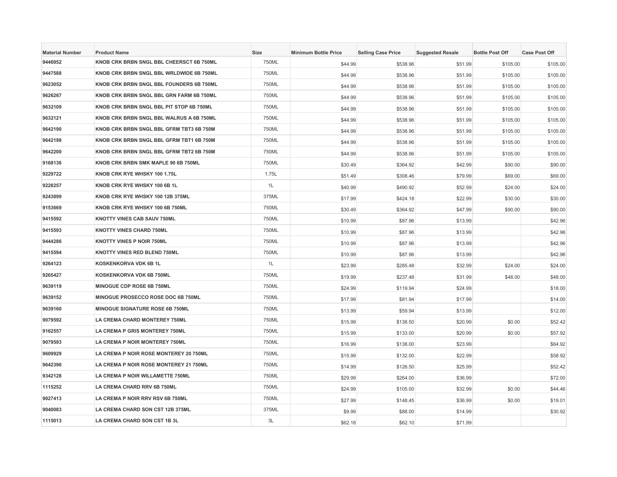| <b>Material Number</b> | <b>Product Name</b>                      | Size  | <b>Minimum Bottle Price</b> | <b>Selling Case Price</b> | <b>Suggested Resale</b> | <b>Bottle Post Off</b> | <b>Case Post Off</b> |
|------------------------|------------------------------------------|-------|-----------------------------|---------------------------|-------------------------|------------------------|----------------------|
| 9446952                | KNOB CRK BRBN SNGL BBL CHEERSCT 6B 750ML | 750ML | \$44.99                     | \$538.96                  | \$51.99                 | \$105.00               | \$105.00             |
| 9447588                | KNOB CRK BRBN SNGL BBL WRLDWIDE 6B 750ML | 750ML | \$44.99                     | \$538.96                  | \$51.99                 | \$105.00               | \$105.00             |
| 9623052                | KNOB CRK BRBN SNGL BBL FOUNDERS 6B 750ML | 750ML | \$44.99                     | \$538.96                  | \$51.99                 | \$105.00               | \$105.00             |
| 9626267                | KNOB CRK BRBN SNGL BBL GRN FARM 6B 750ML | 750ML | \$44.99                     | \$538.96                  | \$51.99                 | \$105.00               | \$105.00             |
| 9632109                | KNOB CRK BRBN SNGL BBL PIT STOP 6B 750ML | 750ML | \$44.99                     | \$538.96                  | \$51.99                 | \$105.00               | \$105.00             |
| 9632121                | KNOB CRK BRBN SNGL BBL WALRUS A 6B 750ML | 750ML | \$44.99                     | \$538.96                  | \$51.99                 | \$105.00               | \$105.00             |
| 9642190                | KNOB CRK BRBN SNGL BBL GFRM TBT3 6B 750M | 750ML | \$44.99                     | \$538.96                  | \$51.99                 | \$105.00               | \$105.00             |
| 9642198                | KNOB CRK BRBN SNGL BBL GFRM TBT1 6B 750M | 750ML | \$44.99                     | \$538.96                  | \$51.99                 | \$105.00               | \$105.00             |
| 9642200                | KNOB CRK BRBN SNGL BBL GFRM TBT2 6B 750M | 750ML | \$44.99                     | \$538.96                  | \$51.99                 | \$105.00               | \$105.00             |
| 9168136                | KNOB CRK BRBN SMK MAPLE 90 6B 750ML      | 750ML | \$30.49                     | \$364.92                  | \$42.99                 | \$90.00                | \$90.00              |
| 9229722                | KNOB CRK RYE WHSKY 100 1.75L             | 1.75L | \$51.49                     | \$308.46                  | \$79.99                 | \$69.00                | \$69.00              |
| 9228257                | KNOB CRK RYE WHSKY 100 6B 1L             | 1L    | \$40.99                     | \$490.92                  | \$52.99                 | \$24.00                | \$24.00              |
| 9243899                | KNOB CRK RYE WHSKY 100 12B 375ML         | 375ML | \$17.99                     | \$424.18                  | \$22.99                 | \$30.00                | \$30.00              |
| 9153669                | KNOB CRK RYE WHSKY 100 6B 750ML          | 750ML | \$30.49                     | \$364.92                  | \$47.99                 | \$90.00                | \$90.00              |
| 9415592                | <b>KNOTTY VINES CAB SAUV 750ML</b>       | 750ML | \$10.99                     | \$87.96                   | \$13.99                 |                        | \$42.96              |
| 9415593                | <b>KNOTTY VINES CHARD 750ML</b>          | 750ML | \$10.99                     | \$87.96                   | \$13.99                 |                        | \$42.96              |
| 9444286                | KNOTTY VINES P NOIR 750ML                | 750ML | \$10.99                     | \$87.96                   | \$13.99                 |                        | \$42.96              |
| 9415594                | KNOTTY VINES RED BLEND 750ML             | 750ML | \$10.99                     | \$87.96                   | \$13.99                 |                        | \$42.96              |
| 9264123                | KOSKENKORVA VDK 6B 1L                    | 1L    | \$23.99                     | \$285.48                  | \$32.99                 | \$24.00                | \$24.00              |
| 9265427                | KOSKENKORVA VDK 6B 750ML                 | 750ML | \$19.99                     | \$237.48                  | \$31.99                 | \$48.00                | \$48.00              |
| 9639119                | MINOGUE CDP ROSE 6B 750ML                | 750ML | \$24.99                     | \$119.94                  | \$24.99                 |                        | \$18.00              |
| 9639152                | MINOGUE PROSECCO ROSE DOC 6B 750ML       | 750ML | \$17.99                     | \$81.94                   | \$17.99                 |                        | \$14.00              |
| 9639160                | <b>MINOGUE SIGNATURE ROSE 6B 750ML</b>   | 750ML | \$13.99                     | \$59.94                   | \$13.99                 |                        | \$12.00              |
| 9079592                | LA CREMA CHARD MONTEREY 750ML            | 750ML | \$15.99                     | \$138.50                  | \$20.99                 | \$0.00                 | \$52.42              |
| 9162557                | LA CREMA P GRIS MONTEREY 750ML           | 750ML | \$15.99                     | \$133.00                  | \$20.99                 | \$0.00                 | \$57.92              |
| 9079593                | LA CREMA P NOIR MONTEREY 750ML           | 750ML | \$16.99                     | \$138.00                  | \$23.99                 |                        | \$64.92              |
| 9609929                | LA CREMA P NOIR ROSE MONTEREY 20 750ML   | 750ML | \$15.99                     | \$132.00                  | \$22.99                 |                        | \$58.92              |
| 9642396                | LA CREMA P NOIR ROSE MONTEREY 21 750ML   | 750ML | \$14.99                     | \$126.50                  | \$25.99                 |                        | \$52.42              |
| 9342128                | LA CREMA P NOIR WILLAMETTE 750ML         | 750ML | \$29.99                     | \$264.00                  | \$36.99                 |                        | \$72.00              |
| 1115252                | LA CREMA CHARD RRV 6B 750ML              | 750ML | \$24.99                     | \$105.00                  | \$32.99                 | \$0.00                 | \$44.46              |
| 9027413                | LA CREMA P NOIR RRV RSV 6B 750ML         | 750ML | \$27.99                     | \$148.45                  | \$36.99                 | \$0.00                 | \$19.01              |
| 9040083                | LA CREMA CHARD SON CST 12B 375ML         | 375ML | \$9.99                      | \$88.00                   | \$14.99                 |                        | \$30.92              |
| 1115013                | LA CREMA CHARD SON CST 1B 3L             | 3L    | \$62.18                     | \$62.10                   | \$71.99                 |                        |                      |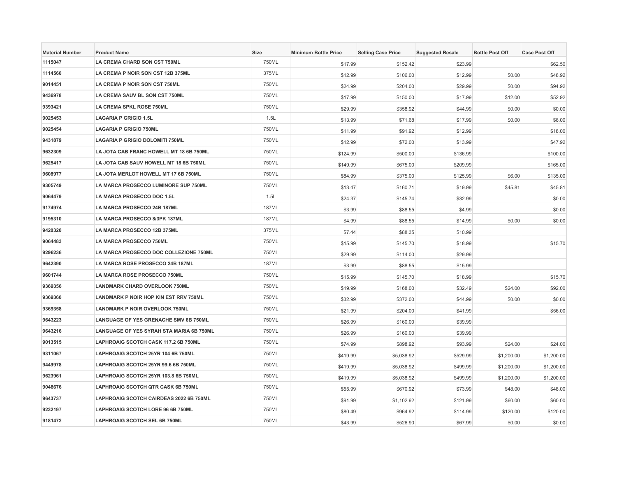| <b>Material Number</b> | <b>Product Name</b>                       | <b>Size</b>  | <b>Minimum Bottle Price</b> | <b>Selling Case Price</b> | <b>Suggested Resale</b> | <b>Bottle Post Off</b> | <b>Case Post Off</b> |
|------------------------|-------------------------------------------|--------------|-----------------------------|---------------------------|-------------------------|------------------------|----------------------|
| 1115047                | LA CREMA CHARD SON CST 750ML              | 750ML        | \$17.99                     | \$152.42                  | \$23.99                 |                        | \$62.50              |
| 1114560                | LA CREMA P NOIR SON CST 12B 375ML         | 375ML        | \$12.99                     | \$106.00                  | \$12.99                 | \$0.00                 | \$48.92              |
| 9014451                | LA CREMA P NOIR SON CST 750ML             | 750ML        | \$24.99                     | \$204.00                  | \$29.99                 | \$0.00                 | \$94.92              |
| 9436978                | LA CREMA SAUV BL SON CST 750ML            | 750ML        | \$17.99                     | \$150.00                  | \$17.99                 | \$12.00                | \$52.92              |
| 9393421                | LA CREMA SPKL ROSE 750ML                  | 750ML        | \$29.99                     | \$358.92                  | \$44.99                 | \$0.00                 | \$0.00               |
| 9025453                | LAGARIA P GRIGIO 1.5L                     | 1.5L         | \$13.99                     | \$71.68                   | \$17.99                 | \$0.00                 | \$6.00               |
| 9025454                | <b>LAGARIA P GRIGIO 750ML</b>             | 750ML        | \$11.99                     | \$91.92                   | \$12.99                 |                        | \$18.00              |
| 9431879                | LAGARIA P GRIGIO DOLOMITI 750ML           | 750ML        | \$12.99                     | \$72.00                   | \$13.99                 |                        | \$47.92              |
| 9632309                | LA JOTA CAB FRANC HOWELL MT 18 6B 750ML   | 750ML        | \$124.99                    | \$500.00                  | \$136.99                |                        | \$100.00             |
| 9625417                | LA JOTA CAB SAUV HOWELL MT 18 6B 750ML    | 750ML        | \$149.99                    | \$675.00                  | \$209.99                |                        | \$165.00             |
| 9608977                | LA JOTA MERLOT HOWELL MT 17 6B 750ML      | 750ML        | \$84.99                     | \$375.00                  | \$125.99                | \$6.00                 | \$135.00             |
| 9305749                | LA MARCA PROSECCO LUMINORE SUP 750ML      | 750ML        | \$13.47                     | \$160.71                  | \$19.99                 | \$45.81                | \$45.81              |
| 9064479                | LA MARCA PROSECCO DOC 1.5L                | 1.5L         | \$24.37                     | \$145.74                  | \$32.99                 |                        | \$0.00               |
| 9174974                | LA MARCA PROSECCO 24B 187ML               | <b>187ML</b> | \$3.99                      | \$88.55                   | \$4.99                  |                        | \$0.00               |
| 9195310                | LA MARCA PROSECCO 8/3PK 187ML             | <b>187ML</b> | \$4.99                      | \$88.55                   | \$14.99                 | \$0.00                 | \$0.00               |
| 9420320                | LA MARCA PROSECCO 12B 375ML               | 375ML        | \$7.44                      | \$88.35                   | \$10.99                 |                        |                      |
| 9064483                | LA MARCA PROSECCO 750ML                   | 750ML        | \$15.99                     | \$145.70                  | \$18.99                 |                        | \$15.70              |
| 9296236                | LA MARCA PROSECCO DOC COLLEZIONE 750ML    | 750ML        | \$29.99                     | \$114.00                  | \$29.99                 |                        |                      |
| 9642390                | LA MARCA ROSE PROSECCO 24B 187ML          | <b>187ML</b> | \$3.99                      | \$88.55                   | \$15.99                 |                        |                      |
| 9601744                | LA MARCA ROSE PROSECCO 750ML              | 750ML        | \$15.99                     | \$145.70                  | \$18.99                 |                        | \$15.70              |
| 9369356                | <b>LANDMARK CHARD OVERLOOK 750ML</b>      | 750ML        | \$19.99                     | \$168.00                  | \$32.49                 | \$24.00                | \$92.00              |
| 9369360                | LANDMARK P NOIR HOP KIN EST RRV 750ML     | 750ML        | \$32.99                     | \$372.00                  | \$44.99                 | \$0.00                 | \$0.00               |
| 9369358                | <b>LANDMARK P NOIR OVERLOOK 750ML</b>     | 750ML        | \$21.99                     | \$204.00                  | \$41.99                 |                        | \$56.00              |
| 9643223                | LANGUAGE OF YES GRENACHE SMV 6B 750ML     | 750ML        | \$26.99                     | \$160.00                  | \$39.99                 |                        |                      |
| 9643216                | LANGUAGE OF YES SYRAH STA MARIA 6B 750ML  | 750ML        | \$26.99                     | \$160.00                  | \$39.99                 |                        |                      |
| 9013515                | LAPHROAIG SCOTCH CASK 117.2 6B 750ML      | 750ML        | \$74.99                     | \$898.92                  | \$93.99                 | \$24.00                | \$24.00              |
| 9311067                | LAPHROAIG SCOTCH 25YR 104 6B 750ML        | 750ML        | \$419.99                    | \$5,038.92                | \$529.99                | \$1,200.00             | \$1,200.00           |
| 9449978                | LAPHROAIG SCOTCH 25YR 99.6 6B 750ML       | 750ML        | \$419.99                    | \$5,038.92                | \$499.99                | \$1,200.00             | \$1,200.00           |
| 9623961                | LAPHROAIG SCOTCH 25YR 103.8 6B 750ML      | 750ML        | \$419.99                    | \$5,038.92                | \$499.99                | \$1,200.00             | \$1,200.00           |
| 9048676                | <b>LAPHROAIG SCOTCH QTR CASK 6B 750ML</b> | 750ML        | \$55.99                     | \$670.92                  | \$73.99                 | \$48.00                | \$48.00              |
| 9643737                | LAPHROAIG SCOTCH CAIRDEAS 2022 6B 750ML   | 750ML        | \$91.99                     | \$1,102.92                | \$121.99                | \$60.00                | \$60.00              |
| 9232197                | LAPHROAIG SCOTCH LORE 96 6B 750ML         | 750ML        | \$80.49                     | \$964.92                  | \$114.99                | \$120.00               | \$120.00             |
| 9181472                | LAPHROAIG SCOTCH SEL 6B 750ML             | 750ML        | \$43.99                     | \$526.90                  | \$67.99                 | \$0.00                 | \$0.00               |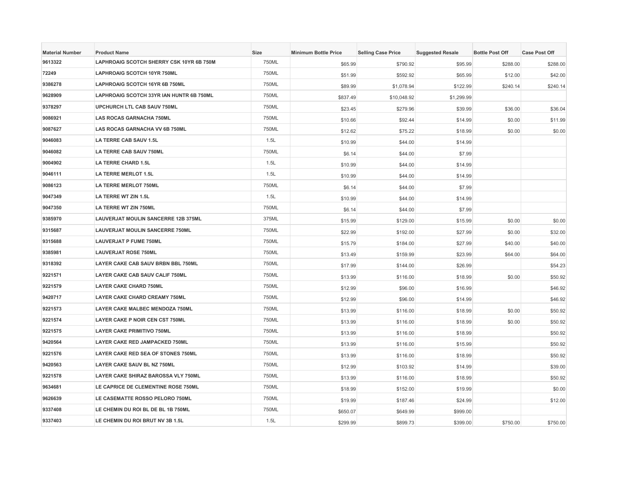| <b>Material Number</b> | <b>Product Name</b>                        | <b>Size</b> | <b>Minimum Bottle Price</b> | <b>Selling Case Price</b> | <b>Suggested Resale</b> | <b>Bottle Post Off</b> | <b>Case Post Off</b> |
|------------------------|--------------------------------------------|-------------|-----------------------------|---------------------------|-------------------------|------------------------|----------------------|
| 9613322                | LAPHROAIG SCOTCH SHERRY CSK 10YR 6B 750M   | 750ML       | \$65.99                     | \$790.92                  | \$95.99                 | \$288.00               | \$288.00             |
| 72249                  | <b>LAPHROAIG SCOTCH 10YR 750ML</b>         | 750ML       | \$51.99                     | \$592.92                  | \$65.99                 | \$12.00                | \$42.00              |
| 9386278                | LAPHROAIG SCOTCH 16YR 6B 750ML             | 750ML       | \$89.99                     | \$1,078.94                | \$122.99                | \$240.14               | \$240.14             |
| 9628909                | LAPHROAIG SCOTCH 33YR IAN HUNTR 6B 750ML   | 750ML       | \$837.49                    | \$10,048.92               | \$1,299.99              |                        |                      |
| 9378297                | UPCHURCH LTL CAB SAUV 750ML                | 750ML       | \$23.45                     | \$279.96                  | \$39.99                 | \$36.00                | \$36.04              |
| 9086921                | <b>LAS ROCAS GARNACHA 750ML</b>            | 750ML       | \$10.66                     | \$92.44                   | \$14.99                 | \$0.00                 | \$11.99              |
| 9087627                | <b>LAS ROCAS GARNACHA VV 6B 750ML</b>      | 750ML       | \$12.62                     | \$75.22                   | \$18.99                 | \$0.00                 | \$0.00               |
| 9046083                | LA TERRE CAB SAUV 1.5L                     | 1.5L        | \$10.99                     | \$44.00                   | \$14.99                 |                        |                      |
| 9046082                | LA TERRE CAB SAUV 750ML                    | 750ML       | \$6.14                      | \$44.00                   | \$7.99                  |                        |                      |
| 9004902                | <b>LA TERRE CHARD 1.5L</b>                 | 1.5L        | \$10.99                     | \$44.00                   | \$14.99                 |                        |                      |
| 9046111                | <b>LA TERRE MERLOT 1.5L</b>                | 1.5L        | \$10.99                     | \$44.00                   | \$14.99                 |                        |                      |
| 9086123                | <b>LA TERRE MERLOT 750ML</b>               | 750ML       | \$6.14                      | \$44.00                   | \$7.99                  |                        |                      |
| 9047349                | LA TERRE WT ZIN 1.5L                       | 1.5L        | \$10.99                     | \$44.00                   | \$14.99                 |                        |                      |
| 9047350                | <b>LA TERRE WT ZIN 750ML</b>               | 750ML       | \$6.14                      | \$44.00                   | \$7.99                  |                        |                      |
| 9385970                | <b>LAUVERJAT MOULIN SANCERRE 12B 375ML</b> | 375ML       | \$15.99                     | \$129.00                  | \$15.99                 | \$0.00                 | \$0.00               |
| 9315687                | <b>LAUVERJAT MOULIN SANCERRE 750ML</b>     | 750ML       | \$22.99                     | \$192.00                  | \$27.99                 | \$0.00                 | \$32.00              |
| 9315688                | <b>LAUVERJAT P FUME 750ML</b>              | 750ML       | \$15.79                     | \$184.00                  | \$27.99                 | \$40.00                | \$40.00              |
| 9385981                | <b>LAUVERJAT ROSE 750ML</b>                | 750ML       | \$13.49                     | \$159.99                  | \$23.99                 | \$64.00                | \$64.00              |
| 9318392                | LAYER CAKE CAB SAUV BRBN BBL 750ML         | 750ML       | \$17.99                     | \$144.00                  | \$26.99                 |                        | \$54.23              |
| 9221571                | LAYER CAKE CAB SAUV CALIF 750ML            | 750ML       | \$13.99                     | \$116.00                  | \$18.99                 | \$0.00                 | \$50.92              |
| 9221579                | <b>LAYER CAKE CHARD 750ML</b>              | 750ML       | \$12.99                     | \$96.00                   | \$16.99                 |                        | \$46.92              |
| 9420717                | <b>LAYER CAKE CHARD CREAMY 750ML</b>       | 750ML       | \$12.99                     | \$96.00                   | \$14.99                 |                        | \$46.92              |
| 9221573                | LAYER CAKE MALBEC MENDOZA 750ML            | 750ML       | \$13.99                     | \$116.00                  | \$18.99                 | \$0.00                 | \$50.92              |
| 9221574                | LAYER CAKE P NOIR CEN CST 750ML            | 750ML       | \$13.99                     | \$116.00                  | \$18.99                 | \$0.00                 | \$50.92              |
| 9221575                | <b>LAYER CAKE PRIMITIVO 750ML</b>          | 750ML       | \$13.99                     | \$116.00                  | \$18.99                 |                        | \$50.92              |
| 9420564                | LAYER CAKE RED JAMPACKED 750ML             | 750ML       | \$13.99                     | \$116.00                  | \$15.99                 |                        | \$50.92              |
| 9221576                | <b>LAYER CAKE RED SEA OF STONES 750ML</b>  | 750ML       | \$13.99                     | \$116.00                  | \$18.99                 |                        | \$50.92              |
| 9420563                | LAYER CAKE SAUV BL NZ 750ML                | 750ML       | \$12.99                     | \$103.92                  | \$14.99                 |                        | \$39.00              |
| 9221578                | LAYER CAKE SHIRAZ BAROSSA VLY 750ML        | 750ML       | \$13.99                     | \$116.00                  | \$18.99                 |                        | \$50.92              |
| 9634681                | LE CAPRICE DE CLEMENTINE ROSE 750ML        | 750ML       | \$18.99                     | \$152.00                  | \$19.99                 |                        | \$0.00               |
| 9626639                | LE CASEMATTE ROSSO PELORO 750ML            | 750ML       | \$19.99                     | \$187.46                  | \$24.99                 |                        | \$12.00              |
| 9337408                | LE CHEMIN DU ROI BL DE BL 1B 750ML         | 750ML       | \$650.07                    | \$649.99                  | \$999.00                |                        |                      |
| 9337403                | LE CHEMIN DU ROI BRUT NV 3B 1.5L           | 1.5L        | \$299.99                    | \$899.73                  | \$399.00                | \$750.00               | \$750.00             |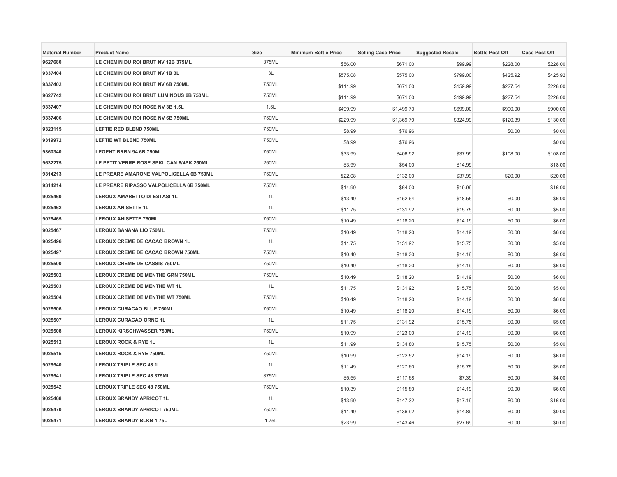| <b>Material Number</b> | <b>Product Name</b>                      | Size  | <b>Minimum Bottle Price</b> | <b>Selling Case Price</b> | <b>Suggested Resale</b> | <b>Bottle Post Off</b> | <b>Case Post Off</b> |
|------------------------|------------------------------------------|-------|-----------------------------|---------------------------|-------------------------|------------------------|----------------------|
| 9627680                | LE CHEMIN DU ROI BRUT NV 12B 375ML       | 375ML | \$56.00                     | \$671.00                  | \$99.99                 | \$228.00               | \$228.00             |
| 9337404                | LE CHEMIN DU ROI BRUT NV 1B 3L           | 3L    | \$575.08                    | \$575.00                  | \$799.00                | \$425.92               | \$425.92             |
| 9337402                | LE CHEMIN DU ROI BRUT NV 6B 750ML        | 750ML | \$111.99                    | \$671.00                  | \$159.99                | \$227.54               | \$228.00             |
| 9627742                | LE CHEMIN DU ROI BRUT LUMINOUS 6B 750ML  | 750ML | \$111.99                    | \$671.00                  | \$199.99                | \$227.54               | \$228.00             |
| 9337407                | LE CHEMIN DU ROI ROSE NV 3B 1.5L         | 1.5L  | \$499.99                    | \$1,499.73                | \$699.00                | \$900.00               | \$900.00             |
| 9337406                | LE CHEMIN DU ROI ROSE NV 6B 750ML        | 750ML | \$229.99                    | \$1,369.79                | \$324.99                | \$120.39               | \$130.00             |
| 9323115                | <b>LEFTIE RED BLEND 750ML</b>            | 750ML | \$8.99                      | \$76.96                   |                         | \$0.00                 | \$0.00               |
| 9319972                | <b>LEFTIE WT BLEND 750ML</b>             | 750ML | \$8.99                      | \$76.96                   |                         |                        | \$0.00               |
| 9360340                | LEGENT BRBN 94 6B 750ML                  | 750ML | \$33.99                     | \$406.92                  | \$37.99                 | \$108.00               | \$108.00             |
| 9632275                | LE PETIT VERRE ROSE SPKL CAN 6/4PK 250ML | 250ML | \$3.99                      | \$54.00                   | \$14.99                 |                        | \$18.00              |
| 9314213                | LE PREARE AMARONE VALPOLICELLA 6B 750ML  | 750ML | \$22.08                     | \$132.00                  | \$37.99                 | \$20.00                | \$20.00              |
| 9314214                | LE PREARE RIPASSO VALPOLICELLA 6B 750ML  | 750ML | \$14.99                     | \$64.00                   | \$19.99                 |                        | \$16.00              |
| 9025460                | <b>LEROUX AMARETTO DI ESTASI 1L</b>      | 1L    | \$13.49                     | \$152.64                  | \$18.55                 | \$0.00                 | \$6.00               |
| 9025462                | <b>LEROUX ANISETTE 1L</b>                | 1L    | \$11.75                     | \$131.92                  | \$15.75                 | \$0.00                 | \$5.00               |
| 9025465                | <b>LEROUX ANISETTE 750ML</b>             | 750ML | \$10.49                     | \$118.20                  | \$14.19                 | \$0.00                 | \$6.00               |
| 9025467                | <b>LEROUX BANANA LIQ 750ML</b>           | 750ML | \$10.49                     | \$118.20                  | \$14.19                 | \$0.00                 | \$6.00               |
| 9025496                | LEROUX CREME DE CACAO BROWN 1L           | 1L    | \$11.75                     | \$131.92                  | \$15.75                 | \$0.00                 | \$5.00               |
| 9025497                | <b>LEROUX CREME DE CACAO BROWN 750ML</b> | 750ML | \$10.49                     | \$118.20                  | \$14.19                 | \$0.00                 | \$6.00               |
| 9025500                | <b>LEROUX CREME DE CASSIS 750ML</b>      | 750ML | \$10.49                     | \$118.20                  | \$14.19                 | \$0.00                 | \$6.00               |
| 9025502                | <b>LEROUX CREME DE MENTHE GRN 750ML</b>  | 750ML | \$10.49                     | \$118.20                  | \$14.19                 | \$0.00                 | \$6.00               |
| 9025503                | LEROUX CREME DE MENTHE WT 1L             | 1L    | \$11.75                     | \$131.92                  | \$15.75                 | \$0.00                 | \$5.00               |
| 9025504                | <b>LEROUX CREME DE MENTHE WT 750ML</b>   | 750ML | \$10.49                     | \$118.20                  | \$14.19                 | \$0.00                 | \$6.00               |
| 9025506                | <b>LEROUX CURACAO BLUE 750ML</b>         | 750ML | \$10.49                     | \$118.20                  | \$14.19                 | \$0.00                 | \$6.00               |
| 9025507                | <b>LEROUX CURACAO ORNG 1L</b>            | 1L    | \$11.75                     | \$131.92                  | \$15.75                 | \$0.00                 | \$5.00               |
| 9025508                | <b>LEROUX KIRSCHWASSER 750ML</b>         | 750ML | \$10.99                     | \$123.00                  | \$14.19                 | \$0.00                 | \$6.00               |
| 9025512                | <b>LEROUX ROCK &amp; RYE 1L</b>          | 1L    | \$11.99                     | \$134.80                  | \$15.75                 | \$0.00                 | \$5.00               |
| 9025515                | <b>LEROUX ROCK &amp; RYE 750ML</b>       | 750ML | \$10.99                     | \$122.52                  | \$14.19                 | \$0.00                 | \$6.00               |
| 9025540                | <b>LEROUX TRIPLE SEC 48 1L</b>           | 1L    | \$11.49                     | \$127.60                  | \$15.75                 | \$0.00                 | \$5.00               |
| 9025541                | <b>LEROUX TRIPLE SEC 48 375ML</b>        | 375ML | \$5.55                      | \$117.68                  | \$7.39                  | \$0.00                 | \$4.00               |
| 9025542                | <b>LEROUX TRIPLE SEC 48 750ML</b>        | 750ML | \$10.39                     | \$115.80                  | \$14.19                 | \$0.00                 | \$6.00               |
| 9025468                | <b>LEROUX BRANDY APRICOT 1L</b>          | 1L    | \$13.99                     | \$147.32                  | \$17.19                 | \$0.00                 | \$16.00              |
| 9025470                | <b>LEROUX BRANDY APRICOT 750ML</b>       | 750ML | \$11.49                     | \$136.92                  | \$14.89                 | \$0.00                 | \$0.00               |
| 9025471                | <b>LEROUX BRANDY BLKB 1.75L</b>          | 1.75L | \$23.99                     | \$143.46                  | \$27.69                 | \$0.00                 | \$0.00               |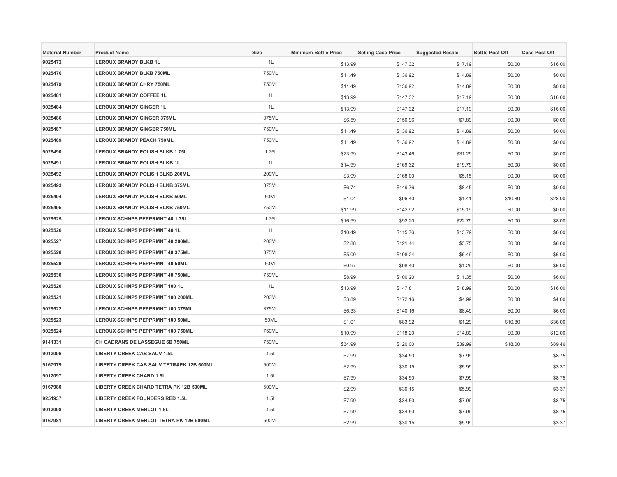| <b>Material Number</b> | <b>Product Name</b>                      | Size  | <b>Minimum Bottle Price</b> | <b>Selling Case Price</b> | <b>Suggested Resale</b> | <b>Bottle Post Off</b> | <b>Case Post Off</b> |
|------------------------|------------------------------------------|-------|-----------------------------|---------------------------|-------------------------|------------------------|----------------------|
| 9025472                | <b>LEROUX BRANDY BLKB 1L</b>             | 1L    | \$13.99                     | \$147.32                  | \$17.19                 | \$0.00                 | \$16.00              |
| 9025476                | <b>LEROUX BRANDY BLKB 750ML</b>          | 750ML | \$11.49                     | \$136.92                  | \$14.89                 | \$0.00                 | \$0.00               |
| 9025479                | <b>LEROUX BRANDY CHRY 750ML</b>          | 750ML | \$11.49                     | \$136.92                  | \$14.89                 | \$0.00                 | \$0.00               |
| 9025481                | <b>LEROUX BRANDY COFFEE 1L</b>           | 1L    | \$13.99                     | \$147.32                  | \$17.19                 | \$0.00                 | \$16.00              |
| 9025484                | <b>LEROUX BRANDY GINGER 1L</b>           | 1L    | \$13.99                     | \$147.32                  | \$17.19                 | \$0.00                 | \$16.00              |
| 9025486                | <b>LEROUX BRANDY GINGER 375ML</b>        | 375ML | \$6.59                      | \$150.96                  | \$7.89                  | \$0.00                 | \$0.00               |
| 9025487                | <b>LEROUX BRANDY GINGER 750ML</b>        | 750ML | \$11.49                     | \$136.92                  | \$14.89                 | \$0.00                 | \$0.00               |
| 9025489                | <b>LEROUX BRANDY PEACH 750ML</b>         | 750ML | \$11.49                     | \$136.92                  | \$14.89                 | \$0.00                 | \$0.00               |
| 9025490                | LEROUX BRANDY POLISH BLKB 1.75L          | 1.75L | \$23.99                     | \$143.46                  | \$31.29                 | \$0.00                 | \$0.00               |
| 9025491                | LEROUX BRANDY POLISH BLKB 1L             | 1L    | \$14.99                     | \$169.32                  | \$19.79                 | \$0.00                 | \$0.00               |
| 9025492                | LEROUX BRANDY POLISH BLKB 200ML          | 200ML | \$3.99                      | \$168.00                  | \$5.15                  | \$0.00                 | \$0.00               |
| 9025493                | LEROUX BRANDY POLISH BLKB 375ML          | 375ML | \$6.74                      | \$149.76                  | \$8.45                  | \$0.00                 | \$0.00               |
| 9025494                | LEROUX BRANDY POLISH BLKB 50ML           | 50ML  | \$1.04                      | \$96.40                   | \$1.41                  | \$10.80                | \$28.00              |
| 9025495                | LEROUX BRANDY POLISH BLKB 750ML          | 750ML | \$11.99                     | \$142.92                  | \$15.19                 | \$0.00                 | \$0.00               |
| 9025525                | <b>LEROUX SCHNPS PEPPRMNT 40 1.75L</b>   | 1.75L | \$16.99                     | \$92.20                   | \$22.79                 | \$0.00                 | \$8.00               |
| 9025526                | <b>LEROUX SCHNPS PEPPRMNT 40 1L</b>      | 1L    | \$10.49                     | \$115.76                  | \$13.79                 | \$0.00                 | \$6.00               |
| 9025527                | LEROUX SCHNPS PEPPRMNT 40 200ML          | 200ML | \$2.88                      | \$121.44                  | \$3.75                  | \$0.00                 | \$6.00               |
| 9025528                | LEROUX SCHNPS PEPPRMNT 40 375ML          | 375ML | \$5.00                      | \$108.24                  | \$6.49                  | \$0.00                 | \$6.00               |
| 9025529                | <b>LEROUX SCHNPS PEPPRMNT 40 50ML</b>    | 50ML  | \$0.97                      | \$98.40                   | \$1.29                  | \$0.00                 | \$6.00               |
| 9025530                | LEROUX SCHNPS PEPPRMNT 40 750ML          | 750ML | \$8.99                      | \$100.20                  | \$11.35                 | \$0.00                 | \$6.00               |
| 9025520                | LEROUX SCHNPS PEPPRMNT 100 1L            | 1L    | \$13.99                     | \$147.81                  | \$18.99                 | \$0.00                 | \$16.00              |
| 9025521                | LEROUX SCHNPS PEPPRMNT 100 200ML         | 200ML | \$3.89                      | \$172.16                  | \$4.99                  | \$0.00                 | \$4.00               |
| 9025522                | LEROUX SCHNPS PEPPRMNT 100 375ML         | 375ML | \$6.33                      | \$140.16                  | \$8.49                  | \$0.00                 | \$6.00               |
| 9025523                | <b>LEROUX SCHNPS PEPPRMNT 100 50ML</b>   | 50ML  | \$1.01                      | \$83.92                   | \$1.29                  | \$10.80                | \$36.00              |
| 9025524                | LEROUX SCHNPS PEPPRMNT 100 750ML         | 750ML | \$10.99                     | \$118.20                  | \$14.89                 | \$0.00                 | \$12.00              |
| 9141331                | CH CADRANS DE LASSEGUE 6B 750ML          | 750ML | \$34.99                     | \$120.00                  | \$39.99                 | \$18.00                | \$89.46              |
| 9012096                | <b>LIBERTY CREEK CAB SAUV 1.5L</b>       | 1.5L  | \$7.99                      | \$34.50                   | \$7.99                  |                        | \$8.75               |
| 9167979                | LIBERTY CREEK CAB SAUV TETRAPK 12B 500ML | 500ML | \$2.99                      | \$30.15                   | \$5.99                  |                        | \$3.37               |
| 9012097                | <b>LIBERTY CREEK CHARD 1.5L</b>          | 1.5L  | \$7.99                      | \$34.50                   | \$7.99                  |                        | \$8.75               |
| 9167980                | LIBERTY CREEK CHARD TETRA PK 12B 500ML   | 500ML | \$2.99                      | \$30.15                   | \$5.99                  |                        | \$3.37               |
| 9251937                | <b>LIBERTY CREEK FOUNDERS RED 1.5L</b>   | 1.5L  | \$7.99                      | \$34.50                   | \$7.99                  |                        | \$8.75               |
| 9012098                | <b>LIBERTY CREEK MERLOT 1.5L</b>         | 1.5L  | \$7.99                      | \$34.50                   | \$7.99                  |                        | \$8.75               |
| 9167981                | LIBERTY CREEK MERLOT TETRA PK 12B 500ML  | 500ML | \$2.99                      | \$30.15                   | \$5.99                  |                        | \$3.37               |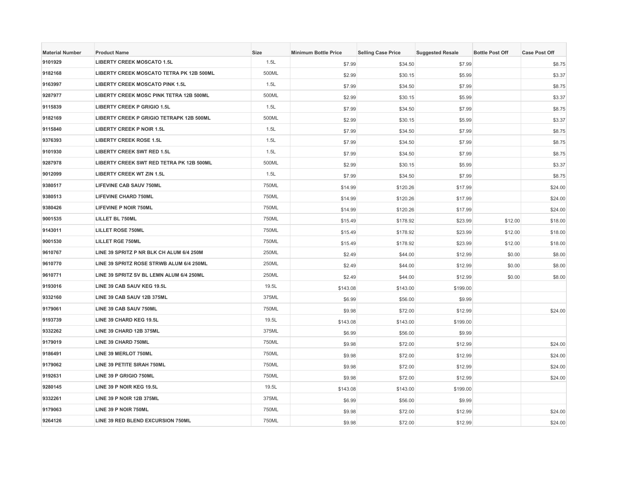| <b>Material Number</b> | <b>Product Name</b>                             | <b>Size</b> | <b>Minimum Bottle Price</b> | <b>Selling Case Price</b> | <b>Suggested Resale</b> | <b>Bottle Post Off</b> | <b>Case Post Off</b> |
|------------------------|-------------------------------------------------|-------------|-----------------------------|---------------------------|-------------------------|------------------------|----------------------|
| 9101929                | <b>LIBERTY CREEK MOSCATO 1.5L</b>               | 1.5L        | \$7.99                      | \$34.50                   | \$7.99                  |                        | \$8.75               |
| 9182168                | LIBERTY CREEK MOSCATO TETRA PK 12B 500ML        | 500ML       | \$2.99                      | \$30.15                   | \$5.99                  |                        | \$3.37               |
| 9163997                | <b>LIBERTY CREEK MOSCATO PINK 1.5L</b>          | 1.5L        | \$7.99                      | \$34.50                   | \$7.99                  |                        | \$8.75               |
| 9287977                | LIBERTY CREEK MOSC PINK TETRA 12B 500ML         | 500ML       | \$2.99                      | \$30.15                   | \$5.99                  |                        | \$3.37               |
| 9115839                | <b>LIBERTY CREEK P GRIGIO 1.5L</b>              | 1.5L        | \$7.99                      | \$34.50                   | \$7.99                  |                        | \$8.75               |
| 9182169                | <b>LIBERTY CREEK P GRIGIO TETRAPK 12B 500ML</b> | 500ML       | \$2.99                      | \$30.15                   | \$5.99                  |                        | \$3.37               |
| 9115840                | <b>LIBERTY CREEK P NOIR 1.5L</b>                | 1.5L        | \$7.99                      | \$34.50                   | \$7.99                  |                        | \$8.75               |
| 9376393                | <b>LIBERTY CREEK ROSE 1.5L</b>                  | 1.5L        | \$7.99                      | \$34.50                   | \$7.99                  |                        | \$8.75               |
| 9101930                | <b>LIBERTY CREEK SWT RED 1.5L</b>               | 1.5L        | \$7.99                      | \$34.50                   | \$7.99                  |                        | \$8.75               |
| 9287978                | LIBERTY CREEK SWT RED TETRA PK 12B 500ML        | 500ML       | \$2.99                      | \$30.15                   | \$5.99                  |                        | \$3.37               |
| 9012099                | <b>LIBERTY CREEK WT ZIN 1.5L</b>                | 1.5L        | \$7.99                      | \$34.50                   | \$7.99                  |                        | \$8.75               |
| 9380517                | <b>LIFEVINE CAB SAUV 750ML</b>                  | 750ML       | \$14.99                     | \$120.26                  | \$17.99                 |                        | \$24.00              |
| 9380513                | <b>LIFEVINE CHARD 750ML</b>                     | 750ML       | \$14.99                     | \$120.26                  | \$17.99                 |                        | \$24.00              |
| 9380426                | <b>LIFEVINE P NOIR 750ML</b>                    | 750ML       | \$14.99                     | \$120.26                  | \$17.99                 |                        | \$24.00              |
| 9001535                | <b>LILLET BL 750ML</b>                          | 750ML       | \$15.49                     | \$178.92                  | \$23.99                 | \$12.00                | \$18.00              |
| 9143011                | <b>LILLET ROSE 750ML</b>                        | 750ML       | \$15.49                     | \$178.92                  | \$23.99                 | \$12.00                | \$18.00              |
| 9001530                | <b>LILLET RGE 750ML</b>                         | 750ML       | \$15.49                     | \$178.92                  | \$23.99                 | \$12.00                | \$18.00              |
| 9610767                | LINE 39 SPRITZ P NR BLK CH ALUM 6/4 250M        | 250ML       | \$2.49                      | \$44.00                   | \$12.99                 | \$0.00                 | \$8.00               |
| 9610770                | LINE 39 SPRITZ ROSE STRWB ALUM 6/4 250ML        | 250ML       | \$2.49                      | \$44.00                   | \$12.99                 | \$0.00                 | \$8.00               |
| 9610771                | LINE 39 SPRITZ SV BL LEMN ALUM 6/4 250ML        | 250ML       | \$2.49                      | \$44.00                   | \$12.99                 | \$0.00                 | \$8.00               |
| 9193016                | LINE 39 CAB SAUV KEG 19.5L                      | 19.5L       | \$143.08                    | \$143.00                  | \$199.00                |                        |                      |
| 9332160                | LINE 39 CAB SAUV 12B 375ML                      | 375ML       | \$6.99                      | \$56.00                   | \$9.99                  |                        |                      |
| 9179061                | LINE 39 CAB SAUV 750ML                          | 750ML       | \$9.98                      | \$72.00                   | \$12.99                 |                        | \$24.00              |
| 9193739                | LINE 39 CHARD KEG 19.5L                         | 19.5L       | \$143.08                    | \$143.00                  | \$199.00                |                        |                      |
| 9332262                | LINE 39 CHARD 12B 375ML                         | 375ML       | \$6.99                      | \$56.00                   | \$9.99                  |                        |                      |
| 9179019                | LINE 39 CHARD 750ML                             | 750ML       | \$9.98                      | \$72.00                   | \$12.99                 |                        | \$24.00              |
| 9186491                | LINE 39 MERLOT 750ML                            | 750ML       | \$9.98                      | \$72.00                   | \$12.99                 |                        | \$24.00              |
| 9179062                | LINE 39 PETITE SIRAH 750ML                      | 750ML       | \$9.98                      | \$72.00                   | \$12.99                 |                        | \$24.00              |
| 9192631                | LINE 39 P GRIGIO 750ML                          | 750ML       | \$9.98                      | \$72.00                   | \$12.99                 |                        | \$24.00              |
| 9280145                | LINE 39 P NOIR KEG 19.5L                        | 19.5L       | \$143.08                    | \$143.00                  | \$199.00                |                        |                      |
| 9332261                | LINE 39 P NOIR 12B 375ML                        | 375ML       | \$6.99                      | \$56.00                   | \$9.99                  |                        |                      |
| 9179063                | LINE 39 P NOIR 750ML                            | 750ML       | \$9.98                      | \$72.00                   | \$12.99                 |                        | \$24.00              |
| 9264126                | LINE 39 RED BLEND EXCURSION 750ML               | 750ML       | \$9.98                      | \$72.00                   | \$12.99                 |                        | \$24.00              |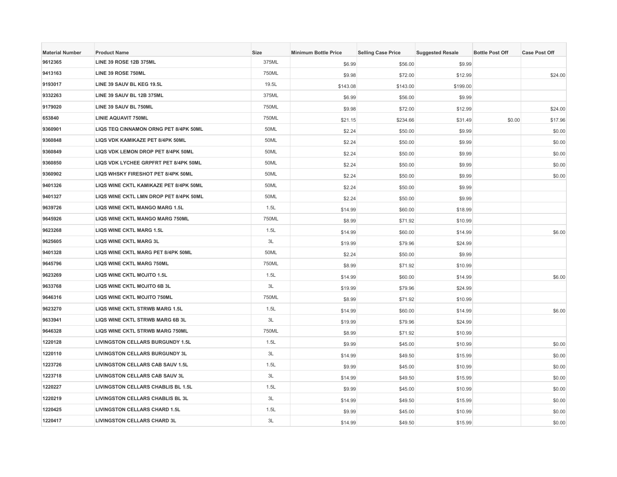| <b>Material Number</b> | <b>Product Name</b>                     | <b>Size</b> | <b>Minimum Bottle Price</b> | <b>Selling Case Price</b> | <b>Suggested Resale</b> | <b>Bottle Post Off</b> | <b>Case Post Off</b> |
|------------------------|-----------------------------------------|-------------|-----------------------------|---------------------------|-------------------------|------------------------|----------------------|
| 9612365                | <b>LINE 39 ROSE 12B 375ML</b>           | 375ML       | \$6.99                      | \$56.00                   | \$9.99                  |                        |                      |
| 9413163                | LINE 39 ROSE 750ML                      | 750ML       | \$9.98                      | \$72.00                   | \$12.99                 |                        | \$24.00              |
| 9193017                | LINE 39 SAUV BL KEG 19.5L               | 19.5L       | \$143.08                    | \$143.00                  | \$199.00                |                        |                      |
| 9332263                | LINE 39 SAUV BL 12B 375ML               | 375ML       | \$6.99                      | \$56.00                   | \$9.99                  |                        |                      |
| 9179020                | LINE 39 SAUV BL 750ML                   | 750ML       | \$9.98                      | \$72.00                   | \$12.99                 |                        | \$24.00              |
| 653840                 | <b>LINIE AQUAVIT 750ML</b>              | 750ML       | \$21.15                     | \$234.66                  | \$31.49                 | \$0.00                 | \$17.96              |
| 9360901                | LIQS TEQ CINNAMON ORNG PET 8/4PK 50ML   | 50ML        | \$2.24                      | \$50.00                   | \$9.99                  |                        | \$0.00               |
| 9360848                | LIQS VDK KAMIKAZE PET 8/4PK 50ML        | 50ML        | \$2.24                      | \$50.00                   | \$9.99                  |                        | \$0.00               |
| 9360849                | LIQS VDK LEMON DROP PET 8/4PK 50ML      | 50ML        | \$2.24                      | \$50.00                   | \$9.99                  |                        | \$0.00               |
| 9360850                | LIQS VDK LYCHEE GRPFRT PET 8/4PK 50ML   | 50ML        | \$2.24                      | \$50.00                   | \$9.99                  |                        | \$0.00               |
| 9360902                | LIQS WHSKY FIRESHOT PET 8/4PK 50ML      | 50ML        | \$2.24                      | \$50.00                   | \$9.99                  |                        | \$0.00               |
| 9401326                | LIQS WINE CKTL KAMIKAZE PET 8/4PK 50ML  | 50ML        | \$2.24                      | \$50.00                   | \$9.99                  |                        |                      |
| 9401327                | LIQS WINE CKTL LMN DROP PET 8/4PK 50ML  | 50ML        | \$2.24                      | \$50.00                   | \$9.99                  |                        |                      |
| 9639726                | LIQS WINE CKTL MANGO MARG 1.5L          | 1.5L        | \$14.99                     | \$60.00                   | \$18.99                 |                        |                      |
| 9645926                | LIQS WINE CKTL MANGO MARG 750ML         | 750ML       | \$8.99                      | \$71.92                   | \$10.99                 |                        |                      |
| 9623268                | <b>LIQS WINE CKTL MARG 1.5L</b>         | 1.5L        | \$14.99                     | \$60.00                   | \$14.99                 |                        | \$6.00               |
| 9625605                | LIQS WINE CKTL MARG 3L                  | 3L          | \$19.99                     | \$79.96                   | \$24.99                 |                        |                      |
| 9401328                | LIQS WINE CKTL MARG PET 8/4PK 50ML      | 50ML        | \$2.24                      | \$50.00                   | \$9.99                  |                        |                      |
| 9645796                | <b>LIQS WINE CKTL MARG 750ML</b>        | 750ML       | \$8.99                      | \$71.92                   | \$10.99                 |                        |                      |
| 9623269                | LIQS WINE CKTL MOJITO 1.5L              | 1.5L        | \$14.99                     | \$60.00                   | \$14.99                 |                        | \$6.00               |
| 9633768                | LIQS WINE CKTL MOJITO 6B 3L             | 3L          | \$19.99                     | \$79.96                   | \$24.99                 |                        |                      |
| 9646316                | LIQS WINE CKTL MOJITO 750ML             | 750ML       | \$8.99                      | \$71.92                   | \$10.99                 |                        |                      |
| 9623270                | LIQS WINE CKTL STRWB MARG 1.5L          | 1.5L        | \$14.99                     | \$60.00                   | \$14.99                 |                        | \$6.00               |
| 9633941                | LIQS WINE CKTL STRWB MARG 6B 3L         | 3L          | \$19.99                     | \$79.96                   | \$24.99                 |                        |                      |
| 9646328                | LIQS WINE CKTL STRWB MARG 750ML         | 750ML       | \$8.99                      | \$71.92                   | \$10.99                 |                        |                      |
| 1220128                | <b>LIVINGSTON CELLARS BURGUNDY 1.5L</b> | 1.5L        | \$9.99                      | \$45.00                   | \$10.99                 |                        | \$0.00               |
| 1220110                | LIVINGSTON CELLARS BURGUNDY 3L          | 3L          | \$14.99                     | \$49.50                   | \$15.99                 |                        | \$0.00               |
| 1223726                | <b>LIVINGSTON CELLARS CAB SAUV 1.5L</b> | 1.5L        | \$9.99                      | \$45.00                   | \$10.99                 |                        | \$0.00               |
| 1223718                | LIVINGSTON CELLARS CAB SAUV 3L          | 3L          | \$14.99                     | \$49.50                   | \$15.99                 |                        | \$0.00               |
| 1220227                | LIVINGSTON CELLARS CHABLIS BL 1.5L      | 1.5L        | \$9.99                      | \$45.00                   | \$10.99                 |                        | \$0.00               |
| 1220219                | LIVINGSTON CELLARS CHABLIS BL 3L        | 3L          | \$14.99                     | \$49.50                   | \$15.99                 |                        | \$0.00               |
| 1220425                | <b>LIVINGSTON CELLARS CHARD 1.5L</b>    | 1.5L        | \$9.99                      | \$45.00                   | \$10.99                 |                        | \$0.00               |
| 1220417                | <b>LIVINGSTON CELLARS CHARD 3L</b>      | 3L          | \$14.99                     | \$49.50                   | \$15.99                 |                        | \$0.00               |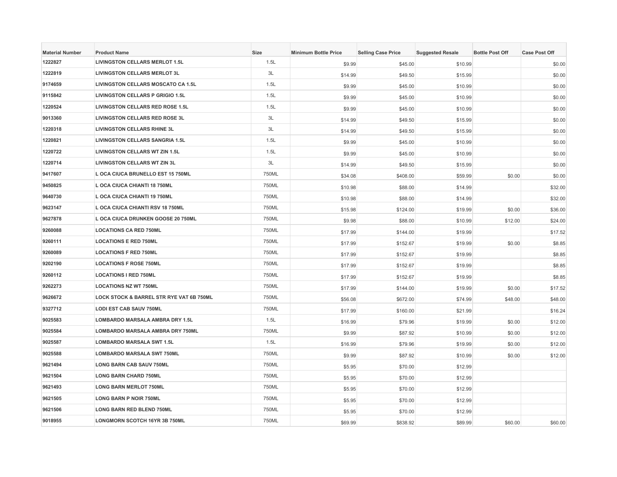| <b>Material Number</b> | <b>Product Name</b>                       | <b>Size</b> | <b>Minimum Bottle Price</b> | <b>Selling Case Price</b> | <b>Suggested Resale</b> | <b>Bottle Post Off</b> | <b>Case Post Off</b> |
|------------------------|-------------------------------------------|-------------|-----------------------------|---------------------------|-------------------------|------------------------|----------------------|
| 1222827                | <b>LIVINGSTON CELLARS MERLOT 1.5L</b>     | 1.5L        | \$9.99                      | \$45.00                   | \$10.99                 |                        | \$0.00               |
| 1222819                | <b>LIVINGSTON CELLARS MERLOT 3L</b>       | 3L          | \$14.99                     | \$49.50                   | \$15.99                 |                        | \$0.00               |
| 9174659                | <b>LIVINGSTON CELLARS MOSCATO CA 1.5L</b> | 1.5L        | \$9.99                      | \$45.00                   | \$10.99                 |                        | \$0.00               |
| 9115842                | <b>LIVINGSTON CELLARS P GRIGIO 1.5L</b>   | 1.5L        | \$9.99                      | \$45.00                   | \$10.99                 |                        | \$0.00               |
| 1220524                | LIVINGSTON CELLARS RED ROSE 1.5L          | 1.5L        | \$9.99                      | \$45.00                   | \$10.99                 |                        | \$0.00               |
| 9013360                | <b>LIVINGSTON CELLARS RED ROSE 3L</b>     | 3L          | \$14.99                     | \$49.50                   | \$15.99                 |                        | \$0.00               |
| 1220318                | <b>LIVINGSTON CELLARS RHINE 3L</b>        | 3L          | \$14.99                     | \$49.50                   | \$15.99                 |                        | \$0.00               |
| 1220821                | <b>LIVINGSTON CELLARS SANGRIA 1.5L</b>    | 1.5L        | \$9.99                      | \$45.00                   | \$10.99                 |                        | \$0.00               |
| 1220722                | <b>LIVINGSTON CELLARS WT ZIN 1.5L</b>     | 1.5L        | \$9.99                      | \$45.00                   | \$10.99                 |                        | \$0.00               |
| 1220714                | <b>LIVINGSTON CELLARS WT ZIN 3L</b>       | 3L          | \$14.99                     | \$49.50                   | \$15.99                 |                        | \$0.00               |
| 9417607                | L OCA CIUCA BRUNELLO EST 15 750ML         | 750ML       | \$34.08                     | \$408.00                  | \$59.99                 | \$0.00                 | \$0.00               |
| 9450825                | L OCA CIUCA CHIANTI 18 750ML              | 750ML       | \$10.98                     | \$88.00                   | \$14.99                 |                        | \$32.00              |
| 9640730                | L OCA CIUCA CHIANTI 19 750ML              | 750ML       | \$10.98                     | \$88.00                   | \$14.99                 |                        | \$32.00              |
| 9623147                | L OCA CIUCA CHIANTI RSV 18 750ML          | 750ML       | \$15.98                     | \$124.00                  | \$19.99                 | \$0.00                 | \$36.00              |
| 9627878                | <b>L OCA CIUCA DRUNKEN GOOSE 20 750ML</b> | 750ML       | \$9.98                      | \$88.00                   | \$10.99                 | \$12.00                | \$24.00              |
| 9260088                | <b>LOCATIONS CA RED 750ML</b>             | 750ML       | \$17.99                     | \$144.00                  | \$19.99                 |                        | \$17.52              |
| 9260111                | <b>LOCATIONS E RED 750ML</b>              | 750ML       | \$17.99                     | \$152.67                  | \$19.99                 | \$0.00                 | \$8.85               |
| 9260089                | <b>LOCATIONS F RED 750ML</b>              | 750ML       | \$17.99                     | \$152.67                  | \$19.99                 |                        | \$8.85               |
| 9202190                | <b>LOCATIONS F ROSE 750ML</b>             | 750ML       | \$17.99                     | \$152.67                  | \$19.99                 |                        | \$8.85               |
| 9260112                | <b>LOCATIONS I RED 750ML</b>              | 750ML       | \$17.99                     | \$152.67                  | \$19.99                 |                        | \$8.85               |
| 9262273                | <b>LOCATIONS NZ WT 750ML</b>              | 750ML       | \$17.99                     | \$144.00                  | \$19.99                 | \$0.00                 | \$17.52              |
| 9626672                | LOCK STOCK & BARREL STR RYE VAT 6B 750ML  | 750ML       | \$56.08                     | \$672.00                  | \$74.99                 | \$48.00                | \$48.00              |
| 9327712                | <b>LODI EST CAB SAUV 750ML</b>            | 750ML       | \$17.99                     | \$160.00                  | \$21.99                 |                        | \$16.24              |
| 9025583                | LOMBARDO MARSALA AMBRA DRY 1.5L           | 1.5L        | \$16.99                     | \$79.96                   | \$19.99                 | \$0.00                 | \$12.00              |
| 9025584                | LOMBARDO MARSALA AMBRA DRY 750ML          | 750ML       | \$9.99                      | \$87.92                   | \$10.99                 | \$0.00                 | \$12.00              |
| 9025587                | <b>LOMBARDO MARSALA SWT 1.5L</b>          | 1.5L        | \$16.99                     | \$79.96                   | \$19.99                 | \$0.00                 | \$12.00              |
| 9025588                | <b>LOMBARDO MARSALA SWT 750ML</b>         | 750ML       | \$9.99                      | \$87.92                   | \$10.99                 | \$0.00                 | \$12.00              |
| 9621494                | <b>LONG BARN CAB SAUV 750ML</b>           | 750ML       | \$5.95                      | \$70.00                   | \$12.99                 |                        |                      |
| 9621504                | <b>LONG BARN CHARD 750ML</b>              | 750ML       | \$5.95                      | \$70.00                   | \$12.99                 |                        |                      |
| 9621493                | <b>LONG BARN MERLOT 750ML</b>             | 750ML       | \$5.95                      | \$70.00                   | \$12.99                 |                        |                      |
| 9621505                | <b>LONG BARN P NOIR 750ML</b>             | 750ML       | \$5.95                      | \$70.00                   | \$12.99                 |                        |                      |
| 9621506                | <b>LONG BARN RED BLEND 750ML</b>          | 750ML       | \$5.95                      | \$70.00                   | \$12.99                 |                        |                      |
| 9018955                | <b>LONGMORN SCOTCH 16YR 3B 750ML</b>      | 750ML       | \$69.99                     | \$838.92                  | \$89.99                 | \$60.00                | \$60.00              |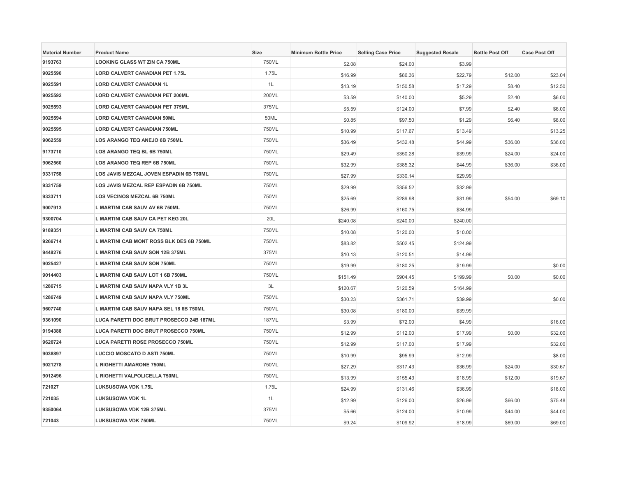| <b>Material Number</b> | <b>Product Name</b>                      | <b>Size</b> | <b>Minimum Bottle Price</b> | <b>Selling Case Price</b> | <b>Suggested Resale</b> | <b>Bottle Post Off</b> | <b>Case Post Off</b> |
|------------------------|------------------------------------------|-------------|-----------------------------|---------------------------|-------------------------|------------------------|----------------------|
| 9193763                | <b>LOOKING GLASS WT ZIN CA 750ML</b>     | 750ML       | \$2.08                      | \$24.00                   | \$3.99                  |                        |                      |
| 9025590                | <b>LORD CALVERT CANADIAN PET 1.75L</b>   | 1.75L       | \$16.99                     | \$86.36                   | \$22.79                 | \$12.00                | \$23.04              |
| 9025591                | <b>LORD CALVERT CANADIAN 1L</b>          | 1L          | \$13.19                     | \$150.58                  | \$17.29                 | \$8.40                 | \$12.50              |
| 9025592                | <b>LORD CALVERT CANADIAN PET 200ML</b>   | 200ML       | \$3.59                      | \$140.00                  | \$5.29                  | \$2.40                 | \$6.00               |
| 9025593                | LORD CALVERT CANADIAN PET 375ML          | 375ML       | \$5.59                      | \$124.00                  | \$7.99                  | \$2.40                 | \$6.00               |
| 9025594                | <b>LORD CALVERT CANADIAN 50ML</b>        | 50ML        | \$0.85                      | \$97.50                   | \$1.29                  | \$6.40                 | \$8.00               |
| 9025595                | <b>LORD CALVERT CANADIAN 750ML</b>       | 750ML       | \$10.99                     | \$117.67                  | \$13.49                 |                        | \$13.25              |
| 9062559                | LOS ARANGO TEQ ANEJO 6B 750ML            | 750ML       | \$36.49                     | \$432.48                  | \$44.99                 | \$36.00                | \$36.00              |
| 9173710                | LOS ARANGO TEQ BL 6B 750ML               | 750ML       | \$29.49                     | \$350.28                  | \$39.99                 | \$24.00                | \$24.00              |
| 9062560                | LOS ARANGO TEQ REP 6B 750ML              | 750ML       | \$32.99                     | \$385.32                  | \$44.99                 | \$36.00                | \$36.00              |
| 9331758                | LOS JAVIS MEZCAL JOVEN ESPADIN 6B 750ML  | 750ML       | \$27.99                     | \$330.14                  | \$29.99                 |                        |                      |
| 9331759                | LOS JAVIS MEZCAL REP ESPADIN 6B 750ML    | 750ML       | \$29.99                     | \$356.52                  | \$32.99                 |                        |                      |
| 9333711                | LOS VECINOS MEZCAL 6B 750ML              | 750ML       | \$25.69                     | \$289.98                  | \$31.99                 | \$54.00                | \$69.10              |
| 9007913                | L MARTINI CAB SAUV AV 6B 750ML           | 750ML       | \$26.99                     | \$160.75                  | \$34.99                 |                        |                      |
| 9300704                | L MARTINI CAB SAUV CA PET KEG 20L        | 20L         | \$240.08                    | \$240.00                  | \$240.00                |                        |                      |
| 9189351                | L MARTINI CAB SAUV CA 750ML              | 750ML       | \$10.08                     | \$120.00                  | \$10.00                 |                        |                      |
| 9266714                | L MARTINI CAB MONT ROSS BLK DES 6B 750ML | 750ML       | \$83.82                     | \$502.45                  | \$124.99                |                        |                      |
| 9448276                | L MARTINI CAB SAUV SON 12B 375ML         | 375ML       | \$10.13                     | \$120.51                  | \$14.99                 |                        |                      |
| 9025427                | L MARTINI CAB SAUV SON 750ML             | 750ML       | \$19.99                     | \$180.25                  | \$19.99                 |                        | \$0.00               |
| 9014403                | L MARTINI CAB SAUV LOT 1 6B 750ML        | 750ML       | \$151.49                    | \$904.45                  | \$199.99                | \$0.00                 | \$0.00               |
| 1286715                | L MARTINI CAB SAUV NAPA VLY 1B 3L        | 3L          | \$120.67                    | \$120.59                  | \$164.99                |                        |                      |
| 1286749                | L MARTINI CAB SAUV NAPA VLY 750ML        | 750ML       | \$30.23                     | \$361.71                  | \$39.99                 |                        | \$0.00               |
| 9607740                | L MARTINI CAB SAUV NAPA SEL 18 6B 750ML  | 750ML       | \$30.08                     | \$180.00                  | \$39.99                 |                        |                      |
| 9361090                | LUCA PARETTI DOC BRUT PROSECCO 24B 187ML | 187ML       | \$3.99                      | \$72.00                   | \$4.99                  |                        | \$16.00              |
| 9194388                | LUCA PARETTI DOC BRUT PROSECCO 750ML     | 750ML       | \$12.99                     | \$112.00                  | \$17.99                 | \$0.00                 | \$32.00              |
| 9620724                | LUCA PARETTI ROSE PROSECCO 750ML         | 750ML       | \$12.99                     | \$117.00                  | \$17.99                 |                        | \$32.00              |
| 9038897                | <b>LUCCIO MOSCATO D ASTI 750ML</b>       | 750ML       | \$10.99                     | \$95.99                   | \$12.99                 |                        | \$8.00               |
| 9021278                | L RIGHETTI AMARONE 750ML                 | 750ML       | \$27.29                     | \$317.43                  | \$36.99                 | \$24.00                | \$30.67              |
| 9012496                | L RIGHETTI VALPOLICELLA 750ML            | 750ML       | \$13.99                     | \$155.43                  | \$18.99                 | \$12.00                | \$19.67              |
| 721027                 | LUKSUSOWA VDK 1.75L                      | 1.75L       | \$24.99                     | \$131.46                  | \$36.99                 |                        | \$18.00              |
| 721035                 | LUKSUSOWA VDK 1L                         | 1L          | \$12.99                     | \$126.00                  | \$26.99                 | \$66.00                | \$75.48              |
| 9350064                | LUKSUSOWA VDK 12B 375ML                  | 375ML       | \$5.66                      | \$124.00                  | \$10.99                 | \$44.00                | \$44.00              |
| 721043                 | <b>LUKSUSOWA VDK 750ML</b>               | 750ML       | \$9.24                      | \$109.92                  | \$18.99                 | \$69.00                | \$69.00              |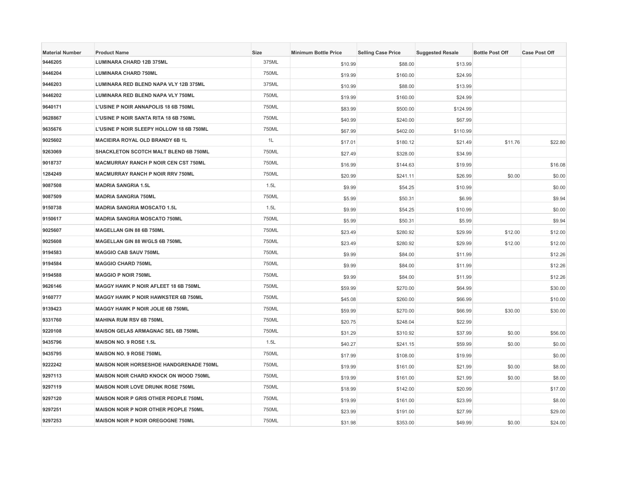| <b>Material Number</b> | <b>Product Name</b>                          | Size  | <b>Minimum Bottle Price</b> | <b>Selling Case Price</b> | <b>Suggested Resale</b> | <b>Bottle Post Off</b> | <b>Case Post Off</b> |
|------------------------|----------------------------------------------|-------|-----------------------------|---------------------------|-------------------------|------------------------|----------------------|
| 9446205                | <b>LUMINARA CHARD 12B 375ML</b>              | 375ML | \$10.99                     | \$88.00                   | \$13.99                 |                        |                      |
| 9446204                | <b>LUMINARA CHARD 750ML</b>                  | 750ML | \$19.99                     | \$160.00                  | \$24.99                 |                        |                      |
| 9446203                | LUMINARA RED BLEND NAPA VLY 12B 375ML        | 375ML | \$10.99                     | \$88.00                   | \$13.99                 |                        |                      |
| 9446202                | LUMINARA RED BLEND NAPA VLY 750ML            | 750ML | \$19.99                     | \$160.00                  | \$24.99                 |                        |                      |
| 9640171                | L'USINE P NOIR ANNAPOLIS 18 6B 750ML         | 750ML | \$83.99                     | \$500.00                  | \$124.99                |                        |                      |
| 9628867                | L'USINE P NOIR SANTA RITA 18 6B 750ML        | 750ML | \$40.99                     | \$240.00                  | \$67.99                 |                        |                      |
| 9635676                | L'USINE P NOIR SLEEPY HOLLOW 18 6B 750ML     | 750ML | \$67.99                     | \$402.00                  | \$110.99                |                        |                      |
| 9025602                | <b>MACIEIRA ROYAL OLD BRANDY 6B 1L</b>       | 1L    | \$17.01                     | \$180.12                  | \$21.49                 | \$11.76                | \$22.80              |
| 9263069                | SHACKLETON SCOTCH MALT BLEND 6B 750ML        | 750ML | \$27.49                     | \$328.00                  | \$34.99                 |                        |                      |
| 9018737                | <b>MACMURRAY RANCH P NOIR CEN CST 750ML</b>  | 750ML | \$16.99                     | \$144.63                  | \$19.99                 |                        | \$16.08              |
| 1284249                | <b>MACMURRAY RANCH P NOIR RRV 750ML</b>      | 750ML | \$20.99                     | \$241.11                  | \$26.99                 | \$0.00                 | \$0.00               |
| 9087508                | <b>MADRIA SANGRIA 1.5L</b>                   | 1.5L  | \$9.99                      | \$54.25                   | \$10.99                 |                        | \$0.00               |
| 9087509                | <b>MADRIA SANGRIA 750ML</b>                  | 750ML | \$5.99                      | \$50.31                   | \$6.99                  |                        | \$9.94               |
| 9150738                | <b>MADRIA SANGRIA MOSCATO 1.5L</b>           | 1.5L  | \$9.99                      | \$54.25                   | \$10.99                 |                        | \$0.00               |
| 9150617                | <b>MADRIA SANGRIA MOSCATO 750ML</b>          | 750ML | \$5.99                      | \$50.31                   | \$5.99                  |                        | \$9.94               |
| 9025607                | MAGELLAN GIN 88 6B 750ML                     | 750ML | \$23.49                     | \$280.92                  | \$29.99                 | \$12.00                | \$12.00              |
| 9025608                | MAGELLAN GIN 88 W/GLS 6B 750ML               | 750ML | \$23.49                     | \$280.92                  | \$29.99                 | \$12.00                | \$12.00              |
| 9194583                | <b>MAGGIO CAB SAUV 750ML</b>                 | 750ML | \$9.99                      | \$84.00                   | \$11.99                 |                        | \$12.26              |
| 9194584                | <b>MAGGIO CHARD 750ML</b>                    | 750ML | \$9.99                      | \$84.00                   | \$11.99                 |                        | \$12.26              |
| 9194588                | <b>MAGGIO P NOIR 750ML</b>                   | 750ML | \$9.99                      | \$84.00                   | \$11.99                 |                        | \$12.26              |
| 9626146                | MAGGY HAWK P NOIR AFLEET 18 6B 750ML         | 750ML | \$59.99                     | \$270.00                  | \$64.99                 |                        | \$30.00              |
| 9160777                | <b>MAGGY HAWK P NOIR HAWKSTER 6B 750ML</b>   | 750ML | \$45.08                     | \$260.00                  | \$66.99                 |                        | \$10.00              |
| 9139423                | <b>MAGGY HAWK P NOIR JOLIE 6B 750ML</b>      | 750ML | \$59.99                     | \$270.00                  | \$66.99                 | \$30.00                | \$30.00              |
| 9331760                | <b>MAHINA RUM RSV 6B 750ML</b>               | 750ML | \$20.75                     | \$248.04                  | \$22.99                 |                        |                      |
| 9220108                | MAISON GELAS ARMAGNAC SEL 6B 750ML           | 750ML | \$31.29                     | \$310.92                  | \$37.99                 | \$0.00                 | \$56.00              |
| 9435796                | MAISON NO. 9 ROSE 1.5L                       | 1.5L  | \$40.27                     | \$241.15                  | \$59.99                 | \$0.00                 | \$0.00               |
| 9435795                | <b>MAISON NO. 9 ROSE 750ML</b>               | 750ML | \$17.99                     | \$108.00                  | \$19.99                 |                        | \$0.00               |
| 9222242                | MAISON NOIR HORSESHOE HANDGRENADE 750ML      | 750ML | \$19.99                     | \$161.00                  | \$21.99                 | \$0.00                 | \$8.00               |
| 9297113                | <b>MAISON NOIR CHARD KNOCK ON WOOD 750ML</b> | 750ML | \$19.99                     | \$161.00                  | \$21.99                 | \$0.00                 | \$8.00               |
| 9297119                | <b>MAISON NOIR LOVE DRUNK ROSE 750ML</b>     | 750ML | \$18.99                     | \$142.00                  | \$20.99                 |                        | \$17.00              |
| 9297120                | MAISON NOIR P GRIS OTHER PEOPLE 750ML        | 750ML | \$19.99                     | \$161.00                  | \$23.99                 |                        | \$8.00               |
| 9297251                | <b>MAISON NOIR P NOIR OTHER PEOPLE 750ML</b> | 750ML | \$23.99                     | \$191.00                  | \$27.99                 |                        | \$29.00              |
| 9297253                | MAISON NOIR P NOIR OREGOGNE 750ML            | 750ML | \$31.98                     | \$353.00                  | \$49.99                 | \$0.00                 | \$24.00              |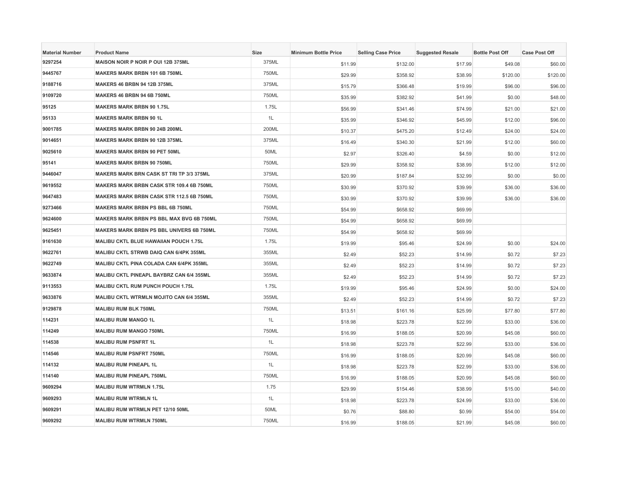| <b>Material Number</b> | <b>Product Name</b>                             | <b>Size</b> | <b>Minimum Bottle Price</b> | <b>Selling Case Price</b> | <b>Suggested Resale</b> | <b>Bottle Post Off</b> | <b>Case Post Off</b> |
|------------------------|-------------------------------------------------|-------------|-----------------------------|---------------------------|-------------------------|------------------------|----------------------|
| 9297254                | MAISON NOIR P NOIR P OUI 12B 375ML              | 375ML       | \$11.99                     | \$132.00                  | \$17.99                 | \$49.08                | \$60.00              |
| 9445767                | <b>MAKERS MARK BRBN 101 6B 750ML</b>            | 750ML       | \$29.99                     | \$358.92                  | \$38.99                 | \$120.00               | \$120.00             |
| 9188716                | <b>MAKERS 46 BRBN 94 12B 375ML</b>              | 375ML       | \$15.79                     | \$366.48                  | \$19.99                 | \$96.00                | \$96.00              |
| 9109720                | MAKERS 46 BRBN 94 6B 750ML                      | 750ML       | \$35.99                     | \$382.92                  | \$41.99                 | \$0.00                 | \$48.00              |
| 95125                  | <b>MAKERS MARK BRBN 90 1.75L</b>                | 1.75L       | \$56.99                     | \$341.46                  | \$74.99                 | \$21.00                | \$21.00              |
| 95133                  | <b>MAKERS MARK BRBN 90 1L</b>                   | 1L          | \$35.99                     | \$346.92                  | \$45.99                 | \$12.00                | \$96.00              |
| 9001785                | <b>MAKERS MARK BRBN 90 24B 200ML</b>            | 200ML       | \$10.37                     | \$475.20                  | \$12.49                 | \$24.00                | \$24.00              |
| 9014651                | <b>MAKERS MARK BRBN 90 12B 375ML</b>            | 375ML       | \$16.49                     | \$340.30                  | \$21.99                 | \$12.00                | \$60.00              |
| 9025610                | <b>MAKERS MARK BRBN 90 PET 50ML</b>             | 50ML        | \$2.97                      | \$326.40                  | \$4.59                  | \$0.00                 | \$12.00              |
| 95141                  | <b>MAKERS MARK BRBN 90 750ML</b>                | 750ML       | \$29.99                     | \$358.92                  | \$38.99                 | \$12.00                | \$12.00              |
| 9446047                | <b>MAKERS MARK BRN CASK ST TRI TP 3/3 375ML</b> | 375ML       | \$20.99                     | \$187.84                  | \$32.99                 | \$0.00                 | \$0.00               |
| 9619552                | MAKERS MARK BRBN CASK STR 109.4 6B 750ML        | 750ML       | \$30.99                     | \$370.92                  | \$39.99                 | \$36.00                | \$36.00              |
| 9647483                | MAKERS MARK BRBN CASK STR 112.5 6B 750ML        | 750ML       | \$30.99                     | \$370.92                  | \$39.99                 | \$36.00                | \$36.00              |
| 9273466                | <b>MAKERS MARK BRBN PS BBL 6B 750ML</b>         | 750ML       | \$54.99                     | \$658.92                  | \$69.99                 |                        |                      |
| 9624600                | <b>MAKERS MARK BRBN PS BBL MAX BVG 6B 750ML</b> | 750ML       | \$54.99                     | \$658.92                  | \$69.99                 |                        |                      |
| 9625451                | <b>MAKERS MARK BRBN PS BBL UNIVERS 6B 750ML</b> | 750ML       | \$54.99                     | \$658.92                  | \$69.99                 |                        |                      |
| 9161630                | MALIBU CKTL BLUE HAWAIIAN POUCH 1.75L           | 1.75L       | \$19.99                     | \$95.46                   | \$24.99                 | \$0.00                 | \$24.00              |
| 9622761                | MALIBU CKTL STRWB DAIQ CAN 6/4PK 355ML          | 355ML       | \$2.49                      | \$52.23                   | \$14.99                 | \$0.72                 | \$7.23               |
| 9622749                | MALIBU CKTL PINA COLADA CAN 6/4PK 355ML         | 355ML       | \$2.49                      | \$52.23                   | \$14.99                 | \$0.72                 | \$7.23               |
| 9633874                | MALIBU CKTL PINEAPL BAYBRZ CAN 6/4 355ML        | 355ML       | \$2.49                      | \$52.23                   | \$14.99                 | \$0.72                 | \$7.23               |
| 9113553                | MALIBU CKTL RUM PUNCH POUCH 1.75L               | 1.75L       | \$19.99                     | \$95.46                   | \$24.99                 | \$0.00                 | \$24.00              |
| 9633876                | <b>MALIBU CKTL WTRMLN MOJITO CAN 6/4 355ML</b>  | 355ML       | \$2.49                      | \$52.23                   | \$14.99                 | \$0.72                 | \$7.23               |
| 9129878                | <b>MALIBU RUM BLK 750ML</b>                     | 750ML       | \$13.51                     | \$161.16                  | \$25.99                 | \$77.80                | \$77.80              |
| 114231                 | <b>MALIBU RUM MANGO 1L</b>                      | 1L          | \$18.98                     | \$223.78                  | \$22.99                 | \$33.00                | \$36.00              |
| 114249                 | <b>MALIBU RUM MANGO 750ML</b>                   | 750ML       | \$16.99                     | \$188.05                  | \$20.99                 | \$45.08                | \$60.00              |
| 114538                 | <b>MALIBU RUM PSNFRT 1L</b>                     | 1L          | \$18.98                     | \$223.78                  | \$22.99                 | \$33.00                | \$36.00              |
| 114546                 | <b>MALIBU RUM PSNFRT 750ML</b>                  | 750ML       | \$16.99                     | \$188.05                  | \$20.99                 | \$45.08                | \$60.00              |
| 114132                 | <b>MALIBU RUM PINEAPL 1L</b>                    | 1L          | \$18.98                     | \$223.78                  | \$22.99                 | \$33.00                | \$36.00              |
| 114140                 | <b>MALIBU RUM PINEAPL 750ML</b>                 | 750ML       | \$16.99                     | \$188.05                  | \$20.99                 | \$45.08                | \$60.00              |
| 9609294                | <b>MALIBU RUM WTRMLN 1.75L</b>                  | 1.75        | \$29.99                     | \$154.46                  | \$38.99                 | \$15.00                | \$40.00              |
| 9609293                | <b>MALIBU RUM WTRMLN 1L</b>                     | 1L          | \$18.98                     | \$223.78                  | \$24.99                 | \$33.00                | \$36.00              |
| 9609291                | MALIBU RUM WTRMLN PET 12/10 50ML                | 50ML        | \$0.76                      | \$88.80                   | \$0.99                  | \$54.00                | \$54.00              |
| 9609292                | <b>MALIBU RUM WTRMLN 750ML</b>                  | 750ML       | \$16.99                     | \$188.05                  | \$21.99                 | \$45.08                | \$60.00              |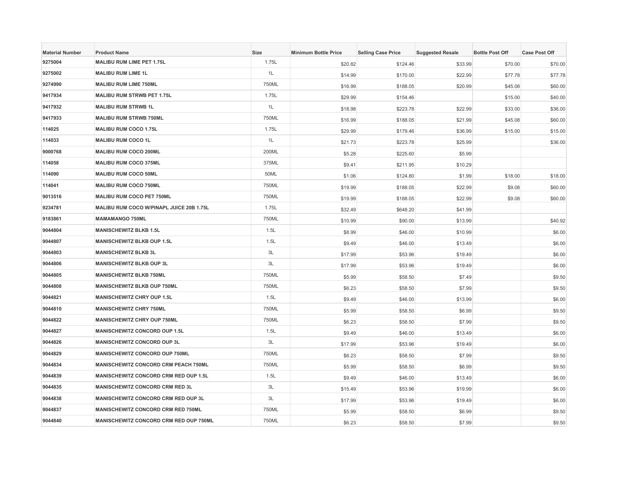| <b>Material Number</b> | <b>Product Name</b>                       | <b>Size</b> | <b>Minimum Bottle Price</b> | <b>Selling Case Price</b> | <b>Suggested Resale</b> | <b>Bottle Post Off</b> | <b>Case Post Off</b> |
|------------------------|-------------------------------------------|-------------|-----------------------------|---------------------------|-------------------------|------------------------|----------------------|
| 9275004                | <b>MALIBU RUM LIME PET 1.75L</b>          | 1.75L       | \$20.82                     | \$124.46                  | \$33.99                 | \$70.00                | \$70.00              |
| 9275002                | <b>MALIBU RUM LIME 1L</b>                 | 1L          | \$14.99                     | \$170.00                  | \$22.99                 | \$77.78                | \$77.78              |
| 9274990                | <b>MALIBU RUM LIME 750ML</b>              | 750ML       | \$16.99                     | \$188.05                  | \$20.99                 | \$45.08                | \$60.00              |
| 9417934                | <b>MALIBU RUM STRWB PET 1.75L</b>         | 1.75L       | \$29.99                     | \$154.46                  |                         | \$15.00                | \$40.00              |
| 9417932                | <b>MALIBU RUM STRWB 1L</b>                | 1L          | \$18.98                     | \$223.78                  | \$22.99                 | \$33.00                | \$36.00              |
| 9417933                | <b>MALIBU RUM STRWB 750ML</b>             | 750ML       | \$16.99                     | \$188.05                  | \$21.99                 | \$45.08                | \$60.00              |
| 114025                 | <b>MALIBU RUM COCO 1.75L</b>              | 1.75L       | \$29.99                     | \$179.46                  | \$36.99                 | \$15.00                | \$15.00              |
| 114033                 | <b>MALIBU RUM COCO 1L</b>                 | 1L          | \$21.73                     | \$223.78                  | \$25.99                 |                        | \$36.00              |
| 9000768                | <b>MALIBU RUM COCO 200ML</b>              | 200ML       | \$5.28                      | \$225.60                  | \$5.99                  |                        |                      |
| 114058                 | <b>MALIBU RUM COCO 375ML</b>              | 375ML       | \$9.41                      | \$211.95                  | \$10.29                 |                        |                      |
| 114090                 | <b>MALIBU RUM COCO 50ML</b>               | 50ML        | \$1.06                      | \$124.80                  | \$1.99                  | \$18.00                | \$18.00              |
| 114041                 | <b>MALIBU RUM COCO 750ML</b>              | 750ML       | \$19.99                     | \$188.05                  | \$22.99                 | \$9.08                 | \$60.00              |
| 9013516                | MALIBU RUM COCO PET 750ML                 | 750ML       | \$19.99                     | \$188.05                  | \$22.99                 | \$9.08                 | \$60.00              |
| 9234781                | MALIBU RUM COCO W/PINAPL JUICE 20B 1.75L  | 1.75L       | \$32.49                     | \$648.20                  | \$41.99                 |                        |                      |
| 9183861                | <b>MAMAMANGO 750ML</b>                    | 750ML       | \$10.99                     | \$90.00                   | \$13.99                 |                        | \$40.92              |
| 9044804                | <b>MANISCHEWITZ BLKB 1.5L</b>             | 1.5L        | \$8.99                      | \$46.00                   | \$10.99                 |                        | \$6.00               |
| 9044807                | <b>MANISCHEWITZ BLKB OUP 1.5L</b>         | 1.5L        | \$9.49                      | \$46.00                   | \$13.49                 |                        | \$6.00               |
| 9044803                | <b>MANISCHEWITZ BLKB 3L</b>               | 3L          | \$17.99                     | \$53.96                   | \$19.49                 |                        | \$6.00               |
| 9044806                | <b>MANISCHEWITZ BLKB OUP 3L</b>           | 3L          | \$17.99                     | \$53.96                   | \$19.49                 |                        | \$6.00               |
| 9044805                | <b>MANISCHEWITZ BLKB 750ML</b>            | 750ML       | \$5.99                      | \$58.50                   | \$7.49                  |                        | \$9.50               |
| 9044808                | MANISCHEWITZ BLKB OUP 750ML               | 750ML       | \$6.23                      | \$58.50                   | \$7.99                  |                        | \$9.50               |
| 9044821                | <b>MANISCHEWITZ CHRY OUP 1.5L</b>         | 1.5L        | \$9.49                      | \$46.00                   | \$13.99                 |                        | \$6.00               |
| 9044810                | <b>MANISCHEWITZ CHRY 750ML</b>            | 750ML       | \$5.99                      | \$58.50                   | \$6.99                  |                        | \$9.50               |
| 9044822                | <b>MANISCHEWITZ CHRY OUP 750ML</b>        | 750ML       | \$6.23                      | \$58.50                   | \$7.99                  |                        | \$9.50               |
| 9044827                | <b>MANISCHEWITZ CONCORD OUP 1.5L</b>      | 1.5L        | \$9.49                      | \$46.00                   | \$13.49                 |                        | \$6.00               |
| 9044826                | MANISCHEWITZ CONCORD OUP 3L               | 3L          | \$17.99                     | \$53.96                   | \$19.49                 |                        | \$6.00               |
| 9044829                | <b>MANISCHEWITZ CONCORD OUP 750ML</b>     | 750ML       | \$6.23                      | \$58.50                   | \$7.99                  |                        | \$9.50               |
| 9044834                | MANISCHEWITZ CONCORD CRM PEACH 750ML      | 750ML       | \$5.99                      | \$58.50                   | \$6.99                  |                        | \$9.50               |
| 9044839                | MANISCHEWITZ CONCORD CRM RED OUP 1.5L     | 1.5L        | \$9.49                      | \$46.00                   | \$13.49                 |                        | \$6.00               |
| 9044835                | <b>MANISCHEWITZ CONCORD CRM RED 3L</b>    | 3L          | \$15.49                     | \$53.96                   | \$19.99                 |                        | \$6.00               |
| 9044838                | MANISCHEWITZ CONCORD CRM RED OUP 3L       | 3L          | \$17.99                     | \$53.96                   | \$19.49                 |                        | \$6.00               |
| 9044837                | <b>MANISCHEWITZ CONCORD CRM RED 750ML</b> | 750ML       | \$5.99                      | \$58.50                   | \$6.99                  |                        | \$9.50               |
| 9044840                | MANISCHEWITZ CONCORD CRM RED OUP 750ML    | 750ML       | \$6.23                      | \$58.50                   | \$7.99                  |                        | \$9.50               |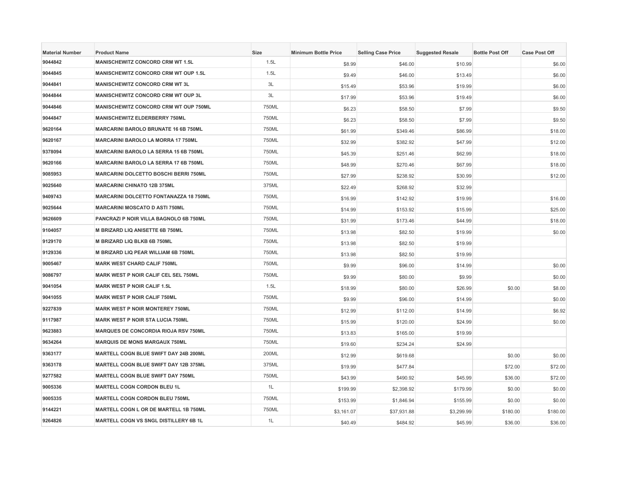| <b>Material Number</b> | <b>Product Name</b>                          | Size  | <b>Minimum Bottle Price</b> | <b>Selling Case Price</b> | <b>Suggested Resale</b> | <b>Bottle Post Off</b> | <b>Case Post Off</b> |
|------------------------|----------------------------------------------|-------|-----------------------------|---------------------------|-------------------------|------------------------|----------------------|
| 9044842                | <b>MANISCHEWITZ CONCORD CRM WT 1.5L</b>      | 1.5L  | \$8.99                      | \$46.00                   | \$10.99                 |                        | \$6.00               |
| 9044845                | <b>MANISCHEWITZ CONCORD CRM WT OUP 1.5L</b>  | 1.5L  | \$9.49                      | \$46.00                   | \$13.49                 |                        | \$6.00               |
| 9044841                | <b>MANISCHEWITZ CONCORD CRM WT 3L</b>        | 3L    | \$15.49                     | \$53.96                   | \$19.99                 |                        | \$6.00               |
| 9044844                | MANISCHEWITZ CONCORD CRM WT OUP 3L           | 3L    | \$17.99                     | \$53.96                   | \$19.49                 |                        | \$6.00               |
| 9044846                | MANISCHEWITZ CONCORD CRM WT OUP 750ML        | 750ML | \$6.23                      | \$58.50                   | \$7.99                  |                        | \$9.50               |
| 9044847                | <b>MANISCHEWITZ ELDERBERRY 750ML</b>         | 750ML | \$6.23                      | \$58.50                   | \$7.99                  |                        | \$9.50               |
| 9620164                | <b>MARCARINI BAROLO BRUNATE 16 6B 750ML</b>  | 750ML | \$61.99                     | \$349.46                  | \$86.99                 |                        | \$18.00              |
| 9620167                | <b>MARCARINI BAROLO LA MORRA 17 750ML</b>    | 750ML | \$32.99                     | \$382.92                  | \$47.99                 |                        | \$12.00              |
| 9378094                | <b>MARCARINI BAROLO LA SERRA 15 6B 750ML</b> | 750ML | \$45.39                     | \$251.46                  | \$62.99                 |                        | \$18.00              |
| 9620166                | MARCARINI BAROLO LA SERRA 17 6B 750ML        | 750ML | \$48.99                     | \$270.46                  | \$67.99                 |                        | \$18.00              |
| 9085953                | <b>MARCARINI DOLCETTO BOSCHI BERRI 750ML</b> | 750ML | \$27.99                     | \$238.92                  | \$30.99                 |                        | \$12.00              |
| 9025640                | <b>MARCARINI CHINATO 12B 375ML</b>           | 375ML | \$22.49                     | \$268.92                  | \$32.99                 |                        |                      |
| 9409743                | MARCARINI DOLCETTO FONTANAZZA 18 750ML       | 750ML | \$16.99                     | \$142.92                  | \$19.99                 |                        | \$16.00              |
| 9025644                | <b>MARCARINI MOSCATO D ASTI 750ML</b>        | 750ML | \$14.99                     | \$153.92                  | \$15.99                 |                        | \$25.00              |
| 9626609                | PANCRAZI P NOIR VILLA BAGNOLO 6B 750ML       | 750ML | \$31.99                     | \$173.46                  | \$44.99                 |                        | \$18.00              |
| 9104057                | M BRIZARD LIQ ANISETTE 6B 750ML              | 750ML | \$13.98                     | \$82.50                   | \$19.99                 |                        | \$0.00               |
| 9129170                | M BRIZARD LIQ BLKB 6B 750ML                  | 750ML | \$13.98                     | \$82.50                   | \$19.99                 |                        |                      |
| 9129336                | M BRIZARD LIQ PEAR WILLIAM 6B 750ML          | 750ML | \$13.98                     | \$82.50                   | \$19.99                 |                        |                      |
| 9005467                | <b>MARK WEST CHARD CALIF 750ML</b>           | 750ML | \$9.99                      | \$96.00                   | \$14.99                 |                        | \$0.00               |
| 9086797                | MARK WEST P NOIR CALIF CEL SEL 750ML         | 750ML | \$9.99                      | \$80.00                   | \$9.99                  |                        | \$0.00               |
| 9041054                | <b>MARK WEST P NOIR CALIF 1.5L</b>           | 1.5L  | \$18.99                     | \$80.00                   | \$26.99                 | \$0.00                 | \$8.00               |
| 9041055                | <b>MARK WEST P NOIR CALIF 750ML</b>          | 750ML | \$9.99                      | \$96.00                   | \$14.99                 |                        | \$0.00               |
| 9227839                | <b>MARK WEST P NOIR MONTEREY 750ML</b>       | 750ML | \$12.99                     | \$112.00                  | \$14.99                 |                        | \$6.92               |
| 9117987                | <b>MARK WEST P NOIR STA LUCIA 750ML</b>      | 750ML | \$15.99                     | \$120.00                  | \$24.99                 |                        | \$0.00               |
| 9623883                | <b>MARQUES DE CONCORDIA RIOJA RSV 750ML</b>  | 750ML | \$13.83                     | \$165.00                  | \$19.99                 |                        |                      |
| 9634264                | <b>MARQUIS DE MONS MARGAUX 750ML</b>         | 750ML | \$19.60                     | \$234.24                  | \$24.99                 |                        |                      |
| 9363177                | MARTELL COGN BLUE SWIFT DAY 24B 200ML        | 200ML | \$12.99                     | \$619.68                  |                         | \$0.00                 | \$0.00               |
| 9363178                | MARTELL COGN BLUE SWIFT DAY 12B 375ML        | 375ML | \$19.99                     | \$477.84                  |                         | \$72.00                | \$72.00              |
| 9277582                | MARTELL COGN BLUE SWIFT DAY 750ML            | 750ML | \$43.99                     | \$490.92                  | \$45.99                 | \$36.00                | \$72.00              |
| 9005336                | <b>MARTELL COGN CORDON BLEU 1L</b>           | 1L    | \$199.99                    | \$2,398.92                | \$179.99                | \$0.00                 | \$0.00               |
| 9005335                | MARTELL COGN CORDON BLEU 750ML               | 750ML | \$153.99                    | \$1,846.94                | \$155.99                | \$0.00                 | \$0.00               |
| 9144221                | MARTELL COGN L OR DE MARTELL 1B 750ML        | 750ML | \$3,161.07                  | \$37,931.88               | \$3,299.99              | \$180.00               | \$180.00             |
| 9264826                | MARTELL COGN VS SNGL DISTILLERY 6B 1L        | 1L    | \$40.49                     | \$484.92                  | \$45.99                 | \$36.00                | \$36.00              |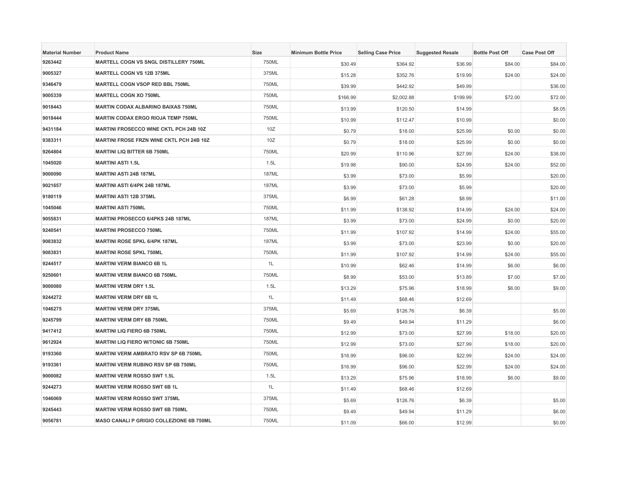| <b>Material Number</b> | <b>Product Name</b>                             | <b>Size</b>  | <b>Minimum Bottle Price</b> | <b>Selling Case Price</b> | <b>Suggested Resale</b> | <b>Bottle Post Off</b> | <b>Case Post Off</b> |
|------------------------|-------------------------------------------------|--------------|-----------------------------|---------------------------|-------------------------|------------------------|----------------------|
| 9263442                | MARTELL COGN VS SNGL DISTILLERY 750ML           | 750ML        | \$30.49                     | \$364.92                  | \$36.99                 | \$84.00                | \$84.00              |
| 9005327                | <b>MARTELL COGN VS 12B 375ML</b>                | 375ML        | \$15.28                     | \$352.76                  | \$19.99                 | \$24.00                | \$24.00              |
| 9346479                | <b>MARTELL COGN VSOP RED BBL 750ML</b>          | 750ML        | \$39.99                     | \$442.92                  | \$49.99                 |                        | \$36.00              |
| 9005339                | <b>MARTELL COGN XO 750ML</b>                    | 750ML        | \$166.99                    | \$2,002.88                | \$199.99                | \$72.00                | \$72.00              |
| 9018443                | <b>MARTIN CODAX ALBARINO BAIXAS 750ML</b>       | 750ML        | \$13.99                     | \$120.50                  | \$14.99                 |                        | \$8.05               |
| 9018444                | MARTIN CODAX ERGO RIOJA TEMP 750ML              | 750ML        | \$10.99                     | \$112.47                  | \$10.99                 |                        | \$0.00               |
| 9431184                | <b>MARTINI FROSECCO WINE CKTL PCH 24B 10Z</b>   | 10Z          | \$0.79                      | \$18.00                   | \$25.99                 | \$0.00                 | \$0.00               |
| 9383311                | <b>MARTINI FROSE FRZN WINE CKTL PCH 24B 10Z</b> | 10Z          | \$0.79                      | \$18.00                   | \$25.99                 | \$0.00                 | \$0.00               |
| 9264804                | <b>MARTINI LIQ BITTER 6B 750ML</b>              | 750ML        | \$20.99                     | \$110.96                  | \$27.99                 | \$24.00                | \$38.00              |
| 1045020                | <b>MARTINI ASTI 1.5L</b>                        | 1.5L         | \$19.98                     | \$90.00                   | \$24.99                 | \$24.00                | \$52.00              |
| 9000090                | <b>MARTINI ASTI 24B 187ML</b>                   | <b>187ML</b> | \$3.99                      | \$73.00                   | \$5.99                  |                        | \$20.00              |
| 9021657                | MARTINI ASTI 6/4PK 24B 187ML                    | <b>187ML</b> | \$3.99                      | \$73.00                   | \$5.99                  |                        | \$20.00              |
| 9180119                | <b>MARTINI ASTI 12B 375ML</b>                   | 375ML        | \$6.99                      | \$61.28                   | \$8.99                  |                        | \$11.00              |
| 1045046                | <b>MARTINI ASTI 750ML</b>                       | 750ML        | \$11.99                     | \$138.92                  | \$14.99                 | \$24.00                | \$24.00              |
| 9055831                | <b>MARTINI PROSECCO 6/4PKS 24B 187ML</b>        | <b>187ML</b> | \$3.99                      | \$73.00                   | \$24.99                 | \$0.00                 | \$20.00              |
| 9240541                | <b>MARTINI PROSECCO 750ML</b>                   | 750ML        | \$11.99                     | \$107.92                  | \$14.99                 | \$24.00                | \$55.00              |
| 9083832                | <b>MARTINI ROSE SPKL 6/4PK 187ML</b>            | <b>187ML</b> | \$3.99                      | \$73.00                   | \$23.99                 | \$0.00                 | \$20.00              |
| 9083831                | <b>MARTINI ROSE SPKL 750ML</b>                  | 750ML        | \$11.99                     | \$107.92                  | \$14.99                 | \$24.00                | \$55.00              |
| 9244517                | <b>MARTINI VERM BIANCO 6B 1L</b>                | 1L           | \$10.99                     | \$62.46                   | \$14.99                 | \$6.00                 | \$6.00               |
| 9250601                | <b>MARTINI VERM BIANCO 6B 750ML</b>             | 750ML        | \$8.99                      | \$53.00                   | \$13.89                 | \$7.00                 | \$7.00               |
| 9000080                | <b>MARTINI VERM DRY 1.5L</b>                    | 1.5L         | \$13.29                     | \$75.96                   | \$18.99                 | \$6.00                 | \$9.00               |
| 9244272                | <b>MARTINI VERM DRY 6B 1L</b>                   | 1L           | \$11.49                     | \$68.46                   | \$12.69                 |                        |                      |
| 1046275                | <b>MARTINI VERM DRY 375ML</b>                   | 375ML        | \$5.69                      | \$126.76                  | \$6.39                  |                        | \$5.00               |
| 9245799                | <b>MARTINI VERM DRY 6B 750ML</b>                | 750ML        | \$9.49                      | \$49.94                   | \$11.29                 |                        | \$6.00               |
| 9417412                | <b>MARTINI LIQ FIERO 6B 750ML</b>               | 750ML        | \$12.99                     | \$73.00                   | \$27.99                 | \$18.00                | \$20.00              |
| 9612924                | <b>MARTINI LIQ FIERO W/TONIC 6B 750ML</b>       | 750ML        | \$12.99                     | \$73.00                   | \$27.99                 | \$18.00                | \$20.00              |
| 9193360                | <b>MARTINI VERM AMBRATO RSV SP 6B 750ML</b>     | 750ML        | \$16.99                     | \$96.00                   | \$22.99                 | \$24.00                | \$24.00              |
| 9193361                | <b>MARTINI VERM RUBINO RSV SP 6B 750ML</b>      | 750ML        | \$16.99                     | \$96.00                   | \$22.99                 | \$24.00                | \$24.00              |
| 9000082                | <b>MARTINI VERM ROSSO SWT 1.5L</b>              | 1.5L         | \$13.29                     | \$75.96                   | \$18.99                 | \$6.00                 | \$9.00               |
| 9244273                | <b>MARTINI VERM ROSSO SWT 6B 1L</b>             | 1L           | \$11.49                     | \$68.46                   | \$12.69                 |                        |                      |
| 1046069                | <b>MARTINI VERM ROSSO SWT 375ML</b>             | 375ML        | \$5.69                      | \$126.76                  | \$6.39                  |                        | \$5.00               |
| 9245443                | <b>MARTINI VERM ROSSO SWT 6B 750ML</b>          | 750ML        | \$9.49                      | \$49.94                   | \$11.29                 |                        | \$6.00               |
| 9056781                | MASO CANALI P GRIGIO COLLEZIONE 6B 750ML        | 750ML        | \$11.09                     | \$66.00                   | \$12.99                 |                        | \$0.00               |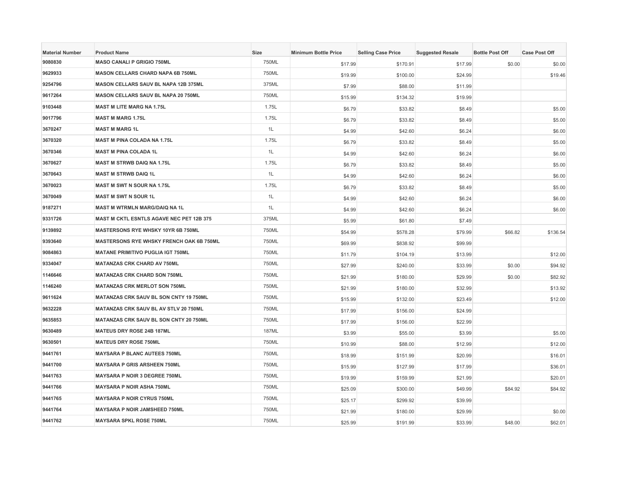| <b>Material Number</b> | <b>Product Name</b>                           | <b>Size</b>  | <b>Minimum Bottle Price</b> | <b>Selling Case Price</b> | <b>Suggested Resale</b> | <b>Bottle Post Off</b> | <b>Case Post Off</b> |
|------------------------|-----------------------------------------------|--------------|-----------------------------|---------------------------|-------------------------|------------------------|----------------------|
| 9080830                | <b>MASO CANALI P GRIGIO 750ML</b>             | 750ML        | \$17.99                     | \$170.91                  | \$17.99                 | \$0.00                 | \$0.00               |
| 9629933                | <b>MASON CELLARS CHARD NAPA 6B 750ML</b>      | 750ML        | \$19.99                     | \$100.00                  | \$24.99                 |                        | \$19.46              |
| 9254796                | <b>MASON CELLARS SAUV BL NAPA 12B 375ML</b>   | 375ML        | \$7.99                      | \$88.00                   | \$11.99                 |                        |                      |
| 9617264                | MASON CELLARS SAUV BL NAPA 20 750ML           | 750ML        | \$15.99                     | \$134.32                  | \$19.99                 |                        |                      |
| 9103448                | <b>MAST M LITE MARG NA 1.75L</b>              | 1.75L        | \$6.79                      | \$33.82                   | \$8.49                  |                        | \$5.00               |
| 9017796                | <b>MAST M MARG 1.75L</b>                      | 1.75L        | \$6.79                      | \$33.82                   | \$8.49                  |                        | \$5.00               |
| 3670247                | <b>MAST M MARG 1L</b>                         | 1L           | \$4.99                      | \$42.60                   | \$6.24                  |                        | \$6.00               |
| 3670320                | <b>MAST M PINA COLADA NA 1.75L</b>            | 1.75L        | \$6.79                      | \$33.82                   | \$8.49                  |                        | \$5.00               |
| 3670346                | <b>MAST M PINA COLADA 1L</b>                  | 1L           | \$4.99                      | \$42.60                   | \$6.24                  |                        | \$6.00               |
| 3670627                | <b>MAST M STRWB DAIQ NA 1.75L</b>             | 1.75L        | \$6.79                      | \$33.82                   | \$8.49                  |                        | \$5.00               |
| 3670643                | <b>MAST M STRWB DAIQ 1L</b>                   | 1L           | \$4.99                      | \$42.60                   | \$6.24                  |                        | \$6.00               |
| 3670023                | <b>MAST M SWT N SOUR NA 1.75L</b>             | 1.75L        | \$6.79                      | \$33.82                   | \$8.49                  |                        | \$5.00               |
| 3670049                | <b>MAST M SWT N SOUR 1L</b>                   | 1L           | \$4.99                      | \$42.60                   | \$6.24                  |                        | \$6.00               |
| 9187271                | <b>MAST M WTRMLN MARG/DAIQ NA 1L</b>          | 1L           | \$4.99                      | \$42.60                   | \$6.24                  |                        | \$6.00               |
| 9331726                | MAST M CKTL ESNTLS AGAVE NEC PET 12B 375      | 375ML        | \$5.99                      | \$61.80                   | \$7.49                  |                        |                      |
| 9139892                | MASTERSONS RYE WHSKY 10YR 6B 750ML            | 750ML        | \$54.99                     | \$578.28                  | \$79.99                 | \$66.82                | \$136.54             |
| 9393640                | MASTERSONS RYE WHSKY FRENCH OAK 6B 750ML      | 750ML        | \$69.99                     | \$838.92                  | \$99.99                 |                        |                      |
| 9084863                | <b>MATANE PRIMITIVO PUGLIA IGT 750ML</b>      | 750ML        | \$11.79                     | \$104.19                  | \$13.99                 |                        | \$12.00              |
| 9334047                | <b>MATANZAS CRK CHARD AV 750ML</b>            | 750ML        | \$27.99                     | \$240.00                  | \$33.99                 | \$0.00                 | \$94.92              |
| 1146646                | <b>MATANZAS CRK CHARD SON 750ML</b>           | 750ML        | \$21.99                     | \$180.00                  | \$29.99                 | \$0.00                 | \$82.92              |
| 1146240                | <b>MATANZAS CRK MERLOT SON 750ML</b>          | 750ML        | \$21.99                     | \$180.00                  | \$32.99                 |                        | \$13.92              |
| 9611624                | <b>MATANZAS CRK SAUV BL SON CNTY 19 750ML</b> | 750ML        | \$15.99                     | \$132.00                  | \$23.49                 |                        | \$12.00              |
| 9632228                | MATANZAS CRK SAUV BL AV STLV 20 750ML         | 750ML        | \$17.99                     | \$156.00                  | \$24.99                 |                        |                      |
| 9635853                | <b>MATANZAS CRK SAUV BL SON CNTY 20 750ML</b> | 750ML        | \$17.99                     | \$156.00                  | \$22.99                 |                        |                      |
| 9630489                | <b>MATEUS DRY ROSE 24B 187ML</b>              | <b>187ML</b> | \$3.99                      | \$55.00                   | \$3.99                  |                        | \$5.00               |
| 9630501                | <b>MATEUS DRY ROSE 750ML</b>                  | 750ML        | \$10.99                     | \$88.00                   | \$12.99                 |                        | \$12.00              |
| 9441761                | <b>MAYSARA P BLANC AUTEES 750ML</b>           | 750ML        | \$18.99                     | \$151.99                  | \$20.99                 |                        | \$16.01              |
| 9441700                | <b>MAYSARA P GRIS ARSHEEN 750ML</b>           | 750ML        | \$15.99                     | \$127.99                  | \$17.99                 |                        | \$36.01              |
| 9441763                | <b>MAYSARA P NOIR 3 DEGREE 750ML</b>          | 750ML        | \$19.99                     | \$159.99                  | \$21.99                 |                        | \$20.01              |
| 9441766                | <b>MAYSARA P NOIR ASHA 750ML</b>              | 750ML        | \$25.09                     | \$300.00                  | \$49.99                 | \$84.92                | \$84.92              |
| 9441765                | <b>MAYSARA P NOIR CYRUS 750ML</b>             | 750ML        | \$25.17                     | \$299.92                  | \$39.99                 |                        |                      |
| 9441764                | <b>MAYSARA P NOIR JAMSHEED 750ML</b>          | 750ML        | \$21.99                     | \$180.00                  | \$29.99                 |                        | \$0.00               |
| 9441762                | <b>MAYSARA SPKL ROSE 750ML</b>                | 750ML        | \$25.99                     | \$191.99                  | \$33.99                 | \$48.00                | \$62.01              |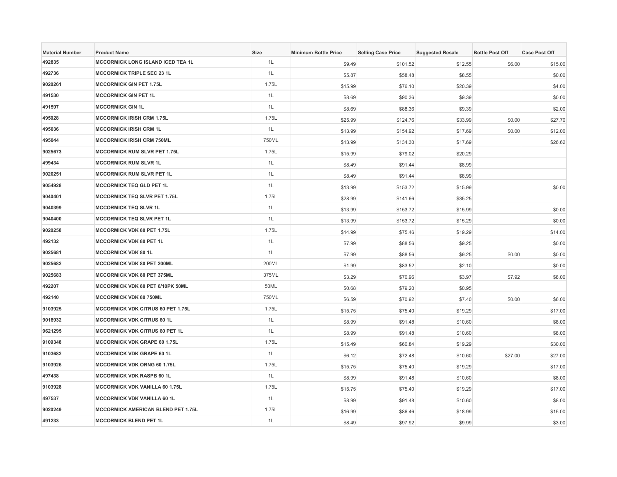| <b>Material Number</b> | <b>Product Name</b>                       | <b>Size</b> | <b>Minimum Bottle Price</b> | <b>Selling Case Price</b> | <b>Suggested Resale</b> | <b>Bottle Post Off</b> | <b>Case Post Off</b> |
|------------------------|-------------------------------------------|-------------|-----------------------------|---------------------------|-------------------------|------------------------|----------------------|
| 492835                 | <b>MCCORMICK LONG ISLAND ICED TEA 1L</b>  | 1L          | \$9.49                      | \$101.52                  | \$12.55                 | \$6.00                 | \$15.00              |
| 492736                 | <b>MCCORMICK TRIPLE SEC 23 1L</b>         | 1L          | \$5.87                      | \$58.48                   | \$8.55                  |                        | \$0.00               |
| 9020261                | <b>MCCORMICK GIN PET 1.75L</b>            | 1.75L       | \$15.99                     | \$76.10                   | \$20.39                 |                        | \$4.00               |
| 491530                 | <b>MCCORMICK GIN PET 1L</b>               | 1L          | \$8.69                      | \$90.36                   | \$9.39                  |                        | \$0.00               |
| 491597                 | <b>MCCORMICK GIN 1L</b>                   | 1L          | \$8.69                      | \$88.36                   | \$9.39                  |                        | \$2.00               |
| 495028                 | <b>MCCORMICK IRISH CRM 1.75L</b>          | 1.75L       | \$25.99                     | \$124.76                  | \$33.99                 | \$0.00                 | \$27.70              |
| 495036                 | <b>MCCORMICK IRISH CRM 1L</b>             | 1L          | \$13.99                     | \$154.92                  | \$17.69                 | \$0.00                 | \$12.00              |
| 495044                 | <b>MCCORMICK IRISH CRM 750ML</b>          | 750ML       | \$13.99                     | \$134.30                  | \$17.69                 |                        | \$26.62              |
| 9025673                | <b>MCCORMICK RUM SLVR PET 1.75L</b>       | 1.75L       | \$15.99                     | \$79.02                   | \$20.29                 |                        |                      |
| 499434                 | <b>MCCORMICK RUM SLVR 1L</b>              | 1L          | \$8.49                      | \$91.44                   | \$8.99                  |                        |                      |
| 9020251                | <b>MCCORMICK RUM SLVR PET 1L</b>          | 1L          | \$8.49                      | \$91.44                   | \$8.99                  |                        |                      |
| 9054928                | <b>MCCORMICK TEQ GLD PET 1L</b>           | 1L          | \$13.99                     | \$153.72                  | \$15.99                 |                        | \$0.00               |
| 9040401                | <b>MCCORMICK TEQ SLVR PET 1.75L</b>       | 1.75L       | \$28.99                     | \$141.66                  | \$35.25                 |                        |                      |
| 9040399                | <b>MCCORMICK TEQ SLVR 1L</b>              | 1L          | \$13.99                     | \$153.72                  | \$15.99                 |                        | \$0.00               |
| 9040400                | <b>MCCORMICK TEQ SLVR PET 1L</b>          | 1L          | \$13.99                     | \$153.72                  | \$15.29                 |                        | \$0.00               |
| 9020258                | <b>MCCORMICK VDK 80 PET 1.75L</b>         | 1.75L       | \$14.99                     | \$75.46                   | \$19.29                 |                        | \$14.00              |
| 492132                 | <b>MCCORMICK VDK 80 PET 1L</b>            | 1L          | \$7.99                      | \$88.56                   | \$9.25                  |                        | \$0.00               |
| 9025681                | <b>MCCORMICK VDK 80 1L</b>                | 1L          | \$7.99                      | \$88.56                   | \$9.25                  | \$0.00                 | \$0.00               |
| 9025682                | MCCORMICK VDK 80 PET 200ML                | 200ML       | \$1.99                      | \$83.52                   | \$2.10                  |                        | \$0.00               |
| 9025683                | <b>MCCORMICK VDK 80 PET 375ML</b>         | 375ML       | \$3.29                      | \$70.96                   | \$3.97                  | \$7.92                 | \$8.00               |
| 492207                 | MCCORMICK VDK 80 PET 6/10PK 50ML          | 50ML        | \$0.68                      | \$79.20                   | \$0.95                  |                        |                      |
| 492140                 | <b>MCCORMICK VDK 80 750ML</b>             | 750ML       | \$6.59                      | \$70.92                   | \$7.40                  | \$0.00                 | \$6.00               |
| 9103925                | <b>MCCORMICK VDK CITRUS 60 PET 1.75L</b>  | 1.75L       | \$15.75                     | \$75.40                   | \$19.29                 |                        | \$17.00              |
| 9018932                | <b>MCCORMICK VDK CITRUS 60 1L</b>         | 1L          | \$8.99                      | \$91.48                   | \$10.60                 |                        | \$8.00               |
| 9621295                | <b>MCCORMICK VDK CITRUS 60 PET 1L</b>     | 1L          | \$8.99                      | \$91.48                   | \$10.60                 |                        | \$8.00               |
| 9109348                | <b>MCCORMICK VDK GRAPE 60 1.75L</b>       | 1.75L       | \$15.49                     | \$60.84                   | \$19.29                 |                        | \$30.00              |
| 9103682                | <b>MCCORMICK VDK GRAPE 60 1L</b>          | 1L          | \$6.12                      | \$72.48                   | \$10.60                 | \$27.00                | \$27.00              |
| 9103926                | <b>MCCORMICK VDK ORNG 60 1.75L</b>        | 1.75L       | \$15.75                     | \$75.40                   | \$19.29                 |                        | \$17.00              |
| 497438                 | <b>MCCORMICK VDK RASPB 60 1L</b>          | 1L          | \$8.99                      | \$91.48                   | \$10.60                 |                        | \$8.00               |
| 9103928                | <b>MCCORMICK VDK VANILLA 60 1.75L</b>     | 1.75L       | \$15.75                     | \$75.40                   | \$19.29                 |                        | \$17.00              |
| 497537                 | <b>MCCORMICK VDK VANILLA 60 1L</b>        | 1L          | \$8.99                      | \$91.48                   | \$10.60                 |                        | \$8.00               |
| 9020249                | <b>MCCORMICK AMERICAN BLEND PET 1.75L</b> | 1.75L       | \$16.99                     | \$86.46                   | \$18.99                 |                        | \$15.00              |
| 491233                 | <b>MCCORMICK BLEND PET 1L</b>             | 1L          | \$8.49                      | \$97.92                   | \$9.99                  |                        | \$3.00               |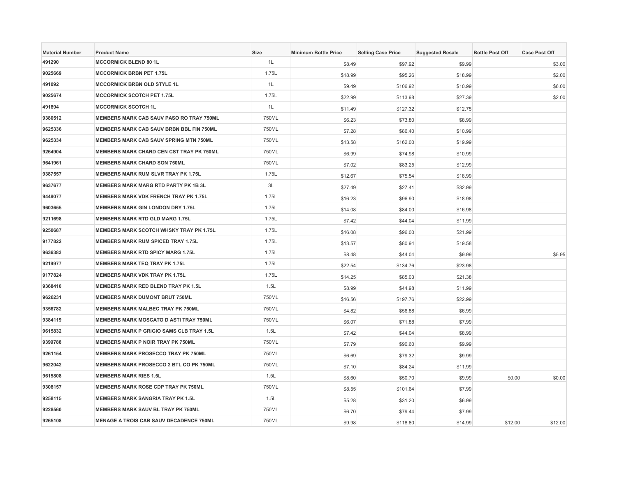| <b>Material Number</b> | <b>Product Name</b>                             | Size  | <b>Minimum Bottle Price</b> | <b>Selling Case Price</b> | <b>Suggested Resale</b> | <b>Bottle Post Off</b> | <b>Case Post Off</b> |
|------------------------|-------------------------------------------------|-------|-----------------------------|---------------------------|-------------------------|------------------------|----------------------|
| 491290                 | <b>MCCORMICK BLEND 80 1L</b>                    | 1L    | \$8.49                      | \$97.92                   | \$9.99                  |                        | \$3.00               |
| 9025669                | <b>MCCORMICK BRBN PET 1.75L</b>                 | 1.75L | \$18.99                     | \$95.26                   | \$18.99                 |                        | \$2.00               |
| 491092                 | <b>MCCORMICK BRBN OLD STYLE 1L</b>              | 1L    | \$9.49                      | \$106.92                  | \$10.99                 |                        | \$6.00               |
| 9025674                | <b>MCCORMICK SCOTCH PET 1.75L</b>               | 1.75L | \$22.99                     | \$113.98                  | \$27.39                 |                        | \$2.00               |
| 491894                 | <b>MCCORMICK SCOTCH 1L</b>                      | 1L    | \$11.49                     | \$127.32                  | \$12.75                 |                        |                      |
| 9380512                | MEMBERS MARK CAB SAUV PASO RO TRAY 750ML        | 750ML | \$6.23                      | \$73.80                   | \$8.99                  |                        |                      |
| 9625336                | <b>MEMBERS MARK CAB SAUV BRBN BBL FIN 750ML</b> | 750ML | \$7.28                      | \$86.40                   | \$10.99                 |                        |                      |
| 9625334                | <b>MEMBERS MARK CAB SAUV SPRING MTN 750ML</b>   | 750ML | \$13.58                     | \$162.00                  | \$19.99                 |                        |                      |
| 9264904                | <b>MEMBERS MARK CHARD CEN CST TRAY PK 750ML</b> | 750ML | \$6.99                      | \$74.98                   | \$10.99                 |                        |                      |
| 9641961                | <b>MEMBERS MARK CHARD SON 750ML</b>             | 750ML | \$7.02                      | \$83.25                   | \$12.99                 |                        |                      |
| 9387557                | <b>MEMBERS MARK RUM SLVR TRAY PK 1.75L</b>      | 1.75L | \$12.67                     | \$75.54                   | \$18.99                 |                        |                      |
| 9637677                | <b>MEMBERS MARK MARG RTD PARTY PK 1B 3L</b>     | 3L    | \$27.49                     | \$27.41                   | \$32.99                 |                        |                      |
| 9449077                | MEMBERS MARK VDK FRENCH TRAY PK 1.75L           | 1.75L | \$16.23                     | \$96.90                   | \$18.98                 |                        |                      |
| 9603655                | <b>MEMBERS MARK GIN LONDON DRY 1.75L</b>        | 1.75L | \$14.08                     | \$84.00                   | \$16.98                 |                        |                      |
| 9211698                | <b>MEMBERS MARK RTD GLD MARG 1.75L</b>          | 1.75L | \$7.42                      | \$44.04                   | \$11.99                 |                        |                      |
| 9250687                | <b>MEMBERS MARK SCOTCH WHSKY TRAY PK 1.75L</b>  | 1.75L | \$16.08                     | \$96.00                   | \$21.99                 |                        |                      |
| 9177822                | <b>MEMBERS MARK RUM SPICED TRAY 1.75L</b>       | 1.75L | \$13.57                     | \$80.94                   | \$19.58                 |                        |                      |
| 9636383                | <b>MEMBERS MARK RTD SPICY MARG 1.75L</b>        | 1.75L | \$8.48                      | \$44.04                   | \$9.99                  |                        | \$5.95               |
| 9219977                | <b>MEMBERS MARK TEQ TRAY PK 1.75L</b>           | 1.75L | \$22.54                     | \$134.76                  | \$23.98                 |                        |                      |
| 9177824                | <b>MEMBERS MARK VDK TRAY PK 1.75L</b>           | 1.75L | \$14.25                     | \$85.03                   | \$21.38                 |                        |                      |
| 9368410                | MEMBERS MARK RED BLEND TRAY PK 1.5L             | 1.5L  | \$8.99                      | \$44.98                   | \$11.99                 |                        |                      |
| 9626231                | <b>MEMBERS MARK DUMONT BRUT 750ML</b>           | 750ML | \$16.56                     | \$197.76                  | \$22.99                 |                        |                      |
| 9356782                | <b>MEMBERS MARK MALBEC TRAY PK 750ML</b>        | 750ML | \$4.82                      | \$56.88                   | \$6.99                  |                        |                      |
| 9384119                | <b>MEMBERS MARK MOSCATO D ASTI TRAY 750ML</b>   | 750ML | \$6.07                      | \$71.88                   | \$7.99                  |                        |                      |
| 9615832                | MEMBERS MARK P GRIGIO SAMS CLB TRAY 1.5L        | 1.5L  | \$7.42                      | \$44.04                   | \$8.99                  |                        |                      |
| 9399788                | MEMBERS MARK P NOIR TRAY PK 750ML               | 750ML | \$7.79                      | \$90.60                   | \$9.99                  |                        |                      |
| 9261154                | <b>MEMBERS MARK PROSECCO TRAY PK 750ML</b>      | 750ML | \$6.69                      | \$79.32                   | \$9.99                  |                        |                      |
| 9622042                | MEMBERS MARK PROSECCO 2 BTL CO PK 750ML         | 750ML | \$7.10                      | \$84.24                   | \$11.99                 |                        |                      |
| 9615808                | <b>MEMBERS MARK RIES 1.5L</b>                   | 1.5L  | \$8.60                      | \$50.70                   | \$9.99                  | \$0.00                 | \$0.00               |
| 9308157                | MEMBERS MARK ROSE CDP TRAY PK 750ML             | 750ML | \$8.55                      | \$101.64                  | \$7.99                  |                        |                      |
| 9258115                | <b>MEMBERS MARK SANGRIA TRAY PK 1.5L</b>        | 1.5L  | \$5.28                      | \$31.20                   | \$6.99                  |                        |                      |
| 9228560                | <b>MEMBERS MARK SAUV BL TRAY PK 750ML</b>       | 750ML | \$6.70                      | \$79.44                   | \$7.99                  |                        |                      |
| 9265108                | <b>MENAGE A TROIS CAB SAUV DECADENCE 750ML</b>  | 750ML | \$9.98                      | \$118.80                  | \$14.99                 | \$12.00                | \$12.00              |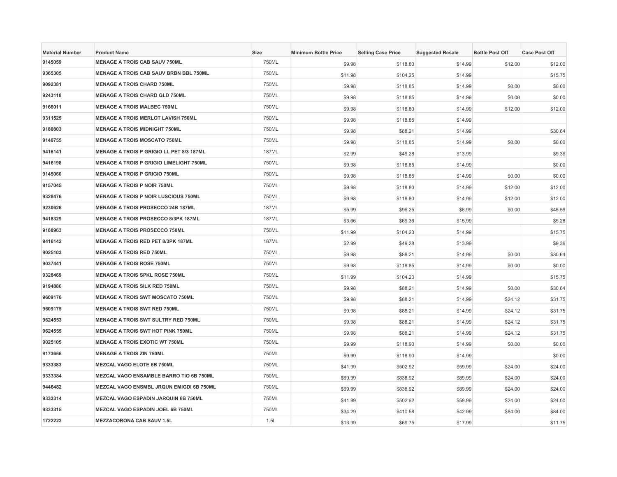| <b>Material Number</b> | <b>Product Name</b>                             | Size         | <b>Minimum Bottle Price</b> | <b>Selling Case Price</b> | <b>Suggested Resale</b> | <b>Bottle Post Off</b> | <b>Case Post Off</b> |
|------------------------|-------------------------------------------------|--------------|-----------------------------|---------------------------|-------------------------|------------------------|----------------------|
| 9145059                | <b>MENAGE A TROIS CAB SAUV 750ML</b>            | 750ML        | \$9.98                      | \$118.80                  | \$14.99                 | \$12.00                | \$12.00              |
| 9365305                | <b>MENAGE A TROIS CAB SAUV BRBN BBL 750ML</b>   | 750ML        | \$11.98                     | \$104.25                  | \$14.99                 |                        | \$15.75              |
| 9092381                | <b>MENAGE A TROIS CHARD 750ML</b>               | 750ML        | \$9.98                      | \$118.85                  | \$14.99                 | \$0.00                 | \$0.00               |
| 9243118                | <b>MENAGE A TROIS CHARD GLD 750ML</b>           | 750ML        | \$9.98                      | \$118.85                  | \$14.99                 | \$0.00                 | \$0.00               |
| 9166011                | <b>MENAGE A TROIS MALBEC 750ML</b>              | 750ML        | \$9.98                      | \$118.80                  | \$14.99                 | \$12.00                | \$12.00              |
| 9311525                | <b>MENAGE A TROIS MERLOT LAVISH 750ML</b>       | 750ML        | \$9.98                      | \$118.85                  | \$14.99                 |                        |                      |
| 9180803                | <b>MENAGE A TROIS MIDNIGHT 750ML</b>            | 750ML        | \$9.98                      | \$88.21                   | \$14.99                 |                        | \$30.64              |
| 9140755                | <b>MENAGE A TROIS MOSCATO 750ML</b>             | 750ML        | \$9.98                      | \$118.85                  | \$14.99                 | \$0.00                 | \$0.00               |
| 9416141                | <b>MENAGE A TROIS P GRIGIO LL PET 8/3 187ML</b> | <b>187ML</b> | \$2.99                      | \$49.28                   | \$13.99                 |                        | \$9.36               |
| 9416198                | <b>MENAGE A TROIS P GRIGIO LIMELIGHT 750ML</b>  | 750ML        | \$9.98                      | \$118.85                  | \$14.99                 |                        | \$0.00               |
| 9145060                | <b>MENAGE A TROIS P GRIGIO 750ML</b>            | 750ML        | \$9.98                      | \$118.85                  | \$14.99                 | \$0.00                 | \$0.00               |
| 9157045                | <b>MENAGE A TROIS P NOIR 750ML</b>              | 750ML        | \$9.98                      | \$118.80                  | \$14.99                 | \$12.00                | \$12.00              |
| 9328476                | <b>MENAGE A TROIS P NOIR LUSCIOUS 750ML</b>     | 750ML        | \$9.98                      | \$118.80                  | \$14.99                 | \$12.00                | \$12.00              |
| 9230626                | <b>MENAGE A TROIS PROSECCO 24B 187ML</b>        | <b>187ML</b> | \$5.99                      | \$96.25                   | \$6.99                  | \$0.00                 | \$45.59              |
| 9418329                | <b>MENAGE A TROIS PROSECCO 8/3PK 187ML</b>      | <b>187ML</b> | \$3.66                      | \$69.36                   | \$15.99                 |                        | \$5.28               |
| 9180963                | <b>MENAGE A TROIS PROSECCO 750ML</b>            | 750ML        | \$11.99                     | \$104.23                  | \$14.99                 |                        | \$15.75              |
| 9416142                | <b>MENAGE A TROIS RED PET 8/3PK 187ML</b>       | <b>187ML</b> | \$2.99                      | \$49.28                   | \$13.99                 |                        | \$9.36               |
| 9025103                | <b>MENAGE A TROIS RED 750ML</b>                 | 750ML        | \$9.98                      | \$88.21                   | \$14.99                 | \$0.00                 | \$30.64              |
| 9037441                | <b>MENAGE A TROIS ROSE 750ML</b>                | 750ML        | \$9.98                      | \$118.85                  | \$14.99                 | \$0.00                 | \$0.00               |
| 9328469                | <b>MENAGE A TROIS SPKL ROSE 750ML</b>           | 750ML        | \$11.99                     | \$104.23                  | \$14.99                 |                        | \$15.75              |
| 9194886                | <b>MENAGE A TROIS SILK RED 750ML</b>            | 750ML        | \$9.98                      | \$88.21                   | \$14.99                 | \$0.00                 | \$30.64              |
| 9609176                | <b>MENAGE A TROIS SWT MOSCATO 750ML</b>         | 750ML        | \$9.98                      | \$88.21                   | \$14.99                 | \$24.12                | \$31.75              |
| 9609175                | <b>MENAGE A TROIS SWT RED 750ML</b>             | 750ML        | \$9.98                      | \$88.21                   | \$14.99                 | \$24.12                | \$31.75              |
| 9624553                | <b>MENAGE A TROIS SWT SULTRY RED 750ML</b>      | 750ML        | \$9.98                      | \$88.21                   | \$14.99                 | \$24.12                | \$31.75              |
| 9624555                | <b>MENAGE A TROIS SWT HOT PINK 750ML</b>        | 750ML        | \$9.98                      | \$88.21                   | \$14.99                 | \$24.12                | \$31.75              |
| 9025105                | <b>MENAGE A TROIS EXOTIC WT 750ML</b>           | 750ML        | \$9.99                      | \$118.90                  | \$14.99                 | \$0.00                 | \$0.00               |
| 9173656                | <b>MENAGE A TROIS ZIN 750ML</b>                 | 750ML        | \$9.99                      | \$118.90                  | \$14.99                 |                        | \$0.00               |
| 9333383                | MEZCAL VAGO ELOTE 6B 750ML                      | 750ML        | \$41.99                     | \$502.92                  | \$59.99                 | \$24.00                | \$24.00              |
| 9333384                | MEZCAL VAGO ENSAMBLE BARRO TIO 6B 750ML         | 750ML        | \$69.99                     | \$838.92                  | \$89.99                 | \$24.00                | \$24.00              |
| 9446482                | MEZCAL VAGO ENSMBL JRQUN EMIGDI 6B 750ML        | 750ML        | \$69.99                     | \$838.92                  | \$89.99                 | \$24.00                | \$24.00              |
| 9333314                | MEZCAL VAGO ESPADIN JARQUIN 6B 750ML            | 750ML        | \$41.99                     | \$502.92                  | \$59.99                 | \$24.00                | \$24.00              |
| 9333315                | <b>MEZCAL VAGO ESPADIN JOEL 6B 750ML</b>        | 750ML        | \$34.29                     | \$410.58                  | \$42.99                 | \$84.00                | \$84.00              |
| 1722222                | <b>MEZZACORONA CAB SAUV 1.5L</b>                | 1.5L         | \$13.99                     | \$69.75                   | \$17.99                 |                        | \$11.75              |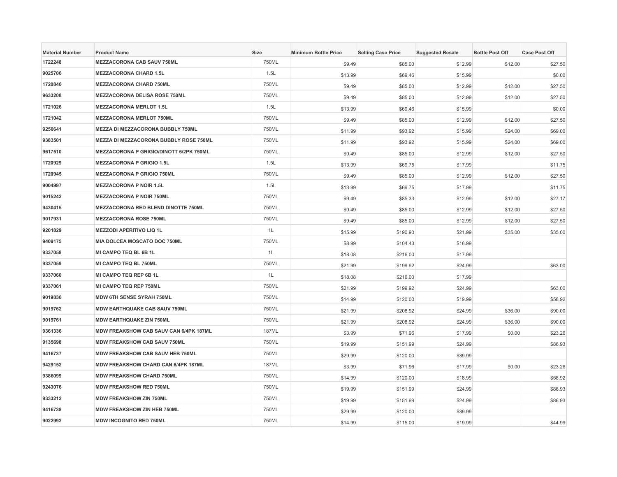| <b>Material Number</b> | <b>Product Name</b>                        | Size         | <b>Minimum Bottle Price</b> | <b>Selling Case Price</b> | <b>Suggested Resale</b> | <b>Bottle Post Off</b> | <b>Case Post Off</b> |
|------------------------|--------------------------------------------|--------------|-----------------------------|---------------------------|-------------------------|------------------------|----------------------|
| 1722248                | <b>MEZZACORONA CAB SAUV 750ML</b>          | 750ML        | \$9.49                      | \$85.00                   | \$12.99                 | \$12.00                | \$27.50              |
| 9025706                | <b>MEZZACORONA CHARD 1.5L</b>              | 1.5L         | \$13.99                     | \$69.46                   | \$15.99                 |                        | \$0.00               |
| 1720846                | <b>MEZZACORONA CHARD 750ML</b>             | 750ML        | \$9.49                      | \$85.00                   | \$12.99                 | \$12.00                | \$27.50              |
| 9633208                | <b>MEZZACORONA DELISA ROSE 750ML</b>       | 750ML        | \$9.49                      | \$85.00                   | \$12.99                 | \$12.00                | \$27.50              |
| 1721026                | <b>MEZZACORONA MERLOT 1.5L</b>             | 1.5L         | \$13.99                     | \$69.46                   | \$15.99                 |                        | \$0.00               |
| 1721042                | <b>MEZZACORONA MERLOT 750ML</b>            | 750ML        | \$9.49                      | \$85.00                   | \$12.99                 | \$12.00                | \$27.50              |
| 9250641                | <b>MEZZA DI MEZZACORONA BUBBLY 750ML</b>   | 750ML        | \$11.99                     | \$93.92                   | \$15.99                 | \$24.00                | \$69.00              |
| 9383501                | MEZZA DI MEZZACORONA BUBBLY ROSE 750ML     | 750ML        | \$11.99                     | \$93.92                   | \$15.99                 | \$24.00                | \$69.00              |
| 9617510                | MEZZACORONA P GRIGIO/DINOTT 6/2PK 750ML    | 750ML        | \$9.49                      | \$85.00                   | \$12.99                 | \$12.00                | \$27.50              |
| 1720929                | <b>MEZZACORONA P GRIGIO 1.5L</b>           | 1.5L         | \$13.99                     | \$69.75                   | \$17.99                 |                        | \$11.75              |
| 1720945                | <b>MEZZACORONA P GRIGIO 750ML</b>          | 750ML        | \$9.49                      | \$85.00                   | \$12.99                 | \$12.00                | \$27.50              |
| 9004997                | <b>MEZZACORONA P NOIR 1.5L</b>             | 1.5L         | \$13.99                     | \$69.75                   | \$17.99                 |                        | \$11.75              |
| 9015242                | <b>MEZZACORONA P NOIR 750ML</b>            | 750ML        | \$9.49                      | \$85.33                   | \$12.99                 | \$12.00                | \$27.17              |
| 9430415                | <b>MEZZACORONA RED BLEND DINOTTE 750ML</b> | 750ML        | \$9.49                      | \$85.00                   | \$12.99                 | \$12.00                | \$27.50              |
| 9017931                | <b>MEZZACORONA ROSE 750ML</b>              | 750ML        | \$9.49                      | \$85.00                   | \$12.99                 | \$12.00                | \$27.50              |
| 9201829                | <b>MEZZODI APERITIVO LIQ 1L</b>            | 1L           | \$15.99                     | \$190.90                  | \$21.99                 | \$35.00                | \$35.00              |
| 9409175                | MIA DOLCEA MOSCATO DOC 750ML               | 750ML        | \$8.99                      | \$104.43                  | \$16.99                 |                        |                      |
| 9337058                | MI CAMPO TEQ BL 6B 1L                      | 1L           | \$18.08                     | \$216.00                  | \$17.99                 |                        |                      |
| 9337059                | <b>MI CAMPO TEQ BL 750ML</b>               | 750ML        | \$21.99                     | \$199.92                  | \$24.99                 |                        | \$63.00              |
| 9337060                | MI CAMPO TEQ REP 6B 1L                     | 1L           | \$18.08                     | \$216.00                  | \$17.99                 |                        |                      |
| 9337061                | MI CAMPO TEQ REP 750ML                     | 750ML        | \$21.99                     | \$199.92                  | \$24.99                 |                        | \$63.00              |
| 9019836                | <b>MDW 6TH SENSE SYRAH 750ML</b>           | 750ML        | \$14.99                     | \$120.00                  | \$19.99                 |                        | \$58.92              |
| 9019762                | <b>MDW EARTHQUAKE CAB SAUV 750ML</b>       | 750ML        | \$21.99                     | \$208.92                  | \$24.99                 | \$36.00                | \$90.00              |
| 9019761                | <b>MDW EARTHQUAKE ZIN 750ML</b>            | 750ML        | \$21.99                     | \$208.92                  | \$24.99                 | \$36.00                | \$90.00              |
| 9361336                | MDW FREAKSHOW CAB SAUV CAN 6/4PK 187ML     | <b>187ML</b> | \$3.99                      | \$71.96                   | \$17.99                 | \$0.00                 | \$23.26              |
| 9135698                | MDW FREAKSHOW CAB SAUV 750ML               | 750ML        | \$19.99                     | \$151.99                  | \$24.99                 |                        | \$86.93              |
| 9416737                | <b>MDW FREAKSHOW CAB SAUV HEB 750ML</b>    | 750ML        | \$29.99                     | \$120.00                  | \$39.99                 |                        |                      |
| 9429152                | MDW FREAKSHOW CHARD CAN 6/4PK 187ML        | 187ML        | \$3.99                      | \$71.96                   | \$17.99                 | \$0.00                 | \$23.26              |
| 9386099                | <b>MDW FREAKSHOW CHARD 750ML</b>           | 750ML        | \$14.99                     | \$120.00                  | \$18.99                 |                        | \$58.92              |
| 9243076                | <b>MDW FREAKSHOW RED 750ML</b>             | 750ML        | \$19.99                     | \$151.99                  | \$24.99                 |                        | \$86.93              |
| 9333212                | <b>MDW FREAKSHOW ZIN 750ML</b>             | 750ML        | \$19.99                     | \$151.99                  | \$24.99                 |                        | \$86.93              |
| 9416738                | <b>MDW FREAKSHOW ZIN HEB 750ML</b>         | 750ML        | \$29.99                     | \$120.00                  | \$39.99                 |                        |                      |
| 9022992                | <b>MDW INCOGNITO RED 750ML</b>             | 750ML        | \$14.99                     | \$115.00                  | \$19.99                 |                        | \$44.99              |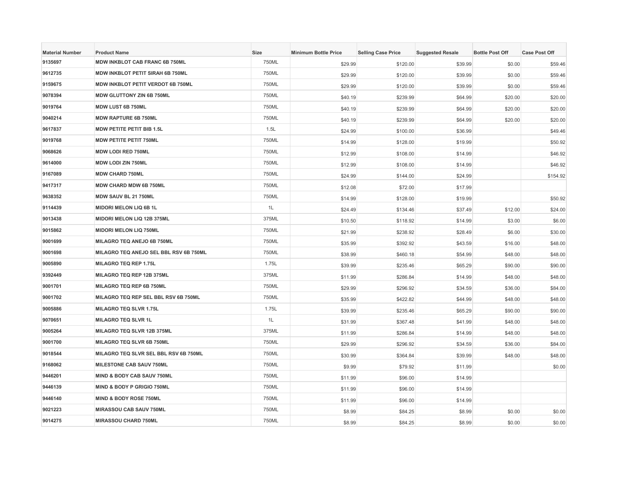| <b>Material Number</b> | <b>Product Name</b>                     | Size  | <b>Minimum Bottle Price</b> | <b>Selling Case Price</b> | <b>Suggested Resale</b> | <b>Bottle Post Off</b> | <b>Case Post Off</b> |
|------------------------|-----------------------------------------|-------|-----------------------------|---------------------------|-------------------------|------------------------|----------------------|
| 9135697                | MDW INKBLOT CAB FRANC 6B 750ML          | 750ML | \$29.99                     | \$120.00                  | \$39.99                 | \$0.00                 | \$59.46              |
| 9612735                | <b>MDW INKBLOT PETIT SIRAH 6B 750ML</b> | 750ML | \$29.99                     | \$120.00                  | \$39.99                 | \$0.00                 | \$59.46              |
| 9159675                | MDW INKBLOT PETIT VERDOT 6B 750ML       | 750ML | \$29.99                     | \$120.00                  | \$39.99                 | \$0.00                 | \$59.46              |
| 9078394                | <b>MDW GLUTTONY ZIN 6B 750ML</b>        | 750ML | \$40.19                     | \$239.99                  | \$64.99                 | \$20.00                | \$20.00              |
| 9019764                | MDW LUST 6B 750ML                       | 750ML | \$40.19                     | \$239.99                  | \$64.99                 | \$20.00                | \$20.00              |
| 9040214                | <b>MDW RAPTURE 6B 750ML</b>             | 750ML | \$40.19                     | \$239.99                  | \$64.99                 | \$20.00                | \$20.00              |
| 9617837                | <b>MDW PETITE PETIT BIB 1.5L</b>        | 1.5L  | \$24.99                     | \$100.00                  | \$36.99                 |                        | \$49.46              |
| 9019768                | <b>MDW PETITE PETIT 750ML</b>           | 750ML | \$14.99                     | \$128.00                  | \$19.99                 |                        | \$50.92              |
| 9068626                | <b>MDW LODI RED 750ML</b>               | 750ML | \$12.99                     | \$108.00                  | \$14.99                 |                        | \$46.92              |
| 9614000                | <b>MDW LODI ZIN 750ML</b>               | 750ML | \$12.99                     | \$108.00                  | \$14.99                 |                        | \$46.92              |
| 9167089                | <b>MDW CHARD 750ML</b>                  | 750ML | \$24.99                     | \$144.00                  | \$24.99                 |                        | \$154.92             |
| 9417317                | <b>MDW CHARD MDW 6B 750ML</b>           | 750ML | \$12.08                     | \$72.00                   | \$17.99                 |                        |                      |
| 9638352                | MDW SAUV BL 21 750ML                    | 750ML | \$14.99                     | \$128.00                  | \$19.99                 |                        | \$50.92              |
| 9114439                | <b>MIDORI MELON LIQ 6B 1L</b>           | 1L    | \$24.49                     | \$134.46                  | \$37.49                 | \$12.00                | \$24.00              |
| 9013438                | MIDORI MELON LIQ 12B 375ML              | 375ML | \$10.50                     | \$118.92                  | \$14.99                 | \$3.00                 | \$6.00               |
| 9015862                | <b>MIDORI MELON LIQ 750ML</b>           | 750ML | \$21.99                     | \$238.92                  | \$28.49                 | \$6.00                 | \$30.00              |
| 9001699                | MILAGRO TEQ ANEJO 6B 750ML              | 750ML | \$35.99                     | \$392.92                  | \$43.59                 | \$16.00                | \$48.00              |
| 9001698                | MILAGRO TEQ ANEJO SEL BBL RSV 6B 750ML  | 750ML | \$38.99                     | \$460.18                  | \$54.99                 | \$48.00                | \$48.00              |
| 9005890                | <b>MILAGRO TEQ REP 1.75L</b>            | 1.75L | \$39.99                     | \$235.46                  | \$65.29                 | \$90.00                | \$90.00              |
| 9392449                | MILAGRO TEQ REP 12B 375ML               | 375ML | \$11.99                     | \$286.84                  | \$14.99                 | \$48.00                | \$48.00              |
| 9001701                | MILAGRO TEQ REP 6B 750ML                | 750ML | \$29.99                     | \$296.92                  | \$34.59                 | \$36.00                | \$84.00              |
| 9001702                | MILAGRO TEQ REP SEL BBL RSV 6B 750ML    | 750ML | \$35.99                     | \$422.82                  | \$44.99                 | \$48.00                | \$48.00              |
| 9005886                | <b>MILAGRO TEQ SLVR 1.75L</b>           | 1.75L | \$39.99                     | \$235.46                  | \$65.29                 | \$90.00                | \$90.00              |
| 9070651                | <b>MILAGRO TEQ SLVR 1L</b>              | 1L    | \$31.99                     | \$367.48                  | \$41.99                 | \$48.00                | \$48.00              |
| 9005264                | MILAGRO TEQ SLVR 12B 375ML              | 375ML | \$11.99                     | \$286.84                  | \$14.99                 | \$48.00                | \$48.00              |
| 9001700                | MILAGRO TEQ SLVR 6B 750ML               | 750ML | \$29.99                     | \$296.92                  | \$34.59                 | \$36.00                | \$84.00              |
| 9018544                | MILAGRO TEQ SLVR SEL BBL RSV 6B 750ML   | 750ML | \$30.99                     | \$364.84                  | \$39.99                 | \$48.00                | \$48.00              |
| 9168062                | MILESTONE CAB SAUV 750ML                | 750ML | \$9.99                      | \$79.92                   | \$11.99                 |                        | \$0.00               |
| 9446201                | <b>MIND &amp; BODY CAB SAUV 750ML</b>   | 750ML | \$11.99                     | \$96.00                   | \$14.99                 |                        |                      |
| 9446139                | MIND & BODY P GRIGIO 750ML              | 750ML | \$11.99                     | \$96.00                   | \$14.99                 |                        |                      |
| 9446140                | MIND & BODY ROSE 750ML                  | 750ML | \$11.99                     | \$96.00                   | \$14.99                 |                        |                      |
| 9021223                | <b>MIRASSOU CAB SAUV 750ML</b>          | 750ML | \$8.99                      | \$84.25                   | \$8.99                  | \$0.00                 | \$0.00               |
| 9014275                | <b>MIRASSOU CHARD 750ML</b>             | 750ML | \$8.99                      | \$84.25                   | \$8.99                  | \$0.00                 | \$0.00               |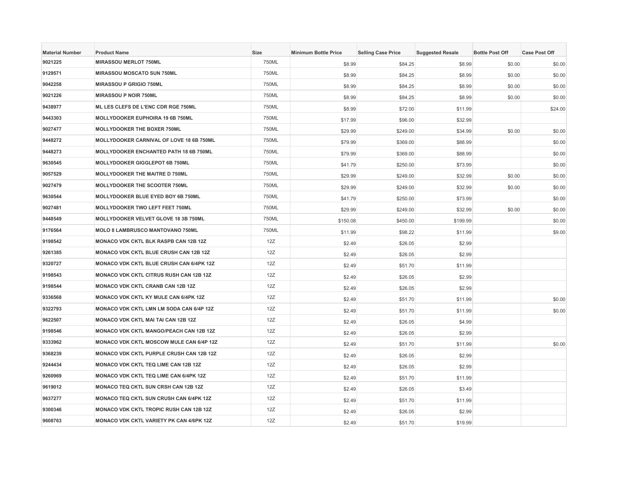| <b>Material Number</b> | <b>Product Name</b>                             | Size  | <b>Minimum Bottle Price</b> | <b>Selling Case Price</b> | <b>Suggested Resale</b> | <b>Bottle Post Off</b> | <b>Case Post Off</b> |
|------------------------|-------------------------------------------------|-------|-----------------------------|---------------------------|-------------------------|------------------------|----------------------|
| 9021225                | <b>MIRASSOU MERLOT 750ML</b>                    | 750ML | \$8.99                      | \$84.25                   | \$8.99                  | \$0.00                 | \$0.00               |
| 9129571                | <b>MIRASSOU MOSCATO SUN 750ML</b>               | 750ML | \$8.99                      | \$84.25                   | \$8.99                  | \$0.00                 | \$0.00               |
| 9042258                | <b>MIRASSOU P GRIGIO 750ML</b>                  | 750ML | \$8.99                      | \$84.25                   | \$8.99                  | \$0.00                 | \$0.00               |
| 9021226                | <b>MIRASSOU P NOIR 750ML</b>                    | 750ML | \$8.99                      | \$84.25                   | \$8.99                  | \$0.00                 | \$0.00               |
| 9438977                | ML LES CLEFS DE L'ENC CDR RGE 750ML             | 750ML | \$8.99                      | \$72.00                   | \$11.99                 |                        | \$24.00              |
| 9443303                | MOLLYDOOKER EUPHOIRA 19 6B 750ML                | 750ML | \$17.99                     | \$96.00                   | \$32.99                 |                        |                      |
| 9027477                | MOLLYDOOKER THE BOXER 750ML                     | 750ML | \$29.99                     | \$249.00                  | \$34.99                 | \$0.00                 | \$0.00               |
| 9448272                | MOLLYDOOKER CARNIVAL OF LOVE 18 6B 750ML        | 750ML | \$79.99                     | \$369.00                  | \$88.99                 |                        | \$0.00               |
| 9448273                | <b>MOLLYDOOKER ENCHANTED PATH 18 6B 750ML</b>   | 750ML | \$79.99                     | \$369.00                  | \$88.99                 |                        | \$0.00               |
| 9630545                | <b>MOLLYDOOKER GIGGLEPOT 6B 750ML</b>           | 750ML | \$41.79                     | \$250.00                  | \$73.99                 |                        | \$0.00               |
| 9057529                | <b>MOLLYDOOKER THE MAITRE D 750ML</b>           | 750ML | \$29.99                     | \$249.00                  | \$32.99                 | \$0.00                 | \$0.00               |
| 9027479                | MOLLYDOOKER THE SCOOTER 750ML                   | 750ML | \$29.99                     | \$249.00                  | \$32.99                 | \$0.00                 | \$0.00               |
| 9630544                | MOLLYDOOKER BLUE EYED BOY 6B 750ML              | 750ML | \$41.79                     | \$250.00                  | \$73.99                 |                        | \$0.00               |
| 9027481                | MOLLYDOOKER TWO LEFT FEET 750ML                 | 750ML | \$29.99                     | \$249.00                  | \$32.99                 | \$0.00                 | \$0.00               |
| 9448549                | MOLLYDOOKER VELVET GLOVE 18 3B 750ML            | 750ML | \$150.08                    | \$450.00                  | \$199.99                |                        | \$0.00               |
| 9176564                | <b>MOLO 8 LAMBRUSCO MANTOVANO 750ML</b>         | 750ML | \$11.99                     | \$98.22                   | \$11.99                 |                        | \$9.00               |
| 9198542                | MONACO VDK CKTL BLK RASPB CAN 12B 12Z           | 12Z   | \$2.49                      | \$26.05                   | \$2.99                  |                        |                      |
| 9261385                | <b>MONACO VDK CKTL BLUE CRUSH CAN 12B 12Z</b>   | 12Z   | \$2.49                      | \$26.05                   | \$2.99                  |                        |                      |
| 9320727                | MONACO VDK CKTL BLUE CRUSH CAN 6/4PK 12Z        | 12Z   | \$2.49                      | \$51.70                   | \$11.99                 |                        |                      |
| 9198543                | <b>MONACO VDK CKTL CITRUS RUSH CAN 12B 12Z</b>  | 12Z   | \$2.49                      | \$26.05                   | \$2.99                  |                        |                      |
| 9198544                | <b>MONACO VDK CKTL CRANB CAN 12B 12Z</b>        | 12Z   | \$2.49                      | \$26.05                   | \$2.99                  |                        |                      |
| 9336568                | <b>MONACO VDK CKTL KY MULE CAN 6/4PK 12Z</b>    | 12Z   | \$2.49                      | \$51.70                   | \$11.99                 |                        | \$0.00               |
| 9322793                | MONACO VDK CKTL LMN LM SODA CAN 6/4P 12Z        | 12Z   | \$2.49                      | \$51.70                   | \$11.99                 |                        | \$0.00               |
| 9622507                | <b>MONACO VDK CKTL MAI TAI CAN 12B 12Z</b>      | 12Z   | \$2.49                      | \$26.05                   | \$4.99                  |                        |                      |
| 9198546                | <b>MONACO VDK CKTL MANGO/PEACH CAN 12B 12Z</b>  | 12Z   | \$2.49                      | \$26.05                   | \$2.99                  |                        |                      |
| 9333962                | <b>MONACO VDK CKTL MOSCOW MULE CAN 6/4P 12Z</b> | 12Z   | \$2.49                      | \$51.70                   | \$11.99                 |                        | \$0.00               |
| 9368239                | MONACO VDK CKTL PURPLE CRUSH CAN 12B 12Z        | 12Z   | \$2.49                      | \$26.05                   | \$2.99                  |                        |                      |
| 9244434                | MONACO VDK CKTL TEQ LIME CAN 12B 12Z            | 12Z   | \$2.49                      | \$26.05                   | \$2.99                  |                        |                      |
| 9260969                | <b>MONACO VDK CKTL TEQ LIME CAN 6/4PK 12Z</b>   | 12Z   | \$2.49                      | \$51.70                   | \$11.99                 |                        |                      |
| 9619012                | MONACO TEQ CKTL SUN CRSH CAN 12B 12Z            | 12Z   | \$2.49                      | \$26.05                   | \$3.49                  |                        |                      |
| 9637277                | <b>MONACO TEQ CKTL SUN CRUSH CAN 6/4PK 12Z</b>  | 12Z   | \$2.49                      | \$51.70                   | \$11.99                 |                        |                      |
| 9300346                | <b>MONACO VDK CKTL TROPIC RUSH CAN 12B 12Z</b>  | 12Z   | \$2.49                      | \$26.05                   | \$2.99                  |                        |                      |
| 9608763                | <b>MONACO VDK CKTL VARIETY PK CAN 4/6PK 12Z</b> | 12Z   | \$2.49                      | \$51.70                   | \$19.99                 |                        |                      |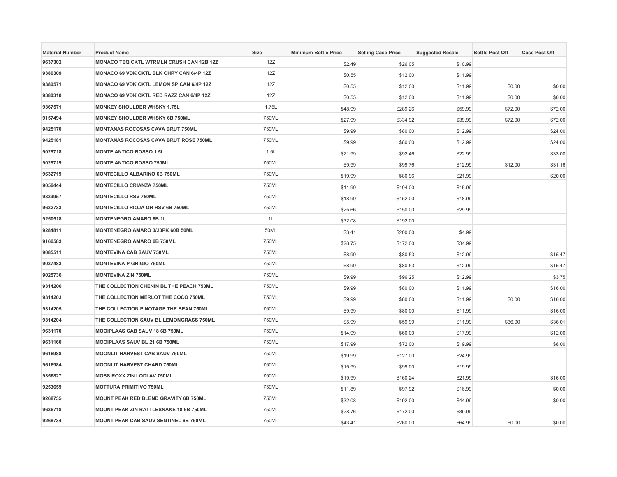| <b>Material Number</b> | <b>Product Name</b>                             | <b>Size</b> | <b>Minimum Bottle Price</b> | <b>Selling Case Price</b> | <b>Suggested Resale</b> | <b>Bottle Post Off</b> | <b>Case Post Off</b> |
|------------------------|-------------------------------------------------|-------------|-----------------------------|---------------------------|-------------------------|------------------------|----------------------|
| 9637302                | MONACO TEQ CKTL WTRMLN CRUSH CAN 12B 12Z        | 12Z         | \$2.49                      | \$26.05                   | \$10.99                 |                        |                      |
| 9380309                | MONACO 69 VDK CKTL BLK CHRY CAN 6/4P 12Z        | 12Z         | \$0.55                      | \$12.00                   | \$11.99                 |                        |                      |
| 9380571                | <b>MONACO 69 VDK CKTL LEMON SP CAN 6/4P 12Z</b> | 12Z         | \$0.55                      | \$12.00                   | \$11.99                 | \$0.00                 | \$0.00               |
| 9380310                | MONACO 69 VDK CKTL RED RAZZ CAN 6/4P 12Z        | 12Z         | \$0.55                      | \$12.00                   | \$11.99                 | \$0.00                 | \$0.00               |
| 9367571                | <b>MONKEY SHOULDER WHSKY 1.75L</b>              | 1.75L       | \$48.99                     | \$289.26                  | \$59.99                 | \$72.00                | \$72.00              |
| 9157494                | <b>MONKEY SHOULDER WHSKY 6B 750ML</b>           | 750ML       | \$27.99                     | \$334.92                  | \$39.99                 | \$72.00                | \$72.00              |
| 9425170                | <b>MONTANAS ROCOSAS CAVA BRUT 750ML</b>         | 750ML       | \$9.99                      | \$80.00                   | \$12.99                 |                        | \$24.00              |
| 9425181                | <b>MONTANAS ROCOSAS CAVA BRUT ROSE 750ML</b>    | 750ML       | \$9.99                      | \$80.00                   | \$12.99                 |                        | \$24.00              |
| 9025718                | <b>MONTE ANTICO ROSSO 1.5L</b>                  | 1.5L        | \$21.99                     | \$92.46                   | \$22.99                 |                        | \$33.00              |
| 9025719                | <b>MONTE ANTICO ROSSO 750ML</b>                 | 750ML       | \$9.99                      | \$99.76                   | \$12.99                 | \$12.00                | \$31.16              |
| 9632719                | <b>MONTECILLO ALBARINO 6B 750ML</b>             | 750ML       | \$19.99                     | \$80.96                   | \$21.99                 |                        | \$20.00              |
| 9056444                | <b>MONTECILLO CRIANZA 750ML</b>                 | 750ML       | \$11.99                     | \$104.00                  | \$15.99                 |                        |                      |
| 9339957                | <b>MONTECILLO RSV 750ML</b>                     | 750ML       | \$18.99                     | \$152.00                  | \$18.99                 |                        |                      |
| 9632733                | <b>MONTECILLO RIOJA GR RSV 6B 750ML</b>         | 750ML       | \$25.66                     | \$150.00                  | \$29.99                 |                        |                      |
| 9250518                | <b>MONTENEGRO AMARO 6B 1L</b>                   | 1L          | \$32.08                     | \$192.00                  |                         |                        |                      |
| 9284811                | MONTENEGRO AMARO 3/20PK 60B 50ML                | 50ML        | \$3.41                      | \$200.00                  | \$4.99                  |                        |                      |
| 9166583                | <b>MONTENEGRO AMARO 6B 750ML</b>                | 750ML       | \$28.75                     | \$172.00                  | \$34.99                 |                        |                      |
| 9085511                | <b>MONTEVINA CAB SAUV 750ML</b>                 | 750ML       | \$8.99                      | \$80.53                   | \$12.99                 |                        | \$15.47              |
| 9037483                | <b>MONTEVINA P GRIGIO 750ML</b>                 | 750ML       | \$8.99                      | \$80.53                   | \$12.99                 |                        | \$15.47              |
| 9025736                | <b>MONTEVINA ZIN 750ML</b>                      | 750ML       | \$9.99                      | \$96.25                   | \$12.99                 |                        | \$3.75               |
| 9314206                | THE COLLECTION CHENIN BL THE PEACH 750ML        | 750ML       | \$9.99                      | \$80.00                   | \$11.99                 |                        | \$16.00              |
| 9314203                | THE COLLECTION MERLOT THE COCO 750ML            | 750ML       | \$9.99                      | \$80.00                   | \$11.99                 | \$0.00                 | \$16.00              |
| 9314205                | THE COLLECTION PINOTAGE THE BEAN 750ML          | 750ML       | \$9.99                      | \$80.00                   | \$11.99                 |                        | \$16.00              |
| 9314204                | THE COLLECTION SAUV BL LEMONGRASS 750ML         | 750ML       | \$5.99                      | \$59.99                   | \$11.99                 | \$36.00                | \$36.01              |
| 9631170                | MOOIPLAAS CAB SAUV 18 6B 750ML                  | 750ML       | \$14.99                     | \$60.00                   | \$17.99                 |                        | \$12.00              |
| 9631160                | MOOIPLAAS SAUV BL 21 6B 750ML                   | 750ML       | \$17.99                     | \$72.00                   | \$19.99                 |                        | \$8.00               |
| 9616988                | <b>MOONLIT HARVEST CAB SAUV 750ML</b>           | 750ML       | \$19.99                     | \$127.00                  | \$24.99                 |                        |                      |
| 9616984                | <b>MOONLIT HARVEST CHARD 750ML</b>              | 750ML       | \$15.99                     | \$99.00                   | \$19.99                 |                        |                      |
| 9356827                | MOSS ROXX ZIN LODI AV 750ML                     | 750ML       | \$19.99                     | \$160.24                  | \$21.99                 |                        | \$16.00              |
| 9253659                | <b>MOTTURA PRIMITIVO 750ML</b>                  | 750ML       | \$11.89                     | \$97.92                   | \$16.99                 |                        | \$0.00               |
| 9268735                | MOUNT PEAK RED BLEND GRAVITY 6B 750ML           | 750ML       | \$32.08                     | \$192.00                  | \$44.99                 |                        | \$0.00               |
| 9636718                | MOUNT PEAK ZIN RATTLESNAKE 18 6B 750ML          | 750ML       | \$28.76                     | \$172.00                  | \$39.99                 |                        |                      |
| 9268734                | <b>MOUNT PEAK CAB SAUV SENTINEL 6B 750ML</b>    | 750ML       | \$43.41                     | \$260.00                  | \$64.99                 | \$0.00                 | \$0.00               |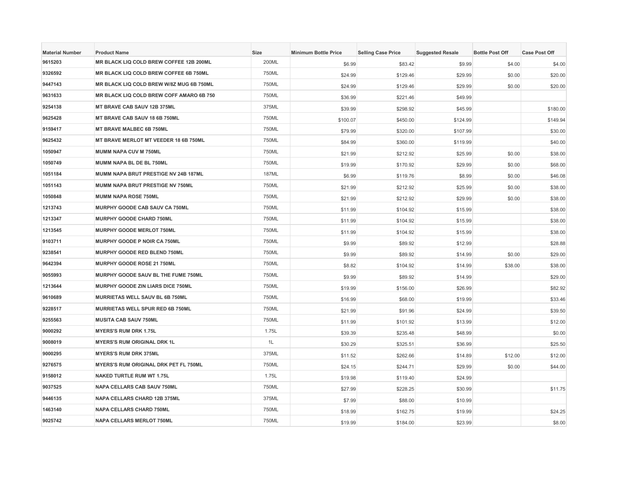| <b>Material Number</b> | <b>Product Name</b>                           | <b>Size</b> | <b>Minimum Bottle Price</b> | <b>Selling Case Price</b> | <b>Suggested Resale</b> | <b>Bottle Post Off</b> | <b>Case Post Off</b> |
|------------------------|-----------------------------------------------|-------------|-----------------------------|---------------------------|-------------------------|------------------------|----------------------|
| 9615203                | MR BLACK LIQ COLD BREW COFFEE 12B 200ML       | 200ML       | \$6.99                      | \$83.42                   | \$9.99                  | \$4.00                 | \$4.00               |
| 9326592                | <b>MR BLACK LIQ COLD BREW COFFEE 6B 750ML</b> | 750ML       | \$24.99                     | \$129.46                  | \$29.99                 | \$0.00                 | \$20.00              |
| 9447143                | MR BLACK LIQ COLD BREW W/8Z MUG 6B 750ML      | 750ML       | \$24.99                     | \$129.46                  | \$29.99                 | \$0.00                 | \$20.00              |
| 9631633                | MR BLACK LIQ COLD BREW COFF AMARO 6B 750      | 750ML       | \$36.99                     | \$221.46                  | \$49.99                 |                        |                      |
| 9254138                | MT BRAVE CAB SAUV 12B 375ML                   | 375ML       | \$39.99                     | \$298.92                  | \$45.99                 |                        | \$180.00             |
| 9625428                | MT BRAVE CAB SAUV 18 6B 750ML                 | 750ML       | \$100.07                    | \$450.00                  | \$124.99                |                        | \$149.94             |
| 9159417                | <b>MT BRAVE MALBEC 6B 750ML</b>               | 750ML       | \$79.99                     | \$320.00                  | \$107.99                |                        | \$30.00              |
| 9625432                | MT BRAVE MERLOT MT VEEDER 18 6B 750ML         | 750ML       | \$84.99                     | \$360.00                  | \$119.99                |                        | \$40.00              |
| 1050947                | <b>MUMM NAPA CUV M 750ML</b>                  | 750ML       | \$21.99                     | \$212.92                  | \$25.99                 | \$0.00                 | \$38.00              |
| 1050749                | MUMM NAPA BL DE BL 750ML                      | 750ML       | \$19.99                     | \$170.92                  | \$29.99                 | \$0.00                 | \$68.00              |
| 1051184                | MUMM NAPA BRUT PRESTIGE NV 24B 187ML          | 187ML       | \$6.99                      | \$119.76                  | \$8.99                  | \$0.00                 | \$46.08              |
| 1051143                | MUMM NAPA BRUT PRESTIGE NV 750ML              | 750ML       | \$21.99                     | \$212.92                  | \$25.99                 | \$0.00                 | \$38.00              |
| 1050848                | <b>MUMM NAPA ROSE 750ML</b>                   | 750ML       | \$21.99                     | \$212.92                  | \$29.99                 | \$0.00                 | \$38.00              |
| 1213743                | MURPHY GOODE CAB SAUV CA 750ML                | 750ML       | \$11.99                     | \$104.92                  | \$15.99                 |                        | \$38.00              |
| 1213347                | <b>MURPHY GOODE CHARD 750ML</b>               | 750ML       | \$11.99                     | \$104.92                  | \$15.99                 |                        | \$38.00              |
| 1213545                | MURPHY GOODE MERLOT 750ML                     | 750ML       | \$11.99                     | \$104.92                  | \$15.99                 |                        | \$38.00              |
| 9103711                | MURPHY GOODE P NOIR CA 750ML                  | 750ML       | \$9.99                      | \$89.92                   | \$12.99                 |                        | \$28.88              |
| 9238541                | MURPHY GOODE RED BLEND 750ML                  | 750ML       | \$9.99                      | \$89.92                   | \$14.99                 | \$0.00                 | \$29.00              |
| 9642394                | MURPHY GOODE ROSE 21 750ML                    | 750ML       | \$8.82                      | \$104.92                  | \$14.99                 | \$38.00                | \$38.00              |
| 9055993                | MURPHY GOODE SAUV BL THE FUME 750ML           | 750ML       | \$9.99                      | \$89.92                   | \$14.99                 |                        | \$29.00              |
| 1213644                | MURPHY GOODE ZIN LIARS DICE 750ML             | 750ML       | \$19.99                     | \$156.00                  | \$26.99                 |                        | \$82.92              |
| 9610689                | MURRIETAS WELL SAUV BL 6B 750ML               | 750ML       | \$16.99                     | \$68.00                   | \$19.99                 |                        | \$33.46              |
| 9228517                | MURRIETAS WELL SPUR RED 6B 750ML              | 750ML       | \$21.99                     | \$91.96                   | \$24.99                 |                        | \$39.50              |
| 9255563                | <b>MUSITA CAB SAUV 750ML</b>                  | 750ML       | \$11.99                     | \$101.92                  | \$13.99                 |                        | \$12.00              |
| 9000292                | <b>MYERS'S RUM DRK 1.75L</b>                  | 1.75L       | \$39.39                     | \$235.48                  | \$48.99                 |                        | \$0.00               |
| 9008019                | <b>MYERS'S RUM ORIGINAL DRK 1L</b>            | 1L          | \$30.29                     | \$325.51                  | \$36.99                 |                        | \$25.50              |
| 9000295                | <b>MYERS'S RUM DRK 375ML</b>                  | 375ML       | \$11.52                     | \$262.66                  | \$14.89                 | \$12.00                | \$12.00              |
| 9276575                | MYERS'S RUM ORIGINAL DRK PET FL 750ML         | 750ML       | \$24.15                     | \$244.71                  | \$29.99                 | \$0.00                 | \$44.00              |
| 9158012                | <b>NAKED TURTLE RUM WT 1.75L</b>              | 1.75L       | \$19.98                     | \$119.40                  | \$24.99                 |                        |                      |
| 9037525                | <b>NAPA CELLARS CAB SAUV 750ML</b>            | 750ML       | \$27.99                     | \$228.25                  | \$30.99                 |                        | \$11.75              |
| 9446135                | NAPA CELLARS CHARD 12B 375ML                  | 375ML       | \$7.99                      | \$88.00                   | \$10.99                 |                        |                      |
| 1463140                | <b>NAPA CELLARS CHARD 750ML</b>               | 750ML       | \$18.99                     | \$162.75                  | \$19.99                 |                        | \$24.25              |
| 9025742                | <b>NAPA CELLARS MERLOT 750ML</b>              | 750ML       | \$19.99                     | \$184.00                  | \$23.99                 |                        | \$8.00               |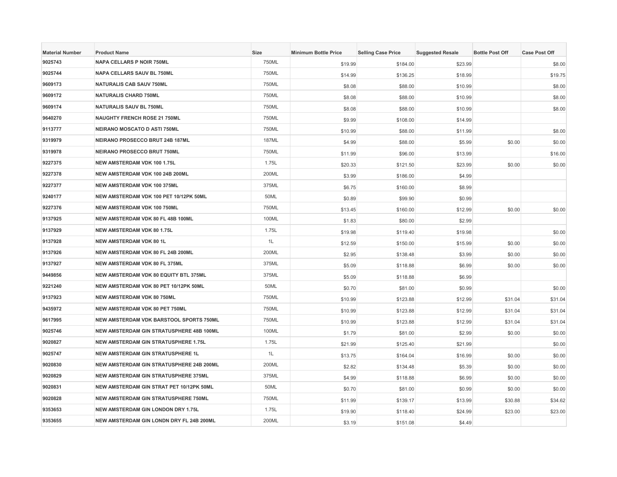| <b>Material Number</b> | <b>Product Name</b>                         | Size  | <b>Minimum Bottle Price</b> | <b>Selling Case Price</b> | <b>Suggested Resale</b> | <b>Bottle Post Off</b> | <b>Case Post Off</b> |
|------------------------|---------------------------------------------|-------|-----------------------------|---------------------------|-------------------------|------------------------|----------------------|
| 9025743                | <b>NAPA CELLARS P NOIR 750ML</b>            | 750ML | \$19.99                     | \$184.00                  | \$23.99                 |                        | \$8.00               |
| 9025744                | <b>NAPA CELLARS SAUV BL 750ML</b>           | 750ML | \$14.99                     | \$136.25                  | \$18.99                 |                        | \$19.75              |
| 9609173                | <b>NATURALIS CAB SAUV 750ML</b>             | 750ML | \$8.08                      | \$88.00                   | \$10.99                 |                        | \$8.00               |
| 9609172                | <b>NATURALIS CHARD 750ML</b>                | 750ML | \$8.08                      | \$88.00                   | \$10.99                 |                        | \$8.00               |
| 9609174                | NATURALIS SAUV BL 750ML                     | 750ML | \$8.08                      | \$88.00                   | \$10.99                 |                        | \$8.00               |
| 9640270                | <b>NAUGHTY FRENCH ROSE 21 750ML</b>         | 750ML | \$9.99                      | \$108.00                  | \$14.99                 |                        |                      |
| 9113777                | <b>NEIRANO MOSCATO D ASTI 750ML</b>         | 750ML | \$10.99                     | \$88.00                   | \$11.99                 |                        | \$8.00               |
| 9319979                | <b>NEIRANO PROSECCO BRUT 24B 187ML</b>      | 187ML | \$4.99                      | \$88.00                   | \$5.99                  | \$0.00                 | \$0.00               |
| 9319978                | <b>NEIRANO PROSECCO BRUT 750ML</b>          | 750ML | \$11.99                     | \$96.00                   | \$13.99                 |                        | \$16.00              |
| 9227375                | NEW AMSTERDAM VDK 100 1.75L                 | 1.75L | \$20.33                     | \$121.50                  | \$23.99                 | \$0.00                 | \$0.00               |
| 9227378                | NEW AMSTERDAM VDK 100 24B 200ML             | 200ML | \$3.99                      | \$186.00                  | \$4.99                  |                        |                      |
| 9227377                | NEW AMSTERDAM VDK 100 375ML                 | 375ML | \$6.75                      | \$160.00                  | \$8.99                  |                        |                      |
| 9240177                | NEW AMSTERDAM VDK 100 PET 10/12PK 50ML      | 50ML  | \$0.89                      | \$99.90                   | \$0.99                  |                        |                      |
| 9227376                | <b>NEW AMSTERDAM VDK 100 750ML</b>          | 750ML | \$13.45                     | \$160.00                  | \$12.99                 | \$0.00                 | \$0.00               |
| 9137925                | NEW AMSTERDAM VDK 80 FL 48B 100ML           | 100ML | \$1.83                      | \$80.00                   | \$2.99                  |                        |                      |
| 9137929                | <b>NEW AMSTERDAM VDK 80 1.75L</b>           | 1.75L | \$19.98                     | \$119.40                  | \$19.98                 |                        | \$0.00               |
| 9137928                | <b>NEW AMSTERDAM VDK 80 1L</b>              | 1L    | \$12.59                     | \$150.00                  | \$15.99                 | \$0.00                 | \$0.00               |
| 9137926                | NEW AMSTERDAM VDK 80 FL 24B 200ML           | 200ML | \$2.95                      | \$138.48                  | \$3.99                  | \$0.00                 | \$0.00               |
| 9137927                | NEW AMSTERDAM VDK 80 FL 375ML               | 375ML | \$5.09                      | \$118.88                  | \$6.99                  | \$0.00                 | \$0.00               |
| 9449856                | NEW AMSTERDAM VDK 80 EQUITY BTL 375ML       | 375ML | \$5.09                      | \$118.88                  | \$6.99                  |                        |                      |
| 9221240                | NEW AMSTERDAM VDK 80 PET 10/12PK 50ML       | 50ML  | \$0.70                      | \$81.00                   | \$0.99                  |                        | \$0.00               |
| 9137923                | NEW AMSTERDAM VDK 80 750ML                  | 750ML | \$10.99                     | \$123.88                  | \$12.99                 | \$31.04                | \$31.04              |
| 9435972                | NEW AMSTERDAM VDK 80 PET 750ML              | 750ML | \$10.99                     | \$123.88                  | \$12.99                 | \$31.04                | \$31.04              |
| 9617995                | NEW AMSTERDAM VDK BARSTOOL SPORTS 750ML     | 750ML | \$10.99                     | \$123.88                  | \$12.99                 | \$31.04                | \$31.04              |
| 9025746                | NEW AMSTERDAM GIN STRATUSPHERE 48B 100ML    | 100ML | \$1.79                      | \$81.00                   | \$2.99                  | \$0.00                 | \$0.00               |
| 9020827                | NEW AMSTERDAM GIN STRATUSPHERE 1.75L        | 1.75L | \$21.99                     | \$125.40                  | \$21.99                 |                        | \$0.00               |
| 9025747                | <b>NEW AMSTERDAM GIN STRATUSPHERE 1L</b>    | 1L    | \$13.75                     | \$164.04                  | \$16.99                 | \$0.00                 | \$0.00               |
| 9020830                | NEW AMSTERDAM GIN STRATUSPHERE 24B 200ML    | 200ML | \$2.82                      | \$134.48                  | \$5.39                  | \$0.00                 | \$0.00               |
| 9020829                | <b>NEW AMSTERDAM GIN STRATUSPHERE 375ML</b> | 375ML | \$4.99                      | \$118.88                  | \$6.99                  | \$0.00                 | \$0.00               |
| 9020831                | NEW AMSTERDAM GIN STRAT PET 10/12PK 50ML    | 50ML  | \$0.70                      | \$81.00                   | \$0.99                  | \$0.00                 | \$0.00               |
| 9020828                | NEW AMSTERDAM GIN STRATUSPHERE 750ML        | 750ML | \$11.99                     | \$139.17                  | \$13.99                 | \$30.88                | \$34.62              |
| 9353653                | <b>NEW AMSTERDAM GIN LONDON DRY 1.75L</b>   | 1.75L | \$19.90                     | \$118.40                  | \$24.99                 | \$23.00                | \$23.00              |
| 9353655                | NEW AMSTERDAM GIN LONDN DRY FL 24B 200ML    | 200ML | \$3.19                      | \$151.08                  | \$4.49                  |                        |                      |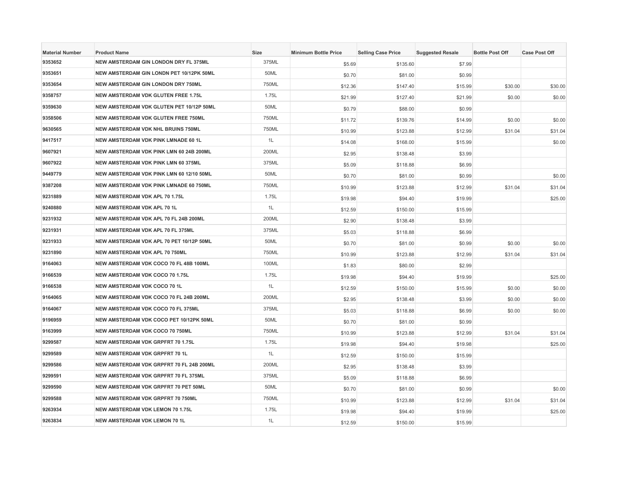| <b>Material Number</b> | <b>Product Name</b>                        | <b>Size</b> | <b>Minimum Bottle Price</b> | <b>Selling Case Price</b> | <b>Suggested Resale</b> | <b>Bottle Post Off</b> | <b>Case Post Off</b> |
|------------------------|--------------------------------------------|-------------|-----------------------------|---------------------------|-------------------------|------------------------|----------------------|
| 9353652                | NEW AMSTERDAM GIN LONDON DRY FL 375ML      | 375ML       | \$5.69                      | \$135.60                  | \$7.99                  |                        |                      |
| 9353651                | NEW AMSTERDAM GIN LONDN PET 10/12PK 50ML   | 50ML        | \$0.70                      | \$81.00                   | \$0.99                  |                        |                      |
| 9353654                | <b>NEW AMSTERDAM GIN LONDON DRY 750ML</b>  | 750ML       | \$12.36                     | \$147.40                  | \$15.99                 | \$30.00                | \$30.00              |
| 9358757                | NEW AMSTERDAM VDK GLUTEN FREE 1.75L        | 1.75L       | \$21.99                     | \$127.40                  | \$21.99                 | \$0.00                 | \$0.00               |
| 9359630                | NEW AMSTERDAM VDK GLUTEN PET 10/12P 50ML   | 50ML        | \$0.79                      | \$88.00                   | \$0.99                  |                        |                      |
| 9358506                | <b>NEW AMSTERDAM VDK GLUTEN FREE 750ML</b> | 750ML       | \$11.72                     | \$139.76                  | \$14.99                 | \$0.00                 | \$0.00               |
| 9630565                | <b>NEW AMSTERDAM VDK NHL BRUINS 750ML</b>  | 750ML       | \$10.99                     | \$123.88                  | \$12.99                 | \$31.04                | \$31.04              |
| 9417517                | NEW AMSTERDAM VDK PINK LMNADE 60 1L        | 1L          | \$14.08                     | \$168.00                  | \$15.99                 |                        | \$0.00               |
| 9607921                | NEW AMSTERDAM VDK PINK LMN 60 24B 200ML    | 200ML       | \$2.95                      | \$138.48                  | \$3.99                  |                        |                      |
| 9607922                | NEW AMSTERDAM VDK PINK LMN 60 375ML        | 375ML       | \$5.09                      | \$118.88                  | \$6.99                  |                        |                      |
| 9449779                | NEW AMSTERDAM VDK PINK LMN 60 12/10 50ML   | 50ML        | \$0.70                      | \$81.00                   | \$0.99                  |                        | \$0.00               |
| 9387208                | NEW AMSTERDAM VDK PINK LMNADE 60 750ML     | 750ML       | \$10.99                     | \$123.88                  | \$12.99                 | \$31.04                | \$31.04              |
| 9231889                | NEW AMSTERDAM VDK APL 70 1.75L             | 1.75L       | \$19.98                     | \$94.40                   | \$19.99                 |                        | \$25.00              |
| 9240880                | <b>NEW AMSTERDAM VDK APL 70 1L</b>         | 1L          | \$12.59                     | \$150.00                  | \$15.99                 |                        |                      |
| 9231932                | NEW AMSTERDAM VDK APL 70 FL 24B 200ML      | 200ML       | \$2.90                      | \$138.48                  | \$3.99                  |                        |                      |
| 9231931                | NEW AMSTERDAM VDK APL 70 FL 375ML          | 375ML       | \$5.03                      | \$118.88                  | \$6.99                  |                        |                      |
| 9231933                | NEW AMSTERDAM VDK APL 70 PET 10/12P 50ML   | 50ML        | \$0.70                      | \$81.00                   | \$0.99                  | \$0.00                 | \$0.00               |
| 9231890                | NEW AMSTERDAM VDK APL 70 750ML             | 750ML       | \$10.99                     | \$123.88                  | \$12.99                 | \$31.04                | \$31.04              |
| 9164063                | NEW AMSTERDAM VDK COCO 70 FL 48B 100ML     | 100ML       | \$1.83                      | \$80.00                   | \$2.99                  |                        |                      |
| 9166539                | NEW AMSTERDAM VDK COCO 70 1.75L            | 1.75L       | \$19.98                     | \$94.40                   | \$19.99                 |                        | \$25.00              |
| 9166538                | NEW AMSTERDAM VDK COCO 70 1L               | 1L          | \$12.59                     | \$150.00                  | \$15.99                 | \$0.00                 | \$0.00               |
| 9164065                | NEW AMSTERDAM VDK COCO 70 FL 24B 200ML     | 200ML       | \$2.95                      | \$138.48                  | \$3.99                  | \$0.00                 | \$0.00               |
| 9164067                | NEW AMSTERDAM VDK COCO 70 FL 375ML         | 375ML       | \$5.03                      | \$118.88                  | \$6.99                  | \$0.00                 | \$0.00               |
| 9196959                | NEW AMSTERDAM VDK COCO PET 10/12PK 50ML    | 50ML        | \$0.70                      | \$81.00                   | \$0.99                  |                        |                      |
| 9163999                | NEW AMSTERDAM VDK COCO 70 750ML            | 750ML       | \$10.99                     | \$123.88                  | \$12.99                 | \$31.04                | \$31.04              |
| 9299587                | NEW AMSTERDAM VDK GRPFRT 70 1.75L          | 1.75L       | \$19.98                     | \$94.40                   | \$19.98                 |                        | \$25.00              |
| 9299589                | NEW AMSTERDAM VDK GRPFRT 70 1L             | 1L          | \$12.59                     | \$150.00                  | \$15.99                 |                        |                      |
| 9299586                | NEW AMSTERDAM VDK GRPFRT 70 FL 24B 200ML   | 200ML       | \$2.95                      | \$138.48                  | \$3.99                  |                        |                      |
| 9299591                | NEW AMSTERDAM VDK GRPFRT 70 FL 375ML       | 375ML       | \$5.09                      | \$118.88                  | \$6.99                  |                        |                      |
| 9299590                | NEW AMSTERDAM VDK GRPFRT 70 PET 50ML       | 50ML        | \$0.70                      | \$81.00                   | \$0.99                  |                        | \$0.00               |
| 9299588                | NEW AMSTERDAM VDK GRPFRT 70 750ML          | 750ML       | \$10.99                     | \$123.88                  | \$12.99                 | \$31.04                | \$31.04              |
| 9263934                | <b>NEW AMSTERDAM VDK LEMON 70 1.75L</b>    | 1.75L       | \$19.98                     | \$94.40                   | \$19.99                 |                        | \$25.00              |
| 9263834                | NEW AMSTERDAM VDK LEMON 70 1L              | 1L          | \$12.59                     | \$150.00                  | \$15.99                 |                        |                      |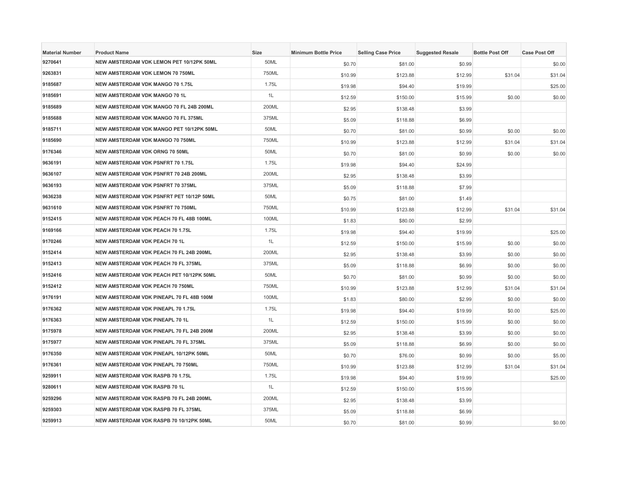| <b>Material Number</b> | <b>Product Name</b>                            | <b>Size</b> | <b>Minimum Bottle Price</b> | <b>Selling Case Price</b> | <b>Suggested Resale</b> | <b>Bottle Post Off</b> | <b>Case Post Off</b> |
|------------------------|------------------------------------------------|-------------|-----------------------------|---------------------------|-------------------------|------------------------|----------------------|
| 9270641                | NEW AMSTERDAM VDK LEMON PET 10/12PK 50ML       | 50ML        | \$0.70                      | \$81.00                   | \$0.99                  |                        | \$0.00               |
| 9263831                | NEW AMSTERDAM VDK LEMON 70 750ML               | 750ML       | \$10.99                     | \$123.88                  | \$12.99                 | \$31.04                | \$31.04              |
| 9185687                | <b>NEW AMSTERDAM VDK MANGO 70 1.75L</b>        | 1.75L       | \$19.98                     | \$94.40                   | \$19.99                 |                        | \$25.00              |
| 9185691                | NEW AMSTERDAM VDK MANGO 70 1L                  | 1L          | \$12.59                     | \$150.00                  | \$15.99                 | \$0.00                 | \$0.00               |
| 9185689                | NEW AMSTERDAM VDK MANGO 70 FL 24B 200ML        | 200ML       | \$2.95                      | \$138.48                  | \$3.99                  |                        |                      |
| 9185688                | <b>NEW AMSTERDAM VDK MANGO 70 FL 375ML</b>     | 375ML       | \$5.09                      | \$118.88                  | \$6.99                  |                        |                      |
| 9185711                | NEW AMSTERDAM VDK MANGO PET 10/12PK 50ML       | 50ML        | \$0.70                      | \$81.00                   | \$0.99                  | \$0.00                 | \$0.00               |
| 9185690                | <b>NEW AMSTERDAM VDK MANGO 70 750ML</b>        | 750ML       | \$10.99                     | \$123.88                  | \$12.99                 | \$31.04                | \$31.04              |
| 9176346                | NEW AMSTERDAM VDK ORNG 70 50ML                 | 50ML        | \$0.70                      | \$81.00                   | \$0.99                  | \$0.00                 | \$0.00               |
| 9636191                | NEW AMSTERDAM VDK PSNFRT 70 1.75L              | 1.75L       | \$19.98                     | \$94.40                   | \$24.99                 |                        |                      |
| 9636107                | NEW AMSTERDAM VDK PSNFRT 70 24B 200ML          | 200ML       | \$2.95                      | \$138.48                  | \$3.99                  |                        |                      |
| 9636193                | <b>NEW AMSTERDAM VDK PSNFRT 70 375ML</b>       | 375ML       | \$5.09                      | \$118.88                  | \$7.99                  |                        |                      |
| 9636238                | NEW AMSTERDAM VDK PSNFRT PET 10/12P 50ML       | 50ML        | \$0.75                      | \$81.00                   | \$1.49                  |                        |                      |
| 9631610                | <b>NEW AMSTERDAM VDK PSNFRT 70 750ML</b>       | 750ML       | \$10.99                     | \$123.88                  | \$12.99                 | \$31.04                | \$31.04              |
| 9152415                | <b>NEW AMSTERDAM VDK PEACH 70 FL 48B 100ML</b> | 100ML       | \$1.83                      | \$80.00                   | \$2.99                  |                        |                      |
| 9169166                | <b>NEW AMSTERDAM VDK PEACH 70 1.75L</b>        | 1.75L       | \$19.98                     | \$94.40                   | \$19.99                 |                        | \$25.00              |
| 9170246                | NEW AMSTERDAM VDK PEACH 70 1L                  | 1L          | \$12.59                     | \$150.00                  | \$15.99                 | \$0.00                 | \$0.00               |
| 9152414                | NEW AMSTERDAM VDK PEACH 70 FL 24B 200ML        | 200ML       | \$2.95                      | \$138.48                  | \$3.99                  | \$0.00                 | \$0.00               |
| 9152413                | NEW AMSTERDAM VDK PEACH 70 FL 375ML            | 375ML       | \$5.09                      | \$118.88                  | \$6.99                  | \$0.00                 | \$0.00               |
| 9152416                | NEW AMSTERDAM VDK PEACH PET 10/12PK 50ML       | 50ML        | \$0.70                      | \$81.00                   | \$0.99                  | \$0.00                 | \$0.00               |
| 9152412                | <b>NEW AMSTERDAM VDK PEACH 70 750ML</b>        | 750ML       | \$10.99                     | \$123.88                  | \$12.99                 | \$31.04                | \$31.04              |
| 9176191                | NEW AMSTERDAM VDK PINEAPL 70 FL 48B 100M       | 100ML       | \$1.83                      | \$80.00                   | \$2.99                  | \$0.00                 | \$0.00               |
| 9176362                | <b>NEW AMSTERDAM VDK PINEAPL 70 1.75L</b>      | 1.75L       | \$19.98                     | \$94.40                   | \$19.99                 | \$0.00                 | \$25.00              |
| 9176363                | NEW AMSTERDAM VDK PINEAPL 70 1L                | 1L          | \$12.59                     | \$150.00                  | \$15.99                 | \$0.00                 | \$0.00               |
| 9175978                | NEW AMSTERDAM VDK PINEAPL 70 FL 24B 200M       | 200ML       | \$2.95                      | \$138.48                  | \$3.99                  | \$0.00                 | \$0.00               |
| 9175977                | NEW AMSTERDAM VDK PINEAPL 70 FL 375ML          | 375ML       | \$5.09                      | \$118.88                  | \$6.99                  | \$0.00                 | \$0.00               |
| 9176350                | NEW AMSTERDAM VDK PINEAPL 10/12PK 50ML         | 50ML        | \$0.70                      | \$76.00                   | \$0.99                  | \$0.00                 | \$5.00               |
| 9176361                | NEW AMSTERDAM VDK PINEAPL 70 750ML             | 750ML       | \$10.99                     | \$123.88                  | \$12.99                 | \$31.04                | \$31.04              |
| 9259911                | <b>NEW AMSTERDAM VDK RASPB 70 1.75L</b>        | 1.75L       | \$19.98                     | \$94.40                   | \$19.99                 |                        | \$25.00              |
| 9280611                | <b>NEW AMSTERDAM VDK RASPB 70 1L</b>           | 1L          | \$12.59                     | \$150.00                  | \$15.99                 |                        |                      |
| 9259296                | NEW AMSTERDAM VDK RASPB 70 FL 24B 200ML        | 200ML       | \$2.95                      | \$138.48                  | \$3.99                  |                        |                      |
| 9259303                | NEW AMSTERDAM VDK RASPB 70 FL 375ML            | 375ML       | \$5.09                      | \$118.88                  | \$6.99                  |                        |                      |
| 9259913                | NEW AMSTERDAM VDK RASPB 70 10/12PK 50ML        | 50ML        | \$0.70                      | \$81.00                   | \$0.99                  |                        | \$0.00               |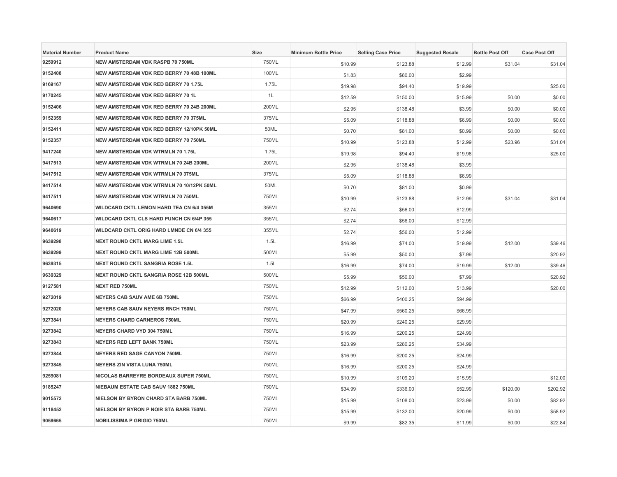| <b>Material Number</b> | <b>Product Name</b>                             | Size  | <b>Minimum Bottle Price</b> | <b>Selling Case Price</b> | <b>Suggested Resale</b> | <b>Bottle Post Off</b> | <b>Case Post Off</b> |
|------------------------|-------------------------------------------------|-------|-----------------------------|---------------------------|-------------------------|------------------------|----------------------|
| 9259912                | NEW AMSTERDAM VDK RASPB 70 750ML                | 750ML | \$10.99                     | \$123.88                  | \$12.99                 | \$31.04                | \$31.04              |
| 9152408                | NEW AMSTERDAM VDK RED BERRY 70 48B 100ML        | 100ML | \$1.83                      | \$80.00                   | \$2.99                  |                        |                      |
| 9169167                | NEW AMSTERDAM VDK RED BERRY 70 1.75L            | 1.75L | \$19.98                     | \$94.40                   | \$19.99                 |                        | \$25.00              |
| 9170245                | NEW AMSTERDAM VDK RED BERRY 70 1L               | 1L    | \$12.59                     | \$150.00                  | \$15.99                 | \$0.00                 | \$0.00               |
| 9152406                | NEW AMSTERDAM VDK RED BERRY 70 24B 200ML        | 200ML | \$2.95                      | \$138.48                  | \$3.99                  | \$0.00                 | \$0.00               |
| 9152359                | NEW AMSTERDAM VDK RED BERRY 70 375ML            | 375ML | \$5.09                      | \$118.88                  | \$6.99                  | \$0.00                 | \$0.00               |
| 9152411                | NEW AMSTERDAM VDK RED BERRY 12/10PK 50ML        | 50ML  | \$0.70                      | \$81.00                   | \$0.99                  | \$0.00                 | \$0.00               |
| 9152357                | NEW AMSTERDAM VDK RED BERRY 70 750ML            | 750ML | \$10.99                     | \$123.88                  | \$12.99                 | \$23.96                | \$31.04              |
| 9417240                | <b>NEW AMSTERDAM VDK WTRMLN 70 1.75L</b>        | 1.75L | \$19.98                     | \$94.40                   | \$19.98                 |                        | \$25.00              |
| 9417513                | NEW AMSTERDAM VDK WTRMLN 70 24B 200ML           | 200ML | \$2.95                      | \$138.48                  | \$3.99                  |                        |                      |
| 9417512                | <b>NEW AMSTERDAM VDK WTRMLN 70 375ML</b>        | 375ML | \$5.09                      | \$118.88                  | \$6.99                  |                        |                      |
| 9417514                | NEW AMSTERDAM VDK WTRMLN 70 10/12PK 50ML        | 50ML  | \$0.70                      | \$81.00                   | \$0.99                  |                        |                      |
| 9417511                | NEW AMSTERDAM VDK WTRMLN 70 750ML               | 750ML | \$10.99                     | \$123.88                  | \$12.99                 | \$31.04                | \$31.04              |
| 9640690                | <b>WILDCARD CKTL LEMON HARD TEA CN 6/4 355M</b> | 355ML | \$2.74                      | \$56.00                   | \$12.99                 |                        |                      |
| 9640617                | <b>WILDCARD CKTL CLS HARD PUNCH CN 6/4P 355</b> | 355ML | \$2.74                      | \$56.00                   | \$12.99                 |                        |                      |
| 9640619                | <b>WILDCARD CKTL ORIG HARD LMNDE CN 6/4 355</b> | 355ML | \$2.74                      | \$56.00                   | \$12.99                 |                        |                      |
| 9639298                | <b>NEXT ROUND CKTL MARG LIME 1.5L</b>           | 1.5L  | \$16.99                     | \$74.00                   | \$19.99                 | \$12.00                | \$39.46              |
| 9639299                | NEXT ROUND CKTL MARG LIME 12B 500ML             | 500ML | \$5.99                      | \$50.00                   | \$7.99                  |                        | \$20.92              |
| 9639315                | <b>NEXT ROUND CKTL SANGRIA ROSE 1.5L</b>        | 1.5L  | \$16.99                     | \$74.00                   | \$19.99                 | \$12.00                | \$39.46              |
| 9639329                | NEXT ROUND CKTL SANGRIA ROSE 12B 500ML          | 500ML | \$5.99                      | \$50.00                   | \$7.99                  |                        | \$20.92              |
| 9127581                | <b>NEXT RED 750ML</b>                           | 750ML | \$12.99                     | \$112.00                  | \$13.99                 |                        | \$20.00              |
| 9272019                | NEYERS CAB SAUV AME 6B 750ML                    | 750ML | \$66.99                     | \$400.25                  | \$94.99                 |                        |                      |
| 9272020                | NEYERS CAB SAUV NEYERS RNCH 750ML               | 750ML | \$47.99                     | \$560.25                  | \$66.99                 |                        |                      |
| 9273841                | <b>NEYERS CHARD CARNEROS 750ML</b>              | 750ML | \$20.99                     | \$240.25                  | \$29.99                 |                        |                      |
| 9273842                | NEYERS CHARD VYD 304 750ML                      | 750ML | \$16.99                     | \$200.25                  | \$24.99                 |                        |                      |
| 9273843                | <b>NEYERS RED LEFT BANK 750ML</b>               | 750ML | \$23.99                     | \$280.25                  | \$34.99                 |                        |                      |
| 9273844                | <b>NEYERS RED SAGE CANYON 750ML</b>             | 750ML | \$16.99                     | \$200.25                  | \$24.99                 |                        |                      |
| 9273845                | NEYERS ZIN VISTA LUNA 750ML                     | 750ML | \$16.99                     | \$200.25                  | \$24.99                 |                        |                      |
| 9259081                | NICOLAS BARREYRE BORDEAUX SUPER 750ML           | 750ML | \$10.99                     | \$109.20                  | \$15.99                 |                        | \$12.00              |
| 9185247                | NIEBAUM ESTATE CAB SAUV 1882 750ML              | 750ML | \$34.99                     | \$336.00                  | \$52.99                 | \$120.00               | \$202.92             |
| 9015572                | NIELSON BY BYRON CHARD STA BARB 750ML           | 750ML | \$15.99                     | \$108.00                  | \$23.99                 | \$0.00                 | \$82.92              |
| 9118452                | NIELSON BY BYRON P NOIR STA BARB 750ML          | 750ML | \$15.99                     | \$132.00                  | \$20.99                 | \$0.00                 | \$58.92              |
| 9058665                | <b>NOBILISSIMA P GRIGIO 750ML</b>               | 750ML | \$9.99                      | \$82.35                   | \$11.99                 | \$0.00                 | \$22.84              |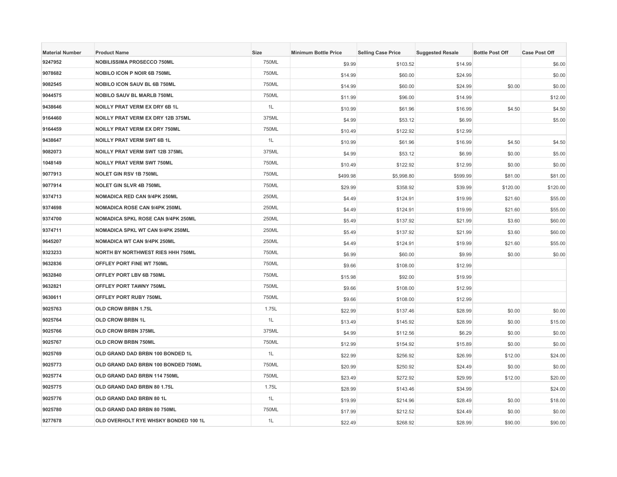| <b>Material Number</b> | <b>Product Name</b>                       | <b>Size</b> | <b>Minimum Bottle Price</b> | <b>Selling Case Price</b> | <b>Suggested Resale</b> | <b>Bottle Post Off</b> | <b>Case Post Off</b> |
|------------------------|-------------------------------------------|-------------|-----------------------------|---------------------------|-------------------------|------------------------|----------------------|
| 9247952                | <b>NOBILISSIMA PROSECCO 750ML</b>         | 750ML       | \$9.99                      | \$103.52                  | \$14.99                 |                        | \$6.00               |
| 9078682                | <b>NOBILO ICON P NOIR 6B 750ML</b>        | 750ML       | \$14.99                     | \$60.00                   | \$24.99                 |                        | \$0.00               |
| 9082545                | <b>NOBILO ICON SAUV BL 6B 750ML</b>       | 750ML       | \$14.99                     | \$60.00                   | \$24.99                 | \$0.00                 | \$0.00               |
| 9044575                | <b>NOBILO SAUV BL MARLB 750ML</b>         | 750ML       | \$11.99                     | \$96.00                   | \$14.99                 |                        | \$12.00              |
| 9438646                | <b>NOILLY PRAT VERM EX DRY 6B 1L</b>      | 1L          | \$10.99                     | \$61.96                   | \$16.99                 | \$4.50                 | \$4.50               |
| 9164460                | NOILLY PRAT VERM EX DRY 12B 375ML         | 375ML       | \$4.99                      | \$53.12                   | \$6.99                  |                        | \$5.00               |
| 9164459                | <b>NOILLY PRAT VERM EX DRY 750ML</b>      | 750ML       | \$10.49                     | \$122.92                  | \$12.99                 |                        |                      |
| 9438647                | <b>NOILLY PRAT VERM SWT 6B 1L</b>         | 1L          | \$10.99                     | \$61.96                   | \$16.99                 | \$4.50                 | \$4.50               |
| 9082073                | <b>NOILLY PRAT VERM SWT 12B 375ML</b>     | 375ML       | \$4.99                      | \$53.12                   | \$6.99                  | \$0.00                 | \$5.00               |
| 1048149                | <b>NOILLY PRAT VERM SWT 750ML</b>         | 750ML       | \$10.49                     | \$122.92                  | \$12.99                 | \$0.00                 | \$0.00               |
| 9077913                | <b>NOLET GIN RSV 1B 750ML</b>             | 750ML       | \$499.98                    | \$5,998.80                | \$599.99                | \$81.00                | \$81.00              |
| 9077914                | <b>NOLET GIN SLVR 4B 750ML</b>            | 750ML       | \$29.99                     | \$358.92                  | \$39.99                 | \$120.00               | \$120.00             |
| 9374713                | NOMADICA RED CAN 9/4PK 250ML              | 250ML       | \$4.49                      | \$124.91                  | \$19.99                 | \$21.60                | \$55.00              |
| 9374698                | <b>NOMADICA ROSE CAN 9/4PK 250ML</b>      | 250ML       | \$4.49                      | \$124.91                  | \$19.99                 | \$21.60                | \$55.00              |
| 9374700                | <b>NOMADICA SPKL ROSE CAN 9/4PK 250ML</b> | 250ML       | \$5.49                      | \$137.92                  | \$21.99                 | \$3.60                 | \$60.00              |
| 9374711                | <b>NOMADICA SPKL WT CAN 9/4PK 250ML</b>   | 250ML       | \$5.49                      | \$137.92                  | \$21.99                 | \$3.60                 | \$60.00              |
| 9645207                | <b>NOMADICA WT CAN 9/4PK 250ML</b>        | 250ML       | \$4.49                      | \$124.91                  | \$19.99                 | \$21.60                | \$55.00              |
| 9323233                | NORTH BY NORTHWEST RIES HHH 750ML         | 750ML       | \$6.99                      | \$60.00                   | \$9.99                  | \$0.00                 | \$0.00               |
| 9632836                | OFFLEY PORT FINE WT 750ML                 | 750ML       | \$9.66                      | \$108.00                  | \$12.99                 |                        |                      |
| 9632840                | OFFLEY PORT LBV 6B 750ML                  | 750ML       | \$15.98                     | \$92.00                   | \$19.99                 |                        |                      |
| 9632821                | OFFLEY PORT TAWNY 750ML                   | 750ML       | \$9.66                      | \$108.00                  | \$12.99                 |                        |                      |
| 9630611                | OFFLEY PORT RUBY 750ML                    | 750ML       | \$9.66                      | \$108.00                  | \$12.99                 |                        |                      |
| 9025763                | OLD CROW BRBN 1.75L                       | 1.75L       | \$22.99                     | \$137.46                  | \$28.99                 | \$0.00                 | \$0.00               |
| 9025764                | <b>OLD CROW BRBN 1L</b>                   | 1L          | \$13.49                     | \$145.92                  | \$28.99                 | \$0.00                 | \$15.00              |
| 9025766                | OLD CROW BRBN 375ML                       | 375ML       | \$4.99                      | \$112.56                  | \$6.29                  | \$0.00                 | \$0.00               |
| 9025767                | OLD CROW BRBN 750ML                       | 750ML       | \$12.99                     | \$154.92                  | \$15.89                 | \$0.00                 | \$0.00               |
| 9025769                | OLD GRAND DAD BRBN 100 BONDED 1L          | 1L          | \$22.99                     | \$256.92                  | \$26.99                 | \$12.00                | \$24.00              |
| 9025773                | OLD GRAND DAD BRBN 100 BONDED 750ML       | 750ML       | \$20.99                     | \$250.92                  | \$24.49                 | \$0.00                 | \$0.00               |
| 9025774                | OLD GRAND DAD BRBN 114 750ML              | 750ML       | \$23.49                     | \$272.92                  | \$29.99                 | \$12.00                | \$20.00              |
| 9025775                | OLD GRAND DAD BRBN 80 1.75L               | 1.75L       | \$28.99                     | \$143.46                  | \$34.99                 |                        | \$24.00              |
| 9025776                | OLD GRAND DAD BRBN 80 1L                  | 1L          | \$19.99                     | \$214.96                  | \$28.49                 | \$0.00                 | \$18.00              |
| 9025780                | OLD GRAND DAD BRBN 80 750ML               | 750ML       | \$17.99                     | \$212.52                  | \$24.49                 | \$0.00                 | \$0.00               |
| 9277678                | OLD OVERHOLT RYE WHSKY BONDED 100 1L      | 1L          | \$22.49                     | \$268.92                  | \$28.99                 | \$90.00                | \$90.00              |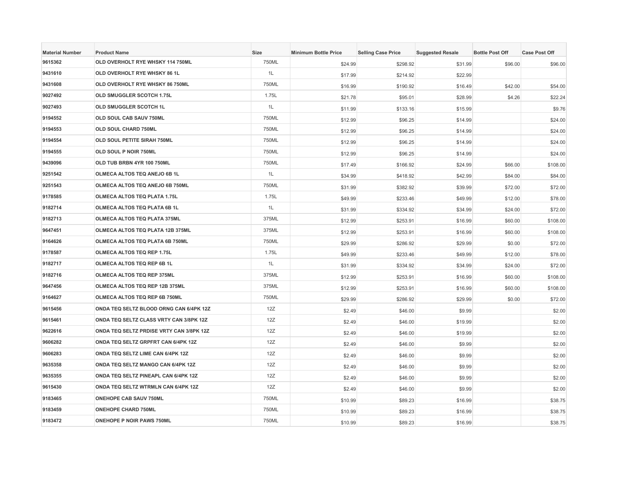| <b>Material Number</b> | <b>Product Name</b>                        | Size  | <b>Minimum Bottle Price</b> | <b>Selling Case Price</b> | <b>Suggested Resale</b> | <b>Bottle Post Off</b> | <b>Case Post Off</b> |
|------------------------|--------------------------------------------|-------|-----------------------------|---------------------------|-------------------------|------------------------|----------------------|
| 9615362                | OLD OVERHOLT RYE WHSKY 114 750ML           | 750ML | \$24.99                     | \$298.92                  | \$31.99                 | \$96.00                | \$96.00              |
| 9431610                | OLD OVERHOLT RYE WHSKY 86 1L               | 1L    | \$17.99                     | \$214.92                  | \$22.99                 |                        |                      |
| 9431608                | OLD OVERHOLT RYE WHSKY 86 750ML            | 750ML | \$16.99                     | \$190.92                  | \$16.49                 | \$42.00                | \$54.00              |
| 9027492                | OLD SMUGGLER SCOTCH 1.75L                  | 1.75L | \$21.78                     | \$95.01                   | \$28.99                 | \$4.26                 | \$22.24              |
| 9027493                | OLD SMUGGLER SCOTCH 1L                     | 1L    | \$11.99                     | \$133.16                  | \$15.99                 |                        | \$9.76               |
| 9194552                | OLD SOUL CAB SAUV 750ML                    | 750ML | \$12.99                     | \$96.25                   | \$14.99                 |                        | \$24.00              |
| 9194553                | OLD SOUL CHARD 750ML                       | 750ML | \$12.99                     | \$96.25                   | \$14.99                 |                        | \$24.00              |
| 9194554                | OLD SOUL PETITE SIRAH 750ML                | 750ML | \$12.99                     | \$96.25                   | \$14.99                 |                        | \$24.00              |
| 9194555                | OLD SOUL P NOIR 750ML                      | 750ML | \$12.99                     | \$96.25                   | \$14.99                 |                        | \$24.00              |
| 9439096                | OLD TUB BRBN 4YR 100 750ML                 | 750ML | \$17.49                     | \$166.92                  | \$24.99                 | \$66.00                | \$108.00             |
| 9251542                | OLMECA ALTOS TEQ ANEJO 6B 1L               | 1L    | \$34.99                     | \$418.92                  | \$42.99                 | \$84.00                | \$84.00              |
| 9251543                | OLMECA ALTOS TEQ ANEJO 6B 750ML            | 750ML | \$31.99                     | \$382.92                  | \$39.99                 | \$72.00                | \$72.00              |
| 9178585                | <b>OLMECA ALTOS TEQ PLATA 1.75L</b>        | 1.75L | \$49.99                     | \$233.46                  | \$49.99                 | \$12.00                | \$78.00              |
| 9182714                | OLMECA ALTOS TEQ PLATA 6B 1L               | 1L    | \$31.99                     | \$334.92                  | \$34.99                 | \$24.00                | \$72.00              |
| 9182713                | <b>OLMECA ALTOS TEQ PLATA 375ML</b>        | 375ML | \$12.99                     | \$253.91                  | \$16.99                 | \$60.00                | \$108.00             |
| 9647451                | OLMECA ALTOS TEQ PLATA 12B 375ML           | 375ML | \$12.99                     | \$253.91                  | \$16.99                 | \$60.00                | \$108.00             |
| 9164626                | OLMECA ALTOS TEQ PLATA 6B 750ML            | 750ML | \$29.99                     | \$286.92                  | \$29.99                 | \$0.00                 | \$72.00              |
| 9178587                | <b>OLMECA ALTOS TEQ REP 1.75L</b>          | 1.75L | \$49.99                     | \$233.46                  | \$49.99                 | \$12.00                | \$78.00              |
| 9182717                | OLMECA ALTOS TEQ REP 6B 1L                 | 1L    | \$31.99                     | \$334.92                  | \$34.99                 | \$24.00                | \$72.00              |
| 9182716                | OLMECA ALTOS TEQ REP 375ML                 | 375ML | \$12.99                     | \$253.91                  | \$16.99                 | \$60.00                | \$108.00             |
| 9647456                | OLMECA ALTOS TEQ REP 12B 375ML             | 375ML | \$12.99                     | \$253.91                  | \$16.99                 | \$60.00                | \$108.00             |
| 9164627                | OLMECA ALTOS TEQ REP 6B 750ML              | 750ML | \$29.99                     | \$286.92                  | \$29.99                 | \$0.00                 | \$72.00              |
| 9615456                | ONDA TEQ SELTZ BLOOD ORNG CAN 6/4PK 12Z    | 12Z   | \$2.49                      | \$46.00                   | \$9.99                  |                        | \$2.00               |
| 9615461                | ONDA TEQ SELTZ CLASS VRTY CAN 3/8PK 12Z    | 12Z   | \$2.49                      | \$46.00                   | \$19.99                 |                        | \$2.00               |
| 9622616                | ONDA TEQ SELTZ PRDISE VRTY CAN 3/8PK 12Z   | 12Z   | \$2.49                      | \$46.00                   | \$19.99                 |                        | \$2.00               |
| 9606282                | ONDA TEQ SELTZ GRPFRT CAN 6/4PK 12Z        | 12Z   | \$2.49                      | \$46.00                   | \$9.99                  |                        | \$2.00               |
| 9606283                | ONDA TEQ SELTZ LIME CAN 6/4PK 12Z          | 12Z   | \$2.49                      | \$46.00                   | \$9.99                  |                        | \$2.00               |
| 9635358                | ONDA TEQ SELTZ MANGO CAN 6/4PK 12Z         | 12Z   | \$2.49                      | \$46.00                   | \$9.99                  |                        | \$2.00               |
| 9635355                | ONDA TEQ SELTZ PINEAPL CAN 6/4PK 12Z       | 12Z   | \$2.49                      | \$46.00                   | \$9.99                  |                        | \$2.00               |
| 9615430                | <b>ONDA TEQ SELTZ WTRMLN CAN 6/4PK 12Z</b> | 12Z   | \$2.49                      | \$46.00                   | \$9.99                  |                        | \$2.00               |
| 9183465                | <b>ONEHOPE CAB SAUV 750ML</b>              | 750ML | \$10.99                     | \$89.23                   | \$16.99                 |                        | \$38.75              |
| 9183459                | <b>ONEHOPE CHARD 750ML</b>                 | 750ML | \$10.99                     | \$89.23                   | \$16.99                 |                        | \$38.75              |
| 9183472                | <b>ONEHOPE P NOIR PAWS 750ML</b>           | 750ML | \$10.99                     | \$89.23                   | \$16.99                 |                        | \$38.75              |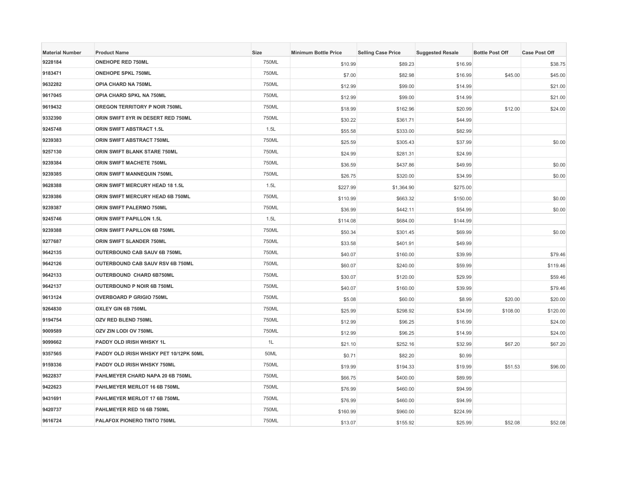| <b>Material Number</b> | <b>Product Name</b>                    | Size  | <b>Minimum Bottle Price</b> | <b>Selling Case Price</b> | <b>Suggested Resale</b> | <b>Bottle Post Off</b> | <b>Case Post Off</b> |
|------------------------|----------------------------------------|-------|-----------------------------|---------------------------|-------------------------|------------------------|----------------------|
| 9228184                | <b>ONEHOPE RED 750ML</b>               | 750ML | \$10.99                     | \$89.23                   | \$16.99                 |                        | \$38.75              |
| 9183471                | <b>ONEHOPE SPKL 750ML</b>              | 750ML | \$7.00                      | \$82.98                   | \$16.99                 | \$45.00                | \$45.00              |
| 9632282                | OPIA CHARD NA 750ML                    | 750ML | \$12.99                     | \$99.00                   | \$14.99                 |                        | \$21.00              |
| 9617045                | OPIA CHARD SPKL NA 750ML               | 750ML | \$12.99                     | \$99.00                   | \$14.99                 |                        | \$21.00              |
| 9619432                | <b>OREGON TERRITORY P NOIR 750ML</b>   | 750ML | \$18.99                     | \$162.96                  | \$20.99                 | \$12.00                | \$24.00              |
| 9332390                | ORIN SWIFT 8YR IN DESERT RED 750ML     | 750ML | \$30.22                     | \$361.71                  | \$44.99                 |                        |                      |
| 9245748                | ORIN SWIFT ABSTRACT 1.5L               | 1.5L  | \$55.58                     | \$333.00                  | \$82.99                 |                        |                      |
| 9239383                | ORIN SWIFT ABSTRACT 750ML              | 750ML | \$25.59                     | \$305.43                  | \$37.99                 |                        | \$0.00               |
| 9257130                | ORIN SWIFT BLANK STARE 750ML           | 750ML | \$24.99                     | \$281.31                  | \$24.99                 |                        |                      |
| 9239384                | ORIN SWIFT MACHETE 750ML               | 750ML | \$36.59                     | \$437.86                  | \$49.99                 |                        | \$0.00               |
| 9239385                | ORIN SWIFT MANNEQUIN 750ML             | 750ML | \$26.75                     | \$320.00                  | \$34.99                 |                        | \$0.00               |
| 9628388                | ORIN SWIFT MERCURY HEAD 18 1.5L        | 1.5L  | \$227.99                    | \$1,364.90                | \$275.00                |                        |                      |
| 9239386                | ORIN SWIFT MERCURY HEAD 6B 750ML       | 750ML | \$110.99                    | \$663.32                  | \$150.00                |                        | \$0.00               |
| 9239387                | <b>ORIN SWIFT PALERMO 750ML</b>        | 750ML | \$36.99                     | \$442.11                  | \$54.99                 |                        | \$0.00               |
| 9245746                | <b>ORIN SWIFT PAPILLON 1.5L</b>        | 1.5L  | \$114.08                    | \$684.00                  | \$144.99                |                        |                      |
| 9239388                | ORIN SWIFT PAPILLON 6B 750ML           | 750ML | \$50.34                     | \$301.45                  | \$69.99                 |                        | \$0.00               |
| 9277687                | ORIN SWIFT SLANDER 750ML               | 750ML | \$33.58                     | \$401.91                  | \$49.99                 |                        |                      |
| 9642135                | <b>OUTERBOUND CAB SAUV 6B 750ML</b>    | 750ML | \$40.07                     | \$160.00                  | \$39.99                 |                        | \$79.46              |
| 9642126                | OUTERBOUND CAB SAUV RSV 6B 750ML       | 750ML | \$60.07                     | \$240.00                  | \$59.99                 |                        | \$119.46             |
| 9642133                | OUTERBOUND CHARD 6B750ML               | 750ML | \$30.07                     | \$120.00                  | \$29.99                 |                        | \$59.46              |
| 9642137                | OUTERBOUND P NOIR 6B 750ML             | 750ML | \$40.07                     | \$160.00                  | \$39.99                 |                        | \$79.46              |
| 9613124                | <b>OVERBOARD P GRIGIO 750ML</b>        | 750ML | \$5.08                      | \$60.00                   | \$8.99                  | \$20.00                | \$20.00              |
| 9264830                | OXLEY GIN 6B 750ML                     | 750ML | \$25.99                     | \$298.92                  | \$34.99                 | \$108.00               | \$120.00             |
| 9194754                | OZV RED BLEND 750ML                    | 750ML | \$12.99                     | \$96.25                   | \$16.99                 |                        | \$24.00              |
| 9009589                | OZV ZIN LODI OV 750ML                  | 750ML | \$12.99                     | \$96.25                   | \$14.99                 |                        | \$24.00              |
| 9099662                | PADDY OLD IRISH WHSKY 1L               | 1L    | \$21.10                     | \$252.16                  | \$32.99                 | \$67.20                | \$67.20              |
| 9357565                | PADDY OLD IRISH WHSKY PET 10/12PK 50ML | 50ML  | \$0.71                      | \$82.20                   | \$0.99                  |                        |                      |
| 9159336                | PADDY OLD IRISH WHSKY 750ML            | 750ML | \$19.99                     | \$194.33                  | \$19.99                 | \$51.53                | \$96.00              |
| 9622837                | PAHLMEYER CHARD NAPA 20 6B 750ML       | 750ML | \$66.75                     | \$400.00                  | \$89.99                 |                        |                      |
| 9422623                | PAHLMEYER MERLOT 16 6B 750ML           | 750ML | \$76.99                     | \$460.00                  | \$94.99                 |                        |                      |
| 9431691                | PAHLMEYER MERLOT 17 6B 750ML           | 750ML | \$76.99                     | \$460.00                  | \$94.99                 |                        |                      |
| 9420737                | PAHLMEYER RED 16 6B 750ML              | 750ML | \$160.99                    | \$960.00                  | \$224.99                |                        |                      |
| 9616724                | PALAFOX PIONERO TINTO 750ML            | 750ML | \$13.07                     | \$155.92                  | \$25.99                 | \$52.08                | \$52.08              |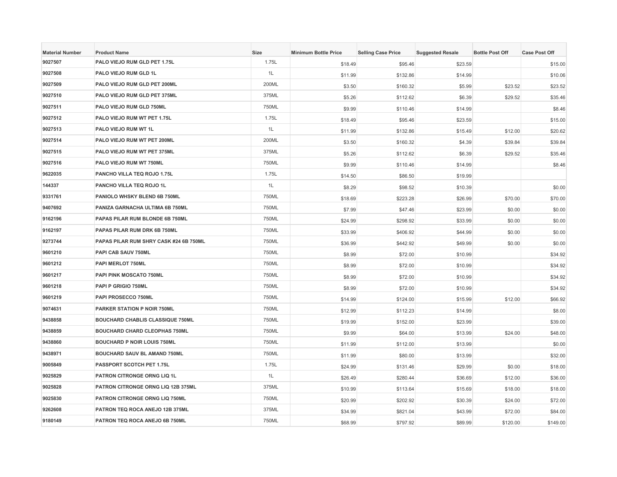| <b>Material Number</b> | <b>Product Name</b>                     | <b>Size</b> | <b>Minimum Bottle Price</b> | <b>Selling Case Price</b> | <b>Suggested Resale</b> | <b>Bottle Post Off</b> | <b>Case Post Off</b> |
|------------------------|-----------------------------------------|-------------|-----------------------------|---------------------------|-------------------------|------------------------|----------------------|
| 9027507                | PALO VIEJO RUM GLD PET 1.75L            | 1.75L       | \$18.49                     | \$95.46                   | \$23.59                 |                        | \$15.00              |
| 9027508                | PALO VIEJO RUM GLD 1L                   | 1L          | \$11.99                     | \$132.86                  | \$14.99                 |                        | \$10.06              |
| 9027509                | PALO VIEJO RUM GLD PET 200ML            | 200ML       | \$3.50                      | \$160.32                  | \$5.99                  | \$23.52                | \$23.52              |
| 9027510                | PALO VIEJO RUM GLD PET 375ML            | 375ML       | \$5.26                      | \$112.62                  | \$6.39                  | \$29.52                | \$35.46              |
| 9027511                | PALO VIEJO RUM GLD 750ML                | 750ML       | \$9.99                      | \$110.46                  | \$14.99                 |                        | \$8.46               |
| 9027512                | PALO VIEJO RUM WT PET 1.75L             | 1.75L       | \$18.49                     | \$95.46                   | \$23.59                 |                        | \$15.00              |
| 9027513                | PALO VIEJO RUM WT 1L                    | 1L          | \$11.99                     | \$132.86                  | \$15.49                 | \$12.00                | \$20.62              |
| 9027514                | PALO VIEJO RUM WT PET 200ML             | 200ML       | \$3.50                      | \$160.32                  | \$4.39                  | \$39.84                | \$39.84              |
| 9027515                | PALO VIEJO RUM WT PET 375ML             | 375ML       | \$5.26                      | \$112.62                  | \$6.39                  | \$29.52                | \$35.46              |
| 9027516                | PALO VIEJO RUM WT 750ML                 | 750ML       | \$9.99                      | \$110.46                  | \$14.99                 |                        | \$8.46               |
| 9622035                | PANCHO VILLA TEQ ROJO 1.75L             | 1.75L       | \$14.50                     | \$86.50                   | \$19.99                 |                        |                      |
| 144337                 | PANCHO VILLA TEQ ROJO 1L                | 1L          | \$8.29                      | \$98.52                   | \$10.39                 |                        | \$0.00               |
| 9331761                | PANIOLO WHSKY BLEND 6B 750ML            | 750ML       | \$18.69                     | \$223.28                  | \$26.99                 | \$70.00                | \$70.00              |
| 9407692                | PANIZA GARNACHA ULTIMA 6B 750ML         | 750ML       | \$7.99                      | \$47.46                   | \$23.99                 | \$0.00                 | \$0.00               |
| 9162196                | PAPAS PILAR RUM BLONDE 6B 750ML         | 750ML       | \$24.99                     | \$298.92                  | \$33.99                 | \$0.00                 | \$0.00               |
| 9162197                | PAPAS PILAR RUM DRK 6B 750ML            | 750ML       | \$33.99                     | \$406.92                  | \$44.99                 | \$0.00                 | \$0.00               |
| 9273744                | PAPAS PILAR RUM SHRY CASK #24 6B 750ML  | 750ML       | \$36.99                     | \$442.92                  | \$49.99                 | \$0.00                 | \$0.00               |
| 9601210                | PAPI CAB SAUV 750ML                     | 750ML       | \$8.99                      | \$72.00                   | \$10.99                 |                        | \$34.92              |
| 9601212                | PAPI MERLOT 750ML                       | 750ML       | \$8.99                      | \$72.00                   | \$10.99                 |                        | \$34.92              |
| 9601217                | PAPI PINK MOSCATO 750ML                 | 750ML       | \$8.99                      | \$72.00                   | \$10.99                 |                        | \$34.92              |
| 9601218                | PAPI P GRIGIO 750ML                     | 750ML       | \$8.99                      | \$72.00                   | \$10.99                 |                        | \$34.92              |
| 9601219                | PAPI PROSECCO 750ML                     | 750ML       | \$14.99                     | \$124.00                  | \$15.99                 | \$12.00                | \$66.92              |
| 9074631                | <b>PARKER STATION P NOIR 750ML</b>      | 750ML       | \$12.99                     | \$112.23                  | \$14.99                 |                        | \$8.00               |
| 9438858                | <b>BOUCHARD CHABLIS CLASSIQUE 750ML</b> | 750ML       | \$19.99                     | \$152.00                  | \$23.99                 |                        | \$39.00              |
| 9438859                | <b>BOUCHARD CHARD CLEOPHAS 750ML</b>    | 750ML       | \$9.99                      | \$64.00                   | \$13.99                 | \$24.00                | \$48.00              |
| 9438860                | <b>BOUCHARD P NOIR LOUIS 750ML</b>      | 750ML       | \$11.99                     | \$112.00                  | \$13.99                 |                        | \$0.00               |
| 9438971                | <b>BOUCHARD SAUV BL AMAND 750ML</b>     | 750ML       | \$11.99                     | \$80.00                   | \$13.99                 |                        | \$32.00              |
| 9005849                | PASSPORT SCOTCH PET 1.75L               | 1.75L       | \$24.99                     | \$131.46                  | \$29.99                 | \$0.00                 | \$18.00              |
| 9025829                | PATRON CITRONGE ORNG LIQ 1L             | 1L          | \$26.49                     | \$280.44                  | \$36.69                 | \$12.00                | \$36.00              |
| 9025828                | PATRON CITRONGE ORNG LIQ 12B 375ML      | 375ML       | \$10.99                     | \$113.64                  | \$15.69                 | \$18.00                | \$18.00              |
| 9025830                | PATRON CITRONGE ORNG LIQ 750ML          | 750ML       | \$20.99                     | \$202.92                  | \$30.39                 | \$24.00                | \$72.00              |
| 9262608                | PATRON TEQ ROCA ANEJO 12B 375ML         | 375ML       | \$34.99                     | \$821.04                  | \$43.99                 | \$72.00                | \$84.00              |
| 9180149                | PATRON TEQ ROCA ANEJO 6B 750ML          | 750ML       | \$68.99                     | \$797.92                  | \$89.99                 | \$120.00               | \$149.00             |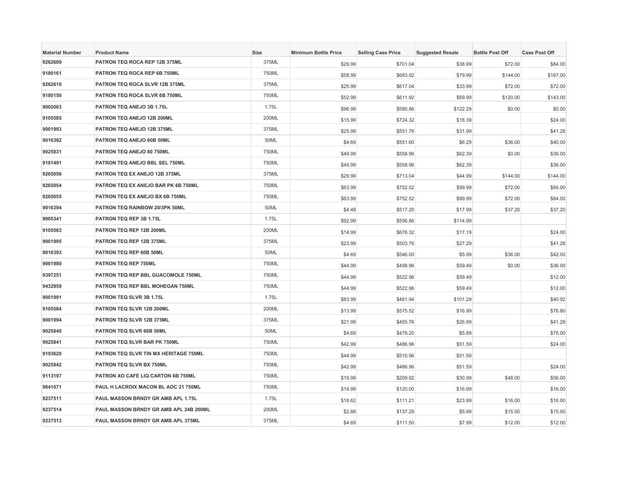| <b>Material Number</b> | <b>Product Name</b>                    | <b>Size</b> | <b>Minimum Bottle Price</b> | <b>Selling Case Price</b> | <b>Suggested Resale</b> | <b>Bottle Post Off</b> | <b>Case Post Off</b> |
|------------------------|----------------------------------------|-------------|-----------------------------|---------------------------|-------------------------|------------------------|----------------------|
| 9262609                | PATRON TEQ ROCA REP 12B 375ML          | 375ML       | \$29.99                     | \$701.04                  | \$38.99                 | \$72.00                | \$84.00              |
| 9180161                | PATRON TEQ ROCA REP 6B 750ML           | 750ML       | \$58.99                     | \$683.92                  | \$79.99                 | \$144.00               | \$167.00             |
| 9262610                | PATRON TEQ ROCA SLVR 12B 375ML         | 375ML       | \$25.99                     | \$617.04                  | \$33.99                 | \$72.00                | \$72.00              |
| 9180150                | PATRON TEQ ROCA SLVR 6B 750ML          | 750ML       | \$52.99                     | \$611.92                  | \$69.99                 | \$120.00               | \$143.00             |
| 9002003                | PATRON TEQ ANEJO 3B 1.75L              | 1.75L       | \$96.99                     | \$580.86                  | \$122.29                | \$0.00                 | \$0.00               |
| 9105585                | PATRON TEQ ANEJO 12B 200ML             | 200ML       | \$15.99                     | \$724.32                  | \$18.39                 |                        | \$24.00              |
| 9001993                | PATRON TEQ ANEJO 12B 375ML             | 375ML       | \$25.99                     | \$551.76                  | \$31.99                 |                        | \$41.28              |
| 9016392                | PATRON TEQ ANEJO 60B 50ML              | 50ML        | \$4.69                      | \$551.60                  | \$6.29                  | \$36.00                | \$40.00              |
| 9025831                | PATRON TEQ ANEJO 80 750ML              | 750ML       | \$49.99                     | \$558.96                  | \$62.39                 | \$0.00                 | \$36.00              |
| 9181491                | PATRON TEQ ANEJO BBL SEL 750ML         | 750ML       | \$49.99                     | \$558.96                  | \$62.39                 |                        | \$36.00              |
| 9265056                | PATRON TEQ EX ANEJO 12B 375ML          | 375ML       | \$29.99                     | \$713.04                  | \$44.99                 | \$144.00               | \$144.00             |
| 9265054                | PATRON TEQ EX ANEJO BAR PK 6B 750ML    | 750ML       | \$63.99                     | \$752.52                  | \$99.99                 | \$72.00                | \$84.00              |
| 9265055                | PATRON TEQ EX ANEJO BX 6B 750ML        | 750ML       | \$63.99                     | \$752.52                  | \$99.99                 | \$72.00                | \$84.00              |
| 9016394                | PATRON TEQ RAINBOW 20/3PK 50ML         | 50ML        | \$4.48                      | \$517.20                  | \$17.99                 | \$37.20                | \$37.20              |
| 9005341                | PATRON TEQ REP 3B 1.75L                | 1.75L       | \$92.99                     | \$556.86                  | \$114.99                |                        |                      |
| 9105583                | PATRON TEQ REP 12B 200ML               | 200ML       | \$14.99                     | \$676.32                  | \$17.19                 |                        | \$24.00              |
| 9001995                | PATRON TEQ REP 12B 375ML               | 375ML       | \$23.99                     | \$503.76                  | \$27.29                 |                        | \$41.28              |
| 9016393                | PATRON TEQ REP 60B 50ML                | 50ML        | \$4.69                      | \$546.00                  | \$5.99                  | \$36.00                | \$42.00              |
| 9001980                | PATRON TEQ REP 750ML                   | 750ML       | \$44.99                     | \$498.96                  | \$59.49                 | \$0.00                 | \$36.00              |
| 9397251                | PATRON TEQ REP BBL GUACOMOLE 750ML     | 750ML       | \$44.99                     | \$522.96                  | \$59.49                 |                        | \$12.00              |
| 9432959                | PATRON TEQ REP BBL MOHEGAN 750ML       | 750ML       | \$44.99                     | \$522.96                  | \$59.49                 |                        | \$12.00              |
| 9001991                | PATRON TEQ SLVR 3B 1.75L               | 1.75L       | \$83.99                     | \$461.94                  | \$101.29                |                        | \$40.92              |
| 9105584                | PATRON TEQ SLVR 12B 200ML              | 200ML       | \$13.99                     | \$575.52                  | \$16.99                 |                        | \$76.80              |
| 9001994                | PATRON TEQ SLVR 12B 375ML              | 375ML       | \$21.99                     | \$455.76                  | \$26.99                 |                        | \$41.28              |
| 9025840                | PATRON TEQ SLVR 60B 50ML               | 50ML        | \$4.69                      | \$478.20                  | \$5.89                  |                        | \$75.00              |
| 9025841                | PATRON TEQ SLVR BAR PK 750ML           | 750ML       | \$42.99                     | \$486.96                  | \$51.59                 |                        | \$24.00              |
| 9193620                | PATRON TEQ SLVR TIN MX HERITAGE 750ML  | 750ML       | \$44.99                     | \$510.96                  | \$51.59                 |                        |                      |
| 9025842                | PATRON TEQ SLVR BX 750ML               | 750ML       | \$42.99                     | \$486.96                  | \$51.59                 |                        | \$24.00              |
| 9113197                | PATRON XO CAFE LIQ CARTON 6B 750ML     | 750ML       | \$19.99                     | \$209.92                  | \$30.99                 | \$48.00                | \$56.00              |
| 9641071                | PAUL H LACROIX MACON BL AOC 21 750ML   | 750ML       | \$14.99                     | \$120.00                  | \$16.99                 |                        | \$16.00              |
| 9237511                | PAUL MASSON BRNDY GR AMB APL 1.75L     | 1.75L       | \$18.62                     | \$111.21                  | \$23.99                 | \$16.00                | \$16.00              |
| 9237514                | PAUL MASSON BRNDY GR AMB APL 24B 200ML | 200ML       | \$2.88                      | \$137.29                  | \$5.99                  | \$15.00                | \$15.00              |
| 9237513                | PAUL MASSON BRNDY GR AMB APL 375ML     | 375ML       | \$4.69                      | \$111.50                  | \$7.99                  | \$12.00                | \$12.00              |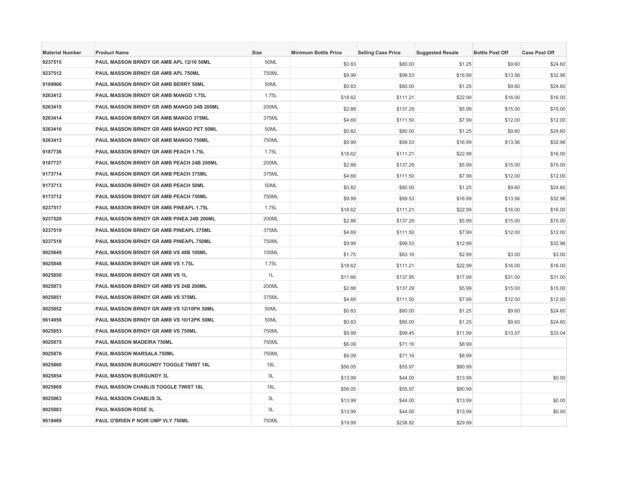| <b>Material Number</b> | <b>Product Name</b>                      | <b>Size</b> | <b>Minimum Bottle Price</b> | <b>Selling Case Price</b> | <b>Suggested Resale</b> | <b>Bottle Post Off</b> | <b>Case Post Off</b> |
|------------------------|------------------------------------------|-------------|-----------------------------|---------------------------|-------------------------|------------------------|----------------------|
| 9237515                | PAUL MASSON BRNDY GR AMB APL 12/10 50ML  | 50ML        | \$0.83                      | \$80.00                   | \$1.25                  | \$9.60                 | \$24.60              |
| 9237512                | PAUL MASSON BRNDY GR AMB APL 750ML       | 750ML       | \$9.99                      | \$99.53                   | \$16.99                 | \$13.56                | \$32.96              |
| 9189906                | PAUL MASSON BRNDY GR AMB BERRY 50ML      | 50ML        | \$0.83                      | \$80.00                   | \$1.25                  | \$9.60                 | \$24.60              |
| 9263412                | PAUL MASSON BRNDY GR AMB MANGO 1.75L     | 1.75L       | \$18.62                     | \$111.21                  | \$22.99                 | \$16.00                | \$16.00              |
| 9263415                | PAUL MASSON BRNDY GR AMB MANGO 24B 200ML | 200ML       | \$2.88                      | \$137.29                  | \$5.99                  | \$15.00                | \$15.00              |
| 9263414                | PAUL MASSON BRNDY GR AMB MANGO 375ML     | 375ML       | \$4.69                      | \$111.50                  | \$7.99                  | \$12.00                | \$12.00              |
| 9263416                | PAUL MASSON BRNDY GR AMB MANGO PET 50ML  | 50ML        | \$0.82                      | \$80.00                   | \$1.25                  | \$9.60                 | \$24.60              |
| 9263413                | PAUL MASSON BRNDY GR AMB MANGO 750ML     | 750ML       | \$9.99                      | \$99.53                   | \$16.99                 | \$13.56                | \$32.96              |
| 9187736                | PAUL MASSON BRNDY GR AMB PEACH 1.75L     | 1.75L       | \$18.62                     | \$111.21                  | \$22.99                 |                        | \$16.00              |
| 9187737                | PAUL MASSON BRNDY GR AMB PEACH 24B 200ML | 200ML       | \$2.88                      | \$137.29                  | \$5.99                  | \$15.00                | \$15.00              |
| 9173714                | PAUL MASSON BRNDY GR AMB PEACH 375ML     | 375ML       | \$4.69                      | \$111.50                  | \$7.99                  | \$12.00                | \$12.00              |
| 9173713                | PAUL MASSON BRNDY GR AMB PEACH 50ML      | 50ML        | \$0.82                      | \$80.00                   | \$1.25                  | \$9.60                 | \$24.60              |
| 9173712                | PAUL MASSON BRNDY GR AMB PEACH 750ML     | 750ML       | \$9.99                      | \$99.53                   | \$16.99                 | \$13.56                | \$32.96              |
| 9237517                | PAUL MASSON BRNDY GR AMB PINEAPL 1.75L   | 1.75L       | \$18.62                     | \$111.21                  | \$22.99                 | \$16.00                | \$16.00              |
| 9237520                | PAUL MASSON BRNDY GR AMB PINEA 24B 200ML | 200ML       | \$2.88                      | \$137.29                  | \$5.99                  | \$15.00                | \$15.00              |
| 9237519                | PAUL MASSON BRNDY GR AMB PINEAPL 375ML   | 375ML       | \$4.69                      | \$111.50                  | \$7.99                  | \$12.00                | \$12.00              |
| 9237518                | PAUL MASSON BRNDY GR AMB PINEAPL 750ML   | 750ML       | \$9.99                      | \$99.53                   | \$12.99                 |                        | \$32.96              |
| 9025849                | PAUL MASSON BRNDY GR AMB VS 48B 100ML    | 100ML       | \$1.75                      | \$83.16                   | \$2.99                  | \$3.00                 | \$3.00               |
| 9025848                | <b>PAUL MASSON BRNDY GR AMB VS 1.75L</b> | 1.75L       | \$18.62                     | \$111.21                  | \$22.99                 | \$16.00                | \$16.00              |
| 9025850                | PAUL MASSON BRNDY GR AMB VS 1L           | 1L          | \$11.66                     | \$137.95                  | \$17.99                 | \$31.00                | \$31.00              |
| 9025873                | PAUL MASSON BRNDY GR AMB VS 24B 200ML    | 200ML       | \$2.88                      | \$137.29                  | \$5.99                  | \$15.00                | \$15.00              |
| 9025851                | PAUL MASSON BRNDY GR AMB VS 375ML        | 375ML       | \$4.69                      | \$111.50                  | \$7.99                  | \$12.00                | \$12.00              |
| 9025852                | PAUL MASSON BRNDY GR AMB VS 12/10PK 50ML | 50ML        | \$0.83                      | \$80.00                   | \$1.25                  | \$9.60                 | \$24.60              |
| 9614956                | PAUL MASSON BRNDY GR AMB VS 10/12PK 50ML | 50ML        | \$0.83                      | \$80.00                   | \$1.25                  | \$9.60                 | \$24.60              |
| 9025853                | PAUL MASSON BRNDY GR AMB VS 750ML        | 750ML       | \$9.99                      | \$99.45                   | \$11.99                 | \$13.57                | \$33.04              |
| 9025875                | PAUL MASSON MADEIRA 750ML                | 750ML       | \$6.09                      | \$71.16                   | \$8.99                  |                        |                      |
| 9025876                | PAUL MASSON MARSALA 750ML                | 750ML       | \$6.09                      | \$71.16                   | \$8.99                  |                        |                      |
| 9025860                | PAUL MASSON BURGUNDY TOGGLE TWIST 18L    | 18L         | \$56.05                     | \$55.97                   | \$80.99                 |                        |                      |
| 9025854                | PAUL MASSON BURGUNDY 3L                  | 3L          | \$13.99                     | \$44.00                   | \$13.99                 |                        | \$0.00               |
| 9025869                | PAUL MASSON CHABLIS TOGGLE TWIST 18L     | 18L         | \$56.05                     | \$55.97                   | \$80.99                 |                        |                      |
| 9025863                | PAUL MASSON CHABLIS 3L                   | 3L          | \$13.99                     | \$44.00                   | \$13.99                 |                        | \$0.00               |
| 9025883                | <b>PAUL MASSON ROSE 3L</b>               | 3L          | \$13.99                     | \$44.00                   | \$13.99                 |                        | \$0.00               |
| 9619469                | PAUL O'BRIEN P NOIR UMP VLY 750ML        | 750ML       | \$19.99                     | \$238.92                  | \$29.99                 |                        |                      |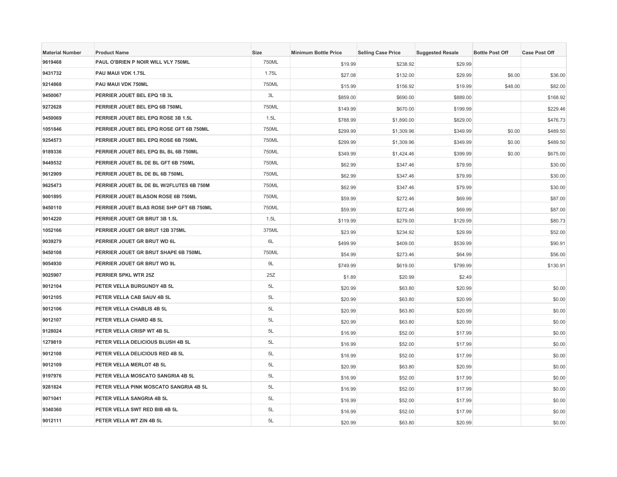| <b>Material Number</b> | <b>Product Name</b>                      | Size  | <b>Minimum Bottle Price</b> | <b>Selling Case Price</b> | <b>Suggested Resale</b> | <b>Bottle Post Off</b> | <b>Case Post Off</b> |
|------------------------|------------------------------------------|-------|-----------------------------|---------------------------|-------------------------|------------------------|----------------------|
| 9619468                | PAUL O'BRIEN P NOIR WILL VLY 750ML       | 750ML | \$19.99                     | \$238.92                  | \$29.99                 |                        |                      |
| 9431732                | PAU MAUI VDK 1.75L                       | 1.75L | \$27.08                     | \$132.00                  | \$29.99                 | \$6.00                 | \$36.00              |
| 9214868                | PAU MAUI VDK 750ML                       | 750ML | \$15.99                     | \$156.92                  | \$19.99                 | \$48.00                | \$82.00              |
| 9450067                | PERRIER JOUET BEL EPQ 1B 3L              | 3L    | \$859.00                    | \$690.00                  | \$889.00                |                        | \$168.92             |
| 9272628                | PERRIER JOUET BEL EPQ 6B 750ML           | 750ML | \$149.99                    | \$670.00                  | \$199.99                |                        | \$229.46             |
| 9450069                | PERRIER JOUET BEL EPQ ROSE 3B 1.5L       | 1.5L  | \$788.99                    | \$1,890.00                | \$829.00                |                        | \$476.73             |
| 1051846                | PERRIER JOUET BEL EPQ ROSE GFT 6B 750ML  | 750ML | \$299.99                    | \$1,309.96                | \$349.99                | \$0.00                 | \$489.50             |
| 9254573                | PERRIER JOUET BEL EPQ ROSE 6B 750ML      | 750ML | \$299.99                    | \$1,309.96                | \$349.99                | \$0.00                 | \$489.50             |
| 9189336                | PERRIER JOUET BEL EPQ BL BL 6B 750ML     | 750ML | \$349.99                    | \$1,424.46                | \$399.99                | \$0.00                 | \$675.00             |
| 9449532                | PERRIER JOUET BL DE BL GFT 6B 750ML      | 750ML | \$62.99                     | \$347.46                  | \$79.99                 |                        | \$30.00              |
| 9612909                | PERRIER JOUET BL DE BL 6B 750ML          | 750ML | \$62.99                     | \$347.46                  | \$79.99                 |                        | \$30.00              |
| 9625473                | PERRIER JOUET BL DE BL W/2FLUTES 6B 750M | 750ML | \$62.99                     | \$347.46                  | \$79.99                 |                        | \$30.00              |
| 9001895                | PERRIER JOUET BLASON ROSE 6B 750ML       | 750ML | \$59.99                     | \$272.46                  | \$69.99                 |                        | \$87.00              |
| 9450110                | PERRIER JOUET BLAS ROSE SHP GFT 6B 750ML | 750ML | \$59.99                     | \$272.46                  | \$69.99                 |                        | \$87.00              |
| 9014220                | PERRIER JOUET GR BRUT 3B 1.5L            | 1.5L  | \$119.99                    | \$279.00                  | \$129.99                |                        | \$80.73              |
| 1052166                | PERRIER JOUET GR BRUT 12B 375ML          | 375ML | \$23.99                     | \$234.92                  | \$29.99                 |                        | \$52.00              |
| 9039279                | PERRIER JOUET GR BRUT WD 6L              | 6L    | \$499.99                    | \$409.00                  | \$539.99                |                        | \$90.91              |
| 9450108                | PERRIER JOUET GR BRUT SHAPE 6B 750ML     | 750ML | \$54.99                     | \$273.46                  | \$64.99                 |                        | \$56.00              |
| 9054930                | PERRIER JOUET GR BRUT WD 9L              | 9L    | \$749.99                    | \$619.00                  | \$799.99                |                        | \$130.91             |
| 9025907                | PERRIER SPKL WTR 25Z                     | 25Z   | \$1.89                      | \$20.99                   | \$2.49                  |                        |                      |
| 9012104                | PETER VELLA BURGUNDY 4B 5L               | 5L    | \$20.99                     | \$63.80                   | \$20.99                 |                        | \$0.00               |
| 9012105                | PETER VELLA CAB SAUV 4B 5L               | 5L    | \$20.99                     | \$63.80                   | \$20.99                 |                        | \$0.00               |
| 9012106                | PETER VELLA CHABLIS 4B 5L                | 5L    | \$20.99                     | \$63.80                   | \$20.99                 |                        | \$0.00               |
| 9012107                | PETER VELLA CHARD 4B 5L                  | 5L    | \$20.99                     | \$63.80                   | \$20.99                 |                        | \$0.00               |
| 9128024                | PETER VELLA CRISP WT 4B 5L               | 5L    | \$16.99                     | \$52.00                   | \$17.99                 |                        | \$0.00               |
| 1279819                | PETER VELLA DELICIOUS BLUSH 4B 5L        | 5L    | \$16.99                     | \$52.00                   | \$17.99                 |                        | \$0.00               |
| 9012108                | PETER VELLA DELICIOUS RED 4B 5L          | 5L    | \$16.99                     | \$52.00                   | \$17.99                 |                        | \$0.00               |
| 9012109                | PETER VELLA MERLOT 4B 5L                 | 5L    | \$20.99                     | \$63.80                   | \$20.99                 |                        | \$0.00               |
| 9197976                | PETER VELLA MOSCATO SANGRIA 4B 5L        | 5L    | \$16.99                     | \$52.00                   | \$17.99                 |                        | \$0.00               |
| 9281824                | PETER VELLA PINK MOSCATO SANGRIA 4B 5L   | 5L    | \$16.99                     | \$52.00                   | \$17.99                 |                        | \$0.00               |
| 9071041                | PETER VELLA SANGRIA 4B 5L                | 5L    | \$16.99                     | \$52.00                   | \$17.99                 |                        | \$0.00               |
| 9340360                | PETER VELLA SWT RED BIB 4B 5L            | 5L    | \$16.99                     | \$52.00                   | \$17.99                 |                        | \$0.00               |
| 9012111                | PETER VELLA WT ZIN 4B 5L                 | 5L    | \$20.99                     | \$63.80                   | \$20.99                 |                        | \$0.00               |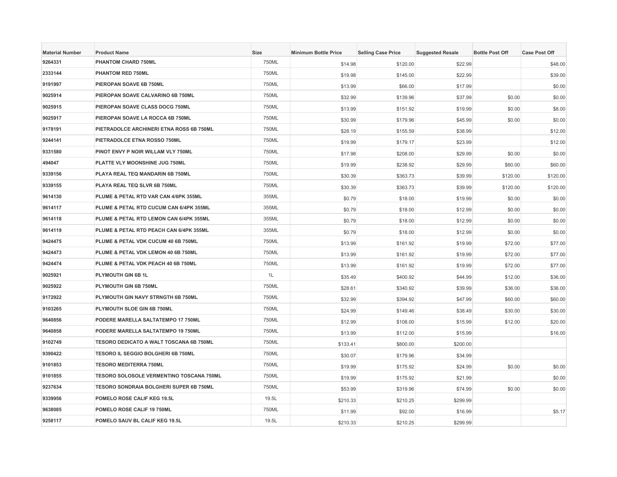| <b>Material Number</b> | <b>Product Name</b>                             | Size  | <b>Minimum Bottle Price</b> | <b>Selling Case Price</b> | <b>Suggested Resale</b> | <b>Bottle Post Off</b> | <b>Case Post Off</b> |
|------------------------|-------------------------------------------------|-------|-----------------------------|---------------------------|-------------------------|------------------------|----------------------|
| 9264331                | PHANTOM CHARD 750ML                             | 750ML | \$14.98                     | \$120.00                  | \$22.99                 |                        | \$48.00              |
| 2333144                | PHANTOM RED 750ML                               | 750ML | \$19.98                     | \$145.00                  | \$22.99                 |                        | \$39.00              |
| 9191997                | PIEROPAN SOAVE 6B 750ML                         | 750ML | \$13.99                     | \$66.00                   | \$17.99                 |                        | \$0.00               |
| 9025914                | PIEROPAN SOAVE CALVARINO 6B 750ML               | 750ML | \$32.99                     | \$139.96                  | \$37.99                 | \$0.00                 | \$0.00               |
| 9025915                | PIEROPAN SOAVE CLASS DOCG 750ML                 | 750ML | \$13.99                     | \$151.92                  | \$19.99                 | \$0.00                 | \$8.00               |
| 9025917                | PIEROPAN SOAVE LA ROCCA 6B 750ML                | 750ML | \$30.99                     | \$179.96                  | \$45.99                 | \$0.00                 | \$0.00               |
| 9178191                | PIETRADOLCE ARCHINERI ETNA ROSS 6B 750ML        | 750ML | \$28.19                     | \$155.59                  | \$38.99                 |                        | \$12.00              |
| 9244141                | PIETRADOLCE ETNA ROSSO 750ML                    | 750ML | \$19.99                     | \$179.17                  | \$23.99                 |                        | \$12.00              |
| 9331580                | PINOT ENVY P NOIR WILLAM VLY 750ML              | 750ML | \$17.98                     | \$208.00                  | \$29.99                 | \$0.00                 | \$0.00               |
| 494047                 | PLATTE VLY MOONSHINE JUG 750ML                  | 750ML | \$19.99                     | \$238.92                  | \$29.99                 | \$60.00                | \$60.00              |
| 9339156                | PLAYA REAL TEQ MANDARIN 6B 750ML                | 750ML | \$30.39                     | \$363.73                  | \$39.99                 | \$120.00               | \$120.00             |
| 9339155                | PLAYA REAL TEQ SLVR 6B 750ML                    | 750ML | \$30.39                     | \$363.73                  | \$39.99                 | \$120.00               | \$120.00             |
| 9614130                | PLUME & PETAL RTD VAR CAN 4/6PK 355ML           | 355ML | \$0.79                      | \$18.00                   | \$19.99                 | \$0.00                 | \$0.00               |
| 9614117                | PLUME & PETAL RTD CUCUM CAN 6/4PK 355ML         | 355ML | \$0.79                      | \$18.00                   | \$12.99                 | \$0.00                 | \$0.00               |
| 9614118                | PLUME & PETAL RTD LEMON CAN 6/4PK 355ML         | 355ML | \$0.79                      | \$18.00                   | \$12.99                 | \$0.00                 | \$0.00               |
| 9614119                | PLUME & PETAL RTD PEACH CAN 6/4PK 355ML         | 355ML | \$0.79                      | \$18.00                   | \$12.99                 | \$0.00                 | \$0.00               |
| 9424475                | PLUME & PETAL VDK CUCUM 40 6B 750ML             | 750ML | \$13.99                     | \$161.92                  | \$19.99                 | \$72.00                | \$77.00              |
| 9424473                | PLUME & PETAL VDK LEMON 40 6B 750ML             | 750ML | \$13.99                     | \$161.92                  | \$19.99                 | \$72.00                | \$77.00              |
| 9424474                | PLUME & PETAL VDK PEACH 40 6B 750ML             | 750ML | \$13.99                     | \$161.92                  | \$19.99                 | \$72.00                | \$77.00              |
| 9025921                | PLYMOUTH GIN 6B 1L                              | 1L    | \$35.49                     | \$400.92                  | \$44.99                 | \$12.00                | \$36.00              |
| 9025922                | PLYMOUTH GIN 6B 750ML                           | 750ML | \$28.61                     | \$340.92                  | \$39.99                 | \$36.00                | \$36.00              |
| 9172922                | PLYMOUTH GIN NAVY STRNGTH 6B 750ML              | 750ML | \$32.99                     | \$394.92                  | \$47.99                 | \$60.00                | \$60.00              |
| 9103265                | PLYMOUTH SLOE GIN 6B 750ML                      | 750ML | \$24.99                     | \$149.46                  | \$38.49                 | \$30.00                | \$30.00              |
| 9640856                | PODERE MARELLA SALTATEMPO 17 750ML              | 750ML | \$12.99                     | \$108.00                  | \$15.99                 | \$12.00                | \$20.00              |
| 9640858                | PODERE MARELLA SALTATEMPO 19 750ML              | 750ML | \$13.99                     | \$112.00                  | \$15.99                 |                        | \$16.00              |
| 9102749                | TESORO DEDICATO A WALT TOSCANA 6B 750ML         | 750ML | \$133.41                    | \$800.00                  | \$200.00                |                        |                      |
| 9390422                | <b>TESORO IL SEGGIO BOLGHERI 6B 750ML</b>       | 750ML | \$30.07                     | \$179.96                  | \$34.99                 |                        |                      |
| 9101853                | <b>TESORO MEDITERRA 750ML</b>                   | 750ML | \$19.99                     | \$175.92                  | \$24.99                 | \$0.00                 | \$0.00               |
| 9101855                | <b>TESORO SOLOSOLE VERMENTINO TOSCANA 750ML</b> | 750ML | \$19.99                     | \$175.92                  | \$21.99                 |                        | \$0.00               |
| 9237634                | TESORO SONDRAIA BOLGHERI SUPER 6B 750ML         | 750ML | \$53.99                     | \$319.96                  | \$74.99                 | \$0.00                 | \$0.00               |
| 9339956                | POMELO ROSE CALIF KEG 19.5L                     | 19.5L | \$210.33                    | \$210.25                  | \$299.99                |                        |                      |
| 9638085                | POMELO ROSE CALIF 19 750ML                      | 750ML | \$11.99                     | \$92.00                   | \$16.99                 |                        | \$5.17               |
| 9258117                | POMELO SAUV BL CALIF KEG 19.5L                  | 19.5L | \$210.33                    | \$210.25                  | \$299.99                |                        |                      |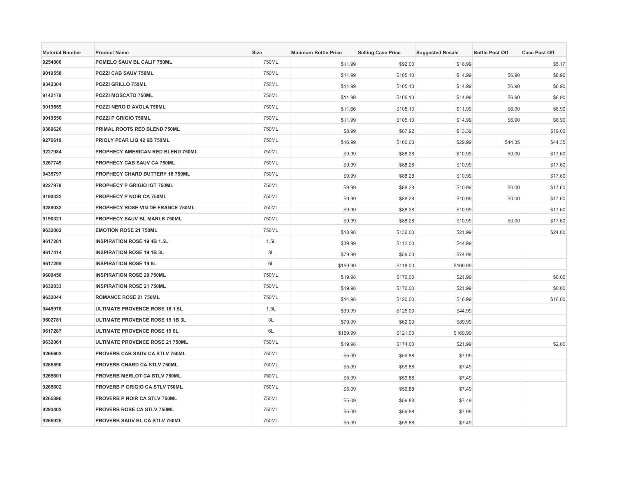| <b>Material Number</b> | <b>Product Name</b>                    | Size  | <b>Minimum Bottle Price</b> | <b>Selling Case Price</b> | <b>Suggested Resale</b> | <b>Bottle Post Off</b> | <b>Case Post Off</b> |
|------------------------|----------------------------------------|-------|-----------------------------|---------------------------|-------------------------|------------------------|----------------------|
| 9254800                | POMELO SAUV BL CALIF 750ML             | 750ML | \$11.99                     | \$92.00                   | \$16.99                 |                        | \$5.17               |
| 9019558                | POZZI CAB SAUV 750ML                   | 750ML | \$11.99                     | \$105.10                  | \$14.99                 | \$6.90                 | \$6.90               |
| 9342304                | POZZI GRILLO 750ML                     | 750ML | \$11.99                     | \$105.10                  | \$14.99                 | \$6.90                 | \$6.90               |
| 9142179                | POZZI MOSCATO 750ML                    | 750ML | \$11.99                     | \$105.10                  | \$14.99                 | \$6.90                 | \$6.90               |
| 9019559                | POZZI NERO D AVOLA 750ML               | 750ML | \$11.66                     | \$105.10                  | \$11.99                 | \$6.90                 | \$6.90               |
| 9019556                | <b>POZZI P GRIGIO 750ML</b>            | 750ML | \$11.99                     | \$105.10                  | \$14.99                 | \$6.90                 | \$6.90               |
| 9389626                | PRIMAL ROOTS RED BLEND 750ML           | 750ML | \$8.99                      | \$87.92                   | \$13.39                 |                        | \$19.00              |
| 9276619                | PRIQLY PEAR LIQ 42 6B 750ML            | 750ML | \$16.99                     | \$100.00                  | \$29.99                 | \$44.35                | \$44.35              |
| 9227984                | PROPHECY AMERICAN RED BLEND 750ML      | 750ML | \$9.99                      | \$88.28                   | \$10.99                 | \$0.00                 | \$17.60              |
| 9267749                | PROPHECY CAB SAUV CA 750ML             | 750ML | \$9.99                      | \$88.28                   | \$10.99                 |                        | \$17.60              |
| 9435797                | PROPHECY CHARD BUTTERY 18 750ML        | 750ML | \$9.99                      | \$88.28                   | \$10.99                 |                        | \$17.60              |
| 9227979                | PROPHECY P GRIGIO IGT 750ML            | 750ML | \$9.99                      | \$88.28                   | \$10.99                 | \$0.00                 | \$17.60              |
| 9190322                | PROPHECY P NOIR CA 750ML               | 750ML | \$9.99                      | \$88.28                   | \$10.99                 | \$0.00                 | \$17.60              |
| 9289032                | PROPHECY ROSE VIN DE FRANCE 750ML      | 750ML | \$9.99                      | \$88.28                   | \$10.99                 |                        | \$17.60              |
| 9190321                | PROPHECY SAUV BL MARLB 750ML           | 750ML | \$9.99                      | \$88.28                   | \$10.99                 | \$0.00                 | \$17.60              |
| 9632002                | <b>EMOTION ROSE 21 750ML</b>           | 750ML | \$18.98                     | \$136.00                  | \$21.99                 |                        | \$24.00              |
| 9617281                | <b>INSPIRATION ROSE 19 4B 1.5L</b>     | 1.5L  | \$39.99                     | \$112.00                  | \$44.99                 |                        |                      |
| 9617414                | <b>INSPIRATION ROSE 19 1B 3L</b>       | 3L    | \$79.99                     | \$59.00                   | \$74.99                 |                        |                      |
| 9617298                | <b>INSPIRATION ROSE 19 6L</b>          | 6L    | \$159.99                    | \$118.00                  | \$169.99                |                        |                      |
| 9609456                | <b>INSPIRATION ROSE 20 750ML</b>       | 750ML | \$19.98                     | \$176.00                  | \$21.99                 |                        | \$0.00               |
| 9632033                | <b>INSPIRATION ROSE 21 750ML</b>       | 750ML | \$19.98                     | \$176.00                  | \$21.99                 |                        | \$0.00               |
| 9632044                | <b>ROMANCE ROSE 21 750ML</b>           | 750ML | \$14.98                     | \$120.00                  | \$16.99                 |                        | \$16.00              |
| 9445978                | <b>ULTIMATE PROVENCE ROSE 18 1.5L</b>  | 1.5L  | \$39.99                     | \$125.00                  | \$44.99                 |                        |                      |
| 9602781                | ULTIMATE PROVENCE ROSE 19 1B 3L        | 3L    | \$79.99                     | \$62.00                   | \$89.99                 |                        |                      |
| 9617287                | <b>ULTIMATE PROVENCE ROSE 19 6L</b>    | 6L    | \$159.99                    | \$121.00                  | \$169.99                |                        |                      |
| 9632061                | <b>ULTIMATE PROVENCE ROSE 21 750ML</b> | 750ML | \$19.98                     | \$174.00                  | \$21.99                 |                        | \$2.00               |
| 9265603                | PROVERB CAB SAUV CA STLV 750ML         | 750ML | \$5.09                      | \$59.88                   | \$7.99                  |                        |                      |
| 9265590                | PROVERB CHARD CA STLV 750ML            | 750ML | \$5.09                      | \$59.88                   | \$7.49                  |                        |                      |
| 9265601                | <b>PROVERB MERLOT CA STLV 750ML</b>    | 750ML | \$5.09                      | \$59.88                   | \$7.49                  |                        |                      |
| 9265602                | PROVERB P GRIGIO CA STLV 750ML         | 750ML | \$5.09                      | \$59.88                   | \$7.49                  |                        |                      |
| 9265896                | PROVERB P NOIR CA STLV 750ML           | 750ML | \$5.09                      | \$59.88                   | \$7.49                  |                        |                      |
| 9293402                | PROVERB ROSE CA STLV 750ML             | 750ML | \$5.09                      | \$59.88                   | \$7.99                  |                        |                      |
| 9265925                | <b>PROVERB SAUV BL CA STLV 750ML</b>   | 750ML | \$5.09                      | \$59.88                   | \$7.49                  |                        |                      |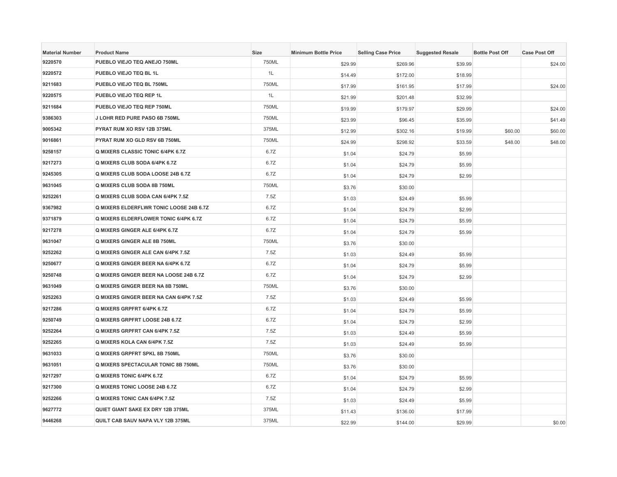| <b>Material Number</b> | <b>Product Name</b>                     | Size  | <b>Minimum Bottle Price</b> | <b>Selling Case Price</b> | <b>Suggested Resale</b> | <b>Bottle Post Off</b> | <b>Case Post Off</b> |
|------------------------|-----------------------------------------|-------|-----------------------------|---------------------------|-------------------------|------------------------|----------------------|
| 9220570                | PUEBLO VIEJO TEQ ANEJO 750ML            | 750ML | \$29.99                     | \$269.96                  | \$39.99                 |                        | \$24.00              |
| 9220572                | PUEBLO VIEJO TEQ BL 1L                  | 1L    | \$14.49                     | \$172.00                  | \$18.99                 |                        |                      |
| 9211683                | PUEBLO VIEJO TEQ BL 750ML               | 750ML | \$17.99                     | \$161.95                  | \$17.99                 |                        | \$24.00              |
| 9220575                | PUEBLO VIEJO TEQ REP 1L                 | 1L    | \$21.99                     | \$201.48                  | \$32.99                 |                        |                      |
| 9211684                | PUEBLO VIEJO TEQ REP 750ML              | 750ML | \$19.99                     | \$179.97                  | \$29.99                 |                        | \$24.00              |
| 9386303                | J LOHR RED PURE PASO 6B 750ML           | 750ML | \$23.99                     | \$96.45                   | \$35.99                 |                        | \$41.49              |
| 9005342                | PYRAT RUM XO RSV 12B 375ML              | 375ML | \$12.99                     | \$302.16                  | \$19.99                 | \$60.00                | \$60.00              |
| 9016861                | PYRAT RUM XO GLD RSV 6B 750ML           | 750ML | \$24.99                     | \$298.92                  | \$33.59                 | \$48.00                | \$48.00              |
| 9258157                | Q MIXERS CLASSIC TONIC 6/4PK 6.7Z       | 6.7Z  | \$1.04                      | \$24.79                   | \$5.99                  |                        |                      |
| 9217273                | Q MIXERS CLUB SODA 6/4PK 6.7Z           | 6.7Z  | \$1.04                      | \$24.79                   | \$5.99                  |                        |                      |
| 9245305                | Q MIXERS CLUB SODA LOOSE 24B 6.7Z       | 6.7Z  | \$1.04                      | \$24.79                   | \$2.99                  |                        |                      |
| 9631045                | Q MIXERS CLUB SODA 8B 750ML             | 750ML | \$3.76                      | \$30.00                   |                         |                        |                      |
| 9252261                | Q MIXERS CLUB SODA CAN 6/4PK 7.5Z       | 7.5Z  | \$1.03                      | \$24.49                   | \$5.99                  |                        |                      |
| 9367982                | Q MIXERS ELDERFLWR TONIC LOOSE 24B 6.7Z | 6.7Z  | \$1.04                      | \$24.79                   | \$2.99                  |                        |                      |
| 9371879                | Q MIXERS ELDERFLOWER TONIC 6/4PK 6.7Z   | 6.7Z  | \$1.04                      | \$24.79                   | \$5.99                  |                        |                      |
| 9217278                | Q MIXERS GINGER ALE 6/4PK 6.7Z          | 6.7Z  | \$1.04                      | \$24.79                   | \$5.99                  |                        |                      |
| 9631047                | Q MIXERS GINGER ALE 8B 750ML            | 750ML | \$3.76                      | \$30.00                   |                         |                        |                      |
| 9252262                | Q MIXERS GINGER ALE CAN 6/4PK 7.5Z      | 7.5Z  | \$1.03                      | \$24.49                   | \$5.99                  |                        |                      |
| 9250677                | Q MIXERS GINGER BEER NA 6/4PK 6.7Z      | 6.7Z  | \$1.04                      | \$24.79                   | \$5.99                  |                        |                      |
| 9250748                | Q MIXERS GINGER BEER NA LOOSE 24B 6.7Z  | 6.7Z  | \$1.04                      | \$24.79                   | \$2.99                  |                        |                      |
| 9631049                | Q MIXERS GINGER BEER NA 8B 750ML        | 750ML | \$3.76                      | \$30.00                   |                         |                        |                      |
| 9252263                | Q MIXERS GINGER BEER NA CAN 6/4PK 7.5Z  | 7.5Z  | \$1.03                      | \$24.49                   | \$5.99                  |                        |                      |
| 9217286                | Q MIXERS GRPFRT 6/4PK 6.7Z              | 6.7Z  | \$1.04                      | \$24.79                   | \$5.99                  |                        |                      |
| 9250749                | Q MIXERS GRPFRT LOOSE 24B 6.7Z          | 6.7Z  | \$1.04                      | \$24.79                   | \$2.99                  |                        |                      |
| 9252264                | Q MIXERS GRPFRT CAN 6/4PK 7.5Z          | 7.5Z  | \$1.03                      | \$24.49                   | \$5.99                  |                        |                      |
| 9252265                | Q MIXERS KOLA CAN 6/4PK 7.5Z            | 7.5Z  | \$1.03                      | \$24.49                   | \$5.99                  |                        |                      |
| 9631033                | Q MIXERS GRPFRT SPKL 8B 750ML           | 750ML | \$3.76                      | \$30.00                   |                         |                        |                      |
| 9631051                | Q MIXERS SPECTACULAR TONIC 8B 750ML     | 750ML | \$3.76                      | \$30.00                   |                         |                        |                      |
| 9217297                | Q MIXERS TONIC 6/4PK 6.7Z               | 6.7Z  | \$1.04                      | \$24.79                   | \$5.99                  |                        |                      |
| 9217300                | Q MIXERS TONIC LOOSE 24B 6.7Z           | 6.7Z  | \$1.04                      | \$24.79                   | \$2.99                  |                        |                      |
| 9252266                | Q MIXERS TONIC CAN 6/4PK 7.5Z           | 7.5Z  | \$1.03                      | \$24.49                   | \$5.99                  |                        |                      |
| 9627772                | QUIET GIANT SAKE EX DRY 12B 375ML       | 375ML | \$11.43                     | \$136.00                  | \$17.99                 |                        |                      |
| 9446268                | QUILT CAB SAUV NAPA VLY 12B 375ML       | 375ML | \$22.99                     | \$144.00                  | \$29.99                 |                        | \$0.00               |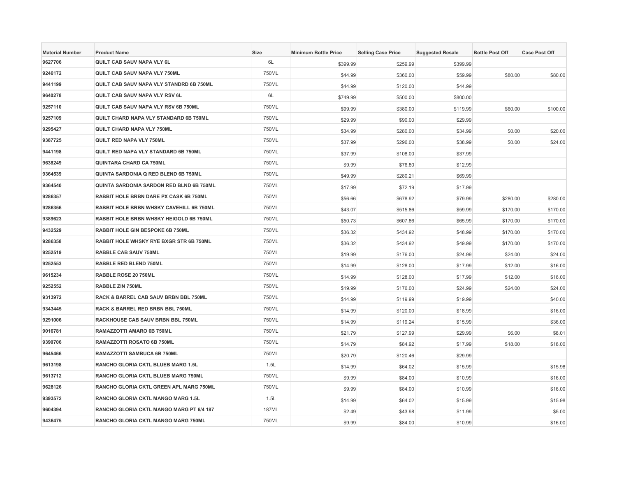| <b>Material Number</b> | <b>Product Name</b>                      | <b>Size</b>  | <b>Minimum Bottle Price</b> | <b>Selling Case Price</b> | <b>Suggested Resale</b> | <b>Bottle Post Off</b> | <b>Case Post Off</b> |
|------------------------|------------------------------------------|--------------|-----------------------------|---------------------------|-------------------------|------------------------|----------------------|
| 9627706                | QUILT CAB SAUV NAPA VLY 6L               | 6L           | \$399.99                    | \$259.99                  | \$399.99                |                        |                      |
| 9246172                | QUILT CAB SAUV NAPA VLY 750ML            | 750ML        | \$44.99                     | \$360.00                  | \$59.99                 | \$80.00                | \$80.00              |
| 9441199                | QUILT CAB SAUV NAPA VLY STANDRD 6B 750ML | 750ML        | \$44.99                     | \$120.00                  | \$44.99                 |                        |                      |
| 9640278                | QUILT CAB SAUV NAPA VLY RSV 6L           | 6L           | \$749.99                    | \$500.00                  | \$800.00                |                        |                      |
| 9257110                | QUILT CAB SAUV NAPA VLY RSV 6B 750ML     | 750ML        | \$99.99                     | \$380.00                  | \$119.99                | \$60.00                | \$100.00             |
| 9257109                | QUILT CHARD NAPA VLY STANDARD 6B 750ML   | 750ML        | \$29.99                     | \$90.00                   | \$29.99                 |                        |                      |
| 9295427                | QUILT CHARD NAPA VLY 750ML               | 750ML        | \$34.99                     | \$280.00                  | \$34.99                 | \$0.00                 | \$20.00              |
| 9387725                | QUILT RED NAPA VLY 750ML                 | 750ML        | \$37.99                     | \$296.00                  | \$38.99                 | \$0.00                 | \$24.00              |
| 9441198                | QUILT RED NAPA VLY STANDARD 6B 750ML     | 750ML        | \$37.99                     | \$108.00                  | \$37.99                 |                        |                      |
| 9638249                | <b>QUINTARA CHARD CA 750ML</b>           | 750ML        | \$9.99                      | \$76.80                   | \$12.99                 |                        |                      |
| 9364539                | QUINTA SARDONIA Q RED BLEND 6B 750ML     | 750ML        | \$49.99                     | \$280.21                  | \$69.99                 |                        |                      |
| 9364540                | QUINTA SARDONIA SARDON RED BLND 6B 750ML | 750ML        | \$17.99                     | \$72.19                   | \$17.99                 |                        |                      |
| 9286357                | RABBIT HOLE BRBN DARE PX CASK 6B 750ML   | 750ML        | \$56.66                     | \$678.92                  | \$79.99                 | \$280.00               | \$280.00             |
| 9286356                | RABBIT HOLE BRBN WHSKY CAVEHILL 6B 750ML | 750ML        | \$43.07                     | \$515.86                  | \$59.99                 | \$170.00               | \$170.00             |
| 9389623                | RABBIT HOLE BRBN WHSKY HEIGOLD 6B 750ML  | 750ML        | \$50.73                     | \$607.86                  | \$65.99                 | \$170.00               | \$170.00             |
| 9432529                | RABBIT HOLE GIN BESPOKE 6B 750ML         | 750ML        | \$36.32                     | \$434.92                  | \$48.99                 | \$170.00               | \$170.00             |
| 9286358                | RABBIT HOLE WHSKY RYE BXGR STR 6B 750ML  | 750ML        | \$36.32                     | \$434.92                  | \$49.99                 | \$170.00               | \$170.00             |
| 9252519                | RABBLE CAB SAUV 750ML                    | 750ML        | \$19.99                     | \$176.00                  | \$24.99                 | \$24.00                | \$24.00              |
| 9252553                | RABBLE RED BLEND 750ML                   | 750ML        | \$14.99                     | \$128.00                  | \$17.99                 | \$12.00                | \$16.00              |
| 9615234                | RABBLE ROSE 20 750ML                     | 750ML        | \$14.99                     | \$128.00                  | \$17.99                 | \$12.00                | \$16.00              |
| 9252552                | RABBLE ZIN 750ML                         | 750ML        | \$19.99                     | \$176.00                  | \$24.99                 | \$24.00                | \$24.00              |
| 9313972                | RACK & BARREL CAB SAUV BRBN BBL 750ML    | 750ML        | \$14.99                     | \$119.99                  | \$19.99                 |                        | \$40.00              |
| 9343445                | RACK & BARREL RED BRBN BBL 750ML         | 750ML        | \$14.99                     | \$120.00                  | \$18.99                 |                        | \$16.00              |
| 9291006                | RACKHOUSE CAB SAUV BRBN BBL 750ML        | 750ML        | \$14.99                     | \$119.24                  | \$15.99                 |                        | \$36.00              |
| 9016781                | RAMAZZOTTI AMARO 6B 750ML                | 750ML        | \$21.79                     | \$127.99                  | \$29.99                 | \$6.00                 | \$8.01               |
| 9390706                | RAMAZZOTTI ROSATO 6B 750ML               | 750ML        | \$14.79                     | \$84.92                   | \$17.99                 | \$18.00                | \$18.00              |
| 9645466                | RAMAZZOTTI SAMBUCA 6B 750ML              | 750ML        | \$20.79                     | \$120.46                  | \$29.99                 |                        |                      |
| 9613198                | RANCHO GLORIA CKTL BLUEB MARG 1.5L       | 1.5L         | \$14.99                     | \$64.02                   | \$15.99                 |                        | \$15.98              |
| 9613712                | RANCHO GLORIA CKTL BLUEB MARG 750ML      | 750ML        | \$9.99                      | \$84.00                   | \$10.99                 |                        | \$16.00              |
| 9628126                | RANCHO GLORIA CKTL GREEN APL MARG 750ML  | 750ML        | \$9.99                      | \$84.00                   | \$10.99                 |                        | \$16.00              |
| 9393572                | RANCHO GLORIA CKTL MANGO MARG 1.5L       | 1.5L         | \$14.99                     | \$64.02                   | \$15.99                 |                        | \$15.98              |
| 9604394                | RANCHO GLORIA CKTL MANGO MARG PT 6/4 187 | <b>187ML</b> | \$2.49                      | \$43.98                   | \$11.99                 |                        | \$5.00               |
| 9436475                | RANCHO GLORIA CKTL MANGO MARG 750ML      | 750ML        | \$9.99                      | \$84.00                   | \$10.99                 |                        | \$16.00              |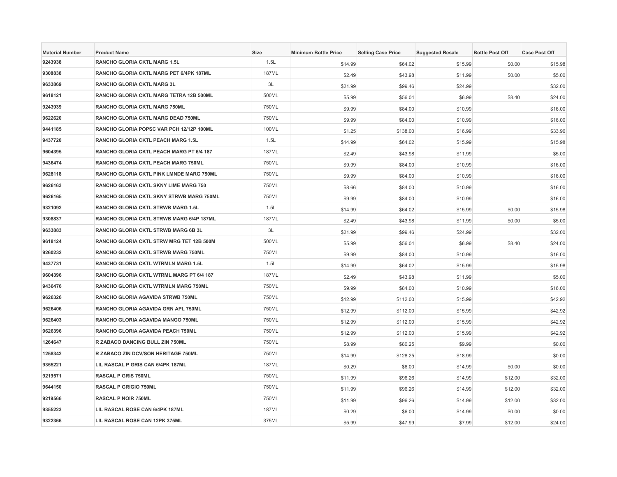| <b>Material Number</b> | <b>Product Name</b>                      | <b>Size</b>  | <b>Minimum Bottle Price</b> | <b>Selling Case Price</b> | <b>Suggested Resale</b> | <b>Bottle Post Off</b> | <b>Case Post Off</b> |
|------------------------|------------------------------------------|--------------|-----------------------------|---------------------------|-------------------------|------------------------|----------------------|
| 9243938                | RANCHO GLORIA CKTL MARG 1.5L             | 1.5L         | \$14.99                     | \$64.02                   | \$15.99                 | \$0.00                 | \$15.98              |
| 9308838                | RANCHO GLORIA CKTL MARG PET 6/4PK 187ML  | 187ML        | \$2.49                      | \$43.98                   | \$11.99                 | \$0.00                 | \$5.00               |
| 9633869                | <b>RANCHO GLORIA CKTL MARG 3L</b>        | 3L           | \$21.99                     | \$99.46                   | \$24.99                 |                        | \$32.00              |
| 9618121                | RANCHO GLORIA CKTL MARG TETRA 12B 500ML  | 500ML        | \$5.99                      | \$56.04                   | \$6.99                  | \$8.40                 | \$24.00              |
| 9243939                | RANCHO GLORIA CKTL MARG 750ML            | 750ML        | \$9.99                      | \$84.00                   | \$10.99                 |                        | \$16.00              |
| 9622620                | RANCHO GLORIA CKTL MARG DEAD 750ML       | 750ML        | \$9.99                      | \$84.00                   | \$10.99                 |                        | \$16.00              |
| 9441185                | RANCHO GLORIA POPSC VAR PCH 12/12P 100ML | 100ML        | \$1.25                      | \$138.00                  | \$16.99                 |                        | \$33.96              |
| 9437720                | RANCHO GLORIA CKTL PEACH MARG 1.5L       | 1.5L         | \$14.99                     | \$64.02                   | \$15.99                 |                        | \$15.98              |
| 9604395                | RANCHO GLORIA CKTL PEACH MARG PT 6/4 187 | 187ML        | \$2.49                      | \$43.98                   | \$11.99                 |                        | \$5.00               |
| 9436474                | RANCHO GLORIA CKTL PEACH MARG 750ML      | 750ML        | \$9.99                      | \$84.00                   | \$10.99                 |                        | \$16.00              |
| 9628118                | RANCHO GLORIA CKTL PINK LMNDE MARG 750ML | 750ML        | \$9.99                      | \$84.00                   | \$10.99                 |                        | \$16.00              |
| 9626163                | RANCHO GLORIA CKTL SKNY LIME MARG 750    | 750ML        | \$8.66                      | \$84.00                   | \$10.99                 |                        | \$16.00              |
| 9626165                | RANCHO GLORIA CKTL SKNY STRWB MARG 750ML | 750ML        | \$9.99                      | \$84.00                   | \$10.99                 |                        | \$16.00              |
| 9321092                | RANCHO GLORIA CKTL STRWB MARG 1.5L       | 1.5L         | \$14.99                     | \$64.02                   | \$15.99                 | \$0.00                 | \$15.98              |
| 9308837                | RANCHO GLORIA CKTL STRWB MARG 6/4P 187ML | <b>187ML</b> | \$2.49                      | \$43.98                   | \$11.99                 | \$0.00                 | \$5.00               |
| 9633883                | RANCHO GLORIA CKTL STRWB MARG 6B 3L      | 3L           | \$21.99                     | \$99.46                   | \$24.99                 |                        | \$32.00              |
| 9618124                | RANCHO GLORIA CKTL STRW MRG TET 12B 500M | 500ML        | \$5.99                      | \$56.04                   | \$6.99                  | \$8.40                 | \$24.00              |
| 9260232                | RANCHO GLORIA CKTL STRWB MARG 750ML      | 750ML        | \$9.99                      | \$84.00                   | \$10.99                 |                        | \$16.00              |
| 9437731                | RANCHO GLORIA CKTL WTRMLN MARG 1.5L      | 1.5L         | \$14.99                     | \$64.02                   | \$15.99                 |                        | \$15.98              |
| 9604396                | RANCHO GLORIA CKTL WTRML MARG PT 6/4 187 | <b>187ML</b> | \$2.49                      | \$43.98                   | \$11.99                 |                        | \$5.00               |
| 9436476                | RANCHO GLORIA CKTL WTRMLN MARG 750ML     | 750ML        | \$9.99                      | \$84.00                   | \$10.99                 |                        | \$16.00              |
| 9626326                | RANCHO GLORIA AGAVIDA STRWB 750ML        | 750ML        | \$12.99                     | \$112.00                  | \$15.99                 |                        | \$42.92              |
| 9626406                | RANCHO GLORIA AGAVIDA GRN APL 750ML      | 750ML        | \$12.99                     | \$112.00                  | \$15.99                 |                        | \$42.92              |
| 9626403                | RANCHO GLORIA AGAVIDA MANGO 750ML        | 750ML        | \$12.99                     | \$112.00                  | \$15.99                 |                        | \$42.92              |
| 9626396                | RANCHO GLORIA AGAVIDA PEACH 750ML        | 750ML        | \$12.99                     | \$112.00                  | \$15.99                 |                        | \$42.92              |
| 1264647                | R ZABACO DANCING BULL ZIN 750ML          | 750ML        | \$8.99                      | \$80.25                   | \$9.99                  |                        | \$0.00               |
| 1258342                | R ZABACO ZIN DCV/SON HERITAGE 750ML      | 750ML        | \$14.99                     | \$128.25                  | \$18.99                 |                        | \$0.00               |
| 9355221                | LIL RASCAL P GRIS CAN 6/4PK 187ML        | <b>187ML</b> | \$0.29                      | \$6.00                    | \$14.99                 | \$0.00                 | \$0.00               |
| 9219571                | RASCAL P GRIS 750ML                      | 750ML        | \$11.99                     | \$96.26                   | \$14.99                 | \$12.00                | \$32.00              |
| 9644150                | <b>RASCAL P GRIGIO 750ML</b>             | 750ML        | \$11.99                     | \$96.26                   | \$14.99                 | \$12.00                | \$32.00              |
| 9219566                | RASCAL P NOIR 750ML                      | 750ML        | \$11.99                     | \$96.26                   | \$14.99                 | \$12.00                | \$32.00              |
| 9355223                | LIL RASCAL ROSE CAN 6/4PK 187ML          | <b>187ML</b> | \$0.29                      | \$6.00                    | \$14.99                 | \$0.00                 | \$0.00               |
| 9322366                | LIL RASCAL ROSE CAN 12PK 375ML           | 375ML        | \$5.99                      | \$47.99                   | \$7.99                  | \$12.00                | \$24.00              |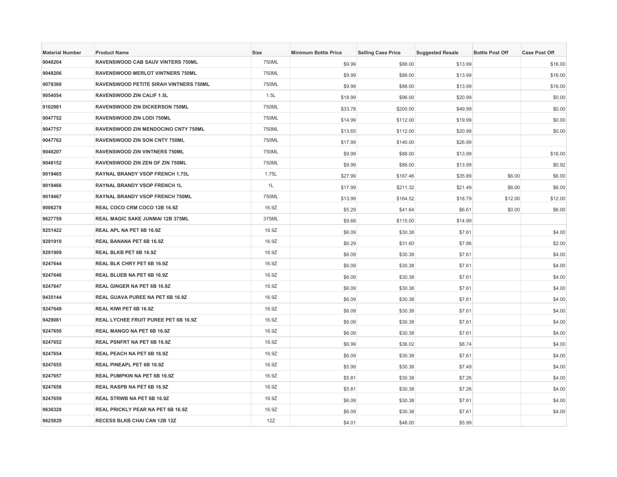| <b>Material Number</b> | <b>Product Name</b>                           | Size  | <b>Minimum Bottle Price</b> | <b>Selling Case Price</b> | <b>Suggested Resale</b> | <b>Bottle Post Off</b> | <b>Case Post Off</b> |
|------------------------|-----------------------------------------------|-------|-----------------------------|---------------------------|-------------------------|------------------------|----------------------|
| 9048204                | RAVENSWOOD CAB SAUV VINTERS 750ML             | 750ML | \$9.99                      | \$88.00                   | \$13.99                 |                        | \$16.00              |
| 9048206                | <b>RAVENSWOOD MERLOT VINTNERS 750ML</b>       | 750ML | \$9.99                      | \$88.00                   | \$13.99                 |                        | \$16.00              |
| 9078360                | <b>RAVENSWOOD PETITE SIRAH VINTNERS 750ML</b> | 750ML | \$9.99                      | \$88.00                   | \$13.99                 |                        | \$16.00              |
| 9054054                | RAVENSWOOD ZIN CALIF 1.5L                     | 1.5L  | \$18.99                     | \$96.00                   | \$20.99                 |                        | \$0.00               |
| 9102981                | RAVENSWOOD ZIN DICKERSON 750ML                | 750ML | \$33.78                     | \$200.00                  | \$49.99                 |                        | \$0.00               |
| 9047752                | RAVENSWOOD ZIN LODI 750ML                     | 750ML | \$14.99                     | \$112.00                  | \$19.99                 |                        | \$0.00               |
| 9047757                | RAVENSWOOD ZIN MENDOCINO CNTY 750ML           | 750ML | \$13.65                     | \$112.00                  | \$20.99                 |                        | \$0.00               |
| 9047762                | RAVENSWOOD ZIN SON CNTY 750ML                 | 750ML | \$17.99                     | \$140.00                  | \$26.99                 |                        |                      |
| 9048207                | RAVENSWOOD ZIN VINTNERS 750ML                 | 750ML | \$9.99                      | \$88.00                   | \$13.99                 |                        | \$16.00              |
| 9048152                | RAVENSWOOD ZIN ZEN OF ZIN 750ML               | 750ML | \$9.99                      | \$88.00                   | \$13.99                 |                        | \$0.92               |
| 9019465                | RAYNAL BRANDY VSOP FRENCH 1.75L               | 1.75L | \$27.99                     | \$167.46                  | \$35.89                 | \$6.00                 | \$6.00               |
| 9019466                | RAYNAL BRANDY VSOP FRENCH 1L                  | 1L    | \$17.99                     | \$211.32                  | \$21.49                 | \$6.00                 | \$6.00               |
| 9019467                | RAYNAL BRANDY VSOP FRENCH 750ML               | 750ML | \$13.99                     | \$164.52                  | \$18.79                 | \$12.00                | \$12.00              |
| 9006278                | REAL COCO CRM COCO 12B 16.9Z                  | 16.9Z | \$5.29                      | \$41.64                   | \$6.61                  | \$0.00                 | \$6.00               |
| 9627759                | <b>REAL MAGIC SAKE JUNMAI 12B 375ML</b>       | 375ML | \$9.68                      | \$115.00                  | \$14.99                 |                        |                      |
| 9251422                | REAL APL NA PET 6B 16.9Z                      | 16.9Z | \$6.09                      | \$30.38                   | \$7.61                  |                        | \$4.00               |
| 9291910                | REAL BANANA PET 6B 16.9Z                      | 16.9Z | \$6.29                      | \$31.60                   | \$7.86                  |                        | \$2.00               |
| 9291909                | REAL BLKB PET 6B 16.9Z                        | 16.9Z | \$6.09                      | \$30.38                   | \$7.61                  |                        | \$4.00               |
| 9247644                | REAL BLK CHRY PET 6B 16.9Z                    | 16.9Z | \$6.09                      | \$30.38                   | \$7.61                  |                        | \$4.00               |
| 9247646                | REAL BLUEB NA PET 6B 16.9Z                    | 16.9Z | \$6.09                      | \$30.38                   | \$7.61                  |                        | \$4.00               |
| 9247647                | REAL GINGER NA PET 6B 16.9Z                   | 16.9Z | \$6.09                      | \$30.38                   | \$7.61                  |                        | \$4.00               |
| 9435144                | REAL GUAVA PUREE NA PET 6B 16.9Z              | 16.9Z | \$6.09                      | \$30.38                   | \$7.61                  |                        | \$4.00               |
| 9247649                | REAL KIWI PET 6B 16.9Z                        | 16.9Z | \$6.09                      | \$30.38                   | \$7.61                  |                        | \$4.00               |
| 9429081                | REAL LYCHEE FRUIT PUREE PET 6B 16.9Z          | 16.9Z | \$6.09                      | \$30.38                   | \$7.61                  |                        | \$4.00               |
| 9247650                | REAL MANGO NA PET 6B 16.9Z                    | 16.9Z | \$6.09                      | \$30.38                   | \$7.61                  |                        | \$4.00               |
| 9247652                | REAL PSNFRT NA PET 6B 16.9Z                   | 16.9Z | \$6.99                      | \$36.02                   | \$8.74                  |                        | \$4.00               |
| 9247654                | REAL PEACH NA PET 6B 16.9Z                    | 16.9Z | \$6.09                      | \$30.38                   | \$7.61                  |                        | \$4.00               |
| 9247655                | REAL PINEAPL PET 6B 16.9Z                     | 16.9Z | \$5.99                      | \$30.38                   | \$7.49                  |                        | \$4.00               |
| 9247657                | REAL PUMPKIN NA PET 6B 16.9Z                  | 16.9Z | \$5.81                      | \$30.38                   | \$7.26                  |                        | \$4.00               |
| 9247658                | REAL RASPB NA PET 6B 16.9Z                    | 16.9Z | \$5.81                      | \$30.38                   | \$7.26                  |                        | \$4.00               |
| 9247659                | REAL STRWB NA PET 6B 16.9Z                    | 16.9Z | \$6.09                      | \$30.38                   | \$7.61                  |                        | \$4.00               |
| 9636328                | REAL PRICKLY PEAR NA PET 6B 16.9Z             | 16.9Z | \$6.09                      | \$30.38                   | \$7.61                  |                        | \$4.00               |
| 9625829                | RECESS BLKB CHAI CAN 12B 12Z                  | 12Z   | \$4.01                      | \$48.00                   | \$5.99                  |                        |                      |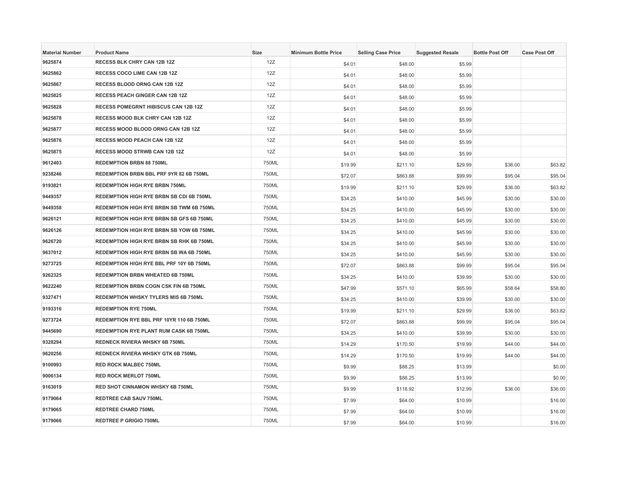| <b>Material Number</b> | <b>Product Name</b>                             | <b>Size</b> | <b>Minimum Bottle Price</b> | <b>Selling Case Price</b> | <b>Suggested Resale</b> | <b>Bottle Post Off</b> | <b>Case Post Off</b> |
|------------------------|-------------------------------------------------|-------------|-----------------------------|---------------------------|-------------------------|------------------------|----------------------|
| 9625874                | RECESS BLK CHRY CAN 12B 12Z                     | 12Z         | \$4.01                      | \$48.00                   | \$5.99                  |                        |                      |
| 9625862                | RECESS COCO LIME CAN 12B 12Z                    | 12Z         | \$4.01                      | \$48.00                   | \$5.99                  |                        |                      |
| 9625867                | RECESS BLOOD ORNG CAN 12B 12Z                   | 12Z         | \$4.01                      | \$48.00                   | \$5.99                  |                        |                      |
| 9625825                | RECESS PEACH GINGER CAN 12B 12Z                 | 12Z         | \$4.01                      | \$48.00                   | \$5.99                  |                        |                      |
| 9625828                | RECESS POMEGRNT HIBISCUS CAN 12B 12Z            | 12Z         | \$4.01                      | \$48.00                   | \$5.99                  |                        |                      |
| 9625878                | RECESS MOOD BLK CHRY CAN 12B 12Z                | 12Z         | \$4.01                      | \$48.00                   | \$5.99                  |                        |                      |
| 9625877                | RECESS MOOD BLOOD ORNG CAN 12B 12Z              | 12Z         | \$4.01                      | \$48.00                   | \$5.99                  |                        |                      |
| 9625876                | RECESS MOOD PEACH CAN 12B 12Z                   | 12Z         | \$4.01                      | \$48.00                   | \$5.99                  |                        |                      |
| 9625875                | <b>RECESS MOOD STRWB CAN 12B 12Z</b>            | 12Z         | \$4.01                      | \$48.00                   | \$5.99                  |                        |                      |
| 9612403                | <b>REDEMPTION BRBN 88 750ML</b>                 | 750ML       | \$19.99                     | \$211.10                  | \$29.99                 | \$36.00                | \$63.82              |
| 9238246                | REDEMPTION BRBN BBL PRF 9YR 82 6B 750ML         | 750ML       | \$72.07                     | \$863.88                  | \$99.99                 | \$95.04                | \$95.04              |
| 9193821                | <b>REDEMPTION HIGH RYE BRBN 750ML</b>           | 750ML       | \$19.99                     | \$211.10                  | \$29.99                 | \$36.00                | \$63.82              |
| 9449357                | REDEMPTION HIGH RYE BRBN SB CDI 6B 750ML        | 750ML       | \$34.25                     | \$410.00                  | \$45.99                 | \$30.00                | \$30.00              |
| 9449358                | REDEMPTION HIGH RYE BRBN SB TWM 6B 750ML        | 750ML       | \$34.25                     | \$410.00                  | \$45.99                 | \$30.00                | \$30.00              |
| 9626121                | <b>REDEMPTION HIGH RYE BRBN SB GFS 6B 750ML</b> | 750ML       | \$34.25                     | \$410.00                  | \$45.99                 | \$30.00                | \$30.00              |
| 9626126                | REDEMPTION HIGH RYE BRBN SB YOW 6B 750ML        | 750ML       | \$34.25                     | \$410.00                  | \$45.99                 | \$30.00                | \$30.00              |
| 9626720                | REDEMPTION HIGH RYE BRBN SB RHK 6B 750ML        | 750ML       | \$34.25                     | \$410.00                  | \$45.99                 | \$30.00                | \$30.00              |
| 9637012                | REDEMPTION HIGH RYE BRBN SB WA 6B 750ML         | 750ML       | \$34.25                     | \$410.00                  | \$45.99                 | \$30.00                | \$30.00              |
| 9273725                | REDEMPTION HIGH RYE BBL PRF 10Y 6B 750ML        | 750ML       | \$72.07                     | \$863.88                  | \$99.99                 | \$95.04                | \$95.04              |
| 9262325                | REDEMPTION BRBN WHEATED 6B 750ML                | 750ML       | \$34.25                     | \$410.00                  | \$39.99                 | \$30.00                | \$30.00              |
| 9622240                | REDEMPTION BRBN COGN CSK FIN 6B 750ML           | 750ML       | \$47.99                     | \$571.10                  | \$65.99                 | \$58.64                | \$58.80              |
| 9327471                | REDEMPTION WHSKY TYLERS MIS 6B 750ML            | 750ML       | \$34.25                     | \$410.00                  | \$39.99                 | \$30.00                | \$30.00              |
| 9193316                | <b>REDEMPTION RYE 750ML</b>                     | 750ML       | \$19.99                     | \$211.10                  | \$29.99                 | \$36.00                | \$63.82              |
| 9273724                | REDEMPTION RYE BBL PRF 10YR 110 6B 750ML        | 750ML       | \$72.07                     | \$863.88                  | \$99.99                 | \$95.04                | \$95.04              |
| 9445690                | REDEMPTION RYE PLANT RUM CASK 6B 750ML          | 750ML       | \$34.25                     | \$410.00                  | \$39.99                 | \$30.00                | \$30.00              |
| 9328294                | REDNECK RIVIERA WHSKY 6B 750ML                  | 750ML       | \$14.29                     | \$170.50                  | \$19.99                 | \$44.00                | \$44.00              |
| 9620256                | <b>REDNECK RIVIERA WHSKY GTK 6B 750ML</b>       | 750ML       | \$14.29                     | \$170.50                  | \$19.99                 | \$44.00                | \$44.00              |
| 9100993                | <b>RED ROCK MALBEC 750ML</b>                    | 750ML       | \$9.99                      | \$88.25                   | \$13.99                 |                        | \$0.00               |
| 9006134                | <b>RED ROCK MERLOT 750ML</b>                    | 750ML       | \$9.99                      | \$88.25                   | \$13.99                 |                        | \$0.00               |
| 9163019                | RED SHOT CINNAMON WHSKY 6B 750ML                | 750ML       | \$9.99                      | \$118.92                  | \$12.99                 | \$36.00                | \$36.00              |
| 9179064                | <b>REDTREE CAB SAUV 750ML</b>                   | 750ML       | \$7.99                      | \$64.00                   | \$10.99                 |                        | \$16.00              |
| 9179065                | <b>REDTREE CHARD 750ML</b>                      | 750ML       | \$7.99                      | \$64.00                   | \$10.99                 |                        | \$16.00              |
| 9179066                | <b>REDTREE P GRIGIO 750ML</b>                   | 750ML       | \$7.99                      | \$64.00                   | \$10.99                 |                        | \$16.00              |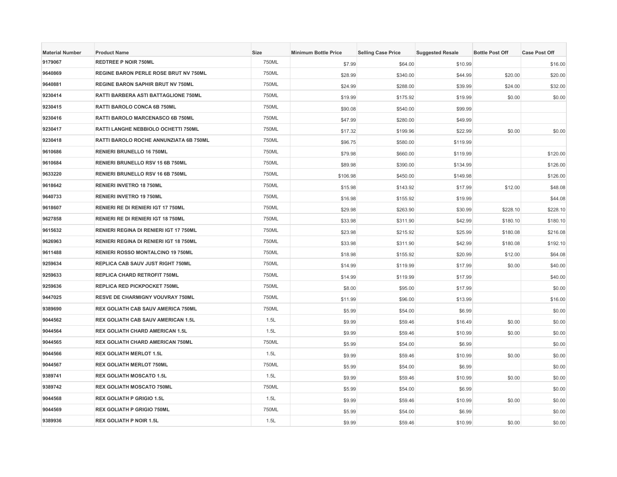| <b>Material Number</b> | <b>Product Name</b>                          | Size  | <b>Minimum Bottle Price</b> | <b>Selling Case Price</b> | <b>Suggested Resale</b> | <b>Bottle Post Off</b> | <b>Case Post Off</b> |
|------------------------|----------------------------------------------|-------|-----------------------------|---------------------------|-------------------------|------------------------|----------------------|
| 9179067                | <b>REDTREE P NOIR 750ML</b>                  | 750ML | \$7.99                      | \$64.00                   | \$10.99                 |                        | \$16.00              |
| 9640869                | <b>REGINE BARON PERLE ROSE BRUT NV 750ML</b> | 750ML | \$28.99                     | \$340.00                  | \$44.99                 | \$20.00                | \$20.00              |
| 9640881                | <b>REGINE BARON SAPHIR BRUT NV 750ML</b>     | 750ML | \$24.99                     | \$288.00                  | \$39.99                 | \$24.00                | \$32.00              |
| 9230414                | RATTI BARBERA ASTI BATTAGLIONE 750ML         | 750ML | \$19.99                     | \$175.92                  | \$19.99                 | \$0.00                 | \$0.00               |
| 9230415                | RATTI BAROLO CONCA 6B 750ML                  | 750ML | \$90.08                     | \$540.00                  | \$99.99                 |                        |                      |
| 9230416                | RATTI BAROLO MARCENASCO 6B 750ML             | 750ML | \$47.99                     | \$280.00                  | \$49.99                 |                        |                      |
| 9230417                | RATTI LANGHE NEBBIOLO OCHETTI 750ML          | 750ML | \$17.32                     | \$199.96                  | \$22.99                 | \$0.00                 | \$0.00               |
| 9230418                | RATTI BAROLO ROCHE ANNUNZIATA 6B 750ML       | 750ML | \$96.75                     | \$580.00                  | \$119.99                |                        |                      |
| 9610686                | RENIERI BRUNELLO 16 750ML                    | 750ML | \$79.98                     | \$660.00                  | \$119.99                |                        | \$120.00             |
| 9610684                | RENIERI BRUNELLO RSV 15 6B 750ML             | 750ML | \$89.98                     | \$390.00                  | \$134.99                |                        | \$126.00             |
| 9633220                | RENIERI BRUNELLO RSV 16 6B 750ML             | 750ML | \$106.98                    | \$450.00                  | \$149.98                |                        | \$126.00             |
| 9618642                | RENIERI INVETRO 18 750ML                     | 750ML | \$15.98                     | \$143.92                  | \$17.99                 | \$12.00                | \$48.08              |
| 9640733                | RENIERI INVETRO 19 750ML                     | 750ML | \$16.98                     | \$155.92                  | \$19.99                 |                        | \$44.08              |
| 9618607                | RENIERI RE DI RENIERI IGT 17 750ML           | 750ML | \$29.98                     | \$263.90                  | \$30.99                 | \$228.10               | \$228.10             |
| 9627858                | RENIERI RE DI RENIERI IGT 18 750ML           | 750ML | \$33.98                     | \$311.90                  | \$42.99                 | \$180.10               | \$180.10             |
| 9615632                | RENIERI REGINA DI RENIERI IGT 17 750ML       | 750ML | \$23.98                     | \$215.92                  | \$25.99                 | \$180.08               | \$216.08             |
| 9626963                | RENIERI REGINA DI RENIERI IGT 18 750ML       | 750ML | \$33.98                     | \$311.90                  | \$42.99                 | \$180.08               | \$192.10             |
| 9611488                | RENIERI ROSSO MONTALCINO 19 750ML            | 750ML | \$18.98                     | \$155.92                  | \$20.99                 | \$12.00                | \$64.08              |
| 9259634                | REPLICA CAB SAUV JUST RIGHT 750ML            | 750ML | \$14.99                     | \$119.99                  | \$17.99                 | \$0.00                 | \$40.00              |
| 9259633                | REPLICA CHARD RETROFIT 750ML                 | 750ML | \$14.99                     | \$119.99                  | \$17.99                 |                        | \$40.00              |
| 9259636                | REPLICA RED PICKPOCKET 750ML                 | 750ML | \$8.00                      | \$95.00                   | \$17.99                 |                        | \$0.00               |
| 9447025                | <b>RESVE DE CHARMIGNY VOUVRAY 750ML</b>      | 750ML | \$11.99                     | \$96.00                   | \$13.99                 |                        | \$16.00              |
| 9389690                | <b>REX GOLIATH CAB SAUV AMERICA 750ML</b>    | 750ML | \$5.99                      | \$54.00                   | \$6.99                  |                        | \$0.00               |
| 9044562                | REX GOLIATH CAB SAUV AMERICAN 1.5L           | 1.5L  | \$9.99                      | \$59.46                   | \$16.49                 | \$0.00                 | \$0.00               |
| 9044564                | REX GOLIATH CHARD AMERICAN 1.5L              | 1.5L  | \$9.99                      | \$59.46                   | \$10.99                 | \$0.00                 | \$0.00               |
| 9044565                | REX GOLIATH CHARD AMERICAN 750ML             | 750ML | \$5.99                      | \$54.00                   | \$6.99                  |                        | \$0.00               |
| 9044566                | <b>REX GOLIATH MERLOT 1.5L</b>               | 1.5L  | \$9.99                      | \$59.46                   | \$10.99                 | \$0.00                 | \$0.00               |
| 9044567                | <b>REX GOLIATH MERLOT 750ML</b>              | 750ML | \$5.99                      | \$54.00                   | \$6.99                  |                        | \$0.00               |
| 9389741                | <b>REX GOLIATH MOSCATO 1.5L</b>              | 1.5L  | \$9.99                      | \$59.46                   | \$10.99                 | \$0.00                 | \$0.00               |
| 9389742                | <b>REX GOLIATH MOSCATO 750ML</b>             | 750ML | \$5.99                      | \$54.00                   | \$6.99                  |                        | \$0.00               |
| 9044568                | <b>REX GOLIATH P GRIGIO 1.5L</b>             | 1.5L  | \$9.99                      | \$59.46                   | \$10.99                 | \$0.00                 | \$0.00               |
| 9044569                | <b>REX GOLIATH P GRIGIO 750ML</b>            | 750ML | \$5.99                      | \$54.00                   | \$6.99                  |                        | \$0.00               |
| 9389936                | <b>REX GOLIATH P NOIR 1.5L</b>               | 1.5L  | \$9.99                      | \$59.46                   | \$10.99                 | \$0.00                 | \$0.00               |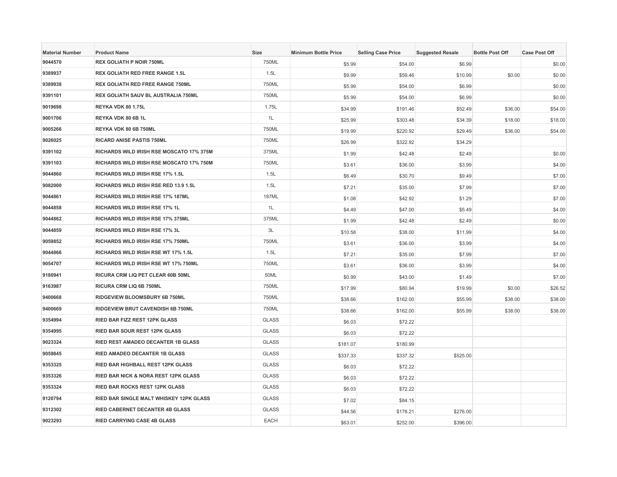| <b>Material Number</b> | <b>Product Name</b>                             | Size         | <b>Minimum Bottle Price</b> | <b>Selling Case Price</b> | <b>Suggested Resale</b> | <b>Bottle Post Off</b> | <b>Case Post Off</b> |
|------------------------|-------------------------------------------------|--------------|-----------------------------|---------------------------|-------------------------|------------------------|----------------------|
| 9044570                | <b>REX GOLIATH P NOIR 750ML</b>                 | 750ML        | \$5.99                      | \$54.00                   | \$6.99                  |                        | \$0.00               |
| 9389937                | REX GOLIATH RED FREE RANGE 1.5L                 | 1.5L         | \$9.99                      | \$59.46                   | \$10.99                 | \$0.00                 | \$0.00               |
| 9389938                | <b>REX GOLIATH RED FREE RANGE 750ML</b>         | 750ML        | \$5.99                      | \$54.00                   | \$6.99                  |                        | \$0.00               |
| 9391101                | REX GOLIATH SAUV BL AUSTRALIA 750ML             | 750ML        | \$5.99                      | \$54.00                   | \$6.99                  |                        | \$0.00               |
| 9019698                | REYKA VDK 80 1.75L                              | 1.75L        | \$34.99                     | \$191.46                  | \$52.49                 | \$36.00                | \$54.00              |
| 9001706                | REYKA VDK 80 6B 1L                              | 1L           | \$25.99                     | \$303.48                  | \$34.39                 | \$18.00                | \$18.00              |
| 9005266                | REYKA VDK 80 6B 750ML                           | 750ML        | \$19.99                     | \$220.92                  | \$29.49                 | \$36.00                | \$54.00              |
| 9026025                | RICARD ANISE PASTIS 750ML                       | 750ML        | \$26.99                     | \$322.92                  | \$34.29                 |                        |                      |
| 9391102                | RICHARDS WILD IRISH RSE MOSCATO 17% 375M        | 375ML        | \$1.99                      | \$42.48                   | \$2.49                  |                        | \$0.00               |
| 9391103                | RICHARDS WILD IRISH RSE MOSCATO 17% 750M        | 750ML        | \$3.61                      | \$36.00                   | \$3.99                  |                        | \$4.00               |
| 9044860                | RICHARDS WILD IRISH RSE 17% 1.5L                | 1.5L         | \$6.49                      | \$30.70                   | \$9.49                  |                        | \$7.00               |
| 9082000                | RICHARDS WILD IRISH RSE RED 13.9 1.5L           | 1.5L         | \$7.21                      | \$35.00                   | \$7.99                  |                        | \$7.00               |
| 9044861                | RICHARDS WILD IRISH RSE 17% 187ML               | <b>187ML</b> | \$1.08                      | \$42.92                   | \$1.29                  |                        | \$7.00               |
| 9044858                | <b>RICHARDS WILD IRISH RSE 17% 1L</b>           | 1L           | \$4.49                      | \$47.00                   | \$5.49                  |                        | \$4.00               |
| 9044862                | RICHARDS WILD IRISH RSE 17% 375ML               | 375ML        | \$1.99                      | \$42.48                   | \$2.49                  |                        | \$0.00               |
| 9044859                | RICHARDS WILD IRISH RSE 17% 3L                  | 3L           | \$10.58                     | \$38.00                   | \$11.99                 |                        | \$4.00               |
| 9059852                | RICHARDS WILD IRISH RSE 17% 750ML               | 750ML        | \$3.61                      | \$36.00                   | \$3.99                  |                        | \$4.00               |
| 9044866                | RICHARDS WILD IRISH RSE WT 17% 1.5L             | 1.5L         | \$7.21                      | \$35.00                   | \$7.99                  |                        | \$7.00               |
| 9054707                | RICHARDS WILD IRISH RSE WT 17% 750ML            | 750ML        | \$3.61                      | \$36.00                   | \$3.99                  |                        | \$4.00               |
| 9180941                | RICURA CRM LIQ PET CLEAR 60B 50ML               | 50ML         | \$0.99                      | \$43.00                   | \$1.49                  |                        | \$7.00               |
| 9163987                | RICURA CRM LIQ 6B 750ML                         | 750ML        | \$17.99                     | \$80.94                   | \$19.99                 | \$0.00                 | \$26.52              |
| 9400668                | RIDGEVIEW BLOOMSBURY 6B 750ML                   | 750ML        | \$38.66                     | \$162.00                  | \$55.99                 | \$38.00                | \$38.00              |
| 9400669                | RIDGEVIEW BRUT CAVENDISH 6B 750ML               | 750ML        | \$38.66                     | \$162.00                  | \$55.99                 | \$38.00                | \$38.00              |
| 9354994                | RIED BAR FIZZ REST 12PK GLASS                   | <b>GLASS</b> | \$6.03                      | \$72.22                   |                         |                        |                      |
| 9354995                | RIED BAR SOUR REST 12PK GLASS                   | <b>GLASS</b> | \$6.03                      | \$72.22                   |                         |                        |                      |
| 9023324                | RIED REST AMADEO DECANTER 1B GLASS              | <b>GLASS</b> | \$181.07                    | \$180.99                  |                         |                        |                      |
| 9059845                | RIED AMADEO DECANTER 1B GLASS                   | <b>GLASS</b> | \$337.33                    | \$337.32                  | \$525.00                |                        |                      |
| 9353325                | RIED BAR HIGHBALL REST 12PK GLASS               | <b>GLASS</b> | \$6.03                      | \$72.22                   |                         |                        |                      |
| 9353326                | <b>RIED BAR NICK &amp; NORA REST 12PK GLASS</b> | <b>GLASS</b> | \$6.03                      | \$72.22                   |                         |                        |                      |
| 9353324                | <b>RIED BAR ROCKS REST 12PK GLASS</b>           | <b>GLASS</b> | \$6.03                      | \$72.22                   |                         |                        |                      |
| 9120794                | RIED BAR SINGLE MALT WHISKEY 12PK GLASS         | <b>GLASS</b> | \$7.02                      | \$84.15                   |                         |                        |                      |
| 9312302                | <b>RIED CABERNET DECANTER 4B GLASS</b>          | <b>GLASS</b> | \$44.56                     | \$178.21                  | \$276.00                |                        |                      |
| 9023293                | <b>RIED CARRYING CASE 4B GLASS</b>              | <b>EACH</b>  | \$63.01                     | \$252.00                  | \$396.00                |                        |                      |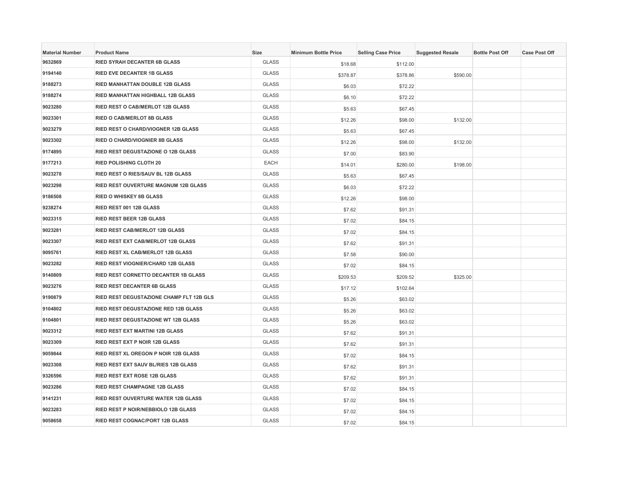| <b>Material Number</b> | <b>Product Name</b>                         | Size         | <b>Minimum Bottle Price</b> | <b>Selling Case Price</b> | <b>Suggested Resale</b> | <b>Bottle Post Off</b> | <b>Case Post Off</b> |
|------------------------|---------------------------------------------|--------------|-----------------------------|---------------------------|-------------------------|------------------------|----------------------|
| 9632869                | <b>RIED SYRAH DECANTER 6B GLASS</b>         | <b>GLASS</b> | \$18.68                     | \$112.00                  |                         |                        |                      |
| 9194140                | <b>RIED EVE DECANTER 1B GLASS</b>           | <b>GLASS</b> | \$378.87                    | \$378.86                  | \$590.00                |                        |                      |
| 9188273                | <b>RIED MANHATTAN DOUBLE 12B GLASS</b>      | <b>GLASS</b> | \$6.03                      | \$72.22                   |                         |                        |                      |
| 9188274                | RIED MANHATTAN HIGHBALL 12B GLASS           | <b>GLASS</b> | \$6.10                      | \$72.22                   |                         |                        |                      |
| 9023280                | RIED REST O CAB/MERLOT 12B GLASS            | <b>GLASS</b> | \$5.63                      | \$67.45                   |                         |                        |                      |
| 9023301                | <b>RIED O CAB/MERLOT 8B GLASS</b>           | <b>GLASS</b> | \$12.26                     | \$98.00                   | \$132.00                |                        |                      |
| 9023279                | <b>RIED REST O CHARD/VIOGNER 12B GLASS</b>  | <b>GLASS</b> | \$5.63                      | \$67.45                   |                         |                        |                      |
| 9023302                | RIED O CHARD/VIOGNIER 8B GLASS              | <b>GLASS</b> | \$12.26                     | \$98.00                   | \$132.00                |                        |                      |
| 9174895                | <b>RIED REST DEGUSTAZIONE O 12B GLASS</b>   | <b>GLASS</b> | \$7.00                      | \$83.90                   |                         |                        |                      |
| 9177213                | <b>RIED POLISHING CLOTH 20</b>              | EACH         | \$14.01                     | \$280.00                  | \$198.00                |                        |                      |
| 9023278                | RIED REST O RIES/SAUV BL 12B GLASS          | <b>GLASS</b> | \$5.63                      | \$67.45                   |                         |                        |                      |
| 9023298                | RIED REST OUVERTURE MAGNUM 12B GLASS        | <b>GLASS</b> | \$6.03                      | \$72.22                   |                         |                        |                      |
| 9186508                | <b>RIED O WHISKEY 8B GLASS</b>              | <b>GLASS</b> | \$12.26                     | \$98.00                   |                         |                        |                      |
| 9238274                | RIED REST 001 12B GLASS                     | <b>GLASS</b> | \$7.62                      | \$91.31                   |                         |                        |                      |
| 9023315                | <b>RIED REST BEER 12B GLASS</b>             | <b>GLASS</b> | \$7.02                      | \$84.15                   |                         |                        |                      |
| 9023281                | RIED REST CAB/MERLOT 12B GLASS              | <b>GLASS</b> | \$7.02                      | \$84.15                   |                         |                        |                      |
| 9023307                | RIED REST EXT CAB/MERLOT 12B GLASS          | <b>GLASS</b> | \$7.62                      | \$91.31                   |                         |                        |                      |
| 9095761                | RIED REST XL CAB/MERLOT 12B GLASS           | <b>GLASS</b> | \$7.58                      | \$90.00                   |                         |                        |                      |
| 9023282                | <b>RIED REST VIOGNIER/CHARD 12B GLASS</b>   | <b>GLASS</b> | \$7.02                      | \$84.15                   |                         |                        |                      |
| 9140809                | RIED REST CORNETTO DECANTER 1B GLASS        | <b>GLASS</b> | \$209.53                    | \$209.52                  | \$325.00                |                        |                      |
| 9023276                | RIED REST DECANTER 6B GLASS                 | <b>GLASS</b> | \$17.12                     | \$102.64                  |                         |                        |                      |
| 9190879                | RIED REST DEGUSTAZIONE CHAMP FLT 12B GLS    | <b>GLASS</b> | \$5.26                      | \$63.02                   |                         |                        |                      |
| 9104802                | RIED REST DEGUSTAZIONE RED 12B GLASS        | <b>GLASS</b> | \$5.26                      | \$63.02                   |                         |                        |                      |
| 9104801                | RIED REST DEGUSTAZIONE WT 12B GLASS         | <b>GLASS</b> | \$5.26                      | \$63.02                   |                         |                        |                      |
| 9023312                | RIED REST EXT MARTINI 12B GLASS             | <b>GLASS</b> | \$7.62                      | \$91.31                   |                         |                        |                      |
| 9023309                | RIED REST EXT P NOIR 12B GLASS              | <b>GLASS</b> | \$7.62                      | \$91.31                   |                         |                        |                      |
| 9059844                | <b>RIED REST XL OREGON P NOIR 12B GLASS</b> | <b>GLASS</b> | \$7.02                      | \$84.15                   |                         |                        |                      |
| 9023308                | RIED REST EXT SAUV BL/RIES 12B GLASS        | <b>GLASS</b> | \$7.62                      | \$91.31                   |                         |                        |                      |
| 9326596                | <b>RIED REST EXT ROSE 12B GLASS</b>         | <b>GLASS</b> | \$7.62                      | \$91.31                   |                         |                        |                      |
| 9023286                | RIED REST CHAMPAGNE 12B GLASS               | <b>GLASS</b> | \$7.02                      | \$84.15                   |                         |                        |                      |
| 9141231                | RIED REST OUVERTURE WATER 12B GLASS         | <b>GLASS</b> | \$7.02                      | \$84.15                   |                         |                        |                      |
| 9023283                | RIED REST P NOIR/NEBBIOLO 12B GLASS         | <b>GLASS</b> | \$7.02                      | \$84.15                   |                         |                        |                      |
| 9058658                | RIED REST COGNAC/PORT 12B GLASS             | <b>GLASS</b> | \$7.02                      | \$84.15                   |                         |                        |                      |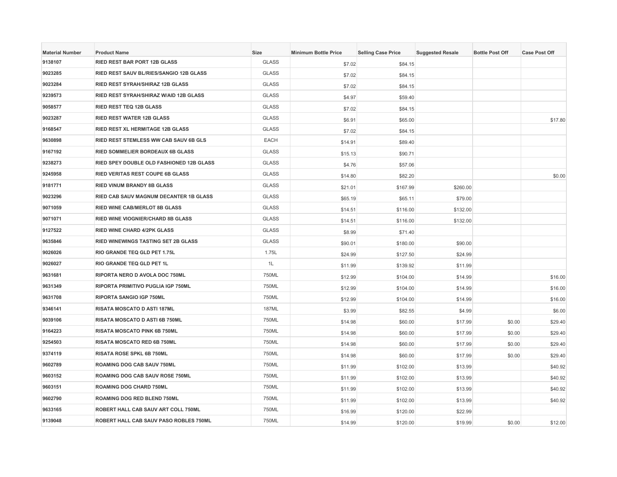| <b>Material Number</b> | <b>Product Name</b>                      | Size         | <b>Minimum Bottle Price</b> | <b>Selling Case Price</b> | <b>Suggested Resale</b> | <b>Bottle Post Off</b> | <b>Case Post Off</b> |
|------------------------|------------------------------------------|--------------|-----------------------------|---------------------------|-------------------------|------------------------|----------------------|
| 9138107                | RIED REST BAR PORT 12B GLASS             | <b>GLASS</b> | \$7.02                      | \$84.15                   |                         |                        |                      |
| 9023285                | RIED REST SAUV BL/RIES/SANGIO 12B GLASS  | <b>GLASS</b> | \$7.02                      | \$84.15                   |                         |                        |                      |
| 9023284                | RIED REST SYRAH/SHIRAZ 12B GLASS         | <b>GLASS</b> | \$7.02                      | \$84.15                   |                         |                        |                      |
| 9239573                | RIED REST SYRAH/SHIRAZ W/AID 12B GLASS   | <b>GLASS</b> | \$4.97                      | \$59.40                   |                         |                        |                      |
| 9058577                | <b>RIED REST TEQ 12B GLASS</b>           | <b>GLASS</b> | \$7.02                      | \$84.15                   |                         |                        |                      |
| 9023287                | <b>RIED REST WATER 12B GLASS</b>         | <b>GLASS</b> | \$6.91                      | \$65.00                   |                         |                        | \$17.80              |
| 9168547                | <b>RIED REST XL HERMITAGE 12B GLASS</b>  | <b>GLASS</b> | \$7.02                      | \$84.15                   |                         |                        |                      |
| 9630898                | RIED REST STEMLESS WW CAB SAUV 6B GLS    | EACH         | \$14.91                     | \$89.40                   |                         |                        |                      |
| 9167192                | <b>RIED SOMMELIER BORDEAUX 6B GLASS</b>  | <b>GLASS</b> | \$15.13                     | \$90.71                   |                         |                        |                      |
| 9238273                | RIED SPEY DOUBLE OLD FASHIONED 12B GLASS | <b>GLASS</b> | \$4.76                      | \$57.06                   |                         |                        |                      |
| 9245958                | <b>RIED VERITAS REST COUPE 6B GLASS</b>  | <b>GLASS</b> | \$14.80                     | \$82.20                   |                         |                        | \$0.00               |
| 9181771                | <b>RIED VINUM BRANDY 8B GLASS</b>        | <b>GLASS</b> | \$21.01                     | \$167.99                  | \$260.00                |                        |                      |
| 9023296                | RIED CAB SAUV MAGNUM DECANTER 1B GLASS   | <b>GLASS</b> | \$65.19                     | \$65.11                   | \$79.00                 |                        |                      |
| 9071059                | <b>RIED WINE CAB/MERLOT 8B GLASS</b>     | <b>GLASS</b> | \$14.51                     | \$116.00                  | \$132.00                |                        |                      |
| 9071071                | <b>RIED WINE VIOGNIER/CHARD 8B GLASS</b> | <b>GLASS</b> | \$14.51                     | \$116.00                  | \$132.00                |                        |                      |
| 9127522                | <b>RIED WINE CHARD 4/2PK GLASS</b>       | <b>GLASS</b> | \$8.99                      | \$71.40                   |                         |                        |                      |
| 9635846                | RIED WINEWINGS TASTING SET 2B GLASS      | <b>GLASS</b> | \$90.01                     | \$180.00                  | \$90.00                 |                        |                      |
| 9026026                | RIO GRANDE TEQ GLD PET 1.75L             | 1.75L        | \$24.99                     | \$127.50                  | \$24.99                 |                        |                      |
| 9026027                | RIO GRANDE TEQ GLD PET 1L                | 1L           | \$11.99                     | \$139.92                  | \$11.99                 |                        |                      |
| 9631681                | RIPORTA NERO D AVOLA DOC 750ML           | 750ML        | \$12.99                     | \$104.00                  | \$14.99                 |                        | \$16.00              |
| 9631349                | RIPORTA PRIMITIVO PUGLIA IGP 750ML       | 750ML        | \$12.99                     | \$104.00                  | \$14.99                 |                        | \$16.00              |
| 9631708                | <b>RIPORTA SANGIO IGP 750ML</b>          | 750ML        | \$12.99                     | \$104.00                  | \$14.99                 |                        | \$16.00              |
| 9346141                | RISATA MOSCATO D ASTI 187ML              | 187ML        | \$3.99                      | \$82.55                   | \$4.99                  |                        | \$6.00               |
| 9039106                | RISATA MOSCATO D ASTI 6B 750ML           | 750ML        | \$14.98                     | \$60.00                   | \$17.99                 | \$0.00                 | \$29.40              |
| 9164223                | RISATA MOSCATO PINK 6B 750ML             | 750ML        | \$14.98                     | \$60.00                   | \$17.99                 | \$0.00                 | \$29.40              |
| 9254503                | RISATA MOSCATO RED 6B 750ML              | 750ML        | \$14.98                     | \$60.00                   | \$17.99                 | \$0.00                 | \$29.40              |
| 9374119                | <b>RISATA ROSE SPKL 6B 750ML</b>         | 750ML        | \$14.98                     | \$60.00                   | \$17.99                 | \$0.00                 | \$29.40              |
| 9602789                | ROAMING DOG CAB SAUV 750ML               | 750ML        | \$11.99                     | \$102.00                  | \$13.99                 |                        | \$40.92              |
| 9603152                | ROAMING DOG CAB SAUV ROSE 750ML          | 750ML        | \$11.99                     | \$102.00                  | \$13.99                 |                        | \$40.92              |
| 9603151                | ROAMING DOG CHARD 750ML                  | 750ML        | \$11.99                     | \$102.00                  | \$13.99                 |                        | \$40.92              |
| 9602790                | ROAMING DOG RED BLEND 750ML              | 750ML        | \$11.99                     | \$102.00                  | \$13.99                 |                        | \$40.92              |
| 9633165                | ROBERT HALL CAB SAUV ART COLL 750ML      | 750ML        | \$16.99                     | \$120.00                  | \$22.99                 |                        |                      |
| 9139048                | ROBERT HALL CAB SAUV PASO ROBLES 750ML   | 750ML        | \$14.99                     | \$120.00                  | \$19.99                 | \$0.00                 | \$12.00              |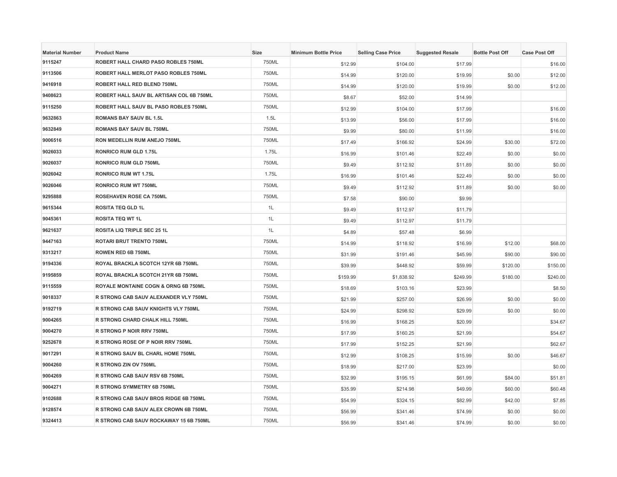| <b>Material Number</b> | <b>Product Name</b>                      | Size  | <b>Minimum Bottle Price</b> | <b>Selling Case Price</b> | <b>Suggested Resale</b> | <b>Bottle Post Off</b> | <b>Case Post Off</b> |
|------------------------|------------------------------------------|-------|-----------------------------|---------------------------|-------------------------|------------------------|----------------------|
| 9115247                | ROBERT HALL CHARD PASO ROBLES 750ML      | 750ML | \$12.99                     | \$104.00                  | \$17.99                 |                        | \$16.00              |
| 9113506                | ROBERT HALL MERLOT PASO ROBLES 750ML     | 750ML | \$14.99                     | \$120.00                  | \$19.99                 | \$0.00                 | \$12.00              |
| 9416918                | ROBERT HALL RED BLEND 750ML              | 750ML | \$14.99                     | \$120.00                  | \$19.99                 | \$0.00                 | \$12.00              |
| 9408623                | ROBERT HALL SAUV BL ARTISAN COL 6B 750ML | 750ML | \$8.67                      | \$52.00                   | \$14.99                 |                        |                      |
| 9115250                | ROBERT HALL SAUV BL PASO ROBLES 750ML    | 750ML | \$12.99                     | \$104.00                  | \$17.99                 |                        | \$16.00              |
| 9632863                | <b>ROMANS BAY SAUV BL 1.5L</b>           | 1.5L  | \$13.99                     | \$56.00                   | \$17.99                 |                        | \$16.00              |
| 9632849                | <b>ROMANS BAY SAUV BL 750ML</b>          | 750ML | \$9.99                      | \$80.00                   | \$11.99                 |                        | \$16.00              |
| 9006516                | RON MEDELLIN RUM ANEJO 750ML             | 750ML | \$17.49                     | \$166.92                  | \$24.99                 | \$30.00                | \$72.00              |
| 9026033                | RONRICO RUM GLD 1.75L                    | 1.75L | \$16.99                     | \$101.46                  | \$22.49                 | \$0.00                 | \$0.00               |
| 9026037                | RONRICO RUM GLD 750ML                    | 750ML | \$9.49                      | \$112.92                  | \$11.89                 | \$0.00                 | \$0.00               |
| 9026042                | <b>RONRICO RUM WT 1.75L</b>              | 1.75L | \$16.99                     | \$101.46                  | \$22.49                 | \$0.00                 | \$0.00               |
| 9026046                | <b>RONRICO RUM WT 750ML</b>              | 750ML | \$9.49                      | \$112.92                  | \$11.89                 | \$0.00                 | \$0.00               |
| 9295888                | ROSEHAVEN ROSE CA 750ML                  | 750ML | \$7.58                      | \$90.00                   | \$9.99                  |                        |                      |
| 9615344                | <b>ROSITA TEQ GLD 1L</b>                 | 1L    | \$9.49                      | \$112.97                  | \$11.79                 |                        |                      |
| 9045361                | <b>ROSITA TEQ WT 1L</b>                  | 1L    | \$9.49                      | \$112.97                  | \$11.79                 |                        |                      |
| 9621637                | ROSITA LIQ TRIPLE SEC 25 1L              | 1L    | \$4.89                      | \$57.48                   | \$6.99                  |                        |                      |
| 9447163                | ROTARI BRUT TRENTO 750ML                 | 750ML | \$14.99                     | \$118.92                  | \$16.99                 | \$12.00                | \$68.00              |
| 9313217                | ROWEN RED 6B 750ML                       | 750ML | \$31.99                     | \$191.46                  | \$45.99                 | \$90.00                | \$90.00              |
| 9194336                | ROYAL BRACKLA SCOTCH 12YR 6B 750ML       | 750ML | \$39.99                     | \$448.92                  | \$59.99                 | \$120.00               | \$150.00             |
| 9195859                | ROYAL BRACKLA SCOTCH 21YR 6B 750ML       | 750ML | \$159.99                    | \$1,838.92                | \$249.99                | \$180.00               | \$240.00             |
| 9115559                | ROYALE MONTAINE COGN & ORNG 6B 750ML     | 750ML | \$18.69                     | \$103.16                  | \$23.99                 |                        | \$8.50               |
| 9018337                | R STRONG CAB SAUV ALEXANDER VLY 750ML    | 750ML | \$21.99                     | \$257.00                  | \$26.99                 | \$0.00                 | \$0.00               |
| 9192719                | R STRONG CAB SAUV KNIGHTS VLY 750ML      | 750ML | \$24.99                     | \$298.92                  | \$29.99                 | \$0.00                 | \$0.00               |
| 9004265                | R STRONG CHARD CHALK HILL 750ML          | 750ML | \$16.99                     | \$168.25                  | \$20.99                 |                        | \$34.67              |
| 9004270                | R STRONG P NOIR RRV 750ML                | 750ML | \$17.99                     | \$160.25                  | \$21.99                 |                        | \$54.67              |
| 9252678                | R STRONG ROSE OF P NOIR RRV 750ML        | 750ML | \$17.99                     | \$152.25                  | \$21.99                 |                        | \$62.67              |
| 9017291                | R STRONG SAUV BL CHARL HOME 750ML        | 750ML | \$12.99                     | \$108.25                  | \$15.99                 | \$0.00                 | \$46.67              |
| 9004260                | R STRONG ZIN OV 750ML                    | 750ML | \$18.99                     | \$217.00                  | \$23.99                 |                        | \$0.00               |
| 9004269                | R STRONG CAB SAUV RSV 6B 750ML           | 750ML | \$32.99                     | \$195.15                  | \$61.99                 | \$84.00                | \$51.81              |
| 9004271                | <b>R STRONG SYMMETRY 6B 750ML</b>        | 750ML | \$35.99                     | \$214.98                  | \$49.99                 | \$60.00                | \$60.48              |
| 9102688                | R STRONG CAB SAUV BROS RIDGE 6B 750ML    | 750ML | \$54.99                     | \$324.15                  | \$82.99                 | \$42.00                | \$7.85               |
| 9128574                | R STRONG CAB SAUV ALEX CROWN 6B 750ML    | 750ML | \$56.99                     | \$341.46                  | \$74.99                 | \$0.00                 | \$0.00               |
| 9324413                | R STRONG CAB SAUV ROCKAWAY 15 6B 750ML   | 750ML | \$56.99                     | \$341.46                  | \$74.99                 | \$0.00                 | \$0.00               |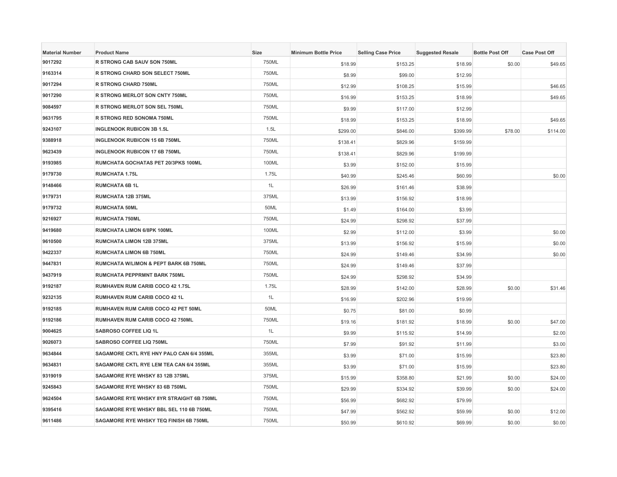| <b>Material Number</b> | <b>Product Name</b>                      | <b>Size</b> | <b>Minimum Bottle Price</b> | <b>Selling Case Price</b> | <b>Suggested Resale</b> | <b>Bottle Post Off</b> | <b>Case Post Off</b> |
|------------------------|------------------------------------------|-------------|-----------------------------|---------------------------|-------------------------|------------------------|----------------------|
| 9017292                | R STRONG CAB SAUV SON 750ML              | 750ML       | \$18.99                     | \$153.25                  | \$18.99                 | \$0.00                 | \$49.65              |
| 9163314                | R STRONG CHARD SON SELECT 750ML          | 750ML       | \$8.99                      | \$99.00                   | \$12.99                 |                        |                      |
| 9017294                | <b>R STRONG CHARD 750ML</b>              | 750ML       | \$12.99                     | \$108.25                  | \$15.99                 |                        | \$46.65              |
| 9017290                | R STRONG MERLOT SON CNTY 750ML           | 750ML       | \$16.99                     | \$153.25                  | \$18.99                 |                        | \$49.65              |
| 9084597                | R STRONG MERLOT SON SEL 750ML            | 750ML       | \$9.99                      | \$117.00                  | \$12.99                 |                        |                      |
| 9631795                | R STRONG RED SONOMA 750ML                | 750ML       | \$18.99                     | \$153.25                  | \$18.99                 |                        | \$49.65              |
| 9243107                | <b>INGLENOOK RUBICON 3B 1.5L</b>         | 1.5L        | \$299.00                    | \$846.00                  | \$399.99                | \$78.00                | \$114.00             |
| 9388918                | <b>INGLENOOK RUBICON 15 6B 750ML</b>     | 750ML       | \$138.41                    | \$829.96                  | \$159.99                |                        |                      |
| 9623439                | <b>INGLENOOK RUBICON 17 6B 750ML</b>     | 750ML       | \$138.41                    | \$829.96                  | \$199.99                |                        |                      |
| 9193985                | RUMCHATA GOCHATAS PET 20/3PKS 100ML      | 100ML       | \$3.99                      | \$152.00                  | \$15.99                 |                        |                      |
| 9179730                | <b>RUMCHATA 1.75L</b>                    | 1.75L       | \$40.99                     | \$245.46                  | \$60.99                 |                        | \$0.00               |
| 9148466                | <b>RUMCHATA 6B 1L</b>                    | 1L          | \$26.99                     | \$161.46                  | \$38.99                 |                        |                      |
| 9179731                | RUMCHATA 12B 375ML                       | 375ML       | \$13.99                     | \$156.92                  | \$18.99                 |                        |                      |
| 9179732                | <b>RUMCHATA 50ML</b>                     | 50ML        | \$1.49                      | \$164.00                  | \$3.99                  |                        |                      |
| 9216927                | <b>RUMCHATA 750ML</b>                    | 750ML       | \$24.99                     | \$298.92                  | \$37.99                 |                        |                      |
| 9419680                | RUMCHATA LIMON 6/8PK 100ML               | 100ML       | \$2.99                      | \$112.00                  | \$3.99                  |                        | \$0.00               |
| 9610500                | RUMCHATA LIMON 12B 375ML                 | 375ML       | \$13.99                     | \$156.92                  | \$15.99                 |                        | \$0.00               |
| 9422337                | <b>RUMCHATA LIMON 6B 750ML</b>           | 750ML       | \$24.99                     | \$149.46                  | \$34.99                 |                        | \$0.00               |
| 9447831                | RUMCHATA W/LIMON & PEPT BARK 6B 750ML    | 750ML       | \$24.99                     | \$149.46                  | \$37.99                 |                        |                      |
| 9437919                | RUMCHATA PEPPRMNT BARK 750ML             | 750ML       | \$24.99                     | \$298.92                  | \$34.99                 |                        |                      |
| 9192187                | RUMHAVEN RUM CARIB COCO 42 1.75L         | 1.75L       | \$28.99                     | \$142.00                  | \$28.99                 | \$0.00                 | \$31.46              |
| 9232135                | RUMHAVEN RUM CARIB COCO 42 1L            | 1L          | \$16.99                     | \$202.96                  | \$19.99                 |                        |                      |
| 9192185                | RUMHAVEN RUM CARIB COCO 42 PET 50ML      | 50ML        | \$0.75                      | \$81.00                   | \$0.99                  |                        |                      |
| 9192186                | RUMHAVEN RUM CARIB COCO 42 750ML         | 750ML       | \$19.16                     | \$181.92                  | \$18.99                 | \$0.00                 | \$47.00              |
| 9004625                | SABROSO COFFEE LIQ 1L                    | 1L          | \$9.99                      | \$115.92                  | \$14.99                 |                        | \$2.00               |
| 9026073                | SABROSO COFFEE LIQ 750ML                 | 750ML       | \$7.99                      | \$91.92                   | \$11.99                 |                        | \$3.00               |
| 9634844                | SAGAMORE CKTL RYE HNY PALO CAN 6/4 355ML | 355ML       | \$3.99                      | \$71.00                   | \$15.99                 |                        | \$23.80              |
| 9634831                | SAGAMORE CKTL RYE LEM TEA CAN 6/4 355ML  | 355ML       | \$3.99                      | \$71.00                   | \$15.99                 |                        | \$23.80              |
| 9319019                | SAGAMORE RYE WHSKY 83 12B 375ML          | 375ML       | \$15.99                     | \$358.80                  | \$21.99                 | \$0.00                 | \$24.00              |
| 9245843                | SAGAMORE RYE WHSKY 83 6B 750ML           | 750ML       | \$29.99                     | \$334.92                  | \$39.99                 | \$0.00                 | \$24.00              |
| 9624504                | SAGAMORE RYE WHSKY 8YR STRAIGHT 6B 750ML | 750ML       | \$56.99                     | \$682.92                  | \$79.99                 |                        |                      |
| 9395416                | SAGAMORE RYE WHSKY BBL SEL 110 6B 750ML  | 750ML       | \$47.99                     | \$562.92                  | \$59.99                 | \$0.00                 | \$12.00              |
| 9611486                | SAGAMORE RYE WHSKY TEQ FINISH 6B 750ML   | 750ML       | \$50.99                     | \$610.92                  | \$69.99                 | \$0.00                 | \$0.00               |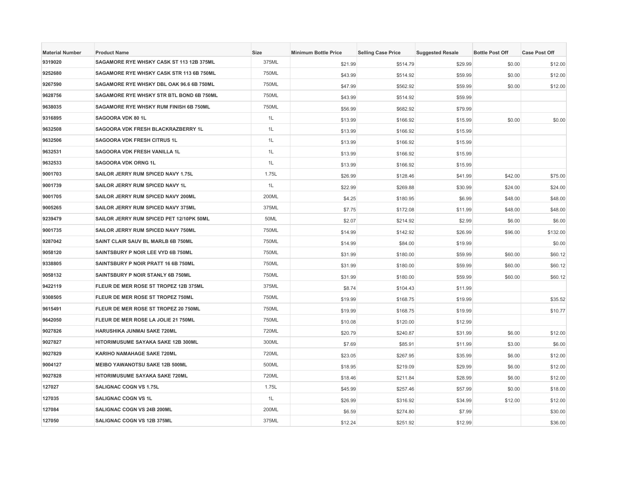| <b>Material Number</b> | <b>Product Name</b>                      | <b>Size</b> | <b>Minimum Bottle Price</b> | <b>Selling Case Price</b> | <b>Suggested Resale</b> | <b>Bottle Post Off</b> | <b>Case Post Off</b> |
|------------------------|------------------------------------------|-------------|-----------------------------|---------------------------|-------------------------|------------------------|----------------------|
| 9319020                | SAGAMORE RYE WHSKY CASK ST 113 12B 375ML | 375ML       | \$21.99                     | \$514.79                  | \$29.99                 | \$0.00                 | \$12.00              |
| 9252680                | SAGAMORE RYE WHSKY CASK STR 113 6B 750ML | 750ML       | \$43.99                     | \$514.92                  | \$59.99                 | \$0.00                 | \$12.00              |
| 9267590                | SAGAMORE RYE WHSKY DBL OAK 96.6 6B 750ML | 750ML       | \$47.99                     | \$562.92                  | \$59.99                 | \$0.00                 | \$12.00              |
| 9628756                | SAGAMORE RYE WHSKY STR BTL BOND 6B 750ML | 750ML       | \$43.99                     | \$514.92                  | \$59.99                 |                        |                      |
| 9638035                | SAGAMORE RYE WHSKY RUM FINISH 6B 750ML   | 750ML       | \$56.99                     | \$682.92                  | \$79.99                 |                        |                      |
| 9316895                | SAGOORA VDK 80 1L                        | 1L          | \$13.99                     | \$166.92                  | \$15.99                 | \$0.00                 | \$0.00               |
| 9632508                | SAGOORA VDK FRESH BLACKRAZBERRY 1L       | 1L          | \$13.99                     | \$166.92                  | \$15.99                 |                        |                      |
| 9632506                | <b>SAGOORA VDK FRESH CITRUS 1L</b>       | 1L          | \$13.99                     | \$166.92                  | \$15.99                 |                        |                      |
| 9632531                | SAGOORA VDK FRESH VANILLA 1L             | 1L          | \$13.99                     | \$166.92                  | \$15.99                 |                        |                      |
| 9632533                | <b>SAGOORA VDK ORNG 1L</b>               | 1L          | \$13.99                     | \$166.92                  | \$15.99                 |                        |                      |
| 9001703                | SAILOR JERRY RUM SPICED NAVY 1.75L       | 1.75L       | \$26.99                     | \$128.46                  | \$41.99                 | \$42.00                | \$75.00              |
| 9001739                | SAILOR JERRY RUM SPICED NAVY 1L          | 1L          | \$22.99                     | \$269.88                  | \$30.99                 | \$24.00                | \$24.00              |
| 9001705                | SAILOR JERRY RUM SPICED NAVY 200ML       | 200ML       | \$4.25                      | \$180.95                  | \$6.99                  | \$48.00                | \$48.00              |
| 9005265                | SAILOR JERRY RUM SPICED NAVY 375ML       | 375ML       | \$7.75                      | \$172.08                  | \$11.99                 | \$48.00                | \$48.00              |
| 9239479                | SAILOR JERRY RUM SPICED PET 12/10PK 50ML | 50ML        | \$2.07                      | \$214.92                  | \$2.99                  | \$6.00                 | \$6.00               |
| 9001735                | SAILOR JERRY RUM SPICED NAVY 750ML       | 750ML       | \$14.99                     | \$142.92                  | \$26.99                 | \$96.00                | \$132.00             |
| 9287042                | SAINT CLAIR SAUV BL MARLB 6B 750ML       | 750ML       | \$14.99                     | \$84.00                   | \$19.99                 |                        | \$0.00               |
| 9058120                | SAINTSBURY P NOIR LEE VYD 6B 750ML       | 750ML       | \$31.99                     | \$180.00                  | \$59.99                 | \$60.00                | \$60.12              |
| 9338805                | SAINTSBURY P NOIR PRATT 16 6B 750ML      | 750ML       | \$31.99                     | \$180.00                  | \$59.99                 | \$60.00                | \$60.12              |
| 9058132                | SAINTSBURY P NOIR STANLY 6B 750ML        | 750ML       | \$31.99                     | \$180.00                  | \$59.99                 | \$60.00                | \$60.12              |
| 9422119                | FLEUR DE MER ROSE ST TROPEZ 12B 375ML    | 375ML       | \$8.74                      | \$104.43                  | \$11.99                 |                        |                      |
| 9308505                | FLEUR DE MER ROSE ST TROPEZ 750ML        | 750ML       | \$19.99                     | \$168.75                  | \$19.99                 |                        | \$35.52              |
| 9615491                | FLEUR DE MER ROSE ST TROPEZ 20 750ML     | 750ML       | \$19.99                     | \$168.75                  | \$19.99                 |                        | \$10.77              |
| 9642050                | FLEUR DE MER ROSE LA JOLIE 21 750ML      | 750ML       | \$10.08                     | \$120.00                  | \$12.99                 |                        |                      |
| 9027826                | HARUSHIKA JUNMAI SAKE 720ML              | 720ML       | \$20.79                     | \$240.87                  | \$31.99                 | \$6.00                 | \$12.00              |
| 9027827                | HITORIMUSUME SAYAKA SAKE 12B 300ML       | 300ML       | \$7.69                      | \$85.91                   | \$11.99                 | \$3.00                 | \$6.00               |
| 9027829                | KARIHO NAMAHAGE SAKE 720ML               | 720ML       | \$23.05                     | \$267.95                  | \$35.99                 | \$6.00                 | \$12.00              |
| 9004127                | <b>MEIBO YAWANOTSU SAKE 12B 500ML</b>    | 500ML       | \$18.95                     | \$219.09                  | \$29.99                 | \$6.00                 | \$12.00              |
| 9027828                | HITORIMUSUME SAYAKA SAKE 720ML           | 720ML       | \$18.46                     | \$211.84                  | \$28.99                 | \$6.00                 | \$12.00              |
| 127027                 | SALIGNAC COGN VS 1.75L                   | 1.75L       | \$45.99                     | \$257.46                  | \$57.99                 | \$0.00                 | \$18.00              |
| 127035                 | SALIGNAC COGN VS 1L                      | 1L          | \$26.99                     | \$316.92                  | \$34.99                 | \$12.00                | \$12.00              |
| 127084                 | SALIGNAC COGN VS 24B 200ML               | 200ML       | \$6.59                      | \$274.80                  | \$7.99                  |                        | \$30.00              |
| 127050                 | SALIGNAC COGN VS 12B 375ML               | 375ML       | \$12.24                     | \$251.92                  | \$12.99                 |                        | \$36.00              |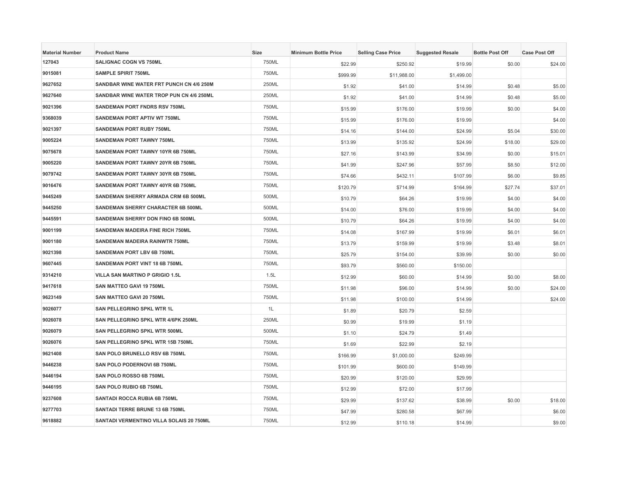| <b>Material Number</b> | <b>Product Name</b>                      | <b>Size</b> | <b>Minimum Bottle Price</b> | <b>Selling Case Price</b> | <b>Suggested Resale</b> | <b>Bottle Post Off</b> | <b>Case Post Off</b> |
|------------------------|------------------------------------------|-------------|-----------------------------|---------------------------|-------------------------|------------------------|----------------------|
| 127043                 | SALIGNAC COGN VS 750ML                   | 750ML       | \$22.99                     | \$250.92                  | \$19.99                 | \$0.00                 | \$24.00              |
| 9015081                | <b>SAMPLE SPIRIT 750ML</b>               | 750ML       | \$999.99                    | \$11,988.00               | \$1,499.00              |                        |                      |
| 9627652                | SANDBAR WINE WATER FRT PUNCH CN 4/6 250M | 250ML       | \$1.92                      | \$41.00                   | \$14.99                 | \$0.48                 | \$5.00               |
| 9627640                | SANDBAR WINE WATER TROP PUN CN 4/6 250ML | 250ML       | \$1.92                      | \$41.00                   | \$14.99                 | \$0.48                 | \$5.00               |
| 9021396                | SANDEMAN PORT FNDRS RSV 750ML            | 750ML       | \$15.99                     | \$176.00                  | \$19.99                 | \$0.00                 | \$4.00               |
| 9368039                | SANDEMAN PORT APTIV WT 750ML             | 750ML       | \$15.99                     | \$176.00                  | \$19.99                 |                        | \$4.00               |
| 9021397                | <b>SANDEMAN PORT RUBY 750ML</b>          | 750ML       | \$14.16                     | \$144.00                  | \$24.99                 | \$5.04                 | \$30.00              |
| 9005224                | <b>SANDEMAN PORT TAWNY 750ML</b>         | 750ML       | \$13.99                     | \$135.92                  | \$24.99                 | \$18.00                | \$29.00              |
| 9075678                | SANDEMAN PORT TAWNY 10YR 6B 750ML        | 750ML       | \$27.16                     | \$143.99                  | \$34.99                 | \$0.00                 | \$15.01              |
| 9005220                | SANDEMAN PORT TAWNY 20YR 6B 750ML        | 750ML       | \$41.99                     | \$247.96                  | \$57.99                 | \$8.50                 | \$12.00              |
| 9079742                | SANDEMAN PORT TAWNY 30YR 6B 750ML        | 750ML       | \$74.66                     | \$432.11                  | \$107.99                | \$6.00                 | \$9.85               |
| 9016476                | SANDEMAN PORT TAWNY 40YR 6B 750ML        | 750ML       | \$120.79                    | \$714.99                  | \$164.99                | \$27.74                | \$37.01              |
| 9445249                | SANDEMAN SHERRY ARMADA CRM 6B 500ML      | 500ML       | \$10.79                     | \$64.26                   | \$19.99                 | \$4.00                 | \$4.00               |
| 9445250                | SANDEMAN SHERRY CHARACTER 6B 500ML       | 500ML       | \$14.00                     | \$76.00                   | \$19.99                 | \$4.00                 | \$4.00               |
| 9445591                | SANDEMAN SHERRY DON FINO 6B 500ML        | 500ML       | \$10.79                     | \$64.26                   | \$19.99                 | \$4.00                 | \$4.00               |
| 9001199                | SANDEMAN MADEIRA FINE RICH 750ML         | 750ML       | \$14.08                     | \$167.99                  | \$19.99                 | \$6.01                 | \$6.01               |
| 9001180                | SANDEMAN MADEIRA RAINWTR 750ML           | 750ML       | \$13.79                     | \$159.99                  | \$19.99                 | \$3.48                 | \$8.01               |
| 9021398                | SANDEMAN PORT LBV 6B 750ML               | 750ML       | \$25.79                     | \$154.00                  | \$39.99                 | \$0.00                 | \$0.00               |
| 9607445                | SANDEMAN PORT VINT 18 6B 750ML           | 750ML       | \$93.79                     | \$560.00                  | \$150.00                |                        |                      |
| 9314210                | VILLA SAN MARTINO P GRIGIO 1.5L          | 1.5L        | \$12.99                     | \$60.00                   | \$14.99                 | \$0.00                 | \$8.00               |
| 9417618                | SAN MATTEO GAVI 19 750ML                 | 750ML       | \$11.98                     | \$96.00                   | \$14.99                 | \$0.00                 | \$24.00              |
| 9623149                | SAN MATTEO GAVI 20 750ML                 | 750ML       | \$11.98                     | \$100.00                  | \$14.99                 |                        | \$24.00              |
| 9026077                | SAN PELLEGRINO SPKL WTR 1L               | 1L          | \$1.89                      | \$20.79                   | \$2.59                  |                        |                      |
| 9026078                | SAN PELLEGRINO SPKL WTR 4/6PK 250ML      | 250ML       | \$0.99                      | \$19.99                   | \$1.19                  |                        |                      |
| 9026079                | SAN PELLEGRINO SPKL WTR 500ML            | 500ML       | \$1.10                      | \$24.79                   | \$1.49                  |                        |                      |
| 9026076                | SAN PELLEGRINO SPKL WTR 15B 750ML        | 750ML       | \$1.69                      | \$22.99                   | \$2.19                  |                        |                      |
| 9621408                | SAN POLO BRUNELLO RSV 6B 750ML           | 750ML       | \$166.99                    | \$1,000.00                | \$249.99                |                        |                      |
| 9446238                | SAN POLO PODERNOVI 6B 750ML              | 750ML       | \$101.99                    | \$600.00                  | \$149.99                |                        |                      |
| 9446194                | SAN POLO ROSSO 6B 750ML                  | 750ML       | \$20.99                     | \$120.00                  | \$29.99                 |                        |                      |
| 9446195                | SAN POLO RUBIO 6B 750ML                  | 750ML       | \$12.99                     | \$72.00                   | \$17.99                 |                        |                      |
| 9237608                | SANTADI ROCCA RUBIA 6B 750ML             | 750ML       | \$29.99                     | \$137.62                  | \$38.99                 | \$0.00                 | \$18.00              |
| 9277703                | SANTADI TERRE BRUNE 13 6B 750ML          | 750ML       | \$47.99                     | \$280.58                  | \$67.99                 |                        | \$6.00               |
| 9618882                | SANTADI VERMENTINO VILLA SOLAIS 20 750ML | 750ML       | \$12.99                     | \$110.18                  | \$14.99                 |                        | \$9.00               |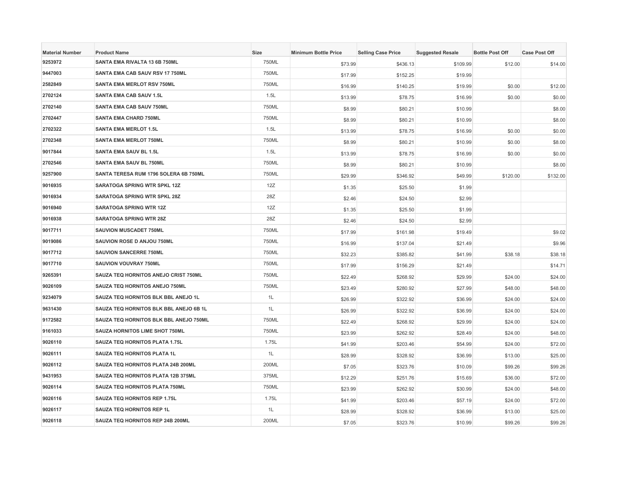| <b>Material Number</b> | <b>Product Name</b>                    | Size  | <b>Minimum Bottle Price</b> | <b>Selling Case Price</b> | <b>Suggested Resale</b> | <b>Bottle Post Off</b> | <b>Case Post Off</b> |
|------------------------|----------------------------------------|-------|-----------------------------|---------------------------|-------------------------|------------------------|----------------------|
| 9253972                | SANTA EMA RIVALTA 13 6B 750ML          | 750ML | \$73.99                     | \$436.13                  | \$109.99                | \$12.00                | \$14.00              |
| 9447003                | SANTA EMA CAB SAUV RSV 17 750ML        | 750ML | \$17.99                     | \$152.25                  | \$19.99                 |                        |                      |
| 2582849                | <b>SANTA EMA MERLOT RSV 750ML</b>      | 750ML | \$16.99                     | \$140.25                  | \$19.99                 | \$0.00                 | \$12.00              |
| 2702124                | <b>SANTA EMA CAB SAUV 1.5L</b>         | 1.5L  | \$13.99                     | \$78.75                   | \$16.99                 | \$0.00                 | \$0.00               |
| 2702140                | SANTA EMA CAB SAUV 750ML               | 750ML | \$8.99                      | \$80.21                   | \$10.99                 |                        | \$8.00               |
| 2702447                | <b>SANTA EMA CHARD 750ML</b>           | 750ML | \$8.99                      | \$80.21                   | \$10.99                 |                        | \$8.00               |
| 2702322                | <b>SANTA EMA MERLOT 1.5L</b>           | 1.5L  | \$13.99                     | \$78.75                   | \$16.99                 | \$0.00                 | \$0.00               |
| 2702348                | <b>SANTA EMA MERLOT 750ML</b>          | 750ML | \$8.99                      | \$80.21                   | \$10.99                 | \$0.00                 | \$8.00               |
| 9017844                | <b>SANTA EMA SAUV BL 1.5L</b>          | 1.5L  | \$13.99                     | \$78.75                   | \$16.99                 | \$0.00                 | \$0.00               |
| 2702546                | SANTA EMA SAUV BL 750ML                | 750ML | \$8.99                      | \$80.21                   | \$10.99                 |                        | \$8.00               |
| 9257900                | SANTA TERESA RUM 1796 SOLERA 6B 750ML  | 750ML | \$29.99                     | \$346.92                  | \$49.99                 | \$120.00               | \$132.00             |
| 9016935                | <b>SARATOGA SPRING WTR SPKL 12Z</b>    | 12Z   | \$1.35                      | \$25.50                   | \$1.99                  |                        |                      |
| 9016934                | SARATOGA SPRING WTR SPKL 28Z           | 28Z   | \$2.46                      | \$24.50                   | \$2.99                  |                        |                      |
| 9016940                | <b>SARATOGA SPRING WTR 12Z</b>         | 12Z   | \$1.35                      | \$25.50                   | \$1.99                  |                        |                      |
| 9016938                | <b>SARATOGA SPRING WTR 28Z</b>         | 28Z   | \$2.46                      | \$24.50                   | \$2.99                  |                        |                      |
| 9017711                | SAUVION MUSCADET 750ML                 | 750ML | \$17.99                     | \$161.98                  | \$19.49                 |                        | \$9.02               |
| 9019086                | SAUVION ROSE D ANJOU 750ML             | 750ML | \$16.99                     | \$137.04                  | \$21.49                 |                        | \$9.96               |
| 9017712                | <b>SAUVION SANCERRE 750ML</b>          | 750ML | \$32.23                     | \$385.82                  | \$41.99                 | \$38.18                | \$38.18              |
| 9017710                | <b>SAUVION VOUVRAY 750ML</b>           | 750ML | \$17.99                     | \$156.29                  | \$21.49                 |                        | \$14.71              |
| 9265391                | SAUZA TEQ HORNITOS ANEJO CRIST 750ML   | 750ML | \$22.49                     | \$268.92                  | \$29.99                 | \$24.00                | \$24.00              |
| 9026109                | SAUZA TEQ HORNITOS ANEJO 750ML         | 750ML | \$23.49                     | \$280.92                  | \$27.99                 | \$48.00                | \$48.00              |
| 9234079                | SAUZA TEQ HORNITOS BLK BBL ANEJO 1L    | 1L    | \$26.99                     | \$322.92                  | \$36.99                 | \$24.00                | \$24.00              |
| 9631430                | SAUZA TEQ HORNITOS BLK BBL ANEJO 6B 1L | 1L    | \$26.99                     | \$322.92                  | \$36.99                 | \$24.00                | \$24.00              |
| 9172582                | SAUZA TEQ HORNITOS BLK BBL ANEJO 750ML | 750ML | \$22.49                     | \$268.92                  | \$29.99                 | \$24.00                | \$24.00              |
| 9161033                | SAUZA HORNITOS LIME SHOT 750ML         | 750ML | \$23.99                     | \$262.92                  | \$28.49                 | \$24.00                | \$48.00              |
| 9026110                | SAUZA TEQ HORNITOS PLATA 1.75L         | 1.75L | \$41.99                     | \$203.46                  | \$54.99                 | \$24.00                | \$72.00              |
| 9026111                | <b>SAUZA TEQ HORNITOS PLATA 1L</b>     | 1L    | \$28.99                     | \$328.92                  | \$36.99                 | \$13.00                | \$25.00              |
| 9026112                | SAUZA TEQ HORNITOS PLATA 24B 200ML     | 200ML | \$7.05                      | \$323.76                  | \$10.09                 | \$99.26                | \$99.26              |
| 9431953                | SAUZA TEQ HORNITOS PLATA 12B 375ML     | 375ML | \$12.29                     | \$251.76                  | \$15.69                 | \$36.00                | \$72.00              |
| 9026114                | SAUZA TEQ HORNITOS PLATA 750ML         | 750ML | \$23.99                     | \$262.92                  | \$30.99                 | \$24.00                | \$48.00              |
| 9026116                | SAUZA TEQ HORNITOS REP 1.75L           | 1.75L | \$41.99                     | \$203.46                  | \$57.19                 | \$24.00                | \$72.00              |
| 9026117                | <b>SAUZA TEQ HORNITOS REP 1L</b>       | 1L    | \$28.99                     | \$328.92                  | \$36.99                 | \$13.00                | \$25.00              |
| 9026118                | SAUZA TEQ HORNITOS REP 24B 200ML       | 200ML | \$7.05                      | \$323.76                  | \$10.99                 | \$99.26                | \$99.26              |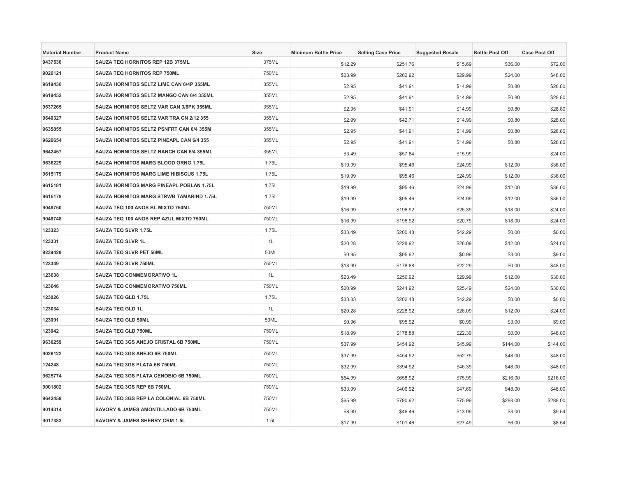| <b>Material Number</b> | <b>Product Name</b>                            | Size  | <b>Minimum Bottle Price</b> | <b>Selling Case Price</b> | <b>Suggested Resale</b> | <b>Bottle Post Off</b> | <b>Case Post Off</b> |
|------------------------|------------------------------------------------|-------|-----------------------------|---------------------------|-------------------------|------------------------|----------------------|
| 9437530                | SAUZA TEQ HORNITOS REP 12B 375ML               | 375ML | \$12.29                     | \$251.76                  | \$15.69                 | \$36.00                | \$72.00              |
| 9026121                | <b>SAUZA TEQ HORNITOS REP 750ML</b>            | 750ML | \$23.99                     | \$262.92                  | \$29.99                 | \$24.00                | \$48.00              |
| 9619436                | SAUZA HORNITOS SELTZ LIME CAN 6/4P 355ML       | 355ML | \$2.95                      | \$41.91                   | \$14.99                 | \$0.80                 | \$28.80              |
| 9619452                | SAUZA HORNITOS SELTZ MANGO CAN 6/4 355ML       | 355ML | \$2.95                      | \$41.91                   | \$14.99                 | \$0.80                 | \$28.80              |
| 9637265                | SAUZA HORNITOS SELTZ VAR CAN 3/8PK 355ML       | 355ML | \$2.95                      | \$41.91                   | \$14.99                 | \$0.80                 | \$28.80              |
| 9640327                | SAUZA HORNITOS SELTZ VAR TRA CN 2/12 355       | 355ML | \$2.99                      | \$42.71                   | \$14.99                 | \$0.80                 | \$28.00              |
| 9635855                | SAUZA HORNITOS SELTZ PSNFRT CAN 6/4 355M       | 355ML | \$2.95                      | \$41.91                   | \$14.99                 | \$0.80                 | \$28.80              |
| 9626654                | SAUZA HORNITOS SELTZ PINEAPL CAN 6/4 355       | 355ML | \$2.95                      | \$41.91                   | \$14.99                 | \$0.80                 | \$28.80              |
| 9642457                | SAUZA HORNITOS SELTZ RANCH CAN 6/4 355ML       | 355ML | \$3.49                      | \$57.84                   | \$15.99                 |                        | \$24.00              |
| 9636229                | SAUZA HORNITOS MARG BLOOD ORNG 1.75L           | 1.75L | \$19.99                     | \$95.46                   | \$24.99                 | \$12.00                | \$36.00              |
| 9615179                | <b>SAUZA HORNITOS MARG LIME HIBISCUS 1.75L</b> | 1.75L | \$19.99                     | \$95.46                   | \$24.99                 | \$12.00                | \$36.00              |
| 9615181                | SAUZA HORNITOS MARG PINEAPL POBLAN 1.75L       | 1.75L | \$19.99                     | \$95.46                   | \$24.99                 | \$12.00                | \$36.00              |
| 9615178                | SAUZA HORNITOS MARG STRWB TAMARIND 1.75L       | 1.75L | \$19.99                     | \$95.46                   | \$24.99                 | \$12.00                | \$36.00              |
| 9048750                | SAUZA TEQ 100 ANOS BL MIXTO 750ML              | 750ML | \$16.99                     | \$196.92                  | \$25.39                 | \$18.00                | \$24.00              |
| 9048748                | SAUZA TEQ 100 ANOS REP AZUL MIXTO 750ML        | 750ML | \$16.99                     | \$196.92                  | \$20.79                 | \$18.00                | \$24.00              |
| 123323                 | SAUZA TEQ SLVR 1.75L                           | 1.75L | \$33.49                     | \$200.48                  | \$42.29                 | \$0.00                 | \$0.00               |
| 123331                 | <b>SAUZA TEQ SLVR 1L</b>                       | 1L    | \$20.28                     | \$228.92                  | \$26.09                 | \$12.00                | \$24.00              |
| 9239429                | SAUZA TEQ SLVR PET 50ML                        | 50ML  | \$0.95                      | \$95.92                   | \$0.99                  | \$3.00                 | \$9.00               |
| 123349                 | <b>SAUZA TEQ SLVR 750ML</b>                    | 750ML | \$18.99                     | \$178.88                  | \$22.29                 | \$0.00                 | \$48.00              |
| 123638                 | SAUZA TEQ CONMEMORATIVO 1L                     | 1L    | \$23.49                     | \$256.92                  | \$29.99                 | \$12.00                | \$30.00              |
| 123646                 | SAUZA TEQ CONMEMORATIVO 750ML                  | 750ML | \$20.99                     | \$244.92                  | \$25.49                 | \$24.00                | \$30.00              |
| 123026                 | SAUZA TEQ GLD 1.75L                            | 1.75L | \$33.83                     | \$202.48                  | \$42.29                 | \$0.00                 | \$0.00               |
| 123034                 | <b>SAUZA TEQ GLD 1L</b>                        | 1L    | \$20.28                     | \$228.92                  | \$26.09                 | \$12.00                | \$24.00              |
| 123091                 | <b>SAUZA TEQ GLD 50ML</b>                      | 50ML  | \$0.96                      | \$95.92                   | \$0.99                  | \$3.00                 | \$9.00               |
| 123042                 | SAUZA TEQ GLD 750ML                            | 750ML | \$18.99                     | \$178.88                  | \$22.39                 | \$0.00                 | \$48.00              |
| 9630259                | SAUZA TEQ 3GS ANEJO CRISTAL 6B 750ML           | 750ML | \$37.99                     | \$454.92                  | \$45.99                 | \$144.00               | \$144.00             |
| 9026122                | SAUZA TEQ 3GS ANEJO 6B 750ML                   | 750ML | \$37.99                     | \$454.92                  | \$52.79                 | \$48.00                | \$48.00              |
| 124248                 | SAUZA TEQ 3GS PLATA 6B 750ML                   | 750ML | \$32.99                     | \$394.92                  | \$46.39                 | \$48.00                | \$48.00              |
| 9625774                | SAUZA TEQ 3GS PLATA CENOBIO 6B 750ML           | 750ML | \$54.99                     | \$658.92                  | \$75.99                 | \$216.00               | \$216.00             |
| 9001802                | SAUZA TEQ 3GS REP 6B 750ML                     | 750ML | \$33.99                     | \$406.92                  | \$47.69                 | \$48.00                | \$48.00              |
| 9642459                | SAUZA TEQ 3GS REP LA COLONIAL 6B 750ML         | 750ML | \$65.99                     | \$790.92                  | \$75.99                 | \$288.00               | \$288.00             |
| 9014314                | SAVORY & JAMES AMONTILLADO 6B 750ML            | 750ML | \$8.99                      | \$46.46                   | \$13.99                 | \$3.00                 | \$9.54               |
| 9017383                | SAVORY & JAMES SHERRY CRM 1.5L                 | 1.5L  | \$17.99                     | \$101.46                  | \$27.49                 | \$6.00                 | \$8.54               |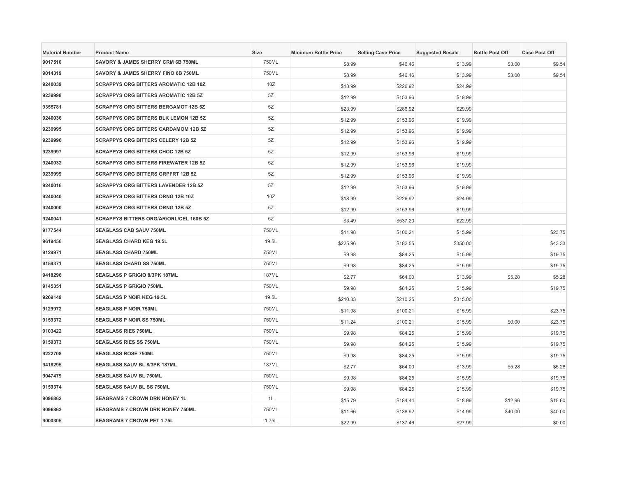| <b>Material Number</b> | <b>Product Name</b>                          | <b>Size</b>  | <b>Minimum Bottle Price</b> | <b>Selling Case Price</b> | <b>Suggested Resale</b> | <b>Bottle Post Off</b> | <b>Case Post Off</b> |
|------------------------|----------------------------------------------|--------------|-----------------------------|---------------------------|-------------------------|------------------------|----------------------|
| 9017510                | SAVORY & JAMES SHERRY CRM 6B 750ML           | 750ML        | \$8.99                      | \$46.46                   | \$13.99                 | \$3.00                 | \$9.54               |
| 9014319                | SAVORY & JAMES SHERRY FINO 6B 750ML          | 750ML        | \$8.99                      | \$46.46                   | \$13.99                 | \$3.00                 | \$9.54               |
| 9240039                | <b>SCRAPPYS ORG BITTERS AROMATIC 12B 10Z</b> | 10Z          | \$18.99                     | \$226.92                  | \$24.99                 |                        |                      |
| 9239998                | <b>SCRAPPYS ORG BITTERS AROMATIC 12B 5Z</b>  | 5Z           | \$12.99                     | \$153.96                  | \$19.99                 |                        |                      |
| 9355781                | <b>SCRAPPYS ORG BITTERS BERGAMOT 12B 5Z</b>  | 5Z           | \$23.99                     | \$286.92                  | \$29.99                 |                        |                      |
| 9240036                | <b>SCRAPPYS ORG BITTERS BLK LEMON 12B 5Z</b> | 5Z           | \$12.99                     | \$153.96                  | \$19.99                 |                        |                      |
| 9239995                | <b>SCRAPPYS ORG BITTERS CARDAMOM 12B 5Z</b>  | 5Z           | \$12.99                     | \$153.96                  | \$19.99                 |                        |                      |
| 9239996                | <b>SCRAPPYS ORG BITTERS CELERY 12B 5Z</b>    | 5Z           | \$12.99                     | \$153.96                  | \$19.99                 |                        |                      |
| 9239997                | <b>SCRAPPYS ORG BITTERS CHOC 12B 5Z</b>      | 5Z           | \$12.99                     | \$153.96                  | \$19.99                 |                        |                      |
| 9240032                | <b>SCRAPPYS ORG BITTERS FIREWATER 12B 5Z</b> | 5Z           | \$12.99                     | \$153.96                  | \$19.99                 |                        |                      |
| 9239999                | <b>SCRAPPYS ORG BITTERS GRPFRT 12B 5Z</b>    | 5Z           | \$12.99                     | \$153.96                  | \$19.99                 |                        |                      |
| 9240016                | <b>SCRAPPYS ORG BITTERS LAVENDER 12B 5Z</b>  | 5Z           | \$12.99                     | \$153.96                  | \$19.99                 |                        |                      |
| 9240040                | <b>SCRAPPYS ORG BITTERS ORNG 12B 10Z</b>     | 10Z          | \$18.99                     | \$226.92                  | \$24.99                 |                        |                      |
| 9240000                | <b>SCRAPPYS ORG BITTERS ORNG 12B 5Z</b>      | 5Z           | \$12.99                     | \$153.96                  | \$19.99                 |                        |                      |
| 9240041                | SCRAPPYS BITTERS ORG/AR/ORL/CEL 160B 5Z      | 5Z           | \$3.49                      | \$537.20                  | \$22.99                 |                        |                      |
| 9177544                | SEAGLASS CAB SAUV 750ML                      | 750ML        | \$11.98                     | \$100.21                  | \$15.99                 |                        | \$23.75              |
| 9619456                | <b>SEAGLASS CHARD KEG 19.5L</b>              | 19.5L        | \$225.96                    | \$182.55                  | \$350.00                |                        | \$43.33              |
| 9129971                | <b>SEAGLASS CHARD 750ML</b>                  | 750ML        | \$9.98                      | \$84.25                   | \$15.99                 |                        | \$19.75              |
| 9159371                | <b>SEAGLASS CHARD SS 750ML</b>               | 750ML        | \$9.98                      | \$84.25                   | \$15.99                 |                        | \$19.75              |
| 9418296                | SEAGLASS P GRIGIO 8/3PK 187ML                | 187ML        | \$2.77                      | \$64.00                   | \$13.99                 | \$5.28                 | \$5.28               |
| 9145351                | <b>SEAGLASS P GRIGIO 750ML</b>               | 750ML        | \$9.98                      | \$84.25                   | \$15.99                 |                        | \$19.75              |
| 9269149                | <b>SEAGLASS P NOIR KEG 19.5L</b>             | 19.5L        | \$210.33                    | \$210.25                  | \$315.00                |                        |                      |
| 9129972                | <b>SEAGLASS P NOIR 750ML</b>                 | 750ML        | \$11.98                     | \$100.21                  | \$15.99                 |                        | \$23.75              |
| 9159372                | SEAGLASS P NOIR SS 750ML                     | 750ML        | \$11.24                     | \$100.21                  | \$15.99                 | \$0.00                 | \$23.75              |
| 9103422                | <b>SEAGLASS RIES 750ML</b>                   | 750ML        | \$9.98                      | \$84.25                   | \$15.99                 |                        | \$19.75              |
| 9159373                | <b>SEAGLASS RIES SS 750ML</b>                | 750ML        | \$9.98                      | \$84.25                   | \$15.99                 |                        | \$19.75              |
| 9222708                | <b>SEAGLASS ROSE 750ML</b>                   | 750ML        | \$9.98                      | \$84.25                   | \$15.99                 |                        | \$19.75              |
| 9418295                | SEAGLASS SAUV BL 8/3PK 187ML                 | <b>187ML</b> | \$2.77                      | \$64.00                   | \$13.99                 | \$5.28                 | \$5.28               |
| 9047479                | SEAGLASS SAUV BL 750ML                       | 750ML        | \$9.98                      | \$84.25                   | \$15.99                 |                        | \$19.75              |
| 9159374                | SEAGLASS SAUV BL SS 750ML                    | 750ML        | \$9.98                      | \$84.25                   | \$15.99                 |                        | \$19.75              |
| 9096862                | SEAGRAMS 7 CROWN DRK HONEY 1L                | 1L           | \$15.79                     | \$184.44                  | \$18.99                 | \$12.96                | \$15.60              |
| 9096863                | <b>SEAGRAMS 7 CROWN DRK HONEY 750ML</b>      | 750ML        | \$11.66                     | \$138.92                  | \$14.99                 | \$40.00                | \$40.00              |
| 9000305                | <b>SEAGRAMS 7 CROWN PET 1.75L</b>            | 1.75L        | \$22.99                     | \$137.46                  | \$27.99                 |                        | \$0.00               |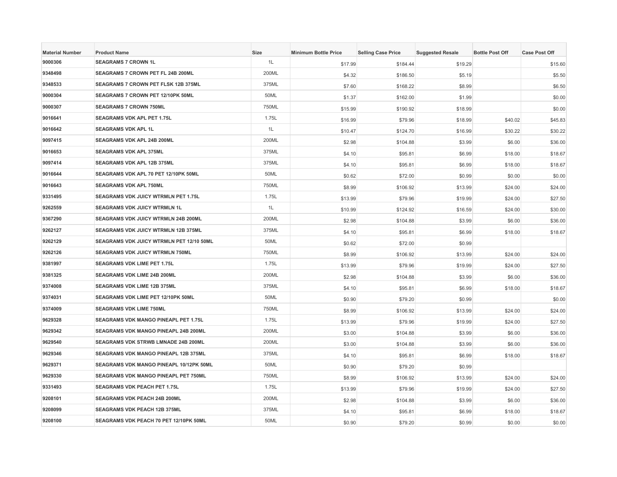| <b>Material Number</b> | <b>Product Name</b>                         | Size  | <b>Minimum Bottle Price</b> | <b>Selling Case Price</b> | <b>Suggested Resale</b> | <b>Bottle Post Off</b> | <b>Case Post Off</b> |
|------------------------|---------------------------------------------|-------|-----------------------------|---------------------------|-------------------------|------------------------|----------------------|
| 9000306                | <b>SEAGRAMS 7 CROWN 1L</b>                  | 1L    | \$17.99                     | \$184.44                  | \$19.29                 |                        | \$15.60              |
| 9348498                | <b>SEAGRAMS 7 CROWN PET FL 24B 200ML</b>    | 200ML | \$4.32                      | \$186.50                  | \$5.19                  |                        | \$5.50               |
| 9348533                | <b>SEAGRAMS 7 CROWN PET FLSK 12B 375ML</b>  | 375ML | \$7.60                      | \$168.22                  | \$8.99                  |                        | \$6.50               |
| 9000304                | SEAGRAMS 7 CROWN PET 12/10PK 50ML           | 50ML  | \$1.37                      | \$162.00                  | \$1.99                  |                        | \$0.00               |
| 9000307                | SEAGRAMS 7 CROWN 750ML                      | 750ML | \$15.99                     | \$190.92                  | \$18.99                 |                        | \$0.00               |
| 9016641                | <b>SEAGRAMS VDK APL PET 1.75L</b>           | 1.75L | \$16.99                     | \$79.96                   | \$18.99                 | \$40.02                | \$45.83              |
| 9016642                | <b>SEAGRAMS VDK APL 1L</b>                  | 1L    | \$10.47                     | \$124.70                  | \$16.99                 | \$30.22                | \$30.22              |
| 9097415                | SEAGRAMS VDK APL 24B 200ML                  | 200ML | \$2.98                      | \$104.88                  | \$3.99                  | \$6.00                 | \$36.00              |
| 9016653                | <b>SEAGRAMS VDK APL 375ML</b>               | 375ML | \$4.10                      | \$95.81                   | \$6.99                  | \$18.00                | \$18.67              |
| 9097414                | SEAGRAMS VDK APL 12B 375ML                  | 375ML | \$4.10                      | \$95.81                   | \$6.99                  | \$18.00                | \$18.67              |
| 9016644                | SEAGRAMS VDK APL 70 PET 12/10PK 50ML        | 50ML  | \$0.62                      | \$72.00                   | \$0.99                  | \$0.00                 | \$0.00               |
| 9016643                | <b>SEAGRAMS VDK APL 750ML</b>               | 750ML | \$8.99                      | \$106.92                  | \$13.99                 | \$24.00                | \$24.00              |
| 9331495                | SEAGRAMS VDK JUICY WTRMLN PET 1.75L         | 1.75L | \$13.99                     | \$79.96                   | \$19.99                 | \$24.00                | \$27.50              |
| 9262559                | <b>SEAGRAMS VDK JUICY WTRMLN 1L</b>         | 1L    | \$10.99                     | \$124.92                  | \$16.59                 | \$24.00                | \$30.00              |
| 9367290                | <b>SEAGRAMS VDK JUICY WTRMLN 24B 200ML</b>  | 200ML | \$2.98                      | \$104.88                  | \$3.99                  | \$6.00                 | \$36.00              |
| 9262127                | SEAGRAMS VDK JUICY WTRMLN 12B 375ML         | 375ML | \$4.10                      | \$95.81                   | \$6.99                  | \$18.00                | \$18.67              |
| 9262129                | SEAGRAMS VDK JUICY WTRMLN PET 12/10 50ML    | 50ML  | \$0.62                      | \$72.00                   | \$0.99                  |                        |                      |
| 9262126                | SEAGRAMS VDK JUICY WTRMLN 750ML             | 750ML | \$8.99                      | \$106.92                  | \$13.99                 | \$24.00                | \$24.00              |
| 9381997                | <b>SEAGRAMS VDK LIME PET 1.75L</b>          | 1.75L | \$13.99                     | \$79.96                   | \$19.99                 | \$24.00                | \$27.50              |
| 9381325                | SEAGRAMS VDK LIME 24B 200ML                 | 200ML | \$2.98                      | \$104.88                  | \$3.99                  | \$6.00                 | \$36.00              |
| 9374008                | SEAGRAMS VDK LIME 12B 375ML                 | 375ML | \$4.10                      | \$95.81                   | \$6.99                  | \$18.00                | \$18.67              |
| 9374031                | SEAGRAMS VDK LIME PET 12/10PK 50ML          | 50ML  | \$0.90                      | \$79.20                   | \$0.99                  |                        | \$0.00               |
| 9374009                | <b>SEAGRAMS VDK LIME 750ML</b>              | 750ML | \$8.99                      | \$106.92                  | \$13.99                 | \$24.00                | \$24.00              |
| 9629328                | SEAGRAMS VDK MANGO PINEAPL PET 1.75L        | 1.75L | \$13.99                     | \$79.96                   | \$19.99                 | \$24.00                | \$27.50              |
| 9629342                | SEAGRAMS VDK MANGO PINEAPL 24B 200ML        | 200ML | \$3.00                      | \$104.88                  | \$3.99                  | \$6.00                 | \$36.00              |
| 9629540                | SEAGRAMS VDK STRWB LMNADE 24B 200ML         | 200ML | \$3.00                      | \$104.88                  | \$3.99                  | \$6.00                 | \$36.00              |
| 9629346                | <b>SEAGRAMS VDK MANGO PINEAPL 12B 375ML</b> | 375ML | \$4.10                      | \$95.81                   | \$6.99                  | \$18.00                | \$18.67              |
| 9629371                | SEAGRAMS VDK MANGO PINEAPL 10/12PK 50ML     | 50ML  | \$0.90                      | \$79.20                   | \$0.99                  |                        |                      |
| 9629330                | SEAGRAMS VDK MANGO PINEAPL PET 750ML        | 750ML | \$8.99                      | \$106.92                  | \$13.99                 | \$24.00                | \$24.00              |
| 9331493                | <b>SEAGRAMS VDK PEACH PET 1.75L</b>         | 1.75L | \$13.99                     | \$79.96                   | \$19.99                 | \$24.00                | \$27.50              |
| 9208101                | SEAGRAMS VDK PEACH 24B 200ML                | 200ML | \$2.98                      | \$104.88                  | \$3.99                  | \$6.00                 | \$36.00              |
| 9208099                | <b>SEAGRAMS VDK PEACH 12B 375ML</b>         | 375ML | \$4.10                      | \$95.81                   | \$6.99                  | \$18.00                | \$18.67              |
| 9208100                | SEAGRAMS VDK PEACH 70 PET 12/10PK 50ML      | 50ML  | \$0.90                      | \$79.20                   | \$0.99                  | \$0.00                 | \$0.00               |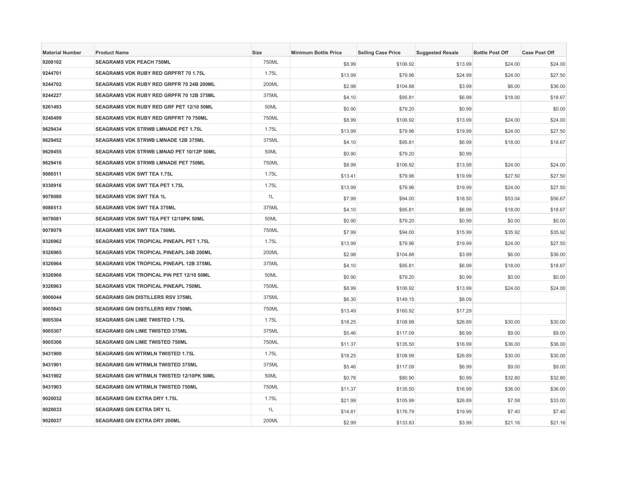| <b>Material Number</b> | <b>Product Name</b>                        | <b>Size</b> | <b>Minimum Bottle Price</b> | <b>Selling Case Price</b> | <b>Suggested Resale</b> | <b>Bottle Post Off</b> | <b>Case Post Off</b> |
|------------------------|--------------------------------------------|-------------|-----------------------------|---------------------------|-------------------------|------------------------|----------------------|
| 9208102                | <b>SEAGRAMS VDK PEACH 750ML</b>            | 750ML       | \$8.99                      | \$106.92                  | \$13.99                 | \$24.00                | \$24.00              |
| 9244701                | SEAGRAMS VDK RUBY RED GRPFRT 70 1.75L      | 1.75L       | \$13.99                     | \$79.96                   | \$24.99                 | \$24.00                | \$27.50              |
| 9244702                | SEAGRAMS VDK RUBY RED GRPFR 70 24B 200ML   | 200ML       | \$2.98                      | \$104.88                  | \$3.99                  | \$6.00                 | \$36.00              |
| 9244227                | SEAGRAMS VDK RUBY RED GRPFR 70 12B 375ML   | 375ML       | \$4.10                      | \$95.81                   | \$6.99                  | \$18.00                | \$18.67              |
| 9261493                | SEAGRAMS VDK RUBY RED GRF PET 12/10 50ML   | 50ML        | \$0.90                      | \$79.20                   | \$0.99                  |                        | \$0.00               |
| 9240499                | SEAGRAMS VDK RUBY RED GRPFRT 70 750ML      | 750ML       | \$8.99                      | \$106.92                  | \$13.99                 | \$24.00                | \$24.00              |
| 9629434                | <b>SEAGRAMS VDK STRWB LMNADE PET 1.75L</b> | 1.75L       | \$13.99                     | \$79.96                   | \$19.99                 | \$24.00                | \$27.50              |
| 9629452                | SEAGRAMS VDK STRWB LMNADE 12B 375ML        | 375ML       | \$4.10                      | \$95.81                   | \$6.99                  | \$18.00                | \$18.67              |
| 9629455                | SEAGRAMS VDK STRWB LMNAD PET 10/12P 50ML   | 50ML        | \$0.90                      | \$79.20                   | \$0.99                  |                        |                      |
| 9629416                | SEAGRAMS VDK STRWB LMNADE PET 750ML        | 750ML       | \$8.99                      | \$106.92                  | \$13.99                 | \$24.00                | \$24.00              |
| 9086511                | <b>SEAGRAMS VDK SWT TEA 1.75L</b>          | 1.75L       | \$13.41                     | \$79.96                   | \$19.99                 | \$27.50                | \$27.50              |
| 9330916                | <b>SEAGRAMS VDK SWT TEA PET 1.75L</b>      | 1.75L       | \$13.99                     | \$79.96                   | \$19.99                 | \$24.00                | \$27.50              |
| 9078080                | <b>SEAGRAMS VDK SWT TEA 1L</b>             | 1L          | \$7.99                      | \$94.00                   | \$18.50                 | \$53.04                | \$56.67              |
| 9086513                | <b>SEAGRAMS VDK SWT TEA 375ML</b>          | 375ML       | \$4.10                      | \$95.81                   | \$6.99                  | \$18.00                | \$18.67              |
| 9078081                | SEAGRAMS VDK SWT TEA PET 12/10PK 50ML      | 50ML        | \$0.90                      | \$79.20                   | \$0.99                  | \$0.00                 | \$0.00               |
| 9078079                | <b>SEAGRAMS VDK SWT TEA 750ML</b>          | 750ML       | \$7.99                      | \$94.00                   | \$15.99                 | \$35.92                | \$35.92              |
| 9326962                | SEAGRAMS VDK TROPICAL PINEAPL PET 1.75L    | 1.75L       | \$13.99                     | \$79.96                   | \$19.99                 | \$24.00                | \$27.50              |
| 9326965                | SEAGRAMS VDK TROPICAL PINEAPL 24B 200ML    | 200ML       | \$2.98                      | \$104.88                  | \$3.99                  | \$6.00                 | \$36.00              |
| 9326964                | SEAGRAMS VDK TROPICAL PINEAPL 12B 375ML    | 375ML       | \$4.10                      | \$95.81                   | \$6.99                  | \$18.00                | \$18.67              |
| 9326966                | SEAGRAMS VDK TROPICAL PIN PET 12/10 50ML   | 50ML        | \$0.90                      | \$79.20                   | \$0.99                  | \$0.00                 | \$0.00               |
| 9326963                | SEAGRAMS VDK TROPICAL PINEAPL 750ML        | 750ML       | \$8.99                      | \$106.92                  | \$13.99                 | \$24.00                | \$24.00              |
| 9006044                | SEAGRAMS GIN DISTILLERS RSV 375ML          | 375ML       | \$6.30                      | \$149.15                  | \$8.09                  |                        |                      |
| 9005843                | <b>SEAGRAMS GIN DISTILLERS RSV 750ML</b>   | 750ML       | \$13.49                     | \$160.92                  | \$17.29                 |                        |                      |
| 9005304                | <b>SEAGRAMS GIN LIME TWISTED 1.75L</b>     | 1.75L       | \$18.25                     | \$108.99                  | \$26.89                 | \$30.00                | \$30.00              |
| 9005307                | SEAGRAMS GIN LIME TWISTED 375ML            | 375ML       | \$5.46                      | \$117.09                  | \$6.99                  | \$9.00                 | \$9.00               |
| 9005306                | <b>SEAGRAMS GIN LIME TWISTED 750ML</b>     | 750ML       | \$11.37                     | \$135.50                  | \$16.99                 | \$36.00                | \$36.00              |
| 9431900                | SEAGRAMS GIN WTRMLN TWISTED 1.75L          | 1.75L       | \$18.25                     | \$108.99                  | \$26.89                 | \$30.00                | \$30.00              |
| 9431901                | <b>SEAGRAMS GIN WTRMLN TWISTED 375ML</b>   | 375ML       | \$5.46                      | \$117.09                  | \$6.99                  | \$9.00                 | \$9.00               |
| 9431902                | SEAGRAMS GIN WTRMLN TWISTED 12/10PK 50ML   | 50ML        | \$0.78                      | \$80.90                   | \$0.99                  | \$32.80                | \$32.80              |
| 9431903                | SEAGRAMS GIN WTRMLN TWISTED 750ML          | 750ML       | \$11.37                     | \$135.50                  | \$16.99                 | \$36.00                | \$36.00              |
| 9020032                | <b>SEAGRAMS GIN EXTRA DRY 1.75L</b>        | 1.75L       | \$21.99                     | \$105.99                  | \$26.89                 | \$7.58                 | \$33.00              |
| 9020033                | <b>SEAGRAMS GIN EXTRA DRY 1L</b>           | 1L          | \$14.81                     | \$176.79                  | \$19.99                 | \$7.40                 | \$7.40               |
| 9020037                | SEAGRAMS GIN EXTRA DRY 200ML               | 200ML       | \$2.99                      | \$133.83                  | \$3.99                  | \$21.16                | \$21.16              |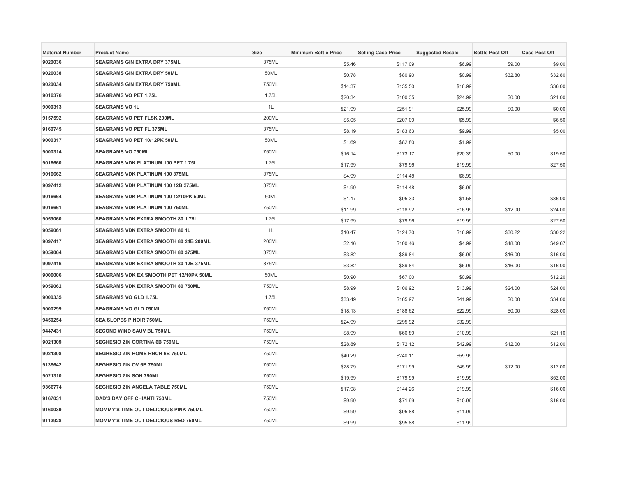| <b>Material Number</b> | <b>Product Name</b>                         | <b>Size</b>  | <b>Minimum Bottle Price</b> | <b>Selling Case Price</b> | <b>Suggested Resale</b> | <b>Bottle Post Off</b> | <b>Case Post Off</b> |
|------------------------|---------------------------------------------|--------------|-----------------------------|---------------------------|-------------------------|------------------------|----------------------|
| 9020036                | <b>SEAGRAMS GIN EXTRA DRY 375ML</b>         | 375ML        | \$5.46                      | \$117.09                  | \$6.99                  | \$9.00                 | \$9.00               |
| 9020038                | SEAGRAMS GIN EXTRA DRY 50ML                 | 50ML         | \$0.78                      | \$80.90                   | \$0.99                  | \$32.80                | \$32.80              |
| 9020034                | <b>SEAGRAMS GIN EXTRA DRY 750ML</b>         | 750ML        | \$14.37                     | \$135.50                  | \$16.99                 |                        | \$36.00              |
| 9016376                | <b>SEAGRAMS VO PET 1.75L</b>                | 1.75L        | \$20.34                     | \$100.35                  | \$24.99                 | \$0.00                 | \$21.00              |
| 9000313                | <b>SEAGRAMS VO 1L</b>                       | 1L           | \$21.99                     | \$251.91                  | \$25.99                 | \$0.00                 | \$0.00               |
| 9157592                | SEAGRAMS VO PET FLSK 200ML                  | 200ML        | \$5.05                      | \$207.09                  | \$5.99                  |                        | \$6.50               |
| 9160745                | <b>SEAGRAMS VO PET FL 375ML</b>             | 375ML        | \$8.19                      | \$183.63                  | \$9.99                  |                        | \$5.00               |
| 9000317                | SEAGRAMS VO PET 10/12PK 50ML                | 50ML         | \$1.69                      | \$82.80                   | \$1.99                  |                        |                      |
| 9000314                | <b>SEAGRAMS VO 750ML</b>                    | 750ML        | \$16.14                     | \$173.17                  | \$20.39                 | \$0.00                 | \$19.50              |
| 9016660                | SEAGRAMS VDK PLATINUM 100 PET 1.75L         | 1.75L        | \$17.99                     | \$79.96                   | \$19.99                 |                        | \$27.50              |
| 9016662                | SEAGRAMS VDK PLATINUM 100 375ML             | 375ML        | \$4.99                      | \$114.48                  | \$6.99                  |                        |                      |
| 9097412                | SEAGRAMS VDK PLATINUM 100 12B 375ML         | 375ML        | \$4.99                      | \$114.48                  | \$6.99                  |                        |                      |
| 9016664                | SEAGRAMS VDK PLATINUM 100 12/10PK 50ML      | 50ML         | \$1.17                      | \$95.33                   | \$1.58                  |                        | \$36.00              |
| 9016661                | SEAGRAMS VDK PLATINUM 100 750ML             | 750ML        | \$11.99                     | \$118.92                  | \$16.99                 | \$12.00                | \$24.00              |
| 9059060                | SEAGRAMS VDK EXTRA SMOOTH 80 1.75L          | 1.75L        | \$17.99                     | \$79.96                   | \$19.99                 |                        | \$27.50              |
| 9059061                | SEAGRAMS VDK EXTRA SMOOTH 80 1L             | 1L           | \$10.47                     | \$124.70                  | \$16.99                 | \$30.22                | \$30.22              |
| 9097417                | SEAGRAMS VDK EXTRA SMOOTH 80 24B 200ML      | 200ML        | \$2.16                      | \$100.46                  | \$4.99                  | \$48.00                | \$49.67              |
| 9059064                | <b>SEAGRAMS VDK EXTRA SMOOTH 80 375ML</b>   | 375ML        | \$3.82                      | \$89.84                   | \$6.99                  | \$16.00                | \$16.00              |
| 9097416                | SEAGRAMS VDK EXTRA SMOOTH 80 12B 375ML      | 375ML        | \$3.82                      | \$89.84                   | \$6.99                  | \$16.00                | \$16.00              |
| 9000006                | SEAGRAMS VDK EX SMOOTH PET 12/10PK 50ML     | 50ML         | \$0.90                      | \$67.00                   | \$0.99                  |                        | \$12.20              |
| 9059062                | SEAGRAMS VDK EXTRA SMOOTH 80 750ML          | 750ML        | \$8.99                      | \$106.92                  | \$13.99                 | \$24.00                | \$24.00              |
| 9000335                | <b>SEAGRAMS VO GLD 1.75L</b>                | 1.75L        | \$33.49                     | \$165.97                  | \$41.99                 | \$0.00                 | \$34.00              |
| 9000299                | <b>SEAGRAMS VO GLD 750ML</b>                | 750ML        | \$18.13                     | \$188.62                  | \$22.99                 | \$0.00                 | \$28.00              |
| 9450254                | <b>SEA SLOPES P NOIR 750ML</b>              | 750ML        | \$24.99                     | \$295.92                  | \$32.99                 |                        |                      |
| 9447431                | <b>SECOND WIND SAUV BL 750ML</b>            | 750ML        | \$8.99                      | \$66.89                   | \$10.99                 |                        | \$21.10              |
| 9021309                | SEGHESIO ZIN CORTINA 6B 750ML               | 750ML        | \$28.89                     | \$172.12                  | \$42.99                 | \$12.00                | \$12.00              |
| 9021308                | SEGHESIO ZIN HOME RNCH 6B 750ML             | 750ML        | \$40.29                     | \$240.11                  | \$59.99                 |                        |                      |
| 9135642                | SEGHESIO ZIN OV 6B 750ML                    | 750ML        | \$28.79                     | \$171.99                  | \$45.99                 | \$12.00                | \$12.00              |
| 9021310                | <b>SEGHESIO ZIN SON 750ML</b>               | 750ML        | \$19.99                     | \$179.99                  | \$19.99                 |                        | \$52.00              |
| 9366774                | SEGHESIO ZIN ANGELA TABLE 750ML             | 750ML        | \$17.98                     | \$144.26                  | \$19.99                 |                        | \$16.00              |
| 9167031                | DAD'S DAY OFF CHIANTI 750ML                 | 750ML        | \$9.99                      | \$71.99                   | \$10.99                 |                        | \$16.00              |
| 9160039                | MOMMY'S TIME OUT DELICIOUS PINK 750ML       | 750ML        | \$9.99                      | \$95.88                   | \$11.99                 |                        |                      |
| 9113928                | <b>MOMMY'S TIME OUT DELICIOUS RED 750ML</b> | <b>750ML</b> | \$9.99                      | \$95.88                   | \$11.99                 |                        |                      |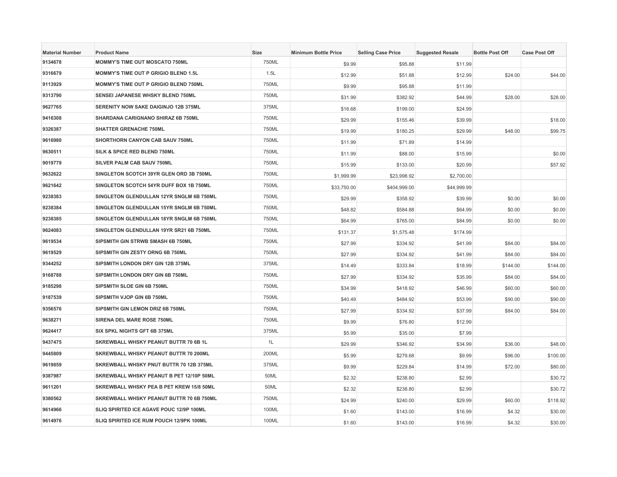| <b>Material Number</b> | <b>Product Name</b>                          | <b>Size</b> | <b>Minimum Bottle Price</b> | <b>Selling Case Price</b> | <b>Suggested Resale</b> | <b>Bottle Post Off</b> | <b>Case Post Off</b> |
|------------------------|----------------------------------------------|-------------|-----------------------------|---------------------------|-------------------------|------------------------|----------------------|
| 9134678                | <b>MOMMY'S TIME OUT MOSCATO 750ML</b>        | 750ML       | \$9.99                      | \$95.88                   | \$11.99                 |                        |                      |
| 9316679                | MOMMY'S TIME OUT P GRIGIO BLEND 1.5L         | 1.5L        | \$12.99                     | \$51.88                   | \$12.99                 | \$24.00                | \$44.00              |
| 9113929                | <b>MOMMY'S TIME OUT P GRIGIO BLEND 750ML</b> | 750ML       | \$9.99                      | \$95.88                   | \$11.99                 |                        |                      |
| 9313790                | SENSEI JAPANESE WHSKY BLEND 750ML            | 750ML       | \$31.99                     | \$382.92                  | \$44.99                 | \$28.00                | \$28.00              |
| 9627765                | SERENITY NOW SAKE DAIGINJO 12B 375ML         | 375ML       | \$16.68                     | \$199.00                  | \$24.99                 |                        |                      |
| 9416308                | <b>SHARDANA CARIGNANO SHIRAZ 6B 750ML</b>    | 750ML       | \$29.99                     | \$155.46                  | \$39.99                 |                        | \$18.00              |
| 9326387                | <b>SHATTER GRENACHE 750ML</b>                | 750ML       | \$19.99                     | \$180.25                  | \$29.99                 | \$48.00                | \$99.75              |
| 9616980                | SHORTHORN CANYON CAB SAUV 750ML              | 750ML       | \$11.99                     | \$71.89                   | \$14.99                 |                        |                      |
| 9630511                | SILK & SPICE RED BLEND 750ML                 | 750ML       | \$11.99                     | \$88,00                   | \$15.99                 |                        | \$0.00               |
| 9019779                | SILVER PALM CAB SAUV 750ML                   | 750ML       | \$15.99                     | \$133.00                  | \$20.99                 |                        | \$57.92              |
| 9632622                | SINGLETON SCOTCH 39YR GLEN ORD 3B 750ML      | 750ML       | \$1,999.99                  | \$23,998.92               | \$2,700.00              |                        |                      |
| 9621642                | SINGLETON SCOTCH 54YR DUFF BOX 1B 750ML      | 750ML       | \$33,750.00                 | \$404,999.00              | \$44,999.99             |                        |                      |
| 9238383                | SINGLETON GLENDULLAN 12YR SNGLM 6B 750ML     | 750ML       | \$29.99                     | \$358.92                  | \$39.99                 | \$0.00                 | \$0.00               |
| 9238384                | SINGLETON GLENDULLAN 15YR SNGLM 6B 750ML     | 750ML       | \$48.82                     | \$584.88                  | \$64.99                 | \$0.00                 | \$0.00               |
| 9238385                | SINGLETON GLENDULLAN 18YR SNGLM 6B 750ML     | 750ML       | \$64.99                     | \$765.00                  | \$84.99                 | \$0.00                 | \$0.00               |
| 9624083                | SINGLETON GLENDULLAN 19YR SR21 6B 750ML      | 750ML       | \$131.37                    | \$1,575.48                | \$174.99                |                        |                      |
| 9619534                | SIPSMITH GIN STRWB SMASH 6B 750ML            | 750ML       | \$27.99                     | \$334.92                  | \$41.99                 | \$84.00                | \$84.00              |
| 9619529                | SIPSMITH GIN ZESTY ORNG 6B 750ML             | 750ML       | \$27.99                     | \$334.92                  | \$41.99                 | \$84.00                | \$84.00              |
| 9344252                | SIPSMITH LONDON DRY GIN 12B 375ML            | 375ML       | \$14.49                     | \$333.84                  | \$18.99                 | \$144.00               | \$144.00             |
| 9168788                | SIPSMITH LONDON DRY GIN 6B 750ML             | 750ML       | \$27.99                     | \$334.92                  | \$35.99                 | \$84.00                | \$84.00              |
| 9185298                | SIPSMITH SLOE GIN 6B 750ML                   | 750ML       | \$34.99                     | \$418.92                  | \$46.99                 | \$60.00                | \$60.00              |
| 9187539                | SIPSMITH VJOP GIN 6B 750ML                   | 750ML       | \$40.49                     | \$484.92                  | \$53.99                 | \$90.00                | \$90.00              |
| 9356576                | SIPSMITH GIN LEMON DRIZ 6B 750ML             | 750ML       | \$27.99                     | \$334.92                  | \$37.99                 | \$84.00                | \$84.00              |
| 9638271                | SIRENA DEL MARE ROSE 750ML                   | 750ML       | \$9.99                      | \$76.80                   | \$12.99                 |                        |                      |
| 9624417                | SIX SPKL NIGHTS GFT 6B 375ML                 | 375ML       | \$5.99                      | \$35.00                   | \$7.99                  |                        |                      |
| 9437475                | SKREWBALL WHSKY PEANUT BUTTR 70 6B 1L        | 1L          | \$29.99                     | \$346.92                  | \$34.99                 | \$36.00                | \$48.00              |
| 9445809                | SKREWBALL WHSKY PEANUT BUTTR 70 200ML        | 200ML       | \$5.99                      | \$279.68                  | \$9.99                  | \$96.00                | \$100.00             |
| 9619859                | SKREWBALL WHSKY PNUT BUTTR 70 12B 375ML      | 375ML       | \$9.99                      | \$229.84                  | \$14.99                 | \$72.00                | \$80.00              |
| 9387987                | SKREWBALL WHSKY PEANUT B PET 12/10P 50ML     | 50ML        | \$2.32                      | \$238.80                  | \$2.99                  |                        | \$30.72              |
| 9611201                | SKREWBALL WHSKY PEA B PET KREW 15/8 50ML     | 50ML        | \$2.32                      | \$238.80                  | \$2.99                  |                        | \$30.72              |
| 9380562                | SKREWBALL WHSKY PEANUT BUTTR 70 6B 750ML     | 750ML       | \$24.99                     | \$240.00                  | \$29.99                 | \$60.00                | \$118.92             |
| 9614966                | SLIQ SPIRITED ICE AGAVE POUC 12/9P 100ML     | 100ML       | \$1.60                      | \$143.00                  | \$16.99                 | \$4.32                 | \$30.00              |
| 9614976                | SLIQ SPIRITED ICE RUM POUCH 12/9PK 100ML     | 100ML       | \$1.60                      | \$143.00                  | \$16.99                 | \$4.32                 | \$30.00              |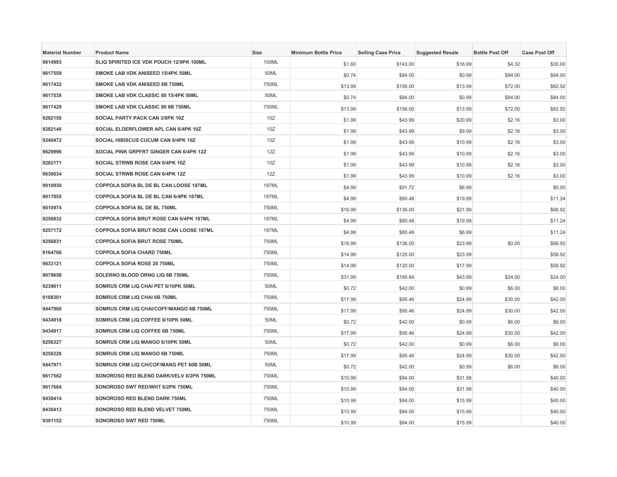| <b>Material Number</b> | <b>Product Name</b>                            | <b>Size</b>  | <b>Minimum Bottle Price</b> | <b>Selling Case Price</b> | <b>Suggested Resale</b> | <b>Bottle Post Off</b> | <b>Case Post Off</b> |
|------------------------|------------------------------------------------|--------------|-----------------------------|---------------------------|-------------------------|------------------------|----------------------|
| 9614993                | SLIQ SPIRITED ICE VDK POUCH 12/9PK 100ML       | 100ML        | \$1.60                      | \$143.00                  | \$16.99                 | \$4.32                 | \$30.00              |
| 9617559                | SMOKE LAB VDK ANISEED 15/4PK 50ML              | 50ML         | \$0.74                      | \$84.00                   | \$0.99                  | \$84.00                | \$84.00              |
| 9617432                | SMOKE LAB VDK ANISEED 6B 750ML                 | 750ML        | \$13.99                     | \$156.00                  | \$13.99                 | \$72.00                | \$82.92              |
| 9617538                | SMOKE LAB VDK CLASSIC 80 15/4PK 50ML           | 50ML         | \$0.74                      | \$84.00                   | \$0.99                  | \$84.00                | \$84.00              |
| 9617429                | SMOKE LAB VDK CLASSIC 80 6B 750ML              | 750ML        | \$13.99                     | \$156.00                  | \$13.99                 | \$72.00                | \$82.92              |
| 9282150                | SOCIAL PARTY PACK CAN 3/8PK 10Z                | 10Z          | \$1.99                      | \$43.99                   | \$20.99                 | \$2.16                 | \$3.00               |
| 9282146                | SOCIAL ELDERFLOWER APL CAN 6/4PK 10Z           | 10Z          | \$1.99                      | \$43.99                   | \$9.99                  | \$2.16                 | \$3.00               |
| 9240472                | SOCIAL HIBISCUS CUCUM CAN 6/4PK 10Z            | 10Z          | \$1.99                      | \$43.99                   | \$10.99                 | \$2.16                 | \$3.00               |
| 9629996                | SOCIAL PINK GRPFRT GINGER CAN 6/4PK 12Z        | 12Z          | \$1.99                      | \$43.99                   | \$10.99                 | \$2.16                 | \$3.00               |
| 9282171                | SOCIAL STRWB ROSE CAN 6/4PK 10Z                | 10Z          | \$1.99                      | \$43.99                   | \$10.99                 | \$2.16                 | \$3.00               |
| 9630034                | SOCIAL STRWB ROSE CAN 6/4PK 12Z                | 12Z          | \$1.99                      | \$43.99                   | \$10.99                 | \$2.16                 | \$3.00               |
| 9010930                | COPPOLA SOFIA BL DE BL CAN LOOSE 187ML         | <b>187ML</b> | \$4.99                      | \$91.72                   | \$6.99                  |                        | \$0.00               |
| 9017855                | COPPOLA SOFIA BL DE BL CAN 6/4PK 187ML         | <b>187ML</b> | \$4.99                      | \$80.48                   | \$19.99                 |                        | \$11.24              |
| 9010974                | COPPOLA SOFIA BL DE BL 750ML                   | 750ML        | \$16.99                     | \$136.00                  | \$21.99                 |                        | \$66.92              |
| 9256832                | <b>COPPOLA SOFIA BRUT ROSE CAN 6/4PK 187ML</b> | <b>187ML</b> | \$4.99                      | \$80.48                   | \$19.99                 |                        | \$11.24              |
| 9257172                | COPPOLA SOFIA BRUT ROSE CAN LOOSE 187ML        | <b>187ML</b> | \$4.99                      | \$80.48                   | \$6.99                  |                        | \$11.24              |
| 9256831                | COPPOLA SOFIA BRUT ROSE 750ML                  | 750ML        | \$16.99                     | \$136.00                  | \$23.99                 | \$0.00                 | \$66.92              |
| 9164706                | <b>COPPOLA SOFIA CHARD 750ML</b>               | 750ML        | \$14.99                     | \$120.00                  | \$23.99                 |                        | \$58.92              |
| 9633121                | COPPOLA SOFIA ROSE 20 750ML                    | 750ML        | \$14.99                     | \$120.00                  | \$17.99                 |                        | \$58.92              |
| 9079658                | SOLERNO BLOOD ORNG LIQ 6B 750ML                | 750ML        | \$31.99                     | \$185.84                  | \$43.99                 | \$24.00                | \$24.00              |
| 9239011                | SOMRUS CRM LIQ CHAI PET 6/10PK 50ML            | 50ML         | \$0.72                      | \$42.00                   | \$0.99                  | \$6.00                 | \$6.00               |
| 9188301                | SOMRUS CRM LIQ CHAI 6B 750ML                   | 750ML        | \$17.99                     | \$95.46                   | \$24.99                 | \$30.00                | \$42.00              |
| 9447960                | SOMRUS CRM LIQ CHAI/COFF/MANGO 6B 750ML        | 750ML        | \$17.99                     | \$95.46                   | \$24.99                 | \$30.00                | \$42.00              |
| 9434918                | SOMRUS CRM LIQ COFFEE 6/10PK 50ML              | 50ML         | \$0.72                      | \$42.00                   | \$0.99                  | \$6.00                 | \$6.00               |
| 9434917                | SOMRUS CRM LIQ COFFEE 6B 750ML                 | 750ML        | \$17.99                     | \$95.46                   | \$24.99                 | \$30.00                | \$42.00              |
| 9256327                | SOMRUS CRM LIQ MANGO 6/10PK 50ML               | 50ML         | \$0.72                      | \$42.00                   | \$0.99                  | \$6.00                 | \$6.00               |
| 9256326                | SOMRUS CRM LIQ MANGO 6B 750ML                  | 750ML        | \$17.99                     | \$95.46                   | \$24.99                 | \$30.00                | \$42.00              |
| 9447971                | SOMRUS CRM LIQ CH/COF/MANG PET 60B 50ML        | 50ML         | \$0.72                      | \$42.00                   | \$0.99                  | \$6.00                 | \$6.00               |
| 9617562                | SONOROSO RED BLEND DARK/VELV 6/2PK 750ML       | 750ML        | \$10.99                     | \$84.00                   | \$31.98                 |                        | \$40.00              |
| 9617684                | SONOROSO SWT RED/WHT 6/2PK 750ML               | 750ML        | \$10.99                     | \$84.00                   | \$31.98                 |                        | \$40.00              |
| 9430414                | SONOROSO RED BLEND DARK 750ML                  | 750ML        | \$10.99                     | \$84.00                   | \$15.99                 |                        | \$40.00              |
| 9430413                | SONOROSO RED BLEND VELVET 750ML                | 750ML        | \$10.99                     | \$84.00                   | \$15.99                 |                        | \$40.00              |
| 9391152                | SONOROSO SWT RED 750ML                         | 750ML        | \$10.99                     | \$84.00                   | \$15.99                 |                        | \$40.00              |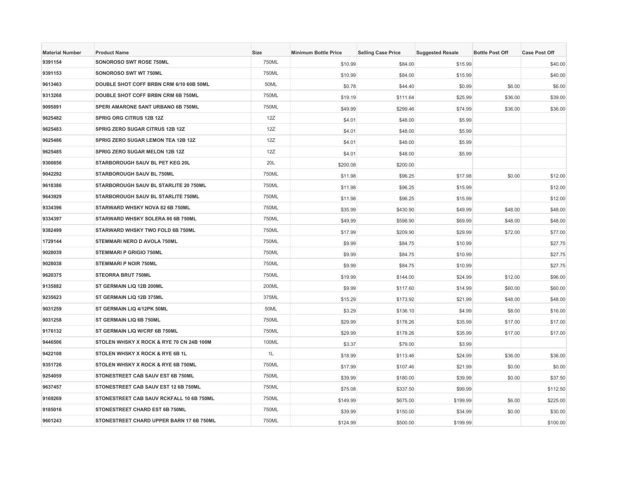| <b>Material Number</b> | <b>Product Name</b>                      | <b>Size</b> | <b>Minimum Bottle Price</b> | <b>Selling Case Price</b> | <b>Suggested Resale</b> | <b>Bottle Post Off</b> | <b>Case Post Off</b> |
|------------------------|------------------------------------------|-------------|-----------------------------|---------------------------|-------------------------|------------------------|----------------------|
| 9391154                | SONOROSO SWT ROSE 750ML                  | 750ML       | \$10.99                     | \$84.00                   | \$15.99                 |                        | \$40.00              |
| 9391153                | SONOROSO SWT WT 750ML                    | 750ML       | \$10.99                     | \$84.00                   | \$15.99                 |                        | \$40.00              |
| 9613463                | DOUBLE SHOT COFF BRBN CRM 6/10 60B 50ML  | 50ML        | \$0.78                      | \$44.40                   | \$0.99                  | \$6.00                 | \$6.00               |
| 9313268                | DOUBLE SHOT COFF BRBN CRM 6B 750ML       | 750ML       | \$19.19                     | \$111.64                  | \$25.99                 | \$36.00                | \$39.00              |
| 9095891                | SPERI AMARONE SANT URBANO 6B 750ML       | 750ML       | \$49.99                     | \$299.46                  | \$74.99                 | \$36.00                | \$36.00              |
| 9625482                | <b>SPRIG ORG CITRUS 12B 12Z</b>          | 12Z         | \$4.01                      | \$48.00                   | \$5.99                  |                        |                      |
| 9625483                | SPRIG ZERO SUGAR CITRUS 12B 12Z          | 12Z         | \$4.01                      | \$48.00                   | \$5.99                  |                        |                      |
| 9625486                | SPRIG ZERO SUGAR LEMON TEA 12B 12Z       | 12Z         | \$4.01                      | \$48.00                   | \$5.99                  |                        |                      |
| 9625485                | SPRIG ZERO SUGAR MELON 12B 12Z           | 12Z         | \$4.01                      | \$48.00                   | \$5.99                  |                        |                      |
| 9300856                | STARBOROUGH SAUV BL PET KEG 20L          | 20L         | \$200.08                    | \$200.00                  |                         |                        |                      |
| 9042292                | STARBOROUGH SAUV BL 750ML                | 750ML       | \$11.98                     | \$96.25                   | \$17.98                 | \$0.00                 | \$12.00              |
| 9618386                | STARBOROUGH SAUV BL STARLITE 20 750ML    | 750ML       | \$11.98                     | \$96.25                   | \$15.99                 |                        | \$12.00              |
| 9643929                | STARBOROUGH SAUV BL STARLITE 750ML       | 750ML       | \$11.98                     | \$96.25                   | \$15.99                 |                        | \$12.00              |
| 9334396                | STARWARD WHSKY NOVA 82 6B 750ML          | 750ML       | \$35.99                     | \$430.90                  | \$49.99                 | \$48.00                | \$48.00              |
| 9334397                | STARWARD WHSKY SOLERA 86 6B 750ML        | 750ML       | \$49.99                     | \$598.90                  | \$69.99                 | \$48.00                | \$48.00              |
| 9382499                | STARWARD WHSKY TWO FOLD 6B 750ML         | 750ML       | \$17.99                     | \$209.90                  | \$29.99                 | \$72.00                | \$77.00              |
| 1729144                | STEMMARI NERO D AVOLA 750ML              | 750ML       | \$9.99                      | \$84.75                   | \$10.99                 |                        | \$27.75              |
| 9028039                | <b>STEMMARI P GRIGIO 750ML</b>           | 750ML       | \$9.99                      | \$84.75                   | \$10.99                 |                        | \$27.75              |
| 9028038                | <b>STEMMARI P NOIR 750ML</b>             | 750ML       | \$9.99                      | \$84.75                   | \$10.99                 |                        | \$27.75              |
| 9620375                | <b>STEORRA BRUT 750ML</b>                | 750ML       | \$19.99                     | \$144.00                  | \$24.99                 | \$12.00                | \$96.00              |
| 9135882                | ST GERMAIN LIQ 12B 200ML                 | 200ML       | \$9.99                      | \$117.60                  | \$14.99                 | \$60.00                | \$60.00              |
| 9235623                | ST GERMAIN LIQ 12B 375ML                 | 375ML       | \$15.29                     | \$173.92                  | \$21.99                 | \$48.00                | \$48.00              |
| 9031259                | ST GERMAIN LIQ 4/12PK 50ML               | 50ML        | \$3.29                      | \$136.10                  | \$4.99                  | \$8.00                 | \$16.00              |
| 9031258                | ST GERMAIN LIQ 6B 750ML                  | 750ML       | \$29.99                     | \$178.26                  | \$35.99                 | \$17.00                | \$17.00              |
| 9176132                | ST GERMAIN LIQ W/CRF 6B 750ML            | 750ML       | \$29.99                     | \$178.26                  | \$35.99                 | \$17.00                | \$17.00              |
| 9446506                | STOLEN WHSKY X ROCK & RYE 70 CN 24B 100M | 100ML       | \$3.37                      | \$79.00                   | \$3.99                  |                        |                      |
| 9422108                | STOLEN WHSKY X ROCK & RYE 6B 1L          | 1L          | \$18.99                     | \$113.46                  | \$24.99                 | \$36.00                | \$36.00              |
| 9351726                | STOLEN WHSKY X ROCK & RYE 6B 750ML       | 750ML       | \$17.99                     | \$107.46                  | \$21.99                 | \$0.00                 | \$0.00               |
| 9254059                | STONESTREET CAB SAUV EST 6B 750ML        | 750ML       | \$39.99                     | \$180.00                  | \$39.99                 | \$0.00                 | \$37.50              |
| 9637457                | STONESTREET CAB SAUV EST 12 6B 750ML     | 750ML       | \$75.08                     | \$337.50                  | \$99.99                 |                        | \$112.50             |
| 9169269                | STONESTREET CAB SAUV RCKFALL 10 6B 750ML | 750ML       | \$149.99                    | \$675.00                  | \$199.99                | \$6.00                 | \$225.00             |
| 9185016                | STONESTREET CHARD EST 6B 750ML           | 750ML       | \$39.99                     | \$150.00                  | \$34.99                 | \$0.00                 | \$30.00              |
| 9601243                | STONESTREET CHARD UPPER BARN 17 6B 750ML | 750ML       | \$124.99                    | \$500.00                  | \$199.99                |                        | \$100.00             |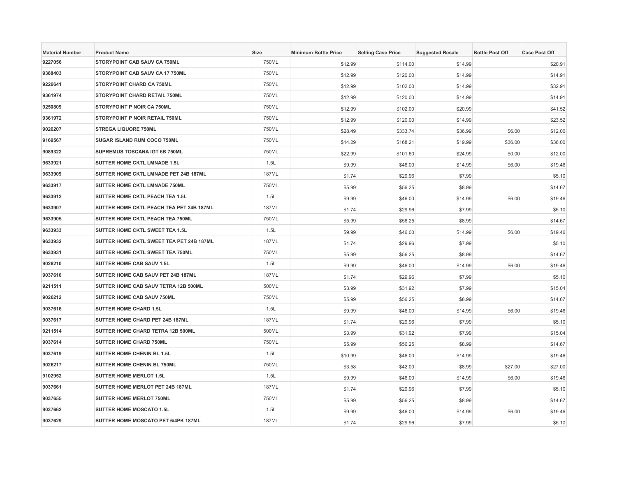| <b>Material Number</b> | <b>Product Name</b>                      | Size         | <b>Minimum Bottle Price</b> | <b>Selling Case Price</b> | <b>Suggested Resale</b> | <b>Bottle Post Off</b> | <b>Case Post Off</b> |
|------------------------|------------------------------------------|--------------|-----------------------------|---------------------------|-------------------------|------------------------|----------------------|
| 9227056                | STORYPOINT CAB SAUV CA 750ML             | 750ML        | \$12.99                     | \$114.00                  | \$14.99                 |                        | \$20.91              |
| 9388403                | STORYPOINT CAB SAUV CA 17 750ML          | 750ML        | \$12.99                     | \$120.00                  | \$14.99                 |                        | \$14.91              |
| 9226641                | STORYPOINT CHARD CA 750ML                | 750ML        | \$12.99                     | \$102.00                  | \$14.99                 |                        | \$32.91              |
| 9361974                | STORYPOINT CHARD RETAIL 750ML            | 750ML        | \$12.99                     | \$120.00                  | \$14.99                 |                        | \$14.91              |
| 9250809                | STORYPOINT P NOIR CA 750ML               | 750ML        | \$12.99                     | \$102.00                  | \$20.99                 |                        | \$41.52              |
| 9361972                | STORYPOINT P NOIR RETAIL 750ML           | 750ML        | \$12.99                     | \$120.00                  | \$14.99                 |                        | \$23.52              |
| 9026207                | <b>STREGA LIQUORE 750ML</b>              | 750ML        | \$28.49                     | \$333.74                  | \$36.99                 | \$6.00                 | \$12.00              |
| 9169567                | SUGAR ISLAND RUM COCO 750ML              | 750ML        | \$14.29                     | \$168.21                  | \$19.99                 | \$36.00                | \$36.00              |
| 9089322                | SUPREMUS TOSCANA IGT 6B 750ML            | 750ML        | \$22.99                     | \$101.60                  | \$24.99                 | \$0.00                 | \$12.00              |
| 9633921                | SUTTER HOME CKTL LMNADE 1.5L             | 1.5L         | \$9.99                      | \$46.00                   | \$14.99                 | \$6.00                 | \$19.46              |
| 9633909                | SUTTER HOME CKTL LMNADE PET 24B 187ML    | <b>187ML</b> | \$1.74                      | \$29.96                   | \$7.99                  |                        | \$5.10               |
| 9633917                | SUTTER HOME CKTL LMNADE 750ML            | 750ML        | \$5.99                      | \$56.25                   | \$8.99                  |                        | \$14.67              |
| 9633912                | SUTTER HOME CKTL PEACH TEA 1.5L          | 1.5L         | \$9.99                      | \$46.00                   | \$14.99                 | \$6.00                 | \$19.46              |
| 9633907                | SUTTER HOME CKTL PEACH TEA PET 24B 187ML | <b>187ML</b> | \$1.74                      | \$29.96                   | \$7.99                  |                        | \$5.10               |
| 9633905                | SUTTER HOME CKTL PEACH TEA 750ML         | 750ML        | \$5.99                      | \$56.25                   | \$8.99                  |                        | \$14.67              |
| 9633933                | SUTTER HOME CKTL SWEET TEA 1.5L          | 1.5L         | \$9.99                      | \$46.00                   | \$14.99                 | \$6.00                 | \$19.46              |
| 9633932                | SUTTER HOME CKTL SWEET TEA PET 24B 187ML | <b>187ML</b> | \$1.74                      | \$29.96                   | \$7.99                  |                        | \$5.10               |
| 9633931                | SUTTER HOME CKTL SWEET TEA 750ML         | 750ML        | \$5.99                      | \$56.25                   | \$8.99                  |                        | \$14.67              |
| 9026210                | <b>SUTTER HOME CAB SAUV 1.5L</b>         | 1.5L         | \$9.99                      | \$46.00                   | \$14.99                 | \$6.00                 | \$19.46              |
| 9037610                | SUTTER HOME CAB SAUV PET 24B 187ML       | <b>187ML</b> | \$1.74                      | \$29.96                   | \$7.99                  |                        | \$5.10               |
| 9211511                | SUTTER HOME CAB SAUV TETRA 12B 500ML     | 500ML        | \$3.99                      | \$31.92                   | \$7.99                  |                        | \$15.04              |
| 9026212                | SUTTER HOME CAB SAUV 750ML               | 750ML        | \$5.99                      | \$56.25                   | \$8.99                  |                        | \$14.67              |
| 9037616                | <b>SUTTER HOME CHARD 1.5L</b>            | 1.5L         | \$9.99                      | \$46.00                   | \$14.99                 | \$6.00                 | \$19.46              |
| 9037617                | SUTTER HOME CHARD PET 24B 187ML          | <b>187ML</b> | \$1.74                      | \$29.96                   | \$7.99                  |                        | \$5.10               |
| 9211514                | SUTTER HOME CHARD TETRA 12B 500ML        | 500ML        | \$3.99                      | \$31.92                   | \$7.99                  |                        | \$15.04              |
| 9037614                | SUTTER HOME CHARD 750ML                  | 750ML        | \$5.99                      | \$56.25                   | \$8.99                  |                        | \$14.67              |
| 9037619                | <b>SUTTER HOME CHENIN BL 1.5L</b>        | 1.5L         | \$10.99                     | \$46.00                   | \$14.99                 |                        | \$19.46              |
| 9026217                | SUTTER HOME CHENIN BL 750ML              | 750ML        | \$3.58                      | \$42.00                   | \$8.99                  | \$27.00                | \$27.00              |
| 9102952                | <b>SUTTER HOME MERLOT 1.5L</b>           | 1.5L         | \$9.99                      | \$46.00                   | \$14.99                 | \$6.00                 | \$19.46              |
| 9037661                | SUTTER HOME MERLOT PET 24B 187ML         | <b>187ML</b> | \$1.74                      | \$29.96                   | \$7.99                  |                        | \$5.10               |
| 9037655                | SUTTER HOME MERLOT 750ML                 | 750ML        | \$5.99                      | \$56.25                   | \$8.99                  |                        | \$14.67              |
| 9037662                | <b>SUTTER HOME MOSCATO 1.5L</b>          | 1.5L         | \$9.99                      | \$46.00                   | \$14.99                 | \$6.00                 | \$19.46              |
| 9037629                | SUTTER HOME MOSCATO PET 6/4PK 187ML      | <b>187ML</b> | \$1.74                      | \$29.96                   | \$7.99                  |                        | \$5.10               |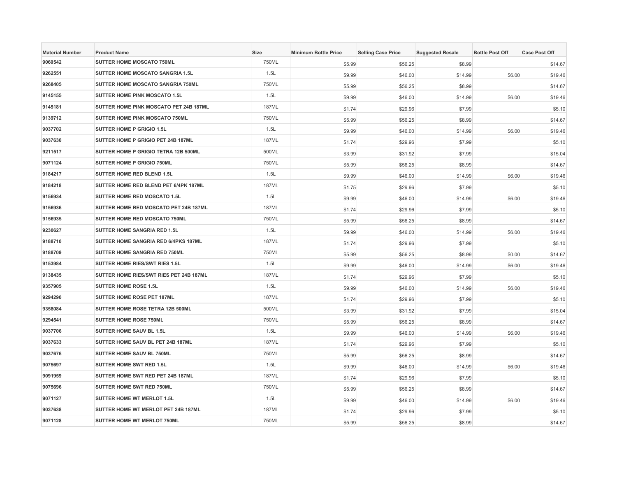| <b>Material Number</b> | <b>Product Name</b>                     | Size         | <b>Minimum Bottle Price</b> | <b>Selling Case Price</b> | <b>Suggested Resale</b> | <b>Bottle Post Off</b> | <b>Case Post Off</b> |
|------------------------|-----------------------------------------|--------------|-----------------------------|---------------------------|-------------------------|------------------------|----------------------|
| 9060542                | SUTTER HOME MOSCATO 750ML               | 750ML        | \$5.99                      | \$56.25                   | \$8.99                  |                        | \$14.67              |
| 9262551                | <b>SUTTER HOME MOSCATO SANGRIA 1.5L</b> | 1.5L         | \$9.99                      | \$46.00                   | \$14.99                 | \$6.00                 | \$19.46              |
| 9268405                | SUTTER HOME MOSCATO SANGRIA 750ML       | 750ML        | \$5.99                      | \$56.25                   | \$8.99                  |                        | \$14.67              |
| 9145155                | SUTTER HOME PINK MOSCATO 1.5L           | 1.5L         | \$9.99                      | \$46.00                   | \$14.99                 | \$6.00                 | \$19.46              |
| 9145181                | SUTTER HOME PINK MOSCATO PET 24B 187ML  | 187ML        | \$1.74                      | \$29.96                   | \$7.99                  |                        | \$5.10               |
| 9139712                | <b>SUTTER HOME PINK MOSCATO 750ML</b>   | 750ML        | \$5.99                      | \$56.25                   | \$8.99                  |                        | \$14.67              |
| 9037702                | <b>SUTTER HOME P GRIGIO 1.5L</b>        | 1.5L         | \$9.99                      | \$46.00                   | \$14.99                 | \$6.00                 | \$19.46              |
| 9037630                | SUTTER HOME P GRIGIO PET 24B 187ML      | 187ML        | \$1.74                      | \$29.96                   | \$7.99                  |                        | \$5.10               |
| 9211517                | SUTTER HOME P GRIGIO TETRA 12B 500ML    | 500ML        | \$3.99                      | \$31.92                   | \$7.99                  |                        | \$15.04              |
| 9071124                | SUTTER HOME P GRIGIO 750ML              | 750ML        | \$5.99                      | \$56.25                   | \$8.99                  |                        | \$14.67              |
| 9184217                | SUTTER HOME RED BLEND 1.5L              | 1.5L         | \$9.99                      | \$46.00                   | \$14.99                 | \$6.00                 | \$19.46              |
| 9184218                | SUTTER HOME RED BLEND PET 6/4PK 187ML   | <b>187ML</b> | \$1.75                      | \$29.96                   | \$7.99                  |                        | \$5.10               |
| 9156934                | SUTTER HOME RED MOSCATO 1.5L            | 1.5L         | \$9.99                      | \$46.00                   | \$14.99                 | \$6.00                 | \$19.46              |
| 9156936                | SUTTER HOME RED MOSCATO PET 24B 187ML   | <b>187ML</b> | \$1.74                      | \$29.96                   | \$7.99                  |                        | \$5.10               |
| 9156935                | SUTTER HOME RED MOSCATO 750ML           | 750ML        | \$5.99                      | \$56.25                   | \$8.99                  |                        | \$14.67              |
| 9230627                | SUTTER HOME SANGRIA RED 1.5L            | 1.5L         | \$9.99                      | \$46.00                   | \$14.99                 | \$6.00                 | \$19.46              |
| 9188710                | SUTTER HOME SANGRIA RED 6/4PKS 187ML    | <b>187ML</b> | \$1.74                      | \$29.96                   | \$7.99                  |                        | \$5.10               |
| 9188709                | SUTTER HOME SANGRIA RED 750ML           | 750ML        | \$5.99                      | \$56.25                   | \$8.99                  | \$0.00                 | \$14.67              |
| 9153984                | SUTTER HOME RIES/SWT RIES 1.5L          | 1.5L         | \$9.99                      | \$46.00                   | \$14.99                 | \$6.00                 | \$19.46              |
| 9138435                | SUTTER HOME RIES/SWT RIES PET 24B 187ML | <b>187ML</b> | \$1.74                      | \$29.96                   | \$7.99                  |                        | \$5.10               |
| 9357905                | SUTTER HOME ROSE 1.5L                   | 1.5L         | \$9.99                      | \$46.00                   | \$14.99                 | \$6.00                 | \$19.46              |
| 9294290                | SUTTER HOME ROSE PET 187ML              | <b>187ML</b> | \$1.74                      | \$29.96                   | \$7.99                  |                        | \$5.10               |
| 9358084                | SUTTER HOME ROSE TETRA 12B 500ML        | 500ML        | \$3.99                      | \$31.92                   | \$7.99                  |                        | \$15.04              |
| 9294541                | <b>SUTTER HOME ROSE 750ML</b>           | 750ML        | \$5.99                      | \$56.25                   | \$8.99                  |                        | \$14.67              |
| 9037706                | SUTTER HOME SAUV BL 1.5L                | 1.5L         | \$9.99                      | \$46.00                   | \$14.99                 | \$6.00                 | \$19.46              |
| 9037633                | SUTTER HOME SAUV BL PET 24B 187ML       | <b>187ML</b> | \$1.74                      | \$29.96                   | \$7.99                  |                        | \$5.10               |
| 9037676                | SUTTER HOME SAUV BL 750ML               | 750ML        | \$5.99                      | \$56.25                   | \$8.99                  |                        | \$14.67              |
| 9075697                | SUTTER HOME SWT RED 1.5L                | 1.5L         | \$9.99                      | \$46.00                   | \$14.99                 | \$6.00                 | \$19.46              |
| 9091959                | SUTTER HOME SWT RED PET 24B 187ML       | <b>187ML</b> | \$1.74                      | \$29.96                   | \$7.99                  |                        | \$5.10               |
| 9075696                | SUTTER HOME SWT RED 750ML               | 750ML        | \$5.99                      | \$56.25                   | \$8.99                  |                        | \$14.67              |
| 9071127                | SUTTER HOME WT MERLOT 1.5L              | 1.5L         | \$9.99                      | \$46.00                   | \$14.99                 | \$6.00                 | \$19.46              |
| 9037638                | SUTTER HOME WT MERLOT PET 24B 187ML     | <b>187ML</b> | \$1.74                      | \$29.96                   | \$7.99                  |                        | \$5.10               |
| 9071128                | SUTTER HOME WT MERLOT 750ML             | 750ML        | \$5.99                      | \$56.25                   | \$8.99                  |                        | \$14.67              |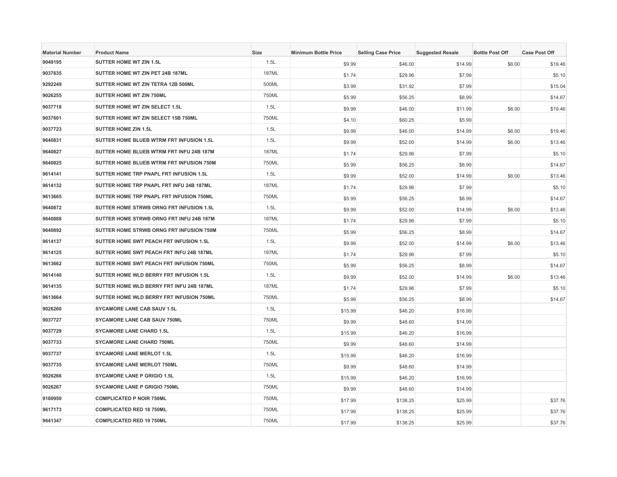| <b>Material Number</b> | <b>Product Name</b>                      | <b>Size</b>  | <b>Minimum Bottle Price</b> | <b>Selling Case Price</b> | <b>Suggested Resale</b> | <b>Bottle Post Off</b> | <b>Case Post Off</b> |
|------------------------|------------------------------------------|--------------|-----------------------------|---------------------------|-------------------------|------------------------|----------------------|
| 9049195                | <b>SUTTER HOME WT ZIN 1.5L</b>           | 1.5L         | \$9.99                      | \$46.00                   | \$14.99                 | \$6.00                 | \$19.46              |
| 9037635                | SUTTER HOME WT ZIN PET 24B 187ML         | <b>187ML</b> | \$1.74                      | \$29.96                   | \$7.99                  |                        | \$5.10               |
| 9292249                | SUTTER HOME WT ZIN TETRA 12B 500ML       | 500ML        | \$3.99                      | \$31.92                   | \$7.99                  |                        | \$15.04              |
| 9026255                | SUTTER HOME WT ZIN 750ML                 | 750ML        | \$5.99                      | \$56.25                   | \$8.99                  |                        | \$14.67              |
| 9037718                | SUTTER HOME WT ZIN SELECT 1.5L           | 1.5L         | \$9.99                      | \$46.00                   | \$11.99                 | \$6.00                 | \$19.46              |
| 9037601                | SUTTER HOME WT ZIN SELECT 15B 750ML      | 750ML        | \$4.10                      | \$60.25                   | \$5.99                  |                        |                      |
| 9037723                | <b>SUTTER HOME ZIN 1.5L</b>              | 1.5L         | \$9.99                      | \$46.00                   | \$14.99                 | \$6.00                 | \$19.46              |
| 9640831                | SUTTER HOME BLUEB WTRM FRT INFUSION 1.5L | 1.5L         | \$9.99                      | \$52.00                   | \$14.99                 | \$6.00                 | \$13.46              |
| 9640827                | SUTTER HOME BLUEB WTRM FRT INFU 24B 187M | <b>187ML</b> | \$1.74                      | \$29.96                   | \$7.99                  |                        | \$5.10               |
| 9640825                | SUTTER HOME BLUEB WTRM FRT INFUSION 750M | 750ML        | \$5.99                      | \$56.25                   | \$8.99                  |                        | \$14.67              |
| 9614141                | SUTTER HOME TRP PNAPL FRT INFUSION 1.5L  | 1.5L         | \$9.99                      | \$52.00                   | \$14.99                 | \$6.00                 | \$13.46              |
| 9614132                | SUTTER HOME TRP PNAPL FRT INFU 24B 187ML | <b>187ML</b> | \$1.74                      | \$29.96                   | \$7.99                  |                        | \$5.10               |
| 9613665                | SUTTER HOME TRP PNAPL FRT INFUSION 750ML | 750ML        | \$5.99                      | \$56.25                   | \$8.99                  |                        | \$14.67              |
| 9640872                | SUTTER HOME STRWB ORNG FRT INFUSION 1.5L | 1.5L         | \$9.99                      | \$52.00                   | \$14.99                 | \$6.00                 | \$13.46              |
| 9640888                | SUTTER HOME STRWB ORNG FRT INFU 24B 187M | <b>187ML</b> | \$1.74                      | \$29.96                   | \$7.99                  |                        | \$5.10               |
| 9640892                | SUTTER HOME STRWB ORNG FRT INFUSION 750M | 750ML        | \$5.99                      | \$56.25                   | \$8.99                  |                        | \$14.67              |
| 9614137                | SUTTER HOME SWT PEACH FRT INFUSION 1.5L  | 1.5L         | \$9.99                      | \$52.00                   | \$14.99                 | \$6.00                 | \$13.46              |
| 9614125                | SUTTER HOME SWT PEACH FRT INFU 24B 187ML | <b>187ML</b> | \$1.74                      | \$29.96                   | \$7.99                  |                        | \$5.10               |
| 9613662                | SUTTER HOME SWT PEACH FRT INFUSION 750ML | 750ML        | \$5.99                      | \$56.25                   | \$8.99                  |                        | \$14.67              |
| 9614140                | SUTTER HOME WLD BERRY FRT INFUSION 1.5L  | 1.5L         | \$9.99                      | \$52.00                   | \$14.99                 | \$6.00                 | \$13.46              |
| 9614135                | SUTTER HOME WLD BERRY FRT INFU 24B 187ML | <b>187ML</b> | \$1.74                      | \$29.96                   | \$7.99                  |                        | \$5.10               |
| 9613664                | SUTTER HOME WLD BERRY FRT INFUSION 750ML | 750ML        | \$5.99                      | \$56.25                   | \$8.99                  |                        | \$14.67              |
| 9026260                | <b>SYCAMORE LANE CAB SAUV 1.5L</b>       | 1.5L         | \$15.99                     | \$46.20                   | \$16.99                 |                        |                      |
| 9037727                | SYCAMORE LANE CAB SAUV 750ML             | 750ML        | \$9.99                      | \$48.60                   | \$14.99                 |                        |                      |
| 9037729                | <b>SYCAMORE LANE CHARD 1.5L</b>          | 1.5L         | \$15.99                     | \$46.20                   | \$16.99                 |                        |                      |
| 9037733                | <b>SYCAMORE LANE CHARD 750ML</b>         | 750ML        | \$9.99                      | \$48.60                   | \$14.99                 |                        |                      |
| 9037737                | <b>SYCAMORE LANE MERLOT 1.5L</b>         | 1.5L         | \$15.99                     | \$46.20                   | \$16.99                 |                        |                      |
| 9037735                | <b>SYCAMORE LANE MERLOT 750ML</b>        | 750ML        | \$9.99                      | \$48.60                   | \$14.99                 |                        |                      |
| 9026266                | <b>SYCAMORE LANE P GRIGIO 1.5L</b>       | 1.5L         | \$15.99                     | \$46.20                   | \$16.99                 |                        |                      |
| 9026267                | <b>SYCAMORE LANE P GRIGIO 750ML</b>      | 750ML        | \$9.99                      | \$48.60                   | \$14.99                 |                        |                      |
| 9180950                | <b>COMPLICATED P NOIR 750ML</b>          | 750ML        | \$17.99                     | \$138.25                  | \$25.99                 |                        | \$37.76              |
| 9617173                | <b>COMPLICATED RED 18 750ML</b>          | 750ML        | \$17.99                     | \$138.25                  | \$25.99                 |                        | \$37.76              |
| 9641347                | <b>COMPLICATED RED 19 750ML</b>          | 750ML        | \$17.99                     | \$138.25                  | \$25.99                 |                        | \$37.76              |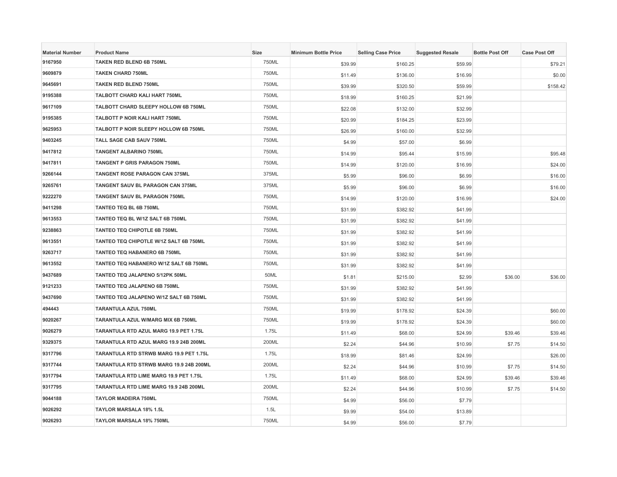| <b>Material Number</b> | <b>Product Name</b>                     | Size  | <b>Minimum Bottle Price</b> | <b>Selling Case Price</b> | <b>Suggested Resale</b> | <b>Bottle Post Off</b> | <b>Case Post Off</b> |
|------------------------|-----------------------------------------|-------|-----------------------------|---------------------------|-------------------------|------------------------|----------------------|
| 9167950                | TAKEN RED BLEND 6B 750ML                | 750ML | \$39.99                     | \$160.25                  | \$59.99                 |                        | \$79.21              |
| 9609879                | <b>TAKEN CHARD 750ML</b>                | 750ML | \$11.49                     | \$136.00                  | \$16.99                 |                        | \$0.00               |
| 9645691                | <b>TAKEN RED BLEND 750ML</b>            | 750ML | \$39.99                     | \$320.50                  | \$59.99                 |                        | \$158.42             |
| 9195388                | TALBOTT CHARD KALI HART 750ML           | 750ML | \$18.99                     | \$160.25                  | \$21.99                 |                        |                      |
| 9617109                | TALBOTT CHARD SLEEPY HOLLOW 6B 750ML    | 750ML | \$22.08                     | \$132.00                  | \$32.99                 |                        |                      |
| 9195385                | TALBOTT P NOIR KALI HART 750ML          | 750ML | \$20.99                     | \$184.25                  | \$23.99                 |                        |                      |
| 9625953                | TALBOTT P NOIR SLEEPY HOLLOW 6B 750ML   | 750ML | \$26.99                     | \$160.00                  | \$32.99                 |                        |                      |
| 9403245                | TALL SAGE CAB SAUV 750ML                | 750ML | \$4.99                      | \$57.00                   | \$6.99                  |                        |                      |
| 9417812                | <b>TANGENT ALBARINO 750ML</b>           | 750ML | \$14.99                     | \$95.44                   | \$15.99                 |                        | \$95.48              |
| 9417811                | TANGENT P GRIS PARAGON 750ML            | 750ML | \$14.99                     | \$120.00                  | \$16.99                 |                        | \$24.00              |
| 9266144                | <b>TANGENT ROSE PARAGON CAN 375ML</b>   | 375ML | \$5.99                      | \$96.00                   | \$6.99                  |                        | \$16.00              |
| 9265761                | TANGENT SAUV BL PARAGON CAN 375ML       | 375ML | \$5.99                      | \$96.00                   | \$6.99                  |                        | \$16.00              |
| 9222270                | TANGENT SAUV BL PARAGON 750ML           | 750ML | \$14.99                     | \$120.00                  | \$16.99                 |                        | \$24.00              |
| 9411298                | TANTEO TEQ BL 6B 750ML                  | 750ML | \$31.99                     | \$382.92                  | \$41.99                 |                        |                      |
| 9613553                | TANTEO TEQ BL W/1Z SALT 6B 750ML        | 750ML | \$31.99                     | \$382.92                  | \$41.99                 |                        |                      |
| 9238863                | TANTEO TEQ CHIPOTLE 6B 750ML            | 750ML | \$31.99                     | \$382.92                  | \$41.99                 |                        |                      |
| 9613551                | TANTEO TEQ CHIPOTLE W/1Z SALT 6B 750ML  | 750ML | \$31.99                     | \$382.92                  | \$41.99                 |                        |                      |
| 9263717                | TANTEO TEQ HABANERO 6B 750ML            | 750ML | \$31.99                     | \$382.92                  | \$41.99                 |                        |                      |
| 9613552                | TANTEO TEQ HABANERO W/1Z SALT 6B 750ML  | 750ML | \$31.99                     | \$382.92                  | \$41.99                 |                        |                      |
| 9437689                | TANTEO TEQ JALAPENO 5/12PK 50ML         | 50ML  | \$1.81                      | \$215.00                  | \$2.99                  | \$36.00                | \$36.00              |
| 9121233                | TANTEO TEQ JALAPENO 6B 750ML            | 750ML | \$31.99                     | \$382.92                  | \$41.99                 |                        |                      |
| 9437690                | TANTEO TEQ JALAPENO W/1Z SALT 6B 750ML  | 750ML | \$31.99                     | \$382.92                  | \$41.99                 |                        |                      |
| 494443                 | <b>TARANTULA AZUL 750ML</b>             | 750ML | \$19.99                     | \$178.92                  | \$24.39                 |                        | \$60.00              |
| 9020267                | TARANTULA AZUL W/MARG MIX 6B 750ML      | 750ML | \$19.99                     | \$178.92                  | \$24.39                 |                        | \$60.00              |
| 9026279                | TARANTULA RTD AZUL MARG 19.9 PET 1.75L  | 1.75L | \$11.49                     | \$68.00                   | \$24.99                 | \$39.46                | \$39.46              |
| 9329375                | TARANTULA RTD AZUL MARG 19.9 24B 200ML  | 200ML | \$2.24                      | \$44.96                   | \$10.99                 | \$7.75                 | \$14.50              |
| 9317796                | TARANTULA RTD STRWB MARG 19.9 PET 1.75L | 1.75L | \$18.99                     | \$81.46                   | \$24.99                 |                        | \$26.00              |
| 9317744                | TARANTULA RTD STRWB MARG 19.9 24B 200ML | 200ML | \$2.24                      | \$44.96                   | \$10.99                 | \$7.75                 | \$14.50              |
| 9317794                | TARANTULA RTD LIME MARG 19.9 PET 1.75L  | 1.75L | \$11.49                     | \$68.00                   | \$24.99                 | \$39.46                | \$39.46              |
| 9317795                | TARANTULA RTD LIME MARG 19.9 24B 200ML  | 200ML | \$2.24                      | \$44.96                   | \$10.99                 | \$7.75                 | \$14.50              |
| 9044188                | <b>TAYLOR MADEIRA 750ML</b>             | 750ML | \$4.99                      | \$56.00                   | \$7.79                  |                        |                      |
| 9026292                | <b>TAYLOR MARSALA 18% 1.5L</b>          | 1.5L  | \$9.99                      | \$54.00                   | \$13.89                 |                        |                      |
| 9026293                | TAYLOR MARSALA 18% 750ML                | 750ML | \$4.99                      | \$56.00                   | \$7.79                  |                        |                      |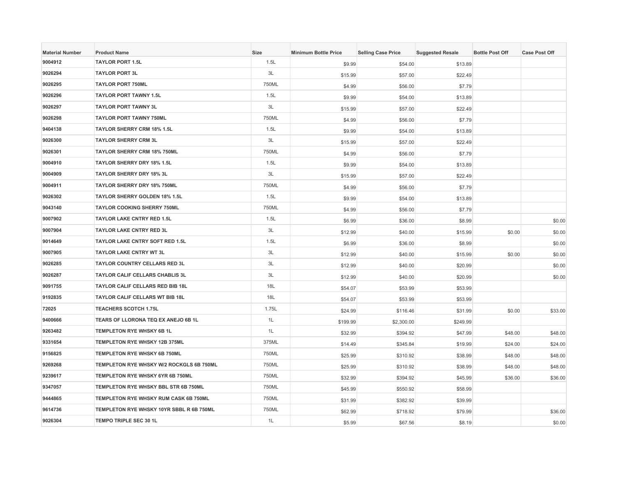| <b>Material Number</b> | <b>Product Name</b>                      | Size  | <b>Minimum Bottle Price</b> | <b>Selling Case Price</b> | <b>Suggested Resale</b> | <b>Bottle Post Off</b> | <b>Case Post Off</b> |
|------------------------|------------------------------------------|-------|-----------------------------|---------------------------|-------------------------|------------------------|----------------------|
| 9004912                | <b>TAYLOR PORT 1.5L</b>                  | 1.5L  | \$9.99                      | \$54.00                   | \$13.89                 |                        |                      |
| 9026294                | <b>TAYLOR PORT 3L</b>                    | 3L    | \$15.99                     | \$57.00                   | \$22.49                 |                        |                      |
| 9026295                | <b>TAYLOR PORT 750ML</b>                 | 750ML | \$4.99                      | \$56.00                   | \$7.79                  |                        |                      |
| 9026296                | <b>TAYLOR PORT TAWNY 1.5L</b>            | 1.5L  | \$9.99                      | \$54.00                   | \$13.89                 |                        |                      |
| 9026297                | <b>TAYLOR PORT TAWNY 3L</b>              | 3L    | \$15.99                     | \$57.00                   | \$22.49                 |                        |                      |
| 9026298                | <b>TAYLOR PORT TAWNY 750ML</b>           | 750ML | \$4.99                      | \$56.00                   | \$7.79                  |                        |                      |
| 9404138                | <b>TAYLOR SHERRY CRM 18% 1.5L</b>        | 1.5L  | \$9.99                      | \$54.00                   | \$13.89                 |                        |                      |
| 9026300                | <b>TAYLOR SHERRY CRM 3L</b>              | 3L    | \$15.99                     | \$57.00                   | \$22.49                 |                        |                      |
| 9026301                | TAYLOR SHERRY CRM 18% 750ML              | 750ML | \$4.99                      | \$56.00                   | \$7.79                  |                        |                      |
| 9004910                | TAYLOR SHERRY DRY 18% 1.5L               | 1.5L  | \$9.99                      | \$54.00                   | \$13.89                 |                        |                      |
| 9004909                | TAYLOR SHERRY DRY 18% 3L                 | 3L    | \$15.99                     | \$57.00                   | \$22.49                 |                        |                      |
| 9004911                | TAYLOR SHERRY DRY 18% 750ML              | 750ML | \$4.99                      | \$56.00                   | \$7.79                  |                        |                      |
| 9026302                | <b>TAYLOR SHERRY GOLDEN 18% 1.5L</b>     | 1.5L  | \$9.99                      | \$54.00                   | \$13.89                 |                        |                      |
| 9043140                | <b>TAYLOR COOKING SHERRY 750ML</b>       | 750ML | \$4.99                      | \$56.00                   | \$7.79                  |                        |                      |
| 9007902                | <b>TAYLOR LAKE CNTRY RED 1.5L</b>        | 1.5L  | \$6.99                      | \$36.00                   | \$8.99                  |                        | \$0.00               |
| 9007904                | TAYLOR LAKE CNTRY RED 3L                 | 3L    | \$12.99                     | \$40.00                   | \$15.99                 | \$0.00                 | \$0.00               |
| 9014649                | TAYLOR LAKE CNTRY SOFT RED 1.5L          | 1.5L  | \$6.99                      | \$36.00                   | \$8.99                  |                        | \$0.00               |
| 9007905                | <b>TAYLOR LAKE CNTRY WT 3L</b>           | 3L    | \$12.99                     | \$40.00                   | \$15.99                 | \$0.00                 | \$0.00               |
| 9026285                | <b>TAYLOR COUNTRY CELLARS RED 3L</b>     | 3L    | \$12.99                     | \$40.00                   | \$20.99                 |                        | \$0.00               |
| 9026287                | TAYLOR CALIF CELLARS CHABLIS 3L          | 3L    | \$12.99                     | \$40.00                   | \$20.99                 |                        | \$0.00               |
| 9091755                | TAYLOR CALIF CELLARS RED BIB 18L         | 18L   | \$54.07                     | \$53.99                   | \$53.99                 |                        |                      |
| 9192835                | <b>TAYLOR CALIF CELLARS WT BIB 18L</b>   | 18L   | \$54.07                     | \$53.99                   | \$53.99                 |                        |                      |
| 72025                  | <b>TEACHERS SCOTCH 1.75L</b>             | 1.75L | \$24.99                     | \$116.46                  | \$31.99                 | \$0.00                 | \$33.00              |
| 9400666                | TEARS OF LLORONA TEQ EX ANEJO 6B 1L      | 1L    | \$199.99                    | \$2,300.00                | \$249.99                |                        |                      |
| 9263482                | TEMPLETON RYE WHSKY 6B 1L                | 1L    | \$32.99                     | \$394.92                  | \$47.99                 | \$48.00                | \$48.00              |
| 9331654                | TEMPLETON RYE WHSKY 12B 375ML            | 375ML | \$14.49                     | \$345.84                  | \$19.99                 | \$24.00                | \$24.00              |
| 9156825                | TEMPLETON RYE WHSKY 6B 750ML             | 750ML | \$25.99                     | \$310.92                  | \$38.99                 | \$48.00                | \$48.00              |
| 9269268                | TEMPLETON RYE WHSKY W/2 ROCKGLS 6B 750ML | 750ML | \$25.99                     | \$310.92                  | \$38.99                 | \$48.00                | \$48.00              |
| 9239617                | TEMPLETON RYE WHSKY 6YR 6B 750ML         | 750ML | \$32.99                     | \$394.92                  | \$45.99                 | \$36.00                | \$36.00              |
| 9347057                | TEMPLETON RYE WHSKY BBL STR 6B 750ML     | 750ML | \$45.99                     | \$550.92                  | \$58.99                 |                        |                      |
| 9444865                | TEMPLETON RYE WHSKY RUM CASK 6B 750ML    | 750ML | \$31.99                     | \$382.92                  | \$39.99                 |                        |                      |
| 9614736                | TEMPLETON RYE WHSKY 10YR SBBL R 6B 750ML | 750ML | \$62.99                     | \$718.92                  | \$79.99                 |                        | \$36.00              |
| 9026304                | <b>TEMPO TRIPLE SEC 30 1L</b>            | 1L    | \$5.99                      | \$67.56                   | \$8.19                  |                        | \$0.00               |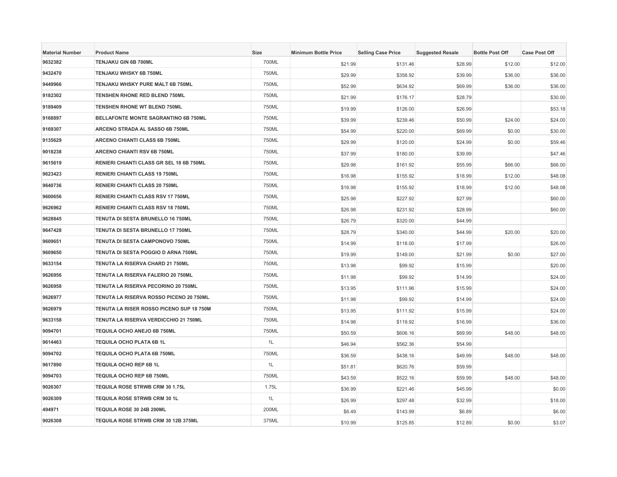| <b>Material Number</b> | <b>Product Name</b>                       | Size  | <b>Minimum Bottle Price</b> | <b>Selling Case Price</b> | <b>Suggested Resale</b> | <b>Bottle Post Off</b> | <b>Case Post Off</b> |
|------------------------|-------------------------------------------|-------|-----------------------------|---------------------------|-------------------------|------------------------|----------------------|
| 9632382                | TENJAKU GIN 6B 700ML                      | 700ML | \$21.99                     | \$131.46                  | \$28.99                 | \$12.00                | \$12.00              |
| 9432470                | TENJAKU WHSKY 6B 750ML                    | 750ML | \$29.99                     | \$358.92                  | \$39.99                 | \$36.00                | \$36.00              |
| 9449966                | TENJAKU WHSKY PURE MALT 6B 750ML          | 750ML | \$52.99                     | \$634.92                  | \$69.99                 | \$36.00                | \$36.00              |
| 9182302                | TENSHEN RHONE RED BLEND 750ML             | 750ML | \$21.99                     | \$176.17                  | \$28.79                 |                        | \$30.00              |
| 9189409                | TENSHEN RHONE WT BLEND 750ML              | 750ML | \$19.99                     | \$126.00                  | \$26.99                 |                        | \$53.18              |
| 9168897                | BELLAFONTE MONTE SAGRANTINO 6B 750ML      | 750ML | \$39.99                     | \$239.46                  | \$50.99                 | \$24.00                | \$24.00              |
| 9169307                | ARCENO STRADA AL SASSO 6B 750ML           | 750ML | \$54.99                     | \$220.00                  | \$69.99                 | \$0.00                 | \$30.00              |
| 9135629                | <b>ARCENO CHIANTI CLASS 6B 750ML</b>      | 750ML | \$29.99                     | \$120.00                  | \$24.99                 | \$0.00                 | \$59.46              |
| 9018238                | ARCENO CHIANTI RSV 6B 750ML               | 750ML | \$37.99                     | \$180.00                  | \$39.99                 |                        | \$47.46              |
| 9615619                | RENIERI CHIANTI CLASS GR SEL 18 6B 750ML  | 750ML | \$29.98                     | \$161.92                  | \$55.99                 | \$66.00                | \$66.00              |
| 9623423                | <b>RENIERI CHIANTI CLASS 19 750ML</b>     | 750ML | \$16.98                     | \$155.92                  | \$18.99                 | \$12.00                | \$48.08              |
| 9640736                | RENIERI CHIANTI CLASS 20 750ML            | 750ML | \$16.98                     | \$155.92                  | \$18.99                 | \$12.00                | \$48.08              |
| 9600656                | <b>RENIERI CHIANTI CLASS RSV 17 750ML</b> | 750ML | \$25.98                     | \$227.92                  | \$27.99                 |                        | \$60.00              |
| 9626962                | <b>RENIERI CHIANTI CLASS RSV 18 750ML</b> | 750ML | \$26.98                     | \$231.92                  | \$28.99                 |                        | \$60.00              |
| 9628845                | TENUTA DI SESTA BRUNELLO 16 750ML         | 750ML | \$26.79                     | \$320.00                  | \$44.99                 |                        |                      |
| 9647428                | TENUTA DI SESTA BRUNELLO 17 750ML         | 750ML | \$28.79                     | \$340.00                  | \$44.99                 | \$20.00                | \$20.00              |
| 9609651                | TENUTA DI SESTA CAMPONOVO 750ML           | 750ML | \$14.99                     | \$118.00                  | \$17.99                 |                        | \$26.00              |
| 9609650                | TENUTA DI SESTA POGGIO D ARNA 750ML       | 750ML | \$19.99                     | \$149.00                  | \$21.99                 | \$0.00                 | \$27.00              |
| 9633154                | TENUTA LA RISERVA CHARD 21 750ML          | 750ML | \$13.98                     | \$99.92                   | \$15.99                 |                        | \$20.00              |
| 9626956                | TENUTA LA RISERVA FALERIO 20 750ML        | 750ML | \$11.98                     | \$99.92                   | \$14.99                 |                        | \$24.00              |
| 9626958                | TENUTA LA RISERVA PECORINO 20 750ML       | 750ML | \$13.95                     | \$111.96                  | \$15.99                 |                        | \$24.00              |
| 9626977                | TENUTA LA RISERVA ROSSO PICENO 20 750ML   | 750ML | \$11.98                     | \$99.92                   | \$14.99                 |                        | \$24.00              |
| 9626979                | TENUTA LA RISER ROSSO PICENO SUP 18 750M  | 750ML | \$13.95                     | \$111.92                  | \$15.99                 |                        | \$24.00              |
| 9633158                | TENUTA LA RISERVA VERDICCHIO 21 750ML     | 750ML | \$14.98                     | \$119.92                  | \$16.99                 |                        | \$36.00              |
| 9094701                | TEQUILA OCHO ANEJO 6B 750ML               | 750ML | \$50.59                     | \$606.16                  | \$69.99                 | \$48.00                | \$48.00              |
| 9614463                | TEQUILA OCHO PLATA 6B 1L                  | 1L    | \$46.94                     | \$562.36                  | \$54.99                 |                        |                      |
| 9094702                | <b>TEQUILA OCHO PLATA 6B 750ML</b>        | 750ML | \$36.59                     | \$438.16                  | \$49.99                 | \$48.00                | \$48.00              |
| 9617890                | TEQUILA OCHO REP 6B 1L                    | 1L    | \$51.81                     | \$620.76                  | \$59.99                 |                        |                      |
| 9094703                | TEQUILA OCHO REP 6B 750ML                 | 750ML | \$43.59                     | \$522.16                  | \$59.99                 | \$48.00                | \$48.00              |
| 9026307                | <b>TEQUILA ROSE STRWB CRM 30 1.75L</b>    | 1.75L | \$36.99                     | \$221.46                  | \$45.99                 |                        | \$0.00               |
| 9026309                | TEQUILA ROSE STRWB CRM 30 1L              | 1L    | \$26.99                     | \$297.48                  | \$32.99                 |                        | \$18.00              |
| 494971                 | TEQUILA ROSE 30 24B 200ML                 | 200ML | \$6.49                      | \$143.99                  | \$6.89                  |                        | \$6.00               |
| 9026308                | TEQUILA ROSE STRWB CRM 30 12B 375ML       | 375ML | \$10.99                     | \$125.85                  | \$12.89                 | \$0.00                 | \$3.07               |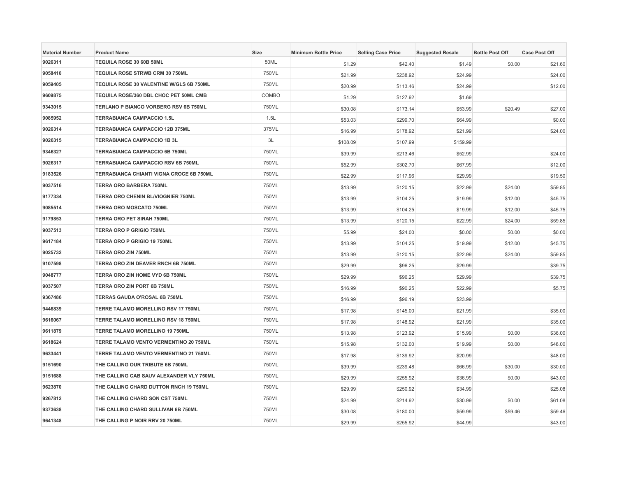| <b>Material Number</b> | <b>Product Name</b>                             | <b>Size</b> | <b>Minimum Bottle Price</b> | <b>Selling Case Price</b> | <b>Suggested Resale</b> | <b>Bottle Post Off</b> | <b>Case Post Off</b> |
|------------------------|-------------------------------------------------|-------------|-----------------------------|---------------------------|-------------------------|------------------------|----------------------|
| 9026311                | TEQUILA ROSE 30 60B 50ML                        | 50ML        | \$1.29                      | \$42.40                   | \$1.49                  | \$0.00                 | \$21.60              |
| 9058410                | <b>TEQUILA ROSE STRWB CRM 30 750ML</b>          | 750ML       | \$21.99                     | \$238.92                  | \$24.99                 |                        | \$24.00              |
| 9059405                | TEQUILA ROSE 30 VALENTINE W/GLS 6B 750ML        | 750ML       | \$20.99                     | \$113.46                  | \$24.99                 |                        | \$12.00              |
| 9609875                | TEQUILA ROSE/360 DBL CHOC PET 50ML CMB          | COMBO       | \$1.29                      | \$127.92                  | \$1.69                  |                        |                      |
| 9343015                | TERLANO P BIANCO VORBERG RSV 6B 750ML           | 750ML       | \$30.08                     | \$173.14                  | \$53.99                 | \$20.49                | \$27.00              |
| 9085952                | <b>TERRABIANCA CAMPACCIO 1.5L</b>               | 1.5L        | \$53.03                     | \$299.70                  | \$64.99                 |                        | \$0.00               |
| 9026314                | <b>TERRABIANCA CAMPACCIO 12B 375ML</b>          | 375ML       | \$16.99                     | \$178.92                  | \$21.99                 |                        | \$24.00              |
| 9026315                | <b>TERRABIANCA CAMPACCIO 1B 3L</b>              | 3L          | \$108.09                    | \$107.99                  | \$159.99                |                        |                      |
| 9346327                | <b>TERRABIANCA CAMPACCIO 6B 750ML</b>           | 750ML       | \$39.99                     | \$213.46                  | \$52.99                 |                        | \$24.00              |
| 9026317                | TERRABIANCA CAMPACCIO RSV 6B 750ML              | 750ML       | \$52.99                     | \$302.70                  | \$67.99                 |                        | \$12.00              |
| 9183526                | <b>TERRABIANCA CHIANTI VIGNA CROCE 6B 750ML</b> | 750ML       | \$22.99                     | \$117.96                  | \$29.99                 |                        | \$19.50              |
| 9037516                | <b>TERRA ORO BARBERA 750ML</b>                  | 750ML       | \$13.99                     | \$120.15                  | \$22.99                 | \$24.00                | \$59.85              |
| 9177334                | TERRA ORO CHENIN BL/VIOGNIER 750ML              | 750ML       | \$13.99                     | \$104.25                  | \$19.99                 | \$12.00                | \$45.75              |
| 9085514                | <b>TERRA ORO MOSCATO 750ML</b>                  | 750ML       | \$13.99                     | \$104.25                  | \$19.99                 | \$12.00                | \$45.75              |
| 9179853                | <b>TERRA ORO PET SIRAH 750ML</b>                | 750ML       | \$13.99                     | \$120.15                  | \$22.99                 | \$24.00                | \$59.85              |
| 9037513                | <b>TERRA ORO P GRIGIO 750ML</b>                 | 750ML       | \$5.99                      | \$24.00                   | \$0.00                  | \$0.00                 | \$0.00               |
| 9617184                | TERRA ORO P GRIGIO 19 750ML                     | 750ML       | \$13.99                     | \$104.25                  | \$19.99                 | \$12.00                | \$45.75              |
| 9025732                | <b>TERRA ORO ZIN 750ML</b>                      | 750ML       | \$13.99                     | \$120.15                  | \$22.99                 | \$24.00                | \$59.85              |
| 9107598                | TERRA ORO ZIN DEAVER RNCH 6B 750ML              | 750ML       | \$29.99                     | \$96.25                   | \$29.99                 |                        | \$39.75              |
| 9048777                | TERRA ORO ZIN HOME VYD 6B 750ML                 | 750ML       | \$29.99                     | \$96.25                   | \$29.99                 |                        | \$39.75              |
| 9037507                | TERRA ORO ZIN PORT 6B 750ML                     | 750ML       | \$16.99                     | \$90.25                   | \$22.99                 |                        | \$5.75               |
| 9367486                | TERRAS GAUDA O'ROSAL 6B 750ML                   | 750ML       | \$16.99                     | \$96.19                   | \$23.99                 |                        |                      |
| 9446839                | TERRE TALAMO MORELLINO RSV 17 750ML             | 750ML       | \$17.98                     | \$145.00                  | \$21.99                 |                        | \$35.00              |
| 9616067                | TERRE TALAMO MORELLINO RSV 18 750ML             | 750ML       | \$17.98                     | \$148.92                  | \$21.99                 |                        | \$35.00              |
| 9611879                | TERRE TALAMO MORELLINO 19 750ML                 | 750ML       | \$13.98                     | \$123.92                  | \$15.99                 | \$0.00                 | \$36.00              |
| 9618624                | TERRE TALAMO VENTO VERMENTINO 20 750ML          | 750ML       | \$15.98                     | \$132.00                  | \$19.99                 | \$0.00                 | \$48.00              |
| 9633441                | TERRE TALAMO VENTO VERMENTINO 21 750ML          | 750ML       | \$17.98                     | \$139.92                  | \$20.99                 |                        | \$48.00              |
| 9151690                | THE CALLING OUR TRIBUTE 6B 750ML                | 750ML       | \$39.99                     | \$239.48                  | \$66.99                 | \$30.00                | \$30.00              |
| 9151688                | THE CALLING CAB SAUV ALEXANDER VLY 750ML        | 750ML       | \$29.99                     | \$255.92                  | \$36.99                 | \$0.00                 | \$43.00              |
| 9623870                | THE CALLING CHARD DUTTON RNCH 19 750ML          | 750ML       | \$29.99                     | \$250.92                  | \$34.99                 |                        | \$25.08              |
| 9267812                | THE CALLING CHARD SON CST 750ML                 | 750ML       | \$24.99                     | \$214.92                  | \$30.99                 | \$0.00                 | \$61.08              |
| 9373638                | THE CALLING CHARD SULLIVAN 6B 750ML             | 750ML       | \$30.08                     | \$180.00                  | \$59.99                 | \$59.46                | \$59.46              |
| 9641348                | THE CALLING P NOIR RRV 20 750ML                 | 750ML       | \$29.99                     | \$255.92                  | \$44.99                 |                        | \$43.00              |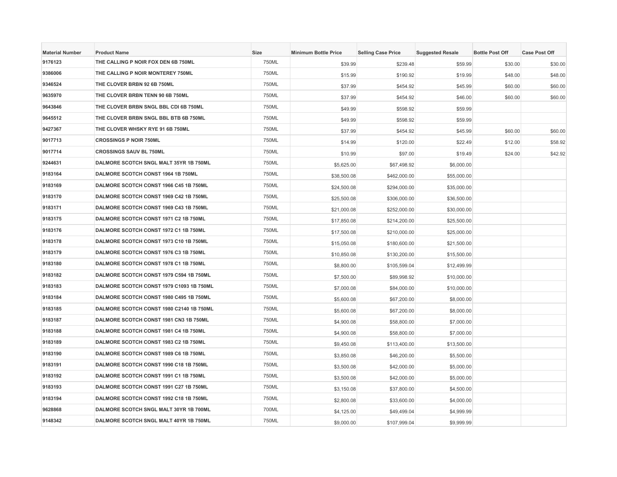| <b>Material Number</b> | <b>Product Name</b>                      | Size  | <b>Minimum Bottle Price</b> | <b>Selling Case Price</b> | <b>Suggested Resale</b> | <b>Bottle Post Off</b> | <b>Case Post Off</b> |
|------------------------|------------------------------------------|-------|-----------------------------|---------------------------|-------------------------|------------------------|----------------------|
| 9176123                | THE CALLING P NOIR FOX DEN 6B 750ML      | 750ML | \$39.99                     | \$239.48                  | \$59.99                 | \$30.00                | \$30.00              |
| 9386006                | THE CALLING P NOIR MONTEREY 750ML        | 750ML | \$15.99                     | \$190.92                  | \$19.99                 | \$48.00                | \$48.00              |
| 9346524                | THE CLOVER BRBN 92 6B 750ML              | 750ML | \$37.99                     | \$454.92                  | \$45.99                 | \$60.00                | \$60.00              |
| 9635970                | THE CLOVER BRBN TENN 90 6B 750ML         | 750ML | \$37.99                     | \$454.92                  | \$46.00                 | \$60.00                | \$60.00              |
| 9643846                | THE CLOVER BRBN SNGL BBL CDI 6B 750ML    | 750ML | \$49.99                     | \$598.92                  | \$59.99                 |                        |                      |
| 9645512                | THE CLOVER BRBN SNGL BBL BTB 6B 750ML    | 750ML | \$49.99                     | \$598.92                  | \$59.99                 |                        |                      |
| 9427367                | THE CLOVER WHSKY RYE 91 6B 750ML         | 750ML | \$37.99                     | \$454.92                  | \$45.99                 | \$60.00                | \$60.00              |
| 9017713                | <b>CROSSINGS P NOIR 750ML</b>            | 750ML | \$14.99                     | \$120.00                  | \$22.49                 | \$12.00                | \$58.92              |
| 9017714                | <b>CROSSINGS SAUV BL 750ML</b>           | 750ML | \$10.99                     | \$97.00                   | \$19.49                 | \$24.00                | \$42.92              |
| 9244631                | DALMORE SCOTCH SNGL MALT 35YR 1B 750ML   | 750ML | \$5,625.00                  | \$67,498.92               | \$6,000.00              |                        |                      |
| 9183164                | DALMORE SCOTCH CONST 1964 1B 750ML       | 750ML | \$38,500.08                 | \$462,000.00              | \$55,000.00             |                        |                      |
| 9183169                | DALMORE SCOTCH CONST 1966 C45 1B 750ML   | 750ML | \$24,500.08                 | \$294,000.00              | \$35,000.00             |                        |                      |
| 9183170                | DALMORE SCOTCH CONST 1969 C42 1B 750ML   | 750ML | \$25,500.08                 | \$306,000.00              | \$36,500.00             |                        |                      |
| 9183171                | DALMORE SCOTCH CONST 1969 C43 1B 750ML   | 750ML | \$21,000.08                 | \$252,000.00              | \$30,000.00             |                        |                      |
| 9183175                | DALMORE SCOTCH CONST 1971 C2 1B 750ML    | 750ML | \$17,850.08                 | \$214,200.00              | \$25,500.00             |                        |                      |
| 9183176                | DALMORE SCOTCH CONST 1972 C1 1B 750ML    | 750ML | \$17,500.08                 | \$210,000.00              | \$25,000.00             |                        |                      |
| 9183178                | DALMORE SCOTCH CONST 1973 C10 1B 750ML   | 750ML | \$15,050.08                 | \$180,600.00              | \$21,500.00             |                        |                      |
| 9183179                | DALMORE SCOTCH CONST 1976 C3 1B 750ML    | 750ML | \$10,850.08                 | \$130,200.00              | \$15,500.00             |                        |                      |
| 9183180                | DALMORE SCOTCH CONST 1978 C1 1B 750ML    | 750ML | \$8,800.00                  | \$105,599.04              | \$12,499.99             |                        |                      |
| 9183182                | DALMORE SCOTCH CONST 1979 C594 1B 750ML  | 750ML | \$7,500.00                  | \$89,998.92               | \$10,000.00             |                        |                      |
| 9183183                | DALMORE SCOTCH CONST 1979 C1093 1B 750ML | 750ML | \$7,000.08                  | \$84,000.00               | \$10,000.00             |                        |                      |
| 9183184                | DALMORE SCOTCH CONST 1980 C495 1B 750ML  | 750ML | \$5,600.08                  | \$67,200.00               | \$8,000.00              |                        |                      |
| 9183185                | DALMORE SCOTCH CONST 1980 C2140 1B 750ML | 750ML | \$5,600.08                  | \$67,200.00               | \$8,000.00              |                        |                      |
| 9183187                | DALMORE SCOTCH CONST 1981 CN3 1B 750ML   | 750ML | \$4,900.08                  | \$58,800.00               | \$7,000.00              |                        |                      |
| 9183188                | DALMORE SCOTCH CONST 1981 C4 1B 750ML    | 750ML | \$4,900.08                  | \$58,800.00               | \$7,000.00              |                        |                      |
| 9183189                | DALMORE SCOTCH CONST 1983 C2 1B 750ML    | 750ML | \$9,450.08                  | \$113,400.00              | \$13,500.00             |                        |                      |
| 9183190                | DALMORE SCOTCH CONST 1989 C6 1B 750ML    | 750ML | \$3,850.08                  | \$46,200.00               | \$5,500.00              |                        |                      |
| 9183191                | DALMORE SCOTCH CONST 1990 C18 1B 750ML   | 750ML | \$3,500.08                  | \$42,000.00               | \$5,000.00              |                        |                      |
| 9183192                | DALMORE SCOTCH CONST 1991 C1 1B 750ML    | 750ML | \$3,500.08                  | \$42,000.00               | \$5,000.00              |                        |                      |
| 9183193                | DALMORE SCOTCH CONST 1991 C27 1B 750ML   | 750ML | \$3,150.08                  | \$37,800.00               | \$4,500.00              |                        |                      |
| 9183194                | DALMORE SCOTCH CONST 1992 C18 1B 750ML   | 750ML | \$2,800.08                  | \$33,600.00               | \$4,000.00              |                        |                      |
| 9628868                | DALMORE SCOTCH SNGL MALT 30YR 1B 700ML   | 700ML | \$4,125.00                  | \$49,499.04               | \$4,999.99              |                        |                      |
| 9148342                | DALMORE SCOTCH SNGL MALT 40YR 1B 750ML   | 750ML | \$9,000.00                  | \$107,999.04              | \$9,999.99              |                        |                      |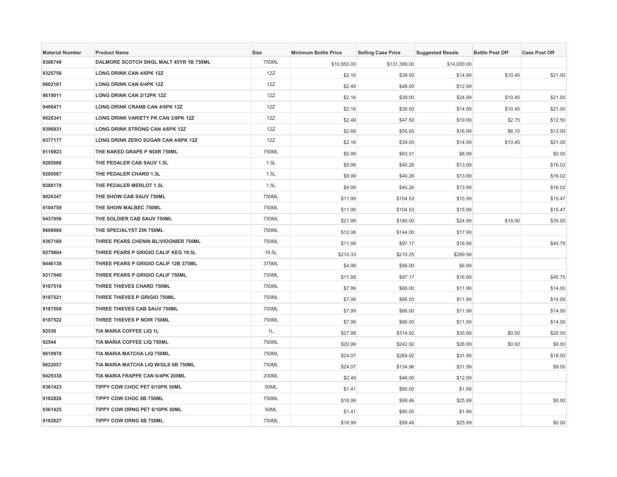| <b>Material Number</b> | <b>Product Name</b>                        | <b>Size</b> | <b>Minimum Bottle Price</b> | <b>Selling Case Price</b> | <b>Suggested Resale</b> | <b>Bottle Post Off</b> | <b>Case Post Off</b> |
|------------------------|--------------------------------------------|-------------|-----------------------------|---------------------------|-------------------------|------------------------|----------------------|
| 9306749                | DALMORE SCOTCH SNGL MALT 45YR 1B 750ML     | 750ML       | \$10,950.00                 | \$131,399.00              | \$14,000.00             |                        |                      |
| 9325756                | <b>LONG DRINK CAN 4/6PK 12Z</b>            | 12Z         | \$2.16                      | \$39.00                   | \$14.99                 | \$10.45                | \$21.00              |
| 9602181                | <b>LONG DRINK CAN 6/4PK 12Z</b>            | 12Z         | \$2.49                      | \$48.00                   | \$12.99                 |                        |                      |
| 9619011                | LONG DRINK CAN 2/12PK 12Z                  | 12Z         | \$2.16                      | \$39.00                   | \$24.99                 | \$10.45                | \$21.00              |
| 9406471                | LONG DRINK CRANB CAN 4/6PK 12Z             | 12Z         | \$2.16                      | \$39.00                   | \$14.99                 | \$10.45                | \$21.00              |
| 9626341                | <b>LONG DRINK VARIETY PK CAN 3/8PK 12Z</b> | 12Z         | \$2.49                      | \$47.50                   | \$19.99                 | \$2.75                 | \$12.50              |
| 9396931                | <b>LONG DRINK STRONG CAN 4/6PK 12Z</b>     | 12Z         | \$2.68                      | \$55.00                   | \$16.99                 | \$6.10                 | \$13.00              |
| 9377177                | LONG DRINK ZERO SUGAR CAN 4/6PK 12Z        | 12Z         | \$2.16                      | \$39.00                   | \$14.99                 | \$10.45                | \$21.00              |
| 9116923                | THE NAKED GRAPE P NOIR 750ML               | 750ML       | \$5.99                      | \$63.31                   | \$8.99                  |                        | \$0.00               |
| 9285086                | THE PEDALER CAB SAUV 1.5L                  | 1.5L        | \$9.99                      | \$40.26                   | \$13.99                 |                        | \$16.02              |
| 9285087                | THE PEDALER CHARD 1.5L                     | 1.5L        | \$9.99                      | \$40.26                   | \$13.99                 |                        | \$16.02              |
| 9288178                | THE PEDALER MERLOT 1.5L                    | 1.5L        | \$9.99                      | \$40.26                   | \$13.99                 |                        | \$16.02              |
| 9026347                | THE SHOW CAB SAUV 750ML                    | 750ML       | \$11.99                     | \$104.53                  | \$15.99                 |                        | \$15.47              |
| 9104759                | <b>THE SHOW MALBEC 750ML</b>               | 750ML       | \$11.99                     | \$104.53                  | \$15.99                 |                        | \$15.47              |
| 9437056                | THE SOLDIER CAB SAUV 750ML                 | 750ML       | \$21.99                     | \$180.00                  | \$24.99                 | \$18.00                | \$35.00              |
| 9609880                | THE SPECIALYST ZIN 750ML                   | 750ML       | \$12.08                     | \$144.00                  | \$17.99                 |                        |                      |
| 9367168                | THREE PEARS CHENIN BL/VIOGNIER 750ML       | 750ML       | \$11.99                     | \$97.17                   | \$16.99                 |                        | \$45.75              |
| 9279804                | THREE PEARS P GRIGIO CALIF KEG 19.5L       | 19.5L       | \$210.33                    | \$210.25                  | \$299.99                |                        |                      |
| 9446138                | THREE PEARS P GRIGIO CALIF 12B 375ML       | 375ML       | \$4.99                      | \$56.00                   | \$6.99                  |                        |                      |
| 9217040                | THREE PEARS P GRIGIO CALIF 750ML           | 750ML       | \$11.99                     | \$97.17                   | \$16.99                 |                        | \$45.75              |
| 9187510                | THREE THIEVES CHARD 750ML                  | 750ML       | \$7.99                      | \$66.00                   | \$11.99                 |                        | \$14.00              |
| 9187521                | THREE THIEVES P GRIGIO 750ML               | 750ML       | \$7.99                      | \$66.00                   | \$11.99                 |                        | \$14.00              |
| 9187509                | THREE THIEVES CAB SAUV 750ML               | 750ML       | \$7.99                      | \$66.00                   | \$11.99                 |                        | \$14.00              |
| 9187522                | THREE THIEVES P NOIR 750ML                 | 750ML       | \$7.99                      | \$66.00                   | \$11.99                 |                        | \$14.00              |
| 92536                  | TIA MARIA COFFEE LIQ 1L                    | 1L          | \$27.99                     | \$314.92                  | \$35.99                 | \$0.00                 | \$20.00              |
| 92544                  | <b>TIA MARIA COFFEE LIQ 750ML</b>          | 750ML       | \$20.99                     | \$242.92                  | \$26.99                 | \$0.92                 | \$9.00               |
| 9610978                | TIA MARIA MATCHA LIQ 750ML                 | 750ML       | \$24.07                     | \$269.92                  | \$31.99                 |                        | \$18.00              |
| 9622057                | TIA MARIA MATCHA LIQ W/GLS 6B 750ML        | 750ML       | \$24.07                     | \$134.96                  | \$31.99                 |                        | \$9.00               |
| 9429338                | TIA MARIA FRAPPE CAN 6/4PK 200ML           | 200ML       | \$2.49                      | \$46.00                   | \$12.99                 |                        |                      |
| 9361423                | TIPPY COW CHOC PET 6/10PK 50ML             | 50ML        | \$1.41                      | \$80.00                   | \$1.99                  |                        |                      |
| 9182826                | TIPPY COW CHOC 6B 750ML                    | 750ML       | \$18.99                     | \$99.46                   | \$25.99                 |                        | \$0.00               |
| 9361425                | TIPPY COW ORNG PET 6/10PK 50ML             | 50ML        | \$1.41                      | \$80.00                   | \$1.99                  |                        |                      |
| 9182827                | <b>TIPPY COW ORNG 6B 750ML</b>             | 750ML       | \$18.99                     | \$99.46                   | \$25.99                 |                        | \$0.00               |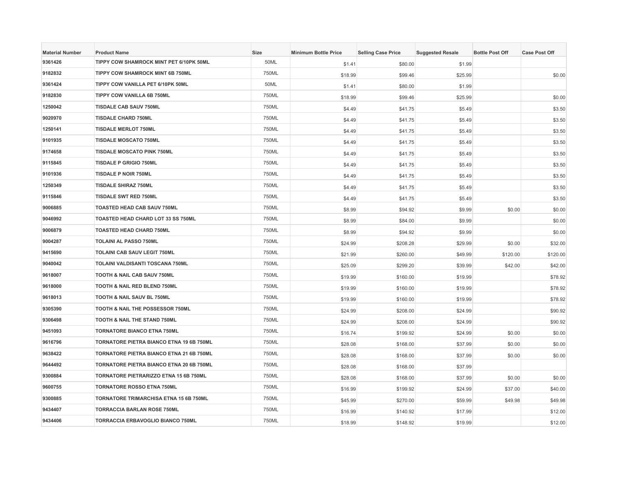| <b>Material Number</b> | <b>Product Name</b>                      | Size  | <b>Minimum Bottle Price</b> | <b>Selling Case Price</b> | <b>Suggested Resale</b> | <b>Bottle Post Off</b> | <b>Case Post Off</b> |
|------------------------|------------------------------------------|-------|-----------------------------|---------------------------|-------------------------|------------------------|----------------------|
| 9361426                | TIPPY COW SHAMROCK MINT PET 6/10PK 50ML  | 50ML  | \$1.41                      | \$80.00                   | \$1.99                  |                        |                      |
| 9182832                | TIPPY COW SHAMROCK MINT 6B 750ML         | 750ML | \$18.99                     | \$99.46                   | \$25.99                 |                        | \$0.00               |
| 9361424                | TIPPY COW VANILLA PET 6/10PK 50ML        | 50ML  | \$1.41                      | \$80.00                   | \$1.99                  |                        |                      |
| 9182830                | TIPPY COW VANILLA 6B 750ML               | 750ML | \$18.99                     | \$99.46                   | \$25.99                 |                        | \$0.00               |
| 1250042                | <b>TISDALE CAB SAUV 750ML</b>            | 750ML | \$4.49                      | \$41.75                   | \$5.49                  |                        | \$3.50               |
| 9020970                | <b>TISDALE CHARD 750ML</b>               | 750ML | \$4.49                      | \$41.75                   | \$5.49                  |                        | \$3.50               |
| 1250141                | <b>TISDALE MERLOT 750ML</b>              | 750ML | \$4.49                      | \$41.75                   | \$5.49                  |                        | \$3.50               |
| 9101935                | <b>TISDALE MOSCATO 750ML</b>             | 750ML | \$4.49                      | \$41.75                   | \$5.49                  |                        | \$3.50               |
| 9174658                | <b>TISDALE MOSCATO PINK 750ML</b>        | 750ML | \$4.49                      | \$41.75                   | \$5.49                  |                        | \$3.50               |
| 9115845                | <b>TISDALE P GRIGIO 750ML</b>            | 750ML | \$4.49                      | \$41.75                   | \$5.49                  |                        | \$3.50               |
| 9101936                | <b>TISDALE P NOIR 750ML</b>              | 750ML | \$4.49                      | \$41.75                   | \$5.49                  |                        | \$3.50               |
| 1250349                | <b>TISDALE SHIRAZ 750ML</b>              | 750ML | \$4.49                      | \$41.75                   | \$5.49                  |                        | \$3.50               |
| 9115846                | <b>TISDALE SWT RED 750ML</b>             | 750ML | \$4.49                      | \$41.75                   | \$5.49                  |                        | \$3.50               |
| 9006885                | <b>TOASTED HEAD CAB SAUV 750ML</b>       | 750ML | \$8.99                      | \$94.92                   | \$9.99                  | \$0.00                 | \$0.00               |
| 9046992                | TOASTED HEAD CHARD LOT 33 SS 750ML       | 750ML | \$8.99                      | \$84.00                   | \$9.99                  |                        | \$0.00               |
| 9006879                | <b>TOASTED HEAD CHARD 750ML</b>          | 750ML | \$8.99                      | \$94.92                   | \$9.99                  |                        | \$0.00               |
| 9004287                | <b>TOLAINI AL PASSO 750ML</b>            | 750ML | \$24.99                     | \$208.28                  | \$29.99                 | \$0.00                 | \$32.00              |
| 9415690                | TOLAINI CAB SAUV LEGIT 750ML             | 750ML | \$21.99                     | \$260.00                  | \$49.99                 | \$120.00               | \$120.00             |
| 9040042                | TOLAINI VALDISANTI TOSCANA 750ML         | 750ML | \$25.09                     | \$299.20                  | \$39.99                 | \$42.00                | \$42.00              |
| 9618007                | TOOTH & NAIL CAB SAUV 750ML              | 750ML | \$19.99                     | \$160.00                  | \$19.99                 |                        | \$78.92              |
| 9618000                | TOOTH & NAIL RED BLEND 750ML             | 750ML | \$19.99                     | \$160.00                  | \$19.99                 |                        | \$78.92              |
| 9618013                | TOOTH & NAIL SAUV BL 750ML               | 750ML | \$19.99                     | \$160.00                  | \$19.99                 |                        | \$78.92              |
| 9305390                | TOOTH & NAIL THE POSSESSOR 750ML         | 750ML | \$24.99                     | \$208.00                  | \$24.99                 |                        | \$90.92              |
| 9306498                | TOOTH & NAIL THE STAND 750ML             | 750ML | \$24.99                     | \$208.00                  | \$24.99                 |                        | \$90.92              |
| 9451093                | <b>TORNATORE BIANCO ETNA 750ML</b>       | 750ML | \$16.74                     | \$199.92                  | \$24.99                 | \$0.00                 | \$0.00               |
| 9616796                | TORNATORE PIETRA BIANCO ETNA 19 6B 750ML | 750ML | \$28.08                     | \$168.00                  | \$37.99                 | \$0.00                 | \$0.00               |
| 9638422                | TORNATORE PIETRA BIANCO ETNA 21 6B 750ML | 750ML | \$28.08                     | \$168.00                  | \$37.99                 | \$0.00                 | \$0.00               |
| 9644492                | TORNATORE PIETRA BIANCO ETNA 20 6B 750ML | 750ML | \$28.08                     | \$168.00                  | \$37.99                 |                        |                      |
| 9300884                | TORNATORE PIETRARIZZO ETNA 15 6B 750ML   | 750ML | \$28.08                     | \$168.00                  | \$37.99                 | \$0.00                 | \$0.00               |
| 9600755                | <b>TORNATORE ROSSO ETNA 750ML</b>        | 750ML | \$16.99                     | \$199.92                  | \$24.99                 | \$37.00                | \$40.00              |
| 9300885                | TORNATORE TRIMARCHISA ETNA 15 6B 750ML   | 750ML | \$45.99                     | \$270.00                  | \$59.99                 | \$49.98                | \$49.98              |
| 9434407                | <b>TORRACCIA BARLAN ROSE 750ML</b>       | 750ML | \$16.99                     | \$140.92                  | \$17.99                 |                        | \$12.00              |
| 9434406                | TORRACCIA ERBAVOGLIO BIANCO 750ML        | 750ML | \$18.99                     | \$148.92                  | \$19.99                 |                        | \$12.00              |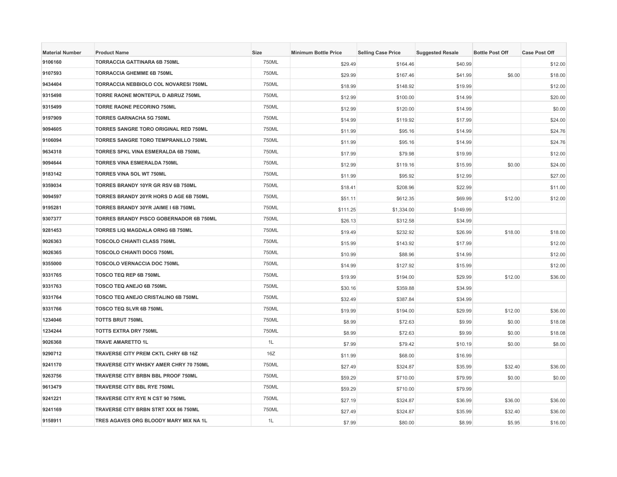| <b>Material Number</b> | <b>Product Name</b>                         | <b>Size</b> | <b>Minimum Bottle Price</b> | <b>Selling Case Price</b> | <b>Suggested Resale</b> | <b>Bottle Post Off</b> | <b>Case Post Off</b> |
|------------------------|---------------------------------------------|-------------|-----------------------------|---------------------------|-------------------------|------------------------|----------------------|
| 9106160                | <b>TORRACCIA GATTINARA 6B 750ML</b>         | 750ML       | \$29.49                     | \$164.46                  | \$40.99                 |                        | \$12.00              |
| 9107593                | <b>TORRACCIA GHEMME 6B 750ML</b>            | 750ML       | \$29.99                     | \$167.46                  | \$41.99                 | \$6.00                 | \$18.00              |
| 9434404                | TORRACCIA NEBBIOLO COL NOVARESI 750ML       | 750ML       | \$18.99                     | \$148.92                  | \$19.99                 |                        | \$12.00              |
| 9315498                | TORRE RAONE MONTEPUL D ABRUZ 750ML          | 750ML       | \$12.99                     | \$100.00                  | \$14.99                 |                        | \$20.00              |
| 9315499                | <b>TORRE RAONE PECORINO 750ML</b>           | 750ML       | \$12.99                     | \$120.00                  | \$14.99                 |                        | \$0.00               |
| 9197909                | <b>TORRES GARNACHA 5G 750ML</b>             | 750ML       | \$14.99                     | \$119.92                  | \$17.99                 |                        | \$24.00              |
| 9094605                | TORRES SANGRE TORO ORIGINAL RED 750ML       | 750ML       | \$11.99                     | \$95.16                   | \$14.99                 |                        | \$24.76              |
| 9106094                | TORRES SANGRE TORO TEMPRANILLO 750ML        | 750ML       | \$11.99                     | \$95.16                   | \$14.99                 |                        | \$24.76              |
| 9634318                | TORRES SPKL VINA ESMERALDA 6B 750ML         | 750ML       | \$17.99                     | \$79.98                   | \$19.99                 |                        | \$12.00              |
| 9094644                | <b>TORRES VINA ESMERALDA 750ML</b>          | 750ML       | \$12.99                     | \$119.16                  | \$15.99                 | \$0.00                 | \$24.00              |
| 9183142                | <b>TORRES VINA SOL WT 750ML</b>             | 750ML       | \$11.99                     | \$95.92                   | \$12.99                 |                        | \$27.00              |
| 9359034                | TORRES BRANDY 10YR GR RSV 6B 750ML          | 750ML       | \$18.41                     | \$208.96                  | \$22.99                 |                        | \$11.00              |
| 9094597                | TORRES BRANDY 20YR HORS D AGE 6B 750ML      | 750ML       | \$51.11                     | \$612.35                  | \$69.99                 | \$12.00                | \$12.00              |
| 9195281                | TORRES BRANDY 30YR JAIME I 6B 750ML         | 750ML       | \$111.25                    | \$1,334.00                | \$149.99                |                        |                      |
| 9307377                | TORRES BRANDY PISCO GOBERNADOR 6B 750ML     | 750ML       | \$26.13                     | \$312.58                  | \$34.99                 |                        |                      |
| 9281453                | TORRES LIQ MAGDALA ORNG 6B 750ML            | 750ML       | \$19.49                     | \$232.92                  | \$26.99                 | \$18.00                | \$18.00              |
| 9026363                | <b>TOSCOLO CHIANTI CLASS 750ML</b>          | 750ML       | \$15.99                     | \$143.92                  | \$17.99                 |                        | \$12.00              |
| 9026365                | <b>TOSCOLO CHIANTI DOCG 750ML</b>           | 750ML       | \$10.99                     | \$88.96                   | \$14.99                 |                        | \$12.00              |
| 9355000                | <b>TOSCOLO VERNACCIA DOC 750ML</b>          | 750ML       | \$14.99                     | \$127.92                  | \$15.99                 |                        | \$12.00              |
| 9331765                | TOSCO TEQ REP 6B 750ML                      | 750ML       | \$19.99                     | \$194.00                  | \$29.99                 | \$12.00                | \$36.00              |
| 9331763                | TOSCO TEQ ANEJO 6B 750ML                    | 750ML       | \$30.16                     | \$359.88                  | \$34.99                 |                        |                      |
| 9331764                | TOSCO TEQ ANEJO CRISTALINO 6B 750ML         | 750ML       | \$32.49                     | \$387.84                  | \$34.99                 |                        |                      |
| 9331766                | <b>TOSCO TEQ SLVR 6B 750ML</b>              | 750ML       | \$19.99                     | \$194.00                  | \$29.99                 | \$12.00                | \$36.00              |
| 1234046                | <b>TOTTS BRUT 750ML</b>                     | 750ML       | \$8.99                      | \$72.63                   | \$9.99                  | \$0.00                 | \$18.08              |
| 1234244                | <b>TOTTS EXTRA DRY 750ML</b>                | 750ML       | \$8.99                      | \$72.63                   | \$9.99                  | \$0.00                 | \$18.08              |
| 9026368                | <b>TRAVE AMARETTO 1L</b>                    | 1L          | \$7.99                      | \$79.42                   | \$10.19                 | \$0.00                 | \$8.00               |
| 9290712                | <b>TRAVERSE CITY PREM CKTL CHRY 6B 16Z</b>  | 16Z         | \$11.99                     | \$68.00                   | \$16.99                 |                        |                      |
| 9241170                | TRAVERSE CITY WHSKY AMER CHRY 70 750ML      | 750ML       | \$27.49                     | \$324.87                  | \$35.99                 | \$32.40                | \$36.00              |
| 9263756                | TRAVERSE CITY BRBN BBL PROOF 750ML          | 750ML       | \$59.29                     | \$710.00                  | \$79.99                 | \$0.00                 | \$0.00               |
| 9613479                | TRAVERSE CITY BBL RYE 750ML                 | 750ML       | \$59.29                     | \$710.00                  | \$79.99                 |                        |                      |
| 9241221                | TRAVERSE CITY RYE N CST 90 750ML            | 750ML       | \$27.19                     | \$324.87                  | \$36.99                 | \$36.00                | \$36.00              |
| 9241169                | <b>TRAVERSE CITY BRBN STRT XXX 86 750ML</b> | 750ML       | \$27.49                     | \$324.87                  | \$35.99                 | \$32.40                | \$36.00              |
| 9158911                | TRES AGAVES ORG BLOODY MARY MIX NA 1L       | 1L          | \$7.99                      | \$80.00                   | \$8.99                  | \$5.95                 | \$16.00              |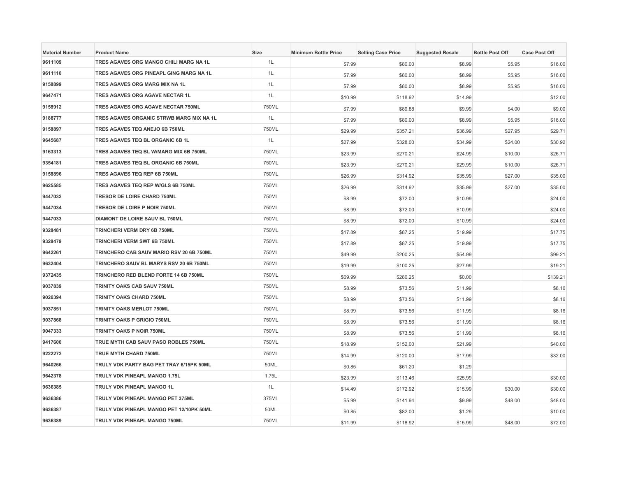| <b>Material Number</b> | <b>Product Name</b>                      | <b>Size</b> | <b>Minimum Bottle Price</b> | <b>Selling Case Price</b> | <b>Suggested Resale</b> | <b>Bottle Post Off</b> | <b>Case Post Off</b> |
|------------------------|------------------------------------------|-------------|-----------------------------|---------------------------|-------------------------|------------------------|----------------------|
| 9611109                | TRES AGAVES ORG MANGO CHILI MARG NA 1L   | 1L          | \$7.99                      | \$80.00                   | \$8.99                  | \$5.95                 | \$16.00              |
| 9611110                | TRES AGAVES ORG PINEAPL GING MARG NA 1L  | 1L          | \$7.99                      | \$80.00                   | \$8.99                  | \$5.95                 | \$16.00              |
| 9158899                | TRES AGAVES ORG MARG MIX NA 1L           | 1L          | \$7.99                      | \$80.00                   | \$8.99                  | \$5.95                 | \$16.00              |
| 9647471                | TRES AGAVES ORG AGAVE NECTAR 1L          | 1L          | \$10.99                     | \$118.92                  | \$14.99                 |                        | \$12.00              |
| 9158912                | TRES AGAVES ORG AGAVE NECTAR 750ML       | 750ML       | \$7.99                      | \$89.88                   | \$9.99                  | \$4.00                 | \$9.00               |
| 9188777                | TRES AGAVES ORGANIC STRWB MARG MIX NA 1L | 1L          | \$7.99                      | \$80.00                   | \$8.99                  | \$5.95                 | \$16.00              |
| 9158897                | TRES AGAVES TEQ ANEJO 6B 750ML           | 750ML       | \$29.99                     | \$357.21                  | \$36.99                 | \$27.95                | \$29.71              |
| 9645687                | TRES AGAVES TEQ BL ORGANIC 6B 1L         | 1L          | \$27.99                     | \$328.00                  | \$34.99                 | \$24.00                | \$30.92              |
| 9163313                | TRES AGAVES TEQ BL W/MARG MIX 6B 750ML   | 750ML       | \$23.99                     | \$270.21                  | \$24.99                 | \$10.00                | \$26.71              |
| 9354181                | TRES AGAVES TEQ BL ORGANIC 6B 750ML      | 750ML       | \$23.99                     | \$270.21                  | \$29.99                 | \$10.00                | \$26.71              |
| 9158896                | TRES AGAVES TEQ REP 6B 750ML             | 750ML       | \$26.99                     | \$314.92                  | \$35.99                 | \$27.00                | \$35.00              |
| 9625585                | TRES AGAVES TEQ REP W/GLS 6B 750ML       | 750ML       | \$26.99                     | \$314.92                  | \$35.99                 | \$27.00                | \$35.00              |
| 9447032                | TRESOR DE LOIRE CHARD 750ML              | 750ML       | \$8.99                      | \$72.00                   | \$10.99                 |                        | \$24.00              |
| 9447034                | TRESOR DE LOIRE P NOIR 750ML             | 750ML       | \$8.99                      | \$72.00                   | \$10.99                 |                        | \$24.00              |
| 9447033                | DIAMONT DE LOIRE SAUV BL 750ML           | 750ML       | \$8.99                      | \$72.00                   | \$10.99                 |                        | \$24.00              |
| 9328481                | TRINCHERI VERM DRY 6B 750ML              | 750ML       | \$17.89                     | \$87.25                   | \$19.99                 |                        | \$17.75              |
| 9328479                | TRINCHERI VERM SWT 6B 750ML              | 750ML       | \$17.89                     | \$87.25                   | \$19.99                 |                        | \$17.75              |
| 9642261                | TRINCHERO CAB SAUV MARIO RSV 20 6B 750ML | 750ML       | \$49.99                     | \$200.25                  | \$54.99                 |                        | \$99.21              |
| 9632404                | TRINCHERO SAUV BL MARYS RSV 20 6B 750ML  | 750ML       | \$19.99                     | \$100.25                  | \$27.99                 |                        | \$19.21              |
| 9372435                | TRINCHERO RED BLEND FORTE 14 6B 750ML    | 750ML       | \$69.99                     | \$280.25                  | \$0.00                  |                        | \$139.21             |
| 9037839                | TRINITY OAKS CAB SAUV 750ML              | 750ML       | \$8.99                      | \$73.56                   | \$11.99                 |                        | \$8.16               |
| 9026394                | TRINITY OAKS CHARD 750ML                 | 750ML       | \$8.99                      | \$73.56                   | \$11.99                 |                        | \$8.16               |
| 9037851                | TRINITY OAKS MERLOT 750ML                | 750ML       | \$8.99                      | \$73.56                   | \$11.99                 |                        | \$8.16               |
| 9037868                | <b>TRINITY OAKS P GRIGIO 750ML</b>       | 750ML       | \$8.99                      | \$73.56                   | \$11.99                 |                        | \$8.16               |
| 9047333                | TRINITY OAKS P NOIR 750ML                | 750ML       | \$8.99                      | \$73.56                   | \$11.99                 |                        | \$8.16               |
| 9417600                | TRUE MYTH CAB SAUV PASO ROBLES 750ML     | 750ML       | \$18.99                     | \$152.00                  | \$21.99                 |                        | \$40.00              |
| 9222272                | <b>TRUE MYTH CHARD 750ML</b>             | 750ML       | \$14.99                     | \$120.00                  | \$17.99                 |                        | \$32.00              |
| 9640266                | TRULY VDK PARTY BAG PET TRAY 6/15PK 50ML | 50ML        | \$0.85                      | \$61.20                   | \$1.29                  |                        |                      |
| 9642378                | TRULY VDK PINEAPL MANGO 1.75L            | 1.75L       | \$23.99                     | \$113.46                  | \$25.99                 |                        | \$30.00              |
| 9636385                | TRULY VDK PINEAPL MANGO 1L               | 1L          | \$14.49                     | \$172.92                  | \$15.99                 | \$30.00                | \$30.00              |
| 9636386                | TRULY VDK PINEAPL MANGO PET 375ML        | 375ML       | \$5.99                      | \$141.94                  | \$9.99                  | \$48.00                | \$48.00              |
| 9636387                | TRULY VDK PINEAPL MANGO PET 12/10PK 50ML | 50ML        | \$0.85                      | \$82.00                   | \$1.29                  |                        | \$10.00              |
| 9636389                | TRULY VDK PINEAPL MANGO 750ML            | 750ML       | \$11.99                     | \$118.92                  | \$15.99                 | \$48.00                | \$72.00              |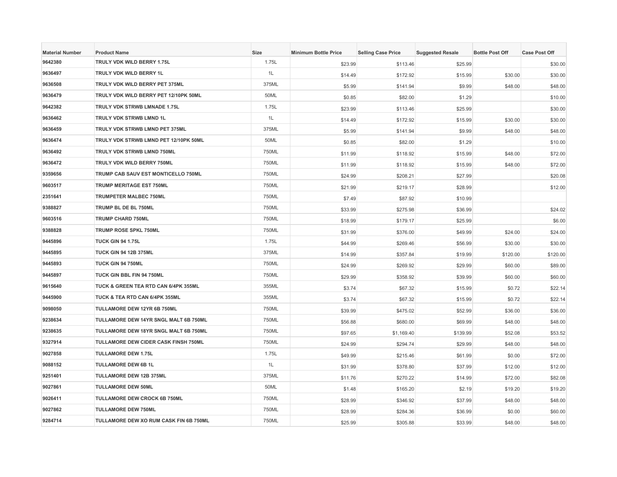| <b>Material Number</b> | <b>Product Name</b>                    | <b>Size</b> | <b>Minimum Bottle Price</b> | <b>Selling Case Price</b> | <b>Suggested Resale</b> | <b>Bottle Post Off</b> | <b>Case Post Off</b> |
|------------------------|----------------------------------------|-------------|-----------------------------|---------------------------|-------------------------|------------------------|----------------------|
| 9642380                | TRULY VDK WILD BERRY 1.75L             | 1.75L       | \$23.99                     | \$113.46                  | \$25.99                 |                        | \$30.00              |
| 9636497                | TRULY VDK WILD BERRY 1L                | 1L          | \$14.49                     | \$172.92                  | \$15.99                 | \$30.00                | \$30.00              |
| 9636508                | TRULY VDK WILD BERRY PET 375ML         | 375ML       | \$5.99                      | \$141.94                  | \$9.99                  | \$48.00                | \$48.00              |
| 9636479                | TRULY VDK WILD BERRY PET 12/10PK 50ML  | 50ML        | \$0.85                      | \$82.00                   | \$1.29                  |                        | \$10.00              |
| 9642382                | TRULY VDK STRWB LMNADE 1.75L           | 1.75L       | \$23.99                     | \$113.46                  | \$25.99                 |                        | \$30.00              |
| 9636462                | TRULY VDK STRWB LMND 1L                | 1L          | \$14.49                     | \$172.92                  | \$15.99                 | \$30.00                | \$30.00              |
| 9636459                | TRULY VDK STRWB LMND PET 375ML         | 375ML       | \$5.99                      | \$141.94                  | \$9.99                  | \$48.00                | \$48.00              |
| 9636474                | TRULY VDK STRWB LMND PET 12/10PK 50ML  | 50ML        | \$0.85                      | \$82.00                   | \$1.29                  |                        | \$10.00              |
| 9636492                | TRULY VDK STRWB LMND 750ML             | 750ML       | \$11.99                     | \$118.92                  | \$15.99                 | \$48.00                | \$72.00              |
| 9636472                | TRULY VDK WILD BERRY 750ML             | 750ML       | \$11.99                     | \$118.92                  | \$15.99                 | \$48.00                | \$72.00              |
| 9359656                | TRUMP CAB SAUV EST MONTICELLO 750ML    | 750ML       | \$24.99                     | \$208.21                  | \$27.99                 |                        | \$20.08              |
| 9603517                | <b>TRUMP MERITAGE EST 750ML</b>        | 750ML       | \$21.99                     | \$219.17                  | \$28.99                 |                        | \$12.00              |
| 2351641                | TRUMPETER MALBEC 750ML                 | 750ML       | \$7.49                      | \$87.92                   | \$10.99                 |                        |                      |
| 9388827                | TRUMP BL DE BL 750ML                   | 750ML       | \$33.99                     | \$275.98                  | \$36.99                 |                        | \$24.02              |
| 9603516                | <b>TRUMP CHARD 750ML</b>               | 750ML       | \$18.99                     | \$179.17                  | \$25.99                 |                        | \$6.00               |
| 9388828                | TRUMP ROSE SPKL 750ML                  | 750ML       | \$31.99                     | \$376.00                  | \$49.99                 | \$24.00                | \$24.00              |
| 9445896                | <b>TUCK GIN 94 1.75L</b>               | 1.75L       | \$44.99                     | \$269.46                  | \$56.99                 | \$30.00                | \$30.00              |
| 9445895                | <b>TUCK GIN 94 12B 375ML</b>           | 375ML       | \$14.99                     | \$357.84                  | \$19.99                 | \$120.00               | \$120.00             |
| 9445893                | TUCK GIN 94 750ML                      | 750ML       | \$24.99                     | \$269.92                  | \$29.99                 | \$60.00                | \$89.00              |
| 9445897                | TUCK GIN BBL FIN 94 750ML              | 750ML       | \$29.99                     | \$358.92                  | \$39.99                 | \$60.00                | \$60.00              |
| 9615640                | TUCK & GREEN TEA RTD CAN 6/4PK 355ML   | 355ML       | \$3.74                      | \$67.32                   | \$15.99                 | \$0.72                 | \$22.14              |
| 9445900                | TUCK & TEA RTD CAN 6/4PK 355ML         | 355ML       | \$3.74                      | \$67.32                   | \$15.99                 | \$0.72                 | \$22.14              |
| 9098050                | TULLAMORE DEW 12YR 6B 750ML            | 750ML       | \$39.99                     | \$475.02                  | \$52.99                 | \$36.00                | \$36.00              |
| 9238634                | TULLAMORE DEW 14YR SNGL MALT 6B 750ML  | 750ML       | \$56.88                     | \$680.00                  | \$69.99                 | \$48.00                | \$48.00              |
| 9238635                | TULLAMORE DEW 18YR SNGL MALT 6B 750ML  | 750ML       | \$97.65                     | \$1,169.40                | \$139.99                | \$52.08                | \$53.52              |
| 9327914                | TULLAMORE DEW CIDER CASK FINSH 750ML   | 750ML       | \$24.99                     | \$294.74                  | \$29.99                 | \$48.00                | \$48.00              |
| 9027858                | <b>TULLAMORE DEW 1.75L</b>             | 1.75L       | \$49.99                     | \$215.46                  | \$61.99                 | \$0.00                 | \$72.00              |
| 9088152                | <b>TULLAMORE DEW 6B 1L</b>             | 1L          | \$31.99                     | \$378.80                  | \$37.99                 | \$12.00                | \$12.00              |
| 9251401                | TULLAMORE DEW 12B 375ML                | 375ML       | \$11.76                     | \$270.22                  | \$14.99                 | \$72.00                | \$82.08              |
| 9027861                | <b>TULLAMORE DEW 50ML</b>              | 50ML        | \$1.48                      | \$165.20                  | \$2.19                  | \$19.20                | \$19.20              |
| 9026411                | TULLAMORE DEW CROCK 6B 750ML           | 750ML       | \$28.99                     | \$346.92                  | \$37.99                 | \$48.00                | \$48.00              |
| 9027862                | <b>TULLAMORE DEW 750ML</b>             | 750ML       | \$28.99                     | \$284.36                  | \$36.99                 | \$0.00                 | \$60.00              |
| 9284714                | TULLAMORE DEW XO RUM CASK FIN 6B 750ML | 750ML       | \$25.99                     | \$305.88                  | \$33.99                 | \$48.00                | \$48.00              |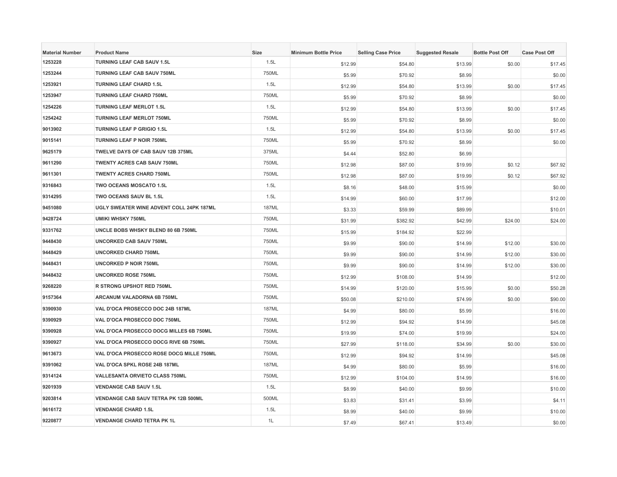| <b>Material Number</b> | <b>Product Name</b>                             | <b>Size</b>  | <b>Minimum Bottle Price</b> | <b>Selling Case Price</b> | <b>Suggested Resale</b> | <b>Bottle Post Off</b> | <b>Case Post Off</b> |
|------------------------|-------------------------------------------------|--------------|-----------------------------|---------------------------|-------------------------|------------------------|----------------------|
| 1253228                | TURNING LEAF CAB SAUV 1.5L                      | 1.5L         | \$12.99                     | \$54.80                   | \$13.99                 | \$0.00                 | \$17.45              |
| 1253244                | TURNING LEAF CAB SAUV 750ML                     | 750ML        | \$5.99                      | \$70.92                   | \$8.99                  |                        | \$0.00               |
| 1253921                | <b>TURNING LEAF CHARD 1.5L</b>                  | 1.5L         | \$12.99                     | \$54.80                   | \$13.99                 | \$0.00                 | \$17.45              |
| 1253947                | <b>TURNING LEAF CHARD 750ML</b>                 | 750ML        | \$5.99                      | \$70.92                   | \$8.99                  |                        | \$0.00               |
| 1254226                | <b>TURNING LEAF MERLOT 1.5L</b>                 | 1.5L         | \$12.99                     | \$54.80                   | \$13.99                 | \$0.00                 | \$17.45              |
| 1254242                | <b>TURNING LEAF MERLOT 750ML</b>                | 750ML        | \$5.99                      | \$70.92                   | \$8.99                  |                        | \$0.00               |
| 9013902                | <b>TURNING LEAF P GRIGIO 1.5L</b>               | 1.5L         | \$12.99                     | \$54.80                   | \$13.99                 | \$0.00                 | \$17.45              |
| 9015141                | <b>TURNING LEAF P NOIR 750ML</b>                | 750ML        | \$5.99                      | \$70.92                   | \$8.99                  |                        | \$0.00               |
| 9625179                | TWELVE DAYS OF CAB SAUV 12B 375ML               | 375ML        | \$4.44                      | \$52.80                   | \$6.99                  |                        |                      |
| 9611290                | <b>TWENTY ACRES CAB SAUV 750ML</b>              | 750ML        | \$12.98                     | \$87.00                   | \$19.99                 | \$0.12                 | \$67.92              |
| 9611301                | <b>TWENTY ACRES CHARD 750ML</b>                 | 750ML        | \$12.98                     | \$87.00                   | \$19.99                 | \$0.12                 | \$67.92              |
| 9316843                | TWO OCEANS MOSCATO 1.5L                         | 1.5L         | \$8.16                      | \$48.00                   | \$15.99                 |                        | \$0.00               |
| 9314295                | TWO OCEANS SAUV BL 1.5L                         | 1.5L         | \$14.99                     | \$60.00                   | \$17.99                 |                        | \$12.00              |
| 9451080                | <b>UGLY SWEATER WINE ADVENT COLL 24PK 187ML</b> | <b>187ML</b> | \$3.33                      | \$59.99                   | \$89.99                 |                        | \$10.01              |
| 9428724                | <b>UMIKI WHSKY 750ML</b>                        | 750ML        | \$31.99                     | \$382.92                  | \$42.99                 | \$24.00                | \$24.00              |
| 9331762                | UNCLE BOBS WHSKY BLEND 80 6B 750ML              | 750ML        | \$15.99                     | \$184.92                  | \$22.99                 |                        |                      |
| 9448430                | <b>UNCORKED CAB SAUV 750ML</b>                  | 750ML        | \$9.99                      | \$90.00                   | \$14.99                 | \$12.00                | \$30.00              |
| 9448429                | <b>UNCORKED CHARD 750ML</b>                     | 750ML        | \$9.99                      | \$90.00                   | \$14.99                 | \$12.00                | \$30.00              |
| 9448431                | <b>UNCORKED P NOIR 750ML</b>                    | 750ML        | \$9.99                      | \$90.00                   | \$14.99                 | \$12.00                | \$30.00              |
| 9448432                | <b>UNCORKED ROSE 750ML</b>                      | 750ML        | \$12.99                     | \$108.00                  | \$14.99                 |                        | \$12.00              |
| 9268220                | R STRONG UPSHOT RED 750ML                       | 750ML        | \$14.99                     | \$120.00                  | \$15.99                 | \$0.00                 | \$50.28              |
| 9157364                | ARCANUM VALADORNA 6B 750ML                      | 750ML        | \$50.08                     | \$210.00                  | \$74.99                 | \$0.00                 | \$90.00              |
| 9390930                | VAL D'OCA PROSECCO DOC 24B 187ML                | <b>187ML</b> | \$4.99                      | \$80.00                   | \$5.99                  |                        | \$16.00              |
| 9390929                | VAL D'OCA PROSECCO DOC 750ML                    | 750ML        | \$12.99                     | \$94.92                   | \$14.99                 |                        | \$45.08              |
| 9390928                | VAL D'OCA PROSECCO DOCG MILLES 6B 750ML         | 750ML        | \$19.99                     | \$74.00                   | \$19.99                 |                        | \$24.00              |
| 9390927                | VAL D'OCA PROSECCO DOCG RIVE 6B 750ML           | 750ML        | \$27.99                     | \$118.00                  | \$34.99                 | \$0.00                 | \$30.00              |
| 9613673                | VAL D'OCA PROSECCO ROSE DOCG MILLE 750ML        | 750ML        | \$12.99                     | \$94.92                   | \$14.99                 |                        | \$45.08              |
| 9391062                | VAL D'OCA SPKL ROSE 24B 187ML                   | <b>187ML</b> | \$4.99                      | \$80.00                   | \$5.99                  |                        | \$16.00              |
| 9314124                | VALLESANTA ORVIETO CLASS 750ML                  | 750ML        | \$12.99                     | \$104.00                  | \$14.99                 |                        | \$16.00              |
| 9201939                | <b>VENDANGE CAB SAUV 1.5L</b>                   | 1.5L         | \$8.99                      | \$40.00                   | \$9.99                  |                        | \$10.00              |
| 9203814                | VENDANGE CAB SAUV TETRA PK 12B 500ML            | 500ML        | \$3.83                      | \$31.41                   | \$3.99                  |                        | \$4.11               |
| 9616172                | <b>VENDANGE CHARD 1.5L</b>                      | 1.5L         | \$8.99                      | \$40.00                   | \$9.99                  |                        | \$10.00              |
| 9220877                | <b>VENDANGE CHARD TETRA PK 1L</b>               | 1L           | \$7.49                      | \$67.41                   | \$13.49                 |                        | \$0.00               |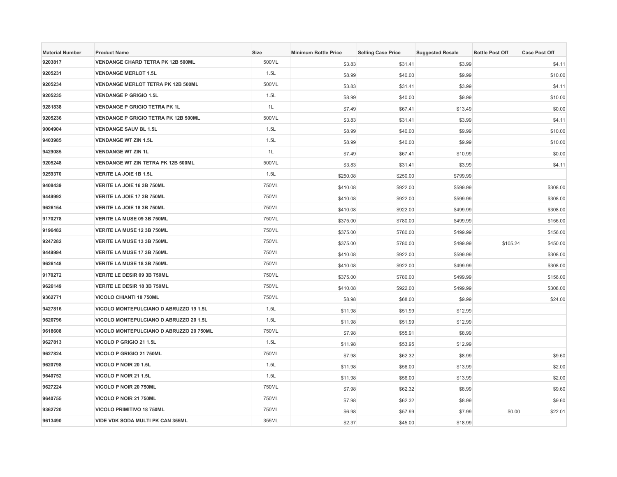| <b>Material Number</b> | <b>Product Name</b>                         | <b>Size</b> | <b>Minimum Bottle Price</b> | <b>Selling Case Price</b> | <b>Suggested Resale</b> | <b>Bottle Post Off</b> | <b>Case Post Off</b> |
|------------------------|---------------------------------------------|-------------|-----------------------------|---------------------------|-------------------------|------------------------|----------------------|
| 9203817                | <b>VENDANGE CHARD TETRA PK 12B 500ML</b>    | 500ML       | \$3.83                      | \$31.41                   | \$3.99                  |                        | \$4.11               |
| 9205231                | <b>VENDANGE MERLOT 1.5L</b>                 | 1.5L        | \$8.99                      | \$40.00                   | \$9.99                  |                        | \$10.00              |
| 9205234                | <b>VENDANGE MERLOT TETRA PK 12B 500ML</b>   | 500ML       | \$3.83                      | \$31.41                   | \$3.99                  |                        | \$4.11               |
| 9205235                | <b>VENDANGE P GRIGIO 1.5L</b>               | 1.5L        | \$8.99                      | \$40.00                   | \$9.99                  |                        | \$10.00              |
| 9281838                | <b>VENDANGE P GRIGIO TETRA PK 1L</b>        | 1L          | \$7.49                      | \$67.41                   | \$13.49                 |                        | \$0.00               |
| 9205236                | <b>VENDANGE P GRIGIO TETRA PK 12B 500ML</b> | 500ML       | \$3.83                      | \$31.41                   | \$3.99                  |                        | \$4.11               |
| 9004904                | <b>VENDANGE SAUV BL 1.5L</b>                | 1.5L        | \$8.99                      | \$40.00                   | \$9.99                  |                        | \$10.00              |
| 9403985                | <b>VENDANGE WT ZIN 1.5L</b>                 | 1.5L        | \$8.99                      | \$40.00                   | \$9.99                  |                        | \$10.00              |
| 9429085                | <b>VENDANGE WT ZIN 1L</b>                   | 1L          | \$7.49                      | \$67.41                   | \$10.99                 |                        | \$0.00               |
| 9205248                | VENDANGE WT ZIN TETRA PK 12B 500ML          | 500ML       | \$3.83                      | \$31.41                   | \$3.99                  |                        | \$4.11               |
| 9259370                | VERITE LA JOIE 1B 1.5L                      | 1.5L        | \$250.08                    | \$250.00                  | \$799.99                |                        |                      |
| 9408439                | VERITE LA JOIE 16 3B 750ML                  | 750ML       | \$410.08                    | \$922.00                  | \$599.99                |                        | \$308.00             |
| 9449992                | VERITE LA JOIE 17 3B 750ML                  | 750ML       | \$410.08                    | \$922.00                  | \$599.99                |                        | \$308.00             |
| 9626154                | VERITE LA JOIE 18 3B 750ML                  | 750ML       | \$410.08                    | \$922.00                  | \$499.99                |                        | \$308.00             |
| 9170278                | VERITE LA MUSE 09 3B 750ML                  | 750ML       | \$375.00                    | \$780.00                  | \$499.99                |                        | \$156.00             |
| 9196482                | VERITE LA MUSE 12 3B 750ML                  | 750ML       | \$375.00                    | \$780.00                  | \$499.99                |                        | \$156.00             |
| 9247282                | VERITE LA MUSE 13 3B 750ML                  | 750ML       | \$375.00                    | \$780.00                  | \$499.99                | \$105.24               | \$450.00             |
| 9449994                | VERITE LA MUSE 17 3B 750ML                  | 750ML       | \$410.08                    | \$922.00                  | \$599.99                |                        | \$308.00             |
| 9626148                | VERITE LA MUSE 18 3B 750ML                  | 750ML       | \$410.08                    | \$922.00                  | \$499.99                |                        | \$308.00             |
| 9170272                | VERITE LE DESIR 09 3B 750ML                 | 750ML       | \$375.00                    | \$780.00                  | \$499.99                |                        | \$156.00             |
| 9626149                | VERITE LE DESIR 18 3B 750ML                 | 750ML       | \$410.08                    | \$922.00                  | \$499.99                |                        | \$308.00             |
| 9362771                | <b>VICOLO CHIANTI 18 750ML</b>              | 750ML       | \$8.98                      | \$68.00                   | \$9.99                  |                        | \$24.00              |
| 9427816                | VICOLO MONTEPULCIANO D ABRUZZO 19 1.5L      | 1.5L        | \$11.98                     | \$51.99                   | \$12.99                 |                        |                      |
| 9620796                | VICOLO MONTEPULCIANO D ABRUZZO 20 1.5L      | 1.5L        | \$11.98                     | \$51.99                   | \$12.99                 |                        |                      |
| 9618608                | VICOLO MONTEPULCIANO D ABRUZZO 20 750ML     | 750ML       | \$7.98                      | \$55.91                   | \$8.99                  |                        |                      |
| 9627813                | VICOLO P GRIGIO 21 1.5L                     | 1.5L        | \$11.98                     | \$53.95                   | \$12.99                 |                        |                      |
| 9627824                | VICOLO P GRIGIO 21 750ML                    | 750ML       | \$7.98                      | \$62.32                   | \$8.99                  |                        | \$9.60               |
| 9620798                | VICOLO P NOIR 20 1.5L                       | 1.5L        | \$11.98                     | \$56.00                   | \$13.99                 |                        | \$2.00               |
| 9640752                | VICOLO P NOIR 21 1.5L                       | 1.5L        | \$11.98                     | \$56.00                   | \$13.99                 |                        | \$2.00               |
| 9627224                | VICOLO P NOIR 20 750ML                      | 750ML       | \$7.98                      | \$62.32                   | \$8.99                  |                        | \$9.60               |
| 9640755                | VICOLO P NOIR 21 750ML                      | 750ML       | \$7.98                      | \$62.32                   | \$8.99                  |                        | \$9.60               |
| 9362720                | <b>VICOLO PRIMITIVO 18 750ML</b>            | 750ML       | \$6.98                      | \$57.99                   | \$7.99                  | \$0.00                 | \$22.01              |
| 9613490                | <b>VIDE VDK SODA MULTI PK CAN 355ML</b>     | 355ML       | \$2.37                      | \$45.00                   | \$18.99                 |                        |                      |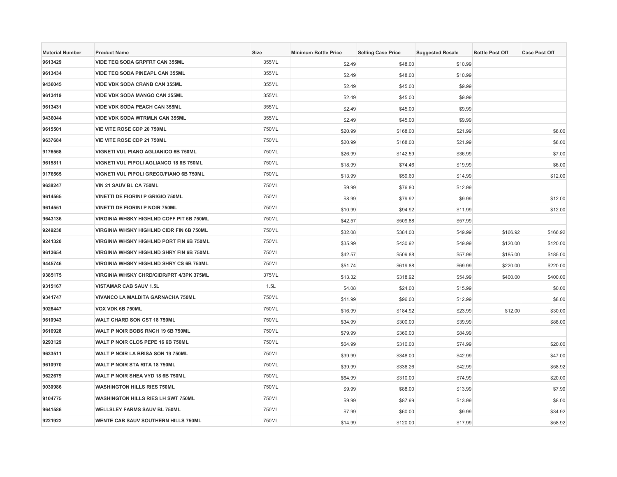| <b>Material Number</b> | <b>Product Name</b>                             | Size  | <b>Minimum Bottle Price</b> | <b>Selling Case Price</b> | <b>Suggested Resale</b> | <b>Bottle Post Off</b> | <b>Case Post Off</b> |
|------------------------|-------------------------------------------------|-------|-----------------------------|---------------------------|-------------------------|------------------------|----------------------|
| 9613429                | VIDE TEQ SODA GRPFRT CAN 355ML                  | 355ML | \$2.49                      | \$48.00                   | \$10.99                 |                        |                      |
| 9613434                | <b>VIDE TEQ SODA PINEAPL CAN 355ML</b>          | 355ML | \$2.49                      | \$48.00                   | \$10.99                 |                        |                      |
| 9436045                | <b>VIDE VDK SODA CRANB CAN 355ML</b>            | 355ML | \$2.49                      | \$45.00                   | \$9.99                  |                        |                      |
| 9613419                | VIDE VDK SODA MANGO CAN 355ML                   | 355ML | \$2.49                      | \$45.00                   | \$9.99                  |                        |                      |
| 9613431                | VIDE VDK SODA PEACH CAN 355ML                   | 355ML | \$2.49                      | \$45.00                   | \$9.99                  |                        |                      |
| 9436044                | <b>VIDE VDK SODA WTRMLN CAN 355ML</b>           | 355ML | \$2.49                      | \$45.00                   | \$9.99                  |                        |                      |
| 9615501                | VIE VITE ROSE CDP 20 750ML                      | 750ML | \$20.99                     | \$168.00                  | \$21.99                 |                        | \$8.00               |
| 9637684                | VIE VITE ROSE CDP 21 750ML                      | 750ML | \$20.99                     | \$168.00                  | \$21.99                 |                        | \$8.00               |
| 9176568                | VIGNETI VUL PIANO AGLIANICO 6B 750ML            | 750ML | \$26.99                     | \$142.59                  | \$36.99                 |                        | \$7.00               |
| 9615811                | VIGNETI VUL PIPOLI AGLIANCO 18 6B 750ML         | 750ML | \$18.99                     | \$74.46                   | \$19.99                 |                        | \$6.00               |
| 9176565                | VIGNETI VUL PIPOLI GRECO/FIANO 6B 750ML         | 750ML | \$13.99                     | \$59.60                   | \$14.99                 |                        | \$12.00              |
| 9638247                | VIN 21 SAUV BL CA 750ML                         | 750ML | \$9.99                      | \$76.80                   | \$12.99                 |                        |                      |
| 9614565                | VINETTI DE FIORINI P GRIGIO 750ML               | 750ML | \$8.99                      | \$79.92                   | \$9.99                  |                        | \$12.00              |
| 9614551                | <b>VINETTI DE FIORINI P NOIR 750ML</b>          | 750ML | \$10.99                     | \$94.92                   | \$11.99                 |                        | \$12.00              |
| 9643136                | <b>VIRGINIA WHSKY HIGHLND COFF PIT 6B 750ML</b> | 750ML | \$42.57                     | \$509.88                  | \$57.99                 |                        |                      |
| 9249238                | <b>VIRGINIA WHSKY HIGHLND CIDR FIN 6B 750ML</b> | 750ML | \$32.08                     | \$384.00                  | \$49.99                 | \$166.92               | \$166.92             |
| 9241320                | VIRGINIA WHSKY HIGHLND PORT FIN 6B 750ML        | 750ML | \$35.99                     | \$430.92                  | \$49.99                 | \$120.00               | \$120.00             |
| 9613654                | VIRGINIA WHSKY HIGHLND SHRY FIN 6B 750ML        | 750ML | \$42.57                     | \$509.88                  | \$57.99                 | \$185.00               | \$185.00             |
| 9445746                | <b>VIRGINIA WHSKY HIGHLND SHRY CS 6B 750ML</b>  | 750ML | \$51.74                     | \$619.88                  | \$69.99                 | \$220.00               | \$220.00             |
| 9385175                | VIRGINIA WHSKY CHRD/CIDR/PRT 4/3PK 375ML        | 375ML | \$13.32                     | \$318.92                  | \$54.99                 | \$400.00               | \$400.00             |
| 9315167                | <b>VISTAMAR CAB SAUV 1.5L</b>                   | 1.5L  | \$4.08                      | \$24.00                   | \$15.99                 |                        | \$0.00               |
| 9341747                | VIVANCO LA MALDITA GARNACHA 750ML               | 750ML | \$11.99                     | \$96.00                   | \$12.99                 |                        | \$8.00               |
| 9026447                | VOX VDK 6B 750ML                                | 750ML | \$16.99                     | \$184.92                  | \$23.99                 | \$12.00                | \$30.00              |
| 9610943                | WALT CHARD SON CST 18 750ML                     | 750ML | \$34.99                     | \$300.00                  | \$39.99                 |                        | \$88.00              |
| 9616928                | WALT P NOIR BOBS RNCH 19 6B 750ML               | 750ML | \$79.99                     | \$360.00                  | \$84.99                 |                        |                      |
| 9293129                | WALT P NOIR CLOS PEPE 16 6B 750ML               | 750ML | \$64.99                     | \$310.00                  | \$74.99                 |                        | \$20.00              |
| 9633511                | WALT P NOIR LA BRISA SON 19 750ML               | 750ML | \$39.99                     | \$348.00                  | \$42.99                 |                        | \$47.00              |
| 9610970                | WALT P NOIR STA RITA 18 750ML                   | 750ML | \$39.99                     | \$336.26                  | \$42.99                 |                        | \$58.92              |
| 9622679                | WALT P NOIR SHEA VYD 18 6B 750ML                | 750ML | \$64.99                     | \$310.00                  | \$74.99                 |                        | \$20.00              |
| 9030986                | <b>WASHINGTON HILLS RIES 750ML</b>              | 750ML | \$9.99                      | \$88.00                   | \$13.99                 |                        | \$7.99               |
| 9104775                | WASHINGTON HILLS RIES LH SWT 750ML              | 750ML | \$9.99                      | \$87.99                   | \$13.99                 |                        | \$8.00               |
| 9641586                | <b>WELLSLEY FARMS SAUV BL 750ML</b>             | 750ML | \$7.99                      | \$60.00                   | \$9.99                  |                        | \$34.92              |
| 9221922                | WENTE CAB SAUV SOUTHERN HILLS 750ML             | 750ML | \$14.99                     | \$120.00                  | \$17.99                 |                        | \$58.92              |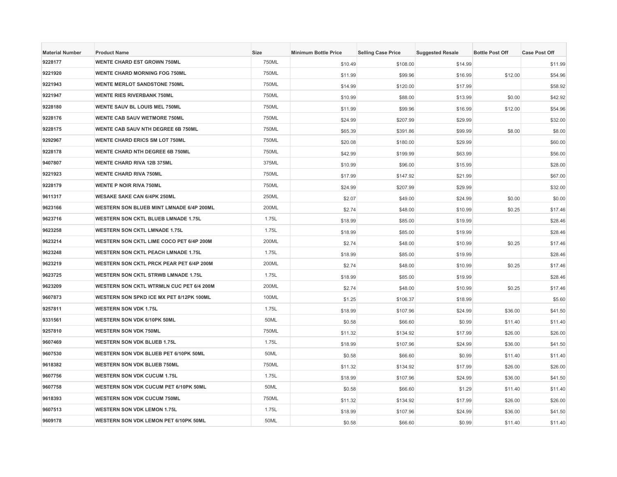| <b>Material Number</b> | <b>Product Name</b>                        | <b>Size</b> | <b>Minimum Bottle Price</b> | <b>Selling Case Price</b> | <b>Suggested Resale</b> | <b>Bottle Post Off</b> | <b>Case Post Off</b> |
|------------------------|--------------------------------------------|-------------|-----------------------------|---------------------------|-------------------------|------------------------|----------------------|
| 9228177                | <b>WENTE CHARD EST GROWN 750ML</b>         | 750ML       | \$10.49                     | \$108.00                  | \$14.99                 |                        | \$11.99              |
| 9221920                | <b>WENTE CHARD MORNING FOG 750ML</b>       | 750ML       | \$11.99                     | \$99.96                   | \$16.99                 | \$12.00                | \$54.96              |
| 9221943                | <b>WENTE MERLOT SANDSTONE 750ML</b>        | 750ML       | \$14.99                     | \$120.00                  | \$17.99                 |                        | \$58.92              |
| 9221947                | <b>WENTE RIES RIVERBANK 750ML</b>          | 750ML       | \$10.99                     | \$88.00                   | \$13.99                 | \$0.00                 | \$42.92              |
| 9228180                | WENTE SAUV BL LOUIS MEL 750ML              | 750ML       | \$11.99                     | \$99.96                   | \$16.99                 | \$12.00                | \$54.96              |
| 9228176                | <b>WENTE CAB SAUV WETMORE 750ML</b>        | 750ML       | \$24.99                     | \$207.99                  | \$29.99                 |                        | \$32.00              |
| 9228175                | <b>WENTE CAB SAUV NTH DEGREE 6B 750ML</b>  | 750ML       | \$65.39                     | \$391.86                  | \$99.99                 | \$8.00                 | \$8.00               |
| 9292967                | <b>WENTE CHARD ERICS SM LOT 750ML</b>      | 750ML       | \$20.08                     | \$180.00                  | \$29.99                 |                        | \$60.00              |
| 9228178                | <b>WENTE CHARD NTH DEGREE 6B 750ML</b>     | 750ML       | \$42.99                     | \$199.99                  | \$63.99                 |                        | \$56.00              |
| 9407807                | <b>WENTE CHARD RIVA 12B 375ML</b>          | 375ML       | \$10.99                     | \$96.00                   | \$15.99                 |                        | \$28.00              |
| 9221923                | <b>WENTE CHARD RIVA 750ML</b>              | 750ML       | \$17.99                     | \$147.92                  | \$21.99                 |                        | \$67.00              |
| 9228179                | <b>WENTE P NOIR RIVA 750ML</b>             | 750ML       | \$24.99                     | \$207.99                  | \$29.99                 |                        | \$32.00              |
| 9611317                | <b>WESAKE SAKE CAN 6/4PK 250ML</b>         | 250ML       | \$2.07                      | \$49.00                   | \$24.99                 | \$0.00                 | \$0.00               |
| 9623166                | WESTERN SON BLUEB MINT LMNADE 6/4P 200ML   | 200ML       | \$2.74                      | \$48.00                   | \$10.99                 | \$0.25                 | \$17.46              |
| 9623716                | <b>WESTERN SON CKTL BLUEB LMNADE 1.75L</b> | 1.75L       | \$18.99                     | \$85.00                   | \$19.99                 |                        | \$28.46              |
| 9623258                | <b>WESTERN SON CKTL LMNADE 1.75L</b>       | 1.75L       | \$18.99                     | \$85.00                   | \$19.99                 |                        | \$28.46              |
| 9623214                | WESTERN SON CKTL LIME COCO PET 6/4P 200M   | 200ML       | \$2.74                      | \$48.00                   | \$10.99                 | \$0.25                 | \$17.46              |
| 9623248                | <b>WESTERN SON CKTL PEACH LMNADE 1.75L</b> | 1.75L       | \$18.99                     | \$85.00                   | \$19.99                 |                        | \$28.46              |
| 9623219                | WESTERN SON CKTL PRCK PEAR PET 6/4P 200M   | 200ML       | \$2.74                      | \$48.00                   | \$10.99                 | \$0.25                 | \$17.46              |
| 9623725                | <b>WESTERN SON CKTL STRWB LMNADE 1.75L</b> | 1.75L       | \$18.99                     | \$85.00                   | \$19.99                 |                        | \$28.46              |
| 9623209                | WESTERN SON CKTL WTRMLN CUC PET 6/4 200M   | 200ML       | \$2.74                      | \$48.00                   | \$10.99                 | \$0.25                 | \$17.46              |
| 9607873                | WESTERN SON SPKD ICE MX PET 8/12PK 100ML   | 100ML       | \$1.25                      | \$106.37                  | \$18.99                 |                        | \$5.60               |
| 9257811                | <b>WESTERN SON VDK 1.75L</b>               | 1.75L       | \$18.99                     | \$107.96                  | \$24.99                 | \$36.00                | \$41.50              |
| 9331561                | WESTERN SON VDK 6/10PK 50ML                | 50ML        | \$0.58                      | \$66.60                   | \$0.99                  | \$11.40                | \$11.40              |
| 9257810                | <b>WESTERN SON VDK 750ML</b>               | 750ML       | \$11.32                     | \$134.92                  | \$17.99                 | \$26.00                | \$26.00              |
| 9607469                | <b>WESTERN SON VDK BLUEB 1.75L</b>         | 1.75L       | \$18.99                     | \$107.96                  | \$24.99                 | \$36.00                | \$41.50              |
| 9607530                | WESTERN SON VDK BLUEB PET 6/10PK 50ML      | 50ML        | \$0.58                      | \$66.60                   | \$0.99                  | \$11.40                | \$11.40              |
| 9618382                | WESTERN SON VDK BLUEB 750ML                | 750ML       | \$11.32                     | \$134.92                  | \$17.99                 | \$26.00                | \$26.00              |
| 9607756                | <b>WESTERN SON VDK CUCUM 1.75L</b>         | 1.75L       | \$18.99                     | \$107.96                  | \$24.99                 | \$36.00                | \$41.50              |
| 9607758                | WESTERN SON VDK CUCUM PET 6/10PK 50ML      | 50ML        | \$0.58                      | \$66.60                   | \$1.29                  | \$11.40                | \$11.40              |
| 9618393                | <b>WESTERN SON VDK CUCUM 750ML</b>         | 750ML       | \$11.32                     | \$134.92                  | \$17.99                 | \$26.00                | \$26.00              |
| 9607513                | <b>WESTERN SON VDK LEMON 1.75L</b>         | 1.75L       | \$18.99                     | \$107.96                  | \$24.99                 | \$36.00                | \$41.50              |
| 9609178                | WESTERN SON VDK LEMON PET 6/10PK 50ML      | 50ML        | \$0.58                      | \$66.60                   | \$0.99                  | \$11.40                | \$11.40              |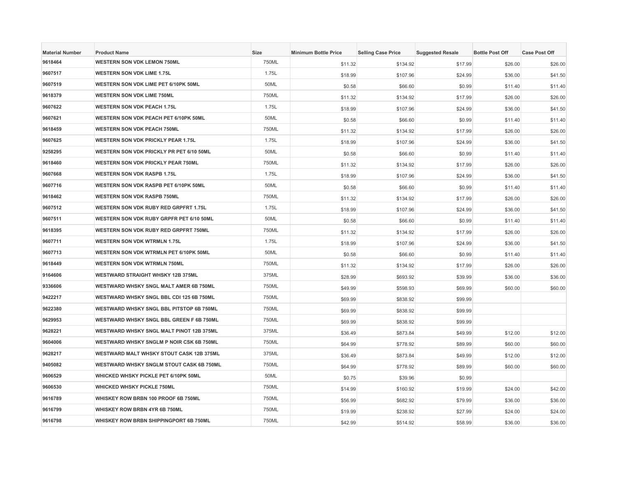| <b>Material Number</b> | <b>Product Name</b>                             | Size  | <b>Minimum Bottle Price</b> | <b>Selling Case Price</b> | <b>Suggested Resale</b> | <b>Bottle Post Off</b> | <b>Case Post Off</b> |
|------------------------|-------------------------------------------------|-------|-----------------------------|---------------------------|-------------------------|------------------------|----------------------|
| 9618464                | <b>WESTERN SON VDK LEMON 750ML</b>              | 750ML | \$11.32                     | \$134.92                  | \$17.99                 | \$26.00                | \$26.00              |
| 9607517                | <b>WESTERN SON VDK LIME 1.75L</b>               | 1.75L | \$18.99                     | \$107.96                  | \$24.99                 | \$36.00                | \$41.50              |
| 9607519                | WESTERN SON VDK LIME PET 6/10PK 50ML            | 50ML  | \$0.58                      | \$66.60                   | \$0.99                  | \$11.40                | \$11.40              |
| 9618379                | <b>WESTERN SON VDK LIME 750ML</b>               | 750ML | \$11.32                     | \$134.92                  | \$17.99                 | \$26.00                | \$26.00              |
| 9607622                | <b>WESTERN SON VDK PEACH 1.75L</b>              | 1.75L | \$18.99                     | \$107.96                  | \$24.99                 | \$36.00                | \$41.50              |
| 9607621                | WESTERN SON VDK PEACH PET 6/10PK 50ML           | 50ML  | \$0.58                      | \$66.60                   | \$0.99                  | \$11.40                | \$11.40              |
| 9618459                | <b>WESTERN SON VDK PEACH 750ML</b>              | 750ML | \$11.32                     | \$134.92                  | \$17.99                 | \$26.00                | \$26.00              |
| 9607625                | WESTERN SON VDK PRICKLY PEAR 1.75L              | 1.75L | \$18.99                     | \$107.96                  | \$24.99                 | \$36.00                | \$41.50              |
| 9258295                | WESTERN SON VDK PRICKLY PR PET 6/10 50ML        | 50ML  | \$0.58                      | \$66,60                   | \$0.99                  | \$11.40                | \$11.40              |
| 9618460                | <b>WESTERN SON VDK PRICKLY PEAR 750ML</b>       | 750ML | \$11.32                     | \$134.92                  | \$17.99                 | \$26.00                | \$26.00              |
| 9607668                | <b>WESTERN SON VDK RASPB 1.75L</b>              | 1.75L | \$18.99                     | \$107.96                  | \$24.99                 | \$36.00                | \$41.50              |
| 9607716                | WESTERN SON VDK RASPB PET 6/10PK 50ML           | 50ML  | \$0.58                      | \$66.60                   | \$0.99                  | \$11.40                | \$11.40              |
| 9618462                | <b>WESTERN SON VDK RASPB 750ML</b>              | 750ML | \$11.32                     | \$134.92                  | \$17.99                 | \$26.00                | \$26.00              |
| 9607512                | WESTERN SON VDK RUBY RED GRPFRT 1.75L           | 1.75L | \$18.99                     | \$107.96                  | \$24.99                 | \$36.00                | \$41.50              |
| 9607511                | WESTERN SON VDK RUBY GRPFR PET 6/10 50ML        | 50ML  | \$0.58                      | \$66.60                   | \$0.99                  | \$11.40                | \$11.40              |
| 9618395                | WESTERN SON VDK RUBY RED GRPFRT 750ML           | 750ML | \$11.32                     | \$134.92                  | \$17.99                 | \$26.00                | \$26.00              |
| 9607711                | <b>WESTERN SON VDK WTRMLN 1.75L</b>             | 1.75L | \$18.99                     | \$107.96                  | \$24.99                 | \$36.00                | \$41.50              |
| 9607713                | WESTERN SON VDK WTRMLN PET 6/10PK 50ML          | 50ML  | \$0.58                      | \$66.60                   | \$0.99                  | \$11.40                | \$11.40              |
| 9618449                | <b>WESTERN SON VDK WTRMLN 750ML</b>             | 750ML | \$11.32                     | \$134.92                  | \$17.99                 | \$26.00                | \$26.00              |
| 9164606                | <b>WESTWARD STRAIGHT WHSKY 12B 375ML</b>        | 375ML | \$28.99                     | \$693.92                  | \$39.99                 | \$36.00                | \$36.00              |
| 9336606                | WESTWARD WHSKY SNGL MALT AMER 6B 750ML          | 750ML | \$49.99                     | \$598.93                  | \$69.99                 | \$60.00                | \$60.00              |
| 9422217                | WESTWARD WHSKY SNGL BBL CDI 125 6B 750ML        | 750ML | \$69.99                     | \$838.92                  | \$99.99                 |                        |                      |
| 9622380                | <b>WESTWARD WHSKY SNGL BBL PITSTOP 6B 750ML</b> | 750ML | \$69.99                     | \$838.92                  | \$99.99                 |                        |                      |
| 9629953                | WESTWARD WHSKY SNGL BBL GREEN F 6B 750ML        | 750ML | \$69.99                     | \$838.92                  | \$99.99                 |                        |                      |
| 9628221                | WESTWARD WHSKY SNGL MALT PINOT 12B 375ML        | 375ML | \$36.49                     | \$873.84                  | \$49.99                 | \$12.00                | \$12.00              |
| 9604006                | WESTWARD WHSKY SNGLM P NOIR CSK 6B 750ML        | 750ML | \$64.99                     | \$778.92                  | \$89.99                 | \$60.00                | \$60.00              |
| 9628217                | <b>WESTWARD MALT WHSKY STOUT CASK 12B 375ML</b> | 375ML | \$36.49                     | \$873.84                  | \$49.99                 | \$12.00                | \$12.00              |
| 9405082                | WESTWARD WHSKY SNGLM STOUT CASK 6B 750ML        | 750ML | \$64.99                     | \$778.92                  | \$89.99                 | \$60.00                | \$60.00              |
| 9606529                | WHICKED WHSKY PICKLE PET 6/10PK 50ML            | 50ML  | \$0.75                      | \$39.96                   | \$0.99                  |                        |                      |
| 9606530                | <b>WHICKED WHSKY PICKLE 750ML</b>               | 750ML | \$14.99                     | \$160.92                  | \$19.99                 | \$24.00                | \$42.00              |
| 9616789                | WHISKEY ROW BRBN 100 PROOF 6B 750ML             | 750ML | \$56.99                     | \$682.92                  | \$79.99                 | \$36.00                | \$36.00              |
| 9616799                | WHISKEY ROW BRBN 4YR 6B 750ML                   | 750ML | \$19.99                     | \$238.92                  | \$27.99                 | \$24.00                | \$24.00              |
| 9616798                | WHISKEY ROW BRBN SHIPPINGPORT 6B 750ML          | 750ML | \$42.99                     | \$514.92                  | \$58.99                 | \$36.00                | \$36.00              |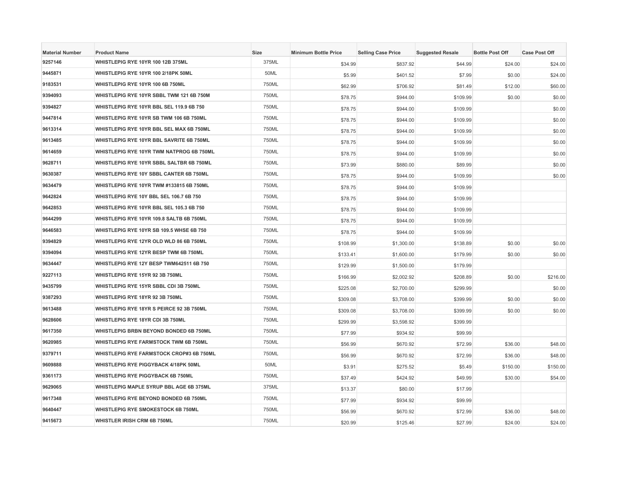| <b>Material Number</b> | <b>Product Name</b>                             | Size  | <b>Minimum Bottle Price</b> | <b>Selling Case Price</b> | <b>Suggested Resale</b> | <b>Bottle Post Off</b> | <b>Case Post Off</b> |
|------------------------|-------------------------------------------------|-------|-----------------------------|---------------------------|-------------------------|------------------------|----------------------|
| 9257146                | WHISTLEPIG RYE 10YR 100 12B 375ML               | 375ML | \$34.99                     | \$837.92                  | \$44.99                 | \$24.00                | \$24.00              |
| 9445871                | WHISTLEPIG RYE 10YR 100 2/18PK 50ML             | 50ML  | \$5.99                      | \$401.52                  | \$7.99                  | \$0.00                 | \$24.00              |
| 9183531                | WHISTLEPIG RYE 10YR 100 6B 750ML                | 750ML | \$62.99                     | \$706.92                  | \$81.49                 | \$12.00                | \$60.00              |
| 9394093                | WHISTLEPIG RYE 10YR SBBL TWM 121 6B 750M        | 750ML | \$78.75                     | \$944.00                  | \$109.99                | \$0.00                 | \$0.00               |
| 9394827                | WHISTLEPIG RYE 10YR BBL SEL 119.9 6B 750        | 750ML | \$78.75                     | \$944.00                  | \$109.99                |                        | \$0.00               |
| 9447814                | WHISTLEPIG RYE 10YR SB TWM 106 6B 750ML         | 750ML | \$78.75                     | \$944.00                  | \$109.99                |                        | \$0.00               |
| 9613314                | WHISTLEPIG RYE 10YR BBL SEL MAX 6B 750ML        | 750ML | \$78.75                     | \$944.00                  | \$109.99                |                        | \$0.00               |
| 9613485                | WHISTLEPIG RYE 10YR BBL SAVRITE 6B 750ML        | 750ML | \$78.75                     | \$944.00                  | \$109.99                |                        | \$0.00               |
| 9614659                | WHISTLEPIG RYE 10YR TWM NATPROG 6B 750ML        | 750ML | \$78.75                     | \$944.00                  | \$109.99                |                        | \$0.00               |
| 9628711                | WHISTLEPIG RYE 10YR SBBL SALTBR 6B 750ML        | 750ML | \$73.99                     | \$880.00                  | \$89.99                 |                        | \$0.00               |
| 9630387                | WHISTLEPIG RYE 10Y SBBL CANTER 6B 750ML         | 750ML | \$78.75                     | \$944.00                  | \$109.99                |                        | \$0.00               |
| 9634479                | WHISTLEPIG RYE 10YR TWM #133815 6B 750ML        | 750ML | \$78.75                     | \$944.00                  | \$109.99                |                        |                      |
| 9642824                | WHISTLEPIG RYE 10Y BBL SEL 106.7 6B 750         | 750ML | \$78.75                     | \$944.00                  | \$109.99                |                        |                      |
| 9642853                | WHISTLEPIG RYE 10YR BBL SEL 105.3 6B 750        | 750ML | \$78.75                     | \$944.00                  | \$109.99                |                        |                      |
| 9644299                | WHISTLEPIG RYE 10YR 109.8 SALTB 6B 750ML        | 750ML | \$78.75                     | \$944.00                  | \$109.99                |                        |                      |
| 9646583                | WHISTLEPIG RYE 10YR SB 109.5 WHSE 6B 750        | 750ML | \$78.75                     | \$944.00                  | \$109.99                |                        |                      |
| 9394829                | WHISTLEPIG RYE 12YR OLD WLD 86 6B 750ML         | 750ML | \$108.99                    | \$1,300.00                | \$138.89                | \$0.00                 | \$0.00               |
| 9394094                | WHISTLEPIG RYE 12YR BESP TWM 6B 750ML           | 750ML | \$133.41                    | \$1,600.00                | \$179.99                | \$0.00                 | \$0.00               |
| 9634447                | WHISTLEPIG RYE 12Y BESP TWM642511 6B 750        | 750ML | \$129.99                    | \$1,500.00                | \$179.99                |                        |                      |
| 9227113                | WHISTLEPIG RYE 15YR 92 3B 750ML                 | 750ML | \$166.99                    | \$2,002.92                | \$208.89                | \$0.00                 | \$216.00             |
| 9435799                | WHISTLEPIG RYE 15YR SBBL CDI 3B 750ML           | 750ML | \$225.08                    | \$2,700.00                | \$299.99                |                        | \$0.00               |
| 9387293                | WHISTLEPIG RYE 18YR 92 3B 750ML                 | 750ML | \$309.08                    | \$3,708.00                | \$399.99                | \$0.00                 | \$0.00               |
| 9613488                | WHISTLEPIG RYE 18YR S PEIRCE 92 3B 750ML        | 750ML | \$309.08                    | \$3,708.00                | \$399.99                | \$0.00                 | \$0.00               |
| 9628606                | WHISTLEPIG RYE 18YR CDI 3B 750ML                | 750ML | \$299.99                    | \$3,598.92                | \$399.99                |                        |                      |
| 9617350                | WHISTLEPIG BRBN BEYOND BONDED 6B 750ML          | 750ML | \$77.99                     | \$934.92                  | \$99.99                 |                        |                      |
| 9620985                | WHISTLEPIG RYE FARMSTOCK TWM 6B 750ML           | 750ML | \$56.99                     | \$670.92                  | \$72.99                 | \$36.00                | \$48.00              |
| 9379711                | <b>WHISTLEPIG RYE FARMSTOCK CROP#3 6B 750ML</b> | 750ML | \$56.99                     | \$670.92                  | \$72.99                 | \$36.00                | \$48.00              |
| 9609888                | WHISTLEPIG RYE PIGGYBACK 4/18PK 50ML            | 50ML  | \$3.91                      | \$275.52                  | \$5.49                  | \$150.00               | \$150.00             |
| 9361173                | <b>WHISTLEPIG RYE PIGGYBACK 6B 750ML</b>        | 750ML | \$37.49                     | \$424.92                  | \$49.99                 | \$30.00                | \$54.00              |
| 9629065                | WHISTLEPIG MAPLE SYRUP BBL AGE 6B 375ML         | 375ML | \$13.37                     | \$80.00                   | \$17.99                 |                        |                      |
| 9617348                | WHISTLEPIG RYE BEYOND BONDED 6B 750ML           | 750ML | \$77.99                     | \$934.92                  | \$99.99                 |                        |                      |
| 9640447                | <b>WHISTLEPIG RYE SMOKESTOCK 6B 750ML</b>       | 750ML | \$56.99                     | \$670.92                  | \$72.99                 | \$36.00                | \$48.00              |
| 9415673                | <b>WHISTLER IRISH CRM 6B 750ML</b>              | 750ML | \$20.99                     | \$125.46                  | \$27.99                 | \$24.00                | \$24.00              |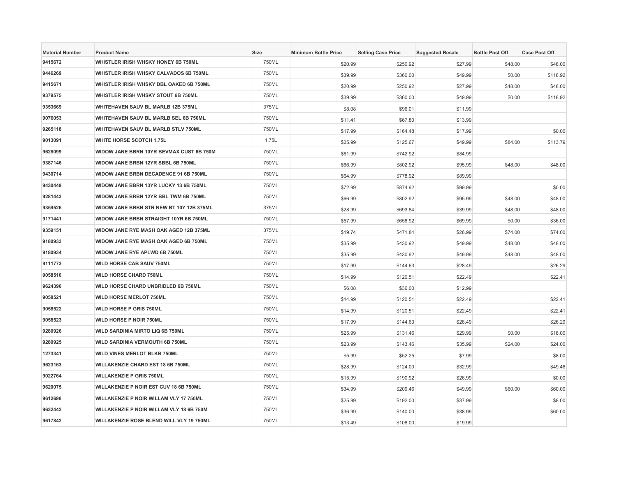| <b>Material Number</b> | <b>Product Name</b>                      | Size  | <b>Minimum Bottle Price</b> | <b>Selling Case Price</b> | <b>Suggested Resale</b> | <b>Bottle Post Off</b> | <b>Case Post Off</b> |
|------------------------|------------------------------------------|-------|-----------------------------|---------------------------|-------------------------|------------------------|----------------------|
| 9415672                | WHISTLER IRISH WHSKY HONEY 6B 750ML      | 750ML | \$20.99                     | \$250.92                  | \$27.99                 | \$48.00                | \$48.00              |
| 9446269                | WHISTLER IRISH WHSKY CALVADOS 6B 750ML   | 750ML | \$39.99                     | \$360.00                  | \$49.99                 | \$0.00                 | \$118.92             |
| 9415671                | WHISTLER IRISH WHSKY DBL OAKED 6B 750ML  | 750ML | \$20.99                     | \$250.92                  | \$27.99                 | \$48.00                | \$48.00              |
| 9379575                | WHISTLER IRISH WHSKY STOUT 6B 750ML      | 750ML | \$39.99                     | \$360.00                  | \$49.99                 | \$0.00                 | \$118.92             |
| 9353669                | WHITEHAVEN SAUV BL MARLB 12B 375ML       | 375ML | \$8.08                      | \$96.01                   | \$11.99                 |                        |                      |
| 9076053                | WHITEHAVEN SAUV BL MARLB SEL 6B 750ML    | 750ML | \$11.41                     | \$67.80                   | \$13.99                 |                        |                      |
| 9265118                | WHITEHAVEN SAUV BL MARLB STLV 750ML      | 750ML | \$17.99                     | \$164.48                  | \$17.99                 |                        | \$0.00               |
| 9013091                | <b>WHITE HORSE SCOTCH 1.75L</b>          | 1.75L | \$25.99                     | \$125.67                  | \$49.99                 | \$84.00                | \$113.79             |
| 9628099                | WIDOW JANE BBRN 10YR BEVMAX CUST 6B 750M | 750ML | \$61.99                     | \$742.92                  | \$84.99                 |                        |                      |
| 9387146                | WIDOW JANE BRBN 12YR SBBL 6B 750ML       | 750ML | \$66.99                     | \$802.92                  | \$95.99                 | \$48.00                | \$48.00              |
| 9430714                | WIDOW JANE BRBN DECADENCE 91 6B 750ML    | 750ML | \$64.99                     | \$778.92                  | \$89.99                 |                        |                      |
| 9430449                | WIDOW JANE BBRN 13YR LUCKY 13 6B 750ML   | 750ML | \$72.99                     | \$874.92                  | \$99.99                 |                        | \$0.00               |
| 9281443                | WIDOW JANE BRBN 12YR BBL TWM 6B 750ML    | 750ML | \$66.99                     | \$802.92                  | \$95.99                 | \$48.00                | \$48.00              |
| 9359526                | WIDOW JANE BRBN STR NEW BT 10Y 12B 375ML | 375ML | \$28.99                     | \$693.84                  | \$39.99                 | \$48.00                | \$48.00              |
| 9171441                | WIDOW JANE BRBN STRAIGHT 10YR 6B 750ML   | 750ML | \$57.99                     | \$658.92                  | \$69.99                 | \$0.00                 | \$36.00              |
| 9359151                | WIDOW JANE RYE MASH OAK AGED 12B 375ML   | 375ML | \$19.74                     | \$471.84                  | \$26.99                 | \$74.00                | \$74.00              |
| 9180933                | WIDOW JANE RYE MASH OAK AGED 6B 750ML    | 750ML | \$35.99                     | \$430.92                  | \$49.99                 | \$48.00                | \$48.00              |
| 9180934                | WIDOW JANE RYE APLWD 6B 750ML            | 750ML | \$35.99                     | \$430.92                  | \$49.99                 | \$48.00                | \$48.00              |
| 9111773                | <b>WILD HORSE CAB SAUV 750ML</b>         | 750ML | \$17.99                     | \$144.63                  | \$28.49                 |                        | \$26.29              |
| 9058510                | <b>WILD HORSE CHARD 750ML</b>            | 750ML | \$14.99                     | \$120.51                  | \$22.49                 |                        | \$22.41              |
| 9624390                | WILD HORSE CHARD UNBRIDLED 6B 750ML      | 750ML | \$6.08                      | \$36.00                   | \$12.99                 |                        |                      |
| 9058521                | <b>WILD HORSE MERLOT 750ML</b>           | 750ML | \$14.99                     | \$120.51                  | \$22.49                 |                        | \$22.41              |
| 9058522                | <b>WILD HORSE P GRIS 750ML</b>           | 750ML | \$14.99                     | \$120.51                  | \$22.49                 |                        | \$22.41              |
| 9058523                | WILD HORSE P NOIR 750ML                  | 750ML | \$17.99                     | \$144.63                  | \$28.49                 |                        | \$26.29              |
| 9280926                | WILD SARDINIA MIRTO LIQ 6B 750ML         | 750ML | \$25.99                     | \$131.46                  | \$29.99                 | \$0.00                 | \$18.00              |
| 9280925                | <b>WILD SARDINIA VERMOUTH 6B 750ML</b>   | 750ML | \$23.99                     | \$143.46                  | \$35.99                 | \$24.00                | \$24.00              |
| 1273341                | WILD VINES MERLOT BLKB 750ML             | 750ML | \$5.99                      | \$52.25                   | \$7.99                  |                        | \$8.00               |
| 9623163                | <b>WILLAKENZIE CHARD EST 18 6B 750ML</b> | 750ML | \$28.99                     | \$124.00                  | \$32.99                 |                        | \$49.46              |
| 9022764                | <b>WILLAKENZIE P GRIS 750ML</b>          | 750ML | \$15.99                     | \$190.92                  | \$26.99                 |                        | \$0.00               |
| 9620075                | WILLAKENZIE P NOIR EST CUV 18 6B 750ML   | 750ML | \$34.99                     | \$209.46                  | \$49.99                 | \$60.00                | \$60.00              |
| 9612698                | WILLAKENZIE P NOIR WILLAM VLY 17 750ML   | 750ML | \$25.99                     | \$192.00                  | \$37.99                 |                        | \$8.00               |
| 9632442                | WILLAKENZIE P NOIR WILLAM VLY 18 6B 750M | 750ML | \$36.99                     | \$140.00                  | \$38.99                 |                        | \$60.00              |
| 9617842                | WILLAKENZIE ROSE BLEND WILL VLY 19 750ML | 750ML | \$13.49                     | \$108.00                  | \$19.99                 |                        |                      |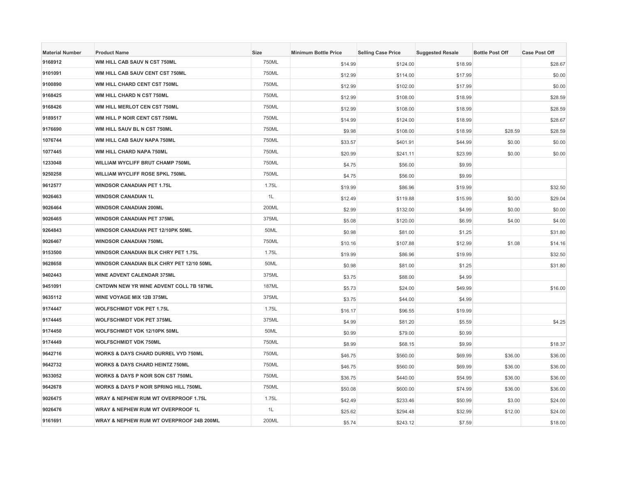| <b>Material Number</b> | <b>Product Name</b>                            | Size  | <b>Minimum Bottle Price</b> | <b>Selling Case Price</b> | <b>Suggested Resale</b> | <b>Bottle Post Off</b> | <b>Case Post Off</b> |
|------------------------|------------------------------------------------|-------|-----------------------------|---------------------------|-------------------------|------------------------|----------------------|
| 9168912                | WM HILL CAB SAUV N CST 750ML                   | 750ML | \$14.99                     | \$124.00                  | \$18.99                 |                        | \$28.67              |
| 9101091                | WM HILL CAB SAUV CENT CST 750ML                | 750ML | \$12.99                     | \$114.00                  | \$17.99                 |                        | \$0.00               |
| 9100890                | WM HILL CHARD CENT CST 750ML                   | 750ML | \$12.99                     | \$102.00                  | \$17.99                 |                        | \$0.00               |
| 9168425                | WM HILL CHARD N CST 750ML                      | 750ML | \$12.99                     | \$108.00                  | \$18.99                 |                        | \$28.59              |
| 9168426                | WM HILL MERLOT CEN CST 750ML                   | 750ML | \$12.99                     | \$108.00                  | \$18.99                 |                        | \$28.59              |
| 9189517                | WM HILL P NOIR CENT CST 750ML                  | 750ML | \$14.99                     | \$124.00                  | \$18.99                 |                        | \$28.67              |
| 9176690                | WM HILL SAUV BL N CST 750ML                    | 750ML | \$9.98                      | \$108.00                  | \$18.99                 | \$28.59                | \$28.59              |
| 1076744                | WM HILL CAB SAUV NAPA 750ML                    | 750ML | \$33.57                     | \$401.91                  | \$44.99                 | \$0.00                 | \$0.00               |
| 1077445                | WM HILL CHARD NAPA 750ML                       | 750ML | \$20.99                     | \$241.11                  | \$23.99                 | \$0.00                 | \$0.00               |
| 1233048                | WILLIAM WYCLIFF BRUT CHAMP 750ML               | 750ML | \$4.75                      | \$56.00                   | \$9.99                  |                        |                      |
| 9250258                | <b>WILLIAM WYCLIFF ROSE SPKL 750ML</b>         | 750ML | \$4.75                      | \$56.00                   | \$9.99                  |                        |                      |
| 9612577                | <b>WINDSOR CANADIAN PET 1.75L</b>              | 1.75L | \$19.99                     | \$86.96                   | \$19.99                 |                        | \$32.50              |
| 9026463                | <b>WINDSOR CANADIAN 1L</b>                     | 1L    | \$12.49                     | \$119.88                  | \$15.99                 | \$0.00                 | \$29.04              |
| 9026464                | <b>WINDSOR CANADIAN 200ML</b>                  | 200ML | \$2.99                      | \$132.00                  | \$4.99                  | \$0.00                 | \$0.00               |
| 9026465                | <b>WINDSOR CANADIAN PET 375ML</b>              | 375ML | \$5.08                      | \$120.00                  | \$6.99                  | \$4.00                 | \$4.00               |
| 9264843                | WINDSOR CANADIAN PET 12/10PK 50ML              | 50ML  | \$0.98                      | \$81.00                   | \$1.25                  |                        | \$31.80              |
| 9026467                | <b>WINDSOR CANADIAN 750ML</b>                  | 750ML | \$10.16                     | \$107.88                  | \$12.99                 | \$1.08                 | \$14.16              |
| 9153500                | WINDSOR CANADIAN BLK CHRY PET 1.75L            | 1.75L | \$19.99                     | \$86.96                   | \$19.99                 |                        | \$32.50              |
| 9628658                | WINDSOR CANADIAN BLK CHRY PET 12/10 50ML       | 50ML  | \$0.98                      | \$81.00                   | \$1.25                  |                        | \$31.80              |
| 9402443                | WINE ADVENT CALENDAR 375ML                     | 375ML | \$3.75                      | \$88.00                   | \$4.99                  |                        |                      |
| 9451091                | CNTDWN NEW YR WINE ADVENT COLL 7B 187ML        | 187ML | \$5.73                      | \$24.00                   | \$49.99                 |                        | \$16.00              |
| 9635112                | WINE VOYAGE MIX 12B 375ML                      | 375ML | \$3.75                      | \$44.00                   | \$4.99                  |                        |                      |
| 9174447                | <b>WOLFSCHMIDT VDK PET 1.75L</b>               | 1.75L | \$16.17                     | \$96.55                   | \$19.99                 |                        |                      |
| 9174445                | <b>WOLFSCHMIDT VDK PET 375ML</b>               | 375ML | \$4.99                      | \$81.20                   | \$5.59                  |                        | \$4.25               |
| 9174450                | WOLFSCHMIDT VDK 12/10PK 50ML                   | 50ML  | \$0.99                      | \$79.00                   | \$0.99                  |                        |                      |
| 9174449                | <b>WOLFSCHMIDT VDK 750ML</b>                   | 750ML | \$8.99                      | \$68.15                   | \$9.99                  |                        | \$18.37              |
| 9642716                | <b>WORKS &amp; DAYS CHARD DURREL VYD 750ML</b> | 750ML | \$46.75                     | \$560.00                  | \$69.99                 | \$36.00                | \$36.00              |
| 9642732                | <b>WORKS &amp; DAYS CHARD HEINTZ 750ML</b>     | 750ML | \$46.75                     | \$560.00                  | \$69.99                 | \$36.00                | \$36.00              |
| 9633052                | <b>WORKS &amp; DAYS P NOIR SON CST 750ML</b>   | 750ML | \$36.75                     | \$440.00                  | \$54.99                 | \$36.00                | \$36.00              |
| 9642678                | WORKS & DAYS P NOIR SPRING HILL 750ML          | 750ML | \$50.08                     | \$600.00                  | \$74.99                 | \$36.00                | \$36.00              |
| 9026475                | WRAY & NEPHEW RUM WT OVERPROOF 1.75L           | 1.75L | \$42.49                     | \$233.46                  | \$50.99                 | \$3.00                 | \$24.00              |
| 9026476                | <b>WRAY &amp; NEPHEW RUM WT OVERPROOF 1L</b>   | 1L    | \$25.62                     | \$294.48                  | \$32.99                 | \$12.00                | \$24.00              |
| 9161691                | WRAY & NEPHEW RUM WT OVERPROOF 24B 200ML       | 200ML | \$5.74                      | \$243.12                  | \$7.59                  |                        | \$18.00              |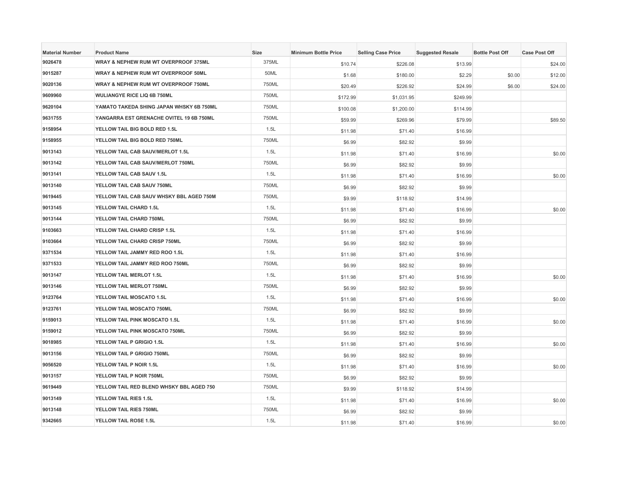| <b>Material Number</b> | <b>Product Name</b>                      | <b>Size</b> | <b>Minimum Bottle Price</b> | <b>Selling Case Price</b> | <b>Suggested Resale</b> | <b>Bottle Post Off</b> | <b>Case Post Off</b> |
|------------------------|------------------------------------------|-------------|-----------------------------|---------------------------|-------------------------|------------------------|----------------------|
| 9026478                | WRAY & NEPHEW RUM WT OVERPROOF 375ML     | 375ML       | \$10.74                     | \$226.08                  | \$13.99                 |                        | \$24.00              |
| 9015287                | WRAY & NEPHEW RUM WT OVERPROOF 50ML      | 50ML        | \$1.68                      | \$180.00                  | \$2.29                  | \$0.00                 | \$12.00              |
| 9020136                | WRAY & NEPHEW RUM WT OVERPROOF 750ML     | 750ML       | \$20.49                     | \$226.92                  | \$24.99                 | \$6.00                 | \$24.00              |
| 9609960                | WULIANGYE RICE LIQ 6B 750ML              | 750ML       | \$172.99                    | \$1,031.95                | \$249.99                |                        |                      |
| 9620104                | YAMATO TAKEDA SHING JAPAN WHSKY 6B 750ML | 750ML       | \$100.08                    | \$1,200.00                | \$114.99                |                        |                      |
| 9631755                | YANGARRA EST GRENACHE OVITEL 19 6B 750ML | 750ML       | \$59.99                     | \$269.96                  | \$79.99                 |                        | \$89.50              |
| 9158954                | YELLOW TAIL BIG BOLD RED 1.5L            | 1.5L        | \$11.98                     | \$71.40                   | \$16.99                 |                        |                      |
| 9158955                | YELLOW TAIL BIG BOLD RED 750ML           | 750ML       | \$6.99                      | \$82.92                   | \$9.99                  |                        |                      |
| 9013143                | YELLOW TAIL CAB SAUV/MERLOT 1.5L         | 1.5L        | \$11.98                     | \$71.40                   | \$16.99                 |                        | \$0.00               |
| 9013142                | YELLOW TAIL CAB SAUV/MERLOT 750ML        | 750ML       | \$6.99                      | \$82.92                   | \$9.99                  |                        |                      |
| 9013141                | YELLOW TAIL CAB SAUV 1.5L                | 1.5L        | \$11.98                     | \$71.40                   | \$16.99                 |                        | \$0.00               |
| 9013140                | YELLOW TAIL CAB SAUV 750ML               | 750ML       | \$6.99                      | \$82.92                   | \$9.99                  |                        |                      |
| 9619445                | YELLOW TAIL CAB SAUV WHSKY BBL AGED 750M | 750ML       | \$9.99                      | \$118.92                  | \$14.99                 |                        |                      |
| 9013145                | YELLOW TAIL CHARD 1.5L                   | 1.5L        | \$11.98                     | \$71.40                   | \$16.99                 |                        | \$0.00               |
| 9013144                | YELLOW TAIL CHARD 750ML                  | 750ML       | \$6.99                      | \$82.92                   | \$9.99                  |                        |                      |
| 9103663                | YELLOW TAIL CHARD CRISP 1.5L             | 1.5L        | \$11.98                     | \$71.40                   | \$16.99                 |                        |                      |
| 9103664                | YELLOW TAIL CHARD CRISP 750ML            | 750ML       | \$6.99                      | \$82.92                   | \$9.99                  |                        |                      |
| 9371534                | YELLOW TAIL JAMMY RED ROO 1.5L           | 1.5L        | \$11.98                     | \$71.40                   | \$16.99                 |                        |                      |
| 9371533                | YELLOW TAIL JAMMY RED ROO 750ML          | 750ML       | \$6.99                      | \$82.92                   | \$9.99                  |                        |                      |
| 9013147                | YELLOW TAIL MERLOT 1.5L                  | 1.5L        | \$11.98                     | \$71.40                   | \$16.99                 |                        | \$0.00               |
| 9013146                | YELLOW TAIL MERLOT 750ML                 | 750ML       | \$6.99                      | \$82.92                   | \$9.99                  |                        |                      |
| 9123764                | YELLOW TAIL MOSCATO 1.5L                 | 1.5L        | \$11.98                     | \$71.40                   | \$16.99                 |                        | \$0.00               |
| 9123761                | YELLOW TAIL MOSCATO 750ML                | 750ML       | \$6.99                      | \$82.92                   | \$9.99                  |                        |                      |
| 9159013                | <b>YELLOW TAIL PINK MOSCATO 1.5L</b>     | 1.5L        | \$11.98                     | \$71.40                   | \$16.99                 |                        | \$0.00               |
| 9159012                | YELLOW TAIL PINK MOSCATO 750ML           | 750ML       | \$6.99                      | \$82.92                   | \$9.99                  |                        |                      |
| 9018985                | YELLOW TAIL P GRIGIO 1.5L                | 1.5L        | \$11.98                     | \$71.40                   | \$16.99                 |                        | \$0.00               |
| 9013156                | YELLOW TAIL P GRIGIO 750ML               | 750ML       | \$6.99                      | \$82.92                   | \$9.99                  |                        |                      |
| 9056520                | YELLOW TAIL P NOIR 1.5L                  | 1.5L        | \$11.98                     | \$71.40                   | \$16.99                 |                        | \$0.00               |
| 9013157                | YELLOW TAIL P NOIR 750ML                 | 750ML       | \$6.99                      | \$82.92                   | \$9.99                  |                        |                      |
| 9619449                | YELLOW TAIL RED BLEND WHSKY BBL AGED 750 | 750ML       | \$9.99                      | \$118.92                  | \$14.99                 |                        |                      |
| 9013149                | YELLOW TAIL RIES 1.5L                    | 1.5L        | \$11.98                     | \$71.40                   | \$16.99                 |                        | \$0.00               |
| 9013148                | YELLOW TAIL RIES 750ML                   | 750ML       | \$6.99                      | \$82.92                   | \$9.99                  |                        |                      |
| 9342665                | <b>YELLOW TAIL ROSE 1.5L</b>             | 1.5L        | \$11.98                     | \$71.40                   | \$16.99                 |                        | \$0.00               |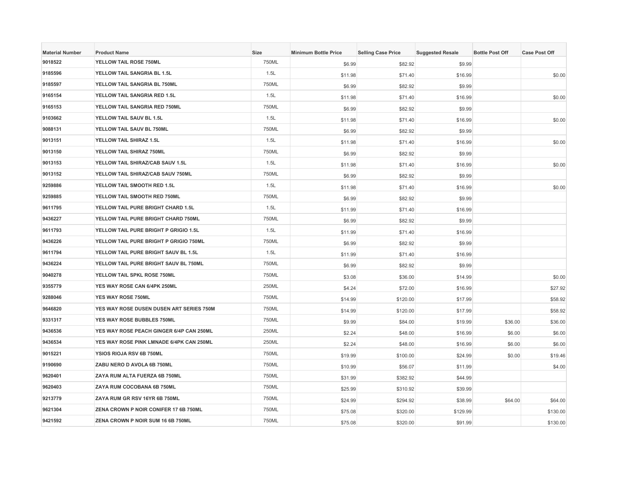| <b>Material Number</b> | <b>Product Name</b>                      | Size  | <b>Minimum Bottle Price</b> | <b>Selling Case Price</b> | <b>Suggested Resale</b> | <b>Bottle Post Off</b> | <b>Case Post Off</b> |
|------------------------|------------------------------------------|-------|-----------------------------|---------------------------|-------------------------|------------------------|----------------------|
| 9018522                | YELLOW TAIL ROSE 750ML                   | 750ML | \$6.99                      | \$82.92                   | \$9.99                  |                        |                      |
| 9185596                | YELLOW TAIL SANGRIA BL 1.5L              | 1.5L  | \$11.98                     | \$71.40                   | \$16.99                 |                        | \$0.00               |
| 9185597                | YELLOW TAIL SANGRIA BL 750ML             | 750ML | \$6.99                      | \$82.92                   | \$9.99                  |                        |                      |
| 9165154                | YELLOW TAIL SANGRIA RED 1.5L             | 1.5L  | \$11.98                     | \$71.40                   | \$16.99                 |                        | \$0.00               |
| 9165153                | YELLOW TAIL SANGRIA RED 750ML            | 750ML | \$6.99                      | \$82.92                   | \$9.99                  |                        |                      |
| 9103662                | YELLOW TAIL SAUV BL 1.5L                 | 1.5L  | \$11.98                     | \$71.40                   | \$16.99                 |                        | \$0.00               |
| 9088131                | YELLOW TAIL SAUV BL 750ML                | 750ML | \$6.99                      | \$82.92                   | \$9.99                  |                        |                      |
| 9013151                | YELLOW TAIL SHIRAZ 1.5L                  | 1.5L  | \$11.98                     | \$71.40                   | \$16.99                 |                        | \$0.00               |
| 9013150                | YELLOW TAIL SHIRAZ 750ML                 | 750ML | \$6.99                      | \$82.92                   | \$9.99                  |                        |                      |
| 9013153                | YELLOW TAIL SHIRAZ/CAB SAUV 1.5L         | 1.5L  | \$11.98                     | \$71.40                   | \$16.99                 |                        | \$0.00               |
| 9013152                | YELLOW TAIL SHIRAZ/CAB SAUV 750ML        | 750ML | \$6.99                      | \$82.92                   | \$9.99                  |                        |                      |
| 9259886                | YELLOW TAIL SMOOTH RED 1.5L              | 1.5L  | \$11.98                     | \$71.40                   | \$16.99                 |                        | \$0.00               |
| 9259885                | YELLOW TAIL SMOOTH RED 750ML             | 750ML | \$6.99                      | \$82.92                   | \$9.99                  |                        |                      |
| 9611795                | YELLOW TAIL PURE BRIGHT CHARD 1.5L       | 1.5L  | \$11.99                     | \$71.40                   | \$16.99                 |                        |                      |
| 9436227                | YELLOW TAIL PURE BRIGHT CHARD 750ML      | 750ML | \$6.99                      | \$82.92                   | \$9.99                  |                        |                      |
| 9611793                | YELLOW TAIL PURE BRIGHT P GRIGIO 1.5L    | 1.5L  | \$11.99                     | \$71.40                   | \$16.99                 |                        |                      |
| 9436226                | YELLOW TAIL PURE BRIGHT P GRIGIO 750ML   | 750ML | \$6.99                      | \$82.92                   | \$9.99                  |                        |                      |
| 9611794                | YELLOW TAIL PURE BRIGHT SAUV BL 1.5L     | 1.5L  | \$11.99                     | \$71.40                   | \$16.99                 |                        |                      |
| 9436224                | YELLOW TAIL PURE BRIGHT SAUV BL 750ML    | 750ML | \$6.99                      | \$82.92                   | \$9.99                  |                        |                      |
| 9040278                | YELLOW TAIL SPKL ROSE 750ML              | 750ML | \$3.08                      | \$36.00                   | \$14.99                 |                        | \$0.00               |
| 9355779                | YES WAY ROSE CAN 6/4PK 250ML             | 250ML | \$4.24                      | \$72.00                   | \$16.99                 |                        | \$27.92              |
| 9288046                | <b>YES WAY ROSE 750ML</b>                | 750ML | \$14.99                     | \$120.00                  | \$17.99                 |                        | \$58.92              |
| 9646820                | YES WAY ROSE DUSEN DUSEN ART SERIES 750M | 750ML | \$14.99                     | \$120.00                  | \$17.99                 |                        | \$58.92              |
| 9331317                | YES WAY ROSE BUBBLES 750ML               | 750ML | \$9.99                      | \$84.00                   | \$19.99                 | \$36.00                | \$36.00              |
| 9436536                | YES WAY ROSE PEACH GINGER 6/4P CAN 250ML | 250ML | \$2.24                      | \$48.00                   | \$16.99                 | \$6.00                 | \$6.00               |
| 9436534                | YES WAY ROSE PINK LMNADE 6/4PK CAN 250ML | 250ML | \$2.24                      | \$48.00                   | \$16.99                 | \$6.00                 | \$6.00               |
| 9015221                | YSIOS RIOJA RSV 6B 750ML                 | 750ML | \$19.99                     | \$100.00                  | \$24.99                 | \$0.00                 | \$19.46              |
| 9190690                | ZABU NERO D AVOLA 6B 750ML               | 750ML | \$10.99                     | \$56.07                   | \$11.99                 |                        | \$4.00               |
| 9620401                | ZAYA RUM ALTA FUERZA 6B 750ML            | 750ML | \$31.99                     | \$382.92                  | \$44.99                 |                        |                      |
| 9620403                | ZAYA RUM COCOBANA 6B 750ML               | 750ML | \$25.99                     | \$310.92                  | \$39.99                 |                        |                      |
| 9213779                | ZAYA RUM GR RSV 16YR 6B 750ML            | 750ML | \$24.99                     | \$294.92                  | \$38.99                 | \$64.00                | \$64.00              |
| 9621304                | ZENA CROWN P NOIR CONIFER 17 6B 750ML    | 750ML | \$75.08                     | \$320.00                  | \$129.99                |                        | \$130.00             |
| 9421592                | ZENA CROWN P NOIR SUM 16 6B 750ML        | 750ML | \$75.08                     | \$320.00                  | \$91.99                 |                        | \$130.00             |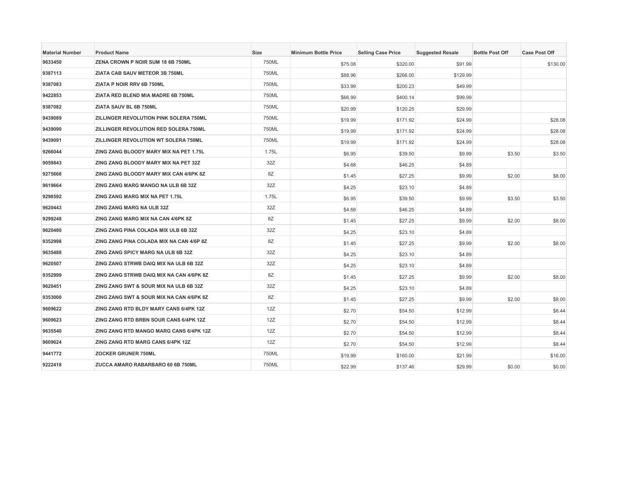| <b>Material Number</b> | <b>Product Name</b>                      | Size  | <b>Minimum Bottle Price</b> | <b>Selling Case Price</b> | <b>Suggested Resale</b> | <b>Bottle Post Off</b> | <b>Case Post Off</b> |
|------------------------|------------------------------------------|-------|-----------------------------|---------------------------|-------------------------|------------------------|----------------------|
| 9633450                | ZENA CROWN P NOIR SUM 18 6B 750ML        | 750ML | \$75.08                     | \$320.00                  | \$91.99                 |                        | \$130.00             |
| 9387113                | ZIATA CAB SAUV METEOR 3B 750ML           | 750ML | \$88.96                     | \$266.00                  | \$129.99                |                        |                      |
| 9387083                | ZIATA P NOIR RRV 6B 750ML                | 750ML | \$33.99                     | \$200.23                  | \$49.99                 |                        |                      |
| 9422853                | ZIATA RED BLEND MIA MADRE 6B 750ML       | 750ML | \$66.99                     | \$400.14                  | \$99.99                 |                        |                      |
| 9387082                | ZIATA SAUV BL 6B 750ML                   | 750ML | \$20.99                     | \$120.25                  | \$29.99                 |                        |                      |
| 9439089                | ZILLINGER REVOLUTION PINK SOLERA 750ML   | 750ML | \$19.99                     | \$171.92                  | \$24.99                 |                        | \$28.08              |
| 9439090                | ZILLINGER REVOLUTION RED SOLERA 750ML    | 750ML | \$19.99                     | \$171.92                  | \$24.99                 |                        | \$28.08              |
| 9439091                | ZILLINGER REVOLUTION WT SOLERA 750ML     | 750ML | \$19.99                     | \$171.92                  | \$24.99                 |                        | \$28.08              |
| 9266044                | ZING ZANG BLOODY MARY MIX NA PET 1.75L   | 1.75L | \$6.95                      | \$39.50                   | \$9.99                  | \$3.50                 | \$3.50               |
| 9059843                | ZING ZANG BLOODY MARY MIX NA PET 32Z     | 32Z   | \$4.68                      | \$46.25                   | \$4.89                  |                        |                      |
| 9275668                | ZING ZANG BLOODY MARY MIX CAN 4/6PK 8Z   | 8Z    | \$1.45                      | \$27.25                   | \$9.99                  | \$2.00                 | \$8.00               |
| 9619664                | ZING ZANG MARG MANGO NA ULB 6B 32Z       | 32Z   | \$4.25                      | \$23.10                   | \$4.89                  |                        |                      |
| 9298592                | ZING ZANG MARG MIX NA PET 1.75L          | 1.75L | \$6.95                      | \$39.50                   | \$9.99                  | \$3.50                 | \$3.50               |
| 9620443                | ZING ZANG MARG NA ULB 32Z                | 32Z   | \$4.68                      | \$46.25                   | \$4.89                  |                        |                      |
| 9299248                | ZING ZANG MARG MIX NA CAN 4/6PK 8Z       | 8Z    | \$1.45                      | \$27.25                   | \$9.99                  | \$2.00                 | \$8.00               |
| 9620480                | ZING ZANG PINA COLADA MIX ULB 6B 32Z     | 32Z   | \$4.25                      | \$23.10                   | \$4.89                  |                        |                      |
| 9352998                | ZING ZANG PINA COLADA MIX NA CAN 4/6P 8Z | 8Z    | \$1.45                      | \$27.25                   | \$9.99                  | \$2.00                 | \$8.00               |
| 9635488                | ZING ZANG SPICY MARG NA ULB 6B 32Z       | 32Z   | \$4.25                      | \$23.10                   | \$4.89                  |                        |                      |
| 9620507                | ZING ZANG STRWB DAIQ MIX NA ULB 6B 32Z   | 32Z   | \$4.25                      | \$23.10                   | \$4.89                  |                        |                      |
| 9352999                | ZING ZANG STRWB DAIQ MIX NA CAN 4/6PK 8Z | 8Z    | \$1.45                      | \$27.25                   | \$9.99                  | \$2.00                 | \$8.00               |
| 9620451                | ZING ZANG SWT & SOUR MIX NA ULB 6B 32Z   | 32Z   | \$4.25                      | \$23.10                   | \$4.89                  |                        |                      |
| 9353000                | ZING ZANG SWT & SOUR MIX NA CAN 4/6PK 8Z | 8Z    | \$1.45                      | \$27.25                   | \$9.99                  | \$2.00                 | \$8.00               |
| 9609622                | ZING ZANG RTD BLDY MARY CANS 6/4PK 12Z   | 12Z   | \$2.70                      | \$54.50                   | \$12.99                 |                        | \$8.44               |
| 9609623                | ZING ZANG RTD BRBN SOUR CANS 6/4PK 12Z   | 12Z   | \$2.70                      | \$54.50                   | \$12.99                 |                        | \$8.44               |
| 9635540                | ZING ZANG RTD MANGO MARG CANS 6/4PK 12Z  | 12Z   | \$2.70                      | \$54.50                   | \$12.99                 |                        | \$8.44               |
| 9609624                | ZING ZANG RTD MARG CANS 6/4PK 12Z        | 12Z   | \$2.70                      | \$54.50                   | \$12.99                 |                        | \$8.44               |
| 9441772                | <b>ZOCKER GRUNER 750ML</b>               | 750ML | \$19.99                     | \$160.00                  | \$21.99                 |                        | \$16.00              |
| 9222418                | ZUCCA AMARO RABARBARO 60 6B 750ML        | 750ML | \$22.99                     | \$137.46                  | \$29.99                 | \$0.00                 | \$0.00               |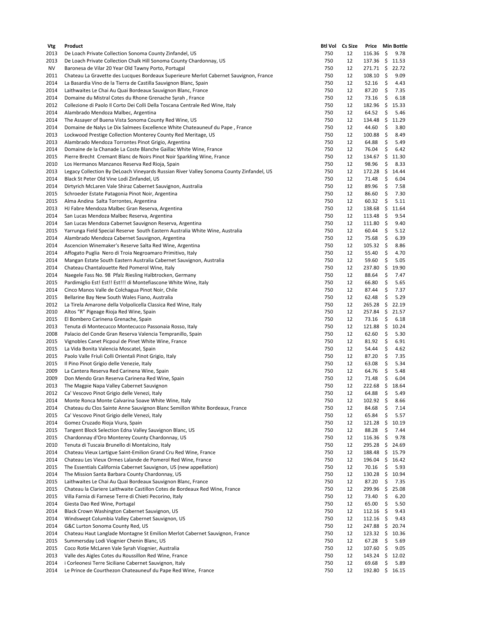| Vtg  | Product                                                                                 |     | Btl Vol  Cs Size |                      |     | Price Min Bottle |
|------|-----------------------------------------------------------------------------------------|-----|------------------|----------------------|-----|------------------|
| 2013 | De Loach Private Collection Sonoma County Zinfandel, US                                 | 750 | 12               | $116.36 \; \simeq$   |     | 9.78             |
| 2013 | De Loach Private Collection Chalk Hill Sonoma County Chardonnay, US                     | 750 | 12               | $137.36 \div$        |     | 11.53            |
| NV   | Baronesa de Vilar 20 Year Old Tawny Porto, Portugal                                     | 750 | 12               | 271.71 \$            |     | 22.72            |
| 2011 | Chateau La Gravette des Lucques Bordeaux Superieure Merlot Cabernet Sauvignon, France   | 750 | 12               | $108.10 \pm$         |     | 9.09             |
| 2014 | La Basardia Vino de la Tierra de Castilla Sauvignon Blanc, Spain                        | 750 | 12               | 52.16                | \$  | 4.43             |
| 2014 | Laithwaites Le Chai Au Quai Bordeaux Sauvignon Blanc, France                            | 750 | 12               | 87.20                | \$  | 7.35             |
| 2014 | Domaine du Mistral Cotes du Rhone Grenache Syrah, France                                | 750 | 12               | 73.16                | \$  | 6.18             |
| 2012 | Collezione di Paolo Il Corto Dei Colli Della Toscana Centrale Red Wine, Italy           | 750 | 12               | 182.96 \$            |     | 15.33            |
| 2014 | Alambrado Mendoza Malbec, Argentina                                                     | 750 | 12               | 64.52                | \$  | 5.46             |
| 2014 | The Assayer of Buena Vista Sonoma County Red Wine, US                                   | 750 | 12               | 134.48               | \$  | 11.29            |
| 2014 |                                                                                         | 750 | 12               | 44.60                | \$  |                  |
|      | Domaine de Nalys Le Dix Salmees Excellence White Chateauneuf du Pape, France            |     |                  |                      |     | 3.80             |
| 2013 | Lockwood Prestige Collection Monterey County Red Meritage, US                           | 750 | 12               | 100.88               | \$  | 8.49             |
| 2013 | Alambrado Mendoza Torrontes Pinot Grigio, Argentina                                     | 750 | 12               | 64.88                | \$  | 5.49             |
| 2014 | Domaine de la Chanade La Coste Blanche Gaillac White Wine, France                       | 750 | 12               | 76.04                | \$  | 6.42             |
| 2015 | Pierre Brecht Cremant Blanc de Noirs Pinot Noir Sparkling Wine, France                  | 750 | 12               | 134.67 \$            |     | 11.30            |
| 2010 | Los Hermanos Manzanos Reserva Red Rioja, Spain                                          | 750 | 12               | 98.96                | \$  | 8.33             |
| 2013 | Legacy Collection By DeLoach Vineyards Russian River Valley Sonoma County Zinfandel, US | 750 | 12               | $172.28 \; \text{S}$ |     | 14.44            |
| 2014 | Black St Peter Old Vine Lodi Zinfandel, US                                              | 750 | 12               | 71.48                | \$  | 6.04             |
| 2014 | Dirtyrich McLaren Vale Shiraz Cabernet Sauvignon, Australia                             | 750 | 12               | 89.96                | \$  | 7.58             |
| 2015 | Schroeder Estate Patagonia Pinot Noir, Argentina                                        | 750 | 12               | 86.60                | \$  | 7.30             |
| 2015 | Alma Andina Salta Torrontes, Argentina                                                  | 750 | 12               | 60.32                | \$  | 5.11             |
| 2013 | HJ Fabre Mendoza Malbec Gran Reserva, Argentina                                         | 750 | 12               | 138.68               | \$  | 11.64            |
| 2014 | San Lucas Mendoza Malbec Reserva, Argentina                                             | 750 | 12               | 113.48               | -\$ | 9.54             |
| 2014 | San Lucas Mendoza Cabernet Sauvignon Reserva, Argentina                                 | 750 | 12               | 111.80               | \$  | 9.40             |
| 2015 | Yarrunga Field Special Reserve South Eastern Australia White Wine, Australia            | 750 | 12               | 60.44                | \$  | 5.12             |
| 2014 | Alambrado Mendoza Cabernet Sauvignon, Argentina                                         | 750 | 12               | 75.68                | \$  | 6.39             |
|      |                                                                                         | 750 | 12               |                      | \$  |                  |
| 2014 | Ascencion Winemaker's Reserve Salta Red Wine, Argentina                                 |     |                  | 105.32               |     | 8.86             |
| 2014 | Affogato Puglia Nero di Troia Negroamaro Primitivo, Italy                               | 750 | 12               | 55.40                | \$  | 4.70             |
| 2014 | Mangan Estate South Eastern Australia Cabernet Sauvignon, Australia                     | 750 | 12               | 59.60                | \$  | 5.05             |
| 2014 | Chateau Chantalouette Red Pomerol Wine, Italy                                           | 750 | 12               | 237.80               | \$  | 19.90            |
| 2014 | Naegele Fass No. 98 Pfalz Riesling Halbtrocken, Germany                                 | 750 | 12               | 88.64                | \$  | 7.47             |
| 2015 | Pardimiglio Est! Est!! Est!!! di Montefiascone White Wine, Italy                        | 750 | 12               | 66.80                | \$  | 5.65             |
| 2014 | Cinco Manos Valle de Colchagua Pinot Noir, Chile                                        | 750 | 12               | 87.44                | \$  | 7.37             |
| 2015 | Bellarine Bay New South Wales Fiano, Australia                                          | 750 | 12               | 62.48                | \$  | 5.29             |
| 2012 | La Tirela Amarone della Volpolicella Classica Red Wine, Italy                           | 750 | 12               | 265.28               | \$  | 22.19            |
| 2010 | Altos "R" Pigeage Rioja Red Wine, Spain                                                 | 750 | 12               | 257.84               |     | \$21.57          |
| 2015 | El Bombero Carinena Grenache, Spain                                                     | 750 | 12               | 73.16                | \$  | 6.18             |
| 2013 | Tenuta di Montecucco Montecucco Passonaia Rosso, Italy                                  | 750 | 12               | 121.88               | \$  | 10.24            |
| 2008 | Palacio del Conde Gran Reserva Valencia Tempranillo, Spain                              | 750 | 12               | 62.60                | \$  | 5.30             |
| 2015 | Vignobles Canet Picpoul de Pinet White Wine, France                                     | 750 | 12               | 81.92                | \$  | 6.91             |
| 2015 | La Vida Bonita Valencia Moscatel, Spain                                                 | 750 | 12               | 54.44                | \$  | 4.62             |
| 2015 | Paolo Valle Friuli Colli Orientali Pinot Grigio, Italy                                  | 750 | 12               | 87.20                | \$  | 7.35             |
| 2015 | Il Pino Pinot Grigio delle Venezie, Italy                                               | 750 | 12               | 63.08                | \$  | 5.34             |
| 2009 | La Cantera Reserva Red Carinena Wine, Spain                                             | 750 | 12               | 64.76                | \$  | 5.48             |
| 2009 | Don Mendo Gran Reserva Carinena Red Wine, Spain                                         | 750 | 12               | 71.48                | \$  | 6.04             |
| 2013 | The Magpie Napa Valley Cabernet Sauvignon                                               | 750 | 12               | 222.68 \$ 18.64      |     |                  |
| 2012 | Ca' Vescovo Pinot Grigio delle Venezi, Italy                                            | 750 | 12               | $64.88$ \$           |     | 5.49             |
|      |                                                                                         |     |                  |                      |     |                  |
| 2014 | Monte Ronca Monte Calvarina Soave White Wine, Italy                                     | 750 | 12               | $102.92 \div$        |     | 8.66             |
| 2014 | Chateau du Clos Sainte Anne Sauvignon Blanc Semillon White Bordeaux, France             | 750 | 12               | 84.68                | \$  | 7.14             |
| 2015 | Ca' Vescovo Pinot Grigio delle Venezi, Italy                                            | 750 | 12               | 65.84                | \$  | 5.57             |
| 2014 | Gomez Cruzado Rioja Viura, Spain                                                        | 750 | 12               | 121.28               | \$  | 10.19            |
| 2015 | Tangent Block Selection Edna Valley Sauvignon Blanc, US                                 | 750 | 12               | 88.28                | \$  | 7.44             |
| 2015 | Chardonnay d'Oro Monterey County Chardonnay, US                                         | 750 | 12               | 116.36               | -\$ | 9.78             |
| 2010 | Tenuta di Tuscaia Brunello di Montalcino, Italy                                         | 750 | 12               | 295.28               | \$  | 24.69            |
| 2014 | Chateau Vieux Lartigue Saint-Emilion Grand Cru Red Wine, France                         | 750 | 12               | 188.48               |     | \$15.79          |
| 2014 | Chateau Les Vieux Ormes Lalande de Pomerol Red Wine, France                             | 750 | 12               | 196.04               | \$  | 16.42            |
| 2015 | The Essentials California Cabernet Sauvignon, US (new appellation)                      | 750 | 12               | 70.16                | \$  | 5.93             |
| 2014 | The Mission Santa Barbara County Chardonnay, US                                         | 750 | 12               | 130.28               | \$  | 10.94            |
| 2015 | Laithwaites Le Chai Au Quai Bordeaux Sauvignon Blanc, France                            | 750 | 12               | 87.20                | \$  | 7.35             |
| 2015 | Chateau la Clariere Laithwaite Castillon Cotes de Bordeaux Red Wine, France             | 750 | 12               | 299.96               | \$  | 25.08            |
| 2015 | Villa Farnia di Farnese Terre di Chieti Pecorino, Italy                                 | 750 | 12               | 73.40                | \$  | 6.20             |
| 2014 | Giesta Dao Red Wine, Portugal                                                           | 750 | 12               | 65.00                | \$  | 5.50             |
| 2014 | Black Crown Washington Cabernet Sauvignon, US                                           | 750 | 12               | 112.16               | \$  | 9.43             |
| 2014 | Windswept Columbia Valley Cabernet Sauvignon, US                                        | 750 | 12               | 112.16               | \$  | 9.43             |
| 2014 | G&C Lurton Sonoma County Red, US                                                        | 750 | 12               | 247.88               | - Ş | 20.74            |
|      |                                                                                         |     |                  |                      |     |                  |
| 2014 | Chateau Haut Langlade Montagne St Emilion Merlot Cabernet Sauvignon, France             | 750 | 12               | $123.32 \quad$ \$    |     | 10.36            |
| 2015 | Summersday Lodi Viognier Chenin Blanc, US                                               | 750 | 12               | 67.28                | \$  | 5.69             |
| 2015 | Coco Rotie McLaren Vale Syrah Viognier, Australia                                       | 750 | 12               | 107.60               | \$  | 9.05             |
| 2013 | Valle des Aigles Cotes du Roussillon Red Wine, France                                   | 750 | 12               | 143.24               | \$  | 12.02            |
| 2014 | i Corleonesi Terre Siciliane Cabernet Sauvignon, Italy                                  | 750 | 12               | 69.68                | \$  | 5.89             |
| 2014 | Le Prince de Courthezon Chateauneuf du Pape Red Wine, France                            | 750 | 12               | 192.80               |     | \$16.15          |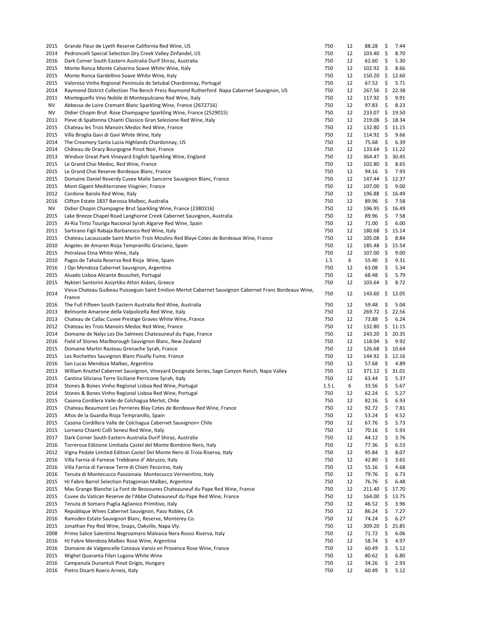| 2015      | Grande Fleur de Lyeth Reserve California Red Wine, US                                                  | 750  | 12 | 88.28               | \$   | 7.44  |
|-----------|--------------------------------------------------------------------------------------------------------|------|----|---------------------|------|-------|
| 2014      | Pedroncelli Special Selection Dry Creek Valley Zinfandel, US                                           | 750  | 12 | $103.40 \pm$        |      | 8.70  |
| 2016      | Dark Corner South Eastern Australia Durif Shiraz, Australia                                            | 750  | 12 | 62.60               | \$   | 5.30  |
| 2015      | Monte Ronca Monte Calvarina Soave White Wine, Italy                                                    | 750  | 12 | $102.92 \div$       |      | 8.66  |
| 2015      | Monte Ronca Gardellino Soave White Wine, Italy                                                         | 750  | 12 | $150.20\frac{1}{5}$ |      | 12.60 |
| 2015      | Valoroso Vinho Regional Peninsula de Setubal Chardonnay, Portugal                                      | 750  | 12 | 67.52               | \$   | 5.71  |
| 2014      | Raymond District Collection The Bench Press Raymond Rutherford Napa Cabernet Sauvignon, US             | 750  | 12 | 267.56              | -\$  | 22.38 |
| 2011      | Monteguelfo Vino Nobile di Montepulciano Red Wine, Italy                                               | 750  | 12 | 117.92              | \$   | 9.91  |
|           |                                                                                                        | 750  | 12 |                     |      |       |
| NV        | Abbesse de Loire Cremant Blanc Sparkling Wine, France (2672716)                                        |      |    | 97.83               | \$   | 8.23  |
| <b>NV</b> | Didier Chopin Brut Rose Champagne Sparkling Wine, France (2529015)                                     | 750  | 12 | 233.07 \$           |      | 19.50 |
| 2011      | Pieve di Spaltenna Chianti Classico Gran Selezione Red Wine, Italy                                     | 750  | 12 | 219.08 \$ 18.34     |      |       |
| 2015      | Chateau les Trois Manoirs Medoc Red Wine, France                                                       | 750  | 12 | 132.80 \$           |      | 11.15 |
| 2015      | Villa Broglia Gavi di Gavi White Wine, Italy                                                           | 750  | 12 | 114.92 \$           |      | 9.66  |
| 2014      | The Creamery Santa Lucia Highlands Chardonnay, US                                                      | 750  | 12 | 75.68               | \$   | 6.39  |
| 2014      | Château de Dracy Bourgogne Pinot Noir, France                                                          | 750  | 12 | $133.64 \quad $$    |      | 11.22 |
| 2013      | Windsor Great Park Vineyard English Sparkling Wine, England                                            | 750  | 12 | 364.47 \$           |      | 30.45 |
| 2015      | Le Grand Chai Medoc, Red Wine, France                                                                  | 750  | 12 | $102.80\frac{1}{5}$ |      | 8.65  |
| 2015      | Le Grand Chai Reserve Bordeaux Blanc, France                                                           | 750  | 12 | 94.16               | \$   | 7.93  |
| 2015      | Domaine Daniel Reverdy Cuvee Malie Sancerre Sauvignon Blanc, France                                    | 750  | 12 | 147.44              | \$   | 12.37 |
| 2015      | Mont Gigant Mediterranee Viognier, France                                                              | 750  | 12 | 107.00              | \$   | 9.00  |
| 2012      | Cordone Barolo Red Wine, Italy                                                                         | 750  | 12 | 196.88              | -\$  | 16.49 |
| 2016      | Clifton Estate 1837 Barossa Malbec, Australia                                                          | 750  | 12 | 89.96               | \$   | 7.58  |
|           |                                                                                                        |      |    |                     |      |       |
| NV        | Didier Chopin Champagne Brut Sparkling Wine, France (2380316)                                          | 750  | 12 | 196.95              | - \$ | 16.49 |
| 2015      | Lake Breeze Chapel Road Langhorne Creek Cabernet Sauvignon, Australia                                  | 750  | 12 | 89.96               | \$   | 7.58  |
| 2015      | Al-Ria Tinto Touriga Nacional Syrah Algarve Red Wine, Spain                                            | 750  | 12 | 71.00               | \$   | 6.00  |
| 2011      | Sartirano Figli Rabaja Barbaresco Red Wine, Italy                                                      | 750  | 12 | 180.68              | \$   | 15.14 |
| 2015      | Chateau Lacaussade Saint Martin Trois Moulins Red Blaye Cotes de Bordeaux Wine, France                 | 750  | 12 | 105.08              | \$   | 8.84  |
| 2010      | Angeles de Amaren Rioja Tempranillo Graciano, Spain                                                    | 750  | 12 | 185.48 \$           |      | 15.54 |
| 2015      | Petralava Etna White Wine, Italy                                                                       | 750  | 12 | 107.00%             |      | 9.00  |
| 2010      | Pagos de Tahola Reserva Red Rioja Wine, Spain                                                          | 1.5  | 6  | 55.40               | \$   | 9.31  |
| 2016      | J Opi Mendoza Cabernet Sauvignon, Argentina                                                            | 750  | 12 | 63.08               | \$   | 5.34  |
| 2015      | Aluado Lisboa Alicante Bouschet, Portugal                                                              | 750  | 12 | 68.48               | \$   | 5.79  |
| 2015      | Nykteri Santorini Assyrtiko Athiri Aidani, Greece                                                      | 750  | 12 | $103.64 \quad $$    |      | 8.72  |
|           | Vieux Chateau Guibeau Puisseguin Saint Emilion Merlot Cabernet Sauvignon Cabernet Franc Bordeaux Wine, |      |    |                     |      |       |
| 2014      | France                                                                                                 | 750  | 12 | $143.60 \div$       |      | 12.05 |
|           |                                                                                                        | 750  | 12 | 59.48               | \$   | 5.04  |
| 2016      | The Full Fifteen South Eastern Australia Red Wine, Australia                                           |      |    |                     |      |       |
| 2013      | Belmonte Amarone della Valpolicella Red Wine, Italy                                                    | 750  | 12 | 269.72 \$ 22.56     |      |       |
| 2013      | Chateau de Callac Cuvee Prestige Graves White Wine, France                                             | 750  | 12 | 73.88               | \$   | 6.24  |
| 2012      | Chateau les Trois Manoirs Medoc Red Wine, France                                                       | 750  | 12 | $132.80 \div$       |      | 11.15 |
| 2014      | Domaine de Nalys Les Dix Salmees Chateauneuf du Pape, France                                           | 750  | 12 | $243.20\frac{1}{2}$ |      | 20.35 |
| 2016      | Field of Stones Marlborough Sauvignon Blanc, New Zealand                                               | 750  | 12 | $118.04 \div$       |      | 9.92  |
| 2015      | Domaine Martin Rasteau Grenache Syrah, France                                                          | 750  | 12 | 126.68 \$ 10.64     |      |       |
| 2015      | Les Rochettes Sauvignon Blanc Pouilly Fume, France                                                     | 750  | 12 | 144.92 \$           |      | 12.16 |
| 2016      | San Lucas Mendoza Malbec, Argentina                                                                    | 750  | 12 | 57.68               | \$   | 4.89  |
| 2013      | William Knuttel Cabernet Sauvignon, Vineyard Designate Series, Sage Canyon Ranch, Napa Valley          | 750  | 12 | 371.12 \$           |      | 31.01 |
| 2015      | Cantina Siliciana Terre Siciliane Perricone Syrah, Italy                                               | 750  | 12 | 63.44               | \$   | 5.37  |
| 2014      | Stones & Bones Vinho Regional Lisboa Red Wine, Portugal                                                | 1.5L | 6  | 33.56               | \$   | 5.67  |
| 2014      | Stones & Bones Vinho Regional Lisboa Red Wine, Portugal                                                | 750  | 12 | $62.24$ \$          |      | 5.27  |
| 2015      | Casona Cordilera Valle de Colchagua Merlot, Chile                                                      | 750  | 12 | 82.16               | \$   | 6.93  |
| 2015      | Chateau Beaumont Les Perrieres Blay Cotes de Bordeaux Red Wine, France                                 | 750  | 12 | 92.72               | \$   | 7.81  |
| 2015      |                                                                                                        | 750  | 12 |                     | \$   | 4.52  |
|           | Altos de la Guardia Rioja Tempranillo, Spain                                                           |      |    | 53.24               |      |       |
| 2015      | Casona Cordillera Valle de Colchagua Cabernet Sauvignon< Chile                                         | 750  | 12 | 67.76               | \$   | 5.73  |
| 2015      | Lornano Chianti Colli Senesi Red Wine, Italy                                                           | 750  | 12 | 70.16               | \$   | 5.93  |
| 2017      | Dark Corner South Eastern Australia Durif Shiraz, Australia                                            | 750  | 12 | 44.12               | \$   | 3.76  |
| 2016      | Torrerosa Edizione Limitada Castel del Monte Bombino Nero, Italy                                       | 750  | 12 | 77.36               | \$   | 6.53  |
| 2012      | Vigna Pedale Limited Edition Castel Del Monte Nero di Troia Riserva, Italy                             | 750  | 12 | 95.84               | \$   | 8.07  |
| 2016      | Villa Farnia di Farnese Trebbiano d'Abruzzo, Italy                                                     | 750  | 12 | 42.80               | \$   | 3.65  |
| 2016      | Villa Farnia di Farnese Terre di Chieti Pecorino, Italy                                                | 750  | 12 | 55.16               | \$   | 4.68  |
| 2016      | Tenuta di Montecucco Passionaia Montecucco Vermentino, Italy                                           | 750  | 12 | 79.76               | \$   | 6.73  |
| 2015      | HJ Fabre Barrel Selection Patagonian Malbec, Argentina                                                 | 750  | 12 | 76.76               | \$   | 6.48  |
| 2015      | Mas Grange Blanche La Font de Bessounes Chateauneuf du Pape Red Wine, France                           | 750  | 12 | 211.40              | \$   | 17.70 |
| 2015      | Cuvee du Vatican Reserve de l'Abbe Chateauneuf du Pape Red Wine, France                                | 750  | 12 | 164.00              | \$   | 13.75 |
| 2015      | Tenuta di Somaro Puglia Aglianico Primitivo, Italy                                                     | 750  | 12 | 46.52               | \$   | 3.96  |
| 2015      | Republique Wines Cabernet Sauvignon, Paso Robles, CA                                                   | 750  | 12 | 86.24               | \$   | 7.27  |
|           |                                                                                                        |      |    |                     |      |       |
| 2016      | Ramsden Estate Sauvignon Blanc, Reserve, Monterey Co.                                                  | 750  | 12 | 74.24               | \$   | 6.27  |
| 2015      | Jonathan Pey Red Wine, Snaps, Oakville, Napa Vly.                                                      | 750  | 12 | 309.20              | \$   | 25.85 |
| 2008      | Primo Salice Salentino Negroamaro Malvasia Nera Rosso Riserva, Italy                                   | 750  | 12 | 71.72               | \$   | 6.06  |
| 2016      | HJ Fabre Mendoza Malbec Rose Wine, Argentina                                                           | 750  | 12 | 58.74               | \$   | 4.97  |
| 2016      | Domaine de Valgencelle Coteaux Varois en Provence Rose Wine, France                                    | 750  | 12 | 60.49               | \$   | 5.12  |
| 2015      |                                                                                                        |      |    |                     |      |       |
|           | Wighel Quaranta Filari Lugana White Wine                                                               | 750  | 12 | 80.62               | \$   | 6.80  |
| 2016      | Campanula Dunantuli Pinot Grigio, Hungary                                                              | 750  | 12 | 34.26               | \$   | 2.93  |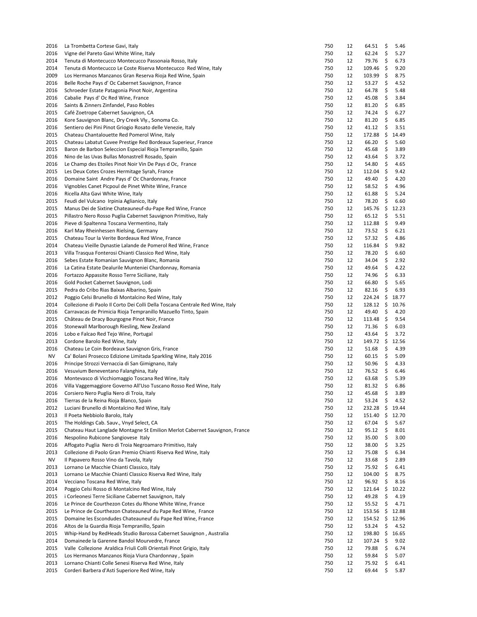| 2016 | La Trombetta Cortese Gavi, Italy                                              | 750 | 12 | 64.51         | \$  | 5.46  |
|------|-------------------------------------------------------------------------------|-----|----|---------------|-----|-------|
| 2016 | Vigne del Pareto Gavi White Wine, Italy                                       | 750 | 12 | 62.24         | \$  | 5.27  |
| 2014 | Tenuta di Montecucco Montecucco Passonaia Rosso, Italy                        | 750 | 12 | 79.76         | \$  | 6.73  |
| 2014 | Tenuta di Montecucco Le Coste Riserva Montecucco Red Wine, Italy              | 750 | 12 | 109.46        | \$  | 9.20  |
| 2009 | Los Hermanos Manzanos Gran Reserva Rioja Red Wine, Spain                      | 750 | 12 | 103.99        | \$  | 8.75  |
| 2016 | Belle Roche Pays d' Oc Cabernet Sauvignon, France                             | 750 | 12 | 53.27         | \$  | 4.52  |
| 2016 | Schroeder Estate Patagonia Pinot Noir, Argentina                              | 750 | 12 | 64.78         | \$  | 5.48  |
| 2016 | Cabalie Pays d' Oc Red Wine, France                                           | 750 | 12 | 45.08         | \$  | 3.84  |
| 2016 | Saints & Zinners Zinfandel, Paso Robles                                       | 750 | 12 | 81.20         | \$  | 6.85  |
| 2015 | Café Zoetrope Cabernet Sauvignon, CA                                          | 750 | 12 | 74.24         | \$  | 6.27  |
| 2016 | Kore Sauvignon Blanc, Dry Creek Vly., Sonoma Co.                              | 750 | 12 | 81.20         | \$  | 6.85  |
| 2016 | Sentiero dei Pini Pinot Griogio Rosato delle Venezie, Italy                   | 750 | 12 | 41.12         | \$  | 3.51  |
| 2015 | Chateau Chantalouette Red Pomerol Wine, Italy                                 | 750 | 12 | 172.88        | \$  | 14.49 |
| 2015 | Chateau Labatut Cuvee Prestige Red Bordeaux Superieur, France                 | 750 | 12 | 66.20         | \$  | 5.60  |
| 2015 | Baron de Barbon Seleccion Especial Rioja Tempranillo, Spain                   | 750 | 12 | 45.68         | \$  | 3.89  |
| 2016 | Nino de las Uvas Bullas Monastrell Rosado, Spain                              | 750 | 12 | 43.64         | \$  | 3.72  |
|      |                                                                               |     |    |               |     |       |
| 2016 | Le Champ des Etoiles Pinot Noir Vin De Pays d Oc, France                      | 750 | 12 | 54.80         | \$  | 4.65  |
| 2015 | Les Deux Cotes Crozes Hermitage Syrah, France                                 | 750 | 12 | 112.04        | \$  | 9.42  |
| 2016 | Domaine Saint Andre Pays d' Oc Chardonnay, France                             | 750 | 12 | 49.40         | \$  | 4.20  |
| 2016 | Vignobles Canet Picpoul de Pinet White Wine, France                           | 750 | 12 | 58.52         | \$  | 4.96  |
| 2016 | Ricella Alta Gavi White Wine, Italy                                           | 750 | 12 | 61.88         | \$  | 5.24  |
| 2015 | Feudi del Vulcano Irpinia Aglianico, Italy                                    | 750 | 12 | 78.20         | \$  | 6.60  |
| 2015 | Manus Dei de Sixtine Chateauneuf-du-Pape Red Wine, France                     | 750 | 12 | 145.76        | \$  | 12.23 |
| 2015 | Pillastro Nero Rosso Puglia Cabernet Sauvignon Primitivo, Italy               | 750 | 12 | 65.12         | \$  | 5.51  |
| 2016 | Pieve di Spaltenna Toscana Vermentino, Italy                                  | 750 | 12 | 112.88        | \$  | 9.49  |
| 2016 | Karl May Rheinhessen Rielsing, Germany                                        | 750 | 12 | 73.52         | \$  | 6.21  |
| 2015 | Chateau Tour la Verite Bordeaux Red Wine, France                              | 750 | 12 | 57.32         | \$  | 4.86  |
| 2014 | Chateau Vieille Dynastie Lalande de Pomerol Red Wine, France                  | 750 | 12 | 116.84        | \$  | 9.82  |
| 2013 | Villa Trasqua Fonterosi Chianti Classico Red Wine, Italy                      | 750 | 12 | 78.20         | \$  | 6.60  |
| 2016 | Sebes Estate Romanian Sauvignon Blanc, Romania                                | 750 | 12 | 34.04         | \$  | 2.92  |
| 2016 | La Catina Estate Dealurile Munteniei Chardonnay, Romania                      | 750 | 12 | 49.64         | \$  | 4.22  |
| 2016 | Fortazzo Appassite Rosso Terre Siciliane, Italy                               | 750 | 12 | 74.96         | \$  | 6.33  |
| 2016 | Gold Pocket Cabernet Sauvignon, Lodi                                          | 750 | 12 | 66.80         | \$  | 5.65  |
| 2015 | Pedra do Cribo Rias Baixas Albarino, Spain                                    | 750 | 12 | 82.16         | \$  | 6.93  |
| 2012 | Poggio Celsi Brunello di Montalcino Red Wine, Italy                           | 750 | 12 | 224.24        | \$  | 18.77 |
|      |                                                                               |     |    | 128.12        | \$  |       |
| 2014 | Collezione di Paolo Il Corto Dei Colli Della Toscana Centrale Red Wine, Italy | 750 | 12 |               |     | 10.76 |
| 2016 | Carravacas de Primicia Rioja Tempranillo Mazuello Tinto, Spain                | 750 | 12 | 49.40         | \$  | 4.20  |
| 2015 | Château de Dracy Bourgogne Pinot Noir, France                                 | 750 | 12 | 113.48        | \$  | 9.54  |
| 2016 | Stonewall Marlborough Riesling, New Zealand                                   | 750 | 12 | 71.36         | \$  | 6.03  |
| 2016 | Lobo e Falcao Red Tejo Wine, Portugal                                         | 750 | 12 | 43.64         | \$  | 3.72  |
| 2013 | Cordone Barolo Red Wine, Italy                                                | 750 | 12 | 149.72        | -\$ | 12.56 |
| 2016 | Chateau Le Coin Bordeaux Sauvignon Gris, France                               | 750 | 12 | 51.68         | \$  | 4.39  |
| NV   | Ca' Bolani Prosecco Edizione Limitada Sparkling Wine, Italy 2016              | 750 | 12 | 60.15         | \$  | 5.09  |
| 2016 | Principe Strozzi Vernaccia di San Gimignano, Italy                            | 750 | 12 | 50.96         | \$  | 4.33  |
| 2016 | Vesuvium Beneventano Falanghina, Italy                                        | 750 | 12 | 76.52         | \$  | 6.46  |
| 2016 | Montevasco di Vicchiomaggio Toscana Red Wine, Italy                           | 750 | 12 | 63.68         | \$  | 5.39  |
| 2016 | Villa Vaggemaggiore Governo All'Uso Tuscano Rosso Red Wine, Italy             | 750 | 12 | 81.32         | \$  | 6.86  |
| 2016 | Corsiero Nero Puglia Nero di Troia, Italy                                     | 750 | 12 | 45.68         | \$  | 3.89  |
| 2016 | Tierras de la Reina Rioja Blanco, Spain                                       | 750 | 12 | 53.24         | \$  | 4.52  |
| 2012 | Luciani Brunello di Montalcino Red Wine, Italy                                | 750 | 12 | 232.28        | \$  | 19.44 |
| 2013 | Il Poeta Nebbiolo Barolo, Italy                                               | 750 | 12 | 151.40        | \$  | 12.70 |
| 2015 | The Holdings Cab. Sauv., Vnyd Select, CA                                      | 750 | 12 | 67.04         | \$  | 5.67  |
| 2015 | Chateau Haut Langlade Montagne St Emilion Merlot Cabernet Sauvignon, France   | 750 | 12 | 95.12         | \$  | 8.01  |
| 2016 | Nespolino Rubicone Sangiovese Italy                                           | 750 | 12 | 35.00         | \$  | 3.00  |
| 2016 | Affogato Puglia Nero di Troia Negroamaro Primitivo, Italy                     | 750 | 12 | 38.00         | \$  | 3.25  |
| 2013 | Collezione di Paolo Gran Premio Chianti Riserva Red Wine, Italy               | 750 | 12 | 75.08         | \$  | 6.34  |
| NV   | Il Papavero Rosso Vino da Tavola, Italy                                       | 750 | 12 | 33.68         | \$  | 2.89  |
|      |                                                                               |     |    |               |     |       |
| 2013 | Lornano Le Macchie Chianti Classico, Italy                                    | 750 | 12 | 75.92         | \$  | 6.41  |
| 2013 | Lornano Le Macchie Chianti Classico Riserva Red Wine, Italy                   | 750 | 12 | 104.00        | \$  | 8.75  |
| 2014 | Vecciano Toscana Red Wine, Italy                                              | 750 | 12 | 96.92         | \$  | 8.16  |
| 2014 | Poggio Celsi Rosso di Montalcino Red Wine, Italy                              | 750 | 12 | 121.64        | \$  | 10.22 |
| 2015 | i Corleonesi Terre Siciliane Cabernet Sauvignon, Italy                        | 750 | 12 | 49.28         | \$  | 4.19  |
| 2016 | Le Prince de Courthezon Cotes du Rhone White Wine, France                     | 750 | 12 | 55.52         | \$  | 4.71  |
| 2015 | Le Prince de Courthezon Chateauneuf du Pape Red Wine, France                  | 750 | 12 | 153.56        | \$  | 12.88 |
| 2015 | Domaine les Escondudes Chateauneuf du Pape Red Wine, France                   | 750 | 12 | $154.52 \div$ |     | 12.96 |
| 2016 | Altos de la Guardia Rioja Tempranillo, Spain                                  | 750 | 12 | 53.24         | \$  | 4.52  |
| 2015 | Whip-Hand by RedHeads Studio Barossa Cabernet Sauvignon, Australia            | 750 | 12 | 198.80        | \$  | 16.65 |
| 2014 | Domainede la Garenne Bandol Mourvedre, France                                 | 750 | 12 | 107.24        | \$  | 9.02  |
| 2015 | Valle Collezione Araldica Friuli Colli Orientali Pinot Grigio, Italy          | 750 | 12 | 79.88         | \$  | 6.74  |
| 2015 | Los Hermanos Manzanos Rioja Viura Chardonnay, Spain                           | 750 | 12 | 59.84         | \$  | 5.07  |
| 2013 | Lornano Chianti Colle Senesi Riserva Red Wine, Italy                          | 750 | 12 | 75.92         | \$  | 6.41  |
| 2015 | Corderi Barbera d'Asti Superiore Red Wine, Italy                              | 750 | 12 | 69.44         | \$  | 5.87  |
|      |                                                                               |     |    |               |     |       |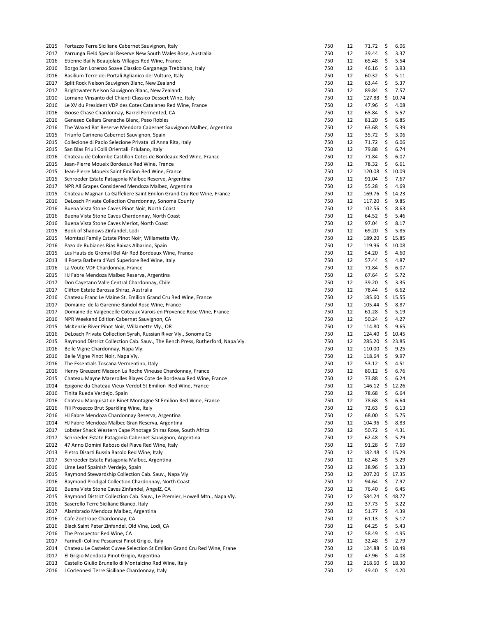| 2015 | Fortazzo Terre Siciliane Cabernet Sauvignon, Italy                             | 750 | 12 | 71.72           | \$  | 6.06  |
|------|--------------------------------------------------------------------------------|-----|----|-----------------|-----|-------|
| 2017 | Yarrunga Field Special Reserve New South Wales Rose, Australia                 | 750 | 12 | 39.44           | \$  | 3.37  |
| 2016 | Etienne Bailly Beaujolais-Villages Red Wine, France                            | 750 | 12 | 65.48           | \$  | 5.54  |
| 2016 | Borgo San Lorenzo Soave Classico Garganega Trebbiano, Italy                    | 750 | 12 | 46.16           | \$  | 3.93  |
| 2016 | Basilium Terre dei Portali Aglianico del Vulture, Italy                        | 750 | 12 | 60.32           | \$  | 5.11  |
| 2017 | Split Rock Nelson Sauvignon Blanc, New Zealand                                 | 750 | 12 | 63.44           | \$  | 5.37  |
| 2017 | Brightwater Nelson Sauvignon Blanc, New Zealand                                | 750 | 12 | 89.84           | \$  | 7.57  |
| 2010 | Lornano Vinsanto del Chianti Classico Dessert Wine, Italy                      | 750 | 12 | 127.88          | \$  | 10.74 |
| 2016 | Le XV du President VDP des Cotes Catalanes Red Wine, France                    | 750 | 12 | 47.96           | \$  | 4.08  |
| 2016 | Goose Chase Chardonnay, Barrel Fermented, CA                                   | 750 | 12 | 65.84           | \$  | 5.57  |
| 2016 | Geneseo Cellars Grenache Blanc, Paso Robles                                    | 750 | 12 | 81.20           | \$  | 6.85  |
| 2016 | The Waxed Bat Reserve Mendoza Cabernet Sauvignon Malbec, Argentina             | 750 | 12 | 63.68           | \$  | 5.39  |
| 2015 | Triunfo Carinena Cabernet Sauvignon, Spain                                     | 750 | 12 | 35.72           | \$  | 3.06  |
| 2015 | Collezione di Paolo Selezione Privata di Anna Rita, Italy                      | 750 | 12 | 71.72           | \$  | 6.06  |
| 2015 | San Blas Friuli Colli Orientali Friulano, Italy                                | 750 | 12 | 79.88           | \$  | 6.74  |
| 2016 | Chateau de Colombe Castillon Cotes de Bordeaux Red Wine, France                | 750 | 12 | 71.84           | \$  | 6.07  |
| 2015 | Jean-Pierre Moueix Bordeaux Red Wine, France                                   | 750 | 12 | 78.32           | \$  | 6.61  |
| 2015 | Jean-Pierre Moueix Saint Emilion Red Wine, France                              | 750 | 12 | 120.08          | \$  | 10.09 |
| 2015 | Schroeder Estate Patagonia Malbec Reserve, Argentina                           | 750 | 12 | 91.04           | \$  | 7.67  |
| 2017 | NPR All Grapes Considered Mendoza Malbec, Argentina                            | 750 | 12 | 55.28           | \$  | 4.69  |
|      |                                                                                | 750 | 12 | 169.76          |     |       |
| 2015 | Chateau Magnan La Gaffeliere Saint Emilon Grand Cru Red Wine, France           |     |    |                 | -\$ | 14.23 |
| 2016 | DeLoach Private Collection Chardonnay, Sonoma County                           | 750 | 12 | 117.20          | \$  | 9.85  |
| 2016 | Buena Vista Stone Caves Pinot Noir, North Coast                                | 750 | 12 | 102.56          | -\$ | 8.63  |
| 2016 | Buena Vista Stone Caves Chardonnay, North Coast                                | 750 | 12 | 64.52           | \$  | 5.46  |
| 2016 | Buena Vista Stone Caves Merlot, North Coast                                    | 750 | 12 | 97.04           | \$  | 8.17  |
| 2015 | Book of Shadows Zinfandel, Lodi                                                | 750 | 12 | 69.20           | \$  | 5.85  |
| 2015 | Momtazi Family Estate Pinot Noir, Willamette Vly.                              | 750 | 12 | 189.20          | \$  | 15.85 |
| 2016 | Pazo de Rubianes Rias Baixas Albarino, Spain                                   | 750 | 12 | 119.96          | \$  | 10.08 |
| 2015 | Les Hauts de Gromel Bel Air Red Bordeaux Wine, France                          | 750 | 12 | 54.20           | \$  | 4.60  |
| 2013 | Il Poeta Barbera d'Asti Superiore Red Wine, Italy                              | 750 | 12 | 57.44           | \$  | 4.87  |
| 2016 | La Voute VDF Chardonnay, France                                                | 750 | 12 | 71.84           | \$  | 6.07  |
| 2015 | HJ Fabre Mendoza Malbec Reserva, Argentina                                     | 750 | 12 | 67.64           | \$  | 5.72  |
| 2017 | Don Cayetano Valle Central Chardonnay, Chile                                   | 750 | 12 | 39.20           | \$  | 3.35  |
| 2017 | Clifton Estate Barossa Shiraz, Australia                                       | 750 | 12 | 78.44           | \$  | 6.62  |
| 2016 | Chateau Franc Le Maine St. Emilion Grand Cru Red Wine, France                  | 750 | 12 | 185.60          | \$  | 15.55 |
| 2017 | Domaine de la Garenne Bandol Rose Wine, France                                 | 750 | 12 | 105.44          | \$  | 8.87  |
| 2017 | Domaine de Valgencelle Coteaux Varois en Provence Rose Wine, France            | 750 | 12 | 61.28           | \$  | 5.19  |
| 2016 | NPR Weekend Edition Cabernet Sauvignon, CA                                     | 750 | 12 | 50.24           | \$  | 4.27  |
| 2015 | McKenzie River Pinot Noir, Willamette Vly., OR                                 | 750 | 12 | 114.80          | \$  | 9.65  |
| 2016 | DeLoach Private Collection Syrah, Russian River Vly., Sonoma Co                | 750 | 12 | 124.40          | \$  | 10.45 |
| 2015 | Raymond District Collection Cab. Sauv., The Bench Press, Rutherford, Napa Vly. | 750 | 12 | 285.20 \$       |     | 23.85 |
| 2016 | Belle Vigne Chardonnay, Napa Vly.                                              | 750 | 12 | 110.00          | -\$ | 9.25  |
| 2016 | Belle Vigne Pinot Noir, Napa Vly.                                              | 750 | 12 | 118.64          | \$  | 9.97  |
| 2016 | The Essentials Toscana Vermentino, Italy                                       | 750 | 12 | 53.12           | \$  | 4.51  |
| 2016 | Henry Greuzard Macaon La Roche Vineuse Chardonnay, France                      | 750 | 12 | 80.12           | \$  | 6.76  |
| 2015 |                                                                                | 750 | 12 | 73.88           | \$  | 6.24  |
|      | Chateau Mayne Mazerolles Blayes Cote de Bordeaux Red Wine, France              | 750 | 12 | 146.12 \$ 12.26 |     |       |
| 2014 | Epigone du Chateau Vieux Verdot St Emilion Red Wine, France                    | 750 | 12 | 78.68 \$        |     | 6.64  |
| 2016 | Tinita Rueda Verdejo, Spain                                                    |     |    |                 |     |       |
| 2016 | Chateau Marquisat de Binet Montagne St Emilion Red Wine, France                | 750 | 12 | 78.68           | \$  | 6.64  |
| 2016 | Fili Prosecco Brut Sparkling Wine, Italy                                       | 750 | 12 | 72.63           | \$  | 6.13  |
| 2016 | HJ Fabre Mendoza Chardonnay Reserva, Argentina                                 | 750 | 12 | 68.00           | \$  | 5.75  |
| 2014 | HJ Fabre Mendoza Malbec Gran Reserva, Argentina                                | 750 | 12 | 104.96          | \$  | 8.83  |
| 2017 | Lobster Shack Western Cape Pinotage Shiraz Rose, South Africa                  | 750 | 12 | 50.72           | \$  | 4.31  |
| 2017 | Schroeder Estate Patagonia Cabernet Sauvignon, Argentina                       | 750 | 12 | 62.48           | \$  | 5.29  |
| 2012 | 47 Anno Domini Raboso del Piave Red Wine, Italy                                | 750 | 12 | 91.28           | \$  | 7.69  |
| 2013 | Pietro Disarti Bussia Barolo Red Wine, Italy                                   | 750 | 12 | 182.48          | \$  | 15.29 |
| 2017 | Schroeder Estate Patagonia Malbec, Argentina                                   | 750 | 12 | 62.48           | \$  | 5.29  |
| 2016 | Lime Leaf Spainish Verdejo, Spain                                              | 750 | 12 | 38.96           | \$  | 3.33  |
| 2015 | Raymond Stewardship Collection Cab. Sauv., Napa Vly                            | 750 | 12 | 207.20          | \$  | 17.35 |
| 2016 | Raymond Prodigal Collection Chardonnay, North Coast                            | 750 | 12 | 94.64           | \$  | 7.97  |
| 2016 | Buena Vista Stone Caves Zinfandel, AngelZ, CA                                  | 750 | 12 | 76.40           | \$  | 6.45  |
| 2015 | Raymond District Collection Cab. Sauv., Le Premier, Howell Mtn., Napa Vly.     | 750 | 12 | 584.24          | \$  | 48.77 |
| 2016 | Saserello Terre Siciliane Bianco, Italy                                        | 750 | 12 | 37.73           | \$  | 3.22  |
| 2017 | Alambrado Mendoza Malbec, Argentina                                            | 750 | 12 | 51.77           | \$  | 4.39  |
| 2016 | Cafe Zoetrope Chardonnay, CA                                                   | 750 | 12 | 61.13           | \$  | 5.17  |
| 2016 | Black Saint Peter Zinfandel, Old Vine, Lodi, CA                                | 750 | 12 | 64.25           | \$  | 5.43  |
| 2016 | The Prospector Red Wine, CA                                                    | 750 | 12 | 58.49           | \$  | 4.95  |
| 2017 | Farinelli Colline Pescaresi Pinot Grigio, Italy                                | 750 | 12 | 32.48           | \$  | 2.79  |
| 2014 | Chateau Le Castelot Cuvee Selection St Emilion Grand Cru Red Wine, Frane       | 750 | 12 | 124.88          | \$  | 10.49 |
| 2017 | El Grigio Mendoza Pinot Grigio, Argentina                                      | 750 | 12 | 47.96           | \$  | 4.08  |
| 2013 | Castello Giulio Brunello di Montalcino Red Wine, Italy                         | 750 | 12 | 218.60          | \$  | 18.30 |
| 2016 | I Corleonesi Terre Siciliane Chardonnay, Italy                                 | 750 | 12 | 49.40           | \$  | 4.20  |
|      |                                                                                |     |    |                 |     |       |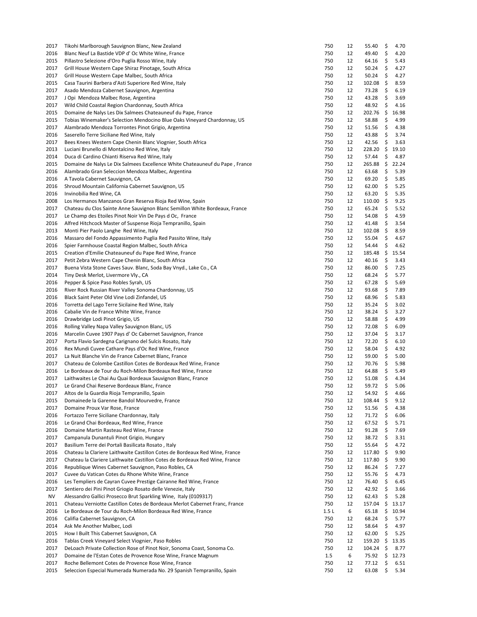| 2017 | Tikohi Marlborough Sauvignon Blanc, New Zealand                              | 750   | 12 | 55.40          | \$<br>4.70  |
|------|------------------------------------------------------------------------------|-------|----|----------------|-------------|
| 2016 | Blanc Neuf La Bastide VDP d' Oc White Wine, France                           | 750   | 12 | 49.40          | \$<br>4.20  |
| 2015 | Pillastro Selezione d'Oro Puglia Rosso Wine, Italy                           | 750   | 12 | 64.16          | \$<br>5.43  |
|      | Grill House Western Cape Shiraz Pinotage, South Africa                       | 750   | 12 |                |             |
| 2017 |                                                                              |       |    | 50.24          | \$<br>4.27  |
| 2017 | Grill House Western Cape Malbec, South Africa                                | 750   | 12 | 50.24          | \$<br>4.27  |
| 2015 | Casa Taurini Barbera d'Asti Superiore Red Wine, Italy                        | 750   | 12 | 102.08         | \$<br>8.59  |
| 2017 | Asado Mendoza Cabernet Sauvignon, Argentina                                  | 750   | 12 | 73.28          | \$<br>6.19  |
| 2017 | J Opi Mendoza Malbec Rose, Argentina                                         | 750   | 12 | 43.28          | \$<br>3.69  |
| 2017 | Wild Child Coastal Region Chardonnay, South Africa                           | 750   | 12 | 48.92          | \$<br>4.16  |
|      |                                                                              |       |    |                |             |
| 2015 | Domaine de Nalys Les Dix Salmees Chateauneuf du Pape, France                 | 750   | 12 | 202.76         | \$<br>16.98 |
| 2015 | Tobias Winemaker's Selection Mendocino Blue Oaks Vineyard Chardonnay, US     | 750   | 12 | 58.88          | \$<br>4.99  |
| 2017 | Alambrado Mendoza Torrontes Pinot Grigio, Argentina                          | 750   | 12 | 51.56          | \$<br>4.38  |
| 2016 | Saserello Terre Siciliane Red Wine, Italy                                    | 750   | 12 | 43.88          | \$<br>3.74  |
| 2017 | Bees Knees Western Cape Chenin Blanc Viognier, South Africa                  | 750   | 12 | 42.56          | \$<br>3.63  |
|      |                                                                              |       |    |                |             |
| 2013 | Luciani Brunello di Montalcino Red Wine, Italy                               | 750   | 12 | 228.20         | \$<br>19.10 |
| 2014 | Duca di Cardino Chianti Riserva Red Wine, Italy                              | 750   | 12 | 57.44          | \$<br>4.87  |
| 2015 | Domaine de Nalys Le Dix Salmees Excellence White Chateauneuf du Pape, France | 750   | 12 | 265.88         | \$<br>22.24 |
| 2016 | Alambrado Gran Seleccion Mendoza Malbec, Argentina                           | 750   | 12 | 63.68          | \$<br>5.39  |
| 2016 | A Tavola Cabernet Sauvignon, CA                                              | 750   | 12 | 69.20          | \$<br>5.85  |
|      |                                                                              |       |    |                |             |
| 2016 | Shroud Mountain California Cabernet Sauvignon, US                            | 750   | 12 | 62.00          | \$<br>5.25  |
| 2016 | Invinobilia Red Wine, CA                                                     | 750   | 12 | 63.20          | \$<br>5.35  |
| 2008 | Los Hermanos Manzanos Gran Reserva Rioja Red Wine, Spain                     | 750   | 12 | 110.00         | \$<br>9.25  |
| 2017 | Chateau du Clos Sainte Anne Sauvignon Blanc Semillon White Bordeaux, France  | 750   | 12 | 65.24          | \$<br>5.52  |
|      |                                                                              |       |    |                |             |
| 2017 | Le Champ des Etoiles Pinot Noir Vin De Pays d Oc, France                     | 750   | 12 | 54.08          | \$<br>4.59  |
| 2016 | Alfred Hitchcock Master of Suspense Rioja Tempranillo, Spain                 | 750   | 12 | 41.48          | \$<br>3.54  |
| 2013 | Monti Pier Paolo Langhe Red Wine, Italy                                      | 750   | 12 | 102.08         | \$<br>8.59  |
| 2016 | Massaro del Fondo Appassimento Puglia Red Passito Wine, Italy                | 750   | 12 | 55.04          | \$<br>4.67  |
| 2016 | Spier Farmhouse Coastal Region Malbec, South Africa                          | 750   | 12 | 54.44          | \$<br>4.62  |
|      |                                                                              |       |    |                |             |
| 2015 | Creation d'Emilie Chateauneuf du Pape Red Wine, France                       | 750   | 12 | 185.48         | \$<br>15.54 |
| 2017 | Petit Zebra Western Cape Chenin Blanc, South Africa                          | 750   | 12 | 40.16          | \$<br>3.43  |
| 2017 | Buena Vista Stone Caves Sauv. Blanc, Soda Bay Vnyd., Lake Co., CA            | 750   | 12 | 86.00          | \$<br>7.25  |
| 2014 | Tiny Desk Merlot, Livermore Vly., CA                                         | 750   | 12 | 68.24          | \$<br>5.77  |
| 2016 | Pepper & Spice Paso Robles Syrah, US                                         | 750   | 12 | 67.28          | \$<br>5.69  |
|      |                                                                              | 750   | 12 |                |             |
| 2016 | River Rock Russian River Valley Sonoma Chardonnay, US                        |       |    | 93.68          | \$<br>7.89  |
| 2016 | Black Saint Peter Old Vine Lodi Zinfandel, US                                | 750   | 12 | 68.96          | \$<br>5.83  |
| 2016 | Torretta del Lago Terre Sicilaine Red Wine, Italy                            | 750   | 12 | 35.24          | \$<br>3.02  |
| 2016 | Cabalie Vin de France White Wine, France                                     | 750   | 12 | 38.24          | \$<br>3.27  |
| 2016 | Drawbridge Lodi Pinot Grigio, US                                             | 750   | 12 | 58.88          | \$<br>4.99  |
| 2016 | Rolling Valley Napa Valley Sauvignon Blanc, US                               | 750   | 12 | 72.08          | \$<br>6.09  |
|      |                                                                              |       |    |                |             |
| 2016 | Marcelin Cuvee 1907 Pays d' Oc Cabernet Sauvignon, France                    | 750   | 12 | 37.04          | \$<br>3.17  |
| 2017 | Porta Flavio Sardegna Carignano del Sulcis Rosato, Italy                     | 750   | 12 | 72.20          | \$<br>6.10  |
| 2016 | Rex Mundi Cuvee Cathare Pays d'Oc Red Wine, France                           | 750   | 12 | 58.04          | \$<br>4.92  |
| 2017 | La Nuit Blanche Vin de France Cabernet Blanc, France                         | 750   | 12 | 59.00          | \$<br>5.00  |
| 2017 | Chateau de Colombe Castillon Cotes de Bordeaux Red Wine, France              | 750   | 12 | 70.76          | \$<br>5.98  |
|      |                                                                              |       |    |                |             |
| 2016 | Le Bordeaux de Tour du Roch-Milon Bordeaux Red Wine, France                  | 750   | 12 | 64.88          | \$<br>5.49  |
| 2017 | Laithwaites Le Chai Au Quai Bordeaux Sauvignon Blanc, France                 | 750   | 12 | 51.08          | \$<br>4.34  |
| 2017 | Le Grand Chai Reserve Bordeaux Blanc, France                                 | 750   | 12 | 59.72          | \$<br>5.06  |
| 2017 | Altos de la Guardia Rioja Tempranillo, Spain                                 | 750   | 12 | 54.92          | \$<br>4.66  |
| 2015 | Domainede la Garenne Bandol Mourvedre, France                                | 750   | 12 | 108.44         | \$<br>9.12  |
| 2017 | Domaine Proux Var Rose, France                                               | 750   | 12 | 51.56          | \$<br>4.38  |
|      |                                                                              |       |    |                |             |
| 2016 | Fortazzo Terre Siciliane Chardonnay, Italy                                   | 750   | 12 | 71.72          | \$<br>6.06  |
| 2016 | Le Grand Chai Bordeaux, Red Wine, France                                     | 750   | 12 | 67.52          | \$<br>5.71  |
| 2016 | Domaine Martin Rasteau Red Wine, France                                      | 750   | 12 | 91.28          | \$<br>7.69  |
| 2017 | Campanula Dunantuli Pinot Grigio, Hungary                                    | 750   | 12 | 38.72          | \$<br>3.31  |
| 2017 | Basilium Terre dei Portali Basilicata Rosato, Italy                          | 750   | 12 | 55.64          | \$<br>4.72  |
|      |                                                                              |       |    |                |             |
| 2016 | Chateau la Clariere Laithwaite Castillon Cotes de Bordeaux Red Wine, France  | 750   | 12 | 117.80         | \$<br>9.90  |
| 2017 | Chateau la Clariere Laithwaite Castillon Cotes de Bordeaux Red Wine, France  | 750   | 12 | 117.80         | \$<br>9.90  |
| 2016 | Republique Wines Cabernet Sauvignon, Paso Robles, CA                         | 750   | 12 | 86.24          | \$<br>7.27  |
| 2017 | Cuvee du Vatican Cotes du Rhone White Wine, France                           | 750   | 12 | 55.76          | \$<br>4.73  |
| 2016 | Les Templiers de Cayran Cuvee Prestige Cairanne Red Wine, France             | 750   | 12 | 76.40          | \$<br>6.45  |
|      |                                                                              |       |    |                |             |
| 2017 | Sentiero dei Pini Pinot Griogio Rosato delle Venezie, Italy                  | 750   | 12 | 42.92          | \$<br>3.66  |
| ΝV   | Alessandro Gallici Prosecco Brut Sparkling Wine, Italy (0109317)             | 750   | 12 | 62.43          | \$<br>5.28  |
| 2011 | Chateau Verniotte Castillon Cotes de Bordeaux Merlot Cabernet Franc, France  | 750   | 12 | 157.04         | \$<br>13.17 |
| 2016 | Le Bordeaux de Tour du Roch-Milon Bordeaux Red Wine, France                  | 1.5 L | 6  | 65.18          | \$<br>10.94 |
| 2016 | Califia Cabernet Sauvignon, CA                                               | 750   | 12 | 68.24          | \$<br>5.77  |
| 2014 | Ask Me Another Malbec, Lodi                                                  | 750   | 12 | 58.64          | \$<br>4.97  |
|      |                                                                              |       |    |                |             |
| 2015 | How I Built This Cabernet Sauvignon, CA                                      | 750   | 12 | 62.00          | \$<br>5.25  |
| 2016 | Tablas Creek Vineyard Select Viognier, Paso Robles                           | 750   | 12 | 159.20         | \$<br>13.35 |
| 2017 | DeLoach Private Collection Rose of Pinot Noir, Sonoma Coast, Sonoma Co.      | 750   | 12 | 104.24         | \$<br>8.77  |
| 2017 | Domaine de l'Estan Cotes de Provence Rose Wine, France Magnum                | 1.5   | 6  | 75.92          | \$<br>12.73 |
| 2017 | Roche Bellemont Cotes de Provence Rose Wine, France                          | 750   | 12 |                | \$<br>6.51  |
|      |                                                                              |       | 12 | 77.12<br>63.08 | \$<br>5.34  |
| 2015 | Seleccion Especial Numerada Numerada No. 29 Spanish Tempranillo, Spain       | 750   |    |                |             |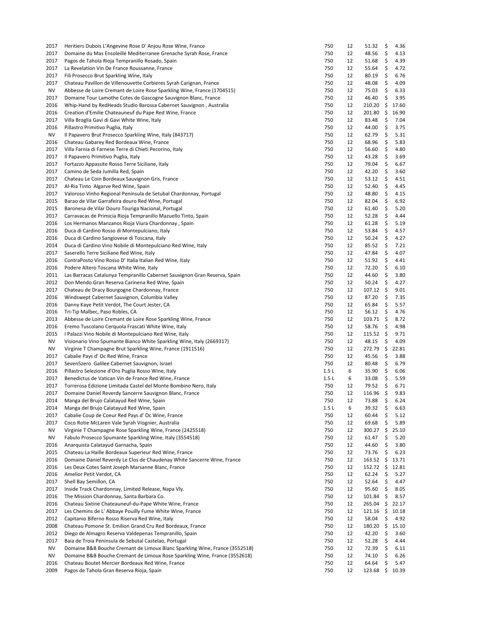| 2017         | Heritiers Dubois L'Angevine Rose D' Anjou Rose Wine, France                                      | 750        | 12 | 51.32           | \$        | 4.36    |
|--------------|--------------------------------------------------------------------------------------------------|------------|----|-----------------|-----------|---------|
| 2017         | Domaine du Mas Ensoleillé Mediterranee Grenache Syrah Rose, France                               | 750        | 12 | 48.56           | \$        | 4.13    |
| 2017         | Pagos de Tahola Rioja Tempranillo Rosado, Spain                                                  | 750        | 12 | 51.68           | \$        | 4.39    |
| 2017         | La Revelation Vin De France Roussanne, France                                                    | 750        | 12 | 55.64           | \$        | 4.72    |
| 2017         | Fili Prosecco Brut Sparkling Wine, Italy                                                         | 750        | 12 | 80.19           | \$        | 6.76    |
| 2017         | Chateau Pavillon de Villenouvette Corbieres Syrah Carignan, France                               | 750        | 12 | 48.08           | \$        | 4.09    |
| NV           | Abbesse de Loire Cremant de Loire Rose Sparkling Wine, France (1704515)                          | 750        | 12 | 75.03           | \$        | 6.33    |
| 2017         | Domaine Tour Lamothe Cotes de Gascogne Sauvignon Blanc, France                                   | 750        | 12 | 46.40           | \$        | 3.95    |
| 2016         | Whip-Hand by RedHeads Studio Barossa Cabernet Sauvignon, Australia                               | 750        | 12 | 210.20          | \$        | 17.60   |
| 2016         | Creation d'Emilie Chateauneuf du Pape Red Wine, France                                           | 750        | 12 | 201.80          | \$        | 16.90   |
| 2017         | Villa Broglia Gavi di Gavi White Wine, Italy                                                     | 750        | 12 | 83.48           | \$        | 7.04    |
| 2016         | Pillastro Primitivo Puglia, Italy                                                                | 750        | 12 | 44.00           | \$        | 3.75    |
| ΝV           | Il Papavero Brut Prosecco Sparkling Wine, Italy (843717)                                         | 750        | 12 | 62.79           | \$        | 5.31    |
| 2016         | Chateau Gabarey Red Bordeaux Wine, France                                                        | 750        | 12 | 68.96           | \$        | 5.83    |
| 2017         | Villa Farnia di Farnese Terre di Chieti Pecorino, Italy                                          | 750        | 12 | 56.60           | \$        | 4.80    |
| 2017         | Il Papavero Primitivo Puglia, Italy                                                              | 750        | 12 | 43.28           | \$        | 3.69    |
| 2017         | Fortazzo Appassite Rosso Terre Siciliane, Italy                                                  | 750        | 12 | 79.04           | \$        | 6.67    |
| 2017         | Camino de Seda Jumilla Red, Spain                                                                | 750        | 12 | 42.20           | \$        | 3.60    |
| 2017         | Chateau Le Coin Bordeaux Sauvignon Gris, France                                                  | 750        | 12 | 53.12           | \$        | 4.51    |
| 2017         | Al-Ria Tinto Algarve Red Wine, Spain                                                             | 750        | 12 | 52.40           | \$        | 4.45    |
| 2017         | Valoroso Vinho Regional Peninsula de Setubal Chardonnay, Portugal                                | 750        | 12 | 48.80           | \$        | 4.15    |
| 2015         | Barao de Vilar Garrafeira douro Red Wine, Portugal                                               | 750        | 12 | 82.04           | \$        | 6.92    |
| 2015         | Baronesa de Vilar Douro Touriga Nacional, Portugal                                               | 750        | 12 | 61.40           | \$        | 5.20    |
| 2017         | Carravacas de Primicia Rioja Tempranillo Mazuello Tinto, Spain                                   | 750        | 12 | 52.28           | \$        | 4.44    |
| 2016         | Los Hermanos Manzanos Rioja Viura Chardonnay, Spain                                              | 750        | 12 | 61.28           | \$        | 5.19    |
| 2016         | Duca di Cardino Rosso di Montepulciano, Italy                                                    | 750        | 12 | 53.84           | \$        | 4.57    |
| 2016         | Duca di Cardino Sangiovese di Toscana, Italy                                                     | 750        | 12 | 50.24           | \$        | 4.27    |
| 2014         | Duca di Cardino Vino Nobile di Montepulciano Red Wine, Italy                                     | 750        | 12 | 85.52           | \$        | 7.21    |
| 2017         | Saserello Terre Siciliane Red Wine, Italy                                                        | 750        | 12 | 47.84           | \$        | 4.07    |
| 2016         | ContraPosto Vino Rosso D' Italia Italian Red Wine, Italy                                         | 750        | 12 | 51.92           | \$        | 4.41    |
| 2016         | Podere Altero Toscana White Wine, Italy                                                          | 750        | 12 | 72.20           | \$        | 6.10    |
| 2011         | Las Barracas Catalunya Tempranillo Cabernet Sauvignon Gran Reserva, Spain                        | 750        | 12 | 44.60           | \$        | 3.80    |
| 2012         | Don Mendo Gran Reserva Carinena Red Wine, Spain                                                  | 750        | 12 | 50.24           | \$        | 4.27    |
| 2017         | Chateau de Dracy Bourgogne Chardonnay, France                                                    | 750        | 12 | 107.12          | - \$      | 9.01    |
| 2016         | Windswept Cabernet Sauvignon, Columbia Valley                                                    | 750        | 12 | 87.20           | \$        | 7.35    |
| 2016         | Danny Kaye Petit Verdot, The Court Jester, CA                                                    | 750        | 12 | 65.84           | \$        | 5.57    |
| 2016         |                                                                                                  | 750        | 12 | 56.12           | \$        | 4.76    |
|              | Tri-Tip Malbec, Paso Robles, CA<br>Abbesse de Loire Cremant de Loire Rose Sparkling Wine, France |            | 12 |                 |           |         |
| 2013<br>2016 |                                                                                                  | 750<br>750 | 12 | 103.71<br>58.76 | -\$<br>\$ | 8.72    |
|              | Eremo Tuscolano Cerquola Frascati White Wine, Italy                                              |            |    |                 |           | 4.98    |
| 2015         | I Palazzi Vino Nobile di Montepulciano Red Wine, Italy                                           | 750        | 12 | $115.52 \div$   |           | 9.71    |
| ΝV           | Visionario Vino Spumante Bianco White Sparkling Wine, Italy (2669317)                            | 750        | 12 | 48.15           | \$        | 4.09    |
| NV           | Virginie T Champagne Brut Sparkling Wine, France (1911516)                                       | 750        | 12 | 272.79          | \$        | 22.81   |
| 2017         | Cabalie Pays d' Oc Red Wine, France                                                              | 750        | 12 | 45.56           | \$        | 3.88    |
| 2017         | Seven5zero Galilee Cabernet Sauvignon, Israel                                                    | 750        | 12 | 80.48           | \$        | 6.79    |
| 2016         | Pillastro Selezione d'Oro Puglia Rosso Wine, Italy                                               | 1.5L       | 6  | 35.90           | \$        | 6.06    |
| 2017         | Benedictus de Vatican Vin de France Red Wine, France                                             | 1.5L       | 6  | 33.08           | \$        | 5.59    |
| 2017         | Torrerosa Edizione Limitada Castel del Monte Bombino Nero, Italy                                 | 750        | 12 | 79.52           | \$        | 6.71    |
| 2017         | Domaine Daniel Reverdy Sancerre Sauvignon Blanc, France                                          | 750        | 12 | 116.96          | \$        | 9.83    |
| 2014         | Manga del Brujo Calatayud Red Wine, Spain                                                        | 750        | 12 | 73.88           | \$        | 6.24    |
| 2014         | Manga del Brujo Calatayud Red Wine, Spain                                                        | 1.5L       | 6  | 39.32           | \$        | 6.63    |
| 2017         | Cabalie Coup de Coeur Red Pays d' Oc Wine, France                                                | 750        | 12 | 60.44           | \$        | 5.12    |
| 2017         | Coco Rotie McLaren Vale Syrah Viognier, Australia                                                | 750        | 12 | 69.68           | \$        | 5.89    |
| <b>NV</b>    | Virginie T Champagne Rose Sparkling Wine, France (2425518)                                       | 750        | 12 | 300.27          | \$        | 25.10   |
| <b>NV</b>    | Fabulo Prosecco Spumante Sparkling Wine, Italy (3554518)                                         | 750        | 12 | 61.47           | \$        | 5.20    |
| 2016         | Anarquista Calatayud Garnacha, Spain                                                             | 750        | 12 | 44.60           | \$        | 3.80    |
| 2015         | Chateau La Haille Bordeaux Superieur Red Wine, France                                            | 750        | 12 | 73.76           | \$        | 6.23    |
| 2016         | Domaine Daniel Reverdy Le Clos de Chaudenay White Sancerre Wine, France                          | 750        | 12 | 163.52          | \$        | 13.71   |
| 2016         | Les Deux Cotes Saint Joseph Marsanne Blanc, France                                               | 750        | 12 | 152.72          | \$        | 12.81   |
| 2016         | Amelior Petit Verdot, CA                                                                         | 750        | 12 | 62.24           | \$        | 5.27    |
| 2017         | Shell Bay Semillon, CA                                                                           | 750        | 12 | 52.64           | \$        | 4.47    |
| 2017         | Inside Track Chardonnay, Limited Release, Napa Vly.                                              | 750        | 12 | 95.60           | \$        | 8.05    |
| 2016         | The Mission Chardonnay, Santa Barbara Co.                                                        | 750        | 12 | 101.84          | \$        | 8.57    |
| 2016         | Chateau Sixtine Chateauneuf-du-Pape White Wine, France                                           | 750        | 12 | 265.04          | \$        | 22.17   |
| 2017         | Les Chemins de L' Abbaye Pouilly Fume White Wine, France                                         | 750        | 12 | 121.16          | \$        | 10.18   |
| 2012         | Capitanio Biferno Rosso Riserva Red Wine, Italy                                                  | 750        | 12 | 58.04           | \$        | 4.92    |
| 2008         | Chateau Pomone St. Emilion Grand Cru Red Bordeaux, France                                        | 750        | 12 | 180.20          | \$        | 15.10   |
| 2012         | Diego de Almagro Reserva Valdepenas Tempranillo, Spain                                           | 750        | 12 | 42.20           | \$        | 3.60    |
| 2017         | Baia de Troia Peninsula de Sebutal Castelao, Portugal                                            | 750        | 12 | 52.28           | \$        | 4.44    |
| ΝV           | Domaine B&B Bouche Cremant de Limoux Blanc Sparkling Wine, France (3552518)                      | 750        | 12 | 72.39           | \$        | 6.11    |
| ΝV           | Domaine B&B Bouche Cremant de Limoux Rose Sparkling Wine, France (3552618)                       | 750        | 12 | 74.10           | \$        | 6.26    |
| 2016         | Chateau Boutet Mercier Bordeaux Red Wine, France                                                 | 750        | 12 | 64.64           | \$        | 5.47    |
| 2009         | Pagos de Tahola Gran Reserva Rioja, Spain                                                        | 750        | 12 | 123.68          |           | \$10.39 |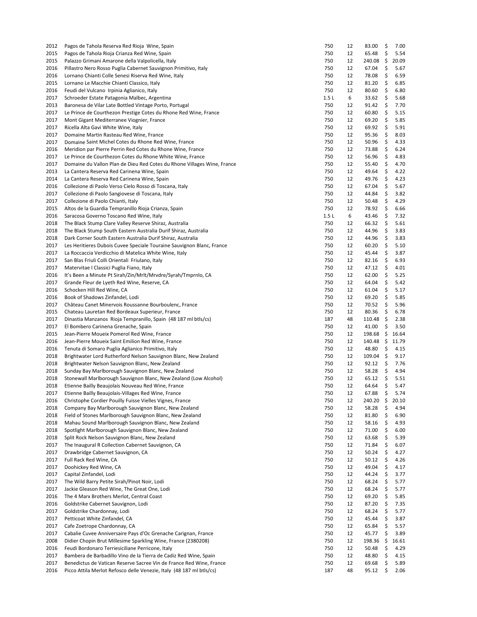| 2012 | Pagos de Tahola Reserva Red Rioja Wine, Spain                           | 750  | 12 | 83.00  | \$       | 7.00  |
|------|-------------------------------------------------------------------------|------|----|--------|----------|-------|
| 2015 | Pagos de Tahola Rioja Crianza Red Wine, Spain                           | 750  | 12 | 65.48  | \$       | 5.54  |
| 2015 | Palazzo Grimani Amarone della Valpolicella, Italy                       | 750  | 12 | 240.08 | \$       | 20.09 |
| 2016 | Pillastro Nero Rosso Puglia Cabernet Sauvignon Primitivo, Italy         | 750  | 12 | 67.04  | \$       | 5.67  |
| 2016 | Lornano Chianti Colle Senesi Riserva Red Wine, Italy                    | 750  | 12 | 78.08  | \$       | 6.59  |
| 2015 | Lornano Le Macchie Chianti Classico, Italy                              | 750  | 12 | 81.20  | \$       | 6.85  |
| 2016 | Feudi del Vulcano Irpinia Aglianico, Italy                              | 750  | 12 | 80.60  | \$       | 6.80  |
| 2017 | Schroeder Estate Patagonia Malbec, Argentina                            | 1.5L | 6  | 33.62  | \$       | 5.68  |
| 2013 | Baronesa de Vilar Late Bottled Vintage Porto, Portugal                  | 750  | 12 | 91.42  | \$       | 7.70  |
| 2017 | Le Prince de Courthezon Prestige Cotes du Rhone Red Wine, France        | 750  | 12 | 60.80  | \$       | 5.15  |
| 2017 | Mont Gigant Mediterranee Viognier, France                               | 750  | 12 | 69.20  | \$       | 5.85  |
| 2017 | Ricella Alta Gavi White Wine, Italy                                     | 750  | 12 | 69.92  | \$       | 5.91  |
| 2017 | Domaine Martin Rasteau Red Wine, France                                 | 750  | 12 | 95.36  | \$       | 8.03  |
| 2017 | Domaine Saint Michel Cotes du Rhone Red Wine, France                    | 750  | 12 | 50.96  | \$       | 4.33  |
| 2016 | Meridion par Pierre Perrin Red Cotes du Rhone Wine, France              | 750  | 12 | 73.88  | \$       | 6.24  |
| 2017 | Le Prince de Courthezon Cotes du Rhone White Wine, France               | 750  | 12 | 56.96  | \$       | 4.83  |
| 2017 | Domaine du Vallon Plan de Dieu Red Cotes du Rhone Villages Wine, France | 750  | 12 | 55.40  | \$       | 4.70  |
| 2013 | La Cantera Reserva Red Carinena Wine, Spain                             | 750  | 12 | 49.64  | \$       | 4.22  |
| 2014 | La Cantera Reserva Red Carinena Wine, Spain                             | 750  | 12 | 49.76  | \$       | 4.23  |
| 2016 | Collezione di Paolo Verso Cielo Rosso di Toscana, Italy                 | 750  | 12 | 67.04  | \$       | 5.67  |
| 2017 | Collezione di Paolo Sangiovese di Toscana, Italy                        | 750  | 12 | 44.84  | \$       | 3.82  |
| 2017 | Collezione di Paolo Chianti, Italy                                      | 750  | 12 | 50.48  | \$       | 4.29  |
| 2015 | Altos de la Guardia Tempranillo Rioja Crianza, Spain                    | 750  | 12 | 78.92  | \$       | 6.66  |
| 2016 | Saracosa Governo Toscano Red Wine, Italy                                | 1.5L | 6  | 43.46  | \$       | 7.32  |
| 2018 | The Black Stump Clare Valley Reserve Shiraz, Australia                  | 750  | 12 | 66.32  | \$       | 5.61  |
| 2018 | The Black Stump South Eastern Australia Durif Shiraz, Australia         | 750  | 12 | 44.96  | \$       | 3.83  |
| 2018 | Dark Corner South Eastern Australia Durif Shiraz, Australia             | 750  | 12 | 44.96  | \$       | 3.83  |
| 2017 | Les Heritieres Dubois Cuvee Speciale Touraine Sauvignon Blanc, France   | 750  | 12 | 60.20  | \$       | 5.10  |
| 2017 | La Roccaccia Verdicchio di Matelica White Wine, Italy                   | 750  | 12 | 45.44  | \$       | 3.87  |
| 2017 | San Blas Friuli Colli Orientali Friulano, Italy                         | 750  | 12 | 82.16  | \$       | 6.93  |
| 2017 | Matervitae I Classici Puglia Fiano, Italy                               | 750  | 12 | 47.12  | \$       | 4.01  |
| 2016 | It's Been a Minute Pt Sirah/Zin/Mrlt/Mrvdre/Syrah/Tmprnlo, CA           | 750  | 12 | 62.00  | \$       | 5.25  |
| 2017 | Grande Fleur de Lyeth Red Wine, Reserve, CA                             | 750  | 12 | 64.04  | \$       | 5.42  |
| 2016 | Schocken Hill Red Wine, CA                                              | 750  | 12 | 61.04  | \$       | 5.17  |
| 2016 | Book of Shadows Zinfandel, Lodi                                         | 750  | 12 | 69.20  | \$       | 5.85  |
| 2017 | Château Canet Minervois Roussanne Bourboulenc, France                   | 750  | 12 | 70.52  | \$       | 5.96  |
| 2015 | Chateau Lauretan Red Bordeaux Superieur, France                         | 750  | 12 | 80.36  | \$       | 6.78  |
| 2017 | Dinastia Manzanos Rioja Tempranillo, Spain (48 187 ml btls/cs)          | 187  | 48 | 110.48 | \$       | 2.38  |
| 2017 | El Bombero Carinena Grenache, Spain                                     | 750  | 12 | 41.00  | \$       | 3.50  |
| 2015 | Jean-Pierre Moueix Pomerol Red Wine, France                             | 750  | 12 | 198.68 | \$       | 16.64 |
| 2016 | Jean-Pierre Moueix Saint Emilion Red Wine, France                       | 750  | 12 | 140.48 | \$       | 11.79 |
| 2016 | Tenuta di Somaro Puglia Aglianico Primitivo, Italy                      | 750  | 12 | 48.80  | \$       | 4.15  |
|      |                                                                         | 750  | 12 |        |          |       |
| 2018 | Brightwater Lord Rutherford Nelson Sauvignon Blanc, New Zealand         | 750  |    | 109.04 | \$<br>\$ | 9.17  |
| 2018 | Brightwater Nelson Sauvignon Blanc, New Zealand                         |      | 12 | 92.12  |          | 7.76  |
| 2018 | Sunday Bay Marlborough Sauvignon Blanc, New Zealand                     | 750  | 12 | 58.28  | \$       | 4.94  |
| 2018 | Stonewall Marlborough Sauvignon Blanc, New Zealand (Low Alcohol)        | 750  | 12 | 65.12  | \$       | 5.51  |
| 2018 | Etienne Bailly Beaujolais Nouveau Red Wine, France                      | 750  | 12 | 64.64  | \$       | 5.47  |
| 2017 | Etienne Bailly Beaujolais-Villages Red Wine, France                     | 750  | 12 | 67.88  | \$       | 5.74  |
| 2016 | Christophe Cordier Pouilly Fuisse Vielles Vignes, France                | 750  | 12 | 240.20 | \$       | 20.10 |
| 2018 | Company Bay Marlborough Sauvignon Blanc, New Zealand                    | 750  | 12 | 58.28  | \$       | 4.94  |
| 2018 | Field of Stones Marlborough Sauvignon Blanc, New Zealand                | 750  | 12 | 81.80  | \$       | 6.90  |
| 2018 | Mahau Sound Marlborough Sauvignon Blanc, New Zealand                    | 750  | 12 | 58.16  | \$       | 4.93  |
| 2018 | Spotlight Marlborough Sauvignon Blanc, New Zealand                      | 750  | 12 | 71.00  | \$       | 6.00  |
| 2018 | Split Rock Nelson Sauvignon Blanc, New Zealand                          | 750  | 12 | 63.68  | Ş        | 5.39  |
| 2017 | The Inaugural R Collection Cabernet Sauvignon, CA                       | 750  | 12 | 71.84  | \$       | 6.07  |
| 2017 | Drawbridge Cabernet Sauvignon, CA                                       | 750  | 12 | 50.24  | \$       | 4.27  |
| 2017 | Full Rack Red Wine, CA                                                  | 750  | 12 | 50.12  | \$       | 4.26  |
| 2017 | Doohickey Red Wine, CA                                                  | 750  | 12 | 49.04  | \$       | 4.17  |
| 2017 | Capital Zinfandel, Lodi                                                 | 750  | 12 | 44.24  | \$       | 3.77  |
| 2017 | The Wild Barry Petite Sirah/Pinot Noir, Lodi                            | 750  | 12 | 68.24  | \$       | 5.77  |
| 2017 | Jackie Gleason Red Wine, The Great One, Lodi                            | 750  | 12 | 68.24  | \$       | 5.77  |
| 2016 | The 4 Marx Brothers Merlot, Central Coast                               | 750  | 12 | 69.20  | \$       | 5.85  |
| 2016 | Goldstrike Cabernet Sauvignon, Lodi                                     | 750  | 12 | 87.20  | \$       | 7.35  |
| 2017 | Goldstrike Chardonnay, Lodi                                             | 750  | 12 | 68.24  | \$       | 5.77  |
| 2017 | Petticoat White Zinfandel, CA                                           | 750  | 12 | 45.44  | \$       | 3.87  |
| 2017 | Cafe Zoetrope Chardonnay, CA                                            | 750  | 12 | 65.84  | \$       | 5.57  |
| 2017 | Cabalie Cuvee Anniversaire Pays d'Oc Grenache Carignan, France          | 750  | 12 | 45.77  | \$       | 3.89  |
| 2008 | Didier Chopin Brut Millesime Sparkling Wine, France (2380208)           | 750  | 12 | 198.36 | \$       | 16.61 |
| 2016 | Feudi Bordonaro Terriesiciliane Perricone, Italy                        | 750  | 12 | 50.48  | \$       | 4.29  |
| 2017 | Bambera de Barbadillo Vino de la Tierra de Cadiz Red Wine, Spain        | 750  | 12 | 48.80  | \$       | 4.15  |
| 2017 | Benedictus de Vatican Reserve Sacree Vin de France Red Wine, France     | 750  | 12 | 69.68  | \$       | 5.89  |
| 2016 | Picco Attila Merlot Refosco delle Venezie, Italy (48 187 ml btls/cs)    | 187  | 48 | 95.12  | \$       | 2.06  |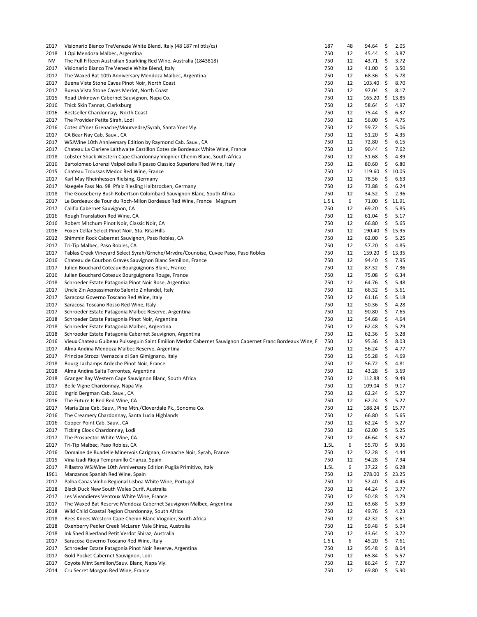| 2017      | Visionario Bianco TreVenezie White Blend, Italy (48 187 ml btls/cs)                                      | 187  | 48 | 94.64            | \$  | 2.05  |
|-----------|----------------------------------------------------------------------------------------------------------|------|----|------------------|-----|-------|
| 2018      | J Opi Mendoza Malbec, Argentina                                                                          | 750  | 12 | 45.44            | \$  | 3.87  |
| <b>NV</b> | The Full Fifteen Australian Sparkling Red Wine, Australia (1843818)                                      | 750  | 12 | 43.71            | \$  | 3.72  |
| 2017      | Visionario Bianco Tre Venezie White Blend, Italy                                                         | 750  | 12 | 41.00            | \$  | 3.50  |
| 2017      | The Waxed Bat 10th Anniversary Mendoza Malbec, Argentina                                                 | 750  | 12 | 68.36            | \$  | 5.78  |
| 2017      | Buena Vista Stone Caves Pinot Noir, North Coast                                                          | 750  | 12 | 103.40           | \$  | 8.70  |
| 2017      | Buena Vista Stone Caves Merlot, North Coast                                                              | 750  | 12 | 97.04            | \$  | 8.17  |
| 2015      | Road Unknown Cabernet Sauvignon, Napa Co.                                                                | 750  | 12 | 165.20           | \$  | 13.85 |
| 2016      | Thick Skin Tannat, Clarksburg                                                                            | 750  | 12 | 58.64            | \$  | 4.97  |
| 2016      | Bestseller Chardonnay, North Coast                                                                       | 750  | 12 | 75.44            | \$  | 6.37  |
| 2017      | The Provider Petite Sirah, Lodi                                                                          | 750  | 12 | 56.00            | \$  | 4.75  |
| 2016      | Cotes d'Ynez Grenache/Mourvedre/Syrah, Santa Ynez Vly.                                                   | 750  | 12 | 59.72            | \$  | 5.06  |
| 2017      | CA Bear Nay Cab. Sauv., CA                                                                               | 750  | 12 | 51.20            | \$  | 4.35  |
| 2017      | WSJWine 10th Anniversary Edition by Raymond Cab. Sauv., CA                                               | 750  | 12 | 72.80            | \$  | 6.15  |
| 2017      | Chateau La Clariere Laithwaite Castillon Cotes de Bordeaux White Wine, France                            | 750  | 12 | 90.44            | \$  | 7.62  |
| 2018      | Lobster Shack Western Cape Chardonnay Viognier Chenin Blanc, South Africa                                | 750  | 12 | 51.68            | \$  | 4.39  |
| 2016      | Bartolomeo Lorenzi Valpolicella Ripasso Classico Superiore Red Wine, Italy                               | 750  | 12 | 80.60            | \$  | 6.80  |
| 2015      | Chateau Troussas Medoc Red Wine, France                                                                  | 750  | 12 | 119.60           | \$  | 10.05 |
| 2017      | Karl May Rheinhessen Rielsing, Germany                                                                   | 750  | 12 | 78.56            | \$  | 6.63  |
| 2017      | Naegele Fass No. 98 Pfalz Riesling Halbtrocken, Germany                                                  | 750  | 12 | 73.88            | \$  | 6.24  |
| 2018      | The Gooseberry Bush Robertson Colombard Sauvignon Blanc, South Africa                                    | 750  | 12 | 34.52            | \$  | 2.96  |
| 2017      | Le Bordeaux de Tour du Roch-Milon Bordeaux Red Wine, France Magnum                                       | 1.5L | 6  | 71.00            | \$  | 11.91 |
| 2017      | Califia Cabernet Sauvignon, CA                                                                           | 750  | 12 | 69.20            | \$  | 5.85  |
| 2016      | Rough Translation Red Wine, CA                                                                           | 750  | 12 | 61.04            | \$  | 5.17  |
| 2016      | Robert Mitchum Pinot Noir, Classic Noir, CA                                                              | 750  | 12 | 66.80            | \$  | 5.65  |
| 2016      | Foxen Cellar Select Pinot Noir, Sta. Rita Hills                                                          | 750  | 12 | 190.40           | \$  | 15.95 |
| 2012      | Shimmin Rock Cabernet Sauvignon, Paso Robles, CA                                                         | 750  | 12 | 62.00            | \$  | 5.25  |
| 2017      | Tri-Tip Malbec, Paso Robles, CA                                                                          | 750  | 12 | 57.20            | \$  | 4.85  |
| 2017      | Tablas Creek Vineyard Select Syrah/Grnche/Mrvdre/Counoise, Cuvee Paso, Paso Robles                       | 750  | 12 | 159.20           | \$  | 13.35 |
|           | Chateau de Courbon Graves Sauvignon Blanc Semillon, France                                               |      |    |                  |     |       |
| 2016      |                                                                                                          | 750  | 12 | 94.40            | \$  | 7.95  |
| 2017      | Julien Bouchard Coteaux Bourguignons Blanc, France                                                       | 750  | 12 | 87.32            | \$  | 7.36  |
| 2016      | Julien Bouchard Coteaux Bourguignons Rouge, France                                                       | 750  | 12 | 75.08            | \$  | 6.34  |
| 2018      | Schroeder Estate Patagonia Pinot Noir Rose, Argentina                                                    | 750  | 12 | 64.76            | \$  | 5.48  |
| 2017      | Uncle Zin Appassimento Salento Zinfandel, Italy                                                          | 750  | 12 | 66.32            | \$  | 5.61  |
| 2017      | Saracosa Governo Toscano Red Wine, Italy                                                                 | 750  | 12 | 61.16            | \$  | 5.18  |
| 2017      | Saracosa Toscano Rosso Red Wine, Italy                                                                   | 750  | 12 | 50.36            | \$  | 4.28  |
| 2017      | Schroeder Estate Patagonia Malbec Reserve, Argentina                                                     | 750  | 12 | 90.80            | \$  | 7.65  |
| 2018      | Schroeder Estate Patagonia Pinot Noir, Argentina                                                         | 750  | 12 | 54.68            | \$  | 4.64  |
| 2018      | Schroeder Estate Patagonia Malbec, Argentina                                                             | 750  | 12 | 62.48            | \$  | 5.29  |
| 2018      | Schroeder Estate Patagonia Cabernet Sauvignon, Argentina                                                 | 750  | 12 | 62.36            | \$  | 5.28  |
| 2016      | Vieux Chateau Guibeau Puisseguin Saint Emilion Merlot Cabernet Sauvignon Cabernet Franc Bordeaux Wine, F | 750  | 12 | 95.36            | \$  | 8.03  |
| 2017      | Alma Andina Mendoza Malbec Reserve, Argentina                                                            | 750  | 12 | 56.24            | \$  | 4.77  |
| 2017      | Principe Strozzi Vernaccia di San Gimignano, Italy                                                       | 750  | 12 | 55.28            | \$  | 4.69  |
| 2018      | Bourg Lachamps Ardeche Pinot Noir, France                                                                | 750  | 12 | 56.72            | \$  | 4.81  |
| 2018      | Alma Andina Salta Torrontes, Argentina                                                                   | 750  | 12 | 43.28            | \$  | 3.69  |
| 2018      | Granger Bay Western Cape Sauvignon Blanc, South Africa                                                   | 750  | 12 | 112.88           | \$  | 9.49  |
| 2017      | Belle Vigne Chardonnay, Napa Vly.                                                                        | 750  | 12 | $109.04 \quad $$ |     | 9.17  |
| 2016      | Ingrid Bergman Cab. Sauv., CA                                                                            | 750  | 12 | $62.24$ \$       |     | 5.27  |
| 2016      | The Future Is Red Red Wine, CA                                                                           | 750  | 12 | 62.24            | \$  | 5.27  |
| 2017      | Maria Zasa Cab. Sauv., Pine Mtn./Cloverdale Pk., Sonoma Co.                                              | 750  | 12 | 188.24           | \$  | 15.77 |
| 2016      | The Creamery Chardonnay, Santa Lucia Highlands                                                           | 750  | 12 | 66.80            | \$  | 5.65  |
| 2016      | Cooper Point Cab. Sauv., CA                                                                              | 750  | 12 | 62.24            | \$  | 5.27  |
| 2017      | Ticking Clock Chardonnay, Lodi                                                                           | 750  | 12 | 62.00            | \$  | 5.25  |
| 2017      | The Prospector White Wine, CA                                                                            | 750  | 12 | 46.64            | \$  | 3.97  |
| 2017      | Tri-Tip Malbec, Paso Robles, CA                                                                          | 1.5L | 6  | 55.70            | \$  | 9.36  |
| 2016      | Domaine de Buadelle Minervois Carignan, Grenache Noir, Syrah, France                                     | 750  | 12 | 52.28            | \$  | 4.44  |
| 2015      | Vina Izadi Rioja Tempranillo Crianza, Spain                                                              | 750  | 12 | 94.28            | \$  | 7.94  |
| 2017      | Pillastro WSJWine 10th Anniversary Edition Puglia Primitivo, Italy                                       | 1.5L | 6  | 37.22            | \$  | 6.28  |
| 1961      | Manzanos Spanish Red Wine, Spain                                                                         | 750  | 12 | 278.00           | \$  | 23.25 |
| 2017      | Palha Canas Vinho Regional Lisboa White Wine, Portugal                                                   | 750  | 12 | 52.40            | \$  | 4.45  |
| 2018      | Black Duck New South Wales Durif, Australia                                                              | 750  | 12 | 44.24            | \$. | 3.77  |
| 2017      | Les Vivandieres Ventoux White Wine, France                                                               | 750  | 12 | 50.48            | \$  | 4.29  |
| 2017      | The Waxed Bat Reserve Mendoza Cabernet Sauvignon Malbec, Argentina                                       | 750  | 12 | 63.68            | \$  | 5.39  |
| 2018      | Wild Child Coastal Region Chardonnay, South Africa                                                       | 750  | 12 | 49.76            | \$  | 4.23  |
| 2018      | Bees Knees Western Cape Chenin Blanc Viognier, South Africa                                              | 750  | 12 | 42.32            | \$  | 3.61  |
| 2018      | Oxenberry Pedler Creek McLaren Vale Shiraz, Australia                                                    | 750  | 12 | 59.48            | \$  | 5.04  |
| 2018      | Ink Shed Riverland Petit Verdot Shiraz, Australia                                                        | 750  | 12 | 43.64            | \$  | 3.72  |
| 2017      | Saracosa Governo Toscano Red Wine, Italy                                                                 | 1.5L | 6  | 45.20            | \$  | 7.61  |
| 2017      | Schroeder Estate Patagonia Pinot Noir Reserve, Argentina                                                 | 750  | 12 | 95.48            | \$  | 8.04  |
| 2017      | Gold Pocket Cabernet Sauvignon, Lodi                                                                     | 750  | 12 | 65.84            | \$  | 5.57  |
| 2017      | Coyote Mint Semillon/Sauv. Blanc, Napa Vly.                                                              | 750  | 12 | 86.24            | \$  | 7.27  |
|           |                                                                                                          |      |    |                  |     |       |
| 2014      | Cru Secret Morgon Red Wine, France                                                                       | 750  | 12 | 69.80            | \$  | 5.90  |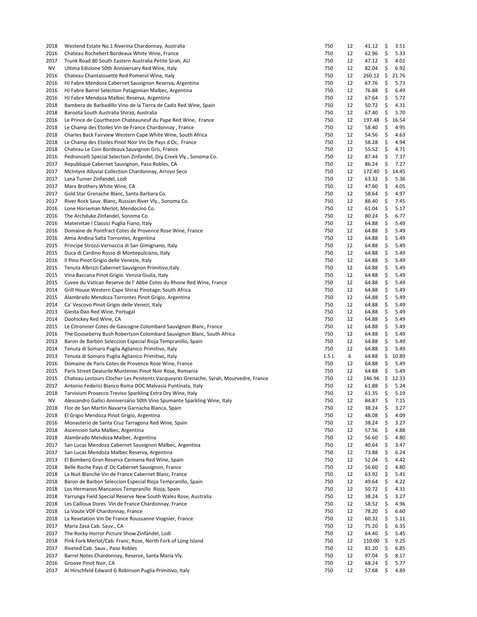| 2018         | Westend Estate No.1 Riverina Chardonnay, Australia                                                            | 750        | 12       | 41.12          | \$       | 3.51         |
|--------------|---------------------------------------------------------------------------------------------------------------|------------|----------|----------------|----------|--------------|
| 2016         | Chateau Rochebert Bordeaux White Wine, France                                                                 | 750        | 12       | 62.96          | \$       | 5.33         |
| 2017         | Trunk Road 80 South Eastern Australia Petite Sirah, AU                                                        | 750        | 12       | 47.12          | \$       | 4.01         |
| <b>NV</b>    | Ultima Edizione 50th Anniversary Red Wine, Italy                                                              | 750        | 12       | 82.04          | \$       | 6.92         |
| 2016         | Chateau Chantalouette Red Pomerol Wine, Italy                                                                 | 750        | 12       | 260.12         | \$       | 21.76        |
| 2016         | HJ Fabre Mendoza Cabernet Sauvignon Reserva, Argentina                                                        | 750        | 12       | 67.76          | \$       | 5.73         |
| 2016         | HJ Fabre Barrel Selection Patagonian Malbec, Argentina                                                        | 750        | 12       | 76.88          | \$       | 6.49         |
| 2016         | HJ Fabre Mendoza Malbec Reserva, Argentina                                                                    | 750        | 12       | 67.64          | \$       | 5.72         |
| 2018         | Bambera de Barbadillo Vino de la Tierra de Cadiz Red Wine, Spain                                              | 750        | 12       | 50.72          | \$       | 4.31         |
| 2018         | Baroota South Australia Shiraz, Australia                                                                     | 750        | 12       | 67.40          | \$       | 5.70         |
| 2016         | Le Prince de Courthezon Chateauneuf du Pape Red Wine, France                                                  | 750        | 12       | 197.48         | \$       | 16.54        |
| 2018         | Le Champ des Etoiles Vin de France Chardonnay, France                                                         | 750        | 12       | 58.40          | \$       | 4.95         |
| 2018         | Charles Back Fairview Western Cape White Wine, South Africa                                                   | 750<br>750 | 12<br>12 | 54.56          | \$       | 4.63<br>4.94 |
| 2018<br>2018 | Le Champ des Etoiles Pinot Noir Vin De Pays d Oc, France<br>Chateau Le Coin Bordeaux Sauvignon Gris, France   | 750        | 12       | 58.28<br>55.52 | \$<br>\$ | 4.71         |
| 2016         | Pedroncelli Special Selection Zinfandel, Dry Creek Vly., Sonoma Co.                                           | 750        | 12       | 87.44          | \$       | 7.37         |
| 2017         | Republique Cabernet Sauvignon, Paso Robles, CA                                                                | 750        | 12       | 86.24          | \$       | 7.27         |
| 2017         | McIntyre Alluvial Collection Chardonnay, Arroyo Seco                                                          | 750        | 12       | 172.40         | \$       | 14.45        |
| 2017         | Lana Turner Zinfandel, Lodi                                                                                   | 750        | 12       | 63.32          | \$       | 5.36         |
| 2017         | Marx Brothers White Wine, CA                                                                                  | 750        | 12       | 47.60          | \$       | 4.05         |
| 2017         | Gold Star Grenache Blanc, Santa Barbara Co.                                                                   | 750        | 12       | 58.64          | \$       | 4.97         |
| 2017         | River Rock Sauv. Blanc, Russian River Vly., Sonoma Co.                                                        | 750        | 12       | 88.40          | \$       | 7.45         |
| 2016         | Lone Horseman Merlot, Mendocino Co.                                                                           | 750        | 12       | 61.04          | \$       | 5.17         |
| 2016         | The Archduke Zinfandel, Sonoma Co.                                                                            | 750        | 12       | 80.24          | \$       | 6.77         |
| 2016         | Matervitae I Classici Puglia Fiano, Italy                                                                     | 750        | 12       | 64.88          | \$       | 5.49         |
| 2016         | Domaine de Pontfract Cotes de Provence Rose Wine, France                                                      | 750        | 12       | 64.88          | \$       | 5.49         |
| 2016         | Alma Andina Salta Torrontes, Argentina                                                                        | 750        | 12       | 64.88          | \$       | 5.49         |
| 2015         | Principe Strozzi Vernaccia di San Gimignano, Italy                                                            | 750        | 12       | 64.88          | \$       | 5.49         |
| 2015         | Duca di Cardino Rosso di Montepulciano, Italy                                                                 | 750        | 12       | 64.88          | \$       | 5.49         |
| 2016         | Il Pino Pinot Grigio delle Venezie, Italy                                                                     | 750        | 12       | 64.88          | \$       | 5.49         |
| 2015         | Tenuta Albrizzi Cabernet Sauvignon Primitivo, Italy                                                           | 750        | 12       | 64.88          | \$       | 5.49         |
| 2015         | Vina Baccana Pinot Grigio Venzia Giulia, Italy                                                                | 750        | 12       | 64.88          | \$       | 5.49         |
| 2015         | Cuvee du Vatican Reserve de l' Abbe Cotes du Rhone Red Wine, France                                           | 750        | 12       | 64.88          | \$       | 5.49         |
| 2014         | Grill House Western Cape Shiraz Pinotage, South Africa                                                        | 750        | 12       | 64.88          | \$       | 5.49         |
| 2015         | Alambrado Mendoza Torrontes Pinot Grigio, Argentina                                                           | 750        | 12       | 64.88          | \$       | 5.49         |
| 2014         | Ca' Vescovo Pinot Grigio delle Venezi, Italy                                                                  | 750        | 12       | 64.88          | \$       | 5.49         |
| 2013         | Giesta Dao Red Wine, Portugal                                                                                 | 750        | 12       | 64.88          | \$       | 5.49         |
| 2014         | Doohickey Red Wine, CA                                                                                        | 750        | 12       | 64.88          | \$       | 5.49         |
| 2015         | Le Citronnier Cotes de Gascogne Colombard Sauvignon Blanc, France                                             | 750        | 12       | 64.88          | \$       | 5.49         |
| 2016         | The Gooseberry Bush Robertson Colombard Sauvignon Blanc, South Africa                                         | 750        | 12       | 64.88          | \$       | 5.49         |
| 2013         | Baron de Barbon Seleccion Especial Rioja Tempranillo, Spain                                                   | 750        | 12       | 64.88          | \$       | 5.49         |
| 2014         | Tenuta di Somaro Puglia Aglianico Primitivo, Italy                                                            | 750        | 12       | 64.88          | \$       | 5.49         |
| 2013         | Tenuta di Somaro Puglia Aglianico Primitivo, Italy                                                            | 1.5L       | 6        | 64.88          | \$       | 10.89        |
| 2016         | Domaine de Paris Cotes de Provence Rose Wine, France                                                          | 750        | 12       | 64.88          | \$       | 5.49         |
| 2015         | Paris Street Dealurile Munteniei Pinot Noir Rose, Romania                                                     | 750        | 12       | 64.88          | \$       | 5.49         |
| 2015         | Chateau Lestours Clocher Les Penitents Vacqueyras Grenache, Syrah, Mourvedre, France                          | 750        | 12       | 146.96         | \$       | 12.33        |
| 2017         | Antonio Federici Bianco Roma DOC Malvasia Puntinata, Italy                                                    | 750        | 12       | 61.88          | \$       | 5.24         |
| 2018         | Tarvisium Prosecco Treviso Sparkling Extra Dry Wine, Italy                                                    | 750        | 12       | 61.35          | Ş        | 5.19         |
| NV           | Alessandro Gallici Anniversario 50th Vino Spumante Sparkling Wine, Italy                                      | 750        | 12       | 84.87          | \$       | 7.15         |
| 2018         | Flor de San Martin Navarra Garnacha Blanca, Spain                                                             | 750        | 12       | 38.24          | \$       | 3.27         |
| 2018         | El Grigio Mendoza Pinot Grigio, Argentina                                                                     | 750        | 12       | 48.08          | \$       | 4.09         |
| 2016         | Monasterio de Santa Cruz Tarragona Red Wine, Spain                                                            | 750        | 12       | 38.24          | \$       | 3.27         |
| 2018         | Ascencion Salta Malbec, Argentina                                                                             | 750        | 12       | 57.56          | \$       | 4.88         |
| 2018         | Alambrado Mendoza Malbec, Argentina                                                                           | 750        | 12       | 56.60          | \$       | 4.80         |
| 2017         | San Lucas Mendoza Cabernet Sauvignon Malbec, Argentina                                                        | 750        | 12       | 40.64          | \$       | 3.47         |
| 2017         | San Lucas Mendoza Malbec Reserva, Argentina                                                                   | 750        | 12       | 73.88          | \$       | 6.24         |
| 2013         | El Bombero Gran Reserva Carinena Red Wine, Spain                                                              | 750        | 12       | 52.04          | \$       | 4.42         |
| 2018<br>2018 | Belle Roche Pays d' Oc Cabernet Sauvignon, France                                                             | 750<br>750 | 12<br>12 | 56.60<br>63.92 | \$       | 4.80         |
|              | La Nuit Blanche Vin de France Cabernet Blanc, France                                                          |            |          |                | \$<br>\$ | 5.41         |
| 2018<br>2018 | Baron de Barbon Seleccion Especial Rioja Tempranillo, Spain<br>Los Hermanos Manzanos Tempranillo Rioja, Spain | 750<br>750 | 12       | 49.64<br>50.72 | \$       | 4.22         |
| 2018         | Yarrunga Field Special Reserve New South Wales Rose, Australia                                                | 750        | 12<br>12 | 38.24          | \$       | 4.31<br>3.27 |
| 2018         | Les Cailloux Dores Vin de France Chardonnay, France                                                           | 750        | 12       | 58.52          | \$       | 4.96         |
| 2018         | La Voute VDF Chardonnay, France                                                                               | 750        | 12       | 78.20          | \$       | 6.60         |
| 2018         | La Revelation Vin De France Roussanne Viognier, France                                                        | 750        | 12       | 60.32          | \$       | 5.11         |
| 2017         | Maria Zasa Cab. Sauv., CA                                                                                     | 750        | 12       | 75.20          | \$       | 6.35         |
| 2017         | The Rocky Horror Picture Show Zinfandel, Lodi                                                                 | 750        | 12       | 64.40          | \$       | 5.45         |
| 2018         | Pink Fork Merlot/Cab. Franc, Rose, North Fork of Long Island                                                  | 750        | 12       | 110.00         | \$       | 9.25         |
| 2017         | Riveted Cab. Sauv., Paso Robles                                                                               | 750        | 12       | 81.20          | \$       | 6.85         |
| 2017         | Barrel Notes Chardonnay, Reserve, Santa Maria Vly.                                                            | 750        | 12       | 97.04          | \$       | 8.17         |
| 2016         | Groove Pinot Noir, CA                                                                                         | 750        | 12       | 68.24          | \$       | 5.77         |
| 2017         | Al Hirschfeld Edward G Robinson Puglia Primitivo, Italy                                                       | 750        | 12       | 57.68          | \$       | 4.89         |
|              |                                                                                                               |            |          |                |          |              |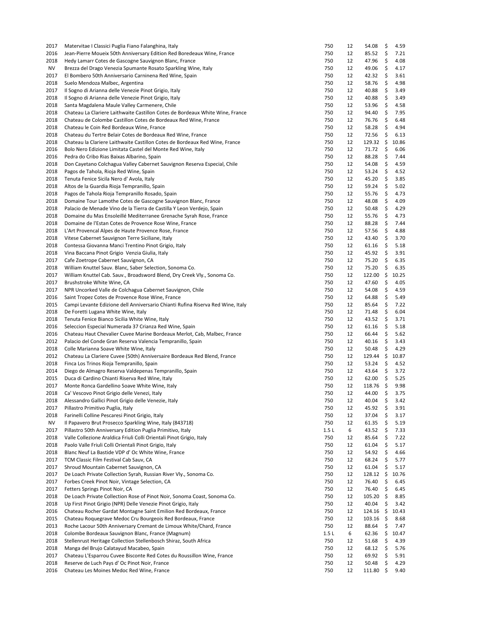| 2017 | Matervitae I Classici Puglia Fiano Falanghina, Italy                            | 750  | 12       | 54.08          | \$  | 4.59         |
|------|---------------------------------------------------------------------------------|------|----------|----------------|-----|--------------|
| 2016 | Jean-Pierre Moueix 50th Anniversary Edition Red Boredeaux Wine, France          | 750  | 12       | 85.52          | \$  | 7.21         |
| 2018 | Hedy Lamarr Cotes de Gascogne Sauvignon Blanc, France                           | 750  | 12       | 47.96          | \$  | 4.08         |
| NV   | Brezza del Drago Venezia Spumante Rosato Sparkling Wine, Italy                  | 750  | 12       | 49.06          | \$  | 4.17         |
| 2017 | El Bombero 50th Anniversario Carninena Red Wine, Spain                          | 750  | 12       | 42.32          | \$  | 3.61         |
| 2018 | Suelo Mendoza Malbec, Argentina                                                 | 750  | 12       | 58.76          | \$  | 4.98         |
| 2017 | Il Sogno di Arianna delle Venezie Pinot Grigio, Italy                           | 750  | 12       | 40.88          | \$  | 3.49         |
| 2018 | Il Sogno di Arianna delle Venezie Pinot Grigio, Italy                           | 750  | 12       | 40.88          | \$  | 3.49         |
| 2018 | Santa Magdalena Maule Valley Carmenere, Chile                                   | 750  | 12       | 53.96          | \$  | 4.58         |
| 2018 | Chateau La Clariere Laithwaite Castillon Cotes de Bordeaux White Wine, France   | 750  | 12       | 94.40          | \$  | 7.95         |
| 2018 | Chateau de Colombe Castillon Cotes de Bordeaux Red Wine, France                 | 750  | 12       | 76.76          | \$  | 6.48         |
| 2018 | Chateau le Coin Red Bordeaux Wine, France                                       | 750  | 12       | 58.28          | \$  | 4.94         |
| 2018 | Chateau du Tertre Belair Cotes de Bordeaux Red Wine, France                     | 750  | 12       | 72.56          | \$  | 6.13         |
| 2018 | Chateau la Clariere Laithwaite Castillon Cotes de Bordeaux Red Wine, France     | 750  | 12       | 129.32         | \$  | 10.86        |
| 2016 | Bolo Nero Edizione Limitata Castel del Monte Red Wine, Italy                    | 750  | 12       | 71.72          | \$  | 6.06         |
| 2016 | Pedra do Cribo Rias Baixas Albarino, Spain                                      | 750  | 12       | 88.28          | \$  | 7.44         |
| 2018 | Don Cayetano Colchagua Valley Cabernet Sauvignon Reserva Especial, Chile        | 750  | 12       | 54.08          | \$  | 4.59         |
| 2018 | Pagos de Tahola, Rioja Red Wine, Spain                                          | 750  | 12       | 53.24          | \$  | 4.52         |
| 2018 | Tenuta Fenice Sicila Nero d' Avola, Italy                                       | 750  | 12       | 45.20          | \$  | 3.85         |
| 2018 | Altos de la Guardia Rioja Tempranillo, Spain                                    | 750  | 12       | 59.24          | \$  | 5.02         |
| 2018 | Pagos de Tahola Rioja Tempranillo Rosado, Spain                                 | 750  | 12       | 55.76          | \$  | 4.73         |
| 2018 | Domaine Tour Lamothe Cotes de Gascogne Sauvignon Blanc, France                  | 750  | 12       | 48.08          | \$  | 4.09         |
| 2018 | Palacio de Menade Vino de la Tierra de Castilla Y Leon Verdejo, Spain           | 750  | 12       | 50.48          | \$  | 4.29         |
| 2018 | Domaine du Mas Ensoleillé Mediterranee Grenache Syrah Rose, France              | 750  | 12       | 55.76          | \$  | 4.73         |
| 2018 | Domaine de l'Estan Cotes de Provence Rose Wine, France                          | 750  | 12       | 88.28          | \$  | 7.44         |
| 2018 | L'Art Provencal Alpes de Haute Provence Rose, France                            | 750  | 12       | 57.56          | \$  | 4.88         |
| 2018 | Vitese Cabernet Sauvignon Terre Siciliane, Italy                                | 750  | 12       | 43.40          | \$  | 3.70         |
| 2018 | Contessa Giovanna Manci Trentino Pinot Grigio, Italy                            | 750  | 12       | 61.16          | \$  | 5.18         |
| 2018 | Vina Baccana Pinot Grigio Venzia Giulia, Italy                                  | 750  | 12       | 45.92          | \$  | 3.91         |
| 2017 | Cafe Zoetrope Cabernet Sauvignon, CA                                            | 750  | 12       | 75.20          | \$  | 6.35         |
| 2018 | William Knuttel Sauv. Blanc, Saber Selection, Sonoma Co.                        | 750  | 12       | 75.20          | \$  | 6.35         |
| 2017 | William Knuttel Cab. Sauv., Broadsword Blend, Dry Creek Vly., Sonoma Co.        | 750  | 12       | 122.00         | \$  | 10.25        |
| 2017 | Brushstroke White Wine, CA                                                      | 750  | 12       | 47.60          | \$  | 4.05         |
| 2017 | NPR Uncorked Valle de Colchagua Cabernet Sauvignon, Chile                       | 750  | 12       | 54.08          | \$  | 4.59         |
| 2016 | Saint Tropez Cotes de Provence Rose Wine, France                                | 750  | 12       | 64.88          | \$  | 5.49         |
| 2015 | Campi Levante Edizione dell Anniversario Chianti Rufina Riserva Red Wine, Italy | 750  | 12       | 85.64          | \$  | 7.22         |
| 2018 | De Foretti Lugana White Wine, Italy                                             | 750  | 12       | 71.48          | \$  | 6.04         |
| 2018 | Tenuta Fenice Bianco Sicilia White Wine, Italy                                  | 750  | 12       | 43.52          | \$  | 3.71         |
| 2016 | Seleccion Especial Numerada 37 Crianza Red Wine, Spain                          | 750  | 12       | 61.16          | \$  | 5.18         |
| 2016 | Chateau Haut Chevalier Cuvee Marine Bordeaux Merlot, Cab, Malbec, France        | 750  | 12       | 66.44          | \$  | 5.62         |
| 2012 | Palacio del Conde Gran Reserva Valencia Tempranillo, Spain                      | 750  | 12       | 40.16          | \$  | 3.43         |
| 2018 |                                                                                 | 750  | 12       | 50.48          | \$  | 4.29         |
|      | Colle Marianna Soave White Wine, Italy                                          |      |          |                |     |              |
| 2012 | Chateau La Clariere Cuvee (50th) Anniversaire Bordeaux Red Blend, France        | 750  | 12<br>12 | 129.44         | \$  | 10.87        |
| 2018 | Finca Los Trinos Rioja Tempranillo, Spain                                       | 750  |          | 53.24          | \$  | 4.52         |
| 2014 | Diego de Almagro Reserva Valdepenas Tempranillo, Spain                          | 750  | 12       | 43.64          | \$  | 3.72         |
| 2015 | Duca di Cardino Chianti Riserva Red Wine, Italy                                 | 750  | 12       | 62.00          | \$  | 5.25<br>9.98 |
| 2017 | Monte Ronca Gardellino Soave White Wine, Italy                                  | 750  | 12       | $118.76 \pm 5$ |     |              |
| 2018 | Ca' Vescovo Pinot Grigio delle Venezi, Italy                                    | 750  | 12       | 44.00          | \$  | 3.75         |
| 2018 | Alessandro Gallici Pinot Grigio delle Venezie, Italy                            | 750  | 12       | 40.04          | \$  | 3.42         |
| 2017 | Pillastro Primitivo Puglia, Italy                                               | 750  | 12       | 45.92          | \$  | 3.91         |
| 2018 | Farinelli Colline Pescaresi Pinot Grigio, Italy                                 | 750  | 12       | 37.04          | \$  | 3.17         |
| ΝV   | Il Papavero Brut Prosecco Sparkling Wine, Italy (843718)                        | 750  | 12       | 61.35          | \$  | 5.19         |
| 2017 | Pillastro 50th Anniversary Edition Puglia Primitivo, Italy                      | 1.5L | 6        | 43.52          | \$  | 7.33         |
| 2018 | Valle Collezione Araldica Friuli Colli Orientali Pinot Grigio, Italy            | 750  | 12       | 85.64          | \$  | 7.22         |
| 2018 | Paolo Valle Friuli Colli Orientali Pinot Grigio, Italy                          | 750  | 12       | 61.04          | \$  | 5.17         |
| 2018 | Blanc Neuf La Bastide VDP d' Oc White Wine, France                              | 750  | 12       | 54.92          | \$  | 4.66         |
| 2017 | TCM Classic Film Festival Cab Sauv, CA                                          | 750  | 12       | 68.24          | \$  | 5.77         |
| 2017 | Shroud Mountain Cabernet Sauvignon, CA                                          | 750  | 12       | 61.04          | \$  | 5.17         |
| 2017 | De Loach Private Collection Syrah, Russian River Vly., Sonoma Co.               | 750  | 12       | 128.12         | -\$ | 10.76        |
| 2017 | Forbes Creek Pinot Noir, Vintage Selection, CA                                  | 750  | 12       | 76.40          | \$  | 6.45         |
| 2017 | Fetters Springs Pinot Noir, CA                                                  | 750  | 12       | 76.40          | \$  | 6.45         |
| 2018 | De Loach Private Collection Rose of Pinot Noir, Sonoma Coast, Sonoma Co.        | 750  | 12       | 105.20         | \$  | 8.85         |
| 2018 | Up First Pinot Grigio (NPR) Delle Venezie Pinot Grigio, Italy                   | 750  | 12       | 40.04          | \$  | 3.42         |
| 2016 | Chateau Rocher Gardat Montagne Saint Emilion Red Bordeaux, France               | 750  | 12       | 124.16         | \$  | 10.43        |
| 2015 | Chateau Roquegrave Medoc Cru Bourgeois Red Bordeaux, France                     | 750  | 12       | 103.16         | -\$ | 8.68         |
| 2013 | Roche Lacour 50th Anniversary Cremant de Limoux White/Chard, France             | 750  | 12       | 88.64          | \$  | 7.47         |
| 2018 | Colombe Bordeaux Sauvignon Blanc, France (Magnum)                               | 1.5L | 6        | 62.36          | \$  | 10.47        |
| 2018 | Stellenrust Heritage Collection Stellenbosch Shiraz, South Africa               | 750  | 12       | 51.68          | \$  | 4.39         |
| 2018 | Manga del Brujo Calatayud Macabeo, Spain                                        | 750  | 12       | 68.12          | \$  | 5.76         |
| 2017 | Chateau L'Esparrou Cuvee Bisconte Red Cotes du Roussillon Wine, France          | 750  | 12       | 69.92          | \$  | 5.91         |
| 2018 | Reserve de Luch Pays d' Oc Pinot Noir, France                                   | 750  | 12       | 50.48          | \$  | 4.29         |
| 2016 | Chateau Les Moines Medoc Red Wine, France                                       | 750  | 12       | 111.80         | \$  | 9.40         |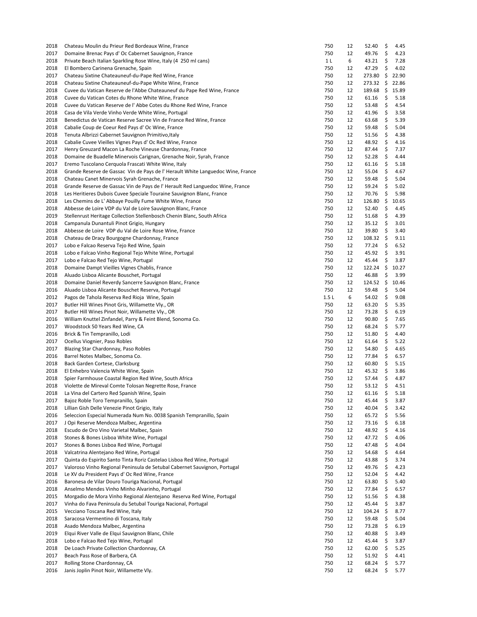| 2018 | Chateau Moulin du Prieur Red Bordeaux Wine, France                             | 750            | 12 | 52.40  | \$  | 4.45  |
|------|--------------------------------------------------------------------------------|----------------|----|--------|-----|-------|
| 2017 | Domaine Brenac Pays d' Oc Cabernet Sauvignon, France                           | 750            | 12 | 49.76  | \$  | 4.23  |
| 2018 | Private Beach Italian Sparkling Rose Wine, Italy (4 250 ml cans)               | 1 <sub>L</sub> | 6  | 43.21  | \$  | 7.28  |
| 2018 | El Bombero Carinena Grenache, Spain                                            | 750            | 12 | 47.29  | \$  | 4.02  |
| 2017 | Chateau Sixtine Chateauneuf-du-Pape Red Wine, France                           | 750            | 12 | 273.80 | \$  | 22.90 |
| 2018 | Chateau Sixtine Chateauneuf-du-Pape White Wine, France                         | 750            | 12 | 273.32 | \$  | 22.86 |
| 2018 | Cuvee du Vatican Reserve de l'Abbe Chateauneuf du Pape Red Wine, France        | 750            | 12 | 189.68 | \$  | 15.89 |
| 2018 | Cuvee du Vatican Cotes du Rhone White Wine, France                             | 750            | 12 | 61.16  | \$  | 5.18  |
| 2018 | Cuvee du Vatican Reserve de l'Abbe Cotes du Rhone Red Wine, France             | 750            | 12 | 53.48  | \$  | 4.54  |
| 2018 | Casa de Vila Verde Vinho Verde White Wine, Portugal                            | 750            | 12 | 41.96  | \$  | 3.58  |
| 2018 | Benedictus de Vatican Reserve Sacree Vin de France Red Wine, France            | 750            | 12 | 63.68  | \$  | 5.39  |
| 2018 | Cabalie Coup de Coeur Red Pays d' Oc Wine, France                              | 750            | 12 | 59.48  | \$  | 5.04  |
| 2018 | Tenuta Albrizzi Cabernet Sauvignon Primitivo, Italy                            | 750            | 12 | 51.56  | \$  | 4.38  |
| 2018 | Cabalie Cuvee Vieilles Vignes Pays d' Oc Red Wine, France                      | 750            | 12 | 48.92  | \$  | 4.16  |
| 2017 | Henry Greuzard Macon La Roche Vineuse Chardonnay, France                       | 750            | 12 | 87.44  | \$  | 7.37  |
| 2018 | Domaine de Buadelle Minervois Carignan, Grenache Noir, Syrah, France           | 750            | 12 | 52.28  | \$  | 4.44  |
|      |                                                                                |                |    |        |     |       |
| 2017 | Eremo Tuscolano Cerquola Frascati White Wine, Italy                            | 750            | 12 | 61.16  | \$  | 5.18  |
| 2018 | Grande Reserve de Gassac Vin de Pays de l'Herault White Languedoc Wine, France | 750            | 12 | 55.04  | \$  | 4.67  |
| 2018 | Chateau Canet Minervois Syrah Grenache, France                                 | 750            | 12 | 59.48  | \$  | 5.04  |
| 2018 | Grande Reserve de Gassac Vin de Pays de l'Herault Red Languedoc Wine, France   | 750            | 12 | 59.24  | \$  | 5.02  |
| 2018 | Les Heritieres Dubois Cuvee Speciale Touraine Sauvignon Blanc, France          | 750            | 12 | 70.76  | \$  | 5.98  |
| 2018 | Les Chemins de L' Abbaye Pouilly Fume White Wine, France                       | 750            | 12 | 126.80 | \$  | 10.65 |
| 2018 | Abbesse de Loire VDP du Val de Loire Sauvignon Blanc, France                   | 750            | 12 | 52.40  | \$  | 4.45  |
| 2019 | Stellenrust Heritage Collection Stellenbosch Chenin Blanc, South Africa        | 750            | 12 | 51.68  | \$  | 4.39  |
| 2018 | Campanula Dunantuli Pinot Grigio, Hungary                                      | 750            | 12 | 35.12  | \$  | 3.01  |
| 2018 | Abbesse de Loire VDP du Val de Loire Rose Wine, France                         | 750            | 12 | 39.80  | \$  | 3.40  |
| 2018 | Chateau de Dracy Bourgogne Chardonnay, France                                  | 750            | 12 | 108.32 | -\$ | 9.11  |
| 2017 | Lobo e Falcao Reserva Tejo Red Wine, Spain                                     | 750            | 12 | 77.24  | \$  | 6.52  |
| 2018 | Lobo e Falcao Vinho Regional Tejo White Wine, Portugal                         | 750            | 12 | 45.92  | \$  | 3.91  |
| 2017 | Lobo e Falcao Red Tejo Wine, Portugal                                          | 750            | 12 | 45.44  | \$  | 3.87  |
| 2018 | Domaine Dampt Vieilles Vignes Chablis, France                                  | 750            | 12 | 122.24 | \$  | 10.27 |
| 2018 | Aluado Lisboa Alicante Bouschet, Portugal                                      | 750            | 12 | 46.88  | \$  | 3.99  |
| 2018 | Domaine Daniel Reverdy Sancerre Sauvignon Blanc, France                        | 750            | 12 | 124.52 | \$  | 10.46 |
| 2016 | Aluado Lisboa Alicante Bouschet Reserva, Portugal                              | 750            | 12 | 59.48  | \$  | 5.04  |
| 2012 | Pagos de Tahola Reserva Red Rioja Wine, Spain                                  | 1.5L           | 6  | 54.02  | \$  | 9.08  |
| 2017 | Butler Hill Wines Pinot Gris, Willamette Vly., OR                              | 750            | 12 | 63.20  | \$  | 5.35  |
| 2017 | Butler Hill Wines Pinot Noir, Willamette Vly., OR                              | 750            | 12 | 73.28  | \$  | 6.19  |
|      |                                                                                |                |    |        |     |       |
| 2016 | William Knuttel Zinfandel, Parry & Feint Blend, Sonoma Co.                     | 750            | 12 | 90.80  | \$  | 7.65  |
| 2017 | Woodstock 50 Years Red Wine, CA                                                | 750            | 12 | 68.24  | \$  | 5.77  |
| 2016 | Brick & Tin Tempranillo, Lodi                                                  | 750            | 12 | 51.80  | \$  | 4.40  |
| 2017 | Ocellus Viognier, Paso Robles                                                  | 750            | 12 | 61.64  | \$  | 5.22  |
| 2017 | Blazing Star Chardonnay, Paso Robles                                           | 750            | 12 | 54.80  | \$  | 4.65  |
| 2016 | Barrel Notes Malbec, Sonoma Co.                                                | 750            | 12 | 77.84  | \$  | 6.57  |
| 2018 | Back Garden Cortese, Clarksburg                                                | 750            | 12 | 60.80  | \$  | 5.15  |
| 2018 | El Enhebro Valencia White Wine, Spain                                          | 750            | 12 | 45.32  | \$  | 3.86  |
| 2018 | Spier Farmhouse Coastal Region Red Wine, South Africa                          | 750            | 12 | 57.44  | \$  | 4.87  |
| 2018 | Violette de Mireval Comte Tolosan Negrette Rose, France                        | 750            | 12 | 53.12  | \$  | 4.51  |
| 2018 | La Vina del Cartero Red Spanish Wine, Spain                                    | 750            | 12 | 61.16  | \$  | 5.18  |
| 2017 | Bajoz Roble Toro Tempranillo, Spain                                            | 750            | 12 | 45.44  | \$  | 3.87  |
| 2018 | Lillian Gish Delle Venezie Pinot Grigio, Italy                                 | 750            | 12 | 40.04  | \$  | 3.42  |
| 2016 | Seleccion Especial Numerada Num No. 0038 Spanish Tempranillo, Spain            | 750            | 12 | 65.72  | \$  | 5.56  |
| 2017 | J Opi Reserve Mendoza Malbec, Argentina                                        | 750            | 12 | 73.16  | \$  | 6.18  |
| 2018 | Escudo de Oro Vino Varietal Malbec, Spain                                      | 750            | 12 | 48.92  | \$  | 4.16  |
| 2018 | Stones & Bones Lisboa White Wine, Portugal                                     | 750            | 12 | 47.72  | \$  | 4.06  |
| 2017 | Stones & Bones Lisboa Red Wine, Portugal                                       | 750            | 12 | 47.48  | \$  | 4.04  |
| 2018 | Valcatrina Alentejano Red Wine, Portugal                                       | 750            | 12 | 54.68  | \$  | 4.64  |
| 2017 | Quinta do Espirito Santo Tinta Roriz Castelao Lisboa Red Wine, Portugal        | 750            | 12 | 43.88  | \$  | 3.74  |
| 2017 | Valoroso Vinho Regional Peninsula de Setubal Cabernet Sauvignon, Portugal      | 750            | 12 | 49.76  | \$  | 4.23  |
| 2018 | Le XV du President Pays d' Oc Red Wine, France                                 | 750            | 12 | 52.04  | \$  | 4.42  |
| 2016 | Baronesa de Vilar Douro Touriga Nacional, Portugal                             | 750            | 12 | 63.80  | \$  | 5.40  |
| 2018 | Anselmo Mendes Vinho Minho Alvarinho, Portugal                                 | 750            | 12 | 77.84  | \$  | 6.57  |
|      |                                                                                | 750            |    |        |     |       |
| 2015 | Morgadio de Mora Vinho Regional Alentejano Reserva Red Wine, Portugal          |                | 12 | 51.56  | \$  | 4.38  |
| 2017 | Vinha do Fava Peninsula du Setubal Touriga Nacional, Portugal                  | 750            | 12 | 45.44  | \$  | 3.87  |
| 2015 | Vecciano Toscana Red Wine, Italy                                               | 750            | 12 | 104.24 | \$  | 8.77  |
| 2018 | Saracosa Vermentino di Toscana, Italy                                          | 750            | 12 | 59.48  | \$  | 5.04  |
| 2018 | Asado Mendoza Malbec, Argentina                                                | 750            | 12 | 73.28  | \$  | 6.19  |
| 2019 | Elqui River Valle de Elqui Sauvignon Blanc, Chile                              | 750            | 12 | 40.88  | \$  | 3.49  |
| 2018 | Lobo e Falcao Red Tejo Wine, Portugal                                          | 750            | 12 | 45.44  | \$  | 3.87  |
| 2018 | De Loach Private Collection Chardonnay, CA                                     | 750            | 12 | 62.00  | \$  | 5.25  |
| 2017 | Beach Pass Rose of Barbera, CA                                                 | 750            | 12 | 51.92  | \$  | 4.41  |
| 2017 | Rolling Stone Chardonnay, CA                                                   | 750            | 12 | 68.24  | \$  | 5.77  |
| 2016 | Janis Joplin Pinot Noir, Willamette Vly.                                       | 750            | 12 | 68.24  | \$  | 5.77  |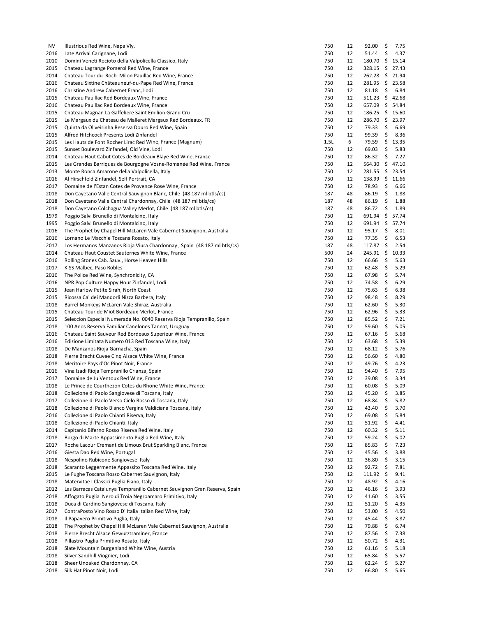| NV   | Illustrious Red Wine, Napa Vly.                                           | 750  | 12 | 92.00     | \$   | 7.75  |
|------|---------------------------------------------------------------------------|------|----|-----------|------|-------|
| 2016 | Late Arrival Carignane, Lodi                                              | 750  | 12 | 51.44     | \$   | 4.37  |
| 2010 | Domini Veneti Recioto della Valpolicella Classico, Italy                  | 750  | 12 | 180.70    | \$   | 15.14 |
| 2015 | Chateau Lagrange Pomerol Red Wine, France                                 | 750  | 12 | 328.15    | \$   | 27.43 |
| 2014 | Chateau Tour du Roch Milon Pauillac Red Wine, France                      | 750  | 12 | 262.28    | \$   | 21.94 |
| 2016 | Chateau Sixtine Châteauneuf-du-Pape Red Wine, France                      | 750  | 12 | 281.95    | \$   | 23.58 |
| 2016 | Christine Andrew Cabernet Franc, Lodi                                     | 750  | 12 | 81.18     | \$   | 6.84  |
| 2015 | Chateau Pauillac Red Bordeaux Wine, France                                | 750  | 12 | 511.23    | \$   | 42.68 |
| 2016 | Chateau Pauillac Red Bordeaux Wine, France                                | 750  | 12 | 657.09    | \$   | 54.84 |
| 2015 | Chateau Magnan La Gaffeliere Saint Emilion Grand Cru                      | 750  | 12 | 186.25    | - \$ | 15.60 |
| 2015 | Le Margaux du Chateau de Malleret Margaux Red Bordeaux, FR                | 750  | 12 | 286.70    | \$   | 23.97 |
| 2015 | Quinta da Oliveirinha Reserva Douro Red Wine, Spain                       | 750  | 12 | 79.33     | \$   | 6.69  |
| 2015 | Alfred Hitchcock Presents Lodi Zinfandel                                  | 750  | 12 | 99.39     | \$   | 8.36  |
| 2015 | Les Hauts de Font Rocher Lirac Red Wine, France (Magnum)                  | 1.5L | 6  | 79.59     | \$   | 13.35 |
| 2015 | Sunset Boulevard Zinfandel, Old Vine, Lodi                                | 750  | 12 | 69.03     | \$   | 5.83  |
| 2014 | Chateau Haut Cabut Cotes de Bordeaux Blaye Red Wine, France               | 750  | 12 | 86.32     | \$   | 7.27  |
| 2015 | Les Grandes Barriques de Bourgogne Vosne-Romanée Red Wine, France         | 750  | 12 | 564.30    | \$   | 47.10 |
| 2013 | Monte Ronca Amarone della Valpolicella, Italy                             | 750  | 12 | 281.55    | \$   | 23.54 |
|      |                                                                           |      |    |           | \$   |       |
| 2016 | Al Hirschfeld Zinfandel, Self Portrait, CA                                | 750  | 12 | 138.99    |      | 11.66 |
| 2017 | Domaine de l'Estan Cotes de Provence Rose Wine, France                    | 750  | 12 | 78.93     | \$   | 6.66  |
| 2018 | Don Cayetano Valle Central Sauvignon Blanc, Chile (48 187 ml btls/cs)     | 187  | 48 | 86.19     | \$   | 1.88  |
| 2018 | Don Cayetano Valle Central Chardonnay, Chile (48 187 ml btls/cs)          | 187  | 48 | 86.19     | \$   | 1.88  |
| 2018 | Don Cayetano Colchagua Valley Merlot, Chile (48 187 ml btls/cs)           | 187  | 48 | 86.72     | \$   | 1.89  |
| 1979 | Poggio Salvi Brunello di Montalcino, Italy                                | 750  | 12 | 691.94    | \$   | 57.74 |
| 1995 | Poggio Salvi Brunello di Montalcino, Italy                                | 750  | 12 | 691.94    | \$   | 57.74 |
| 2016 | The Prophet by Chapel Hill McLaren Vale Cabernet Sauvignon, Australia     | 750  | 12 | 95.17     | \$   | 8.01  |
| 2016 | Lornano Le Macchie Toscana Rosato, Italy                                  | 750  | 12 | 77.35     | \$   | 6.53  |
| 2017 | Los Hermanos Manzanos Rioja Viura Chardonnay, Spain (48 187 ml btls/cs)   | 187  | 48 | 117.87    | \$   | 2.54  |
| 2014 | Chateau Haut Coustet Sauternes White Wine, France                         | 500  | 24 | 245.91 \$ |      | 10.33 |
| 2016 | Rolling Stones Cab. Sauv., Horse Heaven Hills                             | 750  | 12 | 66.66     | \$   | 5.63  |
| 2017 | KISS Malbec, Paso Robles                                                  | 750  | 12 | 62.48     | \$   | 5.29  |
| 2016 | The Police Red Wine, Synchronicity, CA                                    | 750  | 12 | 67.98     | \$   | 5.74  |
| 2016 | NPR Pop Culture Happy Hour Zinfandel, Lodi                                | 750  | 12 | 74.58     | \$   | 6.29  |
| 2015 | Jean Harlow Petite Sirah, North Coast                                     | 750  | 12 | 75.63     | \$   | 6.38  |
| 2015 | Ricossa Ca' dei Mandorli Nizza Barbera, Italy                             | 750  | 12 | 98.48     | \$   | 8.29  |
| 2018 | Barrel Monkeys McLaren Vale Shiraz, Australia                             | 750  | 12 | 62.60     | \$   | 5.30  |
| 2015 | Chateau Tour de Miot Bordeaux Merlot, France                              | 750  | 12 | 62.96     | \$   | 5.33  |
| 2015 | Seleccion Especial Numerada No. 0040 Reserva Rioja Tempranillo, Spain     | 750  | 12 | 85.52     | \$   | 7.21  |
| 2018 | 100 Anos Reserva Familiar Canelones Tannat, Uruguay                       | 750  | 12 | 59.60     | \$   | 5.05  |
| 2016 | Chateau Saint Sauveur Red Bordeaux Superieur Wine, France                 | 750  | 12 | 67.16     | \$   | 5.68  |
| 2016 |                                                                           | 750  | 12 | 63.68     | \$   | 5.39  |
|      | Edizione Limitata Numero 013 Red Toscana Wine, Italy                      |      |    |           |      |       |
| 2018 | De Manzanos Rioja Garnacha, Spain                                         | 750  | 12 | 68.12     | \$   | 5.76  |
| 2018 | Pierre Brecht Cuvee Cinq Alsace White Wine, France                        | 750  | 12 | 56.60     | \$   | 4.80  |
| 2018 | Meritoire Pays d'Oc Pinot Noir, France                                    | 750  | 12 | 49.76     | \$   | 4.23  |
| 2016 | Vina Izadi Rioja Tempranillo Crianza, Spain                               | 750  | 12 | 94.40     | \$   | 7.95  |
| 2017 | Domaine de Ju Ventoux Red Wine, France                                    | 750  | 12 | 39.08     | \$   | 3.34  |
| 2018 | Le Prince de Courthezon Cotes du Rhone White Wine, France                 | 750  | 12 | 60.08     | \$   | 5.09  |
| 2018 | Collezione di Paolo Sangiovese di Toscana, Italy                          | 750  | 12 | 45.20     | \$   | 3.85  |
| 2017 | Collezione di Paolo Verso Cielo Rosso di Toscana, Italy                   | 750  | 12 | 68.84     | \$   | 5.82  |
| 2018 | Collezione di Paolo Bianco Vergine Valdiciana Toscana, Italy              | 750  | 12 | 43.40     | \$   | 3.70  |
| 2016 | Collezione di Paolo Chianti Riserva, Italy                                | 750  | 12 | 69.08     | \$   | 5.84  |
| 2018 | Collezione di Paolo Chianti, Italy                                        | 750  | 12 | 51.92     | \$   | 4.41  |
| 2014 | Capitanio Biferno Rosso Riserva Red Wine, Italy                           | 750  | 12 | 60.32     | \$   | 5.11  |
| 2018 | Borgo di Marte Appassimento Puglia Red Wine, Italy                        | 750  | 12 | 59.24     | \$   | 5.02  |
| 2017 | Roche Lacour Cremant de Limoux Brut Sparkling Blanc, France               | 750  | 12 | 85.83     | \$   | 7.23  |
| 2016 | Giesta Dao Red Wine, Portugal                                             | 750  | 12 | 45.56     | \$   | 3.88  |
| 2018 | Nespolino Rubicone Sangiovese Italy                                       | 750  | 12 | 36.80     | \$   | 3.15  |
| 2018 | Scaranto Leggermente Appassito Toscana Red Wine, Italy                    | 750  | 12 | 92.72     | \$   | 7.81  |
| 2015 | Le Fughe Toscana Rosso Cabernet Sauvignon, Italy                          | 750  | 12 | 111.92    | \$   | 9.41  |
| 2018 | Matervitae I Classici Puglia Fiano, Italy                                 | 750  | 12 | 48.92     | \$   | 4.16  |
| 2012 | Las Barracas Catalunya Tempranillo Cabernet Sauvignon Gran Reserva, Spain | 750  | 12 | 46.16     | \$   | 3.93  |
| 2018 | Affogato Puglia Nero di Troia Negroamaro Primitivo, Italy                 | 750  | 12 | 41.60     | \$   | 3.55  |
| 2018 | Duca di Cardino Sangiovese di Toscana, Italy                              | 750  | 12 | 51.20     | \$   | 4.35  |
| 2017 | ContraPosto Vino Rosso D' Italia Italian Red Wine, Italy                  | 750  | 12 | 53.00     | \$   | 4.50  |
|      |                                                                           |      |    |           |      |       |
| 2018 | Il Papavero Primitivo Puglia, Italy                                       | 750  | 12 | 45.44     | \$   | 3.87  |
| 2018 | The Prophet by Chapel Hill McLaren Vale Cabernet Sauvignon, Australia     | 750  | 12 | 79.88     | \$   | 6.74  |
| 2018 | Pierre Brecht Alsace Gewurztraminer, France                               | 750  | 12 | 87.56     | \$   | 7.38  |
| 2018 | Pillastro Puglia Primitivo Rosato, Italy                                  | 750  | 12 | 50.72     | \$   | 4.31  |
| 2018 | Slate Mountain Burgenland White Wine, Austria                             | 750  | 12 | 61.16     | \$   | 5.18  |
| 2018 | Silver Sandhill Viognier, Lodi                                            | 750  | 12 | 65.84     | \$   | 5.57  |
| 2018 | Sheer Unoaked Chardonnay, CA                                              | 750  | 12 | 62.24     | \$   | 5.27  |
| 2018 | Silk Hat Pinot Noir, Lodi                                                 | 750  | 12 | 66.80     | \$   | 5.65  |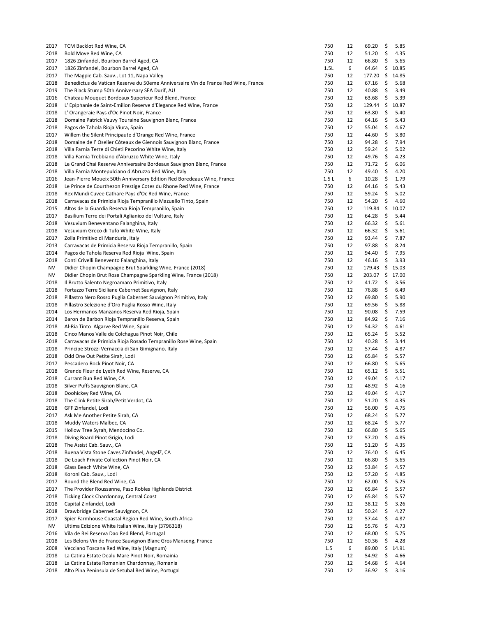| 2017 | TCM Backlot Red Wine, CA                                                           | 750   | 12 | 69.20  | \$ | 5.85  |
|------|------------------------------------------------------------------------------------|-------|----|--------|----|-------|
| 2018 | Bold Move Red Wine, CA                                                             | 750   | 12 | 51.20  | \$ | 4.35  |
| 2017 | 1826 Zinfandel, Bourbon Barrel Aged, CA                                            | 750   | 12 | 66.80  | \$ | 5.65  |
| 2017 | 1826 Zinfandel, Bourbon Barrel Aged, CA                                            | 1.5L  | 6  | 64.64  | \$ | 10.85 |
| 2017 | The Magpie Cab. Sauv., Lot 11, Napa Valley                                         | 750   | 12 | 177.20 | \$ | 14.85 |
| 2018 | Benedictus de Vatican Reserve du 50eme Anniversaire Vin de France Red Wine, France | 750   | 12 | 67.16  | \$ | 5.68  |
| 2019 | The Black Stump 50th Anniversary SEA Durif, AU                                     | 750   | 12 | 40.88  | \$ | 3.49  |
| 2016 | Chateau Mouquet Bordeaux Superieur Red Blend, France                               | 750   | 12 | 63.68  | \$ | 5.39  |
| 2018 | L'Epiphanie de Saint-Emilion Reserve d'Elegance Red Wine, France                   | 750   | 12 | 129.44 | \$ | 10.87 |
| 2018 | L' Orangeraie Pays d'Oc Pinot Noir, France                                         | 750   | 12 | 63.80  | \$ | 5.40  |
| 2018 | Domaine Patrick Vauvy Touraine Sauvignon Blanc, France                             | 750   | 12 | 64.16  | Ş  | 5.43  |
| 2018 | Pagos de Tahola Rioja Viura, Spain                                                 | 750   | 12 | 55.04  | \$ | 4.67  |
|      |                                                                                    |       |    |        |    |       |
| 2017 | Willem the Silent Principaute d'Orange Red Wine, France                            | 750   | 12 | 44.60  | \$ | 3.80  |
| 2018 | Domaine de l'Oselier Côteaux de Giennois Sauvignon Blanc, France                   | 750   | 12 | 94.28  | \$ | 7.94  |
| 2018 | Villa Farnia Terre di Chieti Pecorino White Wine, Italy                            | 750   | 12 | 59.24  | \$ | 5.02  |
| 2018 | Villa Farnia Trebbiano d'Abruzzo White Wine, Italy                                 | 750   | 12 | 49.76  | \$ | 4.23  |
| 2018 | Le Grand Chai Reserve Anniversaire Bordeaux Sauvignon Blanc, France                | 750   | 12 | 71.72  | \$ | 6.06  |
| 2018 | Villa Farnia Montepulciano d'Abruzzo Red Wine, Italy                               | 750   | 12 | 49.40  | \$ | 4.20  |
| 2016 | Jean-Pierre Moueix 50th Anniversary Edition Red Boredeaux Wine, France             | 1.5 L | 6  | 10.28  | \$ | 1.79  |
| 2018 | Le Prince de Courthezon Prestige Cotes du Rhone Red Wine, France                   | 750   | 12 | 64.16  | \$ | 5.43  |
| 2018 | Rex Mundi Cuvee Cathare Pays d'Oc Red Wine, France                                 | 750   | 12 | 59.24  | \$ | 5.02  |
| 2018 | Carravacas de Primicia Rioja Tempranillo Mazuello Tinto, Spain                     | 750   | 12 | 54.20  | \$ | 4.60  |
| 2015 | Altos de la Guardia Reserva Rioja Tempranillo, Spain                               | 750   | 12 | 119.84 | \$ | 10.07 |
| 2017 | Basilium Terre dei Portali Aglianico del Vulture, Italy                            | 750   | 12 | 64.28  | \$ | 5.44  |
| 2018 | Vesuvium Beneventano Falanghina, Italy                                             | 750   | 12 | 66.32  | \$ | 5.61  |
| 2018 | Vesuvium Greco di Tufo White Wine, Italy                                           | 750   | 12 | 66.32  | \$ | 5.61  |
| 2017 | Zolla Primitivo di Manduria, Italy                                                 | 750   | 12 | 93.44  | \$ | 7.87  |
| 2013 | Carravacas de Primicia Reserva Rioja Tempranillo, Spain                            | 750   | 12 | 97.88  | \$ | 8.24  |
| 2014 | Pagos de Tahola Reserva Red Rioja Wine, Spain                                      | 750   | 12 | 94.40  | \$ | 7.95  |
| 2018 | Conti Crivelli Benevento Falanghina, Italy                                         | 750   | 12 | 46.16  | \$ | 3.93  |
|      | Didier Chopin Champagne Brut Sparkling Wine, France (2018)                         | 750   |    |        | \$ |       |
| NV   |                                                                                    |       | 12 | 179.43 |    | 15.03 |
| NV   | Didier Chopin Brut Rose Champagne Sparkling Wine, France (2018)                    | 750   | 12 | 203.07 | \$ | 17.00 |
| 2018 | Il Brutto Salento Negroamaro Primitivo, Italy                                      | 750   | 12 | 41.72  | \$ | 3.56  |
| 2018 | Fortazzo Terre Siciliane Cabernet Sauvignon, Italy                                 | 750   | 12 | 76.88  | \$ | 6.49  |
| 2018 | Pillastro Nero Rosso Puglia Cabernet Sauvignon Primitivo, Italy                    | 750   | 12 | 69.80  | \$ | 5.90  |
| 2018 | Pillastro Selezione d'Oro Puglia Rosso Wine, Italy                                 | 750   | 12 | 69.56  | \$ | 5.88  |
| 2014 | Los Hermanos Manzanos Reserva Red Rioja, Spain                                     | 750   | 12 | 90.08  | \$ | 7.59  |
| 2014 | Baron de Barbon Rioja Tempranillo Reserva, Spain                                   | 750   | 12 | 84.92  | \$ | 7.16  |
| 2018 | Al-Ria Tinto Algarve Red Wine, Spain                                               | 750   | 12 | 54.32  | \$ | 4.61  |
| 2018 | Cinco Manos Valle de Colchagua Pinot Noir, Chile                                   | 750   | 12 | 65.24  | \$ | 5.52  |
| 2018 | Carravacas de Primicia Rioja Rosado Tempranillo Rose Wine, Spain                   | 750   | 12 | 40.28  | \$ | 3.44  |
| 2018 | Principe Strozzi Vernaccia di San Gimignano, Italy                                 | 750   | 12 | 57.44  | \$ | 4.87  |
| 2018 | Odd One Out Petite Sirah, Lodi                                                     | 750   | 12 | 65.84  | \$ | 5.57  |
| 2017 | Pescadero Rock Pinot Noir, CA                                                      | 750   | 12 | 66.80  | \$ | 5.65  |
| 2018 | Grande Fleur de Lyeth Red Wine, Reserve, CA                                        | 750   | 12 | 65.12  | \$ | 5.51  |
| 2018 | Currant Bun Red Wine, CA                                                           | 750   | 12 | 49.04  | \$ | 4.17  |
| 2018 | Silver Puffs Sauvignon Blanc, CA                                                   | 750   | 12 | 48.92  | \$ | 4.16  |
| 2018 | Doohickey Red Wine, CA                                                             | 750   | 12 | 49.04  | \$ | 4.17  |
| 2018 | The Clink Petite Sirah/Petit Verdot, CA                                            | 750   | 12 | 51.20  | \$ | 4.35  |
| 2018 | GFF Zinfandel, Lodi                                                                | 750   | 12 | 56.00  | \$ | 4.75  |
| 2017 | Ask Me Another Petite Sirah, CA                                                    | 750   | 12 | 68.24  | \$ | 5.77  |
| 2018 | Muddy Waters Malbec, CA                                                            | 750   | 12 | 68.24  | \$ | 5.77  |
| 2015 | Hollow Tree Syrah, Mendocino Co.                                                   | 750   | 12 | 66.80  | \$ |       |
|      |                                                                                    |       |    |        |    | 5.65  |
| 2018 | Diving Board Pinot Grigio, Lodi                                                    | 750   | 12 | 57.20  | \$ | 4.85  |
| 2018 | The Assist Cab. Sauv., CA                                                          | 750   | 12 | 51.20  | \$ | 4.35  |
| 2018 | Buena Vista Stone Caves Zinfandel, AngelZ, CA                                      | 750   | 12 | 76.40  | \$ | 6.45  |
| 2018 | De Loach Private Collection Pinot Noir, CA                                         | 750   | 12 | 66.80  | \$ | 5.65  |
| 2018 | Glass Beach White Wine, CA                                                         | 750   | 12 | 53.84  | \$ | 4.57  |
| 2018 | Koroni Cab. Sauv., Lodi                                                            | 750   | 12 | 57.20  | \$ | 4.85  |
| 2017 | Round the Blend Red Wine, CA                                                       | 750   | 12 | 62.00  | \$ | 5.25  |
| 2017 | The Provider Roussanne, Paso Robles Highlands District                             | 750   | 12 | 65.84  | Ş  | 5.57  |
| 2018 | Ticking Clock Chardonnay, Central Coast                                            | 750   | 12 | 65.84  | \$ | 5.57  |
| 2018 | Capital Zinfandel, Lodi                                                            | 750   | 12 | 38.12  | \$ | 3.26  |
| 2018 | Drawbridge Cabernet Sauvignon, CA                                                  | 750   | 12 | 50.24  | \$ | 4.27  |
| 2017 | Spier Farmhouse Coastal Region Red Wine, South Africa                              | 750   | 12 | 57.44  | \$ | 4.87  |
| ΝV   | Ultima Edizione White Italian Wine, Italy (3796318)                                | 750   | 12 | 55.76  | \$ | 4.73  |
| 2016 | Vila de Rei Reserva Dao Red Blend, Portugal                                        | 750   | 12 | 68.00  | \$ | 5.75  |
| 2018 | Les Belons Vin de France Sauvignon Blanc Gros Manseng, France                      | 750   | 12 | 50.36  | \$ | 4.28  |
| 2008 | Vecciano Toscana Red Wine, Italy (Magnum)                                          | 1.5   | 6  | 89.00  | \$ | 14.91 |
| 2018 | La Catina Estate Dealu Mare Pinot Noir, Romainia                                   | 750   | 12 | 54.92  | \$ | 4.66  |
| 2018 | La Catina Estate Romanian Chardonnay, Romania                                      | 750   | 12 | 54.68  | \$ | 4.64  |
| 2018 | Alto Pina Peninsula de Setubal Red Wine, Portugal                                  | 750   | 12 | 36.92  | \$ | 3.16  |
|      |                                                                                    |       |    |        |    |       |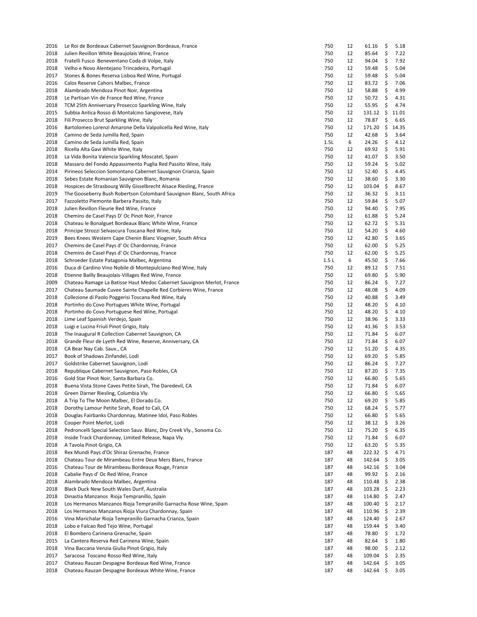| 2016 | Le Roi de Bordeaux Cabernet Sauvignon Bordeaux, France                 | 750  | 12 | 61.16         | \$ | 5.18  |
|------|------------------------------------------------------------------------|------|----|---------------|----|-------|
| 2018 | Julien Revillon White Beaujolais Wine, France                          | 750  | 12 | 85.64         | \$ | 7.22  |
| 2018 | Fratelli Fusco Beneventano Coda di Volpe, Italy                        | 750  | 12 | 94.04         | \$ | 7.92  |
| 2018 | Velho e Novo Alentejano Trincadeira, Portugal                          | 750  | 12 | 59.48         | \$ | 5.04  |
| 2017 | Stones & Bones Reserva Lisboa Red Wine, Portugal                       | 750  | 12 | 59.48         | \$ | 5.04  |
| 2016 | Calos Reserve Cahors Malbec, France                                    | 750  | 12 | 83.72         | \$ | 7.06  |
| 2018 | Alambrado Mendoza Pinot Noir, Argentina                                | 750  | 12 | 58.88         | \$ | 4.99  |
| 2018 | Le Partisan Vin de France Red Wine, France                             | 750  | 12 | 50.72         | \$ | 4.31  |
| 2018 | TCM 25th Anniversary Prosecco Sparkling Wine, Italy                    | 750  | 12 | 55.95         | \$ | 4.74  |
| 2015 | Subbia Antica Rosso di Montalcino Sangiovese, Italy                    | 750  | 12 | $131.12 \div$ |    | 11.01 |
| 2018 | Fili Prosecco Brut Sparkling Wine, Italy                               | 750  | 12 | 78.87         | \$ | 6.65  |
| 2016 | Bartolomeo Lorenzi Amarone Della Valpolicella Red Wine, Italy          | 750  | 12 | 171.20        | \$ | 14.35 |
|      |                                                                        |      | 12 |               | \$ |       |
| 2018 | Camino de Seda Jumilla Red, Spain                                      | 750  |    | 42.68         |    | 3.64  |
| 2018 | Camino de Seda Jumilla Red, Spain                                      | 1.5L | 6  | 24.26         | \$ | 4.12  |
| 2018 | Ricella Alta Gavi White Wine, Italy                                    | 750  | 12 | 69.92         | \$ | 5.91  |
| 2018 | La Vida Bonita Valencia Sparkling Moscatel, Spain                      | 750  | 12 | 41.07         | \$ | 3.50  |
| 2018 | Massaro del Fondo Appassimento Puglia Red Passito Wine, Italy          | 750  | 12 | 59.24         | \$ | 5.02  |
| 2014 | Pirineos Seleccion Somontano Cabernet Sauvignon Crianza, Spain         | 750  | 12 | 52.40         | \$ | 4.45  |
| 2018 | Sebes Estate Romanian Sauvignon Blanc, Romania                         | 750  | 12 | 38.60         | \$ | 3.30  |
| 2018 | Hospices de Strasbourg Willy Gisselbrecht Alsace Riesling, France      | 750  | 12 | 103.04        | \$ | 8.67  |
| 2019 | The Gooseberry Bush Robertson Colombard Sauvignon Blanc, South Africa  | 750  | 12 | 36.32         | \$ | 3.11  |
| 2017 | Fazzoletto Plemonte Barbera Passito, Italy                             | 750  | 12 | 59.84         | \$ | 5.07  |
| 2018 | Julien Revillon Fleurie Red Wine, France                               | 750  | 12 | 94.40         | \$ | 7.95  |
| 2018 | Chemins de Casel Pays D' Oc Pinot Noir, France                         | 750  | 12 | 61.88         | \$ | 5.24  |
| 2018 | Chateau le Bonalguet Bordeaux Blanc White Wine, France                 | 750  | 12 | 62.72         | \$ | 5.31  |
| 2018 | Principe Strozzi Selvascura Toscana Red Wine, Italy                    | 750  | 12 | 54.20         | \$ | 4.60  |
| 2019 | Bees Knees Western Cape Chenin Blanc Viognier, South Africa            | 750  | 12 | 42.80         | \$ | 3.65  |
| 2017 | Chemins de Casel Pays d' Oc Chardonnay, France                         | 750  | 12 | 62.00         | \$ | 5.25  |
| 2018 | Chemins de Casel Pays d' Oc Chardonnay, France                         | 750  | 12 | 62.00         | \$ | 5.25  |
| 2018 | Schroeder Estate Patagonia Malbec, Argentina                           | 1.5L | 6  | 45.50         | \$ | 7.66  |
| 2016 | Duca di Cardino Vino Nobile di Montepulciano Red Wine, Italy           | 750  | 12 | 89.12         | \$ | 7.51  |
| 2018 | Etienne Bailly Beaujolais-Villages Red Wine, France                    | 750  | 12 | 69.80         | \$ | 5.90  |
| 2009 | Chateau Ramage La Batisse Haut Medoc Cabernet Sauvignon Merlot, France | 750  | 12 | 86.24         | \$ | 7.27  |
| 2017 | Chateau Saumade Cuvee Sainte Chapelle Red Corbieres Wine, France       | 750  | 12 | 48.08         | \$ | 4.09  |
| 2018 | Collezione di Paolo Poggerisi Toscana Red Wine, Italy                  | 750  | 12 | 40.88         | \$ | 3.49  |
| 2018 | Portinho do Covo Portugues White Wine, Portugal                        | 750  | 12 | 48.20         | \$ | 4.10  |
| 2018 | Portinho do Covo Portuguese Red Wine, Portugal                         | 750  | 12 | 48.20         | \$ | 4.10  |
|      |                                                                        |      |    |               | \$ |       |
| 2018 | Lime Leaf Spainish Verdejo, Spain                                      | 750  | 12 | 38.96         |    | 3.33  |
| 2018 | Luigi e Lucina Friuli Pinot Grigio, Italy                              | 750  | 12 | 41.36         | \$ | 3.53  |
| 2018 | The Inaugural R Collection Cabernet Sauvignon, CA                      | 750  | 12 | 71.84         | \$ | 6.07  |
| 2018 | Grande Fleur de Lyeth Red Wine, Reserve, Anniversary, CA               | 750  | 12 | 71.84         | \$ | 6.07  |
| 2018 | CA Bear Nay Cab. Sauv., CA                                             | 750  | 12 | 51.20         | \$ | 4.35  |
| 2017 | Book of Shadows Zinfandel, Lodi                                        | 750  | 12 | 69.20         | \$ | 5.85  |
| 2017 | Goldstrike Cabernet Sauvignon, Lodi                                    | 750  | 12 | 86.24         | \$ | 7.27  |
| 2018 | Republique Cabernet Sauvignon, Paso Robles, CA                         | 750  | 12 | 87.20         | \$ | 7.35  |
| 2016 | Gold Star Pinot Noir, Santa Barbara Co.                                | 750  | 12 | 66.80         | \$ | 5.65  |
| 2018 | Buena Vista Stone Caves Petite Sirah, The Daredevil, CA                | 750  | 12 | 71.84         | \$ | 6.07  |
| 2018 | Green Darner Riesling, Columbia Vly.                                   | 750  | 12 | 66.80         | \$ | 5.65  |
| 2018 | A Trip To The Moon Malbec, El Dorado Co.                               | 750  | 12 | 69.20         | \$ | 5.85  |
| 2018 | Dorothy Lamour Petite Sirah, Road to Cali, CA                          | 750  | 12 | 68.24         | \$ | 5.77  |
| 2018 | Douglas Fairbanks Chardonnay, Matinee Idol, Paso Robles                | 750  | 12 | 66.80         | \$ | 5.65  |
| 2018 | Cooper Point Merlot, Lodi                                              | 750  | 12 | 38.12         | \$ | 3.26  |
| 2018 | Pedroncelli Special Selection Sauv. Blanc, Dry Creek Vly., Sonoma Co.  | 750  | 12 | 75.20         | \$ | 6.35  |
| 2018 | Inside Track Chardonnay, Limited Release, Napa Vly.                    | 750  | 12 | 71.84         | \$ | 6.07  |
| 2018 | A Tavola Pinot Grigio, CA                                              | 750  | 12 | 63.20         | \$ | 5.35  |
| 2018 | Rex Mundi Pays d'Oc Shiraz Grenache, France                            | 187  | 48 | 222.32        | \$ | 4.71  |
| 2018 | Chateau Tour de Mirambeau Entre Deux Mers Blanc, France                | 187  | 48 | 142.64        | \$ | 3.05  |
| 2016 | Chateau Tour de Mirambeau Bordeaux Rouge, France                       | 187  | 48 | 142.16        | \$ | 3.04  |
| 2018 | Cabalie Pays d' Oc Red Wine, France                                    | 187  | 48 | 99.92         | \$ | 2.16  |
| 2018 | Alambrado Mendoza Malbec, Argentina                                    | 187  | 48 | 110.48        | \$ | 2.38  |
| 2018 | Black Duck New South Wales Durif, Australia                            | 187  | 48 | 103.28        | \$ | 2.23  |
| 2018 | Dinastia Manzanos Rioja Tempranillo, Spain                             | 187  | 48 | 114.80        | \$ | 2.47  |
| 2018 | Los Hermanos Manzanos Rioja Tempranillo Garnacha Rose Wine, Spain      | 187  | 48 | 100.40        | \$ | 2.17  |
| 2018 | Los Hermanos Manzanos Rioja Viura Chardonnay, Spain                    | 187  | 48 | 110.96        | \$ | 2.39  |
| 2016 | Vina Marichalar Rioja Tempranillo Garnacha Crianza, Spain              | 187  | 48 | 124.40        | \$ | 2.67  |
| 2018 | Lobo e Falcao Red Tejo Wine, Portugal                                  | 187  | 48 | 159.44        | Ş  | 3.40  |
| 2018 | El Bombero Carinena Grenache, Spain                                    | 187  | 48 | 78.80         | \$ | 1.72  |
| 2015 | La Cantera Reserva Red Carinena Wine, Spain                            | 187  | 48 | 82.64         | \$ | 1.80  |
|      |                                                                        | 187  |    |               | \$ |       |
| 2018 | Vina Baccana Venzia Giulia Pinot Grigio, Italy                         |      | 48 | 98.00         |    | 2.12  |
| 2017 | Saracosa Toscano Rosso Red Wine, Italy                                 | 187  | 48 | 109.04        | \$ | 2.35  |
| 2017 | Chateau Rauzan Despagne Bordeaux Red Wine, France                      | 187  | 48 | 142.64        | \$ | 3.05  |
| 2018 | Chateau Rauzan Despagne Bordeaux White Wine, France                    | 187  | 48 | 142.64        | \$ | 3.05  |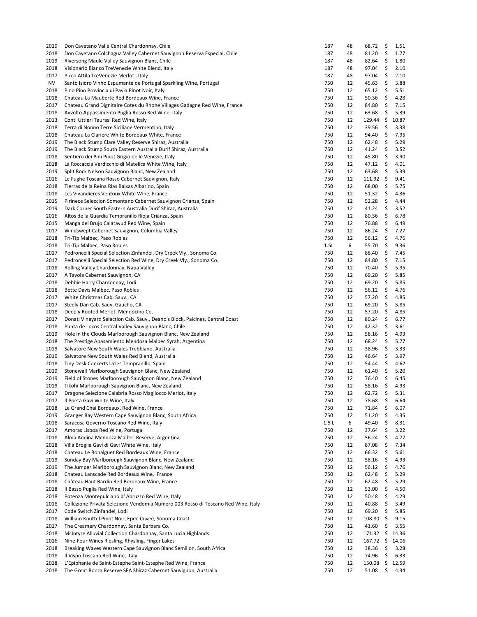| 2019 | Don Cayetano Valle Central Chardonnay, Chile                                      | 187  | 48 | 68.72  | \$<br>1.51  |
|------|-----------------------------------------------------------------------------------|------|----|--------|-------------|
| 2018 | Don Cayetano Colchagua Valley Cabernet Sauvignon Reserva Especial, Chile          | 187  | 48 | 81.20  | \$<br>1.77  |
| 2019 | Riversong Maule Valley Sauvignon Blanc, Chile                                     | 187  | 48 | 82.64  | \$<br>1.80  |
| 2018 | Visionario Bianco TreVenezie White Blend, Italy                                   | 187  | 48 | 97.04  | \$<br>2.10  |
| 2017 | Picco Attila TreVenezie Merlot, Italy                                             | 187  | 48 | 97.04  | \$<br>2.10  |
| NV   | Santo Isidro Vinho Espumante de Portugal Sparkling Wine, Portugal                 | 750  | 12 | 45.63  | \$<br>3.88  |
| 2018 | Pino Pino Provincia di Pavia Pinot Noir, Italy                                    | 750  | 12 | 65.12  | \$<br>5.51  |
| 2018 | Chateau La Mauberte Red Bordeaux Wine, France                                     | 750  | 12 | 50.36  | \$<br>4.28  |
| 2017 | Chateau Grand Dignitaire Cotes du Rhone Villages Gadagne Red Wine, France         | 750  | 12 | 84.80  | \$<br>7.15  |
| 2018 | Avvolto Appassimento Puglia Rosso Red Wine, Italy                                 | 750  | 12 | 63.68  | \$<br>5.39  |
| 2013 | Conti Uttieri Taurasi Red Wine, Italy                                             | 750  | 12 | 129.44 | \$<br>10.87 |
| 2018 | Terra di Nonno Terre Siciliane Vermentino, Italy                                  | 750  | 12 | 39.56  | \$<br>3.38  |
| 2018 | Chateau La Clariere White Bordeaux White, France                                  | 750  | 12 | 94.40  | \$<br>7.95  |
| 2019 | The Black Stump Clare Valley Reserve Shiraz, Australia                            | 750  | 12 | 62.48  | \$<br>5.29  |
| 2019 | The Black Stump South Eastern Australia Durif Shiraz, Australia                   | 750  | 12 | 41.24  | \$<br>3.52  |
| 2018 | Sentiero dei Pini Pinot Grigio delle Venezie, Italy                               | 750  | 12 | 45.80  | \$<br>3.90  |
| 2018 | La Roccaccia Verdicchio di Matelica White Wine, Italy                             | 750  | 12 | 47.12  | \$<br>4.01  |
| 2019 | Split Rock Nelson Sauvignon Blanc, New Zealand                                    | 750  | 12 | 63.68  | \$<br>5.39  |
| 2016 | Le Fughe Toscana Rosso Cabernet Sauvignon, Italy                                  | 750  | 12 | 111.92 | \$<br>9.41  |
| 2018 | Tierras de la Reina Rias Baixas Albarino, Spain                                   | 750  | 12 | 68.00  | \$<br>5.75  |
| 2018 | Les Vivandieres Ventoux White Wine, France                                        | 750  | 12 | 51.32  | \$<br>4.36  |
| 2015 |                                                                                   | 750  | 12 | 52.28  | \$<br>4.44  |
| 2019 | Pirineos Seleccion Somontano Cabernet Sauvignon Crianza, Spain                    | 750  | 12 | 41.24  | \$<br>3.52  |
|      | Dark Corner South Eastern Australia Durif Shiraz, Australia                       |      |    |        |             |
| 2016 | Altos de la Guardia Tempranillo Rioja Crianza, Spain                              | 750  | 12 | 80.36  | \$<br>6.78  |
| 2015 | Manga del Brujo Calatayud Red Wine, Spain                                         | 750  | 12 | 76.88  | \$<br>6.49  |
| 2017 | Windswept Cabernet Sauvignon, Columbia Valley                                     | 750  | 12 | 86.24  | \$<br>7.27  |
| 2018 | Tri-Tip Malbec, Paso Robles                                                       | 750  | 12 | 56.12  | \$<br>4.76  |
| 2018 | Tri-Tip Malbec, Paso Robles                                                       | 1.5L | 6  | 55.70  | \$<br>9.36  |
| 2017 | Pedroncelli Special Selection Zinfandel, Dry Creek Vly., Sonoma Co.               | 750  | 12 | 88.40  | \$<br>7.45  |
| 2017 | Pedroncelli Special Selection Red Wine, Dry Creek Vly., Sonoma Co.                | 750  | 12 | 84.80  | \$<br>7.15  |
| 2018 | Rolling Valley Chardonnay, Napa Valley                                            | 750  | 12 | 70.40  | \$<br>5.95  |
| 2017 | A Tavola Cabernet Sauvignon, CA                                                   | 750  | 12 | 69.20  | \$<br>5.85  |
| 2018 | Debbie Harry Chardonnay, Lodi                                                     | 750  | 12 | 69.20  | \$<br>5.85  |
| 2018 | Bette Davis Malbec, Paso Robles                                                   | 750  | 12 | 56.12  | \$<br>4.76  |
| 2017 | White Christmas Cab. Sauv., CA                                                    | 750  | 12 | 57.20  | \$<br>4.85  |
| 2017 | Steely Dan Cab. Sauv, Gaucho, CA                                                  | 750  | 12 | 69.20  | \$<br>5.85  |
| 2018 | Deeply Rooted Merlot, Mendocino Co.                                               | 750  | 12 | 57.20  | \$<br>4.85  |
| 2017 | Donati Vineyard Selection Cab. Sauv., Deano's Block, Paicines, Central Coast      | 750  | 12 | 80.24  | \$<br>6.77  |
| 2018 | Punta de Locos Central Valley Sauvignon Blanc, Chile                              | 750  | 12 | 42.32  | \$<br>3.61  |
| 2019 | Hole in the Clouds Marlborough Sauvignon Blanc, New Zealand                       | 750  | 12 | 58.16  | \$<br>4.93  |
| 2018 | The Prestige Apasamiento Mendoza Malbec Syrah, Argentina                          | 750  | 12 | 68.24  | \$<br>5.77  |
| 2019 | Salvatore New South Wales Trebbiano, Australia                                    | 750  | 12 | 38.96  | \$<br>3.33  |
| 2019 | Salvatore New South Wales Red Blend, Australia                                    | 750  | 12 | 46.64  | \$<br>3.97  |
| 2018 | Tiny Desk Concerts Ucles Tempranillo, Spain                                       | 750  | 12 | 54.44  | \$<br>4.62  |
| 2019 | Stonewall Marlborough Sauvignon Blanc, New Zealand                                | 750  | 12 | 61.40  | \$<br>5.20  |
| 2019 | Field of Stones Marlborough Sauvignon Blanc, New Zealand                          | 750  | 12 | 76.40  | \$<br>6.45  |
| 2019 | Tikohi Marlborough Sauvignon Blanc, New Zealand                                   | 750  | 12 | 58.16  | \$<br>4.93  |
| 2017 | Dragone Selezione Calabria Rosso Magliocco Merlot, Italy                          | 750  | 12 | 62.72  | \$<br>5.31  |
| 2017 | Il Poeta Gavi White Wine, Italy                                                   | 750  | 12 | 78.68  | \$<br>6.64  |
| 2018 | Le Grand Chai Bordeaux, Red Wine, France                                          | 750  | 12 | 71.84  | \$<br>6.07  |
| 2019 | Granger Bay Western Cape Sauvignon Blanc, South Africa                            | 750  | 12 | 51.20  | \$<br>4.35  |
| 2018 | Saracosa Governo Toscano Red Wine, Italy                                          | 1.5L | 6  | 49.40  | \$<br>8.31  |
| 2017 | Amoras Lisboa Red Wine, Portugal                                                  | 750  | 12 | 37.64  | \$<br>3.22  |
| 2018 | Alma Andina Mendoza Malbec Reserve, Argentina                                     | 750  | 12 | 56.24  | \$<br>4.77  |
| 2018 | Villa Broglia Gavi di Gavi White Wine, Italy                                      | 750  | 12 | 87.08  | \$<br>7.34  |
| 2018 | Chateau Le Bonalguet Red Bordeaux Wine, France                                    | 750  | 12 | 66.32  | \$<br>5.61  |
| 2019 | Sunday Bay Marlborough Sauvignon Blanc, New Zealand                               | 750  | 12 | 58.16  | \$<br>4.93  |
| 2019 |                                                                                   | 750  | 12 |        | \$          |
|      | The Jumper Marlborough Sauvignon Blanc, New Zealand                               |      |    | 56.12  | 4.76        |
| 2018 | Chateau Lanscade Red Bordeaux Wine, France                                        | 750  | 12 | 62.48  | \$<br>5.29  |
| 2018 | Château Haut Bardin Red Bordeaux Wine, France                                     | 750  | 12 | 62.48  | \$<br>5.29  |
| 2018 | Il Basso Puglia Red Wine, Italy                                                   | 750  | 12 | 53.00  | \$<br>4.50  |
| 2018 | Potenza Montepulciano d' Abruzzo Red Wine, Italy                                  | 750  | 12 | 50.48  | \$<br>4.29  |
| 2018 | Collezione Privata Selezione Vendemia Numero 003 Rosso di Toscano Red Wine, Italy | 750  | 12 | 40.88  | \$<br>3.49  |
| 2017 | Code Switch Zinfandel, Lodi                                                       | 750  | 12 | 69.20  | \$<br>5.85  |
| 2018 | William Knuttel Pinot Noir, Epee Cuvee, Sonoma Coast                              | 750  | 12 | 108.80 | \$<br>9.15  |
| 2017 | The Creamery Chardonnay, Santa Barbara Co.                                        | 750  | 12 | 41.60  | \$<br>3.55  |
| 2018 | McIntyre Alluvial Collection Chardonnay, Santa Lucia Highlands                    | 750  | 12 | 171.32 | \$<br>14.36 |
| 2016 | Nine-Four Wines Riesling, Rhysling, Finger Lakes                                  | 750  | 12 | 167.72 | \$<br>14.06 |
| 2018 | Breaking Waves Western Cape Sauvignon Blanc Semillon, South Africa                | 750  | 12 | 38.36  | \$<br>3.28  |
| 2018 | Il Vispo Toscana Red Wine, Italy                                                  | 750  | 12 | 74.96  | \$<br>6.33  |
| 2018 | L'Epiphanie de Saint-Estephe Saint-Estephe Red Wine, France                       | 750  | 12 | 150.08 | \$<br>12.59 |
| 2018 | The Great Bonza Reserve SEA Shiraz Cabernet Sauvignon, Australia                  | 750  | 12 | 51.08  | \$<br>4.34  |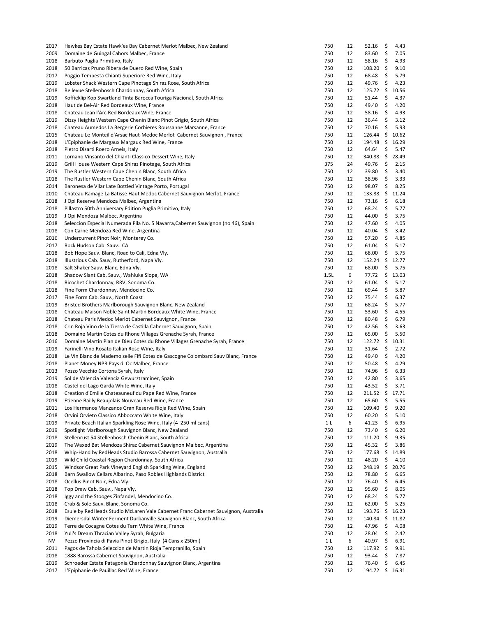| 2017 | Hawkes Bay Estate Hawk'es Bay Cabernet Merlot Malbec, New Zealand                  | 750            | 12 | 52.16         | \$   | 4.43  |
|------|------------------------------------------------------------------------------------|----------------|----|---------------|------|-------|
| 2009 | Domaine de Guingal Cahors Malbec, France                                           | 750            | 12 | 83.60         | \$   | 7.05  |
| 2018 | Barbuto Puglia Primitivo, Italy                                                    | 750            | 12 | 58.16         | \$   | 4.93  |
| 2018 | 50 Barricas Pruno Ribera de Duero Red Wine, Spain                                  | 750            | 12 | 108.20        | \$   | 9.10  |
| 2017 | Poggio Tempesta Chianti Superiore Red Wine, Italy                                  | 750            | 12 | 68.48         | \$   | 5.79  |
| 2019 | Lobster Shack Western Cape Pinotage Shiraz Rose, South Africa                      | 750            | 12 | 49.76         | \$   | 4.23  |
| 2018 | Bellevue Stellenbosch Chardonnay, South Africa                                     | 750            | 12 | 125.72        | \$   | 10.56 |
| 2019 | Koffieklip Kop Swartland Tinta Barocca Touriga Nacional, South Africa              | 750            | 12 | 51.44         | \$   | 4.37  |
| 2018 | Haut de Bel-Air Red Bordeaux Wine, France                                          | 750            | 12 | 49.40         | \$   | 4.20  |
| 2018 | Chateau Jean l'Arc Red Bordeaux Wine, France                                       | 750            | 12 | 58.16         | \$   | 4.93  |
| 2019 | Dizzy Heights Western Cape Chenin Blanc Pinot Grigio, South Africa                 | 750            | 12 | 36.44         | \$   | 3.12  |
| 2018 | Chateau Aumedos La Bergerie Corbieres Roussanne Marsanne, France                   | 750            | 12 | 70.16         | \$   | 5.93  |
|      |                                                                                    |                |    | 126.44        |      |       |
| 2015 | Chateau Le Monteil d'Arsac Haut-Medoc Merlot Cabernet Sauvignon, France            | 750            | 12 |               | \$   | 10.62 |
| 2018 | L'Epiphanie de Margaux Margaux Red Wine, France                                    | 750            | 12 | 194.48        | \$   | 16.29 |
| 2018 | Pietro Disarti Roero Arneis, Italy                                                 | 750            | 12 | 64.64         | \$   | 5.47  |
| 2011 | Lornano Vinsanto del Chianti Classico Dessert Wine, Italy                          | 750            | 12 | 340.88        | \$   | 28.49 |
| 2019 | Grill House Western Cape Shiraz Pinotage, South Africa                             | 375            | 24 | 49.76         | \$   | 2.15  |
| 2019 | The Rustler Western Cape Chenin Blanc, South Africa                                | 750            | 12 | 39.80         | \$   | 3.40  |
| 2018 | The Rustler Western Cape Chenin Blanc, South Africa                                | 750            | 12 | 38.96         | \$   | 3.33  |
| 2014 | Baronesa de Vilar Late Bottled Vintage Porto, Portugal                             | 750            | 12 | 98.07         | \$   | 8.25  |
| 2010 | Chateau Ramage La Batisse Haut Medoc Cabernet Sauvignon Merlot, France             | 750            | 12 | 133.88        | \$   | 11.24 |
| 2018 | J Opi Reserve Mendoza Malbec, Argentina                                            | 750            | 12 | 73.16         | \$   | 6.18  |
| 2018 | Pillastro 50th Anniversary Edition Puglia Primitivo, Italy                         | 750            | 12 | 68.24         | \$   | 5.77  |
| 2019 | J Opi Mendoza Malbec, Argentina                                                    | 750            | 12 | 44.00         | \$   | 3.75  |
| 2018 | Seleccion Especial Numerada Pila No. 5 Navarra, Cabernet Sauvignon (no 46), Spain  | 750            | 12 | 47.60         | \$   | 4.05  |
| 2018 | Con Carne Mendoza Red Wine, Argentina                                              | 750            | 12 | 40.04         | \$   | 3.42  |
| 2016 | Undercurrent Pinot Noir, Monterey Co.                                              | 750            | 12 | 57.20         | \$   | 4.85  |
| 2017 | Rock Hudson Cab. Sauv CA                                                           | 750            | 12 | 61.04         | \$   | 5.17  |
| 2018 | Bob Hope Sauv. Blanc, Road to Cali, Edna Vly.                                      | 750            | 12 | 68.00         | \$   | 5.75  |
| 2018 | Illustrious Cab. Sauv, Rutherford, Napa Vly.                                       | 750            | 12 | 152.24        | \$   | 12.77 |
| 2018 | Salt Shaker Sauv. Blanc, Edna Vly.                                                 | 750            | 12 | 68.00         | \$   | 5.75  |
| 2018 | Shadow Slant Cab. Sauv., Wahluke Slope, WA                                         | 1.5L           | 6  | 77.72         | \$   | 13.03 |
| 2018 | Ricochet Chardonnay, RRV, Sonoma Co.                                               | 750            | 12 | 61.04         | \$   | 5.17  |
| 2018 | Fine Form Chardonnay, Mendocino Co.                                                | 750            | 12 | 69.44         | \$   | 5.87  |
| 2017 | Fine Form Cab. Sauv., North Coast                                                  | 750            | 12 | 75.44         | \$   | 6.37  |
| 2019 | Bristed Brothers Marlborough Sauvignon Blanc, New Zealand                          | 750            | 12 | 68.24         | \$   | 5.77  |
| 2018 | Chateau Maison Noble Saint Martin Bordeaux White Wine, France                      | 750            | 12 | 53.60         | \$   | 4.55  |
|      |                                                                                    | 750            | 12 |               | \$   |       |
| 2018 | Chateau Paris Medoc Merlot Cabernet Sauvignon, France                              |                |    | 80.48         |      | 6.79  |
| 2018 | Crin Roja Vino de la Tierra de Castilla Cabernet Sauvignon, Spain                  | 750            | 12 | 42.56         | \$   | 3.63  |
| 2018 | Domaine Martin Cotes du Rhone Villages Grenache Syrah, France                      | 750            | 12 | 65.00         | \$   | 5.50  |
| 2016 | Domaine Martin Plan de Dieu Cotes du Rhone Villages Grenache Syrah, France         | 750            | 12 | 122.72        | - \$ | 10.31 |
| 2019 | Farinelli Vino Rosato Italian Rose Wine, Italy                                     | 750            | 12 | 31.64         | \$   | 2.72  |
| 2018 | Le Vin Blanc de Mademoiselle Fifi Cotes de Gascogne Colombard Sauv Blanc, France   | 750            | 12 | 49.40         | \$   | 4.20  |
| 2018 | Planet Money NPR Pays d' Oc Malbec, France                                         | 750            | 12 | 50.48         | \$   | 4.29  |
| 2013 | Pozzo Vecchio Cortona Syrah, Italy                                                 | 750            | 12 | 74.96         | \$   | 6.33  |
| 2019 | Sol de Valencia Valencia Gewurztraminer, Spain                                     | 750            | 12 | 42.80         | \$   | 3.65  |
| 2018 | Castel del Lago Garda White Wine, Italy                                            | 750            | 12 | 43.52         | \$   | 3.71  |
| 2018 | Creation d'Emilie Chateauneuf du Pape Red Wine, France                             | 750            | 12 | $211.52 \div$ |      | 17.71 |
| 2019 | Etienne Bailly Beaujolais Nouveau Red Wine, France                                 | 750            | 12 | 65.60         | \$   | 5.55  |
| 2011 | Los Hermanos Manzanos Gran Reserva Rioja Red Wine, Spain                           | 750            | 12 | 109.40        | \$   | 9.20  |
| 2018 | Orvini Orvieto Classico Abboccato White Wine, Italy                                | 750            | 12 | 60.20         | \$   | 5.10  |
| 2019 | Private Beach Italian Sparkling Rose Wine, Italy (4 250 ml cans)                   | 1 <sub>L</sub> | 6  | 41.23         | \$   | 6.95  |
| 2019 | Spotlight Marlborough Sauvignon Blanc, New Zealand                                 | 750            | 12 | 73.40         | \$   | 6.20  |
| 2018 | Stellenrust 54 Stellenbosch Chenin Blanc, South Africa                             | 750            | 12 | 111.20        | \$   | 9.35  |
| 2019 | The Waxed Bat Mendoza Shiraz Cabernet Sauvignon Malbec, Argentina                  | 750            | 12 | 45.32         | \$   | 3.86  |
| 2018 | Whip-Hand by RedHeads Studio Barossa Cabernet Sauvignon, Australia                 | 750            | 12 | 177.68        | \$   | 14.89 |
| 2019 | Wild Child Coastal Region Chardonnay, South Africa                                 | 750            | 12 | 48.20         | \$   | 4.10  |
| 2015 | Windsor Great Park Vineyard English Sparkling Wine, England                        | 750            | 12 | 248.19        | \$   | 20.76 |
| 2018 | Barn Swallow Cellars Albarino, Paso Robles Highlands District                      | 750            | 12 | 78.80         | \$   | 6.65  |
| 2018 | Ocellus Pinot Noir, Edna Vly.                                                      | 750            | 12 | 76.40         | \$   | 6.45  |
| 2018 | Top Draw Cab. Sauv., Napa Vly.                                                     | 750            | 12 | 95.60         | \$   | 8.05  |
| 2018 | Iggy and the Stooges Zinfandel, Mendocino Co.                                      | 750            | 12 | 68.24         | \$   | 5.77  |
| 2018 | Crab & Sole Sauv. Blanc, Sonoma Co.                                                | 750            | 12 | 62.00         | \$   | 5.25  |
| 2018 | Esule by RedHeads Studio McLaren Vale Cabernet Franc Cabernet Sauvignon, Australia | 750            | 12 | 193.76        | \$   | 16.23 |
| 2019 | Diemersdal Winter Ferment Durbanville Sauvignon Blanc, South Africa                | 750            | 12 | 140.84        | \$   | 11.82 |
| 2019 | Terre de Cocagne Cotes du Tarn White Wine, France                                  | 750            | 12 | 47.96         | \$   | 4.08  |
| 2018 | Yuli's Dream Thracian Valley Syrah, Bulgaria                                       | 750            | 12 | 28.04         | \$   | 2.42  |
| NV   | Pezzo Provincia di Pavia Pinot Grigio, Italy (4 Cans x 250ml)                      | 1 <sub>L</sub> | 6  | 40.97         | \$   | 6.91  |
|      |                                                                                    |                |    |               |      |       |
| 2011 | Pagos de Tahola Seleccion de Martin Rioja Tempranillo, Spain                       | 750            | 12 | 117.92        | \$   | 9.91  |
| 2018 | 1888 Barossa Cabernet Sauvignon, Australia                                         | 750            | 12 | 93.44         | \$   | 7.87  |
| 2019 | Schroeder Estate Patagonia Chardonnay Sauvignon Blanc, Argentina                   | 750            | 12 | 76.40         | \$   | 6.45  |
| 2017 | L'Epiphanie de Pauillac Red Wine, France                                           | 750            | 12 | 194.72 \$     |      | 16.31 |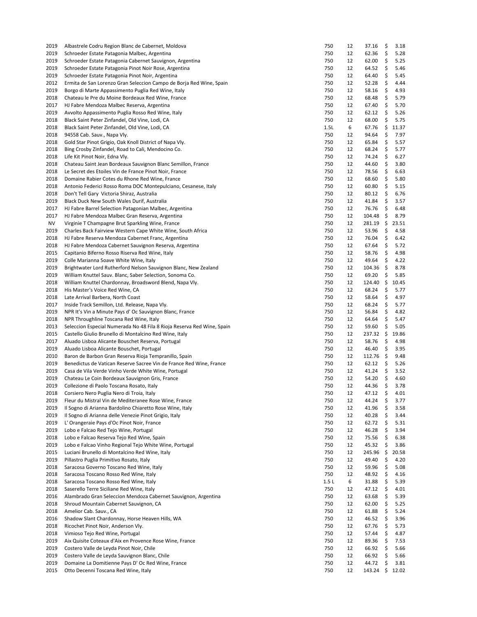| 2019         | Albastrele Codru Region Blanc de Cabernet, Moldova                                                                | 750        | 12       | 37.16          | \$       | 3.18         |
|--------------|-------------------------------------------------------------------------------------------------------------------|------------|----------|----------------|----------|--------------|
| 2019         | Schroeder Estate Patagonia Malbec, Argentina                                                                      | 750        | 12       | 62.36          | \$       | 5.28         |
| 2019         | Schroeder Estate Patagonia Cabernet Sauvignon, Argentina                                                          | 750        | 12       | 62.00          | \$       | 5.25         |
| 2019         | Schroeder Estate Patagonia Pinot Noir Rose, Argentina                                                             | 750        | 12       | 64.52          | \$       | 5.46         |
| 2019         | Schroeder Estate Patagonia Pinot Noir, Argentina                                                                  | 750        | 12       | 64.40          | \$       | 5.45         |
| 2012         | Ermita de San Lorenzo Gran Seleccion Campo de Borja Red Wine, Spain                                               | 750        | 12       | 52.28          | \$       | 4.44         |
| 2019         | Borgo di Marte Appassimento Puglia Red Wine, Italy                                                                | 750        | 12       | 58.16          | \$       | 4.93         |
| 2018         | Chateau le Pre du Moine Bordeaux Red Wine, France                                                                 | 750<br>750 | 12<br>12 | 68.48          | \$       | 5.79         |
| 2017<br>2019 | HJ Fabre Mendoza Malbec Reserva, Argentina<br>Avvolto Appassimento Puglia Rosso Red Wine, Italy                   | 750        | 12       | 67.40<br>62.12 | \$<br>\$ | 5.70<br>5.26 |
| 2018         | Black Saint Peter Zinfandel, Old Vine, Lodi, CA                                                                   | 750        | 12       | 68.00          | \$       | 5.75         |
| 2018         | Black Saint Peter Zinfandel, Old Vine, Lodi, CA                                                                   | 1.5L       | 6        | 67.76          | \$       | 11.37        |
| 2018         | 94558 Cab. Sauv., Napa Vly.                                                                                       | 750        | 12       | 94.64          | \$       | 7.97         |
| 2018         | Gold Star Pinot Grigio, Oak Knoll District of Napa Vly.                                                           | 750        | 12       | 65.84          | \$       | 5.57         |
| 2018         | Bing Crosby Zinfandel, Road to Cali, Mendocino Co.                                                                | 750        | 12       | 68.24          | \$       | 5.77         |
| 2018         | Life Kit Pinot Noir, Edna Vly.                                                                                    | 750        | 12       | 74.24          | \$       | 6.27         |
| 2018         | Chateau Saint Jean Bordeaux Sauvignon Blanc Semillon, France                                                      | 750        | 12       | 44.60          | \$       | 3.80         |
| 2018         | Le Secret des Etoiles Vin de France Pinot Noir, France                                                            | 750        | 12       | 78.56          | \$       | 6.63         |
| 2018         | Domaine Rabier Cotes du Rhone Red Wine, France                                                                    | 750        | 12       | 68.60          | \$       | 5.80         |
| 2018         | Antonio Federici Rosso Roma DOC Montepulciano, Cesanese, Italy                                                    | 750        | 12       | 60.80          | \$       | 5.15         |
| 2018         | Don't Tell Gary Victoria Shiraz, Australia                                                                        | 750        | 12       | 80.12          | \$       | 6.76         |
| 2019         | Black Duck New South Wales Durif, Australia                                                                       | 750        | 12       | 41.84          | \$       | 3.57         |
| 2017         | HJ Fabre Barrel Selection Patagonian Malbec, Argentina                                                            | 750        | 12       | 76.76          | \$       | 6.48         |
| 2017         | HJ Fabre Mendoza Malbec Gran Reserva, Argentina                                                                   | 750        | 12       | 104.48         | \$       | 8.79         |
| <b>NV</b>    | Virginie T Champagne Brut Sparkling Wine, France                                                                  | 750        | 12       | 281.19         | \$       | 23.51        |
| 2019         | Charles Back Fairview Western Cape White Wine, South Africa                                                       | 750        | 12       | 53.96          | \$       | 4.58         |
| 2018         | HJ Fabre Reserva Mendoza Cabernet Franc, Argentina                                                                | 750        | 12       | 76.04          | \$       | 6.42         |
| 2018         | HJ Fabre Mendoza Cabernet Sauvignon Reserva, Argentina                                                            | 750        | 12       | 67.64          | \$       | 5.72         |
| 2015<br>2019 | Capitanio Biferno Rosso Riserva Red Wine, Italy                                                                   | 750<br>750 | 12<br>12 | 58.76<br>49.64 | \$<br>\$ | 4.98<br>4.22 |
| 2019         | Colle Marianna Soave White Wine, Italy<br>Brightwater Lord Rutherford Nelson Sauvignon Blanc, New Zealand         | 750        | 12       | 104.36         | \$       | 8.78         |
| 2019         | William Knuttel Sauv. Blanc, Saber Selection, Sonoma Co.                                                          | 750        | 12       | 69.20          | \$       | 5.85         |
| 2018         | William Knuttel Chardonnay, Broadsword Blend, Napa Vly.                                                           | 750        | 12       | 124.40         | \$       | 10.45        |
| 2018         | His Master's Voice Red Wine, CA                                                                                   | 750        | 12       | 68.24          | \$       | 5.77         |
| 2018         | Late Arrival Barbera, North Coast                                                                                 | 750        | 12       | 58.64          | \$       | 4.97         |
| 2017         | Inside Track Semillon, Ltd. Release, Napa Vly.                                                                    | 750        | 12       | 68.24          | \$       | 5.77         |
| 2019         | NPR It's Vin a Minute Pays d' Oc Sauvignon Blanc, France                                                          | 750        | 12       | 56.84          | \$       | 4.82         |
| 2018         | NPR Throughline Toscana Red Wine, Italy                                                                           | 750        | 12       | 64.64          | \$       | 5.47         |
| 2013         | Seleccion Especial Numerada No 48 Fila 8 Rioja Reserva Red Wine, Spain                                            | 750        | 12       | 59.60          | \$       | 5.05         |
| 2015         | Castello Giulio Brunello di Montalcino Red Wine, Italy                                                            | 750        | 12       | 237.32         | \$       | 19.86        |
| 2017         | Aluado Lisboa Alicante Bouschet Reserva, Portugal                                                                 | 750        | 12       | 58.76          | \$       | 4.98         |
| 2019         | Aluado Lisboa Alicante Bouschet, Portugal                                                                         | 750        | 12       | 46.40          | \$       | 3.95         |
| 2010         | Baron de Barbon Gran Reserva Rioja Tempranillo, Spain                                                             | 750        | 12       | 112.76         | \$       | 9.48         |
| 2019         | Benedictus de Vatican Reserve Sacree Vin de France Red Wine, France                                               | 750        | 12       | 62.12          | \$       | 5.26         |
| 2019         | Casa de Vila Verde Vinho Verde White Wine, Portugal                                                               | 750        | 12       | 41.24          | \$       | 3.52         |
| 2019         | Chateau Le Coin Bordeaux Sauvignon Gris, France                                                                   | 750        | 12       | 54.20          | \$       | 4.60         |
| 2019         | Collezione di Paolo Toscana Rosato, Italy                                                                         | 750        | 12       | 44.36          | \$       | 3.78         |
| 2018         | Corsiero Nero Puglia Nero di Troia, Italy                                                                         | 750        | 12       | 47.12          | \$       | 4.01         |
| 2019         | Fleur du Mistral Vin de Mediteranee Rose Wine, France                                                             | 750        | 12       | 44.24          | \$       | 3.77         |
| 2019         | Il Sogno di Arianna Bardolino Chiaretto Rose Wine, Italy<br>Il Sogno di Arianna delle Venezie Pinot Grigio, Italy | 750        | 12       | 41.96          | \$       | 3.58         |
| 2019<br>2019 | L' Orangeraie Pays d'Oc Pinot Noir, France                                                                        | 750<br>750 | 12<br>12 | 40.28<br>62.72 | \$<br>\$ | 3.44<br>5.31 |
| 2019         | Lobo e Falcao Red Tejo Wine, Portugal                                                                             | 750        | 12       | 46.28          | \$       | 3.94         |
| 2018         | Lobo e Falcao Reserva Tejo Red Wine, Spain                                                                        | 750        | 12       | 75.56          | \$       | 6.38         |
| 2019         | Lobo e Falcao Vinho Regional Tejo White Wine, Portugal                                                            | 750        | 12       | 45.32          | \$       | 3.86         |
| 2015         | Luciani Brunello di Montalcino Red Wine, Italy                                                                    | 750        | 12       | 245.96         | \$       | 20.58        |
| 2019         | Pillastro Puglia Primitivo Rosato, Italy                                                                          | 750        | 12       | 49.40          | \$       | 4.20         |
| 2018         | Saracosa Governo Toscano Red Wine, Italy                                                                          | 750        | 12       | 59.96          | \$       | 5.08         |
| 2018         | Saracosa Toscano Rosso Red Wine, Italy                                                                            | 750        | 12       | 48.92          | \$       | 4.16         |
| 2018         | Saracosa Toscano Rosso Red Wine, Italy                                                                            | 1.5L       | 6        | 31.88          | \$       | 5.39         |
| 2018         | Saserello Terre Siciliane Red Wine, Italy                                                                         | 750        | 12       | 47.12          | \$       | 4.01         |
| 2016         | Alambrado Gran Seleccion Mendoza Cabernet Sauvignon, Argentina                                                    | 750        | 12       | 63.68          | \$       | 5.39         |
| 2018         | Shroud Mountain Cabernet Sauvignon, CA                                                                            | 750        | 12       | 62.00          | \$       | 5.25         |
| 2018         | Amelior Cab. Sauv., CA                                                                                            | 750        | 12       | 61.88          | \$       | 5.24         |
| 2016         | Shadow Slant Chardonnay, Horse Heaven Hills, WA                                                                   | 750        | 12       | 46.52          | \$       | 3.96         |
| 2018         | Ricochet Pinot Noir, Anderson Vly.                                                                                | 750        | 12       | 67.76          | \$       | 5.73         |
| 2018         | Vimioso Tejo Red Wine, Portugal                                                                                   | 750        | 12       | 57.44          | \$       | 4.87         |
| 2019         | Aix Quisite Coteaux d'Aix en Provence Rose Wine, France                                                           | 750        | 12       | 89.36          | \$       | 7.53         |
| 2019         | Costero Valle de Leyda Pinot Noir, Chile                                                                          | 750        | 12       | 66.92          | \$       | 5.66         |
| 2019         | Costero Valle de Leyda Sauvignon Blanc, Chile                                                                     | 750        | 12       | 66.92          | \$       | 5.66         |
| 2019         | Domaine La Domitienne Pays D' Oc Red Wine, France                                                                 | 750        | 12       | 44.72          | \$       | 3.81         |
| 2015         | Otto Decenni Toscana Red Wine, Italy                                                                              | 750        | 12       | 143.24         | \$       | 12.02        |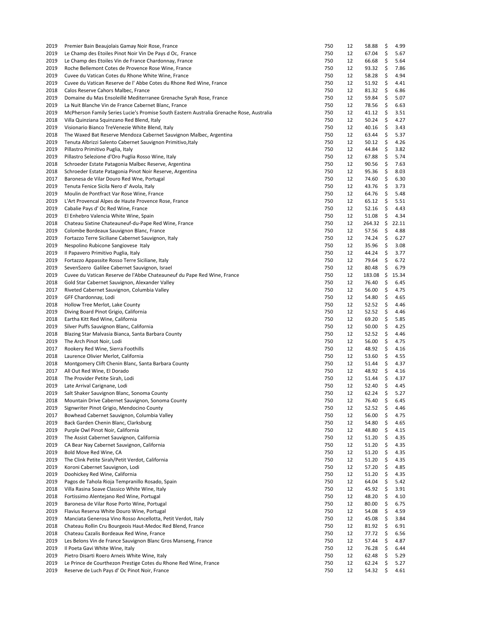| 2019 | Premier Bain Beaujolais Gamay Noir Rose, France                                          | 750 | 12 | 58.88  | \$<br>4.99  |
|------|------------------------------------------------------------------------------------------|-----|----|--------|-------------|
| 2019 | Le Champ des Etoiles Pinot Noir Vin De Pays d Oc, France                                 | 750 | 12 | 67.04  | \$<br>5.67  |
| 2019 | Le Champ des Etoiles Vin de France Chardonnay, France                                    | 750 | 12 | 66.68  | \$<br>5.64  |
| 2019 | Roche Bellemont Cotes de Provence Rose Wine, France                                      | 750 | 12 | 93.32  | \$<br>7.86  |
| 2019 | Cuvee du Vatican Cotes du Rhone White Wine, France                                       | 750 | 12 | 58.28  | \$<br>4.94  |
| 2019 | Cuvee du Vatican Reserve de l'Abbe Cotes du Rhone Red Wine, France                       | 750 | 12 | 51.92  | \$<br>4.41  |
| 2018 | Calos Reserve Cahors Malbec, France                                                      | 750 | 12 | 81.32  | \$<br>6.86  |
| 2019 | Domaine du Mas Ensoleillé Mediterranee Grenache Syrah Rose, France                       | 750 | 12 | 59.84  | \$<br>5.07  |
| 2019 | La Nuit Blanche Vin de France Cabernet Blanc, France                                     | 750 | 12 | 78.56  | \$<br>6.63  |
| 2019 | McPherson Family Series Lucie's Promise South Eastern Australia Grenache Rose, Australia | 750 | 12 | 41.12  | \$<br>3.51  |
| 2018 |                                                                                          | 750 | 12 | 50.24  | \$<br>4.27  |
|      | Villa Quinziana Squinzano Red Blend, Italy                                               |     |    |        |             |
| 2019 | Visionario Bianco TreVenezie White Blend, Italy                                          | 750 | 12 | 40.16  | \$<br>3.43  |
| 2018 | The Waxed Bat Reserve Mendoza Cabernet Sauvignon Malbec, Argentina                       | 750 | 12 | 63.44  | \$<br>5.37  |
| 2019 | Tenuta Albrizzi Salento Cabernet Sauvignon Primitivo, Italy                              | 750 | 12 | 50.12  | \$<br>4.26  |
| 2019 | Pillastro Primitivo Puglia, Italy                                                        | 750 | 12 | 44.84  | \$<br>3.82  |
| 2019 | Pillastro Selezione d'Oro Puglia Rosso Wine, Italy                                       | 750 | 12 | 67.88  | \$<br>5.74  |
| 2018 | Schroeder Estate Patagonia Malbec Reserve, Argentina                                     | 750 | 12 | 90.56  | \$<br>7.63  |
| 2018 | Schroeder Estate Patagonia Pinot Noir Reserve, Argentina                                 | 750 | 12 | 95.36  | \$<br>8.03  |
| 2017 | Baronesa de Vilar Douro Red Wne, Portugal                                                | 750 | 12 | 74.60  | \$<br>6.30  |
| 2019 | Tenuta Fenice Sicila Nero d'Avola, Italy                                                 | 750 | 12 | 43.76  | \$<br>3.73  |
| 2019 | Moulin de Pontfract Var Rose Wine, France                                                | 750 | 12 | 64.76  | \$<br>5.48  |
| 2019 | L'Art Provencal Alpes de Haute Provence Rose, France                                     | 750 | 12 | 65.12  | \$<br>5.51  |
| 2019 | Cabalie Pays d' Oc Red Wine, France                                                      | 750 | 12 | 52.16  | \$<br>4.43  |
| 2019 | El Enhebro Valencia White Wine, Spain                                                    | 750 | 12 | 51.08  | \$<br>4.34  |
| 2018 | Chateau Sixtine Chateauneuf-du-Pape Red Wine, France                                     | 750 | 12 | 264.32 | \$<br>22.11 |
| 2019 | Colombe Bordeaux Sauvignon Blanc, France                                                 | 750 | 12 | 57.56  | \$<br>4.88  |
| 2019 | Fortazzo Terre Siciliane Cabernet Sauvignon, Italy                                       | 750 | 12 | 74.24  | \$<br>6.27  |
| 2019 | Nespolino Rubicone Sangiovese Italy                                                      | 750 | 12 | 35.96  | \$<br>3.08  |
| 2019 | Il Papavero Primitivo Puglia, Italy                                                      | 750 | 12 | 44.24  | \$<br>3.77  |
| 2019 |                                                                                          | 750 | 12 | 79.64  | \$<br>6.72  |
|      | Fortazzo Appassite Rosso Terre Siciliane, Italy                                          |     |    |        |             |
| 2019 | Seven5zero Galilee Cabernet Sauvignon, Israel                                            | 750 | 12 | 80.48  | \$<br>6.79  |
| 2019 | Cuvee du Vatican Reserve de l'Abbe Chateauneuf du Pape Red Wine, France                  | 750 | 12 | 183.08 | \$<br>15.34 |
| 2018 | Gold Star Cabernet Sauvignon, Alexander Valley                                           | 750 | 12 | 76.40  | \$<br>6.45  |
| 2017 | Riveted Cabernet Sauvignon, Columbia Valley                                              | 750 | 12 | 56.00  | \$<br>4.75  |
| 2019 | GFF Chardonnay, Lodi                                                                     | 750 | 12 | 54.80  | \$<br>4.65  |
| 2018 | Hollow Tree Merlot, Lake County                                                          | 750 | 12 | 52.52  | \$<br>4.46  |
| 2019 | Diving Board Pinot Grigio, California                                                    | 750 | 12 | 52.52  | \$<br>4.46  |
| 2018 | Eartha Kitt Red Wine, California                                                         | 750 | 12 | 69.20  | \$<br>5.85  |
| 2019 | Silver Puffs Sauvignon Blanc, California                                                 | 750 | 12 | 50.00  | \$<br>4.25  |
| 2018 | Blazing Star Malvasia Bianca, Santa Barbara County                                       | 750 | 12 | 52.52  | \$<br>4.46  |
| 2019 | The Arch Pinot Noir, Lodi                                                                | 750 | 12 | 56.00  | \$<br>4.75  |
| 2017 | Rookery Red Wine, Sierra Foothills                                                       | 750 | 12 | 48.92  | \$<br>4.16  |
| 2018 | Laurence Olivier Merlot, California                                                      | 750 | 12 | 53.60  | \$<br>4.55  |
| 2018 | Montgomery Clift Chenin Blanc, Santa Barbara County                                      | 750 | 12 | 51.44  | \$<br>4.37  |
| 2017 | All Out Red Wine, El Dorado                                                              | 750 | 12 | 48.92  | \$<br>4.16  |
| 2018 | The Provider Petite Sirah, Lodi                                                          | 750 | 12 | 51.44  | \$<br>4.37  |
| 2019 | Late Arrival Carignane, Lodi                                                             | 750 | 12 | 52.40  | \$<br>4.45  |
| 2019 | Salt Shaker Sauvignon Blanc, Sonoma County                                               | 750 | 12 | 62.24  | \$<br>5.27  |
| 2018 | Mountain Drive Cabernet Sauvignon, Sonoma County                                         | 750 | 12 | 76.40  | \$<br>6.45  |
| 2019 | Signwriter Pinot Grigio, Mendocino County                                                | 750 | 12 | 52.52  | \$<br>4.46  |
| 2017 | Bowhead Cabernet Sauvignon, Columbia Valley                                              | 750 | 12 | 56.00  | \$<br>4.75  |
| 2019 | Back Garden Chenin Blanc, Clarksburg                                                     | 750 | 12 | 54.80  | \$<br>4.65  |
| 2019 | Purple Owl Pinot Noir, California                                                        | 750 | 12 | 48.80  | \$          |
|      |                                                                                          |     |    |        | 4.15        |
| 2019 | The Assist Cabernet Sauvignon, California                                                | 750 | 12 | 51.20  | \$<br>4.35  |
| 2019 | CA Bear Nay Cabernet Sauvignon, California                                               | 750 | 12 | 51.20  | \$<br>4.35  |
| 2019 | Bold Move Red Wine, CA                                                                   | 750 | 12 | 51.20  | \$<br>4.35  |
| 2019 | The Clink Petite Sirah/Petit Verdot, California                                          | 750 | 12 | 51.20  | \$<br>4.35  |
| 2019 | Koroni Cabernet Sauvignon, Lodi                                                          | 750 | 12 | 57.20  | \$<br>4.85  |
| 2019 | Doohickey Red Wine, California                                                           | 750 | 12 | 51.20  | \$<br>4.35  |
| 2019 | Pagos de Tahola Rioja Tempranillo Rosado, Spain                                          | 750 | 12 | 64.04  | \$<br>5.42  |
| 2018 | Villa Rasina Soave Classico White Wine, Italy                                            | 750 | 12 | 45.92  | \$<br>3.91  |
| 2018 | Fortissimo Alentejano Red Wine, Portugal                                                 | 750 | 12 | 48.20  | \$<br>4.10  |
| 2019 | Baronesa de Vilar Rose Porto Wine, Portugal                                              | 750 | 12 | 80.00  | \$<br>6.75  |
| 2019 | Flavius Reserva White Douro Wine, Portugal                                               | 750 | 12 | 54.08  | \$<br>4.59  |
| 2019 | Manciata Generosa Vino Rosso Ancellotta, Petit Verdot, Italy                             | 750 | 12 | 45.08  | \$<br>3.84  |
| 2018 | Chateau Rollin Cru Bourgeois Haut-Medoc Red Blend, France                                | 750 | 12 | 81.92  | \$<br>6.91  |
| 2018 | Chateau Cazalis Bordeaux Red Wine, France                                                | 750 | 12 | 77.72  | \$<br>6.56  |
| 2019 | Les Belons Vin de France Sauvignon Blanc Gros Manseng, France                            | 750 | 12 | 57.44  | \$<br>4.87  |
| 2019 | Il Poeta Gavi White Wine, Italy                                                          | 750 | 12 | 76.28  | \$<br>6.44  |
| 2019 | Pietro Disarti Roero Arneis White Wine, Italy                                            | 750 | 12 | 62.48  | \$<br>5.29  |
| 2019 | Le Prince de Courthezon Prestige Cotes du Rhone Red Wine, France                         | 750 | 12 | 62.24  | \$<br>5.27  |
| 2019 | Reserve de Luch Pays d' Oc Pinot Noir, France                                            | 750 | 12 | 54.32  | \$<br>4.61  |
|      |                                                                                          |     |    |        |             |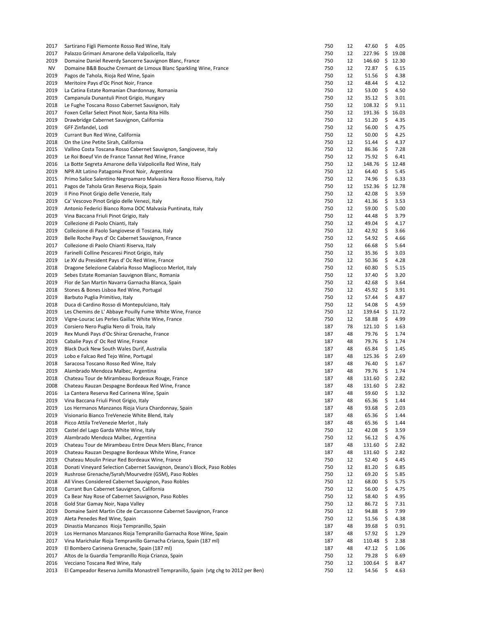| 2017 | Sartirano Figli Piemonte Rosso Red Wine, Italy                                       | 750 | 12 | 47.60         | \$   | 4.05  |
|------|--------------------------------------------------------------------------------------|-----|----|---------------|------|-------|
| 2017 | Palazzo Grimani Amarone della Valpolicella, Italy                                    | 750 | 12 | 227.96        | \$   | 19.08 |
| 2019 | Domaine Daniel Reverdy Sancerre Sauvignon Blanc, France                              | 750 | 12 | 146.60        | \$   | 12.30 |
| NV   | Domaine B&B Bouche Cremant de Limoux Blanc Sparkling Wine, France                    | 750 | 12 | 72.87         | \$   | 6.15  |
| 2019 | Pagos de Tahola, Rioja Red Wine, Spain                                               | 750 | 12 | 51.56         | \$   | 4.38  |
| 2019 | Meritoire Pays d'Oc Pinot Noir, France                                               | 750 | 12 | 48.44         | \$   | 4.12  |
| 2019 | La Catina Estate Romanian Chardonnay, Romania                                        | 750 | 12 | 53.00         | \$   | 4.50  |
| 2019 | Campanula Dunantuli Pinot Grigio, Hungary                                            | 750 | 12 | 35.12         | \$   | 3.01  |
| 2018 | Le Fughe Toscana Rosso Cabernet Sauvignon, Italy                                     | 750 | 12 | 108.32        | \$   | 9.11  |
|      |                                                                                      |     |    |               |      |       |
| 2017 | Foxen Cellar Select Pinot Noir, Santa Rita Hills                                     | 750 | 12 | 191.36        | - \$ | 16.03 |
| 2019 | Drawbridge Cabernet Sauvignon, California                                            | 750 | 12 | 51.20         | \$   | 4.35  |
| 2019 | GFF Zinfandel, Lodi                                                                  | 750 | 12 | 56.00         | \$   | 4.75  |
| 2019 | Currant Bun Red Wine, California                                                     | 750 | 12 | 50.00         | \$   | 4.25  |
| 2018 | On the Line Petite Sirah, California                                                 | 750 | 12 | 51.44         | \$   | 4.37  |
| 2015 | Vallino Costa Toscana Rosso Cabernet Sauvignon, Sangiovese, Italy                    | 750 | 12 | 86.36         | \$   | 7.28  |
| 2019 | Le Roi Boeuf Vin de France Tannat Red Wine, France                                   | 750 | 12 | 75.92         | \$   | 6.41  |
| 2016 | La Botte Segreta Amarone della Valpolicella Red Wine, Italy                          | 750 | 12 | 148.76        | \$   | 12.48 |
| 2019 | NPR Alt Latino Patagonia Pinot Noir, Argentina                                       | 750 | 12 | 64.40         | \$   | 5.45  |
| 2015 | Primo Salice Salentino Negroamaro Malvasia Nera Rosso Riserva, Italy                 | 750 | 12 | 74.96         | \$   | 6.33  |
| 2011 | Pagos de Tahola Gran Reserva Rioja, Spain                                            | 750 | 12 | 152.36        | \$   | 12.78 |
| 2019 | Il Pino Pinot Grigio delle Venezie, Italy                                            | 750 | 12 | 42.08         | \$   | 3.59  |
| 2019 | Ca' Vescovo Pinot Grigio delle Venezi, Italy                                         | 750 | 12 | 41.36         | \$   | 3.53  |
|      |                                                                                      | 750 | 12 | 59.00         | \$   | 5.00  |
| 2019 | Antonio Federici Bianco Roma DOC Malvasia Puntinata, Italy                           |     |    |               |      |       |
| 2019 | Vina Baccana Friuli Pinot Grigio, Italy                                              | 750 | 12 | 44.48         | \$   | 3.79  |
| 2019 | Collezione di Paolo Chianti, Italy                                                   | 750 | 12 | 49.04         | \$   | 4.17  |
| 2019 | Collezione di Paolo Sangiovese di Toscana, Italy                                     | 750 | 12 | 42.92         | \$   | 3.66  |
| 2019 | Belle Roche Pays d' Oc Cabernet Sauvignon, France                                    | 750 | 12 | 54.92         | \$   | 4.66  |
| 2017 | Collezione di Paolo Chianti Riserva, Italy                                           | 750 | 12 | 66.68         | \$   | 5.64  |
| 2019 | Farinelli Colline Pescaresi Pinot Grigio, Italy                                      | 750 | 12 | 35.36         | \$   | 3.03  |
| 2019 | Le XV du President Pays d' Oc Red Wine, France                                       | 750 | 12 | 50.36         | \$   | 4.28  |
| 2018 | Dragone Selezione Calabria Rosso Magliocco Merlot, Italy                             | 750 | 12 | 60.80         | \$   | 5.15  |
| 2019 | Sebes Estate Romanian Sauvignon Blanc, Romania                                       | 750 | 12 | 37.40         | \$   | 3.20  |
| 2019 | Flor de San Martin Navarra Garnacha Blanca, Spain                                    | 750 | 12 | 42.68         | \$   | 3.64  |
| 2018 | Stones & Bones Lisboa Red Wine, Portugal                                             | 750 | 12 | 45.92         | \$   | 3.91  |
|      |                                                                                      |     |    |               |      |       |
| 2019 | Barbuto Puglia Primitivo, Italy                                                      | 750 | 12 | 57.44         | \$   | 4.87  |
| 2018 | Duca di Cardino Rosso di Montepulciano, Italy                                        | 750 | 12 | 54.08         | \$   | 4.59  |
| 2019 | Les Chemins de L' Abbaye Pouilly Fume White Wine, France                             | 750 | 12 | 139.64        | \$   | 11.72 |
| 2019 | Vigne-Lourac Les Perles Gaillac White Wine, France                                   | 750 | 12 | 58.88         | \$   | 4.99  |
| 2019 | Corsiero Nero Puglia Nero di Troia, Italy                                            | 187 | 78 | 121.10        | \$   | 1.63  |
| 2019 | Rex Mundi Pays d'Oc Shiraz Grenache, France                                          | 187 | 48 | 79.76         | \$   | 1.74  |
| 2019 | Cabalie Pays d' Oc Red Wine, France                                                  | 187 | 48 | 79.76         | \$   | 1.74  |
| 2019 | Black Duck New South Wales Durif, Australia                                          | 187 | 48 | 65.84         | \$   | 1.45  |
| 2019 | Lobo e Falcao Red Tejo Wine, Portugal                                                | 187 | 48 | 125.36        | -\$  | 2.69  |
| 2018 | Saracosa Toscano Rosso Red Wine, Italy                                               | 187 | 48 | 76.40         | \$   | 1.67  |
| 2019 | Alambrado Mendoza Malbec, Argentina                                                  | 187 | 48 | 79.76         | \$   | 1.74  |
| 2018 | Chateau Tour de Mirambeau Bordeaux Rouge, France                                     | 187 | 48 | $131.60 \div$ |      | 2.82  |
| 2008 | Chateau Rauzan Despagne Bordeaux Red Wine, France                                    | 187 | 48 | $131.60 \div$ |      | 2.82  |
| 2016 | La Cantera Reserva Red Carinena Wine, Spain                                          | 187 | 48 | 59.60         | \$   | 1.32  |
|      |                                                                                      |     |    |               |      |       |
| 2019 | Vina Baccana Friuli Pinot Grigio, Italy                                              | 187 | 48 | 65.36         | \$   | 1.44  |
| 2019 | Los Hermanos Manzanos Rioja Viura Chardonnay, Spain                                  | 187 | 48 | 93.68         | \$   | 2.03  |
| 2019 | Visionario Bianco TreVenezie White Blend, Italy                                      | 187 | 48 | 65.36         | \$   | 1.44  |
| 2018 | Picco Attila TreVenezie Merlot, Italy                                                | 187 | 48 | 65.36         | \$   | 1.44  |
| 2019 | Castel del Lago Garda White Wine, Italy                                              | 750 | 12 | 42.08         | \$   | 3.59  |
| 2019 | Alambrado Mendoza Malbec, Argentina                                                  | 750 | 12 | 56.12         | \$   | 4.76  |
| 2019 | Chateau Tour de Mirambeau Entre Deux Mers Blanc, France                              | 187 | 48 | 131.60        | -\$  | 2.82  |
| 2019 | Chateau Rauzan Despagne Bordeaux White Wine, France                                  | 187 | 48 | 131.60        | -\$  | 2.82  |
| 2019 | Chateau Moulin Prieur Red Bordeaux Wine, France                                      | 750 | 12 | 52.40         | \$   | 4.45  |
| 2018 | Donati Vineyard Selection Cabernet Sauvignon, Deano's Block, Paso Robles             | 750 | 12 | 81.20         | \$   | 6.85  |
| 2019 | Rushrose Grenache/Syrah/Mourvedre (GSM), Paso Robles                                 | 750 | 12 | 69.20         | \$   | 5.85  |
| 2018 | All Vines Considered Cabernet Sauvignon, Paso Robles                                 | 750 | 12 | 68.00         | \$   | 5.75  |
| 2018 | Currant Bun Cabernet Sauvignon, California                                           | 750 | 12 | 56.00         | \$   | 4.75  |
|      |                                                                                      |     |    |               |      |       |
| 2019 | Ca Bear Nay Rose of Cabernet Sauvignon, Paso Robles                                  | 750 | 12 | 58.40         | \$   | 4.95  |
| 2018 | Gold Star Gamay Noir, Napa Valley                                                    | 750 | 12 | 86.72         | \$   | 7.31  |
| 2019 | Domaine Saint Martin Cite de Carcassonne Cabernet Sauvignon, France                  | 750 | 12 | 94.88         | \$   | 7.99  |
| 2019 | Aleta Penedes Red Wine, Spain                                                        | 750 | 12 | 51.56         | \$   | 4.38  |
| 2019 | Dinastia Manzanos Rioja Tempranillo, Spain                                           | 187 | 48 | 39.68         | \$   | 0.91  |
| 2019 | Los Hermanos Manzanos Rioja Tempranillo Garnacha Rose Wine, Spain                    | 187 | 48 | 57.92         | \$   | 1.29  |
| 2017 | Vina Marichalar Rioja Tempranillo Garnacha Crianza, Spain (187 ml)                   | 187 | 48 | 110.48        | -\$  | 2.38  |
| 2019 | El Bombero Carinena Grenache, Spain (187 ml)                                         | 187 | 48 | 47.12         | \$   | 1.06  |
| 2017 | Altos de la Guardia Tempranillo Rioja Crianza, Spain                                 | 750 | 12 | 79.28         | \$   | 6.69  |
| 2016 | Vecciano Toscana Red Wine, Italy                                                     | 750 | 12 | 100.64        | \$   | 8.47  |
| 2013 | El Campeador Reserva Jumilla Monastrell Tempranillo, Spain (vtg chg to 2012 per Ben) | 750 | 12 | 54.56         | \$   | 4.63  |
|      |                                                                                      |     |    |               |      |       |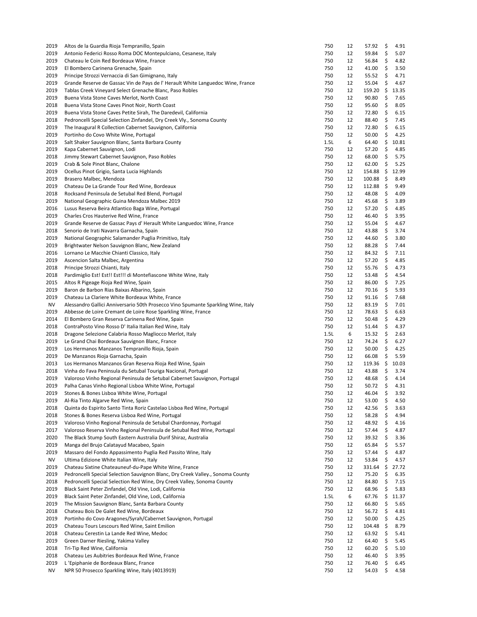| 2019 | Altos de la Guardia Rioja Tempranillo, Spain                                      | 750  | 12 | 57.92  | \$  | 4.91  |
|------|-----------------------------------------------------------------------------------|------|----|--------|-----|-------|
| 2019 | Antonio Federici Rosso Roma DOC Montepulciano, Cesanese, Italy                    | 750  | 12 | 59.84  | \$  | 5.07  |
| 2019 | Chateau le Coin Red Bordeaux Wine, France                                         | 750  | 12 | 56.84  | \$  | 4.82  |
| 2019 | El Bombero Carinena Grenache, Spain                                               | 750  | 12 | 41.00  | \$  | 3.50  |
| 2019 | Principe Strozzi Vernaccia di San Gimignano, Italy                                | 750  | 12 | 55.52  | \$  | 4.71  |
| 2019 | Grande Reserve de Gassac Vin de Pays de l'Herault White Languedoc Wine, France    | 750  | 12 | 55.04  | \$  | 4.67  |
| 2019 | Tablas Creek Vineyard Select Grenache Blanc, Paso Robles                          | 750  | 12 | 159.20 | \$  | 13.35 |
| 2019 | Buena Vista Stone Caves Merlot, North Coast                                       | 750  | 12 | 90.80  | \$  | 7.65  |
| 2018 | Buena Vista Stone Caves Pinot Noir, North Coast                                   | 750  | 12 | 95.60  | \$  | 8.05  |
| 2019 |                                                                                   | 750  |    | 72.80  | \$  |       |
|      | Buena Vista Stone Caves Petite Sirah, The Daredevil, California                   |      | 12 |        |     | 6.15  |
| 2018 | Pedroncelli Special Selection Zinfandel, Dry Creek Vly., Sonoma County            | 750  | 12 | 88.40  | \$  | 7.45  |
| 2019 | The Inaugural R Collection Cabernet Sauvignon, California                         | 750  | 12 | 72.80  | \$  | 6.15  |
| 2019 | Portinho do Covo White Wine, Portugal                                             | 750  | 12 | 50.00  | \$  | 4.25  |
| 2019 | Salt Shaker Sauvignon Blanc, Santa Barbara County                                 | 1.5L | 6  | 64.40  | \$  | 10.81 |
| 2019 | Kapa Cabernet Sauvignon, Lodi                                                     | 750  | 12 | 57.20  | \$  | 4.85  |
| 2018 | Jimmy Stewart Cabernet Sauvignon, Paso Robles                                     | 750  | 12 | 68.00  | \$  | 5.75  |
| 2019 | Crab & Sole Pinot Blanc, Chalone                                                  | 750  | 12 | 62.00  | \$  | 5.25  |
| 2019 | Ocellus Pinot Grigio, Santa Lucia Highlands                                       | 750  | 12 | 154.88 | \$  | 12.99 |
| 2019 | Brasero Malbec, Mendoza                                                           | 750  | 12 | 100.88 | \$  | 8.49  |
| 2019 | Chateau De La Grande Tour Red Wine, Bordeaux                                      | 750  | 12 | 112.88 | -\$ | 9.49  |
| 2018 | Rocksand Peninsula de Setubal Red Blend, Portugal                                 | 750  | 12 | 48.08  | \$  | 4.09  |
| 2019 | National Geographic Guina Mendoza Malbec 2019                                     | 750  | 12 | 45.68  | \$  | 3.89  |
| 2016 | Lusus Reserva Beira Atlantico Baga Wine, Portugal                                 | 750  | 12 | 57.20  | \$  | 4.85  |
| 2019 | Charles Cros Hauterive Red Wine, France                                           | 750  | 12 | 46.40  | \$  | 3.95  |
| 2019 | Grande Reserve de Gassac Pays d'Herault White Languedoc Wine, France              | 750  | 12 | 55.04  | \$  | 4.67  |
| 2018 | Senorio de Irati Navarra Garnacha, Spain                                          | 750  | 12 | 43.88  | \$  | 3.74  |
| 2019 | National Geographic Salamander Puglia Primitivo, Italy                            | 750  | 12 | 44.60  | \$  | 3.80  |
| 2019 | Brightwater Nelson Sauvignon Blanc, New Zealand                                   | 750  | 12 | 88.28  | \$  | 7.44  |
| 2016 | Lornano Le Macchie Chianti Classico, Italy                                        | 750  | 12 | 84.32  | \$  | 7.11  |
| 2019 |                                                                                   | 750  |    |        | \$  | 4.85  |
|      | Ascencion Salta Malbec, Argentina                                                 |      | 12 | 57.20  |     |       |
| 2018 | Principe Strozzi Chianti, Italy                                                   | 750  | 12 | 55.76  | \$  | 4.73  |
| 2018 | Pardimiglio Est! Est!! Est!!! di Montefiascone White Wine, Italy                  | 750  | 12 | 53.48  | \$  | 4.54  |
| 2015 | Altos R Pigeage Rioja Red Wine, Spain                                             | 750  | 12 | 86.00  | \$  | 7.25  |
| 2019 | Baron de Barbon Rias Baixas Albarino, Spain                                       | 750  | 12 | 70.16  | \$  | 5.93  |
| 2019 | Chateau La Clariere White Bordeaux White, France                                  | 750  | 12 | 91.16  | \$  | 7.68  |
| NV   | Alessandro Gallici Anniversario 50th Prosecco Vino Spumante Sparkling Wine, Italy | 750  | 12 | 83.19  | \$  | 7.01  |
| 2019 | Abbesse de Loire Cremant de Loire Rose Sparkling Wine, France                     | 750  | 12 | 78.63  | \$  | 6.63  |
| 2014 | El Bombero Gran Reserva Carinena Red Wine, Spain                                  | 750  | 12 | 50.48  | \$  | 4.29  |
| 2018 | ContraPosto Vino Rosso D' Italia Italian Red Wine, Italy                          | 750  | 12 | 51.44  | \$  | 4.37  |
| 2018 | Dragone Selezione Calabria Rosso Magliocco Merlot, Italy                          | 1.5L | 6  | 15.32  | \$  | 2.63  |
| 2019 | Le Grand Chai Bordeaux Sauvignon Blanc, France                                    | 750  | 12 | 74.24  | \$  | 6.27  |
| 2019 | Los Hermanos Manzanos Tempranillo Rioja, Spain                                    | 750  | 12 | 50.00  | \$  | 4.25  |
| 2019 | De Manzanos Rioja Garnacha, Spain                                                 | 750  | 12 | 66.08  | \$  | 5.59  |
| 2013 | Los Hermanos Manzanos Gran Reserva Rioja Red Wine, Spain                          | 750  | 12 | 119.36 | \$  | 10.03 |
| 2018 | Vinha do Fava Peninsula du Setubal Touriga Nacional, Portugal                     | 750  | 12 | 43.88  | \$  | 3.74  |
| 2019 | Valoroso Vinho Regional Peninsula de Setubal Cabernet Sauvignon, Portugal         | 750  | 12 | 48.68  | \$  | 4.14  |
| 2019 | Palha Canas Vinho Regional Lisboa White Wine, Portugal                            | 750  | 12 | 50.72  | \$  | 4.31  |
| 2019 | Stones & Bones Lisboa White Wine, Portugal                                        | 750  | 12 | 46.04  | Ş   | 3.92  |
| 2019 | Al-Ria Tinto Algarve Red Wine, Spain                                              | 750  | 12 | 53.00  | \$  | 4.50  |
| 2018 | Quinta do Espirito Santo Tinta Roriz Castelao Lisboa Red Wine, Portugal           | 750  | 12 | 42.56  | \$  | 3.63  |
| 2018 | Stones & Bones Reserva Lisboa Red Wine, Portugal                                  | 750  | 12 | 58.28  | \$  | 4.94  |
| 2019 | Valoroso Vinho Regional Peninsula de Setubal Chardonnay, Portugal                 | 750  | 12 | 48.92  | \$  | 4.16  |
| 2017 | Valoroso Reserva Vinho Regional Peninsula de Setubal Red Wine, Portugal           | 750  | 12 | 57.44  | \$  | 4.87  |
|      |                                                                                   |      |    |        |     |       |
| 2020 | The Black Stump South Eastern Australia Durif Shiraz, Australia                   | 750  | 12 | 39.32  | \$  | 3.36  |
| 2019 | Manga del Brujo Calatayud Macabeo, Spain                                          | 750  | 12 | 65.84  | \$  | 5.57  |
| 2019 | Massaro del Fondo Appassimento Puglia Red Passito Wine, Italy                     | 750  | 12 | 57.44  | \$  | 4.87  |
| ΝV   | Ultima Edizione White Italian Wine, Italy                                         | 750  | 12 | 53.84  | \$  | 4.57  |
| 2019 | Chateau Sixtine Chateauneuf-du-Pape White Wine, France                            | 750  | 12 | 331.64 | \$  | 27.72 |
| 2019 | Pedroncelli Special Selection Sauvignon Blanc, Dry Creek Valley., Sonoma County   | 750  | 12 | 75.20  | \$  | 6.35  |
| 2018 | Pedroncelli Special Selection Red Wine, Dry Creek Valley, Sonoma County           | 750  | 12 | 84.80  | \$  | 7.15  |
| 2019 | Black Saint Peter Zinfandel, Old Vine, Lodi, California                           | 750  | 12 | 68.96  | \$  | 5.83  |
| 2019 | Black Saint Peter Zinfandel, Old Vine, Lodi, California                           | 1.5L | 6  | 67.76  | \$  | 11.37 |
| 2019 | The Mission Sauvignon Blanc, Santa Barbara County                                 | 750  | 12 | 66.80  | \$  | 5.65  |
| 2018 | Chateau Bois De Galet Red Wine, Bordeaux                                          | 750  | 12 | 56.72  | \$  | 4.81  |
| 2019 | Portinho do Covo Aragones/Syrah/Cabernet Sauvignon, Portugal                      | 750  | 12 | 50.00  | \$  | 4.25  |
| 2019 | Chateau Tours Lescours Red Wine, Saint Emilion                                    | 750  | 12 | 104.48 | -\$ | 8.79  |
| 2018 | Chateau Cerestin La Lande Red Wine, Medoc                                         | 750  | 12 | 63.92  | \$  | 5.41  |
| 2019 | Green Darner Riesling, Yakima Valley                                              | 750  | 12 | 64.40  | \$  | 5.45  |
| 2018 | Tri-Tip Red Wine, California                                                      | 750  | 12 | 60.20  | \$  | 5.10  |
| 2018 | Chateau Les Aubitries Bordeaux Red Wine, France                                   | 750  | 12 | 46.40  | \$  | 3.95  |
| 2019 | L'Epiphanie de Bordeaux Blanc, France                                             | 750  | 12 | 76.40  | \$  | 6.45  |
| NV   | NPR 50 Prosecco Sparkling Wine, Italy (4013919)                                   | 750  | 12 | 54.03  | \$  | 4.58  |
|      |                                                                                   |      |    |        |     |       |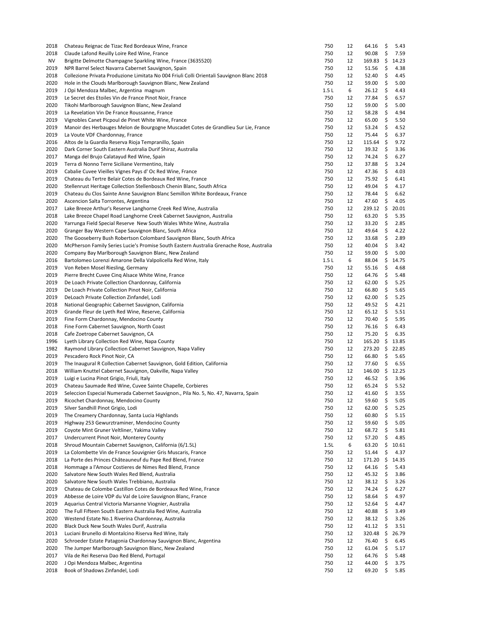| 2018 | Chateau Reignac de Tizac Red Bordeaux Wine, France                                                                                                | 750  | 12 | 64.16         | \$  | 5.43  |
|------|---------------------------------------------------------------------------------------------------------------------------------------------------|------|----|---------------|-----|-------|
| 2018 | Claude Lafond Reuilly Loire Red Wine, France                                                                                                      | 750  | 12 | 90.08         | \$  | 7.59  |
| NV   | Brigitte Delmotte Champagne Sparkling Wine, France (3635520)                                                                                      | 750  | 12 | 169.83        | \$  | 14.23 |
| 2019 | NPR Barrel Select Navarra Cabernet Sauvignon, Spain                                                                                               | 750  | 12 | 51.56         | \$  | 4.38  |
| 2018 | Collezione Privata Produzione Limitata No 004 Friuli Colli Orientali Sauvignon Blanc 2018                                                         | 750  | 12 | 52.40         | \$  | 4.45  |
| 2020 | Hole in the Clouds Marlborough Sauvignon Blanc, New Zealand                                                                                       | 750  | 12 | 59.00         | \$  | 5.00  |
| 2019 | J Opi Mendoza Malbec, Argentina magnum                                                                                                            | 1.5L | 6  | 26.12         | \$  | 4.43  |
| 2019 | Le Secret des Etoiles Vin de France Pinot Noir, France                                                                                            | 750  | 12 | 77.84         | \$  | 6.57  |
| 2020 | Tikohi Marlborough Sauvignon Blanc, New Zealand                                                                                                   | 750  | 12 | 59.00         | \$  | 5.00  |
| 2019 | La Revelation Vin De France Roussanne, France                                                                                                     | 750  | 12 | 58.28         | \$  | 4.94  |
| 2019 | Vignobles Canet Picpoul de Pinet White Wine, France                                                                                               | 750  | 12 | 65.00         | \$  | 5.50  |
| 2019 | Manoir des Herbauges Melon de Bourgogne Muscadet Cotes de Grandlieu Sur Lie, France                                                               | 750  | 12 | 53.24         | \$  | 4.52  |
| 2019 | La Voute VDF Chardonnay, France                                                                                                                   | 750  | 12 | 75.44         | \$  | 6.37  |
| 2016 | Altos de la Guardia Reserva Rioja Tempranillo, Spain                                                                                              | 750  | 12 | 115.64        | -\$ | 9.72  |
| 2020 | Dark Corner South Eastern Australia Durif Shiraz, Australia                                                                                       | 750  | 12 | 39.32         | \$  | 3.36  |
| 2017 | Manga del Brujo Calatayud Red Wine, Spain                                                                                                         | 750  | 12 | 74.24         | \$  | 6.27  |
| 2019 | Terra di Nonno Terre Siciliane Vermentino, Italy                                                                                                  | 750  | 12 | 37.88         | \$  | 3.24  |
| 2019 | Cabalie Cuvee Vieilles Vignes Pays d' Oc Red Wine, France                                                                                         | 750  | 12 | 47.36         | \$  | 4.03  |
| 2019 | Chateau du Tertre Belair Cotes de Bordeaux Red Wine, France                                                                                       | 750  | 12 | 75.92         | \$  | 6.41  |
| 2020 | Stellenrust Heritage Collection Stellenbosch Chenin Blanc, South Africa                                                                           | 750  | 12 | 49.04         | \$  | 4.17  |
|      |                                                                                                                                                   |      |    |               |     | 6.62  |
| 2019 | Chateau du Clos Sainte Anne Sauvignon Blanc Semillon White Bordeaux, France                                                                       | 750  | 12 | 78.44         | \$  |       |
| 2020 | Ascencion Salta Torrontes, Argentina                                                                                                              | 750  | 12 | 47.60         | \$  | 4.05  |
| 2017 | Lake Breeze Arthur's Reserve Langhorne Creek Red Wine, Australia                                                                                  | 750  | 12 | 239.12        | \$  | 20.01 |
| 2018 | Lake Breeze Chapel Road Langhorne Creek Cabernet Sauvignon, Australia                                                                             | 750  | 12 | 63.20         | \$  | 5.35  |
| 2020 | Yarrunga Field Special Reserve New South Wales White Wine, Australia                                                                              | 750  | 12 | 33.20         | \$  | 2.85  |
| 2020 | Granger Bay Western Cape Sauvignon Blanc, South Africa                                                                                            | 750  | 12 | 49.64         | \$  | 4.22  |
| 2020 | The Gooseberry Bush Robertson Colombard Sauvignon Blanc, South Africa                                                                             | 750  | 12 | 33.68         | \$  | 2.89  |
| 2020 | McPherson Family Series Lucie's Promise South Eastern Australia Grenache Rose, Australia                                                          | 750  | 12 | 40.04         | \$  | 3.42  |
| 2020 | Company Bay Marlborough Sauvignon Blanc, New Zealand                                                                                              | 750  | 12 | 59.00         | \$  | 5.00  |
| 2016 | Bartolomeo Lorenzi Amarone Della Valpolicella Red Wine, Italy                                                                                     | 1.5L | 6  | 88.04         | \$  | 14.75 |
| 2019 | Von Reben Mosel Riesling, Germany                                                                                                                 | 750  | 12 | 55.16         | \$  | 4.68  |
| 2019 | Pierre Brecht Cuvee Cinq Alsace White Wine, France                                                                                                | 750  | 12 | 64.76         | \$  | 5.48  |
| 2019 | De Loach Private Collection Chardonnay, California                                                                                                | 750  | 12 | 62.00         | \$  | 5.25  |
| 2019 | De Loach Private Collection Pinot Noir, California                                                                                                | 750  | 12 | 66.80         | \$  | 5.65  |
| 2019 | DeLoach Private Collection Zinfandel, Lodi                                                                                                        | 750  | 12 | 62.00         | \$  | 5.25  |
| 2018 | National Geographic Cabernet Sauvignon, California                                                                                                | 750  | 12 | 49.52         | \$  | 4.21  |
| 2019 | Grande Fleur de Lyeth Red Wine, Reserve, California                                                                                               | 750  | 12 | 65.12         | \$  | 5.51  |
| 2019 | Fine Form Chardonnay, Mendocino County                                                                                                            | 750  | 12 | 70.40         | \$  | 5.95  |
| 2018 | Fine Form Cabernet Sauvignon, North Coast                                                                                                         | 750  | 12 | 76.16         | \$  | 6.43  |
| 2018 | Cafe Zoetrope Cabernet Sauvignon, CA                                                                                                              | 750  | 12 | 75.20         | \$  | 6.35  |
| 1996 | Lyeth Library Collection Red Wine, Napa County                                                                                                    | 750  | 12 | $165.20 \div$ |     | 13.85 |
| 1982 | Raymond Library Collection Cabernet Sauvignon, Napa Valley                                                                                        | 750  | 12 | 273.20        | \$  | 22.85 |
| 2019 | Pescadero Rock Pinot Noir, CA                                                                                                                     | 750  | 12 | 66.80         | \$  | 5.65  |
| 2019 | The Inaugural R Collection Cabernet Sauvignon, Gold Edition, California                                                                           | 750  | 12 | 77.60         | \$  | 6.55  |
| 2018 | William Knuttel Cabernet Sauvignon, Oakville, Napa Valley                                                                                         | 750  | 12 | 146.00        | \$  | 12.25 |
| 2019 |                                                                                                                                                   | 750  | 12 | 46.52         | \$  | 3.96  |
| 2019 | Luigi e Lucina Pinot Grigio, Friuli, Italy                                                                                                        | 750  | 12 | 65.24         |     | 5.52  |
|      | Chateau Saumade Red Wine, Cuvee Sainte Chapelle, Corbieres<br>Seleccion Especial Numerada Cabernet Sauvignon., Pila No. 5, No. 47, Navarra, Spain |      |    |               | \$  |       |
| 2019 |                                                                                                                                                   | 750  | 12 | 41.60         | \$  | 3.55  |
| 2019 | Ricochet Chardonnay, Mendocino County                                                                                                             | 750  | 12 | 59.60         | \$  | 5.05  |
| 2019 | Silver Sandhill Pinot Grigio, Lodi                                                                                                                | 750  | 12 | 62.00         | \$  | 5.25  |
| 2019 | The Creamery Chardonnay, Santa Lucia Highlands                                                                                                    | 750  | 12 | 60.80         | \$  | 5.15  |
| 2019 | Highway 253 Gewurztraminer, Mendocino County                                                                                                      | 750  | 12 | 59.60         | \$  | 5.05  |
| 2019 | Coyote Mint Gruner Veltliner, Yakima Valley                                                                                                       | 750  | 12 | 68.72         | \$  | 5.81  |
| 2017 | Undercurrent Pinot Noir, Monterey County                                                                                                          | 750  | 12 | 57.20         | \$  | 4.85  |
| 2018 | Shroud Mountain Cabernet Sauvignon, California (6/1.5L)                                                                                           | 1.5L | 6  | 63.20         | \$  | 10.61 |
| 2019 | La Colombette Vin de France Souvignier Gris Muscaris, France                                                                                      | 750  | 12 | 51.44         | \$  | 4.37  |
| 2018 | La Porte des Princes Châteauneuf du Pape Red Blend, France                                                                                        | 750  | 12 | 171.20        | \$  | 14.35 |
| 2018 | Hommage a l'Amour Costieres de Nimes Red Blend, France                                                                                            | 750  | 12 | 64.16         | \$  | 5.43  |
| 2020 | Salvatore New South Wales Red Blend, Australia                                                                                                    | 750  | 12 | 45.32         | \$  | 3.86  |
| 2020 | Salvatore New South Wales Trebbiano, Australia                                                                                                    | 750  | 12 | 38.12         | \$  | 3.26  |
| 2019 | Chateau de Colombe Castillon Cotes de Bordeaux Red Wine, France                                                                                   | 750  | 12 | 74.24         | \$  | 6.27  |
| 2019 | Abbesse de Loire VDP du Val de Loire Sauvignon Blanc, France                                                                                      | 750  | 12 | 58.64         | \$  | 4.97  |
| 2019 | Aquarius Central Victoria Marsanne Viognier, Australia                                                                                            | 750  | 12 | 52.64         | \$  | 4.47  |
| 2020 | The Full Fifteen South Eastern Australia Red Wine, Australia                                                                                      | 750  | 12 | 40.88         | \$  | 3.49  |
| 2020 | Westend Estate No.1 Riverina Chardonnay, Australia                                                                                                | 750  | 12 | 38.12         | \$  | 3.26  |
| 2020 | Black Duck New South Wales Durif, Australia                                                                                                       | 750  | 12 | 41.12         | \$  | 3.51  |
| 2013 | Luciani Brunello di Montalcino Riserva Red Wine, Italy                                                                                            | 750  | 12 | 320.48        | \$  | 26.79 |
| 2020 | Schroeder Estate Patagonia Chardonnay Sauvignon Blanc, Argentina                                                                                  | 750  | 12 | 76.40         | \$  | 6.45  |
| 2020 | The Jumper Marlborough Sauvignon Blanc, New Zealand                                                                                               | 750  | 12 | 61.04         | \$  | 5.17  |
| 2017 | Vila de Rei Reserva Dao Red Blend, Portugal                                                                                                       | 750  | 12 | 64.76         | \$  | 5.48  |
| 2020 | J Opi Mendoza Malbec, Argentina                                                                                                                   | 750  | 12 | 44.00         | \$  | 3.75  |
| 2018 | Book of Shadows Zinfandel, Lodi                                                                                                                   | 750  | 12 | 69.20         | \$  | 5.85  |
|      |                                                                                                                                                   |      |    |               |     |       |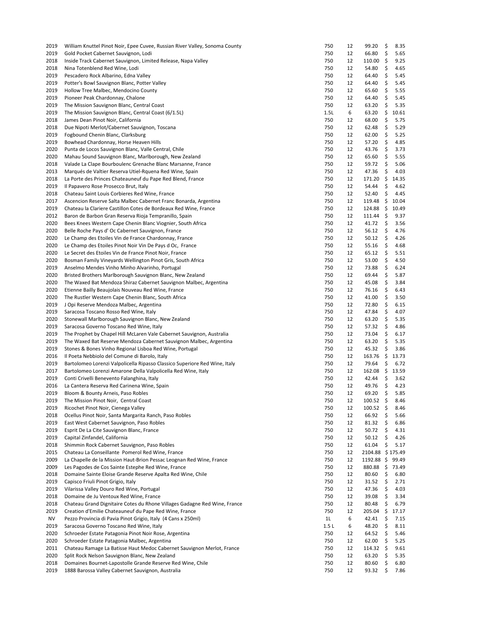| 2019      | William Knuttel Pinot Noir, Epee Cuvee, Russian River Valley, Sonoma County | 750            | 12 | 99.20            | \$  | 8.35  |
|-----------|-----------------------------------------------------------------------------|----------------|----|------------------|-----|-------|
| 2019      | Gold Pocket Cabernet Sauvignon, Lodi                                        | 750            | 12 | 66.80            | \$  | 5.65  |
| 2018      | Inside Track Cabernet Sauvignon, Limited Release, Napa Valley               | 750            | 12 | 110.00           | \$  | 9.25  |
| 2018      | Nina Totenblend Red Wine, Lodi                                              | 750            | 12 | 54.80            | \$  | 4.65  |
| 2019      | Pescadero Rock Albarino, Edna Valley                                        | 750            | 12 | 64.40            | \$  | 5.45  |
| 2019      | Potter's Bowl Sauvignon Blanc, Potter Valley                                | 750            | 12 | 64.40            | \$  | 5.45  |
| 2019      | Hollow Tree Malbec, Mendocino County                                        | 750            | 12 | 65.60            | \$  | 5.55  |
| 2019      | Pioneer Peak Chardonnay, Chalone                                            | 750            | 12 | 64.40            | \$  | 5.45  |
| 2019      | The Mission Sauvignon Blanc, Central Coast                                  | 750            | 12 | 63.20            | \$  | 5.35  |
| 2019      | The Mission Sauvignon Blanc, Central Coast (6/1.5L)                         | 1.5L           | 6  | 63.20            | \$  | 10.61 |
| 2018      | James Dean Pinot Noir, California                                           | 750            | 12 | 68.00            | \$  | 5.75  |
| 2018      | Due Nipoti Merlot/Cabernet Sauvignon, Toscana                               | 750            | 12 | 62.48            | \$  | 5.29  |
| 2019      | Fogbound Chenin Blanc, Clarksburg                                           | 750            | 12 | 62.00            | \$  | 5.25  |
| 2019      | Bowhead Chardonnay, Horse Heaven Hills                                      | 750            | 12 | 57.20            | \$  | 4.85  |
| 2020      | Punta de Locos Sauvignon Blanc, Valle Central, Chile                        | 750            | 12 | 43.76            | \$  | 3.73  |
| 2020      | Mahau Sound Sauvignon Blanc, Marlborough, New Zealand                       | 750            | 12 | 65.60            | \$  | 5.55  |
| 2018      | Valade La Clape Bourboulenc Grenache Blanc Marsanne, France                 | 750            | 12 | 59.72            | \$  | 5.06  |
| 2013      | Marqués de Valtier Reserva Utiel-Rquena Red Wine, Spain                     | 750            | 12 | 47.36            | \$  | 4.03  |
| 2018      | La Porte des Princes Chateauneuf du Pape Red Blend, France                  | 750            | 12 | 171.20           | \$  | 14.35 |
| 2019      | Il Papavero Rose Prosecco Brut, Italy                                       | 750            | 12 | 54.44            | \$  | 4.62  |
| 2018      | Chateau Saint Louis Corbieres Red Wine, France                              | 750            | 12 | 52.40            | \$  | 4.45  |
| 2017      | Ascencion Reserve Salta Malbec Cabernet Franc Bonarda, Argentina            | 750            | 12 | 119.48           | \$  | 10.04 |
| 2019      | Chateau la Clariere Castillon Cotes de Bordeaux Red Wine, France            | 750            | 12 | 124.88           | -\$ | 10.49 |
| 2012      | Baron de Barbon Gran Reserva Rioja Tempranillo, Spain                       | 750            | 12 | 111.44           | \$  | 9.37  |
| 2020      | Bees Knees Western Cape Chenin Blanc Viognier, South Africa                 | 750            | 12 | 41.72            | \$  | 3.56  |
| 2020      | Belle Roche Pays d' Oc Cabernet Sauvignon, France                           | 750            | 12 | 56.12            | \$  | 4.76  |
| 2020      | Le Champ des Etoiles Vin de France Chardonnay, France                       | 750            | 12 | 50.12            | \$  | 4.26  |
| 2020      | Le Champ des Etoiles Pinot Noir Vin De Pays d Oc. France                    | 750            | 12 | 55.16            | \$  | 4.68  |
| 2020      | Le Secret des Etoiles Vin de France Pinot Noir, France                      | 750            | 12 | 65.12            | \$  | 5.51  |
| 2020      | Bosman Family Vineyards Wellington Pinot Gris, South Africa                 | 750            | 12 | 53.00            | \$  | 4.50  |
| 2019      | Anselmo Mendes Vinho Minho Alvarinho, Portugal                              | 750            | 12 | 73.88            | \$  | 6.24  |
| 2020      | Bristed Brothers Marlborough Sauvignon Blanc, New Zealand                   | 750            | 12 | 69.44            | \$  | 5.87  |
| 2020      | The Waxed Bat Mendoza Shiraz Cabernet Sauvignon Malbec, Argentina           | 750            | 12 | 45.08            | \$  | 3.84  |
| 2020      | Etienne Bailly Beaujolais Nouveau Red Wine, France                          | 750            | 12 | 76.16            | \$  | 6.43  |
| 2020      | The Rustler Western Cape Chenin Blanc, South Africa                         | 750            | 12 | 41.00            | \$  | 3.50  |
| 2019      | J Opi Reserve Mendoza Malbec, Argentina                                     | 750            | 12 | 72.80            | \$  | 6.15  |
| 2019      | Saracosa Toscano Rosso Red Wine, Italy                                      | 750            | 12 | 47.84            | \$  | 4.07  |
| 2020      | Stonewall Marlborough Sauvignon Blanc, New Zealand                          | 750            | 12 | 63.20            | \$  | 5.35  |
| 2019      | Saracosa Governo Toscano Red Wine, Italy                                    | 750            | 12 | 57.32            | \$  | 4.86  |
| 2019      | The Prophet by Chapel Hill McLaren Vale Cabernet Sauvignon, Australia       | 750            | 12 | 73.04            | \$  | 6.17  |
| 2019      | The Waxed Bat Reserve Mendoza Cabernet Sauvignon Malbec, Argentina          | 750            | 12 | 63.20            | \$  | 5.35  |
| 2019      | Stones & Bones Vinho Regional Lisboa Red Wine, Portugal                     | 750            | 12 | 45.32            | \$  | 3.86  |
| 2016      | Il Poeta Nebbiolo del Comune di Barolo, Italy                               | 750            | 12 | 163.76           | \$  | 13.73 |
| 2019      | Bartolomeo Lorenzi Valpolicella Ripasso Classico Superiore Red Wine, Italy  | 750            | 12 | 79.64            | \$  | 6.72  |
| 2017      | Bartolomeo Lorenzi Amarone Della Valpolicella Red Wine, Italy               | 750            | 12 | 162.08           | -\$ | 13.59 |
| 2019      | Conti Crivelli Benevento Falanghina, Italy                                  | 750            | 12 | 42.44            | \$  | 3.62  |
| 2016      | La Cantera Reserva Red Carinena Wine, Spain                                 | 750            | 12 | 49.76            | \$  | 4.23  |
| 2019      | Bloom & Bounty Arneis, Paso Robles                                          | 750            | 12 | 69.20            | \$  | 5.85  |
| 2019      | The Mission Pinot Noir, Central Coast                                       | 750            | 12 | $100.52$ \$      |     | 8.46  |
| 2019      | Ricochet Pinot Noir, Cienega Valley                                         | 750            | 12 | 100.52           | \$  | 8.46  |
| 2018      | Ocellus Pinot Noir, Santa Margarita Ranch, Paso Robles                      | 750            | 12 | 66.92            | \$  | 5.66  |
| 2019      | East West Cabernet Sauvignon, Paso Robles                                   | 750            | 12 | 81.32            | \$  | 6.86  |
| 2019      | Esprit De La Cite Sauvignon Blanc, France                                   | 750            | 12 | 50.72            | \$  | 4.31  |
| 2019      | Capital Zinfandel, California                                               | 750            | 12 | 50.12            | \$  | 4.26  |
| 2018      | Shimmin Rock Cabernet Sauvignon, Paso Robles                                | 750            | 12 | 61.04            | \$  | 5.17  |
| 2015      | Chateau La Conseillante Pomerol Red Wine, France                            | 750            | 12 | 2104.88 \$175.49 |     |       |
| 2009      | La Chapelle de la Mission Haut-Brion Pessac Leognan Red Wine, France        | 750            | 12 | 1192.88 \$       |     | 99.49 |
| 2009      | Les Pagodes de Cos Sainte Estephe Red Wine, France                          | 750            | 12 | 880.88           | \$  | 73.49 |
| 2018      | Domaine Sainte Eloise Grande Reserve Apalta Red Wine, Chile                 | 750            | 12 | 80.60            | \$  | 6.80  |
| 2019      | Capisco Friuli Pinot Grigio, Italy                                          | 750            | 12 | 31.52            | \$  | 2.71  |
| 2019      | Vilarissa Valley Douro Red Wine, Portugal                                   | 750            | 12 | 47.36            | \$  | 4.03  |
| 2018      | Domaine de Ju Ventoux Red Wine, France                                      | 750            | 12 | 39.08            | \$  | 3.34  |
| 2018      | Chateau Grand Dignitaire Cotes du Rhone Villages Gadagne Red Wine, France   | 750            | 12 | 80.48            | \$  | 6.79  |
| 2019      | Creation d'Emilie Chateauneuf du Pape Red Wine, France                      | 750            | 12 | 205.04           | \$  | 17.17 |
| <b>NV</b> | Pezzo Provincia di Pavia Pinot Grigio, Italy (4 Cans x 250ml)               | 1 <sub>L</sub> | 6  | 42.41            | \$  | 7.15  |
| 2019      | Saracosa Governo Toscano Red Wine, Italy                                    | 1.5L           | 6  | 48.20            | \$  | 8.11  |
| 2020      | Schroeder Estate Patagonia Pinot Noir Rose, Argentina                       | 750            | 12 | 64.52            | \$  | 5.46  |
| 2020      | Schroeder Estate Patagonia Malbec, Argentina                                | 750            | 12 | 62.00            | \$  | 5.25  |
| 2011      | Chateau Ramage La Batisse Haut Medoc Cabernet Sauvignon Merlot, France      | 750            | 12 | 114.32           | \$  | 9.61  |
| 2020      | Split Rock Nelson Sauvignon Blanc, New Zealand                              | 750            | 12 | 63.20            | \$  | 5.35  |
| 2018      | Domaines Bournet-Lapostolle Grande Reserve Red Wine, Chile                  | 750            | 12 | 80.60            | \$  | 6.80  |
| 2019      | 1888 Barossa Valley Cabernet Sauvignon, Australia                           | 750            | 12 | 93.32            | \$  | 7.86  |
|           |                                                                             |                |    |                  |     |       |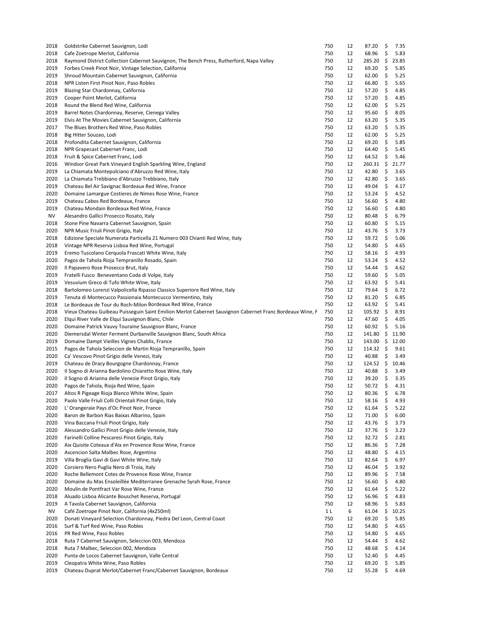| 2018 | Goldstrike Cabernet Sauvignon, Lodi                                                                      | 750 | 12 | 87.20         | Ş  | 7.35  |
|------|----------------------------------------------------------------------------------------------------------|-----|----|---------------|----|-------|
| 2018 | Cafe Zoetrope Merlot, California                                                                         | 750 | 12 | 68.96         | \$ | 5.83  |
| 2018 | Raymond District Collection Cabernet Sauvignon, The Bench Press, Rutherford, Napa Valley                 | 750 | 12 | 285.20        | \$ | 23.85 |
| 2019 | Forbes Creek Pinot Noir, Vintage Selection, California                                                   | 750 | 12 | 69.20         | \$ | 5.85  |
| 2019 | Shroud Mountain Cabernet Sauvignon, California                                                           | 750 | 12 | 62.00         | \$ | 5.25  |
| 2018 | NPR Listen First Pinot Noir, Paso Robles                                                                 | 750 | 12 | 66.80         | \$ | 5.65  |
| 2019 | Blazing Star Chardonnay, California                                                                      | 750 | 12 | 57.20         | \$ | 4.85  |
| 2019 | Cooper Point Merlot, California                                                                          | 750 | 12 | 57.20         | \$ | 4.85  |
|      |                                                                                                          |     |    |               |    |       |
| 2018 | Round the Blend Red Wine, California                                                                     | 750 | 12 | 62.00         | \$ | 5.25  |
| 2019 | Barrel Notes Chardonnay, Reserve, Cienega Valley                                                         | 750 | 12 | 95.60         | \$ | 8.05  |
| 2019 | Elvis At The Movies Cabernet Sauvignon, California                                                       | 750 | 12 | 63.20         | \$ | 5.35  |
| 2017 | The Blues Brothers Red Wine, Paso Robles                                                                 | 750 | 12 | 63.20         | \$ | 5.35  |
| 2018 | Big Hitter Souzao, Lodi                                                                                  | 750 | 12 | 62.00         | \$ | 5.25  |
| 2018 | Profondita Cabernet Sauvignon, California                                                                | 750 | 12 | 69.20         | \$ | 5.85  |
| 2018 | NPR Grapecast Cabernet Franc, Lodi                                                                       | 750 | 12 | 64.40         | \$ | 5.45  |
| 2018 | Fruit & Spice Cabernet Franc, Lodi                                                                       | 750 | 12 | 64.52         | \$ | 5.46  |
| 2016 | Windsor Great Park Vineyard English Sparkling Wine, England                                              | 750 | 12 | 260.31        | \$ | 21.77 |
| 2019 | La Chiamata Montepulciano d'Abruzzo Red Wine, Italy                                                      | 750 | 12 | 42.80         | \$ | 3.65  |
| 2020 |                                                                                                          | 750 | 12 | 42.80         |    | 3.65  |
|      | La Chiamata Trebbiano d'Abruzzo Trebbiano, Italy                                                         |     |    |               | \$ |       |
| 2019 | Chateau Bel Air Savignac Bordeaux Red Wine, France                                                       | 750 | 12 | 49.04         | \$ | 4.17  |
| 2020 | Domaine Lamargue Costieres de Nimes Rose Wine, France                                                    | 750 | 12 | 53.24         | \$ | 4.52  |
| 2019 | Chateau Cabos Red Bordeaux, France                                                                       | 750 | 12 | 56.60         | \$ | 4.80  |
| 2019 | Chateau Mondain Bordeaux Red Wine, France                                                                | 750 | 12 | 56.60         | \$ | 4.80  |
| NV   | Alesandro Gallici Prosecco Rosato, Italy                                                                 | 750 | 12 | 80.48         | \$ | 6.79  |
| 2018 | Stone Pine Navarra Cabernet Sauvignon, Spain                                                             | 750 | 12 | 60.80         | \$ | 5.15  |
| 2020 | NPR Music Friuli Pinot Grigio, Italy                                                                     | 750 | 12 | 43.76         | \$ | 3.73  |
|      |                                                                                                          |     |    |               | \$ |       |
| 2018 | Edizione Speciale Numerata Particella 21 Numero 003 Chianti Red Wine, Italy                              | 750 | 12 | 59.72         |    | 5.06  |
| 2018 | Vintage NPR Reserva Lisboa Red Wine, Portugal                                                            | 750 | 12 | 54.80         | \$ | 4.65  |
| 2019 | Eremo Tuscolano Cerquola Frascati White Wine, Italy                                                      | 750 | 12 | 58.16         | \$ | 4.93  |
| 2020 | Pagos de Tahola Rioja Tempranillo Rosado, Spain                                                          | 750 | 12 | 53.24         | \$ | 4.52  |
| 2020 | Il Papavero Rose Prosecco Brut, Italy                                                                    | 750 | 12 | 54.44         | \$ | 4.62  |
| 2019 | Fratelli Fusco Beneventano Coda di Volpe, Italy                                                          | 750 | 12 | 59.60         | \$ | 5.05  |
| 2019 | Vesuvium Greco di Tufo White Wine, Italy                                                                 | 750 | 12 | 63.92         | \$ | 5.41  |
| 2018 | Bartolomeo Lorenzi Valpolicella Ripasso Classico Superiore Red Wine, Italy                               | 750 | 12 | 79.64         | \$ | 6.72  |
|      |                                                                                                          |     |    |               |    |       |
| 2019 | Tenuta di Montecucco Passionaia Montecucco Vermentino, Italy                                             | 750 | 12 | 81.20         | \$ | 6.85  |
| 2018 | Le Bordeaux de Tour du Roch-Milon Bordeaux Red Wine, France                                              | 750 | 12 | 63.92         | \$ | 5.41  |
| 2018 | Vieux Chateau Guibeau Puisseguin Saint Emilion Merlot Cabernet Sauvignon Cabernet Franc Bordeaux Wine, F | 750 | 12 | 105.92        | \$ | 8.91  |
| 2020 | Elqui River Valle de Elqui Sauvignon Blanc, Chile                                                        | 750 | 12 | 47.60         | \$ | 4.05  |
| 2020 | Domaine Patrick Vauvy Touraine Sauvignon Blanc, France                                                   | 750 | 12 | 60.92         | \$ | 5.16  |
| 2020 | Diemersdal Winter Ferment Durbanville Sauvignon Blanc, South Africa                                      | 750 | 12 | 141.80        | \$ | 11.90 |
| 2019 | Domaine Dampt Vieilles Vignes Chablis, France                                                            | 750 | 12 | 143.00        | \$ | 12.00 |
| 2015 | Pagos de Tahola Seleccion de Martin Rioja Tempranillo, Spain                                             | 750 | 12 | 114.32        | \$ | 9.61  |
|      |                                                                                                          |     |    |               |    |       |
| 2020 | Ca' Vescovo Pinot Grigio delle Venezi, Italy                                                             | 750 | 12 | 40.88         | \$ | 3.49  |
| 2019 | Chateau de Dracy Bourgogne Chardonnay, France                                                            | 750 | 12 | $124.52 \div$ |    | 10.46 |
| 2020 | Il Sogno di Arianna Bardolino Chiaretto Rose Wine, Italy                                                 | 750 | 12 | 40.88         | \$ | 3.49  |
| 2020 | Il Sogno di Arianna delle Venezie Pinot Grigio, Italy                                                    | 750 | 12 | 39.20         | \$ | 3.35  |
| 2020 | Pagos de Tahola, Rioja Red Wine, Spain                                                                   | 750 | 12 | 50.72         | \$ | 4.31  |
| 2017 | Altos R Pigeage Rioja Blanco White Wine, Spain                                                           | 750 | 12 | 80.36         | \$ | 6.78  |
| 2020 | Paolo Valle Friuli Colli Orientali Pinot Grigio, Italy                                                   | 750 | 12 | 58.16         | \$ | 4.93  |
| 2020 | L' Orangeraie Pays d'Oc Pinot Noir, France                                                               | 750 | 12 | 61.64         | \$ | 5.22  |
| 2020 | Baron de Barbon Rias Baixas Albarino, Spain                                                              | 750 | 12 | 71.00         | \$ | 6.00  |
|      |                                                                                                          |     |    |               |    |       |
| 2020 | Vina Baccana Friuli Pinot Grigio, Italy                                                                  | 750 | 12 | 43.76         | \$ | 3.73  |
| 2020 | Alessandro Gallici Pinot Grigio delle Venezie, Italy                                                     | 750 | 12 | 37.76         | \$ | 3.23  |
| 2020 | Farinelli Colline Pescaresi Pinot Grigio, Italy                                                          | 750 | 12 | 32.72         | \$ | 2.81  |
| 2020 | Aix Quisite Coteaux d'Aix en Provence Rose Wine, France                                                  | 750 | 12 | 86.36         | \$ | 7.28  |
| 2020 | Ascencion Salta Malbec Rose, Argentina                                                                   | 750 | 12 | 48.80         | \$ | 4.15  |
| 2019 | Villa Broglia Gavi di Gavi White Wine, Italy                                                             | 750 | 12 | 82.64         | \$ | 6.97  |
| 2020 | Corsiero Nero Puglia Nero di Troia, Italy                                                                | 750 | 12 | 46.04         | \$ | 3.92  |
| 2020 | Roche Bellemont Cotes de Provence Rose Wine, France                                                      | 750 | 12 | 89.96         | \$ | 7.58  |
|      |                                                                                                          |     |    |               |    |       |
| 2020 | Domaine du Mas Ensoleillée Mediterranee Grenache Syrah Rose, France                                      | 750 | 12 | 56.60         | \$ | 4.80  |
| 2020 | Moulin de Pontfract Var Rose Wine, France                                                                | 750 | 12 | 61.64         | Ş  | 5.22  |
| 2018 | Aluado Lisboa Alicante Bouschet Reserva, Portugal                                                        | 750 | 12 | 56.96         | \$ | 4.83  |
| 2019 | A Tavola Cabernet Sauvignon, California                                                                  | 750 | 12 | 68.96         | \$ | 5.83  |
| NV   | Café Zoetrope Pinot Noir, California (4x250ml)                                                           | 1 L | 6  | 61.04         | \$ | 10.25 |
| 2020 |                                                                                                          | 750 | 12 | 69.20         | \$ | 5.85  |
| 2016 | Donati Vineyard Selection Chardonnay, Piedra Del Leon, Central Coast                                     |     |    |               |    |       |
|      |                                                                                                          |     |    |               |    |       |
|      | Surf & Turf Red Wine, Paso Robles                                                                        | 750 | 12 | 54.80         | \$ | 4.65  |
| 2016 | PR Red Wine, Paso Robles                                                                                 | 750 | 12 | 54.80         | \$ | 4.65  |
| 2018 | Ruta 7 Cabernet Sauvignon, Seleccion 003, Mendoza                                                        | 750 | 12 | 54.44         | \$ | 4.62  |
| 2018 | Ruta 7 Malbec, Seleccion 002, Mendoza                                                                    | 750 | 12 | 48.68         | \$ | 4.14  |
| 2020 | Punta de Locos Cabernet Sauvignon, Valle Central                                                         | 750 | 12 | 52.40         | \$ | 4.45  |
| 2019 | Cleopatra White Wine, Paso Robles                                                                        | 750 | 12 | 69.20         | \$ | 5.85  |
| 2019 | Chateau Duprat Merlot/Cabernet Franc/Cabernet Sauvignon, Bordeaux                                        | 750 | 12 | 55.28         | \$ | 4.69  |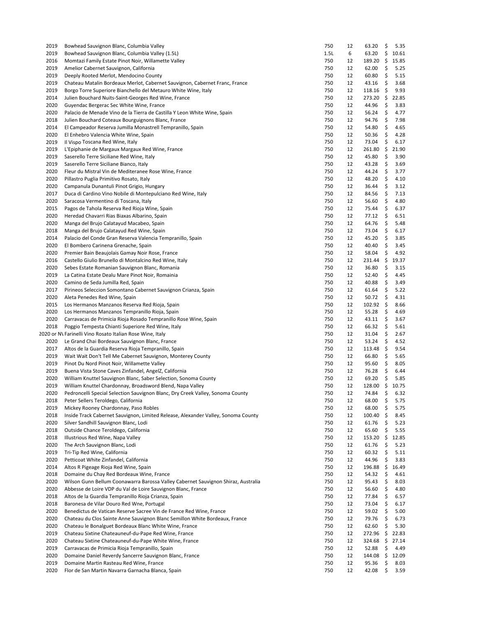| 2019 | Bowhead Sauvignon Blanc, Columbia Valley                                          | 750  | 12 | 63.20           | \$  | 5.35  |
|------|-----------------------------------------------------------------------------------|------|----|-----------------|-----|-------|
| 2019 | Bowhead Sauvignon Blanc, Columbia Valley (1.5L)                                   | 1.5L | 6  | 63.20           | \$  | 10.61 |
| 2016 | Momtazi Family Estate Pinot Noir, Willamette Valley                               | 750  | 12 | 189.20          | \$  | 15.85 |
| 2019 | Amelior Cabernet Sauvignon, California                                            | 750  | 12 | 62.00           | \$  | 5.25  |
| 2019 | Deeply Rooted Merlot, Mendocino County                                            | 750  | 12 | 60.80           | \$  | 5.15  |
| 2019 | Chateau Matalin Bordeaux Merlot, Cabernet Sauvignon, Cabernet Franc, France       | 750  | 12 | 43.16           | \$  | 3.68  |
| 2019 | Borgo Torre Superiore Bianchello del Metauro White Wine, Italy                    | 750  | 12 | 118.16          | \$  | 9.93  |
| 2014 | Julien Bouchard Nuits-Saint-Georges Red Wine, France                              | 750  | 12 | 273.20          | \$  | 22.85 |
| 2020 | Guyendac Bergerac Sec White Wine, France                                          | 750  | 12 | 44.96           | \$  | 3.83  |
| 2020 | Palacio de Menade Vino de la Tierra de Castilla Y Leon White Wine, Spain          | 750  | 12 | 56.24           | \$  | 4.77  |
| 2018 | Julien Bouchard Coteaux Bourguignons Blanc, France                                | 750  | 12 | 94.76           | \$  | 7.98  |
| 2014 | El Campeador Reserva Jumilla Monastrell Tempranillo, Spain                        | 750  | 12 | 54.80           | \$  | 4.65  |
| 2020 | El Enhebro Valencia White Wine, Spain                                             | 750  | 12 | 50.36           | \$  | 4.28  |
| 2019 | Il Vispo Toscana Red Wine, Italy                                                  | 750  | 12 | 73.04           | \$  | 6.17  |
| 2019 | L'Epiphanie de Margaux Margaux Red Wine, France                                   | 750  | 12 | 261.80          | \$  | 21.90 |
| 2019 | Saserello Terre Siciliane Red Wine, Italy                                         | 750  | 12 | 45.80           | \$  | 3.90  |
| 2019 | Saserello Terre Siciliane Bianco, Italy                                           | 750  | 12 | 43.28           | \$  | 3.69  |
| 2020 | Fleur du Mistral Vin de Mediteranee Rose Wine, France                             | 750  | 12 | 44.24           | \$  | 3.77  |
|      |                                                                                   | 750  |    |                 | \$  |       |
| 2020 | Pillastro Puglia Primitivo Rosato, Italy                                          |      | 12 | 48.20           |     | 4.10  |
| 2020 | Campanula Dunantuli Pinot Grigio, Hungary                                         | 750  | 12 | 36.44           | \$  | 3.12  |
| 2017 | Duca di Cardino Vino Nobile di Montepulciano Red Wine, Italy                      | 750  | 12 | 84.56           | \$  | 7.13  |
| 2020 | Saracosa Vermentino di Toscana, Italy                                             | 750  | 12 | 56.60           | -\$ | 4.80  |
| 2015 | Pagos de Tahola Reserva Red Rioja Wine, Spain                                     | 750  | 12 | 75.44           | \$  | 6.37  |
| 2020 | Heredad Chavarri Rias Biaxas Albarino, Spain                                      | 750  | 12 | 77.12           | \$  | 6.51  |
| 2020 | Manga del Brujo Calatayud Macabeo, Spain                                          | 750  | 12 | 64.76           | \$  | 5.48  |
| 2018 | Manga del Brujo Calatayud Red Wine, Spain                                         | 750  | 12 | 73.04           | \$  | 6.17  |
| 2014 | Palacio del Conde Gran Reserva Valencia Tempranillo, Spain                        | 750  | 12 | 45.20           | \$  | 3.85  |
| 2020 | El Bombero Carinena Grenache, Spain                                               | 750  | 12 | 40.40           | \$  | 3.45  |
| 2020 | Premier Bain Beaujolais Gamay Noir Rose, France                                   | 750  | 12 | 58.04           | \$  | 4.92  |
| 2016 | Castello Giulio Brunello di Montalcino Red Wine, Italy                            | 750  | 12 | 231.44          | \$  | 19.37 |
| 2020 | Sebes Estate Romanian Sauvignon Blanc, Romania                                    | 750  | 12 | 36.80           | \$  | 3.15  |
| 2019 | La Catina Estate Dealu Mare Pinot Noir, Romainia                                  | 750  | 12 | 52.40           | \$  | 4.45  |
| 2020 | Camino de Seda Jumilla Red, Spain                                                 | 750  | 12 | 40.88           | \$  | 3.49  |
| 2017 | Pirineos Seleccion Somontano Cabernet Sauvignon Crianza, Spain                    | 750  | 12 | 61.64           | \$  | 5.22  |
| 2020 | Aleta Penedes Red Wine, Spain                                                     | 750  | 12 | 50.72           | \$  | 4.31  |
| 2015 | Los Hermanos Manzanos Reserva Red Rioja, Spain                                    | 750  | 12 | 102.92          | \$  | 8.66  |
| 2020 | Los Hermanos Manzanos Tempranillo Rioja, Spain                                    | 750  | 12 | 55.28           | \$  | 4.69  |
|      |                                                                                   |      |    |                 |     |       |
| 2020 | Carravacas de Primicia Rioja Rosado Tempranillo Rose Wine, Spain                  | 750  | 12 | 43.11           | \$  | 3.67  |
| 2018 | Poggio Tempesta Chianti Superiore Red Wine, Italy                                 | 750  | 12 | 66.32           | \$  | 5.61  |
|      | 2020 or N\ Farinelli Vino Rosato Italian Rose Wine, Italy                         | 750  | 12 | 31.04           | \$  | 2.67  |
| 2020 | Le Grand Chai Bordeaux Sauvignon Blanc, France                                    | 750  | 12 | 53.24           | \$  | 4.52  |
| 2017 | Altos de la Guardia Reserva Rioja Tempranillo, Spain                              | 750  | 12 | 113.48          | -\$ | 9.54  |
| 2019 | Wait Wait Don't Tell Me Cabernet Sauvignon, Monterey County                       | 750  | 12 | 66.80           | \$  | 5.65  |
| 2019 | Pinot Du Nord Pinot Noir, Willamette Valley                                       | 750  | 12 | 95.60           | \$  | 8.05  |
| 2019 | Buena Vista Stone Caves Zinfandel, AngelZ, California                             | 750  | 12 | 76.28           | \$  | 6.44  |
| 2020 | William Knuttel Sauvignon Blanc, Saber Selection, Sonoma County                   | 750  | 12 | 69.20           | \$  | 5.85  |
| 2019 | William Knuttel Chardonnay, Broadsword Blend, Napa Valley                         | 750  | 12 | 128.00 \$ 10.75 |     |       |
| 2020 | Pedroncelli Special Selection Sauvignon Blanc, Dry Creek Valley, Sonoma County    | 750  | 12 | 74.84           | \$  | 6.32  |
| 2018 | Peter Sellers Teroldego, California                                               | 750  | 12 | 68.00           | \$  | 5.75  |
| 2019 | Mickey Rooney Chardonnay, Paso Robles                                             | 750  | 12 | 68.00           | \$  | 5.75  |
| 2018 | Inside Track Cabernet Sauvignon, Limited Release, Alexander Valley, Sonoma County | 750  | 12 | 100.40          | \$  | 8.45  |
| 2020 | Silver Sandhill Sauvignon Blanc, Lodi                                             | 750  | 12 | 61.76           | \$  | 5.23  |
| 2018 | Outside Chance Teroldego, California                                              | 750  | 12 | 65.60           | \$  | 5.55  |
| 2018 | Illustrious Red Wine, Napa Valley                                                 | 750  | 12 | 153.20          | \$  | 12.85 |
| 2020 | The Arch Sauvignon Blanc, Lodi                                                    | 750  | 12 | 61.76           | \$  | 5.23  |
| 2019 | Tri-Tip Red Wine, California                                                      | 750  | 12 | 60.32           | \$  | 5.11  |
| 2020 | Petticoat White Zinfandel, California                                             | 750  | 12 | 44.96           | \$  | 3.83  |
|      |                                                                                   |      | 12 |                 |     |       |
| 2014 | Altos R Pigeage Rioja Red Wine, Spain                                             | 750  |    | 196.88          | \$  | 16.49 |
| 2018 | Domaine du Chay Red Bordeaux Wine, France                                         | 750  | 12 | 54.32           | \$  | 4.61  |
| 2020 | Wilson Gunn Bellum Coonawarra Barossa Valley Cabernet Sauvignon Shiraz, Australia | 750  | 12 | 95.43           | \$  | 8.03  |
| 2020 | Abbesse de Loire VDP du Val de Loire Sauvignon Blanc, France                      | 750  | 12 | 56.60           | \$  | 4.80  |
| 2018 | Altos de la Guardia Tempranillo Rioja Crianza, Spain                              | 750  | 12 | 77.84           | \$  | 6.57  |
| 2018 | Baronesa de Vilar Douro Red Wne, Portugal                                         | 750  | 12 | 73.04           | \$  | 6.17  |
| 2020 | Benedictus de Vatican Reserve Sacree Vin de France Red Wine, France               | 750  | 12 | 59.02           | \$  | 5.00  |
| 2020 | Chateau du Clos Sainte Anne Sauvignon Blanc Semillon White Bordeaux, France       | 750  | 12 | 79.76           | \$  | 6.73  |
| 2020 | Chateau le Bonalguet Bordeaux Blanc White Wine, France                            | 750  | 12 | 62.60           | \$  | 5.30  |
| 2019 | Chateau Sixtine Chateauneuf-du-Pape Red Wine, France                              | 750  | 12 | 272.96          | \$  | 22.83 |
| 2020 | Chateau Sixtine Chateauneuf-du-Pape White Wine, France                            | 750  | 12 | 324.68          | \$  | 27.14 |
| 2019 | Carravacas de Primicia Rioja Tempranillo, Spain                                   | 750  | 12 | 52.88           | \$  | 4.49  |
| 2020 | Domaine Daniel Reverdy Sancerre Sauvignon Blanc, France                           | 750  | 12 | 144.08          | \$  | 12.09 |
| 2019 | Domaine Martin Rasteau Red Wine, France                                           | 750  | 12 | 95.36           | \$  | 8.03  |
| 2020 | Flor de San Martin Navarra Garnacha Blanca, Spain                                 | 750  | 12 | 42.08           | \$  | 3.59  |
|      |                                                                                   |      |    |                 |     |       |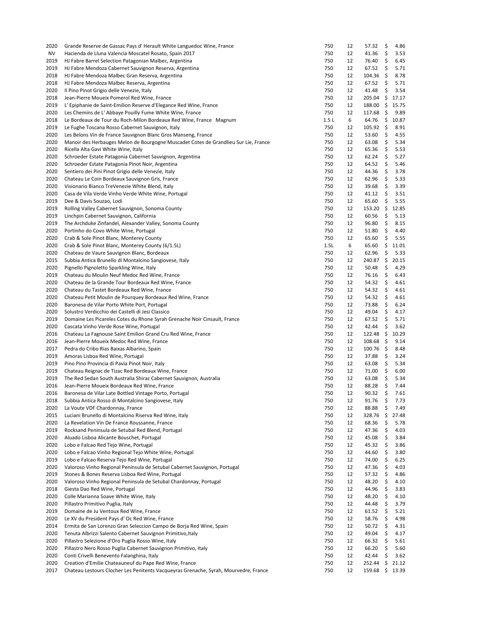| 2020 | Grande Reserve de Gassac Pays d' Herault White Languedoc Wine, France                | 750  | 12 | 57.32      | \$  | 4.86    |
|------|--------------------------------------------------------------------------------------|------|----|------------|-----|---------|
| ΝV   | Hacienda de Lluna Valencia Moscatel Rosato, Spain 2017                               | 750  | 12 | 41.36      | \$  | 3.53    |
| 2019 | HJ Fabre Barrel Selection Patagonian Malbec, Argentina                               | 750  | 12 | 76.40      | \$  | 6.45    |
| 2019 | HJ Fabre Mendoza Cabernet Sauvignon Reserva, Argentina                               | 750  | 12 | 67.52      | \$  | 5.71    |
| 2018 | HJ Fabre Mendoza Malbec Gran Reserva, Argentina                                      | 750  | 12 | 104.36     | \$  | 8.78    |
| 2018 | HJ Fabre Mendoza Malbec Reserva, Argentina                                           | 750  | 12 | 67.52      | \$  | 5.71    |
| 2020 | Il Pino Pinot Grigio delle Venezie, Italy                                            | 750  | 12 | 41.48      | \$  | 3.54    |
| 2018 | Jean-Pierre Moueix Pomerol Red Wine, France                                          | 750  | 12 | 205.04     | \$  | 17.17   |
| 2019 | L'Epiphanie de Saint-Emilion Reserve d'Elegance Red Wine, France                     | 750  | 12 | 188.00     | \$  | 15.75   |
| 2020 | Les Chemins de L' Abbaye Pouilly Fume White Wine, France                             | 750  | 12 | 117.68     | \$  | 9.89    |
| 2018 | Le Bordeaux de Tour du Roch-Milon Bordeaux Red Wine, France Magnum                   | 1.5L | 6  | 64.76      | \$  | 10.87   |
| 2019 | Le Fughe Toscana Rosso Cabernet Sauvignon, Italy                                     | 750  | 12 | 105.92     | \$  | 8.91    |
| 2020 | Les Belons Vin de France Sauvignon Blanc Gros Manseng, France                        | 750  | 12 | 53.60      | \$  | 4.55    |
| 2020 | Manoir des Herbauges Melon de Bourgogne Muscadet Cotes de Grandlieu Sur Lie, France  | 750  | 12 | 63.08      | \$  | 5.34    |
|      |                                                                                      |      | 12 |            | \$  |         |
| 2020 | Ricella Alta Gavi White Wine, Italy                                                  | 750  |    | 65.36      |     | 5.53    |
| 2020 | Schroeder Estate Patagonia Cabernet Sauvignon, Argentina                             | 750  | 12 | 62.24      | \$  | 5.27    |
| 2020 | Schroeder Estate Patagonia Pinot Noir, Argentina                                     | 750  | 12 | 64.52      | \$  | 5.46    |
| 2020 | Sentiero dei Pini Pinot Grigio delle Venezie, Italy                                  | 750  | 12 | 44.36      | \$  | 3.78    |
| 2020 | Chateau Le Coin Bordeaux Sauvignon Gris, France                                      | 750  | 12 | 62.96      | \$  | 5.33    |
| 2020 | Visionario Bianco TreVenezie White Blend, Italy                                      | 750  | 12 | 39.68      | \$  | 3.39    |
| 2020 | Casa de Vila Verde Vinho Verde White Wine, Portugal                                  | 750  | 12 | 41.12      | \$  | 3.51    |
| 2019 | Dee & Davis Souzao, Lodi                                                             | 750  | 12 | 65.60      | \$  | 5.55    |
| 2019 | Rolling Valley Cabernet Sauvignon, Sonoma County                                     | 750  | 12 | 153.20     | \$  | 12.85   |
| 2019 | Linchpin Cabernet Sauvignon, California                                              | 750  | 12 | 60.56      | \$  | 5.13    |
| 2019 | The Archduke Zinfandel, Alexander Valley, Sonoma County                              | 750  | 12 | 96.80      | \$  | 8.15    |
| 2020 | Portinho do Covo White Wine, Portugal                                                | 750  | 12 | 51.80      | \$  | 4.40    |
| 2020 | Crab & Sole Pinot Blanc, Monterey County                                             | 750  | 12 | 65.60      | \$  | 5.55    |
| 2020 | Crab & Sole Pinot Blanc, Monterey County (6/1.5L)                                    | 1.5L | 6  | 65.60      | \$  | 11.01   |
| 2020 | Chateau de Vaure Sauvignon Blanc, Bordeaux                                           | 750  | 12 | 62.96      | \$  | 5.33    |
| 2015 | Subbia Antica Brunello di Montalcino Sangiovese, Italy                               | 750  | 12 | 240.87     | \$  | 20.15   |
| 2020 | Pignello Pignoletto Sparkling Wine, Italy                                            | 750  | 12 | 50.48      | \$  | 4.29    |
| 2019 | Chateau du Moulin Neuf Medoc Red Wine, France                                        | 750  | 12 | 76.16      | \$  | 6.43    |
| 2020 | Chateau de la Grande Tour Bordeaux Red Wine, France                                  | 750  | 12 | 54.32      | \$  | 4.61    |
| 2020 | Chateau du Tastet Bordeaux Red Wine, France                                          | 750  | 12 | 54.32      | \$  | 4.61    |
| 2020 | Chateau Petit Moulin de Pourquey Bordeaux Red Wine, France                           | 750  | 12 | 54.32      | \$  | 4.61    |
| 2020 | Baronesa de Vilar Porto White Port, Portugal                                         | 750  | 12 | 73.88      | \$  | 6.24    |
| 2020 | Solustro Verdicchio dei Castelli di Jesi Classico                                    | 750  | 12 | 49.04      | \$  | 4.17    |
| 2019 | Domaine Les Picareles Cotes du Rhone Syrah Grenache Noir Cinsault, France            | 750  | 12 | 67.52      | \$  | 5.71    |
| 2020 | Cascata Vinho Verde Rose Wine, Portugal                                              | 750  | 12 | 42.44      | \$  | 3.62    |
| 2016 | Chateau La Fagnouse Saint Emilion Grand Cru Red Wine, France                         | 750  | 12 | 122.48     | \$  | 10.29   |
| 2016 | Jean-Pierre Moueix Medoc Red Wine, France                                            | 750  | 12 | 108.68     | \$  | 9.14    |
| 2017 | Pedra do Cribo Rias Baixas Albarino, Spain                                           | 750  | 12 | 100.76     | \$  | 8.48    |
|      |                                                                                      |      |    |            |     |         |
| 2019 | Amoras Lisboa Red Wine, Portugal                                                     | 750  | 12 | 37.88      | \$  | 3.24    |
| 2019 | Pino Pino Provincia di Pavia Pinot Noir, Italy                                       | 750  | 12 | 63.08      | \$  | 5.34    |
| 2019 | Chateau Reignac de Tizac Red Bordeaux Wine, France                                   | 750  | 12 | 71.00      | \$  | 6.00    |
| 2019 | The Red Sedan South Australia Shiraz Cabernet Sauvignon, Australia                   | 750  | 12 | 63.08      | \$  | 5.34    |
| 2016 | Jean-Pierre Moueix Bordeaux Red Wine, France                                         | 750  | 12 | 88.28      | \$  | 7.44    |
| 2016 | Baronesa de Vilar Late Bottled Vintage Porto, Portugal                               | 750  | 12 | $90.32$ \$ |     | 7.61    |
| 2018 | Subbia Antica Rosso di Montalcino Sangiovese, Italy                                  | 750  | 12 | 91.76      | \$  | 7.73    |
| 2020 | La Voute VDF Chardonnay, France                                                      | 750  | 12 | 88.88      | \$  | 7.49    |
| 2015 | Luciani Brunello di Montalcino Riserva Red Wine, Italy                               | 750  | 12 | 328.76     | \$  | 27.48   |
| 2020 | La Revelation Vin De France Roussanne, France                                        | 750  | 12 | 68.36      | \$. | 5.78    |
| 2019 | Rocksand Peninsula de Setubal Red Blend, Portugal                                    | 750  | 12 | 47.36      | \$  | 4.03    |
| 2020 | Aluado Lisboa Alicante Bouschet, Portugal                                            | 750  | 12 | 45.08      | \$  | 3.84    |
| 2020 | Lobo e Falcao Red Tejo Wine, Portugal                                                | 750  | 12 | 45.32      | \$  | 3.86    |
| 2020 | Lobo e Falcao Vinho Regional Tejo White Wine, Portugal                               | 750  | 12 | 44.60      | \$  | 3.80    |
| 2019 | Lobo e Falcao Reserva Tejo Red Wine, Portugal                                        | 750  | 12 | 74.00      | \$  | 6.25    |
| 2020 | Valoroso Vinho Regional Peninsula de Setubal Cabernet Sauvignon, Portugal            | 750  | 12 | 47.36      | \$  | 4.03    |
| 2019 | Stones & Bones Reserva Lisboa Red Wine, Portugal                                     | 750  | 12 | 57.32      | \$  | 4.86    |
| 2020 | Valoroso Vinho Regional Peninsula de Setubal Chardonnay, Portugal                    | 750  | 12 | 48.20      | \$  | 4.10    |
| 2018 | Giesta Dao Red Wine, Portugal                                                        | 750  | 12 | 44.96      | \$. | 3.83    |
| 2020 | Colle Marianna Soave White Wine, Italy                                               | 750  | 12 | 48.20      | \$  | 4.10    |
| 2020 | Pillastro Primitivo Puglia, Italy                                                    | 750  | 12 | 44.48      | \$  | 3.79    |
| 2019 | Domaine de Ju Ventoux Red Wine, France                                               | 750  | 12 | 61.52      | \$  | 5.21    |
| 2020 | Le XV du President Pays d' Oc Red Wine, France                                       | 750  | 12 | 58.76      | \$  | 4.98    |
| 2014 | Ermita de San Lorenzo Gran Seleccion Campo de Borja Red Wine, Spain                  | 750  | 12 | 50.72      | \$  | 4.31    |
| 2020 | Tenuta Albrizzi Salento Cabernet Sauvignon Primitivo, Italy                          | 750  | 12 | 49.04      | \$  | 4.17    |
| 2020 | Pillastro Selezione d'Oro Puglia Rosso Wine, Italy                                   | 750  | 12 | 66.32      | \$  | 5.61    |
| 2020 | Pillastro Nero Rosso Puglia Cabernet Sauvignon Primitivo, Italy                      | 750  | 12 | 66.20      | \$  | 5.60    |
| 2020 | Conti Crivelli Benevento Falanghina, Italy                                           | 750  | 12 | 42.44      | \$  | 3.62    |
| 2020 | Creation d'Emilie Chateauneuf du Pape Red Wine, France                               | 750  | 12 | 252.44     | \$  | 21.12   |
| 2017 | Chateau Lestours Clocher Les Penitents Vacqueyras Grenache, Syrah, Mourvedre, France | 750  | 12 | 159.68     |     | \$13.39 |
|      |                                                                                      |      |    |            |     |         |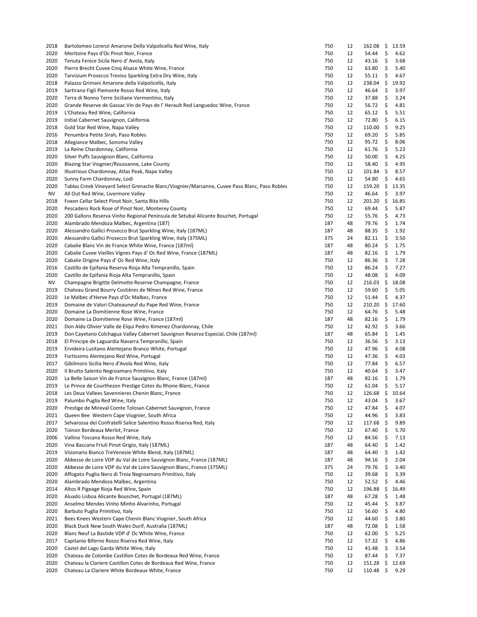| 2018 | Bartolomeo Lorenzi Amarone Della Valpolicella Red Wine, Italy                                | 750 | 12 | 162.08 | - \$ | 13.59 |
|------|----------------------------------------------------------------------------------------------|-----|----|--------|------|-------|
| 2020 | Meritoire Pays d'Oc Pinot Noir, France                                                       | 750 | 12 | 54.44  | \$   | 4.62  |
| 2020 | Tenuta Fenice Sicila Nero d'Avola, Italy                                                     | 750 | 12 | 43.16  | \$   | 3.68  |
| 2020 | Pierre Brecht Cuvee Cinq Alsace White Wine, France                                           | 750 | 12 | 63.80  | \$   | 5.40  |
| 2020 | Tarvisium Prosecco Treviso Sparkling Extra Dry Wine, Italy                                   | 750 | 12 | 55.11  | \$   | 4.67  |
| 2018 | Palazzo Grimani Amarone della Valpolicella, Italy                                            | 750 | 12 | 238.04 | \$   | 19.92 |
| 2019 | Sartirano Figli Piemonte Rosso Red Wine, Italy                                               | 750 | 12 | 46.64  | \$   | 3.97  |
| 2020 | Terra di Nonno Terre Siciliane Vermentino, Italy                                             | 750 | 12 | 37.88  | \$   | 3.24  |
| 2020 | Grande Reserve de Gassac Vin de Pays de l'Herault Red Languedoc Wine, France                 | 750 | 12 | 56.72  | \$   | 4.81  |
| 2019 | L'Chateau Red Wine, California                                                               | 750 | 12 | 65.12  | \$   | 5.51  |
| 2019 | Initial Cabernet Sauvignon, California                                                       | 750 | 12 | 72.80  | \$   | 6.15  |
| 2018 | Gold Star Red Wine, Napa Valley                                                              | 750 | 12 | 110.00 | \$   | 9.25  |
| 2016 | Penumbra Petite Sirah, Paso Robles                                                           | 750 | 12 | 69.20  | \$   | 5.85  |
| 2018 | Allegiance Malbec, Sonoma Valley                                                             | 750 | 12 | 95.72  | \$   | 8.06  |
| 2019 | La Reine Chardonnay, California                                                              | 750 | 12 | 61.76  | \$   | 5.23  |
| 2020 |                                                                                              | 750 | 12 | 50.00  | \$   | 4.25  |
|      | Silver Puffs Sauvignon Blanc, California                                                     |     |    |        |      |       |
| 2020 | Blazing Star Viognier/Roussanne, Lake County                                                 | 750 | 12 | 58.40  | \$   | 4.95  |
| 2020 | Illustrious Chardonnay, Atlas Peak, Napa Valley                                              | 750 | 12 | 101.84 | \$   | 8.57  |
| 2020 | Sunny Farm Chardonnay, Lodi                                                                  | 750 | 12 | 54.80  | \$   | 4.65  |
| 2020 | Tablas Creek Vineyard Select Grenache Blanc/Viognier/Marsanne, Cuvee Paso Blanc, Paso Robles | 750 | 12 | 159.20 | \$   | 13.35 |
| NV   | All Out Red Wine, Livermore Valley                                                           | 750 | 12 | 46.64  | \$   | 3.97  |
| 2018 | Foxen Cellar Select Pinot Noir, Santa Rita Hills                                             | 750 | 12 | 201.20 | \$   | 16.85 |
| 2020 | Pescadero Rock Rose of Pinot Noir, Monterey County                                           | 750 | 12 | 69.44  | \$   | 5.87  |
| 2020 | 200 Gallons Reserva Vinho Regional Peninsula de Setubal Alicante Bouchet, Portugal           | 750 | 12 | 55.76  | \$   | 4.73  |
| 2020 | Alambrado Mendoza Malbec, Argentina (187)                                                    | 187 | 48 | 79.76  | \$   | 1.74  |
| 2020 | Alessandro Gallici Prosecco Brut Sparkling Wine, Italy (187ML)                               | 187 | 48 | 88.35  | \$   | 1.92  |
| 2020 | Alessandro Gallici Prosecco Brut Sparkling Wine, Italy (375ML)                               | 375 | 24 | 82.11  | \$   | 3.50  |
| 2020 | Cabalie Blanc Vin de France White Wine, France (187ml)                                       | 187 | 48 | 80.24  | \$   | 1.75  |
| 2020 | Cabalie Cuvee Vieilles Vignes Pays d' Oc Red Wine, France (187ML)                            | 187 | 48 | 82.16  | \$   | 1.79  |
| 2020 | Cabalie Origine Pays d' Oc Red Wine, Italy                                                   | 750 | 12 | 86.36  | \$   | 7.28  |
| 2016 | Castillo de Epifania Reserva Rioja Alta Tempranillo, Spain                                   | 750 | 12 | 86.24  | \$   | 7.27  |
| 2020 | Castillo de Epifania Rioja Alta Tempranillo, Spain                                           | 750 | 12 | 48.08  | \$   | 4.09  |
| NV   | Champagne Brigitte Delmotte Reserve Champagne, France                                        | 750 | 12 | 216.03 | \$   | 18.08 |
| 2019 | Chateau Grand Bourry Costières de Nîmes Red Wine, France                                     | 750 | 12 | 59.60  | \$   | 5.05  |
| 2020 | Le Malbec d'Herve Pays d'Oc Malbec, France                                                   | 750 | 12 | 51.44  | \$   | 4.37  |
| 2019 | Domaine de Valori Chateauneuf du Pape Red Wine, France                                       | 750 | 12 | 210.20 | \$   | 17.60 |
| 2020 | Domaine La Domitienne Rose Wine, France                                                      | 750 | 12 | 64.76  | \$   | 5.48  |
|      |                                                                                              |     |    |        |      |       |
| 2020 | Domaine La Domitienne Rose Wine, France (187ml)                                              | 187 | 48 | 82.16  | \$   | 1.79  |
| 2021 | Don Aldo Olivier Valle de Elqui Pedro Ximenez Chardonnay, Chile                              | 750 | 12 | 42.92  | \$   | 3.66  |
| 2019 | Don Cayetano Colchagua Valley Cabernet Sauvignon Reserva Especial, Chile (187ml)             | 187 | 48 | 65.84  | \$   | 1.45  |
| 2018 | El Principe de Laguardia Navarra Tempranillo, Spain                                          | 750 | 12 | 36.56  | \$   | 3.13  |
| 2019 | Ervideira Lusitano Alentejano Branco White, Portugal                                         | 750 | 12 | 47.96  | \$   | 4.08  |
| 2019 | Fortissimo Alentejano Red Wine, Portugal                                                     | 750 | 12 | 47.36  | \$   | 4.03  |
| 2017 | Gibilmoro Sicilia Nero d'Avola Red Wine, Italy                                               | 750 | 12 | 77.84  | \$   | 6.57  |
| 2020 | Il Brutto Salento Negroamaro Primitivo, Italy                                                | 750 | 12 | 40.64  | \$   | 3.47  |
| 2020 | La Belle Saison Vin de France Sauvignon Blanc, France (187ml)                                | 187 | 48 | 82.16  | \$   | 1.79  |
| 2019 | Le Prince de Courthezon Prestige Cotes du Rhone Blanc, France                                | 750 | 12 | 61.04  | \$   | 5.17  |
| 2018 | Les Deux Vallees Savennieres Chenin Blanc, France                                            | 750 | 12 | 126.68 | \$   | 10.64 |
| 2019 | Palumbo Puglia Red Wine, Italy                                                               | 750 | 12 | 43.04  | \$   | 3.67  |
| 2020 | Prestige de Mireval Comte Tolosan Cabernet Sauvignon, France                                 | 750 | 12 | 47.84  | \$   | 4.07  |
| 2021 | Queen Bee Western Cape Viognier, South Africa                                                | 750 | 12 | 44.96  | \$   | 3.83  |
| 2017 | Selvarossa dei Confratelli Salice Salentino Rosso Riserva Red, Italy                         | 750 | 12 | 117.68 | \$   | 9.89  |
| 2020 | Toinon Bordeaux Merlot, France                                                               | 750 | 12 | 67.40  | \$   | 5.70  |
| 2006 | Vallino Toscana Rosso Red Wine, Italy                                                        | 750 | 12 | 84.56  | \$   | 7.13  |
| 2020 | Vina Baccana Friuli Pinot Grigio, Italy (187ML)                                              | 187 | 48 | 64.40  | \$   | 1.42  |
| 2019 | Visionario Bianco TreVenezie White Blend, Italy (187ML)                                      | 187 | 48 | 64.40  | \$   | 1.42  |
| 2020 | Abbesse de Loire VDP du Val de Loire Sauvignon Blanc, France (187ML)                         | 187 | 48 | 94.16  | \$   | 2.04  |
| 2020 | Abbesse de Loire VDP du Val de Loire Sauvignon Blanc, France (375ML)                         | 375 | 24 | 79.76  | \$   | 3.40  |
| 2020 | Affogato Puglia Nero di Troia Negroamaro Primitivo, Italy                                    | 750 | 12 | 39.68  | \$   | 3.39  |
| 2020 | Alambrado Mendoza Malbec, Argentina                                                          | 750 | 12 | 52.52  | \$   | 4.46  |
| 2014 | Altos R Pigeage Rioja Red Wine, Spain                                                        | 750 | 12 | 196.88 | \$   | 16.49 |
| 2020 | Aluado Lisboa Alicante Bouschet, Portugal (187ML)                                            | 187 | 48 | 67.28  | \$   | 1.48  |
| 2020 | Anselmo Mendes Vinho Minho Alvarinho, Portugal                                               | 750 | 12 | 45.44  | \$   | 3.87  |
|      |                                                                                              |     |    |        |      |       |
| 2020 | Barbuto Puglia Primitivo, Italy                                                              | 750 | 12 | 56.60  | \$   | 4.80  |
| 2021 | Bees Knees Western Cape Chenin Blanc Viognier, South Africa                                  | 750 | 12 | 44.60  | \$   | 3.80  |
| 2020 | Black Duck New South Wales Durif, Australia (187ML)                                          | 187 | 48 | 72.08  | \$   | 1.58  |
| 2020 | Blanc Neuf La Bastide VDP d' Oc White Wine, France                                           | 750 | 12 | 62.00  | \$   | 5.25  |
| 2017 | Capitanio Biferno Rosso Riserva Red Wine, Italy                                              | 750 | 12 | 57.32  | \$   | 4.86  |
| 2020 | Castel del Lago Garda White Wine, Italy                                                      | 750 | 12 | 41.48  | \$   | 3.54  |
| 2020 | Chateau de Colombe Castillon Cotes de Bordeaux Red Wine, France                              | 750 | 12 | 87.44  | \$   | 7.37  |
| 2020 | Chateau la Clariere Castillon Cotes de Bordeaux Red Wine, France                             | 750 | 12 | 151.28 | \$   | 12.69 |
| 2020 | Chateau La Clariere White Bordeaux White, France                                             | 750 | 12 | 110.48 | \$   | 9.29  |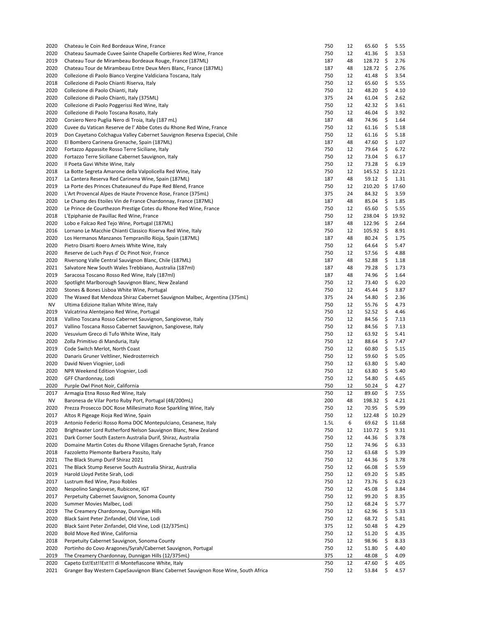| 2020<br>2020 | Chateau le Coin Red Bordeaux Wine, France                                                                                                  | 750        | 12       | 65.60             | \$       | 5.55         |
|--------------|--------------------------------------------------------------------------------------------------------------------------------------------|------------|----------|-------------------|----------|--------------|
|              | Chateau Saumade Cuvee Sainte Chapelle Corbieres Red Wine, France                                                                           | 750        | 12       | 41.36             | \$       | 3.53         |
|              |                                                                                                                                            |            |          |                   |          |              |
| 2019         | Chateau Tour de Mirambeau Bordeaux Rouge, France (187ML)                                                                                   | 187        | 48       | $128.72 \quad$ \$ |          | 2.76         |
| 2020         | Chateau Tour de Mirambeau Entre Deux Mers Blanc, France (187ML)                                                                            | 187        | 48       | 128.72 \$         |          | 2.76         |
| 2020         | Collezione di Paolo Bianco Vergine Valdiciana Toscana, Italy                                                                               | 750        | 12       | 41.48             | \$       | 3.54         |
| 2018         | Collezione di Paolo Chianti Riserva, Italy                                                                                                 | 750        | 12       | 65.60             | \$       | 5.55         |
|              |                                                                                                                                            |            |          |                   |          |              |
| 2020         | Collezione di Paolo Chianti, Italy                                                                                                         | 750        | 12       | 48.20             | \$       | 4.10         |
| 2020         | Collezione di Paolo Chianti, Italy (375ML)                                                                                                 | 375        | 24       | 61.04             | \$       | 2.62         |
| 2020         | Collezione di Paolo Poggerissi Red Wine, Italy                                                                                             | 750        | 12       | 42.32             | \$       | 3.61         |
|              |                                                                                                                                            |            |          |                   |          |              |
| 2020         | Collezione di Paolo Toscana Rosato, Italy                                                                                                  | 750        | 12       | 46.04             | \$       | 3.92         |
| 2020         | Corsiero Nero Puglia Nero di Troia, Italy (187 mL)                                                                                         | 187        | 48       | 74.96             | \$       | 1.64         |
| 2020         | Cuvee du Vatican Reserve de l'Abbe Cotes du Rhone Red Wine, France                                                                         | 750        | 12       | 61.16             | \$       | 5.18         |
| 2019         | Don Cayetano Colchagua Valley Cabernet Sauvignon Reserva Especial, Chile                                                                   | 750        | 12       | 61.16             | \$       | 5.18         |
|              |                                                                                                                                            |            |          |                   |          |              |
| 2020         | El Bombero Carinena Grenache, Spain (187ML)                                                                                                | 187        | 48       | 47.60             | \$       | 1.07         |
| 2020         | Fortazzo Appassite Rosso Terre Siciliane, Italy                                                                                            | 750        | 12       | 79.64             | \$       | 6.72         |
| 2020         | Fortazzo Terre Siciliane Cabernet Sauvignon, Italy                                                                                         | 750        | 12       | 73.04             | \$       | 6.17         |
|              |                                                                                                                                            |            |          |                   |          |              |
| 2020         | Il Poeta Gavi White Wine, Italy                                                                                                            | 750        | 12       | 73.28             | \$       | 6.19         |
| 2018         | La Botte Segreta Amarone della Valpolicella Red Wine, Italy                                                                                | 750        | 12       | $145.52 \div$     |          | 12.21        |
| 2017         | La Cantera Reserva Red Carinena Wine, Spain (187ML)                                                                                        | 187        | 48       | 59.12             | \$       | 1.31         |
| 2019         | La Porte des Princes Chateauneuf du Pape Red Blend, France                                                                                 | 750        | 12       | 210.20            | \$       | 17.60        |
|              |                                                                                                                                            |            |          |                   |          |              |
| 2020         | L'Art Provencal Alpes de Haute Provence Rose, France (375mL)                                                                               | 375        | 24       | 84.32             | \$       | 3.59         |
| 2020         | Le Champ des Etoiles Vin de France Chardonnay, France (187ML)                                                                              | 187        | 48       | 85.04             | \$       | 1.85         |
| 2020         | Le Prince de Courthezon Prestige Cotes du Rhone Red Wine, France                                                                           | 750        | 12       | 65.60             | \$       | 5.55         |
|              |                                                                                                                                            |            |          |                   |          |              |
| 2018         | L'Epiphanie de Pauillac Red Wine, France                                                                                                   | 750        | 12       | 238.04 \$         |          | 19.92        |
| 2020         | Lobo e Falcao Red Tejo Wine, Portugal (187ML)                                                                                              | 187        | 48       | $122.96 \quad$ \$ |          | 2.64         |
| 2016         | Lornano Le Macchie Chianti Classico Riserva Red Wine, Italy                                                                                | 750        | 12       | $105.92 \quad$ \$ |          | 8.91         |
| 2020         | Los Hermanos Manzanos Tempranillo Rioja, Spain (187ML)                                                                                     | 187        | 48       | 80.24             | \$       | 1.75         |
|              |                                                                                                                                            |            |          |                   |          |              |
| 2020         | Pietro Disarti Roero Arneis White Wine, Italy                                                                                              | 750        | 12       | 64.64             | \$       | 5.47         |
| 2020         | Reserve de Luch Pays d' Oc Pinot Noir, France                                                                                              | 750        | 12       | 57.56             | \$       | 4.88         |
| 2020         | Riversong Valle Central Sauvignon Blanc, Chile (187ML)                                                                                     | 187        | 48       | 52.88             | -Ş       | 1.18         |
|              |                                                                                                                                            |            |          |                   |          |              |
| 2021         | Salvatore New South Wales Trebbiano, Australia (187ml)                                                                                     | 187        | 48       | 79.28             | \$       | 1.73         |
| 2019         | Saracosa Toscano Rosso Red Wine, Italy (187ml)                                                                                             | 187        | 48       | 74.96             | \$       | 1.64         |
| 2020         | Spotlight Marlborough Sauvignon Blanc, New Zealand                                                                                         | 750        | 12       | 73.40             | \$       | 6.20         |
| 2020         | Stones & Bones Lisboa White Wine, Portugal                                                                                                 | 750        | 12       | 45.44             | \$       | 3.87         |
|              |                                                                                                                                            |            |          |                   |          |              |
| 2020         | The Waxed Bat Mendoza Shiraz Cabernet Sauvignon Malbec, Argentina (375mL)                                                                  | 375        | 24       | 54.80             | \$       | 2.36         |
| NV           | Ultima Edizione Italian White Wine, Italy                                                                                                  | 750        | 12       | 55.76             | \$       | 4.73         |
| 2019         | Valcatrina Alentejano Red Wine, Portugal                                                                                                   | 750        | 12       | 52.52             | \$       | 4.46         |
|              |                                                                                                                                            |            |          |                   |          |              |
| 2018         | Vallino Toscana Rosso Cabernet Sauvignon, Sangiovese, Italy                                                                                | 750        | 12       | 84.56             | \$       | 7.13         |
| 2017         | Vallino Toscana Rosso Cabernet Sauvignon, Sangiovese, Italy                                                                                | 750        | 12       | 84.56             | \$       | 7.13         |
| 2020         | Vesuvium Greco di Tufo White Wine, Italy                                                                                                   | 750        | 12       | 63.92             | \$       | 5.41         |
| 2020         | Zolla Primitivo di Manduria, Italy                                                                                                         |            |          |                   |          |              |
|              |                                                                                                                                            |            |          |                   |          |              |
|              |                                                                                                                                            | 750        | 12       | 88.64             | \$       | 7.47         |
| 2019         | Code Switch Merlot, North Coast                                                                                                            | 750        | 12       | 60.80             | \$       | 5.15         |
| 2020         | Danaris Gruner Veltliner, Niedrosterreich                                                                                                  | 750        | 12       | 59.60             | \$       | 5.05         |
|              |                                                                                                                                            |            |          |                   |          |              |
| 2020         | David Niven Viognier, Lodi                                                                                                                 | 750        | 12       | 63.80             | \$       | 5.40         |
| 2020         | NPR Weekend Edition Viognier, Lodi                                                                                                         | 750        | 12       | 63.80             | - \$     | 5.40         |
| 2020         | GFF Chardonnay, Lodi                                                                                                                       | 750        | 12       | 54.80             | \$       | 4.65         |
| 2020         |                                                                                                                                            | 750        | 12       | 50.24             |          |              |
|              | Purple Owl Pinot Noir, California                                                                                                          |            |          |                   | \$       | 4.27         |
| 2017         | Armagia Etna Rosso Red Wine, Italy                                                                                                         | 750        | 12       | 89.60 \$          |          | 7.55         |
| ΝV           | Baronesa de Vilar Porto Ruby Port, Portugal (48/200mL)                                                                                     | 200        | 48       | 198.32            | \$       | 4.21         |
| 2020         | Prezza Prosecco DOC Rose Millesimato Rose Sparkling Wine, Italy                                                                            | 750        | 12       | 70.95             | \$       | 5.99         |
|              |                                                                                                                                            |            |          |                   |          |              |
| 2017         | Altos R Pigeage Rioja Red Wine, Spain                                                                                                      | 750        | 12       | 122.48            | \$       | 10.29        |
| 2019         | Antonio Federici Rosso Roma DOC Montepulciano, Cesanese, Italy                                                                             | 1.5L       | 6        | 69.62             | \$       | 11.68        |
| 2020         | Brightwater Lord Rutherford Nelson Sauvignon Blanc, New Zealand                                                                            | 750        | 12       | 110.72            | \$       | 9.31         |
|              | Dark Corner South Eastern Australia Durif, Shiraz, Australia                                                                               |            |          |                   |          |              |
| 2021         |                                                                                                                                            | 750        | 12       | 44.36             | \$       | 3.78         |
| 2020         | Domaine Martin Cotes du Rhone Villages Grenache Syrah, France                                                                              | 750        | 12       | 74.96             | \$       | 6.33         |
| 2018         | Fazzoletto Plemonte Barbera Passito, Italy                                                                                                 | 750        | 12       | 63.68             | \$       | 5.39         |
| 2021         | The Black Stump Durif Shiraz 2021                                                                                                          | 750        | 12       | 44.36             | \$       | 3.78         |
|              |                                                                                                                                            |            |          |                   |          |              |
| 2021         | The Black Stump Reserve South Australia Shiraz, Australia                                                                                  | 750        | 12       | 66.08             | \$       | 5.59         |
| 2019         | Harold Lloyd Petite Sirah, Lodi                                                                                                            | 750        | 12       | 69.20             | \$       | 5.85         |
| 2017         | Lustrum Red Wine, Paso Robles                                                                                                              | 750        | 12       | 73.76             | \$       | 6.23         |
|              | Nespolino Sangiovese, Rubicone, IGT                                                                                                        |            |          |                   |          |              |
| 2020         |                                                                                                                                            | 750        | 12       | 45.08             | \$.      | 3.84         |
| 2017         | Perpetuity Cabernet Sauvignon, Sonoma County                                                                                               | 750        | 12       | 99.20             | \$       | 8.35         |
| 2020         | Summer Movies Malbec, Lodi                                                                                                                 | 750        | 12       | 68.24             | \$       | 5.77         |
| 2019         | The Creamery Chardonnay, Dunnigan Hills                                                                                                    | 750        | 12       |                   | \$       |              |
|              |                                                                                                                                            |            |          | 62.96             |          | 5.33         |
| 2020         | Black Saint Peter Zinfandel, Old Vine, Lodi                                                                                                | 750        | 12       | 68.72             | \$       | 5.81         |
| 2020         | Black Saint Peter Zinfandel, Old Vine, Lodi (12/375mL)                                                                                     | 375        | 12       | 50.48             | \$       | 4.29         |
| 2020         | Bold Move Red Wine, California                                                                                                             | 750        | 12       | 51.20             | \$       | 4.35         |
|              |                                                                                                                                            |            |          |                   |          |              |
| 2018         | Perpetuity Cabernet Sauvignon, Sonoma County                                                                                               | 750        | 12       | 98.96             | \$       | 8.33         |
| 2020         | Portinho do Covo Aragones/Syrah/Cabernet Sauvignon, Portugal                                                                               | 750        | 12       | 51.80             | \$       | 4.40         |
| 2019         | The Creamery Chardonnay, Dunnigan Hills (12/375mL)                                                                                         | 375        | 12       | 48.08             | \$       | 4.09         |
|              |                                                                                                                                            |            |          |                   |          |              |
| 2020<br>2021 | Capeto Est!Est!!Est!!! di Montefiascone White, Italy<br>Granger Bay Western CapeSauvignon Blanc Cabernet Sauvignon Rose Wine, South Africa | 750<br>750 | 12<br>12 | 47.60<br>53.84    | \$<br>\$ | 4.05<br>4.57 |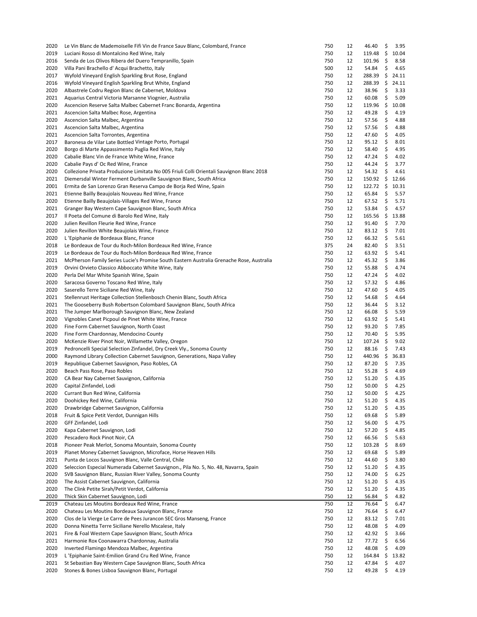|              | Le Vin Blanc de Mademoiselle Fifi Vin de France Sauv Blanc, Colombard, France                                  | 750        | 12       | 46.40            | \$       | 3.95         |
|--------------|----------------------------------------------------------------------------------------------------------------|------------|----------|------------------|----------|--------------|
| 2019         | Luciani Rosso di Montalcino Red Wine, Italy                                                                    | 750        | 12       | 119.48 \$        |          | 10.04        |
| 2016         | Senda de Los Olivos Ribera del Duero Tempranillo, Spain                                                        | 750        | 12       | $101.96$ \$      |          | 8.58         |
|              |                                                                                                                |            |          |                  |          |              |
| 2020         | Villa Pani Brachello d' Acqui Brachetto, Italy                                                                 | 500        | 12       | 54.84            | \$       | 4.65         |
| 2017         | Wyfold Vineyard English Sparkling Brut Rose, England                                                           | 750        | 12       | 288.39 \$        |          | 24.11        |
| 2016         | Wyfold Vineyard English Sparkling Brut White, England                                                          | 750        | 12       | 288.39           |          | \$24.11      |
| 2020         | Albastrele Codru Region Blanc de Cabernet, Moldova                                                             | 750        | 12       | 38.96            | \$       | 3.33         |
| 2021         | Aquarius Central Victoria Marsanne Viognier, Australia                                                         | 750        | 12       | 60.08            | \$       | 5.09         |
| 2020         | Ascencion Reserve Salta Malbec Cabernet Franc Bonarda, Argentina                                               | 750        | 12       | 119.96           | - \$     | 10.08        |
|              |                                                                                                                |            |          |                  |          |              |
| 2021         | Ascencion Salta Malbec Rose, Argentina                                                                         | 750        | 12       | 49.28            | \$       | 4.19         |
| 2020         | Ascencion Salta Malbec, Argentina                                                                              | 750        | 12       | 57.56            | -\$      | 4.88         |
| 2021         | Ascencion Salta Malbec, Argentina                                                                              | 750        | 12       | 57.56            | \$       | 4.88         |
| 2021         | Ascencion Salta Torrontes, Argentina                                                                           | 750        | 12       | 47.60            | \$       | 4.05         |
| 2017         | Baronesa de Vilar Late Bottled Vintage Porto, Portugal                                                         | 750        | 12       | 95.12            | \$       | 8.01         |
| 2020         | Borgo di Marte Appassimento Puglia Red Wine, Italy                                                             | 750        | 12       | 58.40            | \$       | 4.95         |
|              |                                                                                                                | 750        |          |                  |          |              |
| 2020         | Cabalie Blanc Vin de France White Wine, France                                                                 |            | 12       | 47.24            | -\$      | 4.02         |
| 2020         | Cabalie Pays d' Oc Red Wine, France                                                                            | 750        | 12       | 44.24            | -\$      | 3.77         |
| 2020         | Collezione Privata Produzione Limitata No 005 Friuli Colli Orientali Sauvignon Blanc 2018                      | 750        | 12       | 54.32            | \$       | 4.61         |
| 2021         | Diemersdal Winter Ferment Durbanville Sauvignon Blanc, South Africa                                            | 750        | 12       | $150.92 \div$    |          | 12.66        |
| 2001         | Ermita de San Lorenzo Gran Reserva Campo de Borja Red Wine, Spain                                              | 750        | 12       | $122.72 \div$    |          | 10.31        |
| 2021         | Etienne Bailly Beaujolais Nouveau Red Wine, France                                                             | 750        | 12       | 65.84            | \$       | 5.57         |
|              |                                                                                                                |            |          |                  |          |              |
| 2020         | Etienne Bailly Beaujolais-Villages Red Wine, France                                                            | 750        | 12       | 67.52            | -\$      | 5.71         |
| 2021         | Granger Bay Western Cape Sauvignon Blanc, South Africa                                                         | 750        | 12       | 53.84            | \$       | 4.57         |
| 2017         | Il Poeta del Comune di Barolo Red Wine, Italy                                                                  | 750        | 12       | $165.56 \quad $$ |          | 13.88        |
| 2020         | Julien Revillon Fleurie Red Wine, France                                                                       | 750        | 12       | 91.40            | \$       | 7.70         |
| 2020         | Julien Revillon White Beaujolais Wine, France                                                                  | 750        | 12       | 83.12            | \$       | 7.01         |
|              |                                                                                                                |            |          |                  |          |              |
| 2020         | L'Epiphanie de Bordeaux Blanc, France                                                                          | 750        | 12       | 66.32            | \$       | 5.61         |
| 2018         | Le Bordeaux de Tour du Roch-Milon Bordeaux Red Wine, France                                                    | 375        | 24       | 82.40            | \$       | 3.51         |
| 2019         | Le Bordeaux de Tour du Roch-Milon Bordeaux Red Wine, France                                                    | 750        | 12       | 63.92            | \$       | 5.41         |
| 2021         | McPherson Family Series Lucie's Promise South Eastern Australia Grenache Rose, Australia                       | 750        | 12       | 45.32            | -\$      | 3.86         |
| 2019         | Orvini Orvieto Classico Abboccato White Wine, Italy                                                            | 750        | 12       | 55.88            | \$       | 4.74         |
| 2020         | Perla Del Mar White Spanish Wine, Spain                                                                        | 750        | 12       | 47.24            | \$       | 4.02         |
|              |                                                                                                                |            |          |                  |          |              |
| 2020         | Saracosa Governo Toscano Red Wine, Italy                                                                       | 750        | 12       | 57.32            | \$       | 4.86         |
| 2020         | Saserello Terre Siciliane Red Wine, Italy                                                                      | 750        | 12       | 47.60            | \$       | 4.05         |
| 2021         | Stellenrust Heritage Collection Stellenbosch Chenin Blanc, South Africa                                        | 750        | 12       | 54.68            | \$       | 4.64         |
| 2021         | The Gooseberry Bush Robertson Colombard Sauvignon Blanc, South Africa                                          | 750        | 12       | 36.44            | -\$      | 3.12         |
| 2021         | The Jumper Marlborough Sauvignon Blanc, New Zealand                                                            | 750        | 12       | 66.08            | \$       | 5.59         |
|              |                                                                                                                |            |          |                  |          |              |
| 2020         | Vignobles Canet Picpoul de Pinet White Wine, France                                                            | 750        | 12       | 63.92            | \$       | 5.41         |
| 2020         | Fine Form Cabernet Sauvignon, North Coast                                                                      | 750        | 12       | 93.20            | \$       | 7.85         |
| 2020         | Fine Form Chardonnay, Mendocino County                                                                         | 750        | 12       | 70.40            | \$       | 5.95         |
| 2020         | McKenzie River Pinot Noir, Willamette Valley, Oregon                                                           | 750        | 12       | $107.24$ \$      |          | 9.02         |
| 2019         | Pedroncelli Special Selection Zinfandel, Dry Creek Vly., Sonoma County                                         |            |          |                  | -\$      | 7.43         |
|              |                                                                                                                |            |          |                  |          | 36.83        |
|              |                                                                                                                | 750        | 12       | 88.16            |          |              |
| 2000         | Raymond Library Collection Cabernet Sauvignon, Generations, Napa Valley                                        | 750        | 12       | 440.96 \$        |          |              |
| 2019         | Republique Cabernet Sauvignon, Paso Robles, CA                                                                 | 750        | 12       | 87.20            | \$       | 7.35         |
| 2020         | Beach Pass Rose, Paso Robles                                                                                   | 750        | 12       | 55.28            | -\$      | 4.69         |
| 2020         | CA Bear Nay Cabernet Sauvignon, California                                                                     | 750        | 12       | $51.20$ \$       |          | 4.35         |
|              |                                                                                                                |            |          |                  |          |              |
| 2020         | Capital Zinfandel, Lodi                                                                                        | 750        | 12       | 50.00            | -\$      | 4.25         |
| 2020         | Currant Bun Red Wine, California                                                                               | 750        | 12       | $50.00$ \$       |          | 4.25         |
| 2020         | Doohickey Red Wine, California                                                                                 | 750        | 12       | 51.20            | \$       | 4.35         |
| 2020         | Drawbridge Cabernet Sauvignon, California                                                                      | 750        | 12       | 51.20            | \$       | 4.35         |
| 2018         | Fruit & Spice Petit Verdot, Dunnigan Hills                                                                     | 750        | 12       | 69.68            | \$       | 5.89         |
| 2020         | GFF Zinfandel, Lodi                                                                                            | 750        | 12       | 56.00            | \$       | 4.75         |
|              |                                                                                                                |            |          |                  |          |              |
| 2020         | Kapa Cabernet Sauvignon, Lodi                                                                                  | 750        | 12       | 57.20            | \$       | 4.85         |
| 2020         | Pescadero Rock Pinot Noir, CA                                                                                  | 750        | 12       | 66.56            | \$       | 5.63         |
| 2018         | Pioneer Peak Merlot, Sonoma Mountain, Sonoma County                                                            | 750        | 12       | 103.28           | \$       | 8.69         |
| 2019         | Planet Money Cabernet Sauvignon, Microface, Horse Heaven Hills                                                 | 750        | 12       | 69.68            | \$       | 5.89         |
| 2021         | Punta de Locos Sauvignon Blanc, Valle Central, Chile                                                           | 750        | 12       | 44.60            | \$       | 3.80         |
| 2020         | Seleccion Especial Numerada Cabernet Sauvignon., Pila No. 5, No. 48, Navarra, Spain                            | 750        | 12       | 51.20            | \$       |              |
|              |                                                                                                                |            |          |                  |          | 4.35         |
| 2020         | SVB Sauvignon Blanc, Russian River Valley, Sonoma County                                                       | 750        | 12       | 74.00            | \$       | 6.25         |
| 2020         | The Assist Cabernet Sauvignon, California                                                                      | 750        | 12       | 51.20            | \$       | 4.35         |
| 2020         | The Clink Petite Sirah/Petit Verdot, California                                                                | 750        | 12       | 51.20            | \$       | 4.35         |
| 2020         | Thick Skin Cabernet Sauvignon, Lodi                                                                            | 750        | 12       | 56.84            | \$       | 4.82         |
| 2019         | Chateau Les Moutins Bordeaux Red Wine, France                                                                  | 750        | 12       | 76.64            | \$       | 6.47         |
|              |                                                                                                                |            |          |                  |          |              |
| 2020         | Chateau Les Moutins Bordeaux Sauvignon Blanc, France                                                           | 750        | 12       | 76.64            | \$       | 6.47         |
| 2020         | Clos de la Vierge Le Carre de Pees Jurancon SEC Gros Manseng, France                                           | 750        | 12       | 83.12            | \$       | 7.01         |
| 2020         | Donna Ninetta Terre Siciliane Nerello Mscalese, Italy                                                          | 750        | 12       | 48.08            | \$       | 4.09         |
| 2021         | Fire & Foal Western Cape Sauvignon Blanc, South Africa                                                         | 750        | 12       | 42.92            | \$       | 3.66         |
| 2021         | Harmonie Rox Coonawarra Chardonnay, Australia                                                                  | 750        | 12       | 77.72            | \$       | 6.56         |
| 2020         | Inverted Flamingo Mendoza Malbec, Argentina                                                                    | 750        | 12       | 48.08            | \$       | 4.09         |
|              |                                                                                                                |            |          |                  |          |              |
| 2019         | L'Epiphanie Saint-Emilion Grand Cru Red Wine, France                                                           | 750        | 12       | 164.84           | \$       | 13.82        |
| 2021<br>2020 | St Sebastian Bay Western Cape Sauvignon Blanc, South Africa<br>Stones & Bones Lisboa Sauvignon Blanc, Portugal | 750<br>750 | 12<br>12 | 47.84<br>49.28   | \$<br>\$ | 4.07<br>4.19 |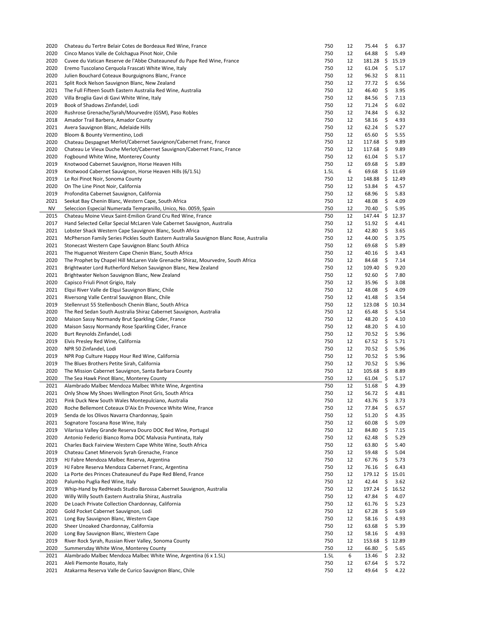| 2020         | Chateau du Tertre Belair Cotes de Bordeaux Red Wine, France                             | 750        | 12       | 75.44                | \$       | 6.37         |
|--------------|-----------------------------------------------------------------------------------------|------------|----------|----------------------|----------|--------------|
| 2020         | Cinco Manos Valle de Colchagua Pinot Noir, Chile                                        | 750        | 12       | 64.88                | \$       | 5.49         |
| 2020         | Cuvee du Vatican Reserve de l'Abbe Chateauneuf du Pape Red Wine, France                 | 750        | 12       | $181.28 \div$        |          | 15.19        |
| 2020         | Eremo Tuscolano Cerquola Frascati White Wine, Italy                                     | 750        | 12       | 61.04                | \$       | 5.17         |
| 2020         | Julien Bouchard Coteaux Bourguignons Blanc, France                                      | 750        | 12       | 96.32                | \$       | 8.11         |
| 2021         | Split Rock Nelson Sauvignon Blanc, New Zealand                                          | 750        | 12       | 77.72                | \$       | 6.56         |
|              |                                                                                         |            |          |                      |          |              |
| 2021         | The Full Fifteen South Eastern Australia Red Wine, Australia                            | 750        | 12       | 46.40                | -\$      | 3.95         |
| 2020         | Villa Broglia Gavi di Gavi White Wine, Italy                                            | 750        | 12       | 84.56                | \$       | 7.13         |
| 2019         | Book of Shadows Zinfandel, Lodi                                                         | 750        | 12       | 71.24                | \$       | 6.02         |
| 2020         | Rushrose Grenache/Syrah/Mourvedre (GSM), Paso Robles                                    | 750        | 12       | 74.84                | \$       | 6.32         |
| 2018         | Amador Trail Barbera, Amador County                                                     | 750        | 12       | 58.16                | \$       | 4.93         |
| 2021         | Avera Sauvignon Blanc, Adelaide Hills                                                   | 750        | 12       | 62.24                | \$       | 5.27         |
| 2020         | Bloom & Bounty Vermentino, Lodi                                                         | 750        | 12       | 65.60                | \$       | 5.55         |
| 2020         | Chateau Despagnet Merlot/Cabernet Sauvignon/Cabernet Franc, France                      | 750        | 12       | 117.68               | - \$     | 9.89         |
| 2020         | Chateau Le Vieux Duche Merlot/Cabernet Sauvignon/Cabernet Franc, France                 | 750        | 12       | $117.68 \; \text{S}$ |          | 9.89         |
| 2020         | Fogbound White Wine, Monterey County                                                    | 750        | 12       | 61.04                | \$       | 5.17         |
| 2019         | Knotwood Cabernet Sauvignon, Horse Heaven Hills                                         | 750        | 12       | 69.68                | \$       | 5.89         |
| 2019         |                                                                                         | 1.5L       |          | 69.68                |          | \$11.69      |
|              | Knotwood Cabernet Sauvignon, Horse Heaven Hills (6/1.5L)                                |            | 6        |                      |          |              |
| 2019         | Le Roi Pinot Noir, Sonoma County                                                        | 750        | 12       | 148.88               | - \$     | 12.49        |
| 2020         | On The Line Pinot Noir, California                                                      | 750        | 12       | 53.84                | \$       | 4.57         |
| 2019         | Profondita Cabernet Sauvignon, California                                               | 750        | 12       | 68.96                | \$       | 5.83         |
| 2021         | Seekat Bay Chenin Blanc, Western Cape, South Africa                                     | 750        | 12       | 48.08                | \$       | 4.09         |
| NV           | Seleccion Especial Numerada Tempranillo, Unico, No. 0059, Spain                         | 750        | 12       | 70.40 \$             |          | 5.95         |
| 2015         | Chateau Moine Vieux Saint-Emilion Grand Cru Red Wine, France                            | 750        | 12       | 147.44 \$            |          | 12.37        |
| 2017         | Hand Selected Cellar Special McLaren Vale Cabernet Sauvignon, Australia                 | 750        | 12       | 51.92                | \$       | 4.41         |
| 2021         | Lobster Shack Western Cape Sauvignon Blanc, South Africa                                | 750        | 12       | 42.80                | \$       | 3.65         |
| 2021         | McPherson Family Series Pickles South Eastern Australia Sauvignon Blanc Rose, Australia | 750        | 12       | 44.00                | \$       | 3.75         |
| 2021         | Stonecast Western Cape Sauvignon Blanc South Africa                                     | 750        | 12       | 69.68                | \$       | 5.89         |
| 2021         |                                                                                         | 750        | 12       | 40.16                | -\$      | 3.43         |
|              | The Huguenot Western Cape Chenin Blanc, South Africa                                    |            |          |                      |          |              |
| 2020         | The Prophet by Chapel Hill McLaren Vale Grenache Shiraz, Mourvedre, South Africa        | 750        | 12       | 84.68                | -\$      | 7.14         |
| 2021         | Brightwater Lord Rutherford Nelson Sauvignon Blanc, New Zealand                         | 750        | 12       | $109.40 \div$        |          | 9.20         |
| 2021         | Brightwater Nelson Sauvignon Blanc, New Zealand                                         | 750        | 12       | 92.60                | \$       | 7.80         |
| 2020         | Capisco Friuli Pinot Grigio, Italy                                                      | 750        | 12       | 35.96                | \$       | 3.08         |
| 2021         | Elqui River Valle de Elqui Sauvignon Blanc, Chile                                       | 750        | 12       | 48.08                | \$       | 4.09         |
| 2021         | Riversong Valle Central Sauvignon Blanc, Chile                                          | 750        | 12       | 41.48                | \$       | 3.54         |
| 2019         | Stellenrust 55 Stellenbosch Chenin Blanc, South Africa                                  | 750        | 12       | 123.08               | - \$     | 10.34        |
| 2020         | The Red Sedan South Australia Shiraz Cabernet Sauvignon, Australia                      | 750        | 12       | 65.48                | \$       | 5.54         |
| 2020         | Maison Sassy Normandy Brut Sparkling Cider, France                                      | 750        | 12       | 48.20                | \$       | 4.10         |
| 2020         | Maison Sassy Normandy Rose Sparkling Cider, France                                      | 750        | 12       | 48.20                | \$       | 4.10         |
| 2020         | Burt Reynolds Zinfandel, Lodi                                                           | 750        | 12       | 70.52                | \$       | 5.96         |
|              |                                                                                         |            |          |                      |          |              |
| 2019         | Elvis Presley Red Wine, California                                                      | 750        | 12       | 67.52                | \$       | 5.71         |
| 2020         | NPR 50 Zinfandel, Lodi                                                                  | 750        | 12       | 70.52                | \$       | 5.96         |
| 2019         | NPR Pop Culture Happy Hour Red Wine, California                                         | 750        | 12       | 70.52                | \$       | 5.96         |
| 2019         | The Blues Brothers Petite Sirah, California                                             | 750        | 12       | 70.52                | \$       | 5.96         |
| 2020         | The Mission Cabernet Sauvignon, Santa Barbara County                                    | 750        | 12       | $105.68 \quad $$     |          | 8.89         |
| 2020         | The Sea Hawk Pinot Blanc, Monterey County                                               |            |          |                      |          | 5.17         |
| 2021         |                                                                                         | 750        | 12       | 61.04                | \$       |              |
| 2021         | Alambrado Malbec Mendoza Malbec White Wine, Argentina                                   | 750        | 12       | 51.68                | - \$     | 4.39         |
|              | Only Show My Shoes Wellington Pinot Gris, South Africa                                  |            |          |                      |          |              |
|              |                                                                                         | 750        | 12       | 56.72                | \$       | 4.81         |
| 2021         | Pink Duck New South Wales Montepulciano, Australia                                      | 750        | 12       | 43.76                | \$       | 3.73         |
| 2020         | Roche Bellemont Coteaux D'Aix En Provence White Wine, France                            | 750        | 12       | 77.84                | \$       | 6.57         |
| 2019         | Senda de los Olivos Navarra Chardonnay, Spain                                           | 750        | 12       | 51.20                | \$       | 4.35         |
| 2021         | Sognatore Toscana Rose Wine, Italy                                                      | 750        | 12       | 60.08                | \$       | 5.09         |
| 2019         | Vilarissa Valley Grande Reserva Douro DOC Red Wine, Portugal                            | 750        | 12       | 84.80                | \$       | 7.15         |
| 2020         | Antonio Federici Bianco Roma DOC Malvasia Puntinata, Italy                              | 750        | 12       | 62.48                | \$       | 5.29         |
| 2021         | Charles Back Fairview Western Cape White Wine, South Africa                             | 750        | 12       | 63.80                | \$       | 5.40         |
| 2019         | Chateau Canet Minervois Syrah Grenache, France                                          | 750        | 12       | 59.48                | \$       | 5.04         |
| 2019         | HJ Fabre Mendoza Malbec Reserva, Argentina                                              | 750        | 12       | 67.76                | \$       | 5.73         |
|              | HJ Fabre Reserva Mendoza Cabernet Franc, Argentina                                      | 750        | 12       |                      | \$       |              |
| 2019         |                                                                                         |            |          | 76.16                |          | 6.43         |
| 2020         | La Porte des Princes Chateauneuf du Pape Red Blend, France                              | 750        | 12       | $179.12 \div$        |          | 15.01        |
| 2020         | Palumbo Puglia Red Wine, Italy                                                          | 750        | 12       | 42.44                | \$       | 3.62         |
| 2019         | Whip-Hand by RedHeads Studio Barossa Cabernet Sauvignon, Australia                      | 750        | 12       | $197.24 \quad$ \$    |          | 16.52        |
| 2020         | Willy Willy South Eastern Australia Shiraz, Australia                                   | 750        | 12       | 47.84                | \$       | 4.07         |
| 2020         | De Loach Private Collection Chardonnay, California                                      | 750        | 12       | 61.76                | \$       | 5.23         |
| 2020         | Gold Pocket Cabernet Sauvignon, Lodi                                                    | 750        | 12       | 67.28                | \$       | 5.69         |
| 2021         | Long Bay Sauvignon Blanc, Western Cape                                                  | 750        | 12       | 58.16                | \$       | 4.93         |
| 2020         | Sheer Unoaked Chardonnay, California                                                    | 750        | 12       | 63.68                | -\$      | 5.39         |
| 2020         | Long Bay Sauvignon Blanc, Western Cape                                                  | 750        | 12       | 58.16                | \$       | 4.93         |
| 2019         | River Rock Syrah, Russian River Valley, Sonoma County                                   | 750        | 12       | 153.68               | - \$     | 12.89        |
| 2020         |                                                                                         | 750        | 12       |                      |          |              |
|              | Summersday White Wine, Monterey County                                                  |            |          | 66.80                | \$       | 5.65         |
| 2021         | Alambrado Malbec Mendoza Malbec White Wine, Argentina (6 x 1.5L)                        | 1.5L       | 6        | 13.46                | \$       | 2.32         |
| 2021<br>2021 | Aleli Piemonte Rosato, Italy<br>Atakarma Reserva Valle de Curico Sauvignon Blanc, Chile | 750<br>750 | 12<br>12 | 67.64<br>49.64       | \$<br>\$ | 5.72<br>4.22 |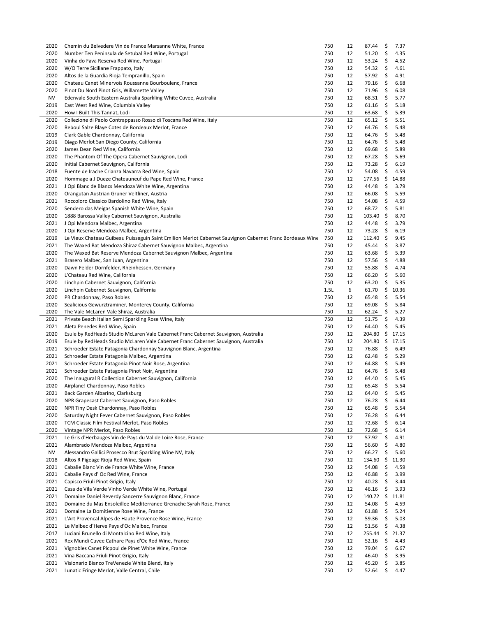| 2020         | Chemin du Belvedere Vin de France Marsanne White, France                                                 | 750        | 12       | 87.44          | \$       | 7.37         |
|--------------|----------------------------------------------------------------------------------------------------------|------------|----------|----------------|----------|--------------|
| 2020         | Number Ten Peninsula de Setubal Red Wine, Portugal                                                       | 750        | 12       | 51.20          | \$       | 4.35         |
| 2020         | Vinha do Fava Reserva Red Wine, Portugal                                                                 | 750        | 12       | 53.24          | \$       | 4.52         |
| 2020         | W/O Terre Siciliane Frappato, Italy                                                                      | 750        | 12       | 54.32          | \$       | 4.61         |
| 2020         | Altos de la Guardia Rioja Tempranillo, Spain                                                             | 750        | 12       | 57.92          | \$       | 4.91         |
| 2020         | Chateau Canet Minervois Roussanne Bourboulenc, France                                                    | 750        | 12       | 79.16          | \$       | 6.68         |
|              |                                                                                                          |            |          |                |          |              |
| 2020         | Pinot Du Nord Pinot Gris, Willamette Valley                                                              | 750        | 12       | 71.96          | \$       | 6.08         |
| ΝV           | Edenvale South Eastern Australia Sparkling White Cuvee, Australia                                        | 750        | 12       | 68.31          | \$       | 5.77         |
| 2019         | East West Red Wine, Columbia Valley                                                                      | 750        | 12       | 61.16          | \$       | 5.18         |
| 2020         | How I Built This Tannat, Lodi                                                                            | 750        | 12       | 63.68          | \$       | 5.39         |
| 2020         | Collezione di Paolo Contrappasso Rosso di Toscana Red Wine, Italy                                        | 750        | 12       | 65.12          | \$       | 5.51         |
| 2020         | Reboul Salze Blaye Cotes de Bordeaux Merlot, France                                                      | 750        | 12       | 64.76          | \$       | 5.48         |
| 2019         | Clark Gable Chardonnay, California                                                                       | 750        | 12       | 64.76          | \$       | 5.48         |
| 2019         | Diego Merlot San Diego County, California                                                                | 750        | 12       | 64.76          | \$       | 5.48         |
| 2020         | James Dean Red Wine, California                                                                          | 750        | 12       | 69.68          | \$       | 5.89         |
| 2020         | The Phantom Of The Opera Cabernet Sauvignon, Lodi                                                        | 750        | 12       | 67.28          | \$       | 5.69         |
| 2020         | Initial Cabernet Sauvignon, California                                                                   | 750        | 12       | 73.28          | \$       | 6.19         |
|              |                                                                                                          | 750        | 12       | 54.08          | \$       |              |
| 2018         | Fuente de Irache Crianza Navarra Red Wine, Spain                                                         |            |          |                |          | 4.59         |
| 2020         | Hommage a J Dueze Chateauneuf du Pape Red Wine, France                                                   | 750        | 12       | 177.56         | \$       | 14.88        |
| 2021         | J Opi Blanc de Blancs Mendoza White Wine, Argentina                                                      | 750        | 12       | 44.48          | \$       | 3.79         |
| 2020         | Orangutan Austrian Gruner Veltliner, Austria                                                             | 750        | 12       | 66.08          | \$       | 5.59         |
| 2021         | Roccoloro Classico Bardolino Red Wine, Italy                                                             | 750        | 12       | 54.08          | \$       | 4.59         |
| 2020         | Sendero das Meigas Spanish White Wine, Spain                                                             | 750        | 12       | 68.72          | \$       | 5.81         |
| 2020         | 1888 Barossa Valley Cabernet Sauvignon, Australia                                                        | 750        | 12       | 103.40         | \$       | 8.70         |
| 2021         | J Opi Mendoza Malbec, Argentina                                                                          | 750        | 12       | 44.48          | \$       | 3.79         |
| 2020         | J Opi Reserve Mendoza Malbec, Argentina                                                                  | 750        | 12       | 73.28          | \$       | 6.19         |
| 2019         | Le Vieux Chateau Guibeau Puisseguin Saint Emilion Merlot Cabernet Sauvignon Cabernet Franc Bordeaux Wine | 750        | 12       | 112.40         | \$       | 9.45         |
|              |                                                                                                          | 750        | 12       |                |          |              |
| 2021         | The Waxed Bat Mendoza Shiraz Cabernet Sauvignon Malbec, Argentina                                        |            |          | 45.44          | \$       | 3.87         |
| 2020         | The Waxed Bat Reserve Mendoza Cabernet Sauvignon Malbec, Argentina                                       | 750        | 12       | 63.68          | \$       | 5.39         |
| 2021         | Brasero Malbec, San Juan, Argentina                                                                      | 750        | 12       | 57.56          | \$       | 4.88         |
| 2020         | Dawn Felder Dornfelder, Rheinhessen, Germany                                                             | 750        | 12       | 55.88          | \$       | 4.74         |
| 2020         | L'Chateau Red Wine, California                                                                           | 750        | 12       | 66.20          | \$       | 5.60         |
| 2020         | Linchpin Cabernet Sauvignon, California                                                                  | 750        | 12       | 63.20          | \$       | 5.35         |
| 2020         | Linchpin Cabernet Sauvignon, California                                                                  | 1.5L       | 6        | 61.70          | \$       | 10.36        |
| 2020         | PR Chardonnay, Paso Robles                                                                               | 750        | 12       | 65.48          | \$       | 5.54         |
|              |                                                                                                          |            |          |                | \$       |              |
|              |                                                                                                          |            |          |                |          |              |
| 2020         | Sealicious Gewurztraminer, Monterey County, California                                                   | 750        | 12       | 69.08          |          | 5.84         |
| 2020         | The Vale McLaren Vale Shiraz, Australia                                                                  | 750        | 12       | 62.24          | \$       | 5.27         |
| 2021         | Private Beach Italian Semi Sparkling Rose Wine, Italy                                                    | 750        | 12       | 51.75          | \$       | 4.39         |
| 2021         | Aleta Penedes Red Wine, Spain                                                                            | 750        | 12       | 64.40          | \$       | 5.45         |
| 2020         | Esule by RedHeads Studio McLaren Vale Cabernet Franc Cabernet Sauvignon, Australia                       | 750        | 12       | 204.80         | \$       | 17.15        |
| 2019         | Esule by RedHeads Studio McLaren Vale Cabernet Franc Cabernet Sauvignon, Australia                       | 750        | 12       | 204.80         | \$       | 17.15        |
| 2021         | Schroeder Estate Patagonia Chardonnay Sauvignon Blanc, Argentina                                         | 750        | 12       | 76.88          | \$       | 6.49         |
| 2021         | Schroeder Estate Patagonia Malbec, Argentina                                                             | 750        | 12       | 62.48          | \$       | 5.29         |
| 2021         | Schroeder Estate Patagonia Pinot Noir Rose, Argentina                                                    | 750        | 12       | 64.88          | \$       | 5.49         |
| 2021         | Schroeder Estate Patagonia Pinot Noir, Argentina                                                         | 750        | 12       | 64.76          | \$       | 5.48         |
| 2020         |                                                                                                          | 750        | 12       | 64.40          | \$       | 5.45         |
|              | The Inaugural R Collection Cabernet Sauvignon, California                                                | 750        | 12       | 65.48          | \$       | 5.54         |
| 2020         | Airplane! Chardonnay, Paso Robles                                                                        |            |          |                |          |              |
| 2021         | Back Garden Albarino, Clarksburg                                                                         | 750        | 12       | 64.40          | \$       | 5.45         |
| 2020         | NPR Grapecast Cabernet Sauvignon, Paso Robles                                                            | 750        | 12       | 76.28          | \$       | 6.44         |
| 2020         | NPR Tiny Desk Chardonnay, Paso Robles                                                                    | 750        | 12       | 65.48          | \$       | 5.54         |
| 2020         | Saturday Night Fever Cabernet Sauvignon, Paso Robles                                                     | 750        | 12       | 76.28          | \$       | 6.44         |
| 2020         | TCM Classic Film Festival Merlot, Paso Robles                                                            | 750        | 12       | 72.68          | \$       | 6.14         |
| 2020         | Vintage NPR Merlot, Paso Robles                                                                          | 750        | 12       | 72.68          | \$       | 6.14         |
| 2021         | Le Gris d'Herbauges Vin de Pays du Val de Loire Rose, France                                             | 750        | 12       | 57.92          | \$       | 4.91         |
| 2021         | Alambrado Mendoza Malbec, Argentina                                                                      | 750        | 12       | 56.60          | \$       | 4.80         |
| <b>NV</b>    | Alessandro Gallici Prosecco Brut Sparkling Wine NV, Italy                                                | 750        | 12       |                | \$       | 5.60         |
|              |                                                                                                          |            |          | 66.27          |          |              |
| 2018         | Altos R Pigeage Rioja Red Wine, Spain                                                                    | 750        | 12       | 134.60         | \$       | 11.30        |
| 2021         | Cabalie Blanc Vin de France White Wine, France                                                           | 750        | 12       | 54.08          | \$       | 4.59         |
| 2021         | Cabalie Pays d' Oc Red Wine, France                                                                      | 750        | 12       | 46.88          | \$       | 3.99         |
| 2021         | Capisco Friuli Pinot Grigio, Italy                                                                       | 750        | 12       | 40.28          | \$       | 3.44         |
| 2021         | Casa de Vila Verde Vinho Verde White Wine, Portugal                                                      | 750        | 12       | 46.16          | \$       | 3.93         |
| 2021         | Domaine Daniel Reverdy Sancerre Sauvignon Blanc, France                                                  | 750        | 12       | 140.72         | \$       | 11.81        |
| 2021         | Domaine du Mas Ensoleillee Mediterranee Grenache Syrah Rose, France                                      | 750        | 12       | 54.08          | \$       | 4.59         |
| 2021         | Domaine La Domitienne Rose Wine, France                                                                  | 750        | 12       | 61.88          | \$       | 5.24         |
| 2021         | L'Art Provencal Alpes de Haute Provence Rose Wine, France                                                | 750        | 12       | 59.36          | \$       | 5.03         |
| 2021         | Le Malbec d'Herve Pays d'Oc Malbec, France                                                               | 750        | 12       | 51.56          | \$       | 4.38         |
|              |                                                                                                          | 750        |          |                |          |              |
| 2017         | Luciani Brunello di Montalcino Red Wine, Italy                                                           |            | 12       | 255.44         | \$       | 21.37        |
| 2021         | Rex Mundi Cuvee Cathare Pays d'Oc Red Wine, France                                                       | 750        | 12       | 52.16          | \$       | 4.43         |
| 2021         | Vignobles Canet Picpoul de Pinet White Wine, France                                                      | 750        | 12       | 79.04          | \$       | 6.67         |
| 2021         | Vina Baccana Friuli Pinot Grigio, Italy                                                                  | 750        | 12       | 46.40          | \$       | 3.95         |
| 2021<br>2021 | Visionario Bianco TreVenezie White Blend, Italy<br>Lunatic Fringe Merlot, Valle Central, Chile           | 750<br>750 | 12<br>12 | 45.20<br>52.64 | \$<br>\$ | 3.85<br>4.47 |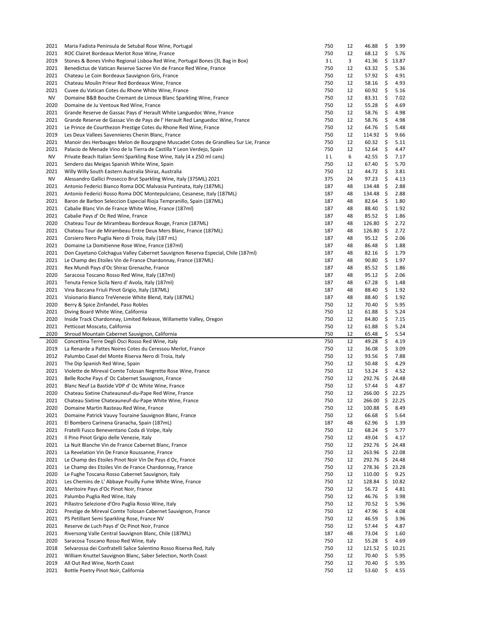| 2021         | Maria Fadista Peninsula de Setubal Rose Wine, Portugal                              | 750        | 12       | 46.88               | \$       | 3.99         |
|--------------|-------------------------------------------------------------------------------------|------------|----------|---------------------|----------|--------------|
| 2021         | ROC Clairet Bordeaux Merlot Rose Wine, France                                       | 750        | 12       | 68.12               | \$       | 5.76         |
| 2019         | Stones & Bones Vinho Regional Lisboa Red Wine, Portugal Bones (3L Bag in Box)       | 3 L        | 3        | 41.36               | \$       | 13.87        |
| 2021         | Benedictus de Vatican Reserve Sacree Vin de France Red Wine, France                 | 750        | 12       | 63.32               | \$       | 5.36         |
| 2021         | Chateau Le Coin Bordeaux Sauvignon Gris, France                                     | 750        | 12       | 57.92               | \$       | 4.91         |
| 2021         | Chateau Moulin Prieur Red Bordeaux Wine, France                                     | 750        | 12       | 58.16               | \$       | 4.93         |
|              |                                                                                     |            |          |                     |          |              |
| 2021         | Cuvee du Vatican Cotes du Rhone White Wine, France                                  | 750        | 12       | 60.92               | \$       | 5.16         |
| NV           | Domaine B&B Bouche Cremant de Limoux Blanc Sparkling Wine, France                   | 750        | 12       | 83.31               | \$       | 7.02         |
| 2020         | Domaine de Ju Ventoux Red Wine, France                                              | 750        | 12       | 55.28               | \$       | 4.69         |
| 2021         | Grande Reserve de Gassac Pays d'Herault White Languedoc Wine, France                | 750        | 12       | 58.76               | \$       | 4.98         |
| 2021         | Grande Reserve de Gassac Vin de Pays de l'Herault Red Languedoc Wine, France        | 750        | 12       | 58.76               | \$       | 4.98         |
| 2021         | Le Prince de Courthezon Prestige Cotes du Rhone Red Wine, France                    | 750        | 12       | 64.76               | \$       | 5.48         |
| 2019         | Les Deux Vallees Savennieres Chenin Blanc, France                                   | 750        | 12       | $114.92 \div$       |          | 9.66         |
| 2021         | Manoir des Herbauges Melon de Bourgogne Muscadet Cotes de Grandlieu Sur Lie, France | 750        | 12       | 60.32               | \$       | 5.11         |
| 2021         | Palacio de Menade Vino de la Tierra de Castilla Y Leon Verdejo, Spain               | 750        | 12       | 52.64               | \$       | 4.47         |
| <b>NV</b>    |                                                                                     | 1 L        | 6        |                     |          |              |
|              | Private Beach Italian Semi Sparkling Rose Wine, Italy (4 x 250 ml cans)             |            |          | 42.55               | \$       | 7.17         |
| 2021         | Sendero das Meigas Spanish White Wine, Spain                                        | 750        | 12       | 67.40               | \$       | 5.70         |
| 2021         | Willy Willy South Eastern Australia Shiraz, Australia                               | 750        | 12       | 44.72               | \$       | 3.81         |
| <b>NV</b>    | Alessandro Gallici Prosecco Brut Sparkling Wine, Italy (375ML) 2021                 | 375        | 24       | 97.23               | \$       | 4.13         |
| 2021         | Antonio Federici Bianco Roma DOC Malvasia Puntinata, Italy (187ML)                  | 187        | 48       | 134.48              | - \$     | 2.88         |
| 2021         | Antonio Federici Rosso Roma DOC Montepulciano, Cesanese, Italy (187ML)              | 187        | 48       | $134.48 \pm$        |          | 2.88         |
| 2021         | Baron de Barbon Seleccion Especial Rioja Tempranillo, Spain (187ML)                 | 187        | 48       | 82.64               | \$       | 1.80         |
| 2021         | Cabalie Blanc Vin de France White Wine, France (187ml)                              | 187        | 48       | 88.40               | \$       | 1.92         |
|              |                                                                                     |            |          |                     |          |              |
| 2021         | Cabalie Pays d' Oc Red Wine, France                                                 | 187        | 48       | 85.52               | \$       | 1.86         |
| 2020         | Chateau Tour de Mirambeau Bordeaux Rouge, France (187ML)                            | 187        | 48       | 126.80              | \$       | 2.72         |
| 2021         | Chateau Tour de Mirambeau Entre Deux Mers Blanc, France (187ML)                     | 187        | 48       | $126.80\frac{1}{2}$ |          | 2.72         |
| 2021         | Corsiero Nero Puglia Nero di Troia, Italy (187 mL)                                  | 187        | 48       | 95.12               | \$       | 2.06         |
| 2021         | Domaine La Domitienne Rose Wine, France (187ml)                                     | 187        | 48       | 86.48               | \$       | 1.88         |
| 2021         | Don Cayetano Colchagua Valley Cabernet Sauvignon Reserva Especial, Chile (187ml)    | 187        | 48       | 82.16               | \$       | 1.79         |
| 2021         | Le Champ des Etoiles Vin de France Chardonnay, France (187ML)                       | 187        | 48       | 90.80               | \$       | 1.97         |
|              |                                                                                     |            |          |                     |          |              |
| 2021         | Rex Mundi Pays d'Oc Shiraz Grenache, France                                         | 187        | 48       | 85.52               | \$       | 1.86         |
| 2020         | Saracosa Toscano Rosso Red Wine, Italy (187ml)                                      | 187        | 48       | 95.12               | \$       | 2.06         |
| 2021         | Tenuta Fenice Sicila Nero d' Avola, Italy (187ml)                                   | 187        | 48       | 67.28               | \$       | 1.48         |
| 2021         | Vina Baccana Friuli Pinot Grigio, Italy (187ML)                                     | 187        | 48       | 88.40               | \$       | 1.92         |
| 2021         | Visionario Bianco TreVenezie White Blend, Italy (187ML)                             | 187        | 48       | 88.40               | \$       | 1.92         |
|              |                                                                                     |            |          |                     |          |              |
|              |                                                                                     |            |          |                     |          |              |
| 2020         | Berry & Spice Zinfandel, Paso Robles                                                | 750        | 12       | 70.40               | \$       | 5.95         |
| 2021         | Diving Board White Wine, California                                                 | 750        | 12       | 61.88               | \$       | 5.24         |
| 2020         | Inside Track Chardonnay, Limited Release, Willamette Valley, Oregon                 | 750        | 12       | 84.80               | \$       | 7.15         |
| 2021         | Petticoat Moscato, California                                                       | 750        | 12       | 61.88               | \$       | 5.24         |
| 2020         | Shroud Mountain Cabernet Sauvignon, California                                      | 750        | 12       | 65.48               | \$       | 5.54         |
| 2020         | Concettina Terre Degli Osci Rosso Red Wine, Italy                                   | 750        | 12       | 49.28               | \$       | 4.19         |
| 2019         | La Renarde a Pattes Noires Cotes du Ceressou Merlot, France                         | 750        | 12       | 36.08               | \$       | 3.09         |
| 2012         | Palumbo Casel del Monte Riserva Nero di Troia, Italy                                | 750        | 12       | 93.56               | \$       | 7.88         |
| 2021         |                                                                                     | 750        | 12       |                     |          |              |
|              | The Dip Spanish Red Wine, Spain                                                     |            |          | 50.48               | \$       | 4.29         |
| 2021         | Violette de Mireval Comte Tolosan Negrette Rose Wine, France                        | 750        | 12       | 53.24               | \$       | 4.52         |
| 2021         | Belle Roche Pays d' Oc Cabernet Sauvignon, France                                   | 750        | 12       | 292.76 \$           |          | 24.48        |
| 2021         | Blanc Neuf La Bastide VDP d' Oc White Wine, France                                  | 750        | 12       | 57.44               | \$       | 4.87         |
| 2020         | Chateau Sixtine Chateauneuf-du-Pape Red Wine, France                                | 750        | 12       | 266.00 \$ 22.25     |          |              |
| 2021         | Chateau Sixtine Chateauneuf-du-Pape White Wine, France                              | 750        | 12       | 266.00              | \$       | 22.25        |
| 2020         | Domaine Martin Rasteau Red Wine, France                                             | 750        | 12       | 100.88              | \$       | 8.49         |
| 2021         | Domaine Patrick Vauvy Touraine Sauvignon Blanc, France                              | 750        | 12       | 66.68               | \$       | 5.64         |
|              |                                                                                     |            |          |                     |          |              |
| 2021         | El Bombero Carinena Granacha, Spain (187mL)                                         | 187        | 48       | 62.96               | \$       | 1.39         |
| 2021         | Fratelli Fusco Beneventano Coda di Volpe, Italy                                     | 750        | 12       | 68.24               | \$       | 5.77         |
| 2021         | Il Pino Pinot Grigio delle Venezie, Italy                                           | 750        | 12       | 49.04               | \$       | 4.17         |
| 2021         | La Nuit Blanche Vin de France Cabernet Blanc, France                                | 750        | 12       | 292.76              | \$       | 24.48        |
| 2021         | La Revelation Vin De France Roussanne, France                                       | 750        | 12       | 263.96              | \$       | 22.08        |
| 2021         | Le Champ des Etoiles Pinot Noir Vin De Pays d Oc, France                            | 750        | 12       | 292.76              | \$       | 24.48        |
| 2021         | Le Champ des Etoiles Vin de France Chardonnay, France                               | 750        | 12       | 278.36              | \$       | 23.28        |
| 2020         |                                                                                     | 750        | 12       |                     |          |              |
|              | Le Fughe Toscana Rosso Cabernet Sauvignon, Italy                                    |            |          | 110.00              | \$       | 9.25         |
| 2021         | Les Chemins de L' Abbaye Pouilly Fume White Wine, France                            | 750        | 12       | $128.84 \; \simeq$  |          | 10.82        |
| 2021         | Meritoire Pays d'Oc Pinot Noir, France                                              | 750        | 12       | 56.72               | \$       | 4.81         |
| 2021         | Palumbo Puglia Red Wine, Italy                                                      | 750        | 12       | 46.76               | \$       | 3.98         |
| 2021         | Pillastro Selezione d'Oro Puglia Rosso Wine, Italy                                  | 750        | 12       | 70.52               | \$       | 5.96         |
| 2021         | Prestige de Mireval Comte Tolosan Cabernet Sauvignon, France                        | 750        | 12       | 47.96               | \$       | 4.08         |
| 2021         | PS Petillant Semi Sparkling Rose, France NV                                         | 750        | 12       | 46.59               | \$       | 3.96         |
| 2021         | Reserve de Luch Pays d' Oc Pinot Noir, France                                       | 750        | 12       | 57.44               | \$       | 4.87         |
| 2021         | Riversong Valle Central Sauvignon Blanc, Chile (187ML)                              | 187        | 48       | 73.04               | \$       | 1.60         |
|              |                                                                                     |            |          |                     |          |              |
| 2020         | Saracosa Toscano Rosso Red Wine, Italy                                              | 750        | 12       | 55.28               | \$       | 4.69         |
| 2018         | Selvarossa dei Confratelli Salice Salentino Rosso Riserva Red, Italy                | 750        | 12       | 121.52              | \$       | 10.21        |
| 2021         | William Knuttel Sauvignon Blanc, Saber Selection, North Coast                       | 750        | 12       | 70.40               | \$       | 5.95         |
| 2019<br>2021 | All Out Red Wine, North Coast<br>Bottle Poetry Pinot Noir, California               | 750<br>750 | 12<br>12 | 70.40<br>53.60      | \$<br>\$ | 5.95<br>4.55 |